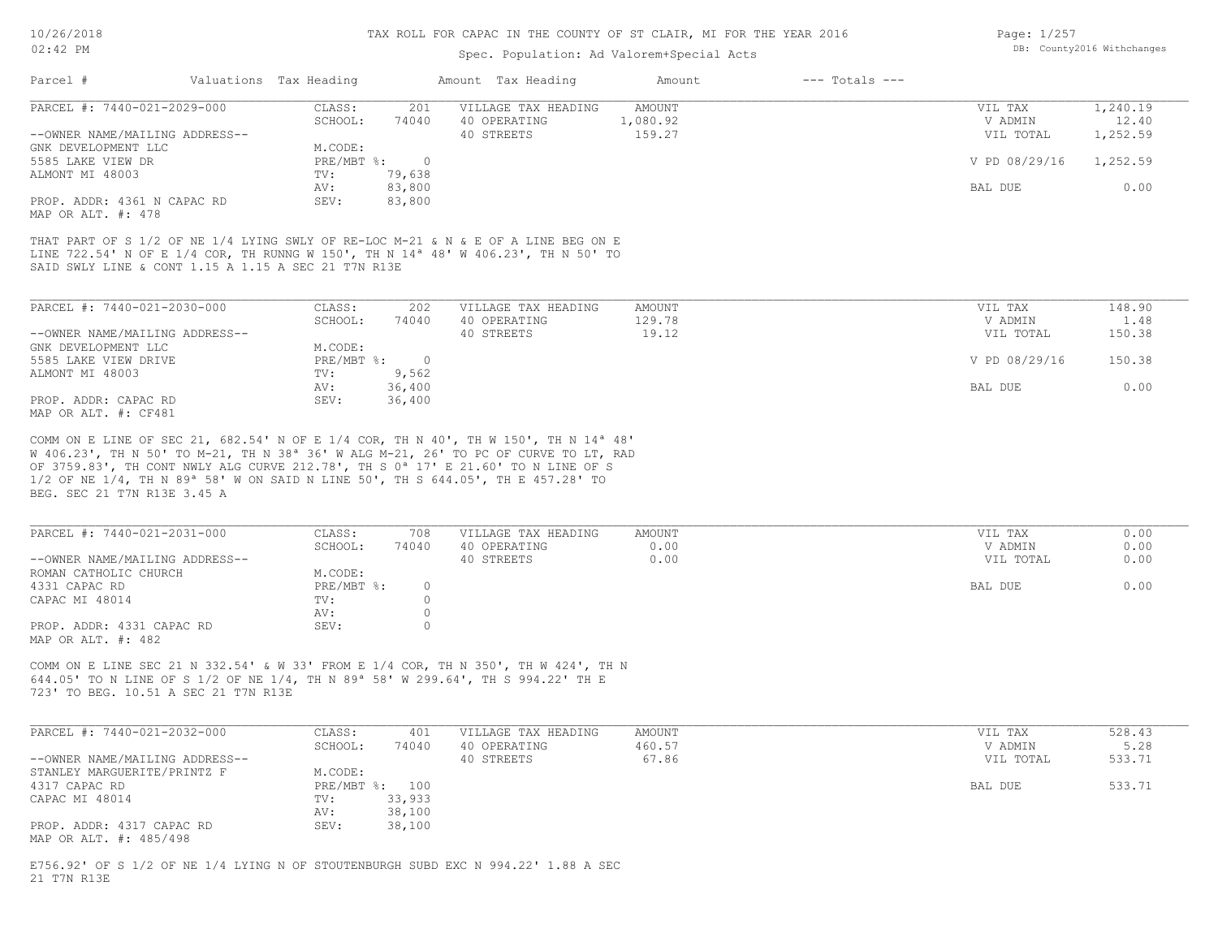### Spec. Population: Ad Valorem+Special Acts

| Page: 1/257 |                            |
|-------------|----------------------------|
|             | DB: County2016 Withchanges |

| Parcel #                       | Valuations Tax Heading |        | Amount Tax Heading  | Amount   | $---$ Totals $---$ |               |          |
|--------------------------------|------------------------|--------|---------------------|----------|--------------------|---------------|----------|
| PARCEL #: 7440-021-2029-000    | CLASS:                 | 201    | VILLAGE TAX HEADING | AMOUNT   |                    | VIL TAX       | 1,240.19 |
|                                | SCHOOL:                | 74040  | 40 OPERATING        | 1,080.92 |                    | V ADMIN       | 12.40    |
| --OWNER NAME/MAILING ADDRESS-- |                        |        | 40 STREETS          | 159.27   |                    | VIL TOTAL     | 1,252.59 |
| GNK DEVELOPMENT LLC            | M.CODE:                |        |                     |          |                    |               |          |
| 5585 LAKE VIEW DR              | PRE/MBT %:             |        |                     |          |                    | V PD 08/29/16 | 1,252.59 |
| ALMONT MI 48003                | TV:                    | 79,638 |                     |          |                    |               |          |
|                                | AV:                    | 83,800 |                     |          |                    | BAL DUE       | 0.00     |
| PROP. ADDR: 4361 N CAPAC RD    | SEV:                   | 83,800 |                     |          |                    |               |          |
| MAP OR ALT. #: 478             |                        |        |                     |          |                    |               |          |

SAID SWLY LINE & CONT 1.15 A 1.15 A SEC 21 T7N R13E LINE 722.54' N OF E 1/4 COR, TH RUNNG W 150', TH N 14ª 48' W 406.23', TH N 50' TO THAT PART OF S 1/2 OF NE 1/4 LYING SWLY OF RE-LOC M-21 & N & E OF A LINE BEG ON E

| PARCEL #: 7440-021-2030-000    | CLASS:       | 202    | VILLAGE TAX HEADING | AMOUNT | VIL TAX       | 148.90 |
|--------------------------------|--------------|--------|---------------------|--------|---------------|--------|
|                                | SCHOOL:      | 74040  | 40 OPERATING        | 129.78 | V ADMIN       | 1.48   |
| --OWNER NAME/MAILING ADDRESS-- |              |        | 40 STREETS          | 19.12  | VIL TOTAL     | 150.38 |
| GNK DEVELOPMENT LLC            | M.CODE:      |        |                     |        |               |        |
| 5585 LAKE VIEW DRIVE           | $PRE/MBT$ %: |        |                     |        | V PD 08/29/16 | 150.38 |
| ALMONT MI 48003                | TV:          | 9,562  |                     |        |               |        |
|                                | AV:          | 36,400 |                     |        | BAL DUE       | 0.00   |
| PROP. ADDR: CAPAC RD           | SEV:         | 36,400 |                     |        |               |        |
| MAP OR ALT. #: CF481           |              |        |                     |        |               |        |

BEG. SEC 21 T7N R13E 3.45 A 1/2 OF NE 1/4, TH N 89ª 58' W ON SAID N LINE 50', TH S 644.05', TH E 457.28' TO OF 3759.83', TH CONT NWLY ALG CURVE 212.78', TH S 0ª 17' E 21.60' TO N LINE OF S W 406.23', TH N 50' TO M-21, TH N 38ª 36' W ALG M-21, 26' TO PC OF CURVE TO LT, RAD COMM ON E LINE OF SEC 21, 682.54' N OF E 1/4 COR, TH N 40', TH W 150', TH N 14ª 48'

| PARCEL #: 7440-021-2031-000                     | CLASS:       | 708   | VILLAGE TAX HEADING | AMOUNT | VIL TAX   | 0.00 |
|-------------------------------------------------|--------------|-------|---------------------|--------|-----------|------|
|                                                 | SCHOOL:      | 74040 | 40 OPERATING        | 0.00   | V ADMIN   | 0.00 |
| --OWNER NAME/MAILING ADDRESS--                  |              |       | 40 STREETS          | 0.00   | VIL TOTAL | 0.00 |
| ROMAN CATHOLIC CHURCH                           | M.CODE:      |       |                     |        |           |      |
| 4331 CAPAC RD                                   | $PRE/MBT$ %: |       |                     |        | BAL DUE   | 0.00 |
| CAPAC MI 48014                                  | TV:          |       |                     |        |           |      |
|                                                 | AV:          |       |                     |        |           |      |
| PROP. ADDR: 4331 CAPAC RD<br>MAP OR ALT. #: 482 | SEV:         |       |                     |        |           |      |

723' TO BEG. 10.51 A SEC 21 T7N R13E 644.05' TO N LINE OF S 1/2 OF NE 1/4, TH N 89ª 58' W 299.64', TH S 994.22' TH E COMM ON E LINE SEC 21 N 332.54' & W 33' FROM E 1/4 COR, TH N 350', TH W 424', TH N

| PARCEL #: 7440-021-2032-000    | CLASS:       | 401    | VILLAGE TAX HEADING | AMOUNT | VIL TAX   | 528.43 |
|--------------------------------|--------------|--------|---------------------|--------|-----------|--------|
|                                | SCHOOL:      | 74040  | 40 OPERATING        | 460.57 | V ADMIN   | 5.28   |
| --OWNER NAME/MAILING ADDRESS-- |              |        | 40 STREETS          | 67.86  | VIL TOTAL | 533.71 |
| STANLEY MARGUERITE/PRINTZ F    | M.CODE:      |        |                     |        |           |        |
| 4317 CAPAC RD                  | $PRE/MBT$ %: | 100    |                     |        | BAL DUE   | 533.71 |
| CAPAC MI 48014                 | TV:          | 33,933 |                     |        |           |        |
|                                | AV:          | 38,100 |                     |        |           |        |
| PROP. ADDR: 4317 CAPAC RD      | SEV:         | 38,100 |                     |        |           |        |
| MAP OR ALT. #: 485/498         |              |        |                     |        |           |        |

21 T7N R13E E756.92' OF S 1/2 OF NE 1/4 LYING N OF STOUTENBURGH SUBD EXC N 994.22' 1.88 A SEC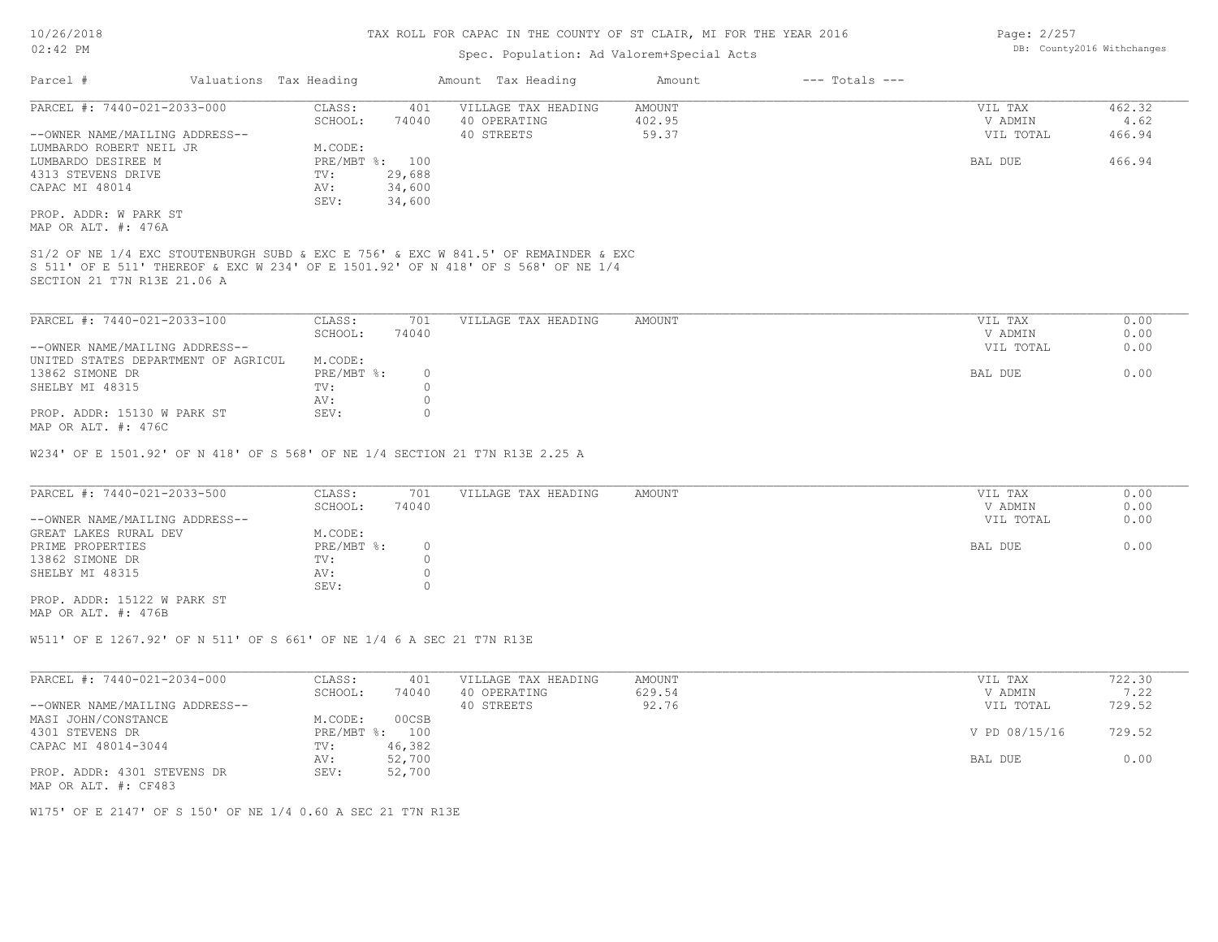### Spec. Population: Ad Valorem+Special Acts

| Page: 2/257 |                            |
|-------------|----------------------------|
|             | DB: County2016 Withchanges |

| Parcel #                |                                | Valuations Tax Heading |                | Amount Tax Heading                                                                  | Amount | $---$ Totals $---$ |           |        |
|-------------------------|--------------------------------|------------------------|----------------|-------------------------------------------------------------------------------------|--------|--------------------|-----------|--------|
|                         | PARCEL #: 7440-021-2033-000    | CLASS:                 | 401            | VILLAGE TAX HEADING                                                                 | AMOUNT |                    | VIL TAX   | 462.32 |
|                         |                                | SCHOOL:                | 74040          | 40 OPERATING                                                                        | 402.95 |                    | V ADMIN   | 4.62   |
|                         | --OWNER NAME/MAILING ADDRESS-- |                        |                | 40 STREETS                                                                          | 59.37  |                    | VIL TOTAL | 466.94 |
| LUMBARDO ROBERT NEIL JR |                                | M.CODE:                |                |                                                                                     |        |                    |           |        |
| LUMBARDO DESIREE M      |                                |                        | PRE/MBT %: 100 |                                                                                     |        |                    | BAL DUE   | 466.94 |
| 4313 STEVENS DRIVE      |                                | TV:                    | 29,688         |                                                                                     |        |                    |           |        |
| CAPAC MI 48014          |                                | AV:                    | 34,600         |                                                                                     |        |                    |           |        |
|                         |                                | SEV:                   | 34,600         |                                                                                     |        |                    |           |        |
| PROP. ADDR: W PARK ST   |                                |                        |                |                                                                                     |        |                    |           |        |
| MAP OR ALT. #: 476A     |                                |                        |                |                                                                                     |        |                    |           |        |
|                         |                                |                        |                |                                                                                     |        |                    |           |        |
|                         |                                |                        |                | S1/2 OF NE 1/4 EXC STOUTENBURGH SUBD & EXC E 756' & EXC W 841.5' OF REMAINDER & EXC |        |                    |           |        |
|                         |                                |                        |                | S 511' OF E 511' THEREOF & EXC W 234' OF E 1501.92' OF N 418' OF S 568' OF NE 1/4   |        |                    |           |        |
|                         | SECTION 21 T7N R13E 21.06 A    |                        |                |                                                                                     |        |                    |           |        |
|                         |                                |                        |                |                                                                                     |        |                    |           |        |

| PARCEL #: 7440-021-2033-100         | CLASS:     | 701   | VILLAGE TAX HEADING | AMOUNT | VIL TAX   | 0.00 |
|-------------------------------------|------------|-------|---------------------|--------|-----------|------|
|                                     | SCHOOL:    | 74040 |                     |        | V ADMIN   | 0.00 |
| --OWNER NAME/MAILING ADDRESS--      |            |       |                     |        | VIL TOTAL | 0.00 |
| UNITED STATES DEPARTMENT OF AGRICUL | M.CODE:    |       |                     |        |           |      |
| 13862 SIMONE DR                     | PRE/MBT %: |       |                     |        | BAL DUE   | 0.00 |
| SHELBY MI 48315                     | TV:        |       |                     |        |           |      |
|                                     | AV:        |       |                     |        |           |      |
| PROP. ADDR: 15130 W PARK ST         | SEV:       |       |                     |        |           |      |
| MAP OR ALT. #: 476C                 |            |       |                     |        |           |      |

W234' OF E 1501.92' OF N 418' OF S 568' OF NE 1/4 SECTION 21 T7N R13E 2.25 A

| PARCEL #: 7440-021-2033-500    | CLASS:     | 701   | VILLAGE TAX HEADING | AMOUNT | VIL TAX   | 0.00 |
|--------------------------------|------------|-------|---------------------|--------|-----------|------|
|                                | SCHOOL:    | 74040 |                     |        | V ADMIN   | 0.00 |
| --OWNER NAME/MAILING ADDRESS-- |            |       |                     |        | VIL TOTAL | 0.00 |
| GREAT LAKES RURAL DEV          | M.CODE:    |       |                     |        |           |      |
| PRIME PROPERTIES               | PRE/MBT %: |       |                     |        | BAL DUE   | 0.00 |
| 13862 SIMONE DR                | TV:        |       |                     |        |           |      |
| SHELBY MI 48315                | AV:        |       |                     |        |           |      |
|                                | SEV:       |       |                     |        |           |      |
| PROP. ADDR: 15122 W PARK ST    |            |       |                     |        |           |      |

MAP OR ALT. #: 476B

W511' OF E 1267.92' OF N 511' OF S 661' OF NE 1/4 6 A SEC 21 T7N R13E

| PARCEL #: 7440-021-2034-000    | CLASS:     | 401    | VILLAGE TAX HEADING | AMOUNT | VIL TAX       | 722.30 |
|--------------------------------|------------|--------|---------------------|--------|---------------|--------|
|                                | SCHOOL:    | 74040  | 40 OPERATING        | 629.54 | V ADMIN       | 7.22   |
| --OWNER NAME/MAILING ADDRESS-- |            |        | 40 STREETS          | 92.76  | VIL TOTAL     | 729.52 |
| MASI JOHN/CONSTANCE            | M.CODE:    | 00CSB  |                     |        |               |        |
| 4301 STEVENS DR                | PRE/MBT %: | 100    |                     |        | V PD 08/15/16 | 729.52 |
| CAPAC MI 48014-3044            | TV:        | 46,382 |                     |        |               |        |
|                                | AV:        | 52,700 |                     |        | BAL DUE       | 0.00   |
| PROP. ADDR: 4301 STEVENS DR    | SEV:       | 52,700 |                     |        |               |        |
| MAP OR ALT. #: CF483           |            |        |                     |        |               |        |

W175' OF E 2147' OF S 150' OF NE 1/4 0.60 A SEC 21 T7N R13E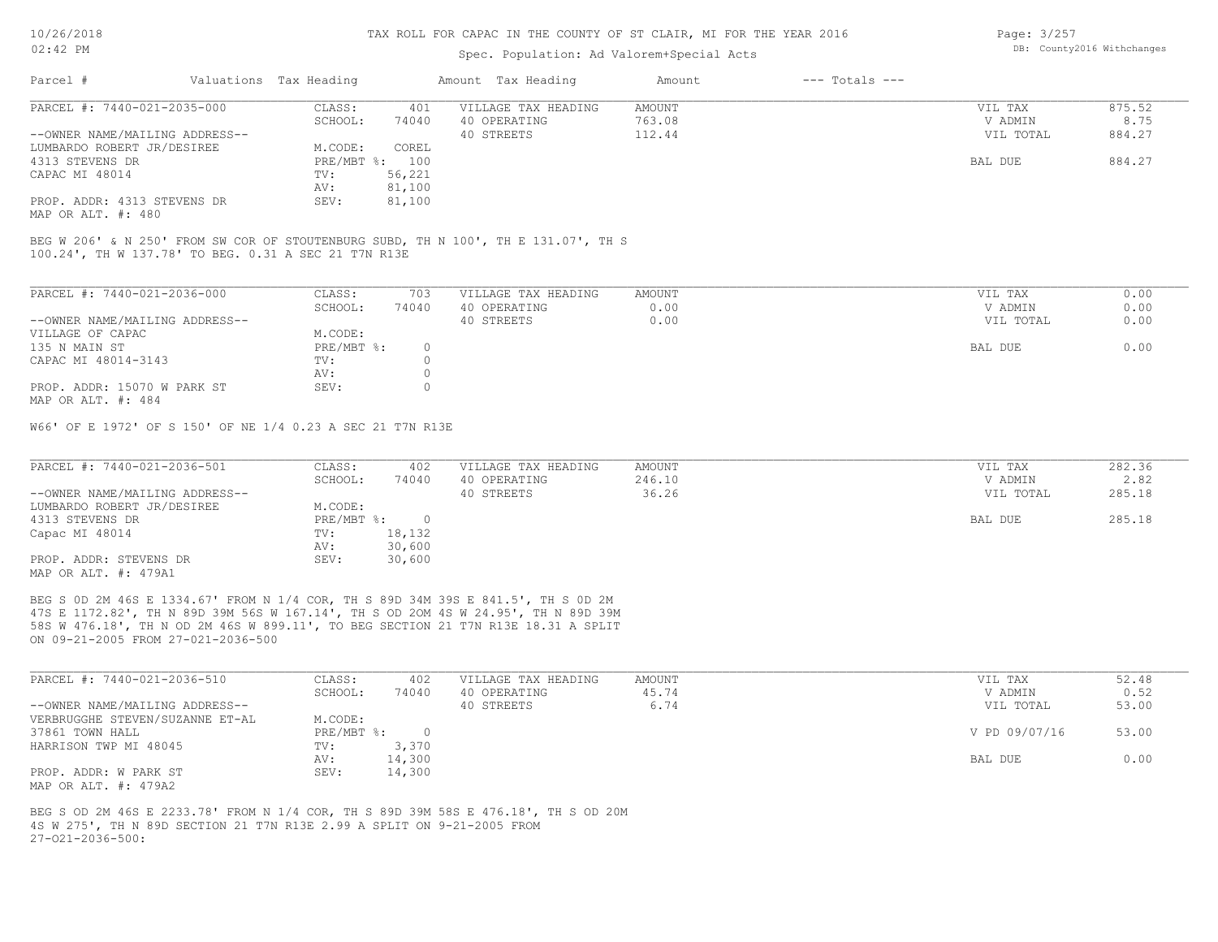### Spec. Population: Ad Valorem+Special Acts

Page: 3/257 DB: County2016 Withchanges

| Parcel #                       | Valuations Tax Heading |        | Amount Tax Heading  | Amount | $---$ Totals $---$ |           |        |
|--------------------------------|------------------------|--------|---------------------|--------|--------------------|-----------|--------|
| PARCEL #: 7440-021-2035-000    | CLASS:                 | 401    | VILLAGE TAX HEADING | AMOUNT |                    | VIL TAX   | 875.52 |
|                                | SCHOOL:                | 74040  | 40 OPERATING        | 763.08 |                    | V ADMIN   | 8.75   |
| --OWNER NAME/MAILING ADDRESS-- |                        |        | 40 STREETS          | 112.44 |                    | VIL TOTAL | 884.27 |
| LUMBARDO ROBERT JR/DESIREE     | M.CODE:                | COREL  |                     |        |                    |           |        |
| 4313 STEVENS DR                | PRE/MBT %: 100         |        |                     |        |                    | BAL DUE   | 884.27 |
| CAPAC MI 48014                 | TV:                    | 56,221 |                     |        |                    |           |        |
|                                | AV:                    | 81,100 |                     |        |                    |           |        |
| PROP. ADDR: 4313 STEVENS DR    | SEV:                   | 81,100 |                     |        |                    |           |        |
| MAP OR ALT. #: 480             |                        |        |                     |        |                    |           |        |

100.24', TH W 137.78' TO BEG. 0.31 A SEC 21 T7N R13E BEG W 206' & N 250' FROM SW COR OF STOUTENBURG SUBD, TH N 100', TH E 131.07', TH S

| PARCEL #: 7440-021-2036-000    | CLASS:     | 703   | VILLAGE TAX HEADING | AMOUNT | VIL TAX   | 0.00 |
|--------------------------------|------------|-------|---------------------|--------|-----------|------|
|                                | SCHOOL:    | 74040 | 40 OPERATING        | 0.00   | V ADMIN   | 0.00 |
| --OWNER NAME/MAILING ADDRESS-- |            |       | 40 STREETS          | 0.00   | VIL TOTAL | 0.00 |
| VILLAGE OF CAPAC               | M.CODE:    |       |                     |        |           |      |
| 135 N MAIN ST                  | PRE/MBT %: |       |                     |        | BAL DUE   | 0.00 |
| CAPAC MI 48014-3143            | TV:        |       |                     |        |           |      |
|                                | AV:        |       |                     |        |           |      |
| PROP. ADDR: 15070 W PARK ST    | SEV:       |       |                     |        |           |      |
| MAP OR ALT. #: 484             |            |       |                     |        |           |      |

W66' OF E 1972' OF S 150' OF NE 1/4 0.23 A SEC 21 T7N R13E

| PARCEL #: 7440-021-2036-501    | CLASS:       | 402    | VILLAGE TAX HEADING | AMOUNT | VIL TAX   | 282.36 |
|--------------------------------|--------------|--------|---------------------|--------|-----------|--------|
|                                | SCHOOL:      | 74040  | 40 OPERATING        | 246.10 | V ADMIN   | 2.82   |
| --OWNER NAME/MAILING ADDRESS-- |              |        | 40 STREETS          | 36.26  | VIL TOTAL | 285.18 |
| LUMBARDO ROBERT JR/DESIREE     | M.CODE:      |        |                     |        |           |        |
| 4313 STEVENS DR                | $PRE/MBT$ %: |        |                     |        | BAL DUE   | 285.18 |
| Capac MI 48014                 | TV:          | 18,132 |                     |        |           |        |
|                                | AV:          | 30,600 |                     |        |           |        |
| PROP. ADDR: STEVENS DR         | SEV:         | 30,600 |                     |        |           |        |
| MAP OR ALT. #: 479A1           |              |        |                     |        |           |        |

ON 09-21-2005 FROM 27-021-2036-500 58S W 476.18', TH N OD 2M 46S W 899.11', TO BEG SECTION 21 T7N R13E 18.31 A SPLIT 47S E 1172.82', TH N 89D 39M 56S W 167.14', TH S OD 2OM 4S W 24.95', TH N 89D 39M BEG S 0D 2M 46S E 1334.67' FROM N 1/4 COR, TH S 89D 34M 39S E 841.5', TH S 0D 2M

| PARCEL #: 7440-021-2036-510     | CLASS:       | 402    | VILLAGE TAX HEADING | AMOUNT | VIL TAX       | 52.48 |
|---------------------------------|--------------|--------|---------------------|--------|---------------|-------|
|                                 | SCHOOL:      | 74040  | 40 OPERATING        | 45.74  | V ADMIN       | 0.52  |
| --OWNER NAME/MAILING ADDRESS--  |              |        | 40 STREETS          | 6.74   | VIL TOTAL     | 53.00 |
| VERBRUGGHE STEVEN/SUZANNE ET-AL | M.CODE:      |        |                     |        |               |       |
| 37861 TOWN HALL                 | $PRE/MBT$ %: |        |                     |        | V PD 09/07/16 | 53.00 |
| HARRISON TWP MI 48045           | TV:          | 3,370  |                     |        |               |       |
|                                 | AV:          | 14,300 |                     |        | BAL DUE       | 0.00  |
| PROP. ADDR: W PARK ST           | SEV:         | 14,300 |                     |        |               |       |
| MAP OR ALT. #: 479A2            |              |        |                     |        |               |       |

 $27-021-2036-500$ : 4S W 275', TH N 89D SECTION 21 T7N R13E 2.99 A SPLIT ON 9-21-2005 FROM BEG S OD 2M 46S E 2233.78' FROM N 1/4 COR, TH S 89D 39M 58S E 476.18', TH S OD 20M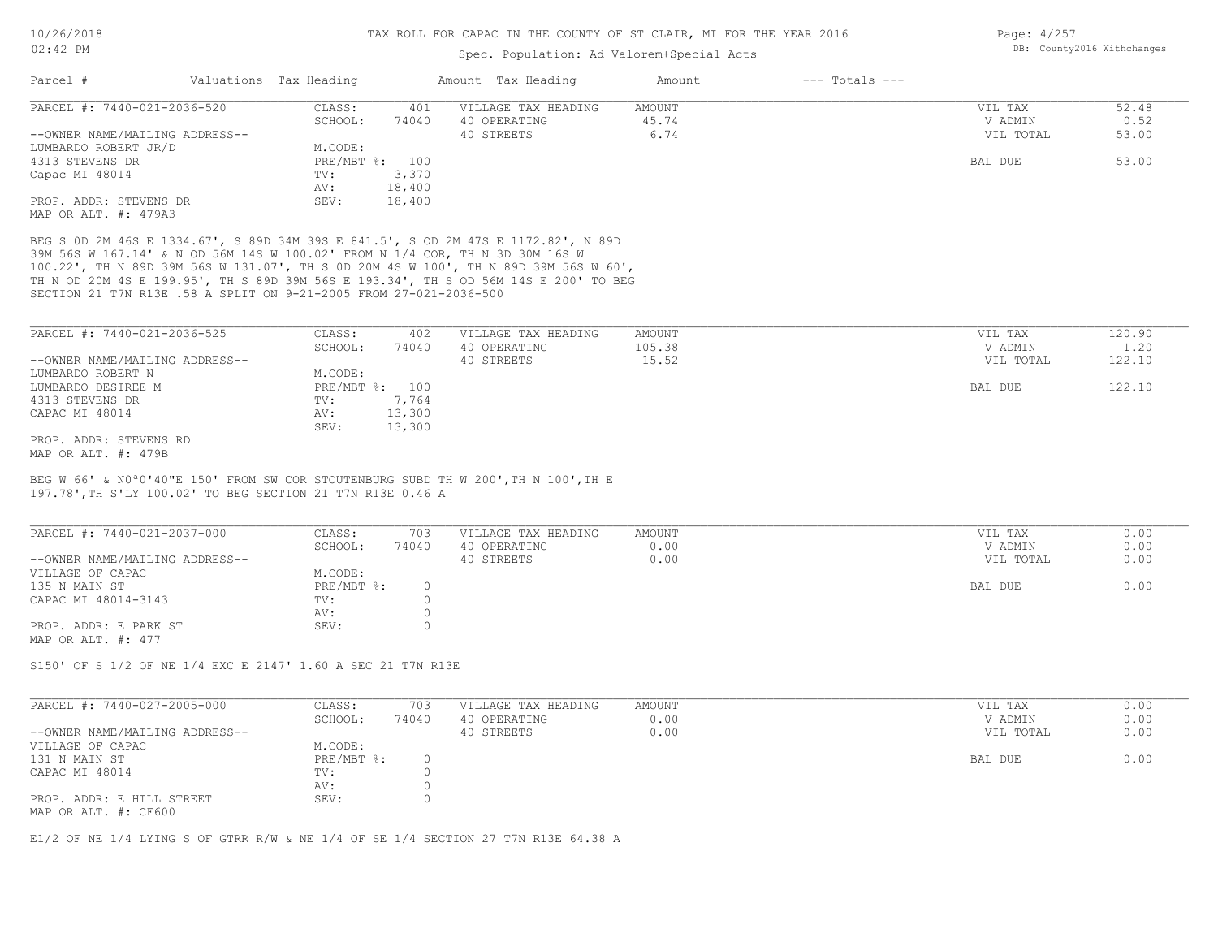### Spec. Population: Ad Valorem+Special Acts

| Page: 4/257 |                            |
|-------------|----------------------------|
|             | DB: County2016 Withchanges |

| Parcel #                                       | Valuations Tax Heading |        | Amount Tax Heading  | Amount | $---$ Totals $---$ |           |       |
|------------------------------------------------|------------------------|--------|---------------------|--------|--------------------|-----------|-------|
| PARCEL #: 7440-021-2036-520                    | CLASS:                 | 401    | VILLAGE TAX HEADING | AMOUNT |                    | VIL TAX   | 52.48 |
|                                                | SCHOOL:                | 74040  | 40 OPERATING        | 45.74  |                    | V ADMIN   | 0.52  |
| --OWNER NAME/MAILING ADDRESS--                 |                        |        | 40 STREETS          | 6.74   |                    | VIL TOTAL | 53.00 |
| LUMBARDO ROBERT JR/D                           | M.CODE:                |        |                     |        |                    |           |       |
| 4313 STEVENS DR                                | PRE/MBT %: 100         |        |                     |        |                    | BAL DUE   | 53.00 |
| Capac MI 48014                                 | TV:                    | 3,370  |                     |        |                    |           |       |
|                                                | AV:                    | 18,400 |                     |        |                    |           |       |
| PROP. ADDR: STEVENS DR<br>MAP OR ALT. #: 479A3 | SEV:                   | 18,400 |                     |        |                    |           |       |

SECTION 21 T7N R13E .58 A SPLIT ON 9-21-2005 FROM 27-021-2036-500 TH N OD 20M 4S E 199.95', TH S 89D 39M 56S E 193.34', TH S OD 56M 14S E 200' TO BEG 100.22', TH N 89D 39M 56S W 131.07', TH S 0D 20M 4S W 100', TH N 89D 39M 56S W 60', 39M 56S W 167.14' & N OD 56M 14S W 100.02' FROM N 1/4 COR, TH N 3D 30M 16S W BEG S 0D 2M 46S E 1334.67', S 89D 34M 39S E 841.5', S OD 2M 47S E 1172.82', N 89D

| PARCEL #: 7440-021-2036-525    | CLASS:  | 402            | VILLAGE TAX HEADING | AMOUNT | VIL TAX   | 120.90 |
|--------------------------------|---------|----------------|---------------------|--------|-----------|--------|
|                                | SCHOOL: | 74040          | 40 OPERATING        | 105.38 | V ADMIN   | 1.20   |
| --OWNER NAME/MAILING ADDRESS-- |         |                | 40 STREETS          | 15.52  | VIL TOTAL | 122.10 |
| LUMBARDO ROBERT N              | M.CODE: |                |                     |        |           |        |
| LUMBARDO DESIREE M             |         | PRE/MBT %: 100 |                     |        | BAL DUE   | 122.10 |
| 4313 STEVENS DR                | TV:     | 7,764          |                     |        |           |        |
| CAPAC MI 48014                 | AV:     | 13,300         |                     |        |           |        |
|                                | SEV:    | 13,300         |                     |        |           |        |
| PROP. ADDR: STEVENS RD         |         |                |                     |        |           |        |
| MAP OR ALT. #: 479B            |         |                |                     |        |           |        |

197.78',TH S'LY 100.02' TO BEG SECTION 21 T7N R13E 0.46 A BEG W 66' & N0ª0'40"E 150' FROM SW COR STOUTENBURG SUBD TH W 200',TH N 100',TH E

| PARCEL #: 7440-021-2037-000    | CLASS:     | 703   | VILLAGE TAX HEADING | AMOUNT | VIL TAX   | 0.00 |
|--------------------------------|------------|-------|---------------------|--------|-----------|------|
|                                | SCHOOL:    | 74040 | 40 OPERATING        | 0.00   | V ADMIN   | 0.00 |
| --OWNER NAME/MAILING ADDRESS-- |            |       | 40 STREETS          | 0.00   | VIL TOTAL | 0.00 |
| VILLAGE OF CAPAC               | M.CODE:    |       |                     |        |           |      |
| 135 N MAIN ST                  | PRE/MBT %: |       |                     |        | BAL DUE   | 0.00 |
| CAPAC MI 48014-3143            | TV:        |       |                     |        |           |      |
|                                | AV:        |       |                     |        |           |      |
| PROP. ADDR: E PARK ST          | SEV:       |       |                     |        |           |      |
| MAP OR ALT. #: 477             |            |       |                     |        |           |      |

S150' OF S 1/2 OF NE 1/4 EXC E 2147' 1.60 A SEC 21 T7N R13E

| PARCEL #: 7440-027-2005-000                       | CLASS:     | 703   | VILLAGE TAX HEADING | AMOUNT | VIL TAX   | 0.00 |
|---------------------------------------------------|------------|-------|---------------------|--------|-----------|------|
|                                                   | SCHOOL:    | 74040 | 40 OPERATING        | 0.00   | V ADMIN   | 0.00 |
| --OWNER NAME/MAILING ADDRESS--                    |            |       | 40 STREETS          | 0.00   | VIL TOTAL | 0.00 |
| VILLAGE OF CAPAC                                  | M.CODE:    |       |                     |        |           |      |
| 131 N MAIN ST                                     | PRE/MBT %: |       |                     |        | BAL DUE   | 0.00 |
| CAPAC MI 48014                                    | TV:        |       |                     |        |           |      |
|                                                   | AV:        |       |                     |        |           |      |
| PROP. ADDR: E HILL STREET<br>MAP OR ALT. #: CF600 | SEV:       |       |                     |        |           |      |

 $\mathcal{L}_\mathcal{L} = \mathcal{L}_\mathcal{L} = \mathcal{L}_\mathcal{L} = \mathcal{L}_\mathcal{L} = \mathcal{L}_\mathcal{L} = \mathcal{L}_\mathcal{L} = \mathcal{L}_\mathcal{L} = \mathcal{L}_\mathcal{L} = \mathcal{L}_\mathcal{L} = \mathcal{L}_\mathcal{L} = \mathcal{L}_\mathcal{L} = \mathcal{L}_\mathcal{L} = \mathcal{L}_\mathcal{L} = \mathcal{L}_\mathcal{L} = \mathcal{L}_\mathcal{L} = \mathcal{L}_\mathcal{L} = \mathcal{L}_\mathcal{L}$ 

E1/2 OF NE 1/4 LYING S OF GTRR R/W & NE 1/4 OF SE 1/4 SECTION 27 T7N R13E 64.38 A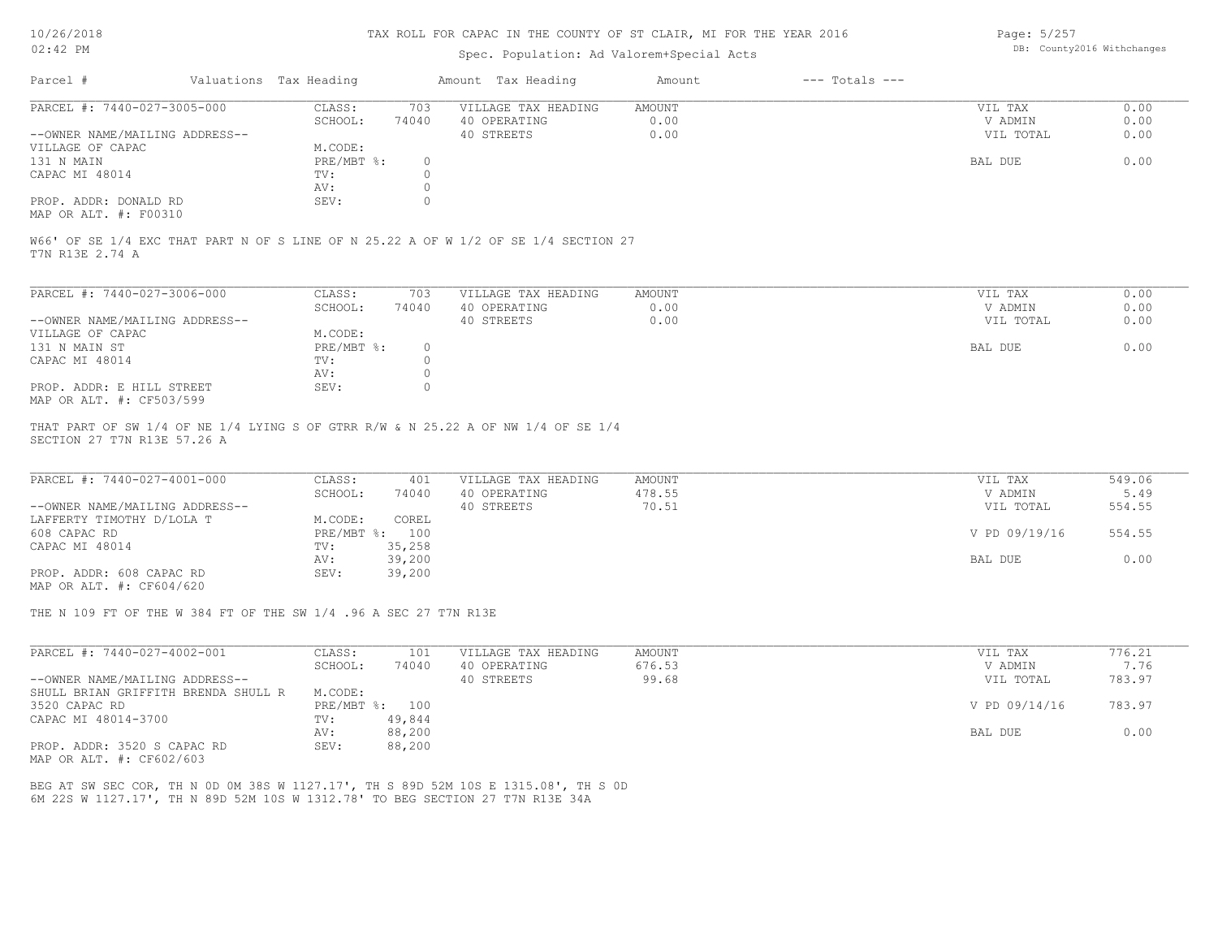## Spec. Population: Ad Valorem+Special Acts

Page: 5/257 DB: County2016 Withchanges

| Parcel #                       | Valuations Tax Heading |       | Amount Tax Heading  | Amount | $---$ Totals $---$ |           |      |
|--------------------------------|------------------------|-------|---------------------|--------|--------------------|-----------|------|
| PARCEL #: 7440-027-3005-000    | CLASS:                 | 703   | VILLAGE TAX HEADING | AMOUNT |                    | VIL TAX   | 0.00 |
|                                | SCHOOL:                | 74040 | 40 OPERATING        | 0.00   |                    | V ADMIN   | 0.00 |
| --OWNER NAME/MAILING ADDRESS-- |                        |       | 40 STREETS          | 0.00   |                    | VIL TOTAL | 0.00 |
| VILLAGE OF CAPAC               | M.CODE:                |       |                     |        |                    |           |      |
| 131 N MAIN                     | PRE/MBT %:             |       |                     |        |                    | BAL DUE   | 0.00 |
| CAPAC MI 48014                 | TV:                    |       |                     |        |                    |           |      |
|                                | AV:                    |       |                     |        |                    |           |      |
| PROP. ADDR: DONALD RD          | SEV:                   |       |                     |        |                    |           |      |
|                                |                        |       |                     |        |                    |           |      |

MAP OR ALT. #: F00310

T7N R13E 2.74 A W66' OF SE 1/4 EXC THAT PART N OF S LINE OF N 25.22 A OF W 1/2 OF SE 1/4 SECTION 27

| PARCEL #: 7440-027-3006-000    | CLASS:     | 703   | VILLAGE TAX HEADING | AMOUNT | VIL TAX   | 0.00 |
|--------------------------------|------------|-------|---------------------|--------|-----------|------|
|                                | SCHOOL:    | 74040 | 40 OPERATING        | 0.00   | V ADMIN   | 0.00 |
| --OWNER NAME/MAILING ADDRESS-- |            |       | 40 STREETS          | 0.00   | VIL TOTAL | 0.00 |
| VILLAGE OF CAPAC               | M.CODE:    |       |                     |        |           |      |
| 131 N MAIN ST                  | PRE/MBT %: | 0.    |                     |        | BAL DUE   | 0.00 |
| CAPAC MI 48014                 | TV:        |       |                     |        |           |      |
|                                | AV:        |       |                     |        |           |      |
| PROP. ADDR: E HILL STREET      | SEV:       |       |                     |        |           |      |
| MAP OR ALT. #: CF503/599       |            |       |                     |        |           |      |

SECTION 27 T7N R13E 57.26 A THAT PART OF SW 1/4 OF NE 1/4 LYING S OF GTRR R/W & N 25.22 A OF NW 1/4 OF SE 1/4

| PARCEL #: 7440-027-4001-000    | CLASS:  | 401            | VILLAGE TAX HEADING | AMOUNT | VIL TAX       | 549.06 |
|--------------------------------|---------|----------------|---------------------|--------|---------------|--------|
|                                | SCHOOL: | 74040          | 40 OPERATING        | 478.55 | V ADMIN       | 5.49   |
| --OWNER NAME/MAILING ADDRESS-- |         |                | 40 STREETS          | 70.51  | VIL TOTAL     | 554.55 |
| LAFFERTY TIMOTHY D/LOLA T      | M.CODE: | COREL          |                     |        |               |        |
| 608 CAPAC RD                   |         | PRE/MBT %: 100 |                     |        | V PD 09/19/16 | 554.55 |
| CAPAC MI 48014                 | TV:     | 35,258         |                     |        |               |        |
|                                | AV:     | 39,200         |                     |        | BAL DUE       | 0.00   |
| PROP. ADDR: 608 CAPAC RD       | SEV:    | 39,200         |                     |        |               |        |
|                                |         |                |                     |        |               |        |

MAP OR ALT. #: CF604/620

THE N 109 FT OF THE W 384 FT OF THE SW 1/4 .96 A SEC 27 T7N R13E

| PARCEL #: 7440-027-4002-001         | CLASS:     | 101    | VILLAGE TAX HEADING | AMOUNT | VIL TAX       | 776.21 |  |
|-------------------------------------|------------|--------|---------------------|--------|---------------|--------|--|
|                                     | SCHOOL:    | 74040  | 40 OPERATING        | 676.53 | V ADMIN       | 7.76   |  |
| --OWNER NAME/MAILING ADDRESS--      |            |        | 40 STREETS          | 99.68  | VIL TOTAL     | 783.97 |  |
| SHULL BRIAN GRIFFITH BRENDA SHULL R | M.CODE:    |        |                     |        |               |        |  |
| 3520 CAPAC RD                       | PRE/MBT %: | 100    |                     |        | V PD 09/14/16 | 783.97 |  |
| CAPAC MI 48014-3700                 | TV:        | 49,844 |                     |        |               |        |  |
|                                     | AV:        | 88,200 |                     |        | BAL DUE       | 0.00   |  |
| PROP. ADDR: 3520 S CAPAC RD         | SEV:       | 88,200 |                     |        |               |        |  |

MAP OR ALT. #: CF602/603

6M 22S W 1127.17', TH N 89D 52M 10S W 1312.78' TO BEG SECTION 27 T7N R13E 34A BEG AT SW SEC COR, TH N 0D 0M 38S W 1127.17', TH S 89D 52M 10S E 1315.08', TH S 0D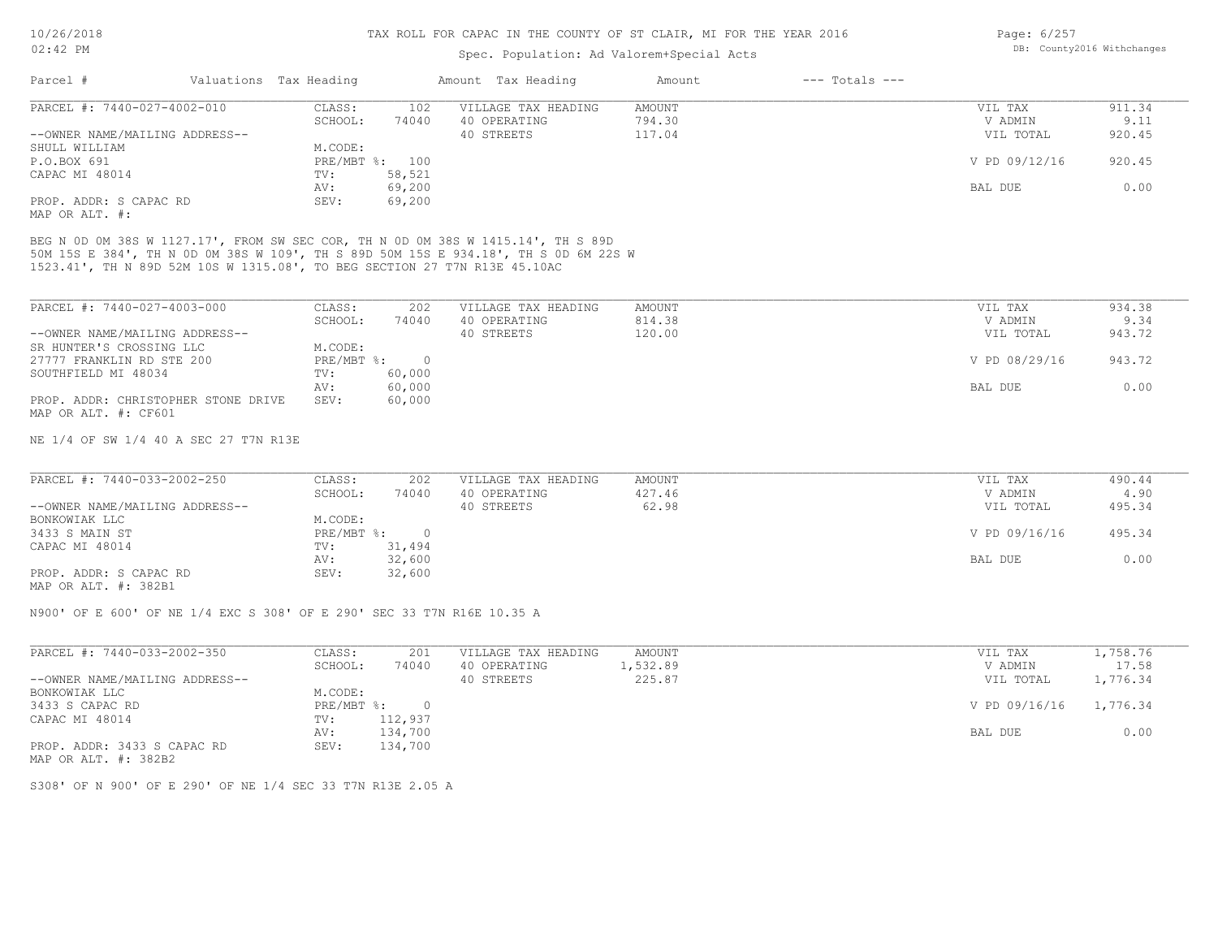### Spec. Population: Ad Valorem+Special Acts

| Page: 6/257 |                            |
|-------------|----------------------------|
|             | DB: County2016 Withchanges |

| Parcel #                       | Valuations Tax Heading |                | Amount Tax Heading  | Amount | $---$ Totals $---$ |               |        |
|--------------------------------|------------------------|----------------|---------------------|--------|--------------------|---------------|--------|
| PARCEL #: 7440-027-4002-010    | CLASS:                 | 102            | VILLAGE TAX HEADING | AMOUNT |                    | VIL TAX       | 911.34 |
|                                | SCHOOL:                | 74040          | 40 OPERATING        | 794.30 |                    | V ADMIN       | 9.11   |
| --OWNER NAME/MAILING ADDRESS-- |                        |                | 40 STREETS          | 117.04 |                    | VIL TOTAL     | 920.45 |
| SHULL WILLIAM                  | M.CODE:                |                |                     |        |                    |               |        |
| P.O.BOX 691                    |                        | PRE/MBT %: 100 |                     |        |                    | V PD 09/12/16 | 920.45 |
| CAPAC MI 48014                 | TV:                    | 58,521         |                     |        |                    |               |        |
|                                | AV:                    | 69,200         |                     |        |                    | BAL DUE       | 0.00   |
| PROP. ADDR: S CAPAC RD         | SEV:                   | 69,200         |                     |        |                    |               |        |
| MAP OR ALT. #:                 |                        |                |                     |        |                    |               |        |

1523.41', TH N 89D 52M 10S W 1315.08', TO BEG SECTION 27 T7N R13E 45.10AC 50M 15S E 384', TH N 0D 0M 38S W 109', TH S 89D 50M 15S E 934.18', TH S 0D 6M 22S W BEG N 0D 0M 38S W 1127.17', FROM SW SEC COR, TH N 0D 0M 38S W 1415.14', TH S 89D

| PARCEL #: 7440-027-4003-000         | CLASS:     | 202    | VILLAGE TAX HEADING | AMOUNT | VIL TAX       | 934.38 |
|-------------------------------------|------------|--------|---------------------|--------|---------------|--------|
|                                     | SCHOOL:    | 74040  | 40 OPERATING        | 814.38 | V ADMIN       | 9.34   |
| --OWNER NAME/MAILING ADDRESS--      |            |        | 40 STREETS          | 120.00 | VIL TOTAL     | 943.72 |
| SR HUNTER'S CROSSING LLC            | M.CODE:    |        |                     |        |               |        |
| 27777 FRANKLIN RD STE 200           | PRE/MBT %: |        |                     |        | V PD 08/29/16 | 943.72 |
| SOUTHFIELD MI 48034                 | TV:        | 60,000 |                     |        |               |        |
|                                     | AV:        | 60,000 |                     |        | BAL DUE       | 0.00   |
| PROP. ADDR: CHRISTOPHER STONE DRIVE | SEV:       | 60,000 |                     |        |               |        |
| MAP OR ALT. #: CF601                |            |        |                     |        |               |        |

NE 1/4 OF SW 1/4 40 A SEC 27 T7N R13E

| PARCEL #: 7440-033-2002-250    | CLASS:       | 202    | VILLAGE TAX HEADING | AMOUNT | VIL TAX       | 490.44 |
|--------------------------------|--------------|--------|---------------------|--------|---------------|--------|
|                                | SCHOOL:      | 74040  | 40 OPERATING        | 427.46 | V ADMIN       | 4.90   |
| --OWNER NAME/MAILING ADDRESS-- |              |        | 40 STREETS          | 62.98  | VIL TOTAL     | 495.34 |
| BONKOWIAK LLC                  | M.CODE:      |        |                     |        |               |        |
| 3433 S MAIN ST                 | $PRE/MBT$ %: |        |                     |        | V PD 09/16/16 | 495.34 |
| CAPAC MI 48014                 | TV:          | 31,494 |                     |        |               |        |
|                                | AV:          | 32,600 |                     |        | BAL DUE       | 0.00   |
| PROP. ADDR: S CAPAC RD         | SEV:         | 32,600 |                     |        |               |        |
| $\frac{1}{2}$                  |              |        |                     |        |               |        |

MAP OR ALT. #: 382B1

N900' OF E 600' OF NE 1/4 EXC S 308' OF E 290' SEC 33 T7N R16E 10.35 A

| PARCEL #: 7440-033-2002-350    | CLASS:     | 201          | VILLAGE TAX HEADING | AMOUNT   | VIL TAX                | 1,758.76 |
|--------------------------------|------------|--------------|---------------------|----------|------------------------|----------|
|                                | SCHOOL:    | 74040        | 40 OPERATING        | 1,532.89 | V ADMIN                | 17.58    |
| --OWNER NAME/MAILING ADDRESS-- |            |              | 40 STREETS          | 225.87   | VIL TOTAL              | 1,776.34 |
| BONKOWIAK LLC                  | M.CODE:    |              |                     |          |                        |          |
| 3433 S CAPAC RD                | PRE/MBT %: | <sup>n</sup> |                     |          | V PD 09/16/16 1,776.34 |          |
| CAPAC MI 48014                 | TV:        | 112,937      |                     |          |                        |          |
|                                | AV:        | 134,700      |                     |          | BAL DUE                | 0.00     |
| PROP. ADDR: 3433 S CAPAC RD    | SEV:       | 134,700      |                     |          |                        |          |

MAP OR ALT. #: 382B2

S308' OF N 900' OF E 290' OF NE 1/4 SEC 33 T7N R13E 2.05 A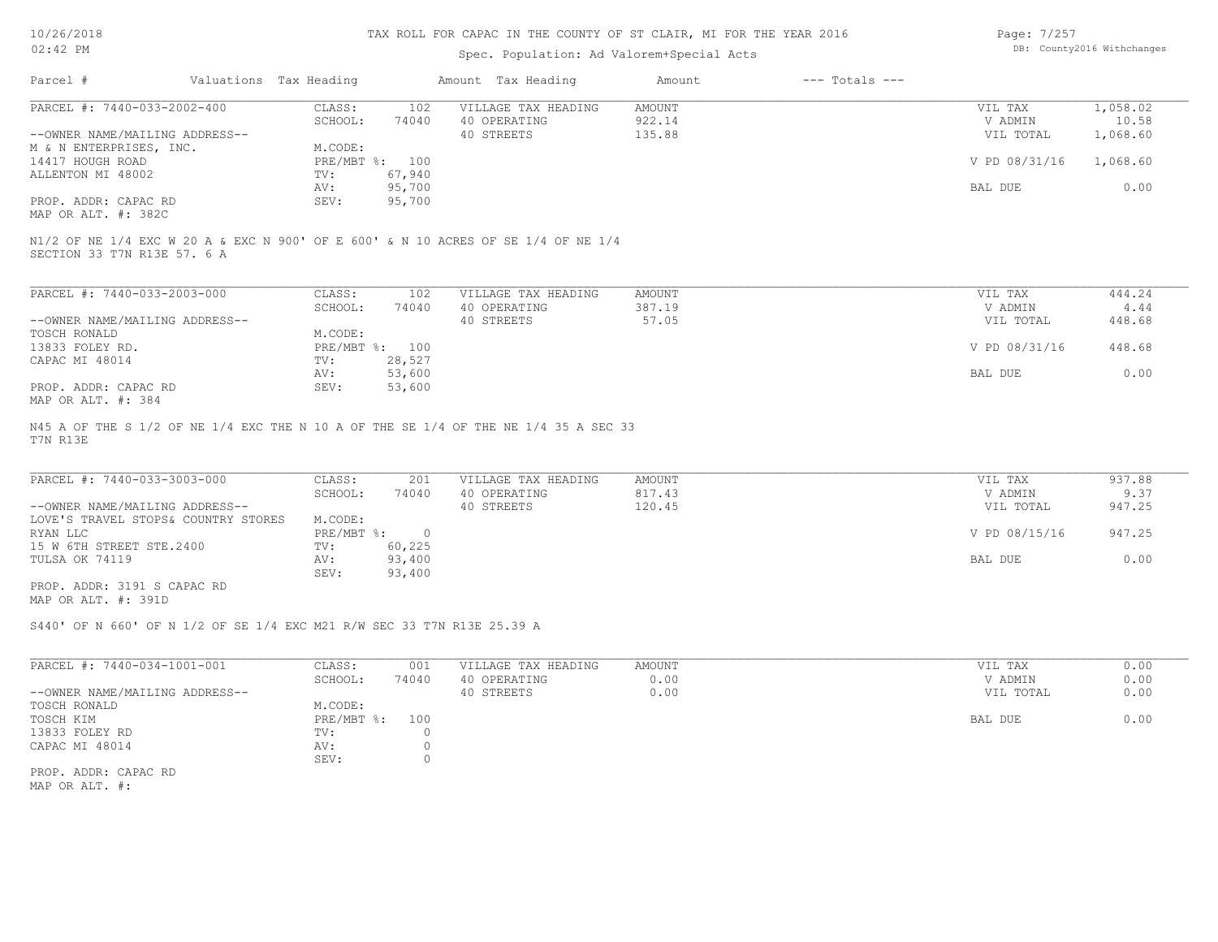## TAX ROLL FOR CAPAC IN THE COUNTY OF ST CLAIR, MI FOR THE YEAR 2016

## Spec. Population: Ad Valorem+Special Acts

Page: 7/257 DB: County2016 Withchanges

| Parcel #                                                                                                                                | Valuations Tax Heading | Amount Tax Heading  | Amount | $---$ Totals $---$ |               |          |
|-----------------------------------------------------------------------------------------------------------------------------------------|------------------------|---------------------|--------|--------------------|---------------|----------|
| PARCEL #: 7440-033-2002-400                                                                                                             | CLASS:<br>102          | VILLAGE TAX HEADING | AMOUNT |                    | VIL TAX       | 1,058.02 |
|                                                                                                                                         | SCHOOL:<br>74040       | 40 OPERATING        | 922.14 |                    | V ADMIN       | 10.58    |
| --OWNER NAME/MAILING ADDRESS--                                                                                                          |                        | 40 STREETS          | 135.88 |                    | VIL TOTAL     | 1,068.60 |
| M & N ENTERPRISES, INC.                                                                                                                 | M.CODE:                |                     |        |                    |               |          |
| 14417 HOUGH ROAD                                                                                                                        | PRE/MBT %: 100         |                     |        |                    | V PD 08/31/16 | 1,068.60 |
| ALLENTON MI 48002                                                                                                                       | 67,940<br>TV:          |                     |        |                    |               |          |
|                                                                                                                                         | 95,700<br>AV:          |                     |        |                    | BAL DUE       | 0.00     |
| PROP. ADDR: CAPAC RD                                                                                                                    | 95,700<br>SEV:         |                     |        |                    |               |          |
|                                                                                                                                         |                        |                     |        |                    |               |          |
| MAP OR ALT. #: 382C<br>N1/2 OF NE 1/4 EXC W 20 A & EXC N 900' OF E 600' & N 10 ACRES OF SE 1/4 OF NE 1/4<br>SECTION 33 T7N R13E 57. 6 A |                        |                     |        |                    |               |          |
| PARCEL #: 7440-033-2003-000                                                                                                             | 102<br>CLASS:          | VILLAGE TAX HEADING | AMOUNT |                    | VIL TAX       | 444.24   |
|                                                                                                                                         | SCHOOL:<br>74040       | 40 OPERATING        | 387.19 |                    | V ADMIN       | 4.44     |
|                                                                                                                                         |                        | 40 STREETS          | 57.05  |                    | VIL TOTAL     | 448.68   |
| --OWNER NAME/MAILING ADDRESS--<br><b>TOSCH RONALD</b>                                                                                   | M.CODE:                |                     |        |                    |               |          |
|                                                                                                                                         | PRE/MBT %: 100         |                     |        |                    | V PD 08/31/16 | 448.68   |
|                                                                                                                                         | 28,527<br>TV:          |                     |        |                    |               |          |
| 13833 FOLEY RD.<br>CAPAC MI 48014                                                                                                       | 53,600<br>AV:          |                     |        |                    | BAL DUE       | 0.00     |
| PROP. ADDR: CAPAC RD<br>MAP OR ALT. #: 384                                                                                              | 53,600<br>SEV:         |                     |        |                    |               |          |

T7N R13E

| PARCEL #: 7440-033-3003-000         | CLASS:     | 201    | VILLAGE TAX HEADING | AMOUNT | VIL TAX       | 937.88 |
|-------------------------------------|------------|--------|---------------------|--------|---------------|--------|
|                                     | SCHOOL:    | 74040  | 40 OPERATING        | 817.43 | V ADMIN       | 9.37   |
| --OWNER NAME/MAILING ADDRESS--      |            |        | 40 STREETS          | 120.45 | VIL TOTAL     | 947.25 |
| LOVE'S TRAVEL STOPS& COUNTRY STORES | M.CODE:    |        |                     |        |               |        |
| RYAN LLC                            | PRE/MBT %: |        |                     |        | V PD 08/15/16 | 947.25 |
| 15 W 6TH STREET STE.2400            | TV:        | 60,225 |                     |        |               |        |
| TULSA OK 74119                      | AV:        | 93,400 |                     |        | BAL DUE       | 0.00   |
|                                     | SEV:       | 93,400 |                     |        |               |        |
| PROP. ADDR: 3191 S CAPAC RD         |            |        |                     |        |               |        |

MAP OR ALT. #: 391D

S440' OF N 660' OF N 1/2 OF SE 1/4 EXC M21 R/W SEC 33 T7N R13E 25.39 A

| PARCEL #: 7440-034-1001-001    | CLASS:        | 001   | VILLAGE TAX HEADING | AMOUNT | VIL TAX   | 0.00 |
|--------------------------------|---------------|-------|---------------------|--------|-----------|------|
|                                | SCHOOL:       | 74040 | 40 OPERATING        | 0.00   | V ADMIN   | 0.00 |
| --OWNER NAME/MAILING ADDRESS-- |               |       | 40 STREETS          | 0.00   | VIL TOTAL | 0.00 |
| TOSCH RONALD                   | M.CODE:       |       |                     |        |           |      |
| TOSCH KIM                      | $PRE/MBT$ %:  | 100   |                     |        | BAL DUE   | 0.00 |
| 13833 FOLEY RD                 | $\text{TV}$ : |       |                     |        |           |      |
| CAPAC MI 48014                 | AV:           |       |                     |        |           |      |
|                                | SEV:          |       |                     |        |           |      |
| PROP. ADDR: CAPAC RD           |               |       |                     |        |           |      |

MAP OR ALT. #: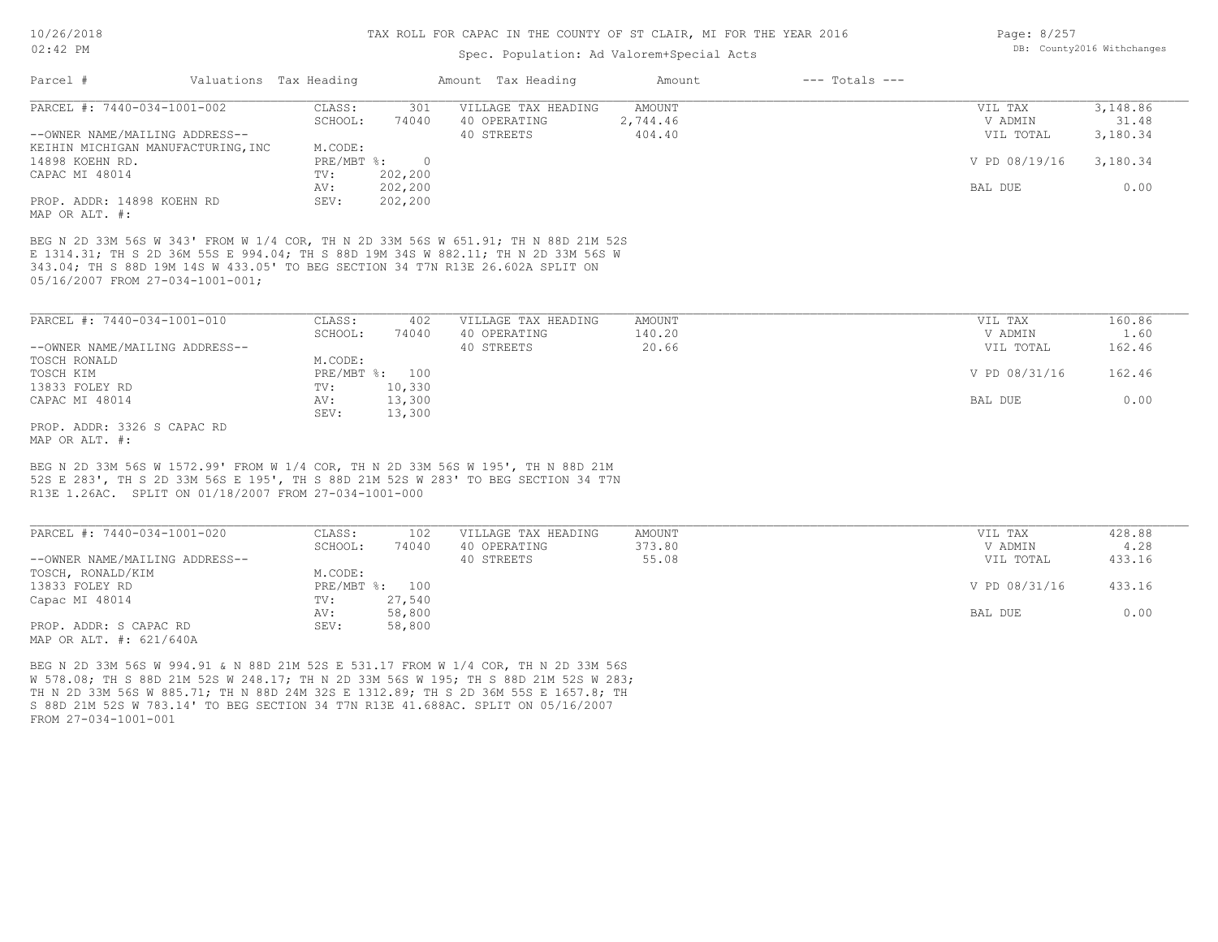FROM 27-034-1001-001

MAP OR ALT. #: 621/640A

S 88D 21M 52S W 783.14' TO BEG SECTION 34 T7N R13E 41.688AC. SPLIT ON 05/16/2007 TH N 2D 33M 56S W 885.71; TH N 88D 24M 32S E 1312.89; TH S 2D 36M 55S E 1657.8; TH W 578.08; TH S 88D 21M 52S W 248.17; TH N 2D 33M 56S W 195; TH S 88D 21M 52S W 283; BEG N 2D 33M 56S W 994.91 & N 88D 21M 52S E 531.17 FROM W 1/4 COR, TH N 2D 33M 56S

PROP. ADDR: S CAPAC RD SEV: 58,800

Capac MI 48014 TV: 27,540<br>
AV: 58,800

#### TAX ROLL FOR CAPAC IN THE COUNTY OF ST CLAIR, MI FOR THE YEAR 2016

### Spec. Population: Ad Valorem+Special Acts

|  | Page: 8/257 |                            |
|--|-------------|----------------------------|
|  |             | DB: County2016 Withchanges |

 $\frac{1}{2}$   $\frac{1}{2}$ 

| Parcel #                                                                                                                                                                                                                       | Valuations Tax Heading |                    |                | Amount Tax Heading  | Amount        | $---$ Totals $---$ |               |          |
|--------------------------------------------------------------------------------------------------------------------------------------------------------------------------------------------------------------------------------|------------------------|--------------------|----------------|---------------------|---------------|--------------------|---------------|----------|
| PARCEL #: 7440-034-1001-002                                                                                                                                                                                                    |                        | CLASS:             | 301            | VILLAGE TAX HEADING | <b>AMOUNT</b> |                    | VIL TAX       | 3,148.86 |
|                                                                                                                                                                                                                                |                        | SCHOOL:            | 74040          | 40 OPERATING        | 2,744.46      |                    | V ADMIN       | 31.48    |
| --OWNER NAME/MAILING ADDRESS--                                                                                                                                                                                                 |                        |                    |                | 40 STREETS          | 404.40        |                    | VIL TOTAL     | 3,180.34 |
| KEIHIN MICHIGAN MANUFACTURING, INC                                                                                                                                                                                             |                        | M.CODE:            |                |                     |               |                    |               |          |
| 14898 KOEHN RD.                                                                                                                                                                                                                |                        | PRE/MBT %:         | $\overline{0}$ |                     |               |                    | V PD 08/19/16 | 3,180.34 |
| CAPAC MI 48014                                                                                                                                                                                                                 |                        | TV:                | 202,200        |                     |               |                    |               |          |
|                                                                                                                                                                                                                                |                        | AV:                | 202,200        |                     |               |                    | BAL DUE       | 0.00     |
| PROP. ADDR: 14898 KOEHN RD                                                                                                                                                                                                     |                        | SEV:               | 202,200        |                     |               |                    |               |          |
| MAP OR ALT. #:                                                                                                                                                                                                                 |                        |                    |                |                     |               |                    |               |          |
| E 1314.31; TH S 2D 36M 55S E 994.04; TH S 88D 19M 34S W 882.11; TH N 2D 33M 56S W<br>343.04; TH S 88D 19M 14S W 433.05' TO BEG SECTION 34 T7N R13E 26.602A SPLIT ON<br>05/16/2007 FROM 27-034-1001-001;                        |                        |                    |                |                     |               |                    |               |          |
| PARCEL #: 7440-034-1001-010                                                                                                                                                                                                    |                        | CLASS:             | 402            | VILLAGE TAX HEADING | AMOUNT        |                    | VIL TAX       | 160.86   |
|                                                                                                                                                                                                                                |                        | SCHOOL:            | 74040          | 40 OPERATING        | 140.20        |                    | V ADMIN       | 1.60     |
| --OWNER NAME/MAILING ADDRESS--                                                                                                                                                                                                 |                        |                    |                | 40 STREETS          | 20.66         |                    | VIL TOTAL     | 162.46   |
| TOSCH RONALD                                                                                                                                                                                                                   |                        | M.CODE:            |                |                     |               |                    |               |          |
| TOSCH KIM                                                                                                                                                                                                                      |                        |                    | PRE/MBT %: 100 |                     |               |                    | V PD 08/31/16 | 162.46   |
| 13833 FOLEY RD                                                                                                                                                                                                                 |                        | TV:                | 10,330         |                     |               |                    |               |          |
| CAPAC MI 48014                                                                                                                                                                                                                 |                        | AV:                | 13,300         |                     |               |                    | BAL DUE       | 0.00     |
|                                                                                                                                                                                                                                |                        | SEV:               | 13,300         |                     |               |                    |               |          |
| PROP. ADDR: 3326 S CAPAC RD                                                                                                                                                                                                    |                        |                    |                |                     |               |                    |               |          |
| MAP OR ALT. #:                                                                                                                                                                                                                 |                        |                    |                |                     |               |                    |               |          |
| BEG N 2D 33M 56S W 1572.99' FROM W 1/4 COR, TH N 2D 33M 56S W 195', TH N 88D 21M<br>52S E 283', TH S 2D 33M 56S E 195', TH S 88D 21M 52S W 283' TO BEG SECTION 34 T7N<br>R13E 1.26AC. SPLIT ON 01/18/2007 FROM 27-034-1001-000 |                        |                    |                |                     |               |                    |               |          |
|                                                                                                                                                                                                                                |                        |                    |                |                     |               |                    |               |          |
| PARCEL #: 7440-034-1001-020                                                                                                                                                                                                    |                        | CLASS:             | 102            | VILLAGE TAX HEADING | AMOUNT        |                    | VIL TAX       | 428.88   |
|                                                                                                                                                                                                                                |                        | SCHOOL:            | 74040          | 40 OPERATING        | 373.80        |                    | V ADMIN       | 4.28     |
| --OWNER NAME/MAILING ADDRESS--                                                                                                                                                                                                 |                        |                    |                | 40 STREETS          | 55.08         |                    | VIL TOTAL     | 433.16   |
| TOSCH, RONALD/KIM                                                                                                                                                                                                              |                        | M.CODE:            |                |                     |               |                    |               |          |
| 13833 FOLEY RD                                                                                                                                                                                                                 |                        | $PRE/MBT$ $\div$ : | 100            |                     |               |                    | V PD 08/31/16 | 433.16   |

AV: 58,800 BAL DUE 0.00

13833 FOLEY RD PRE/MBT %: 100 V PD 08/31/16 433.16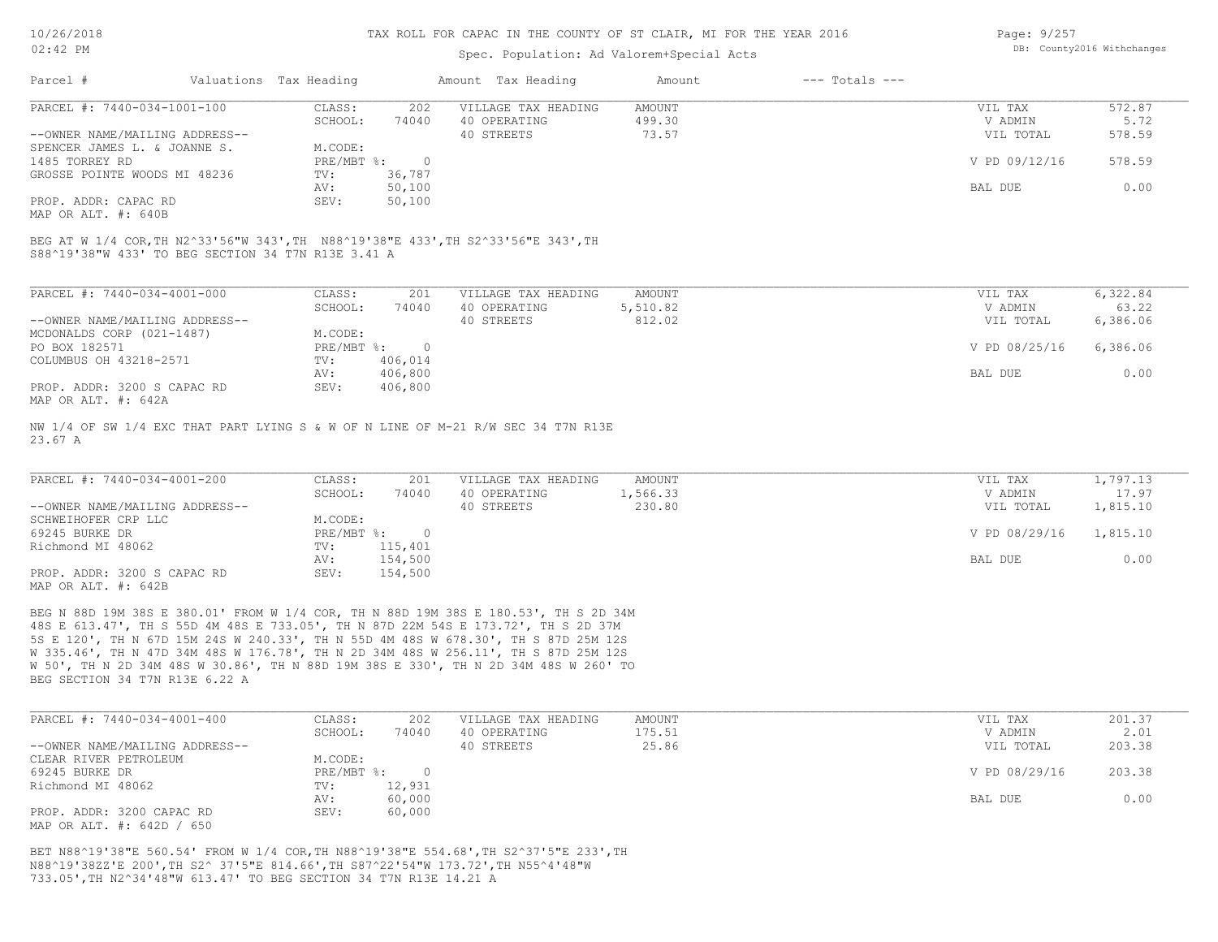### Spec. Population: Ad Valorem+Special Acts

Page: 9/257 DB: County2016 Withchanges

| Parcel #                       | Valuations Tax Heading |        | Amount Tax Heading  | Amount | $---$ Totals $---$ |               |        |
|--------------------------------|------------------------|--------|---------------------|--------|--------------------|---------------|--------|
| PARCEL #: 7440-034-1001-100    | CLASS:                 | 202    | VILLAGE TAX HEADING | AMOUNT |                    | VIL TAX       | 572.87 |
|                                | SCHOOL:                | 74040  | 40 OPERATING        | 499.30 |                    | V ADMIN       | 5.72   |
| --OWNER NAME/MAILING ADDRESS-- |                        |        | 40 STREETS          | 73.57  |                    | VIL TOTAL     | 578.59 |
| SPENCER JAMES L. & JOANNE S.   | M.CODE:                |        |                     |        |                    |               |        |
| 1485 TORREY RD                 | PRE/MBT %:             |        |                     |        |                    | V PD 09/12/16 | 578.59 |
| GROSSE POINTE WOODS MI 48236   | TV:                    | 36,787 |                     |        |                    |               |        |
|                                | AV:                    | 50,100 |                     |        |                    | BAL DUE       | 0.00   |
| PROP. ADDR: CAPAC RD           | SEV:                   | 50,100 |                     |        |                    |               |        |
|                                |                        |        |                     |        |                    |               |        |

MAP OR ALT. #: 640B

S88^19'38"W 433' TO BEG SECTION 34 T7N R13E 3.41 A BEG AT W 1/4 COR,TH N2^33'56"W 343',TH N88^19'38"E 433',TH S2^33'56"E 343',TH

| PARCEL #: 7440-034-4001-000    | CLASS:     | 201      | VILLAGE TAX HEADING | AMOUNT   | VIL TAX       | 6,322.84 |
|--------------------------------|------------|----------|---------------------|----------|---------------|----------|
|                                | SCHOOL:    | 74040    | 40 OPERATING        | 5,510.82 | V ADMIN       | 63.22    |
| --OWNER NAME/MAILING ADDRESS-- |            |          | 40 STREETS          | 812.02   | VIL TOTAL     | 6,386.06 |
| MCDONALDS CORP (021-1487)      | M.CODE:    |          |                     |          |               |          |
| PO BOX 182571                  | PRE/MBT %: | $\Omega$ |                     |          | V PD 08/25/16 | 6,386.06 |
| COLUMBUS OH 43218-2571         | TV:        | 406,014  |                     |          |               |          |
|                                | AV:        | 406,800  |                     |          | BAL DUE       | 0.00     |
| PROP. ADDR: 3200 S CAPAC RD    | SEV:       | 406,800  |                     |          |               |          |
| MAP OR ALT. #: 642A            |            |          |                     |          |               |          |

23.67 A NW 1/4 OF SW 1/4 EXC THAT PART LYING S & W OF N LINE OF M-21 R/W SEC 34 T7N R13E

| PARCEL #: 7440-034-4001-200    | CLASS:       | 201     | VILLAGE TAX HEADING | AMOUNT   | VIL TAX       | 1,797.13 |
|--------------------------------|--------------|---------|---------------------|----------|---------------|----------|
|                                | SCHOOL:      | 74040   | 40 OPERATING        | 1,566.33 | V ADMIN       | 17.97    |
| --OWNER NAME/MAILING ADDRESS-- |              |         | 40 STREETS          | 230.80   | VIL TOTAL     | 1,815.10 |
| SCHWEIHOFER CRP LLC            | M.CODE:      |         |                     |          |               |          |
| 69245 BURKE DR                 | $PRE/MBT$ %: |         |                     |          | V PD 08/29/16 | 1,815.10 |
| Richmond MI 48062              | TV:          | 115,401 |                     |          |               |          |
|                                | AV:          | 154,500 |                     |          | BAL DUE       | 0.00     |
| PROP. ADDR: 3200 S CAPAC RD    | SEV:         | 154,500 |                     |          |               |          |
| MAP OR ALT. #: 642B            |              |         |                     |          |               |          |

BEG SECTION 34 T7N R13E 6.22 A W 50', TH N 2D 34M 48S W 30.86', TH N 88D 19M 38S E 330', TH N 2D 34M 48S W 260' TO W 335.46', TH N 47D 34M 48S W 176.78', TH N 2D 34M 48S W 256.11', TH S 87D 25M 12S 5S E 120', TH N 67D 15M 24S W 240.33', TH N 55D 4M 48S W 678.30', TH S 87D 25M 12S 48S E 613.47', TH S 55D 4M 48S E 733.05', TH N 87D 22M 54S E 173.72', TH S 2D 37M BEG N 88D 19M 38S E 380.01' FROM W 1/4 COR, TH N 88D 19M 38S E 180.53', TH S 2D 34M

| PARCEL #: 7440-034-4001-400    | CLASS:       | 202    | VILLAGE TAX HEADING | AMOUNT | VIL TAX       | 201.37 |
|--------------------------------|--------------|--------|---------------------|--------|---------------|--------|
|                                | SCHOOL:      | 74040  | 40 OPERATING        | 175.51 | V ADMIN       | 2.01   |
| --OWNER NAME/MAILING ADDRESS-- |              |        | 40 STREETS          | 25.86  | VIL TOTAL     | 203.38 |
| CLEAR RIVER PETROLEUM          | M.CODE:      |        |                     |        |               |        |
| 69245 BURKE DR                 | $PRE/MBT$ %: |        |                     |        | V PD 08/29/16 | 203.38 |
| Richmond MI 48062              | TV:          | 12,931 |                     |        |               |        |
|                                | AV:          | 60,000 |                     |        | BAL DUE       | 0.00   |
| PROP. ADDR: 3200 CAPAC RD      | SEV:         | 60,000 |                     |        |               |        |
| MAP OR ALT. #: 642D / 650      |              |        |                     |        |               |        |

733.05',TH N2^34'48"W 613.47' TO BEG SECTION 34 T7N R13E 14.21 A N88^19'38ZZ'E 200',TH S2^ 37'5"E 814.66',TH S87^22'54"W 173.72',TH N55^4'48"W BET N88^19'38"E 560.54' FROM W 1/4 COR,TH N88^19'38"E 554.68',TH S2^37'5"E 233',TH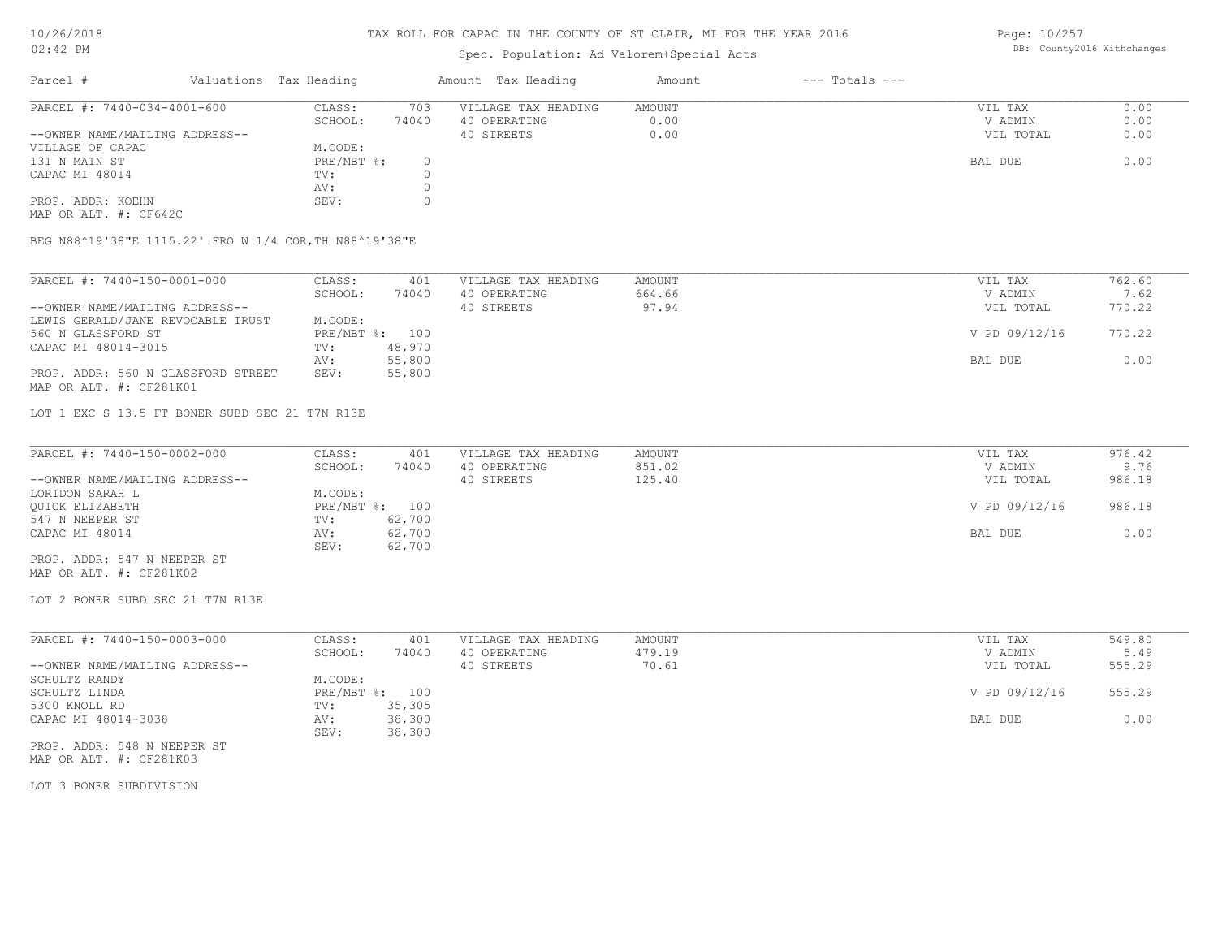## Spec. Population: Ad Valorem+Special Acts

Page: 10/257 DB: County2016 Withchanges

| Parcel #                       | Valuations Tax Heading |       | Amount Tax Heading  | Amount | $---$ Totals $---$ |           |      |
|--------------------------------|------------------------|-------|---------------------|--------|--------------------|-----------|------|
| PARCEL #: 7440-034-4001-600    | CLASS:                 | 703   | VILLAGE TAX HEADING | AMOUNT |                    | VIL TAX   | 0.00 |
|                                | SCHOOL:                | 74040 | 40 OPERATING        | 0.00   |                    | V ADMIN   | 0.00 |
| --OWNER NAME/MAILING ADDRESS-- |                        |       | 40 STREETS          | 0.00   |                    | VIL TOTAL | 0.00 |
| VILLAGE OF CAPAC               | M.CODE:                |       |                     |        |                    |           |      |
| 131 N MAIN ST                  | PRE/MBT %:             | (     |                     |        |                    | BAL DUE   | 0.00 |
| CAPAC MI 48014                 | TV:                    |       |                     |        |                    |           |      |
|                                | AV:                    |       |                     |        |                    |           |      |
| PROP. ADDR: KOEHN              | SEV:                   |       |                     |        |                    |           |      |
|                                |                        |       |                     |        |                    |           |      |

MAP OR ALT. #: CF642C

BEG N88^19'38"E 1115.22' FRO W 1/4 COR,TH N88^19'38"E

| PARCEL #: 7440-150-0001-000        | CLASS:  | 401            | VILLAGE TAX HEADING | AMOUNT | VIL TAX       | 762.60 |
|------------------------------------|---------|----------------|---------------------|--------|---------------|--------|
|                                    | SCHOOL: | 74040          | 40 OPERATING        | 664.66 | V ADMIN       | 7.62   |
| --OWNER NAME/MAILING ADDRESS--     |         |                | 40 STREETS          | 97.94  | VIL TOTAL     | 770.22 |
| LEWIS GERALD/JANE REVOCABLE TRUST  | M.CODE: |                |                     |        |               |        |
| 560 N GLASSFORD ST                 |         | PRE/MBT %: 100 |                     |        | V PD 09/12/16 | 770.22 |
| CAPAC MI 48014-3015                | TV:     | 48,970         |                     |        |               |        |
|                                    | AV:     | 55,800         |                     |        | BAL DUE       | 0.00   |
| PROP. ADDR: 560 N GLASSFORD STREET | SEV:    | 55,800         |                     |        |               |        |
| MAP OR ALT. #: CF281K01            |         |                |                     |        |               |        |

LOT 1 EXC S 13.5 FT BONER SUBD SEC 21 T7N R13E

| PARCEL #: 7440-150-0002-000    | CLASS:         | 401    | VILLAGE TAX HEADING | AMOUNT | VIL TAX       | 976.42 |
|--------------------------------|----------------|--------|---------------------|--------|---------------|--------|
|                                | SCHOOL:        | 74040  | 40 OPERATING        | 851.02 | V ADMIN       | 9.76   |
| --OWNER NAME/MAILING ADDRESS-- |                |        | 40 STREETS          | 125.40 | VIL TOTAL     | 986.18 |
| LORIDON SARAH L                | M.CODE:        |        |                     |        |               |        |
| OUICK ELIZABETH                | PRE/MBT %: 100 |        |                     |        | V PD 09/12/16 | 986.18 |
| 547 N NEEPER ST                | TV:            | 62,700 |                     |        |               |        |
| CAPAC MI 48014                 | AV:            | 62,700 |                     |        | BAL DUE       | 0.00   |
|                                | SEV:           | 62,700 |                     |        |               |        |
| PROP. ADDR: 547 N NEEPER ST    |                |        |                     |        |               |        |

MAP OR ALT. #: CF281K02

LOT 2 BONER SUBD SEC 21 T7N R13E

| PARCEL #: 7440-150-0003-000    | CLASS:     | 401    | VILLAGE TAX HEADING | AMOUNT | VIL TAX       | 549.80 |
|--------------------------------|------------|--------|---------------------|--------|---------------|--------|
|                                | SCHOOL:    | 74040  | 40 OPERATING        | 479.19 | V ADMIN       | 5.49   |
| --OWNER NAME/MAILING ADDRESS-- |            |        | 40 STREETS          | 70.61  | VIL TOTAL     | 555.29 |
| SCHULTZ RANDY                  | M.CODE:    |        |                     |        |               |        |
| SCHULTZ LINDA                  | PRE/MBT %: | 100    |                     |        | V PD 09/12/16 | 555.29 |
| 5300 KNOLL RD                  | TV:        | 35,305 |                     |        |               |        |
| CAPAC MI 48014-3038            | AV:        | 38,300 |                     |        | BAL DUE       | 0.00   |
|                                | SEV:       | 38,300 |                     |        |               |        |

MAP OR ALT. #: CF281K03 PROP. ADDR: 548 N NEEPER ST

LOT 3 BONER SUBDIVISION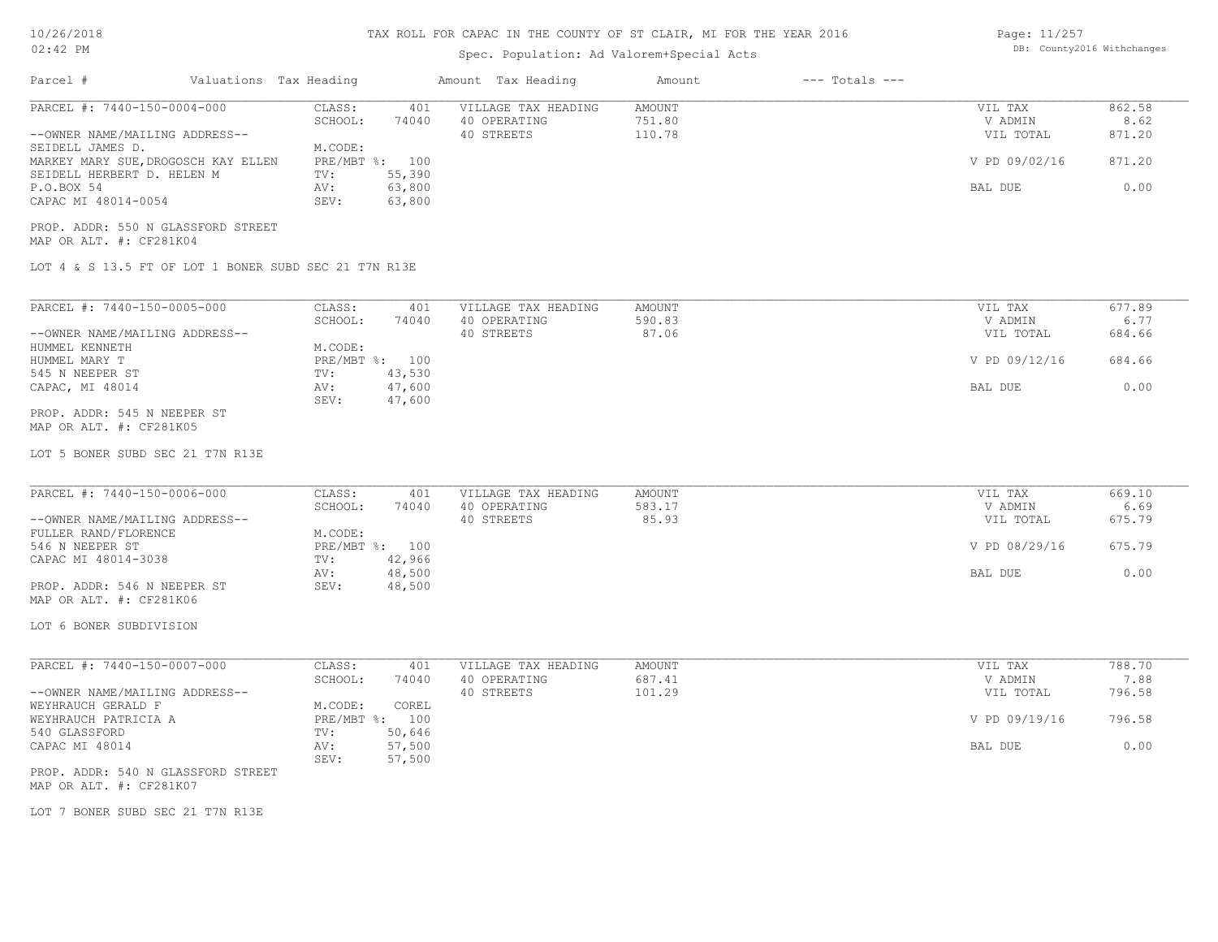#### 10/26/2018  $02 \cdot 42$  PM

### TAX ROLL FOR CAPAC IN THE COUNTY OF ST CLAIR, MI FOR THE YEAR 2016

Page: 11/257 DB: County2016 Withchanges

| UZ:42 FM                                                                                                                                                                                                                                                     |                                                                                                                    | DD. COUNCYZOIO WICHCHANGES                        |                              |                                                             |                                            |
|--------------------------------------------------------------------------------------------------------------------------------------------------------------------------------------------------------------------------------------------------------------|--------------------------------------------------------------------------------------------------------------------|---------------------------------------------------|------------------------------|-------------------------------------------------------------|--------------------------------------------|
| Parcel #<br>Valuations Tax Heading                                                                                                                                                                                                                           |                                                                                                                    | Amount Tax Heading                                | $---$ Totals $---$<br>Amount |                                                             |                                            |
| PARCEL #: 7440-150-0004-000<br>--OWNER NAME/MAILING ADDRESS--<br>SEIDELL JAMES D.<br>MARKEY MARY SUE, DROGOSCH KAY ELLEN<br>SEIDELL HERBERT D. HELEN M<br>P.O.BOX 54<br>CAPAC MI 48014-0054<br>PROP. ADDR: 550 N GLASSFORD STREET<br>MAP OR ALT. #: CF281K04 | CLASS:<br>401<br>SCHOOL:<br>74040<br>M.CODE:<br>PRE/MBT %: 100<br>55,390<br>TV:<br>63,800<br>AV:<br>63,800<br>SEV: | VILLAGE TAX HEADING<br>40 OPERATING<br>40 STREETS | AMOUNT<br>751.80<br>110.78   | VIL TAX<br>V ADMIN<br>VIL TOTAL<br>V PD 09/02/16<br>BAL DUE | 862.58<br>8.62<br>871.20<br>871.20<br>0.00 |
| LOT 4 & S 13.5 FT OF LOT 1 BONER SUBD SEC 21 T7N R13E                                                                                                                                                                                                        |                                                                                                                    |                                                   |                              |                                                             |                                            |
| PARCEL #: 7440-150-0005-000<br>--OWNER NAME/MAILING ADDRESS--<br>HUMMEL KENNETH                                                                                                                                                                              | CLASS:<br>401<br>SCHOOL:<br>74040<br>M.CODE:                                                                       | VILLAGE TAX HEADING<br>40 OPERATING<br>40 STREETS | AMOUNT<br>590.83<br>87.06    | VIL TAX<br>V ADMIN<br>VIL TOTAL                             | 677.89<br>6.77<br>684.66                   |
| HUMMEL MARY T                                                                                                                                                                                                                                                | PRE/MBT %: 100                                                                                                     |                                                   |                              | V PD 09/12/16                                               | 684.66                                     |
| 545 N NEEPER ST<br>CAPAC, MI 48014                                                                                                                                                                                                                           | 43,530<br>TV:<br>47,600<br>AV:<br>47,600<br>SEV:                                                                   |                                                   |                              | BAL DUE                                                     | 0.00                                       |
| PROP. ADDR: 545 N NEEPER ST<br>MAP OR ALT. #: CF281K05                                                                                                                                                                                                       |                                                                                                                    |                                                   |                              |                                                             |                                            |
| LOT 5 BONER SUBD SEC 21 T7N R13E                                                                                                                                                                                                                             |                                                                                                                    |                                                   |                              |                                                             |                                            |
| PARCEL #: 7440-150-0006-000<br>--OWNER NAME/MAILING ADDRESS--                                                                                                                                                                                                | CLASS:<br>401<br>SCHOOL:<br>74040                                                                                  | VILLAGE TAX HEADING<br>40 OPERATING<br>40 STREETS | AMOUNT<br>583.17<br>85.93    | VIL TAX<br>V ADMIN<br>VIL TOTAL                             | 669.10<br>6.69<br>675.79                   |
| FULLER RAND/FLORENCE<br>546 N NEEPER ST                                                                                                                                                                                                                      | M.CODE:<br>PRE/MBT %: 100                                                                                          |                                                   |                              | V PD 08/29/16                                               | 675.79                                     |
| CAPAC MI 48014-3038<br>PROP. ADDR: 546 N NEEPER ST<br>MAP OR ALT. #: CF281K06                                                                                                                                                                                | 42,966<br>TV:<br>48,500<br>AV:<br>48,500<br>SEV:                                                                   |                                                   |                              | BAL DUE                                                     | 0.00                                       |
| LOT 6 BONER SUBDIVISION                                                                                                                                                                                                                                      |                                                                                                                    |                                                   |                              |                                                             |                                            |
| PARCEL #: 7440-150-0007-000                                                                                                                                                                                                                                  | CLASS:<br>401                                                                                                      | VILLAGE TAX HEADING                               | AMOUNT                       | VIL TAX                                                     | 788.70                                     |
| --OWNER NAME/MAILING ADDRESS--                                                                                                                                                                                                                               | SCHOOL:<br>74040                                                                                                   | 40 OPERATING<br>40 STREETS                        | 687.41<br>101.29             | V ADMIN<br>VIL TOTAL                                        | 7.88<br>796.58                             |
|                                                                                                                                                                                                                                                              | M.CODE:<br>COREL                                                                                                   |                                                   |                              | V PD 09/19/16                                               | 796.58                                     |
|                                                                                                                                                                                                                                                              | PRE/MBT %: 100                                                                                                     |                                                   |                              |                                                             |                                            |
| WEYHRAUCH GERALD F<br>540 GLASSFORD<br>CAPAC MI 48014                                                                                                                                                                                                        | TV:<br>50,646<br>57,500<br>AV:                                                                                     |                                                   |                              | BAL DUE                                                     | 0.00                                       |
| WEYHRAUCH PATRICIA A<br>PROP. ADDR: 540 N GLASSFORD STREET<br>MAP OR ALT. #: CF281K07                                                                                                                                                                        | 57,500<br>SEV:                                                                                                     |                                                   |                              |                                                             |                                            |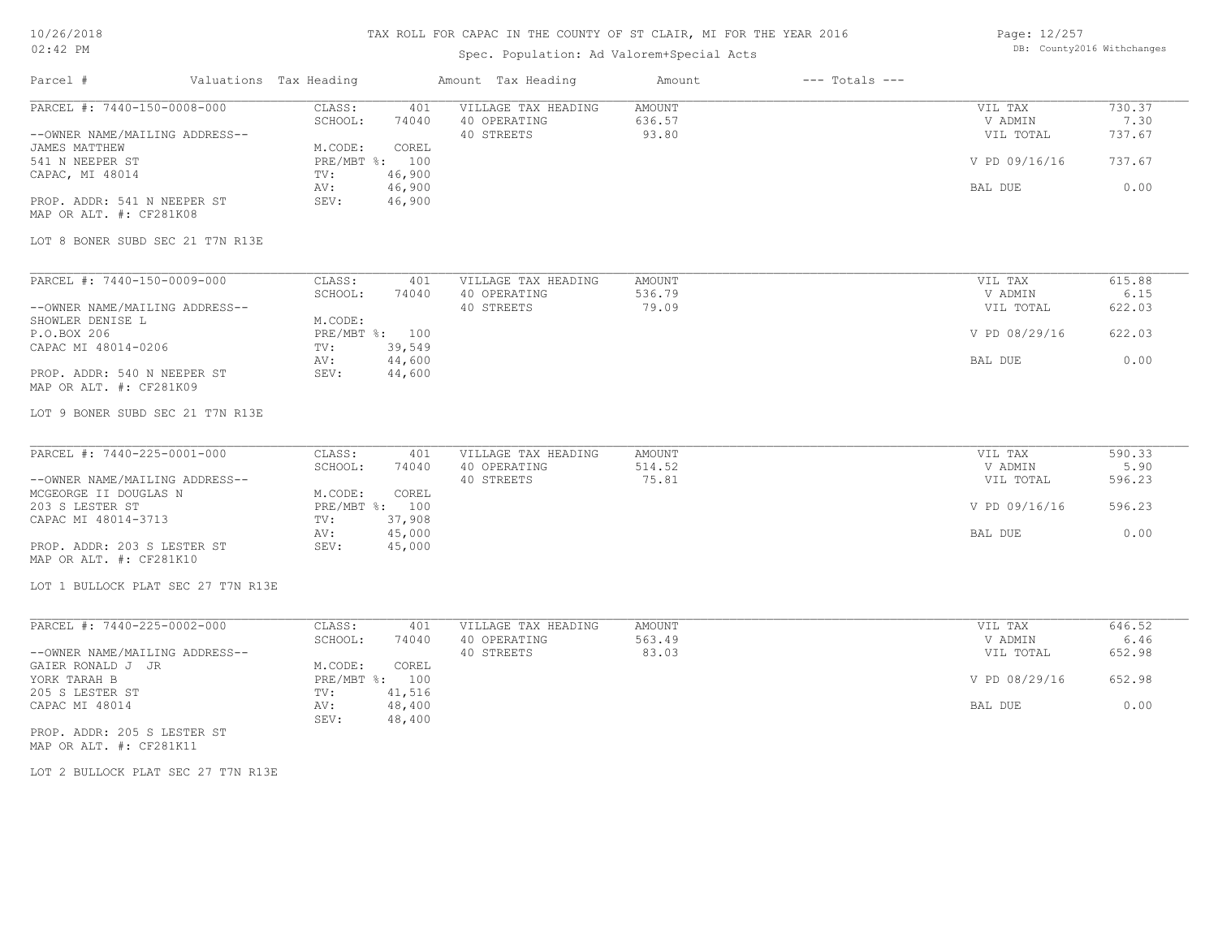## TAX ROLL FOR CAPAC IN THE COUNTY OF ST CLAIR, MI FOR THE YEAR 2016

## Spec. Population: Ad Valorem+Special Acts

Page: 12/257 DB: County2016 Withchanges

| Parcel #                           | Valuations Tax Heading          | Amount Tax Heading  | $---$ Totals $---$<br>Amount |               |        |
|------------------------------------|---------------------------------|---------------------|------------------------------|---------------|--------|
| PARCEL #: 7440-150-0008-000        | CLASS:<br>401                   | VILLAGE TAX HEADING | AMOUNT                       | VIL TAX       | 730.37 |
|                                    | SCHOOL:<br>74040                | 40 OPERATING        | 636.57                       | V ADMIN       | 7.30   |
| --OWNER NAME/MAILING ADDRESS--     |                                 | 40 STREETS          | 93.80                        | VIL TOTAL     | 737.67 |
| JAMES MATTHEW                      | M.CODE:<br>COREL                |                     |                              |               |        |
| 541 N NEEPER ST                    | PRE/MBT %: 100                  |                     |                              | V PD 09/16/16 | 737.67 |
| CAPAC, MI 48014                    | 46,900<br>TV:                   |                     |                              |               |        |
|                                    | 46,900<br>AV:                   |                     |                              | BAL DUE       | 0.00   |
| PROP. ADDR: 541 N NEEPER ST        | 46,900<br>SEV:                  |                     |                              |               |        |
| MAP OR ALT. #: CF281K08            |                                 |                     |                              |               |        |
| LOT 8 BONER SUBD SEC 21 T7N R13E   |                                 |                     |                              |               |        |
| PARCEL #: 7440-150-0009-000        | CLASS:<br>401                   | VILLAGE TAX HEADING | AMOUNT                       | VIL TAX       | 615.88 |
|                                    | SCHOOL:<br>74040                | 40 OPERATING        | 536.79                       | V ADMIN       | 6.15   |
| --OWNER NAME/MAILING ADDRESS--     |                                 | 40 STREETS          | 79.09                        | VIL TOTAL     | 622.03 |
| SHOWLER DENISE L                   | M.CODE:                         |                     |                              |               |        |
| P.O.BOX 206                        | PRE/MBT %: 100                  |                     |                              | V PD 08/29/16 | 622.03 |
| CAPAC MI 48014-0206                | 39,549<br>TV:                   |                     |                              |               |        |
|                                    | 44,600<br>AV:                   |                     |                              | BAL DUE       | 0.00   |
| PROP. ADDR: 540 N NEEPER ST        | 44,600<br>SEV:                  |                     |                              |               |        |
| MAP OR ALT. #: CF281K09            |                                 |                     |                              |               |        |
| LOT 9 BONER SUBD SEC 21 T7N R13E   |                                 |                     |                              |               |        |
| PARCEL #: 7440-225-0001-000        | CLASS:<br>401                   | VILLAGE TAX HEADING | AMOUNT                       | VIL TAX       | 590.33 |
|                                    | SCHOOL:<br>74040                | 40 OPERATING        | 514.52                       | V ADMIN       | 5.90   |
| --OWNER NAME/MAILING ADDRESS--     |                                 | 40 STREETS          | 75.81                        | VIL TOTAL     | 596.23 |
| MCGEORGE II DOUGLAS N              | M.CODE:<br>COREL                |                     |                              |               |        |
| 203 S LESTER ST                    | PRE/MBT %: 100                  |                     |                              | V PD 09/16/16 | 596.23 |
| CAPAC MI 48014-3713                | 37,908<br>TV:                   |                     |                              |               |        |
|                                    | 45,000<br>AV:                   |                     |                              | BAL DUE       | 0.00   |
| PROP. ADDR: 203 S LESTER ST        | SEV:<br>45,000                  |                     |                              |               |        |
| MAP OR ALT. #: CF281K10            |                                 |                     |                              |               |        |
| LOT 1 BULLOCK PLAT SEC 27 T7N R13E |                                 |                     |                              |               |        |
|                                    |                                 |                     |                              |               |        |
| PARCEL #: 7440-225-0002-000        | CLASS:<br>401                   | VILLAGE TAX HEADING | AMOUNT                       | VIL TAX       | 646.52 |
|                                    | SCHOOL:<br>74040                | 40 OPERATING        | 563.49                       | V ADMIN       | 6.46   |
| --OWNER NAME/MAILING ADDRESS--     |                                 | 40 STREETS          | 83.03                        | VIL TOTAL     | 652.98 |
| GAIER RONALD J JR                  | COREL<br>M.CODE:                |                     |                              |               | 652.98 |
| YORK TARAH B                       | PRE/MBT %: 100                  |                     |                              | V PD 08/29/16 |        |
| 205 S LESTER ST                    | 41,516<br>TV:                   |                     |                              |               |        |
| CAPAC MI 48014                     | AV:<br>48,400<br>48,400<br>SEV: |                     |                              | BAL DUE       | 0.00   |
| PROP. ADDR: 205 S LESTER ST        |                                 |                     |                              |               |        |
| MAP OR ALT. #: CF281K11            |                                 |                     |                              |               |        |
|                                    |                                 |                     |                              |               |        |

LOT 2 BULLOCK PLAT SEC 27 T7N R13E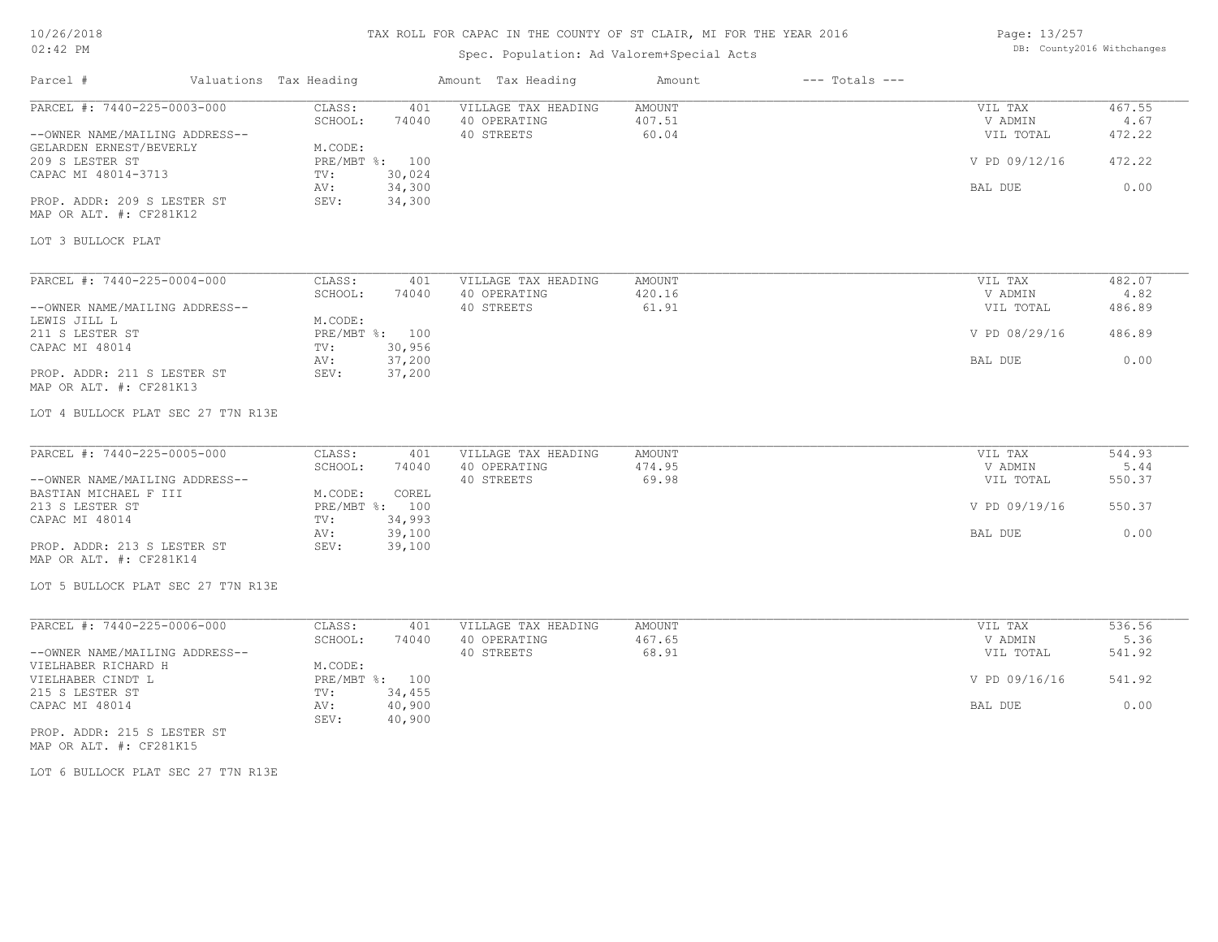## TAX ROLL FOR CAPAC IN THE COUNTY OF ST CLAIR, MI FOR THE YEAR 2016

## Spec. Population: Ad Valorem+Special Acts

Page: 13/257 DB: County2016 Withchanges

| Parcel #                                                                                                                                                                                                                    | Valuations Tax Heading |                                                                                                                             | Amount Tax Heading                                | Amount                           | $---$ Totals $---$ |                                                             |                                            |
|-----------------------------------------------------------------------------------------------------------------------------------------------------------------------------------------------------------------------------|------------------------|-----------------------------------------------------------------------------------------------------------------------------|---------------------------------------------------|----------------------------------|--------------------|-------------------------------------------------------------|--------------------------------------------|
| PARCEL #: 7440-225-0003-000<br>--OWNER NAME/MAILING ADDRESS--<br>GELARDEN ERNEST/BEVERLY<br>209 S LESTER ST<br>CAPAC MI 48014-3713<br>PROP. ADDR: 209 S LESTER ST<br>MAP OR ALT. #: CF281K12<br>LOT 3 BULLOCK PLAT          |                        | CLASS:<br>401<br>SCHOOL:<br>74040<br>M.CODE:<br>PRE/MBT %: 100<br>30,024<br>TV:<br>34,300<br>AV:<br>SEV:<br>34,300          | VILLAGE TAX HEADING<br>40 OPERATING<br>40 STREETS | AMOUNT<br>407.51<br>60.04        |                    | VIL TAX<br>V ADMIN<br>VIL TOTAL<br>V PD 09/12/16<br>BAL DUE | 467.55<br>4.67<br>472.22<br>472.22<br>0.00 |
| PARCEL #: 7440-225-0004-000<br>--OWNER NAME/MAILING ADDRESS--<br>LEWIS JILL L<br>211 S LESTER ST<br>CAPAC MI 48014<br>PROP. ADDR: 211 S LESTER ST<br>MAP OR ALT. #: CF281K13<br>LOT 4 BULLOCK PLAT SEC 27 T7N R13E          |                        | CLASS:<br>401<br>SCHOOL:<br>74040<br>M.CODE:<br>PRE/MBT %: 100<br>30,956<br>TV:<br>37,200<br>AV:<br>37,200<br>SEV:          | VILLAGE TAX HEADING<br>40 OPERATING<br>40 STREETS | AMOUNT<br>420.16<br>61.91        |                    | VIL TAX<br>V ADMIN<br>VIL TOTAL<br>V PD 08/29/16<br>BAL DUE | 482.07<br>4.82<br>486.89<br>486.89<br>0.00 |
| PARCEL #: 7440-225-0005-000<br>--OWNER NAME/MAILING ADDRESS--<br>BASTIAN MICHAEL F III<br>213 S LESTER ST<br>CAPAC MI 48014<br>PROP. ADDR: 213 S LESTER ST<br>MAP OR ALT. #: CF281K14<br>LOT 5 BULLOCK PLAT SEC 27 T7N R13E |                        | CLASS:<br>401<br>SCHOOL:<br>74040<br>COREL<br>M.CODE:<br>PRE/MBT %: 100<br>34,993<br>TV:<br>39,100<br>AV:<br>SEV:<br>39,100 | VILLAGE TAX HEADING<br>40 OPERATING<br>40 STREETS | AMOUNT<br>474.95<br>69.98        |                    | VIL TAX<br>V ADMIN<br>VIL TOTAL<br>V PD 09/19/16<br>BAL DUE | 544.93<br>5.44<br>550.37<br>550.37<br>0.00 |
| PARCEL #: 7440-225-0006-000<br>--OWNER NAME/MAILING ADDRESS--<br>VIELHABER RICHARD H<br>VIELHABER CINDT L<br>215 S LESTER ST<br>CAPAC MI 48014<br>PROP. ADDR: 215 S LESTER ST<br>MAP OR ALT. #: CF281K15                    |                        | CLASS:<br>401<br>SCHOOL:<br>74040<br>M.CODE:<br>PRE/MBT %: 100<br>34,455<br>TV:<br>40,900<br>AV:<br>40,900<br>SEV:          | VILLAGE TAX HEADING<br>40 OPERATING<br>40 STREETS | <b>AMOUNT</b><br>467.65<br>68.91 |                    | VIL TAX<br>V ADMIN<br>VIL TOTAL<br>V PD 09/16/16<br>BAL DUE | 536.56<br>5.36<br>541.92<br>541.92<br>0.00 |

LOT 6 BULLOCK PLAT SEC 27 T7N R13E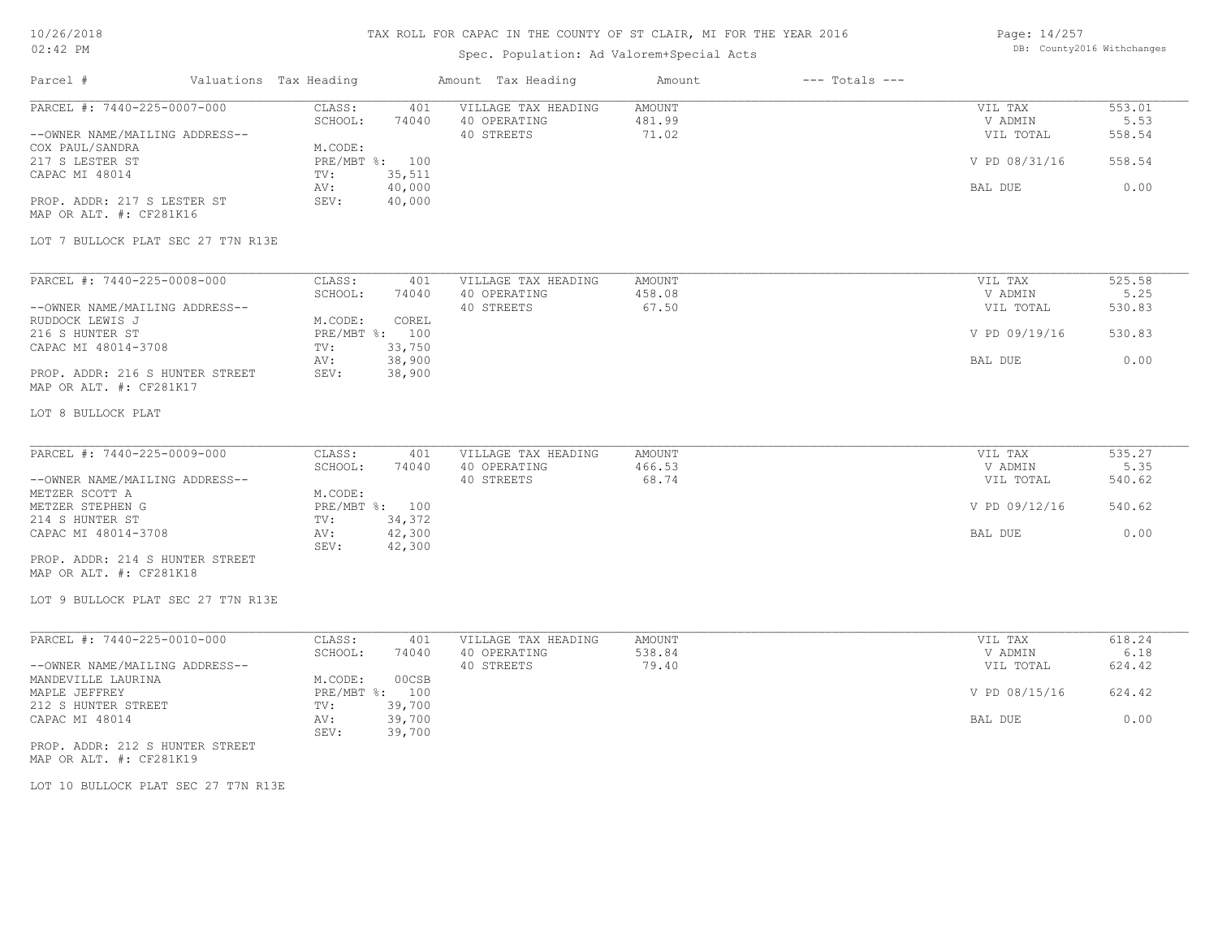## TAX ROLL FOR CAPAC IN THE COUNTY OF ST CLAIR, MI FOR THE YEAR 2016

## Spec. Population: Ad Valorem+Special Acts

Page: 14/257 DB: County2016 Withchanges

| Parcel #                                                                                                                                                                                                              | Valuations Tax Heading                                               | Amount Tax Heading                                                                              | Amount                    | $---$ Totals $---$ |                                                             |                                            |
|-----------------------------------------------------------------------------------------------------------------------------------------------------------------------------------------------------------------------|----------------------------------------------------------------------|-------------------------------------------------------------------------------------------------|---------------------------|--------------------|-------------------------------------------------------------|--------------------------------------------|
| PARCEL #: 7440-225-0007-000<br>--OWNER NAME/MAILING ADDRESS--<br>COX PAUL/SANDRA<br>217 S LESTER ST<br>CAPAC MI 48014<br>PROP. ADDR: 217 S LESTER ST<br>MAP OR ALT. #: CF281K16<br>LOT 7 BULLOCK PLAT SEC 27 T7N R13E | CLASS:<br>SCHOOL:<br>M.CODE:<br>PRE/MBT %: 100<br>TV:<br>AV:<br>SEV: | VILLAGE TAX HEADING<br>401<br>40 OPERATING<br>74040<br>40 STREETS<br>35,511<br>40,000<br>40,000 | AMOUNT<br>481.99<br>71.02 |                    | VIL TAX<br>V ADMIN<br>VIL TOTAL<br>V PD 08/31/16<br>BAL DUE | 553.01<br>5.53<br>558.54<br>558.54<br>0.00 |
|                                                                                                                                                                                                                       |                                                                      |                                                                                                 |                           |                    |                                                             |                                            |
| PARCEL #: 7440-225-0008-000<br>--OWNER NAME/MAILING ADDRESS--                                                                                                                                                         | CLASS:<br>SCHOOL:                                                    | 401<br>VILLAGE TAX HEADING<br>74040<br>40 OPERATING<br>40 STREETS                               | AMOUNT<br>458.08<br>67.50 |                    | VIL TAX<br>V ADMIN<br>VIL TOTAL                             | 525.58<br>5.25<br>530.83                   |
| RUDDOCK LEWIS J<br>216 S HUNTER ST<br>CAPAC MI 48014-3708                                                                                                                                                             | M.CODE:<br>PRE/MBT %: 100<br>TV:                                     | COREL<br>33,750                                                                                 |                           |                    | V PD 09/19/16                                               | 530.83                                     |
| PROP. ADDR: 216 S HUNTER STREET<br>MAP OR ALT. #: CF281K17                                                                                                                                                            | AV:<br>SEV:                                                          | 38,900<br>38,900                                                                                |                           |                    | BAL DUE                                                     | 0.00                                       |
| LOT 8 BULLOCK PLAT                                                                                                                                                                                                    |                                                                      |                                                                                                 |                           |                    |                                                             |                                            |
| PARCEL #: 7440-225-0009-000<br>--OWNER NAME/MAILING ADDRESS--<br>METZER SCOTT A                                                                                                                                       | CLASS:<br>SCHOOL:<br>M.CODE:                                         | 401<br>VILLAGE TAX HEADING<br>74040<br>40 OPERATING<br>40 STREETS                               | AMOUNT<br>466.53<br>68.74 |                    | VIL TAX<br>V ADMIN<br>VIL TOTAL                             | 535.27<br>5.35<br>540.62                   |
| METZER STEPHEN G<br>214 S HUNTER ST                                                                                                                                                                                   | PRE/MBT %: 100<br>TV:                                                | 34,372                                                                                          |                           |                    | V PD 09/12/16                                               | 540.62                                     |
| CAPAC MI 48014-3708<br>PROP. ADDR: 214 S HUNTER STREET<br>MAP OR ALT. #: CF281K18<br>LOT 9 BULLOCK PLAT SEC 27 T7N R13E                                                                                               | AV:<br>SEV:                                                          | 42,300<br>42,300                                                                                |                           |                    | BAL DUE                                                     | 0.00                                       |
| PARCEL #: 7440-225-0010-000                                                                                                                                                                                           | CLASS:                                                               | 401<br>VILLAGE TAX HEADING                                                                      | AMOUNT                    |                    | VIL TAX                                                     | 618.24                                     |
| --OWNER NAME/MAILING ADDRESS--                                                                                                                                                                                        | SCHOOL:                                                              | 74040<br>40 OPERATING<br>40 STREETS                                                             | 538.84<br>79.40           |                    | V ADMIN<br>VIL TOTAL                                        | 6.18<br>624.42                             |
| MANDEVILLE LAURINA<br>MAPLE JEFFREY<br>212 S HUNTER STREET                                                                                                                                                            | M.CODE:<br>PRE/MBT %: 100<br>TV:                                     | 00CSB<br>39,700                                                                                 |                           |                    | V PD 08/15/16                                               | 624.42                                     |
| CAPAC MI 48014                                                                                                                                                                                                        | AV:<br>SEV:                                                          | 39,700<br>39,700                                                                                |                           |                    | BAL DUE                                                     | 0.00                                       |
| PROP. ADDR: 212 S HUNTER STREET<br>MAP OR ALT. #: CF281K19                                                                                                                                                            |                                                                      |                                                                                                 |                           |                    |                                                             |                                            |
|                                                                                                                                                                                                                       |                                                                      |                                                                                                 |                           |                    |                                                             |                                            |

LOT 10 BULLOCK PLAT SEC 27 T7N R13E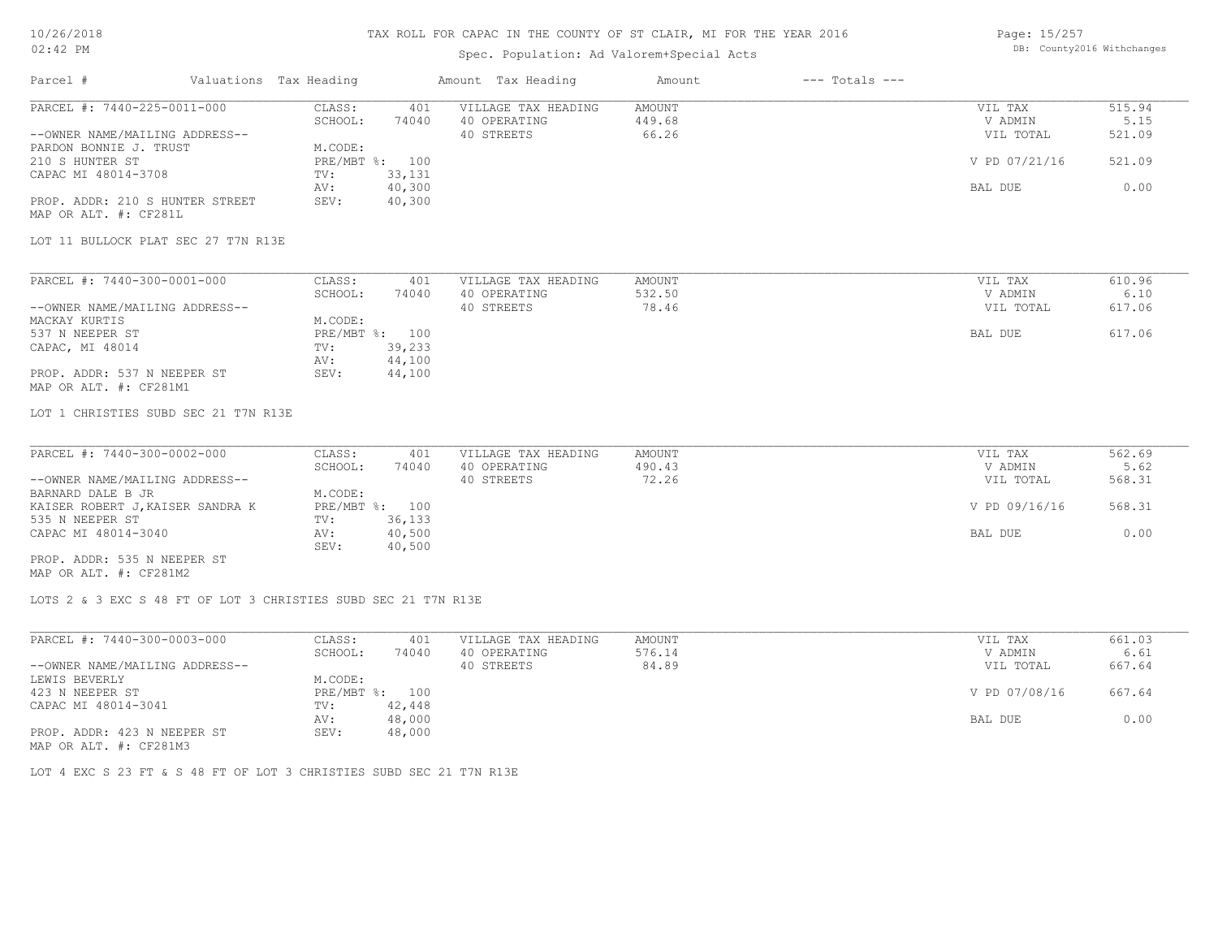## TAX ROLL FOR CAPAC IN THE COUNTY OF ST CLAIR, MI FOR THE YEAR 2016

## Spec. Population: Ad Valorem+Special Acts

| Page: 15/257 |                            |
|--------------|----------------------------|
|              | DB: County2016 Withchanges |

| Parcel #                                                       | Valuations Tax Heading |                  | Amount Tax Heading                  | Amount                  | $---$ Totals $---$ |                    |                |
|----------------------------------------------------------------|------------------------|------------------|-------------------------------------|-------------------------|--------------------|--------------------|----------------|
| PARCEL #: $7440 - 225 - 0011 - 000$                            | CLASS:<br>SCHOOL:      | 401<br>74040     | VILLAGE TAX HEADING<br>40 OPERATING | <b>AMOUNT</b><br>449.68 |                    | VIL TAX<br>V ADMIN | 515.94<br>5.15 |
| --OWNER NAME/MAILING ADDRESS--                                 |                        |                  | 40 STREETS                          | 66.26                   |                    | VIL TOTAL          | 521.09         |
| PARDON BONNIE J. TRUST                                         | M.CODE:                |                  |                                     |                         |                    |                    |                |
| 210 S HUNTER ST                                                |                        | PRE/MBT %: 100   |                                     |                         |                    | V PD 07/21/16      | 521.09         |
| CAPAC MI 48014-3708                                            | TV:<br>AV:             | 33,131<br>40,300 |                                     |                         |                    | BAL DUE            | 0.00           |
| PROP. ADDR: 210 S HUNTER STREET                                | SEV:                   | 40,300           |                                     |                         |                    |                    |                |
| MAP OR ALT. #: CF281L                                          |                        |                  |                                     |                         |                    |                    |                |
| LOT 11 BULLOCK PLAT SEC 27 T7N R13E                            |                        |                  |                                     |                         |                    |                    |                |
|                                                                |                        |                  |                                     |                         |                    |                    |                |
| PARCEL #: 7440-300-0001-000                                    | CLASS:                 | 401              | VILLAGE TAX HEADING                 | <b>AMOUNT</b>           |                    | VIL TAX            | 610.96         |
|                                                                | SCHOOL:                | 74040            | 40 OPERATING                        | 532.50                  |                    | V ADMIN            | 6.10           |
| --OWNER NAME/MAILING ADDRESS--                                 |                        |                  | 40 STREETS                          | 78.46                   |                    | VIL TOTAL          | 617.06         |
| MACKAY KURTIS                                                  | M.CODE:                |                  |                                     |                         |                    |                    |                |
| 537 N NEEPER ST                                                |                        | PRE/MBT %: 100   |                                     |                         |                    | BAL DUE            | 617.06         |
| CAPAC, MI 48014                                                | TV:                    | 39,233           |                                     |                         |                    |                    |                |
| PROP. ADDR: 537 N NEEPER ST                                    | AV:<br>SEV:            | 44,100<br>44,100 |                                     |                         |                    |                    |                |
| MAP OR ALT. #: CF281M1                                         |                        |                  |                                     |                         |                    |                    |                |
| LOT 1 CHRISTIES SUBD SEC 21 T7N R13E                           |                        |                  |                                     |                         |                    |                    |                |
| PARCEL #: 7440-300-0002-000                                    | CLASS:                 | 401              | VILLAGE TAX HEADING                 | <b>AMOUNT</b>           |                    | VIL TAX            | 562.69         |
|                                                                | SCHOOL:                | 74040            | 40 OPERATING                        | 490.43                  |                    | V ADMIN            | 5.62           |
| --OWNER NAME/MAILING ADDRESS--                                 |                        |                  | 40 STREETS                          | 72.26                   |                    | VIL TOTAL          | 568.31         |
| BARNARD DALE B JR                                              | M.CODE:                |                  |                                     |                         |                    |                    |                |
| KAISER ROBERT J, KAISER SANDRA K                               |                        | PRE/MBT %: 100   |                                     |                         |                    | V PD 09/16/16      | 568.31         |
| 535 N NEEPER ST                                                | TV:                    | 36,133           |                                     |                         |                    |                    |                |
| CAPAC MI 48014-3040                                            | AV:<br>SEV:            | 40,500<br>40,500 |                                     |                         |                    | BAL DUE            | 0.00           |
| PROP. ADDR: 535 N NEEPER ST                                    |                        |                  |                                     |                         |                    |                    |                |
| MAP OR ALT. #: CF281M2                                         |                        |                  |                                     |                         |                    |                    |                |
| LOTS 2 & 3 EXC S 48 FT OF LOT 3 CHRISTIES SUBD SEC 21 T7N R13E |                        |                  |                                     |                         |                    |                    |                |
|                                                                |                        |                  |                                     |                         |                    |                    |                |
| $\overline{\text{PARCH}}$ #: 7440-300-0003-000                 | CLASS:                 | 401              | VILLAGE TAX HEADING                 | <b>AMOUNT</b>           |                    | VIL TAX            | 661.03         |
|                                                                | SCHOOL:                | 74040            | 40 OPERATING                        | 576.14                  |                    | V ADMIN            | 6.61           |
| --OWNER NAME/MAILING ADDRESS--                                 |                        |                  | 40 STREETS                          | 84.89                   |                    | VIL TOTAL          | 667.64         |
| LEWIS BEVERLY                                                  | M.CODE:                |                  |                                     |                         |                    |                    |                |
| 423 N NEEPER ST                                                |                        | PRE/MBT %: 100   |                                     |                         |                    | V PD 07/08/16      | 667.64         |
| CAPAC MI 48014-3041                                            | TV:<br>AV:             | 42,448<br>48,000 |                                     |                         |                    | BAL DUE            | 0.00           |
| PROP. ADDR: 423 N NEEPER ST                                    | SEV:                   | 48,000           |                                     |                         |                    |                    |                |
|                                                                |                        |                  |                                     |                         |                    |                    |                |

MAP OR ALT. #: CF281M3

LOT 4 EXC S 23 FT & S 48 FT OF LOT 3 CHRISTIES SUBD SEC 21 T7N R13E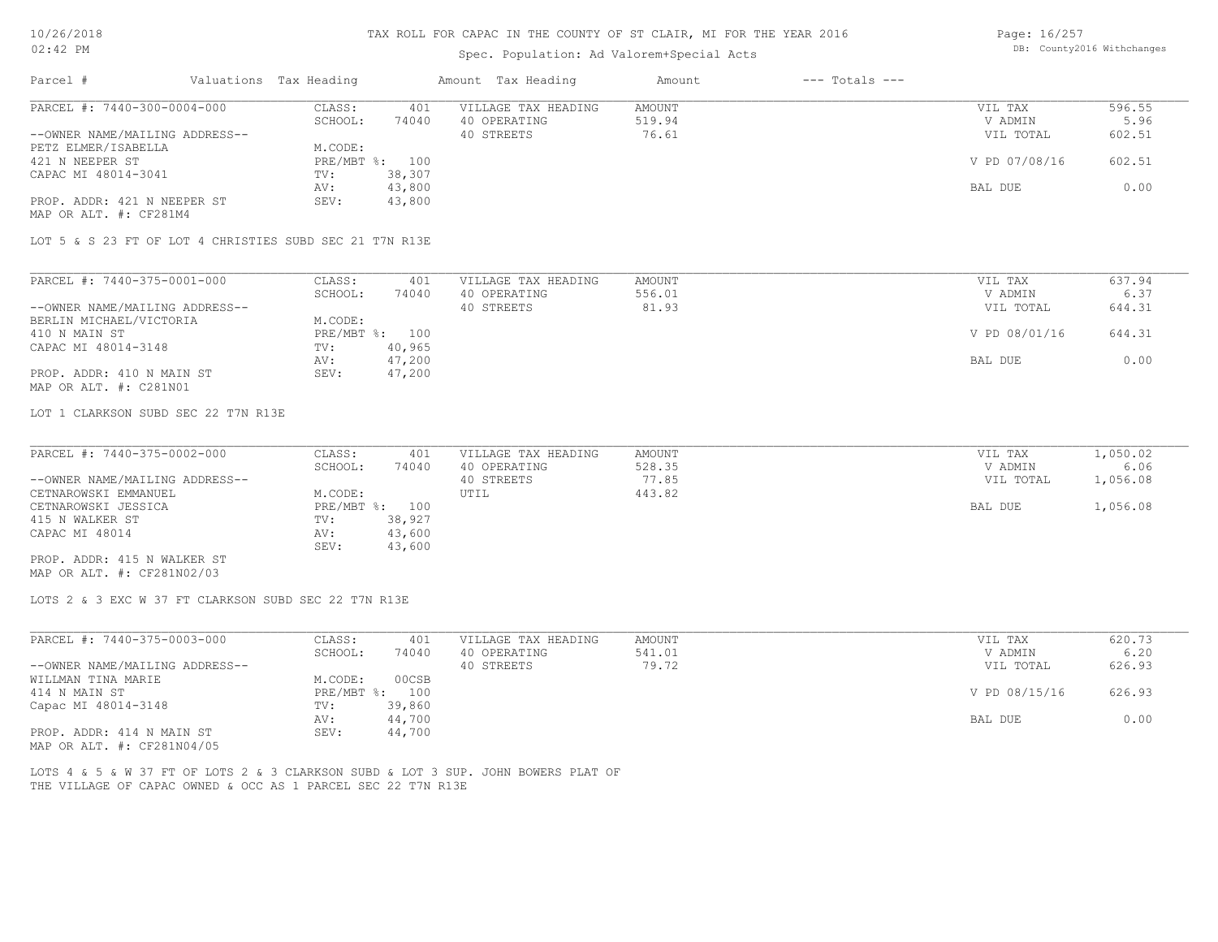Page: 16/257

| 02:42 PM                                                                                                                                          |                                   | Spec. Population: Ad Valorem+Special Acts |                         |                    | DB: County2016 Withchanges |                |  |
|---------------------------------------------------------------------------------------------------------------------------------------------------|-----------------------------------|-------------------------------------------|-------------------------|--------------------|----------------------------|----------------|--|
| Parcel #<br>Valuations Tax Heading                                                                                                                |                                   | Amount Tax Heading                        | Amount                  | $---$ Totals $---$ |                            |                |  |
| PARCEL #: 7440-300-0004-000                                                                                                                       | CLASS:<br>401<br>SCHOOL:<br>74040 | VILLAGE TAX HEADING<br>40 OPERATING       | <b>AMOUNT</b><br>519.94 |                    | VIL TAX<br>V ADMIN         | 596.55<br>5.96 |  |
| --OWNER NAME/MAILING ADDRESS--<br>PETZ ELMER/ISABELLA                                                                                             | M.CODE:                           | 40 STREETS                                | 76.61                   |                    | VIL TOTAL                  | 602.51         |  |
| 421 N NEEPER ST                                                                                                                                   | PRE/MBT %: 100                    |                                           |                         |                    | V PD 07/08/16              | 602.51         |  |
| CAPAC MI 48014-3041                                                                                                                               | 38,307<br>TV:                     |                                           |                         |                    |                            |                |  |
| PROP. ADDR: 421 N NEEPER ST<br>MAP OR ALT. #: CF281M4                                                                                             | 43,800<br>AV:<br>SEV:<br>43,800   |                                           |                         |                    | BAL DUE                    | 0.00           |  |
| LOT 5 & S 23 FT OF LOT 4 CHRISTIES SUBD SEC 21 T7N R13E                                                                                           |                                   |                                           |                         |                    |                            |                |  |
| PARCEL #: 7440-375-0001-000                                                                                                                       | CLASS:<br>401                     | VILLAGE TAX HEADING                       | <b>AMOUNT</b>           |                    | VIL TAX                    | 637.94         |  |
|                                                                                                                                                   | SCHOOL:<br>74040                  | 40 OPERATING                              | 556.01                  |                    | V ADMIN                    | 6.37           |  |
| --OWNER NAME/MAILING ADDRESS--                                                                                                                    |                                   | 40 STREETS                                | 81.93                   |                    | VIL TOTAL                  | 644.31         |  |
| BERLIN MICHAEL/VICTORIA                                                                                                                           | M.CODE:                           |                                           |                         |                    |                            |                |  |
| 410 N MAIN ST                                                                                                                                     | PRE/MBT %: 100                    |                                           |                         |                    | V PD 08/01/16              | 644.31         |  |
| CAPAC MI 48014-3148                                                                                                                               | 40,965<br>TV:                     |                                           |                         |                    |                            | 0.00           |  |
| PROP. ADDR: 410 N MAIN ST                                                                                                                         | 47,200<br>AV:<br>SEV:<br>47,200   |                                           |                         |                    | BAL DUE                    |                |  |
| MAP OR ALT. #: C281N01                                                                                                                            |                                   |                                           |                         |                    |                            |                |  |
| LOT 1 CLARKSON SUBD SEC 22 T7N R13E                                                                                                               |                                   |                                           |                         |                    |                            |                |  |
| PARCEL #: 7440-375-0002-000                                                                                                                       | CLASS:<br>401                     | VILLAGE TAX HEADING                       | <b>AMOUNT</b>           |                    | VIL TAX                    | 1,050.02       |  |
|                                                                                                                                                   | SCHOOL:<br>74040                  | 40 OPERATING                              | 528.35                  |                    | V ADMIN                    | 6.06           |  |
| --OWNER NAME/MAILING ADDRESS--                                                                                                                    |                                   | 40 STREETS                                | 77.85                   |                    | VIL TOTAL                  | 1,056.08       |  |
| CETNAROWSKI EMMANUEL                                                                                                                              | M.CODE:                           | UTIL                                      | 443.82                  |                    |                            |                |  |
| CETNAROWSKI JESSICA                                                                                                                               | PRE/MBT %: 100                    |                                           |                         |                    | BAL DUE                    | 1,056.08       |  |
| 415 N WALKER ST                                                                                                                                   | 38,927<br>TV:                     |                                           |                         |                    |                            |                |  |
| CAPAC MI 48014                                                                                                                                    | 43,600<br>AV:<br>SEV:<br>43,600   |                                           |                         |                    |                            |                |  |
| PROP. ADDR: 415 N WALKER ST<br>MAP OR ALT. #: CF281N02/03                                                                                         |                                   |                                           |                         |                    |                            |                |  |
| LOTS 2 & 3 EXC W 37 FT CLARKSON SUBD SEC 22 T7N R13E                                                                                              |                                   |                                           |                         |                    |                            |                |  |
| PARCEL #: 7440-375-0003-000                                                                                                                       | CLASS:<br>401                     | VILLAGE TAX HEADING                       | <b>AMOUNT</b>           |                    | VIL TAX                    | 620.73         |  |
|                                                                                                                                                   | SCHOOL:<br>74040                  | 40 OPERATING                              | 541.01                  |                    | V ADMIN                    | 6.20           |  |
| --OWNER NAME/MAILING ADDRESS--                                                                                                                    |                                   | 40 STREETS                                | 79.72                   |                    | VIL TOTAL                  | 626.93         |  |
| WILLMAN TINA MARIE                                                                                                                                | M.CODE:<br>00CSB                  |                                           |                         |                    |                            |                |  |
| 414 N MAIN ST                                                                                                                                     | PRE/MBT %: 100                    |                                           |                         |                    | V PD 08/15/16              | 626.93         |  |
| Capac MI 48014-3148                                                                                                                               | 39,860<br>TV:<br>44,700<br>AV:    |                                           |                         |                    | BAL DUE                    | 0.00           |  |
| PROP. ADDR: 414 N MAIN ST                                                                                                                         | 44,700<br>SEV:                    |                                           |                         |                    |                            |                |  |
| MAP OR ALT. #: CF281N04/05                                                                                                                        |                                   |                                           |                         |                    |                            |                |  |
| LOTS 4 & 5 & W 37 FT OF LOTS 2 & 3 CLARKSON SUBD & LOT 3 SUP. JOHN BOWERS PLAT OF<br>THE VILLAGE OF CAPAC OWNED & OCC AS 1 PARCEL SEC 22 T7N R13E |                                   |                                           |                         |                    |                            |                |  |
|                                                                                                                                                   |                                   |                                           |                         |                    |                            |                |  |
|                                                                                                                                                   |                                   |                                           |                         |                    |                            |                |  |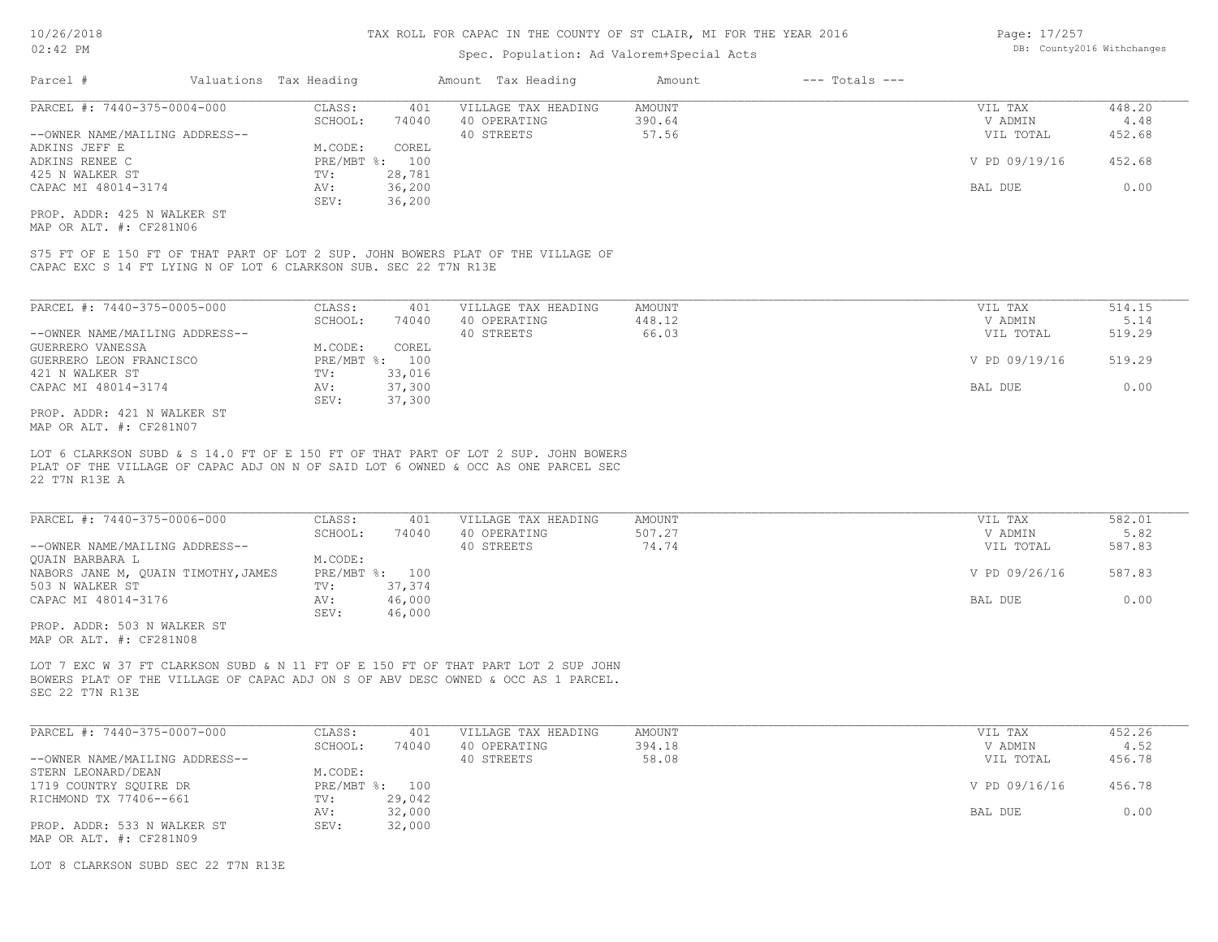### Spec. Population: Ad Valorem+Special Acts

| Parcel #                       | Valuations Tax Heading |        | Amount Tax Heading  | Amount | $---$ Totals $---$ |               |        |
|--------------------------------|------------------------|--------|---------------------|--------|--------------------|---------------|--------|
| PARCEL #: 7440-375-0004-000    | CLASS:                 | 401    | VILLAGE TAX HEADING | AMOUNT |                    | VIL TAX       | 448.20 |
|                                | SCHOOL:                | 74040  | 40 OPERATING        | 390.64 |                    | V ADMIN       | 4.48   |
| --OWNER NAME/MAILING ADDRESS-- |                        |        | 40 STREETS          | 57.56  |                    | VIL TOTAL     | 452.68 |
| ADKINS JEFF E                  | M.CODE:                | COREL  |                     |        |                    |               |        |
| ADKINS RENEE C                 | $PRE/MBT$ %:           | 100    |                     |        |                    | V PD 09/19/16 | 452.68 |
| 425 N WALKER ST                | TV:                    | 28,781 |                     |        |                    |               |        |
| CAPAC MI 48014-3174            | AV:                    | 36,200 |                     |        |                    | BAL DUE       | 0.00   |
|                                | SEV:                   | 36,200 |                     |        |                    |               |        |
| PROP. ADDR: 425 N WALKER ST    |                        |        |                     |        |                    |               |        |

MAP OR ALT. #: CF281N06

CAPAC EXC S 14 FT LYING N OF LOT 6 CLARKSON SUB. SEC 22 T7N R13E S75 FT OF E 150 FT OF THAT PART OF LOT 2 SUP. JOHN BOWERS PLAT OF THE VILLAGE OF

| PARCEL #: 7440-375-0005-000    | CLASS:         | 401    | VILLAGE TAX HEADING | AMOUNT | VIL TAX       | 514.15 |
|--------------------------------|----------------|--------|---------------------|--------|---------------|--------|
|                                | SCHOOL:        | 74040  | 40 OPERATING        | 448.12 | V ADMIN       | 5.14   |
| --OWNER NAME/MAILING ADDRESS-- |                |        | 40 STREETS          | 66.03  | VIL TOTAL     | 519.29 |
| GUERRERO VANESSA               | M.CODE:        | COREL  |                     |        |               |        |
| GUERRERO LEON FRANCISCO        | PRE/MBT %: 100 |        |                     |        | V PD 09/19/16 | 519.29 |
| 421 N WALKER ST                | TV:            | 33,016 |                     |        |               |        |
| CAPAC MI 48014-3174            | AV:            | 37,300 |                     |        | BAL DUE       | 0.00   |
|                                | SEV:           | 37,300 |                     |        |               |        |
| ידי סים שדגזון וכול סתחוג ספסם |                |        |                     |        |               |        |

MAP OR ALT. #: CF281N07 PROP. ADDR: 421 N WALKER ST

22 T7N R13E A PLAT OF THE VILLAGE OF CAPAC ADJ ON N OF SAID LOT 6 OWNED & OCC AS ONE PARCEL SEC LOT 6 CLARKSON SUBD & S 14.0 FT OF E 150 FT OF THAT PART OF LOT 2 SUP. JOHN BOWERS

| PARCEL #: 7440-375-0006-000         | CLASS:         | 401    | VILLAGE TAX HEADING | AMOUNT | VIL TAX       | 582.01 |
|-------------------------------------|----------------|--------|---------------------|--------|---------------|--------|
|                                     | SCHOOL:        | 74040  | 40 OPERATING        | 507.27 | V ADMIN       | 5.82   |
| --OWNER NAME/MAILING ADDRESS--      |                |        | 40 STREETS          | 74.74  | VIL TOTAL     | 587.83 |
| OUAIN BARBARA L                     | M.CODE:        |        |                     |        |               |        |
| NABORS JANE M, QUAIN TIMOTHY, JAMES | PRE/MBT %: 100 |        |                     |        | V PD 09/26/16 | 587.83 |
| 503 N WALKER ST                     | TV:            | 37,374 |                     |        |               |        |
| CAPAC MI 48014-3176                 | AV:            | 46,000 |                     |        | BAL DUE       | 0.00   |
|                                     | SEV:           | 46,000 |                     |        |               |        |
| PROP. ADDR: 503 N WALKER ST         |                |        |                     |        |               |        |

MAP OR ALT. #: CF281N08

SEC 22 T7N R13E BOWERS PLAT OF THE VILLAGE OF CAPAC ADJ ON S OF ABV DESC OWNED & OCC AS 1 PARCEL. LOT 7 EXC W 37 FT CLARKSON SUBD & N 11 FT OF E 150 FT OF THAT PART LOT 2 SUP JOHN

| PARCEL #: 7440-375-0007-000    | CLASS:  | 401            | VILLAGE TAX HEADING | AMOUNT | VIL TAX       | 452.26 |
|--------------------------------|---------|----------------|---------------------|--------|---------------|--------|
|                                | SCHOOL: | 74040          | 40 OPERATING        | 394.18 | V ADMIN       | 4.52   |
| --OWNER NAME/MAILING ADDRESS-- |         |                | 40 STREETS          | 58.08  | VIL TOTAL     | 456.78 |
| STERN LEONARD/DEAN             | M.CODE: |                |                     |        |               |        |
| 1719 COUNTRY SOUIRE DR         |         | PRE/MBT %: 100 |                     |        | V PD 09/16/16 | 456.78 |
| RICHMOND TX 77406--661         | TV:     | 29,042         |                     |        |               |        |
|                                | AV:     | 32,000         |                     |        | BAL DUE       | 0.00   |
| PROP. ADDR: 533 N WALKER ST    | SEV:    | 32,000         |                     |        |               |        |
| MAP OR ALT. #: CF281N09        |         |                |                     |        |               |        |

LOT 8 CLARKSON SUBD SEC 22 T7N R13E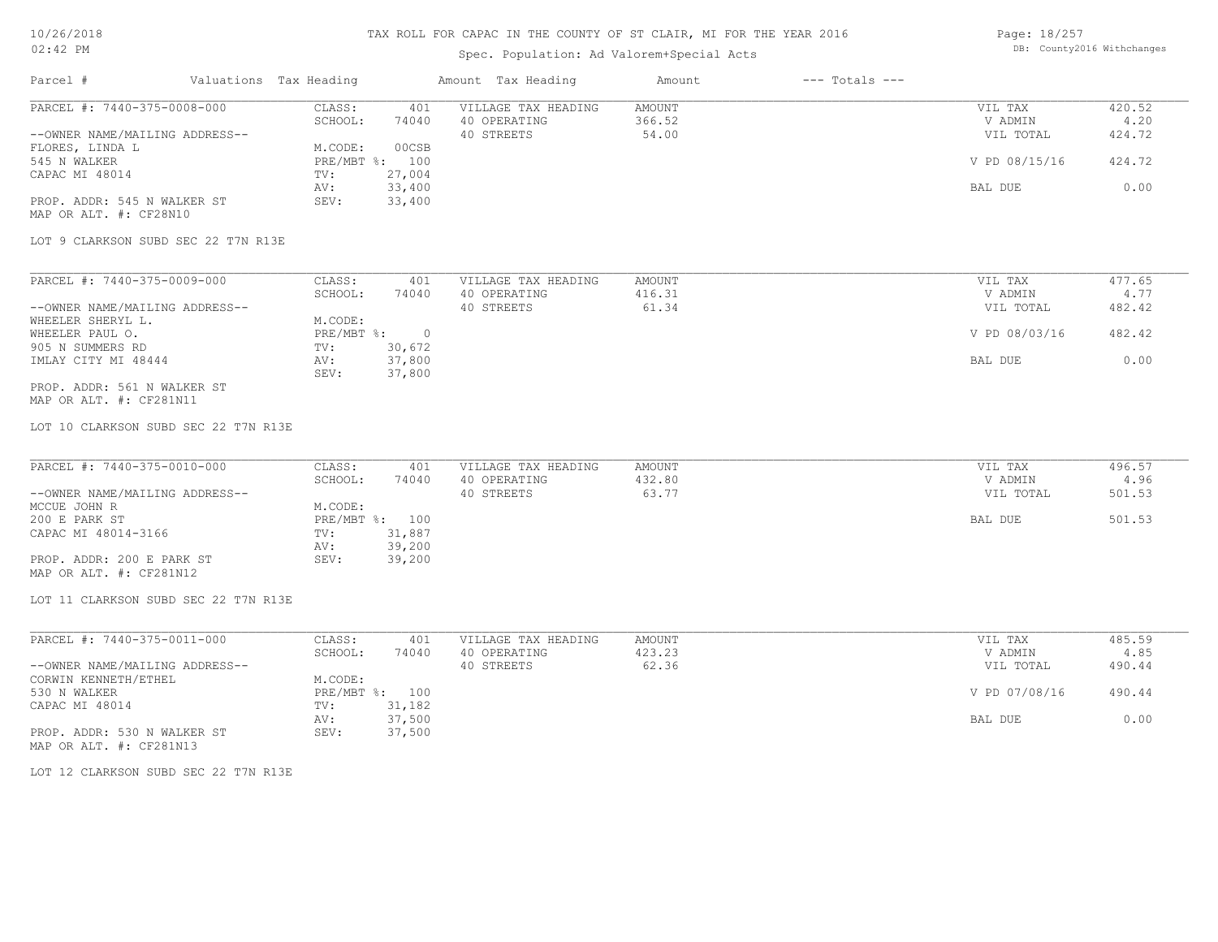## Spec. Population: Ad Valorem+Special Acts

Page: 18/257 DB: County2016 Withchanges

| Parcel #                                                                                                                                                                                                                                                      | Valuations Tax Heading |                                                                                                                                                 | Amount Tax Heading                                | Amount                           | $---$ Totals $---$ |                                                             |                                            |
|---------------------------------------------------------------------------------------------------------------------------------------------------------------------------------------------------------------------------------------------------------------|------------------------|-------------------------------------------------------------------------------------------------------------------------------------------------|---------------------------------------------------|----------------------------------|--------------------|-------------------------------------------------------------|--------------------------------------------|
| PARCEL #: 7440-375-0008-000<br>--OWNER NAME/MAILING ADDRESS--<br>FLORES, LINDA L<br>545 N WALKER<br>CAPAC MI 48014<br>PROP. ADDR: 545 N WALKER ST<br>MAP OR ALT. #: CF28N10<br>LOT 9 CLARKSON SUBD SEC 22 T7N R13E                                            |                        | CLASS:<br>401<br>SCHOOL:<br>74040<br>00CSB<br>M.CODE:<br>PRE/MBT %: 100<br>27,004<br>TV:<br>33,400<br>AV:<br>33,400<br>SEV:                     | VILLAGE TAX HEADING<br>40 OPERATING<br>40 STREETS | <b>AMOUNT</b><br>366.52<br>54.00 |                    | VIL TAX<br>V ADMIN<br>VIL TOTAL<br>V PD 08/15/16<br>BAL DUE | 420.52<br>4.20<br>424.72<br>424.72<br>0.00 |
| PARCEL #: 7440-375-0009-000<br>--OWNER NAME/MAILING ADDRESS--<br>WHEELER SHERYL L.<br>WHEELER PAUL O.<br>905 N SUMMERS RD<br>IMLAY CITY MI 48444<br>PROP. ADDR: 561 N WALKER ST<br>MAP OR ALT. #: CF281N11                                                    |                        | CLASS:<br>401<br>74040<br>SCHOOL:<br>M.CODE:<br>$\overline{0}$<br>$PRE/MBT$ $\frac{1}{6}$ :<br>TV:<br>30,672<br>37,800<br>AV:<br>37,800<br>SEV: | VILLAGE TAX HEADING<br>40 OPERATING<br>40 STREETS | AMOUNT<br>416.31<br>61.34        |                    | VIL TAX<br>V ADMIN<br>VIL TOTAL<br>V PD 08/03/16<br>BAL DUE | 477.65<br>4.77<br>482.42<br>482.42<br>0.00 |
| LOT 10 CLARKSON SUBD SEC 22 T7N R13E<br>PARCEL #: 7440-375-0010-000<br>--OWNER NAME/MAILING ADDRESS--<br>MCCUE JOHN R<br>200 E PARK ST<br>CAPAC MI 48014-3166<br>PROP. ADDR: 200 E PARK ST<br>MAP OR ALT. #: CF281N12<br>LOT 11 CLARKSON SUBD SEC 22 T7N R13E |                        | CLASS:<br>401<br>SCHOOL:<br>74040<br>M.CODE:<br>PRE/MBT %: 100<br>31,887<br>TV:<br>39,200<br>AV:<br>SEV:<br>39,200                              | VILLAGE TAX HEADING<br>40 OPERATING<br>40 STREETS | <b>AMOUNT</b><br>432.80<br>63.77 |                    | VIL TAX<br>V ADMIN<br>VIL TOTAL<br>BAL DUE                  | 496.57<br>4.96<br>501.53<br>501.53         |
| PARCEL #: 7440-375-0011-000<br>--OWNER NAME/MAILING ADDRESS--<br>CORWIN KENNETH/ETHEL<br>530 N WALKER<br>CAPAC MI 48014<br>PROP. ADDR: 530 N WALKER ST<br>MAP OR ALT. #: CF281N13<br>LOT 12 CLARKSON SUBD SEC 22 T7N R13E                                     |                        | CLASS:<br>401<br>SCHOOL:<br>74040<br>M.CODE:<br>PRE/MBT %: 100<br>31,182<br>TV:<br>37,500<br>AV:<br>37,500<br>SEV:                              | VILLAGE TAX HEADING<br>40 OPERATING<br>40 STREETS | <b>AMOUNT</b><br>423.23<br>62.36 |                    | VIL TAX<br>V ADMIN<br>VIL TOTAL<br>V PD 07/08/16<br>BAL DUE | 485.59<br>4.85<br>490.44<br>490.44<br>0.00 |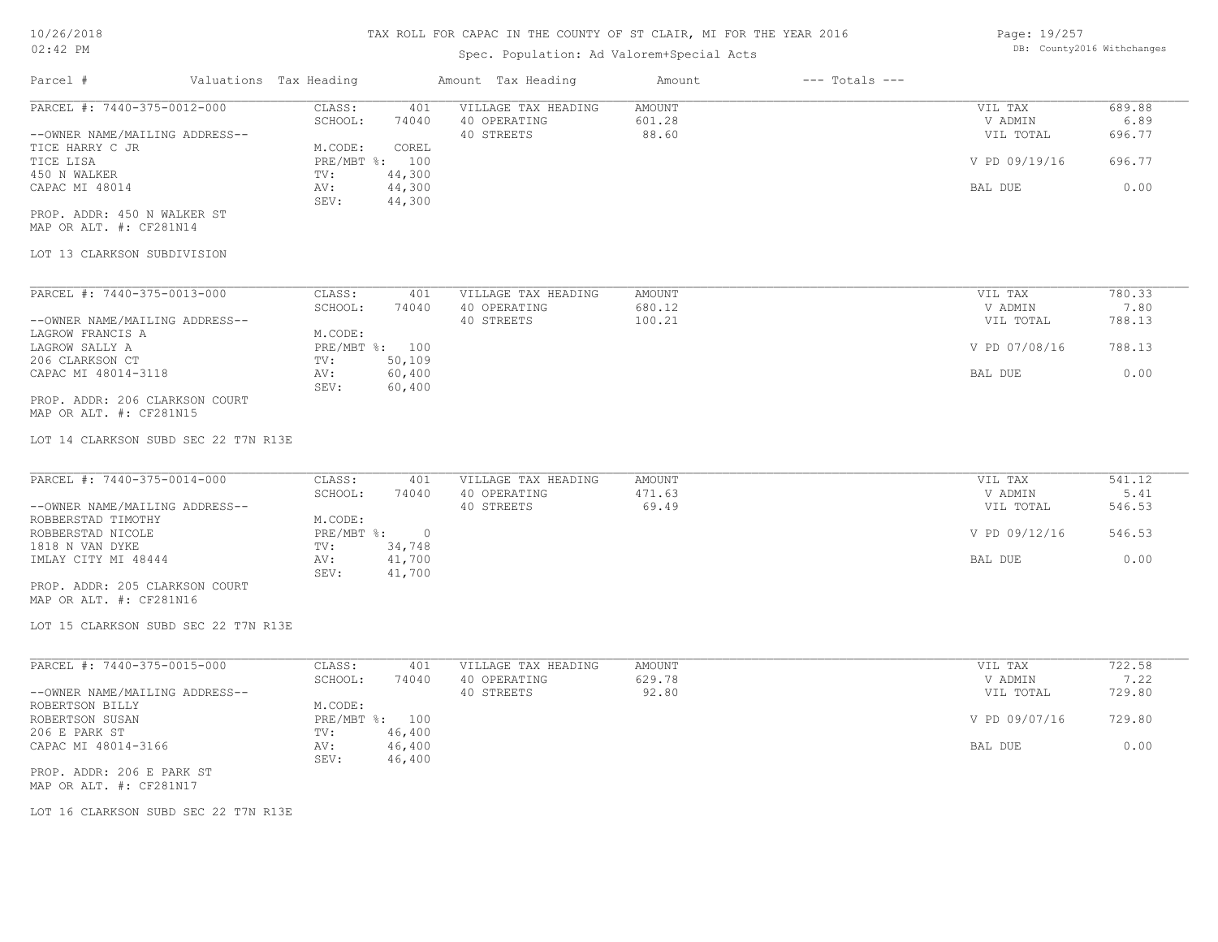## Spec. Population: Ad Valorem+Special Acts

Page: 19/257 DB: County2016 Withchanges

| Parcel #                       | Valuations Tax Heading |                | Amount Tax Heading  | Amount | $---$ Totals $---$ |               |        |
|--------------------------------|------------------------|----------------|---------------------|--------|--------------------|---------------|--------|
| PARCEL #: 7440-375-0012-000    | CLASS:                 | 401            | VILLAGE TAX HEADING | AMOUNT |                    | VIL TAX       | 689.88 |
|                                | SCHOOL:                | 74040          | 40 OPERATING        | 601.28 |                    | V ADMIN       | 6.89   |
| --OWNER NAME/MAILING ADDRESS-- |                        |                | 40 STREETS          | 88.60  |                    | VIL TOTAL     | 696.77 |
| TICE HARRY C JR                | M.CODE:                | COREL          |                     |        |                    |               |        |
| TICE LISA                      |                        | PRE/MBT %: 100 |                     |        |                    | V PD 09/19/16 | 696.77 |
| 450 N WALKER                   | TV:                    | 44,300         |                     |        |                    |               |        |
| CAPAC MI 48014                 | AV:                    | 44,300         |                     |        |                    | BAL DUE       | 0.00   |
|                                | SEV:                   | 44,300         |                     |        |                    |               |        |
| PROP. ADDR: 450 N WALKER ST    |                        |                |                     |        |                    |               |        |
| MAP OR ALT. #: CF281N14        |                        |                |                     |        |                    |               |        |
|                                |                        |                |                     |        |                    |               |        |
| LOT 13 CLARKSON SUBDIVISION    |                        |                |                     |        |                    |               |        |
|                                |                        |                |                     |        |                    |               |        |
| PARCEL #: 7440-375-0013-000    | CLASS:                 | 401            | VILLAGE TAX HEADING | AMOUNT |                    | VIL TAX       | 780.33 |
|                                | SCHOOL:                | 74040          | 40 OPERATING        | 680.12 |                    | V ADMIN       | 7.80   |

|                                | -------      | .      | 10 01 11 11 11 11 0 |        | .             | .      |
|--------------------------------|--------------|--------|---------------------|--------|---------------|--------|
| --OWNER NAME/MAILING ADDRESS-- |              |        | 40 STREETS          | 100.21 | VIL TOTAL     | 788.13 |
| LAGROW FRANCIS A               | M.CODE:      |        |                     |        |               |        |
| LAGROW SALLY A                 | $PRE/MBT$ %: | 100    |                     |        | V PD 07/08/16 | 788.13 |
| 206 CLARKSON CT                | TV:          | 50,109 |                     |        |               |        |
| CAPAC MI 48014-3118            | AV:          | 60,400 |                     |        | BAL DUE       | 0.00   |
|                                | SEV:         | 60,400 |                     |        |               |        |
| PROP. ADDR: 206 CLARKSON COURT |              |        |                     |        |               |        |

MAP OR ALT. #: CF281N15

LOT 14 CLARKSON SUBD SEC 22 T7N R13E

| PARCEL #: 7440-375-0014-000    | CLASS:       | 401    | VILLAGE TAX HEADING | AMOUNT | VIL TAX       | 541.12 |
|--------------------------------|--------------|--------|---------------------|--------|---------------|--------|
|                                | SCHOOL:      | 74040  | 40 OPERATING        | 471.63 | V ADMIN       | 5.41   |
| --OWNER NAME/MAILING ADDRESS-- |              |        | 40 STREETS          | 69.49  | VIL TOTAL     | 546.53 |
| ROBBERSTAD TIMOTHY             | M.CODE:      |        |                     |        |               |        |
| ROBBERSTAD NICOLE              | $PRE/MBT$ %: |        |                     |        | V PD 09/12/16 | 546.53 |
| 1818 N VAN DYKE                | TV:          | 34,748 |                     |        |               |        |
| IMLAY CITY MI 48444            | AV:          | 41,700 |                     |        | BAL DUE       | 0.00   |
|                                | SEV:         | 41,700 |                     |        |               |        |
| PROP. ADDR: 205 CLARKSON COURT |              |        |                     |        |               |        |

MAP OR ALT. #: CF281N16

LOT 15 CLARKSON SUBD SEC 22 T7N R13E

| PARCEL #: 7440-375-0015-000    | CLASS:       | 401    | VILLAGE TAX HEADING | AMOUNT | VIL TAX       | 722.58 |
|--------------------------------|--------------|--------|---------------------|--------|---------------|--------|
|                                | SCHOOL:      | 74040  | 40 OPERATING        | 629.78 | V ADMIN       | 7.22   |
| --OWNER NAME/MAILING ADDRESS-- |              |        | 40 STREETS          | 92.80  | VIL TOTAL     | 729.80 |
| ROBERTSON BILLY                | M.CODE:      |        |                     |        |               |        |
| ROBERTSON SUSAN                | $PRE/MBT$ %: | 100    |                     |        | V PD 09/07/16 | 729.80 |
| 206 E PARK ST                  | TV:          | 46,400 |                     |        |               |        |
| CAPAC MI 48014-3166            | AV:          | 46,400 |                     |        | BAL DUE       | 0.00   |
|                                | SEV:         | 46,400 |                     |        |               |        |
| PROP. ADDR: 206 E PARK ST      |              |        |                     |        |               |        |

 $\mathcal{L}_\mathcal{L} = \mathcal{L}_\mathcal{L} = \mathcal{L}_\mathcal{L} = \mathcal{L}_\mathcal{L} = \mathcal{L}_\mathcal{L} = \mathcal{L}_\mathcal{L} = \mathcal{L}_\mathcal{L} = \mathcal{L}_\mathcal{L} = \mathcal{L}_\mathcal{L} = \mathcal{L}_\mathcal{L} = \mathcal{L}_\mathcal{L} = \mathcal{L}_\mathcal{L} = \mathcal{L}_\mathcal{L} = \mathcal{L}_\mathcal{L} = \mathcal{L}_\mathcal{L} = \mathcal{L}_\mathcal{L} = \mathcal{L}_\mathcal{L}$ 

MAP OR ALT. #: CF281N17

LOT 16 CLARKSON SUBD SEC 22 T7N R13E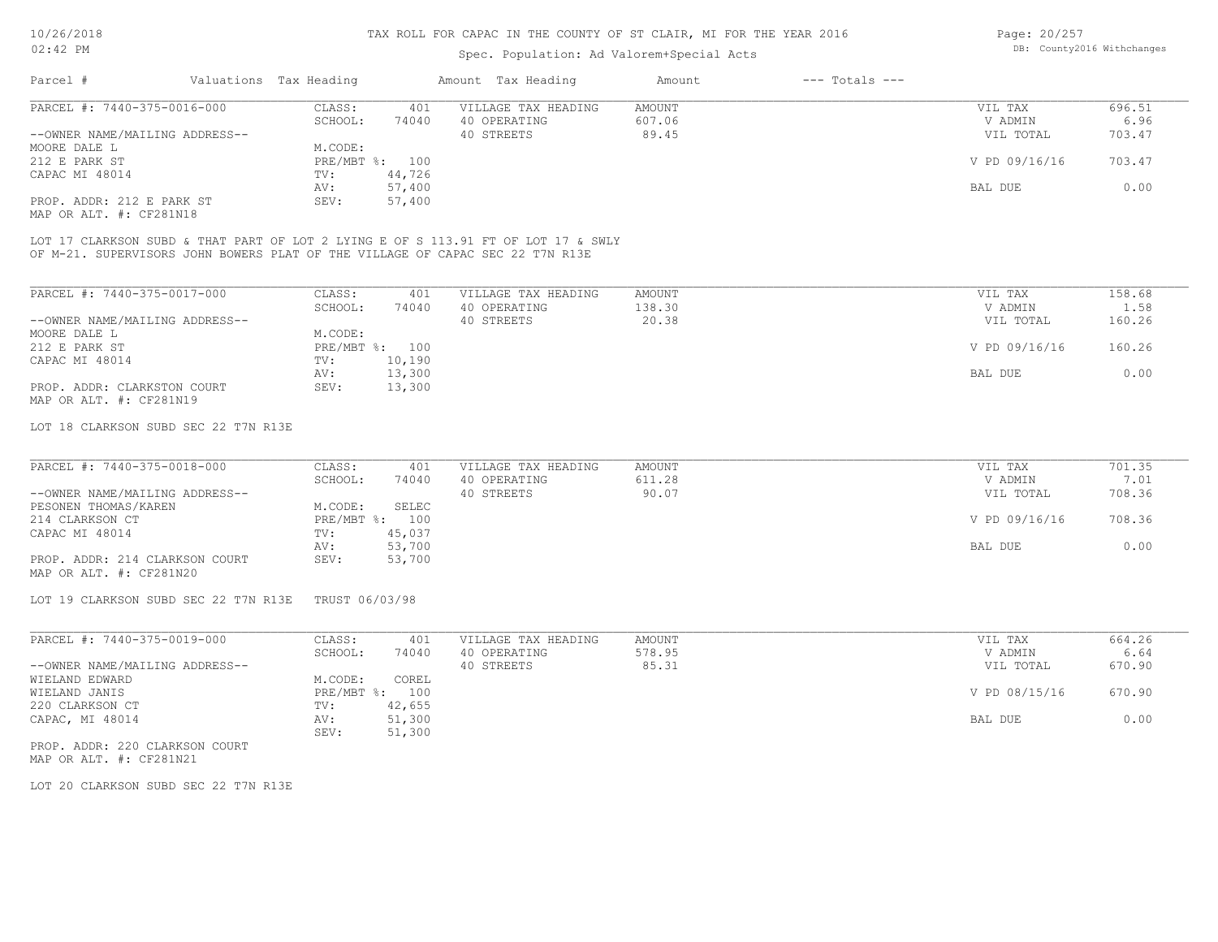## Spec. Population: Ad Valorem+Special Acts

| Page: 20/257 |                            |
|--------------|----------------------------|
|              | DB: County2016 Withchanges |

| Parcel #                       | Valuations Tax Heading   |                                                | Amount Tax Heading                                                                                                                                                 | Amount          | $---$ Totals $---$ |                               |                           |
|--------------------------------|--------------------------|------------------------------------------------|--------------------------------------------------------------------------------------------------------------------------------------------------------------------|-----------------|--------------------|-------------------------------|---------------------------|
| PARCEL #: 7440-375-0016-000    | CLASS:                   | 401                                            | VILLAGE TAX HEADING                                                                                                                                                | AMOUNT          |                    | VIL TAX                       | 696.51                    |
|                                | SCHOOL:                  | 74040                                          | 40 OPERATING                                                                                                                                                       | 607.06          |                    | V ADMIN                       | 6.96                      |
| --OWNER NAME/MAILING ADDRESS-- |                          |                                                | 40 STREETS                                                                                                                                                         | 89.45           |                    | VIL TOTAL                     | 703.47                    |
| MOORE DALE L                   | M.CODE:                  |                                                |                                                                                                                                                                    |                 |                    |                               |                           |
| 212 E PARK ST                  | PRE/MBT %: 100           |                                                |                                                                                                                                                                    |                 |                    | V PD 09/16/16                 | 703.47                    |
| CAPAC MI 48014                 | TV:                      | 44,726                                         |                                                                                                                                                                    |                 |                    |                               |                           |
|                                | AV:                      | 57,400                                         |                                                                                                                                                                    |                 |                    | BAL DUE                       | 0.00                      |
| PROP. ADDR: 212 E PARK ST      | SEV:                     | 57,400                                         |                                                                                                                                                                    |                 |                    |                               |                           |
| MAP OR ALT. #: CF281N18        |                          |                                                |                                                                                                                                                                    |                 |                    |                               |                           |
|                                |                          |                                                | LOT 17 CLARKSON SUBD & THAT PART OF LOT 2 LYING E OF S 113.91 FT OF LOT 17 & SWLY<br>OF M-21. SUPERVISORS JOHN BOWERS PLAT OF THE VILLAGE OF CAPAC SEC 22 T7N R13E |                 |                    |                               |                           |
|                                |                          |                                                |                                                                                                                                                                    |                 |                    |                               |                           |
| PARCEL #: 7440-375-0017-000    | CLASS:<br>$CCTI\cap T$ . | 401<br>$\begin{array}{c}\n\hline\n\end{array}$ | VILLAGE TAX HEADING<br>10.00000000000                                                                                                                              | AMOUNT<br>12022 |                    | VIL TAX<br><b>TT A DIATIT</b> | 158.68<br>1 <sub>50</sub> |

|                                | SCHOOL:    | 74040  | 40 OPERATING | 138.30 | V ADMIN       | 1.58   |
|--------------------------------|------------|--------|--------------|--------|---------------|--------|
| --OWNER NAME/MAILING ADDRESS-- |            |        | 40 STREETS   | 20.38  | VIL TOTAL     | 160.26 |
| MOORE DALE L                   | M.CODE:    |        |              |        |               |        |
| 212 E PARK ST                  | PRE/MBT %: | 100    |              |        | V PD 09/16/16 | 160.26 |
| CAPAC MI 48014                 | TV:        | 10,190 |              |        |               |        |
|                                | AV:        | 13,300 |              |        | BAL DUE       | 0.00   |
| PROP. ADDR: CLARKSTON COURT    | SEV:       | 13,300 |              |        |               |        |
| MAP OR ALT. #: CF281N19        |            |        |              |        |               |        |

#### LOT 18 CLARKSON SUBD SEC 22 T7N R13E

| PARCEL #: 7440-375-0018-000    | CLASS:  | 401            | VILLAGE TAX HEADING | AMOUNT | VIL TAX       | 701.35 |
|--------------------------------|---------|----------------|---------------------|--------|---------------|--------|
|                                | SCHOOL: | 74040          | 40 OPERATING        | 611.28 | V ADMIN       | 7.01   |
| --OWNER NAME/MAILING ADDRESS-- |         |                | 40 STREETS          | 90.07  | VIL TOTAL     | 708.36 |
| PESONEN THOMAS/KAREN           | M.CODE: | SELEC          |                     |        |               |        |
| 214 CLARKSON CT                |         | PRE/MBT %: 100 |                     |        | V PD 09/16/16 | 708.36 |
| CAPAC MI 48014                 | TV:     | 45,037         |                     |        |               |        |
|                                | AV:     | 53,700         |                     |        | BAL DUE       | 0.00   |
| PROP. ADDR: 214 CLARKSON COURT | SEV:    | 53,700         |                     |        |               |        |
| MAP OR ALT. #: CF281N20        |         |                |                     |        |               |        |

#### LOT 19 CLARKSON SUBD SEC 22 T7N R13E TRUST 06/03/98

| PARCEL #: 7440-375-0019-000    | CLASS:     | 401    | VILLAGE TAX HEADING | AMOUNT | VIL TAX       | 664.26 |
|--------------------------------|------------|--------|---------------------|--------|---------------|--------|
|                                | SCHOOL:    | 74040  | 40 OPERATING        | 578.95 | V ADMIN       | 6.64   |
| --OWNER NAME/MAILING ADDRESS-- |            |        | 40 STREETS          | 85.31  | VIL TOTAL     | 670.90 |
| WIELAND EDWARD                 | M.CODE:    | COREL  |                     |        |               |        |
| WIELAND JANIS                  | PRE/MBT %: | 100    |                     |        | V PD 08/15/16 | 670.90 |
| 220 CLARKSON CT                | TV:        | 42,655 |                     |        |               |        |
| CAPAC, MI 48014                | AV:        | 51,300 |                     |        | BAL DUE       | 0.00   |
|                                | SEV:       | 51,300 |                     |        |               |        |

MAP OR ALT. #: CF281N21 PROP. ADDR: 220 CLARKSON COURT

LOT 20 CLARKSON SUBD SEC 22 T7N R13E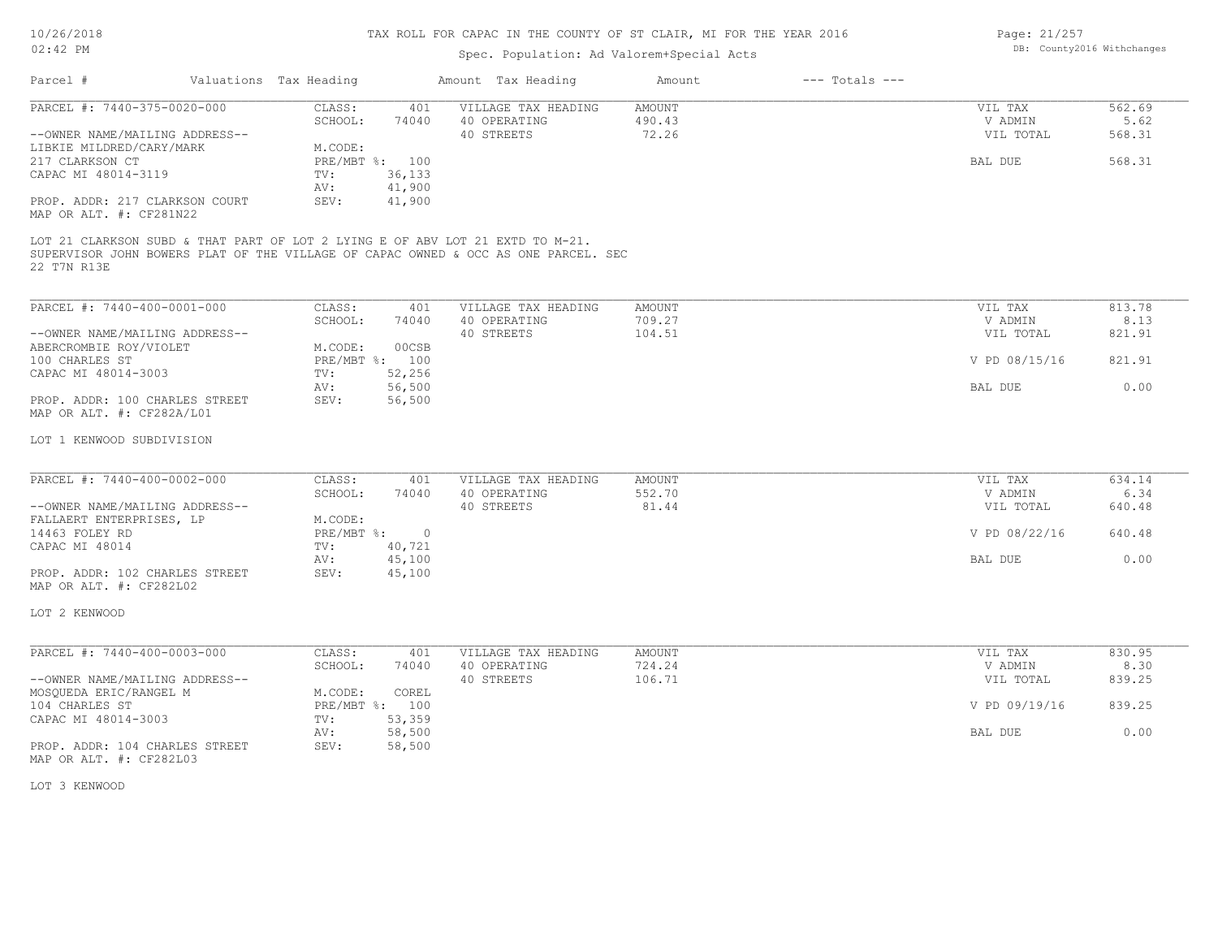| Page: 21/257 |                            |
|--------------|----------------------------|
|              | DB: County2016 Withchanges |

|                                                                                                                                                                                    |                                                                               | Spec. Population: Ad Valorem+Special Acts         |                           |                    | DB: COUNTAINS MILNCHANGES       |                          |  |  |
|------------------------------------------------------------------------------------------------------------------------------------------------------------------------------------|-------------------------------------------------------------------------------|---------------------------------------------------|---------------------------|--------------------|---------------------------------|--------------------------|--|--|
| Parcel #<br>Valuations Tax Heading                                                                                                                                                 |                                                                               | Amount Tax Heading                                | Amount                    | $---$ Totals $---$ |                                 |                          |  |  |
| PARCEL #: 7440-375-0020-000<br>--OWNER NAME/MAILING ADDRESS--<br>LIBKIE MILDRED/CARY/MARK                                                                                          | CLASS:<br>401<br>SCHOOL:<br>74040<br>M.CODE:                                  | VILLAGE TAX HEADING<br>40 OPERATING<br>40 STREETS | AMOUNT<br>490.43<br>72.26 |                    | VIL TAX<br>V ADMIN<br>VIL TOTAL | 562.69<br>5.62<br>568.31 |  |  |
| 217 CLARKSON CT<br>CAPAC MI 48014-3119<br>PROP. ADDR: 217 CLARKSON COURT                                                                                                           | PRE/MBT %: 100<br>36,133<br>TV:<br>41,900<br>AV:<br>SEV:<br>41,900            |                                                   |                           |                    | BAL DUE                         | 568.31                   |  |  |
| MAP OR ALT. #: CF281N22                                                                                                                                                            |                                                                               |                                                   |                           |                    |                                 |                          |  |  |
| LOT 21 CLARKSON SUBD & THAT PART OF LOT 2 LYING E OF ABV LOT 21 EXTD TO M-21.<br>SUPERVISOR JOHN BOWERS PLAT OF THE VILLAGE OF CAPAC OWNED & OCC AS ONE PARCEL. SEC<br>22 T7N R13E |                                                                               |                                                   |                           |                    |                                 |                          |  |  |
| PARCEL #: 7440-400-0001-000                                                                                                                                                        | CLASS:<br>401<br>SCHOOL:                                                      | VILLAGE TAX HEADING                               | AMOUNT<br>709.27          |                    | VIL TAX<br>V ADMIN              | 813.78<br>8.13           |  |  |
| --OWNER NAME/MAILING ADDRESS--<br>ABERCROMBIE ROY/VIOLET                                                                                                                           | 74040<br>00CSB<br>M.CODE:                                                     | 40 OPERATING<br>40 STREETS                        | 104.51                    |                    | VIL TOTAL                       | 821.91                   |  |  |
| 100 CHARLES ST<br>CAPAC MI 48014-3003                                                                                                                                              | PRE/MBT %: 100<br>TV:<br>52,256                                               |                                                   |                           |                    | V PD 08/15/16                   | 821.91                   |  |  |
| PROP. ADDR: 100 CHARLES STREET<br>MAP OR ALT. #: CF282A/L01                                                                                                                        | 56,500<br>AV:<br>56,500<br>SEV:                                               |                                                   |                           |                    | BAL DUE                         | 0.00                     |  |  |
| LOT 1 KENWOOD SUBDIVISION                                                                                                                                                          |                                                                               |                                                   |                           |                    |                                 |                          |  |  |
| PARCEL #: 7440-400-0002-000                                                                                                                                                        | CLASS:<br>401<br>SCHOOL:<br>74040                                             | VILLAGE TAX HEADING<br>40 OPERATING               | AMOUNT<br>552.70          |                    | VIL TAX<br>V ADMIN              | 634.14<br>6.34           |  |  |
| --OWNER NAME/MAILING ADDRESS--<br>FALLAERT ENTERPRISES, LP                                                                                                                         | M.CODE:                                                                       | 40 STREETS                                        | 81.44                     |                    | VIL TOTAL                       | 640.48                   |  |  |
| 14463 FOLEY RD<br>CAPAC MI 48014                                                                                                                                                   | $PRE/MBT$ $\frac{6}{3}$ :<br>$\overline{0}$<br>40,721<br>TV:<br>45,100<br>AV: |                                                   |                           |                    | V PD 08/22/16<br>BAL DUE        | 640.48<br>0.00           |  |  |
| PROP. ADDR: 102 CHARLES STREET<br>MAP OR ALT. #: CF282L02                                                                                                                          | SEV:<br>45,100                                                                |                                                   |                           |                    |                                 |                          |  |  |
| LOT 2 KENWOOD                                                                                                                                                                      |                                                                               |                                                   |                           |                    |                                 |                          |  |  |
| PARCEL #: 7440-400-0003-000                                                                                                                                                        | CLASS:<br>401<br>74040                                                        | VILLAGE TAX HEADING<br>40 OPERATING               | AMOUNT<br>724.24          |                    | VIL TAX                         | 830.95<br>8.30           |  |  |
| --OWNER NAME/MAILING ADDRESS--<br>MOSQUEDA ERIC/RANGEL M                                                                                                                           | SCHOOL:<br>M.CODE:<br>COREL                                                   | 40 STREETS                                        | 106.71                    |                    | V ADMIN<br>VIL TOTAL            | 839.25                   |  |  |
| 104 CHARLES ST<br>CAPAC MI 48014-3003                                                                                                                                              | PRE/MBT %: 100<br>53,359<br>TV:                                               |                                                   |                           |                    | V PD 09/19/16                   | 839.25                   |  |  |
| PROP. ADDR: 104 CHARLES STREET                                                                                                                                                     | 58,500<br>AV:<br>SEV:<br>58,500                                               |                                                   |                           |                    | <b>BAL DUE</b>                  | 0.00                     |  |  |
| MAP OR ALT. #: CF282L03                                                                                                                                                            |                                                                               |                                                   |                           |                    |                                 |                          |  |  |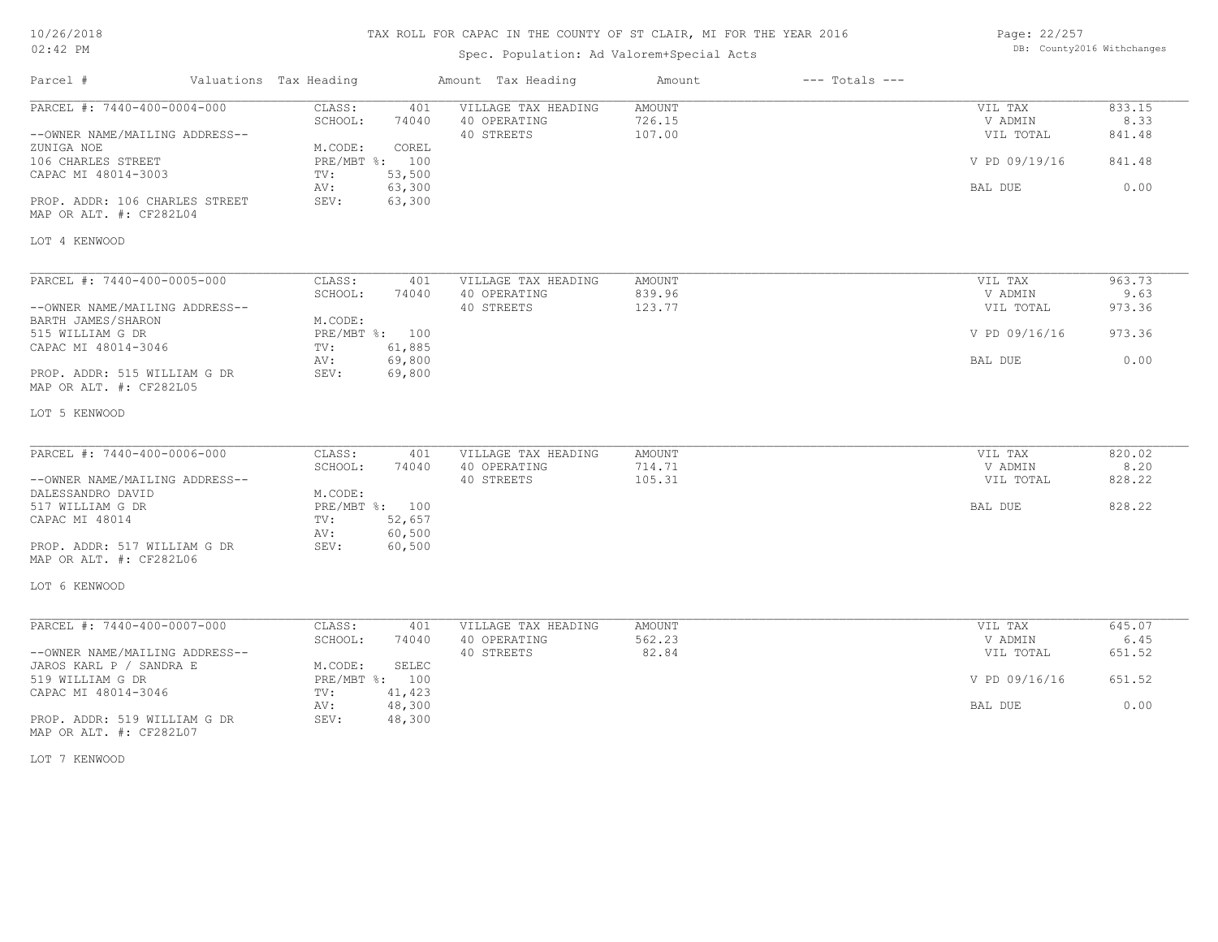## TAX ROLL FOR CAPAC IN THE COUNTY OF ST CLAIR, MI FOR THE YEAR 2016

Spec. Population: Ad Valorem+Special Acts

Page: 22/257 DB: County2016 Withchanges

| Parcel #                                                  | Valuations Tax Heading |                  | Amount Tax Heading                  | Amount                  | $---$ Totals $---$ |                    |                |
|-----------------------------------------------------------|------------------------|------------------|-------------------------------------|-------------------------|--------------------|--------------------|----------------|
| PARCEL #: 7440-400-0004-000                               | CLASS:<br>SCHOOL:      | 401<br>74040     | VILLAGE TAX HEADING<br>40 OPERATING | <b>AMOUNT</b><br>726.15 |                    | VIL TAX<br>V ADMIN | 833.15<br>8.33 |
| --OWNER NAME/MAILING ADDRESS--<br>ZUNIGA NOE              | M.CODE:                | COREL            | 40 STREETS                          | 107.00                  |                    | VIL TOTAL          | 841.48         |
| 106 CHARLES STREET<br>CAPAC MI 48014-3003                 | PRE/MBT %: 100<br>TV:  | 53,500           |                                     |                         |                    | V PD 09/19/16      | 841.48         |
| PROP. ADDR: 106 CHARLES STREET<br>MAP OR ALT. #: CF282L04 | AV:<br>SEV:            | 63,300<br>63,300 |                                     |                         |                    | BAL DUE            | 0.00           |
| LOT 4 KENWOOD                                             |                        |                  |                                     |                         |                    |                    |                |
| PARCEL #: 7440-400-0005-000                               | CLASS:                 | 401              | VILLAGE TAX HEADING                 | <b>AMOUNT</b>           |                    | VIL TAX            | 963.73         |
|                                                           | SCHOOL:                | 74040            | 40 OPERATING                        | 839.96                  |                    | V ADMIN            | 9.63           |
| --OWNER NAME/MAILING ADDRESS--                            |                        |                  | 40 STREETS                          | 123.77                  |                    | VIL TOTAL          | 973.36         |
| BARTH JAMES/SHARON                                        | M.CODE:                |                  |                                     |                         |                    |                    |                |
| 515 WILLIAM G DR                                          | PRE/MBT %: 100         |                  |                                     |                         |                    | V PD 09/16/16      | 973.36         |
| CAPAC MI 48014-3046                                       | TV:                    | 61,885           |                                     |                         |                    |                    |                |
|                                                           | AV:                    | 69,800           |                                     |                         |                    | <b>BAL DUE</b>     | 0.00           |
| PROP. ADDR: 515 WILLIAM G DR<br>MAP OR ALT. #: CF282L05   | SEV:                   | 69,800           |                                     |                         |                    |                    |                |
| LOT 5 KENWOOD                                             |                        |                  |                                     |                         |                    |                    |                |
| PARCEL #: 7440-400-0006-000                               | CLASS:                 | 401              | VILLAGE TAX HEADING                 | AMOUNT                  |                    | VIL TAX            | 820.02         |
|                                                           | SCHOOL:                | 74040            | 40 OPERATING                        | 714.71                  |                    | V ADMIN            | 8.20           |
| --OWNER NAME/MAILING ADDRESS--                            |                        |                  | 40 STREETS                          | 105.31                  |                    | VIL TOTAL          | 828.22         |
| DALESSANDRO DAVID                                         | M.CODE:                |                  |                                     |                         |                    |                    |                |
| 517 WILLIAM G DR                                          | PRE/MBT %: 100         |                  |                                     |                         |                    | BAL DUE            | 828.22         |
| CAPAC MI 48014                                            | TV:                    | 52,657           |                                     |                         |                    |                    |                |
|                                                           | AV:                    | 60,500           |                                     |                         |                    |                    |                |
| PROP. ADDR: 517 WILLIAM G DR                              | SEV:                   | 60,500           |                                     |                         |                    |                    |                |
| MAP OR ALT. #: CF282L06                                   |                        |                  |                                     |                         |                    |                    |                |
| LOT 6 KENWOOD                                             |                        |                  |                                     |                         |                    |                    |                |
| PARCEL #: 7440-400-0007-000                               | CLASS:                 | 401              | VILLAGE TAX HEADING                 | <b>AMOUNT</b>           |                    | VIL TAX            | 645.07         |
|                                                           | SCHOOL:                | 74040            | 40 OPERATING                        | 562.23                  |                    | V ADMIN            | 6.45           |
| --OWNER NAME/MAILING ADDRESS--                            |                        |                  | 40 STREETS                          | 82.84                   |                    | VIL TOTAL          | 651.52         |
| JAROS KARL P / SANDRA E                                   | M.CODE:                | <b>SELEC</b>     |                                     |                         |                    |                    |                |
| 519 WILLIAM G DR                                          | PRE/MBT %: 100         |                  |                                     |                         |                    | V PD 09/16/16      | 651.52         |
| CAPAC MI 48014-3046                                       | TV:                    | 41,423           |                                     |                         |                    |                    |                |
|                                                           | AV:                    | 48,300           |                                     |                         |                    | BAL DUE            | 0.00           |
| PROP. ADDR: 519 WILLIAM G DR<br>MAP OR ALT. #: CF282L07   | SEV:                   | 48,300           |                                     |                         |                    |                    |                |

LOT 7 KENWOOD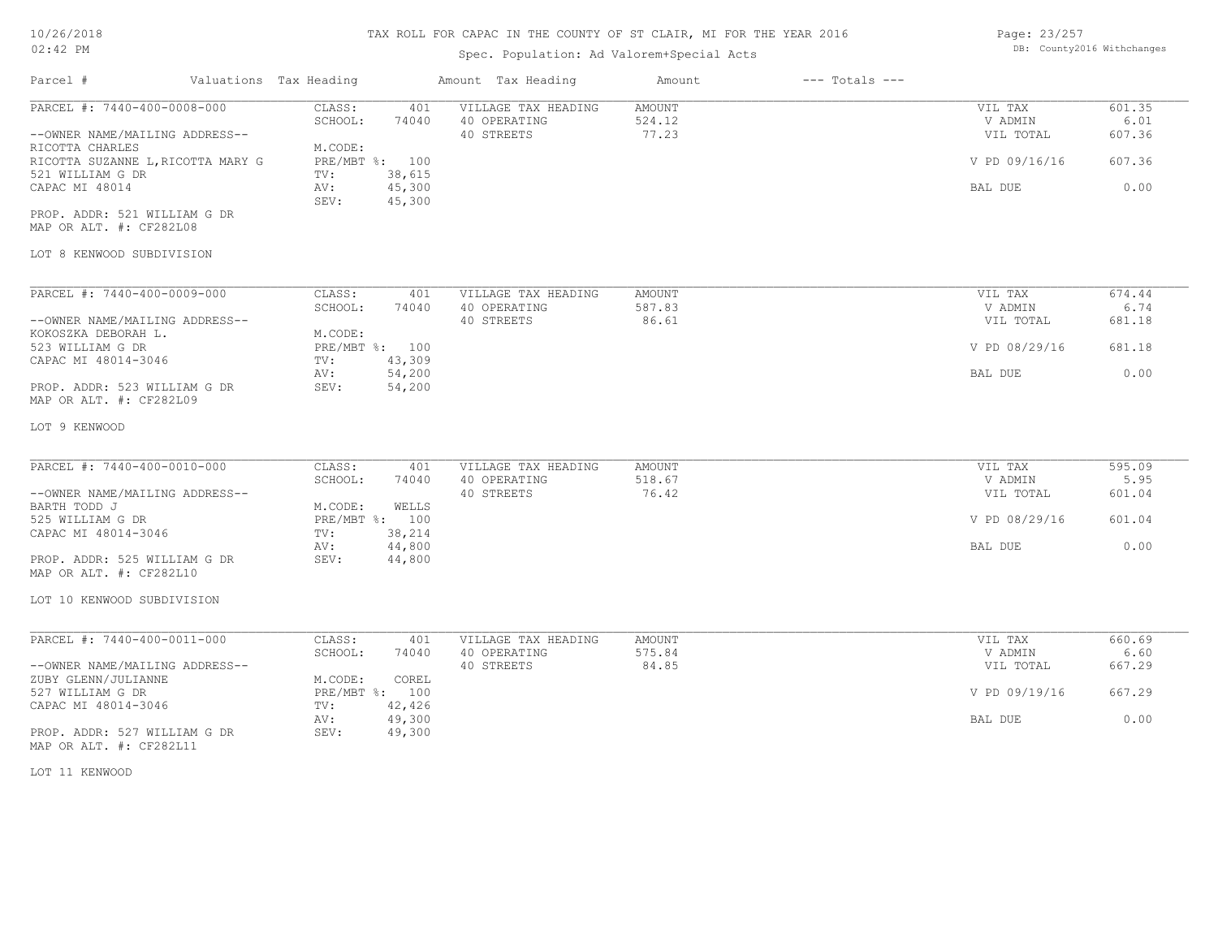## TAX ROLL FOR CAPAC IN THE COUNTY OF ST CLAIR, MI FOR THE YEAR 2016

## Spec. Population: Ad Valorem+Special Acts

| Page: 23/257 |                            |
|--------------|----------------------------|
|              | DB: County2016 Withchanges |

| Parcel #                                                                                                                                                                                                               | Valuations Tax Heading                                               |                                                     | Amount Tax Heading                                | Amount                           | $---$ Totals $---$ |                                                             |                                            |
|------------------------------------------------------------------------------------------------------------------------------------------------------------------------------------------------------------------------|----------------------------------------------------------------------|-----------------------------------------------------|---------------------------------------------------|----------------------------------|--------------------|-------------------------------------------------------------|--------------------------------------------|
| PARCEL #: 7440-400-0008-000<br>--OWNER NAME/MAILING ADDRESS--<br>RICOTTA CHARLES<br>RICOTTA SUZANNE L, RICOTTA MARY G<br>521 WILLIAM G DR<br>CAPAC MI 48014<br>PROP. ADDR: 521 WILLIAM G DR<br>MAP OR ALT. #: CF282L08 | CLASS:<br>SCHOOL:<br>M.CODE:<br>PRE/MBT %: 100<br>TV:<br>AV:<br>SEV: | 401<br>74040<br>38,615<br>45,300<br>45,300          | VILLAGE TAX HEADING<br>40 OPERATING<br>40 STREETS | <b>AMOUNT</b><br>524.12<br>77.23 |                    | VIL TAX<br>V ADMIN<br>VIL TOTAL<br>V PD 09/16/16<br>BAL DUE | 601.35<br>6.01<br>607.36<br>607.36<br>0.00 |
| LOT 8 KENWOOD SUBDIVISION                                                                                                                                                                                              |                                                                      |                                                     |                                                   |                                  |                    |                                                             |                                            |
| PARCEL #: 7440-400-0009-000<br>--OWNER NAME/MAILING ADDRESS--<br>KOKOSZKA DEBORAH L.<br>523 WILLIAM G DR<br>CAPAC MI 48014-3046<br>PROP. ADDR: 523 WILLIAM G DR<br>MAP OR ALT. #: CF282L09                             | CLASS:<br>SCHOOL:<br>M.CODE:<br>PRE/MBT %: 100<br>TV:<br>AV:<br>SEV: | 401<br>74040<br>43,309<br>54,200<br>54,200          | VILLAGE TAX HEADING<br>40 OPERATING<br>40 STREETS | AMOUNT<br>587.83<br>86.61        |                    | VIL TAX<br>V ADMIN<br>VIL TOTAL<br>V PD 08/29/16<br>BAL DUE | 674.44<br>6.74<br>681.18<br>681.18<br>0.00 |
| LOT 9 KENWOOD                                                                                                                                                                                                          |                                                                      |                                                     |                                                   |                                  |                    |                                                             |                                            |
| PARCEL #: 7440-400-0010-000<br>--OWNER NAME/MAILING ADDRESS--<br>BARTH TODD J<br>525 WILLIAM G DR<br>CAPAC MI 48014-3046<br>PROP. ADDR: 525 WILLIAM G DR<br>MAP OR ALT. #: CF282L10<br>LOT 10 KENWOOD SUBDIVISION      | CLASS:<br>SCHOOL:<br>M.CODE:<br>PRE/MBT %: 100<br>TV:<br>AV:<br>SEV: | 401<br>74040<br>WELLS<br>38,214<br>44,800<br>44,800 | VILLAGE TAX HEADING<br>40 OPERATING<br>40 STREETS | AMOUNT<br>518.67<br>76.42        |                    | VIL TAX<br>V ADMIN<br>VIL TOTAL<br>V PD 08/29/16<br>BAL DUE | 595.09<br>5.95<br>601.04<br>601.04<br>0.00 |
|                                                                                                                                                                                                                        |                                                                      |                                                     |                                                   |                                  |                    |                                                             |                                            |
| PARCEL #: 7440-400-0011-000<br>--OWNER NAME/MAILING ADDRESS--<br>ZUBY GLENN/JULIANNE                                                                                                                                   | CLASS:<br>SCHOOL:<br>M.CODE:                                         | 401<br>74040<br>COREL                               | VILLAGE TAX HEADING<br>40 OPERATING<br>40 STREETS | AMOUNT<br>575.84<br>84.85        |                    | VIL TAX<br>V ADMIN<br>VIL TOTAL                             | 660.69<br>6.60<br>667.29                   |
| 527 WILLIAM G DR<br>CAPAC MI 48014-3046                                                                                                                                                                                | PRE/MBT %: 100<br>TV:<br>AV:                                         | 42,426<br>49,300                                    |                                                   |                                  |                    | V PD 09/19/16<br>BAL DUE                                    | 667.29<br>0.00                             |
| PROP. ADDR: 527 WILLIAM G DR<br>MAP OR ALT. #: CF282L11                                                                                                                                                                | SEV:                                                                 | 49,300                                              |                                                   |                                  |                    |                                                             |                                            |
| LOT 11 KENWOOD                                                                                                                                                                                                         |                                                                      |                                                     |                                                   |                                  |                    |                                                             |                                            |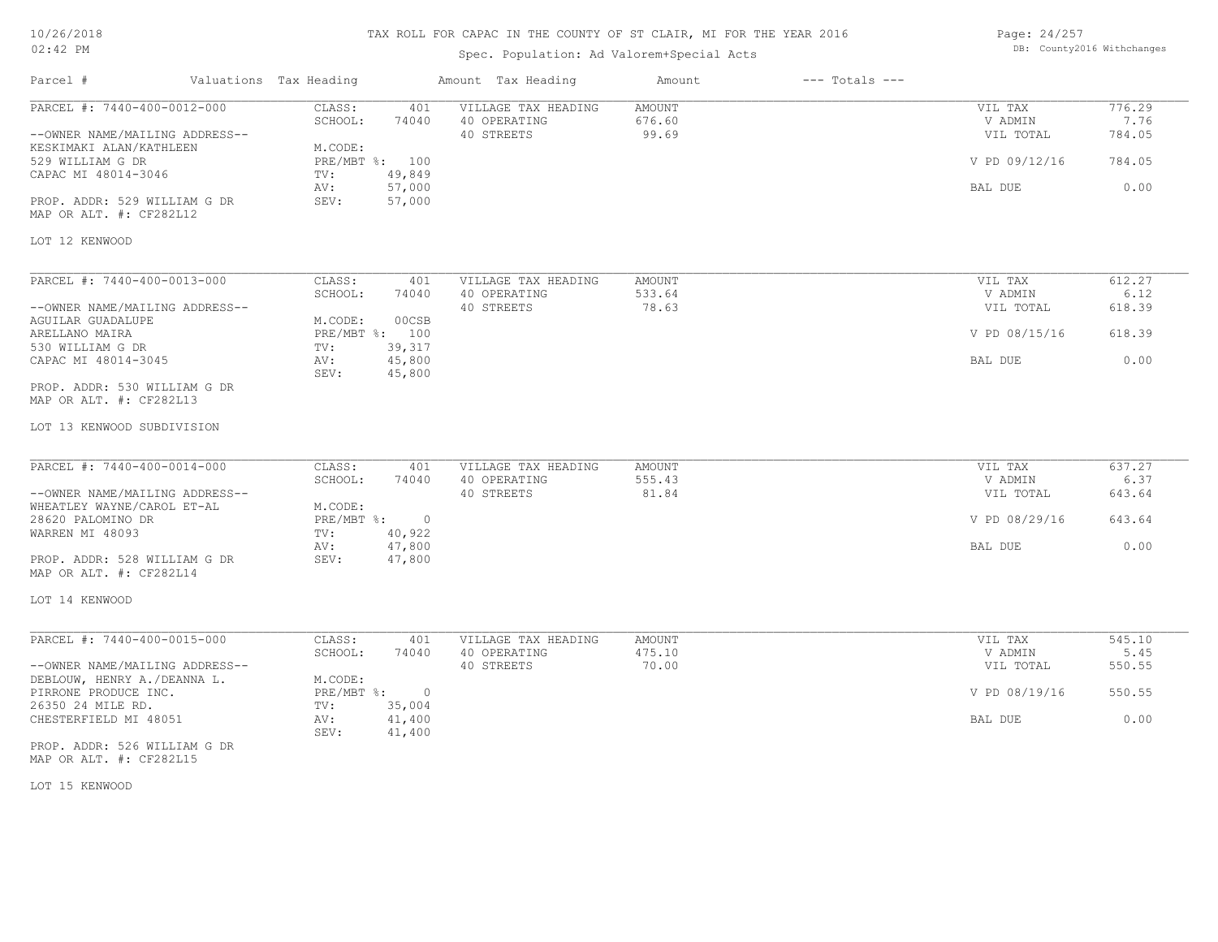#### TAX ROLL FOR CAPAC IN THE COUNTY

| 10/26/2018                     |                        | TAX ROLL FOR CAPAC IN THE COUNTY OF ST CLAIR, MI FOR THE YEAR 2016<br>Page: 24/257 |        |                                           |        |                    |               |                            |
|--------------------------------|------------------------|------------------------------------------------------------------------------------|--------|-------------------------------------------|--------|--------------------|---------------|----------------------------|
| $02:42$ PM                     |                        |                                                                                    |        | Spec. Population: Ad Valorem+Special Acts |        |                    |               | DB: County2016 Withchanges |
| Parcel #                       | Valuations Tax Heading |                                                                                    |        | Amount Tax Heading                        | Amount | $---$ Totals $---$ |               |                            |
| PARCEL #: 7440-400-0012-000    |                        | CLASS:                                                                             | 401    | VILLAGE TAX HEADING                       | AMOUNT |                    | VIL TAX       | 776.29                     |
|                                |                        | SCHOOL:                                                                            | 74040  | 40 OPERATING                              | 676.60 |                    | V ADMIN       | 7.76                       |
| --OWNER NAME/MAILING ADDRESS-- |                        |                                                                                    |        | 40 STREETS                                | 99.69  |                    | VIL TOTAL     | 784.05                     |
| KESKIMAKI ALAN/KATHLEEN        |                        | M.CODE:                                                                            |        |                                           |        |                    |               |                            |
| 529 WILLIAM G DR               |                        | PRE/MBT %: 100                                                                     |        |                                           |        |                    | V PD 09/12/16 | 784.05                     |
| CAPAC MI 48014-3046            |                        | $\text{TV}$ :                                                                      | 49,849 |                                           |        |                    |               |                            |
|                                |                        | AV:                                                                                | 57,000 |                                           |        |                    | BAL DUE       | 0.00                       |
| PROP. ADDR: 529 WILLIAM G DR   |                        | SEV:                                                                               | 57,000 |                                           |        |                    |               |                            |
| MAP OR ALT. #: CF282L12        |                        |                                                                                    |        |                                           |        |                    |               |                            |
| LOT 12 KENWOOD                 |                        |                                                                                    |        |                                           |        |                    |               |                            |
|                                |                        |                                                                                    |        |                                           |        |                    |               |                            |
|                                |                        |                                                                                    |        |                                           |        |                    |               |                            |
| PARCEL #: 7440-400-0013-000    |                        | CLASS:                                                                             | 401    | VILLAGE TAX HEADING                       | AMOUNT |                    | VIL TAX       | 612.27                     |
|                                |                        | SCHOOL:                                                                            | 74040  | 40 OPERATING                              | 533.64 |                    | V ADMIN       | 6.12                       |
| --OWNER NAME/MAILING ADDRESS-- |                        |                                                                                    |        | 40 STREETS                                | 78.63  |                    | VIL TOTAL     | 618.39                     |
| AGUILAR GUADALUPE              |                        | M.CODE:                                                                            | 00CSB  |                                           |        |                    |               |                            |
| ARELLANO MAIRA                 |                        | PRE/MBT %: 100                                                                     |        |                                           |        |                    | V PD 08/15/16 | 618.39                     |
| 530 WILLIAM G DR               |                        | $\text{TV}$ :                                                                      | 39,317 |                                           |        |                    |               |                            |
| CAPAC MI 48014-3045            |                        | AV:                                                                                | 45,800 |                                           |        |                    | BAL DUE       | 0.00                       |
|                                |                        | SEV:                                                                               | 45,800 |                                           |        |                    |               |                            |
| PROP. ADDR: 530 WILLIAM G DR   |                        |                                                                                    |        |                                           |        |                    |               |                            |
| MAP OR ALT. #: CF282L13        |                        |                                                                                    |        |                                           |        |                    |               |                            |
| LOT 13 KENWOOD SUBDIVISION     |                        |                                                                                    |        |                                           |        |                    |               |                            |
|                                |                        |                                                                                    |        |                                           |        |                    |               |                            |

| PARCEL #: 7440-400-0014-000    | CLASS:     | 401    | VILLAGE TAX HEADING | AMOUNT | VIL TAX       | 637.27 |
|--------------------------------|------------|--------|---------------------|--------|---------------|--------|
|                                | SCHOOL:    | 74040  | 40 OPERATING        | 555.43 | V ADMIN       | 6.37   |
| --OWNER NAME/MAILING ADDRESS-- |            |        | 40 STREETS          | 81.84  | VIL TOTAL     | 643.64 |
| WHEATLEY WAYNE/CAROL ET-AL     | M.CODE:    |        |                     |        |               |        |
| 28620 PALOMINO DR              | PRE/MBT %: |        |                     |        | V PD 08/29/16 | 643.64 |
| WARREN MI 48093                | TV:        | 40,922 |                     |        |               |        |
|                                | AV:        | 47,800 |                     |        | BAL DUE       | 0.00   |
| PROP. ADDR: 528 WILLIAM G DR   | SEV:       | 47,800 |                     |        |               |        |
| MAP OR ALT. #: CF282L14        |            |        |                     |        |               |        |

#### LOT 14 KENWOOD

| PARCEL #: 7440-400-0015-000    | CLASS:     | 401    | VILLAGE TAX HEADING | AMOUNT | VIL TAX       | 545.10 |
|--------------------------------|------------|--------|---------------------|--------|---------------|--------|
|                                | SCHOOL:    | 74040  | 40 OPERATING        | 475.10 | V ADMIN       | 5.45   |
| --OWNER NAME/MAILING ADDRESS-- |            |        | 40 STREETS          | 70.00  | VIL TOTAL     | 550.55 |
| DEBLOUW, HENRY A./DEANNA L.    | M.CODE:    |        |                     |        |               |        |
| PIRRONE PRODUCE INC.           | PRE/MBT %: |        |                     |        | V PD 08/19/16 | 550.55 |
| 26350 24 MILE RD.              | TV:        | 35,004 |                     |        |               |        |
| CHESTERFIELD MI 48051          | AV:        | 41,400 |                     |        | BAL DUE       | 0.00   |
|                                | SEV:       | 41,400 |                     |        |               |        |

MAP OR ALT. #: CF282L15 PROP. ADDR: 526 WILLIAM G DR

LOT 15 KENWOOD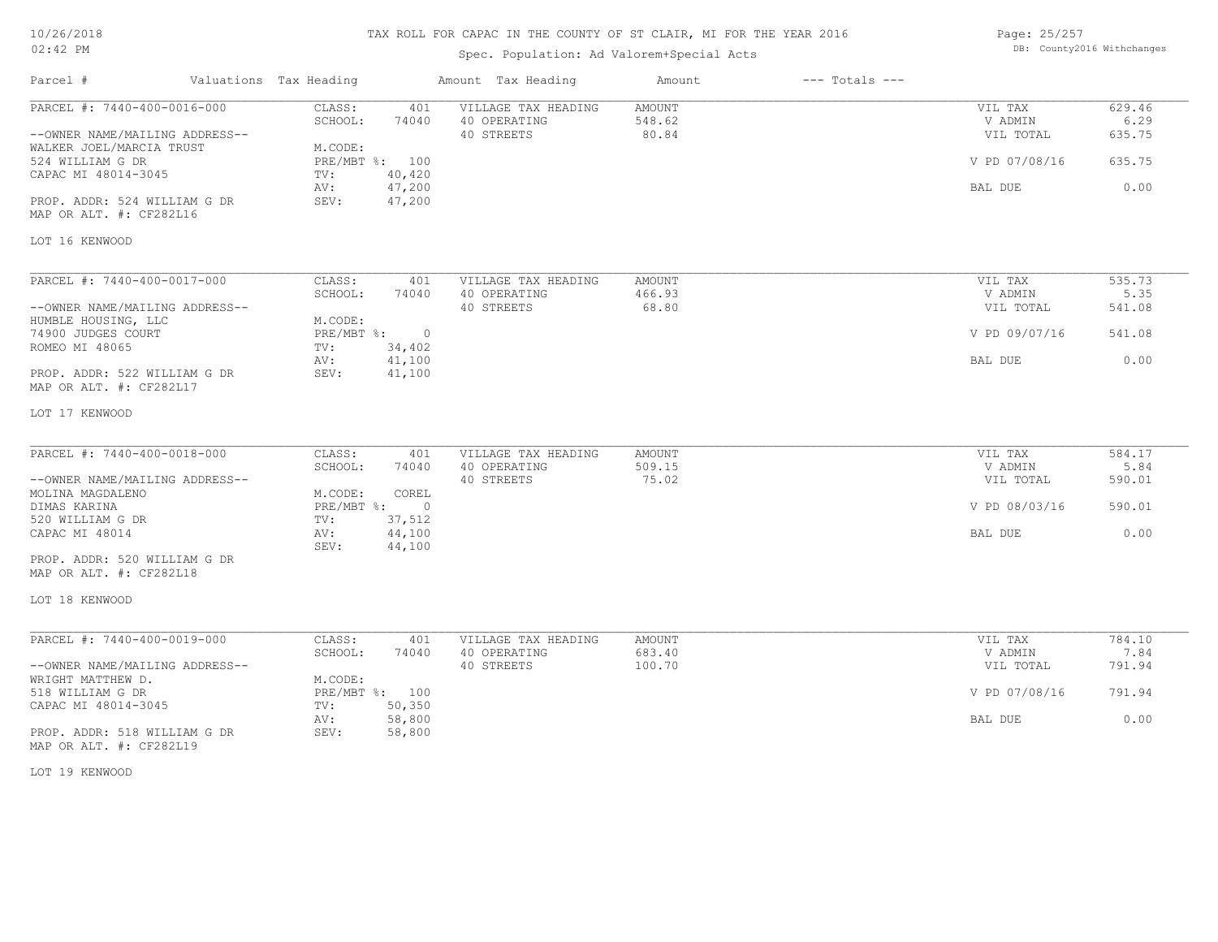## TAX ROLL FOR CAPAC IN THE COUNTY OF ST CLAIR, MI FOR THE YEAR 2016

Spec. Population: Ad Valorem+Special Acts

Parcel # Valuations Tax Heading Amount Tax Heading Amount --- Totals ---

Page: 25/257 DB: County2016 Withchanges  $\mathcal{L}_\mathcal{L} = \mathcal{L}_\mathcal{L} = \mathcal{L}_\mathcal{L} = \mathcal{L}_\mathcal{L} = \mathcal{L}_\mathcal{L} = \mathcal{L}_\mathcal{L} = \mathcal{L}_\mathcal{L} = \mathcal{L}_\mathcal{L} = \mathcal{L}_\mathcal{L} = \mathcal{L}_\mathcal{L} = \mathcal{L}_\mathcal{L} = \mathcal{L}_\mathcal{L} = \mathcal{L}_\mathcal{L} = \mathcal{L}_\mathcal{L} = \mathcal{L}_\mathcal{L} = \mathcal{L}_\mathcal{L} = \mathcal{L}_\mathcal{L}$ 

| PARCEL #: 7440-400-0016-000    | CLASS:<br>401                      | VILLAGE TAX HEADING | AMOUNT        | VIL TAX       | 629.46 |
|--------------------------------|------------------------------------|---------------------|---------------|---------------|--------|
|                                | SCHOOL:<br>74040                   | 40 OPERATING        | 548.62        | V ADMIN       | 6.29   |
| --OWNER NAME/MAILING ADDRESS-- |                                    | 40 STREETS          | 80.84         | VIL TOTAL     | 635.75 |
| WALKER JOEL/MARCIA TRUST       | M.CODE:                            |                     |               |               |        |
| 524 WILLIAM G DR               | PRE/MBT %: 100                     |                     |               | V PD 07/08/16 | 635.75 |
| CAPAC MI 48014-3045            | 40,420<br>TV:                      |                     |               |               |        |
|                                | 47,200<br>AV:                      |                     |               | BAL DUE       | 0.00   |
| PROP. ADDR: 524 WILLIAM G DR   | SEV:<br>47,200                     |                     |               |               |        |
| MAP OR ALT. #: CF282L16        |                                    |                     |               |               |        |
| LOT 16 KENWOOD                 |                                    |                     |               |               |        |
|                                |                                    |                     |               |               |        |
| PARCEL #: 7440-400-0017-000    | CLASS:<br>401                      | VILLAGE TAX HEADING | AMOUNT        | VIL TAX       | 535.73 |
|                                | SCHOOL:<br>74040                   | 40 OPERATING        | 466.93        | V ADMIN       | 5.35   |
| --OWNER NAME/MAILING ADDRESS-- |                                    | 40 STREETS          | 68.80         | VIL TOTAL     | 541.08 |
| HUMBLE HOUSING, LLC            | M.CODE:                            |                     |               |               |        |
| 74900 JUDGES COURT             | $PRE/MBT$ $\div$<br>$\overline{0}$ |                     |               | V PD 09/07/16 | 541.08 |
| ROMEO MI 48065                 | 34,402<br>TV:                      |                     |               |               |        |
|                                | 41,100<br>AV:                      |                     |               | BAL DUE       | 0.00   |
| PROP. ADDR: 522 WILLIAM G DR   | SEV:<br>41,100                     |                     |               |               |        |
| MAP OR ALT. #: CF282L17        |                                    |                     |               |               |        |
|                                |                                    |                     |               |               |        |
| LOT 17 KENWOOD                 |                                    |                     |               |               |        |
|                                |                                    |                     |               |               |        |
| PARCEL #: 7440-400-0018-000    | CLASS:<br>401                      | VILLAGE TAX HEADING | <b>AMOUNT</b> | VIL TAX       | 584.17 |
|                                | SCHOOL:<br>74040                   | 40 OPERATING        | 509.15        | V ADMIN       | 5.84   |
| --OWNER NAME/MAILING ADDRESS-- |                                    | 40 STREETS          | 75.02         | VIL TOTAL     | 590.01 |
| MOLINA MAGDALENO               | COREL<br>M.CODE:                   |                     |               |               |        |
| DIMAS KARINA                   | $PRE/MBT$ $\div$<br>$\overline{0}$ |                     |               | V PD 08/03/16 | 590.01 |
| 520 WILLIAM G DR               | 37,512<br>TV:                      |                     |               |               |        |
| CAPAC MI 48014                 | 44,100<br>AV:                      |                     |               | BAL DUE       | 0.00   |
|                                | 44,100<br>SEV:                     |                     |               |               |        |
| PROP. ADDR: 520 WILLIAM G DR   |                                    |                     |               |               |        |
| MAP OR ALT. #: CF282L18        |                                    |                     |               |               |        |
|                                |                                    |                     |               |               |        |
| LOT 18 KENWOOD                 |                                    |                     |               |               |        |
|                                |                                    |                     |               |               |        |
| PARCEL #: 7440-400-0019-000    | CLASS:<br>401                      | VILLAGE TAX HEADING | AMOUNT        | VIL TAX       | 784.10 |
|                                | 74040<br>SCHOOL:                   | 40 OPERATING        | 683.40        | V ADMIN       | 7.84   |
| --OWNER NAME/MAILING ADDRESS-- |                                    | 40 STREETS          | 100.70        | VIL TOTAL     | 791.94 |
| WRIGHT MATTHEW D.              | M.CODE:                            |                     |               |               |        |
| 518 WILLIAM G DR               | PRE/MBT %: 100                     |                     |               | V PD 07/08/16 | 791.94 |
| CAPAC MI 48014-3045            | 50,350<br>TV:                      |                     |               |               |        |
|                                | 58,800<br>AV:                      |                     |               | BAL DUE       | 0.00   |
| PROP. ADDR: 518 WILLIAM G DR   | 58,800<br>SEV:                     |                     |               |               |        |
| MAP OR ALT. #: CF282L19        |                                    |                     |               |               |        |
|                                |                                    |                     |               |               |        |
|                                |                                    |                     |               |               |        |

LOT 19 KENWOOD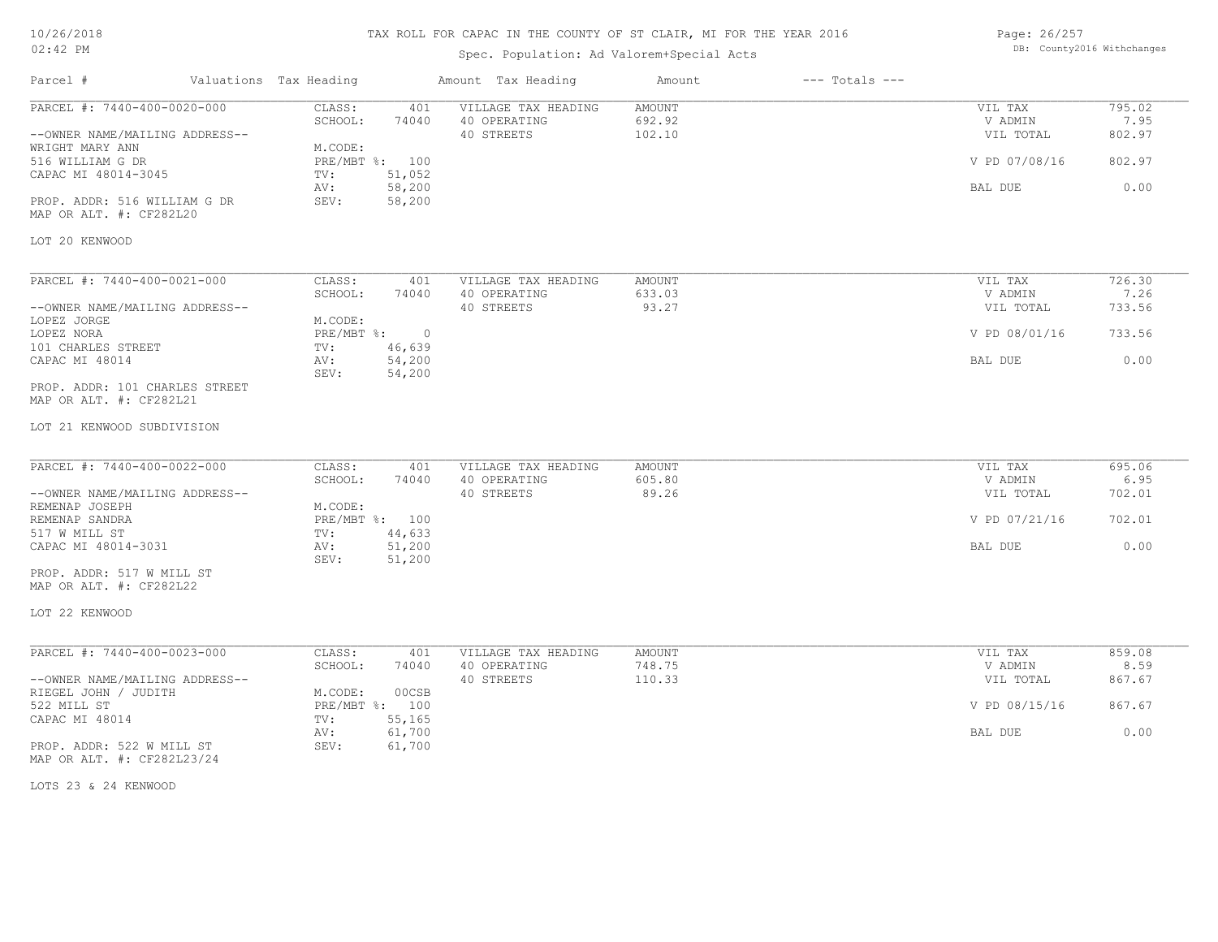## TAX ROLL FOR CAPAC IN THE COUNTY OF ST CLAIR, MI FOR THE YEAR 2016

Spec. Population: Ad Valorem+Special Acts

Page: 26/257 DB: County2016 Withchanges

| Parcel #                                                      | Valuations Tax Heading    | Amount Tax Heading                                                | Amount                     | $---$ Totals $---$ |                                 |                          |
|---------------------------------------------------------------|---------------------------|-------------------------------------------------------------------|----------------------------|--------------------|---------------------------------|--------------------------|
| PARCEL #: 7440-400-0020-000<br>--OWNER NAME/MAILING ADDRESS-- | CLASS:<br>SCHOOL:         | VILLAGE TAX HEADING<br>401<br>74040<br>40 OPERATING<br>40 STREETS | AMOUNT<br>692.92<br>102.10 |                    | VIL TAX<br>V ADMIN<br>VIL TOTAL | 795.02<br>7.95<br>802.97 |
| WRIGHT MARY ANN<br>516 WILLIAM G DR                           | M.CODE:<br>PRE/MBT %: 100 |                                                                   |                            |                    | V PD 07/08/16                   | 802.97                   |
| CAPAC MI 48014-3045<br>PROP. ADDR: 516 WILLIAM G DR           | TV:<br>AV:<br>SEV:        | 51,052<br>58,200<br>58,200                                        |                            |                    | BAL DUE                         | 0.00                     |
| MAP OR ALT. #: CF282L20                                       |                           |                                                                   |                            |                    |                                 |                          |
| LOT 20 KENWOOD                                                |                           |                                                                   |                            |                    |                                 |                          |
| PARCEL #: 7440-400-0021-000                                   | CLASS:<br>SCHOOL:         | VILLAGE TAX HEADING<br>401<br>74040                               | <b>AMOUNT</b>              |                    | VIL TAX<br>V ADMIN              | 726.30<br>7.26           |
| --OWNER NAME/MAILING ADDRESS--<br>LOPEZ JORGE                 | M.CODE:                   | 40 OPERATING<br>40 STREETS                                        | 633.03<br>93.27            |                    | VIL TOTAL                       | 733.56                   |
| LOPEZ NORA<br>101 CHARLES STREET                              | PRE/MBT %:<br>TV:         | $\circ$<br>46,639                                                 |                            |                    | V PD 08/01/16                   | 733.56                   |
| CAPAC MI 48014                                                | AV:<br>SEV:               | 54,200<br>54,200                                                  |                            |                    | BAL DUE                         | 0.00                     |
| PROP. ADDR: 101 CHARLES STREET<br>MAP OR ALT. #: CF282L21     |                           |                                                                   |                            |                    |                                 |                          |
| LOT 21 KENWOOD SUBDIVISION                                    |                           |                                                                   |                            |                    |                                 |                          |
| PARCEL #: 7440-400-0022-000                                   | CLASS:<br>SCHOOL:         | 401<br>VILLAGE TAX HEADING<br>74040<br>40 OPERATING               | <b>AMOUNT</b><br>605.80    |                    | VIL TAX<br>V ADMIN              | 695.06<br>6.95           |
| --OWNER NAME/MAILING ADDRESS--<br>REMENAP JOSEPH              | M.CODE:                   | 40 STREETS                                                        | 89.26                      |                    | VIL TOTAL                       | 702.01                   |
| REMENAP SANDRA<br>517 W MILL ST                               | PRE/MBT %: 100<br>TV:     | 44,633                                                            |                            |                    | V PD 07/21/16                   | 702.01                   |
| CAPAC MI 48014-3031                                           | AV:<br>SEV:               | 51,200<br>51,200                                                  |                            |                    | BAL DUE                         | 0.00                     |
| PROP. ADDR: 517 W MILL ST<br>MAP OR ALT. #: CF282L22          |                           |                                                                   |                            |                    |                                 |                          |
| LOT 22 KENWOOD                                                |                           |                                                                   |                            |                    |                                 |                          |
| PARCEL #: 7440-400-0023-000                                   | CLASS:                    | 401<br>VILLAGE TAX HEADING                                        | AMOUNT                     |                    | VIL TAX                         | 859.08                   |
| --OWNER NAME/MAILING ADDRESS--                                | SCHOOL:                   | 74040<br>40 OPERATING<br>40 STREETS                               | 748.75<br>110.33           |                    | V ADMIN<br>VIL TOTAL            | 8.59<br>867.67           |
| RIEGEL JOHN / JUDITH<br>522 MILL ST                           | M.CODE:<br>PRE/MBT %: 100 | 00CSB                                                             |                            |                    | V PD 08/15/16                   | 867.67                   |
| CAPAC MI 48014                                                | TV:<br>AV:                | 55,165<br>61,700                                                  |                            |                    | BAL DUE                         | 0.00                     |
| PROP. ADDR: 522 W MILL ST<br>MAP OR ALT. #: CF282L23/24       | SEV:                      | 61,700                                                            |                            |                    |                                 |                          |

LOTS 23 & 24 KENWOOD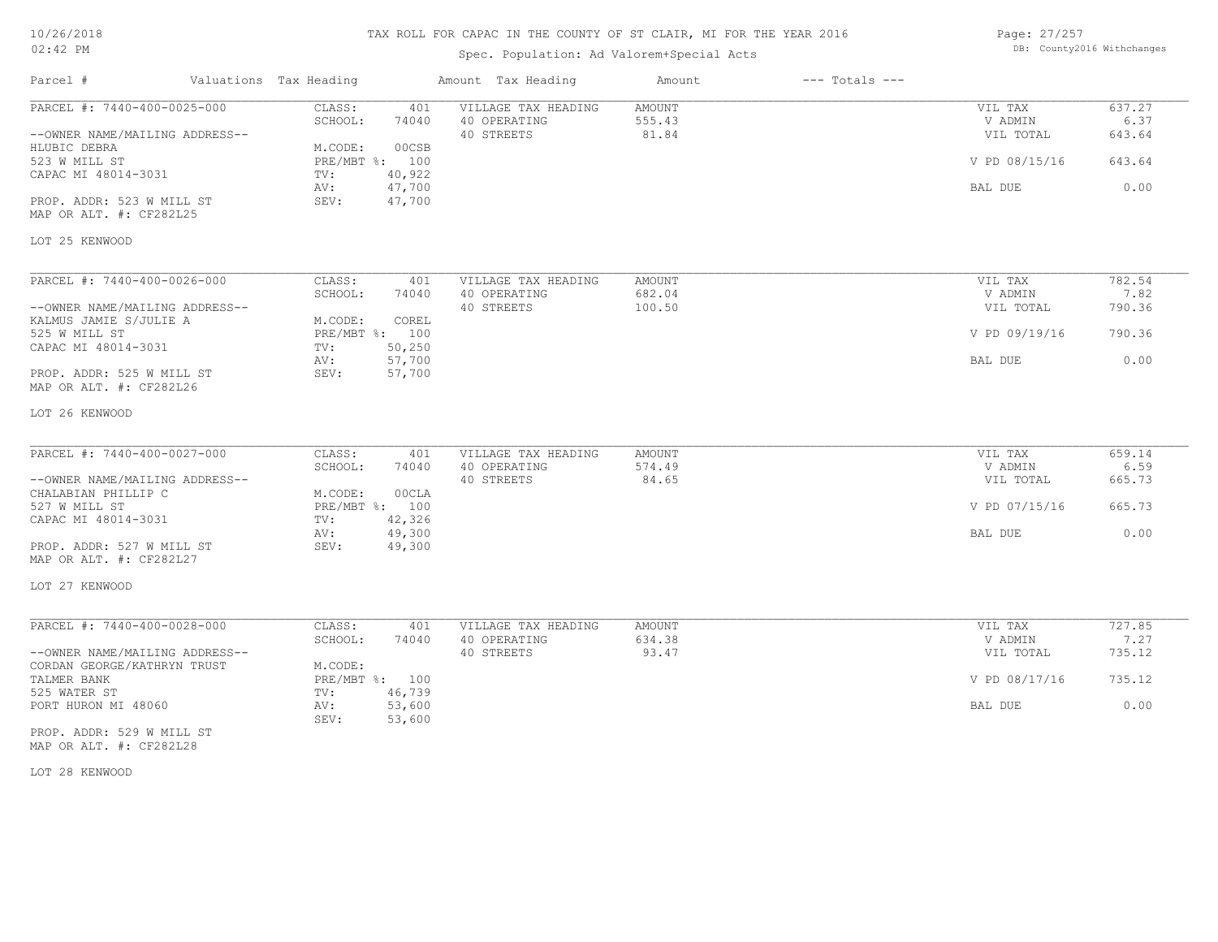| 10/26/2018 |  |
|------------|--|
| $02:42$ PM |  |

## Spec. Population: Ad Valorem+Special Acts

Parcel # Valuations Tax Heading Amount Tax Heading Amount --- Totals ---

| Page: 27/257 |                            |
|--------------|----------------------------|
|              | DB: County2016 Withchanges |

| --OWNER NAME/MAILING ADDRESS--<br>40 STREETS<br>81.84<br>VIL TOTAL<br>643.64<br>00CSB<br>HLUBIC DEBRA<br>M.CODE:<br>V PD 08/15/16<br>643.64<br>523 W MILL ST<br>PRE/MBT %: 100<br>CAPAC MI 48014-3031<br>40,922<br>TV:<br>47,700<br>BAL DUE<br>AV:<br>SEV:<br>47,700<br>PROP. ADDR: 523 W MILL ST<br>MAP OR ALT. #: CF282L25<br>PARCEL #: 7440-400-0026-000<br>CLASS:<br>VILLAGE TAX HEADING<br><b>AMOUNT</b><br>VIL TAX<br>401<br>SCHOOL:<br>40 OPERATING<br>682.04<br>V ADMIN<br>74040<br>100.50<br>40 STREETS<br>--OWNER NAME/MAILING ADDRESS--<br>VIL TOTAL<br>M.CODE:<br>COREL<br>KALMUS JAMIE S/JULIE A<br>525 W MILL ST<br>PRE/MBT %: 100<br>V PD 09/19/16<br>CAPAC MI 48014-3031<br>50,250<br>TV:<br>57,700<br>AV:<br>BAL DUE<br>PROP. ADDR: 525 W MILL ST<br>SEV:<br>57,700<br>MAP OR ALT. #: CF282L26<br>CLASS:<br>401<br>VILLAGE TAX HEADING<br><b>AMOUNT</b><br>VIL TAX<br>SCHOOL:<br>40 OPERATING<br>574.49<br>V ADMIN<br>74040<br>40 STREETS<br>84.65<br>--OWNER NAME/MAILING ADDRESS--<br>VIL TOTAL<br>CHALABIAN PHILLIP C<br>M.CODE:<br>00CLA<br>PRE/MBT %: 100<br>V PD 07/15/16<br>527 W MILL ST<br>42,326<br>TV:<br>AV:<br>49,300<br>BAL DUE<br>49,300<br>SEV:<br>CLASS:<br>401<br>VILLAGE TAX HEADING<br>AMOUNT<br>VIL TAX<br>SCHOOL:<br>634.38<br>74040<br>40 OPERATING<br>V ADMIN<br>40 STREETS<br>93.47<br>VIL TOTAL<br>M.CODE:<br>PRE/MBT %: 100<br>V PD 08/17/16<br>525 WATER ST<br>TV:<br>46,739<br>53,600<br>PORT HURON MI 48060<br>AV:<br>BAL DUE<br>SEV:<br>53,600 | PARCEL #: 7440-400-0025-000    | CLASS:<br>401    | VILLAGE TAX HEADING | AMOUNT | VIL TAX | 637.27 |
|------------------------------------------------------------------------------------------------------------------------------------------------------------------------------------------------------------------------------------------------------------------------------------------------------------------------------------------------------------------------------------------------------------------------------------------------------------------------------------------------------------------------------------------------------------------------------------------------------------------------------------------------------------------------------------------------------------------------------------------------------------------------------------------------------------------------------------------------------------------------------------------------------------------------------------------------------------------------------------------------------------------------------------------------------------------------------------------------------------------------------------------------------------------------------------------------------------------------------------------------------------------------------------------------------------------------------------------------------------------------------------------------------------------------------------------------------------------------------------------------|--------------------------------|------------------|---------------------|--------|---------|--------|
|                                                                                                                                                                                                                                                                                                                                                                                                                                                                                                                                                                                                                                                                                                                                                                                                                                                                                                                                                                                                                                                                                                                                                                                                                                                                                                                                                                                                                                                                                                |                                | SCHOOL:<br>74040 | 40 OPERATING        | 555.43 | V ADMIN | 6.37   |
|                                                                                                                                                                                                                                                                                                                                                                                                                                                                                                                                                                                                                                                                                                                                                                                                                                                                                                                                                                                                                                                                                                                                                                                                                                                                                                                                                                                                                                                                                                |                                |                  |                     |        |         |        |
| 0.00<br>7.82<br>0.00<br>659.14<br>6.59<br>665.73<br>665.73<br>0.00<br>727.85<br>7.27<br>735.12<br>735.12<br>0.00                                                                                                                                                                                                                                                                                                                                                                                                                                                                                                                                                                                                                                                                                                                                                                                                                                                                                                                                                                                                                                                                                                                                                                                                                                                                                                                                                                               |                                |                  |                     |        |         |        |
|                                                                                                                                                                                                                                                                                                                                                                                                                                                                                                                                                                                                                                                                                                                                                                                                                                                                                                                                                                                                                                                                                                                                                                                                                                                                                                                                                                                                                                                                                                |                                |                  |                     |        |         |        |
| 782.54<br>790.36<br>790.36                                                                                                                                                                                                                                                                                                                                                                                                                                                                                                                                                                                                                                                                                                                                                                                                                                                                                                                                                                                                                                                                                                                                                                                                                                                                                                                                                                                                                                                                     |                                |                  |                     |        |         |        |
|                                                                                                                                                                                                                                                                                                                                                                                                                                                                                                                                                                                                                                                                                                                                                                                                                                                                                                                                                                                                                                                                                                                                                                                                                                                                                                                                                                                                                                                                                                |                                |                  |                     |        |         |        |
|                                                                                                                                                                                                                                                                                                                                                                                                                                                                                                                                                                                                                                                                                                                                                                                                                                                                                                                                                                                                                                                                                                                                                                                                                                                                                                                                                                                                                                                                                                |                                |                  |                     |        |         |        |
|                                                                                                                                                                                                                                                                                                                                                                                                                                                                                                                                                                                                                                                                                                                                                                                                                                                                                                                                                                                                                                                                                                                                                                                                                                                                                                                                                                                                                                                                                                |                                |                  |                     |        |         |        |
|                                                                                                                                                                                                                                                                                                                                                                                                                                                                                                                                                                                                                                                                                                                                                                                                                                                                                                                                                                                                                                                                                                                                                                                                                                                                                                                                                                                                                                                                                                | LOT 25 KENWOOD                 |                  |                     |        |         |        |
|                                                                                                                                                                                                                                                                                                                                                                                                                                                                                                                                                                                                                                                                                                                                                                                                                                                                                                                                                                                                                                                                                                                                                                                                                                                                                                                                                                                                                                                                                                |                                |                  |                     |        |         |        |
|                                                                                                                                                                                                                                                                                                                                                                                                                                                                                                                                                                                                                                                                                                                                                                                                                                                                                                                                                                                                                                                                                                                                                                                                                                                                                                                                                                                                                                                                                                |                                |                  |                     |        |         |        |
|                                                                                                                                                                                                                                                                                                                                                                                                                                                                                                                                                                                                                                                                                                                                                                                                                                                                                                                                                                                                                                                                                                                                                                                                                                                                                                                                                                                                                                                                                                |                                |                  |                     |        |         |        |
|                                                                                                                                                                                                                                                                                                                                                                                                                                                                                                                                                                                                                                                                                                                                                                                                                                                                                                                                                                                                                                                                                                                                                                                                                                                                                                                                                                                                                                                                                                |                                |                  |                     |        |         |        |
|                                                                                                                                                                                                                                                                                                                                                                                                                                                                                                                                                                                                                                                                                                                                                                                                                                                                                                                                                                                                                                                                                                                                                                                                                                                                                                                                                                                                                                                                                                |                                |                  |                     |        |         |        |
|                                                                                                                                                                                                                                                                                                                                                                                                                                                                                                                                                                                                                                                                                                                                                                                                                                                                                                                                                                                                                                                                                                                                                                                                                                                                                                                                                                                                                                                                                                |                                |                  |                     |        |         |        |
|                                                                                                                                                                                                                                                                                                                                                                                                                                                                                                                                                                                                                                                                                                                                                                                                                                                                                                                                                                                                                                                                                                                                                                                                                                                                                                                                                                                                                                                                                                |                                |                  |                     |        |         |        |
|                                                                                                                                                                                                                                                                                                                                                                                                                                                                                                                                                                                                                                                                                                                                                                                                                                                                                                                                                                                                                                                                                                                                                                                                                                                                                                                                                                                                                                                                                                |                                |                  |                     |        |         |        |
|                                                                                                                                                                                                                                                                                                                                                                                                                                                                                                                                                                                                                                                                                                                                                                                                                                                                                                                                                                                                                                                                                                                                                                                                                                                                                                                                                                                                                                                                                                |                                |                  |                     |        |         |        |
|                                                                                                                                                                                                                                                                                                                                                                                                                                                                                                                                                                                                                                                                                                                                                                                                                                                                                                                                                                                                                                                                                                                                                                                                                                                                                                                                                                                                                                                                                                |                                |                  |                     |        |         |        |
|                                                                                                                                                                                                                                                                                                                                                                                                                                                                                                                                                                                                                                                                                                                                                                                                                                                                                                                                                                                                                                                                                                                                                                                                                                                                                                                                                                                                                                                                                                | LOT 26 KENWOOD                 |                  |                     |        |         |        |
|                                                                                                                                                                                                                                                                                                                                                                                                                                                                                                                                                                                                                                                                                                                                                                                                                                                                                                                                                                                                                                                                                                                                                                                                                                                                                                                                                                                                                                                                                                |                                |                  |                     |        |         |        |
|                                                                                                                                                                                                                                                                                                                                                                                                                                                                                                                                                                                                                                                                                                                                                                                                                                                                                                                                                                                                                                                                                                                                                                                                                                                                                                                                                                                                                                                                                                | PARCEL #: 7440-400-0027-000    |                  |                     |        |         |        |
|                                                                                                                                                                                                                                                                                                                                                                                                                                                                                                                                                                                                                                                                                                                                                                                                                                                                                                                                                                                                                                                                                                                                                                                                                                                                                                                                                                                                                                                                                                |                                |                  |                     |        |         |        |
|                                                                                                                                                                                                                                                                                                                                                                                                                                                                                                                                                                                                                                                                                                                                                                                                                                                                                                                                                                                                                                                                                                                                                                                                                                                                                                                                                                                                                                                                                                |                                |                  |                     |        |         |        |
|                                                                                                                                                                                                                                                                                                                                                                                                                                                                                                                                                                                                                                                                                                                                                                                                                                                                                                                                                                                                                                                                                                                                                                                                                                                                                                                                                                                                                                                                                                |                                |                  |                     |        |         |        |
|                                                                                                                                                                                                                                                                                                                                                                                                                                                                                                                                                                                                                                                                                                                                                                                                                                                                                                                                                                                                                                                                                                                                                                                                                                                                                                                                                                                                                                                                                                |                                |                  |                     |        |         |        |
|                                                                                                                                                                                                                                                                                                                                                                                                                                                                                                                                                                                                                                                                                                                                                                                                                                                                                                                                                                                                                                                                                                                                                                                                                                                                                                                                                                                                                                                                                                | CAPAC MI 48014-3031            |                  |                     |        |         |        |
|                                                                                                                                                                                                                                                                                                                                                                                                                                                                                                                                                                                                                                                                                                                                                                                                                                                                                                                                                                                                                                                                                                                                                                                                                                                                                                                                                                                                                                                                                                |                                |                  |                     |        |         |        |
|                                                                                                                                                                                                                                                                                                                                                                                                                                                                                                                                                                                                                                                                                                                                                                                                                                                                                                                                                                                                                                                                                                                                                                                                                                                                                                                                                                                                                                                                                                | PROP. ADDR: 527 W MILL ST      |                  |                     |        |         |        |
|                                                                                                                                                                                                                                                                                                                                                                                                                                                                                                                                                                                                                                                                                                                                                                                                                                                                                                                                                                                                                                                                                                                                                                                                                                                                                                                                                                                                                                                                                                | MAP OR ALT. #: CF282L27        |                  |                     |        |         |        |
|                                                                                                                                                                                                                                                                                                                                                                                                                                                                                                                                                                                                                                                                                                                                                                                                                                                                                                                                                                                                                                                                                                                                                                                                                                                                                                                                                                                                                                                                                                | LOT 27 KENWOOD                 |                  |                     |        |         |        |
|                                                                                                                                                                                                                                                                                                                                                                                                                                                                                                                                                                                                                                                                                                                                                                                                                                                                                                                                                                                                                                                                                                                                                                                                                                                                                                                                                                                                                                                                                                | PARCEL #: 7440-400-0028-000    |                  |                     |        |         |        |
|                                                                                                                                                                                                                                                                                                                                                                                                                                                                                                                                                                                                                                                                                                                                                                                                                                                                                                                                                                                                                                                                                                                                                                                                                                                                                                                                                                                                                                                                                                |                                |                  |                     |        |         |        |
|                                                                                                                                                                                                                                                                                                                                                                                                                                                                                                                                                                                                                                                                                                                                                                                                                                                                                                                                                                                                                                                                                                                                                                                                                                                                                                                                                                                                                                                                                                | --OWNER NAME/MAILING ADDRESS-- |                  |                     |        |         |        |
|                                                                                                                                                                                                                                                                                                                                                                                                                                                                                                                                                                                                                                                                                                                                                                                                                                                                                                                                                                                                                                                                                                                                                                                                                                                                                                                                                                                                                                                                                                | CORDAN GEORGE/KATHRYN TRUST    |                  |                     |        |         |        |
|                                                                                                                                                                                                                                                                                                                                                                                                                                                                                                                                                                                                                                                                                                                                                                                                                                                                                                                                                                                                                                                                                                                                                                                                                                                                                                                                                                                                                                                                                                | TALMER BANK                    |                  |                     |        |         |        |
|                                                                                                                                                                                                                                                                                                                                                                                                                                                                                                                                                                                                                                                                                                                                                                                                                                                                                                                                                                                                                                                                                                                                                                                                                                                                                                                                                                                                                                                                                                |                                |                  |                     |        |         |        |
|                                                                                                                                                                                                                                                                                                                                                                                                                                                                                                                                                                                                                                                                                                                                                                                                                                                                                                                                                                                                                                                                                                                                                                                                                                                                                                                                                                                                                                                                                                |                                |                  |                     |        |         |        |
|                                                                                                                                                                                                                                                                                                                                                                                                                                                                                                                                                                                                                                                                                                                                                                                                                                                                                                                                                                                                                                                                                                                                                                                                                                                                                                                                                                                                                                                                                                |                                |                  |                     |        |         |        |
|                                                                                                                                                                                                                                                                                                                                                                                                                                                                                                                                                                                                                                                                                                                                                                                                                                                                                                                                                                                                                                                                                                                                                                                                                                                                                                                                                                                                                                                                                                | PROP. ADDR: 529 W MILL ST      |                  |                     |        |         |        |

MAP OR ALT. #: CF282L28

LOT 28 KENWOOD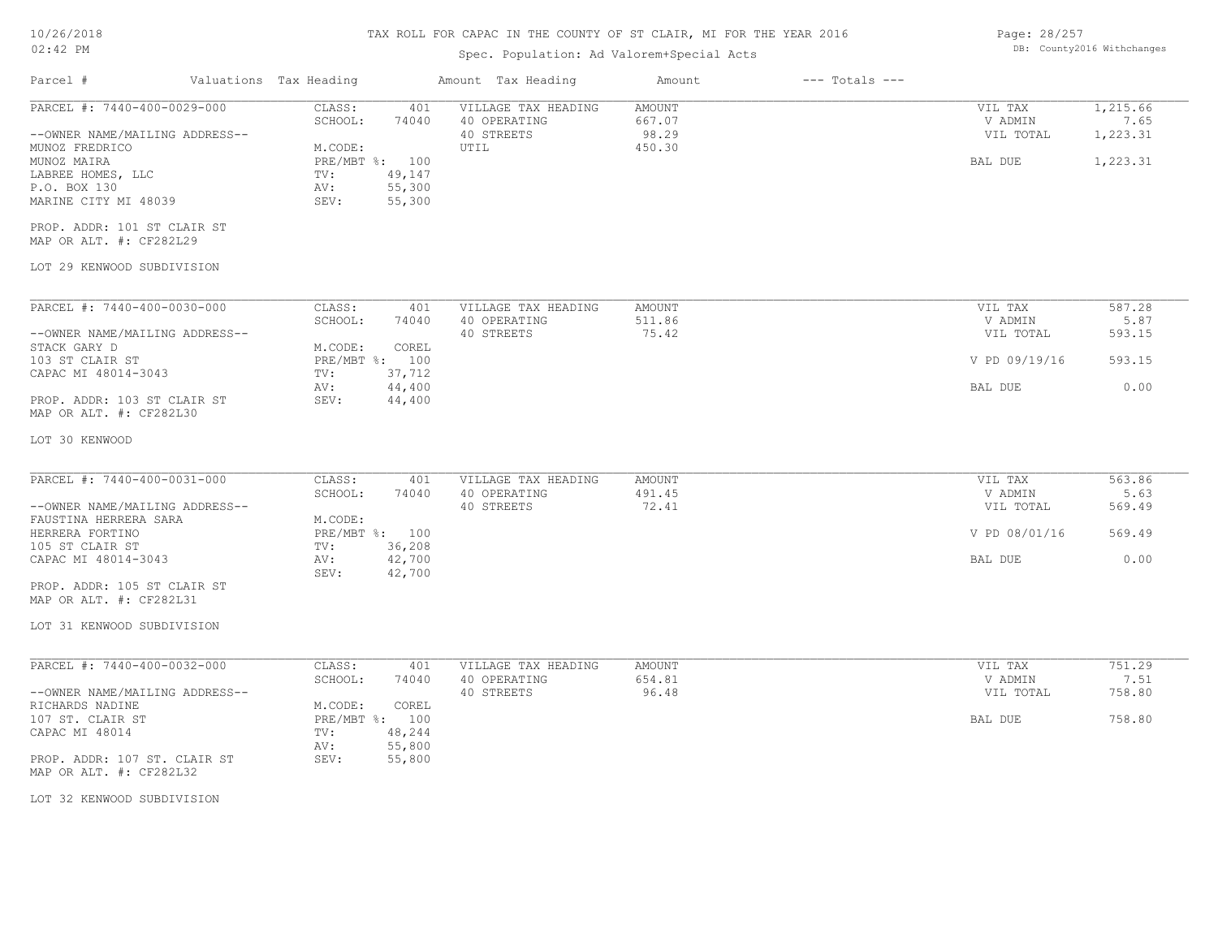## TAX ROLL FOR CAPAC IN THE COUNTY OF ST CLAIR, MI FOR THE YEAR 2016

## Spec. Population: Ad Valorem+Special Acts

| Page: 28/257 |                            |
|--------------|----------------------------|
|              | DB: County2016 Withchanges |

| Parcel #                                                                                                                                                                                                                                    | Valuations Tax Heading                                                                                               | Amount Tax Heading                                               | Amount                              | $---$ Totals $---$ |                                                             |                                            |
|---------------------------------------------------------------------------------------------------------------------------------------------------------------------------------------------------------------------------------------------|----------------------------------------------------------------------------------------------------------------------|------------------------------------------------------------------|-------------------------------------|--------------------|-------------------------------------------------------------|--------------------------------------------|
| PARCEL #: 7440-400-0029-000<br>--OWNER NAME/MAILING ADDRESS--<br>MUNOZ FREDRICO<br>MUNOZ MAIRA<br>LABREE HOMES, LLC<br>P.O. BOX 130<br>MARINE CITY MI 48039<br>PROP. ADDR: 101 ST CLAIR ST                                                  | CLASS:<br>SCHOOL:<br>74040<br>M.CODE:<br>PRE/MBT %: 100<br>49,147<br>TV:<br>55,300<br>AV:<br>SEV:<br>55,300          | 401<br>VILLAGE TAX HEADING<br>40 OPERATING<br>40 STREETS<br>UTIL | AMOUNT<br>667.07<br>98.29<br>450.30 |                    | VIL TAX<br>V ADMIN<br>VIL TOTAL<br>BAL DUE                  | 1,215.66<br>7.65<br>1,223.31<br>1,223.31   |
| MAP OR ALT. #: CF282L29<br>LOT 29 KENWOOD SUBDIVISION                                                                                                                                                                                       |                                                                                                                      |                                                                  |                                     |                    |                                                             |                                            |
|                                                                                                                                                                                                                                             |                                                                                                                      |                                                                  |                                     |                    |                                                             |                                            |
| PARCEL #: 7440-400-0030-000<br>--OWNER NAME/MAILING ADDRESS--<br>STACK GARY D<br>103 ST CLAIR ST<br>CAPAC MI 48014-3043<br>PROP. ADDR: 103 ST CLAIR ST<br>MAP OR ALT. #: CF282L30                                                           | CLASS:<br>SCHOOL:<br>74040<br>M.CODE:<br>COREL<br>PRE/MBT %: 100<br>37,712<br>TV:<br>44,400<br>AV:<br>SEV:<br>44,400 | VILLAGE TAX HEADING<br>401<br>40 OPERATING<br>40 STREETS         | AMOUNT<br>511.86<br>75.42           |                    | VIL TAX<br>V ADMIN<br>VIL TOTAL<br>V PD 09/19/16<br>BAL DUE | 587.28<br>5.87<br>593.15<br>593.15<br>0.00 |
| LOT 30 KENWOOD                                                                                                                                                                                                                              |                                                                                                                      |                                                                  |                                     |                    |                                                             |                                            |
| PARCEL #: 7440-400-0031-000<br>--OWNER NAME/MAILING ADDRESS--<br>FAUSTINA HERRERA SARA<br>HERRERA FORTINO<br>105 ST CLAIR ST<br>CAPAC MI 48014-3043<br>PROP. ADDR: 105 ST CLAIR ST<br>MAP OR ALT. #: CF282L31<br>LOT 31 KENWOOD SUBDIVISION | CLASS:<br>401<br>SCHOOL:<br>74040<br>M.CODE:<br>PRE/MBT %: 100<br>36,208<br>TV:<br>42,700<br>AV:<br>SEV:<br>42,700   | VILLAGE TAX HEADING<br>40 OPERATING<br>40 STREETS                | AMOUNT<br>491.45<br>72.41           |                    | VIL TAX<br>V ADMIN<br>VIL TOTAL<br>V PD 08/01/16<br>BAL DUE | 563.86<br>5.63<br>569.49<br>569.49<br>0.00 |
| PARCEL #: 7440-400-0032-000<br>--OWNER NAME/MAILING ADDRESS--<br>RICHARDS NADINE<br>107 ST. CLAIR ST<br>CAPAC MI 48014<br>PROP. ADDR: 107 ST. CLAIR ST<br>MAP OR ALT. #: CF282L32<br>LOT 32 KENWOOD SUBDIVISION                             | CLASS:<br>SCHOOL:<br>74040<br>M.CODE:<br>COREL<br>PRE/MBT %: 100<br>48,244<br>TV:<br>55,800<br>AV:<br>55,800<br>SEV: | VILLAGE TAX HEADING<br>401<br>40 OPERATING<br>40 STREETS         | <b>AMOUNT</b><br>654.81<br>96.48    |                    | VIL TAX<br>V ADMIN<br>VIL TOTAL<br>BAL DUE                  | 751.29<br>7.51<br>758.80<br>758.80         |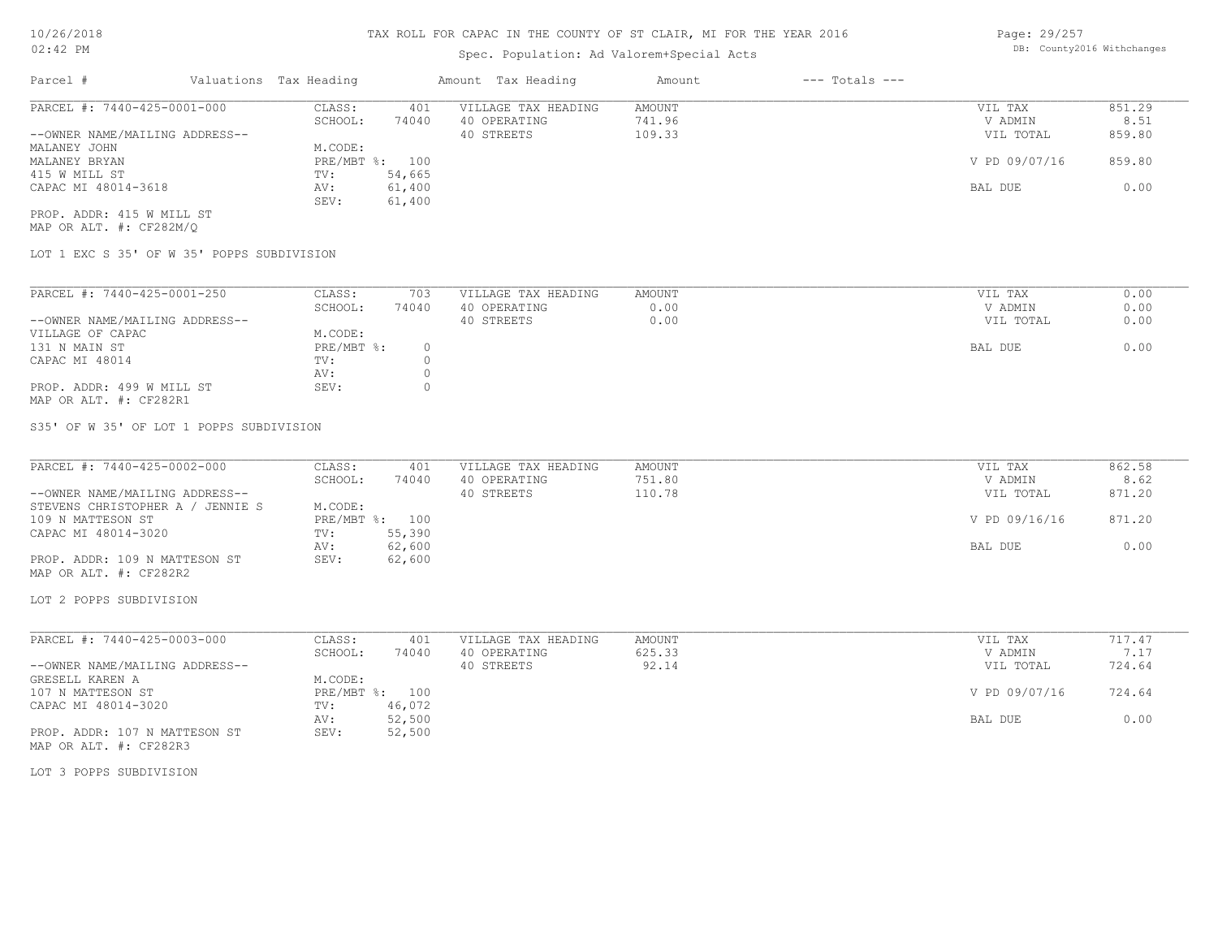## Spec. Population: Ad Valorem+Special Acts

Page: 29/257 DB: County2016 Withchanges

| Parcel #                       | Valuations Tax Heading |        | Amount Tax Heading  | Amount | $---$ Totals $---$ |               |        |
|--------------------------------|------------------------|--------|---------------------|--------|--------------------|---------------|--------|
| PARCEL #: 7440-425-0001-000    | CLASS:                 | 401    | VILLAGE TAX HEADING | AMOUNT |                    | VIL TAX       | 851.29 |
|                                | SCHOOL:                | 74040  | 40 OPERATING        | 741.96 |                    | V ADMIN       | 8.51   |
| --OWNER NAME/MAILING ADDRESS-- |                        |        | 40 STREETS          | 109.33 |                    | VIL TOTAL     | 859.80 |
| MALANEY JOHN                   | M.CODE:                |        |                     |        |                    |               |        |
| MALANEY BRYAN                  | PRE/MBT %: 100         |        |                     |        |                    | V PD 09/07/16 | 859.80 |
| 415 W MILL ST                  | TV:                    | 54,665 |                     |        |                    |               |        |
| CAPAC MI 48014-3618            | AV:                    | 61,400 |                     |        |                    | BAL DUE       | 0.00   |
|                                | SEV:                   | 61,400 |                     |        |                    |               |        |
| PROP. ADDR: 415 W MILL ST      |                        |        |                     |        |                    |               |        |

MAP OR ALT. #: CF282M/Q

LOT 1 EXC S 35' OF W 35' POPPS SUBDIVISION

| PARCEL #: 7440-425-0001-250    | CLASS:     | 703   | VILLAGE TAX HEADING | AMOUNT | VIL TAX   | 0.00 |
|--------------------------------|------------|-------|---------------------|--------|-----------|------|
|                                | SCHOOL:    | 74040 | 40 OPERATING        | 0.00   | V ADMIN   | 0.00 |
| --OWNER NAME/MAILING ADDRESS-- |            |       | 40 STREETS          | 0.00   | VIL TOTAL | 0.00 |
| VILLAGE OF CAPAC               | M.CODE:    |       |                     |        |           |      |
| 131 N MAIN ST                  | PRE/MBT %: |       |                     |        | BAL DUE   | 0.00 |
| CAPAC MI 48014                 | TV:        |       |                     |        |           |      |
|                                | AV:        |       |                     |        |           |      |
| PROP. ADDR: 499 W MILL ST      | SEV:       |       |                     |        |           |      |
| MAP OR ALT. #: CF282R1         |            |       |                     |        |           |      |

S35' OF W 35' OF LOT 1 POPPS SUBDIVISION

| PARCEL #: 7440-425-0002-000      | CLASS:     | 401    | VILLAGE TAX HEADING | AMOUNT | VIL TAX       | 862.58 |
|----------------------------------|------------|--------|---------------------|--------|---------------|--------|
|                                  | SCHOOL:    | 74040  | 40 OPERATING        | 751.80 | V ADMIN       | 8.62   |
| --OWNER NAME/MAILING ADDRESS--   |            |        | 40 STREETS          | 110.78 | VIL TOTAL     | 871.20 |
| STEVENS CHRISTOPHER A / JENNIE S | M.CODE:    |        |                     |        |               |        |
| 109 N MATTESON ST                | PRE/MBT %: | 100    |                     |        | V PD 09/16/16 | 871.20 |
| CAPAC MI 48014-3020              | TV:        | 55,390 |                     |        |               |        |
|                                  | AV:        | 62,600 |                     |        | BAL DUE       | 0.00   |
| PROP. ADDR: 109 N MATTESON ST    | SEV:       | 62,600 |                     |        |               |        |

MAP OR ALT. #: CF282R2

LOT 2 POPPS SUBDIVISION

| PARCEL #: 7440-425-0003-000    | CLASS:  | 401            | VILLAGE TAX HEADING | AMOUNT | VIL TAX       | 717.47 |
|--------------------------------|---------|----------------|---------------------|--------|---------------|--------|
|                                | SCHOOL: | 74040          | 40 OPERATING        | 625.33 | V ADMIN       |        |
| --OWNER NAME/MAILING ADDRESS-- |         |                | 40 STREETS          | 92.14  | VIL TOTAL     | 724.64 |
| GRESELL KAREN A                | M.CODE: |                |                     |        |               |        |
| 107 N MATTESON ST              |         | PRE/MBT %: 100 |                     |        | V PD 09/07/16 | 724.64 |
| CAPAC MI 48014-3020            | TV:     | 46,072         |                     |        |               |        |
|                                | AV:     | 52,500         |                     |        | BAL DUE       | 0.00   |
| PROP. ADDR: 107 N MATTESON ST  | SEV:    | 52,500         |                     |        |               |        |
| MAP OR ALT. #: CF282R3         |         |                |                     |        |               |        |

LOT 3 POPPS SUBDIVISION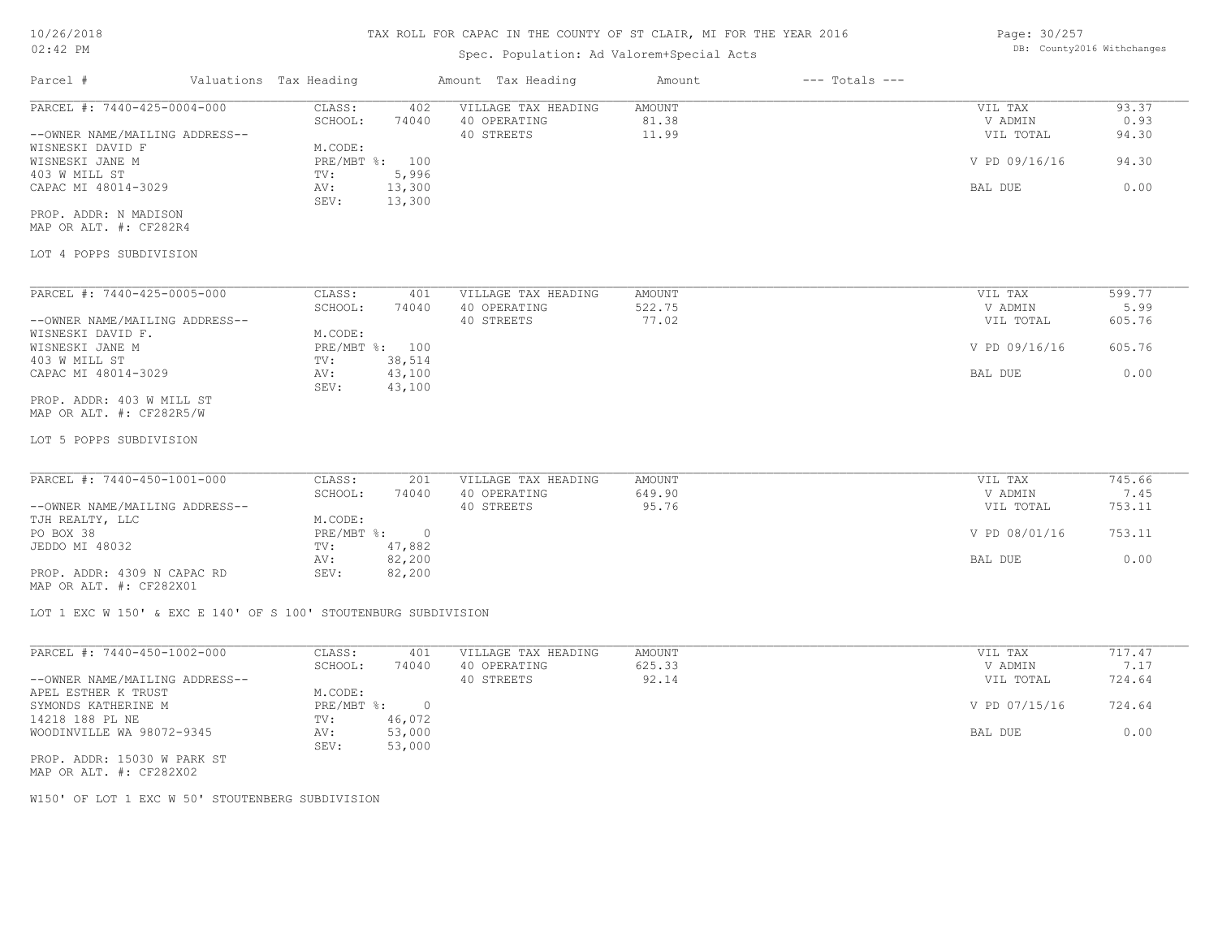#### Spec. Population: Ad Valorem+Special Acts

Page: 30/257 DB: County2016 Withchanges

| $02.72$ IN                                                                                                                                                                                      |                                                                                                                                        | Spec. Population: Ad Valorem+Special Acts         |                           |                    |                                                             |                                            |
|-------------------------------------------------------------------------------------------------------------------------------------------------------------------------------------------------|----------------------------------------------------------------------------------------------------------------------------------------|---------------------------------------------------|---------------------------|--------------------|-------------------------------------------------------------|--------------------------------------------|
| Parcel #                                                                                                                                                                                        | Valuations Tax Heading                                                                                                                 | Amount Tax Heading                                | Amount                    | $---$ Totals $---$ |                                                             |                                            |
| PARCEL #: 7440-425-0004-000<br>--OWNER NAME/MAILING ADDRESS--<br>WISNESKI DAVID F<br>WISNESKI JANE M<br>403 W MILL ST<br>CAPAC MI 48014-3029<br>PROP. ADDR: N MADISON<br>MAP OR ALT. #: CF282R4 | CLASS:<br>402<br>SCHOOL:<br>74040<br>M.CODE:<br>PRE/MBT %: 100<br>5,996<br>TV:<br>13,300<br>AV:<br>SEV:<br>13,300                      | VILLAGE TAX HEADING<br>40 OPERATING<br>40 STREETS | AMOUNT<br>81.38<br>11.99  |                    | VIL TAX<br>V ADMIN<br>VIL TOTAL<br>V PD 09/16/16<br>BAL DUE | 93.37<br>0.93<br>94.30<br>94.30<br>0.00    |
| LOT 4 POPPS SUBDIVISION                                                                                                                                                                         |                                                                                                                                        |                                                   |                           |                    |                                                             |                                            |
| PARCEL #: 7440-425-0005-000<br>--OWNER NAME/MAILING ADDRESS--<br>WISNESKI DAVID F.<br>WISNESKI JANE M<br>403 W MILL ST<br>CAPAC MI 48014-3029                                                   | CLASS:<br>401<br>SCHOOL:<br>74040<br>M.CODE:<br>PRE/MBT %: 100<br>38,514<br>TV:<br>43,100<br>AV:<br>43,100<br>SEV:                     | VILLAGE TAX HEADING<br>40 OPERATING<br>40 STREETS | AMOUNT<br>522.75<br>77.02 |                    | VIL TAX<br>V ADMIN<br>VIL TOTAL<br>V PD 09/16/16<br>BAL DUE | 599.77<br>5.99<br>605.76<br>605.76<br>0.00 |
| PROP. ADDR: 403 W MILL ST<br>MAP OR ALT. #: CF282R5/W<br>LOT 5 POPPS SUBDIVISION                                                                                                                |                                                                                                                                        |                                                   |                           |                    |                                                             |                                            |
| PARCEL #: 7440-450-1001-000<br>--OWNER NAME/MAILING ADDRESS--<br>TJH REALTY, LLC<br>PO BOX 38<br>JEDDO MI 48032<br>PROP. ADDR: 4309 N CAPAC RD<br>MAP OR ALT. #: CF282X01                       | CLASS:<br>201<br>SCHOOL:<br>74040<br>M.CODE:<br>$PRE/MBT$ $\div$<br>$\overline{0}$<br>47,882<br>TV:<br>82,200<br>AV:<br>SEV:<br>82,200 | VILLAGE TAX HEADING<br>40 OPERATING<br>40 STREETS | AMOUNT<br>649.90<br>95.76 |                    | VIL TAX<br>V ADMIN<br>VIL TOTAL<br>V PD 08/01/16<br>BAL DUE | 745.66<br>7.45<br>753.11<br>753.11<br>0.00 |
|                                                                                                                                                                                                 | LOT 1 EXC W 150' & EXC E 140' OF S 100' STOUTENBURG SUBDIVISION                                                                        |                                                   |                           |                    |                                                             |                                            |
| PARCEL #: 7440-450-1002-000<br>--OWNER NAME/MAILING ADDRESS--<br>APEL ESTHER K TRUST                                                                                                            | CLASS:<br>401<br>SCHOOL:<br>74040<br>M.CODE:<br>$\overline{0}$                                                                         | VILLAGE TAX HEADING<br>40 OPERATING<br>40 STREETS | AMOUNT<br>625.33<br>92.14 |                    | VIL TAX<br>V ADMIN<br>VIL TOTAL                             | 717.47<br>7.17<br>724.64<br>724.64         |
| SYMONDS KATHERINE M<br>14218 188 PL NE<br>WOODINVILLE WA 98072-9345<br>PROP. ADDR: 15030 W PARK ST<br>MAP OR ALT. #: CF282X02                                                                   | $PRE/MBT$ %:<br>46,072<br>TV:<br>53,000<br>AV:<br>SEV:<br>53,000                                                                       |                                                   |                           |                    | V PD 07/15/16<br>BAL DUE                                    | 0.00                                       |
| W150' OF LOT 1 EXC W 50' STOUTENBERG SUBDIVISION                                                                                                                                                |                                                                                                                                        |                                                   |                           |                    |                                                             |                                            |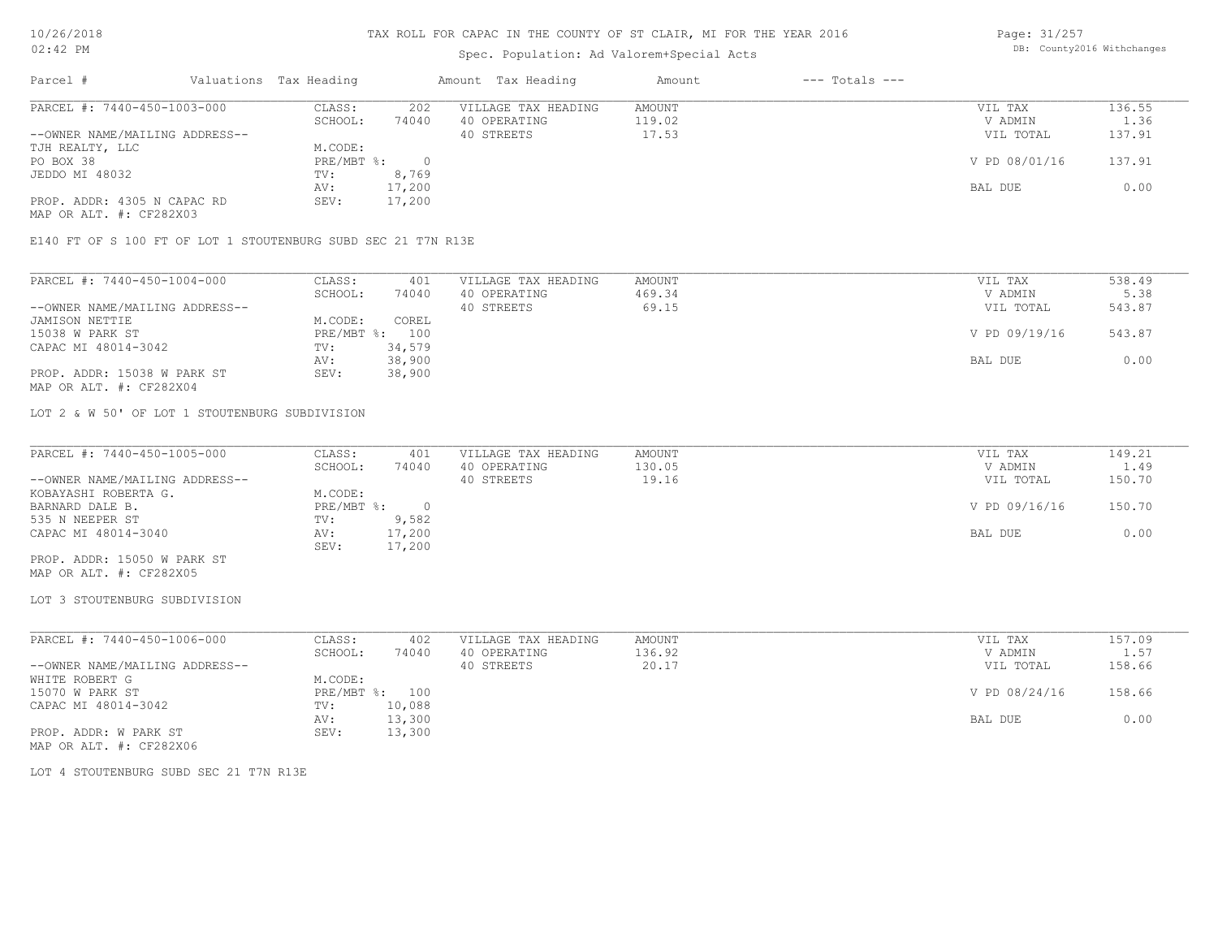### Spec. Population: Ad Valorem+Special Acts

Page: 31/257 DB: County2016 Withchanges

| Parcel #                       | Valuations Tax Heading |        | Amount Tax Heading  | Amount | $---$ Totals $---$ |               |        |
|--------------------------------|------------------------|--------|---------------------|--------|--------------------|---------------|--------|
| PARCEL #: 7440-450-1003-000    | CLASS:                 | 202    | VILLAGE TAX HEADING | AMOUNT |                    | VIL TAX       | 136.55 |
|                                | SCHOOL:                | 74040  | 40 OPERATING        | 119.02 |                    | V ADMIN       | 1.36   |
| --OWNER NAME/MAILING ADDRESS-- |                        |        | 40 STREETS          | 17.53  |                    | VIL TOTAL     | 137.91 |
| TJH REALTY, LLC                | M.CODE:                |        |                     |        |                    |               |        |
| PO BOX 38                      | PRE/MBT %:             |        |                     |        |                    | V PD 08/01/16 | 137.91 |
| JEDDO MI 48032                 | TV:                    | 8,769  |                     |        |                    |               |        |
|                                | AV:                    | 17,200 |                     |        |                    | BAL DUE       | 0.00   |
| PROP. ADDR: 4305 N CAPAC RD    | SEV:                   | 17,200 |                     |        |                    |               |        |
| MAP OR ALT. #: CF282X03        |                        |        |                     |        |                    |               |        |

E140 FT OF S 100 FT OF LOT 1 STOUTENBURG SUBD SEC 21 T7N R13E

| PARCEL #: 7440-450-1004-000    | CLASS:  | 401            | VILLAGE TAX HEADING | AMOUNT | VIL TAX       | 538.49 |
|--------------------------------|---------|----------------|---------------------|--------|---------------|--------|
|                                | SCHOOL: | 74040          | 40 OPERATING        | 469.34 | V ADMIN       | 5.38   |
| --OWNER NAME/MAILING ADDRESS-- |         |                | 40 STREETS          | 69.15  | VIL TOTAL     | 543.87 |
| JAMISON NETTIE                 | M.CODE: | COREL          |                     |        |               |        |
| 15038 W PARK ST                |         | PRE/MBT %: 100 |                     |        | V PD 09/19/16 | 543.87 |
| CAPAC MI 48014-3042            | TV:     | 34,579         |                     |        |               |        |
|                                | AV:     | 38,900         |                     |        | BAL DUE       | 0.00   |
| PROP. ADDR: 15038 W PARK ST    | SEV:    | 38,900         |                     |        |               |        |
| MAP OR ALT. #: CF282X04        |         |                |                     |        |               |        |

LOT 2 & W 50' OF LOT 1 STOUTENBURG SUBDIVISION

| PARCEL #: 7440-450-1005-000    | CLASS:     | 401    | VILLAGE TAX HEADING | AMOUNT | VIL TAX       | 149.21 |
|--------------------------------|------------|--------|---------------------|--------|---------------|--------|
|                                | SCHOOL:    | 74040  | 40 OPERATING        | 130.05 | V ADMIN       | 1.49   |
| --OWNER NAME/MAILING ADDRESS-- |            |        | 40 STREETS          | 19.16  | VIL TOTAL     | 150.70 |
| KOBAYASHI ROBERTA G.           | M.CODE:    |        |                     |        |               |        |
| BARNARD DALE B.                | PRE/MBT %: |        |                     |        | V PD 09/16/16 | 150.70 |
| 535 N NEEPER ST                | TV:        | 9,582  |                     |        |               |        |
| CAPAC MI 48014-3040            | AV:        | 17,200 |                     |        | BAL DUE       | 0.00   |
|                                | SEV:       | 17,200 |                     |        |               |        |
| PROP. ADDR: 15050 W PARK ST    |            |        |                     |        |               |        |

MAP OR ALT. #: CF282X05

#### LOT 3 STOUTENBURG SUBDIVISION

| PARCEL #: 7440-450-1006-000    | CLASS:  | 402            | VILLAGE TAX HEADING | AMOUNT | VIL TAX       | 157.09 |
|--------------------------------|---------|----------------|---------------------|--------|---------------|--------|
|                                | SCHOOL: | 74040          | 40 OPERATING        | 136.92 | V ADMIN       | 1.57   |
| --OWNER NAME/MAILING ADDRESS-- |         |                | 40 STREETS          | 20.17  | VIL TOTAL     | 158.66 |
| WHITE ROBERT G                 | M.CODE: |                |                     |        |               |        |
| 15070 W PARK ST                |         | PRE/MBT %: 100 |                     |        | V PD 08/24/16 | 158.66 |
| CAPAC MI 48014-3042            | TV:     | 10,088         |                     |        |               |        |
|                                | AV:     | 13,300         |                     |        | BAL DUE       | 0.00   |
| PROP. ADDR: W PARK ST          | SEV:    | 13,300         |                     |        |               |        |
| MAP OR ALT. #: CF282X06        |         |                |                     |        |               |        |

LOT 4 STOUTENBURG SUBD SEC 21 T7N R13E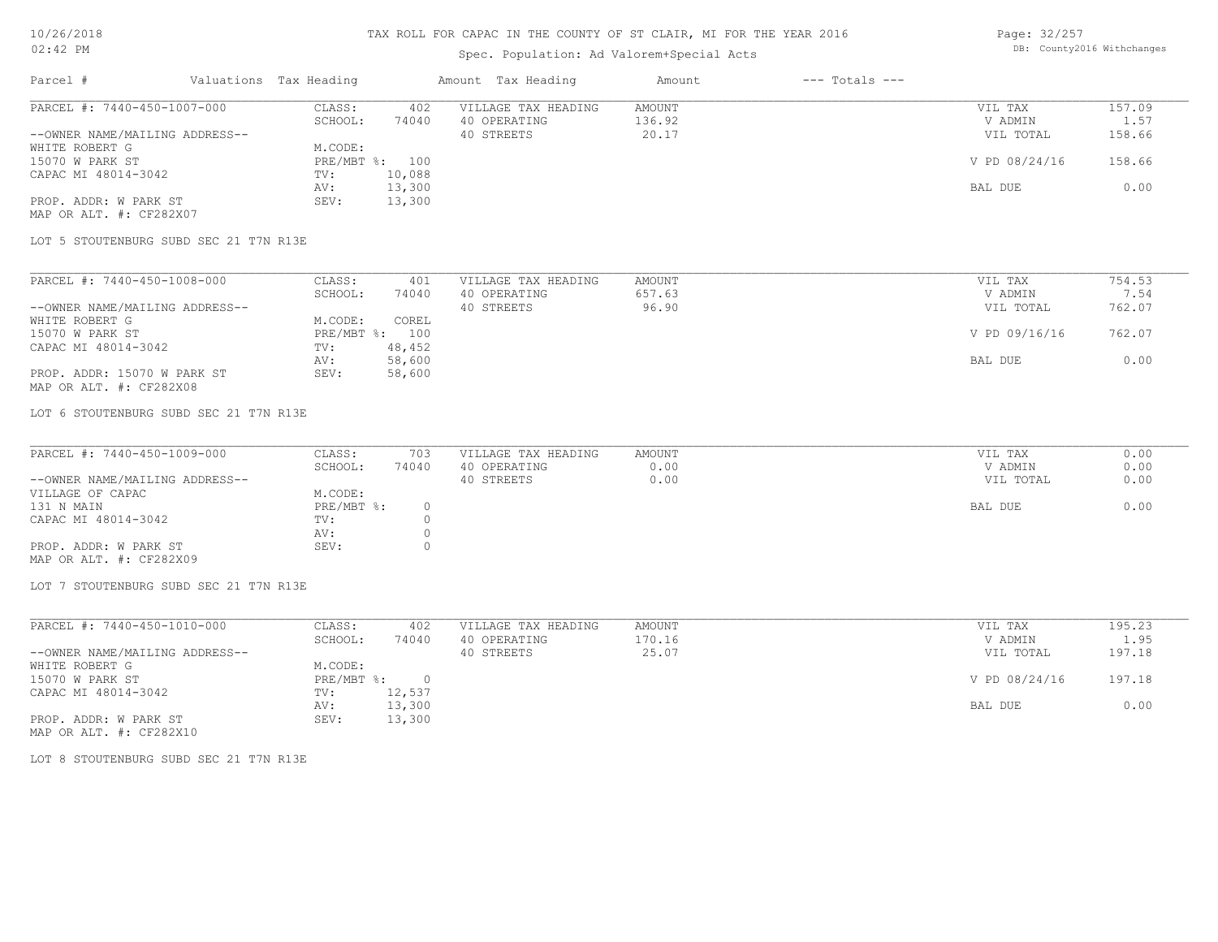## Spec. Population: Ad Valorem+Special Acts

Page: 32/257 DB: County2016 Withchanges

| Parcel #                       | Valuations Tax Heading |        | Amount Tax Heading  | Amount | $---$ Totals $---$ |               |            |
|--------------------------------|------------------------|--------|---------------------|--------|--------------------|---------------|------------|
| PARCEL #: 7440-450-1007-000    | CLASS:                 | 402    | VILLAGE TAX HEADING | AMOUNT |                    | VIL TAX       | 157.09     |
|                                | SCHOOL:                | 74040  | 40 OPERATING        | 136.92 |                    | V ADMIN       | $\pm 0.57$ |
| --OWNER NAME/MAILING ADDRESS-- |                        |        | 40 STREETS          | 20.17  |                    | VIL TOTAL     | 158.66     |
| WHITE ROBERT G                 | M.CODE:                |        |                     |        |                    |               |            |
| 15070 W PARK ST                | PRE/MBT %: 100         |        |                     |        |                    | V PD 08/24/16 | 158.66     |
| CAPAC MI 48014-3042            | TV:                    | 10,088 |                     |        |                    |               |            |
|                                | AV:                    | 13,300 |                     |        |                    | BAL DUE       | 0.00       |
| PROP. ADDR: W PARK ST          | SEV:                   | 13,300 |                     |        |                    |               |            |
| MAP OR ALT. #: CF282X07        |                        |        |                     |        |                    |               |            |

LOT 5 STOUTENBURG SUBD SEC 21 T7N R13E

| PARCEL #: 7440-450-1008-000    | CLASS:     | 401    | VILLAGE TAX HEADING | AMOUNT | VIL TAX       | 754.53 |
|--------------------------------|------------|--------|---------------------|--------|---------------|--------|
|                                | SCHOOL:    | 74040  | 40 OPERATING        | 657.63 | V ADMIN       | 7.54   |
| --OWNER NAME/MAILING ADDRESS-- |            |        | 40 STREETS          | 96.90  | VIL TOTAL     | 762.07 |
| WHITE ROBERT G                 | M.CODE:    | COREL  |                     |        |               |        |
| 15070 W PARK ST                | PRE/MBT %: | 100    |                     |        | V PD 09/16/16 | 762.07 |
| CAPAC MI 48014-3042            | TV:        | 48,452 |                     |        |               |        |
|                                | AV:        | 58,600 |                     |        | BAL DUE       | 0.00   |
| PROP. ADDR: 15070 W PARK ST    | SEV:       | 58,600 |                     |        |               |        |
| MAP OR ALT. #: CF282X08        |            |        |                     |        |               |        |

LOT 6 STOUTENBURG SUBD SEC 21 T7N R13E

| PARCEL #: 7440-450-1009-000    | CLASS:     | 703   | VILLAGE TAX HEADING | AMOUNT | VIL TAX   | 0.00 |
|--------------------------------|------------|-------|---------------------|--------|-----------|------|
|                                | SCHOOL:    | 74040 | 40 OPERATING        | 0.00   | V ADMIN   | 0.00 |
| --OWNER NAME/MAILING ADDRESS-- |            |       | 40 STREETS          | 0.00   | VIL TOTAL | 0.00 |
| VILLAGE OF CAPAC               | M.CODE:    |       |                     |        |           |      |
| 131 N MAIN                     | PRE/MBT %: |       |                     |        | BAL DUE   | 0.00 |
| CAPAC MI 48014-3042            | TV:        |       |                     |        |           |      |
|                                | AV:        |       |                     |        |           |      |
| PROP. ADDR: W PARK ST          | SEV:       |       |                     |        |           |      |
| MAP OR ALT. #: CF282X09        |            |       |                     |        |           |      |

LOT 7 STOUTENBURG SUBD SEC 21 T7N R13E

| PARCEL #: 7440-450-1010-000    | CLASS:     | 402    | VILLAGE TAX HEADING | AMOUNT | VIL TAX       | 195.23 |
|--------------------------------|------------|--------|---------------------|--------|---------------|--------|
|                                | SCHOOL:    | 74040  | 40 OPERATING        | 170.16 | V ADMIN       | 1.95   |
| --OWNER NAME/MAILING ADDRESS-- |            |        | 40 STREETS          | 25.07  | VIL TOTAL     | 197.18 |
| WHITE ROBERT G                 | M.CODE:    |        |                     |        |               |        |
| 15070 W PARK ST                | PRE/MBT %: |        |                     |        | V PD 08/24/16 | 197.18 |
| CAPAC MI 48014-3042            | TV:        | 12,537 |                     |        |               |        |
|                                | AV:        | 13,300 |                     |        | BAL DUE       | 0.00   |
| PROP. ADDR: W PARK ST          | SEV:       | 13,300 |                     |        |               |        |

MAP OR ALT. #: CF282X10

LOT 8 STOUTENBURG SUBD SEC 21 T7N R13E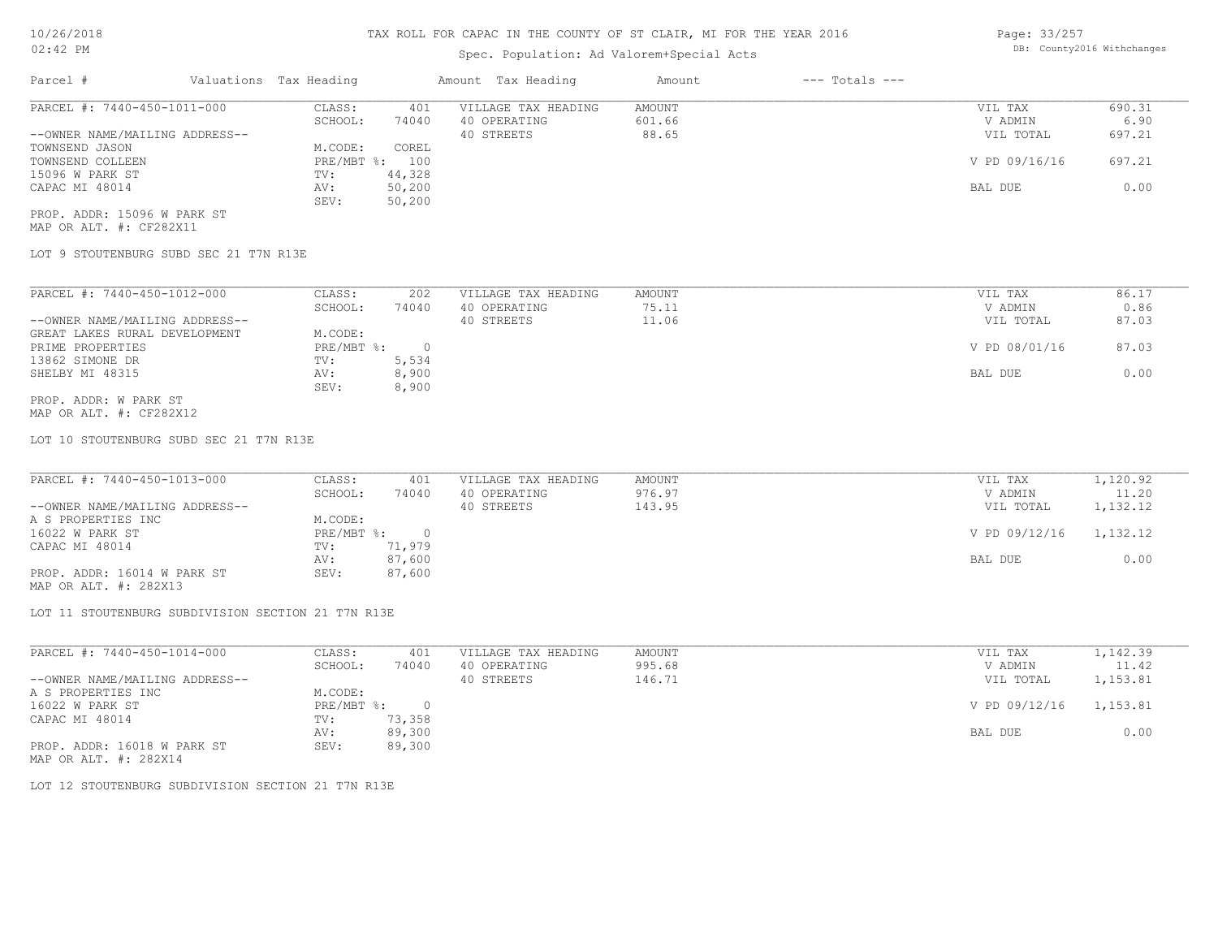#### TAX ROLL FOR CAPAC IN THE COUNTY OF ST CLAIR, MI FOR THE YEAR 2016

## Spec. Population: Ad Valorem+Special Acts

CAPAC MI 48014 AV: 50,200 BAL DUE 0.00

| Parcel #                       | Valuations Tax Heading |       | Amount Tax Heading  | Amount | $---$ Totals $---$ |               |        |
|--------------------------------|------------------------|-------|---------------------|--------|--------------------|---------------|--------|
| PARCEL #: 7440-450-1011-000    | CLASS:                 | 401   | VILLAGE TAX HEADING | AMOUNT |                    | VIL TAX       | 690.31 |
|                                | SCHOOL:                | 74040 | 40 OPERATING        | 601.66 |                    | V ADMIN       | 6.90   |
| --OWNER NAME/MAILING ADDRESS-- |                        |       | 40 STREETS          | 88.65  |                    | VIL TOTAL     | 697.21 |
| TOWNSEND JASON                 | M.CODE:                | COREL |                     |        |                    |               |        |
| TOWNSEND COLLEEN               | PRE/MBT %:             | 100   |                     |        |                    | V PD 09/16/16 | 697.21 |

MAP OR ALT. #: CF282X11 PROP. ADDR: 15096 W PARK ST

LOT 9 STOUTENBURG SUBD SEC 21 T7N R13E

15096 W PARK ST TV: 44,328

SEV: 50,200

| PARCEL #: 7440-450-1012-000    | CLASS:     | 202    | VILLAGE TAX HEADING | AMOUNT | 86.17<br>VIL TAX       |
|--------------------------------|------------|--------|---------------------|--------|------------------------|
|                                | SCHOOL:    | 74040  | 40 OPERATING        | 75.11  | 0.86<br>V ADMIN        |
| --OWNER NAME/MAILING ADDRESS-- |            |        | 40 STREETS          | 11.06  | 87.03<br>VIL TOTAL     |
| GREAT LAKES RURAL DEVELOPMENT  | M.CODE:    |        |                     |        |                        |
| PRIME PROPERTIES               | PRE/MBT %: | $\cap$ |                     |        | V PD 08/01/16<br>87.03 |
| 13862 SIMONE DR                | TV:        | 5,534  |                     |        |                        |
| SHELBY MI 48315                | AV:        | 8,900  |                     |        | 0.00<br>BAL DUE        |
|                                | SEV:       | 8,900  |                     |        |                        |
| PROP. ADDR: W PARK ST          |            |        |                     |        |                        |

MAP OR ALT. #: CF282X12

LOT 10 STOUTENBURG SUBD SEC 21 T7N R13E

| PARCEL #: 7440-450-1013-000    | CLASS:     | 401    | VILLAGE TAX HEADING | AMOUNT | VIL TAX       | 1,120.92 |
|--------------------------------|------------|--------|---------------------|--------|---------------|----------|
|                                | SCHOOL:    | 74040  | 40 OPERATING        | 976.97 | V ADMIN       | 11.20    |
| --OWNER NAME/MAILING ADDRESS-- |            |        | 40 STREETS          | 143.95 | VIL TOTAL     | 1,132.12 |
| A S PROPERTIES INC             | M.CODE:    |        |                     |        |               |          |
| 16022 W PARK ST                | PRE/MBT %: |        |                     |        | V PD 09/12/16 | 1,132.12 |
| CAPAC MI 48014                 | TV:        | 71,979 |                     |        |               |          |
|                                | AV:        | 87,600 |                     |        | BAL DUE       | 0.00     |
| PROP. ADDR: 16014 W PARK ST    | SEV:       | 87,600 |                     |        |               |          |

MAP OR ALT. #: 282X13

LOT 11 STOUTENBURG SUBDIVISION SECTION 21 T7N R13E

| PARCEL #: 7440-450-1014-000    | CLASS:     | 401    | VILLAGE TAX HEADING | AMOUNT | VIL TAX       | 1,142.39 |
|--------------------------------|------------|--------|---------------------|--------|---------------|----------|
|                                | SCHOOL:    | 74040  | 40 OPERATING        | 995.68 | V ADMIN       | 11.42    |
| --OWNER NAME/MAILING ADDRESS-- |            |        | 40 STREETS          | 146.71 | VIL TOTAL     | 1,153.81 |
| A S PROPERTIES INC             | M.CODE:    |        |                     |        |               |          |
| 16022 W PARK ST                | PRE/MBT %: |        |                     |        | V PD 09/12/16 | 1,153.81 |
| CAPAC MI 48014                 | TV:        | 73,358 |                     |        |               |          |
|                                | AV:        | 89,300 |                     |        | BAL DUE       | 0.00     |
| PROP. ADDR: 16018 W PARK ST    | SEV:       | 89,300 |                     |        |               |          |
| MAP OR ALT. #: 282X14          |            |        |                     |        |               |          |

LOT 12 STOUTENBURG SUBDIVISION SECTION 21 T7N R13E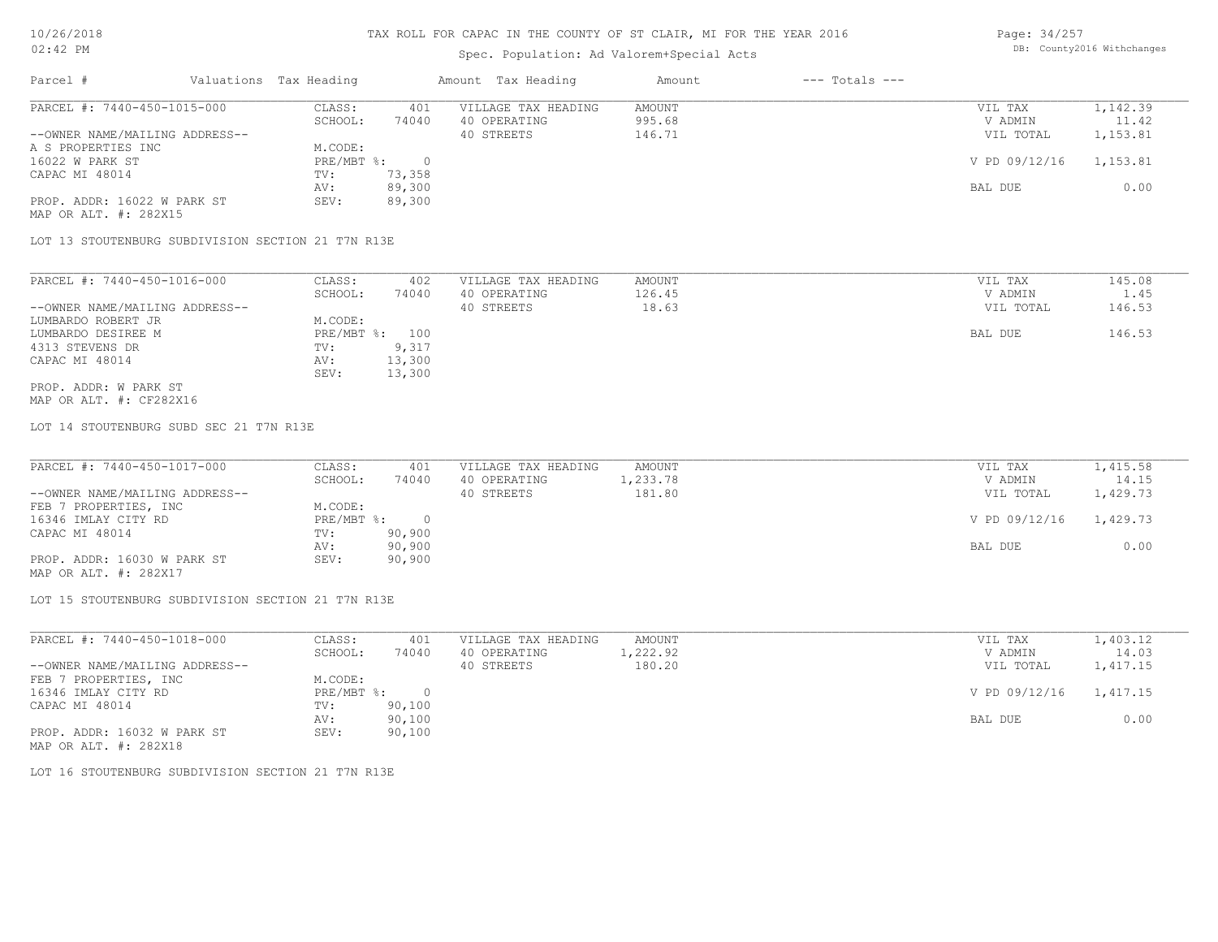### Spec. Population: Ad Valorem+Special Acts

| Page: 34/257 |                            |
|--------------|----------------------------|
|              | DB: County2016 Withchanges |

| Parcel #                       | Valuations Tax Heading |        | Amount Tax Heading  | Amount | $---$ Totals $---$ |               |          |
|--------------------------------|------------------------|--------|---------------------|--------|--------------------|---------------|----------|
| PARCEL #: 7440-450-1015-000    | CLASS:                 | 401    | VILLAGE TAX HEADING | AMOUNT |                    | VIL TAX       | 1,142.39 |
|                                | SCHOOL:                | 74040  | 40 OPERATING        | 995.68 |                    | V ADMIN       | 11.42    |
| --OWNER NAME/MAILING ADDRESS-- |                        |        | 40 STREETS          | 146.71 |                    | VIL TOTAL     | 1,153.81 |
| A S PROPERTIES INC             | M.CODE:                |        |                     |        |                    |               |          |
| 16022 W PARK ST                | PRE/MBT %:             |        |                     |        |                    | V PD 09/12/16 | 1,153.81 |
| CAPAC MI 48014                 | TV:                    | 73,358 |                     |        |                    |               |          |
|                                | AV:                    | 89,300 |                     |        |                    | BAL DUE       | 0.00     |
| PROP. ADDR: 16022 W PARK ST    | SEV:                   | 89,300 |                     |        |                    |               |          |
| MAP OR ALT. #: 282X15          |                        |        |                     |        |                    |               |          |

LOT 13 STOUTENBURG SUBDIVISION SECTION 21 T7N R13E

| PARCEL #: 7440-450-1016-000    | CLASS:       | 402    | VILLAGE TAX HEADING | AMOUNT | VIL TAX   | 145.08 |
|--------------------------------|--------------|--------|---------------------|--------|-----------|--------|
|                                | SCHOOL:      | 74040  | 40 OPERATING        | 126.45 | V ADMIN   | 1.45   |
| --OWNER NAME/MAILING ADDRESS-- |              |        | 40 STREETS          | 18.63  | VIL TOTAL | 146.53 |
| LUMBARDO ROBERT JR             | M.CODE:      |        |                     |        |           |        |
| LUMBARDO DESIREE M             | $PRE/MBT$ %: | 100    |                     |        | BAL DUE   | 146.53 |
| 4313 STEVENS DR                | TV:          | 9,317  |                     |        |           |        |
| CAPAC MI 48014                 | AV:          | 13,300 |                     |        |           |        |
|                                | SEV:         | 13,300 |                     |        |           |        |
| PROP. ADDR: W PARK ST          |              |        |                     |        |           |        |

MAP OR ALT. #: CF282X16

LOT 14 STOUTENBURG SUBD SEC 21 T7N R13E

| PARCEL #: 7440-450-1017-000    | CLASS:       | 401    | VILLAGE TAX HEADING | AMOUNT   | VIL TAX       | 1,415.58 |
|--------------------------------|--------------|--------|---------------------|----------|---------------|----------|
|                                | SCHOOL:      | 74040  | 40 OPERATING        | 1,233.78 | V ADMIN       | 14.15    |
| --OWNER NAME/MAILING ADDRESS-- |              |        | 40 STREETS          | 181.80   | VIL TOTAL     | 1,429.73 |
| FEB 7 PROPERTIES, INC          | M.CODE:      |        |                     |          |               |          |
| 16346 IMLAY CITY RD            | $PRE/MBT$ %: |        |                     |          | V PD 09/12/16 | 1,429.73 |
| CAPAC MI 48014                 | TV:          | 90,900 |                     |          |               |          |
|                                | AV:          | 90,900 |                     |          | BAL DUE       | 0.00     |
| PROP. ADDR: 16030 W PARK ST    | SEV:         | 90,900 |                     |          |               |          |
| MAP OR ALT. #: 282X17          |              |        |                     |          |               |          |

LOT 15 STOUTENBURG SUBDIVISION SECTION 21 T7N R13E

| PARCEL #: 7440-450-1018-000    | CLASS:       | 401    | VILLAGE TAX HEADING | AMOUNT   | VIL TAX       | 1,403.12 |
|--------------------------------|--------------|--------|---------------------|----------|---------------|----------|
|                                | SCHOOL:      | 74040  | 40 OPERATING        | 1,222.92 | V ADMIN       | 14.03    |
| --OWNER NAME/MAILING ADDRESS-- |              |        | 40 STREETS          | 180.20   | VIL TOTAL     | 1,417.15 |
| FEB 7 PROPERTIES, INC          | M.CODE:      |        |                     |          |               |          |
| 16346 IMLAY CITY RD            | $PRE/MBT$ %: |        |                     |          | V PD 09/12/16 | 1,417.15 |
| CAPAC MI 48014                 | TV:          | 90,100 |                     |          |               |          |
|                                | AV:          | 90,100 |                     |          | BAL DUE       | 0.00     |
| PROP. ADDR: 16032 W PARK ST    | SEV:         | 90,100 |                     |          |               |          |
| MAP OR ALT. #: 282X18          |              |        |                     |          |               |          |

LOT 16 STOUTENBURG SUBDIVISION SECTION 21 T7N R13E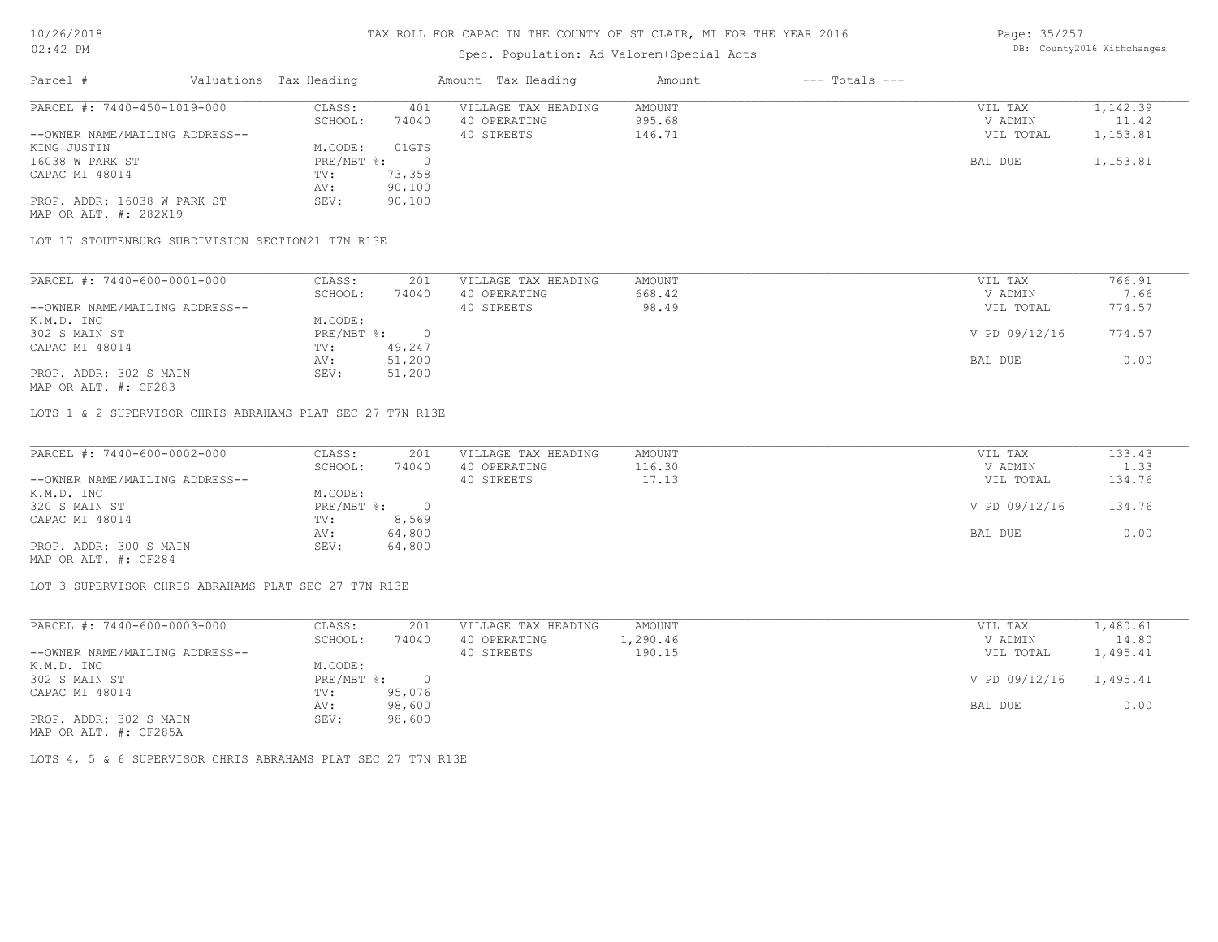## Spec. Population: Ad Valorem+Special Acts

Page: 35/257 DB: County2016 Withchanges

| Parcel #                       | Valuations Tax Heading |        | Amount Tax Heading  | Amount | $---$ Totals $---$ |           |          |
|--------------------------------|------------------------|--------|---------------------|--------|--------------------|-----------|----------|
| PARCEL #: 7440-450-1019-000    | CLASS:                 | 401    | VILLAGE TAX HEADING | AMOUNT |                    | VIL TAX   | 1,142.39 |
|                                | SCHOOL:                | 74040  | 40 OPERATING        | 995.68 |                    | V ADMIN   | 11.42    |
| --OWNER NAME/MAILING ADDRESS-- |                        |        | 40 STREETS          | 146.71 |                    | VIL TOTAL | 1,153.81 |
| KING JUSTIN                    | M.CODE:                | 01GTS  |                     |        |                    |           |          |
| 16038 W PARK ST                | $PRE/MBT$ %:           |        |                     |        |                    | BAL DUE   | 1,153.81 |
| CAPAC MI 48014                 | TV:                    | 73,358 |                     |        |                    |           |          |
|                                | AV:                    | 90,100 |                     |        |                    |           |          |
| PROP. ADDR: 16038 W PARK ST    | SEV:                   | 90,100 |                     |        |                    |           |          |
|                                |                        |        |                     |        |                    |           |          |

MAP OR ALT. #: 282X19

LOT 17 STOUTENBURG SUBDIVISION SECTION21 T7N R13E

| PARCEL #: 7440-600-0001-000    | CLASS:     | 201    | VILLAGE TAX HEADING | AMOUNT | VIL TAX       | 766.91 |
|--------------------------------|------------|--------|---------------------|--------|---------------|--------|
|                                | SCHOOL:    | 74040  | 40 OPERATING        | 668.42 | V ADMIN       | 7.66   |
| --OWNER NAME/MAILING ADDRESS-- |            |        | 40 STREETS          | 98.49  | VIL TOTAL     | 774.57 |
| K.M.D. INC                     | M.CODE:    |        |                     |        |               |        |
| 302 S MAIN ST                  | PRE/MBT %: |        |                     |        | V PD 09/12/16 | 774.57 |
| CAPAC MI 48014                 | TV:        | 49,247 |                     |        |               |        |
|                                | AV:        | 51,200 |                     |        | BAL DUE       | 0.00   |
| PROP. ADDR: 302 S MAIN         | SEV:       | 51,200 |                     |        |               |        |
|                                |            |        |                     |        |               |        |

MAP OR ALT. #: CF283

LOTS 1 & 2 SUPERVISOR CHRIS ABRAHAMS PLAT SEC 27 T7N R13E

| PARCEL #: 7440-600-0002-000    | CLASS:     | 201      | VILLAGE TAX HEADING | AMOUNT | VIL TAX       | 133.43 |
|--------------------------------|------------|----------|---------------------|--------|---------------|--------|
|                                | SCHOOL:    | 74040    | 40 OPERATING        | 116.30 | V ADMIN       | 1.33   |
| --OWNER NAME/MAILING ADDRESS-- |            |          | 40 STREETS          | 17.13  | VIL TOTAL     | 134.76 |
| K.M.D. INC                     | M.CODE:    |          |                     |        |               |        |
| 320 S MAIN ST                  | PRE/MBT %: | $\Omega$ |                     |        | V PD 09/12/16 | 134.76 |
| CAPAC MI 48014                 | TV:        | 8,569    |                     |        |               |        |
|                                | AV:        | 64,800   |                     |        | BAL DUE       | 0.00   |
| PROP. ADDR: 300 S MAIN         | SEV:       | 64,800   |                     |        |               |        |
| MAP OR ALT. #: CF284           |            |          |                     |        |               |        |

 $\mathcal{L}_\mathcal{L} = \mathcal{L}_\mathcal{L} = \mathcal{L}_\mathcal{L} = \mathcal{L}_\mathcal{L} = \mathcal{L}_\mathcal{L} = \mathcal{L}_\mathcal{L} = \mathcal{L}_\mathcal{L} = \mathcal{L}_\mathcal{L} = \mathcal{L}_\mathcal{L} = \mathcal{L}_\mathcal{L} = \mathcal{L}_\mathcal{L} = \mathcal{L}_\mathcal{L} = \mathcal{L}_\mathcal{L} = \mathcal{L}_\mathcal{L} = \mathcal{L}_\mathcal{L} = \mathcal{L}_\mathcal{L} = \mathcal{L}_\mathcal{L}$ 

LOT 3 SUPERVISOR CHRIS ABRAHAMS PLAT SEC 27 T7N R13E

| CLASS:  | 201    | VILLAGE TAX HEADING | AMOUNT   | VIL TAX   | 1,480.61               |
|---------|--------|---------------------|----------|-----------|------------------------|
| SCHOOL: | 74040  | 40 OPERATING        | l,290.46 | V ADMIN   | 14.80                  |
|         |        | 40 STREETS          | 190.15   | VIL TOTAL | 1,495.41               |
| M.CODE: |        |                     |          |           |                        |
|         |        |                     |          |           |                        |
| TV:     | 95,076 |                     |          |           |                        |
| AV:     | 98,600 |                     |          | BAL DUE   | 0.00                   |
| SEV:    | 98,600 |                     |          |           |                        |
|         |        | PRE/MBT %:          |          |           | V PD 09/12/16 1,495.41 |

MAP OR ALT. #: CF285A

LOTS 4, 5 & 6 SUPERVISOR CHRIS ABRAHAMS PLAT SEC 27 T7N R13E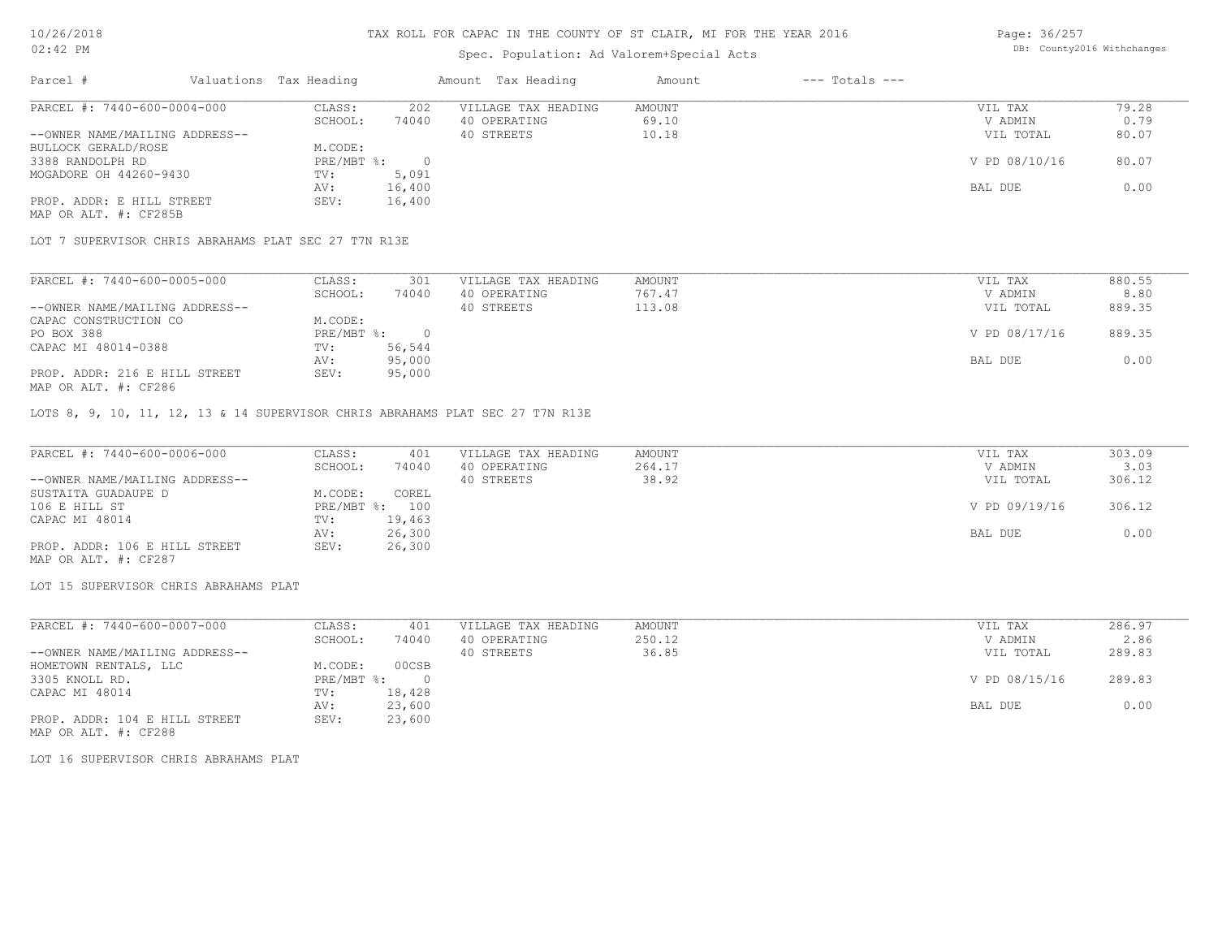### Spec. Population: Ad Valorem+Special Acts

Page: 36/257 DB: County2016 Withchanges

| Parcel #                       | Valuations Tax Heading |        | Amount Tax Heading  | Amount | $---$ Totals $---$ |               |       |
|--------------------------------|------------------------|--------|---------------------|--------|--------------------|---------------|-------|
| PARCEL #: 7440-600-0004-000    | CLASS:                 | 202    | VILLAGE TAX HEADING | AMOUNT |                    | VIL TAX       | 79.28 |
|                                | SCHOOL:                | 74040  | 40 OPERATING        | 69.10  |                    | V ADMIN       | 0.79  |
| --OWNER NAME/MAILING ADDRESS-- |                        |        | 40 STREETS          | 10.18  |                    | VIL TOTAL     | 80.07 |
| BULLOCK GERALD/ROSE            | M.CODE:                |        |                     |        |                    |               |       |
| 3388 RANDOLPH RD               | PRE/MBT %:             |        |                     |        |                    | V PD 08/10/16 | 80.07 |
| MOGADORE OH 44260-9430         | TV:                    | 5,091  |                     |        |                    |               |       |
|                                | AV:                    | 16,400 |                     |        |                    | BAL DUE       | 0.00  |
| PROP. ADDR: E HILL STREET      | SEV:                   | 16,400 |                     |        |                    |               |       |
| MAP OR ALT. #: CF285B          |                        |        |                     |        |                    |               |       |

LOT 7 SUPERVISOR CHRIS ABRAHAMS PLAT SEC 27 T7N R13E

| PARCEL #: 7440-600-0005-000    | CLASS:     | 301    | VILLAGE TAX HEADING | AMOUNT | VIL TAX       | 880.55 |
|--------------------------------|------------|--------|---------------------|--------|---------------|--------|
|                                | SCHOOL:    | 74040  | 40 OPERATING        | 767.47 | V ADMIN       | 8.80   |
| --OWNER NAME/MAILING ADDRESS-- |            |        | 40 STREETS          | 113.08 | VIL TOTAL     | 889.35 |
| CAPAC CONSTRUCTION CO          | M.CODE:    |        |                     |        |               |        |
| PO BOX 388                     | PRE/MBT %: |        |                     |        | V PD 08/17/16 | 889.35 |
| CAPAC MI 48014-0388            | TV:        | 56,544 |                     |        |               |        |
|                                | AV:        | 95,000 |                     |        | BAL DUE       | 0.00   |
| PROP. ADDR: 216 E HILL STREET  | SEV:       | 95,000 |                     |        |               |        |
| MAP OR ALT. #: CF286           |            |        |                     |        |               |        |

LOTS 8, 9, 10, 11, 12, 13 & 14 SUPERVISOR CHRIS ABRAHAMS PLAT SEC 27 T7N R13E

| PARCEL #: 7440-600-0006-000    | CLASS:  | 401            | VILLAGE TAX HEADING | AMOUNT | VIL TAX       | 303.09 |
|--------------------------------|---------|----------------|---------------------|--------|---------------|--------|
|                                | SCHOOL: | 74040          | 40 OPERATING        | 264.17 | V ADMIN       | 3.03   |
| --OWNER NAME/MAILING ADDRESS-- |         |                | 40 STREETS          | 38.92  | VIL TOTAL     | 306.12 |
| SUSTAITA GUADAUPE D            | M.CODE: | COREL          |                     |        |               |        |
| 106 E HILL ST                  |         | PRE/MBT %: 100 |                     |        | V PD 09/19/16 | 306.12 |
| CAPAC MI 48014                 | TV:     | 19,463         |                     |        |               |        |
|                                | AV:     | 26,300         |                     |        | BAL DUE       | 0.00   |
| PROP. ADDR: 106 E HILL STREET  | SEV:    | 26,300         |                     |        |               |        |
| MAP OR ALT. #: CF287           |         |                |                     |        |               |        |

LOT 15 SUPERVISOR CHRIS ABRAHAMS PLAT

| PARCEL #: 7440-600-0007-000    | CLASS:     | 401    | VILLAGE TAX HEADING | AMOUNT | VIL TAX       | 286.97 |
|--------------------------------|------------|--------|---------------------|--------|---------------|--------|
|                                | SCHOOL:    | 74040  | 40 OPERATING        | 250.12 | V ADMIN       | 2.86   |
| --OWNER NAME/MAILING ADDRESS-- |            |        | 40 STREETS          | 36.85  | VIL TOTAL     | 289.83 |
| HOMETOWN RENTALS, LLC          | M.CODE:    | 00CSB  |                     |        |               |        |
| 3305 KNOLL RD.                 | PRE/MBT %: | $\Box$ |                     |        | V PD 08/15/16 | 289.83 |
| CAPAC MI 48014                 | TV:        | 18,428 |                     |        |               |        |
|                                | AV:        | 23,600 |                     |        | BAL DUE       | 0.00   |
| PROP. ADDR: 104 E HILL STREET  | SEV:       | 23,600 |                     |        |               |        |

MAP OR ALT. #: CF288

LOT 16 SUPERVISOR CHRIS ABRAHAMS PLAT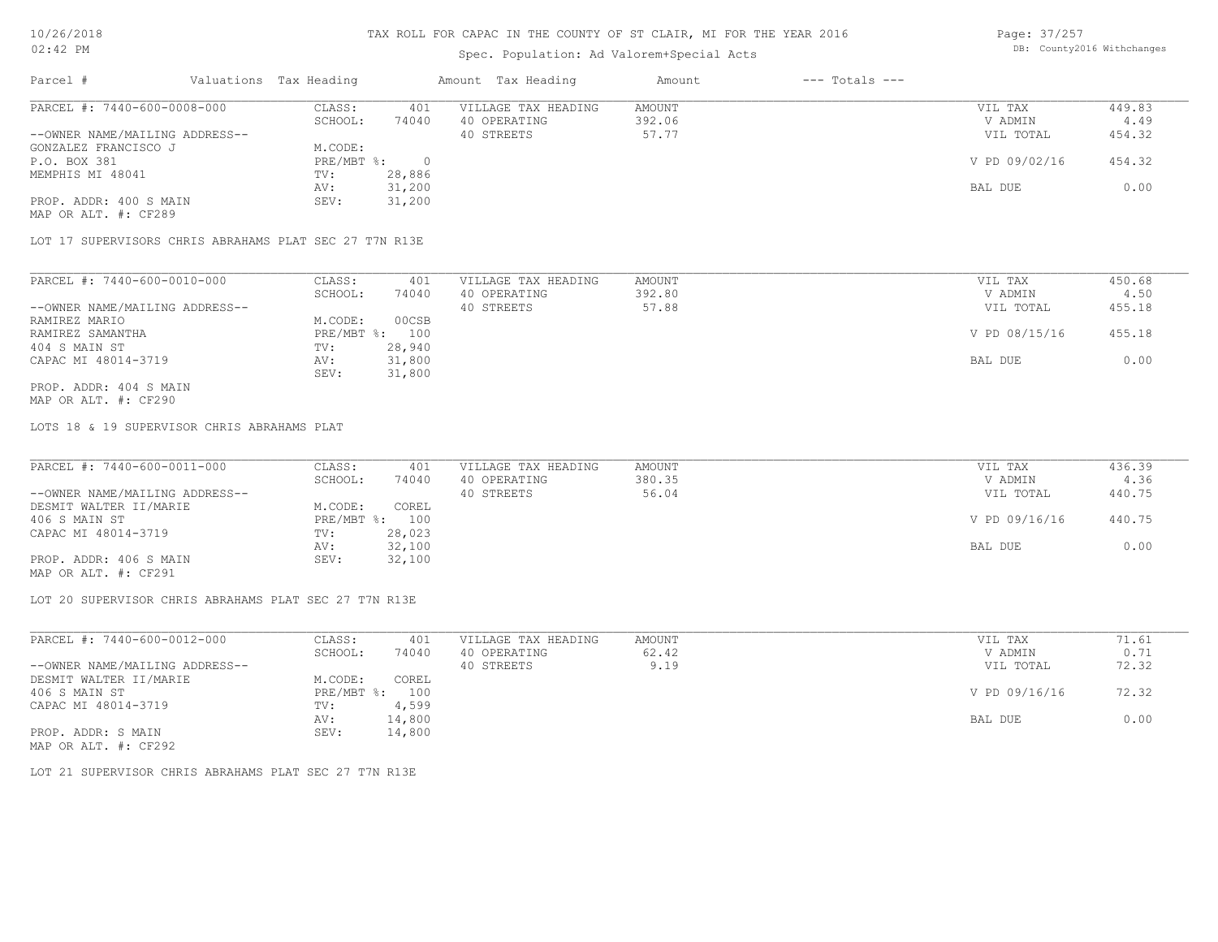# Spec. Population: Ad Valorem+Special Acts

Page: 37/257 DB: County2016 Withchanges

| Parcel #                       | Valuations Tax Heading |        | Amount Tax Heading  | Amount | $---$ Totals $---$ |               |        |
|--------------------------------|------------------------|--------|---------------------|--------|--------------------|---------------|--------|
| PARCEL #: 7440-600-0008-000    | CLASS:                 | 401    | VILLAGE TAX HEADING | AMOUNT |                    | VIL TAX       | 449.83 |
|                                | SCHOOL:                | 74040  | 40 OPERATING        | 392.06 |                    | V ADMIN       | 4.49   |
| --OWNER NAME/MAILING ADDRESS-- |                        |        | 40 STREETS          | 57.77  |                    | VIL TOTAL     | 454.32 |
| GONZALEZ FRANCISCO J           | M.CODE:                |        |                     |        |                    |               |        |
| P.O. BOX 381                   | PRE/MBT %:             |        |                     |        |                    | V PD 09/02/16 | 454.32 |
| MEMPHIS MI 48041               | TV:                    | 28,886 |                     |        |                    |               |        |
|                                | AV:                    | 31,200 |                     |        |                    | BAL DUE       | 0.00   |
| PROP. ADDR: 400 S MAIN         | SEV:                   | 31,200 |                     |        |                    |               |        |
| MAP OR ALT. #: CF289           |                        |        |                     |        |                    |               |        |

LOT 17 SUPERVISORS CHRIS ABRAHAMS PLAT SEC 27 T7N R13E

| PARCEL #: 7440-600-0010-000    | CLASS:       | 401    | VILLAGE TAX HEADING | AMOUNT | VIL TAX       | 450.68 |
|--------------------------------|--------------|--------|---------------------|--------|---------------|--------|
|                                | SCHOOL:      | 74040  | 40 OPERATING        | 392.80 | V ADMIN       | 4.50   |
| --OWNER NAME/MAILING ADDRESS-- |              |        | 40 STREETS          | 57.88  | VIL TOTAL     | 455.18 |
| RAMIREZ MARIO                  | M.CODE:      | 00CSB  |                     |        |               |        |
| RAMIREZ SAMANTHA               | $PRE/MBT$ %: | 100    |                     |        | V PD 08/15/16 | 455.18 |
| 404 S MAIN ST                  | TV:          | 28,940 |                     |        |               |        |
| CAPAC MI 48014-3719            | AV:          | 31,800 |                     |        | BAL DUE       | 0.00   |
|                                | SEV:         | 31,800 |                     |        |               |        |
| PROP. ADDR: 404 S MAIN         |              |        |                     |        |               |        |

MAP OR ALT. #: CF290

LOTS 18 & 19 SUPERVISOR CHRIS ABRAHAMS PLAT

| PARCEL #: 7440-600-0011-000    | CLASS:  | 401            | VILLAGE TAX HEADING | AMOUNT | VIL TAX       | 436.39 |
|--------------------------------|---------|----------------|---------------------|--------|---------------|--------|
|                                | SCHOOL: | 74040          | 40 OPERATING        | 380.35 | V ADMIN       | 4.36   |
| --OWNER NAME/MAILING ADDRESS-- |         |                | 40 STREETS          | 56.04  | VIL TOTAL     | 440.75 |
| DESMIT WALTER II/MARIE         | M.CODE: | COREL          |                     |        |               |        |
| 406 S MAIN ST                  |         | PRE/MBT %: 100 |                     |        | V PD 09/16/16 | 440.75 |
| CAPAC MI 48014-3719            | TV:     | 28,023         |                     |        |               |        |
|                                | AV:     | 32,100         |                     |        | BAL DUE       | 0.00   |
| PROP. ADDR: 406 S MAIN         | SEV:    | 32,100         |                     |        |               |        |
|                                |         |                |                     |        |               |        |

MAP OR ALT. #: CF291

LOT 20 SUPERVISOR CHRIS ABRAHAMS PLAT SEC 27 T7N R13E

| PARCEL #: 7440-600-0012-000    | CLASS:       | 401    | VILLAGE TAX HEADING | AMOUNT | VIL TAX       | 71.61 |
|--------------------------------|--------------|--------|---------------------|--------|---------------|-------|
|                                | SCHOOL:      | 74040  | 40 OPERATING        | 62.42  | V ADMIN       | 0.71  |
| --OWNER NAME/MAILING ADDRESS-- |              |        | 40 STREETS          | 9.19   | VIL TOTAL     | 72.32 |
| DESMIT WALTER II/MARIE         | M.CODE:      | COREL  |                     |        |               |       |
| 406 S MAIN ST                  | $PRE/MBT$ %: | 100    |                     |        | V PD 09/16/16 | 72.32 |
| CAPAC MI 48014-3719            | TV:          | 4,599  |                     |        |               |       |
|                                | AV:          | 14,800 |                     |        | BAL DUE       | 0.00  |
| PROP. ADDR: S MAIN             | SEV:         | 14,800 |                     |        |               |       |
| MAP OR ALT. #: CF292           |              |        |                     |        |               |       |

LOT 21 SUPERVISOR CHRIS ABRAHAMS PLAT SEC 27 T7N R13E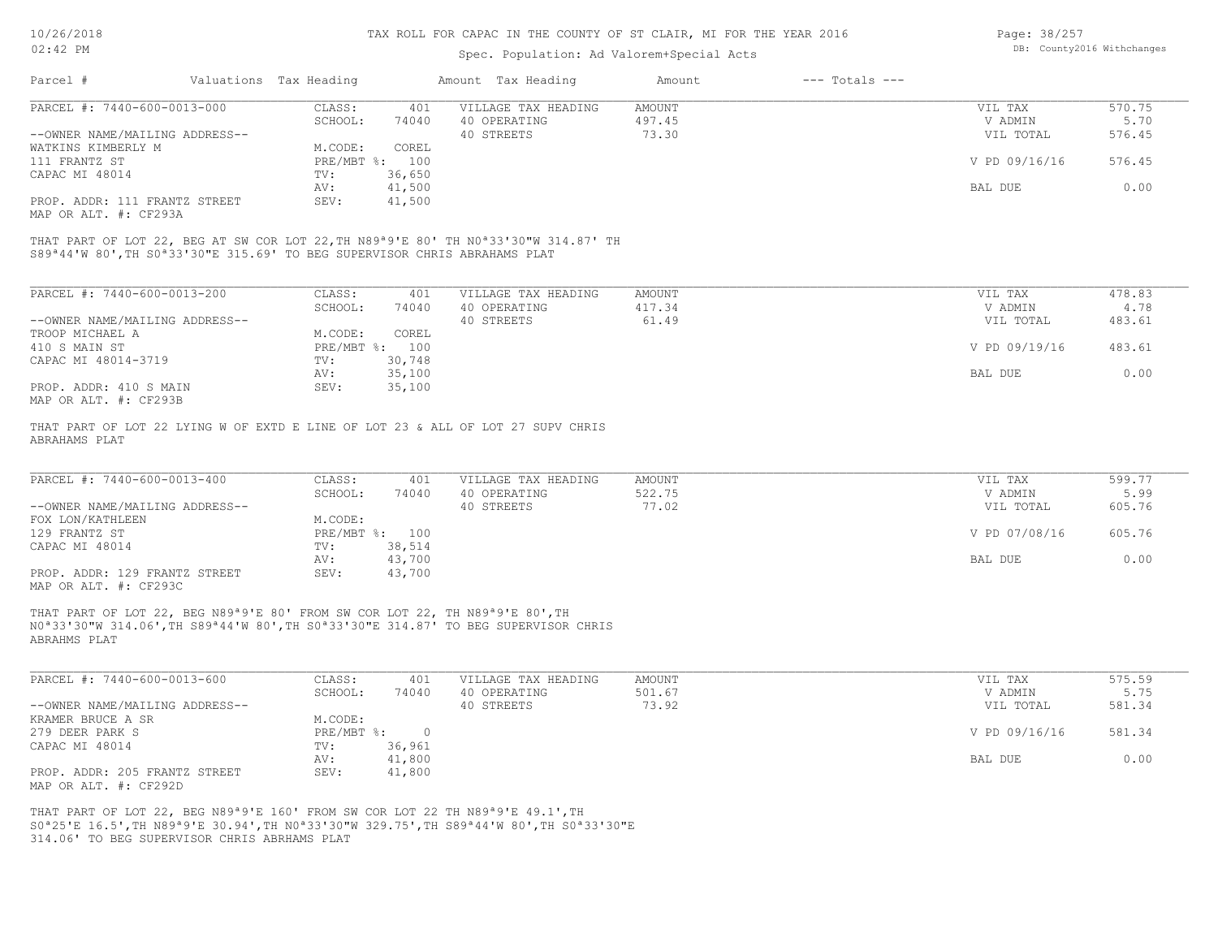# Spec. Population: Ad Valorem+Special Acts

| Page: 38/257 |                            |
|--------------|----------------------------|
|              | DB: County2016 Withchanges |

|                                                        |         |                        |                     | Amount             | $---$ Totals $---$ |               |        |
|--------------------------------------------------------|---------|------------------------|---------------------|--------------------|--------------------|---------------|--------|
| PARCEL #: 7440-600-0013-000                            | CLASS:  | 401                    | VILLAGE TAX HEADING | AMOUNT             |                    | VIL TAX       | 570.75 |
|                                                        | SCHOOL: | 74040                  | 40 OPERATING        | 497.45             |                    | V ADMIN       | 5.70   |
| --OWNER NAME/MAILING ADDRESS--                         |         |                        | 40 STREETS          | 73.30              |                    | VIL TOTAL     | 576.45 |
| WATKINS KIMBERLY M                                     | M.CODE: | COREL                  |                     |                    |                    |               |        |
|                                                        |         |                        |                     |                    |                    | V PD 09/16/16 | 576.45 |
|                                                        | TV:     | 36,650                 |                     |                    |                    |               |        |
|                                                        | AV:     | 41,500                 |                     |                    |                    | BAL DUE       | 0.00   |
| PROP. ADDR: 111 FRANTZ STREET<br>MAP OR ALT. #: CF293A | SEV:    | 41,500                 |                     |                    |                    |               |        |
|                                                        |         | Valuations Tax Heading | PRE/MBT %: 100      | Amount Tax Heading |                    |               |        |

S89ª44'W 80',TH S0ª33'30"E 315.69' TO BEG SUPERVISOR CHRIS ABRAHAMS PLAT THAT PART OF LOT 22, BEG AT SW COR LOT 22,TH N89ª9'E 80' TH N0ª33'30"W 314.87' TH

| PARCEL #: 7440-600-0013-200    | CLASS:       | 401    | VILLAGE TAX HEADING | AMOUNT | 478.83<br>VIL TAX       |
|--------------------------------|--------------|--------|---------------------|--------|-------------------------|
|                                | SCHOOL:      | 74040  | 40 OPERATING        | 417.34 | V ADMIN<br>4.78         |
| --OWNER NAME/MAILING ADDRESS-- |              |        | 40 STREETS          | 61.49  | 483.61<br>VIL TOTAL     |
| TROOP MICHAEL A                | M.CODE:      | COREL  |                     |        |                         |
| 410 S MAIN ST                  | $PRE/MBT$ %: | 100    |                     |        | V PD 09/19/16<br>483.61 |
| CAPAC MI 48014-3719            | TV:          | 30,748 |                     |        |                         |
|                                | AV:          | 35,100 |                     |        | 0.00<br>BAL DUE         |
| PROP. ADDR: 410 S MAIN         | SEV:         | 35,100 |                     |        |                         |
| MAP OR ALT. #: CF293B          |              |        |                     |        |                         |

ABRAHAMS PLAT THAT PART OF LOT 22 LYING W OF EXTD E LINE OF LOT 23 & ALL OF LOT 27 SUPV CHRIS

| PARCEL #: 7440-600-0013-400    | CLASS:  | 401            | VILLAGE TAX HEADING | AMOUNT | VIL TAX       | 599.77 |
|--------------------------------|---------|----------------|---------------------|--------|---------------|--------|
|                                | SCHOOL: | 74040          | 40 OPERATING        | 522.75 | V ADMIN       | 5.99   |
| --OWNER NAME/MAILING ADDRESS-- |         |                | 40 STREETS          | 77.02  | VIL TOTAL     | 605.76 |
| FOX LON/KATHLEEN               | M.CODE: |                |                     |        |               |        |
| 129 FRANTZ ST                  |         | PRE/MBT %: 100 |                     |        | V PD 07/08/16 | 605.76 |
| CAPAC MI 48014                 | TV:     | 38,514         |                     |        |               |        |
|                                | AV:     | 43,700         |                     |        | BAL DUE       | 0.00   |
| PROP. ADDR: 129 FRANTZ STREET  | SEV:    | 43,700         |                     |        |               |        |
| MAP OR ALT. #: CF293C          |         |                |                     |        |               |        |

ABRAHMS PLAT N0ª33'30"W 314.06',TH S89ª44'W 80',TH S0ª33'30"E 314.87' TO BEG SUPERVISOR CHRIS THAT PART OF LOT 22, BEG N89ª9'E 80' FROM SW COR LOT 22, TH N89ª9'E 80',TH

| PARCEL #: 7440-600-0013-600    | CLASS:     | 401    | VILLAGE TAX HEADING | AMOUNT | VIL TAX       | 575.59 |
|--------------------------------|------------|--------|---------------------|--------|---------------|--------|
|                                | SCHOOL:    | 74040  | 40 OPERATING        | 501.67 | V ADMIN       | 5.75   |
| --OWNER NAME/MAILING ADDRESS-- |            |        | 40 STREETS          | 73.92  | VIL TOTAL     | 581.34 |
| KRAMER BRUCE A SR              | M.CODE:    |        |                     |        |               |        |
| 279 DEER PARK S                | PRE/MBT %: |        |                     |        | V PD 09/16/16 | 581.34 |
| CAPAC MI 48014                 | TV:        | 36,961 |                     |        |               |        |
|                                | AV:        | 41,800 |                     |        | BAL DUE       | 0.00   |
| PROP. ADDR: 205 FRANTZ STREET  | SEV:       | 41,800 |                     |        |               |        |
| MAP OR ALT. #: CF292D          |            |        |                     |        |               |        |

314.06' TO BEG SUPERVISOR CHRIS ABRHAMS PLAT S0ª25'E 16.5',TH N89ª9'E 30.94',TH N0ª33'30"W 329.75',TH S89ª44'W 80',TH S0ª33'30"E THAT PART OF LOT 22, BEG N89ª9'E 160' FROM SW COR LOT 22 TH N89ª9'E 49.1',TH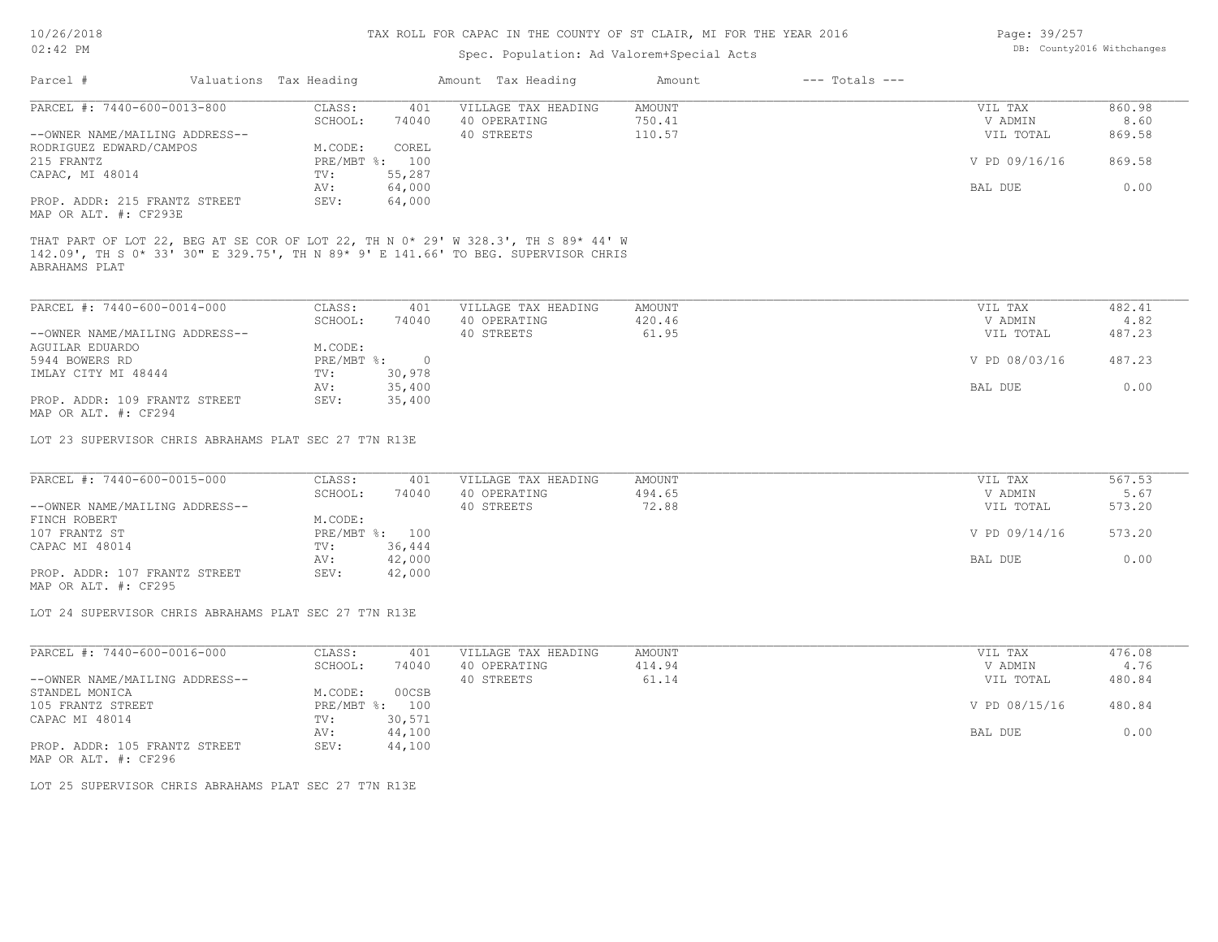# Spec. Population: Ad Valorem+Special Acts

| Page: 39/257 |                            |
|--------------|----------------------------|
|              | DB: County2016 Withchanges |

| Parcel #                                               | Valuations Tax Heading |          | Amount Tax Heading                                                                                                                                                       | Amount | $---$ Totals $---$ |               |        |
|--------------------------------------------------------|------------------------|----------|--------------------------------------------------------------------------------------------------------------------------------------------------------------------------|--------|--------------------|---------------|--------|
| PARCEL #: 7440-600-0013-800                            | CLASS:                 | 401      | VILLAGE TAX HEADING                                                                                                                                                      | AMOUNT |                    | VIL TAX       | 860.98 |
|                                                        | SCHOOL:                | 74040    | 40 OPERATING                                                                                                                                                             | 750.41 |                    | V ADMIN       | 8.60   |
| --OWNER NAME/MAILING ADDRESS--                         |                        |          | 40 STREETS                                                                                                                                                               | 110.57 |                    | VIL TOTAL     | 869.58 |
| RODRIGUEZ EDWARD/CAMPOS                                | M.CODE:                | COREL    |                                                                                                                                                                          |        |                    |               |        |
| 215 FRANTZ                                             | PRE/MBT %:             | 100      |                                                                                                                                                                          |        |                    | V PD 09/16/16 | 869.58 |
| CAPAC, MI 48014                                        | TV:                    | 55,287   |                                                                                                                                                                          |        |                    |               |        |
|                                                        | AV:                    | 64,000   |                                                                                                                                                                          |        |                    | BAL DUE       | 0.00   |
| PROP. ADDR: 215 FRANTZ STREET<br>MAP OR ALT. #: CF293E | SEV:                   | 64,000   |                                                                                                                                                                          |        |                    |               |        |
| ABRAHAMS PLAT                                          |                        |          | THAT PART OF LOT 22, BEG AT SE COR OF LOT 22, TH N 0* 29' W 328.3', TH S 89* 44' W<br>142.09', TH S 0* 33' 30" E 329.75', TH N 89* 9' E 141.66' TO BEG. SUPERVISOR CHRIS |        |                    |               |        |
|                                                        |                        |          |                                                                                                                                                                          |        |                    |               |        |
| PARCEL #: 7440-600-0014-000                            | CLASS:                 | 401      | VILLAGE TAX HEADING                                                                                                                                                      | AMOUNT |                    | VIL TAX       | 482.41 |
|                                                        | SCHOOL:                | 74040    | 40 OPERATING                                                                                                                                                             | 420.46 |                    | V ADMIN       | 4.82   |
| --OWNER NAME/MAILING ADDRESS--                         |                        |          | 40 STREETS                                                                                                                                                               | 61.95  |                    | VIL TOTAL     | 487.23 |
| AGUILAR EDUARDO                                        | M.CODE:                |          |                                                                                                                                                                          |        |                    |               |        |
| 5944 BOWERS RD                                         | $PRE/MBT$ $\div$       | $\Omega$ |                                                                                                                                                                          |        |                    | V PD 08/03/16 | 487.23 |

|                               |      |        | .       |      |
|-------------------------------|------|--------|---------|------|
| IMLAY CITY MI 48444           | TV:  | 30,978 |         |      |
|                               |      | 35,400 | BAL DUE | 0.00 |
| PROP. ADDR: 109 FRANTZ STREET | SEV: | 35,400 |         |      |
| MAP OR ALT. #: CF294          |      |        |         |      |

LOT 23 SUPERVISOR CHRIS ABRAHAMS PLAT SEC 27 T7N R13E

| PARCEL #: 7440-600-0015-000    | CLASS:         | 401    | VILLAGE TAX HEADING | AMOUNT | VIL TAX       | 567.53 |
|--------------------------------|----------------|--------|---------------------|--------|---------------|--------|
|                                | SCHOOL:        | 74040  | 40 OPERATING        | 494.65 | V ADMIN       | 5.67   |
| --OWNER NAME/MAILING ADDRESS-- |                |        | 40 STREETS          | 72.88  | VIL TOTAL     | 573.20 |
| FINCH ROBERT                   | M.CODE:        |        |                     |        |               |        |
| 107 FRANTZ ST                  | PRE/MBT %: 100 |        |                     |        | V PD 09/14/16 | 573.20 |
| CAPAC MI 48014                 | TV:            | 36,444 |                     |        |               |        |
|                                | AV:            | 42,000 |                     |        | BAL DUE       | 0.00   |
| PROP. ADDR: 107 FRANTZ STREET  | SEV:           | 42,000 |                     |        |               |        |

MAP OR ALT. #: CF295

LOT 24 SUPERVISOR CHRIS ABRAHAMS PLAT SEC 27 T7N R13E

| PARCEL #: 7440-600-0016-000    | CLASS:       | 401    | VILLAGE TAX HEADING | AMOUNT | VIL TAX       | 476.08 |
|--------------------------------|--------------|--------|---------------------|--------|---------------|--------|
|                                | SCHOOL:      | 74040  | 40 OPERATING        | 414.94 | V ADMIN       | 4.76   |
| --OWNER NAME/MAILING ADDRESS-- |              |        | 40 STREETS          | 61.14  | VIL TOTAL     | 480.84 |
| STANDEL MONICA                 | M.CODE:      | 00CSB  |                     |        |               |        |
| 105 FRANTZ STREET              | $PRE/MBT$ %: | 100    |                     |        | V PD 08/15/16 | 480.84 |
| CAPAC MI 48014                 | TV:          | 30,571 |                     |        |               |        |
|                                | AV:          | 44,100 |                     |        | BAL DUE       | 0.00   |
| PROP. ADDR: 105 FRANTZ STREET  | SEV:         | 44,100 |                     |        |               |        |

MAP OR ALT. #: CF296

LOT 25 SUPERVISOR CHRIS ABRAHAMS PLAT SEC 27 T7N R13E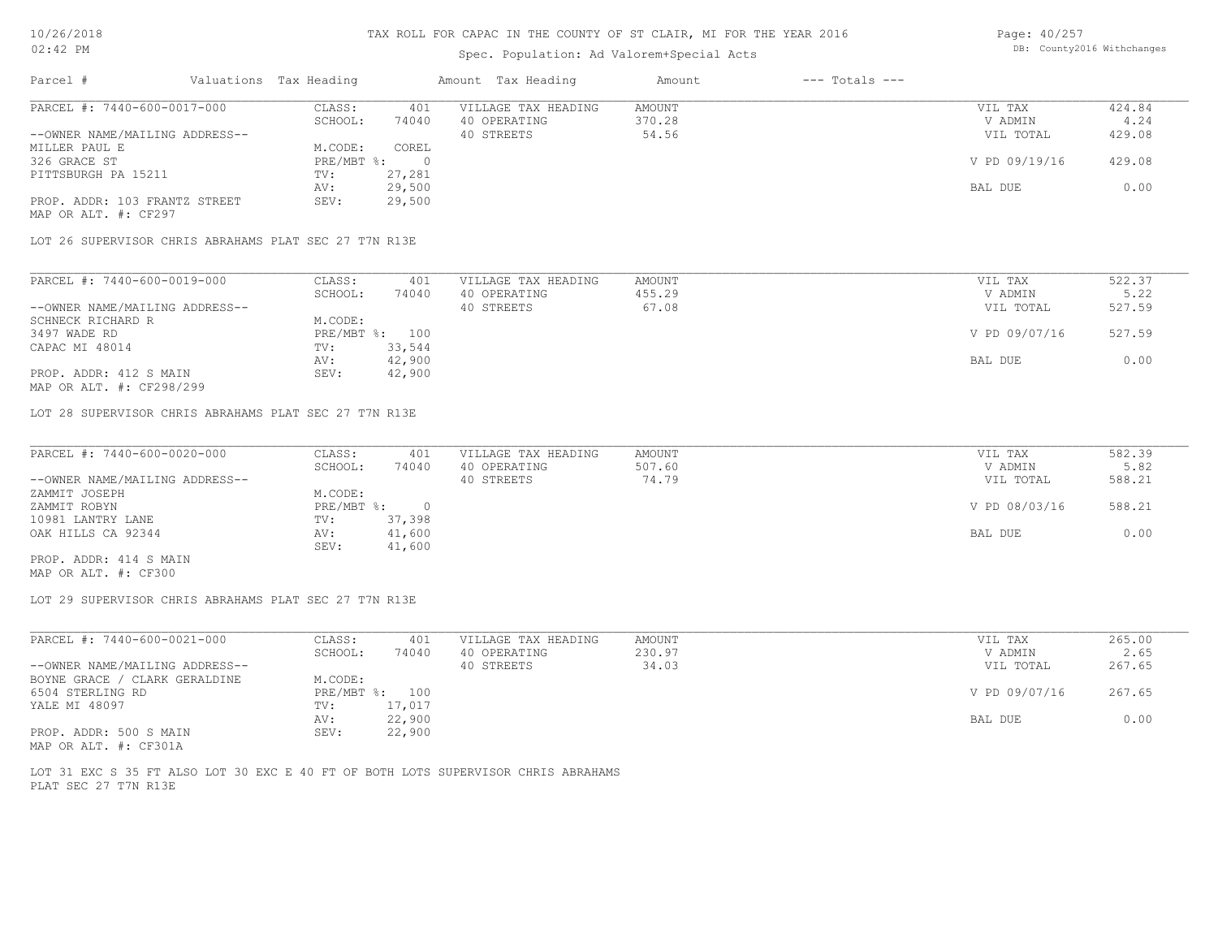# Spec. Population: Ad Valorem+Special Acts

Page: 40/257 DB: County2016 Withchanges

| Parcel #                                              | Valuations Tax Heading |                | Amount Tax Heading  | Amount | $---$ Totals $---$ |               |        |
|-------------------------------------------------------|------------------------|----------------|---------------------|--------|--------------------|---------------|--------|
| PARCEL #: 7440-600-0017-000                           | CLASS:                 | 401            | VILLAGE TAX HEADING | AMOUNT |                    | VIL TAX       | 424.84 |
|                                                       | SCHOOL:                | 74040          | 40 OPERATING        | 370.28 |                    | V ADMIN       | 4.24   |
| --OWNER NAME/MAILING ADDRESS--                        |                        |                | 40 STREETS          | 54.56  |                    | VIL TOTAL     | 429.08 |
| MILLER PAUL E                                         | M.CODE:                | COREL          |                     |        |                    |               |        |
| 326 GRACE ST                                          | PRE/MBT %:             | $\overline{0}$ |                     |        |                    | V PD 09/19/16 | 429.08 |
| PITTSBURGH PA 15211                                   | TV:                    | 27,281         |                     |        |                    |               |        |
|                                                       | AV:                    | 29,500         |                     |        |                    | BAL DUE       | 0.00   |
| PROP. ADDR: 103 FRANTZ STREET<br>MAP OR ALT. #: CF297 | SEV:                   | 29,500         |                     |        |                    |               |        |
| LOT 26 SUPERVISOR CHRIS ABRAHAMS PLAT SEC 27 T7N R13E |                        |                |                     |        |                    |               |        |
| PARCEL #: 7440-600-0019-000                           | CLASS:                 | 401            | VILLAGE TAX HEADING | AMOUNT |                    | VIL TAX       | 522.37 |
|                                                       | SCHOOL:                | 74040          | 40 OPERATING        | 455.29 |                    | V ADMIN       | 5.22   |
| --OWNER NAME/MAILING ADDRESS--                        |                        |                | 40 STREETS          | 67.08  |                    | VIL TOTAL     | 527.59 |
| SCHNECK RICHARD R                                     | M.CODE:                |                |                     |        |                    |               |        |
| 3497 WADE RD                                          |                        | PRE/MBT %: 100 |                     |        |                    | V PD 09/07/16 | 527.59 |
| CAPAC MI 48014                                        | TV:                    | 33,544         |                     |        |                    |               |        |
|                                                       |                        | 42,900         |                     |        |                    | BAL DUE       | 0.00   |
|                                                       | AV:                    |                |                     |        |                    |               |        |

MAP OR ALT. #: CF298/299 PROP. ADDR: 412 S MAIN SEV: 42,900 AV: 42,900 AV: 42,900 AV: 42,900 AV: 5 AV: 5 AV: 5 AV: 5 AV: 5 AV: 5 AV: 5 AV: 5 AV: 5 AV: 5 AV: 5 AV: 5 AV: 5 AV: 5 AV: 5 AV: 5 AV: 5 AV: 5 AV: 5 AV: 5 AV: 5 AV: 5 AV: 5 AV: 5 AV: 5 AV: 5 AV: 5 AV: 5 AV: 5 AV: 5 AV: 5 AV:

LOT 28 SUPERVISOR CHRIS ABRAHAMS PLAT SEC 27 T7N R13E

| PARCEL #: 7440-600-0020-000    | CLASS:     | 401      | VILLAGE TAX HEADING | AMOUNT | VIL TAX       | 582.39 |
|--------------------------------|------------|----------|---------------------|--------|---------------|--------|
|                                | SCHOOL:    | 74040    | 40 OPERATING        | 507.60 | V ADMIN       | 5.82   |
| --OWNER NAME/MAILING ADDRESS-- |            |          | 40 STREETS          | 74.79  | VIL TOTAL     | 588.21 |
| ZAMMIT JOSEPH                  | M.CODE:    |          |                     |        |               |        |
| ZAMMIT ROBYN                   | PRE/MBT %: | $\Omega$ |                     |        | V PD 08/03/16 | 588.21 |
| 10981 LANTRY LANE              | TV:        | 37,398   |                     |        |               |        |
| OAK HILLS CA 92344             | AV:        | 41,600   |                     |        | BAL DUE       | 0.00   |
|                                | SEV:       | 41,600   |                     |        |               |        |
| PROP. ADDR: 414 S MAIN         |            |          |                     |        |               |        |

 $\_$  , and the state of the state of the state of the state of the state of the state of the state of the state of the state of the state of the state of the state of the state of the state of the state of the state of the

MAP OR ALT. #: CF300

LOT 29 SUPERVISOR CHRIS ABRAHAMS PLAT SEC 27 T7N R13E

| PARCEL #: 7440-600-0021-000    | CLASS:  | 401            | VILLAGE TAX HEADING | AMOUNT | VIL TAX       | 265.00 |
|--------------------------------|---------|----------------|---------------------|--------|---------------|--------|
|                                | SCHOOL: | 74040          | 40 OPERATING        | 230.97 | V ADMIN       | 2.65   |
| --OWNER NAME/MAILING ADDRESS-- |         |                | 40 STREETS          | 34.03  | VIL TOTAL     | 267.65 |
| BOYNE GRACE / CLARK GERALDINE  | M.CODE: |                |                     |        |               |        |
| 6504 STERLING RD               |         | PRE/MBT %: 100 |                     |        | V PD 09/07/16 | 267.65 |
| YALE MI 48097                  | TV:     | 17,017         |                     |        |               |        |
|                                | AV:     | 22,900         |                     |        | BAL DUE       | 0.00   |
| PROP. ADDR: 500 S MAIN         | SEV:    | 22,900         |                     |        |               |        |
| MAP OR ALT. #: CF301A          |         |                |                     |        |               |        |

PLAT SEC 27 T7N R13E LOT 31 EXC S 35 FT ALSO LOT 30 EXC E 40 FT OF BOTH LOTS SUPERVISOR CHRIS ABRAHAMS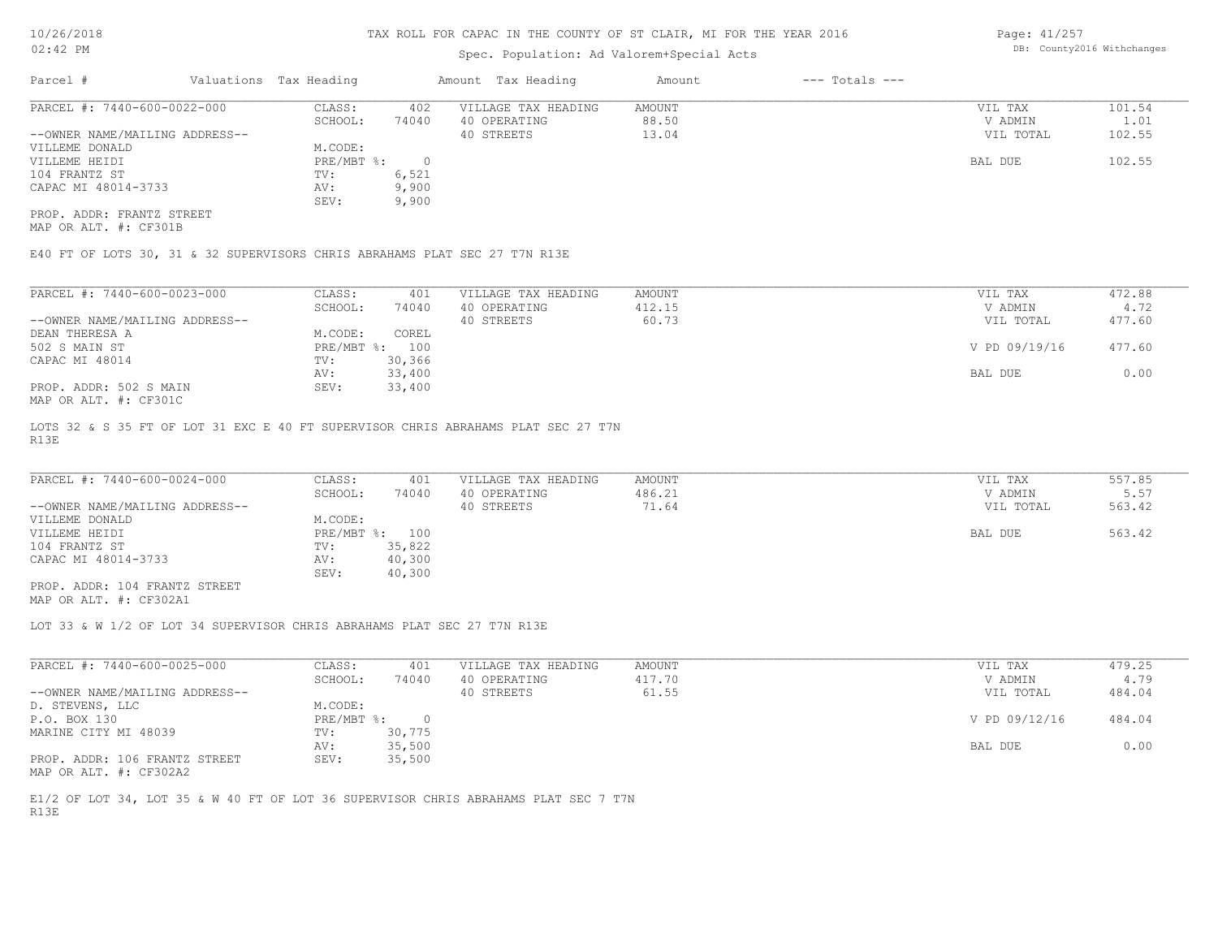# Spec. Population: Ad Valorem+Special Acts

Page: 41/257 DB: County2016 Withchanges

| Parcel #                       | Valuations Tax Heading |       | Amount Tax Heading  | Amount | $---$ Totals $---$ |           |        |
|--------------------------------|------------------------|-------|---------------------|--------|--------------------|-----------|--------|
| PARCEL #: 7440-600-0022-000    | CLASS:                 | 402   | VILLAGE TAX HEADING | AMOUNT |                    | VIL TAX   | 101.54 |
|                                | SCHOOL:                | 74040 | 40 OPERATING        | 88.50  |                    | V ADMIN   | 1.01   |
| --OWNER NAME/MAILING ADDRESS-- |                        |       | 40 STREETS          | 13.04  |                    | VIL TOTAL | 102.55 |
| VILLEME DONALD                 | M.CODE:                |       |                     |        |                    |           |        |
| VILLEME HEIDI                  | PRE/MBT %:             |       |                     |        |                    | BAL DUE   | 102.55 |
| 104 FRANTZ ST                  | TV:                    | 6,521 |                     |        |                    |           |        |
| CAPAC MI 48014-3733            | AV:                    | 9,900 |                     |        |                    |           |        |
|                                | SEV:                   | 9,900 |                     |        |                    |           |        |
| PROP. ADDR: FRANTZ STREET      |                        |       |                     |        |                    |           |        |

MAP OR ALT. #: CF301B

E40 FT OF LOTS 30, 31 & 32 SUPERVISORS CHRIS ABRAHAMS PLAT SEC 27 T7N R13E

| PARCEL #: 7440-600-0023-000                                                     | CLASS:     | 401    | VILLAGE TAX HEADING | AMOUNT | VIL TAX       | 472.88 |
|---------------------------------------------------------------------------------|------------|--------|---------------------|--------|---------------|--------|
|                                                                                 | SCHOOL:    | 74040  | 40 OPERATING        | 412.15 | V ADMIN       | 4.72   |
| --OWNER NAME/MAILING ADDRESS--                                                  |            |        | 40 STREETS          | 60.73  | VIL TOTAL     | 477.60 |
| DEAN THERESA A                                                                  | M.CODE:    | COREL  |                     |        |               |        |
| 502 S MAIN ST                                                                   | PRE/MBT %: | 100    |                     |        | V PD 09/19/16 | 477.60 |
| CAPAC MI 48014                                                                  | TV:        | 30,366 |                     |        |               |        |
|                                                                                 | AV:        | 33,400 |                     |        | BAL DUE       | 0.00   |
| PROP. ADDR: 502 S MAIN<br>$\cdots$ $\cdots$ $\cdots$ $\cdots$ $\cdots$ $\cdots$ | SEV:       | 33,400 |                     |        |               |        |

MAP OR ALT. #: CF301C

R13E LOTS 32 & S 35 FT OF LOT 31 EXC E 40 FT SUPERVISOR CHRIS ABRAHAMS PLAT SEC 27 T7N

| PARCEL #: 7440-600-0024-000    | CLASS:  | 401            | VILLAGE TAX HEADING | AMOUNT | VIL TAX   | 557.85 |
|--------------------------------|---------|----------------|---------------------|--------|-----------|--------|
|                                | SCHOOL: | 74040          | 40 OPERATING        | 486.21 | V ADMIN   | 5.57   |
| --OWNER NAME/MAILING ADDRESS-- |         |                | 40 STREETS          | 71.64  | VIL TOTAL | 563.42 |
| VILLEME DONALD                 | M.CODE: |                |                     |        |           |        |
| VILLEME HEIDI                  |         | PRE/MBT %: 100 |                     |        | BAL DUE   | 563.42 |
| 104 FRANTZ ST                  | TV:     | 35,822         |                     |        |           |        |
| CAPAC MI 48014-3733            | AV:     | 40,300         |                     |        |           |        |
|                                | SEV:    | 40,300         |                     |        |           |        |
| PROP. ADDR: 104 FRANTZ STREET  |         |                |                     |        |           |        |

MAP OR ALT. #: CF302A1

LOT 33 & W 1/2 OF LOT 34 SUPERVISOR CHRIS ABRAHAMS PLAT SEC 27 T7N R13E

| PARCEL #: 7440-600-0025-000    | CLASS:     | 401    | VILLAGE TAX HEADING | AMOUNT | VIL TAX       | 479.25 |
|--------------------------------|------------|--------|---------------------|--------|---------------|--------|
|                                | SCHOOL:    | 74040  | 40 OPERATING        | 417.70 | V ADMIN       | 4.79   |
| --OWNER NAME/MAILING ADDRESS-- |            |        | 40 STREETS          | 61.55  | VIL TOTAL     | 484.04 |
| D. STEVENS, LLC                | M.CODE:    |        |                     |        |               |        |
| P.O. BOX 130                   | PRE/MBT %: |        |                     |        | V PD 09/12/16 | 484.04 |
| MARINE CITY MI 48039           | TV:        | 30,775 |                     |        |               |        |
|                                | AV:        | 35,500 |                     |        | BAL DUE       | 0.00   |
| PROP. ADDR: 106 FRANTZ STREET  | SEV:       | 35,500 |                     |        |               |        |
| MAP OR ALT. #: CF302A2         |            |        |                     |        |               |        |

R13E E1/2 OF LOT 34, LOT 35 & W 40 FT OF LOT 36 SUPERVISOR CHRIS ABRAHAMS PLAT SEC 7 T7N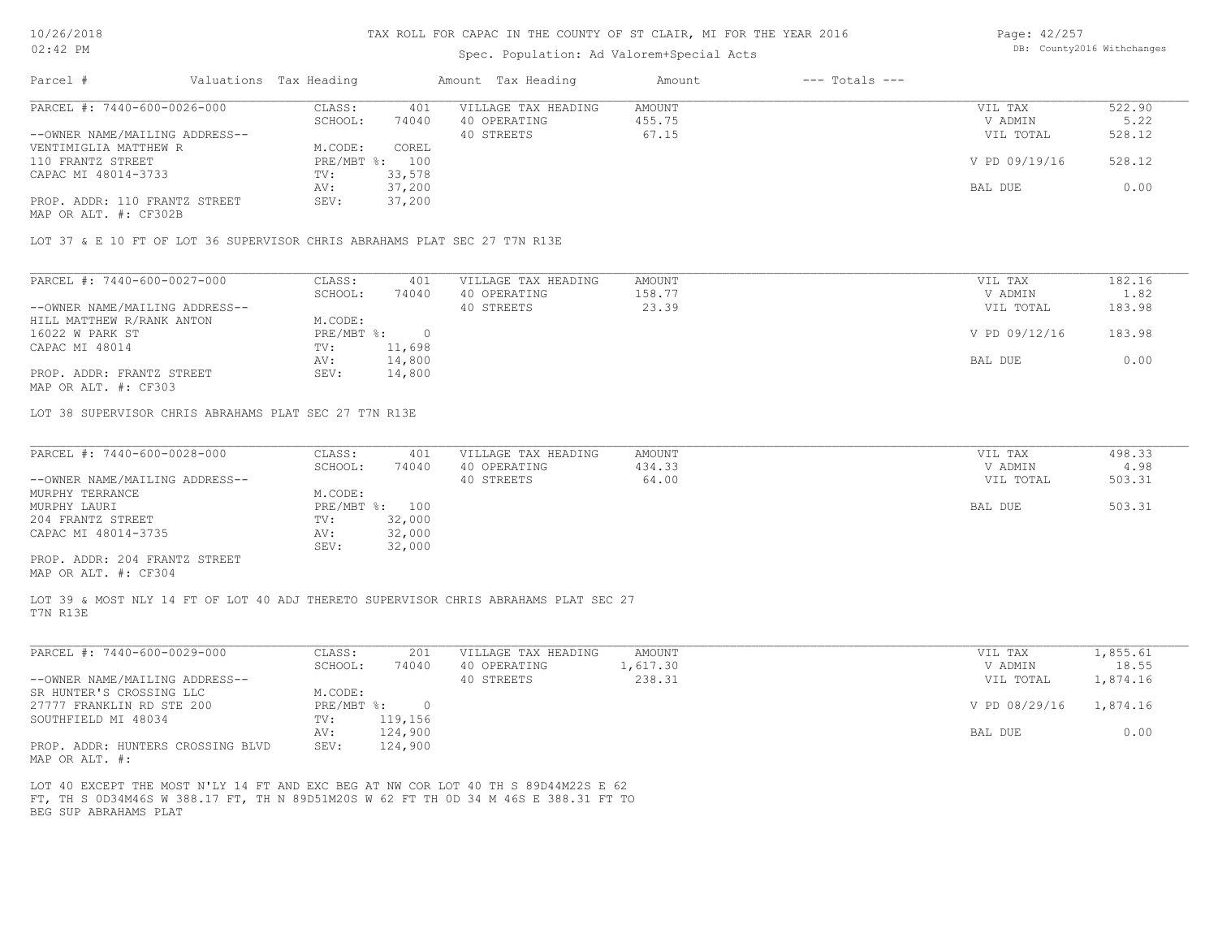# Spec. Population: Ad Valorem+Special Acts

Page: 42/257 DB: County2016 Withchanges

| Parcel #                       | Valuations Tax Heading |                | Amount Tax Heading  | Amount | $---$ Totals $---$ |               |        |
|--------------------------------|------------------------|----------------|---------------------|--------|--------------------|---------------|--------|
| PARCEL #: 7440-600-0026-000    | CLASS:                 | 401            | VILLAGE TAX HEADING | AMOUNT |                    | VIL TAX       | 522.90 |
|                                | SCHOOL:                | 74040          | 40 OPERATING        | 455.75 |                    | V ADMIN       | 5.22   |
| --OWNER NAME/MAILING ADDRESS-- |                        |                | 40 STREETS          | 67.15  |                    | VIL TOTAL     | 528.12 |
| VENTIMIGLIA MATTHEW R          | M.CODE:                | COREL          |                     |        |                    |               |        |
| 110 FRANTZ STREET              |                        | PRE/MBT %: 100 |                     |        |                    | V PD 09/19/16 | 528.12 |
| CAPAC MI 48014-3733            | TV:                    | 33,578         |                     |        |                    |               |        |
|                                | AV:                    | 37,200         |                     |        |                    | BAL DUE       | 0.00   |
| PROP. ADDR: 110 FRANTZ STREET  | SEV:                   | 37,200         |                     |        |                    |               |        |
| MAP OR ALT. #: CF302B          |                        |                |                     |        |                    |               |        |
|                                |                        |                |                     |        |                    |               |        |

LOT 37 & E 10 FT OF LOT 36 SUPERVISOR CHRIS ABRAHAMS PLAT SEC 27 T7N R13E

| PARCEL #: 7440-600-0027-000    | CLASS:     | 401    | VILLAGE TAX HEADING | AMOUNT | VIL TAX       | 182.16 |
|--------------------------------|------------|--------|---------------------|--------|---------------|--------|
|                                | SCHOOL:    | 74040  | 40 OPERATING        | 158.77 | V ADMIN       | 1.82   |
| --OWNER NAME/MAILING ADDRESS-- |            |        | 40 STREETS          | 23.39  | VIL TOTAL     | 183.98 |
| HILL MATTHEW R/RANK ANTON      | M.CODE:    |        |                     |        |               |        |
| 16022 W PARK ST                | PRE/MBT %: |        |                     |        | V PD 09/12/16 | 183.98 |
| CAPAC MI 48014                 | TV:        | 11,698 |                     |        |               |        |
|                                | AV:        | 14,800 |                     |        | BAL DUE       | 0.00   |
| PROP. ADDR: FRANTZ STREET      | SEV:       | 14,800 |                     |        |               |        |
|                                |            |        |                     |        |               |        |

MAP OR ALT. #: CF303

LOT 38 SUPERVISOR CHRIS ABRAHAMS PLAT SEC 27 T7N R13E

| PARCEL #: 7440-600-0028-000    | CLASS:         | 401    | VILLAGE TAX HEADING | AMOUNT | VIL TAX   | 498.33 |
|--------------------------------|----------------|--------|---------------------|--------|-----------|--------|
|                                | SCHOOL:        | 74040  | 40 OPERATING        | 434.33 | V ADMIN   | 4.98   |
| --OWNER NAME/MAILING ADDRESS-- |                |        | 40 STREETS          | 64.00  | VIL TOTAL | 503.31 |
| MURPHY TERRANCE                | M.CODE:        |        |                     |        |           |        |
| MURPHY LAURI                   | PRE/MBT %: 100 |        |                     |        | BAL DUE   | 503.31 |
| 204 FRANTZ STREET              | TV:            | 32,000 |                     |        |           |        |
| CAPAC MI 48014-3735            | AV:            | 32,000 |                     |        |           |        |
|                                | SEV:           | 32,000 |                     |        |           |        |
| PROP. ADDR: 204 FRANTZ STREET  |                |        |                     |        |           |        |

MAP OR ALT. #: CF304

T7N R13E LOT 39 & MOST NLY 14 FT OF LOT 40 ADJ THERETO SUPERVISOR CHRIS ABRAHAMS PLAT SEC 27

| PARCEL #: 7440-600-0029-000         | CLASS:     | 201     | VILLAGE TAX HEADING | AMOUNT   | VIL TAX       | 1,855.61 |
|-------------------------------------|------------|---------|---------------------|----------|---------------|----------|
|                                     | SCHOOL:    | 74040   | 40 OPERATING        | 1,617.30 | V ADMIN       | 18.55    |
| --OWNER NAME/MAILING ADDRESS--      |            |         | 40 STREETS          | 238.31   | VIL TOTAL     | 1,874.16 |
| SR HUNTER'S CROSSING LLC            | M.CODE:    |         |                     |          |               |          |
| 27777 FRANKLIN RD STE 200           | PRE/MBT %: |         |                     |          | V PD 08/29/16 | 1,874.16 |
| SOUTHFIELD MI 48034                 | TV:        | 119,156 |                     |          |               |          |
|                                     | AV:        | 124,900 |                     |          | BAL DUE       | 0.00     |
| PROP. ADDR: HUNTERS CROSSING BLVD   | SEV:       | 124,900 |                     |          |               |          |
| $\cdots$ $\cdots$ $\cdots$ $\cdots$ |            |         |                     |          |               |          |

MAP OR ALT. #:

BEG SUP ABRAHAMS PLAT FT, TH S 0D34M46S W 388.17 FT, TH N 89D51M20S W 62 FT TH 0D 34 M 46S E 388.31 FT TO LOT 40 EXCEPT THE MOST N'LY 14 FT AND EXC BEG AT NW COR LOT 40 TH S 89D44M22S E 62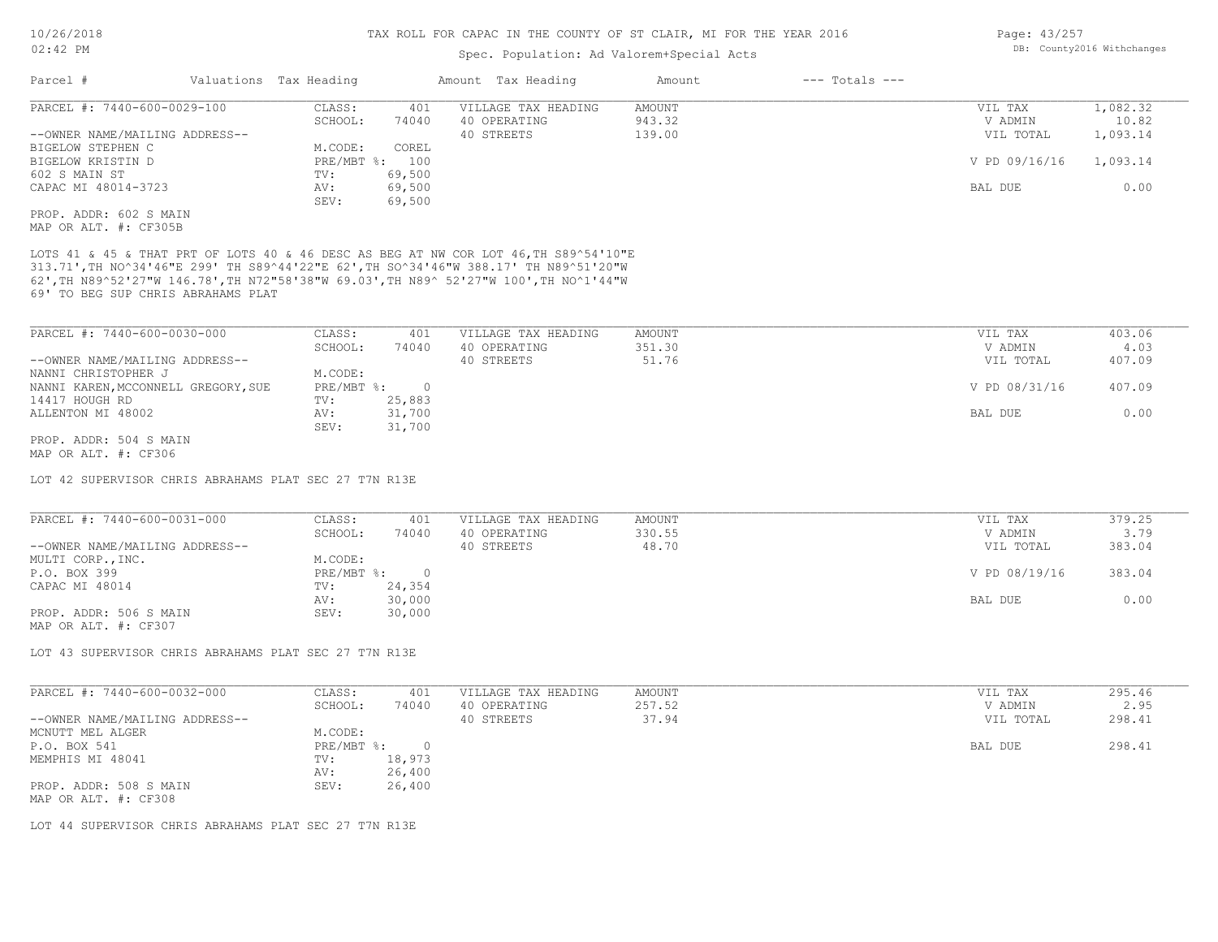# Spec. Population: Ad Valorem+Special Acts

CAPAC MI 48014-3723 AV: 69,500 AV: 69,500 BAL DUE 0.00

| Parcel #                       | Valuations Tax Heading |        | Amount Tax Heading  | Amount | $---$ Totals $---$ |               |          |
|--------------------------------|------------------------|--------|---------------------|--------|--------------------|---------------|----------|
| PARCEL #: 7440-600-0029-100    | CLASS:                 | 401    | VILLAGE TAX HEADING | AMOUNT |                    | VIL TAX       | 1,082.32 |
|                                | SCHOOL:                | 74040  | 40 OPERATING        | 943.32 |                    | V ADMIN       | 10.82    |
| --OWNER NAME/MAILING ADDRESS-- |                        |        | 40 STREETS          | 139.00 |                    | VIL TOTAL     | 1,093.14 |
| BIGELOW STEPHEN C              | M.CODE:                | COREL  |                     |        |                    |               |          |
| BIGELOW KRISTIN D              | PRE/MBT %: 100         |        |                     |        |                    | V PD 09/16/16 | 1,093.14 |
| 602 S MAIN ST                  | TV:                    | 69,500 |                     |        |                    |               |          |

MAP OR ALT. #: CF305B PROP. ADDR: 602 S MAIN

69' TO BEG SUP CHRIS ABRAHAMS PLAT 62',TH N89^52'27"W 146.78',TH N72"58'38"W 69.03',TH N89^ 52'27"W 100',TH NO^1'44"W 313.71',TH NO^34'46"E 299' TH S89^44'22"E 62',TH SO^34'46"W 388.17' TH N89^51'20"W LOTS 41 & 45 & THAT PRT OF LOTS 40 & 46 DESC AS BEG AT NW COR LOT 46,TH S89^54'10"E

SEV: 69,500

| PARCEL #: 7440-600-0030-000         | CLASS:       | 401    | VILLAGE TAX HEADING | AMOUNT | VIL TAX       | 403.06 |
|-------------------------------------|--------------|--------|---------------------|--------|---------------|--------|
|                                     | SCHOOL:      | 74040  | 40 OPERATING        | 351.30 | V ADMIN       | 4.03   |
| --OWNER NAME/MAILING ADDRESS--      |              |        | 40 STREETS          | 51.76  | VIL TOTAL     | 407.09 |
| NANNI CHRISTOPHER J                 | M.CODE:      |        |                     |        |               |        |
| NANNI KAREN, MCCONNELL GREGORY, SUE | $PRE/MBT$ %: |        |                     |        | V PD 08/31/16 | 407.09 |
| 14417 HOUGH RD                      | TV:          | 25,883 |                     |        |               |        |
| ALLENTON MI 48002                   | AV:          | 31,700 |                     |        | BAL DUE       | 0.00   |
|                                     | SEV:         | 31,700 |                     |        |               |        |
| PROP. ADDR: 504 S MAIN              |              |        |                     |        |               |        |

MAP OR ALT. #: CF306

LOT 42 SUPERVISOR CHRIS ABRAHAMS PLAT SEC 27 T7N R13E

| PARCEL #: 7440-600-0031-000    | CLASS:     | 401    | VILLAGE TAX HEADING | AMOUNT | VIL TAX       | 379.25 |
|--------------------------------|------------|--------|---------------------|--------|---------------|--------|
|                                | SCHOOL:    | 74040  | 40 OPERATING        | 330.55 | V ADMIN       | 3.79   |
| --OWNER NAME/MAILING ADDRESS-- |            |        | 40 STREETS          | 48.70  | VIL TOTAL     | 383.04 |
| MULTI CORP., INC.              | M.CODE:    |        |                     |        |               |        |
| P.O. BOX 399                   | PRE/MBT %: |        |                     |        | V PD 08/19/16 | 383.04 |
| CAPAC MI 48014                 | TV:        | 24,354 |                     |        |               |        |
|                                | AV:        | 30,000 |                     |        | BAL DUE       | 0.00   |
| PROP. ADDR: 506 S MAIN         | SEV:       | 30,000 |                     |        |               |        |
| MAP OR ALT. #: CF307           |            |        |                     |        |               |        |

LOT 43 SUPERVISOR CHRIS ABRAHAMS PLAT SEC 27 T7N R13E

| PARCEL #: 7440-600-0032-000                    | CLASS:     | 401    | VILLAGE TAX HEADING | AMOUNT | VIL TAX   | 295.46 |
|------------------------------------------------|------------|--------|---------------------|--------|-----------|--------|
|                                                | SCHOOL:    | 74040  | 40 OPERATING        | 257.52 | V ADMIN   | 2.95   |
| --OWNER NAME/MAILING ADDRESS--                 |            |        | 40 STREETS          | 37.94  | VIL TOTAL | 298.41 |
| MCNUTT MEL ALGER                               | M.CODE:    |        |                     |        |           |        |
| P.O. BOX 541                                   | PRE/MBT %: |        |                     |        | BAL DUE   | 298.41 |
| MEMPHIS MI 48041                               | TV:        | 18,973 |                     |        |           |        |
|                                                | AV:        | 26,400 |                     |        |           |        |
| PROP. ADDR: 508 S MAIN<br>MAP OR ALT. #: CF308 | SEV:       | 26,400 |                     |        |           |        |

LOT 44 SUPERVISOR CHRIS ABRAHAMS PLAT SEC 27 T7N R13E

Page: 43/257 DB: County2016 Withchanges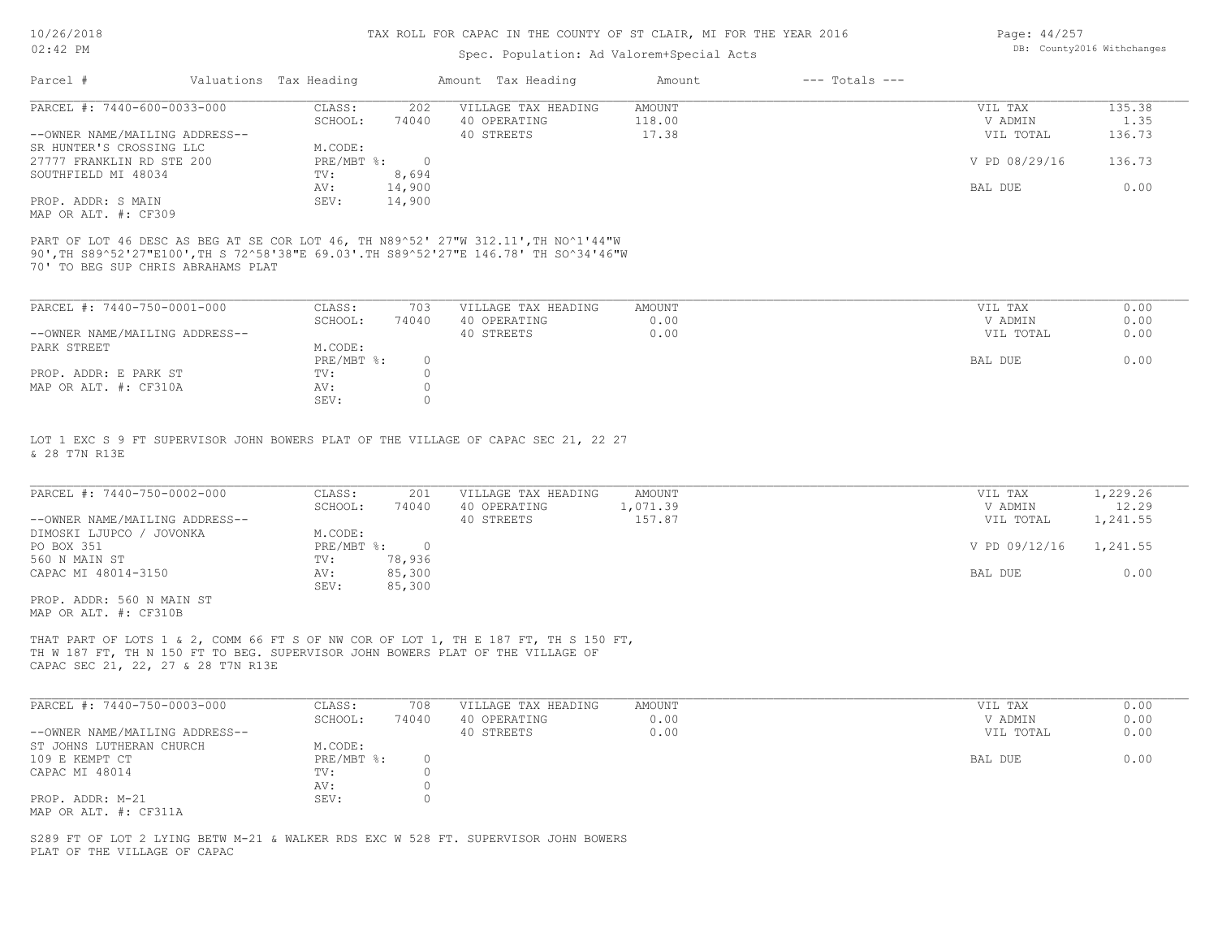# Spec. Population: Ad Valorem+Special Acts

| Page: 44/257 |                            |
|--------------|----------------------------|
|              | DB: County2016 Withchanges |

| Parcel #                       | Valuations Tax Heading |        | Amount Tax Heading  | Amount | $---$ Totals $---$ |               |        |
|--------------------------------|------------------------|--------|---------------------|--------|--------------------|---------------|--------|
| PARCEL #: 7440-600-0033-000    | CLASS:                 | 202    | VILLAGE TAX HEADING | AMOUNT |                    | VIL TAX       | 135.38 |
|                                | SCHOOL:                | 74040  | 40 OPERATING        | 118.00 |                    | V ADMIN       | 1.35   |
| --OWNER NAME/MAILING ADDRESS-- |                        |        | 40 STREETS          | 17.38  |                    | VIL TOTAL     | 136.73 |
| SR HUNTER'S CROSSING LLC       | M.CODE:                |        |                     |        |                    |               |        |
| 27777 FRANKLIN RD STE 200      | PRE/MBT %:             |        |                     |        |                    | V PD 08/29/16 | 136.73 |
| SOUTHFIELD MI 48034            | TV:                    | 8,694  |                     |        |                    |               |        |
|                                | AV:                    | 14,900 |                     |        |                    | BAL DUE       | 0.00   |
| PROP. ADDR: S MAIN             | SEV:                   | 14,900 |                     |        |                    |               |        |
| MAP OR ALT. #: CF309           |                        |        |                     |        |                    |               |        |

90',TH S89^52'27"E100',TH S 72^58'38"E 69.03'.TH S89^52'27"E 146.78' TH SO^34'46"W PART OF LOT 46 DESC AS BEG AT SE COR LOT 46, TH N89^52' 27"W 312.11',TH NO^1'44"W

70' TO BEG SUP CHRIS ABRAHAMS PLAT

| PARCEL #: 7440-750-0001-000    | CLASS:     | 703   | VILLAGE TAX HEADING | AMOUNT | VIL TAX   | 0.00 |
|--------------------------------|------------|-------|---------------------|--------|-----------|------|
|                                | SCHOOL:    | 74040 | 40 OPERATING        | 0.00   | V ADMIN   | 0.00 |
| --OWNER NAME/MAILING ADDRESS-- |            |       | 40 STREETS          | 0.00   | VIL TOTAL | 0.00 |
| PARK STREET                    | M.CODE:    |       |                     |        |           |      |
|                                | PRE/MBT %: |       |                     |        | BAL DUE   | 0.00 |
| PROP. ADDR: E PARK ST          | TV:        |       |                     |        |           |      |
| MAP OR ALT. #: CF310A          | AV:        |       |                     |        |           |      |
|                                | SEV:       |       |                     |        |           |      |

& 28 T7N R13E LOT 1 EXC S 9 FT SUPERVISOR JOHN BOWERS PLAT OF THE VILLAGE OF CAPAC SEC 21, 22 27

| PARCEL #: 7440-750-0002-000    | CLASS:     | 201    | VILLAGE TAX HEADING | AMOUNT   | VIL TAX       | 1,229.26 |
|--------------------------------|------------|--------|---------------------|----------|---------------|----------|
|                                | SCHOOL:    | 74040  | 40 OPERATING        | 1,071.39 | V ADMIN       | 12.29    |
| --OWNER NAME/MAILING ADDRESS-- |            |        | 40 STREETS          | 157.87   | VIL TOTAL     | 1,241.55 |
| DIMOSKI LJUPCO / JOVONKA       | M.CODE:    |        |                     |          |               |          |
| PO BOX 351                     | PRE/MBT %: |        |                     |          | V PD 09/12/16 | 1,241.55 |
| 560 N MAIN ST                  | TV:        | 78,936 |                     |          |               |          |
| CAPAC MI 48014-3150            | AV:        | 85,300 |                     |          | BAL DUE       | 0.00     |
|                                | SEV:       | 85,300 |                     |          |               |          |
| PROP. ADDR: 560 N MAIN ST      |            |        |                     |          |               |          |

MAP OR ALT. #: CF310B

CAPAC SEC 21, 22, 27 & 28 T7N R13E TH W 187 FT, TH N 150 FT TO BEG. SUPERVISOR JOHN BOWERS PLAT OF THE VILLAGE OF THAT PART OF LOTS 1 & 2, COMM 66 FT S OF NW COR OF LOT 1, TH E 187 FT, TH S 150 FT,

| PARCEL #: 7440-750-0003-000    | CLASS:       | 708   | VILLAGE TAX HEADING | AMOUNT | VIL TAX   | 0.00 |
|--------------------------------|--------------|-------|---------------------|--------|-----------|------|
|                                | SCHOOL:      | 74040 | 40 OPERATING        | 0.00   | V ADMIN   | 0.00 |
| --OWNER NAME/MAILING ADDRESS-- |              |       | 40 STREETS          | 0.00   | VIL TOTAL | 0.00 |
| ST JOHNS LUTHERAN CHURCH       | M.CODE:      |       |                     |        |           |      |
| 109 E KEMPT CT                 | $PRE/MBT$ %: |       |                     |        | BAL DUE   | 0.00 |
| CAPAC MI 48014                 | TV:          |       |                     |        |           |      |
|                                | AV:          |       |                     |        |           |      |
| PROP. ADDR: M-21               | SEV:         |       |                     |        |           |      |
| MAP OR ALT. #: CF311A          |              |       |                     |        |           |      |

PLAT OF THE VILLAGE OF CAPAC S289 FT OF LOT 2 LYING BETW M-21 & WALKER RDS EXC W 528 FT. SUPERVISOR JOHN BOWERS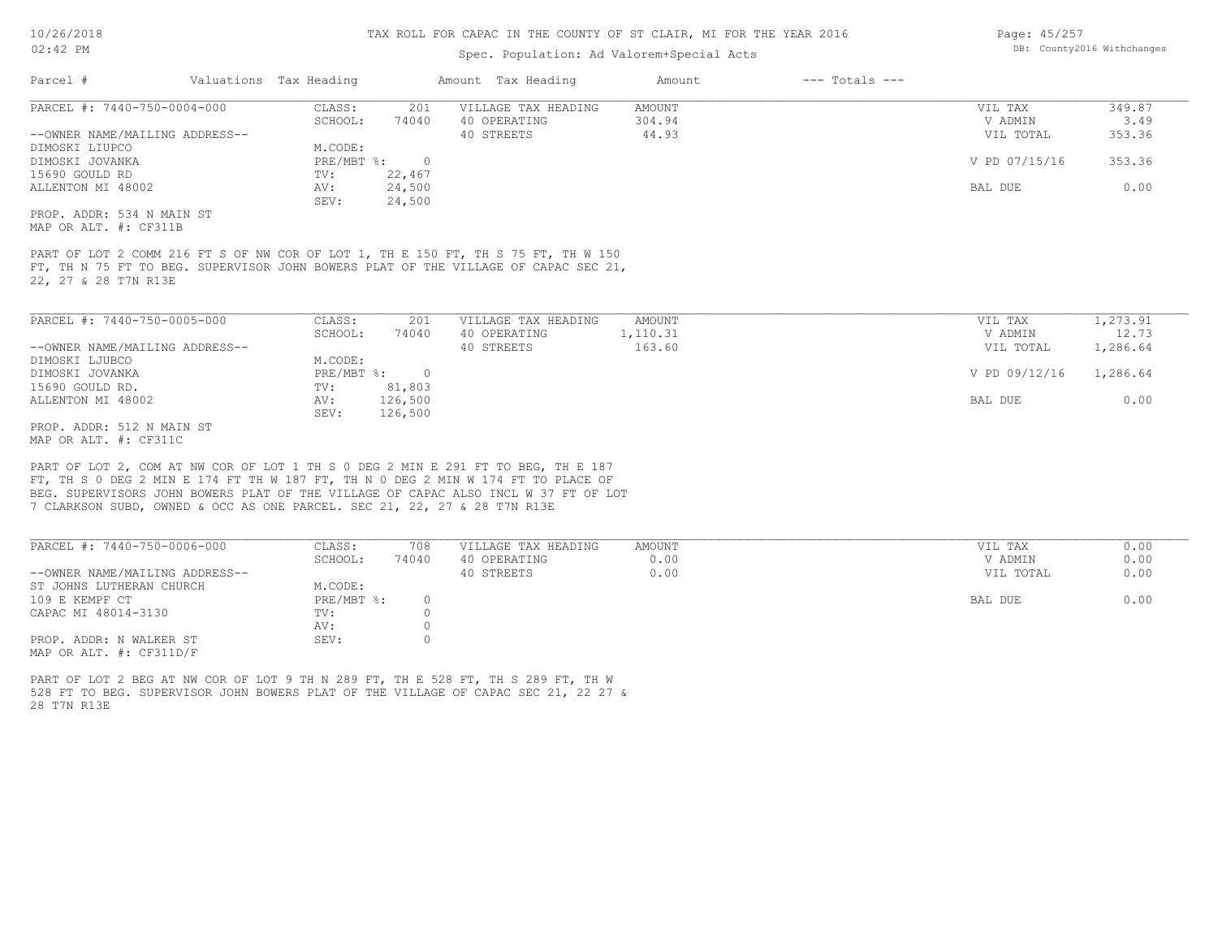# Spec. Population: Ad Valorem+Special Acts

| Page: 45/257 |                            |
|--------------|----------------------------|
|              | DB: County2016 Withchanges |

| Parcel #                       | Valuations Tax Heading |        | Amount Tax Heading  | Amount | $---$ Totals $---$ |               |        |
|--------------------------------|------------------------|--------|---------------------|--------|--------------------|---------------|--------|
| PARCEL #: 7440-750-0004-000    | CLASS:                 | 201    | VILLAGE TAX HEADING | AMOUNT |                    | VIL TAX       | 349.87 |
|                                | SCHOOL:                | 74040  | 40 OPERATING        | 304.94 |                    | V ADMIN       | 3.49   |
| --OWNER NAME/MAILING ADDRESS-- |                        |        | 40 STREETS          | 44.93  |                    | VIL TOTAL     | 353.36 |
| DIMOSKI LIUPCO                 | M.CODE:                |        |                     |        |                    |               |        |
| DIMOSKI JOVANKA                | PRE/MBT %:             |        |                     |        |                    | V PD 07/15/16 | 353.36 |
| 15690 GOULD RD                 | TV:                    | 22,467 |                     |        |                    |               |        |
| ALLENTON MI 48002              | AV:                    | 24,500 |                     |        |                    | BAL DUE       | 0.00   |
|                                | SEV:                   | 24,500 |                     |        |                    |               |        |
| PROP. ADDR: 534 N MAIN ST      |                        |        |                     |        |                    |               |        |
| MAP OR ALT. #: CF311B          |                        |        |                     |        |                    |               |        |

22, 27 & 28 T7N R13E FT, TH N 75 FT TO BEG. SUPERVISOR JOHN BOWERS PLAT OF THE VILLAGE OF CAPAC SEC 21, PART OF LOT 2 COMM 216 FT S OF NW COR OF LOT 1, TH E 150 FT, TH S 75 FT, TH W 150

| PARCEL #: 7440-750-0005-000    | CLASS:     | 201      | VILLAGE TAX HEADING | AMOUNT   | VIL TAX       | 1,273.91 |
|--------------------------------|------------|----------|---------------------|----------|---------------|----------|
|                                | SCHOOL:    | 74040    | 40 OPERATING        | 1,110.31 | V ADMIN       | 12.73    |
| --OWNER NAME/MAILING ADDRESS-- |            |          | 40 STREETS          | 163.60   | VIL TOTAL     | 1,286.64 |
| DIMOSKI LJUBCO                 | M.CODE:    |          |                     |          |               |          |
| DIMOSKI JOVANKA                | PRE/MBT %: | $\Omega$ |                     |          | V PD 09/12/16 | 1,286.64 |
| 15690 GOULD RD.                | TV:        | 81,803   |                     |          |               |          |
| ALLENTON MI 48002              | AV:        | 126,500  |                     |          | BAL DUE       | 0.00     |
|                                | SEV:       | 126,500  |                     |          |               |          |
| PROP. ADDR: 512 N MAIN ST      |            |          |                     |          |               |          |

MAP OR ALT. #: CF311C

7 CLARKSON SUBD, OWNED & OCC AS ONE PARCEL. SEC 21, 22, 27 & 28 T7N R13E BEG. SUPERVISORS JOHN BOWERS PLAT OF THE VILLAGE OF CAPAC ALSO INCL W 37 FT OF LOT FT, TH S 0 DEG 2 MIN E 174 FT TH W 187 FT, TH N 0 DEG 2 MIN W 174 FT TO PLACE OF PART OF LOT 2, COM AT NW COR OF LOT 1 TH S 0 DEG 2 MIN E 291 FT TO BEG, TH E 187

| PARCEL #: 7440-750-0006-000    | CLASS:     | 708   | VILLAGE TAX HEADING | AMOUNT | VIL TAX<br>0.00   |
|--------------------------------|------------|-------|---------------------|--------|-------------------|
|                                | SCHOOL:    | 74040 | 40 OPERATING        | 0.00   | 0.00<br>V ADMIN   |
| --OWNER NAME/MAILING ADDRESS-- |            |       | 40 STREETS          | 0.00   | 0.00<br>VIL TOTAL |
| ST JOHNS LUTHERAN CHURCH       | M.CODE:    |       |                     |        |                   |
| 109 E KEMPF CT                 | PRE/MBT %: |       |                     |        | 0.00<br>BAL DUE   |
| CAPAC MI 48014-3130            | TV:        |       |                     |        |                   |
|                                | AV:        |       |                     |        |                   |
| PROP. ADDR: N WALKER ST        | SEV:       |       |                     |        |                   |
| MAP OR ALT. $\#$ : CF311D/F    |            |       |                     |        |                   |

28 T7N R13E 528 FT TO BEG. SUPERVISOR JOHN BOWERS PLAT OF THE VILLAGE OF CAPAC SEC 21, 22 27 & PART OF LOT 2 BEG AT NW COR OF LOT 9 TH N 289 FT, TH E 528 FT, TH S 289 FT, TH W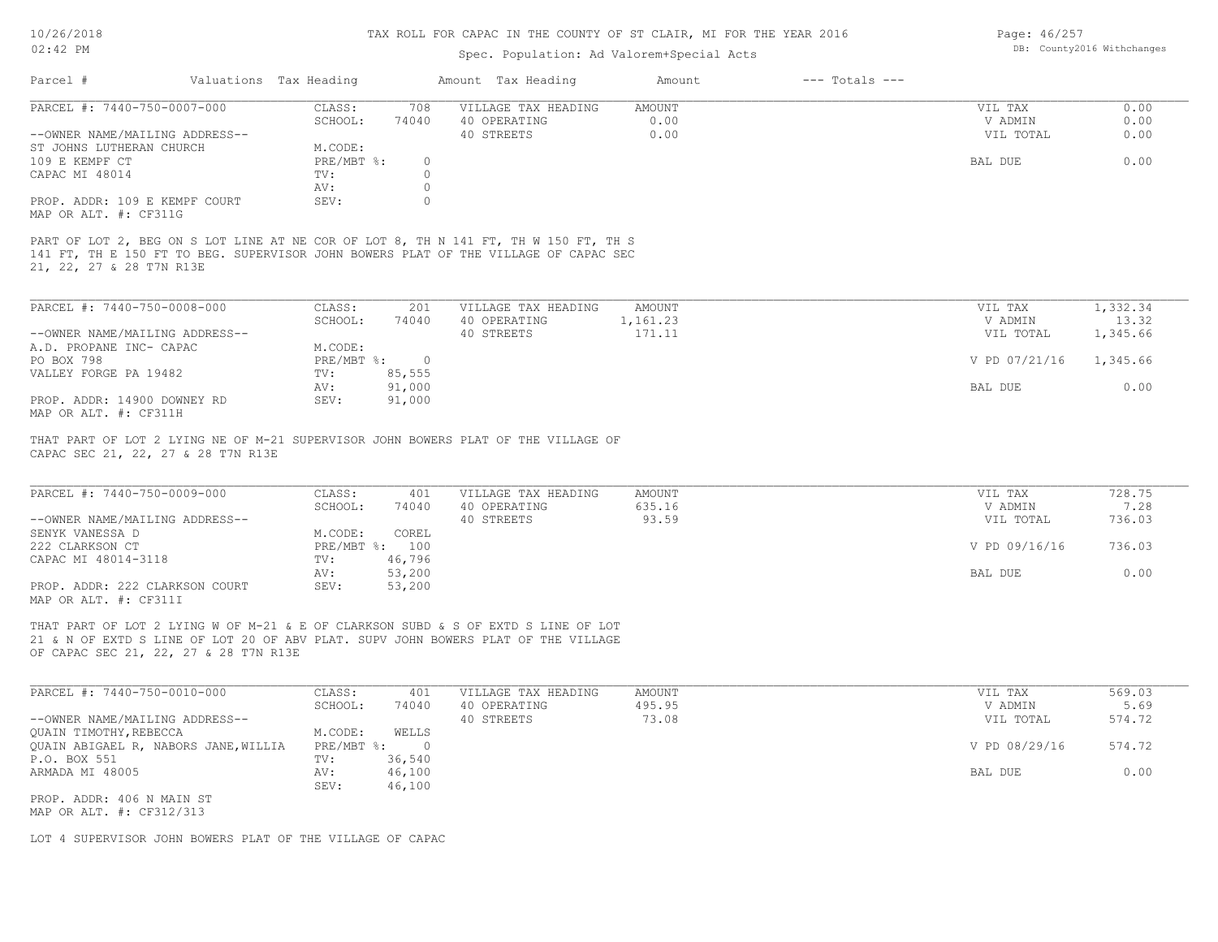# 10/26/2018

# TAX ROLL FOR CAPAC IN THE COUNTY OF ST CLAIR, MI FOR THE YEAR 2016

Page: 46/257

| $02:42$ PM                                                                                                              |                              |                     | Spec. Population: Ad Valorem+Special Acts |                    |               |          |
|-------------------------------------------------------------------------------------------------------------------------|------------------------------|---------------------|-------------------------------------------|--------------------|---------------|----------|
| Parcel #                                                                                                                | Valuations Tax Heading       | Amount Tax Heading  | Amount                                    | $---$ Totals $---$ |               |          |
| PARCEL #: 7440-750-0007-000                                                                                             | CLASS:<br>708                | VILLAGE TAX HEADING | AMOUNT                                    |                    | VIL TAX       | 0.00     |
|                                                                                                                         | 74040<br>SCHOOL:             | 40 OPERATING        | 0.00                                      |                    | V ADMIN       | 0.00     |
| --OWNER NAME/MAILING ADDRESS--                                                                                          |                              | 40 STREETS          | 0.00                                      |                    | VIL TOTAL     | 0.00     |
| ST JOHNS LUTHERAN CHURCH                                                                                                | M.CODE:                      |                     |                                           |                    |               |          |
| 109 E KEMPF CT                                                                                                          | PRE/MBT %:<br>$\circ$        |                     |                                           |                    | BAL DUE       | 0.00     |
| CAPAC MI 48014                                                                                                          | $\circ$<br>TV:               |                     |                                           |                    |               |          |
|                                                                                                                         | $\circ$<br>AV:               |                     |                                           |                    |               |          |
| PROP. ADDR: 109 E KEMPF COURT<br>MAP OR ALT. #: CF311G                                                                  | SEV:<br>$\circ$              |                     |                                           |                    |               |          |
| 141 FT, TH E 150 FT TO BEG. SUPERVISOR JOHN BOWERS PLAT OF THE VILLAGE OF CAPAC SEC<br>21, 22, 27 & 28 T7N R13E         |                              |                     |                                           |                    |               |          |
| PARCEL #: 7440-750-0008-000                                                                                             | CLASS:<br>201                | VILLAGE TAX HEADING | AMOUNT                                    |                    | VIL TAX       | 1,332.34 |
|                                                                                                                         | SCHOOL:<br>74040             | 40 OPERATING        | 1,161.23                                  |                    | V ADMIN       | 13.32    |
| --OWNER NAME/MAILING ADDRESS--                                                                                          |                              | 40 STREETS          | 171.11                                    |                    | VIL TOTAL     | 1,345.66 |
| A.D. PROPANE INC- CAPAC                                                                                                 | M.CODE:                      |                     |                                           |                    |               |          |
| PO BOX 798                                                                                                              | PRE/MBT %:<br>$\overline{0}$ |                     |                                           |                    | V PD 07/21/16 | 1,345.66 |
| VALLEY FORGE PA 19482                                                                                                   | 85,555<br>TV:                |                     |                                           |                    |               |          |
|                                                                                                                         | 91,000<br>AV:                |                     |                                           |                    | BAL DUE       | 0.00     |
| PROP. ADDR: 14900 DOWNEY RD                                                                                             | SEV:<br>91,000               |                     |                                           |                    |               |          |
| MAP OR ALT. #: CF311H                                                                                                   |                              |                     |                                           |                    |               |          |
| THAT PART OF LOT 2 LYING NE OF M-21 SUPERVISOR JOHN BOWERS PLAT OF THE VILLAGE OF<br>CAPAC SEC 21, 22, 27 & 28 T7N R13E |                              |                     |                                           |                    |               |          |
|                                                                                                                         |                              |                     |                                           |                    |               |          |
| PARCEL #: 7440-750-0009-000                                                                                             | CLASS:<br>401                | VILLAGE TAX HEADING | AMOUNT                                    |                    | VIL TAX       | 728.75   |
|                                                                                                                         | SCHOOL:<br>74040             | 40 OPERATING        | 635.16                                    |                    | V ADMIN       | 7.28     |
| --OWNER NAME/MAILING ADDRESS--                                                                                          |                              | 40 STREETS          | 93.59                                     |                    | VIL TOTAL     | 736.03   |
| SENYK VANESSA D                                                                                                         | M.CODE:<br>COREL             |                     |                                           |                    |               |          |
| 222 CLARKSON CT                                                                                                         | PRE/MBT %: 100               |                     |                                           |                    | V PD 09/16/16 | 736.03   |
| CAPAC MI 48014-3118                                                                                                     | 46,796<br>TV:                |                     |                                           |                    |               |          |
|                                                                                                                         | 53,200<br>AV:                |                     |                                           |                    | BAL DUE       | 0.00     |
| PROP. ADDR: 222 CLARKSON COURT                                                                                          | 53,200<br>SEV:               |                     |                                           |                    |               |          |
| MAP OR ALT. #: CF311I                                                                                                   |                              |                     |                                           |                    |               |          |
| THAT PART OF LOT 2 LYING W OF M-21 & E OF CLARKSON SUBD & S OF EXTD S LINE OF LOT                                       |                              |                     |                                           |                    |               |          |

OF CAPAC SEC 21, 22, 27 & 28 T7N R13E 21 & N OF EXTD S LINE OF LOT 20 OF ABV PLAT. SUPV JOHN BOWERS PLAT OF THE VILLAGE

| PARCEL #: 7440-750-0010-000          | CLASS:     | 401    | VILLAGE TAX HEADING | AMOUNT | VIL TAX       | 569.03 |
|--------------------------------------|------------|--------|---------------------|--------|---------------|--------|
|                                      | SCHOOL:    | 74040  | 40 OPERATING        | 495.95 | V ADMIN       | 5.69   |
| --OWNER NAME/MAILING ADDRESS--       |            |        | 40 STREETS          | 73.08  | VIL TOTAL     | 574.72 |
| QUAIN TIMOTHY, REBECCA               | M.CODE:    | WELLS  |                     |        |               |        |
| QUAIN ABIGAEL R, NABORS JANE, WILLIA | PRE/MBT %: |        |                     |        | V PD 08/29/16 | 574.72 |
| P.O. BOX 551                         | TV:        | 36,540 |                     |        |               |        |
| ARMADA MI 48005                      | AV:        | 46,100 |                     |        | BAL DUE       | 0.00   |
|                                      | SEV:       | 46,100 |                     |        |               |        |
| PROP. ADDR: 406 N MAIN ST            |            |        |                     |        |               |        |
|                                      |            |        |                     |        |               |        |

MAP OR ALT. #: CF312/313

LOT 4 SUPERVISOR JOHN BOWERS PLAT OF THE VILLAGE OF CAPAC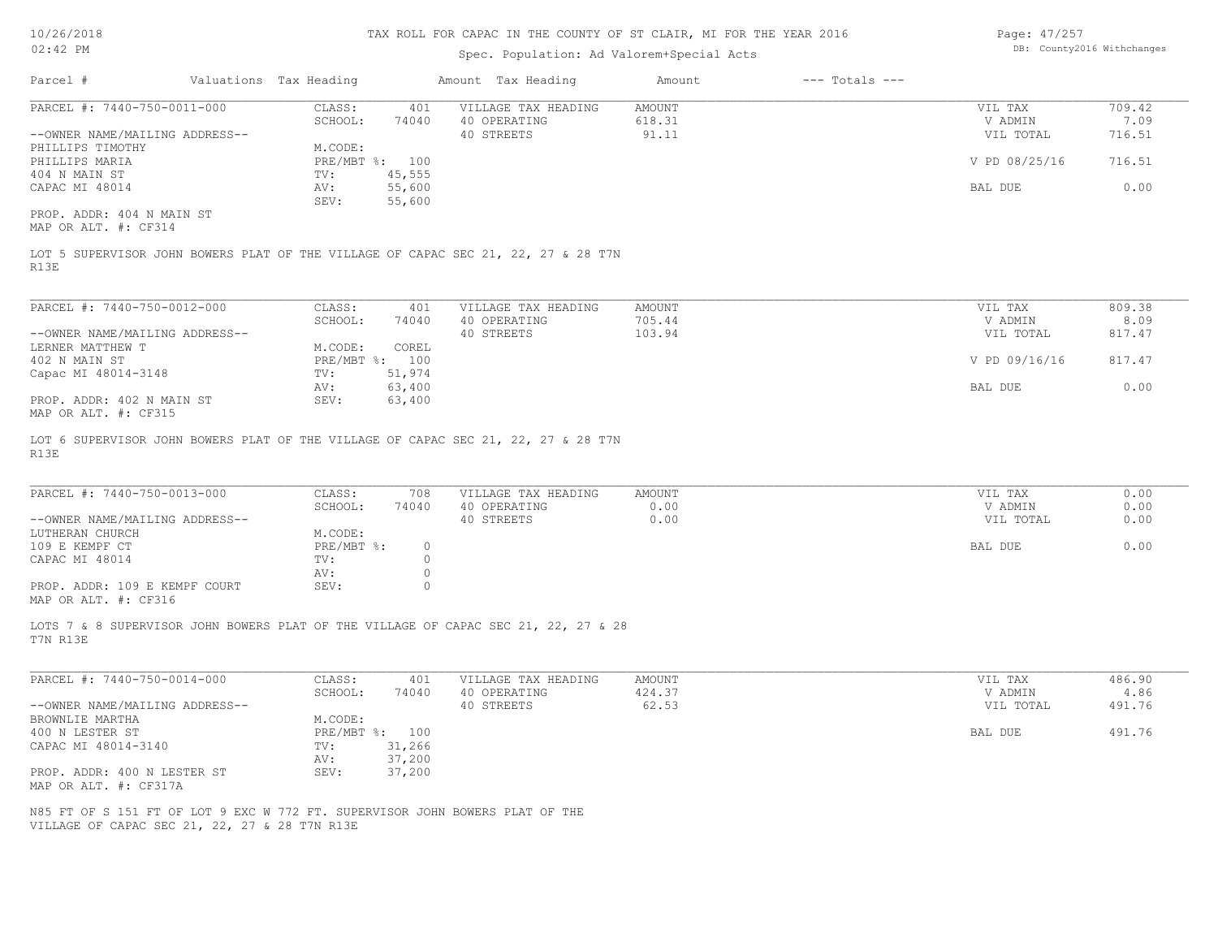# Spec. Population: Ad Valorem+Special Acts

Page: 47/257 DB: County2016 Withchanges

| Parcel #                       | Valuations Tax Heading |                | Amount Tax Heading                                                                | Amount | $---$ Totals $---$ |               |        |
|--------------------------------|------------------------|----------------|-----------------------------------------------------------------------------------|--------|--------------------|---------------|--------|
| PARCEL #: 7440-750-0011-000    | CLASS:                 | 401            | VILLAGE TAX HEADING                                                               | AMOUNT |                    | VIL TAX       | 709.42 |
|                                | SCHOOL:                | 74040          | 40 OPERATING                                                                      | 618.31 |                    | V ADMIN       | 7.09   |
| --OWNER NAME/MAILING ADDRESS-- |                        |                | 40 STREETS                                                                        | 91.11  |                    | VIL TOTAL     | 716.51 |
| PHILLIPS TIMOTHY               | M.CODE:                |                |                                                                                   |        |                    |               |        |
| PHILLIPS MARIA                 |                        | PRE/MBT %: 100 |                                                                                   |        |                    | V PD 08/25/16 | 716.51 |
| 404 N MAIN ST                  | TV:                    | 45,555         |                                                                                   |        |                    |               |        |
| CAPAC MI 48014                 | AV:                    | 55,600         |                                                                                   |        |                    | BAL DUE       | 0.00   |
|                                | SEV:                   | 55,600         |                                                                                   |        |                    |               |        |
| PROP. ADDR: 404 N MAIN ST      |                        |                |                                                                                   |        |                    |               |        |
| MAP OR ALT. #: CF314           |                        |                |                                                                                   |        |                    |               |        |
| R13E                           |                        |                | LOT 5 SUPERVISOR JOHN BOWERS PLAT OF THE VILLAGE OF CAPAC SEC 21, 22, 27 & 28 T7N |        |                    |               |        |
|                                |                        |                |                                                                                   |        |                    |               |        |

| PARCEL #: 7440-750-0012-000    | CLASS:       | 401    | VILLAGE TAX HEADING | AMOUNT | VIL TAX       | 809.38 |  |
|--------------------------------|--------------|--------|---------------------|--------|---------------|--------|--|
|                                | SCHOOL:      | 74040  | 40 OPERATING        | 705.44 | V ADMIN       | 8.09   |  |
| --OWNER NAME/MAILING ADDRESS-- |              |        | 40 STREETS          | 103.94 | VIL TOTAL     | 817.47 |  |
| LERNER MATTHEW T               | M.CODE:      | COREL  |                     |        |               |        |  |
| 402 N MAIN ST                  | $PRE/MBT$ %: | 100    |                     |        | V PD 09/16/16 | 817.47 |  |
| Capac MI 48014-3148            | TV:          | 51,974 |                     |        |               |        |  |
|                                | AV:          | 63,400 |                     |        | BAL DUE       | 0.00   |  |
| PROP. ADDR: 402 N MAIN ST      | SEV:         | 63,400 |                     |        |               |        |  |
| MAP OR ALT. #: CF315           |              |        |                     |        |               |        |  |

R13E LOT 6 SUPERVISOR JOHN BOWERS PLAT OF THE VILLAGE OF CAPAC SEC 21, 22, 27 & 28 T7N

| PARCEL #: 7440-750-0013-000    | CLASS:       | 708      | VILLAGE TAX HEADING | AMOUNT | VIL TAX   | 0.00 |
|--------------------------------|--------------|----------|---------------------|--------|-----------|------|
|                                | SCHOOL:      | 74040    | 40 OPERATING        | 0.00   | V ADMIN   | 0.00 |
| --OWNER NAME/MAILING ADDRESS-- |              |          | 40 STREETS          | 0.00   | VIL TOTAL | 0.00 |
| LUTHERAN CHURCH                | M.CODE:      |          |                     |        |           |      |
| 109 E KEMPF CT                 | $PRE/MBT$ %: | $\Omega$ |                     |        | BAL DUE   | 0.00 |
| CAPAC MI 48014                 | TV:          |          |                     |        |           |      |
|                                | AV:          |          |                     |        |           |      |
| PROP. ADDR: 109 E KEMPF COURT  | SEV:         |          |                     |        |           |      |
| MAP OR ALT. #: CF316           |              |          |                     |        |           |      |

 $\_$  , and the state of the state of the state of the state of the state of the state of the state of the state of the state of the state of the state of the state of the state of the state of the state of the state of the

T7N R13E LOTS 7 & 8 SUPERVISOR JOHN BOWERS PLAT OF THE VILLAGE OF CAPAC SEC 21, 22, 27 & 28

| PARCEL #: 7440-750-0014-000    | CLASS:  | 401            | VILLAGE TAX HEADING | AMOUNT | VIL TAX   | 486.90 |
|--------------------------------|---------|----------------|---------------------|--------|-----------|--------|
|                                | SCHOOL: | 74040          | 40 OPERATING        | 424.37 | V ADMIN   | 4.86   |
| --OWNER NAME/MAILING ADDRESS-- |         |                | 40 STREETS          | 62.53  | VIL TOTAL | 491.76 |
| BROWNLIE MARTHA                | M.CODE: |                |                     |        |           |        |
| 400 N LESTER ST                |         | PRE/MBT %: 100 |                     |        | BAL DUE   | 491.76 |
| CAPAC MI 48014-3140            | TV:     | 31,266         |                     |        |           |        |
|                                | AV:     | 37,200         |                     |        |           |        |
| PROP. ADDR: 400 N LESTER ST    | SEV:    | 37,200         |                     |        |           |        |
| MAP OR ALT. #: CF317A          |         |                |                     |        |           |        |

VILLAGE OF CAPAC SEC 21, 22, 27 & 28 T7N R13E N85 FT OF S 151 FT OF LOT 9 EXC W 772 FT. SUPERVISOR JOHN BOWERS PLAT OF THE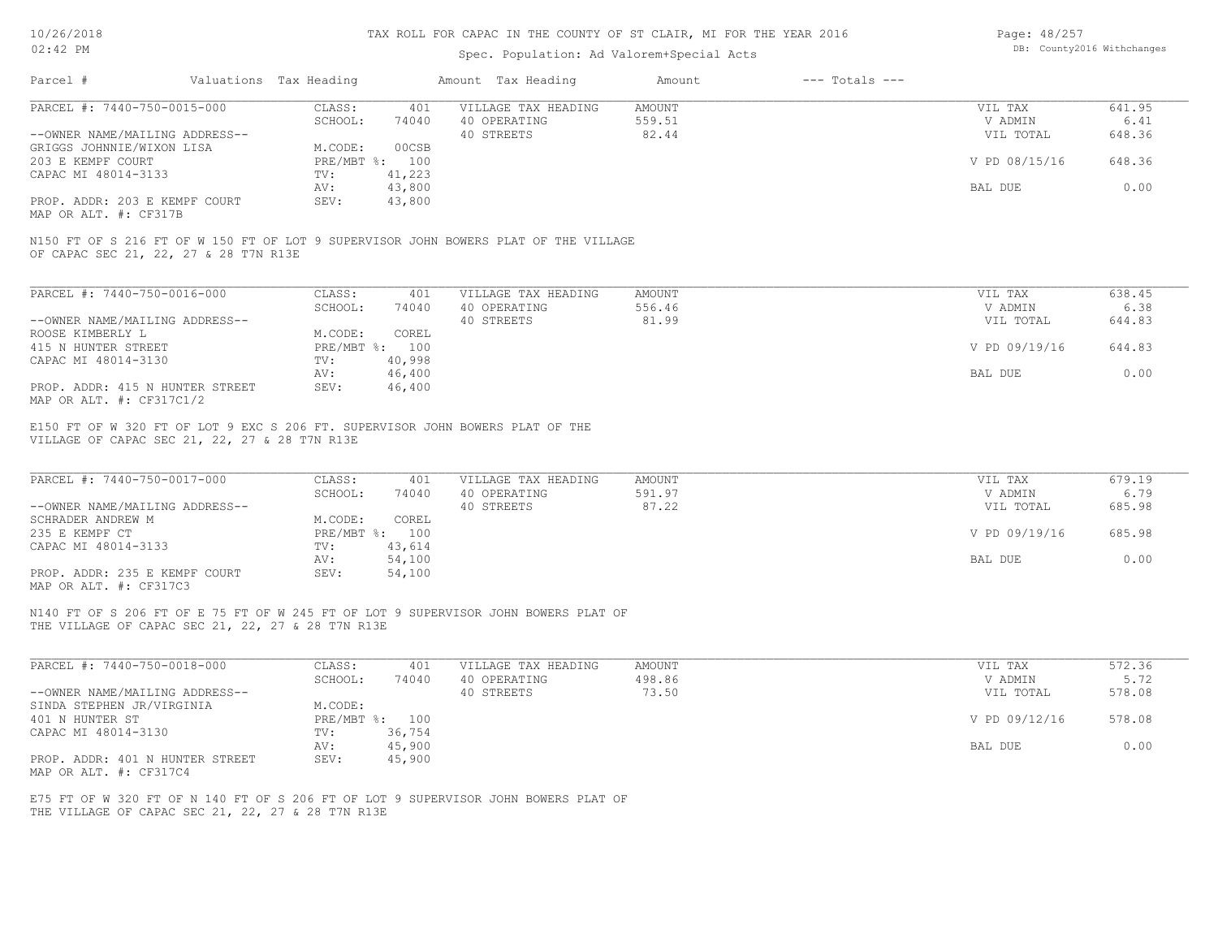# Spec. Population: Ad Valorem+Special Acts

| Page: 48/257 |                            |
|--------------|----------------------------|
|              | DB: County2016 Withchanges |

| Parcel #<br>Valuations Tax Heading                                                                                                                                                                                                                                                                                                                                                                                                                                                              |                                 | Amount Tax Heading  | Amount        | $---$ Totals $---$ |               |        |
|-------------------------------------------------------------------------------------------------------------------------------------------------------------------------------------------------------------------------------------------------------------------------------------------------------------------------------------------------------------------------------------------------------------------------------------------------------------------------------------------------|---------------------------------|---------------------|---------------|--------------------|---------------|--------|
| PARCEL #: 7440-750-0015-000                                                                                                                                                                                                                                                                                                                                                                                                                                                                     | CLASS:<br>401                   | VILLAGE TAX HEADING | <b>AMOUNT</b> |                    | VIL TAX       | 641.95 |
|                                                                                                                                                                                                                                                                                                                                                                                                                                                                                                 | SCHOOL:<br>74040                | 40 OPERATING        | 559.51        |                    | V ADMIN       | 6.41   |
| --OWNER NAME/MAILING ADDRESS--                                                                                                                                                                                                                                                                                                                                                                                                                                                                  |                                 | 40 STREETS          | 82.44         |                    | VIL TOTAL     | 648.36 |
| GRIGGS JOHNNIE/WIXON LISA                                                                                                                                                                                                                                                                                                                                                                                                                                                                       | M.CODE:<br>00CSB                |                     |               |                    |               |        |
| 203 E KEMPF COURT                                                                                                                                                                                                                                                                                                                                                                                                                                                                               | PRE/MBT %: 100                  |                     |               |                    | V PD 08/15/16 | 648.36 |
| CAPAC MI 48014-3133                                                                                                                                                                                                                                                                                                                                                                                                                                                                             | 41,223<br>TV:                   |                     |               |                    |               |        |
|                                                                                                                                                                                                                                                                                                                                                                                                                                                                                                 | 43,800<br>AV:                   |                     |               |                    | BAL DUE       | 0.00   |
| PROP. ADDR: 203 E KEMPF COURT                                                                                                                                                                                                                                                                                                                                                                                                                                                                   | SEV:<br>43,800                  |                     |               |                    |               |        |
| MAP OR ALT. #: CF317B                                                                                                                                                                                                                                                                                                                                                                                                                                                                           |                                 |                     |               |                    |               |        |
| N150 FT OF S 216 FT OF W 150 FT OF LOT 9 SUPERVISOR JOHN BOWERS PLAT OF THE VILLAGE<br>OF CAPAC SEC 21, 22, 27 & 28 T7N R13E                                                                                                                                                                                                                                                                                                                                                                    |                                 |                     |               |                    |               |        |
| PARCEL #: 7440-750-0016-000                                                                                                                                                                                                                                                                                                                                                                                                                                                                     | CLASS:<br>401                   | VILLAGE TAX HEADING | AMOUNT        |                    | VIL TAX       | 638.45 |
|                                                                                                                                                                                                                                                                                                                                                                                                                                                                                                 | SCHOOL:<br>74040                | 40 OPERATING        | 556.46        |                    | V ADMIN       | 6.38   |
| --OWNER NAME/MAILING ADDRESS--                                                                                                                                                                                                                                                                                                                                                                                                                                                                  |                                 | 40 STREETS          | 81.99         |                    | VIL TOTAL     | 644.83 |
| ROOSE KIMBERLY L                                                                                                                                                                                                                                                                                                                                                                                                                                                                                | M.CODE:<br>COREL                |                     |               |                    |               |        |
|                                                                                                                                                                                                                                                                                                                                                                                                                                                                                                 | PRE/MBT %: 100                  |                     |               |                    | V PD 09/19/16 | 644.83 |
| 415 N HUNTER STREET                                                                                                                                                                                                                                                                                                                                                                                                                                                                             |                                 |                     |               |                    |               |        |
| CAPAC MI 48014-3130                                                                                                                                                                                                                                                                                                                                                                                                                                                                             | TV:<br>40,998                   |                     |               |                    |               |        |
|                                                                                                                                                                                                                                                                                                                                                                                                                                                                                                 | 46,400<br>AV:                   |                     |               |                    | BAL DUE       | 0.00   |
| PROP. ADDR: 415 N HUNTER STREET                                                                                                                                                                                                                                                                                                                                                                                                                                                                 | SEV:<br>46,400                  |                     |               |                    |               |        |
|                                                                                                                                                                                                                                                                                                                                                                                                                                                                                                 |                                 |                     |               |                    |               |        |
|                                                                                                                                                                                                                                                                                                                                                                                                                                                                                                 |                                 |                     |               |                    |               |        |
|                                                                                                                                                                                                                                                                                                                                                                                                                                                                                                 | CLASS:<br>401                   | VILLAGE TAX HEADING | AMOUNT        |                    | VIL TAX       | 679.19 |
|                                                                                                                                                                                                                                                                                                                                                                                                                                                                                                 | SCHOOL:<br>74040                | 40 OPERATING        | 591.97        |                    | V ADMIN       | 6.79   |
|                                                                                                                                                                                                                                                                                                                                                                                                                                                                                                 |                                 |                     |               |                    |               |        |
|                                                                                                                                                                                                                                                                                                                                                                                                                                                                                                 |                                 | 40 STREETS          | 87.22         |                    | VIL TOTAL     | 685.98 |
|                                                                                                                                                                                                                                                                                                                                                                                                                                                                                                 | M.CODE:<br>COREL                |                     |               |                    |               |        |
|                                                                                                                                                                                                                                                                                                                                                                                                                                                                                                 | PRE/MBT %: 100                  |                     |               |                    | V PD 09/19/16 | 685.98 |
|                                                                                                                                                                                                                                                                                                                                                                                                                                                                                                 | 43,614<br>TV:                   |                     |               |                    |               |        |
|                                                                                                                                                                                                                                                                                                                                                                                                                                                                                                 | 54,100<br>AV:                   |                     |               |                    | BAL DUE       | 0.00   |
|                                                                                                                                                                                                                                                                                                                                                                                                                                                                                                 | SEV:<br>54,100                  |                     |               |                    |               |        |
| MAP OR ALT. #: CF317C1/2<br>E150 FT OF W 320 FT OF LOT 9 EXC S 206 FT. SUPERVISOR JOHN BOWERS PLAT OF THE<br>VILLAGE OF CAPAC SEC 21, 22, 27 & 28 T7N R13E<br>PARCEL #: 7440-750-0017-000<br>--OWNER NAME/MAILING ADDRESS--<br>SCHRADER ANDREW M<br>235 E KEMPF CT<br>CAPAC MI 48014-3133<br>PROP. ADDR: 235 E KEMPF COURT<br>MAP OR ALT. #: CF317C3<br>N140 FT OF S 206 FT OF E 75 FT OF W 245 FT OF LOT 9 SUPERVISOR JOHN BOWERS PLAT OF<br>THE VILLAGE OF CAPAC SEC 21, 22, 27 & 28 T7N R13E |                                 |                     |               |                    |               |        |
|                                                                                                                                                                                                                                                                                                                                                                                                                                                                                                 | CLASS:<br>401                   | VILLAGE TAX HEADING | <b>AMOUNT</b> |                    | VIL TAX       | 572.36 |
|                                                                                                                                                                                                                                                                                                                                                                                                                                                                                                 | SCHOOL:<br>74040                | 40 OPERATING        | 498.86        |                    | V ADMIN       | 5.72   |
|                                                                                                                                                                                                                                                                                                                                                                                                                                                                                                 |                                 | 40 STREETS          | 73.50         |                    | VIL TOTAL     | 578.08 |
|                                                                                                                                                                                                                                                                                                                                                                                                                                                                                                 | M.CODE:                         |                     |               |                    |               |        |
|                                                                                                                                                                                                                                                                                                                                                                                                                                                                                                 | PRE/MBT %: 100                  |                     |               |                    | V PD 09/12/16 | 578.08 |
|                                                                                                                                                                                                                                                                                                                                                                                                                                                                                                 |                                 |                     |               |                    |               |        |
| PARCEL #: 7440-750-0018-000                                                                                                                                                                                                                                                                                                                                                                                                                                                                     | 36,754<br>TV:                   |                     |               |                    |               |        |
| --OWNER NAME/MAILING ADDRESS--<br>SINDA STEPHEN JR/VIRGINIA<br>401 N HUNTER ST<br>CAPAC MI 48014-3130<br>PROP. ADDR: 401 N HUNTER STREET                                                                                                                                                                                                                                                                                                                                                        | 45,900<br>AV:<br>SEV:<br>45,900 |                     |               |                    | BAL DUE       | 0.00   |

THE VILLAGE OF CAPAC SEC 21, 22, 27 & 28 T7N R13E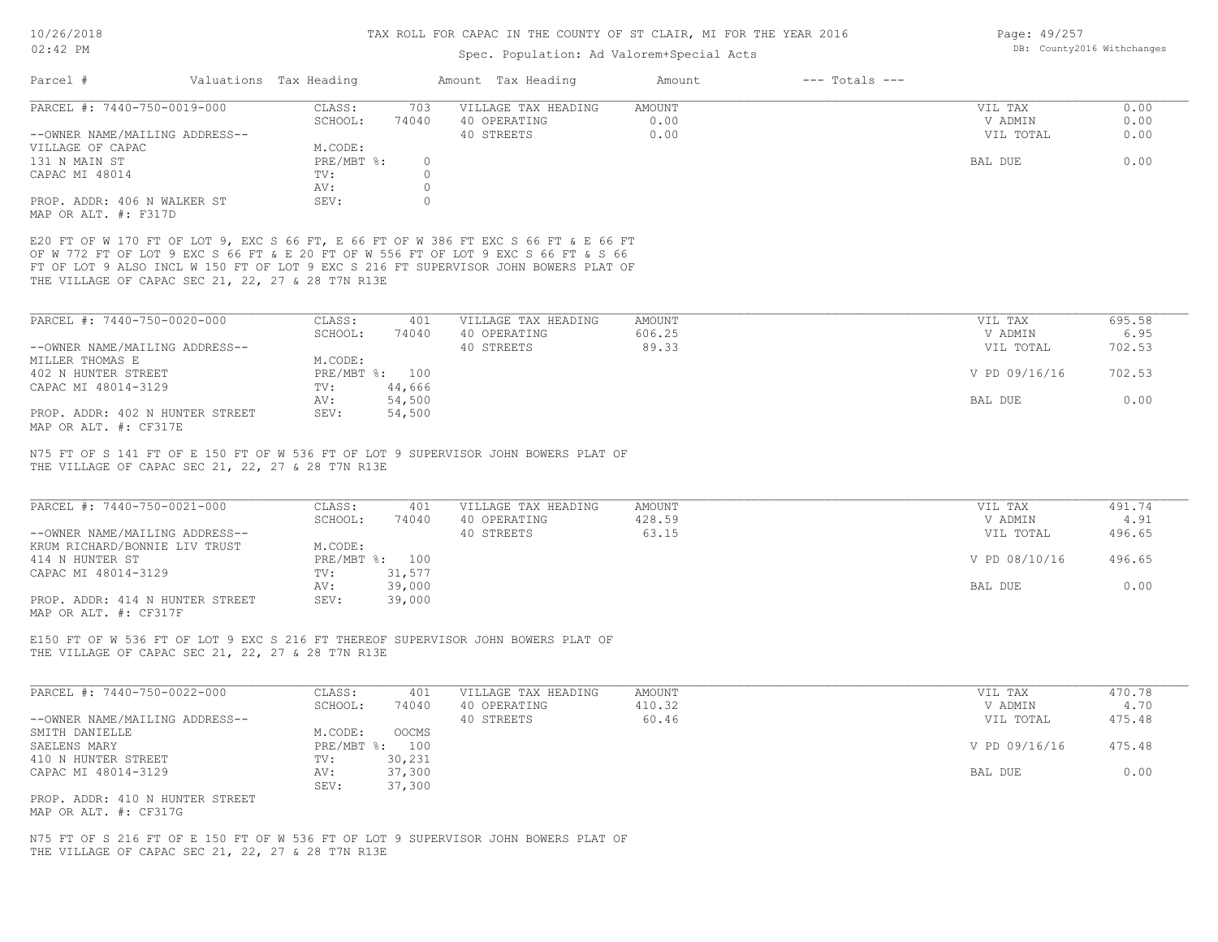| Page: 49/257              |  |
|---------------------------|--|
| DB: County2016 Withchange |  |

| DB: County2016 Withchanges<br>Spec. Population: Ad Valorem+Special Acts<br>Valuations Tax Heading<br>$---$ Totals $---$<br>Amount Tax Heading<br>Amount<br>PARCEL #: 7440-750-0019-000<br>VILLAGE TAX HEADING<br>CLASS:<br>703<br>AMOUNT<br>VIL TAX<br>SCHOOL:<br>40 OPERATING<br>0.00<br>74040<br>V ADMIN<br>--OWNER NAME/MAILING ADDRESS--<br>40 STREETS<br>0.00<br>VIL TOTAL<br>M.CODE:<br>131 N MAIN ST<br>$PRE/MBT$ $\div$<br>BAL DUE<br>$\circ$<br>$\circ$<br>TV:<br>$\circ$<br>AV:<br>$\circ$<br>PROP. ADDR: 406 N WALKER ST<br>SEV:<br>E20 FT OF W 170 FT OF LOT 9, EXC S 66 FT, E 66 FT OF W 386 FT EXC S 66 FT & E 66 FT<br>OF W 772 FT OF LOT 9 EXC S 66 FT & E 20 FT OF W 556 FT OF LOT 9 EXC S 66 FT & S 66<br>FT OF LOT 9 ALSO INCL W 150 FT OF LOT 9 EXC S 216 FT SUPERVISOR JOHN BOWERS PLAT OF<br>THE VILLAGE OF CAPAC SEC 21, 22, 27 & 28 T7N R13E<br>PARCEL #: 7440-750-0020-000<br>CLASS:<br>401<br>VILLAGE TAX HEADING<br>AMOUNT<br>VIL TAX<br>SCHOOL:<br>40 OPERATING<br>606.25<br>74040<br>V ADMIN<br>--OWNER NAME/MAILING ADDRESS--<br>40 STREETS<br>89.33<br>VIL TOTAL<br>M.CODE:<br>PRE/MBT %: 100<br>V PD 09/16/16<br>CAPAC MI 48014-3129<br>44,666<br>$\text{TV}$ :<br>54,500<br>BAL DUE<br>AV:<br>54,500<br>PROP. ADDR: 402 N HUNTER STREET<br>SEV:<br>N75 FT OF S 141 FT OF E 150 FT OF W 536 FT OF LOT 9 SUPERVISOR JOHN BOWERS PLAT OF<br>THE VILLAGE OF CAPAC SEC 21, 22, 27 & 28 T7N R13E<br>PARCEL #: 7440-750-0021-000<br>CLASS:<br>VILLAGE TAX HEADING<br><b>AMOUNT</b><br>VIL TAX<br>401<br>40 OPERATING<br>428.59<br>SCHOOL:<br>74040<br>V ADMIN<br>40 STREETS<br>63.15<br>--OWNER NAME/MAILING ADDRESS--<br>VIL TOTAL<br>M.CODE:<br>KRUM RICHARD/BONNIE LIV TRUST<br>PRE/MBT %: 100<br>V PD 08/10/16<br>31,577<br>TV:<br>39,000<br>BAL DUE<br>AV:<br>PROP. ADDR: 414 N HUNTER STREET<br>SEV:<br>39,000<br>E150 FT OF W 536 FT OF LOT 9 EXC S 216 FT THEREOF SUPERVISOR JOHN BOWERS PLAT OF<br>THE VILLAGE OF CAPAC SEC 21, 22, 27 & 28 T7N R13E<br>PARCEL #: 7440-750-0022-000<br>CLASS:<br>401<br>VILLAGE TAX HEADING<br>AMOUNT<br>VIL TAX<br>SCHOOL:<br>74040<br>40 OPERATING<br>410.32<br>V ADMIN<br>40 STREETS<br>60.46<br>--OWNER NAME/MAILING ADDRESS--<br>VIL TOTAL<br>M.CODE:<br>OOCMS<br>PRE/MBT %: 100<br>V PD 09/16/16<br>30,231<br>TV:<br>37,300<br>AV:<br>BAL DUE<br>37,300<br>SEV:<br>PROP. ADDR: 410 N HUNTER STREET<br>N75 FT OF S 216 FT OF E 150 FT OF W 536 FT OF LOT 9 SUPERVISOR JOHN BOWERS PLAT OF<br>THE VILLAGE OF CAPAC SEC 21, 22, 27 & 28 T7N R13E | TAN 50 YOTO                                |  |  | IAA KULL FUK CAPAC IN INE CUUNII UF SI CLAIK, MI FUK INE IEAK 2010 |  | raue: 49/40/ |                |
|------------------------------------------------------------------------------------------------------------------------------------------------------------------------------------------------------------------------------------------------------------------------------------------------------------------------------------------------------------------------------------------------------------------------------------------------------------------------------------------------------------------------------------------------------------------------------------------------------------------------------------------------------------------------------------------------------------------------------------------------------------------------------------------------------------------------------------------------------------------------------------------------------------------------------------------------------------------------------------------------------------------------------------------------------------------------------------------------------------------------------------------------------------------------------------------------------------------------------------------------------------------------------------------------------------------------------------------------------------------------------------------------------------------------------------------------------------------------------------------------------------------------------------------------------------------------------------------------------------------------------------------------------------------------------------------------------------------------------------------------------------------------------------------------------------------------------------------------------------------------------------------------------------------------------------------------------------------------------------------------------------------------------------------------------------------------------------------------------------------------------------------------------------------------------------------------------------------------------------------------------------------------------------------------------------------------------------------------------------------------------------------------------------------------------------------------------------------------------------------------------------------------|--------------------------------------------|--|--|--------------------------------------------------------------------|--|--------------|----------------|
|                                                                                                                                                                                                                                                                                                                                                                                                                                                                                                                                                                                                                                                                                                                                                                                                                                                                                                                                                                                                                                                                                                                                                                                                                                                                                                                                                                                                                                                                                                                                                                                                                                                                                                                                                                                                                                                                                                                                                                                                                                                                                                                                                                                                                                                                                                                                                                                                                                                                                                                        | $02:42$ PM                                 |  |  |                                                                    |  |              |                |
|                                                                                                                                                                                                                                                                                                                                                                                                                                                                                                                                                                                                                                                                                                                                                                                                                                                                                                                                                                                                                                                                                                                                                                                                                                                                                                                                                                                                                                                                                                                                                                                                                                                                                                                                                                                                                                                                                                                                                                                                                                                                                                                                                                                                                                                                                                                                                                                                                                                                                                                        | Parcel #                                   |  |  |                                                                    |  |              |                |
|                                                                                                                                                                                                                                                                                                                                                                                                                                                                                                                                                                                                                                                                                                                                                                                                                                                                                                                                                                                                                                                                                                                                                                                                                                                                                                                                                                                                                                                                                                                                                                                                                                                                                                                                                                                                                                                                                                                                                                                                                                                                                                                                                                                                                                                                                                                                                                                                                                                                                                                        |                                            |  |  |                                                                    |  |              | 0.00           |
|                                                                                                                                                                                                                                                                                                                                                                                                                                                                                                                                                                                                                                                                                                                                                                                                                                                                                                                                                                                                                                                                                                                                                                                                                                                                                                                                                                                                                                                                                                                                                                                                                                                                                                                                                                                                                                                                                                                                                                                                                                                                                                                                                                                                                                                                                                                                                                                                                                                                                                                        |                                            |  |  |                                                                    |  |              | 0.00<br>0.00   |
|                                                                                                                                                                                                                                                                                                                                                                                                                                                                                                                                                                                                                                                                                                                                                                                                                                                                                                                                                                                                                                                                                                                                                                                                                                                                                                                                                                                                                                                                                                                                                                                                                                                                                                                                                                                                                                                                                                                                                                                                                                                                                                                                                                                                                                                                                                                                                                                                                                                                                                                        | VILLAGE OF CAPAC                           |  |  |                                                                    |  |              | 0.00           |
|                                                                                                                                                                                                                                                                                                                                                                                                                                                                                                                                                                                                                                                                                                                                                                                                                                                                                                                                                                                                                                                                                                                                                                                                                                                                                                                                                                                                                                                                                                                                                                                                                                                                                                                                                                                                                                                                                                                                                                                                                                                                                                                                                                                                                                                                                                                                                                                                                                                                                                                        | CAPAC MI 48014                             |  |  |                                                                    |  |              |                |
|                                                                                                                                                                                                                                                                                                                                                                                                                                                                                                                                                                                                                                                                                                                                                                                                                                                                                                                                                                                                                                                                                                                                                                                                                                                                                                                                                                                                                                                                                                                                                                                                                                                                                                                                                                                                                                                                                                                                                                                                                                                                                                                                                                                                                                                                                                                                                                                                                                                                                                                        | MAP OR ALT. #: F317D                       |  |  |                                                                    |  |              |                |
|                                                                                                                                                                                                                                                                                                                                                                                                                                                                                                                                                                                                                                                                                                                                                                                                                                                                                                                                                                                                                                                                                                                                                                                                                                                                                                                                                                                                                                                                                                                                                                                                                                                                                                                                                                                                                                                                                                                                                                                                                                                                                                                                                                                                                                                                                                                                                                                                                                                                                                                        |                                            |  |  |                                                                    |  |              |                |
|                                                                                                                                                                                                                                                                                                                                                                                                                                                                                                                                                                                                                                                                                                                                                                                                                                                                                                                                                                                                                                                                                                                                                                                                                                                                                                                                                                                                                                                                                                                                                                                                                                                                                                                                                                                                                                                                                                                                                                                                                                                                                                                                                                                                                                                                                                                                                                                                                                                                                                                        |                                            |  |  |                                                                    |  |              | 695.58         |
|                                                                                                                                                                                                                                                                                                                                                                                                                                                                                                                                                                                                                                                                                                                                                                                                                                                                                                                                                                                                                                                                                                                                                                                                                                                                                                                                                                                                                                                                                                                                                                                                                                                                                                                                                                                                                                                                                                                                                                                                                                                                                                                                                                                                                                                                                                                                                                                                                                                                                                                        |                                            |  |  |                                                                    |  |              | 6.95           |
|                                                                                                                                                                                                                                                                                                                                                                                                                                                                                                                                                                                                                                                                                                                                                                                                                                                                                                                                                                                                                                                                                                                                                                                                                                                                                                                                                                                                                                                                                                                                                                                                                                                                                                                                                                                                                                                                                                                                                                                                                                                                                                                                                                                                                                                                                                                                                                                                                                                                                                                        | MILLER THOMAS E                            |  |  |                                                                    |  |              | 702.53         |
|                                                                                                                                                                                                                                                                                                                                                                                                                                                                                                                                                                                                                                                                                                                                                                                                                                                                                                                                                                                                                                                                                                                                                                                                                                                                                                                                                                                                                                                                                                                                                                                                                                                                                                                                                                                                                                                                                                                                                                                                                                                                                                                                                                                                                                                                                                                                                                                                                                                                                                                        | 402 N HUNTER STREET                        |  |  |                                                                    |  |              | 702.53         |
|                                                                                                                                                                                                                                                                                                                                                                                                                                                                                                                                                                                                                                                                                                                                                                                                                                                                                                                                                                                                                                                                                                                                                                                                                                                                                                                                                                                                                                                                                                                                                                                                                                                                                                                                                                                                                                                                                                                                                                                                                                                                                                                                                                                                                                                                                                                                                                                                                                                                                                                        |                                            |  |  |                                                                    |  |              | 0.00           |
|                                                                                                                                                                                                                                                                                                                                                                                                                                                                                                                                                                                                                                                                                                                                                                                                                                                                                                                                                                                                                                                                                                                                                                                                                                                                                                                                                                                                                                                                                                                                                                                                                                                                                                                                                                                                                                                                                                                                                                                                                                                                                                                                                                                                                                                                                                                                                                                                                                                                                                                        | MAP OR ALT. #: CF317E                      |  |  |                                                                    |  |              |                |
|                                                                                                                                                                                                                                                                                                                                                                                                                                                                                                                                                                                                                                                                                                                                                                                                                                                                                                                                                                                                                                                                                                                                                                                                                                                                                                                                                                                                                                                                                                                                                                                                                                                                                                                                                                                                                                                                                                                                                                                                                                                                                                                                                                                                                                                                                                                                                                                                                                                                                                                        |                                            |  |  |                                                                    |  |              | 491.74<br>4.91 |
|                                                                                                                                                                                                                                                                                                                                                                                                                                                                                                                                                                                                                                                                                                                                                                                                                                                                                                                                                                                                                                                                                                                                                                                                                                                                                                                                                                                                                                                                                                                                                                                                                                                                                                                                                                                                                                                                                                                                                                                                                                                                                                                                                                                                                                                                                                                                                                                                                                                                                                                        |                                            |  |  |                                                                    |  |              | 496.65         |
|                                                                                                                                                                                                                                                                                                                                                                                                                                                                                                                                                                                                                                                                                                                                                                                                                                                                                                                                                                                                                                                                                                                                                                                                                                                                                                                                                                                                                                                                                                                                                                                                                                                                                                                                                                                                                                                                                                                                                                                                                                                                                                                                                                                                                                                                                                                                                                                                                                                                                                                        | 414 N HUNTER ST<br>CAPAC MI 48014-3129     |  |  |                                                                    |  |              | 496.65         |
|                                                                                                                                                                                                                                                                                                                                                                                                                                                                                                                                                                                                                                                                                                                                                                                                                                                                                                                                                                                                                                                                                                                                                                                                                                                                                                                                                                                                                                                                                                                                                                                                                                                                                                                                                                                                                                                                                                                                                                                                                                                                                                                                                                                                                                                                                                                                                                                                                                                                                                                        | MAP OR ALT. #: CF317F                      |  |  |                                                                    |  |              | 0.00           |
|                                                                                                                                                                                                                                                                                                                                                                                                                                                                                                                                                                                                                                                                                                                                                                                                                                                                                                                                                                                                                                                                                                                                                                                                                                                                                                                                                                                                                                                                                                                                                                                                                                                                                                                                                                                                                                                                                                                                                                                                                                                                                                                                                                                                                                                                                                                                                                                                                                                                                                                        |                                            |  |  |                                                                    |  |              |                |
|                                                                                                                                                                                                                                                                                                                                                                                                                                                                                                                                                                                                                                                                                                                                                                                                                                                                                                                                                                                                                                                                                                                                                                                                                                                                                                                                                                                                                                                                                                                                                                                                                                                                                                                                                                                                                                                                                                                                                                                                                                                                                                                                                                                                                                                                                                                                                                                                                                                                                                                        |                                            |  |  |                                                                    |  |              | 470.78         |
|                                                                                                                                                                                                                                                                                                                                                                                                                                                                                                                                                                                                                                                                                                                                                                                                                                                                                                                                                                                                                                                                                                                                                                                                                                                                                                                                                                                                                                                                                                                                                                                                                                                                                                                                                                                                                                                                                                                                                                                                                                                                                                                                                                                                                                                                                                                                                                                                                                                                                                                        |                                            |  |  |                                                                    |  |              | 4.70<br>475.48 |
|                                                                                                                                                                                                                                                                                                                                                                                                                                                                                                                                                                                                                                                                                                                                                                                                                                                                                                                                                                                                                                                                                                                                                                                                                                                                                                                                                                                                                                                                                                                                                                                                                                                                                                                                                                                                                                                                                                                                                                                                                                                                                                                                                                                                                                                                                                                                                                                                                                                                                                                        | SMITH DANIELLE<br>SAELENS MARY             |  |  |                                                                    |  |              | 475.48         |
|                                                                                                                                                                                                                                                                                                                                                                                                                                                                                                                                                                                                                                                                                                                                                                                                                                                                                                                                                                                                                                                                                                                                                                                                                                                                                                                                                                                                                                                                                                                                                                                                                                                                                                                                                                                                                                                                                                                                                                                                                                                                                                                                                                                                                                                                                                                                                                                                                                                                                                                        | 410 N HUNTER STREET<br>CAPAC MI 48014-3129 |  |  |                                                                    |  |              | 0.00           |
|                                                                                                                                                                                                                                                                                                                                                                                                                                                                                                                                                                                                                                                                                                                                                                                                                                                                                                                                                                                                                                                                                                                                                                                                                                                                                                                                                                                                                                                                                                                                                                                                                                                                                                                                                                                                                                                                                                                                                                                                                                                                                                                                                                                                                                                                                                                                                                                                                                                                                                                        | MAP OR ALT. #: CF317G                      |  |  |                                                                    |  |              |                |
|                                                                                                                                                                                                                                                                                                                                                                                                                                                                                                                                                                                                                                                                                                                                                                                                                                                                                                                                                                                                                                                                                                                                                                                                                                                                                                                                                                                                                                                                                                                                                                                                                                                                                                                                                                                                                                                                                                                                                                                                                                                                                                                                                                                                                                                                                                                                                                                                                                                                                                                        |                                            |  |  |                                                                    |  |              |                |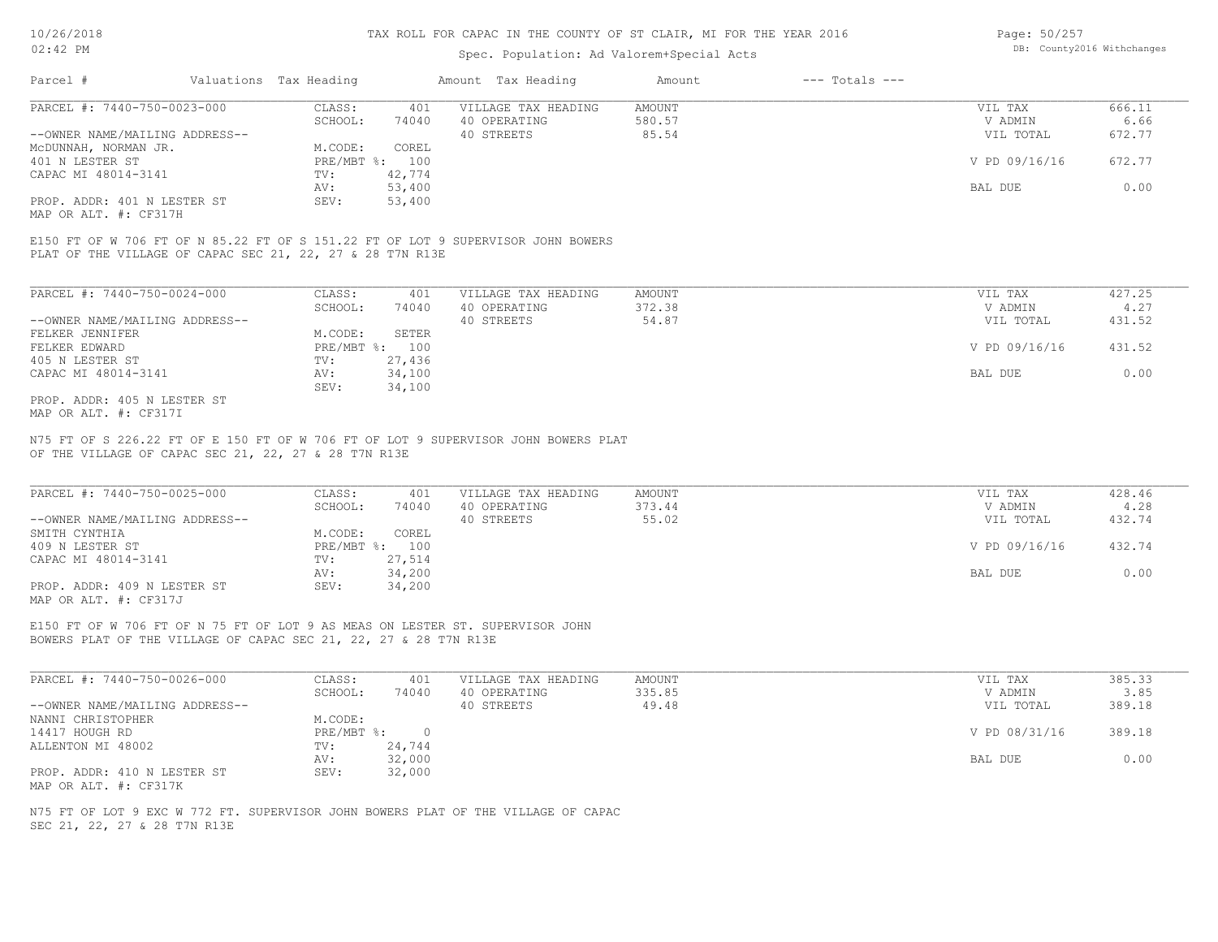# Spec. Population: Ad Valorem+Special Acts

| Page: 50/257 |                            |
|--------------|----------------------------|
|              | DB: County2016 Withchanges |

| Parcel #<br>$---$ Totals $---$<br>Valuations Tax Heading<br>Amount Tax Heading<br>Amount |               |        |
|------------------------------------------------------------------------------------------|---------------|--------|
| PARCEL #: 7440-750-0023-000<br>CLASS:<br>VILLAGE TAX HEADING<br>AMOUNT<br>401            | VIL TAX       | 666.11 |
| 74040<br>580.57<br>SCHOOL:<br>40 OPERATING                                               | V ADMIN       | 6.66   |
| 85.54<br>--OWNER NAME/MAILING ADDRESS--<br>40 STREETS                                    | VIL TOTAL     | 672.77 |
| M.CODE:<br>COREL<br>MCDUNNAH, NORMAN JR.                                                 |               |        |
| $PRE/MBT$ %:<br>401 N LESTER ST<br>100                                                   | V PD 09/16/16 | 672.77 |
| 42,774<br>CAPAC MI 48014-3141<br>TV:                                                     |               |        |
| 53,400<br>AV:                                                                            | BAL DUE       | 0.00   |
| PROP. ADDR: 401 N LESTER ST<br>53,400<br>SEV:                                            |               |        |

MAP OR ALT. #: CF317H

PLAT OF THE VILLAGE OF CAPAC SEC 21, 22, 27 & 28 T7N R13E E150 FT OF W 706 FT OF N 85.22 FT OF S 151.22 FT OF LOT 9 SUPERVISOR JOHN BOWERS

| PARCEL #: 7440-750-0024-000    | CLASS:       | 401    | VILLAGE TAX HEADING | AMOUNT | VIL TAX       | 427.25 |
|--------------------------------|--------------|--------|---------------------|--------|---------------|--------|
|                                | SCHOOL:      | 74040  | 40 OPERATING        | 372.38 | V ADMIN       | 4.27   |
| --OWNER NAME/MAILING ADDRESS-- |              |        | 40 STREETS          | 54.87  | VIL TOTAL     | 431.52 |
| FELKER JENNIFER                | M.CODE:      | SETER  |                     |        |               |        |
| FELKER EDWARD                  | $PRE/MBT$ %: | 100    |                     |        | V PD 09/16/16 | 431.52 |
| 405 N LESTER ST                | TV:          | 27,436 |                     |        |               |        |
| CAPAC MI 48014-3141            | AV:          | 34,100 |                     |        | BAL DUE       | 0.00   |
|                                | SEV:         | 34,100 |                     |        |               |        |
| PROP. ADDR: 405 N LESTER ST    |              |        |                     |        |               |        |

MAP OR ALT. #: CF317I

OF THE VILLAGE OF CAPAC SEC 21, 22, 27 & 28 T7N R13E N75 FT OF S 226.22 FT OF E 150 FT OF W 706 FT OF LOT 9 SUPERVISOR JOHN BOWERS PLAT

| PARCEL #: 7440-750-0025-000                           | CLASS:       | 401    | VILLAGE TAX HEADING | AMOUNT | VIL TAX       | 428.46 |  |
|-------------------------------------------------------|--------------|--------|---------------------|--------|---------------|--------|--|
|                                                       | SCHOOL:      | 74040  | 40 OPERATING        | 373.44 | V ADMIN       | 4.28   |  |
| --OWNER NAME/MAILING ADDRESS--                        |              |        | 40 STREETS          | 55.02  | VIL TOTAL     | 432.74 |  |
| SMITH CYNTHIA                                         | M.CODE:      | COREL  |                     |        |               |        |  |
| 409 N LESTER ST                                       | $PRE/MBT$ %: | 100    |                     |        | V PD 09/16/16 | 432.74 |  |
| CAPAC MI 48014-3141                                   | TV:          | 27,514 |                     |        |               |        |  |
|                                                       | AV:          | 34,200 |                     |        | BAL DUE       | 0.00   |  |
| PROP. ADDR: 409 N LESTER ST                           | SEV:         | 34,200 |                     |        |               |        |  |
| $\cdots$ $\cdots$ $\cdots$ $\cdots$ $\cdots$ $\cdots$ |              |        |                     |        |               |        |  |

 $\_$  , and the state of the state of the state of the state of the state of the state of the state of the state of the state of the state of the state of the state of the state of the state of the state of the state of the

MAP OR ALT. #: CF317J

BOWERS PLAT OF THE VILLAGE OF CAPAC SEC 21, 22, 27 & 28 T7N R13E E150 FT OF W 706 FT OF N 75 FT OF LOT 9 AS MEAS ON LESTER ST. SUPERVISOR JOHN

| PARCEL #: 7440-750-0026-000    | CLASS:     | 401    | VILLAGE TAX HEADING | AMOUNT | VIL TAX       | 385.33 |
|--------------------------------|------------|--------|---------------------|--------|---------------|--------|
|                                | SCHOOL:    | 74040  | 40 OPERATING        | 335.85 | V ADMIN       | 3.85   |
| --OWNER NAME/MAILING ADDRESS-- |            |        | 40 STREETS          | 49.48  | VIL TOTAL     | 389.18 |
| NANNI CHRISTOPHER              | M.CODE:    |        |                     |        |               |        |
| 14417 HOUGH RD                 | PRE/MBT %: |        |                     |        | V PD 08/31/16 | 389.18 |
| ALLENTON MI 48002              | TV:        | 24,744 |                     |        |               |        |
|                                | AV:        | 32,000 |                     |        | BAL DUE       | 0.00   |
| PROP. ADDR: 410 N LESTER ST    | SEV:       | 32,000 |                     |        |               |        |
| MAP OR ALT. #: CF317K          |            |        |                     |        |               |        |

SEC 21, 22, 27 & 28 T7N R13E N75 FT OF LOT 9 EXC W 772 FT. SUPERVISOR JOHN BOWERS PLAT OF THE VILLAGE OF CAPAC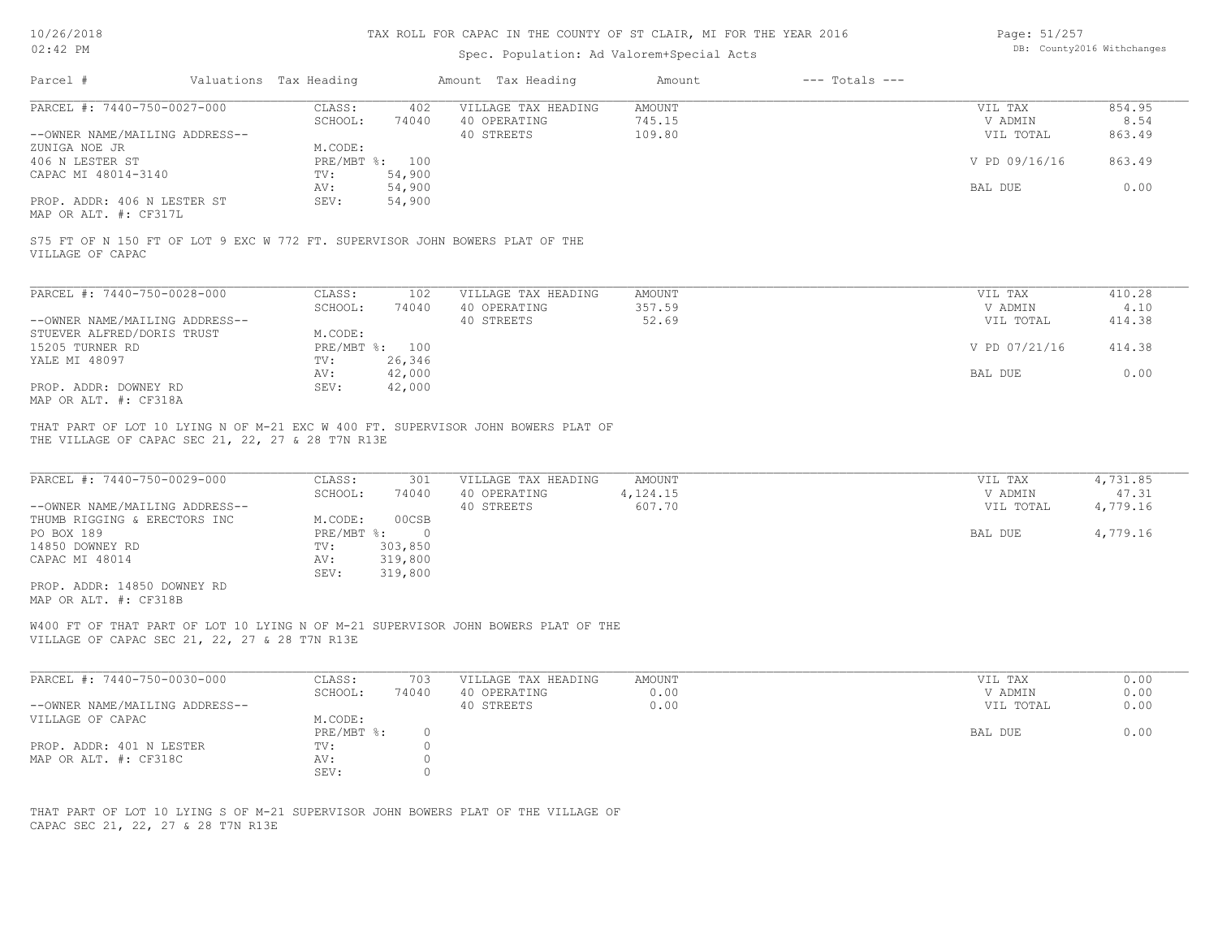Page: 51/257 DB: County2016 Withchanges

| Parcel #<br>Valuations Tax Heading                                                                                                                                                                                                                                                                                                                    |                                                                                         | Amount Tax Heading                                | Amount                       | $---$ Totals $---$ |                                            |                                           |
|-------------------------------------------------------------------------------------------------------------------------------------------------------------------------------------------------------------------------------------------------------------------------------------------------------------------------------------------------------|-----------------------------------------------------------------------------------------|---------------------------------------------------|------------------------------|--------------------|--------------------------------------------|-------------------------------------------|
| PARCEL #: 7440-750-0027-000                                                                                                                                                                                                                                                                                                                           | CLASS:<br>402                                                                           | VILLAGE TAX HEADING                               | <b>AMOUNT</b>                |                    | VIL TAX                                    | 854.95                                    |
|                                                                                                                                                                                                                                                                                                                                                       | SCHOOL:<br>74040                                                                        | 40 OPERATING                                      | 745.15                       |                    | V ADMIN                                    | 8.54                                      |
| --OWNER NAME/MAILING ADDRESS--                                                                                                                                                                                                                                                                                                                        |                                                                                         | 40 STREETS                                        | 109.80                       |                    | VIL TOTAL                                  | 863.49                                    |
| ZUNIGA NOE JR                                                                                                                                                                                                                                                                                                                                         | M.CODE:                                                                                 |                                                   |                              |                    |                                            |                                           |
| 406 N LESTER ST                                                                                                                                                                                                                                                                                                                                       | PRE/MBT %: 100                                                                          |                                                   |                              |                    | V PD 09/16/16                              | 863.49                                    |
| CAPAC MI 48014-3140                                                                                                                                                                                                                                                                                                                                   | TV:<br>54,900                                                                           |                                                   |                              |                    |                                            |                                           |
|                                                                                                                                                                                                                                                                                                                                                       | 54,900<br>AV:                                                                           |                                                   |                              |                    | BAL DUE                                    | 0.00                                      |
| PROP. ADDR: 406 N LESTER ST                                                                                                                                                                                                                                                                                                                           | 54,900<br>SEV:                                                                          |                                                   |                              |                    |                                            |                                           |
| MAP OR ALT. #: CF317L                                                                                                                                                                                                                                                                                                                                 |                                                                                         |                                                   |                              |                    |                                            |                                           |
| S75 FT OF N 150 FT OF LOT 9 EXC W 772 FT. SUPERVISOR JOHN BOWERS PLAT OF THE<br>VILLAGE OF CAPAC                                                                                                                                                                                                                                                      |                                                                                         |                                                   |                              |                    |                                            |                                           |
| PARCEL #: 7440-750-0028-000                                                                                                                                                                                                                                                                                                                           | CLASS:<br>102                                                                           | VILLAGE TAX HEADING                               | AMOUNT                       |                    | VIL TAX                                    | 410.28                                    |
|                                                                                                                                                                                                                                                                                                                                                       | SCHOOL:<br>74040                                                                        | 40 OPERATING                                      | 357.59                       |                    | V ADMIN                                    | 4.10                                      |
| --OWNER NAME/MAILING ADDRESS--                                                                                                                                                                                                                                                                                                                        |                                                                                         | 40 STREETS                                        | 52.69                        |                    | VIL TOTAL                                  | 414.38                                    |
| STUEVER ALFRED/DORIS TRUST                                                                                                                                                                                                                                                                                                                            | M.CODE:                                                                                 |                                                   |                              |                    |                                            |                                           |
| 15205 TURNER RD                                                                                                                                                                                                                                                                                                                                       | PRE/MBT %: 100                                                                          |                                                   |                              |                    | V PD 07/21/16                              | 414.38                                    |
| YALE MI 48097                                                                                                                                                                                                                                                                                                                                         | 26,346<br>$\texttt{TV}$ :                                                               |                                                   |                              |                    |                                            |                                           |
|                                                                                                                                                                                                                                                                                                                                                       | 42,000<br>AV:                                                                           |                                                   |                              |                    | BAL DUE                                    | 0.00                                      |
|                                                                                                                                                                                                                                                                                                                                                       | SEV:<br>42,000                                                                          |                                                   |                              |                    |                                            |                                           |
|                                                                                                                                                                                                                                                                                                                                                       |                                                                                         |                                                   |                              |                    |                                            |                                           |
|                                                                                                                                                                                                                                                                                                                                                       |                                                                                         |                                                   |                              |                    |                                            |                                           |
| THAT PART OF LOT 10 LYING N OF M-21 EXC W 400 FT. SUPERVISOR JOHN BOWERS PLAT OF<br>PARCEL #: 7440-750-0029-000<br>--OWNER NAME/MAILING ADDRESS--                                                                                                                                                                                                     | CLASS:<br>301<br>SCHOOL:<br>74040<br>M.CODE:<br>00CSB<br>$\overline{0}$<br>$PRE/MBT$ %: | VILLAGE TAX HEADING<br>40 OPERATING<br>40 STREETS | AMOUNT<br>4,124.15<br>607.70 |                    | VIL TAX<br>V ADMIN<br>VIL TOTAL<br>BAL DUE | 4,731.85<br>47.31<br>4,779.16<br>4,779.16 |
|                                                                                                                                                                                                                                                                                                                                                       | 303,850<br>TV:                                                                          |                                                   |                              |                    |                                            |                                           |
|                                                                                                                                                                                                                                                                                                                                                       | 319,800<br>AV:                                                                          |                                                   |                              |                    |                                            |                                           |
|                                                                                                                                                                                                                                                                                                                                                       | 319,800<br>SEV:                                                                         |                                                   |                              |                    |                                            |                                           |
| PROP. ADDR: 14850 DOWNEY RD                                                                                                                                                                                                                                                                                                                           |                                                                                         |                                                   |                              |                    |                                            |                                           |
| PROP. ADDR: DOWNEY RD<br>MAP OR ALT. #: CF318A<br>THE VILLAGE OF CAPAC SEC 21, 22, 27 & 28 T7N R13E<br>THUMB RIGGING & ERECTORS INC<br>PO BOX 189<br>14850 DOWNEY RD<br>CAPAC MI 48014<br>MAP OR ALT. #: CF318B<br>W400 FT OF THAT PART OF LOT 10 LYING N OF M-21 SUPERVISOR JOHN BOWERS PLAT OF THE<br>VILLAGE OF CAPAC SEC 21, 22, 27 & 28 T7N R13E |                                                                                         |                                                   |                              |                    |                                            |                                           |
|                                                                                                                                                                                                                                                                                                                                                       | CLASS:<br>703                                                                           | VILLAGE TAX HEADING                               | AMOUNT                       |                    | VIL TAX                                    | 0.00                                      |
|                                                                                                                                                                                                                                                                                                                                                       | SCHOOL:<br>74040                                                                        | 40 OPERATING                                      | 0.00                         |                    | V ADMIN                                    | 0.00                                      |
|                                                                                                                                                                                                                                                                                                                                                       |                                                                                         | 40 STREETS                                        | 0.00                         |                    | VIL TOTAL                                  | 0.00                                      |
|                                                                                                                                                                                                                                                                                                                                                       | M.CODE:                                                                                 |                                                   |                              |                    |                                            |                                           |
|                                                                                                                                                                                                                                                                                                                                                       | $PRE/MBT$ %:<br>$\overline{0}$                                                          |                                                   |                              |                    | BAL DUE                                    | 0.00                                      |
| PARCEL #: 7440-750-0030-000<br>--OWNER NAME/MAILING ADDRESS--<br>VILLAGE OF CAPAC<br>PROP. ADDR: 401 N LESTER                                                                                                                                                                                                                                         | $\circ$<br>TV:                                                                          |                                                   |                              |                    |                                            |                                           |
| MAP OR ALT. #: CF318C                                                                                                                                                                                                                                                                                                                                 | $\circ$<br>AV:<br>SEV:<br>$\circ$                                                       |                                                   |                              |                    |                                            |                                           |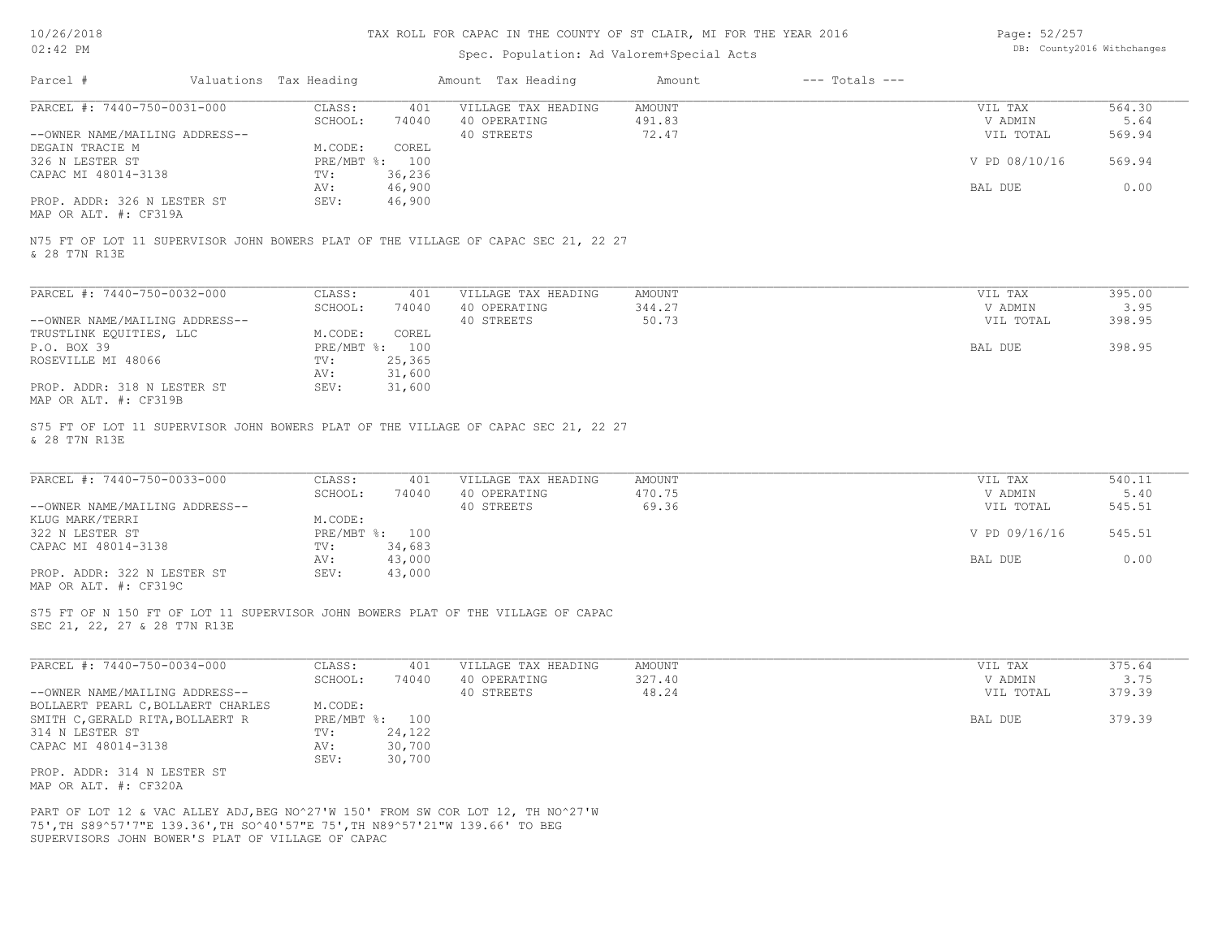# Spec. Population: Ad Valorem+Special Acts

| Page: 52/257 |                            |
|--------------|----------------------------|
|              | DB: County2016 Withchanges |

| Parcel #                                                                                                                          | Valuations Tax Heading |                   |                          | Amount Tax Heading                                                                 | Amount           | $---$ Totals $---$ |                    |                |
|-----------------------------------------------------------------------------------------------------------------------------------|------------------------|-------------------|--------------------------|------------------------------------------------------------------------------------|------------------|--------------------|--------------------|----------------|
| PARCEL #: 7440-750-0031-000                                                                                                       |                        | CLASS:<br>SCHOOL: | 401<br>74040             | VILLAGE TAX HEADING<br>40 OPERATING                                                | AMOUNT<br>491.83 |                    | VIL TAX<br>V ADMIN | 564.30<br>5.64 |
| --OWNER NAME/MAILING ADDRESS--                                                                                                    |                        |                   |                          | 40 STREETS                                                                         | 72.47            |                    | VIL TOTAL          | 569.94         |
| DEGAIN TRACIE M                                                                                                                   |                        | M.CODE:           | COREL                    |                                                                                    |                  |                    |                    |                |
| 326 N LESTER ST<br>CAPAC MI 48014-3138                                                                                            |                        | TV:               | PRE/MBT %: 100<br>36,236 |                                                                                    |                  |                    | V PD 08/10/16      | 569.94         |
|                                                                                                                                   |                        | AV:               | 46,900                   |                                                                                    |                  |                    | BAL DUE            | 0.00           |
| PROP. ADDR: 326 N LESTER ST<br>MAP OR ALT. #: CF319A                                                                              |                        | SEV:              | 46,900                   |                                                                                    |                  |                    |                    |                |
| & 28 T7N R13E                                                                                                                     |                        |                   |                          | N75 FT OF LOT 11 SUPERVISOR JOHN BOWERS PLAT OF THE VILLAGE OF CAPAC SEC 21, 22 27 |                  |                    |                    |                |
| PARCEL #: 7440-750-0032-000                                                                                                       |                        | CLASS:            | 401                      | VILLAGE TAX HEADING                                                                | AMOUNT           |                    | VIL TAX            | 395.00         |
|                                                                                                                                   |                        | SCHOOL:           | 74040                    | 40 OPERATING                                                                       | 344.27           |                    | V ADMIN            | 3.95           |
| --OWNER NAME/MAILING ADDRESS--                                                                                                    |                        | M.CODE:           | COREL                    | 40 STREETS                                                                         | 50.73            |                    | VIL TOTAL          | 398.95         |
| TRUSTLINK EQUITIES, LLC<br>P.O. BOX 39                                                                                            |                        |                   | PRE/MBT %: 100           |                                                                                    |                  |                    | BAL DUE            | 398.95         |
| ROSEVILLE MI 48066                                                                                                                |                        | TV:               | 25,365                   |                                                                                    |                  |                    |                    |                |
| PROP. ADDR: 318 N LESTER ST                                                                                                       |                        | AV:<br>SEV:       | 31,600<br>31,600         |                                                                                    |                  |                    |                    |                |
| MAP OR ALT. #: CF319B                                                                                                             |                        |                   |                          |                                                                                    |                  |                    |                    |                |
| & 28 T7N R13E                                                                                                                     |                        |                   |                          | S75 FT OF LOT 11 SUPERVISOR JOHN BOWERS PLAT OF THE VILLAGE OF CAPAC SEC 21, 22 27 |                  |                    |                    |                |
| PARCEL #: 7440-750-0033-000                                                                                                       |                        | CLASS:            | 401                      | VILLAGE TAX HEADING                                                                | AMOUNT           |                    | VIL TAX            | 540.11         |
|                                                                                                                                   |                        | SCHOOL:           | 74040                    | 40 OPERATING                                                                       | 470.75           |                    | V ADMIN            | 5.40           |
| --OWNER NAME/MAILING ADDRESS--                                                                                                    |                        |                   |                          | 40 STREETS                                                                         | 69.36            |                    | VIL TOTAL          | 545.51         |
| KLUG MARK/TERRI<br>322 N LESTER ST                                                                                                |                        | M.CODE:           | PRE/MBT %: 100           |                                                                                    |                  |                    | V PD 09/16/16      | 545.51         |
| CAPAC MI 48014-3138                                                                                                               |                        | TV:               | 34,683                   |                                                                                    |                  |                    |                    |                |
|                                                                                                                                   |                        | AV:               | 43,000                   |                                                                                    |                  |                    | BAL DUE            | 0.00           |
| PROP. ADDR: 322 N LESTER ST<br>MAP OR ALT. #: CF319C                                                                              |                        | SEV:              | 43,000                   |                                                                                    |                  |                    |                    |                |
|                                                                                                                                   |                        |                   |                          | S75 FT OF N 150 FT OF LOT 11 SUPERVISOR JOHN BOWERS PLAT OF THE VILLAGE OF CAPAC   |                  |                    |                    |                |
| SEC 21, 22, 27 & 28 T7N R13E                                                                                                      |                        |                   |                          |                                                                                    |                  |                    |                    |                |
| PARCEL #: 7440-750-0034-000                                                                                                       |                        | CLASS:            | 401                      | VILLAGE TAX HEADING                                                                | AMOUNT           |                    | VIL TAX            | 375.64         |
|                                                                                                                                   |                        | SCHOOL:           | 74040                    | 40 OPERATING                                                                       | 327.40           |                    | V ADMIN            | 3.75           |
| --OWNER NAME/MAILING ADDRESS--                                                                                                    |                        |                   |                          | 40 STREETS                                                                         | 48.24            |                    | VIL TOTAL          | 379.39         |
| BOLLAERT PEARL C, BOLLAERT CHARLES<br>SMITH C, GERALD RITA, BOLLAERT R                                                            |                        | M.CODE:           | PRE/MBT %: 100           |                                                                                    |                  |                    | BAL DUE            | 379.39         |
| 314 N LESTER ST                                                                                                                   |                        | TV:               | 24,122                   |                                                                                    |                  |                    |                    |                |
| CAPAC MI 48014-3138                                                                                                               |                        | AV:               | 30,700                   |                                                                                    |                  |                    |                    |                |
| PROP. ADDR: 314 N LESTER ST<br>MAP OR ALT. #: CF320A                                                                              |                        | SEV:              | 30,700                   |                                                                                    |                  |                    |                    |                |
| 75', TH S89^57'7"E 139.36', TH SO^40'57"E 75', TH N89^57'21"W 139.66' TO BEG<br>SUPERVISORS JOHN BOWER'S PLAT OF VILLAGE OF CAPAC |                        |                   |                          | PART OF LOT 12 & VAC ALLEY ADJ, BEG NO^27'W 150' FROM SW COR LOT 12, TH NO^27'W    |                  |                    |                    |                |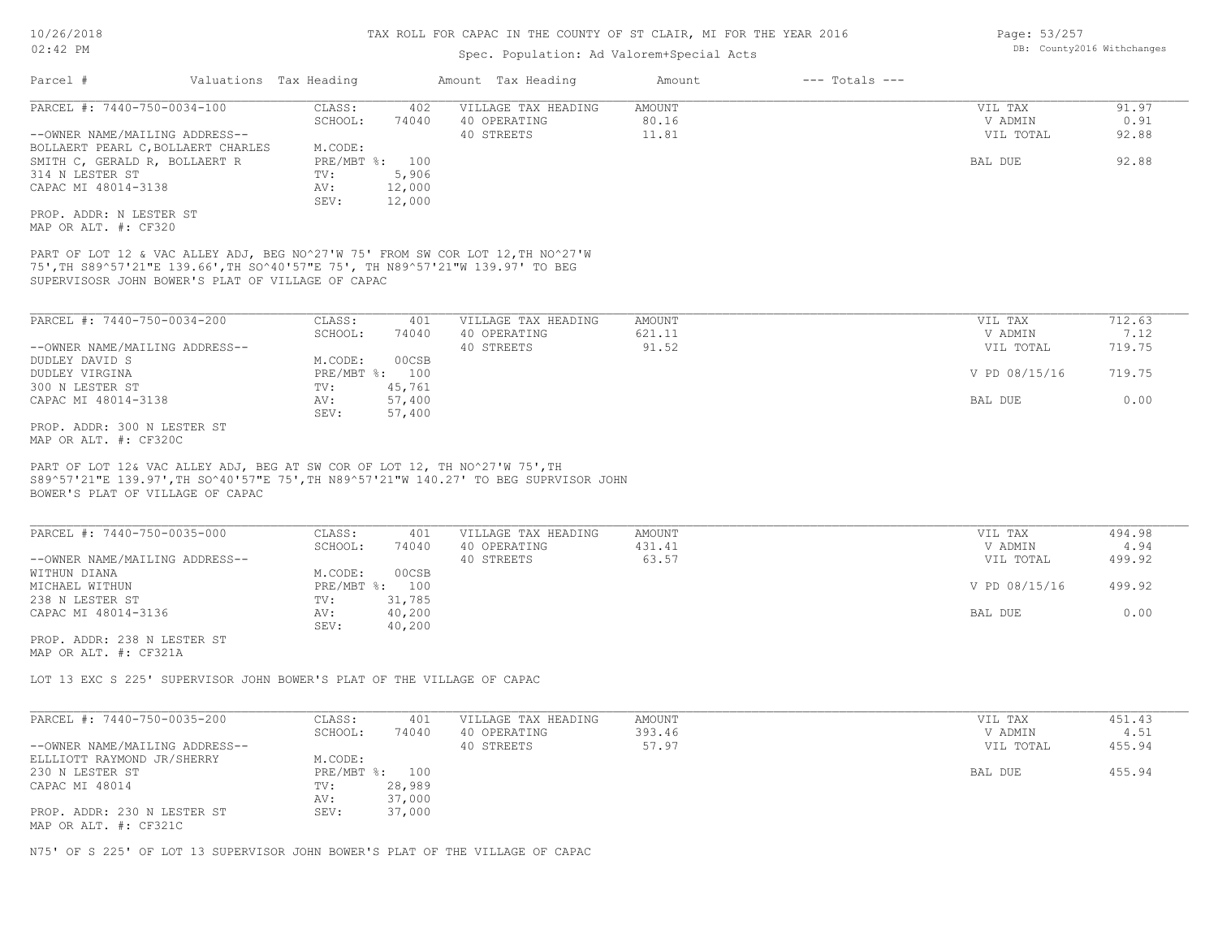# Spec. Population: Ad Valorem+Special Acts

|                                                                                                                                                                                                                                                                                                                                              | Valuations Tax Heading |                                                                      |                                                     |                                                                                                                                                                 |                           |                                                             |                                            |
|----------------------------------------------------------------------------------------------------------------------------------------------------------------------------------------------------------------------------------------------------------------------------------------------------------------------------------------------|------------------------|----------------------------------------------------------------------|-----------------------------------------------------|-----------------------------------------------------------------------------------------------------------------------------------------------------------------|---------------------------|-------------------------------------------------------------|--------------------------------------------|
| PARCEL #: 7440-750-0034-100                                                                                                                                                                                                                                                                                                                  |                        | CLASS:                                                               | 402                                                 | VILLAGE TAX HEADING                                                                                                                                             | AMOUNT                    | VIL TAX                                                     | 91.97                                      |
|                                                                                                                                                                                                                                                                                                                                              |                        | SCHOOL:                                                              | 74040                                               | 40 OPERATING                                                                                                                                                    | 80.16                     | V ADMIN                                                     | 0.91                                       |
| --OWNER NAME/MAILING ADDRESS--                                                                                                                                                                                                                                                                                                               |                        |                                                                      |                                                     | 40 STREETS                                                                                                                                                      | 11.81                     | VIL TOTAL                                                   | 92.88                                      |
| BOLLAERT PEARL C, BOLLAERT CHARLES                                                                                                                                                                                                                                                                                                           |                        | M.CODE:                                                              |                                                     |                                                                                                                                                                 |                           |                                                             |                                            |
| SMITH C, GERALD R, BOLLAERT R                                                                                                                                                                                                                                                                                                                |                        | PRE/MBT %: 100                                                       |                                                     |                                                                                                                                                                 |                           | BAL DUE                                                     | 92.88                                      |
| 314 N LESTER ST                                                                                                                                                                                                                                                                                                                              |                        | TV:                                                                  | 5,906                                               |                                                                                                                                                                 |                           |                                                             |                                            |
| CAPAC MI 48014-3138                                                                                                                                                                                                                                                                                                                          |                        | AV:<br>SEV:                                                          | 12,000<br>12,000                                    |                                                                                                                                                                 |                           |                                                             |                                            |
| PROP. ADDR: N LESTER ST                                                                                                                                                                                                                                                                                                                      |                        |                                                                      |                                                     |                                                                                                                                                                 |                           |                                                             |                                            |
| MAP OR ALT. #: CF320                                                                                                                                                                                                                                                                                                                         |                        |                                                                      |                                                     |                                                                                                                                                                 |                           |                                                             |                                            |
| SUPERVISOSR JOHN BOWER'S PLAT OF VILLAGE OF CAPAC                                                                                                                                                                                                                                                                                            |                        |                                                                      |                                                     | PART OF LOT 12 & VAC ALLEY ADJ, BEG NO^27'W 75' FROM SW COR LOT 12, TH NO^27'W<br>75', TH S89^57'21"E 139.66', TH SO^40'57"E 75', TH N89^57'21"W 139.97' TO BEG |                           |                                                             |                                            |
| PARCEL #: 7440-750-0034-200                                                                                                                                                                                                                                                                                                                  |                        | CLASS:                                                               | 401                                                 | VILLAGE TAX HEADING                                                                                                                                             | <b>AMOUNT</b>             | VIL TAX                                                     | 712.63                                     |
|                                                                                                                                                                                                                                                                                                                                              |                        | SCHOOL:                                                              | 74040                                               | 40 OPERATING                                                                                                                                                    | 621.11                    | V ADMIN                                                     | 7.12                                       |
| --OWNER NAME/MAILING ADDRESS--                                                                                                                                                                                                                                                                                                               |                        |                                                                      |                                                     | 40 STREETS                                                                                                                                                      | 91.52                     | VIL TOTAL                                                   | 719.75                                     |
| DUDLEY DAVID S                                                                                                                                                                                                                                                                                                                               |                        | M.CODE:                                                              | 00CSB                                               |                                                                                                                                                                 |                           |                                                             |                                            |
| DUDLEY VIRGINA                                                                                                                                                                                                                                                                                                                               |                        | PRE/MBT %: 100                                                       |                                                     |                                                                                                                                                                 |                           | V PD 08/15/16                                               | 719.75                                     |
| 300 N LESTER ST                                                                                                                                                                                                                                                                                                                              |                        | TV:                                                                  | 45,761                                              |                                                                                                                                                                 |                           |                                                             |                                            |
| CAPAC MI 48014-3138                                                                                                                                                                                                                                                                                                                          |                        | AV:<br>SEV:                                                          | 57,400<br>57,400                                    |                                                                                                                                                                 |                           | BAL DUE                                                     | 0.00                                       |
|                                                                                                                                                                                                                                                                                                                                              |                        |                                                                      |                                                     |                                                                                                                                                                 |                           |                                                             |                                            |
| PROP. ADDR: 300 N LESTER ST                                                                                                                                                                                                                                                                                                                  |                        |                                                                      |                                                     |                                                                                                                                                                 |                           |                                                             |                                            |
|                                                                                                                                                                                                                                                                                                                                              |                        |                                                                      |                                                     |                                                                                                                                                                 |                           |                                                             |                                            |
| MAP OR ALT. #: CF320C<br>PART OF LOT 12& VAC ALLEY ADJ, BEG AT SW COR OF LOT 12, TH NO^27'W 75', TH<br>BOWER'S PLAT OF VILLAGE OF CAPAC<br>PARCEL #: 7440-750-0035-000<br>--OWNER NAME/MAILING ADDRESS--<br>WITHUN DIANA<br>MICHAEL WITHUN<br>238 N LESTER ST<br>CAPAC MI 48014-3136<br>PROP. ADDR: 238 N LESTER ST<br>MAP OR ALT. #: CF321A |                        | CLASS:<br>SCHOOL:<br>M.CODE:<br>PRE/MBT %: 100<br>TV:<br>AV:<br>SEV: | 401<br>74040<br>00CSB<br>31,785<br>40,200<br>40,200 | S89^57'21"E 139.97', TH SO^40'57"E 75', TH N89^57'21"W 140.27' TO BEG SUPRVISOR JOHN<br>VILLAGE TAX HEADING<br>40 OPERATING<br>40 STREETS                       | AMOUNT<br>431.41<br>63.57 | VIL TAX<br>V ADMIN<br>VIL TOTAL<br>V PD 08/15/16<br>BAL DUE | 494.98<br>4.94<br>499.92<br>499.92<br>0.00 |
| LOT 13 EXC S 225' SUPERVISOR JOHN BOWER'S PLAT OF THE VILLAGE OF CAPAC                                                                                                                                                                                                                                                                       |                        |                                                                      |                                                     |                                                                                                                                                                 |                           |                                                             |                                            |
| PARCEL #: 7440-750-0035-200                                                                                                                                                                                                                                                                                                                  |                        | CLASS:<br>SCHOOL:                                                    | 401<br>74040                                        | VILLAGE TAX HEADING<br>40 OPERATING                                                                                                                             | AMOUNT<br>393.46          | VIL TAX<br>V ADMIN                                          | 451.43<br>4.51                             |
| --OWNER NAME/MAILING ADDRESS--                                                                                                                                                                                                                                                                                                               |                        |                                                                      |                                                     | 40 STREETS                                                                                                                                                      | 57.97                     | VIL TOTAL                                                   | 455.94                                     |
| ELLLIOTT RAYMOND JR/SHERRY                                                                                                                                                                                                                                                                                                                   |                        | M.CODE:                                                              |                                                     |                                                                                                                                                                 |                           |                                                             |                                            |
| 230 N LESTER ST                                                                                                                                                                                                                                                                                                                              |                        |                                                                      | PRE/MBT %: 100                                      |                                                                                                                                                                 |                           | BAL DUE                                                     | 455.94                                     |
| CAPAC MI 48014                                                                                                                                                                                                                                                                                                                               |                        | TV:<br>AV:                                                           | 28,989<br>37,000                                    |                                                                                                                                                                 |                           |                                                             |                                            |

N75' OF S 225' OF LOT 13 SUPERVISOR JOHN BOWER'S PLAT OF THE VILLAGE OF CAPAC

Page: 53/257 DB: County2016 Withchanges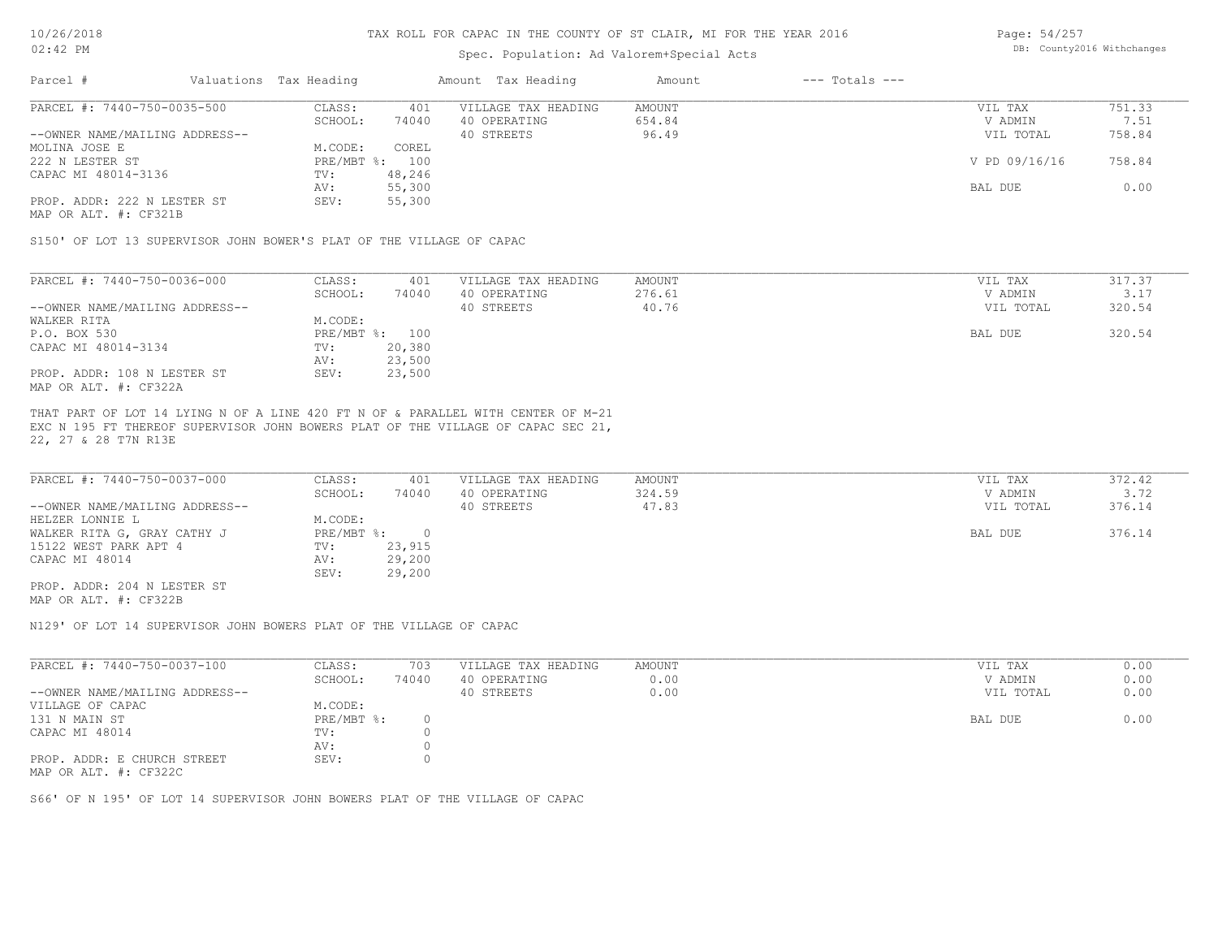# Spec. Population: Ad Valorem+Special Acts

Page: 54/257 DB: County2016 Withchanges

| Parcel #                       | Valuations Tax Heading |        | Amount Tax Heading  | Amount | $---$ Totals $---$ |               |        |
|--------------------------------|------------------------|--------|---------------------|--------|--------------------|---------------|--------|
| PARCEL #: 7440-750-0035-500    | CLASS:                 | 401    | VILLAGE TAX HEADING | AMOUNT |                    | VIL TAX       | 751.33 |
|                                | SCHOOL:                | 74040  | 40 OPERATING        | 654.84 |                    | V ADMIN       | 7.51   |
| --OWNER NAME/MAILING ADDRESS-- |                        |        | 40 STREETS          | 96.49  |                    | VIL TOTAL     | 758.84 |
| MOLINA JOSE E                  | M.CODE:                | COREL  |                     |        |                    |               |        |
| 222 N LESTER ST                | PRE/MBT %:             | 100    |                     |        |                    | V PD 09/16/16 | 758.84 |
| CAPAC MI 48014-3136            | TV:                    | 48,246 |                     |        |                    |               |        |
|                                | AV:                    | 55,300 |                     |        |                    | BAL DUE       | 0.00   |
| PROP. ADDR: 222 N LESTER ST    | SEV:                   | 55,300 |                     |        |                    |               |        |
| MAP OR ALT. #: CF321B          |                        |        |                     |        |                    |               |        |

S150' OF LOT 13 SUPERVISOR JOHN BOWER'S PLAT OF THE VILLAGE OF CAPAC

| PARCEL #: 7440-750-0036-000    | CLASS:     | 401    | VILLAGE TAX HEADING | AMOUNT | VIL TAX   | 317.37 |
|--------------------------------|------------|--------|---------------------|--------|-----------|--------|
|                                | SCHOOL:    | 74040  | 40 OPERATING        | 276.61 | V ADMIN   | 3.17   |
| --OWNER NAME/MAILING ADDRESS-- |            |        | 40 STREETS          | 40.76  | VIL TOTAL | 320.54 |
| WALKER RITA                    | M.CODE:    |        |                     |        |           |        |
| P.O. BOX 530                   | PRE/MBT %: | 100    |                     |        | BAL DUE   | 320.54 |
| CAPAC MI 48014-3134            | TV:        | 20,380 |                     |        |           |        |
|                                | AV:        | 23,500 |                     |        |           |        |
| PROP. ADDR: 108 N LESTER ST    | SEV:       | 23,500 |                     |        |           |        |
| MAP OR ALT. #: CF322A          |            |        |                     |        |           |        |

22, 27 & 28 T7N R13E EXC N 195 FT THEREOF SUPERVISOR JOHN BOWERS PLAT OF THE VILLAGE OF CAPAC SEC 21, THAT PART OF LOT 14 LYING N OF A LINE 420 FT N OF & PARALLEL WITH CENTER OF M-21

| PARCEL #: 7440-750-0037-000    | CLASS:     | 401    | VILLAGE TAX HEADING | AMOUNT | VIL TAX   | 372.42 |
|--------------------------------|------------|--------|---------------------|--------|-----------|--------|
|                                | SCHOOL:    | 74040  | 40 OPERATING        | 324.59 | V ADMIN   | 3.72   |
| --OWNER NAME/MAILING ADDRESS-- |            |        | 40 STREETS          | 47.83  | VIL TOTAL | 376.14 |
| HELZER LONNIE L                | M.CODE:    |        |                     |        |           |        |
| WALKER RITA G, GRAY CATHY J    | PRE/MBT %: |        |                     |        | BAL DUE   | 376.14 |
| 15122 WEST PARK APT 4          | TV:        | 23,915 |                     |        |           |        |
| CAPAC MI 48014                 | AV:        | 29,200 |                     |        |           |        |
|                                | SEV:       | 29,200 |                     |        |           |        |
| PROP. ADDR: 204 N LESTER ST    |            |        |                     |        |           |        |

MAP OR ALT. #: CF322B

N129' OF LOT 14 SUPERVISOR JOHN BOWERS PLAT OF THE VILLAGE OF CAPAC

| PARCEL #: 7440-750-0037-100    | CLASS:       | 703   | VILLAGE TAX HEADING | AMOUNT | VIL TAX   | 0.00 |
|--------------------------------|--------------|-------|---------------------|--------|-----------|------|
|                                | SCHOOL:      | 74040 | 40 OPERATING        | 0.00   | V ADMIN   | 0.00 |
| --OWNER NAME/MAILING ADDRESS-- |              |       | 40 STREETS          | 0.00   | VIL TOTAL | 0.00 |
| VILLAGE OF CAPAC               | M.CODE:      |       |                     |        |           |      |
| 131 N MAIN ST                  | $PRE/MBT$ %: |       |                     |        | BAL DUE   | 0.00 |
| CAPAC MI 48014                 | TV:          |       |                     |        |           |      |
|                                | AV:          |       |                     |        |           |      |
| PROP. ADDR: E CHURCH STREET    | SEV:         |       |                     |        |           |      |
| MAP OR ALT. #: CF322C          |              |       |                     |        |           |      |

S66' OF N 195' OF LOT 14 SUPERVISOR JOHN BOWERS PLAT OF THE VILLAGE OF CAPAC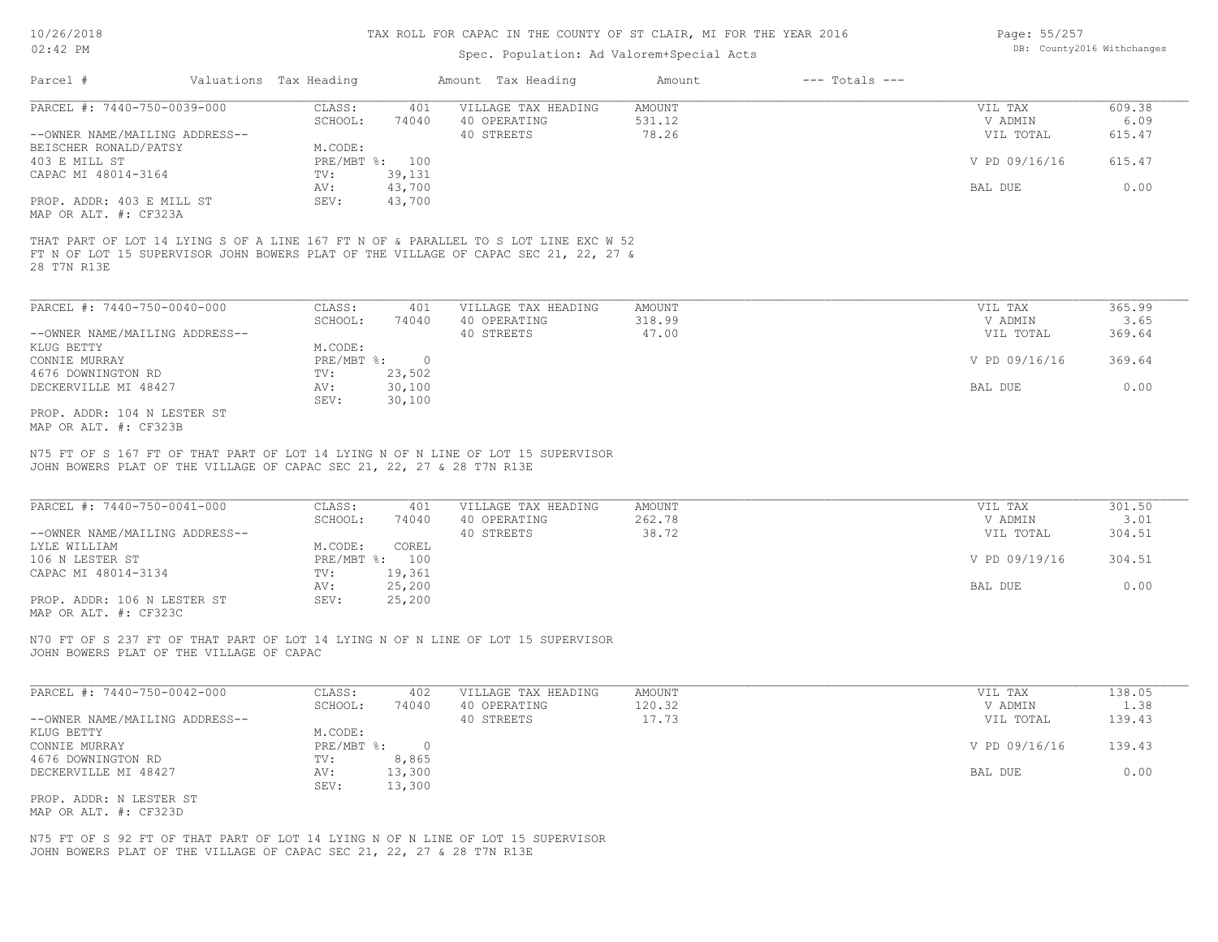# Spec. Population: Ad Valorem+Special Acts

| Page: 55/257 |                            |
|--------------|----------------------------|
|              | DB: County2016 Withchanges |

| Parcel #                         | Valuations Tax Heading |                | Amount Tax Heading                                                                  | Amount | $---$ Totals $---$ |               |        |
|----------------------------------|------------------------|----------------|-------------------------------------------------------------------------------------|--------|--------------------|---------------|--------|
| PARCEL #: 7440-750-0039-000      | CLASS:                 | 401            | VILLAGE TAX HEADING                                                                 | AMOUNT |                    | VIL TAX       | 609.38 |
|                                  | SCHOOL:                | 74040          | 40 OPERATING                                                                        | 531.12 |                    | V ADMIN       | 6.09   |
| --OWNER NAME/MAILING ADDRESS--   |                        |                | 40 STREETS                                                                          | 78.26  |                    | VIL TOTAL     | 615.47 |
| BEISCHER RONALD/PATSY            | M.CODE:                |                |                                                                                     |        |                    |               |        |
| 403 E MILL ST                    |                        | PRE/MBT %: 100 |                                                                                     |        |                    | V PD 09/16/16 | 615.47 |
| CAPAC MI 48014-3164              | TV:                    | 39,131         |                                                                                     |        |                    |               |        |
|                                  | AV:                    | 43,700         |                                                                                     |        |                    | BAL DUE       | 0.00   |
| PROP. ADDR: 403 E MILL ST        | SEV:                   | 43,700         |                                                                                     |        |                    |               |        |
| MAP OR ALT. #: CF323A            |                        |                |                                                                                     |        |                    |               |        |
|                                  |                        |                | THAT PART OF LOT 14 LYING S OF A LINE 167 FT N OF & PARALLEL TO S LOT LINE EXC W 52 |        |                    |               |        |
| 28 T7N R13E                      |                        |                | FT N OF LOT 15 SUPERVISOR JOHN BOWERS PLAT OF THE VILLAGE OF CAPAC SEC 21, 22, 27 & |        |                    |               |        |
|                                  |                        |                |                                                                                     |        |                    |               |        |
| PARCEL #: 7440-750-0040-000      | CLASS:                 | 401            | VILLAGE TAX HEADING                                                                 | AMOUNT |                    | VIL TAX       | 365.99 |
|                                  | SCHOOL:                | 74040          | 40 OPERATING                                                                        | 318.99 |                    | V ADMIN       | 3.65   |
| $--$ OWNER NAME/MATIING ADDRESS- |                        |                | $40$ STREETS                                                                        | 47 00  |                    | VII. TOTAL    | 36961  |

| --OWNER NAME/MAILING ADDRESS-- |            |        | 40 STREETS | 47.00 |         | VIL TOTAL     | 369.64 |
|--------------------------------|------------|--------|------------|-------|---------|---------------|--------|
| KLUG BETTY                     | M.CODE:    |        |            |       |         |               |        |
| CONNIE MURRAY                  | PRE/MBT %: |        |            |       |         | V PD 09/16/16 | 369.64 |
| 4676 DOWNINGTON RD             | TV:        | 23,502 |            |       |         |               |        |
| DECKERVILLE MI 48427           | AV:        | 30,100 |            |       | BAL DUE |               | 0.00   |
|                                | SEV:       | 30,100 |            |       |         |               |        |
| PROP. ADDR: 104 N LESTER ST    |            |        |            |       |         |               |        |

MAP OR ALT. #: CF323B

JOHN BOWERS PLAT OF THE VILLAGE OF CAPAC SEC 21, 22, 27 & 28 T7N R13E N75 FT OF S 167 FT OF THAT PART OF LOT 14 LYING N OF N LINE OF LOT 15 SUPERVISOR

| PARCEL #: 7440-750-0041-000    | CLASS:  | 401            | VILLAGE TAX HEADING | AMOUNT | VIL TAX       | 301.50 |
|--------------------------------|---------|----------------|---------------------|--------|---------------|--------|
|                                | SCHOOL: | 74040          | 40 OPERATING        | 262.78 | V ADMIN       | 3.01   |
| --OWNER NAME/MAILING ADDRESS-- |         |                | 40 STREETS          | 38.72  | VIL TOTAL     | 304.51 |
| LYLE WILLIAM                   | M.CODE: | COREL          |                     |        |               |        |
| 106 N LESTER ST                |         | PRE/MBT %: 100 |                     |        | V PD 09/19/16 | 304.51 |
| CAPAC MI 48014-3134            | TV:     | 19,361         |                     |        |               |        |
|                                | AV:     | 25,200         |                     |        | BAL DUE       | 0.00   |
| PROP. ADDR: 106 N LESTER ST    | SEV:    | 25,200         |                     |        |               |        |
|                                |         |                |                     |        |               |        |

MAP OR ALT. #: CF323C

JOHN BOWERS PLAT OF THE VILLAGE OF CAPAC N70 FT OF S 237 FT OF THAT PART OF LOT 14 LYING N OF N LINE OF LOT 15 SUPERVISOR

| PARCEL #: 7440-750-0042-000    | CLASS:       | 402    | VILLAGE TAX HEADING | AMOUNT | VIL TAX       | 138.05 |
|--------------------------------|--------------|--------|---------------------|--------|---------------|--------|
|                                | SCHOOL:      | 74040  | 40 OPERATING        | 120.32 | V ADMIN       | 1.38   |
| --OWNER NAME/MAILING ADDRESS-- |              |        | 40 STREETS          | 17.73  | VIL TOTAL     | 139.43 |
| KLUG BETTY                     | M.CODE:      |        |                     |        |               |        |
| CONNIE MURRAY                  | $PRE/MBT$ %: |        |                     |        | V PD 09/16/16 | 139.43 |
| 4676 DOWNINGTON RD             | TV:          | 8,865  |                     |        |               |        |
| DECKERVILLE MI 48427           | AV:          | 13,300 |                     |        | BAL DUE       | 0.00   |
|                                | SEV:         | 13,300 |                     |        |               |        |
| PROP. ADDR: N LESTER ST        |              |        |                     |        |               |        |

MAP OR ALT. #: CF323D

JOHN BOWERS PLAT OF THE VILLAGE OF CAPAC SEC 21, 22, 27 & 28 T7N R13E N75 FT OF S 92 FT OF THAT PART OF LOT 14 LYING N OF N LINE OF LOT 15 SUPERVISOR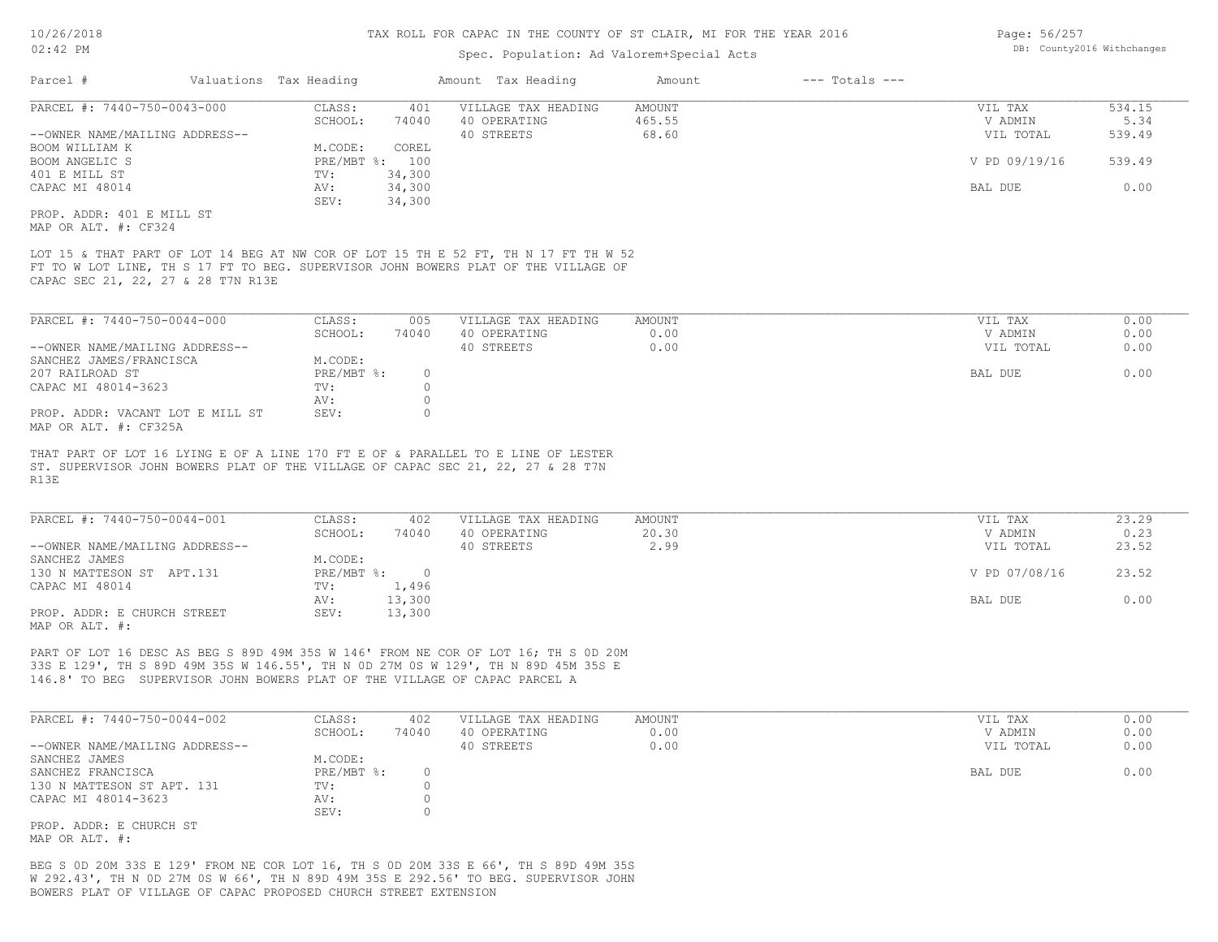# Spec. Population: Ad Valorem+Special Acts

| Page: 56/257 |                            |
|--------------|----------------------------|
|              | DB: County2016 Withchanges |

| Parcel #                                                                   | Valuations Tax Heading |                              |                         | Amount Tax Heading                                                                                                                                                        | Amount                           | $---$ Totals $---$ |                                 |                          |
|----------------------------------------------------------------------------|------------------------|------------------------------|-------------------------|---------------------------------------------------------------------------------------------------------------------------------------------------------------------------|----------------------------------|--------------------|---------------------------------|--------------------------|
| PARCEL #: 7440-750-0043-000<br>--OWNER NAME/MAILING ADDRESS--              |                        | CLASS:<br>SCHOOL:            | 401<br>74040            | VILLAGE TAX HEADING<br>40 OPERATING<br>40 STREETS                                                                                                                         | <b>AMOUNT</b><br>465.55<br>68.60 |                    | VIL TAX<br>V ADMIN<br>VIL TOTAL | 534.15<br>5.34<br>539.49 |
| BOOM WILLIAM K<br>BOOM ANGELIC S                                           |                        | M.CODE:                      | COREL<br>PRE/MBT %: 100 |                                                                                                                                                                           |                                  |                    | V PD 09/19/16                   | 539.49                   |
| 401 E MILL ST<br>CAPAC MI 48014                                            |                        | TV:<br>AV:                   | 34,300<br>34,300        |                                                                                                                                                                           |                                  |                    | BAL DUE                         | 0.00                     |
| PROP. ADDR: 401 E MILL ST<br>MAP OR ALT. #: CF324                          |                        | SEV:                         | 34,300                  |                                                                                                                                                                           |                                  |                    |                                 |                          |
| CAPAC SEC 21, 22, 27 & 28 T7N R13E                                         |                        |                              |                         | LOT 15 & THAT PART OF LOT 14 BEG AT NW COR OF LOT 15 TH E 52 FT, TH N 17 FT TH W 52<br>FT TO W LOT LINE, TH S 17 FT TO BEG. SUPERVISOR JOHN BOWERS PLAT OF THE VILLAGE OF |                                  |                    |                                 |                          |
| PARCEL #: 7440-750-0044-000                                                |                        | CLASS:                       | 005                     | VILLAGE TAX HEADING                                                                                                                                                       | <b>AMOUNT</b>                    |                    | VIL TAX                         | 0.00                     |
| --OWNER NAME/MAILING ADDRESS--                                             |                        | SCHOOL:                      | 74040                   | 40 OPERATING<br>40 STREETS                                                                                                                                                | 0.00<br>0.00                     |                    | V ADMIN<br>VIL TOTAL            | 0.00<br>0.00             |
| SANCHEZ JAMES/FRANCISCA<br>207 RAILROAD ST                                 |                        | M.CODE:<br>PRE/MBT %:        | $\circ$                 |                                                                                                                                                                           |                                  |                    | BAL DUE                         | 0.00                     |
| CAPAC MI 48014-3623                                                        |                        | TV:                          | $\circ$                 |                                                                                                                                                                           |                                  |                    |                                 |                          |
| PROP. ADDR: VACANT LOT E MILL ST<br>MAP OR ALT. #: CF325A                  |                        | AV:<br>SEV:                  | $\circ$<br>$\circ$      |                                                                                                                                                                           |                                  |                    |                                 |                          |
| R13E                                                                       |                        |                              |                         | THAT PART OF LOT 16 LYING E OF A LINE 170 FT E OF & PARALLEL TO E LINE OF LESTER<br>ST. SUPERVISOR JOHN BOWERS PLAT OF THE VILLAGE OF CAPAC SEC 21, 22, 27 & 28 T7N       |                                  |                    |                                 |                          |
| PARCEL #: 7440-750-0044-001                                                |                        | CLASS:<br>SCHOOL:            | 402                     | VILLAGE TAX HEADING<br>40 OPERATING                                                                                                                                       | AMOUNT<br>20.30                  |                    | VIL TAX<br>V ADMIN              | 23.29<br>0.23            |
| --OWNER NAME/MAILING ADDRESS--                                             |                        |                              | 74040                   | 40 STREETS                                                                                                                                                                | 2.99                             |                    | VIL TOTAL                       | 23.52                    |
| SANCHEZ JAMES<br>130 N MATTESON ST APT.131                                 |                        | M.CODE:                      | PRE/MBT %: 0            |                                                                                                                                                                           |                                  |                    | V PD 07/08/16                   | 23.52                    |
| CAPAC MI 48014                                                             |                        | TV:<br>AV:                   | 1,496<br>13,300         |                                                                                                                                                                           |                                  |                    | BAL DUE                         | 0.00                     |
| PROP. ADDR: E CHURCH STREET<br>MAP OR ALT. #:                              |                        | SEV:                         | 13,300                  |                                                                                                                                                                           |                                  |                    |                                 |                          |
| 146.8' TO BEG SUPERVISOR JOHN BOWERS PLAT OF THE VILLAGE OF CAPAC PARCEL A |                        |                              |                         | PART OF LOT 16 DESC AS BEG S 89D 49M 35S W 146' FROM NE COR OF LOT 16; TH S OD 20M<br>33S E 129', TH S 89D 49M 35S W 146.55', TH N OD 27M OS W 129', TH N 89D 45M 35S E   |                                  |                    |                                 |                          |
| PARCEL #: 7440-750-0044-002                                                |                        | CLASS:                       | 402                     | VILLAGE TAX HEADING                                                                                                                                                       | <b>AMOUNT</b>                    |                    | VIL TAX                         | 0.00                     |
| --OWNER NAME/MAILING ADDRESS--                                             |                        | SCHOOL:                      | 74040                   | 40 OPERATING<br>40 STREETS                                                                                                                                                | 0.00<br>0.00                     |                    | V ADMIN<br>VIL TOTAL            | 0.00<br>0.00             |
| SANCHEZ JAMES<br>SANCHEZ FRANCISCA<br>130 N MATTESON ST APT. 131           |                        | M.CODE:<br>PRE/MBT %:<br>TV: | $\circ$<br>$\circ$      |                                                                                                                                                                           |                                  |                    | BAL DUE                         | 0.00                     |
| CAPAC MI 48014-3623                                                        |                        | AV:<br>SEV:                  | $\circ$<br>$\circ$      |                                                                                                                                                                           |                                  |                    |                                 |                          |
| PROP. ADDR: E CHURCH ST                                                    |                        |                              |                         |                                                                                                                                                                           |                                  |                    |                                 |                          |

MAP OR ALT. #:

BOWERS PLAT OF VILLAGE OF CAPAC PROPOSED CHURCH STREET EXTENSION W 292.43', TH N 0D 27M 0S W 66', TH N 89D 49M 35S E 292.56' TO BEG. SUPERVISOR JOHN BEG S 0D 20M 33S E 129' FROM NE COR LOT 16, TH S 0D 20M 33S E 66', TH S 89D 49M 35S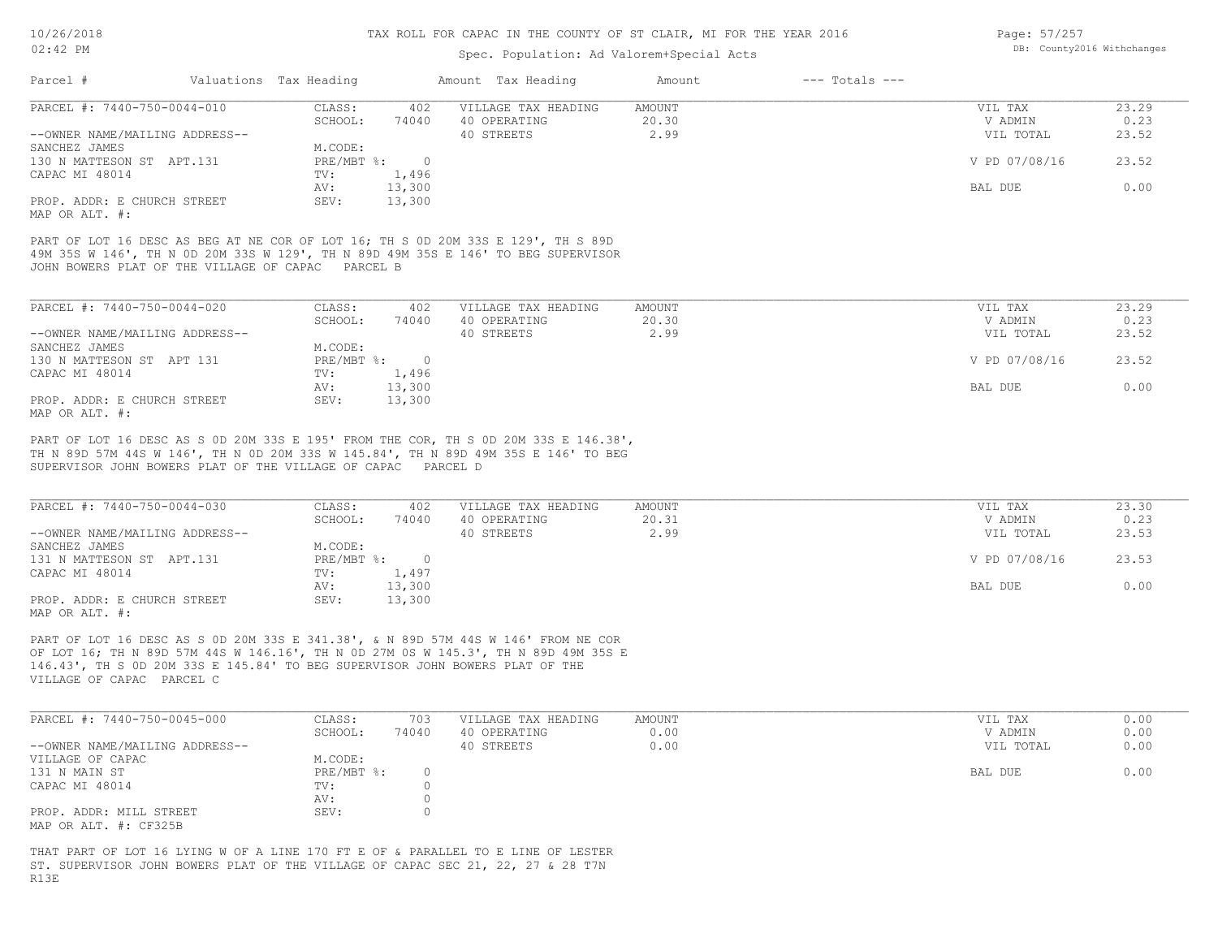# Spec. Population: Ad Valorem+Special Acts

| Page: 57/257 |                            |
|--------------|----------------------------|
|              | DB: County2016 Withchanges |

| Parcel #                       | Valuations Tax Heading |        | Amount Tax Heading  | Amount | $---$ Totals $---$ |               |       |
|--------------------------------|------------------------|--------|---------------------|--------|--------------------|---------------|-------|
| PARCEL #: 7440-750-0044-010    | CLASS:                 | 402    | VILLAGE TAX HEADING | AMOUNT |                    | VIL TAX       | 23.29 |
|                                | SCHOOL:                | 74040  | 40 OPERATING        | 20.30  |                    | V ADMIN       | 0.23  |
| --OWNER NAME/MAILING ADDRESS-- |                        |        | 40 STREETS          | 2.99   |                    | VIL TOTAL     | 23.52 |
| SANCHEZ JAMES                  | M.CODE:                |        |                     |        |                    |               |       |
| 130 N MATTESON ST APT.131      | PRE/MBT %:             |        |                     |        |                    | V PD 07/08/16 | 23.52 |
| CAPAC MI 48014                 | TV:                    | 1,496  |                     |        |                    |               |       |
|                                | AV:                    | 13,300 |                     |        |                    | BAL DUE       | 0.00  |
| PROP. ADDR: E CHURCH STREET    | SEV:                   | 13,300 |                     |        |                    |               |       |
| MAP OR ALT. #:                 |                        |        |                     |        |                    |               |       |

JOHN BOWERS PLAT OF THE VILLAGE OF CAPAC PARCEL B 49M 35S W 146', TH N 0D 20M 33S W 129', TH N 89D 49M 35S E 146' TO BEG SUPERVISOR PART OF LOT 16 DESC AS BEG AT NE COR OF LOT 16; TH S 0D 20M 33S E 129', TH S 89D

| PARCEL #: 7440-750-0044-020    | CLASS:       | 402    | VILLAGE TAX HEADING | AMOUNT | VIL TAX       | 23.29 |
|--------------------------------|--------------|--------|---------------------|--------|---------------|-------|
|                                | SCHOOL:      | 74040  | 40 OPERATING        | 20.30  | V ADMIN       | 0.23  |
| --OWNER NAME/MAILING ADDRESS-- |              |        | 40 STREETS          | 2.99   | VIL TOTAL     | 23.52 |
| SANCHEZ JAMES                  | M.CODE:      |        |                     |        |               |       |
| 130 N MATTESON ST APT 131      | $PRE/MBT$ %: |        |                     |        | V PD 07/08/16 | 23.52 |
| CAPAC MI 48014                 | TV:          | 1,496  |                     |        |               |       |
|                                | AV:          | 13,300 |                     |        | BAL DUE       | 0.00  |
| PROP. ADDR: E CHURCH STREET    | SEV:         | 13,300 |                     |        |               |       |
| MAP OR ALT. #:                 |              |        |                     |        |               |       |

SUPERVISOR JOHN BOWERS PLAT OF THE VILLAGE OF CAPAC PARCEL D TH N 89D 57M 44S W 146', TH N 0D 20M 33S W 145.84', TH N 89D 49M 35S E 146' TO BEG PART OF LOT 16 DESC AS S 0D 20M 33S E 195' FROM THE COR, TH S 0D 20M 33S E 146.38',

| PARCEL #: 7440-750-0044-030    | CLASS:     | 402    | VILLAGE TAX HEADING | AMOUNT | VIL TAX       | 23.30 |
|--------------------------------|------------|--------|---------------------|--------|---------------|-------|
|                                | SCHOOL:    | 74040  | 40 OPERATING        | 20.31  | V ADMIN       | 0.23  |
| --OWNER NAME/MAILING ADDRESS-- |            |        | 40 STREETS          | 2.99   | VIL TOTAL     | 23.53 |
| SANCHEZ JAMES                  | M.CODE:    |        |                     |        |               |       |
| 131 N MATTESON ST APT.131      | PRE/MBT %: |        |                     |        | V PD 07/08/16 | 23.53 |
| CAPAC MI 48014                 | TV:        | 1,497  |                     |        |               |       |
|                                | AV:        | 13,300 |                     |        | BAL DUE       | 0.00  |
| PROP. ADDR: E CHURCH STREET    | SEV:       | 13,300 |                     |        |               |       |
| MAP OR ALT. #:                 |            |        |                     |        |               |       |

VILLAGE OF CAPAC PARCEL C 146.43', TH S 0D 20M 33S E 145.84' TO BEG SUPERVISOR JOHN BOWERS PLAT OF THE OF LOT 16; TH N 89D 57M 44S W 146.16', TH N 0D 27M 0S W 145.3', TH N 89D 49M 35S E PART OF LOT 16 DESC AS S 0D 20M 33S E 341.38', & N 89D 57M 44S W 146' FROM NE COR

| PARCEL #: 7440-750-0045-000    | CLASS:     | 703   | VILLAGE TAX HEADING | AMOUNT | VIL TAX   | 0.00 |
|--------------------------------|------------|-------|---------------------|--------|-----------|------|
|                                | SCHOOL:    | 74040 | 40 OPERATING        | 0.00   | V ADMIN   | 0.00 |
| --OWNER NAME/MAILING ADDRESS-- |            |       | 40 STREETS          | 0.00   | VIL TOTAL | 0.00 |
| VILLAGE OF CAPAC               | M.CODE:    |       |                     |        |           |      |
| 131 N MAIN ST                  | PRE/MBT %: |       |                     |        | BAL DUE   | 0.00 |
| CAPAC MI 48014                 | TV:        |       |                     |        |           |      |
|                                | AV:        |       |                     |        |           |      |
| PROP. ADDR: MILL STREET        | SEV:       |       |                     |        |           |      |
| MAP OR ALT. #: CF325B          |            |       |                     |        |           |      |

R13E ST. SUPERVISOR JOHN BOWERS PLAT OF THE VILLAGE OF CAPAC SEC 21, 22, 27 & 28 T7N THAT PART OF LOT 16 LYING W OF A LINE 170 FT E OF & PARALLEL TO E LINE OF LESTER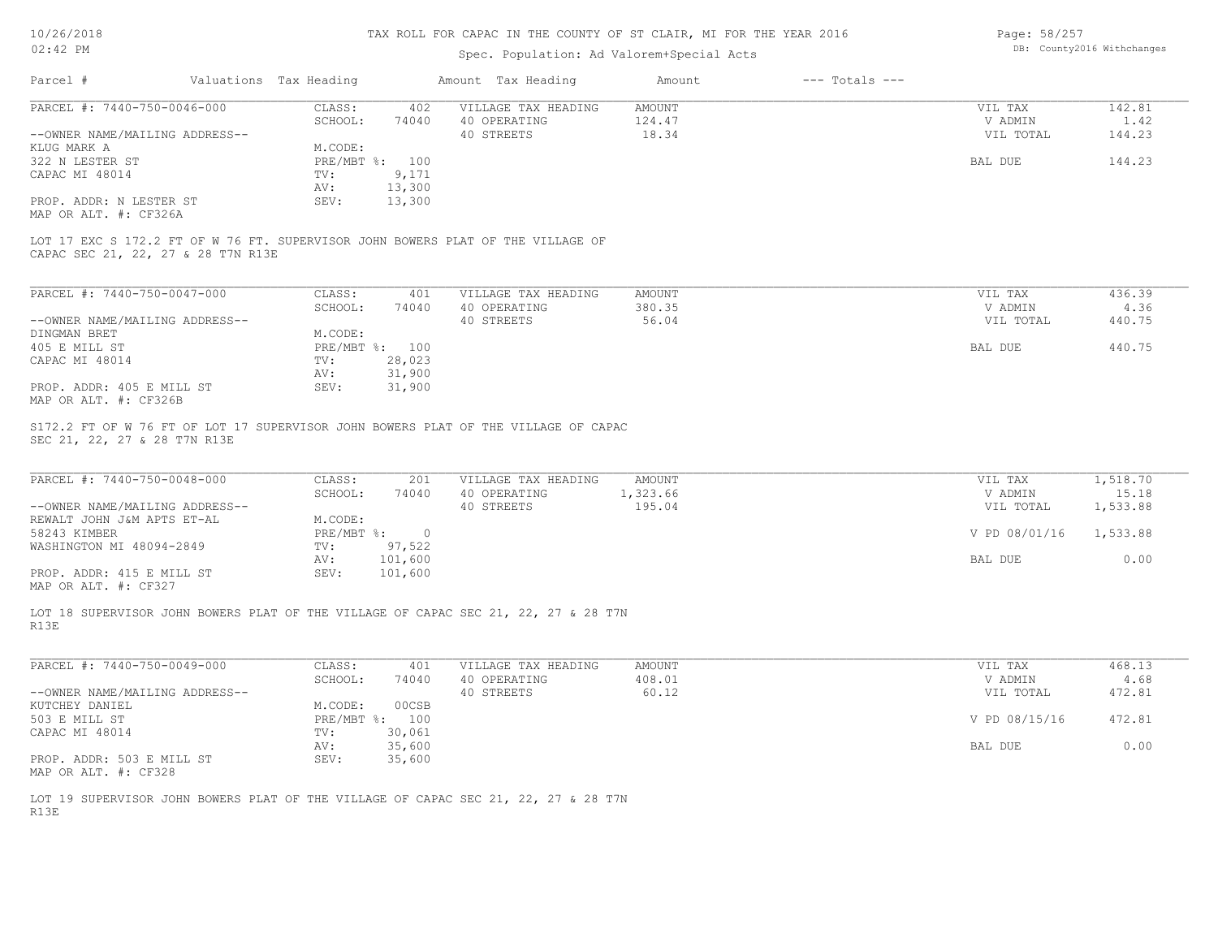# Spec. Population: Ad Valorem+Special Acts

Page: 58/257 DB: County2016 Withchanges

| Parcel #                                                                                                                                                                                                                          | Valuations Tax Heading |                                              |                 | Amount Tax Heading                                | Amount                              | $---$ Totals $---$ |                                                  |                                           |
|-----------------------------------------------------------------------------------------------------------------------------------------------------------------------------------------------------------------------------------|------------------------|----------------------------------------------|-----------------|---------------------------------------------------|-------------------------------------|--------------------|--------------------------------------------------|-------------------------------------------|
| PARCEL #: 7440-750-0046-000                                                                                                                                                                                                       |                        | CLASS:<br>SCHOOL:                            | 402<br>74040    | VILLAGE TAX HEADING<br>40 OPERATING               | AMOUNT<br>124.47                    |                    | VIL TAX<br>V ADMIN                               | 142.81<br>1.42                            |
| --OWNER NAME/MAILING ADDRESS--                                                                                                                                                                                                    |                        |                                              |                 | 40 STREETS                                        | 18.34                               |                    | VIL TOTAL                                        | 144.23                                    |
| KLUG MARK A                                                                                                                                                                                                                       |                        | M.CODE:                                      |                 |                                                   |                                     |                    |                                                  |                                           |
| 322 N LESTER ST                                                                                                                                                                                                                   |                        | PRE/MBT %: 100                               |                 |                                                   |                                     |                    | <b>BAL DUE</b>                                   | 144.23                                    |
| CAPAC MI 48014                                                                                                                                                                                                                    |                        | TV:<br>AV:                                   | 9,171<br>13,300 |                                                   |                                     |                    |                                                  |                                           |
| PROP. ADDR: N LESTER ST                                                                                                                                                                                                           |                        | SEV:                                         | 13,300          |                                                   |                                     |                    |                                                  |                                           |
| MAP OR ALT. #: CF326A                                                                                                                                                                                                             |                        |                                              |                 |                                                   |                                     |                    |                                                  |                                           |
| LOT 17 EXC S 172.2 FT OF W 76 FT. SUPERVISOR JOHN BOWERS PLAT OF THE VILLAGE OF<br>CAPAC SEC 21, 22, 27 & 28 T7N R13E                                                                                                             |                        |                                              |                 |                                                   |                                     |                    |                                                  |                                           |
| PARCEL #: 7440-750-0047-000                                                                                                                                                                                                       |                        | CLASS:                                       | 401             | VILLAGE TAX HEADING                               | AMOUNT                              |                    | VIL TAX                                          | 436.39                                    |
|                                                                                                                                                                                                                                   |                        | SCHOOL:                                      | 74040           | 40 OPERATING                                      | 380.35                              |                    | V ADMIN                                          | 4.36                                      |
| --OWNER NAME/MAILING ADDRESS--                                                                                                                                                                                                    |                        |                                              |                 | 40 STREETS                                        | 56.04                               |                    | VIL TOTAL                                        | 440.75                                    |
| DINGMAN BRET                                                                                                                                                                                                                      |                        | M.CODE:                                      |                 |                                                   |                                     |                    |                                                  |                                           |
| 405 E MILL ST                                                                                                                                                                                                                     |                        | PRE/MBT %: 100                               |                 |                                                   |                                     |                    | BAL DUE                                          | 440.75                                    |
| CAPAC MI 48014                                                                                                                                                                                                                    |                        | TV:                                          | 28,023          |                                                   |                                     |                    |                                                  |                                           |
|                                                                                                                                                                                                                                   |                        | AV:                                          | 31,900          |                                                   |                                     |                    |                                                  |                                           |
| PROP. ADDR: 405 E MILL ST<br>MAP OR ALT. #: CF326B                                                                                                                                                                                |                        | SEV:                                         | 31,900          |                                                   |                                     |                    |                                                  |                                           |
|                                                                                                                                                                                                                                   |                        |                                              |                 |                                                   |                                     |                    |                                                  |                                           |
| S172.2 FT OF W 76 FT OF LOT 17 SUPERVISOR JOHN BOWERS PLAT OF THE VILLAGE OF CAPAC<br>SEC 21, 22, 27 & 28 T7N R13E<br>PARCEL #: 7440-750-0048-000<br>--OWNER NAME/MAILING ADDRESS--<br>REWALT JOHN J&M APTS ET-AL<br>58243 KIMBER |                        | CLASS:<br>SCHOOL:<br>M.CODE:<br>PRE/MBT %: 0 | 201<br>74040    | VILLAGE TAX HEADING<br>40 OPERATING<br>40 STREETS | <b>AMOUNT</b><br>1,323.66<br>195.04 |                    | VIL TAX<br>V ADMIN<br>VIL TOTAL<br>V PD 08/01/16 | 1,518.70<br>15.18<br>1,533.88<br>1,533.88 |
| WASHINGTON MI 48094-2849                                                                                                                                                                                                          |                        | TV:                                          | 97,522          |                                                   |                                     |                    |                                                  |                                           |
|                                                                                                                                                                                                                                   |                        | AV:                                          | 101,600         |                                                   |                                     |                    | BAL DUE                                          | 0.00                                      |
| PROP. ADDR: 415 E MILL ST<br>MAP OR ALT. #: CF327                                                                                                                                                                                 |                        | SEV:                                         | 101,600         |                                                   |                                     |                    |                                                  |                                           |
| LOT 18 SUPERVISOR JOHN BOWERS PLAT OF THE VILLAGE OF CAPAC SEC 21, 22, 27 & 28 T7N<br>R13E                                                                                                                                        |                        |                                              |                 |                                                   |                                     |                    |                                                  |                                           |
| PARCEL #: 7440-750-0049-000                                                                                                                                                                                                       |                        | CLASS:                                       | 401             | VILLAGE TAX HEADING                               | <b>AMOUNT</b>                       |                    | VIL TAX                                          | 468.13                                    |
|                                                                                                                                                                                                                                   |                        | SCHOOL:                                      | 74040           | 40 OPERATING                                      | 408.01                              |                    | V ADMIN                                          | 4.68                                      |
|                                                                                                                                                                                                                                   |                        |                                              |                 | 40 STREETS                                        | 60.12                               |                    | VIL TOTAL                                        | 472.81                                    |
|                                                                                                                                                                                                                                   |                        | M.CODE:                                      | 00CSB           |                                                   |                                     |                    |                                                  |                                           |
|                                                                                                                                                                                                                                   |                        | PRE/MBT %: 100                               |                 |                                                   |                                     |                    | V PD 08/15/16                                    | 472.81                                    |
| --OWNER NAME/MAILING ADDRESS--<br>KUTCHEY DANIEL<br>503 E MILL ST<br>CAPAC MI 48014                                                                                                                                               |                        | TV:                                          | 30,061          |                                                   |                                     |                    |                                                  |                                           |
|                                                                                                                                                                                                                                   |                        | AV:                                          | 35,600          |                                                   |                                     |                    | BAL DUE                                          | 0.00                                      |
| PROP. ADDR: 503 E MILL ST                                                                                                                                                                                                         |                        | SEV:                                         | 35,600          |                                                   |                                     |                    |                                                  |                                           |
| MAP OR ALT. #: CF328                                                                                                                                                                                                              |                        |                                              |                 |                                                   |                                     |                    |                                                  |                                           |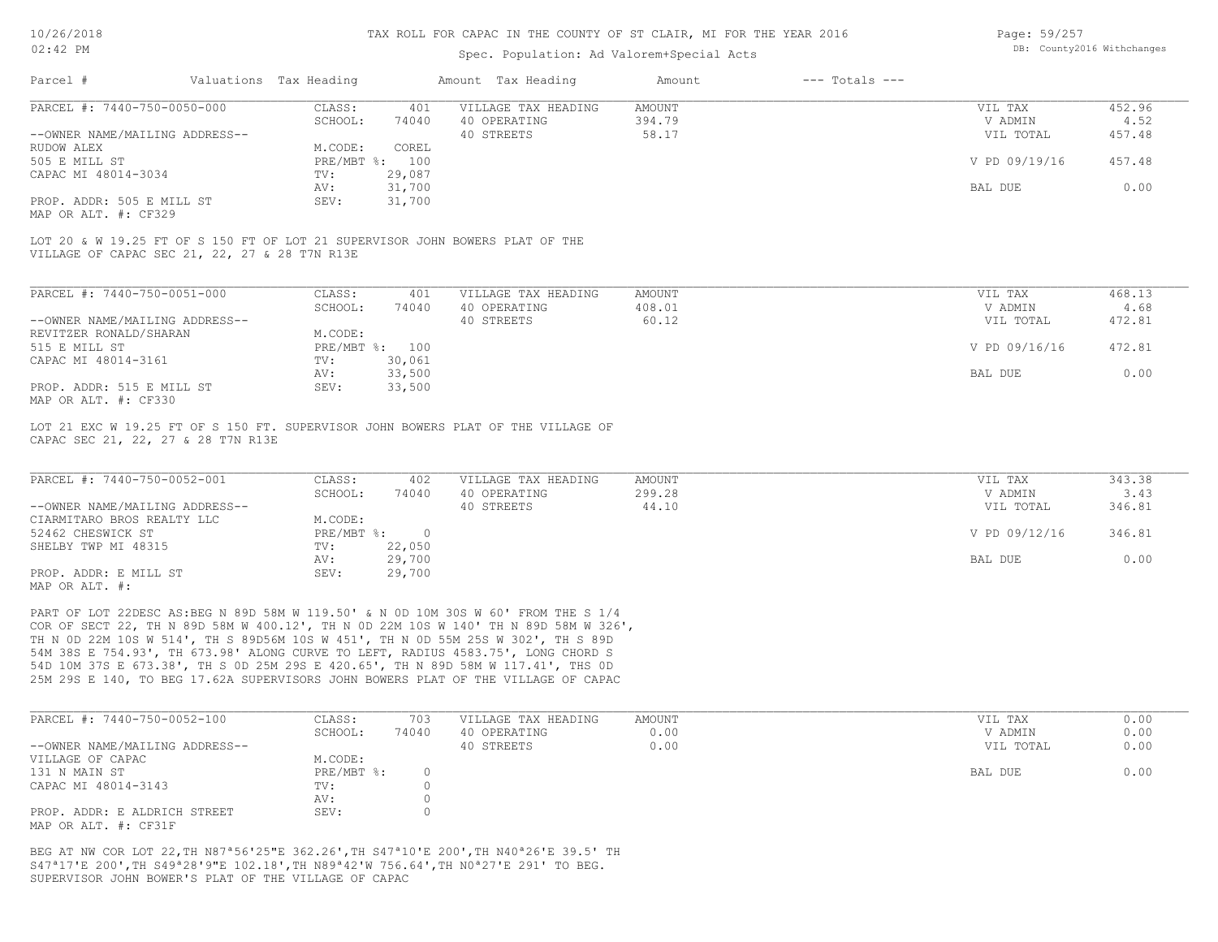## Spec. Population: Ad Valorem+Special Acts

| Page: 59/257 |                            |
|--------------|----------------------------|
|              | DB: County2016 Withchanges |

| Parcel #                       | Valuations Tax Heading |                | Amount Tax Heading  | Amount | $---$ Totals $---$ |               |        |
|--------------------------------|------------------------|----------------|---------------------|--------|--------------------|---------------|--------|
| PARCEL #: 7440-750-0050-000    | CLASS:                 | 401            | VILLAGE TAX HEADING | AMOUNT |                    | VIL TAX       | 452.96 |
|                                | SCHOOL:                | 74040          | 40 OPERATING        | 394.79 |                    | V ADMIN       | 4.52   |
| --OWNER NAME/MAILING ADDRESS-- |                        |                | 40 STREETS          | 58.17  |                    | VIL TOTAL     | 457.48 |
| RUDOW ALEX                     | M.CODE:                | COREL          |                     |        |                    |               |        |
| 505 E MILL ST                  |                        | PRE/MBT %: 100 |                     |        |                    | V PD 09/19/16 | 457.48 |
| CAPAC MI 48014-3034            | TV:                    | 29,087         |                     |        |                    |               |        |
|                                | AV:                    | 31,700         |                     |        |                    | BAL DUE       | 0.00   |
| PROP. ADDR: 505 E MILL ST      | SEV:                   | 31,700         |                     |        |                    |               |        |
| MAP OR ALT. #: CF329           |                        |                |                     |        |                    |               |        |
|                                |                        |                |                     |        |                    |               |        |

VILLAGE OF CAPAC SEC 21, 22, 27 & 28 T7N R13E LOT 20 & W 19.25 FT OF S 150 FT OF LOT 21 SUPERVISOR JOHN BOWERS PLAT OF THE

| PARCEL #: 7440-750-0051-000    | CLASS:       | 401    | VILLAGE TAX HEADING | AMOUNT | VIL TAX       | 468.13 |
|--------------------------------|--------------|--------|---------------------|--------|---------------|--------|
|                                | SCHOOL:      | 74040  | 40 OPERATING        | 408.01 | V ADMIN       | 4.68   |
| --OWNER NAME/MAILING ADDRESS-- |              |        | 40 STREETS          | 60.12  | VIL TOTAL     | 472.81 |
| REVITZER RONALD/SHARAN         | M.CODE:      |        |                     |        |               |        |
| 515 E MILL ST                  | $PRE/MBT$ %: | 100    |                     |        | V PD 09/16/16 | 472.81 |
| CAPAC MI 48014-3161            | TV:          | 30,061 |                     |        |               |        |
|                                | AV:          | 33,500 |                     |        | BAL DUE       | 0.00   |
| PROP. ADDR: 515 E MILL ST      | SEV:         | 33,500 |                     |        |               |        |
| MAP OR ALT. #: CF330           |              |        |                     |        |               |        |

CAPAC SEC 21, 22, 27 & 28 T7N R13E LOT 21 EXC W 19.25 FT OF S 150 FT. SUPERVISOR JOHN BOWERS PLAT OF THE VILLAGE OF

| PARCEL #: 7440-750-0052-001    | CLASS:       | 402    | VILLAGE TAX HEADING | AMOUNT | VIL TAX       | 343.38 |
|--------------------------------|--------------|--------|---------------------|--------|---------------|--------|
|                                | SCHOOL:      | 74040  | 40 OPERATING        | 299.28 | V ADMIN       | 3.43   |
| --OWNER NAME/MAILING ADDRESS-- |              |        | 40 STREETS          | 44.10  | VIL TOTAL     | 346.81 |
| CIARMITARO BROS REALTY LLC     | M.CODE:      |        |                     |        |               |        |
| 52462 CHESWICK ST              | $PRE/MBT$ %: |        |                     |        | V PD 09/12/16 | 346.81 |
| SHELBY TWP MI 48315            | TV:          | 22,050 |                     |        |               |        |
|                                | AV:          | 29,700 |                     |        | BAL DUE       | 0.00   |
| PROP. ADDR: E MILL ST          | SEV:         | 29,700 |                     |        |               |        |
| MAP OR ALT. #:                 |              |        |                     |        |               |        |

25M 29S E 140, TO BEG 17.62A SUPERVISORS JOHN BOWERS PLAT OF THE VILLAGE OF CAPAC 54D 10M 37S E 673.38', TH S 0D 25M 29S E 420.65', TH N 89D 58M W 117.41', THS 0D 54M 38S E 754.93', TH 673.98' ALONG CURVE TO LEFT, RADIUS 4583.75', LONG CHORD S TH N 0D 22M 10S W 514', TH S 89D56M 10S W 451', TH N 0D 55M 25S W 302', TH S 89D COR OF SECT 22, TH N 89D 58M W 400.12', TH N 0D 22M 10S W 140' TH N 89D 58M W 326', PART OF LOT 22DESC AS:BEG N 89D 58M W 119.50' & N 0D 10M 30S W 60' FROM THE S 1/4

| PARCEL #: 7440-750-0052-100                          | CLASS:     | 703   | VILLAGE TAX HEADING | AMOUNT | VIL TAX   | 0.00 |
|------------------------------------------------------|------------|-------|---------------------|--------|-----------|------|
|                                                      | SCHOOL:    | 74040 | 40 OPERATING        | 0.00   | V ADMIN   | 0.00 |
| --OWNER NAME/MAILING ADDRESS--                       |            |       | 40 STREETS          | 0.00   | VIL TOTAL | 0.00 |
| VILLAGE OF CAPAC                                     | M.CODE:    |       |                     |        |           |      |
| 131 N MAIN ST                                        | PRE/MBT %: |       |                     |        | BAL DUE   | 0.00 |
| CAPAC MI 48014-3143                                  | TV:        |       |                     |        |           |      |
|                                                      | AV:        |       |                     |        |           |      |
| PROP. ADDR: E ALDRICH STREET<br>MAP OR ALT. #: CF31F | SEV:       |       |                     |        |           |      |

SUPERVISOR JOHN BOWER'S PLAT OF THE VILLAGE OF CAPAC S47ª17'E 200',TH S49ª28'9"E 102.18',TH N89ª42'W 756.64',TH N0ª27'E 291' TO BEG. BEG AT NW COR LOT 22,TH N87ª56'25"E 362.26',TH S47ª10'E 200',TH N40ª26'E 39.5' TH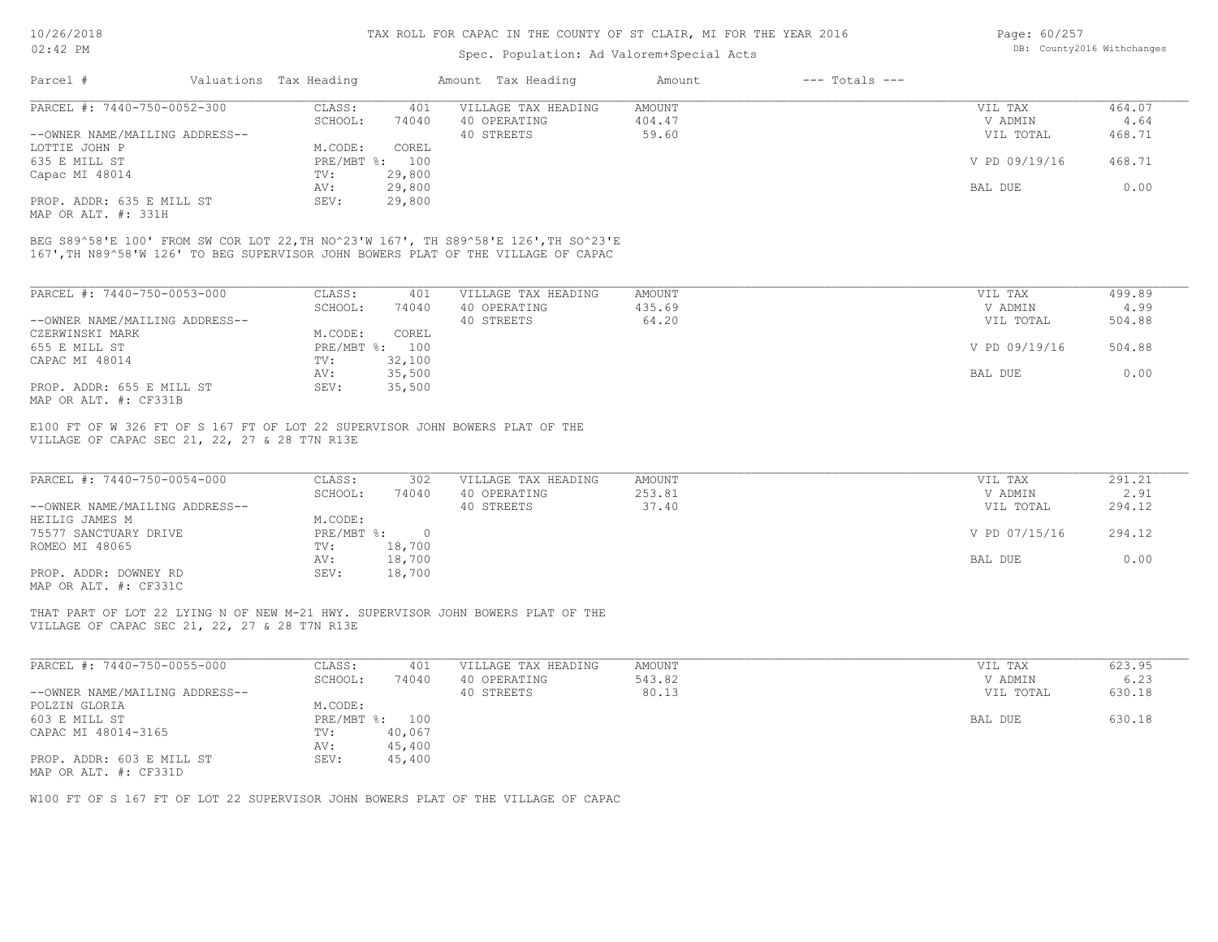# Spec. Population: Ad Valorem+Special Acts

| Page: 60/257 |                            |
|--------------|----------------------------|
|              | DB: County2016 Withchanges |

| Parcel #       |                                | Valuations Tax Heading |        | Amount Tax Heading  | Amount | $---$ Totals $---$ |               |        |
|----------------|--------------------------------|------------------------|--------|---------------------|--------|--------------------|---------------|--------|
|                | PARCEL #: 7440-750-0052-300    | CLASS:                 | 401    | VILLAGE TAX HEADING | AMOUNT |                    | VIL TAX       | 464.07 |
|                |                                | SCHOOL:                | 74040  | 40 OPERATING        | 404.47 |                    | V ADMIN       | 4.64   |
|                | --OWNER NAME/MAILING ADDRESS-- |                        |        | 40 STREETS          | 59.60  |                    | VIL TOTAL     | 468.71 |
| LOTTIE JOHN P  |                                | M.CODE:                | COREL  |                     |        |                    |               |        |
| 635 E MILL ST  |                                | PRE/MBT %: 100         |        |                     |        |                    | V PD 09/19/16 | 468.71 |
| Capac MI 48014 |                                | TV:                    | 29,800 |                     |        |                    |               |        |
|                |                                | AV:                    | 29,800 |                     |        |                    | BAL DUE       | 0.00   |
|                | PROP. ADDR: 635 E MILL ST      | SEV:                   | 29,800 |                     |        |                    |               |        |

MAP OR ALT. #: 331H

167',TH N89^58'W 126' TO BEG SUPERVISOR JOHN BOWERS PLAT OF THE VILLAGE OF CAPAC BEG S89^58'E 100' FROM SW COR LOT 22,TH NO^23'W 167', TH S89^58'E 126',TH SO^23'E

| PARCEL #: 7440-750-0053-000    | CLASS:     | 401    | VILLAGE TAX HEADING | AMOUNT | VIL TAX       | 499.89 |
|--------------------------------|------------|--------|---------------------|--------|---------------|--------|
|                                | SCHOOL:    | 74040  | 40 OPERATING        | 435.69 | V ADMIN       | 4.99   |
| --OWNER NAME/MAILING ADDRESS-- |            |        | 40 STREETS          | 64.20  | VIL TOTAL     | 504.88 |
| CZERWINSKI MARK                | M.CODE:    | COREL  |                     |        |               |        |
| 655 E MILL ST                  | PRE/MBT %: | 100    |                     |        | V PD 09/19/16 | 504.88 |
| CAPAC MI 48014                 | TV:        | 32,100 |                     |        |               |        |
|                                | AV:        | 35,500 |                     |        | BAL DUE       | 0.00   |
| PROP. ADDR: 655 E MILL ST      | SEV:       | 35,500 |                     |        |               |        |
| MAP OR ALT. #: CF331B          |            |        |                     |        |               |        |

VILLAGE OF CAPAC SEC 21, 22, 27 & 28 T7N R13E E100 FT OF W 326 FT OF S 167 FT OF LOT 22 SUPERVISOR JOHN BOWERS PLAT OF THE

| PARCEL #: 7440-750-0054-000    | CLASS:     | 302    | VILLAGE TAX HEADING | AMOUNT | VIL TAX       | 291.21 |
|--------------------------------|------------|--------|---------------------|--------|---------------|--------|
|                                | SCHOOL:    | 74040  | 40 OPERATING        | 253.81 | V ADMIN       | 2.91   |
| --OWNER NAME/MAILING ADDRESS-- |            |        | 40 STREETS          | 37.40  | VIL TOTAL     | 294.12 |
| HEILIG JAMES M                 | M.CODE:    |        |                     |        |               |        |
| 75577 SANCTUARY DRIVE          | PRE/MBT %: |        |                     |        | V PD 07/15/16 | 294.12 |
| ROMEO MI 48065                 | TV:        | 18,700 |                     |        |               |        |
|                                | AV:        | 18,700 |                     |        | BAL DUE       | 0.00   |
| PROP. ADDR: DOWNEY RD          | SEV:       | 18,700 |                     |        |               |        |
| MAP OR ALT. #: CF331C          |            |        |                     |        |               |        |

VILLAGE OF CAPAC SEC 21, 22, 27 & 28 T7N R13E THAT PART OF LOT 22 LYING N OF NEW M-21 HWY. SUPERVISOR JOHN BOWERS PLAT OF THE

| PARCEL #: 7440-750-0055-000    | CLASS:  | 401            | VILLAGE TAX HEADING | AMOUNT | VIL TAX   | 623.95 |
|--------------------------------|---------|----------------|---------------------|--------|-----------|--------|
|                                | SCHOOL: | 74040          | 40 OPERATING        | 543.82 | V ADMIN   | 6.23   |
| --OWNER NAME/MAILING ADDRESS-- |         |                | 40 STREETS          | 80.13  | VIL TOTAL | 630.18 |
| POLZIN GLORIA                  | M.CODE: |                |                     |        |           |        |
| 603 E MILL ST                  |         | PRE/MBT %: 100 |                     |        | BAL DUE   | 630.18 |
| CAPAC MI 48014-3165            | TV:     | 40,067         |                     |        |           |        |
|                                | AV:     | 45,400         |                     |        |           |        |
| PROP. ADDR: 603 E MILL ST      | SEV:    | 45,400         |                     |        |           |        |
| MAP OR ALT. #: CF331D          |         |                |                     |        |           |        |

W100 FT OF S 167 FT OF LOT 22 SUPERVISOR JOHN BOWERS PLAT OF THE VILLAGE OF CAPAC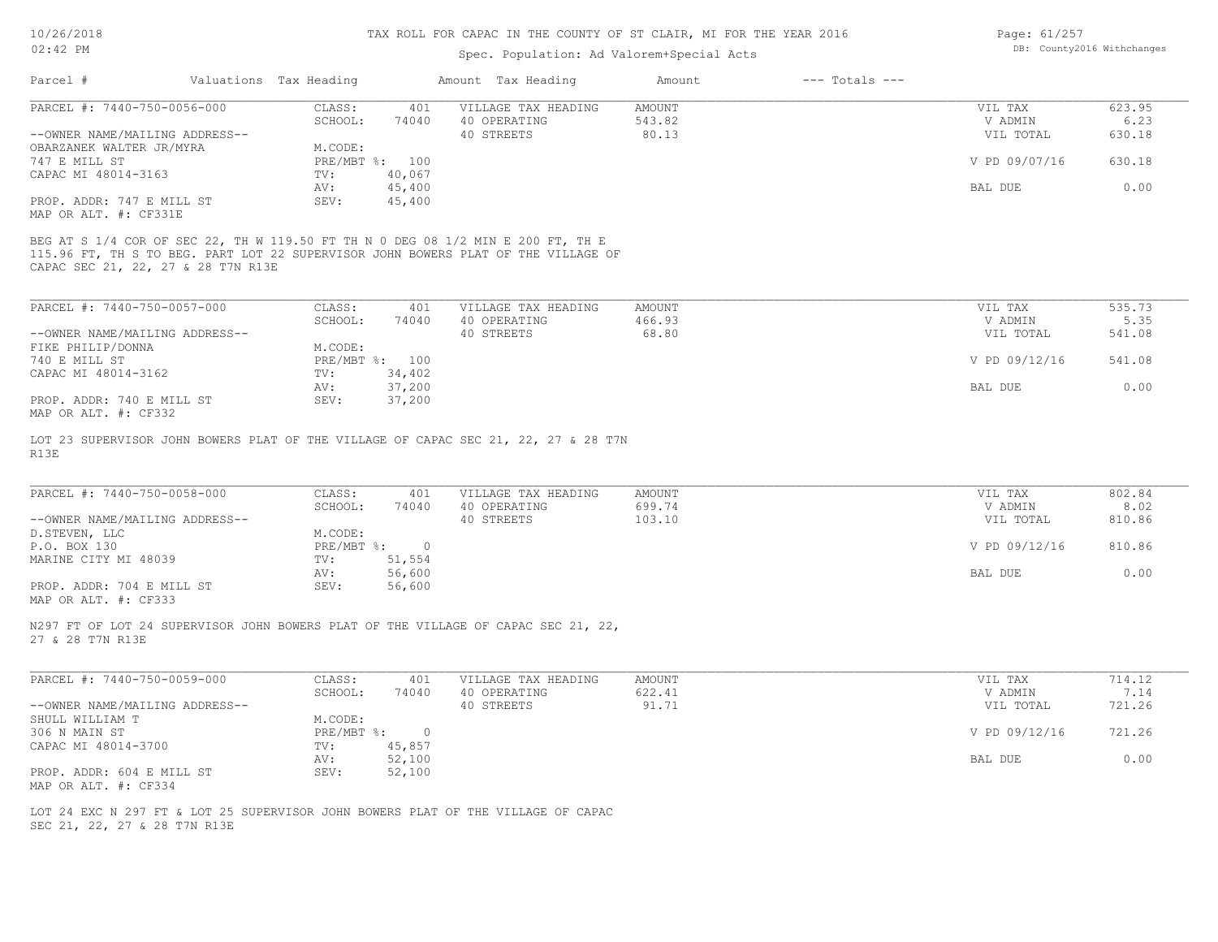| Page: 61/257               |  |
|----------------------------|--|
| DB: County2016 Withchange; |  |

| $02:42$ PM                                         |                           |                | Spec. Population: Ad Valorem+Special Acts                                                                                                                            |                  |                    |                    | DB: County2016 Withchanges |
|----------------------------------------------------|---------------------------|----------------|----------------------------------------------------------------------------------------------------------------------------------------------------------------------|------------------|--------------------|--------------------|----------------------------|
| Parcel #                                           | Valuations Tax Heading    |                | Amount Tax Heading                                                                                                                                                   | Amount           | $---$ Totals $---$ |                    |                            |
| PARCEL #: 7440-750-0056-000                        | CLASS:                    | 401            | VILLAGE TAX HEADING                                                                                                                                                  | AMOUNT           |                    | VIL TAX            | 623.95                     |
|                                                    | SCHOOL:                   | 74040          | 40 OPERATING                                                                                                                                                         | 543.82           |                    | V ADMIN            | 6.23                       |
| --OWNER NAME/MAILING ADDRESS--                     |                           |                | 40 STREETS                                                                                                                                                           | 80.13            |                    | VIL TOTAL          | 630.18                     |
| OBARZANEK WALTER JR/MYRA                           | M.CODE:                   |                |                                                                                                                                                                      |                  |                    |                    |                            |
| 747 E MILL ST                                      |                           | PRE/MBT %: 100 |                                                                                                                                                                      |                  |                    | V PD 09/07/16      | 630.18                     |
| CAPAC MI 48014-3163                                | TV:                       | 40,067         |                                                                                                                                                                      |                  |                    |                    |                            |
|                                                    | AV:                       | 45,400         |                                                                                                                                                                      |                  |                    | BAL DUE            | 0.00                       |
| PROP. ADDR: 747 E MILL ST<br>MAP OR ALT. #: CF331E | SEV:                      | 45,400         |                                                                                                                                                                      |                  |                    |                    |                            |
| CAPAC SEC 21, 22, 27 & 28 T7N R13E                 |                           |                | BEG AT S 1/4 COR OF SEC 22, TH W 119.50 FT TH N 0 DEG 08 1/2 MIN E 200 FT, TH E<br>115.96 FT, TH S TO BEG. PART LOT 22 SUPERVISOR JOHN BOWERS PLAT OF THE VILLAGE OF |                  |                    |                    |                            |
| PARCEL #: 7440-750-0057-000                        | CLASS:                    | 401            | VILLAGE TAX HEADING                                                                                                                                                  | AMOUNT           |                    | VIL TAX            | 535.73                     |
|                                                    | SCHOOL:                   | 74040          | 40 OPERATING                                                                                                                                                         | 466.93           |                    | V ADMIN            | 5.35                       |
| --OWNER NAME/MAILING ADDRESS--                     |                           |                | 40 STREETS                                                                                                                                                           | 68.80            |                    | VIL TOTAL          | 541.08                     |
| FIKE PHILIP/DONNA                                  | M.CODE:                   |                |                                                                                                                                                                      |                  |                    |                    |                            |
| 740 E MILL ST                                      |                           | PRE/MBT %: 100 |                                                                                                                                                                      |                  |                    | V PD 09/12/16      | 541.08                     |
| CAPAC MI 48014-3162                                | TV:                       | 34,402         |                                                                                                                                                                      |                  |                    |                    |                            |
|                                                    | AV:                       | 37,200         |                                                                                                                                                                      |                  |                    | BAL DUE            | 0.00                       |
| PROP. ADDR: 740 E MILL ST                          | SEV:                      | 37,200         |                                                                                                                                                                      |                  |                    |                    |                            |
| MAP OR ALT. #: CF332                               |                           |                |                                                                                                                                                                      |                  |                    |                    |                            |
| PARCEL #: 7440-750-0058-000                        | CLASS:<br>SCHOOL:         | 401<br>74040   | VILLAGE TAX HEADING<br>40 OPERATING                                                                                                                                  | AMOUNT<br>699.74 |                    | VIL TAX<br>V ADMIN | 802.84<br>8.02             |
| --OWNER NAME/MAILING ADDRESS--                     |                           |                | 40 STREETS                                                                                                                                                           | 103.10           |                    | VIL TOTAL          | 810.86                     |
| D. STEVEN, LLC                                     | M.CODE:                   |                |                                                                                                                                                                      |                  |                    |                    |                            |
| P.O. BOX 130                                       | $PRE/MBT$ $\div$          | $\overline{0}$ |                                                                                                                                                                      |                  |                    | V PD 09/12/16      | 810.86                     |
| MARINE CITY MI 48039                               | TV:                       | 51,554         |                                                                                                                                                                      |                  |                    |                    |                            |
|                                                    | AV:                       | 56,600         |                                                                                                                                                                      |                  |                    | BAL DUE            | 0.00                       |
| PROP. ADDR: 704 E MILL ST<br>MAP OR ALT. #: CF333  | SEV:                      | 56,600         |                                                                                                                                                                      |                  |                    |                    |                            |
| 27 & 28 T7N R13E                                   |                           |                | N297 FT OF LOT 24 SUPERVISOR JOHN BOWERS PLAT OF THE VILLAGE OF CAPAC SEC 21, 22,                                                                                    |                  |                    |                    |                            |
| PARCEL #: 7440-750-0059-000                        | CLASS:                    | 401            | VILLAGE TAX HEADING                                                                                                                                                  | AMOUNT           |                    | VIL TAX            | 714.12                     |
|                                                    | SCHOOL:                   | 74040          | 40 OPERATING                                                                                                                                                         | 622.41           |                    | V ADMIN            | 7.14                       |
| --OWNER NAME/MAILING ADDRESS--                     |                           |                | 40 STREETS                                                                                                                                                           | 91.71            |                    | VIL TOTAL          | 721.26                     |
| SHULL WILLIAM T                                    | M.CODE:                   |                |                                                                                                                                                                      |                  |                    |                    |                            |
| 306 N MAIN ST                                      | $PRE/MBT$ $\frac{1}{6}$ : | $\overline{0}$ |                                                                                                                                                                      |                  |                    | V PD 09/12/16      | 721.26                     |
| CAPAC MI 48014-3700                                | TV:                       | 45,857         |                                                                                                                                                                      |                  |                    |                    |                            |
|                                                    | AV:                       | 52,100         |                                                                                                                                                                      |                  |                    | BAL DUE            | 0.00                       |
| PROP. ADDR: 604 E MILL ST                          | SEV:                      | 52,100         |                                                                                                                                                                      |                  |                    |                    |                            |
| MAP OR ALT. #: CF334                               |                           |                |                                                                                                                                                                      |                  |                    |                    |                            |
|                                                    |                           |                |                                                                                                                                                                      |                  |                    |                    |                            |
|                                                    |                           |                | LOT 24 EXC N 297 FT & LOT 25 SUPERVISOR JOHN BOWERS PLAT OF THE VILLAGE OF CAPAC                                                                                     |                  |                    |                    |                            |
| SEC 21, 22, 27 & 28 T7N R13E                       |                           |                |                                                                                                                                                                      |                  |                    |                    |                            |
|                                                    |                           |                |                                                                                                                                                                      |                  |                    |                    |                            |
|                                                    |                           |                |                                                                                                                                                                      |                  |                    |                    |                            |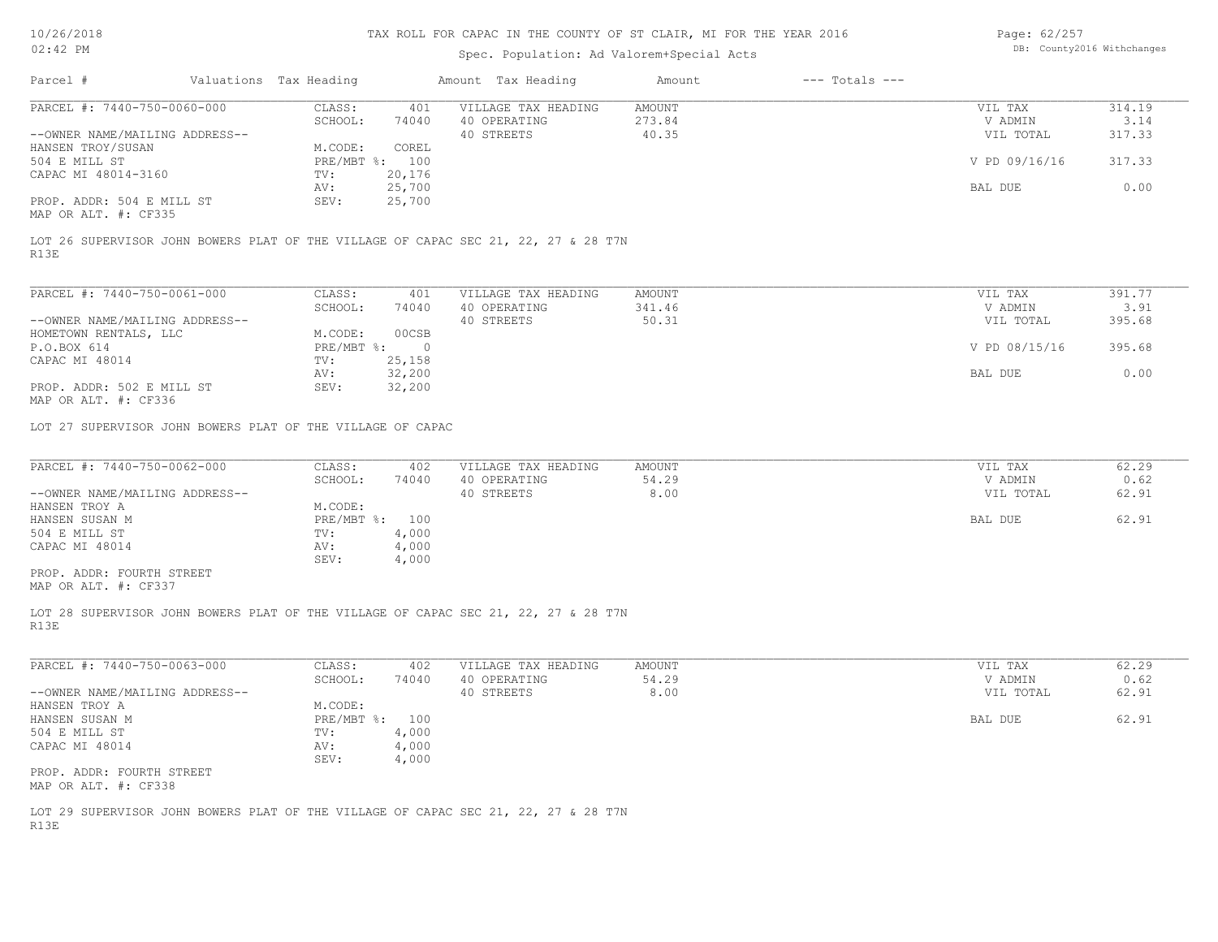# Spec. Population: Ad Valorem+Special Acts

Page: 62/257 DB: County2016 Withchanges

| SCHOOL:<br>273.84<br>V ADMIN<br>3.14<br>74040<br>40 OPERATING<br>--OWNER NAME/MAILING ADDRESS--<br>40 STREETS<br>40.35<br>VIL TOTAL<br>317.33<br>M.CODE:<br>HANSEN TROY/SUSAN<br>COREL<br>PRE/MBT %: 100<br>317.33<br>504 E MILL ST<br>V PD 09/16/16<br>20,176<br>$\texttt{TV}$ :<br>25,700<br>0.00<br>AV:<br>BAL DUE<br>25,700<br>SEV:<br>PROP. ADDR: 504 E MILL ST<br>R13E<br>391.77<br>CLASS:<br>401<br>VILLAGE TAX HEADING<br>AMOUNT<br>VIL TAX<br>341.46<br>3.91<br>SCHOOL:<br>40 OPERATING<br>V ADMIN<br>74040<br>40 STREETS<br>50.31<br>395.68<br>--OWNER NAME/MAILING ADDRESS--<br>VIL TOTAL<br>HOMETOWN RENTALS, LLC<br>M.CODE:<br>00CSB<br>395.68<br>P.O.BOX 614<br>$PRE/MBT$ $\div$ 0<br>V PD 08/15/16<br>$\text{TV}$ :<br>25,158<br>32,200<br>BAL DUE<br>0.00<br>AV:<br>PROP. ADDR: 502 E MILL ST<br>SEV:<br>32,200<br>CLASS:<br>VILLAGE TAX HEADING<br>VIL TAX<br>62.29<br>402<br>AMOUNT<br>54.29<br>SCHOOL:<br>74040<br>40 OPERATING<br>0.62<br>V ADMIN<br>40 STREETS<br>8.00<br>--OWNER NAME/MAILING ADDRESS--<br>VIL TOTAL<br>62.91<br>M.CODE:<br>62.91<br>PRE/MBT %: 100<br>BAL DUE<br>4,000<br>$\texttt{TV}$ :<br>4,000<br>CAPAC MI 48014<br>AV:<br>SEV:<br>4,000<br>PROP. ADDR: FOURTH STREET<br>CLASS:<br>VILLAGE TAX HEADING<br>AMOUNT<br>VIL TAX<br>62.29<br>402<br>SCHOOL:<br>74040<br>40 OPERATING<br>54.29<br>V ADMIN<br>0.62<br>8.00<br>--OWNER NAME/MAILING ADDRESS--<br>40 STREETS<br>VIL TOTAL<br>62.91<br>M.CODE:<br>62.91<br>PRE/MBT %: 100<br>BAL DUE<br>504 E MILL ST<br>4,000<br>TV:<br>AV: 4,000<br>4,000<br>SEV:<br>PROP. ADDR: FOURTH STREET<br>MAP OR ALT. #: CF338<br>LOT 29 SUPERVISOR JOHN BOWERS PLAT OF THE VILLAGE OF CAPAC SEC 21, 22, 27 & 28 T7N | PARCEL #: 7440-750-0060-000 | CLASS:<br>401 | VILLAGE TAX HEADING | AMOUNT | VIL TAX | 314.19 |
|-------------------------------------------------------------------------------------------------------------------------------------------------------------------------------------------------------------------------------------------------------------------------------------------------------------------------------------------------------------------------------------------------------------------------------------------------------------------------------------------------------------------------------------------------------------------------------------------------------------------------------------------------------------------------------------------------------------------------------------------------------------------------------------------------------------------------------------------------------------------------------------------------------------------------------------------------------------------------------------------------------------------------------------------------------------------------------------------------------------------------------------------------------------------------------------------------------------------------------------------------------------------------------------------------------------------------------------------------------------------------------------------------------------------------------------------------------------------------------------------------------------------------------------------------------------------------------------------------------------------------------------------------------------------------------------------------|-----------------------------|---------------|---------------------|--------|---------|--------|
|                                                                                                                                                                                                                                                                                                                                                                                                                                                                                                                                                                                                                                                                                                                                                                                                                                                                                                                                                                                                                                                                                                                                                                                                                                                                                                                                                                                                                                                                                                                                                                                                                                                                                                 |                             |               |                     |        |         |        |
| CAPAC MI 48014-3160<br>MAP OR ALT. #: CF335<br>LOT 26 SUPERVISOR JOHN BOWERS PLAT OF THE VILLAGE OF CAPAC SEC 21, 22, 27 & 28 T7N<br>PARCEL #: 7440-750-0061-000<br>CAPAC MI 48014<br>MAP OR ALT. #: CF336<br>LOT 27 SUPERVISOR JOHN BOWERS PLAT OF THE VILLAGE OF CAPAC<br>PARCEL #: 7440-750-0062-000<br>HANSEN TROY A<br>HANSEN SUSAN M<br>504 E MILL ST<br>MAP OR ALT. #: CF337<br>R13E<br>PARCEL #: 7440-750-0063-000<br>HANSEN TROY A<br>HANSEN SUSAN M<br>CAPAC MI 48014<br>R13E                                                                                                                                                                                                                                                                                                                                                                                                                                                                                                                                                                                                                                                                                                                                                                                                                                                                                                                                                                                                                                                                                                                                                                                                         |                             |               |                     |        |         |        |
|                                                                                                                                                                                                                                                                                                                                                                                                                                                                                                                                                                                                                                                                                                                                                                                                                                                                                                                                                                                                                                                                                                                                                                                                                                                                                                                                                                                                                                                                                                                                                                                                                                                                                                 |                             |               |                     |        |         |        |
|                                                                                                                                                                                                                                                                                                                                                                                                                                                                                                                                                                                                                                                                                                                                                                                                                                                                                                                                                                                                                                                                                                                                                                                                                                                                                                                                                                                                                                                                                                                                                                                                                                                                                                 |                             |               |                     |        |         |        |
|                                                                                                                                                                                                                                                                                                                                                                                                                                                                                                                                                                                                                                                                                                                                                                                                                                                                                                                                                                                                                                                                                                                                                                                                                                                                                                                                                                                                                                                                                                                                                                                                                                                                                                 |                             |               |                     |        |         |        |
|                                                                                                                                                                                                                                                                                                                                                                                                                                                                                                                                                                                                                                                                                                                                                                                                                                                                                                                                                                                                                                                                                                                                                                                                                                                                                                                                                                                                                                                                                                                                                                                                                                                                                                 |                             |               |                     |        |         |        |
| LOT 28 SUPERVISOR JOHN BOWERS PLAT OF THE VILLAGE OF CAPAC SEC 21, 22, 27 & 28 T7N                                                                                                                                                                                                                                                                                                                                                                                                                                                                                                                                                                                                                                                                                                                                                                                                                                                                                                                                                                                                                                                                                                                                                                                                                                                                                                                                                                                                                                                                                                                                                                                                              |                             |               |                     |        |         |        |
|                                                                                                                                                                                                                                                                                                                                                                                                                                                                                                                                                                                                                                                                                                                                                                                                                                                                                                                                                                                                                                                                                                                                                                                                                                                                                                                                                                                                                                                                                                                                                                                                                                                                                                 |                             |               |                     |        |         |        |
|                                                                                                                                                                                                                                                                                                                                                                                                                                                                                                                                                                                                                                                                                                                                                                                                                                                                                                                                                                                                                                                                                                                                                                                                                                                                                                                                                                                                                                                                                                                                                                                                                                                                                                 |                             |               |                     |        |         |        |
|                                                                                                                                                                                                                                                                                                                                                                                                                                                                                                                                                                                                                                                                                                                                                                                                                                                                                                                                                                                                                                                                                                                                                                                                                                                                                                                                                                                                                                                                                                                                                                                                                                                                                                 |                             |               |                     |        |         |        |
|                                                                                                                                                                                                                                                                                                                                                                                                                                                                                                                                                                                                                                                                                                                                                                                                                                                                                                                                                                                                                                                                                                                                                                                                                                                                                                                                                                                                                                                                                                                                                                                                                                                                                                 |                             |               |                     |        |         |        |
|                                                                                                                                                                                                                                                                                                                                                                                                                                                                                                                                                                                                                                                                                                                                                                                                                                                                                                                                                                                                                                                                                                                                                                                                                                                                                                                                                                                                                                                                                                                                                                                                                                                                                                 |                             |               |                     |        |         |        |
|                                                                                                                                                                                                                                                                                                                                                                                                                                                                                                                                                                                                                                                                                                                                                                                                                                                                                                                                                                                                                                                                                                                                                                                                                                                                                                                                                                                                                                                                                                                                                                                                                                                                                                 |                             |               |                     |        |         |        |
|                                                                                                                                                                                                                                                                                                                                                                                                                                                                                                                                                                                                                                                                                                                                                                                                                                                                                                                                                                                                                                                                                                                                                                                                                                                                                                                                                                                                                                                                                                                                                                                                                                                                                                 |                             |               |                     |        |         |        |
|                                                                                                                                                                                                                                                                                                                                                                                                                                                                                                                                                                                                                                                                                                                                                                                                                                                                                                                                                                                                                                                                                                                                                                                                                                                                                                                                                                                                                                                                                                                                                                                                                                                                                                 |                             |               |                     |        |         |        |
|                                                                                                                                                                                                                                                                                                                                                                                                                                                                                                                                                                                                                                                                                                                                                                                                                                                                                                                                                                                                                                                                                                                                                                                                                                                                                                                                                                                                                                                                                                                                                                                                                                                                                                 |                             |               |                     |        |         |        |
|                                                                                                                                                                                                                                                                                                                                                                                                                                                                                                                                                                                                                                                                                                                                                                                                                                                                                                                                                                                                                                                                                                                                                                                                                                                                                                                                                                                                                                                                                                                                                                                                                                                                                                 |                             |               |                     |        |         |        |
|                                                                                                                                                                                                                                                                                                                                                                                                                                                                                                                                                                                                                                                                                                                                                                                                                                                                                                                                                                                                                                                                                                                                                                                                                                                                                                                                                                                                                                                                                                                                                                                                                                                                                                 |                             |               |                     |        |         |        |
|                                                                                                                                                                                                                                                                                                                                                                                                                                                                                                                                                                                                                                                                                                                                                                                                                                                                                                                                                                                                                                                                                                                                                                                                                                                                                                                                                                                                                                                                                                                                                                                                                                                                                                 |                             |               |                     |        |         |        |
|                                                                                                                                                                                                                                                                                                                                                                                                                                                                                                                                                                                                                                                                                                                                                                                                                                                                                                                                                                                                                                                                                                                                                                                                                                                                                                                                                                                                                                                                                                                                                                                                                                                                                                 |                             |               |                     |        |         |        |
|                                                                                                                                                                                                                                                                                                                                                                                                                                                                                                                                                                                                                                                                                                                                                                                                                                                                                                                                                                                                                                                                                                                                                                                                                                                                                                                                                                                                                                                                                                                                                                                                                                                                                                 |                             |               |                     |        |         |        |
|                                                                                                                                                                                                                                                                                                                                                                                                                                                                                                                                                                                                                                                                                                                                                                                                                                                                                                                                                                                                                                                                                                                                                                                                                                                                                                                                                                                                                                                                                                                                                                                                                                                                                                 |                             |               |                     |        |         |        |
|                                                                                                                                                                                                                                                                                                                                                                                                                                                                                                                                                                                                                                                                                                                                                                                                                                                                                                                                                                                                                                                                                                                                                                                                                                                                                                                                                                                                                                                                                                                                                                                                                                                                                                 |                             |               |                     |        |         |        |
|                                                                                                                                                                                                                                                                                                                                                                                                                                                                                                                                                                                                                                                                                                                                                                                                                                                                                                                                                                                                                                                                                                                                                                                                                                                                                                                                                                                                                                                                                                                                                                                                                                                                                                 |                             |               |                     |        |         |        |
|                                                                                                                                                                                                                                                                                                                                                                                                                                                                                                                                                                                                                                                                                                                                                                                                                                                                                                                                                                                                                                                                                                                                                                                                                                                                                                                                                                                                                                                                                                                                                                                                                                                                                                 |                             |               |                     |        |         |        |
|                                                                                                                                                                                                                                                                                                                                                                                                                                                                                                                                                                                                                                                                                                                                                                                                                                                                                                                                                                                                                                                                                                                                                                                                                                                                                                                                                                                                                                                                                                                                                                                                                                                                                                 |                             |               |                     |        |         |        |
|                                                                                                                                                                                                                                                                                                                                                                                                                                                                                                                                                                                                                                                                                                                                                                                                                                                                                                                                                                                                                                                                                                                                                                                                                                                                                                                                                                                                                                                                                                                                                                                                                                                                                                 |                             |               |                     |        |         |        |
|                                                                                                                                                                                                                                                                                                                                                                                                                                                                                                                                                                                                                                                                                                                                                                                                                                                                                                                                                                                                                                                                                                                                                                                                                                                                                                                                                                                                                                                                                                                                                                                                                                                                                                 |                             |               |                     |        |         |        |
|                                                                                                                                                                                                                                                                                                                                                                                                                                                                                                                                                                                                                                                                                                                                                                                                                                                                                                                                                                                                                                                                                                                                                                                                                                                                                                                                                                                                                                                                                                                                                                                                                                                                                                 |                             |               |                     |        |         |        |
|                                                                                                                                                                                                                                                                                                                                                                                                                                                                                                                                                                                                                                                                                                                                                                                                                                                                                                                                                                                                                                                                                                                                                                                                                                                                                                                                                                                                                                                                                                                                                                                                                                                                                                 |                             |               |                     |        |         |        |
|                                                                                                                                                                                                                                                                                                                                                                                                                                                                                                                                                                                                                                                                                                                                                                                                                                                                                                                                                                                                                                                                                                                                                                                                                                                                                                                                                                                                                                                                                                                                                                                                                                                                                                 |                             |               |                     |        |         |        |
|                                                                                                                                                                                                                                                                                                                                                                                                                                                                                                                                                                                                                                                                                                                                                                                                                                                                                                                                                                                                                                                                                                                                                                                                                                                                                                                                                                                                                                                                                                                                                                                                                                                                                                 |                             |               |                     |        |         |        |
|                                                                                                                                                                                                                                                                                                                                                                                                                                                                                                                                                                                                                                                                                                                                                                                                                                                                                                                                                                                                                                                                                                                                                                                                                                                                                                                                                                                                                                                                                                                                                                                                                                                                                                 |                             |               |                     |        |         |        |
|                                                                                                                                                                                                                                                                                                                                                                                                                                                                                                                                                                                                                                                                                                                                                                                                                                                                                                                                                                                                                                                                                                                                                                                                                                                                                                                                                                                                                                                                                                                                                                                                                                                                                                 |                             |               |                     |        |         |        |
|                                                                                                                                                                                                                                                                                                                                                                                                                                                                                                                                                                                                                                                                                                                                                                                                                                                                                                                                                                                                                                                                                                                                                                                                                                                                                                                                                                                                                                                                                                                                                                                                                                                                                                 |                             |               |                     |        |         |        |
|                                                                                                                                                                                                                                                                                                                                                                                                                                                                                                                                                                                                                                                                                                                                                                                                                                                                                                                                                                                                                                                                                                                                                                                                                                                                                                                                                                                                                                                                                                                                                                                                                                                                                                 |                             |               |                     |        |         |        |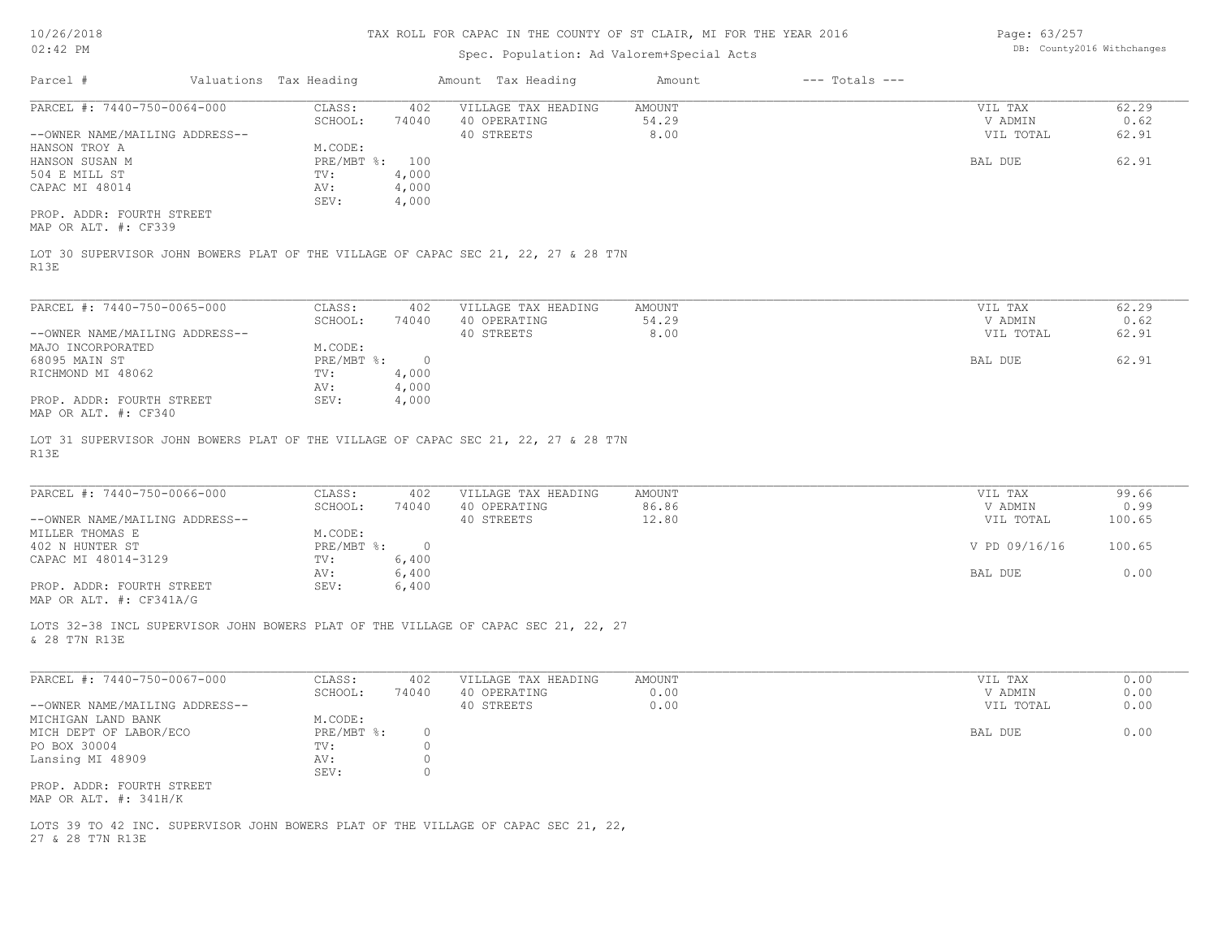Page: 63/257 DB: County2016 Withchanges

| Parcel #<br>Valuations Tax Heading<br>Amount Tax Heading<br>$---$ Totals $---$<br>Amount<br>PARCEL #: 7440-750-0064-000<br>CLASS:<br>402<br>VILLAGE TAX HEADING<br>AMOUNT<br>SCHOOL:<br>74040<br>40 OPERATING<br>54.29<br>--OWNER NAME/MAILING ADDRESS--<br>40 STREETS<br>8.00<br>M.CODE:<br>HANSON TROY A<br>PRE/MBT %: 100<br>HANSON SUSAN M<br>504 E MILL ST<br>4,000<br>TV:<br>4,000<br>CAPAC MI 48014<br>AV:<br>SEV:<br>4,000<br>PROP. ADDR: FOURTH STREET<br>MAP OR ALT. #: CF339<br>LOT 30 SUPERVISOR JOHN BOWERS PLAT OF THE VILLAGE OF CAPAC SEC 21, 22, 27 & 28 T7N<br>R13E<br>PARCEL #: 7440-750-0065-000<br>CLASS:<br>VILLAGE TAX HEADING<br>402<br>AMOUNT<br>54.29<br>SCHOOL:<br>74040<br>40 OPERATING<br>40 STREETS<br>8.00<br>--OWNER NAME/MAILING ADDRESS--<br>MAJO INCORPORATED<br>M.CODE:<br>68095 MAIN ST<br>PRE/MBT %:<br>$\overline{0}$<br>4,000<br>RICHMOND MI 48062<br>TV:<br>4,000<br>AV:<br>PROP. ADDR: FOURTH STREET<br>SEV:<br>4,000<br>MAP OR ALT. #: CF340 | VIL TAX<br>V ADMIN<br>VIL TOTAL<br>BAL DUE<br>VIL TAX<br>V ADMIN<br>VIL TOTAL | 62.29<br>0.62<br>62.91<br>62.91<br>62.29<br>0.62 |
|-----------------------------------------------------------------------------------------------------------------------------------------------------------------------------------------------------------------------------------------------------------------------------------------------------------------------------------------------------------------------------------------------------------------------------------------------------------------------------------------------------------------------------------------------------------------------------------------------------------------------------------------------------------------------------------------------------------------------------------------------------------------------------------------------------------------------------------------------------------------------------------------------------------------------------------------------------------------------------------------|-------------------------------------------------------------------------------|--------------------------------------------------|
|                                                                                                                                                                                                                                                                                                                                                                                                                                                                                                                                                                                                                                                                                                                                                                                                                                                                                                                                                                                         |                                                                               |                                                  |
|                                                                                                                                                                                                                                                                                                                                                                                                                                                                                                                                                                                                                                                                                                                                                                                                                                                                                                                                                                                         |                                                                               |                                                  |
|                                                                                                                                                                                                                                                                                                                                                                                                                                                                                                                                                                                                                                                                                                                                                                                                                                                                                                                                                                                         |                                                                               |                                                  |
|                                                                                                                                                                                                                                                                                                                                                                                                                                                                                                                                                                                                                                                                                                                                                                                                                                                                                                                                                                                         | BAL DUE                                                                       | 62.91<br>62.91                                   |
| LOT 31 SUPERVISOR JOHN BOWERS PLAT OF THE VILLAGE OF CAPAC SEC 21, 22, 27 & 28 T7N<br>R13E                                                                                                                                                                                                                                                                                                                                                                                                                                                                                                                                                                                                                                                                                                                                                                                                                                                                                              |                                                                               |                                                  |
| PARCEL #: 7440-750-0066-000<br>CLASS:<br>VILLAGE TAX HEADING<br>402<br>AMOUNT<br>40 OPERATING<br>86.86<br>SCHOOL:<br>74040<br>12.80<br>40 STREETS<br>--OWNER NAME/MAILING ADDRESS--<br>MILLER THOMAS E<br>M.CODE:<br>PRE/MBT %:<br>402 N HUNTER ST<br>$\overline{0}$<br>6,400<br>CAPAC MI 48014-3129<br>TV:<br>6,400<br>AV:                                                                                                                                                                                                                                                                                                                                                                                                                                                                                                                                                                                                                                                             | VIL TAX<br>V ADMIN<br>VIL TOTAL<br>V PD 09/16/16<br>BAL DUE                   | 99.66<br>0.99<br>100.65<br>100.65<br>0.00        |
| PROP. ADDR: FOURTH STREET<br>6,400<br>SEV:<br>MAP OR ALT. #: CF341A/G<br>LOTS 32-38 INCL SUPERVISOR JOHN BOWERS PLAT OF THE VILLAGE OF CAPAC SEC 21, 22, 27<br>& 28 T7N R13E                                                                                                                                                                                                                                                                                                                                                                                                                                                                                                                                                                                                                                                                                                                                                                                                            |                                                                               |                                                  |
| PARCEL #: 7440-750-0067-000<br>VILLAGE TAX HEADING<br>CLASS:<br>402<br>AMOUNT<br>SCHOOL:<br>74040<br>40 OPERATING<br>0.00<br>40 STREETS<br>0.00<br>--OWNER NAME/MAILING ADDRESS--<br>M.CODE:<br>MICHIGAN LAND BANK<br>MICH DEPT OF LABOR/ECO<br>PRE/MBT %:<br>$\circ$<br>PO BOX 30004<br>0<br>TV:<br>$\circ$<br>Lansing MI 48909<br>AV:<br>$\circ$<br>SEV:<br>PROP. ADDR: FOURTH STREET<br>MAP OR ALT. $\#$ : 341H/K                                                                                                                                                                                                                                                                                                                                                                                                                                                                                                                                                                    | VIL TAX<br>V ADMIN<br>VIL TOTAL<br>BAL DUE                                    | 0.00<br>0.00<br>0.00<br>0.00                     |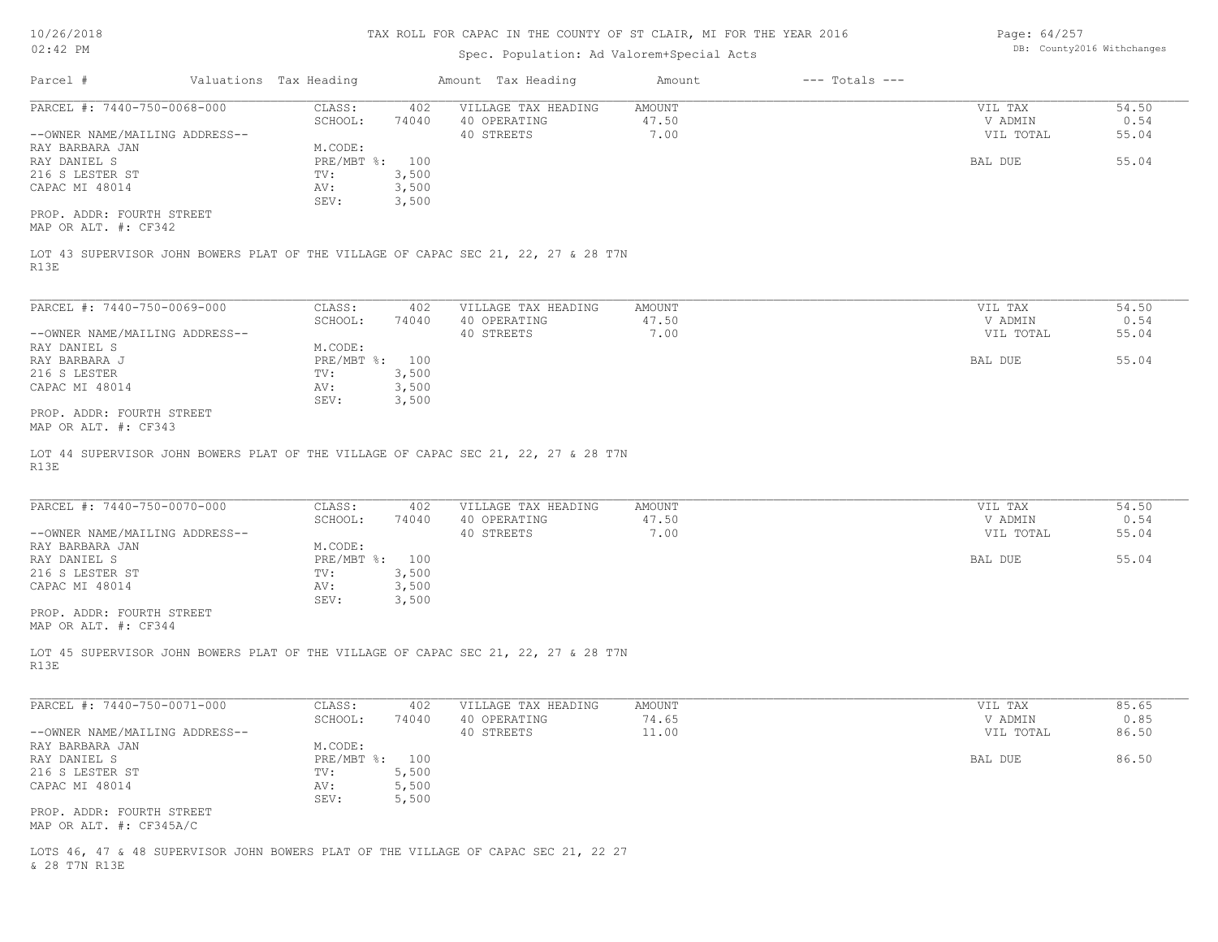# Spec. Population: Ad Valorem+Special Acts

Page: 64/257 DB: County2016 Withchanges

| PARCEL #: 7440-750-0068-000                                                                                | CLASS:<br>402    | VILLAGE TAX HEADING     | AMOUNT | VIL TAX   | 54.50 |
|------------------------------------------------------------------------------------------------------------|------------------|-------------------------|--------|-----------|-------|
|                                                                                                            | SCHOOL:<br>74040 | 40 OPERATING            | 47.50  | V ADMIN   | 0.54  |
| --OWNER NAME/MAILING ADDRESS--                                                                             |                  | 40 STREETS              | 7.00   | VIL TOTAL | 55.04 |
| RAY BARBARA JAN                                                                                            | M.CODE:          |                         |        |           |       |
| RAY DANIEL S                                                                                               | PRE/MBT %: 100   |                         |        | BAL DUE   | 55.04 |
| 216 S LESTER ST                                                                                            | 3,500<br>TV:     |                         |        |           |       |
| CAPAC MI 48014                                                                                             | 3,500<br>AV:     |                         |        |           |       |
| PROP. ADDR: FOURTH STREET                                                                                  | 3,500<br>SEV:    |                         |        |           |       |
| MAP OR ALT. #: CF342                                                                                       |                  |                         |        |           |       |
|                                                                                                            |                  |                         |        |           |       |
| LOT 43 SUPERVISOR JOHN BOWERS PLAT OF THE VILLAGE OF CAPAC SEC 21, 22, 27 & 28 T7N                         |                  |                         |        |           |       |
| R13E                                                                                                       |                  |                         |        |           |       |
|                                                                                                            |                  |                         |        |           |       |
| PARCEL #: 7440-750-0069-000                                                                                | CLASS:<br>402    | VILLAGE TAX HEADING     | AMOUNT | VIL TAX   | 54.50 |
|                                                                                                            | SCHOOL:          | 74040 40 OPERATING      | 47.50  | V ADMIN   | 0.54  |
| --OWNER NAME/MAILING ADDRESS--                                                                             |                  | 40 STREETS              | 7.00   | VIL TOTAL | 55.04 |
| RAY DANIEL S                                                                                               | M.CODE:          |                         |        |           |       |
| RAY BARBARA J                                                                                              | PRE/MBT %: 100   |                         |        | BAL DUE   | 55.04 |
| 216 S LESTER                                                                                               | TV:<br>3,500     |                         |        |           |       |
| CAPAC MI 48014                                                                                             | 3,500<br>AV:     |                         |        |           |       |
|                                                                                                            | SEV:<br>3,500    |                         |        |           |       |
| PROP. ADDR: FOURTH STREET                                                                                  |                  |                         |        |           |       |
|                                                                                                            |                  |                         |        |           |       |
| MAP OR ALT. #: CF343<br>LOT 44 SUPERVISOR JOHN BOWERS PLAT OF THE VILLAGE OF CAPAC SEC 21, 22, 27 & 28 T7N |                  |                         |        |           |       |
| R13E                                                                                                       |                  |                         |        |           |       |
| PARCEL #: 7440-750-0070-000                                                                                | CLASS:           | 402 VILLAGE TAX HEADING | AMOUNT | VIL TAX   | 54.50 |
|                                                                                                            | SCHOOL:<br>74040 | 40 OPERATING            | 47.50  | V ADMIN   | 0.54  |
| --OWNER NAME/MAILING ADDRESS--                                                                             |                  | 40 STREETS              | 7.00   | VIL TOTAL | 55.04 |
| RAY BARBARA JAN                                                                                            | M.CODE:          |                         |        |           |       |
| RAY DANIEL S                                                                                               | PRE/MBT %: 100   |                         |        | BAL DUE   | 55.04 |
| 216 S LESTER ST                                                                                            | TV:<br>3,500     |                         |        |           |       |
| CAPAC MI 48014                                                                                             | 3,500<br>AV:     |                         |        |           |       |
|                                                                                                            | 3,500<br>SEV:    |                         |        |           |       |
| PROP. ADDR: FOURTH STREET<br>MAP OR ALT. #: CF344                                                          |                  |                         |        |           |       |
|                                                                                                            |                  |                         |        |           |       |
| LOT 45 SUPERVISOR JOHN BOWERS PLAT OF THE VILLAGE OF CAPAC SEC 21, 22, 27 & 28 T7N                         |                  |                         |        |           |       |
|                                                                                                            |                  |                         |        |           |       |
| R13E                                                                                                       |                  |                         |        |           |       |
| PARCEL #: 7440-750-0071-000                                                                                | CLASS:<br>402    | VILLAGE TAX HEADING     | AMOUNT | VIL TAX   | 85.65 |
|                                                                                                            | SCHOOL:<br>74040 | 40 OPERATING            | 74.65  | V ADMIN   | 0.85  |
|                                                                                                            |                  | 40 STREETS              | 11.00  | VIL TOTAL | 86.50 |
| --OWNER NAME/MAILING ADDRESS--<br>RAY BARBARA JAN                                                          | M.CODE:          |                         |        |           |       |
| RAY DANIEL S                                                                                               | PRE/MBT %: 100   |                         |        | BAL DUE   | 86.50 |
| 216 S LESTER ST                                                                                            | 5,500<br>TV:     |                         |        |           |       |
| CAPAC MI 48014                                                                                             | 5,500<br>AV:     |                         |        |           |       |
|                                                                                                            | 5,500<br>SEV:    |                         |        |           |       |
| PROP. ADDR: FOURTH STREET<br>MAP OR ALT. #: CF345A/C                                                       |                  |                         |        |           |       |

& 28 T7N R13E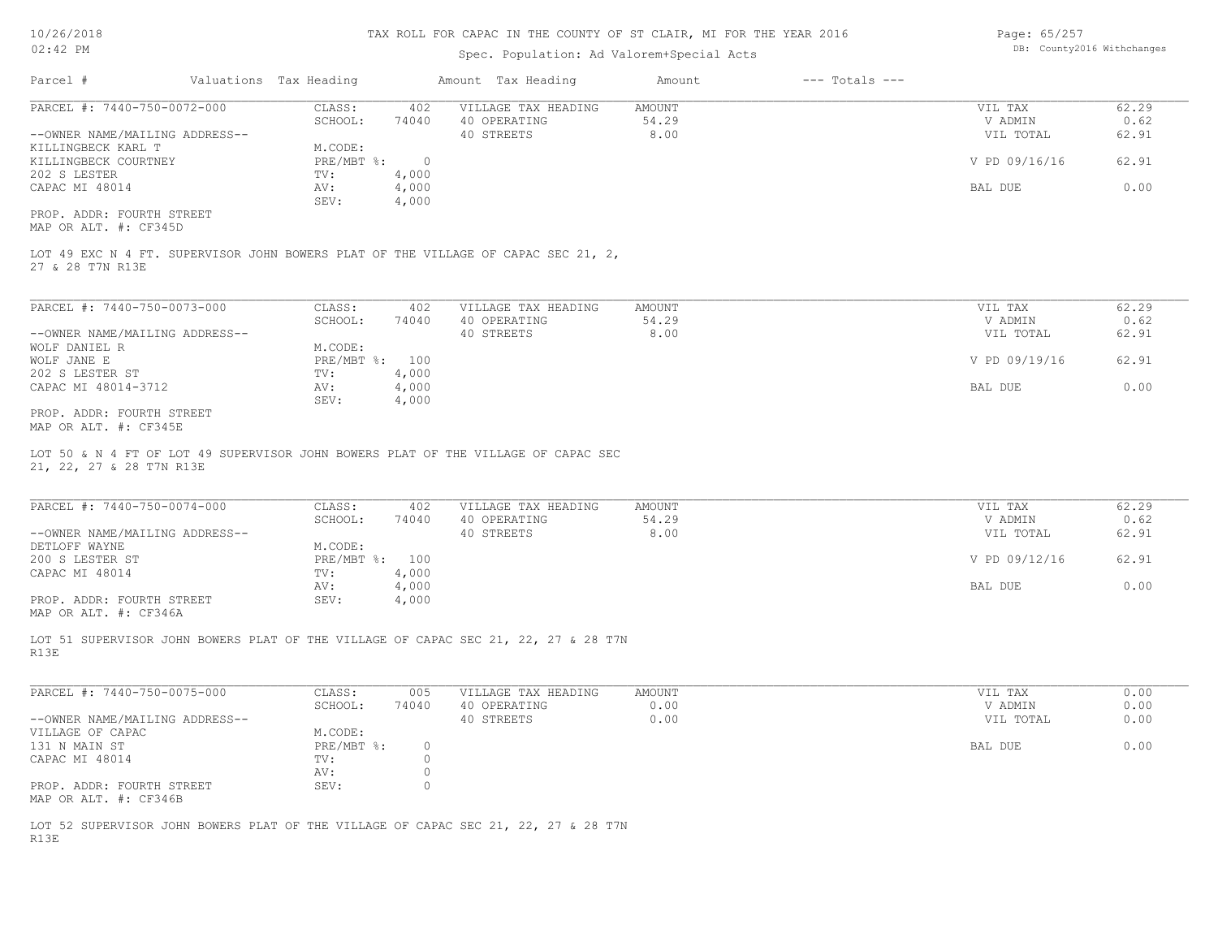| 10/26/2018                                                                                                    |                        |                |              |                     | TAX ROLL FOR CAPAC IN THE COUNTY OF ST CLAIR, MI FOR THE YEAR 2016 |                    | Page: 65/257  |                            |
|---------------------------------------------------------------------------------------------------------------|------------------------|----------------|--------------|---------------------|--------------------------------------------------------------------|--------------------|---------------|----------------------------|
| $02:42$ PM                                                                                                    |                        |                |              |                     | Spec. Population: Ad Valorem+Special Acts                          |                    |               | DB: County2016 Withchanges |
| Parcel #                                                                                                      | Valuations Tax Heading |                |              | Amount Tax Heading  | Amount                                                             | $---$ Totals $---$ |               |                            |
| PARCEL #: 7440-750-0072-000                                                                                   | CLASS:                 | 402            |              | VILLAGE TAX HEADING | AMOUNT                                                             |                    | VIL TAX       | 62.29                      |
|                                                                                                               | SCHOOL:                | 74040          | 40 OPERATING |                     | 54.29                                                              |                    | V ADMIN       | 0.62                       |
| --OWNER NAME/MAILING ADDRESS--                                                                                |                        |                | 40 STREETS   |                     | 8.00                                                               |                    | VIL TOTAL     | 62.91                      |
| KILLINGBECK KARL T                                                                                            | M.CODE:                |                |              |                     |                                                                    |                    |               |                            |
| KILLINGBECK COURTNEY                                                                                          | PRE/MBT %:             | $\overline{0}$ |              |                     |                                                                    |                    | V PD 09/16/16 | 62.91                      |
| 202 S LESTER                                                                                                  | TV:                    | 4,000          |              |                     |                                                                    |                    |               |                            |
| CAPAC MI 48014                                                                                                | AV:                    | 4,000          |              |                     |                                                                    |                    | BAL DUE       | 0.00                       |
|                                                                                                               | SEV:                   | 4,000          |              |                     |                                                                    |                    |               |                            |
| PROP. ADDR: FOURTH STREET<br>MAP OR ALT. #: CF345D                                                            |                        |                |              |                     |                                                                    |                    |               |                            |
| LOT 49 EXC N 4 FT. SUPERVISOR JOHN BOWERS PLAT OF THE VILLAGE OF CAPAC SEC 21, 2,<br>27 & 28 T7N R13E         |                        |                |              |                     |                                                                    |                    |               |                            |
| PARCEL #: 7440-750-0073-000                                                                                   | CLASS:                 | 402            |              | VILLAGE TAX HEADING | AMOUNT                                                             |                    | VIL TAX       | 62.29                      |
|                                                                                                               | SCHOOL:                | 74040          | 40 OPERATING |                     | 54.29                                                              |                    | V ADMIN       | 0.62                       |
| --OWNER NAME/MAILING ADDRESS--                                                                                |                        |                | 40 STREETS   |                     | 8.00                                                               |                    | VIL TOTAL     | 62.91                      |
| WOLF DANIEL R                                                                                                 | M.CODE:                |                |              |                     |                                                                    |                    |               |                            |
| WOLF JANE E                                                                                                   | PRE/MBT %: 100         |                |              |                     |                                                                    |                    | V PD 09/19/16 | 62.91                      |
| 202 S LESTER ST                                                                                               | TV:                    | 4,000          |              |                     |                                                                    |                    |               |                            |
|                                                                                                               |                        |                |              |                     |                                                                    |                    | BAL DUE       | 0.00                       |
| CAPAC MI 48014-3712                                                                                           | AV:                    | 4,000          |              |                     |                                                                    |                    |               |                            |
| PROP. ADDR: FOURTH STREET                                                                                     | SEV:                   | 4,000          |              |                     |                                                                    |                    |               |                            |
|                                                                                                               |                        |                |              |                     |                                                                    |                    |               |                            |
| MAP OR ALT. #: CF345E                                                                                         |                        |                |              |                     |                                                                    |                    |               |                            |
| LOT 50 & N 4 FT OF LOT 49 SUPERVISOR JOHN BOWERS PLAT OF THE VILLAGE OF CAPAC SEC<br>21, 22, 27 & 28 T7N R13E |                        |                |              |                     |                                                                    |                    |               |                            |
| PARCEL #: 7440-750-0074-000                                                                                   | CLASS:                 | 402            |              | VILLAGE TAX HEADING | AMOUNT                                                             |                    | VIL TAX       | 62.29                      |
|                                                                                                               | SCHOOL:                | 74040          | 40 OPERATING |                     | 54.29                                                              |                    | V ADMIN       | 0.62                       |
| --OWNER NAME/MAILING ADDRESS--                                                                                |                        |                | 40 STREETS   |                     | 8.00                                                               |                    | VIL TOTAL     | 62.91                      |
| DETLOFF WAYNE                                                                                                 | M.CODE:                |                |              |                     |                                                                    |                    |               |                            |
| 200 S LESTER ST                                                                                               | PRE/MBT %: 100         |                |              |                     |                                                                    |                    | V PD 09/12/16 | 62.91                      |
| CAPAC MI 48014                                                                                                | TV:                    | 4,000          |              |                     |                                                                    |                    |               |                            |
|                                                                                                               | AV:                    | 4,000          |              |                     |                                                                    |                    | BAL DUE       | 0.00                       |
| PROP. ADDR: FOURTH STREET<br>MAP OR ALT. #: CF346A                                                            | SEV:                   | 4,000          |              |                     |                                                                    |                    |               |                            |
| LOT 51 SUPERVISOR JOHN BOWERS PLAT OF THE VILLAGE OF CAPAC SEC 21, 22, 27 & 28 T7N<br>R13E                    |                        |                |              |                     |                                                                    |                    |               |                            |
| PARCEL #: 7440-750-0075-000                                                                                   | CLASS:                 | 005            |              | VILLAGE TAX HEADING | AMOUNT                                                             |                    | VIL TAX       | 0.00                       |
|                                                                                                               | SCHOOL:                | 74040          | 40 OPERATING |                     | 0.00                                                               |                    | V ADMIN       | 0.00                       |
| --OWNER NAME/MAILING ADDRESS--                                                                                |                        |                | 40 STREETS   |                     | 0.00                                                               |                    | VIL TOTAL     | 0.00                       |
| VILLAGE OF CAPAC                                                                                              | M.CODE:                |                |              |                     |                                                                    |                    |               |                            |
| 131 N MAIN ST                                                                                                 | PRE/MBT %:             | $\circ$        |              |                     |                                                                    |                    | BAL DUE       | 0.00                       |
|                                                                                                               |                        |                |              |                     |                                                                    |                    |               |                            |

MAP OR ALT. #: CF346B PROP. ADDR: FOURTH STREET SEV: SEV: 0

R13E LOT 52 SUPERVISOR JOHN BOWERS PLAT OF THE VILLAGE OF CAPAC SEC 21, 22, 27 & 28 T7N

 AV: 0 CAPAC MI 48014  $TV: 0$ <br>AV: 0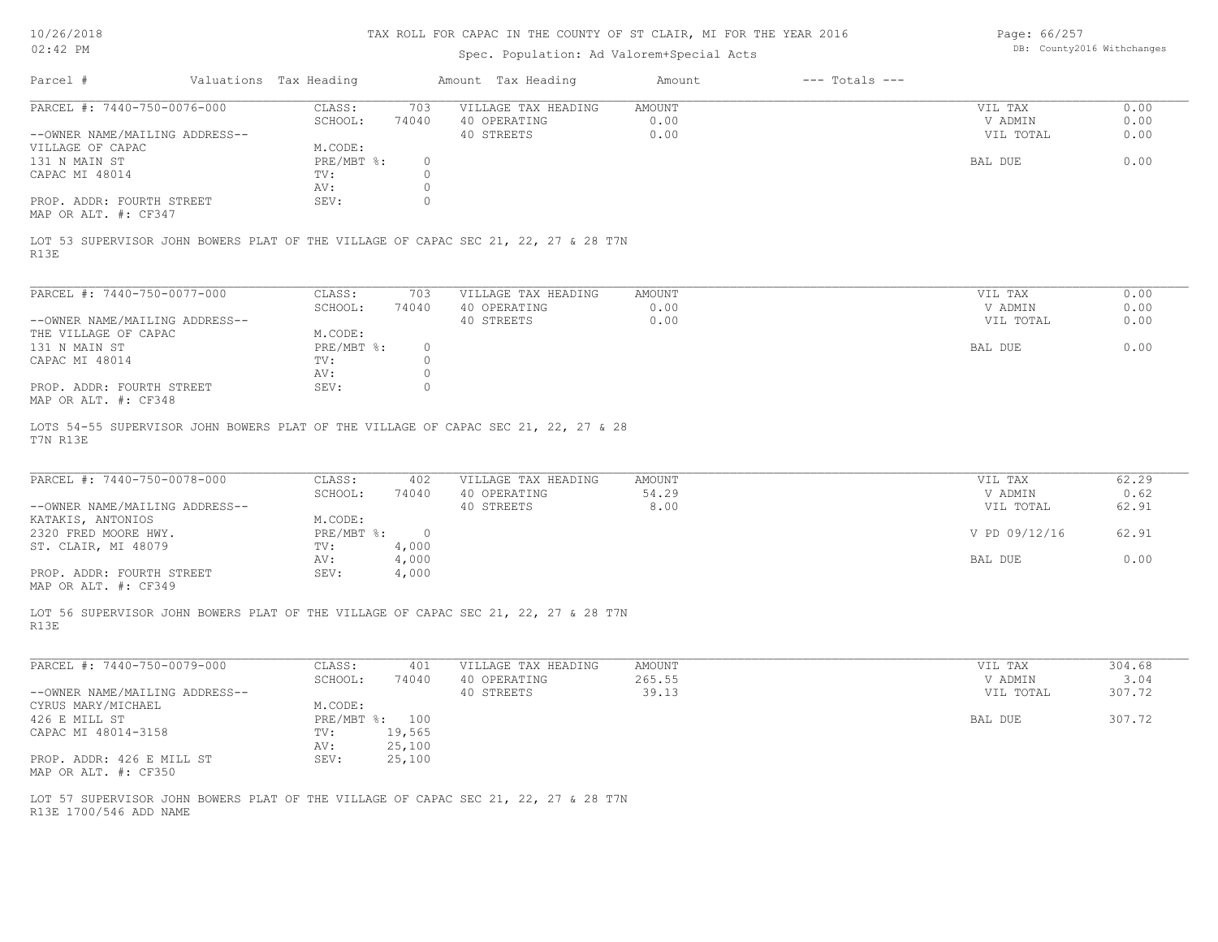10/26/2018 02:42 PM

# TAX ROLL FOR CAPAC IN THE COUNTY OF ST CLAIR, MI FOR THE YEAR 2016

# Spec. Population: Ad Valorem+Special Acts

Page: 66/257 DB: County2016 Withchanges

| Parcel #                                                      | Valuations Tax Heading         |                               | Amount Tax Heading                                                                 | Amount                 | $---$ Totals $---$ |                                 |                      |
|---------------------------------------------------------------|--------------------------------|-------------------------------|------------------------------------------------------------------------------------|------------------------|--------------------|---------------------------------|----------------------|
| PARCEL #: 7440-750-0076-000<br>--OWNER NAME/MAILING ADDRESS-- | CLASS:<br>SCHOOL:              | 703<br>74040                  | VILLAGE TAX HEADING<br>40 OPERATING<br>40 STREETS                                  | AMOUNT<br>0.00<br>0.00 |                    | VIL TAX<br>V ADMIN<br>VIL TOTAL | 0.00<br>0.00<br>0.00 |
| VILLAGE OF CAPAC                                              | M.CODE:                        |                               |                                                                                    |                        |                    |                                 |                      |
| 131 N MAIN ST<br>CAPAC MI 48014                               | $PRE/MBT$ $\div$<br>TV:<br>AV: | $\circ$<br>$\circ$<br>$\circ$ |                                                                                    |                        |                    | BAL DUE                         | 0.00                 |
| PROP. ADDR: FOURTH STREET<br>MAP OR ALT. #: CF347             | SEV:                           | $\circ$                       |                                                                                    |                        |                    |                                 |                      |
| R13E                                                          |                                |                               | LOT 53 SUPERVISOR JOHN BOWERS PLAT OF THE VILLAGE OF CAPAC SEC 21, 22, 27 & 28 T7N |                        |                    |                                 |                      |
| PARCEL #: 7440-750-0077-000                                   | CLASS:                         | 703                           | VILLAGE TAX HEADING                                                                | AMOUNT                 |                    | VIL TAX                         | 0.00                 |
| --OWNER NAME/MAILING ADDRESS--                                | SCHOOL:                        | 74040                         | 40 OPERATING<br>40 STREETS                                                         | 0.00<br>0.00           |                    | V ADMIN<br>VIL TOTAL            | 0.00<br>0.00         |
| THE VILLAGE OF CAPAC<br>131 N MAIN ST                         | M.CODE:<br>$PRE/MBT$ $\div$    | $\circ$                       |                                                                                    |                        |                    | BAL DUE                         | 0.00                 |
| CAPAC MI 48014                                                | TV:<br>AV:                     | $\circ$<br>$\circ$            |                                                                                    |                        |                    |                                 |                      |
| PROP. ADDR: FOURTH STREET<br>MAP OR ALT. #: CF348             | SEV:                           | $\circ$                       |                                                                                    |                        |                    |                                 |                      |
| T7N R13E                                                      |                                |                               | LOTS 54-55 SUPERVISOR JOHN BOWERS PLAT OF THE VILLAGE OF CAPAC SEC 21, 22, 27 & 28 |                        |                    |                                 |                      |
| PARCEL #: 7440-750-0078-000                                   | CLASS:                         | 402                           | VILLAGE TAX HEADING                                                                | AMOUNT                 |                    | VIL TAX                         | 62.29                |
| --OWNER NAME/MAILING ADDRESS--                                | SCHOOL:                        | 74040                         | 40 OPERATING<br>40 STREETS                                                         | 54.29<br>8.00          |                    | V ADMIN<br>VIL TOTAL            | 0.62<br>62.91        |
| KATAKIS, ANTONIOS<br>2320 FRED MOORE HWY.                     | M.CODE:<br>$PRE/MBT$ $\div$ 0  |                               |                                                                                    |                        |                    | V PD 09/12/16                   | 62.91                |
| ST. CLAIR, MI 48079                                           | TV:<br>AV:                     | 4,000<br>4,000                |                                                                                    |                        |                    | BAL DUE                         | 0.00                 |
| PROP. ADDR: FOURTH STREET<br>MAP OR ALT. #: CF349             | SEV:                           | 4,000                         |                                                                                    |                        |                    |                                 |                      |
| R13E                                                          |                                |                               | LOT 56 SUPERVISOR JOHN BOWERS PLAT OF THE VILLAGE OF CAPAC SEC 21, 22, 27 & 28 T7N |                        |                    |                                 |                      |
| PARCEL #: 7440-750-0079-000                                   | CLASS:                         | 401                           | VILLAGE TAX HEADING                                                                | AMOUNT                 |                    | VIL TAX                         | 304.68               |
| --OWNER NAME/MAILING ADDRESS--                                | SCHOOL:                        | 74040                         | 40 OPERATING<br>40 STREETS                                                         | 265.55<br>39.13        |                    | V ADMIN                         | 3.04<br>307.72       |
| CYRUS MARY/MICHAEL                                            | M.CODE:                        |                               |                                                                                    |                        |                    | VIL TOTAL                       |                      |
| 426 E MILL ST<br>CAPAC MI 48014-3158                          | PRE/MBT %: 100<br>TV:          | 19,565                        |                                                                                    |                        |                    | BAL DUE                         | 307.72               |
|                                                               | AV: 25,100                     |                               |                                                                                    |                        |                    |                                 |                      |
| PROP. ADDR: 426 E MILL ST<br>MAP OR ALT. #: CF350             | SEV:                           | 25,100                        |                                                                                    |                        |                    |                                 |                      |
| R13E 1700/546 ADD NAME                                        |                                |                               | LOT 57 SUPERVISOR JOHN BOWERS PLAT OF THE VILLAGE OF CAPAC SEC 21, 22, 27 & 28 T7N |                        |                    |                                 |                      |
|                                                               |                                |                               |                                                                                    |                        |                    |                                 |                      |
|                                                               |                                |                               |                                                                                    |                        |                    |                                 |                      |
|                                                               |                                |                               |                                                                                    |                        |                    |                                 |                      |
|                                                               |                                |                               |                                                                                    |                        |                    |                                 |                      |
|                                                               |                                |                               |                                                                                    |                        |                    |                                 |                      |
|                                                               |                                |                               |                                                                                    |                        |                    |                                 |                      |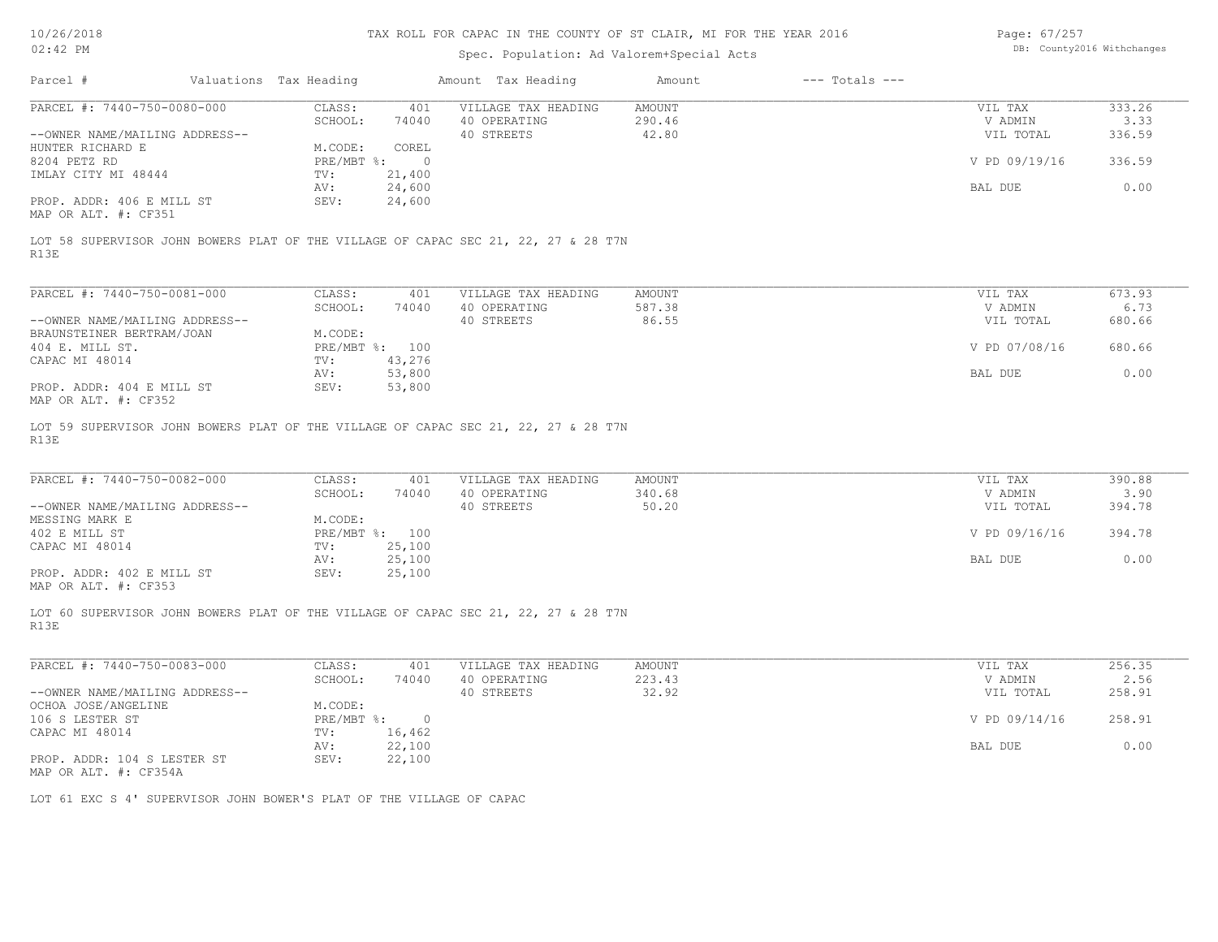### TAX ROLL FOR CAPAC IN THE COUNTY OF ST CLAIR, MI FOR THE YEAR 2016 Page: 67/257

| 101201201<br>$02:42$ PM                                              |                        |                          | THIS ROLL FOR CHING IN THE COUNTY OF OF CENTRAL ME FOR THE TEMP COTO<br>Spec. Population: Ad Valorem+Special Acts         |                           |                    | Lugu. VIILJI         | DB: County2016 Withchanges |
|----------------------------------------------------------------------|------------------------|--------------------------|---------------------------------------------------------------------------------------------------------------------------|---------------------------|--------------------|----------------------|----------------------------|
| Parcel #                                                             | Valuations Tax Heading |                          | Amount Tax Heading                                                                                                        | Amount                    | $---$ Totals $---$ |                      |                            |
| PARCEL #: 7440-750-0080-000<br>--OWNER NAME/MAILING ADDRESS--        | CLASS:<br>SCHOOL:      | 401<br>74040             | VILLAGE TAX HEADING<br>40 OPERATING                                                                                       | AMOUNT<br>290.46<br>42.80 |                    | VIL TAX<br>V ADMIN   | 333.26<br>3.33<br>336.59   |
| HUNTER RICHARD E                                                     | M.CODE:                | COREL                    | 40 STREETS                                                                                                                |                           |                    | VIL TOTAL            |                            |
| 8204 PETZ RD<br>IMLAY CITY MI 48444                                  | PRE/MBT %:<br>TV:      | $\overline{0}$<br>21,400 |                                                                                                                           |                           |                    | V PD 09/19/16        | 336.59                     |
| PROP. ADDR: 406 E MILL ST<br>MAP OR ALT. #: CF351                    | AV:<br>SEV:            | 24,600<br>24,600         |                                                                                                                           |                           |                    | BAL DUE              | 0.00                       |
| R13E                                                                 |                        |                          | LOT 58 SUPERVISOR JOHN BOWERS PLAT OF THE VILLAGE OF CAPAC SEC 21, 22, 27 & 28 T7N                                        |                           |                    |                      |                            |
| PARCEL #: 7440-750-0081-000                                          | CLASS:                 | 401                      | VILLAGE TAX HEADING                                                                                                       | AMOUNT                    |                    | VIL TAX              | 673.93                     |
|                                                                      | SCHOOL:                | 74040                    | 40 OPERATING                                                                                                              | 587.38                    |                    | V ADMIN              | 6.73                       |
| --OWNER NAME/MAILING ADDRESS--<br>BRAUNSTEINER BERTRAM/JOAN          | M.CODE:                |                          | 40 STREETS                                                                                                                | 86.55                     |                    | VIL TOTAL            | 680.66                     |
| 404 E. MILL ST.<br>CAPAC MI 48014                                    | $\texttt{TV}$ :        | PRE/MBT %: 100<br>43,276 |                                                                                                                           |                           |                    | V PD 07/08/16        | 680.66                     |
|                                                                      | AV:                    | 53,800                   |                                                                                                                           |                           |                    | BAL DUE              | 0.00                       |
| PROP. ADDR: 404 E MILL ST<br>MAP OR ALT. #: CF352                    | SEV:                   | 53,800                   |                                                                                                                           |                           |                    |                      |                            |
| R13E<br>PARCEL #: 7440-750-0082-000                                  | CLASS:<br>SCHOOL:      | 401<br>74040             | LOT 59 SUPERVISOR JOHN BOWERS PLAT OF THE VILLAGE OF CAPAC SEC 21, 22, 27 & 28 T7N<br>VILLAGE TAX HEADING<br>40 OPERATING | AMOUNT<br>340.68          |                    | VIL TAX<br>V ADMIN   | 390.88<br>3.90             |
| --OWNER NAME/MAILING ADDRESS--<br>MESSING MARK E                     | M.CODE:                |                          | 40 STREETS                                                                                                                | 50.20                     |                    | VIL TOTAL            | 394.78                     |
| 402 E MILL ST<br>CAPAC MI 48014                                      | $\texttt{TV}$ :        | PRE/MBT %: 100<br>25,100 |                                                                                                                           |                           |                    | V PD 09/16/16        | 394.78                     |
| PROP. ADDR: 402 E MILL ST                                            | AV:<br>SEV:            | 25,100<br>25,100         |                                                                                                                           |                           |                    | BAL DUE              | 0.00                       |
| MAP OR ALT. #: CF353<br>R13E                                         |                        |                          | LOT 60 SUPERVISOR JOHN BOWERS PLAT OF THE VILLAGE OF CAPAC SEC 21, 22, 27 & 28 T7N                                        |                           |                    |                      |                            |
| PARCEL #: 7440-750-0083-000                                          | CLASS:                 | 401                      | VILLAGE TAX HEADING                                                                                                       | AMOUNT                    |                    | VIL TAX              | 256.35                     |
| --OWNER NAME/MAILING ADDRESS--                                       | SCHOOL:                | 74040                    | 40 OPERATING<br>40 STREETS                                                                                                | 223.43<br>32.92           |                    | V ADMIN<br>VIL TOTAL | 2.56<br>258.91             |
| OCHOA JOSE/ANGELINE<br>106 S LESTER ST                               | M.CODE:<br>PRE/MBT %:  | $\circ$                  |                                                                                                                           |                           |                    | V PD 09/14/16        | 258.91                     |
| CAPAC MI 48014                                                       | TV:                    | 16,462                   |                                                                                                                           |                           |                    |                      |                            |
| PROP. ADDR: 104 S LESTER ST<br>MAP OR ALT. #: CF354A                 | AV:<br>SEV:            | 22,100<br>22,100         |                                                                                                                           |                           |                    | BAL DUE              | 0.00                       |
| LOT 61 EXC S 4' SUPERVISOR JOHN BOWER'S PLAT OF THE VILLAGE OF CAPAC |                        |                          |                                                                                                                           |                           |                    |                      |                            |
|                                                                      |                        |                          |                                                                                                                           |                           |                    |                      |                            |
|                                                                      |                        |                          |                                                                                                                           |                           |                    |                      |                            |
|                                                                      |                        |                          |                                                                                                                           |                           |                    |                      |                            |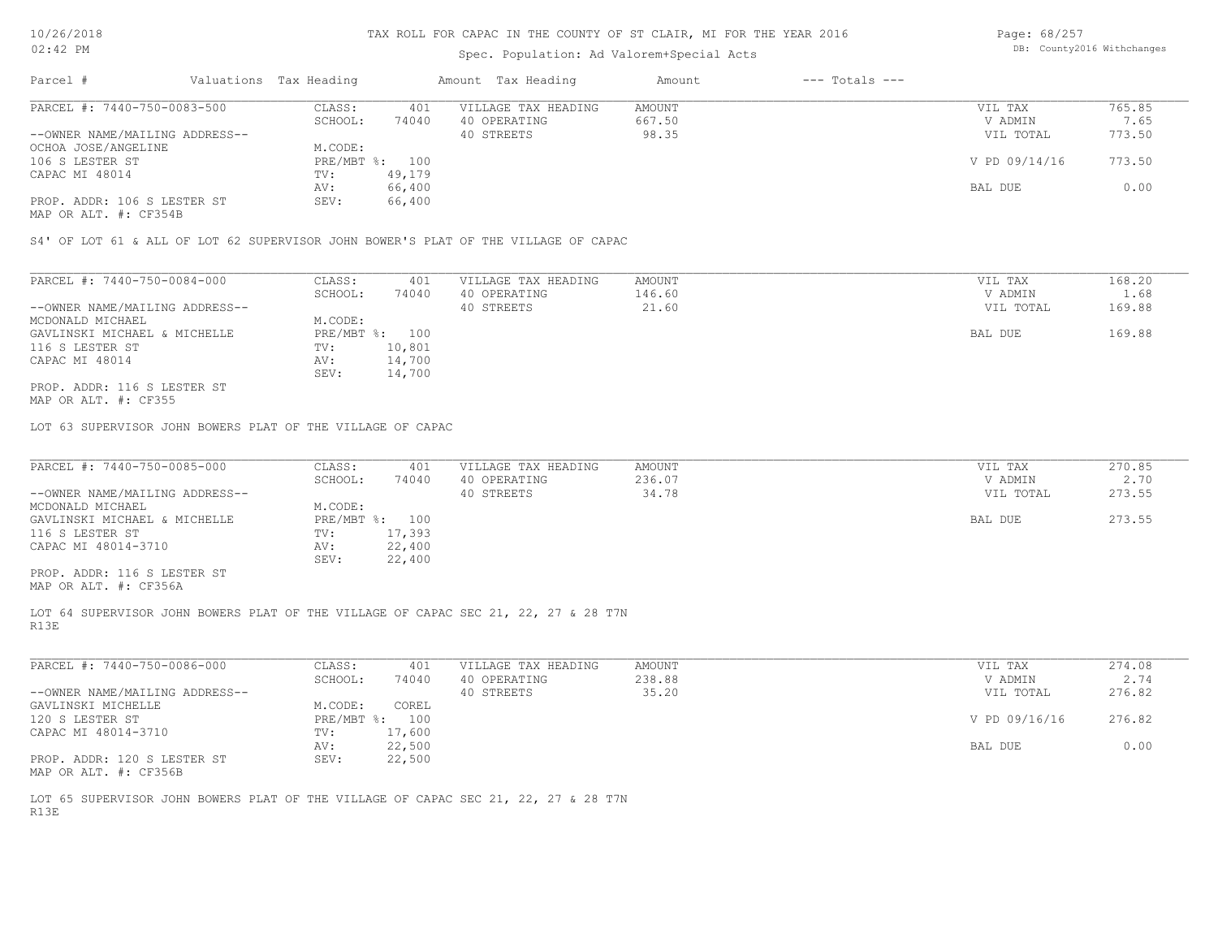# Spec. Population: Ad Valorem+Special Acts

| Page: 68/257 |                            |
|--------------|----------------------------|
|              | DB: County2016 Withchanges |

| Parcel #                       | Valuations Tax Heading |        | Amount Tax Heading  | Amount | $---$ Totals $---$ |               |        |
|--------------------------------|------------------------|--------|---------------------|--------|--------------------|---------------|--------|
| PARCEL #: 7440-750-0083-500    | CLASS:                 | 401    | VILLAGE TAX HEADING | AMOUNT |                    | VIL TAX       | 765.85 |
|                                | SCHOOL:                | 74040  | 40 OPERATING        | 667.50 |                    | V ADMIN       | 7.65   |
| --OWNER NAME/MAILING ADDRESS-- |                        |        | 40 STREETS          | 98.35  |                    | VIL TOTAL     | 773.50 |
| OCHOA JOSE/ANGELINE            | M.CODE:                |        |                     |        |                    |               |        |
| 106 S LESTER ST                | PRE/MBT %: 100         |        |                     |        |                    | V PD 09/14/16 | 773.50 |
| CAPAC MI 48014                 | TV:                    | 49,179 |                     |        |                    |               |        |
|                                | AV:                    | 66,400 |                     |        |                    | BAL DUE       | 0.00   |
| PROP. ADDR: 106 S LESTER ST    | SEV:                   | 66,400 |                     |        |                    |               |        |
|                                |                        |        |                     |        |                    |               |        |

MAP OR ALT. #: CF354B

S4' OF LOT 61 & ALL OF LOT 62 SUPERVISOR JOHN BOWER'S PLAT OF THE VILLAGE OF CAPAC

| PARCEL #: 7440-750-0084-000    | CLASS:         | 401    | VILLAGE TAX HEADING | AMOUNT | VIL TAX   | 168.20 |
|--------------------------------|----------------|--------|---------------------|--------|-----------|--------|
|                                | SCHOOL:        | 74040  | 40 OPERATING        | 146.60 | V ADMIN   | 1.68   |
| --OWNER NAME/MAILING ADDRESS-- |                |        | 40 STREETS          | 21.60  | VIL TOTAL | 169.88 |
| MCDONALD MICHAEL               | M.CODE:        |        |                     |        |           |        |
| GAVLINSKI MICHAEL & MICHELLE   | PRE/MBT %: 100 |        |                     |        | BAL DUE   | 169.88 |
| 116 S LESTER ST                | TV:            | 10,801 |                     |        |           |        |
| CAPAC MI 48014                 | AV:            | 14,700 |                     |        |           |        |
|                                | SEV:           | 14,700 |                     |        |           |        |
| PROP. ADDR: 116 S LESTER ST    |                |        |                     |        |           |        |

MAP OR ALT. #: CF355

LOT 63 SUPERVISOR JOHN BOWERS PLAT OF THE VILLAGE OF CAPAC

| PARCEL #: 7440-750-0085-000    | CLASS:  | 401            | VILLAGE TAX HEADING | AMOUNT | VIL TAX   | 270.85 |
|--------------------------------|---------|----------------|---------------------|--------|-----------|--------|
|                                | SCHOOL: | 74040          | 40 OPERATING        | 236.07 | V ADMIN   | 2.70   |
| --OWNER NAME/MAILING ADDRESS-- |         |                | 40 STREETS          | 34.78  | VIL TOTAL | 273.55 |
| MCDONALD MICHAEL               | M.CODE: |                |                     |        |           |        |
| GAVLINSKI MICHAEL & MICHELLE   |         | PRE/MBT %: 100 |                     |        | BAL DUE   | 273.55 |
| 116 S LESTER ST                | TV:     | 17,393         |                     |        |           |        |
| CAPAC MI 48014-3710            | AV:     | 22,400         |                     |        |           |        |
|                                | SEV:    | 22,400         |                     |        |           |        |
| PROP. ADDR: 116 S LESTER ST    |         |                |                     |        |           |        |
|                                |         |                |                     |        |           |        |

MAP OR ALT. #: CF356A

R13E LOT 64 SUPERVISOR JOHN BOWERS PLAT OF THE VILLAGE OF CAPAC SEC 21, 22, 27 & 28 T7N

| PARCEL #: 7440-750-0086-000    | CLASS:       | 401    | VILLAGE TAX HEADING | AMOUNT | VIL TAX       | 274.08 |
|--------------------------------|--------------|--------|---------------------|--------|---------------|--------|
|                                | SCHOOL:      | 74040  | 40 OPERATING        | 238.88 | V ADMIN       | 2.74   |
| --OWNER NAME/MAILING ADDRESS-- |              |        | 40 STREETS          | 35.20  | VIL TOTAL     | 276.82 |
| GAVLINSKI MICHELLE             | M.CODE:      | COREL  |                     |        |               |        |
| 120 S LESTER ST                | $PRE/MBT$ %: | 100    |                     |        | V PD 09/16/16 | 276.82 |
| CAPAC MI 48014-3710            | TV:          | 17,600 |                     |        |               |        |
|                                | AV:          | 22,500 |                     |        | BAL DUE       | 0.00   |
| PROP. ADDR: 120 S LESTER ST    | SEV:         | 22,500 |                     |        |               |        |
| MAP OR ALT. #: CF356B          |              |        |                     |        |               |        |

R13E LOT 65 SUPERVISOR JOHN BOWERS PLAT OF THE VILLAGE OF CAPAC SEC 21, 22, 27 & 28 T7N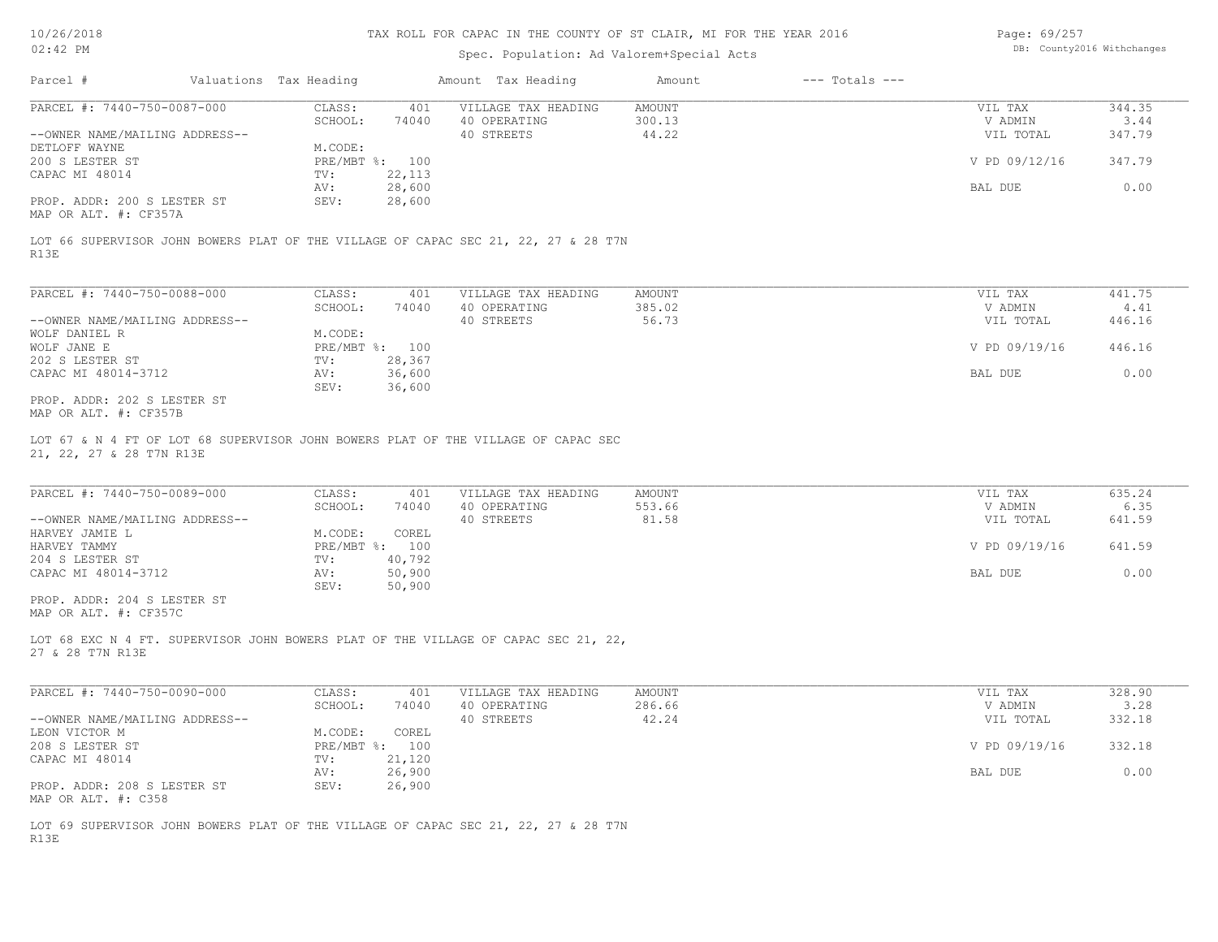# Spec. Population: Ad Valorem+Special Acts

Page: 69/257 DB: County2016 Withchanges

| Parcel #                       | Valuations Tax Heading |        | Amount Tax Heading  | Amount | $---$ Totals $---$ |               |        |
|--------------------------------|------------------------|--------|---------------------|--------|--------------------|---------------|--------|
| PARCEL #: 7440-750-0087-000    | CLASS:                 | 401    | VILLAGE TAX HEADING | AMOUNT |                    | VIL TAX       | 344.35 |
|                                | SCHOOL:                | 74040  | 40 OPERATING        | 300.13 |                    | V ADMIN       | 3.44   |
| --OWNER NAME/MAILING ADDRESS-- |                        |        | 40 STREETS          | 44.22  |                    | VIL TOTAL     | 347.79 |
| DETLOFF WAYNE                  | M.CODE:                |        |                     |        |                    |               |        |
| 200 S LESTER ST                | $PRE/MBT$ %:           | 100    |                     |        |                    | V PD 09/12/16 | 347.79 |
| CAPAC MI 48014                 | TV:                    | 22,113 |                     |        |                    |               |        |
|                                | AV:                    | 28,600 |                     |        |                    | BAL DUE       | 0.00   |
| PROP. ADDR: 200 S LESTER ST    | SEV:                   | 28,600 |                     |        |                    |               |        |
| MAP OR ALT. #: CF357A          |                        |        |                     |        |                    |               |        |

R13E LOT 66 SUPERVISOR JOHN BOWERS PLAT OF THE VILLAGE OF CAPAC SEC 21, 22, 27 & 28 T7N

| PARCEL #: 7440-750-0088-000    | CLASS:       | 401    | VILLAGE TAX HEADING | AMOUNT | VIL TAX       | 441.75 |
|--------------------------------|--------------|--------|---------------------|--------|---------------|--------|
|                                | SCHOOL:      | 74040  | 40 OPERATING        | 385.02 | V ADMIN       | 4.41   |
| --OWNER NAME/MAILING ADDRESS-- |              |        | 40 STREETS          | 56.73  | VIL TOTAL     | 446.16 |
| WOLF DANIEL R                  | M.CODE:      |        |                     |        |               |        |
| WOLF JANE E                    | $PRE/MBT$ %: | 100    |                     |        | V PD 09/19/16 | 446.16 |
| 202 S LESTER ST                | TV:          | 28,367 |                     |        |               |        |
| CAPAC MI 48014-3712            | AV:          | 36,600 |                     |        | BAL DUE       | 0.00   |
|                                | SEV:         | 36,600 |                     |        |               |        |
| PROP. ADDR: 202 S LESTER ST    |              |        |                     |        |               |        |

MAP OR ALT. #: CF357B

21, 22, 27 & 28 T7N R13E LOT 67 & N 4 FT OF LOT 68 SUPERVISOR JOHN BOWERS PLAT OF THE VILLAGE OF CAPAC SEC

| PARCEL #: 7440-750-0089-000    | CLASS:  | 401            | VILLAGE TAX HEADING | AMOUNT | VIL TAX       | 635.24 |
|--------------------------------|---------|----------------|---------------------|--------|---------------|--------|
|                                | SCHOOL: | 74040          | 40 OPERATING        | 553.66 | V ADMIN       | 6.35   |
| --OWNER NAME/MAILING ADDRESS-- |         |                | 40 STREETS          | 81.58  | VIL TOTAL     | 641.59 |
| HARVEY JAMIE L                 | M.CODE: | COREL          |                     |        |               |        |
| HARVEY TAMMY                   |         | PRE/MBT %: 100 |                     |        | V PD 09/19/16 | 641.59 |
| 204 S LESTER ST                | TV:     | 40,792         |                     |        |               |        |
| CAPAC MI 48014-3712            | AV:     | 50,900         |                     |        | BAL DUE       | 0.00   |
|                                | SEV:    | 50,900         |                     |        |               |        |
| PROP. ADDR: 204 S LESTER ST    |         |                |                     |        |               |        |

MAP OR ALT. #: CF357C

27 & 28 T7N R13E LOT 68 EXC N 4 FT. SUPERVISOR JOHN BOWERS PLAT OF THE VILLAGE OF CAPAC SEC 21, 22,

| PARCEL #: 7440-750-0090-000    | CLASS:     | 401    | VILLAGE TAX HEADING | AMOUNT | VIL TAX       | 328.90 |
|--------------------------------|------------|--------|---------------------|--------|---------------|--------|
|                                | SCHOOL:    | 74040  | 40 OPERATING        | 286.66 | V ADMIN       | 3.28   |
| --OWNER NAME/MAILING ADDRESS-- |            |        | 40 STREETS          | 42.24  | VIL TOTAL     | 332.18 |
| LEON VICTOR M                  | M.CODE:    | COREL  |                     |        |               |        |
| 208 S LESTER ST                | PRE/MBT %: | 100    |                     |        | V PD 09/19/16 | 332.18 |
| CAPAC MI 48014                 | TV:        | 21,120 |                     |        |               |        |
|                                | AV:        | 26,900 |                     |        | BAL DUE       | 0.00   |
| PROP. ADDR: 208 S LESTER ST    | SEV:       | 26,900 |                     |        |               |        |
| MAP OR ALT. #: C358            |            |        |                     |        |               |        |

R13E LOT 69 SUPERVISOR JOHN BOWERS PLAT OF THE VILLAGE OF CAPAC SEC 21, 22, 27 & 28 T7N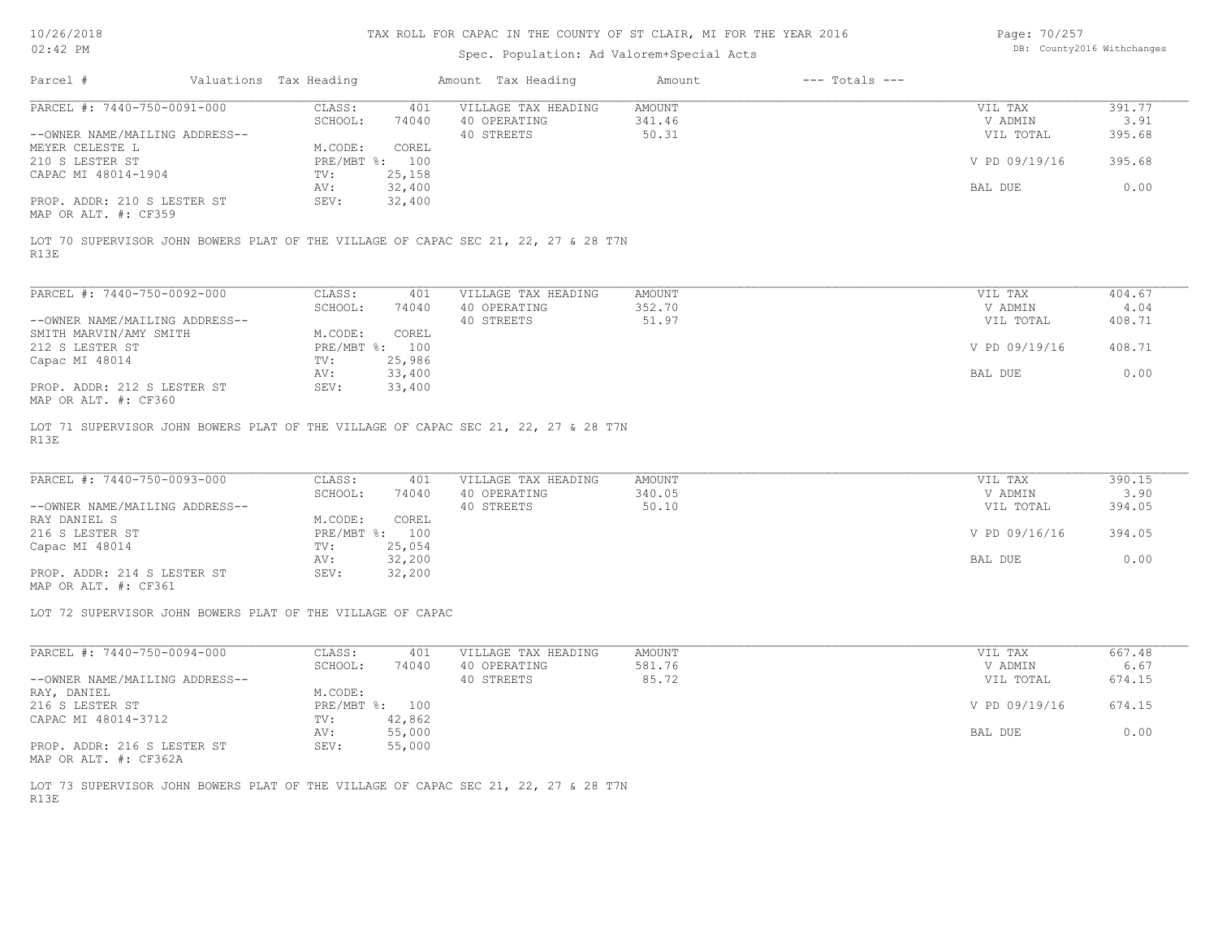# Spec. Population: Ad Valorem+Special Acts

Page: 70/257 DB: County2016 Withchanges

| Parcel #                       | Valuations Tax Heading |        | Amount Tax Heading  | Amount | $---$ Totals $---$ |               |        |
|--------------------------------|------------------------|--------|---------------------|--------|--------------------|---------------|--------|
| PARCEL #: 7440-750-0091-000    | CLASS:                 | 401    | VILLAGE TAX HEADING | AMOUNT |                    | VIL TAX       | 391.77 |
|                                | SCHOOL:                | 74040  | 40 OPERATING        | 341.46 |                    | V ADMIN       | 3.91   |
| --OWNER NAME/MAILING ADDRESS-- |                        |        | 40 STREETS          | 50.31  |                    | VIL TOTAL     | 395.68 |
| MEYER CELESTE L                | M.CODE:                | COREL  |                     |        |                    |               |        |
| 210 S LESTER ST                | PRE/MBT %: 100         |        |                     |        |                    | V PD 09/19/16 | 395.68 |
| CAPAC MI 48014-1904            | TV:                    | 25,158 |                     |        |                    |               |        |
|                                | AV:                    | 32,400 |                     |        |                    | BAL DUE       | 0.00   |
| PROP. ADDR: 210 S LESTER ST    | SEV:                   | 32,400 |                     |        |                    |               |        |
| MAP OR ALT. #: CF359           |                        |        |                     |        |                    |               |        |

R13E LOT 70 SUPERVISOR JOHN BOWERS PLAT OF THE VILLAGE OF CAPAC SEC 21, 22, 27 & 28 T7N

| PARCEL #: 7440-750-0092-000                                   | CLASS:     | 401    | VILLAGE TAX HEADING | AMOUNT | VIL TAX       | 404.67 |
|---------------------------------------------------------------|------------|--------|---------------------|--------|---------------|--------|
|                                                               | SCHOOL:    | 74040  | 40 OPERATING        | 352.70 | V ADMIN       | 4.04   |
| --OWNER NAME/MAILING ADDRESS--                                |            |        | 40 STREETS          | 51.97  | VIL TOTAL     | 408.71 |
| SMITH MARVIN/AMY SMITH                                        | M.CODE:    | COREL  |                     |        |               |        |
| 212 S LESTER ST                                               | PRE/MBT %: | 100    |                     |        | V PD 09/19/16 | 408.71 |
| Capac MI 48014                                                | TV:        | 25,986 |                     |        |               |        |
|                                                               | AV:        | 33,400 |                     |        | BAL DUE       | 0.00   |
| PROP. ADDR: 212 S LESTER ST<br>$MAD$ $CD$ $BTD$ $H$ , $CDQCD$ | SEV:       | 33,400 |                     |        |               |        |

MAP OR ALT. #: CF360

R13E LOT 71 SUPERVISOR JOHN BOWERS PLAT OF THE VILLAGE OF CAPAC SEC 21, 22, 27 & 28 T7N

| PARCEL #: 7440-750-0093-000    | CLASS:  | 401            | VILLAGE TAX HEADING | AMOUNT | VIL TAX       | 390.15 |
|--------------------------------|---------|----------------|---------------------|--------|---------------|--------|
|                                | SCHOOL: | 74040          | 40 OPERATING        | 340.05 | V ADMIN       | 3.90   |
| --OWNER NAME/MAILING ADDRESS-- |         |                | 40 STREETS          | 50.10  | VIL TOTAL     | 394.05 |
| RAY DANIEL S                   | M.CODE: | COREL          |                     |        |               |        |
| 216 S LESTER ST                |         | PRE/MBT %: 100 |                     |        | V PD 09/16/16 | 394.05 |
| Capac MI 48014                 | TV:     | 25,054         |                     |        |               |        |
|                                | AV:     | 32,200         |                     |        | BAL DUE       | 0.00   |
| PROP. ADDR: 214 S LESTER ST    | SEV:    | 32,200         |                     |        |               |        |

MAP OR ALT. #: CF361

LOT 72 SUPERVISOR JOHN BOWERS PLAT OF THE VILLAGE OF CAPAC

| PARCEL #: 7440-750-0094-000    | CLASS:     | 401    | VILLAGE TAX HEADING | AMOUNT | VIL TAX       | 667.48 |
|--------------------------------|------------|--------|---------------------|--------|---------------|--------|
|                                | SCHOOL:    | 74040  | 40 OPERATING        | 581.76 | V ADMIN       | 6.67   |
| --OWNER NAME/MAILING ADDRESS-- |            |        | 40 STREETS          | 85.72  | VIL TOTAL     | 674.15 |
| RAY, DANIEL                    | M.CODE:    |        |                     |        |               |        |
| 216 S LESTER ST                | PRE/MBT %: | 100    |                     |        | V PD 09/19/16 | 674.15 |
| CAPAC MI 48014-3712            | TV:        | 42,862 |                     |        |               |        |
|                                | AV:        | 55,000 |                     |        | BAL DUE       | 0.00   |
| PROP. ADDR: 216 S LESTER ST    | SEV:       | 55,000 |                     |        |               |        |

MAP OR ALT. #: CF362A

R13E LOT 73 SUPERVISOR JOHN BOWERS PLAT OF THE VILLAGE OF CAPAC SEC 21, 22, 27 & 28 T7N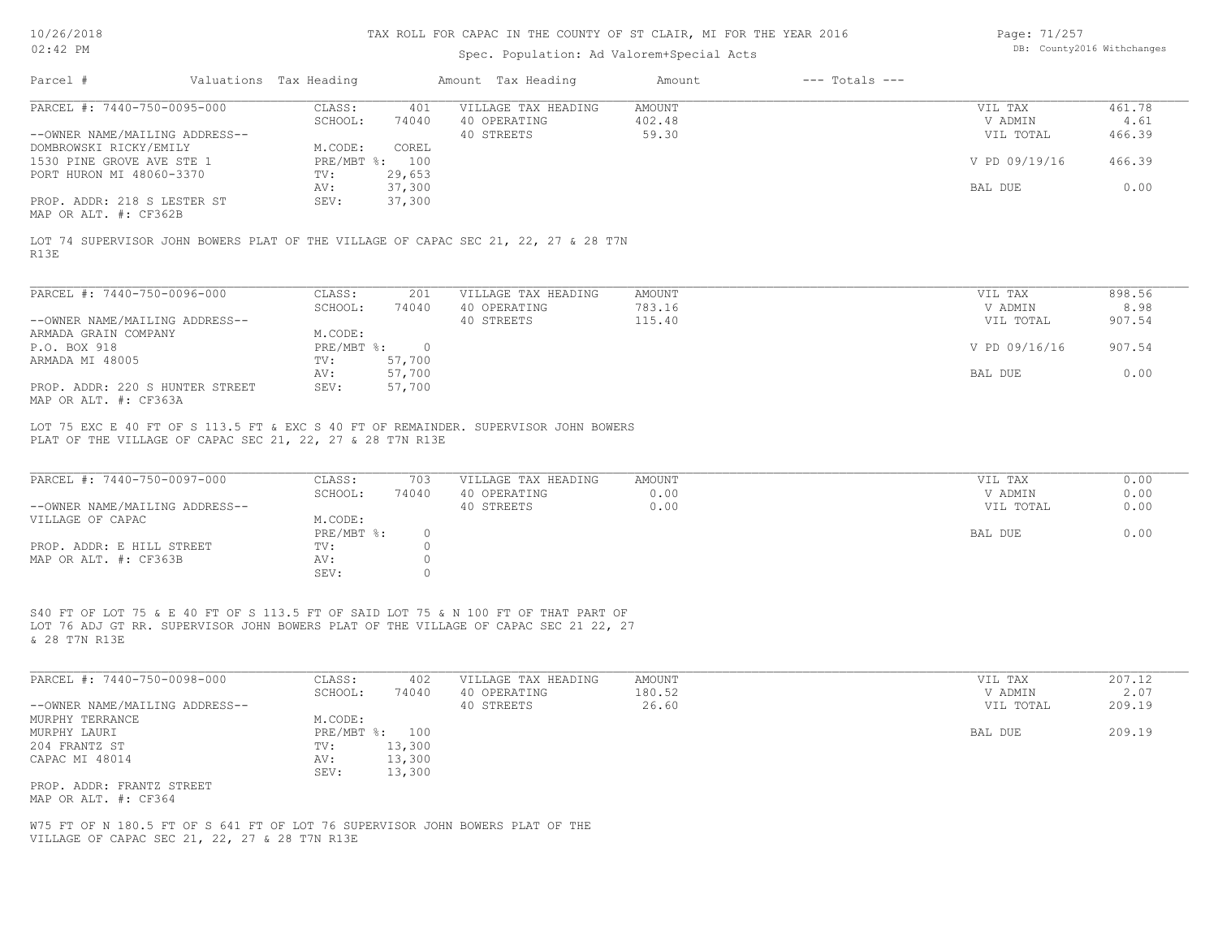# Spec. Population: Ad Valorem+Special Acts

| Page: 71/257 |                            |
|--------------|----------------------------|
|              | DB: County2016 Withchanges |

| Parcel #                                                                                                                       | Valuations Tax Heading |                                  |                                      | Amount Tax Heading                                                                                                                                                        | Amount                           | $---$ Totals $---$ |                                 |                          |
|--------------------------------------------------------------------------------------------------------------------------------|------------------------|----------------------------------|--------------------------------------|---------------------------------------------------------------------------------------------------------------------------------------------------------------------------|----------------------------------|--------------------|---------------------------------|--------------------------|
| PARCEL #: 7440-750-0095-000<br>--OWNER NAME/MAILING ADDRESS--                                                                  |                        | CLASS:<br>SCHOOL:                | 401<br>74040                         | VILLAGE TAX HEADING<br>40 OPERATING<br>40 STREETS                                                                                                                         | <b>AMOUNT</b><br>402.48<br>59.30 |                    | VIL TAX<br>V ADMIN<br>VIL TOTAL | 461.78<br>4.61<br>466.39 |
| DOMBROWSKI RICKY/EMILY<br>1530 PINE GROVE AVE STE 1<br>PORT HURON MI 48060-3370                                                |                        | M.CODE:<br>PRE/MBT %: 100<br>TV: | COREL<br>29,653                      |                                                                                                                                                                           |                                  |                    | V PD 09/19/16                   | 466.39                   |
| PROP. ADDR: 218 S LESTER ST                                                                                                    |                        | AV:<br>SEV:                      | 37,300<br>37,300                     |                                                                                                                                                                           |                                  |                    | BAL DUE                         | 0.00                     |
| MAP OR ALT. #: CF362B                                                                                                          |                        |                                  |                                      |                                                                                                                                                                           |                                  |                    |                                 |                          |
| R13E                                                                                                                           |                        |                                  |                                      | LOT 74 SUPERVISOR JOHN BOWERS PLAT OF THE VILLAGE OF CAPAC SEC 21, 22, 27 & 28 T7N                                                                                        |                                  |                    |                                 |                          |
| PARCEL #: 7440-750-0096-000                                                                                                    |                        | CLASS:                           | 201                                  | VILLAGE TAX HEADING                                                                                                                                                       | AMOUNT                           |                    | VIL TAX                         | 898.56                   |
| --OWNER NAME/MAILING ADDRESS--                                                                                                 |                        | SCHOOL:                          | 74040                                | 40 OPERATING<br>40 STREETS                                                                                                                                                | 783.16<br>115.40                 |                    | V ADMIN<br>VIL TOTAL            | 8.98<br>907.54           |
| ARMADA GRAIN COMPANY<br>P.O. BOX 918                                                                                           |                        | M.CODE:<br>PRE/MBT %: 0          |                                      |                                                                                                                                                                           |                                  |                    | V PD 09/16/16                   | 907.54                   |
| ARMADA MI 48005                                                                                                                |                        | TV:<br>AV:                       | 57,700<br>57,700                     |                                                                                                                                                                           |                                  |                    | BAL DUE                         | 0.00                     |
| PROP. ADDR: 220 S HUNTER STREET<br>MAP OR ALT. #: CF363A                                                                       |                        | SEV:                             | 57,700                               |                                                                                                                                                                           |                                  |                    |                                 |                          |
| PLAT OF THE VILLAGE OF CAPAC SEC 21, 22, 27 & 28 T7N R13E                                                                      |                        |                                  |                                      | LOT 75 EXC E 40 FT OF S 113.5 FT & EXC S 40 FT OF REMAINDER. SUPERVISOR JOHN BOWERS                                                                                       |                                  |                    |                                 |                          |
| PARCEL #: 7440-750-0097-000<br>--OWNER NAME/MAILING ADDRESS--                                                                  |                        | CLASS:<br>SCHOOL:                | 703<br>74040                         | VILLAGE TAX HEADING<br>40 OPERATING<br>40 STREETS                                                                                                                         | <b>AMOUNT</b><br>0.00<br>0.00    |                    | VIL TAX<br>V ADMIN<br>VIL TOTAL | 0.00<br>0.00<br>0.00     |
| VILLAGE OF CAPAC                                                                                                               |                        | M.CODE:<br>PRE/MBT %:            | $\circ$                              |                                                                                                                                                                           |                                  |                    | BAL DUE                         | 0.00                     |
| PROP. ADDR: E HILL STREET<br>MAP OR ALT. #: CF363B                                                                             |                        | TV:<br>AV:<br>SEV:               | $\circ$<br>$\circledcirc$<br>$\circ$ |                                                                                                                                                                           |                                  |                    |                                 |                          |
| & 28 T7N R13E                                                                                                                  |                        |                                  |                                      | S40 FT OF LOT 75 & E 40 FT OF S 113.5 FT OF SAID LOT 75 & N 100 FT OF THAT PART OF<br>LOT 76 ADJ GT RR. SUPERVISOR JOHN BOWERS PLAT OF THE VILLAGE OF CAPAC SEC 21 22, 27 |                                  |                    |                                 |                          |
| PARCEL #: 7440-750-0098-000                                                                                                    |                        | CLASS:<br>SCHOOL:                | 402<br>74040                         | VILLAGE TAX HEADING<br>40 OPERATING                                                                                                                                       | <b>AMOUNT</b><br>180.52          |                    | VIL TAX<br>V ADMIN              | 207.12<br>2.07           |
| --OWNER NAME/MAILING ADDRESS--<br>MURPHY TERRANCE                                                                              |                        | M.CODE:                          |                                      | 40 STREETS                                                                                                                                                                | 26.60                            |                    | VIL TOTAL                       | 209.19                   |
| MURPHY LAURI<br>204 FRANTZ ST<br>CAPAC MI 48014                                                                                |                        | PRE/MBT %: 100<br>TV:<br>AV:     | 13,300<br>13,300                     |                                                                                                                                                                           |                                  |                    | BAL DUE                         | 209.19                   |
| PROP. ADDR: FRANTZ STREET<br>MAP OR ALT. #: CF364                                                                              |                        | SEV:                             | 13,300                               |                                                                                                                                                                           |                                  |                    |                                 |                          |
| W75 FT OF N 180.5 FT OF S 641 FT OF LOT 76 SUPERVISOR JOHN BOWERS PLAT OF THE<br>VILLAGE OF CAPAC SEC 21, 22, 27 & 28 T7N R13E |                        |                                  |                                      |                                                                                                                                                                           |                                  |                    |                                 |                          |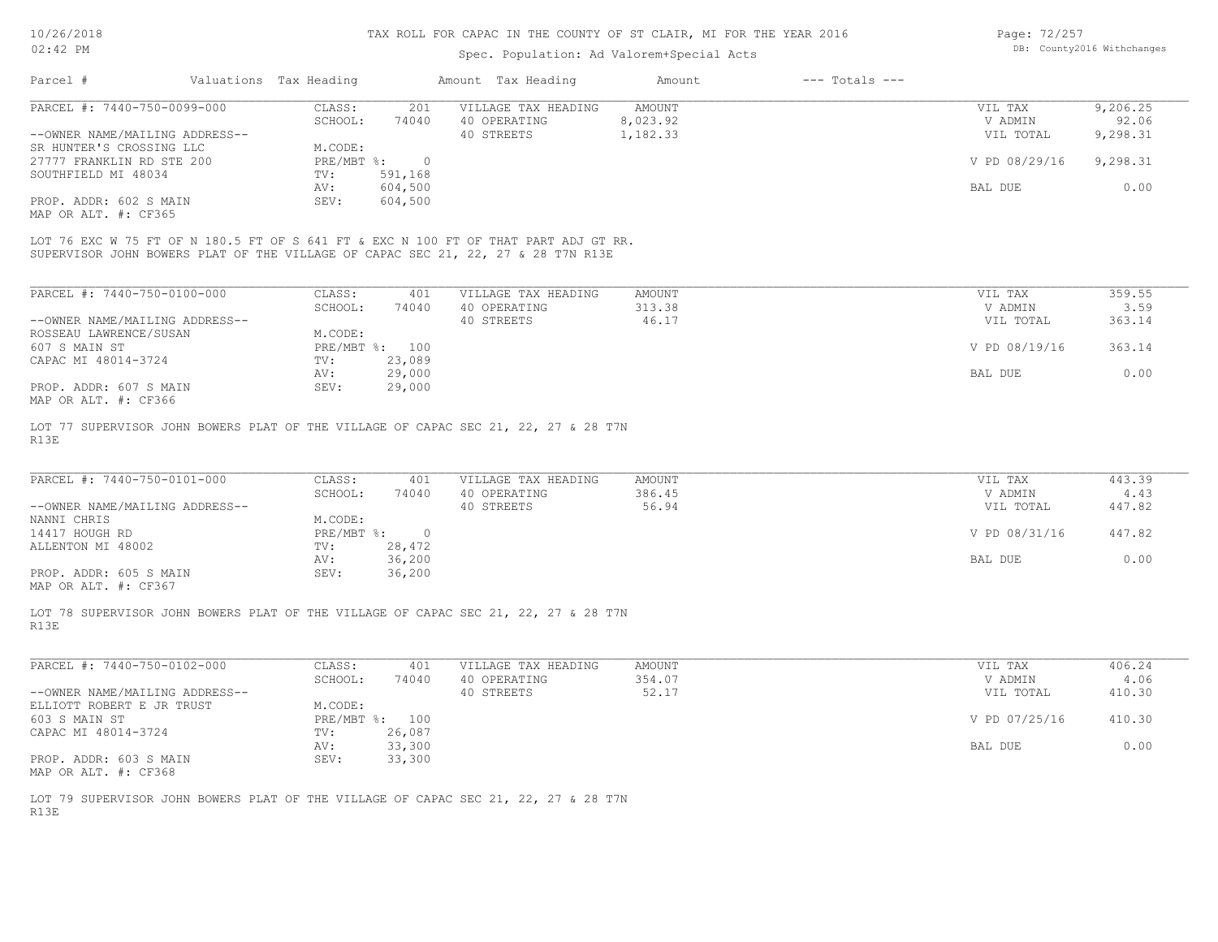# Spec. Population: Ad Valorem+Special Acts

| Page: 72/257 |                            |
|--------------|----------------------------|
|              | DB: County2016 Withchanges |

| Parcel #                       | Valuations Tax Heading |         | Amount Tax Heading  | Amount   | $---$ Totals $---$ |               |          |
|--------------------------------|------------------------|---------|---------------------|----------|--------------------|---------------|----------|
| PARCEL #: 7440-750-0099-000    | CLASS:                 | 201     | VILLAGE TAX HEADING | AMOUNT   |                    | VIL TAX       | 9,206.25 |
|                                | SCHOOL:                | 74040   | 40 OPERATING        | 8,023.92 |                    | V ADMIN       | 92.06    |
| --OWNER NAME/MAILING ADDRESS-- |                        |         | 40 STREETS          | 1,182.33 |                    | VIL TOTAL     | 9,298.31 |
| SR HUNTER'S CROSSING LLC       | M.CODE:                |         |                     |          |                    |               |          |
| 27777 FRANKLIN RD STE 200      | PRE/MBT %:             |         |                     |          |                    | V PD 08/29/16 | 9,298.31 |
| SOUTHFIELD MI 48034            | TV:                    | 591,168 |                     |          |                    |               |          |
|                                | AV:                    | 604,500 |                     |          |                    | BAL DUE       | 0.00     |
| PROP. ADDR: 602 S MAIN         | SEV:                   | 604,500 |                     |          |                    |               |          |
| MAP OR ALT. #: CF365           |                        |         |                     |          |                    |               |          |
|                                |                        |         |                     |          |                    |               |          |

SUPERVISOR JOHN BOWERS PLAT OF THE VILLAGE OF CAPAC SEC 21, 22, 27 & 28 T7N R13E LOT 76 EXC W 75 FT OF N 180.5 FT OF S 641 FT & EXC N 100 FT OF THAT PART ADJ GT RR.

| PARCEL #: 7440-750-0100-000    | CLASS:       | 401    | VILLAGE TAX HEADING | AMOUNT | VIL TAX       | 359.55 |
|--------------------------------|--------------|--------|---------------------|--------|---------------|--------|
|                                | SCHOOL:      | 74040  | 40 OPERATING        | 313.38 | V ADMIN       | 3.59   |
| --OWNER NAME/MAILING ADDRESS-- |              |        | 40 STREETS          | 46.17  | VIL TOTAL     | 363.14 |
| ROSSEAU LAWRENCE/SUSAN         | M.CODE:      |        |                     |        |               |        |
| 607 S MAIN ST                  | $PRE/MBT$ %: | 100    |                     |        | V PD 08/19/16 | 363.14 |
| CAPAC MI 48014-3724            | TV:          | 23,089 |                     |        |               |        |
|                                | AV:          | 29,000 |                     |        | BAL DUE       | 0.00   |
| PROP. ADDR: 607 S MAIN         | SEV:         | 29,000 |                     |        |               |        |
| MAP OR ALT. #: CF366           |              |        |                     |        |               |        |

R13E LOT 77 SUPERVISOR JOHN BOWERS PLAT OF THE VILLAGE OF CAPAC SEC 21, 22, 27 & 28 T7N

| PARCEL #: 7440-750-0101-000    | CLASS:     | 401    | VILLAGE TAX HEADING | AMOUNT | VIL TAX       | 443.39 |
|--------------------------------|------------|--------|---------------------|--------|---------------|--------|
|                                | SCHOOL:    | 74040  | 40 OPERATING        | 386.45 | V ADMIN       | 4.43   |
| --OWNER NAME/MAILING ADDRESS-- |            |        | 40 STREETS          | 56.94  | VIL TOTAL     | 447.82 |
| NANNI CHRIS                    | M.CODE:    |        |                     |        |               |        |
| 14417 HOUGH RD                 | PRE/MBT %: |        |                     |        | V PD 08/31/16 | 447.82 |
| ALLENTON MI 48002              | TV:        | 28,472 |                     |        |               |        |
|                                | AV:        | 36,200 |                     |        | BAL DUE       | 0.00   |
| PROP. ADDR: 605 S MAIN         | SEV:       | 36,200 |                     |        |               |        |
|                                |            |        |                     |        |               |        |

MAP OR ALT. #: CF367

R13E LOT 78 SUPERVISOR JOHN BOWERS PLAT OF THE VILLAGE OF CAPAC SEC 21, 22, 27 & 28 T7N

| PARCEL #: 7440-750-0102-000    | CLASS:       | 401    | VILLAGE TAX HEADING | AMOUNT | VIL TAX       | 406.24 |
|--------------------------------|--------------|--------|---------------------|--------|---------------|--------|
|                                | SCHOOL:      | 74040  | 40 OPERATING        | 354.07 | V ADMIN       | 4.06   |
| --OWNER NAME/MAILING ADDRESS-- |              |        | 40 STREETS          | 52.17  | VIL TOTAL     | 410.30 |
| ELLIOTT ROBERT E JR TRUST      | M.CODE:      |        |                     |        |               |        |
| 603 S MAIN ST                  | $PRE/MBT$ %: | 100    |                     |        | V PD 07/25/16 | 410.30 |
| CAPAC MI 48014-3724            | TV:          | 26,087 |                     |        |               |        |
|                                | AV:          | 33,300 |                     |        | BAL DUE       | 0.00   |
| PROP. ADDR: 603 S MAIN         | SEV:         | 33,300 |                     |        |               |        |
| MAP OR ALT. #: CF368           |              |        |                     |        |               |        |

 $\_$  , and the state of the state of the state of the state of the state of the state of the state of the state of the state of the state of the state of the state of the state of the state of the state of the state of the

R13E LOT 79 SUPERVISOR JOHN BOWERS PLAT OF THE VILLAGE OF CAPAC SEC 21, 22, 27 & 28 T7N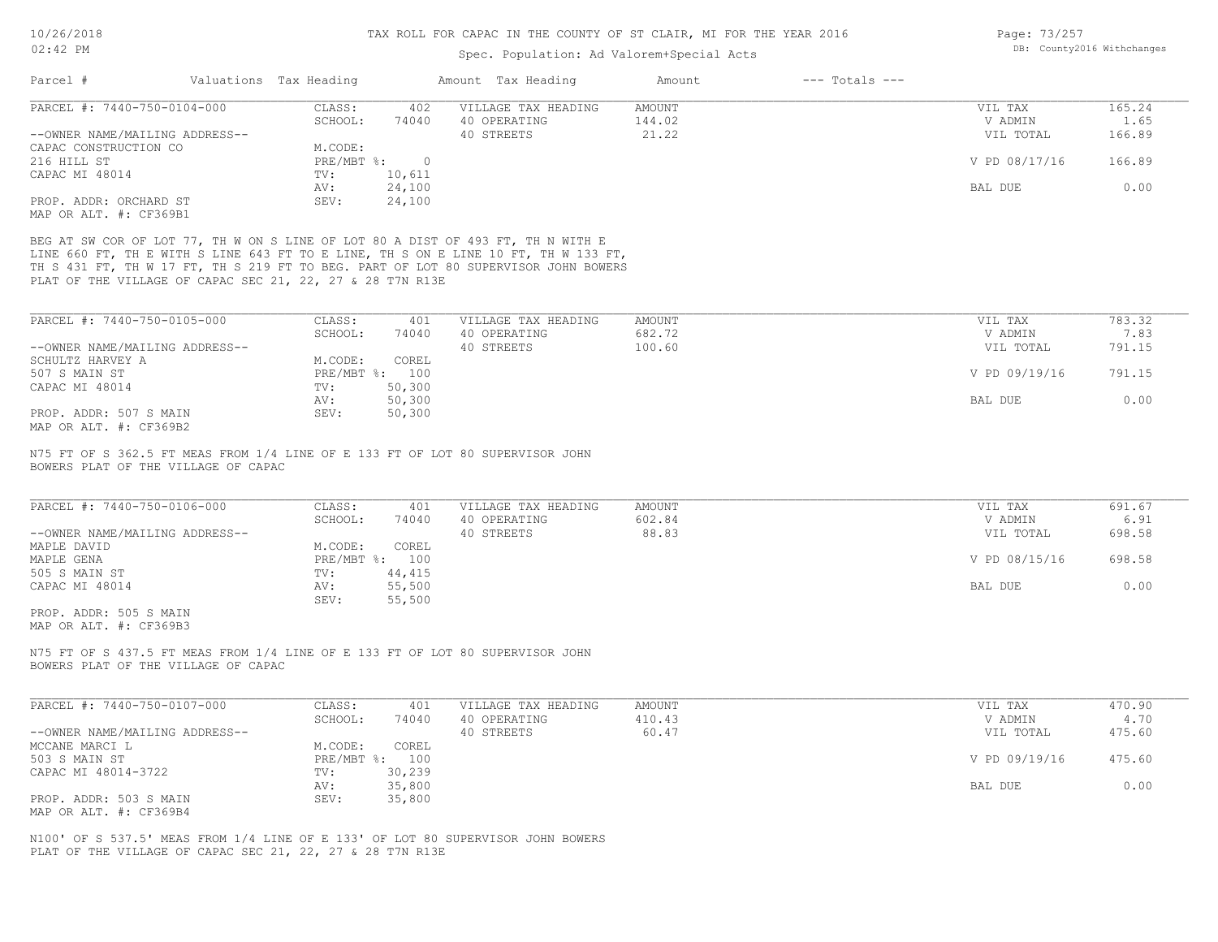## Spec. Population: Ad Valorem+Special Acts

| Page: 73/257 |                            |
|--------------|----------------------------|
|              | DB: County2016 Withchanges |

| Parcel #<br>Valuations Tax Heading                                                                                                                                                                                                                                                                                                                                                                                                                          |                                                                                                           | Amount Tax Heading                                |                                  |                                                             |                                            |
|-------------------------------------------------------------------------------------------------------------------------------------------------------------------------------------------------------------------------------------------------------------------------------------------------------------------------------------------------------------------------------------------------------------------------------------------------------------|-----------------------------------------------------------------------------------------------------------|---------------------------------------------------|----------------------------------|-------------------------------------------------------------|--------------------------------------------|
| PARCEL #: 7440-750-0104-000                                                                                                                                                                                                                                                                                                                                                                                                                                 | CLASS:<br>402                                                                                             | VILLAGE TAX HEADING                               | AMOUNT                           | VIL TAX                                                     | 165.24                                     |
|                                                                                                                                                                                                                                                                                                                                                                                                                                                             | SCHOOL:<br>74040                                                                                          | 40 OPERATING                                      | 144.02                           | V ADMIN                                                     | 1.65                                       |
| --OWNER NAME/MAILING ADDRESS--                                                                                                                                                                                                                                                                                                                                                                                                                              |                                                                                                           | 40 STREETS                                        | 21.22                            | VIL TOTAL                                                   | 166.89                                     |
| CAPAC CONSTRUCTION CO                                                                                                                                                                                                                                                                                                                                                                                                                                       | M.CODE:                                                                                                   |                                                   |                                  |                                                             |                                            |
| 216 HILL ST                                                                                                                                                                                                                                                                                                                                                                                                                                                 | $PRE/MBT$ %:<br>$\overline{0}$                                                                            |                                                   |                                  | V PD 08/17/16                                               | 166.89                                     |
| CAPAC MI 48014                                                                                                                                                                                                                                                                                                                                                                                                                                              | 10,611<br>TV:                                                                                             |                                                   |                                  |                                                             |                                            |
|                                                                                                                                                                                                                                                                                                                                                                                                                                                             | 24,100<br>AV:                                                                                             |                                                   |                                  | BAL DUE                                                     | 0.00                                       |
| PROP. ADDR: ORCHARD ST                                                                                                                                                                                                                                                                                                                                                                                                                                      | SEV:<br>24,100                                                                                            |                                                   |                                  |                                                             |                                            |
| MAP OR ALT. #: CF369B1                                                                                                                                                                                                                                                                                                                                                                                                                                      |                                                                                                           |                                                   |                                  |                                                             |                                            |
| BEG AT SW COR OF LOT 77, TH W ON S LINE OF LOT 80 A DIST OF 493 FT, TH N WITH E<br>LINE 660 FT, TH E WITH S LINE 643 FT TO E LINE, TH S ON E LINE 10 FT, TH W 133 FT,<br>TH S 431 FT, TH W 17 FT, TH S 219 FT TO BEG. PART OF LOT 80 SUPERVISOR JOHN BOWERS<br>PLAT OF THE VILLAGE OF CAPAC SEC 21, 22, 27 & 28 T7N R13E                                                                                                                                    |                                                                                                           |                                                   |                                  |                                                             |                                            |
| PARCEL #: 7440-750-0105-000                                                                                                                                                                                                                                                                                                                                                                                                                                 | CLASS:<br>401                                                                                             | VILLAGE TAX HEADING                               | <b>AMOUNT</b>                    | VIL TAX                                                     | 783.32                                     |
|                                                                                                                                                                                                                                                                                                                                                                                                                                                             | SCHOOL:<br>74040                                                                                          | 40 OPERATING                                      | 682.72                           | V ADMIN                                                     | 7.83                                       |
| --OWNER NAME/MAILING ADDRESS--                                                                                                                                                                                                                                                                                                                                                                                                                              |                                                                                                           | 40 STREETS                                        | 100.60                           | VIL TOTAL                                                   | 791.15                                     |
| SCHULTZ HARVEY A                                                                                                                                                                                                                                                                                                                                                                                                                                            | M.CODE:<br>COREL                                                                                          |                                                   |                                  |                                                             |                                            |
| 507 S MAIN ST                                                                                                                                                                                                                                                                                                                                                                                                                                               | PRE/MBT %: 100                                                                                            |                                                   |                                  | V PD 09/19/16                                               | 791.15                                     |
| CAPAC MI 48014                                                                                                                                                                                                                                                                                                                                                                                                                                              | TV:<br>50,300                                                                                             |                                                   |                                  |                                                             |                                            |
|                                                                                                                                                                                                                                                                                                                                                                                                                                                             | 50,300<br>AV:                                                                                             |                                                   |                                  | BAL DUE                                                     | 0.00                                       |
| PROP. ADDR: 507 S MAIN                                                                                                                                                                                                                                                                                                                                                                                                                                      | 50,300<br>SEV:                                                                                            |                                                   |                                  |                                                             |                                            |
|                                                                                                                                                                                                                                                                                                                                                                                                                                                             |                                                                                                           |                                                   |                                  |                                                             |                                            |
|                                                                                                                                                                                                                                                                                                                                                                                                                                                             |                                                                                                           |                                                   |                                  |                                                             |                                            |
|                                                                                                                                                                                                                                                                                                                                                                                                                                                             | CLASS:<br>401<br>SCHOOL:<br>74040<br>COREL<br>M.CODE:<br>PRE/MBT %: 100<br>44,415<br>TV:<br>AV:<br>55,500 | VILLAGE TAX HEADING<br>40 OPERATING<br>40 STREETS | <b>AMOUNT</b><br>602.84<br>88.83 | VIL TAX<br>V ADMIN<br>VIL TOTAL<br>V PD 08/15/16<br>BAL DUE |                                            |
|                                                                                                                                                                                                                                                                                                                                                                                                                                                             | SEV:<br>55,500                                                                                            |                                                   |                                  |                                                             | 691.67<br>6.91<br>698.58<br>698.58<br>0.00 |
|                                                                                                                                                                                                                                                                                                                                                                                                                                                             |                                                                                                           |                                                   |                                  |                                                             |                                            |
| MAP OR ALT. #: CF369B2<br>N75 FT OF S 362.5 FT MEAS FROM 1/4 LINE OF E 133 FT OF LOT 80 SUPERVISOR JOHN<br>BOWERS PLAT OF THE VILLAGE OF CAPAC<br>PARCEL #: 7440-750-0106-000<br>--OWNER NAME/MAILING ADDRESS--<br>MAPLE DAVID<br>MAPLE GENA<br>505 S MAIN ST<br>CAPAC MI 48014<br>PROP. ADDR: 505 S MAIN<br>MAP OR ALT. #: CF369B3<br>N75 FT OF S 437.5 FT MEAS FROM 1/4 LINE OF E 133 FT OF LOT 80 SUPERVISOR JOHN<br>BOWERS PLAT OF THE VILLAGE OF CAPAC |                                                                                                           |                                                   |                                  |                                                             |                                            |
| PARCEL #: 7440-750-0107-000                                                                                                                                                                                                                                                                                                                                                                                                                                 | CLASS:<br>401                                                                                             | VILLAGE TAX HEADING                               | <b>AMOUNT</b>                    | VIL TAX                                                     | 470.90                                     |
|                                                                                                                                                                                                                                                                                                                                                                                                                                                             | SCHOOL:<br>74040                                                                                          | 40 OPERATING                                      | 410.43                           | V ADMIN                                                     | 4.70                                       |
|                                                                                                                                                                                                                                                                                                                                                                                                                                                             |                                                                                                           | 40 STREETS                                        | 60.47                            | VIL TOTAL                                                   |                                            |
|                                                                                                                                                                                                                                                                                                                                                                                                                                                             | M.CODE:<br>COREL                                                                                          |                                                   |                                  |                                                             |                                            |
|                                                                                                                                                                                                                                                                                                                                                                                                                                                             | PRE/MBT %: 100                                                                                            |                                                   |                                  | V PD 09/19/16                                               | 475.60<br>475.60                           |
| --OWNER NAME/MAILING ADDRESS--<br>MCCANE MARCI L<br>503 S MAIN ST<br>CAPAC MI 48014-3722                                                                                                                                                                                                                                                                                                                                                                    | TV:<br>30,239                                                                                             |                                                   |                                  |                                                             |                                            |
| PROP. ADDR: 503 S MAIN                                                                                                                                                                                                                                                                                                                                                                                                                                      | 35,800<br>AV:<br>SEV:<br>35,800                                                                           |                                                   |                                  | BAL DUE                                                     | 0.00                                       |

PLAT OF THE VILLAGE OF CAPAC SEC 21, 22, 27 & 28 T7N R13E N100' OF S 537.5' MEAS FROM 1/4 LINE OF E 133' OF LOT 80 SUPERVISOR JOHN BOWERS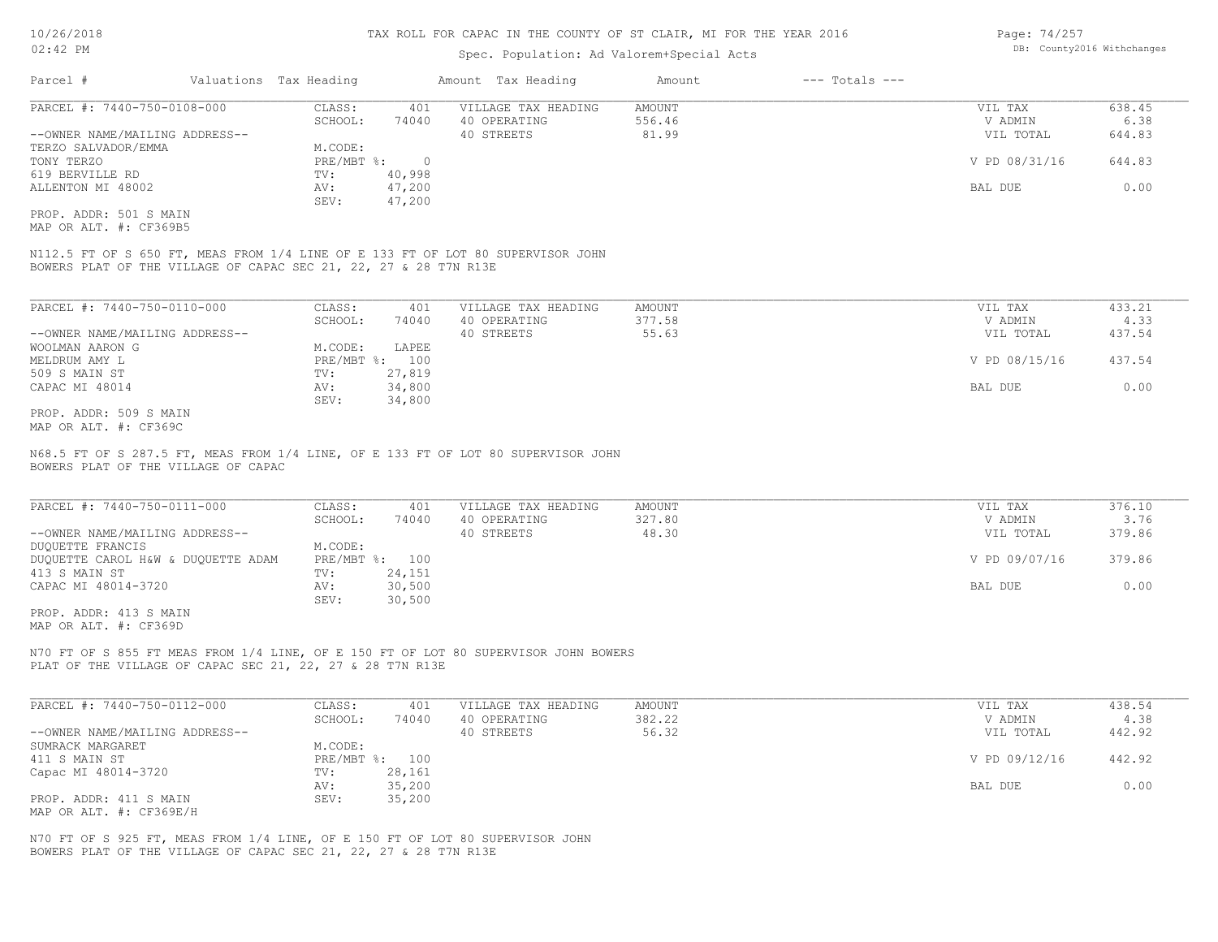### Spec. Population: Ad Valorem+Special Acts

| Page: 74/257 |                            |
|--------------|----------------------------|
|              | DB: County2016 Withchanges |

| Parcel #                       | Valuations Tax Heading |        | Amount Tax Heading  | Amount | $---$ Totals $---$ |               |        |
|--------------------------------|------------------------|--------|---------------------|--------|--------------------|---------------|--------|
| PARCEL #: 7440-750-0108-000    | CLASS:                 | 401    | VILLAGE TAX HEADING | AMOUNT |                    | VIL TAX       | 638.45 |
|                                | SCHOOL:                | 74040  | 40 OPERATING        | 556.46 |                    | V ADMIN       | 6.38   |
| --OWNER NAME/MAILING ADDRESS-- |                        |        | 40 STREETS          | 81.99  |                    | VIL TOTAL     | 644.83 |
| TERZO SALVADOR/EMMA            | M.CODE:                |        |                     |        |                    |               |        |
| TONY TERZO                     | PRE/MBT %:             |        |                     |        |                    | V PD 08/31/16 | 644.83 |
| 619 BERVILLE RD                | TV:                    | 40,998 |                     |        |                    |               |        |
| ALLENTON MI 48002              | AV:                    | 47,200 |                     |        |                    | BAL DUE       | 0.00   |
|                                | SEV:                   | 47,200 |                     |        |                    |               |        |
| PROP. ADDR: 501 S MAIN         |                        |        |                     |        |                    |               |        |

MAP OR ALT. #: CF369B5

BOWERS PLAT OF THE VILLAGE OF CAPAC SEC 21, 22, 27 & 28 T7N R13E N112.5 FT OF S 650 FT, MEAS FROM 1/4 LINE OF E 133 FT OF LOT 80 SUPERVISOR JOHN

| PARCEL #: 7440-750-0110-000    | CLASS:     | 401    | VILLAGE TAX HEADING | AMOUNT | VIL TAX       | 433.21 |
|--------------------------------|------------|--------|---------------------|--------|---------------|--------|
|                                | SCHOOL:    | 74040  | 40 OPERATING        | 377.58 | V ADMIN       | 4.33   |
| --OWNER NAME/MAILING ADDRESS-- |            |        | 40 STREETS          | 55.63  | VIL TOTAL     | 437.54 |
| WOOLMAN AARON G                | M.CODE:    | LAPEE  |                     |        |               |        |
| MELDRUM AMY L                  | PRE/MBT %: | 100    |                     |        | V PD 08/15/16 | 437.54 |
| 509 S MAIN ST                  | TV:        | 27,819 |                     |        |               |        |
| CAPAC MI 48014                 | AV:        | 34,800 |                     |        | BAL DUE       | 0.00   |
|                                | SEV:       | 34,800 |                     |        |               |        |
| PROP. ADDR: 509 S MAIN         |            |        |                     |        |               |        |

MAP OR ALT. #: CF369C

BOWERS PLAT OF THE VILLAGE OF CAPAC N68.5 FT OF S 287.5 FT, MEAS FROM 1/4 LINE, OF E 133 FT OF LOT 80 SUPERVISOR JOHN

| PARCEL #: 7440-750-0111-000        | CLASS:         | 401    | VILLAGE TAX HEADING | AMOUNT | VIL TAX       | 376.10 |
|------------------------------------|----------------|--------|---------------------|--------|---------------|--------|
|                                    | SCHOOL:        | 74040  | 40 OPERATING        | 327.80 | V ADMIN       | 3.76   |
| --OWNER NAME/MAILING ADDRESS--     |                |        | 40 STREETS          | 48.30  | VIL TOTAL     | 379.86 |
| DUQUETTE FRANCIS                   | M.CODE:        |        |                     |        |               |        |
| DUQUETTE CAROL H&W & DUQUETTE ADAM | PRE/MBT %: 100 |        |                     |        | V PD 09/07/16 | 379.86 |
| 413 S MAIN ST                      | TV:            | 24,151 |                     |        |               |        |
| CAPAC MI 48014-3720                | AV:            | 30,500 |                     |        | BAL DUE       | 0.00   |
|                                    | SEV:           | 30,500 |                     |        |               |        |

MAP OR ALT. #: CF369D PROP. ADDR: 413 S MAIN

PLAT OF THE VILLAGE OF CAPAC SEC 21, 22, 27 & 28 T7N R13E N70 FT OF S 855 FT MEAS FROM 1/4 LINE, OF E 150 FT OF LOT 80 SUPERVISOR JOHN BOWERS

| PARCEL #: 7440-750-0112-000    | CLASS:         | 401    | VILLAGE TAX HEADING | AMOUNT | VIL TAX       | 438.54 |
|--------------------------------|----------------|--------|---------------------|--------|---------------|--------|
|                                | SCHOOL:        | 74040  | 40 OPERATING        | 382.22 | V ADMIN       | 4.38   |
| --OWNER NAME/MAILING ADDRESS-- |                |        | 40 STREETS          | 56.32  | VIL TOTAL     | 442.92 |
| SUMRACK MARGARET               | M.CODE:        |        |                     |        |               |        |
| 411 S MAIN ST                  | PRE/MBT %: 100 |        |                     |        | V PD 09/12/16 | 442.92 |
| Capac MI 48014-3720            | TV:            | 28,161 |                     |        |               |        |
|                                | AV:            | 35,200 |                     |        | BAL DUE       | 0.00   |
| PROP. ADDR: 411 S MAIN         | SEV:           | 35,200 |                     |        |               |        |
| MAP OR ALT. #: CF369E/H        |                |        |                     |        |               |        |

BOWERS PLAT OF THE VILLAGE OF CAPAC SEC 21, 22, 27 & 28 T7N R13E N70 FT OF S 925 FT, MEAS FROM 1/4 LINE, OF E 150 FT OF LOT 80 SUPERVISOR JOHN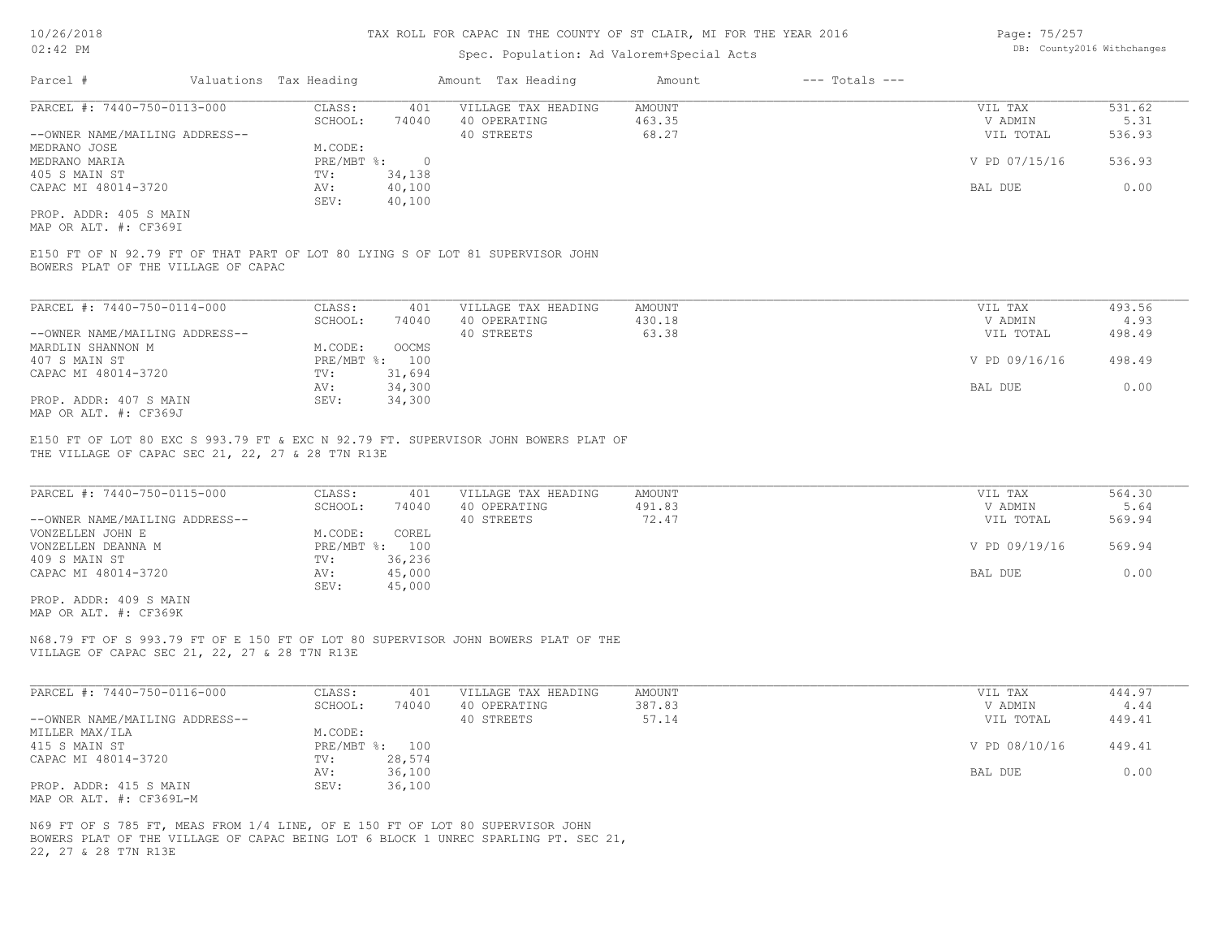### Spec. Population: Ad Valorem+Special Acts

| Page: 75/257 |                            |
|--------------|----------------------------|
|              | DB: County2016 Withchanges |

| Parcel #                       | Valuations Tax Heading |        | Amount Tax Heading  | Amount | $---$ Totals $---$ |               |        |
|--------------------------------|------------------------|--------|---------------------|--------|--------------------|---------------|--------|
| PARCEL #: 7440-750-0113-000    | CLASS:                 | 401    | VILLAGE TAX HEADING | AMOUNT |                    | VIL TAX       | 531.62 |
|                                | SCHOOL:                | 74040  | 40 OPERATING        | 463.35 |                    | V ADMIN       | 5.31   |
| --OWNER NAME/MAILING ADDRESS-- |                        |        | 40 STREETS          | 68.27  |                    | VIL TOTAL     | 536.93 |
| MEDRANO JOSE                   | M.CODE:                |        |                     |        |                    |               |        |
| MEDRANO MARIA                  | PRE/MBT %:             |        |                     |        |                    | V PD 07/15/16 | 536.93 |
| 405 S MAIN ST                  | TV:                    | 34,138 |                     |        |                    |               |        |
| CAPAC MI 48014-3720            | AV:                    | 40,100 |                     |        |                    | BAL DUE       | 0.00   |
|                                | SEV:                   | 40,100 |                     |        |                    |               |        |
| PROP. ADDR: 405 S MAIN         |                        |        |                     |        |                    |               |        |

MAP OR ALT. #: CF369I

BOWERS PLAT OF THE VILLAGE OF CAPAC E150 FT OF N 92.79 FT OF THAT PART OF LOT 80 LYING S OF LOT 81 SUPERVISOR JOHN

| PARCEL #: 7440-750-0114-000    | CLASS:  | 401            | VILLAGE TAX HEADING | AMOUNT | VIL TAX       | 493.56 |
|--------------------------------|---------|----------------|---------------------|--------|---------------|--------|
|                                | SCHOOL: | 74040          | 40 OPERATING        | 430.18 | V ADMIN       | 4.93   |
| --OWNER NAME/MAILING ADDRESS-- |         |                | 40 STREETS          | 63.38  | VIL TOTAL     | 498.49 |
| MARDLIN SHANNON M              | M.CODE: | OOCMS          |                     |        |               |        |
| 407 S MAIN ST                  |         | PRE/MBT %: 100 |                     |        | V PD 09/16/16 | 498.49 |
| CAPAC MI 48014-3720            | TV:     | 31,694         |                     |        |               |        |
|                                | AV:     | 34,300         |                     |        | BAL DUE       | 0.00   |
| PROP. ADDR: 407 S MAIN         | SEV:    | 34,300         |                     |        |               |        |
| MAP OR ALT. #: CF369J          |         |                |                     |        |               |        |

THE VILLAGE OF CAPAC SEC 21, 22, 27 & 28 T7N R13E E150 FT OF LOT 80 EXC S 993.79 FT & EXC N 92.79 FT. SUPERVISOR JOHN BOWERS PLAT OF

| PARCEL #: 7440-750-0115-000    | CLASS:  | 401            | VILLAGE TAX HEADING | AMOUNT | VIL TAX       | 564.30 |
|--------------------------------|---------|----------------|---------------------|--------|---------------|--------|
|                                | SCHOOL: | 74040          | 40 OPERATING        | 491.83 | V ADMIN       | 5.64   |
| --OWNER NAME/MAILING ADDRESS-- |         |                | 40 STREETS          | 72.47  | VIL TOTAL     | 569.94 |
| VONZELLEN JOHN E               | M.CODE: | COREL          |                     |        |               |        |
| VONZELLEN DEANNA M             |         | PRE/MBT %: 100 |                     |        | V PD 09/19/16 | 569.94 |
| 409 S MAIN ST                  | TV:     | 36,236         |                     |        |               |        |
| CAPAC MI 48014-3720            | AV:     | 45,000         |                     |        | BAL DUE       | 0.00   |
|                                | SEV:    | 45,000         |                     |        |               |        |
| PROP. ADDR: 409 S MAIN         |         |                |                     |        |               |        |

MAP OR ALT. #: CF369K

VILLAGE OF CAPAC SEC 21, 22, 27 & 28 T7N R13E N68.79 FT OF S 993.79 FT OF E 150 FT OF LOT 80 SUPERVISOR JOHN BOWERS PLAT OF THE

| PARCEL #: 7440-750-0116-000    | CLASS:  | 401            | VILLAGE TAX HEADING | AMOUNT | VIL TAX       | 444.97 |
|--------------------------------|---------|----------------|---------------------|--------|---------------|--------|
|                                | SCHOOL: | 74040          | 40 OPERATING        | 387.83 | V ADMIN       | 4.44   |
| --OWNER NAME/MAILING ADDRESS-- |         |                | 40 STREETS          | 57.14  | VIL TOTAL     | 449.41 |
| MILLER MAX/ILA                 | M.CODE: |                |                     |        |               |        |
| 415 S MAIN ST                  |         | PRE/MBT %: 100 |                     |        | V PD 08/10/16 | 449.41 |
| CAPAC MI 48014-3720            | TV:     | 28,574         |                     |        |               |        |
|                                | AV:     | 36,100         |                     |        | BAL DUE       | 0.00   |
| PROP. ADDR: 415 S MAIN         | SEV:    | 36,100         |                     |        |               |        |
| MAP OR ALT. #: CF369L-M        |         |                |                     |        |               |        |

22, 27 & 28 T7N R13E BOWERS PLAT OF THE VILLAGE OF CAPAC BEING LOT 6 BLOCK 1 UNREC SPARLING PT. SEC 21, N69 FT OF S 785 FT, MEAS FROM 1/4 LINE, OF E 150 FT OF LOT 80 SUPERVISOR JOHN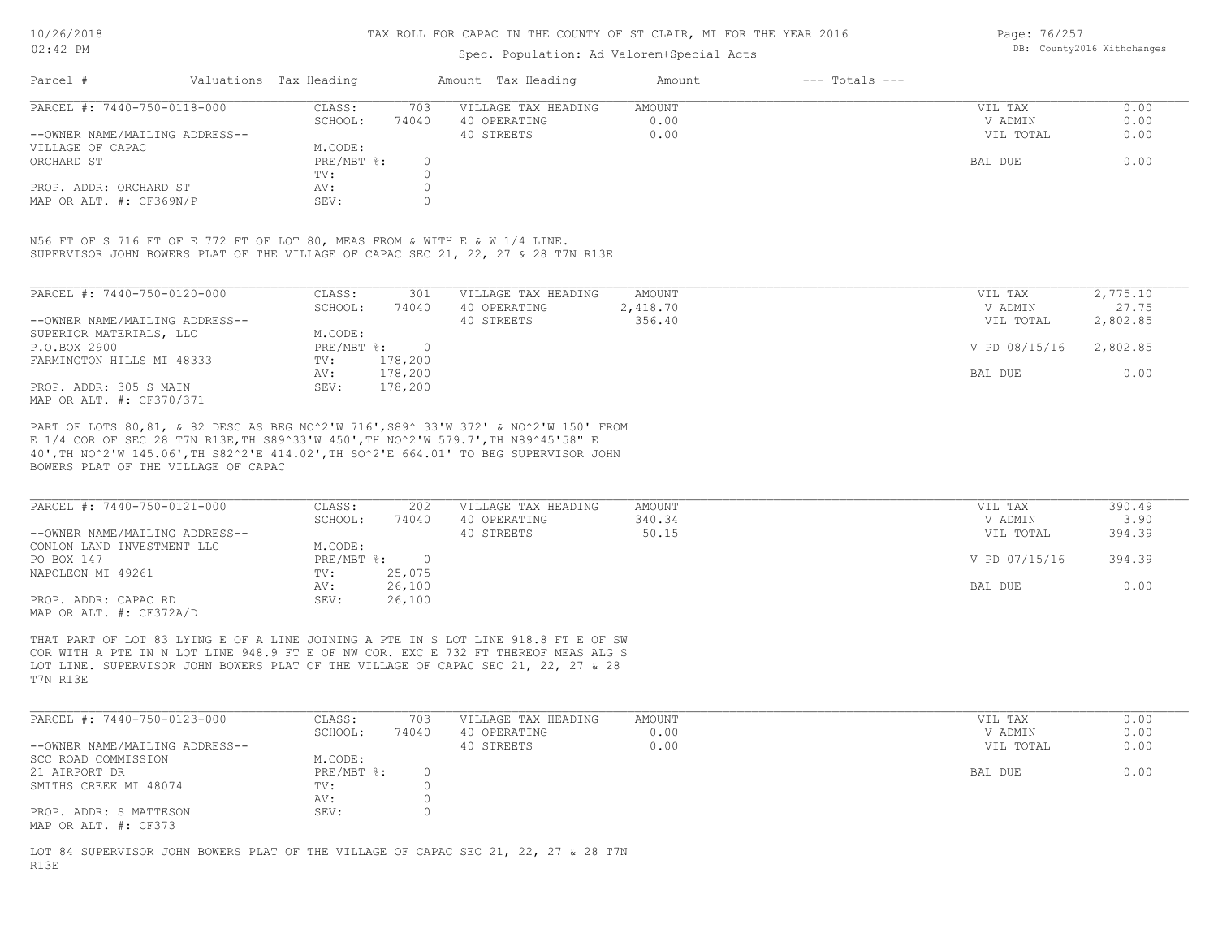### Spec. Population: Ad Valorem+Special Acts

Page: 76/257 DB: County2016 Withchanges

| Parcel #                       | Valuations Tax Heading |       | Amount Tax Heading  | Amount | $---$ Totals $---$ |           |      |
|--------------------------------|------------------------|-------|---------------------|--------|--------------------|-----------|------|
| PARCEL #: 7440-750-0118-000    | CLASS:                 | 703   | VILLAGE TAX HEADING | AMOUNT |                    | VIL TAX   | 0.00 |
|                                | SCHOOL:                | 74040 | 40 OPERATING        | 0.00   |                    | V ADMIN   | 0.00 |
| --OWNER NAME/MAILING ADDRESS-- |                        |       | 40 STREETS          | 0.00   |                    | VIL TOTAL | 0.00 |
| VILLAGE OF CAPAC               | M.CODE:                |       |                     |        |                    |           |      |
| ORCHARD ST                     | PRE/MBT %:             |       |                     |        |                    | BAL DUE   | 0.00 |
|                                | TV:                    |       |                     |        |                    |           |      |
| PROP. ADDR: ORCHARD ST         | AV:                    |       |                     |        |                    |           |      |
| MAP OR ALT. #: CF369N/P        | SEV:                   |       |                     |        |                    |           |      |

SUPERVISOR JOHN BOWERS PLAT OF THE VILLAGE OF CAPAC SEC 21, 22, 27 & 28 T7N R13E N56 FT OF S 716 FT OF E 772 FT OF LOT 80, MEAS FROM & WITH E & W 1/4 LINE.

| PARCEL #: 7440-750-0120-000    | CLASS:     | 301     | VILLAGE TAX HEADING | AMOUNT   | VIL TAX       | 2,775.10 |
|--------------------------------|------------|---------|---------------------|----------|---------------|----------|
|                                | SCHOOL:    | 74040   | 40 OPERATING        | 2,418.70 | V ADMIN       | 27.75    |
| --OWNER NAME/MAILING ADDRESS-- |            |         | 40 STREETS          | 356.40   | VIL TOTAL     | 2,802.85 |
| SUPERIOR MATERIALS, LLC        | M.CODE:    |         |                     |          |               |          |
| P.O.BOX 2900                   | PRE/MBT %: |         |                     |          | V PD 08/15/16 | 2,802.85 |
| FARMINGTON HILLS MI 48333      | TV:        | 178,200 |                     |          |               |          |
|                                | AV:        | 178,200 |                     |          | BAL DUE       | 0.00     |
| PROP. ADDR: 305 S MAIN         | SEV:       | 178,200 |                     |          |               |          |
| MAP OR ALT. #: CF370/371       |            |         |                     |          |               |          |

BOWERS PLAT OF THE VILLAGE OF CAPAC 40',TH NO^2'W 145.06',TH S82^2'E 414.02',TH SO^2'E 664.01' TO BEG SUPERVISOR JOHN E 1/4 COR OF SEC 28 T7N R13E,TH S89^33'W 450',TH NO^2'W 579.7',TH N89^45'58" E PART OF LOTS 80,81, & 82 DESC AS BEG NO^2'W 716',S89^ 33'W 372' & NO^2'W 150' FROM

| PARCEL #: 7440-750-0121-000    | CLASS:     | 202    | VILLAGE TAX HEADING | AMOUNT | VIL TAX       | 390.49 |
|--------------------------------|------------|--------|---------------------|--------|---------------|--------|
|                                | SCHOOL:    | 74040  | 40 OPERATING        | 340.34 | V ADMIN       | 3.90   |
| --OWNER NAME/MAILING ADDRESS-- |            |        | 40 STREETS          | 50.15  | VIL TOTAL     | 394.39 |
| CONLON LAND INVESTMENT LLC     | M.CODE:    |        |                     |        |               |        |
| PO BOX 147                     | PRE/MBT %: |        |                     |        | V PD 07/15/16 | 394.39 |
| NAPOLEON MI 49261              | TV:        | 25,075 |                     |        |               |        |
|                                | AV:        | 26,100 |                     |        | BAL DUE       | 0.00   |
| PROP. ADDR: CAPAC RD           | SEV:       | 26,100 |                     |        |               |        |
| MAP OR ALT. #: CF372A/D        |            |        |                     |        |               |        |

T7N R13E LOT LINE. SUPERVISOR JOHN BOWERS PLAT OF THE VILLAGE OF CAPAC SEC 21, 22, 27 & 28 COR WITH A PTE IN N LOT LINE 948.9 FT E OF NW COR. EXC E 732 FT THEREOF MEAS ALG S THAT PART OF LOT 83 LYING E OF A LINE JOINING A PTE IN S LOT LINE 918.8 FT E OF SW

| PARCEL #: 7440-750-0123-000    | CLASS:       | 703   | VILLAGE TAX HEADING | AMOUNT | VIL TAX   | 0.00 |
|--------------------------------|--------------|-------|---------------------|--------|-----------|------|
|                                | SCHOOL:      | 74040 | 40 OPERATING        | 0.00   | V ADMIN   | 0.00 |
| --OWNER NAME/MAILING ADDRESS-- |              |       | 40 STREETS          | 0.00   | VIL TOTAL | 0.00 |
| SCC ROAD COMMISSION            | M.CODE:      |       |                     |        |           |      |
| 21 AIRPORT DR                  | $PRE/MBT$ %: |       |                     |        | BAL DUE   | 0.00 |
| SMITHS CREEK MI 48074          | TV:          |       |                     |        |           |      |
|                                | AV:          |       |                     |        |           |      |
| PROP. ADDR: S MATTESON         | SEV:         |       |                     |        |           |      |
| MAP OR ALT. #: CF373           |              |       |                     |        |           |      |

R13E LOT 84 SUPERVISOR JOHN BOWERS PLAT OF THE VILLAGE OF CAPAC SEC 21, 22, 27 & 28 T7N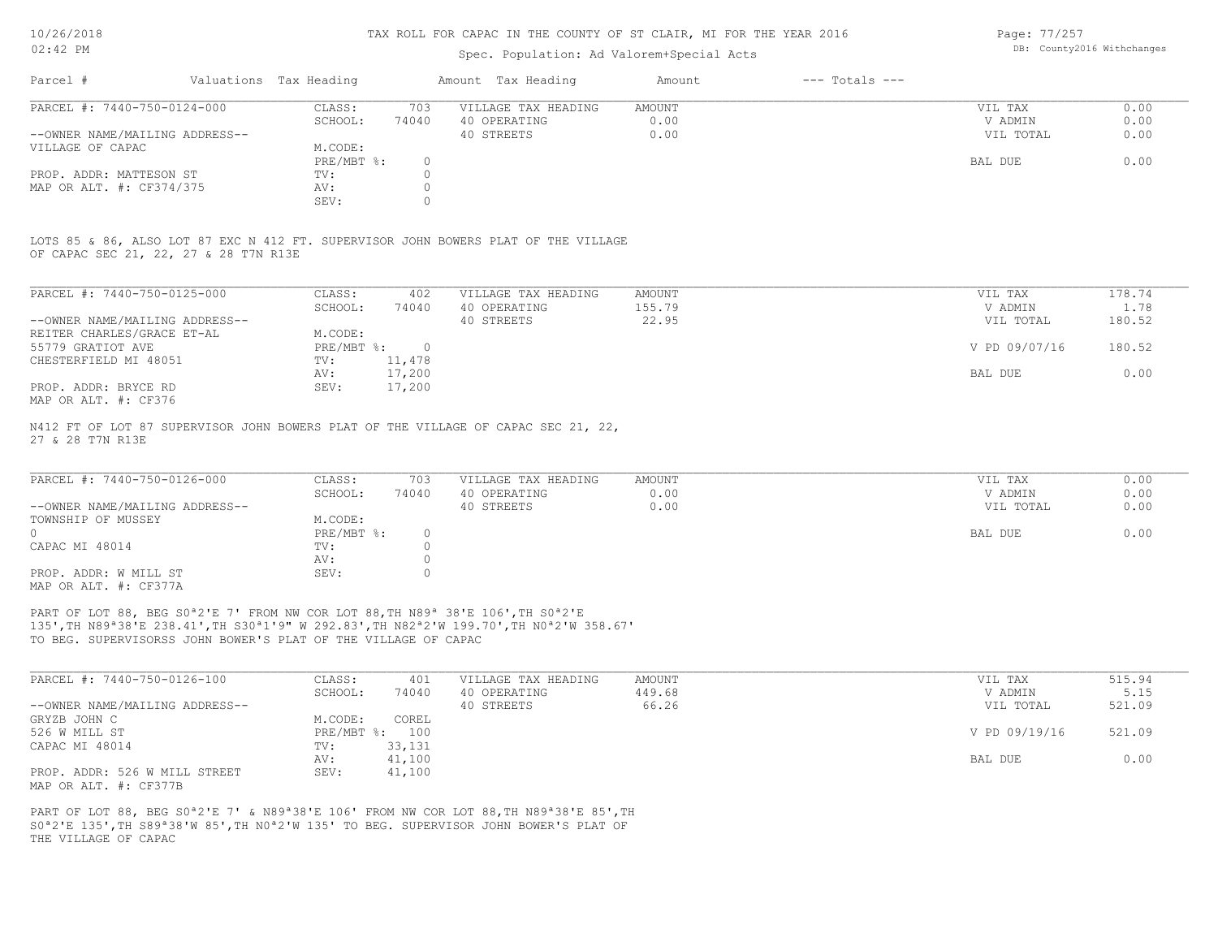### Spec. Population: Ad Valorem+Special Acts

Page: 77/257 DB: County2016 Withchanges

| Parcel #                       | Valuations Tax Heading |       | Amount Tax Heading  | Amount | $---$ Totals $---$ |           |      |
|--------------------------------|------------------------|-------|---------------------|--------|--------------------|-----------|------|
| PARCEL #: 7440-750-0124-000    | CLASS:                 | 703   | VILLAGE TAX HEADING | AMOUNT |                    | VIL TAX   | 0.00 |
|                                | SCHOOL:                | 74040 | 40 OPERATING        | 0.00   |                    | V ADMIN   | 0.00 |
| --OWNER NAME/MAILING ADDRESS-- |                        |       | 40 STREETS          | 0.00   |                    | VIL TOTAL | 0.00 |
| VILLAGE OF CAPAC               | M.CODE:                |       |                     |        |                    |           |      |
|                                | PRE/MBT %:             |       |                     |        |                    | BAL DUE   | 0.00 |
| PROP. ADDR: MATTESON ST        | TV:                    |       |                     |        |                    |           |      |
| MAP OR ALT. #: CF374/375       | AV:                    |       |                     |        |                    |           |      |
|                                | SEV:                   |       |                     |        |                    |           |      |

OF CAPAC SEC 21, 22, 27 & 28 T7N R13E LOTS 85 & 86, ALSO LOT 87 EXC N 412 FT. SUPERVISOR JOHN BOWERS PLAT OF THE VILLAGE

| PARCEL #: 7440-750-0125-000    | CLASS:     | 402      | VILLAGE TAX HEADING | AMOUNT | VIL TAX       | 178.74 |
|--------------------------------|------------|----------|---------------------|--------|---------------|--------|
|                                | SCHOOL:    | 74040    | 40 OPERATING        | 155.79 | V ADMIN       | 1.78   |
| --OWNER NAME/MAILING ADDRESS-- |            |          | 40 STREETS          | 22.95  | VIL TOTAL     | 180.52 |
| REITER CHARLES/GRACE ET-AL     | M.CODE:    |          |                     |        |               |        |
| 55779 GRATIOT AVE              | PRE/MBT %: | $\Omega$ |                     |        | V PD 09/07/16 | 180.52 |
| CHESTERFIELD MI 48051          | TV:        | 11,478   |                     |        |               |        |
|                                | AV:        | 17,200   |                     |        | BAL DUE       | 0.00   |
| PROP. ADDR: BRYCE RD           | SEV:       | 17,200   |                     |        |               |        |
| MAP OR ALT. #: CF376           |            |          |                     |        |               |        |

27 & 28 T7N R13E N412 FT OF LOT 87 SUPERVISOR JOHN BOWERS PLAT OF THE VILLAGE OF CAPAC SEC 21, 22,

| PARCEL #: 7440-750-0126-000    | CLASS:       | 703   | VILLAGE TAX HEADING | AMOUNT | VIL TAX   | 0.00 |
|--------------------------------|--------------|-------|---------------------|--------|-----------|------|
|                                | SCHOOL:      | 74040 | 40 OPERATING        | 0.00   | V ADMIN   | 0.00 |
| --OWNER NAME/MAILING ADDRESS-- |              |       | 40 STREETS          | 0.00   | VIL TOTAL | 0.00 |
| TOWNSHIP OF MUSSEY             | M.CODE:      |       |                     |        |           |      |
|                                | $PRE/MBT$ %: |       |                     |        | BAL DUE   | 0.00 |
| CAPAC MI 48014                 | TV:          |       |                     |        |           |      |
|                                | AV:          |       |                     |        |           |      |
| PROP. ADDR: W MILL ST          | SEV:         |       |                     |        |           |      |
| MAP OR ALT. #: CF377A          |              |       |                     |        |           |      |

TO BEG. SUPERVISORSS JOHN BOWER'S PLAT OF THE VILLAGE OF CAPAC 135',TH N89ª38'E 238.41',TH S30ª1'9" W 292.83',TH N82ª2'W 199.70',TH N0ª2'W 358.67' PART OF LOT 88, BEG S0<sup>ª2'E</sup> 7' FROM NW COR LOT 88, TH N89<sup>ª</sup> 38'E 106', TH S0<sup>ª2'E</sup>

| PARCEL #: 7440-750-0126-100    | CLASS:  | 401            | VILLAGE TAX HEADING | AMOUNT | VIL TAX       | 515.94 |
|--------------------------------|---------|----------------|---------------------|--------|---------------|--------|
|                                | SCHOOL: | 74040          | 40 OPERATING        | 449.68 | V ADMIN       | 5.15   |
| --OWNER NAME/MAILING ADDRESS-- |         |                | 40 STREETS          | 66.26  | VIL TOTAL     | 521.09 |
| GRYZB JOHN C                   | M.CODE: | COREL          |                     |        |               |        |
| 526 W MILL ST                  |         | PRE/MBT %: 100 |                     |        | V PD 09/19/16 | 521.09 |
| CAPAC MI 48014                 | TV:     | 33,131         |                     |        |               |        |
|                                | AV:     | 41,100         |                     |        | BAL DUE       | 0.00   |
| PROP. ADDR: 526 W MILL STREET  | SEV:    | 41,100         |                     |        |               |        |
| MAP OR ALT. #: CF377B          |         |                |                     |        |               |        |

THE VILLAGE OF CAPAC S0ª2'E 135',TH S89ª38'W 85',TH N0ª2'W 135' TO BEG. SUPERVISOR JOHN BOWER'S PLAT OF PART OF LOT 88, BEG S0<sup>ª</sup>2'E 7' & N89<sup>ª</sup>38'E 106' FROM NW COR LOT 88, TH N89<sup>ª</sup>38'E 85', TH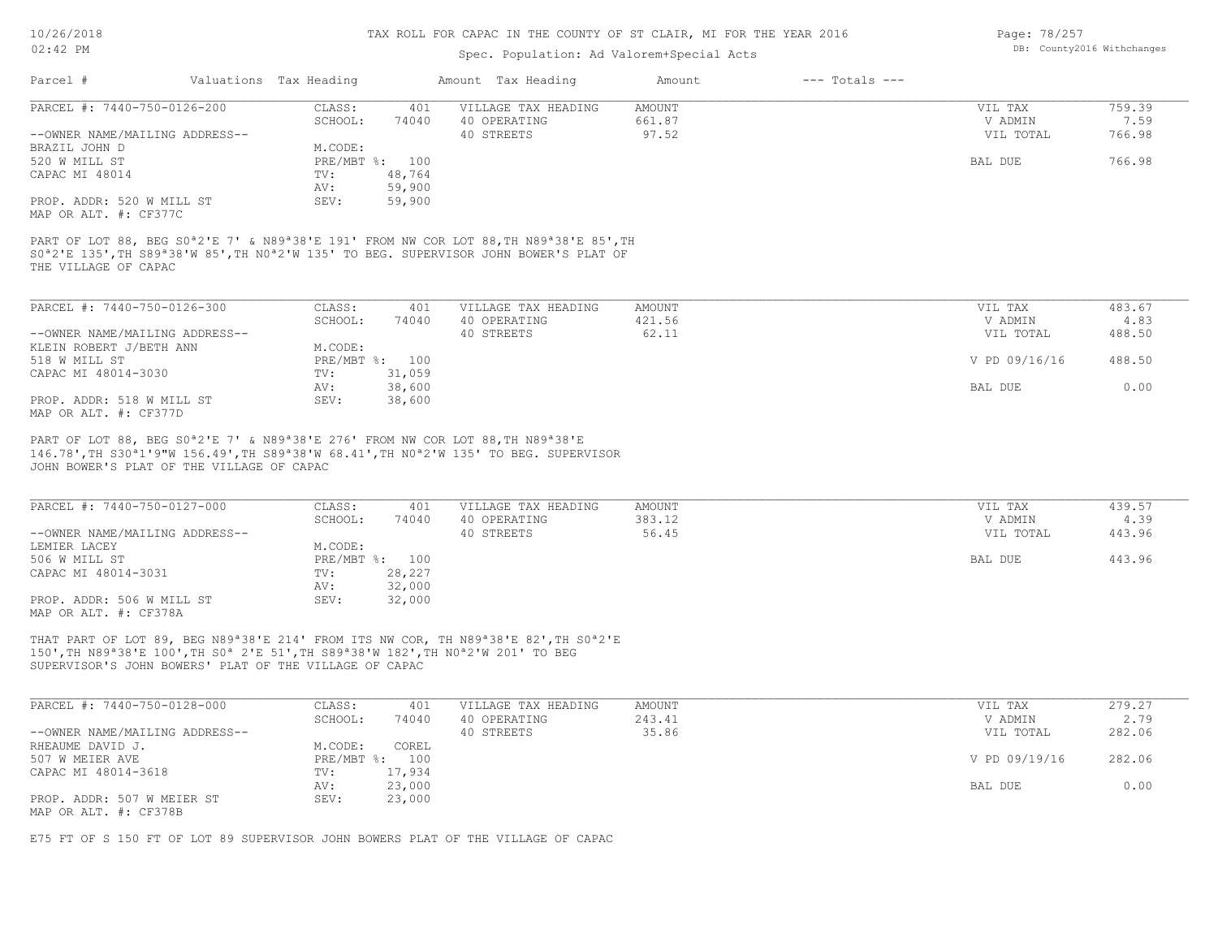### Spec. Population: Ad Valorem+Special Acts

| Page: 78/257 |                            |
|--------------|----------------------------|
|              | DB: County2016 Withchanges |

| Parcel #                                                                                                                                            | Valuations Tax Heading |                | Amount Tax Heading  | Amount        | $---$ Totals $---$ |               |                                           |
|-----------------------------------------------------------------------------------------------------------------------------------------------------|------------------------|----------------|---------------------|---------------|--------------------|---------------|-------------------------------------------|
| PARCEL #: 7440-750-0126-200                                                                                                                         | CLASS:                 | 401            | VILLAGE TAX HEADING | <b>AMOUNT</b> |                    | VIL TAX       | 759.39                                    |
|                                                                                                                                                     | SCHOOL:                | 74040          | 40 OPERATING        | 661.87        |                    | V ADMIN       | 7.59                                      |
| --OWNER NAME/MAILING ADDRESS--                                                                                                                      |                        |                | 40 STREETS          | 97.52         |                    | VIL TOTAL     | 766.98                                    |
| BRAZIL JOHN D                                                                                                                                       | M.CODE:                |                |                     |               |                    |               |                                           |
| 520 W MILL ST                                                                                                                                       |                        | PRE/MBT %: 100 |                     |               |                    | BAL DUE       | 766.98                                    |
| CAPAC MI 48014                                                                                                                                      | TV:                    | 48,764         |                     |               |                    |               |                                           |
|                                                                                                                                                     | AV:                    | 59,900         |                     |               |                    |               |                                           |
| PROP. ADDR: 520 W MILL ST<br>MAP OR ALT. #: CF377C                                                                                                  | SEV:                   | 59,900         |                     |               |                    |               |                                           |
| S0 <sup>a</sup> 2'E 135', TH S89 <sup>a</sup> 38'W 85', TH N0 <sup>a</sup> 2'W 135' TO BEG. SUPERVISOR JOHN BOWER'S PLAT OF<br>THE VILLAGE OF CAPAC |                        |                |                     |               |                    |               |                                           |
| PARCEL #: 7440-750-0126-300                                                                                                                         | CLASS:                 | 401            | VILLAGE TAX HEADING | <b>AMOUNT</b> |                    | VIL TAX       | 483.67                                    |
|                                                                                                                                                     | SCHOOL:                | 74040          | 40 OPERATING        | 421.56        |                    | V ADMIN       | 4.83                                      |
| --OWNER NAME/MAILING ADDRESS--                                                                                                                      |                        |                | 40 STREETS          | 62.11         |                    | VIL TOTAL     | 488.50                                    |
| KLEIN ROBERT J/BETH ANN                                                                                                                             | M.CODE:                |                |                     |               |                    |               |                                           |
| 518 W MILL ST                                                                                                                                       |                        | PRE/MBT %: 100 |                     |               |                    | V PD 09/16/16 | 488.50                                    |
| CAPAC MI 48014-3030                                                                                                                                 | TV:                    | 31,059         |                     |               |                    |               |                                           |
|                                                                                                                                                     | AV:                    | 38,600         |                     |               |                    | BAL DUE       | 0.00                                      |
| PROP. ADDR: 518 W MILL ST<br>MAP OR ALT. #: CF377D                                                                                                  | SEV:                   | 38,600         |                     |               |                    |               |                                           |
| PART OF LOT 88, BEG S0 <sup>a</sup> 2'E 7' & N89 <sup>a</sup> 38'E 276' FROM NW COR LOT 88, TH N89 <sup>a</sup> 38'E                                |                        |                |                     |               |                    |               |                                           |
| 146.78', TH S30 <sup>a</sup> 1'9"W 156.49', TH S89 <sup>a</sup> 38'W 68.41', TH N0 <sup>a</sup> 2'W 135' TO BEG. SUPERVISOR                         |                        |                |                     |               |                    |               |                                           |
| JOHN BOWER'S PLAT OF THE VILLAGE OF CAPAC                                                                                                           |                        |                |                     |               |                    |               |                                           |
| PARCEL #: 7440-750-0127-000                                                                                                                         | CLASS:                 | 401            | VILLAGE TAX HEADING | <b>AMOUNT</b> |                    | VIL TAX       | 439.57                                    |
|                                                                                                                                                     | SCHOOL:                | 74040          | 40 OPERATING        | 383.12        |                    | V ADMIN       | 4.39                                      |
| $--$ OWNER NAME/MATLING ADDRESS-                                                                                                                    |                        |                | $40 \,$ STREFTS     | 56 45         |                    | VIT. TOTAL    | $\Delta$ $\Delta$ $\Im$ $\Im$ $\Im$ $\Im$ |

|                                |              | , 7070 | TV VILIVIIIIVU | ------ | ------------- | ╶╸╸┙┙  |
|--------------------------------|--------------|--------|----------------|--------|---------------|--------|
| --OWNER NAME/MAILING ADDRESS-- |              |        | 40 STREETS     | 56.45  | VIL TOTAL     | 443.96 |
| LEMIER LACEY                   | M.CODE:      |        |                |        |               |        |
| 506 W MILL ST                  | $PRE/MBT$ %: | 100    |                |        | BAL DUE       | 443.96 |
| CAPAC MI 48014-3031            | TV:          | 28,227 |                |        |               |        |
|                                | AV:          | 32,000 |                |        |               |        |
| PROP. ADDR: 506 W MILL ST      | SEV:         | 32,000 |                |        |               |        |
| MAP OR ALT. #: CF378A          |              |        |                |        |               |        |

SUPERVISOR'S JOHN BOWERS' PLAT OF THE VILLAGE OF CAPAC 150',TH N89ª38'E 100',TH S0ª 2'E 51',TH S89ª38'W 182',TH N0ª2'W 201' TO BEG THAT PART OF LOT 89, BEG N89ª38'E 214' FROM ITS NW COR, TH N89ª38'E 82',TH S0ª2'E

| PARCEL #: 7440-750-0128-000    | CLASS:     | 401    | VILLAGE TAX HEADING | AMOUNT | VIL TAX       | 279.27 |
|--------------------------------|------------|--------|---------------------|--------|---------------|--------|
|                                | SCHOOL:    | 74040  | 40 OPERATING        | 243.41 | V ADMIN       | 2.79   |
| --OWNER NAME/MAILING ADDRESS-- |            |        | 40 STREETS          | 35.86  | VIL TOTAL     | 282.06 |
| RHEAUME DAVID J.               | M.CODE:    | COREL  |                     |        |               |        |
| 507 W MEIER AVE                | PRE/MBT %: | 100    |                     |        | V PD 09/19/16 | 282.06 |
| CAPAC MI 48014-3618            | TV:        | 17,934 |                     |        |               |        |
|                                | AV:        | 23,000 |                     |        | BAL DUE       | 0.00   |
| PROP. ADDR: 507 W MEIER ST     | SEV:       | 23,000 |                     |        |               |        |
| MAP OR ALT. #: CF378B          |            |        |                     |        |               |        |

E75 FT OF S 150 FT OF LOT 89 SUPERVISOR JOHN BOWERS PLAT OF THE VILLAGE OF CAPAC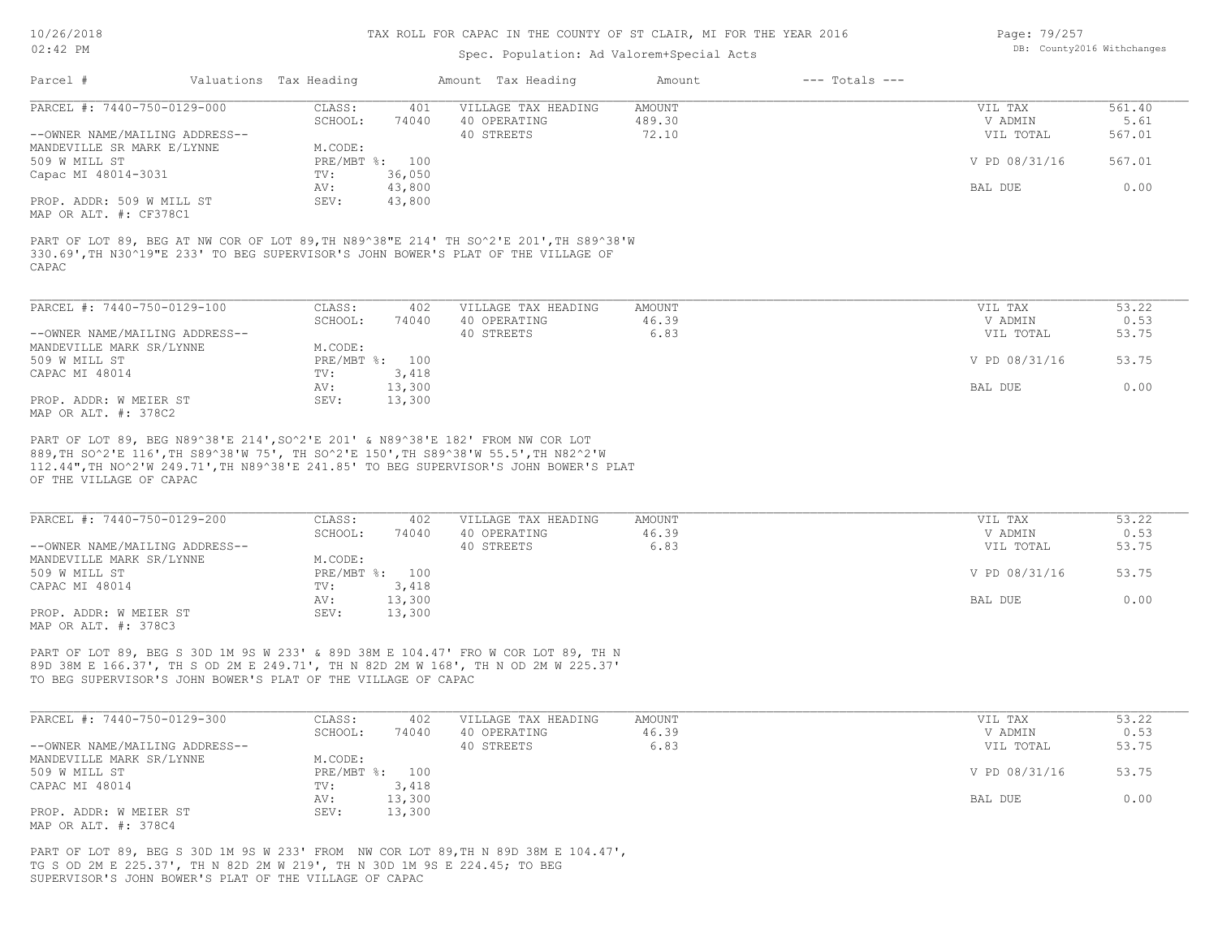### Spec. Population: Ad Valorem+Special Acts

| Page: 79/257 |                            |
|--------------|----------------------------|
|              | DB: County2016 Withchanges |

| Parcel #                       | Valuations Tax Heading |        | Amount Tax Heading                                                                                                                                                         | Amount | $---$ Totals $---$ |               |        |
|--------------------------------|------------------------|--------|----------------------------------------------------------------------------------------------------------------------------------------------------------------------------|--------|--------------------|---------------|--------|
| PARCEL #: 7440-750-0129-000    | CLASS:                 | 401    | VILLAGE TAX HEADING                                                                                                                                                        | AMOUNT |                    | VIL TAX       | 561.40 |
|                                | SCHOOL:                | 74040  | 40 OPERATING                                                                                                                                                               | 489.30 |                    | V ADMIN       | 5.61   |
| --OWNER NAME/MAILING ADDRESS-- |                        |        | 40 STREETS                                                                                                                                                                 | 72.10  |                    | VIL TOTAL     | 567.01 |
| MANDEVILLE SR MARK E/LYNNE     | M.CODE:                |        |                                                                                                                                                                            |        |                    |               |        |
| 509 W MILL ST                  | PRE/MBT %: 100         |        |                                                                                                                                                                            |        |                    | V PD 08/31/16 | 567.01 |
| Capac MI 48014-3031            | TV:                    | 36,050 |                                                                                                                                                                            |        |                    |               |        |
|                                | AV:                    | 43,800 |                                                                                                                                                                            |        |                    | BAL DUE       | 0.00   |
| PROP. ADDR: 509 W MILL ST      | SEV:                   | 43,800 |                                                                                                                                                                            |        |                    |               |        |
| MAP OR ALT. #: CF378C1         |                        |        |                                                                                                                                                                            |        |                    |               |        |
| CAPAC                          |                        |        | PART OF LOT 89, BEG AT NW COR OF LOT 89, TH N89^38"E 214' TH SO^2'E 201', TH S89^38'W<br>330.69', TH N30^19"E 233' TO BEG SUPERVISOR'S JOHN BOWER'S PLAT OF THE VILLAGE OF |        |                    |               |        |
| PARCEL #: 7440-750-0129-100    | CLASS:                 | 402    | VILLAGE TAX HEADING                                                                                                                                                        | AMOUNT |                    | VIL TAX       | 53.22  |
|                                | SCHOOL:                | 74040  | 40 OPERATING                                                                                                                                                               | 46.39  |                    | V ADMIN       | 0.53   |

| --OWNER NAME/MAILING ADDRESS-- |              |        | 40 STREETS | 6.83 | VIL TOTAL     | 53.75 |
|--------------------------------|--------------|--------|------------|------|---------------|-------|
| MANDEVILLE MARK SR/LYNNE       | M.CODE:      |        |            |      |               |       |
| 509 W MILL ST                  | $PRE/MBT$ %: | 100    |            |      | V PD 08/31/16 | 53.75 |
| CAPAC MI 48014                 | TV:          | 3,418  |            |      |               |       |
|                                | AV:          | 13,300 |            |      | BAL DUE       | 0.00  |
| PROP. ADDR: W MEIER ST         | SEV:         | 13,300 |            |      |               |       |
| MAP OR ALT. #: 378C2           |              |        |            |      |               |       |

OF THE VILLAGE OF CAPAC 112.44",TH NO^2'W 249.71',TH N89^38'E 241.85' TO BEG SUPERVISOR'S JOHN BOWER'S PLAT 889,TH SO^2'E 116',TH S89^38'W 75', TH SO^2'E 150',TH S89^38'W 55.5',TH N82^2'W PART OF LOT 89, BEG N89^38'E 214',SO^2'E 201' & N89^38'E 182' FROM NW COR LOT

| PARCEL #: 7440-750-0129-200    | CLASS:  | 402            | VILLAGE TAX HEADING | AMOUNT | VIL TAX       | 53.22 |
|--------------------------------|---------|----------------|---------------------|--------|---------------|-------|
|                                | SCHOOL: | 74040          | 40 OPERATING        | 46.39  | V ADMIN       | 0.53  |
| --OWNER NAME/MAILING ADDRESS-- |         |                | 40 STREETS          | 6.83   | VIL TOTAL     | 53.75 |
| MANDEVILLE MARK SR/LYNNE       | M.CODE: |                |                     |        |               |       |
| 509 W MILL ST                  |         | PRE/MBT %: 100 |                     |        | V PD 08/31/16 | 53.75 |
| CAPAC MI 48014                 | TV:     | 3,418          |                     |        |               |       |
|                                | AV:     | 13,300         |                     |        | BAL DUE       | 0.00  |
| PROP. ADDR: W MEIER ST         | SEV:    | 13,300         |                     |        |               |       |
| MAP OR ALT. #: 378C3           |         |                |                     |        |               |       |

TO BEG SUPERVISOR'S JOHN BOWER'S PLAT OF THE VILLAGE OF CAPAC 89D 38M E 166.37', TH S OD 2M E 249.71', TH N 82D 2M W 168', TH N OD 2M W 225.37' PART OF LOT 89, BEG S 30D 1M 9S W 233' & 89D 38M E 104.47' FRO W COR LOT 89, TH N

| PARCEL #: 7440-750-0129-300    | CLASS:     | 402    | VILLAGE TAX HEADING | AMOUNT | VIL TAX       | 53.22 |
|--------------------------------|------------|--------|---------------------|--------|---------------|-------|
|                                | SCHOOL:    | 74040  | 40 OPERATING        | 46.39  | V ADMIN       | 0.53  |
| --OWNER NAME/MAILING ADDRESS-- |            |        | 40 STREETS          | 6.83   | VIL TOTAL     | 53.75 |
| MANDEVILLE MARK SR/LYNNE       | M.CODE:    |        |                     |        |               |       |
| 509 W MILL ST                  | PRE/MBT %: | 100    |                     |        | V PD 08/31/16 | 53.75 |
| CAPAC MI 48014                 | TV:        | 3,418  |                     |        |               |       |
|                                | AV:        | 13,300 |                     |        | BAL DUE       | 0.00  |
| PROP. ADDR: W MEIER ST         | SEV:       | 13,300 |                     |        |               |       |
| MAP OR ALT. #: 378C4           |            |        |                     |        |               |       |

SUPERVISOR'S JOHN BOWER'S PLAT OF THE VILLAGE OF CAPAC TG S OD 2M E 225.37', TH N 82D 2M W 219', TH N 30D 1M 9S E 224.45; TO BEG PART OF LOT 89, BEG S 30D 1M 9S W 233' FROM NW COR LOT 89,TH N 89D 38M E 104.47',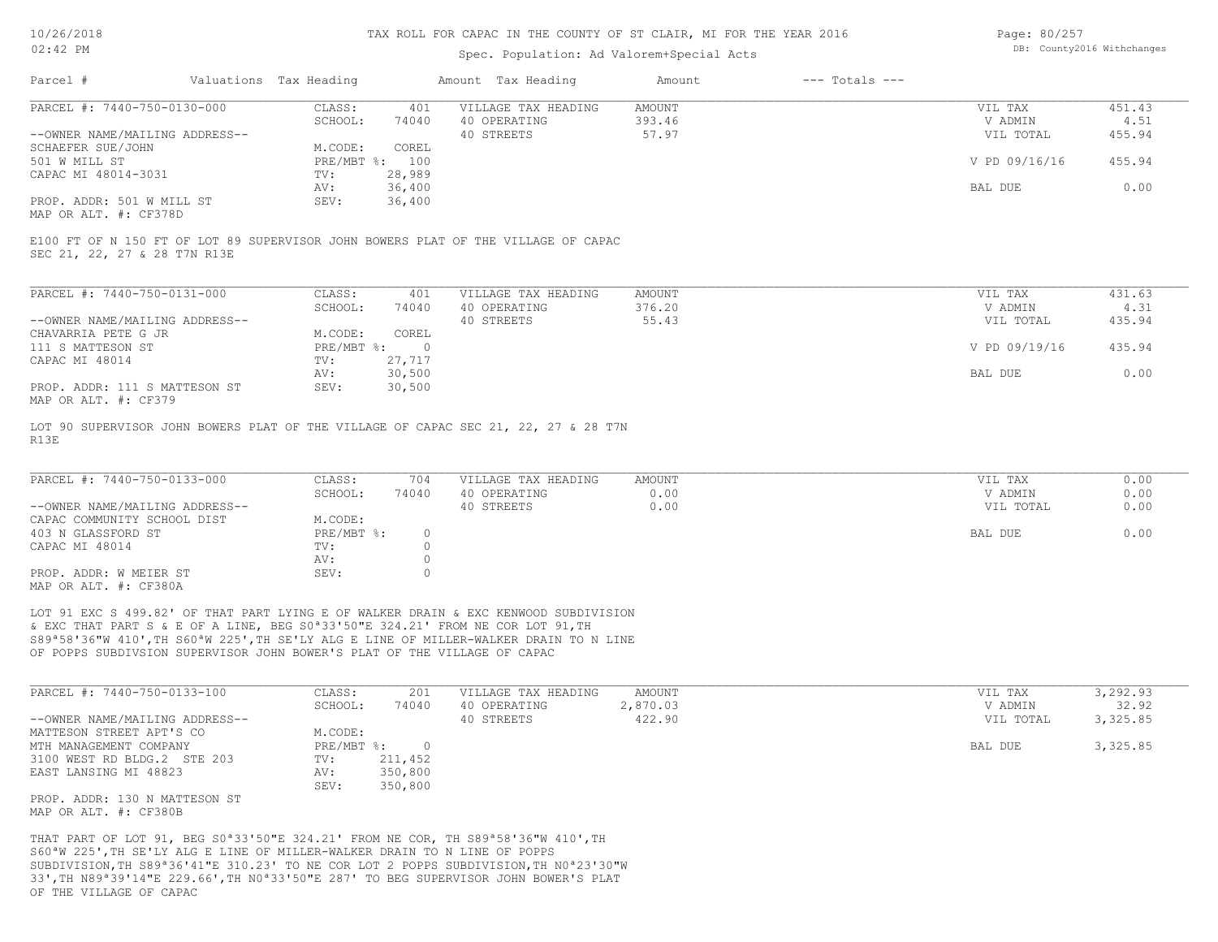### Spec. Population: Ad Valorem+Special Acts

| Page: 80/257 |                            |
|--------------|----------------------------|
|              | DB: County2016 Withchanges |

| Parcel #                       | Valuations Tax Heading |        | Amount Tax Heading  | Amount | $---$ Totals $---$ |               |        |
|--------------------------------|------------------------|--------|---------------------|--------|--------------------|---------------|--------|
| PARCEL #: 7440-750-0130-000    | CLASS:                 | 401    | VILLAGE TAX HEADING | AMOUNT |                    | VIL TAX       | 451.43 |
|                                | SCHOOL:                | 74040  | 40 OPERATING        | 393.46 |                    | V ADMIN       | 4.51   |
| --OWNER NAME/MAILING ADDRESS-- |                        |        | 40 STREETS          | 57.97  |                    | VIL TOTAL     | 455.94 |
| SCHAEFER SUE/JOHN              | M.CODE:                | COREL  |                     |        |                    |               |        |
| 501 W MILL ST                  | PRE/MBT %: 100         |        |                     |        |                    | V PD 09/16/16 | 455.94 |
| CAPAC MI 48014-3031            | TV:                    | 28,989 |                     |        |                    |               |        |
|                                | AV:                    | 36,400 |                     |        |                    | BAL DUE       | 0.00   |
| PROP. ADDR: 501 W MILL ST      | SEV:                   | 36,400 |                     |        |                    |               |        |
|                                |                        |        |                     |        |                    |               |        |

MAP OR ALT. #: CF378D

SEC 21, 22, 27 & 28 T7N R13E E100 FT OF N 150 FT OF LOT 89 SUPERVISOR JOHN BOWERS PLAT OF THE VILLAGE OF CAPAC

| PARCEL #: 7440-750-0131-000                              | CLASS:     | 401    | VILLAGE TAX HEADING | AMOUNT | VIL TAX       | 431.63 |
|----------------------------------------------------------|------------|--------|---------------------|--------|---------------|--------|
|                                                          | SCHOOL:    | 74040  | 40 OPERATING        | 376.20 | V ADMIN       | 4.31   |
| --OWNER NAME/MAILING ADDRESS--                           |            |        | 40 STREETS          | 55.43  | VIL TOTAL     | 435.94 |
| CHAVARRIA PETE G JR                                      | M.CODE:    | COREL  |                     |        |               |        |
| 111 S MATTESON ST                                        | PRE/MBT %: |        |                     |        | V PD 09/19/16 | 435.94 |
| CAPAC MI 48014                                           | TV:        | 27.717 |                     |        |               |        |
|                                                          | AV:        | 30,500 |                     |        | BAL DUE       | 0.00   |
| PROP. ADDR: 111 S MATTESON ST<br>מרכתים .4. חזו תם תומאו | SEV:       | 30,500 |                     |        |               |        |

MAP OR ALT. #: CF379

R13E LOT 90 SUPERVISOR JOHN BOWERS PLAT OF THE VILLAGE OF CAPAC SEC 21, 22, 27 & 28 T7N

| PARCEL #: 7440-750-0133-000    | CLASS:     | 704   | VILLAGE TAX HEADING | AMOUNT | VIL TAX   | 0.00 |
|--------------------------------|------------|-------|---------------------|--------|-----------|------|
|                                | SCHOOL:    | 74040 | 40 OPERATING        | 0.00   | V ADMIN   | 0.00 |
| --OWNER NAME/MAILING ADDRESS-- |            |       | 40 STREETS          | 0.00   | VIL TOTAL | 0.00 |
| CAPAC COMMUNITY SCHOOL DIST    | M.CODE:    |       |                     |        |           |      |
| 403 N GLASSFORD ST             | PRE/MBT %: |       |                     |        | BAL DUE   | 0.00 |
| CAPAC MI 48014                 | TV:        |       |                     |        |           |      |
|                                | AV:        |       |                     |        |           |      |
| PROP. ADDR: W MEIER ST         | SEV:       |       |                     |        |           |      |
| MAP OR ALT. #: CF380A          |            |       |                     |        |           |      |

OF POPPS SUBDIVSION SUPERVISOR JOHN BOWER'S PLAT OF THE VILLAGE OF CAPAC S89ª58'36"W 410',TH S60ªW 225',TH SE'LY ALG E LINE OF MILLER-WALKER DRAIN TO N LINE & EXC THAT PART S & E OF A LINE, BEG S0ª33'50"E 324.21' FROM NE COR LOT 91,TH LOT 91 EXC S 499.82' OF THAT PART LYING E OF WALKER DRAIN & EXC KENWOOD SUBDIVISION

| PARCEL #: 7440-750-0133-100    | CLASS:       | 201     | VILLAGE TAX HEADING | AMOUNT   | VIL TAX   | 3,292.93 |
|--------------------------------|--------------|---------|---------------------|----------|-----------|----------|
|                                | SCHOOL:      | 74040   | 40 OPERATING        | 2,870.03 | V ADMIN   | 32.92    |
| --OWNER NAME/MAILING ADDRESS-- |              |         | 40 STREETS          | 422.90   | VIL TOTAL | 3,325.85 |
| MATTESON STREET APT'S CO       | M.CODE:      |         |                     |          |           |          |
| MTH MANAGEMENT COMPANY         | $PRE/MBT$ %: |         |                     |          | BAL DUE   | 3,325.85 |
| 3100 WEST RD BLDG.2 STE 203    | TV:          | 211,452 |                     |          |           |          |
| EAST LANSING MI 48823          | AV:          | 350,800 |                     |          |           |          |
|                                | SEV:         | 350,800 |                     |          |           |          |
| PROP. ADDR: 130 N MATTESON ST  |              |         |                     |          |           |          |

MAP OR ALT. #: CF380B

OF THE VILLAGE OF CAPAC 33',TH N89ª39'14"E 229.66',TH N0ª33'50"E 287' TO BEG SUPERVISOR JOHN BOWER'S PLAT SUBDIVISION,TH S89ª36'41"E 310.23' TO NE COR LOT 2 POPPS SUBDIVISION,TH N0ª23'30"W S60ªW 225',TH SE'LY ALG E LINE OF MILLER-WALKER DRAIN TO N LINE OF POPPS THAT PART OF LOT 91, BEG S0ª33'50"E 324.21' FROM NE COR, TH S89ª58'36"W 410',TH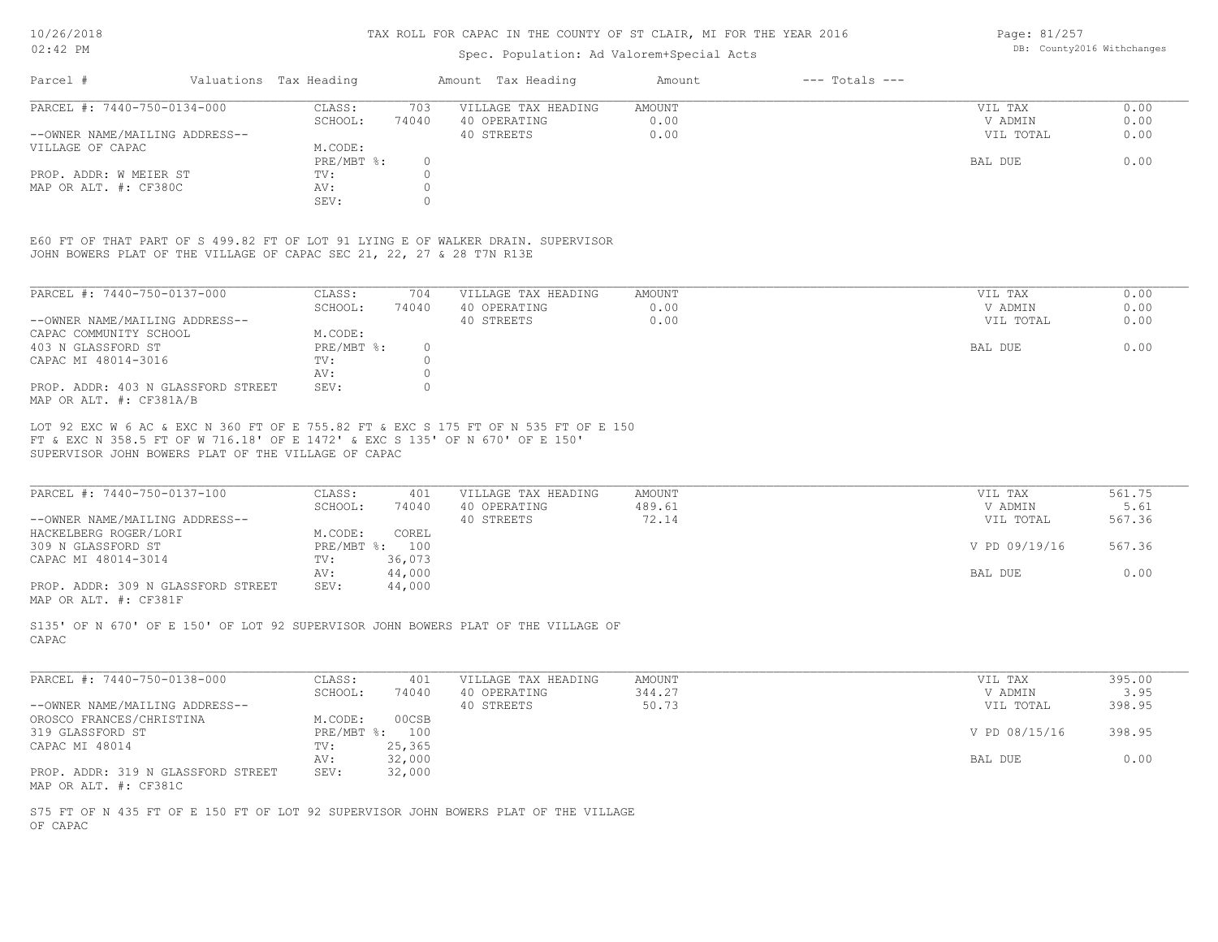### Spec. Population: Ad Valorem+Special Acts

Page: 81/257 DB: County2016 Withchanges

| Parcel #                       | Valuations Tax Heading |       | Amount Tax Heading  | Amount | $---$ Totals $---$ |           |      |
|--------------------------------|------------------------|-------|---------------------|--------|--------------------|-----------|------|
| PARCEL #: 7440-750-0134-000    | CLASS:                 | 703   | VILLAGE TAX HEADING | AMOUNT |                    | VIL TAX   | 0.00 |
|                                | SCHOOL:                | 74040 | 40 OPERATING        | 0.00   |                    | V ADMIN   | 0.00 |
| --OWNER NAME/MAILING ADDRESS-- |                        |       | 40 STREETS          | 0.00   |                    | VIL TOTAL | 0.00 |
| VILLAGE OF CAPAC               | M.CODE:                |       |                     |        |                    |           |      |
|                                | PRE/MBT %:             |       |                     |        |                    | BAL DUE   | 0.00 |
| PROP. ADDR: W MEIER ST         | TV:                    |       |                     |        |                    |           |      |
| MAP OR ALT. #: CF380C          | AV:                    |       |                     |        |                    |           |      |
|                                | SEV:                   |       |                     |        |                    |           |      |
|                                |                        |       |                     |        |                    |           |      |

JOHN BOWERS PLAT OF THE VILLAGE OF CAPAC SEC 21, 22, 27 & 28 T7N R13E E60 FT OF THAT PART OF S 499.82 FT OF LOT 91 LYING E OF WALKER DRAIN. SUPERVISOR

| PARCEL #: 7440-750-0137-000                                   | CLASS:     | 704   | VILLAGE TAX HEADING | AMOUNT | 0.00<br>VIL TAX   |
|---------------------------------------------------------------|------------|-------|---------------------|--------|-------------------|
|                                                               | SCHOOL:    | 74040 | 40 OPERATING        | 0.00   | 0.00<br>V ADMIN   |
| --OWNER NAME/MAILING ADDRESS--                                |            |       | 40 STREETS          | 0.00   | 0.00<br>VIL TOTAL |
| CAPAC COMMUNITY SCHOOL                                        | M.CODE:    |       |                     |        |                   |
| 403 N GLASSFORD ST                                            | PRE/MBT %: |       |                     |        | 0.00<br>BAL DUE   |
| CAPAC MI 48014-3016                                           | TV:        |       |                     |        |                   |
|                                                               | AV:        |       |                     |        |                   |
| PROP. ADDR: 403 N GLASSFORD STREET<br>MAP OR ALT. #: CF381A/B | SEV:       |       |                     |        |                   |

SUPERVISOR JOHN BOWERS PLAT OF THE VILLAGE OF CAPAC FT & EXC N 358.5 FT OF W 716.18' OF E 1472' & EXC S 135' OF N 670' OF E 150' LOT 92 EXC W 6 AC & EXC N 360 FT OF E 755.82 FT & EXC S 175 FT OF N 535 FT OF E 150

| PARCEL #: 7440-750-0137-100        | CLASS:  | 401            | VILLAGE TAX HEADING | AMOUNT | VIL TAX       | 561.75 |
|------------------------------------|---------|----------------|---------------------|--------|---------------|--------|
|                                    | SCHOOL: | 74040          | 40 OPERATING        | 489.61 | V ADMIN       | 5.61   |
| --OWNER NAME/MAILING ADDRESS--     |         |                | 40 STREETS          | 72.14  | VIL TOTAL     | 567.36 |
| HACKELBERG ROGER/LORI              | M.CODE: | COREL          |                     |        |               |        |
| 309 N GLASSFORD ST                 |         | PRE/MBT %: 100 |                     |        | V PD 09/19/16 | 567.36 |
| CAPAC MI 48014-3014                | TV:     | 36,073         |                     |        |               |        |
|                                    | AV:     | 44,000         |                     |        | BAL DUE       | 0.00   |
| PROP. ADDR: 309 N GLASSFORD STREET | SEV:    | 44,000         |                     |        |               |        |
|                                    |         |                |                     |        |               |        |

MAP OR ALT. #: CF381F

CAPAC S135' OF N 670' OF E 150' OF LOT 92 SUPERVISOR JOHN BOWERS PLAT OF THE VILLAGE OF

| PARCEL #: 7440-750-0138-000        | CLASS:  | 401            | VILLAGE TAX HEADING | AMOUNT | VIL TAX       | 395.00 |
|------------------------------------|---------|----------------|---------------------|--------|---------------|--------|
|                                    | SCHOOL: | 74040          | 40 OPERATING        | 344.27 | V ADMIN       | 3.95   |
| --OWNER NAME/MAILING ADDRESS--     |         |                | 40 STREETS          | 50.73  | VIL TOTAL     | 398.95 |
| OROSCO FRANCES/CHRISTINA           | M.CODE: | 00CSB          |                     |        |               |        |
| 319 GLASSFORD ST                   |         | PRE/MBT %: 100 |                     |        | V PD 08/15/16 | 398.95 |
| CAPAC MI 48014                     | TV:     | 25,365         |                     |        |               |        |
|                                    | AV:     | 32,000         |                     |        | BAL DUE       | 0.00   |
| PROP. ADDR: 319 N GLASSFORD STREET | SEV:    | 32,000         |                     |        |               |        |
| MAP OR ALT. #: CF381C              |         |                |                     |        |               |        |

OF CAPAC S75 FT OF N 435 FT OF E 150 FT OF LOT 92 SUPERVISOR JOHN BOWERS PLAT OF THE VILLAGE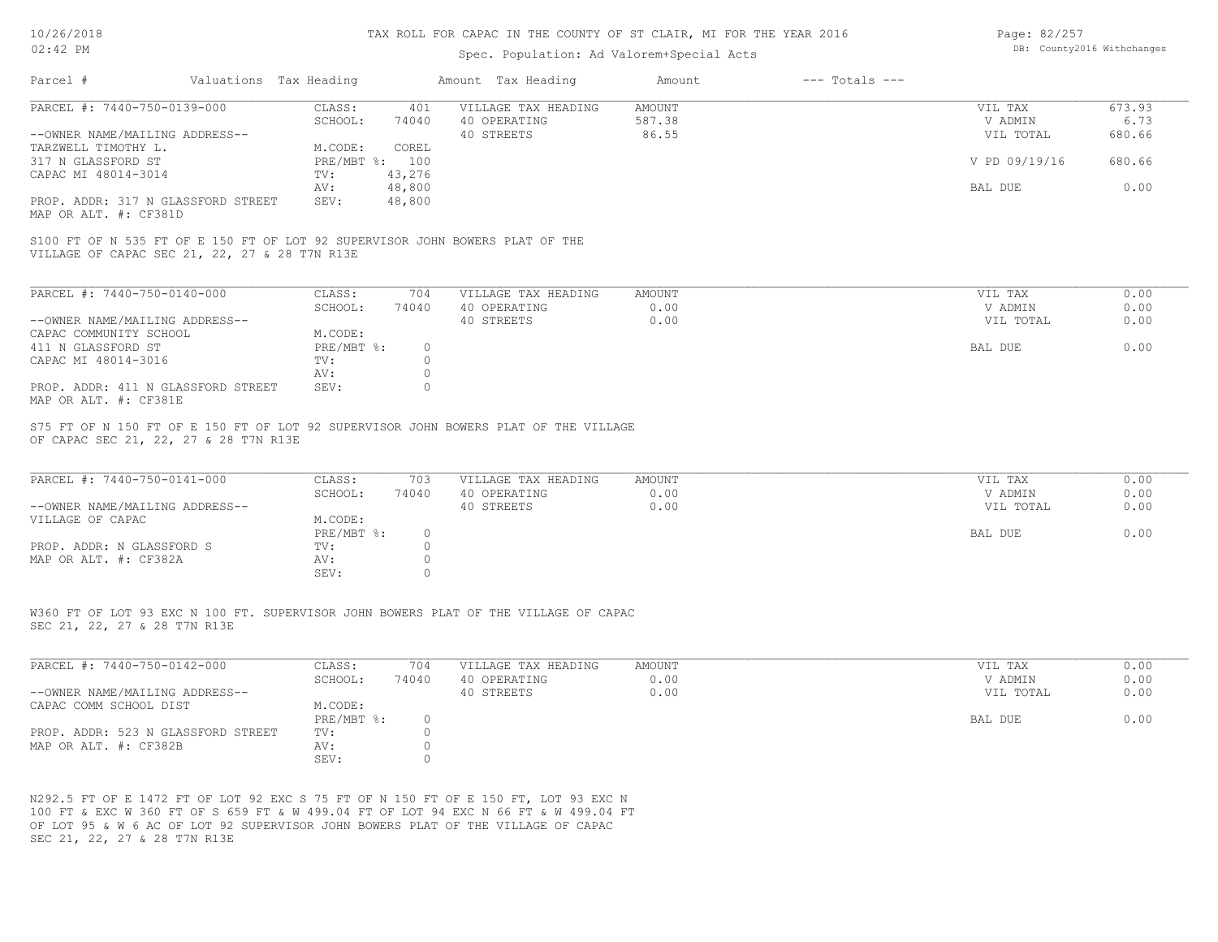| Page: 82/257               |  |
|----------------------------|--|
| DB: County2016 Withchanges |  |

| Amount Tax Heading<br>$---$ Totals $---$<br>Parcel #<br>Valuations Tax Heading<br>Amount<br>PARCEL #: 7440-750-0139-000<br>CLASS:<br>401<br>VILLAGE TAX HEADING<br>AMOUNT<br>SCHOOL:<br>40 OPERATING<br>587.38<br>74040<br>40 STREETS<br>86.55<br>--OWNER NAME/MAILING ADDRESS--<br>TARZWELL TIMOTHY L.<br>M.CODE:<br>COREL<br>317 N GLASSFORD ST<br>PRE/MBT %: 100<br>CAPAC MI 48014-3014<br>43,276<br>TV:<br>48,800<br>AV:<br>48,800<br>PROP. ADDR: 317 N GLASSFORD STREET<br>SEV:<br>MAP OR ALT. #: CF381D<br>S100 FT OF N 535 FT OF E 150 FT OF LOT 92 SUPERVISOR JOHN BOWERS PLAT OF THE<br>VILLAGE OF CAPAC SEC 21, 22, 27 & 28 T7N R13E<br>PARCEL #: 7440-750-0140-000<br>CLASS:<br>704<br>VILLAGE TAX HEADING<br><b>AMOUNT</b><br>SCHOOL:<br>0.00<br>74040<br>40 OPERATING<br>40 STREETS<br>0.00<br>--OWNER NAME/MAILING ADDRESS--<br>CAPAC COMMUNITY SCHOOL<br>M.CODE:<br>411 N GLASSFORD ST<br>PRE/MBT %:<br>$\circ$<br>CAPAC MI 48014-3016<br>TV:<br>$\circ$ | VIL TAX<br>V ADMIN<br>VIL TOTAL<br>V PD 09/19/16<br>BAL DUE<br>VIL TAX<br>V ADMIN<br>VIL TOTAL | 673.93<br>6.73<br>680.66<br>680.66<br>0.00<br>0.00 |
|-------------------------------------------------------------------------------------------------------------------------------------------------------------------------------------------------------------------------------------------------------------------------------------------------------------------------------------------------------------------------------------------------------------------------------------------------------------------------------------------------------------------------------------------------------------------------------------------------------------------------------------------------------------------------------------------------------------------------------------------------------------------------------------------------------------------------------------------------------------------------------------------------------------------------------------------------------------------------|------------------------------------------------------------------------------------------------|----------------------------------------------------|
|                                                                                                                                                                                                                                                                                                                                                                                                                                                                                                                                                                                                                                                                                                                                                                                                                                                                                                                                                                         |                                                                                                |                                                    |
|                                                                                                                                                                                                                                                                                                                                                                                                                                                                                                                                                                                                                                                                                                                                                                                                                                                                                                                                                                         |                                                                                                |                                                    |
|                                                                                                                                                                                                                                                                                                                                                                                                                                                                                                                                                                                                                                                                                                                                                                                                                                                                                                                                                                         |                                                                                                |                                                    |
|                                                                                                                                                                                                                                                                                                                                                                                                                                                                                                                                                                                                                                                                                                                                                                                                                                                                                                                                                                         |                                                                                                |                                                    |
|                                                                                                                                                                                                                                                                                                                                                                                                                                                                                                                                                                                                                                                                                                                                                                                                                                                                                                                                                                         |                                                                                                |                                                    |
|                                                                                                                                                                                                                                                                                                                                                                                                                                                                                                                                                                                                                                                                                                                                                                                                                                                                                                                                                                         |                                                                                                |                                                    |
|                                                                                                                                                                                                                                                                                                                                                                                                                                                                                                                                                                                                                                                                                                                                                                                                                                                                                                                                                                         |                                                                                                |                                                    |
|                                                                                                                                                                                                                                                                                                                                                                                                                                                                                                                                                                                                                                                                                                                                                                                                                                                                                                                                                                         |                                                                                                | 0.00<br>0.00                                       |
|                                                                                                                                                                                                                                                                                                                                                                                                                                                                                                                                                                                                                                                                                                                                                                                                                                                                                                                                                                         | <b>BAL DUE</b>                                                                                 | 0.00                                               |
| $\circ$<br>AV:                                                                                                                                                                                                                                                                                                                                                                                                                                                                                                                                                                                                                                                                                                                                                                                                                                                                                                                                                          |                                                                                                |                                                    |
| $\circ$<br>PROP. ADDR: 411 N GLASSFORD STREET<br>SEV:<br>MAP OR ALT. #: CF381E                                                                                                                                                                                                                                                                                                                                                                                                                                                                                                                                                                                                                                                                                                                                                                                                                                                                                          |                                                                                                |                                                    |
| S75 FT OF N 150 FT OF E 150 FT OF LOT 92 SUPERVISOR JOHN BOWERS PLAT OF THE VILLAGE<br>OF CAPAC SEC 21, 22, 27 & 28 T7N R13E                                                                                                                                                                                                                                                                                                                                                                                                                                                                                                                                                                                                                                                                                                                                                                                                                                            |                                                                                                |                                                    |
| PARCEL #: 7440-750-0141-000<br>CLASS:<br>703<br><b>AMOUNT</b><br>VILLAGE TAX HEADING<br>SCHOOL:<br>0.00<br>74040<br>40 OPERATING                                                                                                                                                                                                                                                                                                                                                                                                                                                                                                                                                                                                                                                                                                                                                                                                                                        | VIL TAX<br>V ADMIN                                                                             | 0.00<br>0.00                                       |
| 40 STREETS<br>0.00<br>--OWNER NAME/MAILING ADDRESS--                                                                                                                                                                                                                                                                                                                                                                                                                                                                                                                                                                                                                                                                                                                                                                                                                                                                                                                    | VIL TOTAL                                                                                      | 0.00                                               |
| VILLAGE OF CAPAC<br>M.CODE:<br>PRE/MBT %:<br>$\circ$                                                                                                                                                                                                                                                                                                                                                                                                                                                                                                                                                                                                                                                                                                                                                                                                                                                                                                                    | BAL DUE                                                                                        | 0.00                                               |
| $\circ$<br>PROP. ADDR: N GLASSFORD S<br>TV:                                                                                                                                                                                                                                                                                                                                                                                                                                                                                                                                                                                                                                                                                                                                                                                                                                                                                                                             |                                                                                                |                                                    |
| $\circ$<br>MAP OR ALT. #: CF382A<br>AV:<br>$\circ$<br>SEV:                                                                                                                                                                                                                                                                                                                                                                                                                                                                                                                                                                                                                                                                                                                                                                                                                                                                                                              |                                                                                                |                                                    |
| W360 FT OF LOT 93 EXC N 100 FT. SUPERVISOR JOHN BOWERS PLAT OF THE VILLAGE OF CAPAC<br>SEC 21, 22, 27 & 28 T7N R13E                                                                                                                                                                                                                                                                                                                                                                                                                                                                                                                                                                                                                                                                                                                                                                                                                                                     |                                                                                                |                                                    |
| PARCEL #: 7440-750-0142-000<br>CLASS:<br>704<br><b>AMOUNT</b><br>VILLAGE TAX HEADING                                                                                                                                                                                                                                                                                                                                                                                                                                                                                                                                                                                                                                                                                                                                                                                                                                                                                    | VIL TAX                                                                                        | 0.00                                               |
| SCHOOL:<br>74040<br>40 OPERATING<br>0.00<br>0.00<br>--OWNER NAME/MAILING ADDRESS--<br>40 STREETS                                                                                                                                                                                                                                                                                                                                                                                                                                                                                                                                                                                                                                                                                                                                                                                                                                                                        | V ADMIN<br>VIL TOTAL                                                                           | 0.00<br>0.00                                       |
| M.CODE:<br>CAPAC COMM SCHOOL DIST                                                                                                                                                                                                                                                                                                                                                                                                                                                                                                                                                                                                                                                                                                                                                                                                                                                                                                                                       |                                                                                                |                                                    |
| PRE/MBT %:<br>$\circ$<br>$\circ$                                                                                                                                                                                                                                                                                                                                                                                                                                                                                                                                                                                                                                                                                                                                                                                                                                                                                                                                        | BAL DUE                                                                                        | 0.00                                               |
| PROP. ADDR: 523 N GLASSFORD STREET<br>TV:<br>MAP OR ALT. #: CF382B<br>$\circ$<br>AV:                                                                                                                                                                                                                                                                                                                                                                                                                                                                                                                                                                                                                                                                                                                                                                                                                                                                                    |                                                                                                |                                                    |
| $\circ$<br>SEV:                                                                                                                                                                                                                                                                                                                                                                                                                                                                                                                                                                                                                                                                                                                                                                                                                                                                                                                                                         |                                                                                                |                                                    |

SEC 21, 22, 27 & 28 T7N R13E OF LOT 95 & W 6 AC OF LOT 92 SUPERVISOR JOHN BOWERS PLAT OF THE VILLAGE OF CAPAC 100 FT & EXC W 360 FT OF S 659 FT & W 499.04 FT OF LOT 94 EXC N 66 FT & W 499.04 FT N292.5 FT OF E 1472 FT OF LOT 92 EXC S 75 FT OF N 150 FT OF E 150 FT, LOT 93 EXC N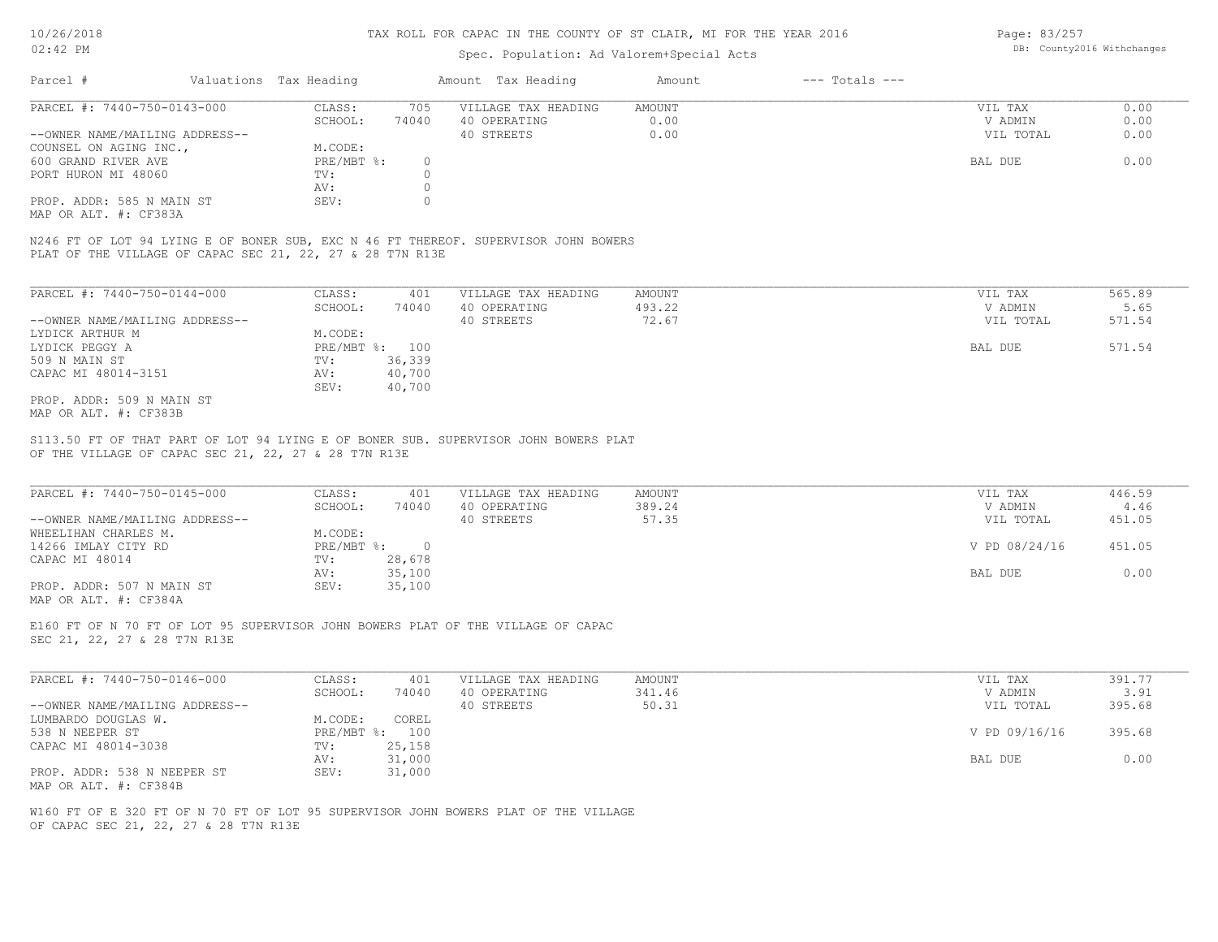### Spec. Population: Ad Valorem+Special Acts

Page: 83/257 DB: County2016 Withchanges

| Parcel #                       | Valuations Tax Heading |       | Amount Tax Heading  | Amount | $---$ Totals $---$ |           |      |
|--------------------------------|------------------------|-------|---------------------|--------|--------------------|-----------|------|
| PARCEL #: 7440-750-0143-000    | CLASS:                 | 705   | VILLAGE TAX HEADING | AMOUNT |                    | VIL TAX   | 0.00 |
|                                | SCHOOL:                | 74040 | 40 OPERATING        | 0.00   |                    | V ADMIN   | 0.00 |
| --OWNER NAME/MAILING ADDRESS-- |                        |       | 40 STREETS          | 0.00   |                    | VIL TOTAL | 0.00 |
| COUNSEL ON AGING INC.,         | M.CODE:                |       |                     |        |                    |           |      |
| 600 GRAND RIVER AVE            | PRE/MBT %:             |       |                     |        |                    | BAL DUE   | 0.00 |
| PORT HURON MI 48060            | TV:                    |       |                     |        |                    |           |      |
|                                | AV:                    |       |                     |        |                    |           |      |
| PROP. ADDR: 585 N MAIN ST      | SEV:                   |       |                     |        |                    |           |      |
|                                |                        |       |                     |        |                    |           |      |

MAP OR ALT. #: CF383A

PLAT OF THE VILLAGE OF CAPAC SEC 21, 22, 27 & 28 T7N R13E N246 FT OF LOT 94 LYING E OF BONER SUB, EXC N 46 FT THEREOF. SUPERVISOR JOHN BOWERS

| PARCEL #: 7440-750-0144-000    | CLASS:     | 401    | VILLAGE TAX HEADING | AMOUNT | 565.89<br>VIL TAX   |
|--------------------------------|------------|--------|---------------------|--------|---------------------|
|                                | SCHOOL:    | 74040  | 40 OPERATING        | 493.22 | 5.65<br>V ADMIN     |
| --OWNER NAME/MAILING ADDRESS-- |            |        | 40 STREETS          | 72.67  | 571.54<br>VIL TOTAL |
| LYDICK ARTHUR M                | M.CODE:    |        |                     |        |                     |
| LYDICK PEGGY A                 | PRE/MBT %: | 100    |                     |        | 571.54<br>BAL DUE   |
| 509 N MAIN ST                  | TV:        | 36,339 |                     |        |                     |
| CAPAC MI 48014-3151            | AV:        | 40,700 |                     |        |                     |
|                                | SEV:       | 40,700 |                     |        |                     |
| PROP. ADDR: 509 N MAIN ST      |            |        |                     |        |                     |
| MAP OR ALT. #: CF383B          |            |        |                     |        |                     |

OF THE VILLAGE OF CAPAC SEC 21, 22, 27 & 28 T7N R13E S113.50 FT OF THAT PART OF LOT 94 LYING E OF BONER SUB. SUPERVISOR JOHN BOWERS PLAT

| PARCEL #: 7440-750-0145-000    | CLASS:     | 401    | VILLAGE TAX HEADING | AMOUNT | VIL TAX       | 446.59 |  |
|--------------------------------|------------|--------|---------------------|--------|---------------|--------|--|
|                                | SCHOOL:    | 74040  | 40 OPERATING        | 389.24 | V ADMIN       | 4.46   |  |
| --OWNER NAME/MAILING ADDRESS-- |            |        | 40 STREETS          | 57.35  | VIL TOTAL     | 451.05 |  |
| WHEELIHAN CHARLES M.           | M.CODE:    |        |                     |        |               |        |  |
| 14266 IMLAY CITY RD            | PRE/MBT %: |        |                     |        | V PD 08/24/16 | 451.05 |  |
| CAPAC MI 48014                 | TV:        | 28,678 |                     |        |               |        |  |
|                                | AV:        | 35,100 |                     |        | BAL DUE       | 0.00   |  |
| PROP. ADDR: 507 N MAIN ST      | SEV:       | 35,100 |                     |        |               |        |  |
| MAP OR ALT. #: CF384A          |            |        |                     |        |               |        |  |

 $\_$  , and the state of the state of the state of the state of the state of the state of the state of the state of the state of the state of the state of the state of the state of the state of the state of the state of the

SEC 21, 22, 27 & 28 T7N R13E E160 FT OF N 70 FT OF LOT 95 SUPERVISOR JOHN BOWERS PLAT OF THE VILLAGE OF CAPAC

| PARCEL #: 7440-750-0146-000    | CLASS:  | 401            | VILLAGE TAX HEADING | AMOUNT | VIL TAX       | 391.77 |
|--------------------------------|---------|----------------|---------------------|--------|---------------|--------|
|                                | SCHOOL: | 74040          | 40 OPERATING        | 341.46 | V ADMIN       | 3.91   |
| --OWNER NAME/MAILING ADDRESS-- |         |                | 40 STREETS          | 50.31  | VIL TOTAL     | 395.68 |
| LUMBARDO DOUGLAS W.            | M.CODE: | COREL          |                     |        |               |        |
| 538 N NEEPER ST                |         | PRE/MBT %: 100 |                     |        | V PD 09/16/16 | 395.68 |
| CAPAC MI 48014-3038            | TV:     | 25,158         |                     |        |               |        |
|                                | AV:     | 31,000         |                     |        | BAL DUE       | 0.00   |
| PROP. ADDR: 538 N NEEPER ST    | SEV:    | 31,000         |                     |        |               |        |
| MAP OR ALT. #: CF384B          |         |                |                     |        |               |        |

OF CAPAC SEC 21, 22, 27 & 28 T7N R13E W160 FT OF E 320 FT OF N 70 FT OF LOT 95 SUPERVISOR JOHN BOWERS PLAT OF THE VILLAGE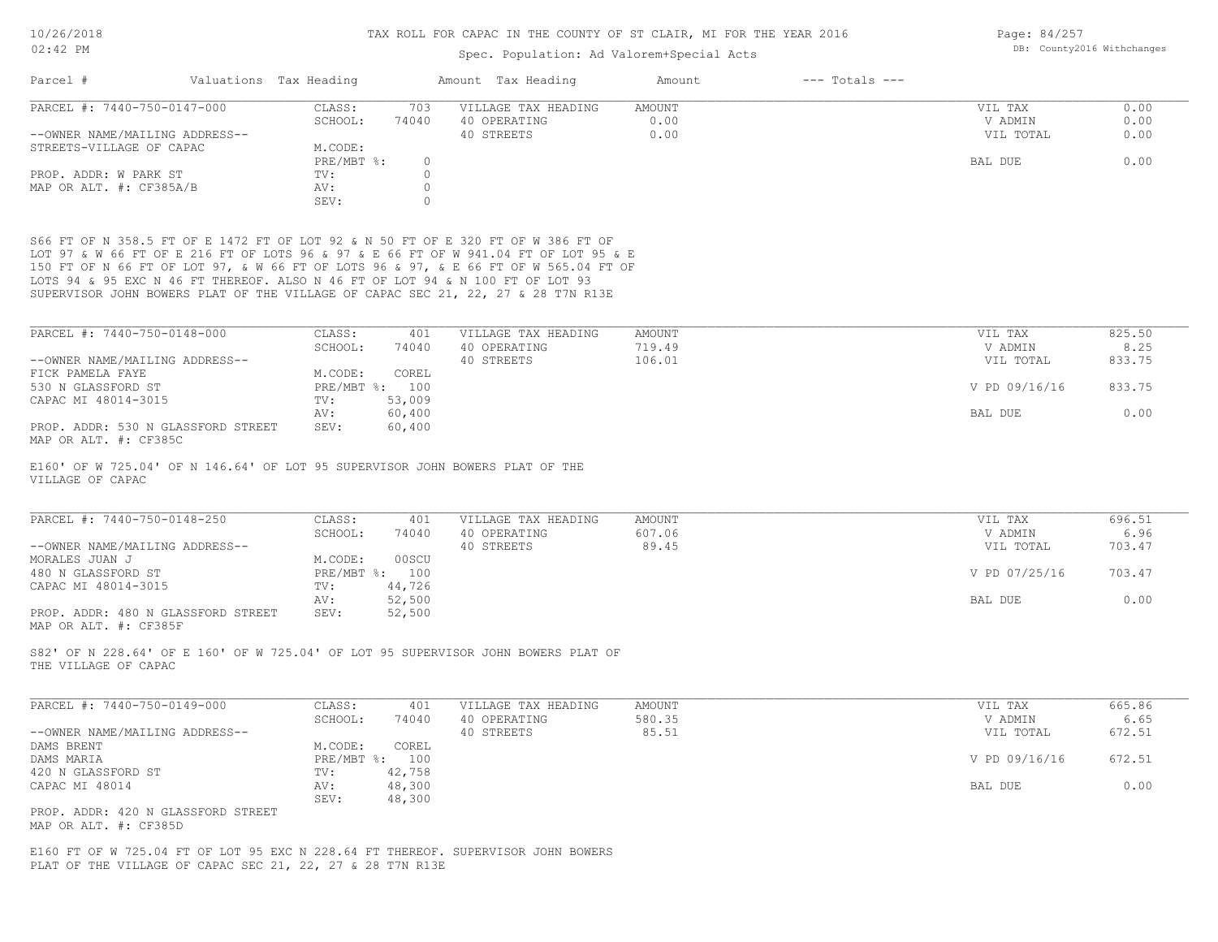## Spec. Population: Ad Valorem+Special Acts

Page: 84/257 DB: County2016 Withchanges

| PARCEL #: 7440-750-0147-000                                 | CLASS:<br>703<br>SCHOOL:<br>74040                                                                                                                                    | VILLAGE TAX HEADING<br>40 OPERATING | AMOUNT<br>0.00 | VIL TAX<br>V ADMIN | 0.00<br>0.00 |
|-------------------------------------------------------------|----------------------------------------------------------------------------------------------------------------------------------------------------------------------|-------------------------------------|----------------|--------------------|--------------|
| --OWNER NAME/MAILING ADDRESS--                              |                                                                                                                                                                      | 40 STREETS                          | 0.00           | VIL TOTAL          | 0.00         |
| STREETS-VILLAGE OF CAPAC                                    | M.CODE:                                                                                                                                                              |                                     |                |                    |              |
|                                                             | PRE/MBT %:                                                                                                                                                           | $\circ$                             |                | BAL DUE            | 0.00         |
| PROP. ADDR: W PARK ST                                       | TV:                                                                                                                                                                  | $\circ$                             |                |                    |              |
| MAP OR ALT. #: CF385A/B                                     | AV:                                                                                                                                                                  | $\circ$                             |                |                    |              |
|                                                             | SEV:                                                                                                                                                                 | $\mathbf{0}$                        |                |                    |              |
|                                                             |                                                                                                                                                                      |                                     |                |                    |              |
|                                                             | S66 FT OF N 358.5 FT OF E 1472 FT OF LOT 92 & N 50 FT OF E 320 FT OF W 386 FT OF                                                                                     |                                     |                |                    |              |
|                                                             | LOT 97 & W 66 FT OF E 216 FT OF LOTS 96 & 97 & E 66 FT OF W 941.04 FT OF LOT 95 & E                                                                                  |                                     |                |                    |              |
|                                                             | 150 FT OF N 66 FT OF LOT 97, & W 66 FT OF LOTS 96 & 97, & E 66 FT OF W 565.04 FT OF<br>LOTS 94 & 95 EXC N 46 FT THEREOF. ALSO N 46 FT OF LOT 94 & N 100 FT OF LOT 93 |                                     |                |                    |              |
|                                                             | SUPERVISOR JOHN BOWERS PLAT OF THE VILLAGE OF CAPAC SEC 21, 22, 27 & 28 T7N R13E                                                                                     |                                     |                |                    |              |
|                                                             |                                                                                                                                                                      |                                     |                |                    |              |
| PARCEL #: 7440-750-0148-000                                 | CLASS:<br>401                                                                                                                                                        | VILLAGE TAX HEADING                 | AMOUNT         | VIL TAX            | 825.50       |
|                                                             | SCHOOL:<br>74040                                                                                                                                                     | 40 OPERATING                        | 719.49         | V ADMIN            | 8.25         |
| --OWNER NAME/MAILING ADDRESS--                              |                                                                                                                                                                      | 40 STREETS                          | 106.01         | VIL TOTAL          | 833.75       |
| FICK PAMELA FAYE                                            | M.CODE:<br>COREL                                                                                                                                                     |                                     |                |                    |              |
| 530 N GLASSFORD ST                                          | PRE/MBT %: 100                                                                                                                                                       |                                     |                | V PD 09/16/16      | 833.75       |
| CAPAC MI 48014-3015                                         | 53,009<br>TV:                                                                                                                                                        |                                     |                |                    |              |
|                                                             | 60,400<br>AV:                                                                                                                                                        |                                     |                | BAL DUE            | 0.00         |
| PROP. ADDR: 530 N GLASSFORD STREET                          | 60,400<br>SEV:                                                                                                                                                       |                                     |                |                    |              |
| MAP OR ALT. #: CF385C                                       |                                                                                                                                                                      |                                     |                |                    |              |
| VILLAGE OF CAPAC                                            | E160' OF W 725.04' OF N 146.64' OF LOT 95 SUPERVISOR JOHN BOWERS PLAT OF THE                                                                                         |                                     |                |                    |              |
| PARCEL #: 7440-750-0148-250                                 | CLASS:<br>401                                                                                                                                                        | VILLAGE TAX HEADING                 | AMOUNT         | VIL TAX            | 696.51       |
|                                                             | SCHOOL:<br>74040                                                                                                                                                     | 40 OPERATING                        | 607.06         | V ADMIN            | 6.96         |
| --OWNER NAME/MAILING ADDRESS--                              |                                                                                                                                                                      | 40 STREETS                          | 89.45          | VIL TOTAL          | 703.47       |
| MORALES JUAN J                                              | 00SCU<br>M.CODE:                                                                                                                                                     |                                     |                |                    |              |
| 480 N GLASSFORD ST                                          | PRE/MBT %: 100<br>44,726                                                                                                                                             |                                     |                | V PD 07/25/16      | 703.47       |
| CAPAC MI 48014-3015                                         | TV:<br>52,500<br>AV:                                                                                                                                                 |                                     |                | BAL DUE            | 0.00         |
| PROP. ADDR: 480 N GLASSFORD STREET                          | 52,500<br>SEV:                                                                                                                                                       |                                     |                |                    |              |
| MAP OR ALT. #: CF385F                                       |                                                                                                                                                                      |                                     |                |                    |              |
| THE VILLAGE OF CAPAC                                        | S82' OF N 228.64' OF E 160' OF W 725.04' OF LOT 95 SUPERVISOR JOHN BOWERS PLAT OF                                                                                    |                                     |                |                    |              |
|                                                             | CLASS:<br>401                                                                                                                                                        | VILLAGE TAX HEADING                 | AMOUNT         | VIL TAX            | 665.86       |
|                                                             | SCHOOL:<br>74040                                                                                                                                                     | 40 OPERATING                        | 580.35         | V ADMIN            | 6.65         |
| PARCEL #: 7440-750-0149-000                                 |                                                                                                                                                                      | 40 STREETS                          | 85.51          | VIL TOTAL          | 672.51       |
| --OWNER NAME/MAILING ADDRESS--                              |                                                                                                                                                                      |                                     |                |                    |              |
| DAMS BRENT                                                  | M.CODE:<br>COREL                                                                                                                                                     |                                     |                |                    |              |
| DAMS MARIA                                                  | PRE/MBT %: 100                                                                                                                                                       |                                     |                | V PD 09/16/16      | 672.51       |
| 420 N GLASSFORD ST                                          | 42,758<br>TV:                                                                                                                                                        |                                     |                |                    |              |
| CAPAC MI 48014                                              | 48,300<br>AV:                                                                                                                                                        |                                     |                | BAL DUE            | 0.00         |
|                                                             | SEV:<br>48,300                                                                                                                                                       |                                     |                |                    |              |
| PROP. ADDR: 420 N GLASSFORD STREET<br>MAP OR ALT. #: CF385D |                                                                                                                                                                      |                                     |                |                    |              |
|                                                             | E160 FT OF W 725.04 FT OF LOT 95 EXC N 228.64 FT THEREOF. SUPERVISOR JOHN BOWERS                                                                                     |                                     |                |                    |              |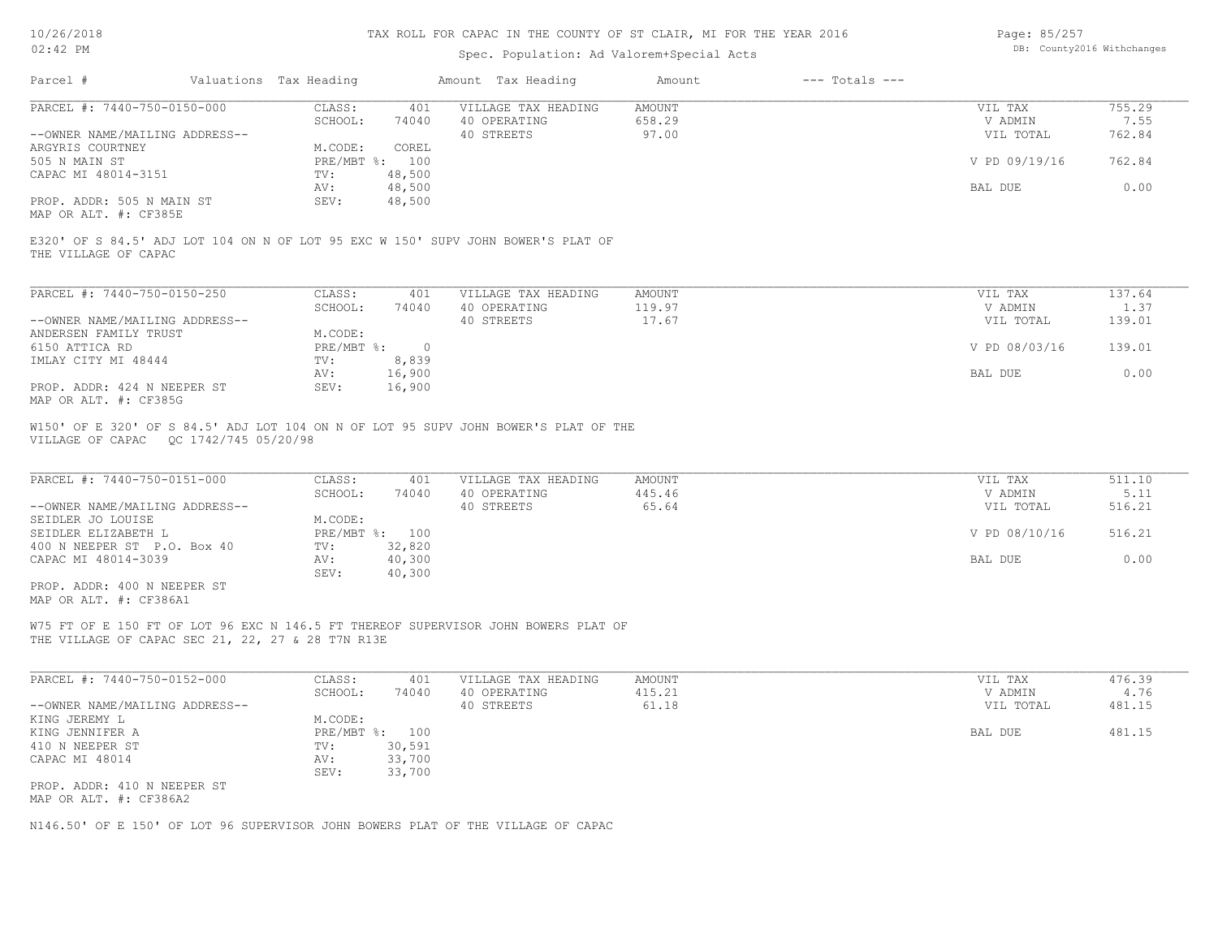| Page: 85/257 |                            |
|--------------|----------------------------|
|              | DB: County2016 Withchanges |

| Parcel #                                                                                                                                                        | Valuations Tax Heading                                                                           | Amount Tax Heading                                | Amount<br>$---$ Totals $---$ |                                                             |                                            |
|-----------------------------------------------------------------------------------------------------------------------------------------------------------------|--------------------------------------------------------------------------------------------------|---------------------------------------------------|------------------------------|-------------------------------------------------------------|--------------------------------------------|
| PARCEL #: 7440-750-0150-000                                                                                                                                     | CLASS:<br>401                                                                                    | VILLAGE TAX HEADING                               | AMOUNT                       | VIL TAX                                                     | 755.29                                     |
|                                                                                                                                                                 | SCHOOL:<br>74040                                                                                 | 40 OPERATING                                      | 658.29<br>97.00              | V ADMIN                                                     | 7.55<br>762.84                             |
| --OWNER NAME/MAILING ADDRESS--<br>ARGYRIS COURTNEY                                                                                                              | M.CODE:<br>COREL                                                                                 | 40 STREETS                                        |                              | VIL TOTAL                                                   |                                            |
| 505 N MAIN ST                                                                                                                                                   | PRE/MBT %: 100                                                                                   |                                                   |                              | V PD 09/19/16                                               | 762.84                                     |
| CAPAC MI 48014-3151                                                                                                                                             | 48,500<br>TV:                                                                                    |                                                   |                              |                                                             |                                            |
|                                                                                                                                                                 | 48,500<br>AV:                                                                                    |                                                   |                              | BAL DUE                                                     | 0.00                                       |
| PROP. ADDR: 505 N MAIN ST<br>MAP OR ALT. #: CF385E                                                                                                              | SEV:<br>48,500                                                                                   |                                                   |                              |                                                             |                                            |
| E320' OF S 84.5' ADJ LOT 104 ON N OF LOT 95 EXC W 150' SUPV JOHN BOWER'S PLAT OF<br>THE VILLAGE OF CAPAC                                                        |                                                                                                  |                                                   |                              |                                                             |                                            |
| PARCEL #: 7440-750-0150-250                                                                                                                                     | CLASS:<br>401                                                                                    | VILLAGE TAX HEADING                               | <b>AMOUNT</b>                | VIL TAX                                                     | 137.64                                     |
|                                                                                                                                                                 | SCHOOL:<br>74040                                                                                 | 40 OPERATING                                      | 119.97                       | V ADMIN                                                     | 1.37                                       |
| --OWNER NAME/MAILING ADDRESS--                                                                                                                                  |                                                                                                  | 40 STREETS                                        | 17.67                        | VIL TOTAL                                                   | 139.01                                     |
| ANDERSEN FAMILY TRUST                                                                                                                                           | M.CODE:                                                                                          |                                                   |                              |                                                             |                                            |
| 6150 ATTICA RD                                                                                                                                                  | $\overline{0}$<br>$PRE/MBT$ $\frac{1}{6}$ :                                                      |                                                   |                              | V PD 08/03/16                                               | 139.01                                     |
| IMLAY CITY MI 48444                                                                                                                                             | 8,839<br>$\texttt{TV}$ :<br>16,900<br>AV:                                                        |                                                   |                              | BAL DUE                                                     | 0.00                                       |
| PROP. ADDR: 424 N NEEPER ST                                                                                                                                     | SEV:<br>16,900                                                                                   |                                                   |                              |                                                             |                                            |
| MAP OR ALT. #: CF385G                                                                                                                                           |                                                                                                  |                                                   |                              |                                                             |                                            |
| PARCEL #: 7440-750-0151-000<br>--OWNER NAME/MAILING ADDRESS--<br>SEIDLER JO LOUISE<br>SEIDLER ELIZABETH L<br>400 N NEEPER ST P.O. Box 40<br>CAPAC MI 48014-3039 | CLASS:<br>401<br>SCHOOL:<br>74040<br>M.CODE:<br>PRE/MBT %: 100<br>32,820<br>TV:<br>40,300<br>AV: | VILLAGE TAX HEADING<br>40 OPERATING<br>40 STREETS | AMOUNT<br>445.46<br>65.64    | VIL TAX<br>V ADMIN<br>VIL TOTAL<br>V PD 08/10/16<br>BAL DUE | 511.10<br>5.11<br>516.21<br>516.21<br>0.00 |
| PROP. ADDR: 400 N NEEPER ST<br>MAP OR ALT. #: CF386A1                                                                                                           | SEV:<br>40,300                                                                                   |                                                   |                              |                                                             |                                            |
| W75 FT OF E 150 FT OF LOT 96 EXC N 146.5 FT THEREOF SUPERVISOR JOHN BOWERS PLAT OF<br>THE VILLAGE OF CAPAC SEC 21, 22, 27 & 28 T7N R13E                         |                                                                                                  |                                                   |                              |                                                             |                                            |
| PARCEL #: 7440-750-0152-000                                                                                                                                     | CLASS:<br>401                                                                                    | VILLAGE TAX HEADING                               | AMOUNT                       | VIL TAX                                                     | 476.39                                     |
|                                                                                                                                                                 | SCHOOL:<br>74040                                                                                 | 40 OPERATING                                      | 415.21                       | V ADMIN                                                     | 4.76                                       |
| --OWNER NAME/MAILING ADDRESS--                                                                                                                                  |                                                                                                  | 40 STREETS                                        | 61.18                        | VIL TOTAL                                                   | 481.15                                     |
| KING JEREMY L                                                                                                                                                   | M.CODE:                                                                                          |                                                   |                              |                                                             |                                            |
| KING JENNIFER A<br>410 N NEEPER ST                                                                                                                              | PRE/MBT %: 100<br>30,591<br>TV:                                                                  |                                                   |                              | BAL DUE                                                     | 481.15                                     |
| CAPAC MI 48014                                                                                                                                                  | 33,700<br>AV:                                                                                    |                                                   |                              |                                                             |                                            |
|                                                                                                                                                                 | SEV:<br>33,700                                                                                   |                                                   |                              |                                                             |                                            |
| PROP. ADDR: 410 N NEEPER ST<br>MAP OR ALT. #: CF386A2                                                                                                           |                                                                                                  |                                                   |                              |                                                             |                                            |
|                                                                                                                                                                 |                                                                                                  |                                                   |                              |                                                             |                                            |
| N146.50' OF E 150' OF LOT 96 SUPERVISOR JOHN BOWERS PLAT OF THE VILLAGE OF CAPAC                                                                                |                                                                                                  |                                                   |                              |                                                             |                                            |
|                                                                                                                                                                 |                                                                                                  |                                                   |                              |                                                             |                                            |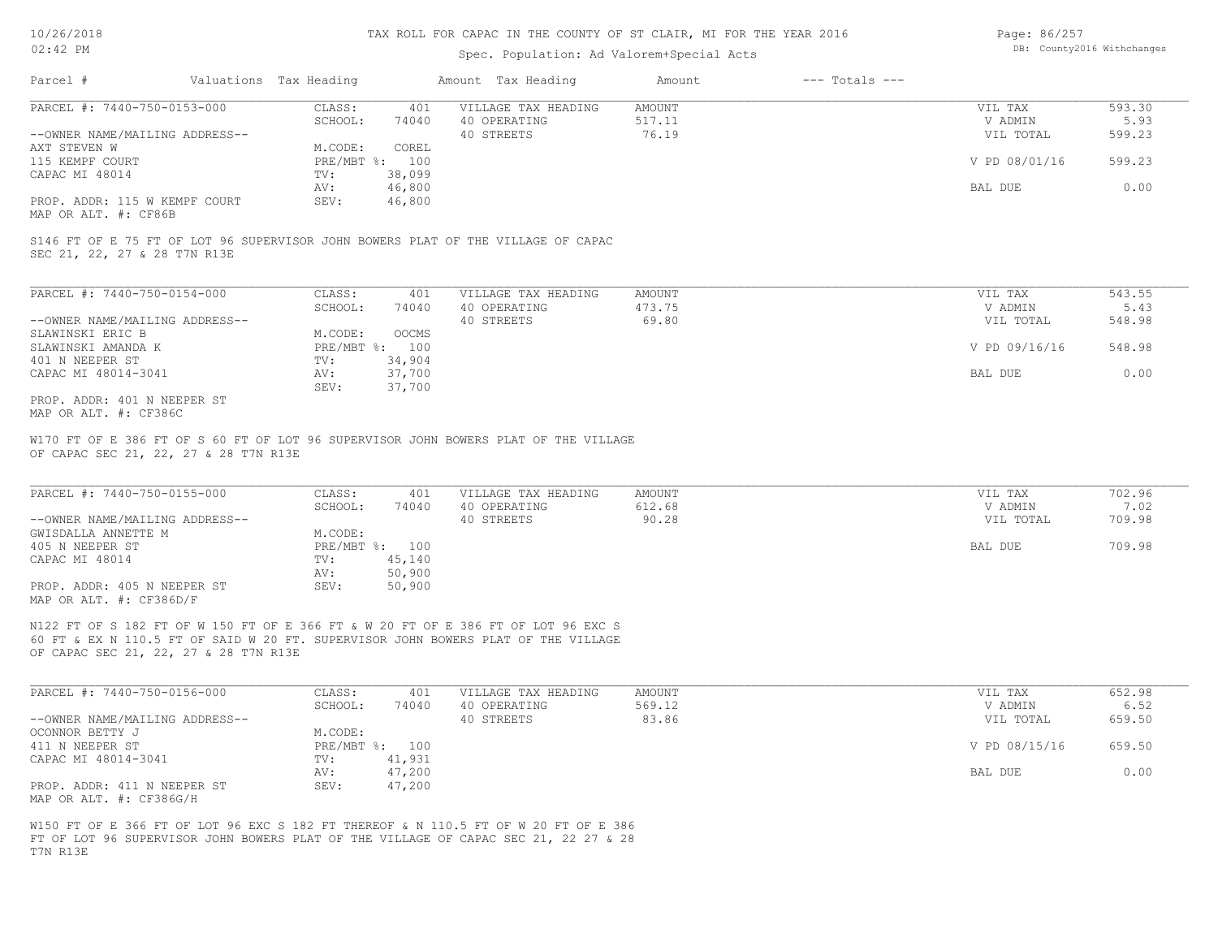### Spec. Population: Ad Valorem+Special Acts

Page: 86/257 DB: County2016 Withchanges

| Parcel #                       | Valuations Tax Heading |        | Amount Tax Heading  | Amount | $---$ Totals $---$ |                |        |
|--------------------------------|------------------------|--------|---------------------|--------|--------------------|----------------|--------|
| PARCEL #: 7440-750-0153-000    | CLASS:                 | 401    | VILLAGE TAX HEADING | AMOUNT |                    | VIL TAX        | 593.30 |
|                                | SCHOOL:                | 74040  | 40 OPERATING        | 517.11 |                    | V ADMIN        | 5.93   |
| --OWNER NAME/MAILING ADDRESS-- |                        |        | 40 STREETS          | 76.19  |                    | VIL TOTAL      | 599.23 |
| AXT STEVEN W                   | M.CODE:                | COREL  |                     |        |                    |                |        |
| 115 KEMPF COURT                | PRE/MBT %: 100         |        |                     |        |                    | V PD 08/01/16  | 599.23 |
| CAPAC MI 48014                 | TV:                    | 38,099 |                     |        |                    |                |        |
|                                | AV:                    | 46,800 |                     |        |                    | <b>BAL DUE</b> | 0.00   |
| PROP. ADDR: 115 W KEMPF COURT  | SEV:                   | 46,800 |                     |        |                    |                |        |
|                                |                        |        |                     |        |                    |                |        |

MAP OR ALT. #: CF86B

SEC 21, 22, 27 & 28 T7N R13E S146 FT OF E 75 FT OF LOT 96 SUPERVISOR JOHN BOWERS PLAT OF THE VILLAGE OF CAPAC

| PARCEL #: 7440-750-0154-000    | CLASS:       | 401          | VILLAGE TAX HEADING | AMOUNT | VIL TAX       | 543.55 |
|--------------------------------|--------------|--------------|---------------------|--------|---------------|--------|
|                                | SCHOOL:      | 74040        | 40 OPERATING        | 473.75 | V ADMIN       | 5.43   |
| --OWNER NAME/MAILING ADDRESS-- |              |              | 40 STREETS          | 69.80  | VIL TOTAL     | 548.98 |
| SLAWINSKI ERIC B               | M.CODE:      | <b>OOCMS</b> |                     |        |               |        |
| SLAWINSKI AMANDA K             | $PRE/MBT$ %: | 100          |                     |        | V PD 09/16/16 | 548.98 |
| 401 N NEEPER ST                | TV:          | 34,904       |                     |        |               |        |
| CAPAC MI 48014-3041            | AV:          | 37,700       |                     |        | BAL DUE       | 0.00   |
|                                | SEV:         | 37,700       |                     |        |               |        |
| PROP. ADDR: 401 N NEEPER ST    |              |              |                     |        |               |        |

MAP OR ALT. #: CF386C

OF CAPAC SEC 21, 22, 27 & 28 T7N R13E W170 FT OF E 386 FT OF S 60 FT OF LOT 96 SUPERVISOR JOHN BOWERS PLAT OF THE VILLAGE

| PARCEL #: 7440-750-0155-000    | CLASS:       | 401    | VILLAGE TAX HEADING | AMOUNT | VIL TAX   | 702.96 |
|--------------------------------|--------------|--------|---------------------|--------|-----------|--------|
|                                | SCHOOL:      | 74040  | 40 OPERATING        | 612.68 | V ADMIN   | 7.02   |
| --OWNER NAME/MAILING ADDRESS-- |              |        | 40 STREETS          | 90.28  | VIL TOTAL | 709.98 |
| GWISDALLA ANNETTE M            | M.CODE:      |        |                     |        |           |        |
| 405 N NEEPER ST                | $PRE/MBT$ %: | 100    |                     |        | BAL DUE   | 709.98 |
| CAPAC MI 48014                 | TV:          | 45,140 |                     |        |           |        |
|                                | AV:          | 50,900 |                     |        |           |        |
| PROP. ADDR: 405 N NEEPER ST    | SEV:         | 50,900 |                     |        |           |        |
| MAP OR ALT. #: CF386D/F        |              |        |                     |        |           |        |

 $\_$  , and the state of the state of the state of the state of the state of the state of the state of the state of the state of the state of the state of the state of the state of the state of the state of the state of the

OF CAPAC SEC 21, 22, 27 & 28 T7N R13E 60 FT & EX N 110.5 FT OF SAID W 20 FT. SUPERVISOR JOHN BOWERS PLAT OF THE VILLAGE N122 FT OF S 182 FT OF W 150 FT OF E 366 FT & W 20 FT OF E 386 FT OF LOT 96 EXC S

| PARCEL #: 7440-750-0156-000    | CLASS:  | 401            | VILLAGE TAX HEADING | AMOUNT | VIL TAX       | 652.98 |
|--------------------------------|---------|----------------|---------------------|--------|---------------|--------|
|                                | SCHOOL: | 74040          | 40 OPERATING        | 569.12 | V ADMIN       | 6.52   |
| --OWNER NAME/MAILING ADDRESS-- |         |                | 40 STREETS          | 83.86  | VIL TOTAL     | 659.50 |
| OCONNOR BETTY J                | M.CODE: |                |                     |        |               |        |
| 411 N NEEPER ST                |         | PRE/MBT %: 100 |                     |        | V PD 08/15/16 | 659.50 |
| CAPAC MI 48014-3041            | TV:     | 41,931         |                     |        |               |        |
|                                | AV:     | 47,200         |                     |        | BAL DUE       | 0.00   |
| PROP. ADDR: 411 N NEEPER ST    | SEV:    | 47,200         |                     |        |               |        |
| MAP OR ALT. #: CF386G/H        |         |                |                     |        |               |        |

T7N R13E FT OF LOT 96 SUPERVISOR JOHN BOWERS PLAT OF THE VILLAGE OF CAPAC SEC 21, 22 27 & 28 W150 FT OF E 366 FT OF LOT 96 EXC S 182 FT THEREOF & N 110.5 FT OF W 20 FT OF E 386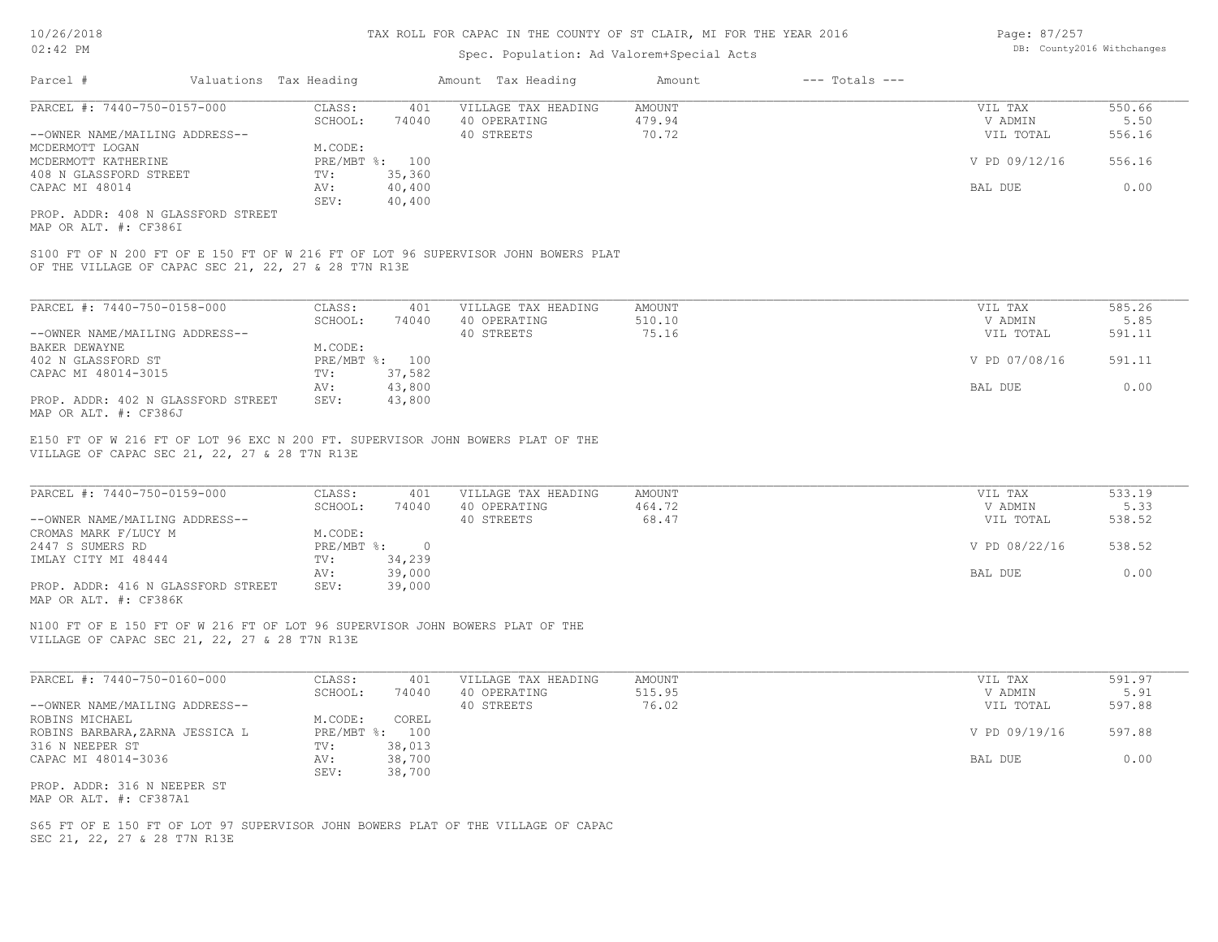### Spec. Population: Ad Valorem+Special Acts

| Parcel #                       | Valuations Tax Heading |                | Amount Tax Heading  | Amount | $---$ Totals $---$ |               |        |
|--------------------------------|------------------------|----------------|---------------------|--------|--------------------|---------------|--------|
| PARCEL #: 7440-750-0157-000    | CLASS:                 | 401            | VILLAGE TAX HEADING | AMOUNT |                    | VIL TAX       | 550.66 |
|                                | SCHOOL:                | 74040          | 40 OPERATING        | 479.94 |                    | V ADMIN       | 5.50   |
| --OWNER NAME/MAILING ADDRESS-- |                        |                | 40 STREETS          | 70.72  |                    | VIL TOTAL     | 556.16 |
| MCDERMOTT LOGAN                | M.CODE:                |                |                     |        |                    |               |        |
| MCDERMOTT KATHERINE            |                        | PRE/MBT %: 100 |                     |        |                    | V PD 09/12/16 | 556.16 |
| 408 N GLASSFORD STREET         | TV:                    | 35,360         |                     |        |                    |               |        |
| CAPAC MI 48014                 | AV:                    | 40,400         |                     |        |                    | BAL DUE       | 0.00   |
|                                | SEV:                   | 40,400         |                     |        |                    |               |        |
|                                |                        |                |                     |        |                    |               |        |

MAP OR ALT. #: CF386I PROP. ADDR: 408 N GLASSFORD STREET

OF THE VILLAGE OF CAPAC SEC 21, 22, 27 & 28 T7N R13E S100 FT OF N 200 FT OF E 150 FT OF W 216 FT OF LOT 96 SUPERVISOR JOHN BOWERS PLAT

| PARCEL #: 7440-750-0158-000        | CLASS:  | 401            | VILLAGE TAX HEADING | AMOUNT | VIL TAX       | 585.26 |
|------------------------------------|---------|----------------|---------------------|--------|---------------|--------|
|                                    | SCHOOL: | 74040          | 40 OPERATING        | 510.10 | V ADMIN       | 5.85   |
| --OWNER NAME/MAILING ADDRESS--     |         |                | 40 STREETS          | 75.16  | VIL TOTAL     | 591.11 |
| BAKER DEWAYNE                      | M.CODE: |                |                     |        |               |        |
| 402 N GLASSFORD ST                 |         | PRE/MBT %: 100 |                     |        | V PD 07/08/16 | 591.11 |
| CAPAC MI 48014-3015                | TV:     | 37,582         |                     |        |               |        |
|                                    | AV:     | 43,800         |                     |        | BAL DUE       | 0.00   |
| PROP. ADDR: 402 N GLASSFORD STREET | SEV:    | 43,800         |                     |        |               |        |
| MAP OR ALT. #: CF386J              |         |                |                     |        |               |        |

VILLAGE OF CAPAC SEC 21, 22, 27 & 28 T7N R13E E150 FT OF W 216 FT OF LOT 96 EXC N 200 FT. SUPERVISOR JOHN BOWERS PLAT OF THE

| PARCEL #: 7440-750-0159-000        | CLASS:       | 401    | VILLAGE TAX HEADING | AMOUNT | VIL TAX       | 533.19 |
|------------------------------------|--------------|--------|---------------------|--------|---------------|--------|
|                                    | SCHOOL:      | 74040  | 40 OPERATING        | 464.72 | V ADMIN       | 5.33   |
| --OWNER NAME/MAILING ADDRESS--     |              |        | 40 STREETS          | 68.47  | VIL TOTAL     | 538.52 |
| CROMAS MARK F/LUCY M               | M.CODE:      |        |                     |        |               |        |
| 2447 S SUMERS RD                   | $PRE/MBT$ %: | $\cap$ |                     |        | V PD 08/22/16 | 538.52 |
| IMLAY CITY MI 48444                | TV:          | 34,239 |                     |        |               |        |
|                                    | AV:          | 39,000 |                     |        | BAL DUE       | 0.00   |
| PROP. ADDR: 416 N GLASSFORD STREET | SEV:         | 39,000 |                     |        |               |        |
| MAP OR ALT. #: CF386K              |              |        |                     |        |               |        |

 $\_$  , and the state of the state of the state of the state of the state of the state of the state of the state of the state of the state of the state of the state of the state of the state of the state of the state of the

VILLAGE OF CAPAC SEC 21, 22, 27 & 28 T7N R13E N100 FT OF E 150 FT OF W 216 FT OF LOT 96 SUPERVISOR JOHN BOWERS PLAT OF THE

| PARCEL #: 7440-750-0160-000     | CLASS:     | 401    | VILLAGE TAX HEADING | AMOUNT | VIL TAX       | 591.97 |
|---------------------------------|------------|--------|---------------------|--------|---------------|--------|
|                                 | SCHOOL:    | 74040  | 40 OPERATING        | 515.95 | V ADMIN       | 5.91   |
| --OWNER NAME/MAILING ADDRESS--  |            |        | 40 STREETS          | 76.02  | VIL TOTAL     | 597.88 |
| ROBINS MICHAEL                  | M.CODE:    | COREL  |                     |        |               |        |
| ROBINS BARBARA, ZARNA JESSICA L | PRE/MBT %: | 100    |                     |        | V PD 09/19/16 | 597.88 |
| 316 N NEEPER ST                 | TV:        | 38,013 |                     |        |               |        |
| CAPAC MI 48014-3036             | AV:        | 38,700 |                     |        | BAL DUE       | 0.00   |
|                                 | SEV:       | 38,700 |                     |        |               |        |
| PROP. ADDR: 316 N NEEPER ST     |            |        |                     |        |               |        |

MAP OR ALT. #: CF387A1

SEC 21, 22, 27 & 28 T7N R13E S65 FT OF E 150 FT OF LOT 97 SUPERVISOR JOHN BOWERS PLAT OF THE VILLAGE OF CAPAC Page: 87/257 DB: County2016 Withchanges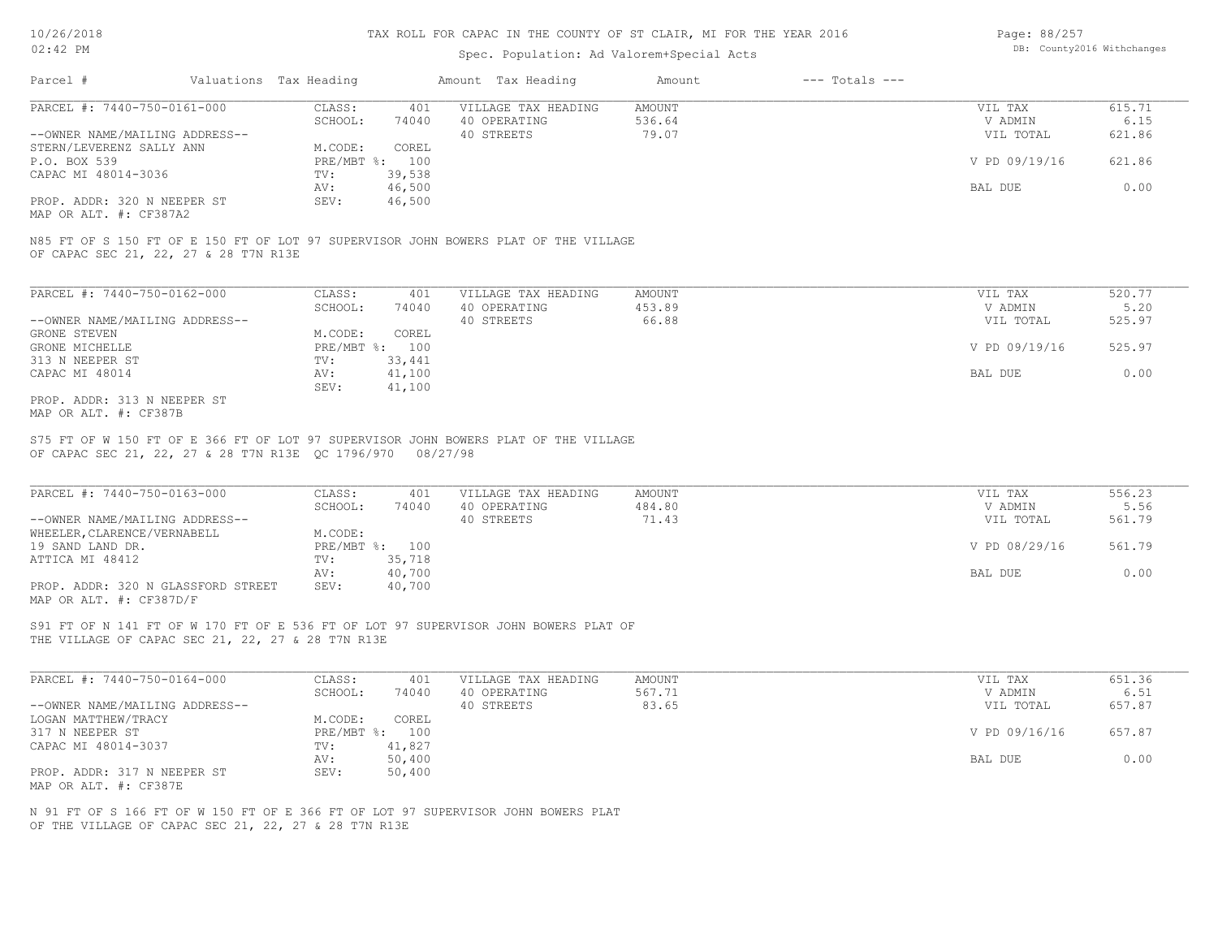### Spec. Population: Ad Valorem+Special Acts

| Page: 88/257 |                            |
|--------------|----------------------------|
|              | DB: County2016 Withchanges |

| Parcel #                       | Valuations Tax Heading |        | Amount Tax Heading  | Amount | $---$ Totals $---$ |               |        |
|--------------------------------|------------------------|--------|---------------------|--------|--------------------|---------------|--------|
| PARCEL #: 7440-750-0161-000    | CLASS:                 | 401    | VILLAGE TAX HEADING | AMOUNT |                    | VIL TAX       | 615.71 |
|                                | SCHOOL:                | 74040  | 40 OPERATING        | 536.64 |                    | V ADMIN       | 6.15   |
| --OWNER NAME/MAILING ADDRESS-- |                        |        | 40 STREETS          | 79.07  |                    | VIL TOTAL     | 621.86 |
| STERN/LEVERENZ SALLY ANN       | M.CODE:                | COREL  |                     |        |                    |               |        |
| P.O. BOX 539                   | $PRE/MBT$ %:           | 100    |                     |        |                    | V PD 09/19/16 | 621.86 |
| CAPAC MI 48014-3036            | TV:                    | 39,538 |                     |        |                    |               |        |
|                                | AV:                    | 46,500 |                     |        |                    | BAL DUE       | 0.00   |
| PROP. ADDR: 320 N NEEPER ST    | SEV:                   | 46,500 |                     |        |                    |               |        |

MAP OR ALT. #: CF387A2

OF CAPAC SEC 21, 22, 27 & 28 T7N R13E N85 FT OF S 150 FT OF E 150 FT OF LOT 97 SUPERVISOR JOHN BOWERS PLAT OF THE VILLAGE

| PARCEL #: 7440-750-0162-000    | CLASS:                    | 401    | VILLAGE TAX HEADING | AMOUNT | VIL TAX       | 520.77 |
|--------------------------------|---------------------------|--------|---------------------|--------|---------------|--------|
|                                | SCHOOL:                   | 74040  | 40 OPERATING        | 453.89 | V ADMIN       | 5.20   |
| --OWNER NAME/MAILING ADDRESS-- |                           |        | 40 STREETS          | 66.88  | VIL TOTAL     | 525.97 |
| GRONE STEVEN                   | M.CODE:                   | COREL  |                     |        |               |        |
| GRONE MICHELLE                 | $PRE/MBT$ $\frac{1}{6}$ : | 100    |                     |        | V PD 09/19/16 | 525.97 |
| 313 N NEEPER ST                | TV:                       | 33,441 |                     |        |               |        |
| CAPAC MI 48014                 | AV:                       | 41,100 |                     |        | BAL DUE       | 0.00   |
|                                | SEV:                      | 41,100 |                     |        |               |        |
| PROP. ADDR: 313 N NEEPER ST    |                           |        |                     |        |               |        |

MAP OR ALT. #: CF387B

OF CAPAC SEC 21, 22, 27 & 28 T7N R13E QC 1796/970 08/27/98 S75 FT OF W 150 FT OF E 366 FT OF LOT 97 SUPERVISOR JOHN BOWERS PLAT OF THE VILLAGE

| PARCEL #: 7440-750-0163-000        | CLASS:       | 401    | VILLAGE TAX HEADING | AMOUNT | VIL TAX       | 556.23 |
|------------------------------------|--------------|--------|---------------------|--------|---------------|--------|
|                                    | SCHOOL:      | 74040  | 40 OPERATING        | 484.80 | V ADMIN       | 5.56   |
| --OWNER NAME/MAILING ADDRESS--     |              |        | 40 STREETS          | 71.43  | VIL TOTAL     | 561.79 |
| WHEELER, CLARENCE/VERNABELL        | M.CODE:      |        |                     |        |               |        |
| 19 SAND LAND DR.                   | $PRE/MBT$ %: | 100    |                     |        | V PD 08/29/16 | 561.79 |
| ATTICA MI 48412                    | TV:          | 35,718 |                     |        |               |        |
|                                    | AV:          | 40,700 |                     |        | BAL DUE       | 0.00   |
| PROP. ADDR: 320 N GLASSFORD STREET | SEV:         | 40,700 |                     |        |               |        |
| MAP OR ALT. #: CF387D/F            |              |        |                     |        |               |        |

 $\_$  , and the state of the state of the state of the state of the state of the state of the state of the state of the state of the state of the state of the state of the state of the state of the state of the state of the

THE VILLAGE OF CAPAC SEC 21, 22, 27 & 28 T7N R13E S91 FT OF N 141 FT OF W 170 FT OF E 536 FT OF LOT 97 SUPERVISOR JOHN BOWERS PLAT OF

| PARCEL #: 7440-750-0164-000    | CLASS:  | 401            | VILLAGE TAX HEADING | AMOUNT | VIL TAX       | 651.36 |
|--------------------------------|---------|----------------|---------------------|--------|---------------|--------|
|                                | SCHOOL: | 74040          | 40 OPERATING        | 567.71 | V ADMIN       | 6.51   |
| --OWNER NAME/MAILING ADDRESS-- |         |                | 40 STREETS          | 83.65  | VIL TOTAL     | 657.87 |
| LOGAN MATTHEW/TRACY            | M.CODE: | COREL          |                     |        |               |        |
| 317 N NEEPER ST                |         | PRE/MBT %: 100 |                     |        | V PD 09/16/16 | 657.87 |
| CAPAC MI 48014-3037            | TV:     | 41,827         |                     |        |               |        |
|                                | AV:     | 50,400         |                     |        | BAL DUE       | 0.00   |
| PROP. ADDR: 317 N NEEPER ST    | SEV:    | 50,400         |                     |        |               |        |
| MAP OR ALT. #: CF387E          |         |                |                     |        |               |        |

OF THE VILLAGE OF CAPAC SEC 21, 22, 27 & 28 T7N R13E N 91 FT OF S 166 FT OF W 150 FT OF E 366 FT OF LOT 97 SUPERVISOR JOHN BOWERS PLAT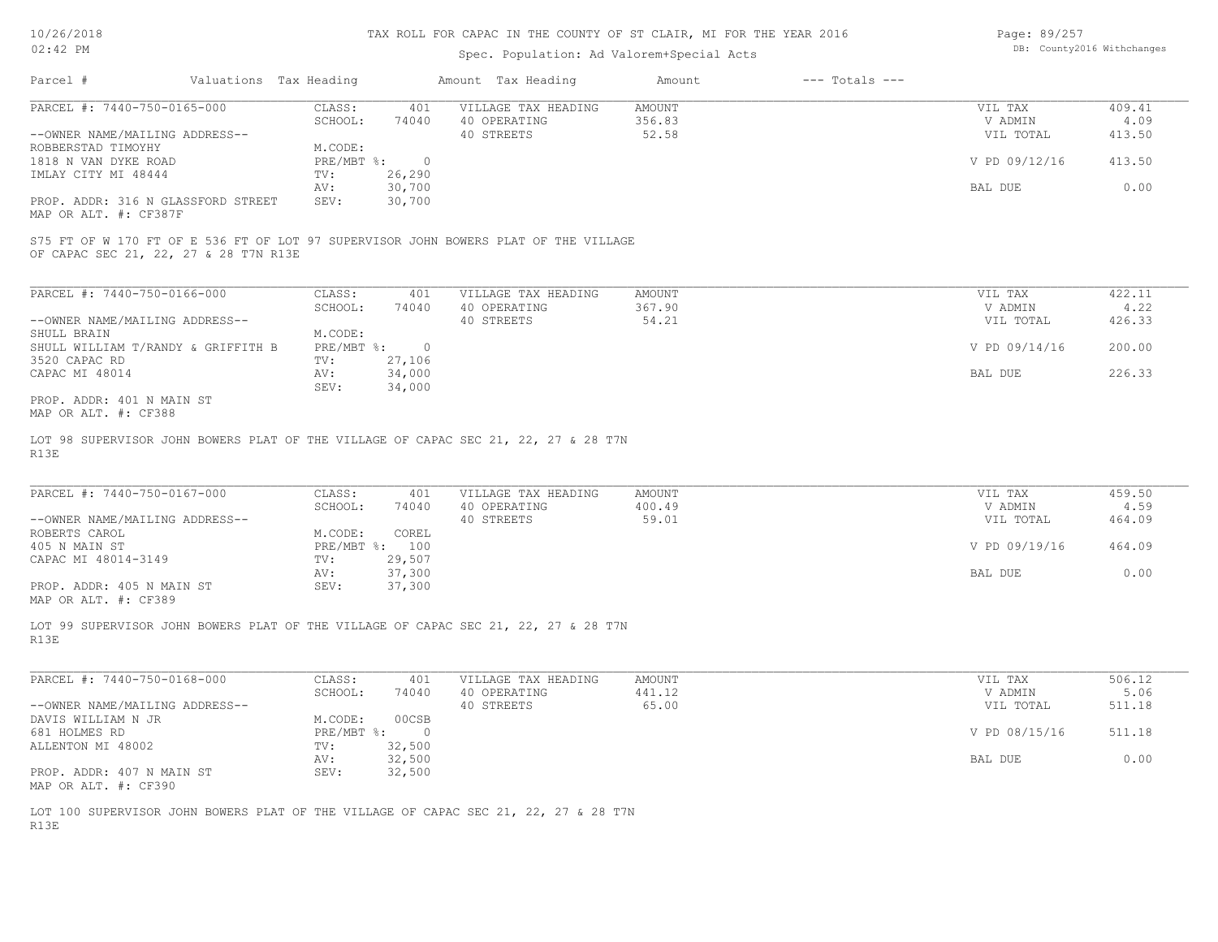#### Spec. Population: Ad Valorem+Special Acts

| Page: 89/257 |                            |
|--------------|----------------------------|
|              | DB: County2016 Withchanges |

| Parcel #                                                    | Valuations Tax Heading |        | Amount Tax Heading  | Amount | $---$ Totals $---$ |               |        |
|-------------------------------------------------------------|------------------------|--------|---------------------|--------|--------------------|---------------|--------|
| PARCEL #: 7440-750-0165-000                                 | CLASS:                 | 401    | VILLAGE TAX HEADING | AMOUNT |                    | VIL TAX       | 409.41 |
|                                                             | SCHOOL:                | 74040  | 40 OPERATING        | 356.83 |                    | V ADMIN       | 4.09   |
| --OWNER NAME/MAILING ADDRESS--                              |                        |        | 40 STREETS          | 52.58  |                    | VIL TOTAL     | 413.50 |
| ROBBERSTAD TIMOYHY                                          | M.CODE:                |        |                     |        |                    |               |        |
| 1818 N VAN DYKE ROAD                                        | $PRE/MBT$ %:           |        |                     |        |                    | V PD 09/12/16 | 413.50 |
| IMLAY CITY MI 48444                                         | TV:                    | 26,290 |                     |        |                    |               |        |
|                                                             | AV:                    | 30,700 |                     |        |                    | BAL DUE       | 0.00   |
| PROP. ADDR: 316 N GLASSFORD STREET<br>MAP OR ALT. #: CF387F | SEV:                   | 30,700 |                     |        |                    |               |        |

OF CAPAC SEC 21, 22, 27 & 28 T7N R13E S75 FT OF W 170 FT OF E 536 FT OF LOT 97 SUPERVISOR JOHN BOWERS PLAT OF THE VILLAGE

| PARCEL #: 7440-750-0166-000        | CLASS:       | 401    | VILLAGE TAX HEADING | AMOUNT | VIL TAX       | 422.11 |
|------------------------------------|--------------|--------|---------------------|--------|---------------|--------|
|                                    | SCHOOL:      | 74040  | 40 OPERATING        | 367.90 | V ADMIN       | 4.22   |
| --OWNER NAME/MAILING ADDRESS--     |              |        | 40 STREETS          | 54.21  | VIL TOTAL     | 426.33 |
| SHULL BRAIN                        | M.CODE:      |        |                     |        |               |        |
| SHULL WILLIAM T/RANDY & GRIFFITH B | $PRE/MBT$ %: |        |                     |        | V PD 09/14/16 | 200.00 |
| 3520 CAPAC RD                      | TV:          | 27,106 |                     |        |               |        |
| CAPAC MI 48014                     | AV:          | 34,000 |                     |        | BAL DUE       | 226.33 |
|                                    | SEV:         | 34,000 |                     |        |               |        |
| PROP. ADDR: 401 N MAIN ST          |              |        |                     |        |               |        |

MAP OR ALT. #: CF388

R13E LOT 98 SUPERVISOR JOHN BOWERS PLAT OF THE VILLAGE OF CAPAC SEC 21, 22, 27 & 28 T7N

| PARCEL #: 7440-750-0167-000    | CLASS:     | 401    | VILLAGE TAX HEADING | AMOUNT | VIL TAX       | 459.50 |
|--------------------------------|------------|--------|---------------------|--------|---------------|--------|
|                                | SCHOOL:    | 74040  | 40 OPERATING        | 400.49 | V ADMIN       | 4.59   |
| --OWNER NAME/MAILING ADDRESS-- |            |        | 40 STREETS          | 59.01  | VIL TOTAL     | 464.09 |
| ROBERTS CAROL                  | M.CODE:    | COREL  |                     |        |               |        |
| 405 N MAIN ST                  | PRE/MBT %: | 100    |                     |        | V PD 09/19/16 | 464.09 |
| CAPAC MI 48014-3149            | TV:        | 29,507 |                     |        |               |        |
|                                | AV:        | 37,300 |                     |        | BAL DUE       | 0.00   |
| PROP. ADDR: 405 N MAIN ST      | SEV:       | 37,300 |                     |        |               |        |

 $\_$  , and the state of the state of the state of the state of the state of the state of the state of the state of the state of the state of the state of the state of the state of the state of the state of the state of the

MAP OR ALT. #: CF389

R13E LOT 99 SUPERVISOR JOHN BOWERS PLAT OF THE VILLAGE OF CAPAC SEC 21, 22, 27 & 28 T7N

| PARCEL #: 7440-750-0168-000    | CLASS:       | 401    | VILLAGE TAX HEADING | AMOUNT | VIL TAX       | 506.12 |
|--------------------------------|--------------|--------|---------------------|--------|---------------|--------|
|                                | SCHOOL:      | 74040  | 40 OPERATING        | 441.12 | V ADMIN       | 5.06   |
| --OWNER NAME/MAILING ADDRESS-- |              |        | 40 STREETS          | 65.00  | VIL TOTAL     | 511.18 |
| DAVIS WILLIAM N JR             | M.CODE:      | 00CSB  |                     |        |               |        |
| 681 HOLMES RD                  | $PRE/MBT$ %: |        |                     |        | V PD 08/15/16 | 511.18 |
| ALLENTON MI 48002              | TV:          | 32,500 |                     |        |               |        |
|                                | AV:          | 32,500 |                     |        | BAL DUE       | 0.00   |
| PROP. ADDR: 407 N MAIN ST      | SEV:         | 32,500 |                     |        |               |        |
| MAP OR ALT. #: CF390           |              |        |                     |        |               |        |

R13E LOT 100 SUPERVISOR JOHN BOWERS PLAT OF THE VILLAGE OF CAPAC SEC 21, 22, 27 & 28 T7N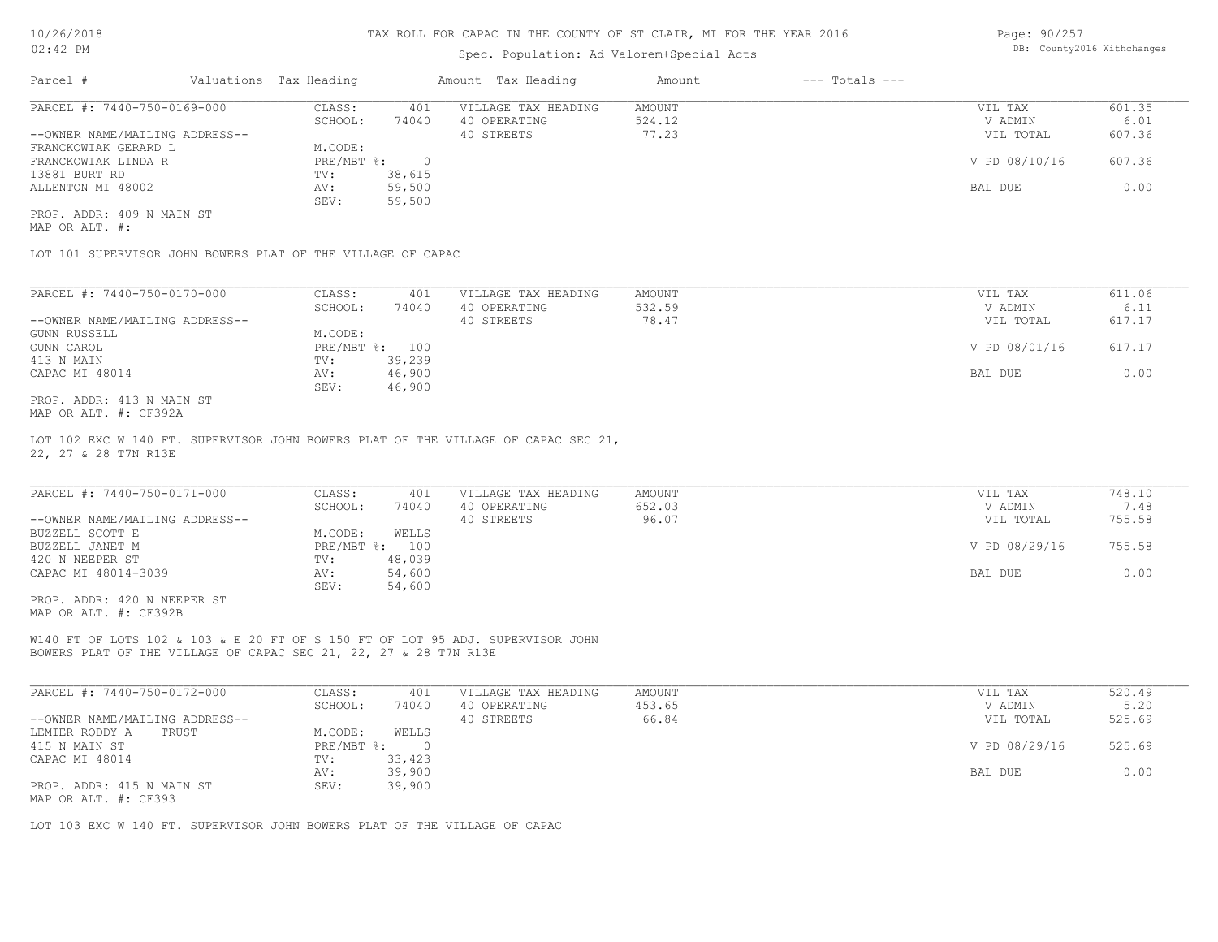### Spec. Population: Ad Valorem+Special Acts

Page: 90/257 DB: County2016 Withchanges

| Parcel #                       | Valuations Tax Heading |        | Amount Tax Heading  | Amount | $---$ Totals $---$ |               |        |
|--------------------------------|------------------------|--------|---------------------|--------|--------------------|---------------|--------|
| PARCEL #: 7440-750-0169-000    | CLASS:                 | 401    | VILLAGE TAX HEADING | AMOUNT |                    | VIL TAX       | 601.35 |
|                                | SCHOOL:                | 74040  | 40 OPERATING        | 524.12 |                    | V ADMIN       | 6.01   |
| --OWNER NAME/MAILING ADDRESS-- |                        |        | 40 STREETS          | 77.23  |                    | VIL TOTAL     | 607.36 |
| FRANCKOWIAK GERARD L           | M.CODE:                |        |                     |        |                    |               |        |
| FRANCKOWIAK LINDA R            | PRE/MBT %:             |        |                     |        |                    | V PD 08/10/16 | 607.36 |
| 13881 BURT RD                  | TV:                    | 38,615 |                     |        |                    |               |        |
| ALLENTON MI 48002              | AV:                    | 59,500 |                     |        |                    | BAL DUE       | 0.00   |
|                                | SEV:                   | 59,500 |                     |        |                    |               |        |
| PROP. ADDR: 409 N MAIN ST      |                        |        |                     |        |                    |               |        |

MAP OR ALT. #:

LOT 101 SUPERVISOR JOHN BOWERS PLAT OF THE VILLAGE OF CAPAC

| PARCEL #: 7440-750-0170-000    | CLASS:       | 401    | VILLAGE TAX HEADING | AMOUNT | VIL TAX       | 611.06 |
|--------------------------------|--------------|--------|---------------------|--------|---------------|--------|
|                                | SCHOOL:      | 74040  | 40 OPERATING        | 532.59 | V ADMIN       | 6.11   |
| --OWNER NAME/MAILING ADDRESS-- |              |        | 40 STREETS          | 78.47  | VIL TOTAL     | 617.17 |
| GUNN RUSSELL                   | M.CODE:      |        |                     |        |               |        |
| GUNN CAROL                     | $PRE/MBT$ %: | 100    |                     |        | V PD 08/01/16 | 617.17 |
| 413 N MAIN                     | TV:          | 39,239 |                     |        |               |        |
| CAPAC MI 48014                 | AV:          | 46,900 |                     |        | BAL DUE       | 0.00   |
|                                | SEV:         | 46,900 |                     |        |               |        |
| PROP. ADDR: 413 N MAIN ST      |              |        |                     |        |               |        |

MAP OR ALT. #: CF392A

22, 27 & 28 T7N R13E LOT 102 EXC W 140 FT. SUPERVISOR JOHN BOWERS PLAT OF THE VILLAGE OF CAPAC SEC 21,

| PARCEL #: 7440-750-0171-000    | CLASS:  | 401            | VILLAGE TAX HEADING | AMOUNT | VIL TAX       | 748.10 |
|--------------------------------|---------|----------------|---------------------|--------|---------------|--------|
|                                | SCHOOL: | 74040          | 40 OPERATING        | 652.03 | V ADMIN       | 7.48   |
| --OWNER NAME/MAILING ADDRESS-- |         |                | 40 STREETS          | 96.07  | VIL TOTAL     | 755.58 |
| BUZZELL SCOTT E                | M.CODE: | WELLS          |                     |        |               |        |
| BUZZELL JANET M                |         | PRE/MBT %: 100 |                     |        | V PD 08/29/16 | 755.58 |
| 420 N NEEPER ST                | TV:     | 48,039         |                     |        |               |        |
| CAPAC MI 48014-3039            | AV:     | 54,600         |                     |        | BAL DUE       | 0.00   |
|                                | SEV:    | 54,600         |                     |        |               |        |
| PROP. ADDR: 420 N NEEPER ST    |         |                |                     |        |               |        |

MAP OR ALT. #: CF392B

BOWERS PLAT OF THE VILLAGE OF CAPAC SEC 21, 22, 27 & 28 T7N R13E W140 FT OF LOTS 102 & 103 & E 20 FT OF S 150 FT OF LOT 95 ADJ. SUPERVISOR JOHN

| PARCEL #: 7440-750-0172-000    | CLASS:     | 401    | VILLAGE TAX HEADING | AMOUNT | VIL TAX       | 520.49 |
|--------------------------------|------------|--------|---------------------|--------|---------------|--------|
|                                | SCHOOL:    | 74040  | 40 OPERATING        | 453.65 | V ADMIN       | 5.20   |
| --OWNER NAME/MAILING ADDRESS-- |            |        | 40 STREETS          | 66.84  | VIL TOTAL     | 525.69 |
| LEMIER RODDY A<br>TRUST        | M.CODE:    | WELLS  |                     |        |               |        |
| 415 N MAIN ST                  | PRE/MBT %: |        |                     |        | V PD 08/29/16 | 525.69 |
| CAPAC MI 48014                 | TV:        | 33,423 |                     |        |               |        |
|                                | AV:        | 39,900 |                     |        | BAL DUE       | 0.00   |
| PROP. ADDR: 415 N MAIN ST      | SEV:       | 39,900 |                     |        |               |        |
| MAP OR ALT. #: CF393           |            |        |                     |        |               |        |

LOT 103 EXC W 140 FT. SUPERVISOR JOHN BOWERS PLAT OF THE VILLAGE OF CAPAC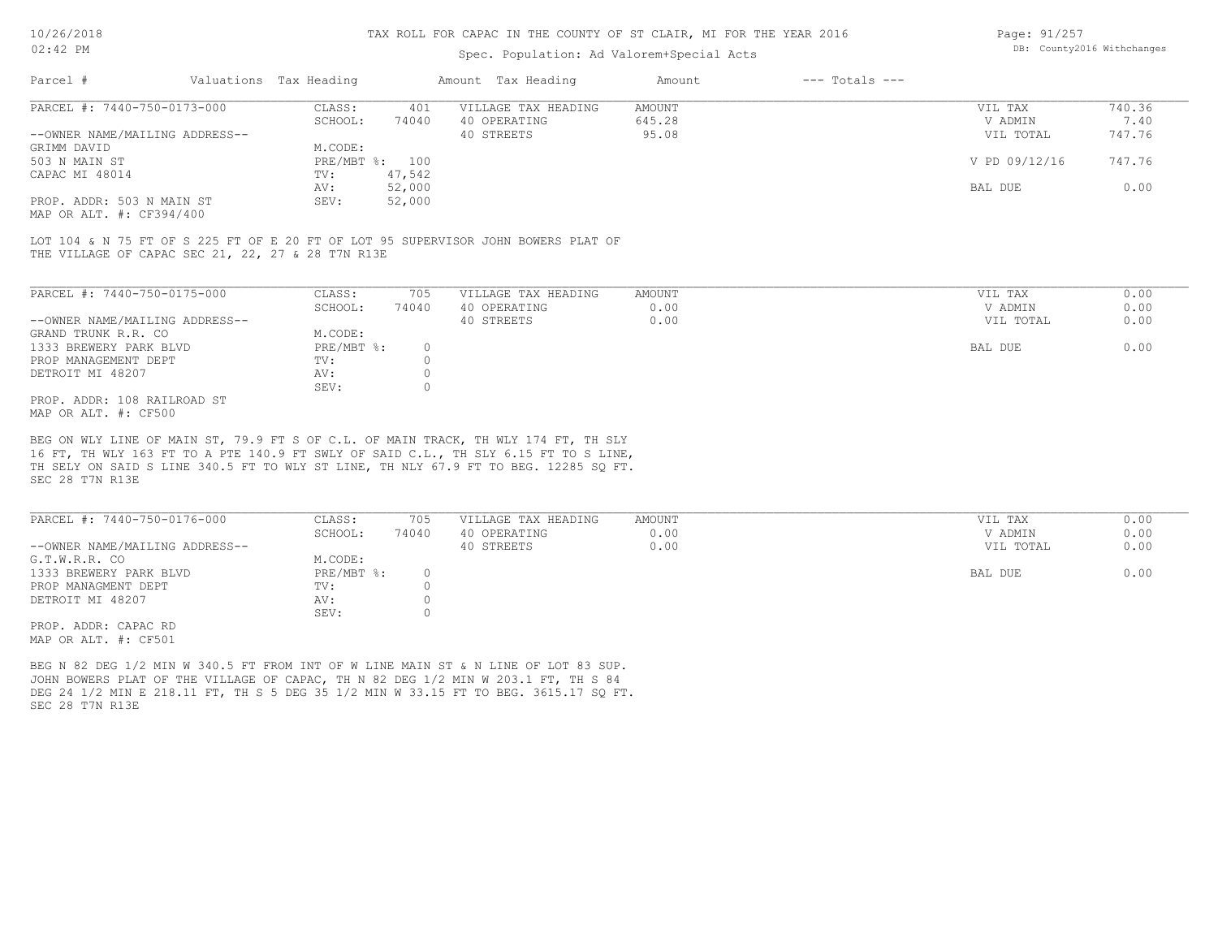### Spec. Population: Ad Valorem+Special Acts

| Page: 91/257 |                            |
|--------------|----------------------------|
|              | DB: County2016 Withchanges |

| Parcel #                       | Valuations Tax Heading |        | Amount Tax Heading  | Amount | $---$ Totals $---$ |               |        |
|--------------------------------|------------------------|--------|---------------------|--------|--------------------|---------------|--------|
| PARCEL #: 7440-750-0173-000    | CLASS:                 | 401    | VILLAGE TAX HEADING | AMOUNT |                    | VIL TAX       | 740.36 |
|                                | SCHOOL:                | 74040  | 40 OPERATING        | 645.28 |                    | V ADMIN       | 7.40   |
| --OWNER NAME/MAILING ADDRESS-- |                        |        | 40 STREETS          | 95.08  |                    | VIL TOTAL     | 747.76 |
| GRIMM DAVID                    | M.CODE:                |        |                     |        |                    |               |        |
| 503 N MAIN ST                  | PRE/MBT %: 100         |        |                     |        |                    | V PD 09/12/16 | 747.76 |
| CAPAC MI 48014                 | TV:                    | 47,542 |                     |        |                    |               |        |
|                                | AV:                    | 52,000 |                     |        |                    | BAL DUE       | 0.00   |
| PROP. ADDR: 503 N MAIN ST      | SEV:                   | 52,000 |                     |        |                    |               |        |
|                                |                        |        |                     |        |                    |               |        |

MAP OR ALT. #: CF394/400

THE VILLAGE OF CAPAC SEC 21, 22, 27 & 28 T7N R13E LOT 104 & N 75 FT OF S 225 FT OF E 20 FT OF LOT 95 SUPERVISOR JOHN BOWERS PLAT OF

| PARCEL #: 7440-750-0175-000    | CLASS:     | 705    | VILLAGE TAX HEADING | AMOUNT | VIL TAX   | 0.00 |
|--------------------------------|------------|--------|---------------------|--------|-----------|------|
|                                | SCHOOL:    | 74040  | 40 OPERATING        | 0.00   | V ADMIN   | 0.00 |
| --OWNER NAME/MAILING ADDRESS-- |            |        | 40 STREETS          | 0.00   | VIL TOTAL | 0.00 |
| GRAND TRUNK R.R. CO            | M.CODE:    |        |                     |        |           |      |
| 1333 BREWERY PARK BLVD         | PRE/MBT %: | $\cap$ |                     |        | BAL DUE   | 0.00 |
| PROP MANAGEMENT DEPT           | TV:        |        |                     |        |           |      |
| DETROIT MI 48207               | AV:        |        |                     |        |           |      |
|                                | SEV:       |        |                     |        |           |      |
| PROP. ADDR: 108 RAILROAD ST    |            |        |                     |        |           |      |
| MAP OR ALT. #: CF500           |            |        |                     |        |           |      |

BEG ON WLY LINE OF MAIN ST, 79.9 FT S OF C.L. OF MAIN TRACK, TH WLY 174 FT, TH SLY

SEC 28 T7N R13E TH SELY ON SAID S LINE 340.5 FT TO WLY ST LINE, TH NLY 67.9 FT TO BEG. 12285 SQ FT. 16 FT, TH WLY 163 FT TO A PTE 140.9 FT SWLY OF SAID C.L., TH SLY 6.15 FT TO S LINE,

| PARCEL #: 7440-750-0176-000    | CLASS:     | 705   | VILLAGE TAX HEADING | AMOUNT | VIL TAX   | 0.00 |
|--------------------------------|------------|-------|---------------------|--------|-----------|------|
|                                | SCHOOL:    | 74040 | 40 OPERATING        | 0.00   | V ADMIN   | 0.00 |
| --OWNER NAME/MAILING ADDRESS-- |            |       | 40 STREETS          | 0.00   | VIL TOTAL | 0.00 |
| G.T.W.R.R. CO                  | M.CODE:    |       |                     |        |           |      |
| 1333 BREWERY PARK BLVD         | PRE/MBT %: |       |                     |        | BAL DUE   | 0.00 |
| PROP MANAGMENT DEPT            | TV:        |       |                     |        |           |      |
| DETROIT MI 48207               | AV:        |       |                     |        |           |      |
|                                | SEV:       |       |                     |        |           |      |
| PROP. ADDR: CAPAC RD           |            |       |                     |        |           |      |

MAP OR ALT. #: CF501

SEC 28 T7N R13E DEG 24 1/2 MIN E 218.11 FT, TH S 5 DEG 35 1/2 MIN W 33.15 FT TO BEG. 3615.17 SQ FT. JOHN BOWERS PLAT OF THE VILLAGE OF CAPAC, TH N 82 DEG 1/2 MIN W 203.1 FT, TH S 84 BEG N 82 DEG 1/2 MIN W 340.5 FT FROM INT OF W LINE MAIN ST & N LINE OF LOT 83 SUP.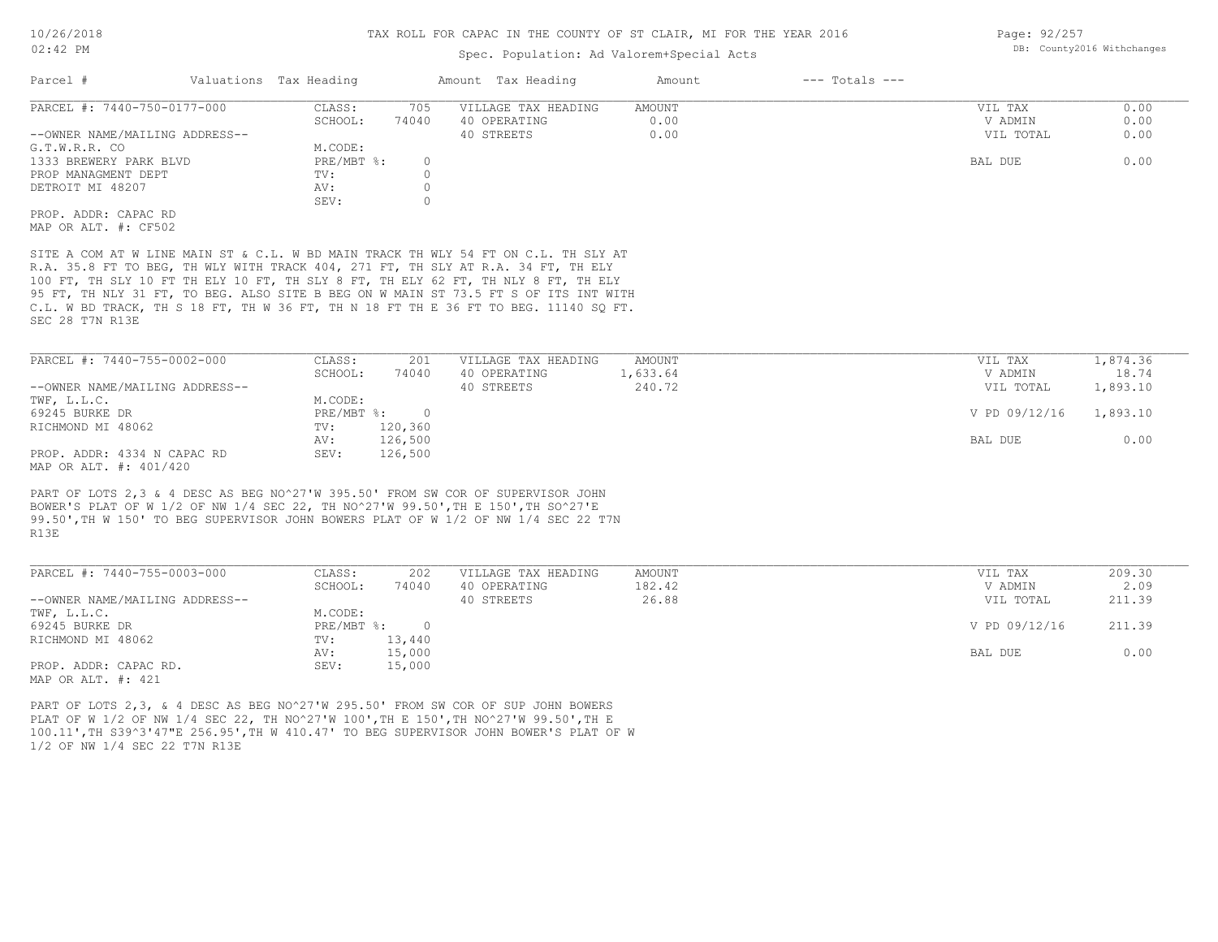### Spec. Population: Ad Valorem+Special Acts

| Parcel #                       | Valuations Tax Heading |       | Amount Tax Heading  | Amount | $---$ Totals $---$ |           |      |
|--------------------------------|------------------------|-------|---------------------|--------|--------------------|-----------|------|
| PARCEL #: 7440-750-0177-000    | CLASS:                 | 705   | VILLAGE TAX HEADING | AMOUNT |                    | VIL TAX   | 0.00 |
|                                | SCHOOL:                | 74040 | 40 OPERATING        | 0.00   |                    | V ADMIN   | 0.00 |
| --OWNER NAME/MAILING ADDRESS-- |                        |       | 40 STREETS          | 0.00   |                    | VIL TOTAL | 0.00 |
| G.T.W.R.R. CO                  | M.CODE:                |       |                     |        |                    |           |      |
| 1333 BREWERY PARK BLVD         | PRE/MBT %:             |       |                     |        |                    | BAL DUE   | 0.00 |
| PROP MANAGMENT DEPT            | TV:                    |       |                     |        |                    |           |      |
| DETROIT MI 48207               | AV:                    |       |                     |        |                    |           |      |
|                                | SEV:                   |       |                     |        |                    |           |      |
| PROP. ADDR: CAPAC RD           |                        |       |                     |        |                    |           |      |
| MAP OR ALT. #: CF502           |                        |       |                     |        |                    |           |      |

SEC 28 T7N R13E C.L. W BD TRACK, TH S 18 FT, TH W 36 FT, TH N 18 FT TH E 36 FT TO BEG. 11140 SQ FT. 95 FT, TH NLY 31 FT, TO BEG. ALSO SITE B BEG ON W MAIN ST 73.5 FT S OF ITS INT WITH 100 FT, TH SLY 10 FT TH ELY 10 FT, TH SLY 8 FT, TH ELY 62 FT, TH NLY 8 FT, TH ELY R.A. 35.8 FT TO BEG, TH WLY WITH TRACK 404, 271 FT, TH SLY AT R.A. 34 FT, TH ELY SITE A COM AT W LINE MAIN ST & C.L. W BD MAIN TRACK TH WLY 54 FT ON C.L. TH SLY AT

| PARCEL #: 7440-755-0002-000    | CLASS:       | 201     | VILLAGE TAX HEADING | AMOUNT   | VIL TAX       | 1,874.36 |
|--------------------------------|--------------|---------|---------------------|----------|---------------|----------|
|                                | SCHOOL:      | 74040   | 40 OPERATING        | 1,633.64 | V ADMIN       | 18.74    |
| --OWNER NAME/MAILING ADDRESS-- |              |         | 40 STREETS          | 240.72   | VIL TOTAL     | 1,893.10 |
| TWF, L.L.C.                    | M.CODE:      |         |                     |          |               |          |
| 69245 BURKE DR                 | $PRE/MBT$ %: |         |                     |          | V PD 09/12/16 | 1,893.10 |
| RICHMOND MI 48062              | TV:          | 120,360 |                     |          |               |          |
|                                | AV:          | 126,500 |                     |          | BAL DUE       | 0.00     |
| PROP. ADDR: 4334 N CAPAC RD    | SEV:         | 126,500 |                     |          |               |          |
| MAP OR ALT. #: 401/420         |              |         |                     |          |               |          |

R13E 99.50',TH W 150' TO BEG SUPERVISOR JOHN BOWERS PLAT OF W 1/2 OF NW 1/4 SEC 22 T7N BOWER'S PLAT OF W 1/2 OF NW 1/4 SEC 22, TH NO^27'W 99.50',TH E 150',TH SO^27'E PART OF LOTS 2,3 & 4 DESC AS BEG NO^27'W 395.50' FROM SW COR OF SUPERVISOR JOHN

| PARCEL #: 7440-755-0003-000    | CLASS:     | 202    | VILLAGE TAX HEADING | AMOUNT | VIL TAX       | 209.30 |
|--------------------------------|------------|--------|---------------------|--------|---------------|--------|
|                                | SCHOOL:    | 74040  | 40 OPERATING        | 182.42 | V ADMIN       | 2.09   |
| --OWNER NAME/MAILING ADDRESS-- |            |        | 40 STREETS          | 26.88  | VIL TOTAL     | 211.39 |
| TWF, L.L.C.                    | M.CODE:    |        |                     |        |               |        |
| 69245 BURKE DR                 | PRE/MBT %: |        |                     |        | V PD 09/12/16 | 211.39 |
| RICHMOND MI 48062              | TV:        | 13,440 |                     |        |               |        |
|                                | AV:        | 15,000 |                     |        | BAL DUE       | 0.00   |
| PROP. ADDR: CAPAC RD.          | SEV:       | 15,000 |                     |        |               |        |
| MAP OR ALT. #: 421             |            |        |                     |        |               |        |

PART OF LOTS 2,3, & 4 DESC AS BEG NO^27'W 295.50' FROM SW COR OF SUP JOHN BOWERS

1/2 OF NW 1/4 SEC 22 T7N R13E 100.11',TH S39^3'47"E 256.95',TH W 410.47' TO BEG SUPERVISOR JOHN BOWER'S PLAT OF W PLAT OF W 1/2 OF NW 1/4 SEC 22, TH NO^27'W 100',TH E 150',TH NO^27'W 99.50',TH E

Page: 92/257 DB: County2016 Withchanges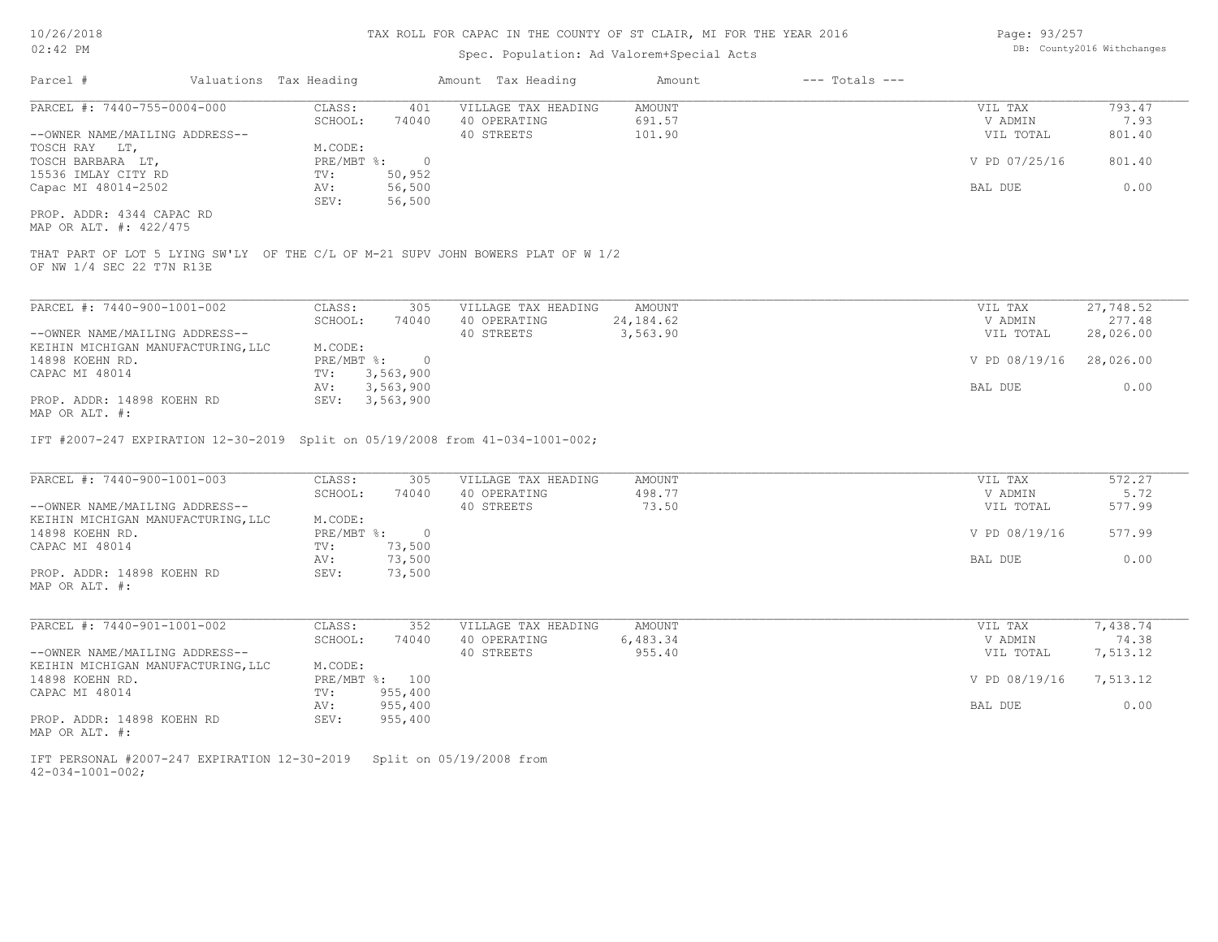## Spec. Population: Ad Valorem+Special Acts

| Page: 93/257 |                            |
|--------------|----------------------------|
|              | DB: County2016 Withchanges |

| Parcel #                                                             | Valuations Tax Heading                                                                         | Amount Tax Heading                  | Amount           | $---$ Totals $---$ |                    |                |
|----------------------------------------------------------------------|------------------------------------------------------------------------------------------------|-------------------------------------|------------------|--------------------|--------------------|----------------|
| PARCEL #: 7440-755-0004-000                                          | CLASS:<br>401<br>SCHOOL:<br>74040                                                              | VILLAGE TAX HEADING<br>40 OPERATING | AMOUNT<br>691.57 |                    | VIL TAX<br>V ADMIN | 793.47<br>7.93 |
| --OWNER NAME/MAILING ADDRESS--<br>TOSCH RAY LT,                      | M.CODE:                                                                                        | 40 STREETS                          | 101.90           |                    | VIL TOTAL          | 801.40         |
| TOSCH BARBARA LT,<br>15536 IMLAY CITY RD                             | $\overline{0}$<br>$PRE/MBT$ $\div$<br>50,952<br>TV:                                            |                                     |                  |                    | V PD 07/25/16      | 801.40         |
| Capac MI 48014-2502                                                  | 56,500<br>AV:<br>56,500<br>SEV:                                                                |                                     |                  |                    | BAL DUE            | 0.00           |
| PROP. ADDR: 4344 CAPAC RD<br>MAP OR ALT. #: 422/475                  |                                                                                                |                                     |                  |                    |                    |                |
| OF NW 1/4 SEC 22 T7N R13E                                            | THAT PART OF LOT 5 LYING SW'LY OF THE C/L OF M-21 SUPV JOHN BOWERS PLAT OF W 1/2               |                                     |                  |                    |                    |                |
| PARCEL #: 7440-900-1001-002                                          | CLASS:<br>305                                                                                  | VILLAGE TAX HEADING                 | AMOUNT           |                    | VIL TAX            | 27,748.52      |
|                                                                      | SCHOOL:<br>74040                                                                               | 40 OPERATING                        | 24, 184.62       |                    | V ADMIN            | 277.48         |
| --OWNER NAME/MAILING ADDRESS--<br>KEIHIN MICHIGAN MANUFACTURING, LLC | M.CODE:                                                                                        | 40 STREETS                          | 3,563.90         |                    | VIL TOTAL          | 28,026.00      |
| 14898 KOEHN RD.                                                      | PRE/MBT %:<br>$\overline{0}$                                                                   |                                     |                  |                    | V PD 08/19/16      | 28,026.00      |
| CAPAC MI 48014                                                       | 3,563,900<br>TV:                                                                               |                                     |                  |                    |                    |                |
| PROP. ADDR: 14898 KOEHN RD<br>MAP OR ALT. #:                         | AV:<br>3,563,900<br>SEV: 3,563,900                                                             |                                     |                  |                    | BAL DUE            | 0.00           |
| PARCEL #: 7440-900-1001-003                                          | IFT #2007-247 EXPIRATION 12-30-2019 Split on 05/19/2008 from 41-034-1001-002;<br>CLASS:<br>305 | VILLAGE TAX HEADING                 | AMOUNT           |                    | VIL TAX            | 572.27         |
|                                                                      | SCHOOL:<br>74040                                                                               | 40 OPERATING                        | 498.77           |                    | V ADMIN            | 5.72           |
| --OWNER NAME/MAILING ADDRESS--                                       |                                                                                                | 40 STREETS                          | 73.50            |                    | VIL TOTAL          | 577.99         |
| KEIHIN MICHIGAN MANUFACTURING, LLC<br>14898 KOEHN RD.                | M.CODE:<br>PRE/MBT %:<br>$\overline{0}$                                                        |                                     |                  |                    | V PD 08/19/16      | 577.99         |
| CAPAC MI 48014                                                       | 73,500<br>TV:                                                                                  |                                     |                  |                    |                    |                |
|                                                                      | 73,500<br>AV:                                                                                  |                                     |                  |                    | BAL DUE            | 0.00           |
| PROP. ADDR: 14898 KOEHN RD<br>MAP OR ALT. #:                         | SEV:<br>73,500                                                                                 |                                     |                  |                    |                    |                |
| PARCEL #: 7440-901-1001-002                                          | CLASS:<br>352                                                                                  | VILLAGE TAX HEADING                 | AMOUNT           |                    | VIL TAX            | 7,438.74       |
|                                                                      | SCHOOL:<br>74040                                                                               | 40 OPERATING                        | 6,483.34         |                    | V ADMIN            | 74.38          |
| --OWNER NAME/MAILING ADDRESS--<br>KEIHIN MICHIGAN MANUFACTURING, LLC | M.CODE:                                                                                        | 40 STREETS                          | 955.40           |                    | VIL TOTAL          | 7,513.12       |
| 14898 KOEHN RD.                                                      | PRE/MBT %: 100                                                                                 |                                     |                  |                    | V PD 08/19/16      | 7,513.12       |
| CAPAC MI 48014                                                       | 955,400<br>TV:                                                                                 |                                     |                  |                    |                    |                |
| PROP. ADDR: 14898 KOEHN RD<br>MAP OR ALT. #:                         | 955,400<br>AV:<br>SEV:<br>955,400                                                              |                                     |                  |                    | BAL DUE            | 0.00           |
| IFT PERSONAL #2007-247 EXPIRATION 12-30-2019                         |                                                                                                | Split on 05/19/2008 from            |                  |                    |                    |                |

42-034-1001-002;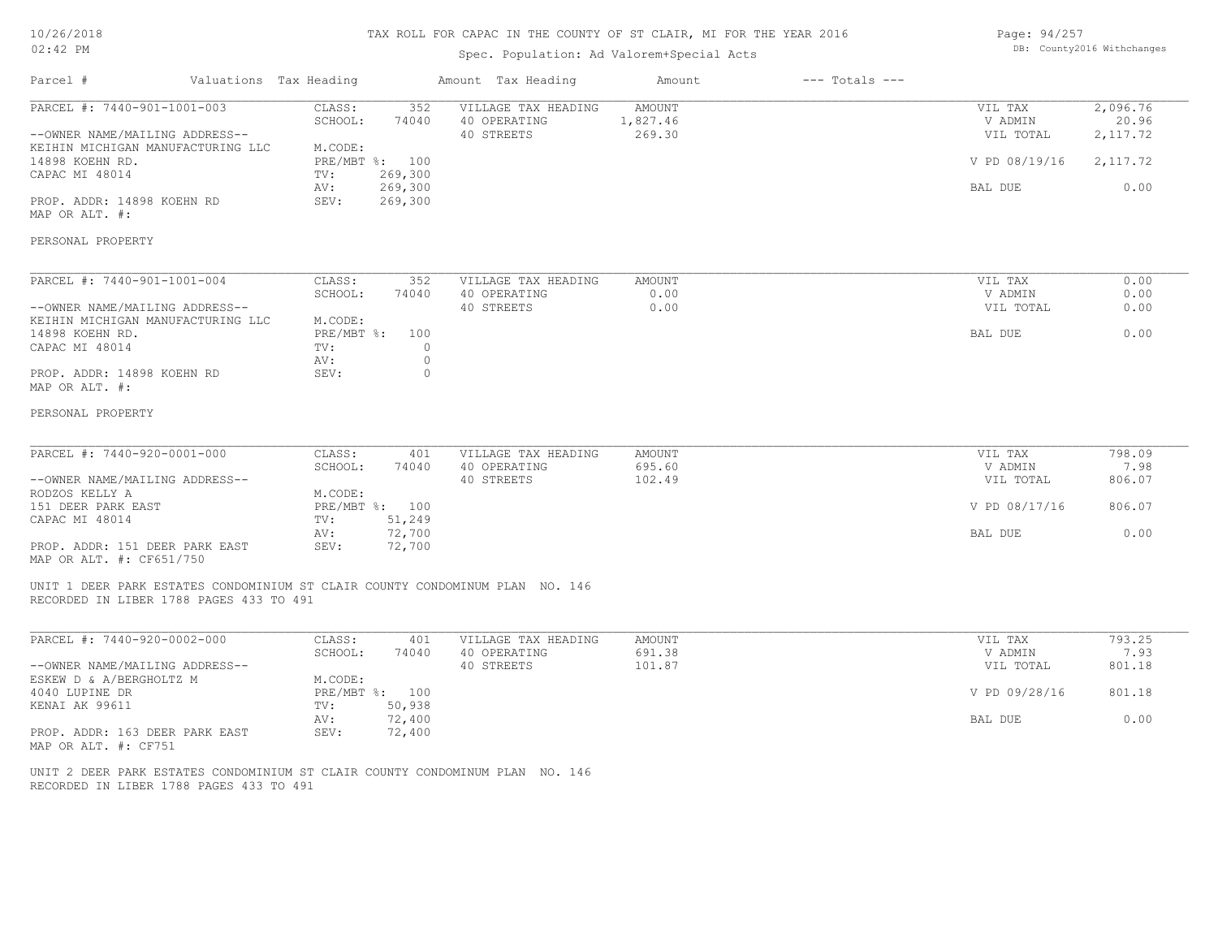### 10/26/2018 02:42 PM

### TAX ROLL FOR CAPAC IN THE COUNTY OF ST CLAIR, MI FOR THE YEAR 2016

### Spec. Population: Ad Valorem+Special Acts

| Page: 94/257 |                            |
|--------------|----------------------------|
|              | DB: County2016 Withchanges |

| PARCEL #: 7440-901-1001-003<br>2,096.76<br>CLASS:<br>352<br>VILLAGE TAX HEADING<br>AMOUNT<br>VIL TAX<br>SCHOOL:<br>74040<br>40 OPERATING<br>1,827.46<br>V ADMIN<br>--OWNER NAME/MAILING ADDRESS--<br>40 STREETS<br>269.30<br>2, 117.72<br>VIL TOTAL<br>M.CODE:<br>KEIHIN MICHIGAN MANUFACTURING LLC<br>PRE/MBT %: 100<br>2, 117.72<br>14898 KOEHN RD.<br>V PD 08/19/16<br>CAPAC MI 48014<br>269,300<br>TV:<br>269,300<br>AV:<br>BAL DUE<br>269,300<br>PROP. ADDR: 14898 KOEHN RD<br>SEV:<br>MAP OR ALT. #:<br>PERSONAL PROPERTY<br>PARCEL #: 7440-901-1001-004<br>CLASS:<br>352<br><b>AMOUNT</b><br>VIL TAX<br>VILLAGE TAX HEADING<br>SCHOOL:<br>74040<br>40 OPERATING<br>0.00<br>V ADMIN<br>--OWNER NAME/MAILING ADDRESS--<br>40 STREETS<br>0.00<br>VIL TOTAL<br>KEIHIN MICHIGAN MANUFACTURING LLC<br>M.CODE:<br>14898 KOEHN RD.<br>PRE/MBT %:<br>BAL DUE<br>100<br>CAPAC MI 48014<br>$\circ$<br>TV:<br>$\circ$<br>AV:<br>PROP. ADDR: 14898 KOEHN RD<br>SEV:<br>$\circ$<br>MAP OR ALT. #:<br>PERSONAL PROPERTY<br>PARCEL #: 7440-920-0001-000<br>CLASS:<br>401<br><b>AMOUNT</b><br>VIL TAX<br>VILLAGE TAX HEADING<br>695.60<br>SCHOOL:<br>74040<br>40 OPERATING<br>V ADMIN<br>--OWNER NAME/MAILING ADDRESS--<br>40 STREETS<br>102.49<br>VIL TOTAL |                      |
|----------------------------------------------------------------------------------------------------------------------------------------------------------------------------------------------------------------------------------------------------------------------------------------------------------------------------------------------------------------------------------------------------------------------------------------------------------------------------------------------------------------------------------------------------------------------------------------------------------------------------------------------------------------------------------------------------------------------------------------------------------------------------------------------------------------------------------------------------------------------------------------------------------------------------------------------------------------------------------------------------------------------------------------------------------------------------------------------------------------------------------------------------------------------------------------------------------------------------------------------------|----------------------|
|                                                                                                                                                                                                                                                                                                                                                                                                                                                                                                                                                                                                                                                                                                                                                                                                                                                                                                                                                                                                                                                                                                                                                                                                                                                    | 20.96<br>0.00        |
|                                                                                                                                                                                                                                                                                                                                                                                                                                                                                                                                                                                                                                                                                                                                                                                                                                                                                                                                                                                                                                                                                                                                                                                                                                                    |                      |
|                                                                                                                                                                                                                                                                                                                                                                                                                                                                                                                                                                                                                                                                                                                                                                                                                                                                                                                                                                                                                                                                                                                                                                                                                                                    | 0.00<br>0.00<br>0.00 |
|                                                                                                                                                                                                                                                                                                                                                                                                                                                                                                                                                                                                                                                                                                                                                                                                                                                                                                                                                                                                                                                                                                                                                                                                                                                    | 0.00                 |
|                                                                                                                                                                                                                                                                                                                                                                                                                                                                                                                                                                                                                                                                                                                                                                                                                                                                                                                                                                                                                                                                                                                                                                                                                                                    |                      |
|                                                                                                                                                                                                                                                                                                                                                                                                                                                                                                                                                                                                                                                                                                                                                                                                                                                                                                                                                                                                                                                                                                                                                                                                                                                    | 798.09<br>7.98       |
| M.CODE:<br>RODZOS KELLY A                                                                                                                                                                                                                                                                                                                                                                                                                                                                                                                                                                                                                                                                                                                                                                                                                                                                                                                                                                                                                                                                                                                                                                                                                          | 806.07               |
| PRE/MBT %: 100<br>806.07<br>151 DEER PARK EAST<br>V PD 08/17/16<br>51,249<br>CAPAC MI 48014<br>TV:                                                                                                                                                                                                                                                                                                                                                                                                                                                                                                                                                                                                                                                                                                                                                                                                                                                                                                                                                                                                                                                                                                                                                 |                      |
| 72,700<br>AV:<br>BAL DUE<br>72,700<br>PROP. ADDR: 151 DEER PARK EAST<br>SEV:<br>MAP OR ALT. #: CF651/750                                                                                                                                                                                                                                                                                                                                                                                                                                                                                                                                                                                                                                                                                                                                                                                                                                                                                                                                                                                                                                                                                                                                           | 0.00                 |
| UNIT 1 DEER PARK ESTATES CONDOMINIUM ST CLAIR COUNTY CONDOMINUM PLAN NO. 146<br>RECORDED IN LIBER 1788 PAGES 433 TO 491                                                                                                                                                                                                                                                                                                                                                                                                                                                                                                                                                                                                                                                                                                                                                                                                                                                                                                                                                                                                                                                                                                                            |                      |
| PARCEL #: 7440-920-0002-000<br>CLASS:<br>VILLAGE TAX HEADING<br><b>AMOUNT</b><br>VIL TAX<br>401<br>SCHOOL:<br>74040<br>40 OPERATING<br>691.38<br>V ADMIN                                                                                                                                                                                                                                                                                                                                                                                                                                                                                                                                                                                                                                                                                                                                                                                                                                                                                                                                                                                                                                                                                           | 793.25<br>7.93       |
| --OWNER NAME/MAILING ADDRESS--<br>40 STREETS<br>101.87<br>VIL TOTAL<br>ESKEW D & A/BERGHOLTZ M<br>M.CODE:                                                                                                                                                                                                                                                                                                                                                                                                                                                                                                                                                                                                                                                                                                                                                                                                                                                                                                                                                                                                                                                                                                                                          | 801.18               |
| V PD 09/28/16<br>801.18<br>4040 LUPINE DR<br>PRE/MBT %: 100<br>50,938<br>KENAI AK 99611<br>TV:                                                                                                                                                                                                                                                                                                                                                                                                                                                                                                                                                                                                                                                                                                                                                                                                                                                                                                                                                                                                                                                                                                                                                     |                      |
| 72,400<br>AV:<br>BAL DUE<br>PROP. ADDR: 163 DEER PARK EAST<br>SEV:<br>72,400<br>MAP OR ALT. #: CF751                                                                                                                                                                                                                                                                                                                                                                                                                                                                                                                                                                                                                                                                                                                                                                                                                                                                                                                                                                                                                                                                                                                                               | 0.00                 |

RECORDED IN LIBER 1788 PAGES 433 TO 491 UNIT 2 DEER PARK ESTATES CONDOMINIUM ST CLAIR COUNTY CONDOMINUM PLAN NO. 146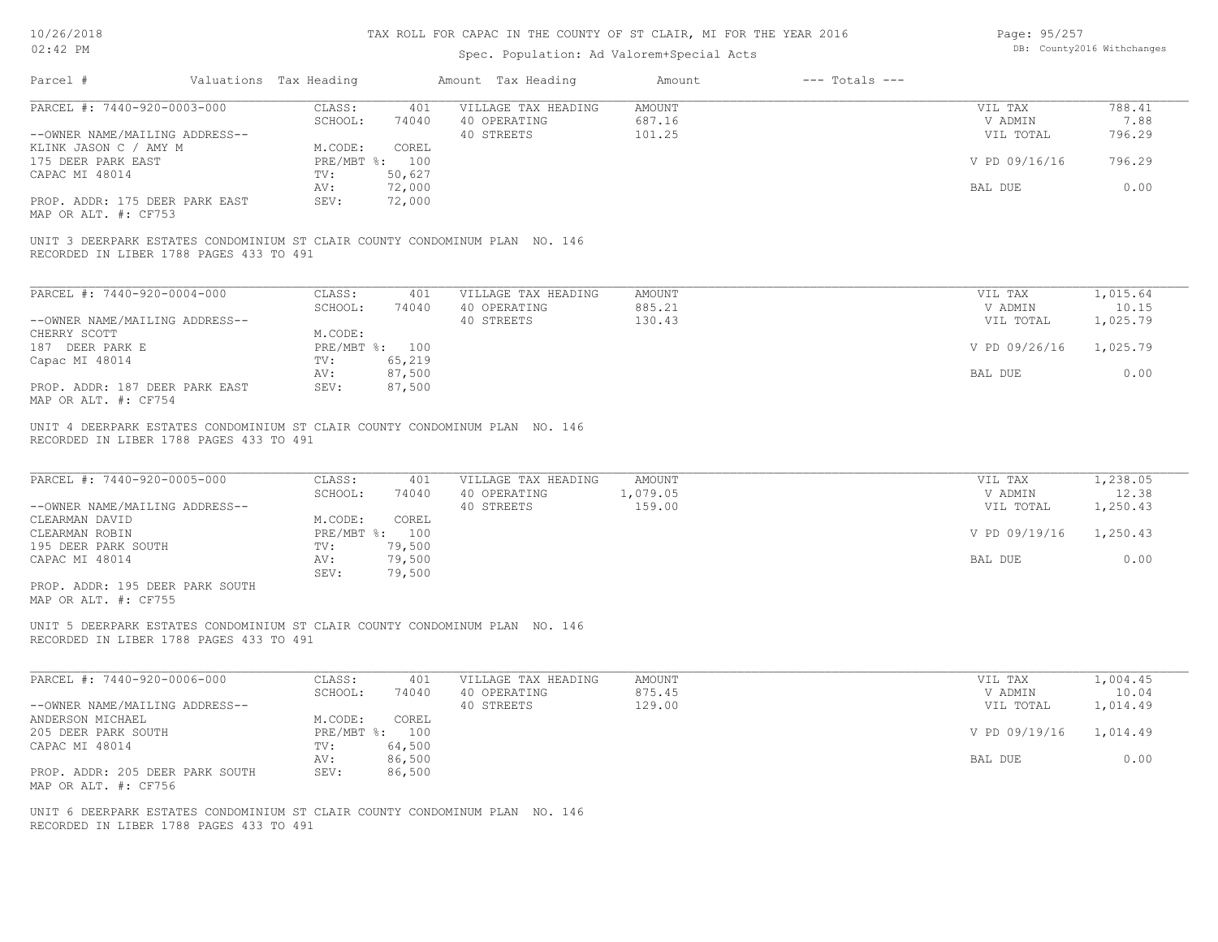| Page: 95/257 |                            |
|--------------|----------------------------|
|              | DB: County2016 Withchanges |

| PARCEL #: 7440-920-0003-000<br>CLASS:<br>401<br>VILLAGE TAX HEADING<br><b>AMOUNT</b><br>VIL TAX<br>788.41<br>SCHOOL:<br>687.16<br>7.88<br>74040<br>40 OPERATING<br>V ADMIN<br>40 STREETS<br>101.25<br>796.29<br>--OWNER NAME/MAILING ADDRESS--<br>VIL TOTAL<br>COREL<br>M.CODE:<br>796.29<br>175 DEER PARK EAST<br>PRE/MBT %: 100<br>V PD 09/16/16<br>50,627<br>TV:<br>72,000<br>0.00<br>BAL DUE<br>AV:<br>72,000<br>PROP. ADDR: 175 DEER PARK EAST<br>SEV:<br>MAP OR ALT. #: CF753<br>UNIT 3 DEERPARK ESTATES CONDOMINIUM ST CLAIR COUNTY CONDOMINUM PLAN NO. 146<br>RECORDED IN LIBER 1788 PAGES 433 TO 491<br>PARCEL #: 7440-920-0004-000<br>CLASS:<br><b>AMOUNT</b><br>VIL TAX<br>1,015.64<br>401<br>VILLAGE TAX HEADING<br>SCHOOL:<br>74040<br>40 OPERATING<br>885.21<br>V ADMIN<br>10.15<br>40 STREETS<br>130.43<br>1,025.79<br>--OWNER NAME/MAILING ADDRESS--<br>VIL TOTAL<br>M.CODE:<br>PRE/MBT %: 100<br>V PD 09/26/16<br>1,025.79<br>TV:<br>65,219<br>87,500<br>0.00<br>BAL DUE<br>AV:<br>PROP. ADDR: 187 DEER PARK EAST<br>87,500<br>SEV:<br>UNIT 4 DEERPARK ESTATES CONDOMINIUM ST CLAIR COUNTY CONDOMINUM PLAN NO. 146<br>RECORDED IN LIBER 1788 PAGES 433 TO 491<br>PARCEL #: 7440-920-0005-000<br>1,238.05<br>CLASS:<br>VILLAGE TAX HEADING<br><b>AMOUNT</b><br>VIL TAX<br>401<br>SCHOOL:<br>40 OPERATING<br>1,079.05<br>V ADMIN<br>12.38<br>74040<br>159.00<br>--OWNER NAME/MAILING ADDRESS--<br>40 STREETS<br>VIL TOTAL<br>1,250.43<br>M.CODE:<br>COREL<br>PRE/MBT %: 100<br>V PD 09/19/16<br>1,250.43<br>79,500<br>TV:<br>0.00<br>AV:<br>79,500<br>BAL DUE<br>SEV:<br>79,500<br>PROP. ADDR: 195 DEER PARK SOUTH<br>UNIT 5 DEERPARK ESTATES CONDOMINIUM ST CLAIR COUNTY CONDOMINUM PLAN NO. 146<br>RECORDED IN LIBER 1788 PAGES 433 TO 491<br>PARCEL #: 7440-920-0006-000<br>CLASS:<br>401<br>VILLAGE TAX HEADING<br><b>AMOUNT</b><br>VIL TAX<br>1,004.45<br>SCHOOL:<br>875.45<br>74040<br>40 OPERATING<br>10.04<br>V ADMIN<br>40 STREETS<br>129.00<br>--OWNER NAME/MAILING ADDRESS--<br>VIL TOTAL<br>1,014.49<br>COREL<br>M.CODE:<br>PRE/MBT %: 100<br>V PD 09/19/16<br>1,014.49<br>64,500<br>TV:<br>86,500<br>0.00<br>AV:<br>BAL DUE<br>PROP. ADDR: 205 DEER PARK SOUTH<br>86,500<br>SEV:<br>UNIT 6 DEERPARK ESTATES CONDOMINIUM ST CLAIR COUNTY CONDOMINUM PLAN NO. 146<br>RECORDED IN LIBER 1788 PAGES 433 TO 491 | Parcel #                                | Valuations Tax Heading | Amount Tax Heading | Amount | $---$ Totals $---$ |  |  |
|----------------------------------------------------------------------------------------------------------------------------------------------------------------------------------------------------------------------------------------------------------------------------------------------------------------------------------------------------------------------------------------------------------------------------------------------------------------------------------------------------------------------------------------------------------------------------------------------------------------------------------------------------------------------------------------------------------------------------------------------------------------------------------------------------------------------------------------------------------------------------------------------------------------------------------------------------------------------------------------------------------------------------------------------------------------------------------------------------------------------------------------------------------------------------------------------------------------------------------------------------------------------------------------------------------------------------------------------------------------------------------------------------------------------------------------------------------------------------------------------------------------------------------------------------------------------------------------------------------------------------------------------------------------------------------------------------------------------------------------------------------------------------------------------------------------------------------------------------------------------------------------------------------------------------------------------------------------------------------------------------------------------------------------------------------------------------------------------------------------------------------------------------------------------------------------------------------------------------------------------------------------------------------------------------------------------------------------|-----------------------------------------|------------------------|--------------------|--------|--------------------|--|--|
|                                                                                                                                                                                                                                                                                                                                                                                                                                                                                                                                                                                                                                                                                                                                                                                                                                                                                                                                                                                                                                                                                                                                                                                                                                                                                                                                                                                                                                                                                                                                                                                                                                                                                                                                                                                                                                                                                                                                                                                                                                                                                                                                                                                                                                                                                                                                        |                                         |                        |                    |        |                    |  |  |
|                                                                                                                                                                                                                                                                                                                                                                                                                                                                                                                                                                                                                                                                                                                                                                                                                                                                                                                                                                                                                                                                                                                                                                                                                                                                                                                                                                                                                                                                                                                                                                                                                                                                                                                                                                                                                                                                                                                                                                                                                                                                                                                                                                                                                                                                                                                                        | KLINK JASON C / AMY M                   |                        |                    |        |                    |  |  |
|                                                                                                                                                                                                                                                                                                                                                                                                                                                                                                                                                                                                                                                                                                                                                                                                                                                                                                                                                                                                                                                                                                                                                                                                                                                                                                                                                                                                                                                                                                                                                                                                                                                                                                                                                                                                                                                                                                                                                                                                                                                                                                                                                                                                                                                                                                                                        | CAPAC MI 48014                          |                        |                    |        |                    |  |  |
|                                                                                                                                                                                                                                                                                                                                                                                                                                                                                                                                                                                                                                                                                                                                                                                                                                                                                                                                                                                                                                                                                                                                                                                                                                                                                                                                                                                                                                                                                                                                                                                                                                                                                                                                                                                                                                                                                                                                                                                                                                                                                                                                                                                                                                                                                                                                        |                                         |                        |                    |        |                    |  |  |
|                                                                                                                                                                                                                                                                                                                                                                                                                                                                                                                                                                                                                                                                                                                                                                                                                                                                                                                                                                                                                                                                                                                                                                                                                                                                                                                                                                                                                                                                                                                                                                                                                                                                                                                                                                                                                                                                                                                                                                                                                                                                                                                                                                                                                                                                                                                                        |                                         |                        |                    |        |                    |  |  |
|                                                                                                                                                                                                                                                                                                                                                                                                                                                                                                                                                                                                                                                                                                                                                                                                                                                                                                                                                                                                                                                                                                                                                                                                                                                                                                                                                                                                                                                                                                                                                                                                                                                                                                                                                                                                                                                                                                                                                                                                                                                                                                                                                                                                                                                                                                                                        |                                         |                        |                    |        |                    |  |  |
|                                                                                                                                                                                                                                                                                                                                                                                                                                                                                                                                                                                                                                                                                                                                                                                                                                                                                                                                                                                                                                                                                                                                                                                                                                                                                                                                                                                                                                                                                                                                                                                                                                                                                                                                                                                                                                                                                                                                                                                                                                                                                                                                                                                                                                                                                                                                        |                                         |                        |                    |        |                    |  |  |
|                                                                                                                                                                                                                                                                                                                                                                                                                                                                                                                                                                                                                                                                                                                                                                                                                                                                                                                                                                                                                                                                                                                                                                                                                                                                                                                                                                                                                                                                                                                                                                                                                                                                                                                                                                                                                                                                                                                                                                                                                                                                                                                                                                                                                                                                                                                                        |                                         |                        |                    |        |                    |  |  |
|                                                                                                                                                                                                                                                                                                                                                                                                                                                                                                                                                                                                                                                                                                                                                                                                                                                                                                                                                                                                                                                                                                                                                                                                                                                                                                                                                                                                                                                                                                                                                                                                                                                                                                                                                                                                                                                                                                                                                                                                                                                                                                                                                                                                                                                                                                                                        | CHERRY SCOTT<br>187 DEER PARK E         |                        |                    |        |                    |  |  |
|                                                                                                                                                                                                                                                                                                                                                                                                                                                                                                                                                                                                                                                                                                                                                                                                                                                                                                                                                                                                                                                                                                                                                                                                                                                                                                                                                                                                                                                                                                                                                                                                                                                                                                                                                                                                                                                                                                                                                                                                                                                                                                                                                                                                                                                                                                                                        | Capac MI 48014                          |                        |                    |        |                    |  |  |
|                                                                                                                                                                                                                                                                                                                                                                                                                                                                                                                                                                                                                                                                                                                                                                                                                                                                                                                                                                                                                                                                                                                                                                                                                                                                                                                                                                                                                                                                                                                                                                                                                                                                                                                                                                                                                                                                                                                                                                                                                                                                                                                                                                                                                                                                                                                                        | MAP OR ALT. #: CF754                    |                        |                    |        |                    |  |  |
|                                                                                                                                                                                                                                                                                                                                                                                                                                                                                                                                                                                                                                                                                                                                                                                                                                                                                                                                                                                                                                                                                                                                                                                                                                                                                                                                                                                                                                                                                                                                                                                                                                                                                                                                                                                                                                                                                                                                                                                                                                                                                                                                                                                                                                                                                                                                        |                                         |                        |                    |        |                    |  |  |
|                                                                                                                                                                                                                                                                                                                                                                                                                                                                                                                                                                                                                                                                                                                                                                                                                                                                                                                                                                                                                                                                                                                                                                                                                                                                                                                                                                                                                                                                                                                                                                                                                                                                                                                                                                                                                                                                                                                                                                                                                                                                                                                                                                                                                                                                                                                                        |                                         |                        |                    |        |                    |  |  |
|                                                                                                                                                                                                                                                                                                                                                                                                                                                                                                                                                                                                                                                                                                                                                                                                                                                                                                                                                                                                                                                                                                                                                                                                                                                                                                                                                                                                                                                                                                                                                                                                                                                                                                                                                                                                                                                                                                                                                                                                                                                                                                                                                                                                                                                                                                                                        | CLEARMAN DAVID                          |                        |                    |        |                    |  |  |
|                                                                                                                                                                                                                                                                                                                                                                                                                                                                                                                                                                                                                                                                                                                                                                                                                                                                                                                                                                                                                                                                                                                                                                                                                                                                                                                                                                                                                                                                                                                                                                                                                                                                                                                                                                                                                                                                                                                                                                                                                                                                                                                                                                                                                                                                                                                                        | CLEARMAN ROBIN<br>195 DEER PARK SOUTH   |                        |                    |        |                    |  |  |
|                                                                                                                                                                                                                                                                                                                                                                                                                                                                                                                                                                                                                                                                                                                                                                                                                                                                                                                                                                                                                                                                                                                                                                                                                                                                                                                                                                                                                                                                                                                                                                                                                                                                                                                                                                                                                                                                                                                                                                                                                                                                                                                                                                                                                                                                                                                                        | CAPAC MI 48014                          |                        |                    |        |                    |  |  |
|                                                                                                                                                                                                                                                                                                                                                                                                                                                                                                                                                                                                                                                                                                                                                                                                                                                                                                                                                                                                                                                                                                                                                                                                                                                                                                                                                                                                                                                                                                                                                                                                                                                                                                                                                                                                                                                                                                                                                                                                                                                                                                                                                                                                                                                                                                                                        | MAP OR ALT. #: CF755                    |                        |                    |        |                    |  |  |
|                                                                                                                                                                                                                                                                                                                                                                                                                                                                                                                                                                                                                                                                                                                                                                                                                                                                                                                                                                                                                                                                                                                                                                                                                                                                                                                                                                                                                                                                                                                                                                                                                                                                                                                                                                                                                                                                                                                                                                                                                                                                                                                                                                                                                                                                                                                                        |                                         |                        |                    |        |                    |  |  |
|                                                                                                                                                                                                                                                                                                                                                                                                                                                                                                                                                                                                                                                                                                                                                                                                                                                                                                                                                                                                                                                                                                                                                                                                                                                                                                                                                                                                                                                                                                                                                                                                                                                                                                                                                                                                                                                                                                                                                                                                                                                                                                                                                                                                                                                                                                                                        |                                         |                        |                    |        |                    |  |  |
|                                                                                                                                                                                                                                                                                                                                                                                                                                                                                                                                                                                                                                                                                                                                                                                                                                                                                                                                                                                                                                                                                                                                                                                                                                                                                                                                                                                                                                                                                                                                                                                                                                                                                                                                                                                                                                                                                                                                                                                                                                                                                                                                                                                                                                                                                                                                        |                                         |                        |                    |        |                    |  |  |
|                                                                                                                                                                                                                                                                                                                                                                                                                                                                                                                                                                                                                                                                                                                                                                                                                                                                                                                                                                                                                                                                                                                                                                                                                                                                                                                                                                                                                                                                                                                                                                                                                                                                                                                                                                                                                                                                                                                                                                                                                                                                                                                                                                                                                                                                                                                                        | ANDERSON MICHAEL<br>205 DEER PARK SOUTH |                        |                    |        |                    |  |  |
|                                                                                                                                                                                                                                                                                                                                                                                                                                                                                                                                                                                                                                                                                                                                                                                                                                                                                                                                                                                                                                                                                                                                                                                                                                                                                                                                                                                                                                                                                                                                                                                                                                                                                                                                                                                                                                                                                                                                                                                                                                                                                                                                                                                                                                                                                                                                        | CAPAC MI 48014                          |                        |                    |        |                    |  |  |
|                                                                                                                                                                                                                                                                                                                                                                                                                                                                                                                                                                                                                                                                                                                                                                                                                                                                                                                                                                                                                                                                                                                                                                                                                                                                                                                                                                                                                                                                                                                                                                                                                                                                                                                                                                                                                                                                                                                                                                                                                                                                                                                                                                                                                                                                                                                                        | MAP OR ALT. #: CF756                    |                        |                    |        |                    |  |  |
|                                                                                                                                                                                                                                                                                                                                                                                                                                                                                                                                                                                                                                                                                                                                                                                                                                                                                                                                                                                                                                                                                                                                                                                                                                                                                                                                                                                                                                                                                                                                                                                                                                                                                                                                                                                                                                                                                                                                                                                                                                                                                                                                                                                                                                                                                                                                        |                                         |                        |                    |        |                    |  |  |
|                                                                                                                                                                                                                                                                                                                                                                                                                                                                                                                                                                                                                                                                                                                                                                                                                                                                                                                                                                                                                                                                                                                                                                                                                                                                                                                                                                                                                                                                                                                                                                                                                                                                                                                                                                                                                                                                                                                                                                                                                                                                                                                                                                                                                                                                                                                                        |                                         |                        |                    |        |                    |  |  |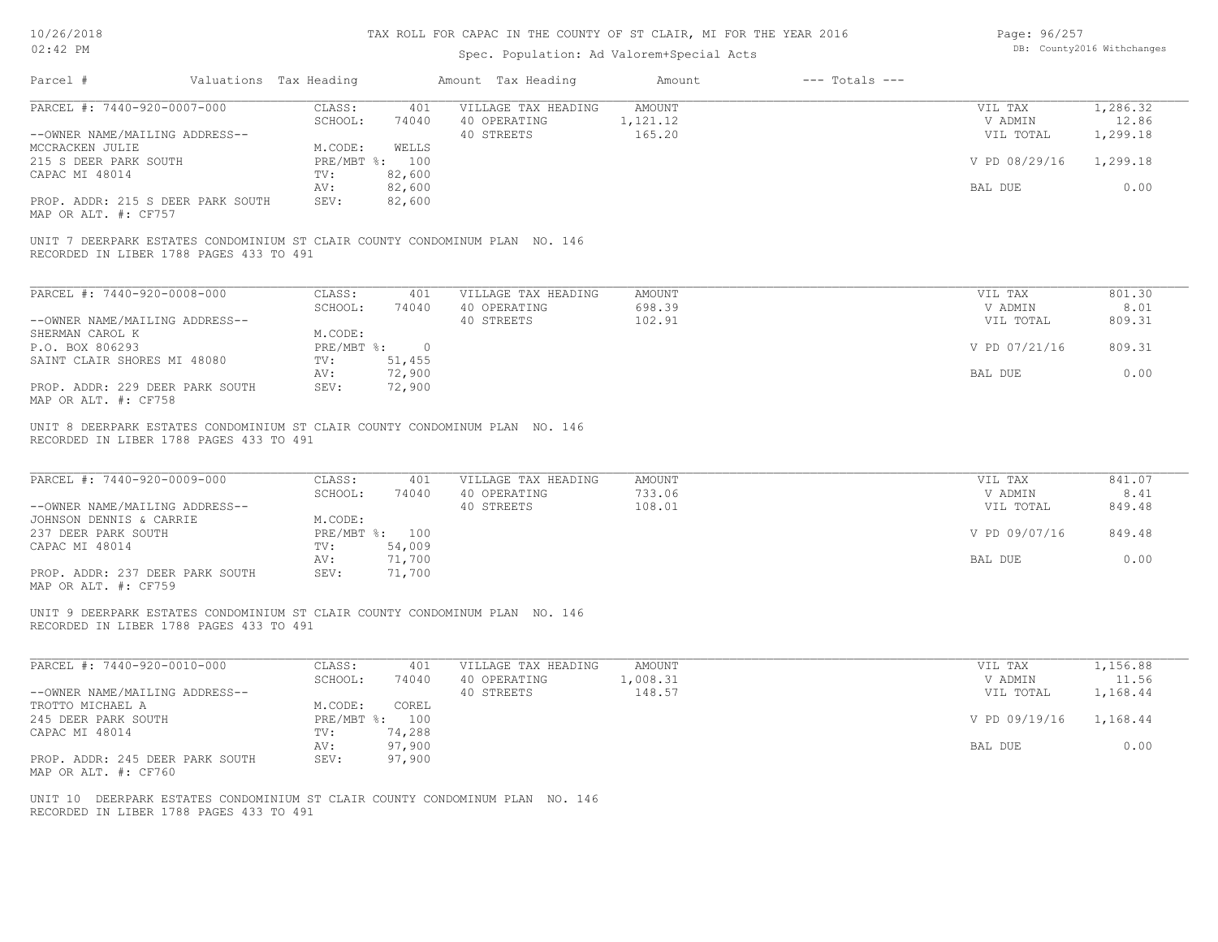| Page: 96/257 |                            |
|--------------|----------------------------|
|              | DB: County2016 Withchanges |

| Parcel #                                                                                                                | Valuations Tax Heading |                          | Amount Tax Heading                                | Amount                            | $---$ Totals $---$ |                                 |                               |
|-------------------------------------------------------------------------------------------------------------------------|------------------------|--------------------------|---------------------------------------------------|-----------------------------------|--------------------|---------------------------------|-------------------------------|
| PARCEL #: 7440-920-0007-000                                                                                             | CLASS:<br>SCHOOL:      | 401<br>74040             | VILLAGE TAX HEADING<br>40 OPERATING               | AMOUNT<br>1,121.12<br>165.20      |                    | VIL TAX<br>V ADMIN              | 1,286.32<br>12.86<br>1,299.18 |
| --OWNER NAME/MAILING ADDRESS--<br>MCCRACKEN JULIE                                                                       | M.CODE:                | WELLS                    | 40 STREETS                                        |                                   |                    | VIL TOTAL                       |                               |
| 215 S DEER PARK SOUTH<br>CAPAC MI 48014                                                                                 | TV:                    | PRE/MBT %: 100<br>82,600 |                                                   |                                   |                    | V PD 08/29/16                   | 1,299.18                      |
| PROP. ADDR: 215 S DEER PARK SOUTH<br>MAP OR ALT. #: CF757                                                               | AV:<br>SEV:            | 82,600<br>82,600         |                                                   |                                   |                    | BAL DUE                         | 0.00                          |
| UNIT 7 DEERPARK ESTATES CONDOMINIUM ST CLAIR COUNTY CONDOMINUM PLAN NO. 146<br>RECORDED IN LIBER 1788 PAGES 433 TO 491  |                        |                          |                                                   |                                   |                    |                                 |                               |
| PARCEL #: 7440-920-0008-000                                                                                             | CLASS:                 | 401                      | VILLAGE TAX HEADING                               | <b>AMOUNT</b>                     |                    | VIL TAX                         | 801.30                        |
| --OWNER NAME/MAILING ADDRESS--                                                                                          | SCHOOL:                | 74040                    | 40 OPERATING<br>40 STREETS                        | 698.39<br>102.91                  |                    | V ADMIN<br>VIL TOTAL            | 8.01<br>809.31                |
| SHERMAN CAROL K                                                                                                         | M.CODE:                |                          |                                                   |                                   |                    |                                 |                               |
| P.O. BOX 806293<br>SAINT CLAIR SHORES MI 48080                                                                          | PRE/MBT %:<br>TV:      | $\overline{0}$<br>51,455 |                                                   |                                   |                    | V PD 07/21/16                   | 809.31                        |
| PROP. ADDR: 229 DEER PARK SOUTH<br>MAP OR ALT. #: CF758                                                                 | AV:<br>SEV:            | 72,900<br>72,900         |                                                   |                                   |                    | BAL DUE                         | 0.00                          |
| RECORDED IN LIBER 1788 PAGES 433 TO 491<br>PARCEL #: 7440-920-0009-000<br>--OWNER NAME/MAILING ADDRESS--                | CLASS:<br>SCHOOL:      | 401<br>74040             | VILLAGE TAX HEADING<br>40 OPERATING<br>40 STREETS | <b>AMOUNT</b><br>733.06<br>108.01 |                    | VIL TAX<br>V ADMIN<br>VIL TOTAL | 841.07<br>8.41<br>849.48      |
| JOHNSON DENNIS & CARRIE<br>237 DEER PARK SOUTH                                                                          | M.CODE:                | PRE/MBT %: 100           |                                                   |                                   |                    | V PD 09/07/16                   | 849.48                        |
| CAPAC MI 48014                                                                                                          | TV:<br>AV:             | 54,009<br>71,700         |                                                   |                                   |                    | BAL DUE                         | 0.00                          |
| PROP. ADDR: 237 DEER PARK SOUTH<br>MAP OR ALT. #: CF759                                                                 | SEV:                   | 71,700                   |                                                   |                                   |                    |                                 |                               |
| UNIT 9 DEERPARK ESTATES CONDOMINIUM ST CLAIR COUNTY CONDOMINUM PLAN NO. 146<br>RECORDED IN LIBER 1788 PAGES 433 TO 491  |                        |                          |                                                   |                                   |                    |                                 |                               |
| PARCEL #: 7440-920-0010-000                                                                                             | CLASS:                 | 401                      | VILLAGE TAX HEADING                               | AMOUNT                            |                    | VIL TAX                         | 1,156.88                      |
| --OWNER NAME/MAILING ADDRESS--                                                                                          | SCHOOL:                | 74040                    | 40 OPERATING<br>40 STREETS                        | 1,008.31<br>148.57                |                    | V ADMIN<br>VIL TOTAL            | 11.56<br>1,168.44             |
| TROTTO MICHAEL A<br>245 DEER PARK SOUTH                                                                                 | M.CODE:                | COREL<br>PRE/MBT %: 100  |                                                   |                                   |                    | V PD 09/19/16                   | 1,168.44                      |
| CAPAC MI 48014                                                                                                          | TV:<br>AV:             | 74,288<br>97,900         |                                                   |                                   |                    | BAL DUE                         | 0.00                          |
| PROP. ADDR: 245 DEER PARK SOUTH<br>MAP OR ALT. #: CF760                                                                 | SEV:                   | 97,900                   |                                                   |                                   |                    |                                 |                               |
| UNIT 10 DEERPARK ESTATES CONDOMINIUM ST CLAIR COUNTY CONDOMINUM PLAN NO. 146<br>RECORDED IN LIBER 1788 PAGES 433 TO 491 |                        |                          |                                                   |                                   |                    |                                 |                               |
|                                                                                                                         |                        |                          |                                                   |                                   |                    |                                 |                               |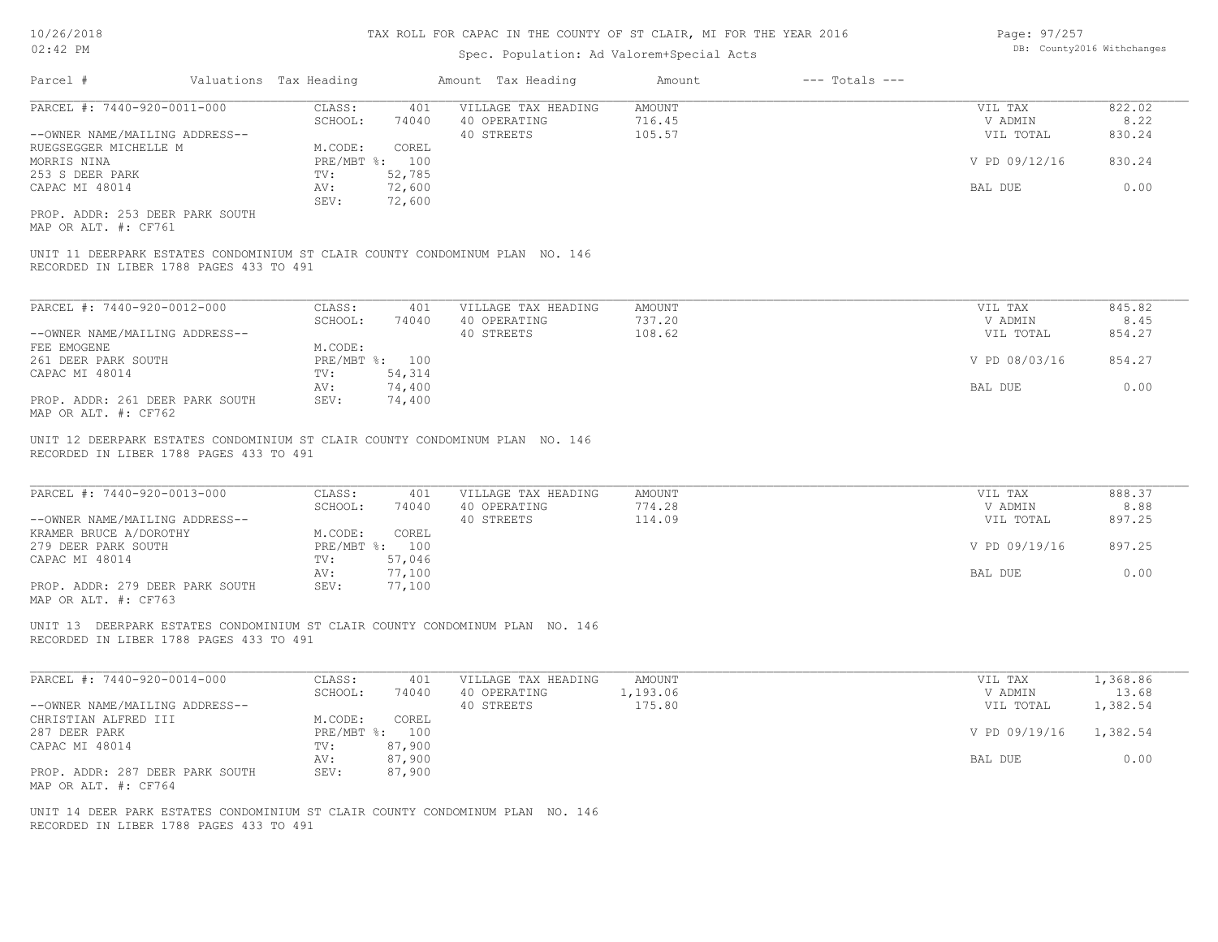| Page: 97/257 |                            |
|--------------|----------------------------|
|              | DB: County2016 Withchanges |

| PARCEL #: 7440-920-0011-000<br>CLASS:<br>401<br>VILLAGE TAX HEADING<br>AMOUNT<br>VIL TAX<br>SCHOOL:<br>74040<br>40 OPERATING<br>716.45<br>V ADMIN<br>--OWNER NAME/MAILING ADDRESS--<br>40 STREETS<br>105.57<br>VIL TOTAL<br>RUEGSEGGER MICHELLE M<br>M.CODE:<br>COREL<br>V PD 09/12/16<br>830.24<br>MORRIS NINA<br>PRE/MBT %: 100<br>253 S DEER PARK<br>TV:<br>52,785<br>72,600<br>0.00<br>CAPAC MI 48014<br>BAL DUE<br>AV:<br>72,600<br>SEV:<br>PROP. ADDR: 253 DEER PARK SOUTH<br>MAP OR ALT. #: CF761<br>UNIT 11 DEERPARK ESTATES CONDOMINIUM ST CLAIR COUNTY CONDOMINUM PLAN NO. 146<br>RECORDED IN LIBER 1788 PAGES 433 TO 491<br>PARCEL #: 7440-920-0012-000<br>CLASS:<br>401<br>VILLAGE TAX HEADING<br><b>AMOUNT</b><br>VIL TAX<br>40 OPERATING<br>737.20<br>SCHOOL:<br>74040<br>V ADMIN<br>40 STREETS<br>--OWNER NAME/MAILING ADDRESS--<br>108.62<br>VIL TOTAL<br>M.CODE:<br>FEE EMOGENE<br>PRE/MBT %: 100<br>854.27<br>261 DEER PARK SOUTH<br>V PD 08/03/16<br>CAPAC MI 48014<br>54,314<br>TV:<br>74,400<br>0.00<br>AV:<br>BAL DUE<br>PROP. ADDR: 261 DEER PARK SOUTH<br>SEV:<br>74,400<br>MAP OR ALT. #: CF762<br>UNIT 12 DEERPARK ESTATES CONDOMINIUM ST CLAIR COUNTY CONDOMINUM PLAN NO. 146<br>RECORDED IN LIBER 1788 PAGES 433 TO 491<br>PARCEL #: 7440-920-0013-000<br>CLASS:<br>401<br>VILLAGE TAX HEADING<br>AMOUNT<br>VIL TAX<br>40 OPERATING<br>774.28<br>SCHOOL:<br>74040<br>V ADMIN<br>40 STREETS<br>114.09<br>897.25<br>--OWNER NAME/MAILING ADDRESS--<br>VIL TOTAL<br>KRAMER BRUCE A/DOROTHY<br>COREL<br>M.CODE:<br>PRE/MBT %: 100<br>V PD 09/19/16<br>897.25<br>279 DEER PARK SOUTH<br>CAPAC MI 48014<br>57,046<br>TV:<br>77,100<br>BAL DUE<br>AV:<br>PROP. ADDR: 279 DEER PARK SOUTH<br>SEV:<br>77,100<br>MAP OR ALT. #: CF763<br>UNIT 13 DEERPARK ESTATES CONDOMINIUM ST CLAIR COUNTY CONDOMINUM PLAN NO. 146<br>RECORDED IN LIBER 1788 PAGES 433 TO 491<br>PARCEL #: 7440-920-0014-000<br>CLASS:<br>AMOUNT<br>401<br>VILLAGE TAX HEADING<br>VIL TAX<br>SCHOOL:<br>74040<br>40 OPERATING<br>1,193.06<br>V ADMIN<br>1,382.54<br>--OWNER NAME/MAILING ADDRESS--<br>40 STREETS<br>175.80<br>VIL TOTAL<br>CHRISTIAN ALFRED III<br>M.CODE:<br>COREL<br>287 DEER PARK<br>PRE/MBT %: 100<br>V PD 09/19/16<br>1,382.54<br>CAPAC MI 48014<br>TV:<br>87,900<br>87,900<br>BAL DUE<br>AV:<br>PROP. ADDR: 287 DEER PARK SOUTH<br>SEV:<br>87,900<br>MAP OR ALT. #: CF764<br>UNIT 14 DEER PARK ESTATES CONDOMINIUM ST CLAIR COUNTY CONDOMINUM PLAN NO. 146<br>RECORDED IN LIBER 1788 PAGES 433 TO 491 | Parcel # | Valuations Tax Heading | Amount Tax Heading | Amount | $---$ Totals $---$ |                |
|------------------------------------------------------------------------------------------------------------------------------------------------------------------------------------------------------------------------------------------------------------------------------------------------------------------------------------------------------------------------------------------------------------------------------------------------------------------------------------------------------------------------------------------------------------------------------------------------------------------------------------------------------------------------------------------------------------------------------------------------------------------------------------------------------------------------------------------------------------------------------------------------------------------------------------------------------------------------------------------------------------------------------------------------------------------------------------------------------------------------------------------------------------------------------------------------------------------------------------------------------------------------------------------------------------------------------------------------------------------------------------------------------------------------------------------------------------------------------------------------------------------------------------------------------------------------------------------------------------------------------------------------------------------------------------------------------------------------------------------------------------------------------------------------------------------------------------------------------------------------------------------------------------------------------------------------------------------------------------------------------------------------------------------------------------------------------------------------------------------------------------------------------------------------------------------------------------------------------------------------------------------------------------------------------------------------------------------------------------------------------------------------------------------------------------------------------------------------------------------------------------------|----------|------------------------|--------------------|--------|--------------------|----------------|
|                                                                                                                                                                                                                                                                                                                                                                                                                                                                                                                                                                                                                                                                                                                                                                                                                                                                                                                                                                                                                                                                                                                                                                                                                                                                                                                                                                                                                                                                                                                                                                                                                                                                                                                                                                                                                                                                                                                                                                                                                                                                                                                                                                                                                                                                                                                                                                                                                                                                                                                  |          |                        |                    |        |                    | 822.02<br>8.22 |
|                                                                                                                                                                                                                                                                                                                                                                                                                                                                                                                                                                                                                                                                                                                                                                                                                                                                                                                                                                                                                                                                                                                                                                                                                                                                                                                                                                                                                                                                                                                                                                                                                                                                                                                                                                                                                                                                                                                                                                                                                                                                                                                                                                                                                                                                                                                                                                                                                                                                                                                  |          |                        |                    |        |                    | 830.24         |
|                                                                                                                                                                                                                                                                                                                                                                                                                                                                                                                                                                                                                                                                                                                                                                                                                                                                                                                                                                                                                                                                                                                                                                                                                                                                                                                                                                                                                                                                                                                                                                                                                                                                                                                                                                                                                                                                                                                                                                                                                                                                                                                                                                                                                                                                                                                                                                                                                                                                                                                  |          |                        |                    |        |                    |                |
|                                                                                                                                                                                                                                                                                                                                                                                                                                                                                                                                                                                                                                                                                                                                                                                                                                                                                                                                                                                                                                                                                                                                                                                                                                                                                                                                                                                                                                                                                                                                                                                                                                                                                                                                                                                                                                                                                                                                                                                                                                                                                                                                                                                                                                                                                                                                                                                                                                                                                                                  |          |                        |                    |        |                    |                |
|                                                                                                                                                                                                                                                                                                                                                                                                                                                                                                                                                                                                                                                                                                                                                                                                                                                                                                                                                                                                                                                                                                                                                                                                                                                                                                                                                                                                                                                                                                                                                                                                                                                                                                                                                                                                                                                                                                                                                                                                                                                                                                                                                                                                                                                                                                                                                                                                                                                                                                                  |          |                        |                    |        |                    |                |
|                                                                                                                                                                                                                                                                                                                                                                                                                                                                                                                                                                                                                                                                                                                                                                                                                                                                                                                                                                                                                                                                                                                                                                                                                                                                                                                                                                                                                                                                                                                                                                                                                                                                                                                                                                                                                                                                                                                                                                                                                                                                                                                                                                                                                                                                                                                                                                                                                                                                                                                  |          |                        |                    |        |                    |                |
|                                                                                                                                                                                                                                                                                                                                                                                                                                                                                                                                                                                                                                                                                                                                                                                                                                                                                                                                                                                                                                                                                                                                                                                                                                                                                                                                                                                                                                                                                                                                                                                                                                                                                                                                                                                                                                                                                                                                                                                                                                                                                                                                                                                                                                                                                                                                                                                                                                                                                                                  |          |                        |                    |        |                    |                |
|                                                                                                                                                                                                                                                                                                                                                                                                                                                                                                                                                                                                                                                                                                                                                                                                                                                                                                                                                                                                                                                                                                                                                                                                                                                                                                                                                                                                                                                                                                                                                                                                                                                                                                                                                                                                                                                                                                                                                                                                                                                                                                                                                                                                                                                                                                                                                                                                                                                                                                                  |          |                        |                    |        |                    |                |
|                                                                                                                                                                                                                                                                                                                                                                                                                                                                                                                                                                                                                                                                                                                                                                                                                                                                                                                                                                                                                                                                                                                                                                                                                                                                                                                                                                                                                                                                                                                                                                                                                                                                                                                                                                                                                                                                                                                                                                                                                                                                                                                                                                                                                                                                                                                                                                                                                                                                                                                  |          |                        |                    |        |                    | 845.82         |
|                                                                                                                                                                                                                                                                                                                                                                                                                                                                                                                                                                                                                                                                                                                                                                                                                                                                                                                                                                                                                                                                                                                                                                                                                                                                                                                                                                                                                                                                                                                                                                                                                                                                                                                                                                                                                                                                                                                                                                                                                                                                                                                                                                                                                                                                                                                                                                                                                                                                                                                  |          |                        |                    |        |                    | 8.45           |
|                                                                                                                                                                                                                                                                                                                                                                                                                                                                                                                                                                                                                                                                                                                                                                                                                                                                                                                                                                                                                                                                                                                                                                                                                                                                                                                                                                                                                                                                                                                                                                                                                                                                                                                                                                                                                                                                                                                                                                                                                                                                                                                                                                                                                                                                                                                                                                                                                                                                                                                  |          |                        |                    |        |                    | 854.27         |
|                                                                                                                                                                                                                                                                                                                                                                                                                                                                                                                                                                                                                                                                                                                                                                                                                                                                                                                                                                                                                                                                                                                                                                                                                                                                                                                                                                                                                                                                                                                                                                                                                                                                                                                                                                                                                                                                                                                                                                                                                                                                                                                                                                                                                                                                                                                                                                                                                                                                                                                  |          |                        |                    |        |                    |                |
|                                                                                                                                                                                                                                                                                                                                                                                                                                                                                                                                                                                                                                                                                                                                                                                                                                                                                                                                                                                                                                                                                                                                                                                                                                                                                                                                                                                                                                                                                                                                                                                                                                                                                                                                                                                                                                                                                                                                                                                                                                                                                                                                                                                                                                                                                                                                                                                                                                                                                                                  |          |                        |                    |        |                    |                |
|                                                                                                                                                                                                                                                                                                                                                                                                                                                                                                                                                                                                                                                                                                                                                                                                                                                                                                                                                                                                                                                                                                                                                                                                                                                                                                                                                                                                                                                                                                                                                                                                                                                                                                                                                                                                                                                                                                                                                                                                                                                                                                                                                                                                                                                                                                                                                                                                                                                                                                                  |          |                        |                    |        |                    |                |
|                                                                                                                                                                                                                                                                                                                                                                                                                                                                                                                                                                                                                                                                                                                                                                                                                                                                                                                                                                                                                                                                                                                                                                                                                                                                                                                                                                                                                                                                                                                                                                                                                                                                                                                                                                                                                                                                                                                                                                                                                                                                                                                                                                                                                                                                                                                                                                                                                                                                                                                  |          |                        |                    |        |                    |                |
|                                                                                                                                                                                                                                                                                                                                                                                                                                                                                                                                                                                                                                                                                                                                                                                                                                                                                                                                                                                                                                                                                                                                                                                                                                                                                                                                                                                                                                                                                                                                                                                                                                                                                                                                                                                                                                                                                                                                                                                                                                                                                                                                                                                                                                                                                                                                                                                                                                                                                                                  |          |                        |                    |        |                    | 888.37<br>8.88 |
|                                                                                                                                                                                                                                                                                                                                                                                                                                                                                                                                                                                                                                                                                                                                                                                                                                                                                                                                                                                                                                                                                                                                                                                                                                                                                                                                                                                                                                                                                                                                                                                                                                                                                                                                                                                                                                                                                                                                                                                                                                                                                                                                                                                                                                                                                                                                                                                                                                                                                                                  |          |                        |                    |        |                    |                |
|                                                                                                                                                                                                                                                                                                                                                                                                                                                                                                                                                                                                                                                                                                                                                                                                                                                                                                                                                                                                                                                                                                                                                                                                                                                                                                                                                                                                                                                                                                                                                                                                                                                                                                                                                                                                                                                                                                                                                                                                                                                                                                                                                                                                                                                                                                                                                                                                                                                                                                                  |          |                        |                    |        |                    |                |
|                                                                                                                                                                                                                                                                                                                                                                                                                                                                                                                                                                                                                                                                                                                                                                                                                                                                                                                                                                                                                                                                                                                                                                                                                                                                                                                                                                                                                                                                                                                                                                                                                                                                                                                                                                                                                                                                                                                                                                                                                                                                                                                                                                                                                                                                                                                                                                                                                                                                                                                  |          |                        |                    |        |                    |                |
|                                                                                                                                                                                                                                                                                                                                                                                                                                                                                                                                                                                                                                                                                                                                                                                                                                                                                                                                                                                                                                                                                                                                                                                                                                                                                                                                                                                                                                                                                                                                                                                                                                                                                                                                                                                                                                                                                                                                                                                                                                                                                                                                                                                                                                                                                                                                                                                                                                                                                                                  |          |                        |                    |        |                    | 0.00           |
|                                                                                                                                                                                                                                                                                                                                                                                                                                                                                                                                                                                                                                                                                                                                                                                                                                                                                                                                                                                                                                                                                                                                                                                                                                                                                                                                                                                                                                                                                                                                                                                                                                                                                                                                                                                                                                                                                                                                                                                                                                                                                                                                                                                                                                                                                                                                                                                                                                                                                                                  |          |                        |                    |        |                    |                |
|                                                                                                                                                                                                                                                                                                                                                                                                                                                                                                                                                                                                                                                                                                                                                                                                                                                                                                                                                                                                                                                                                                                                                                                                                                                                                                                                                                                                                                                                                                                                                                                                                                                                                                                                                                                                                                                                                                                                                                                                                                                                                                                                                                                                                                                                                                                                                                                                                                                                                                                  |          |                        |                    |        |                    |                |
|                                                                                                                                                                                                                                                                                                                                                                                                                                                                                                                                                                                                                                                                                                                                                                                                                                                                                                                                                                                                                                                                                                                                                                                                                                                                                                                                                                                                                                                                                                                                                                                                                                                                                                                                                                                                                                                                                                                                                                                                                                                                                                                                                                                                                                                                                                                                                                                                                                                                                                                  |          |                        |                    |        |                    | 1,368.86       |
|                                                                                                                                                                                                                                                                                                                                                                                                                                                                                                                                                                                                                                                                                                                                                                                                                                                                                                                                                                                                                                                                                                                                                                                                                                                                                                                                                                                                                                                                                                                                                                                                                                                                                                                                                                                                                                                                                                                                                                                                                                                                                                                                                                                                                                                                                                                                                                                                                                                                                                                  |          |                        |                    |        |                    | 13.68          |
|                                                                                                                                                                                                                                                                                                                                                                                                                                                                                                                                                                                                                                                                                                                                                                                                                                                                                                                                                                                                                                                                                                                                                                                                                                                                                                                                                                                                                                                                                                                                                                                                                                                                                                                                                                                                                                                                                                                                                                                                                                                                                                                                                                                                                                                                                                                                                                                                                                                                                                                  |          |                        |                    |        |                    |                |
|                                                                                                                                                                                                                                                                                                                                                                                                                                                                                                                                                                                                                                                                                                                                                                                                                                                                                                                                                                                                                                                                                                                                                                                                                                                                                                                                                                                                                                                                                                                                                                                                                                                                                                                                                                                                                                                                                                                                                                                                                                                                                                                                                                                                                                                                                                                                                                                                                                                                                                                  |          |                        |                    |        |                    |                |
|                                                                                                                                                                                                                                                                                                                                                                                                                                                                                                                                                                                                                                                                                                                                                                                                                                                                                                                                                                                                                                                                                                                                                                                                                                                                                                                                                                                                                                                                                                                                                                                                                                                                                                                                                                                                                                                                                                                                                                                                                                                                                                                                                                                                                                                                                                                                                                                                                                                                                                                  |          |                        |                    |        |                    |                |
|                                                                                                                                                                                                                                                                                                                                                                                                                                                                                                                                                                                                                                                                                                                                                                                                                                                                                                                                                                                                                                                                                                                                                                                                                                                                                                                                                                                                                                                                                                                                                                                                                                                                                                                                                                                                                                                                                                                                                                                                                                                                                                                                                                                                                                                                                                                                                                                                                                                                                                                  |          |                        |                    |        |                    | 0.00           |
|                                                                                                                                                                                                                                                                                                                                                                                                                                                                                                                                                                                                                                                                                                                                                                                                                                                                                                                                                                                                                                                                                                                                                                                                                                                                                                                                                                                                                                                                                                                                                                                                                                                                                                                                                                                                                                                                                                                                                                                                                                                                                                                                                                                                                                                                                                                                                                                                                                                                                                                  |          |                        |                    |        |                    |                |
|                                                                                                                                                                                                                                                                                                                                                                                                                                                                                                                                                                                                                                                                                                                                                                                                                                                                                                                                                                                                                                                                                                                                                                                                                                                                                                                                                                                                                                                                                                                                                                                                                                                                                                                                                                                                                                                                                                                                                                                                                                                                                                                                                                                                                                                                                                                                                                                                                                                                                                                  |          |                        |                    |        |                    |                |
|                                                                                                                                                                                                                                                                                                                                                                                                                                                                                                                                                                                                                                                                                                                                                                                                                                                                                                                                                                                                                                                                                                                                                                                                                                                                                                                                                                                                                                                                                                                                                                                                                                                                                                                                                                                                                                                                                                                                                                                                                                                                                                                                                                                                                                                                                                                                                                                                                                                                                                                  |          |                        |                    |        |                    |                |
|                                                                                                                                                                                                                                                                                                                                                                                                                                                                                                                                                                                                                                                                                                                                                                                                                                                                                                                                                                                                                                                                                                                                                                                                                                                                                                                                                                                                                                                                                                                                                                                                                                                                                                                                                                                                                                                                                                                                                                                                                                                                                                                                                                                                                                                                                                                                                                                                                                                                                                                  |          |                        |                    |        |                    |                |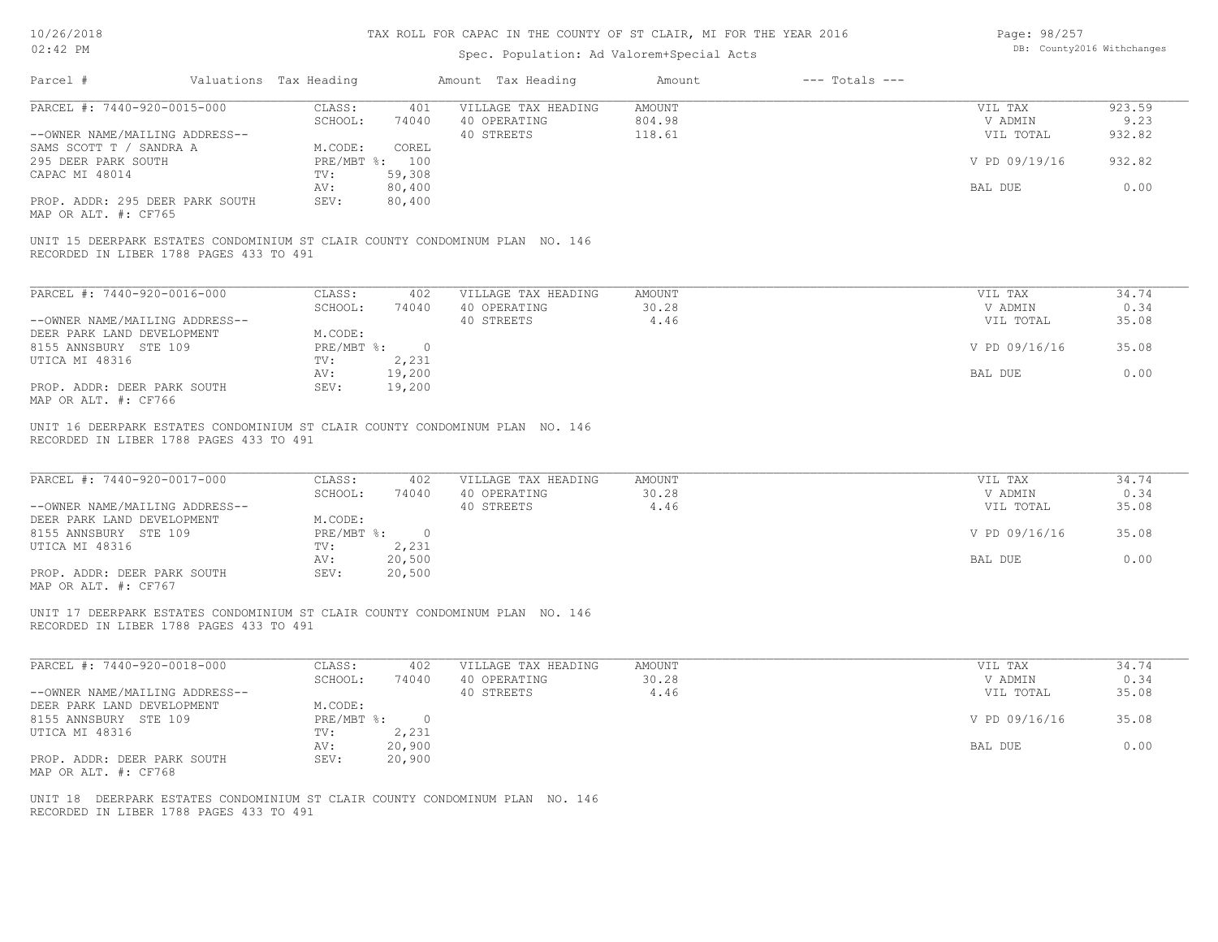| Page: 98/257 |                            |
|--------------|----------------------------|
|              | DB: County2016 Withchanges |

| Parcel #                                                                                                                                               | Valuations Tax Heading           |                             | Amount Tax Heading                  | Amount                  | $---$ Totals $---$ |                      |                |
|--------------------------------------------------------------------------------------------------------------------------------------------------------|----------------------------------|-----------------------------|-------------------------------------|-------------------------|--------------------|----------------------|----------------|
| PARCEL #: 7440-920-0015-000                                                                                                                            | CLASS:<br>SCHOOL:                | 401<br>74040                | VILLAGE TAX HEADING<br>40 OPERATING | <b>AMOUNT</b><br>804.98 |                    | VIL TAX<br>V ADMIN   | 923.59<br>9.23 |
| --OWNER NAME/MAILING ADDRESS--<br>SAMS SCOTT T / SANDRA A                                                                                              | M.CODE:                          | COREL                       | 40 STREETS                          | 118.61                  |                    | VIL TOTAL            | 932.82         |
| 295 DEER PARK SOUTH<br>CAPAC MI 48014                                                                                                                  | TV:                              | PRE/MBT %: 100<br>59,308    |                                     |                         |                    | V PD 09/19/16        | 932.82         |
| PROP. ADDR: 295 DEER PARK SOUTH                                                                                                                        | AV:<br>SEV:                      | 80,400<br>80,400            |                                     |                         |                    | BAL DUE              | 0.00           |
| MAP OR ALT. #: CF765                                                                                                                                   |                                  |                             |                                     |                         |                    |                      |                |
| UNIT 15 DEERPARK ESTATES CONDOMINIUM ST CLAIR COUNTY CONDOMINUM PLAN NO. 146<br>RECORDED IN LIBER 1788 PAGES 433 TO 491                                |                                  |                             |                                     |                         |                    |                      |                |
| PARCEL #: 7440-920-0016-000                                                                                                                            | CLASS:                           | 402                         | VILLAGE TAX HEADING                 | <b>AMOUNT</b>           |                    | VIL TAX              | 34.74          |
|                                                                                                                                                        | SCHOOL:                          | 74040                       | 40 OPERATING                        | 30.28                   |                    | V ADMIN              | 0.34           |
| --OWNER NAME/MAILING ADDRESS--<br>DEER PARK LAND DEVELOPMENT                                                                                           | M.CODE:                          |                             | 40 STREETS                          | 4.46                    |                    | VIL TOTAL            | 35.08          |
| 8155 ANNSBURY STE 109                                                                                                                                  |                                  | PRE/MBT %: 0                |                                     |                         |                    | V PD 09/16/16        | 35.08          |
| UTICA MI 48316                                                                                                                                         | TV:<br>AV:                       | 2,231<br>19,200             |                                     |                         |                    | <b>BAL DUE</b>       | 0.00           |
| PROP. ADDR: DEER PARK SOUTH<br>MAP OR ALT. #: CF766                                                                                                    | SEV:                             | 19,200                      |                                     |                         |                    |                      |                |
| UNIT 16 DEERPARK ESTATES CONDOMINIUM ST CLAIR COUNTY CONDOMINUM PLAN NO. 146<br>RECORDED IN LIBER 1788 PAGES 433 TO 491<br>PARCEL #: 7440-920-0017-000 | CLASS:                           | 402                         | VILLAGE TAX HEADING                 | <b>AMOUNT</b>           |                    | VIL TAX              | 34.74          |
| --OWNER NAME/MAILING ADDRESS--                                                                                                                         | SCHOOL:                          | 74040                       | 40 OPERATING<br>40 STREETS          | 30.28<br>4.46           |                    | V ADMIN<br>VIL TOTAL | 0.34<br>35.08  |
| DEER PARK LAND DEVELOPMENT                                                                                                                             | M.CODE:                          |                             |                                     |                         |                    |                      |                |
| 8155 ANNSBURY STE 109<br>UTICA MI 48316                                                                                                                | TV:                              | $PRE/MBT$ $\div$ 0<br>2,231 |                                     |                         |                    | V PD 09/16/16        | 35.08          |
| PROP. ADDR: DEER PARK SOUTH                                                                                                                            | AV:<br>SEV:                      | 20,500<br>20,500            |                                     |                         |                    | BAL DUE              | 0.00           |
| MAP OR ALT. #: CF767                                                                                                                                   |                                  |                             |                                     |                         |                    |                      |                |
| UNIT 17 DEERPARK ESTATES CONDOMINIUM ST CLAIR COUNTY CONDOMINUM PLAN NO. 146<br>RECORDED IN LIBER 1788 PAGES 433 TO 491                                |                                  |                             |                                     |                         |                    |                      |                |
| PARCEL #: 7440-920-0018-000                                                                                                                            | CLASS:                           | 402                         | VILLAGE TAX HEADING                 | <b>AMOUNT</b>           |                    | VIL TAX              | 34.74          |
| --OWNER NAME/MAILING ADDRESS--                                                                                                                         | SCHOOL:                          | 74040                       | 40 OPERATING<br>40 STREETS          | 30.28<br>4.46           |                    | V ADMIN<br>VIL TOTAL | 0.34<br>35.08  |
| DEER PARK LAND DEVELOPMENT                                                                                                                             | M.CODE:                          |                             |                                     |                         |                    |                      |                |
| 8155 ANNSBURY STE 109<br>UTICA MI 48316                                                                                                                | $PRE/MBT$ $\frac{1}{6}$ :<br>TV: | $\overline{0}$<br>2,231     |                                     |                         |                    | V PD 09/16/16        | 35.08          |
|                                                                                                                                                        | AV:                              | 20,900                      |                                     |                         |                    | BAL DUE              | 0.00           |
| PROP. ADDR: DEER PARK SOUTH<br>MAP OR ALT. #: CF768                                                                                                    | SEV:                             | 20,900                      |                                     |                         |                    |                      |                |
| UNIT 18 DEERPARK ESTATES CONDOMINIUM ST CLAIR COUNTY CONDOMINUM PLAN NO. 146<br>RECORDED IN LIBER 1788 PAGES 433 TO 491                                |                                  |                             |                                     |                         |                    |                      |                |
|                                                                                                                                                        |                                  |                             |                                     |                         |                    |                      |                |
|                                                                                                                                                        |                                  |                             |                                     |                         |                    |                      |                |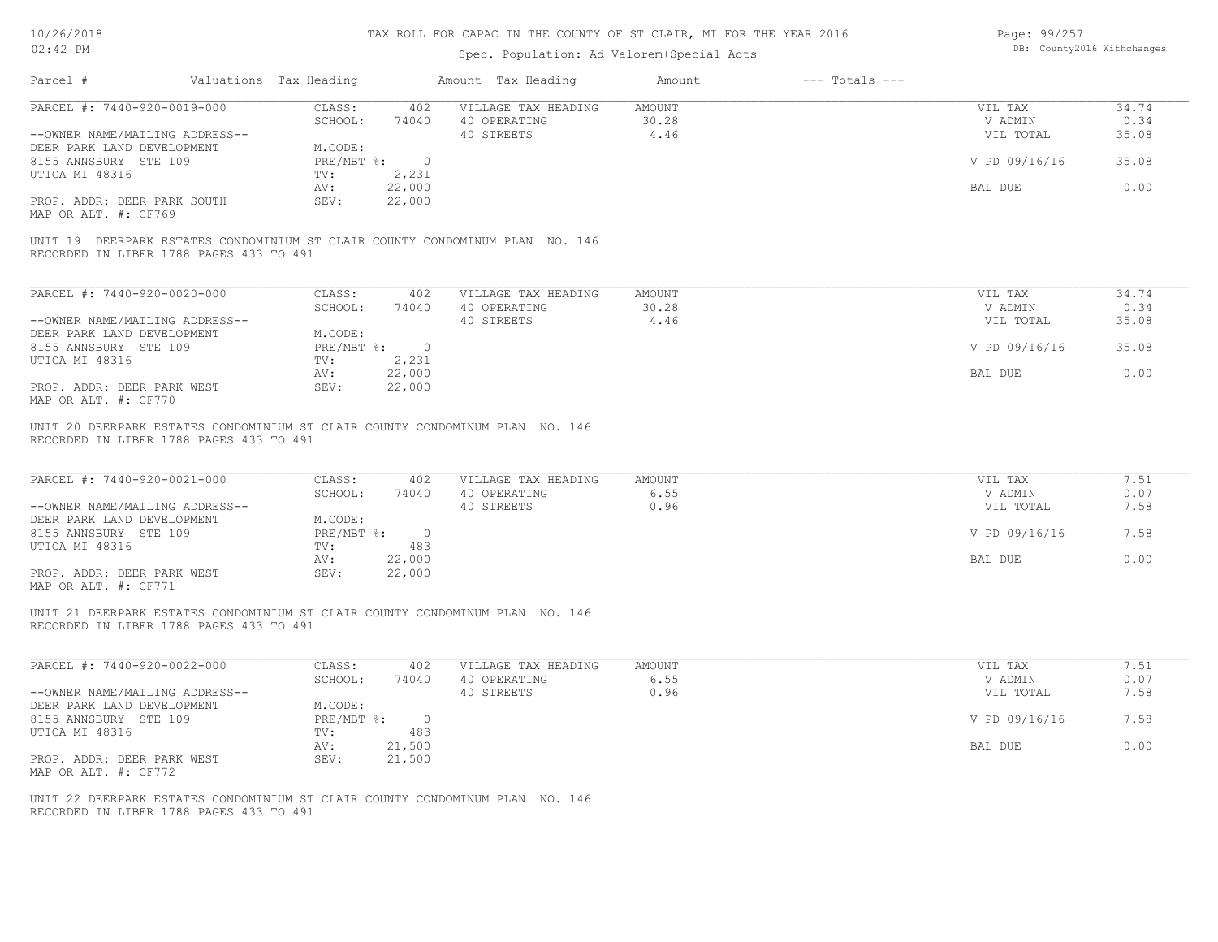| Page: 99/257 |                            |
|--------------|----------------------------|
|              | DB: County2016 Withchanges |

| Parcel #                                                                                                                | Valuations Tax Heading |                         | Amount Tax Heading                  | Amount                | $---$ Totals $---$ |                      |               |
|-------------------------------------------------------------------------------------------------------------------------|------------------------|-------------------------|-------------------------------------|-----------------------|--------------------|----------------------|---------------|
| PARCEL #: 7440-920-0019-000                                                                                             | CLASS:<br>SCHOOL:      | 402<br>74040            | VILLAGE TAX HEADING<br>40 OPERATING | AMOUNT<br>30.28       |                    | VIL TAX<br>V ADMIN   | 34.74<br>0.34 |
| --OWNER NAME/MAILING ADDRESS--<br>DEER PARK LAND DEVELOPMENT                                                            | M.CODE:                |                         | 40 STREETS                          | 4.46                  |                    | VIL TOTAL            | 35.08         |
| 8155 ANNSBURY STE 109<br>UTICA MI 48316                                                                                 | PRE/MBT %:<br>TV:      | $\overline{0}$<br>2,231 |                                     |                       |                    | V PD 09/16/16        | 35.08         |
|                                                                                                                         | AV:                    | 22,000                  |                                     |                       |                    | BAL DUE              | 0.00          |
| PROP. ADDR: DEER PARK SOUTH<br>MAP OR ALT. #: CF769                                                                     | SEV:                   | 22,000                  |                                     |                       |                    |                      |               |
| UNIT 19 DEERPARK ESTATES CONDOMINIUM ST CLAIR COUNTY CONDOMINUM PLAN NO. 146<br>RECORDED IN LIBER 1788 PAGES 433 TO 491 |                        |                         |                                     |                       |                    |                      |               |
| PARCEL #: 7440-920-0020-000                                                                                             | CLASS:                 | 402                     | VILLAGE TAX HEADING                 | <b>AMOUNT</b>         |                    | VIL TAX              | 34.74         |
| --OWNER NAME/MAILING ADDRESS--                                                                                          | SCHOOL:                | 74040                   | 40 OPERATING<br>40 STREETS          | 30.28<br>4.46         |                    | V ADMIN<br>VIL TOTAL | 0.34<br>35.08 |
| DEER PARK LAND DEVELOPMENT                                                                                              | M.CODE:                |                         |                                     |                       |                    |                      |               |
| 8155 ANNSBURY STE 109                                                                                                   | PRE/MBT %: 0           |                         |                                     |                       |                    | V PD 09/16/16        | 35.08         |
| UTICA MI 48316                                                                                                          | TV:<br>AV:             | 2,231<br>22,000         |                                     |                       |                    | BAL DUE              | 0.00          |
| PROP. ADDR: DEER PARK WEST<br>MAP OR ALT. #: CF770                                                                      | SEV:                   | 22,000                  |                                     |                       |                    |                      |               |
| UNIT 20 DEERPARK ESTATES CONDOMINIUM ST CLAIR COUNTY CONDOMINUM PLAN NO. 146<br>RECORDED IN LIBER 1788 PAGES 433 TO 491 |                        |                         |                                     |                       |                    |                      |               |
| PARCEL #: 7440-920-0021-000                                                                                             | CLASS:<br>SCHOOL:      | 402<br>74040            | VILLAGE TAX HEADING<br>40 OPERATING | <b>AMOUNT</b><br>6.55 |                    | VIL TAX<br>V ADMIN   | 7.51<br>0.07  |
| --OWNER NAME/MAILING ADDRESS--<br>DEER PARK LAND DEVELOPMENT                                                            | M.CODE:                |                         | 40 STREETS                          | 0.96                  |                    | VIL TOTAL            | 7.58          |
| 8155 ANNSBURY STE 109                                                                                                   | PRE/MBT %:             | $\overline{0}$          |                                     |                       |                    | V PD 09/16/16        | 7.58          |
| UTICA MI 48316                                                                                                          | TV:<br>AV:             | 483<br>22,000           |                                     |                       |                    | BAL DUE              | 0.00          |
| PROP. ADDR: DEER PARK WEST<br>MAP OR ALT. #: CF771                                                                      | SEV:                   | 22,000                  |                                     |                       |                    |                      |               |
| UNIT 21 DEERPARK ESTATES CONDOMINIUM ST CLAIR COUNTY CONDOMINUM PLAN NO. 146<br>RECORDED IN LIBER 1788 PAGES 433 TO 491 |                        |                         |                                     |                       |                    |                      |               |
| PARCEL #: 7440-920-0022-000                                                                                             | CLASS:                 | 402                     | VILLAGE TAX HEADING                 | <b>AMOUNT</b>         |                    | VIL TAX              | 7.51          |
|                                                                                                                         | SCHOOL:                | 74040                   | 40 OPERATING                        | 6.55<br>0.96          |                    | V ADMIN              | 0.07<br>7.58  |
| --OWNER NAME/MAILING ADDRESS--<br>DEER PARK LAND DEVELOPMENT                                                            | M.CODE:                |                         | 40 STREETS                          |                       |                    | VIL TOTAL            |               |
| 8155 ANNSBURY STE 109                                                                                                   | $PRE/MBT$ %:           | $\overline{0}$          |                                     |                       |                    | V PD 09/16/16        | 7.58          |
| UTICA MI 48316                                                                                                          | TV:<br>AV:             | 483<br>21,500           |                                     |                       |                    | BAL DUE              | 0.00          |
| PROP. ADDR: DEER PARK WEST<br>MAP OR ALT. #: CF772                                                                      | SEV:                   | 21,500                  |                                     |                       |                    |                      |               |
| UNIT 22 DEERPARK ESTATES CONDOMINIUM ST CLAIR COUNTY CONDOMINUM PLAN NO. 146<br>RECORDED IN LIBER 1788 PAGES 433 TO 491 |                        |                         |                                     |                       |                    |                      |               |
|                                                                                                                         |                        |                         |                                     |                       |                    |                      |               |
|                                                                                                                         |                        |                         |                                     |                       |                    |                      |               |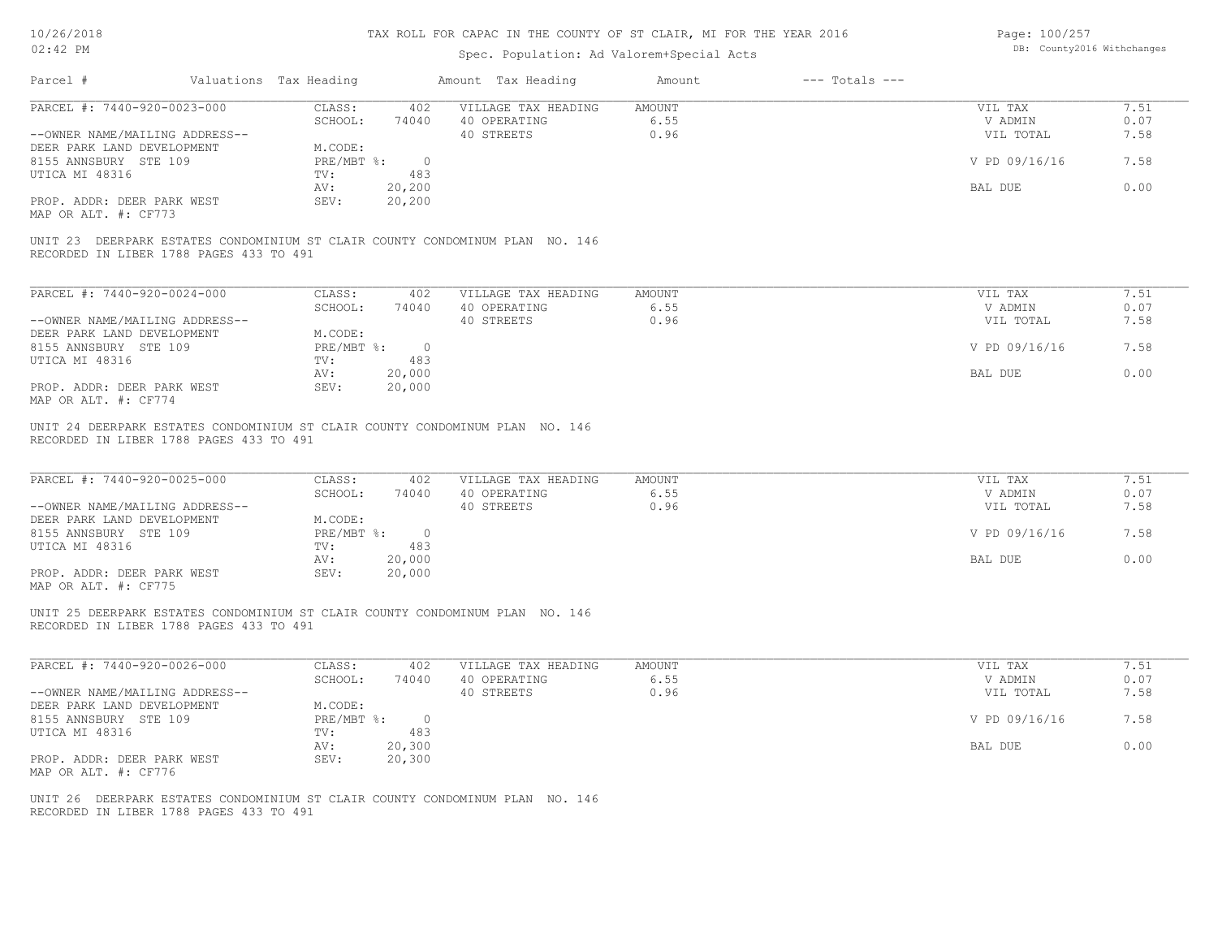| Page: 100/257 |                            |
|---------------|----------------------------|
|               | DB: County2016 Withchanges |

| PARCEL #: 7440-920-0023-000                                                                                                                                                                  | CLASS:                                                                                               | 402 VILLAGE TAX HEADING                                 | AMOUNT                        | VIL TAX                                                     | 7.51                                 |
|----------------------------------------------------------------------------------------------------------------------------------------------------------------------------------------------|------------------------------------------------------------------------------------------------------|---------------------------------------------------------|-------------------------------|-------------------------------------------------------------|--------------------------------------|
|                                                                                                                                                                                              | SCHOOL:                                                                                              | 74040 40 OPERATING                                      | 6.55                          | V ADMIN                                                     | 0.07                                 |
| --OWNER NAME/MAILING ADDRESS--                                                                                                                                                               | M.CODE:                                                                                              | 40 STREETS                                              | 0.96                          | VIL TOTAL                                                   | 7.58                                 |
| DEER PARK LAND DEVELOPMENT                                                                                                                                                                   | $PRE/MBT$ $\frac{1}{6}$ : 0                                                                          |                                                         |                               |                                                             | 7.58                                 |
| 8155 ANNSBURY STE 109                                                                                                                                                                        |                                                                                                      |                                                         |                               | V PD 09/16/16                                               |                                      |
| UTICA MI 48316                                                                                                                                                                               | 483<br>TV:                                                                                           |                                                         |                               |                                                             |                                      |
|                                                                                                                                                                                              | 20,200<br>AV:                                                                                        |                                                         |                               | BAL DUE                                                     | 0.00                                 |
| PROP. ADDR: DEER PARK WEST<br>MAP OR ALT. #: CF773                                                                                                                                           | SEV:<br>20, 200                                                                                      |                                                         |                               |                                                             |                                      |
| UNIT 23 DEERPARK ESTATES CONDOMINIUM ST CLAIR COUNTY CONDOMINUM PLAN NO. 146<br>RECORDED IN LIBER 1788 PAGES 433 TO 491                                                                      |                                                                                                      |                                                         |                               |                                                             |                                      |
| PARCEL #: 7440-920-0024-000                                                                                                                                                                  | CLASS:<br>402                                                                                        | VILLAGE TAX HEADING                                     | AMOUNT                        | VIL TAX                                                     | 7.51                                 |
|                                                                                                                                                                                              | SCHOOL:<br>74040                                                                                     |                                                         | 6.55                          | V ADMIN                                                     | 0.07                                 |
|                                                                                                                                                                                              |                                                                                                      | 40 OPERATING                                            |                               |                                                             |                                      |
| --OWNER NAME/MAILING ADDRESS--                                                                                                                                                               |                                                                                                      | 40 STREETS                                              | 0.96                          | VIL TOTAL                                                   | 7.58                                 |
| DEER PARK LAND DEVELOPMENT                                                                                                                                                                   | M.CODE:                                                                                              |                                                         |                               |                                                             |                                      |
| 8155 ANNSBURY STE 109                                                                                                                                                                        | $PRE/MBT$ $\frac{1}{6}$ : 0                                                                          |                                                         |                               | V PD 09/16/16                                               | 7.58                                 |
| UTICA MI 48316                                                                                                                                                                               | 483<br>TV:                                                                                           |                                                         |                               |                                                             |                                      |
|                                                                                                                                                                                              | 20,000<br>AV:                                                                                        |                                                         |                               | BAL DUE                                                     | 0.00                                 |
| PROP. ADDR: DEER PARK WEST<br>MAP OR ALT. #: CF774                                                                                                                                           | SEV:<br>20,000                                                                                       |                                                         |                               |                                                             |                                      |
| UNIT 24 DEERPARK ESTATES CONDOMINIUM ST CLAIR COUNTY CONDOMINUM PLAN NO. 146<br>RECORDED IN LIBER 1788 PAGES 433 TO 491                                                                      |                                                                                                      |                                                         |                               |                                                             |                                      |
| PARCEL #: 7440-920-0025-000<br>--OWNER NAME/MAILING ADDRESS--<br>DEER PARK LAND DEVELOPMENT<br>8155 ANNSBURY STE 109<br>UTICA MI 48316<br>PROP. ADDR: DEER PARK WEST<br>MAP OR ALT. #: CF775 | CLASS:<br>402<br>SCHOOL:<br>M.CODE:<br>PRE/MBT %: 0<br>TV:<br>483<br>AV:<br>20,000<br>SEV:<br>20,000 | VILLAGE TAX HEADING<br>74040 40 OPERATING<br>40 STREETS | <b>AMOUNT</b><br>6.55<br>0.96 | VIL TAX<br>V ADMIN<br>VIL TOTAL<br>V PD 09/16/16<br>BAL DUE | 7.51<br>0.07<br>7.58<br>7.58<br>0.00 |
| UNIT 25 DEERPARK ESTATES CONDOMINIUM ST CLAIR COUNTY CONDOMINUM PLAN NO. 146<br>RECORDED IN LIBER 1788 PAGES 433 TO 491                                                                      |                                                                                                      |                                                         |                               |                                                             |                                      |
| PARCEL #: 7440-920-0026-000                                                                                                                                                                  | CLASS:<br>402                                                                                        | VILLAGE TAX HEADING                                     | AMOUNT                        | VIL TAX                                                     | 7.51                                 |
|                                                                                                                                                                                              | SCHOOL:<br>74040                                                                                     | 40 OPERATING                                            | 6.55                          | V ADMIN                                                     | 0.07                                 |
| --OWNER NAME/MAILING ADDRESS--                                                                                                                                                               |                                                                                                      | 40 STREETS                                              | 0.96                          | VIL TOTAL                                                   | 7.58                                 |
| DEER PARK LAND DEVELOPMENT                                                                                                                                                                   | M.CODE:                                                                                              |                                                         |                               |                                                             |                                      |
| 8155 ANNSBURY STE 109                                                                                                                                                                        | PRE/MBT %: 0                                                                                         |                                                         |                               | V PD 09/16/16                                               | 7.58                                 |
| UTICA MI 48316                                                                                                                                                                               | TV:<br>483                                                                                           |                                                         |                               |                                                             |                                      |
|                                                                                                                                                                                              | 20,300<br>AV:                                                                                        |                                                         |                               | BAL DUE                                                     | 0.00                                 |
| PROP. ADDR: DEER PARK WEST<br>MAP OR ALT. #: CF776                                                                                                                                           | 20,300<br>SEV:                                                                                       |                                                         |                               |                                                             |                                      |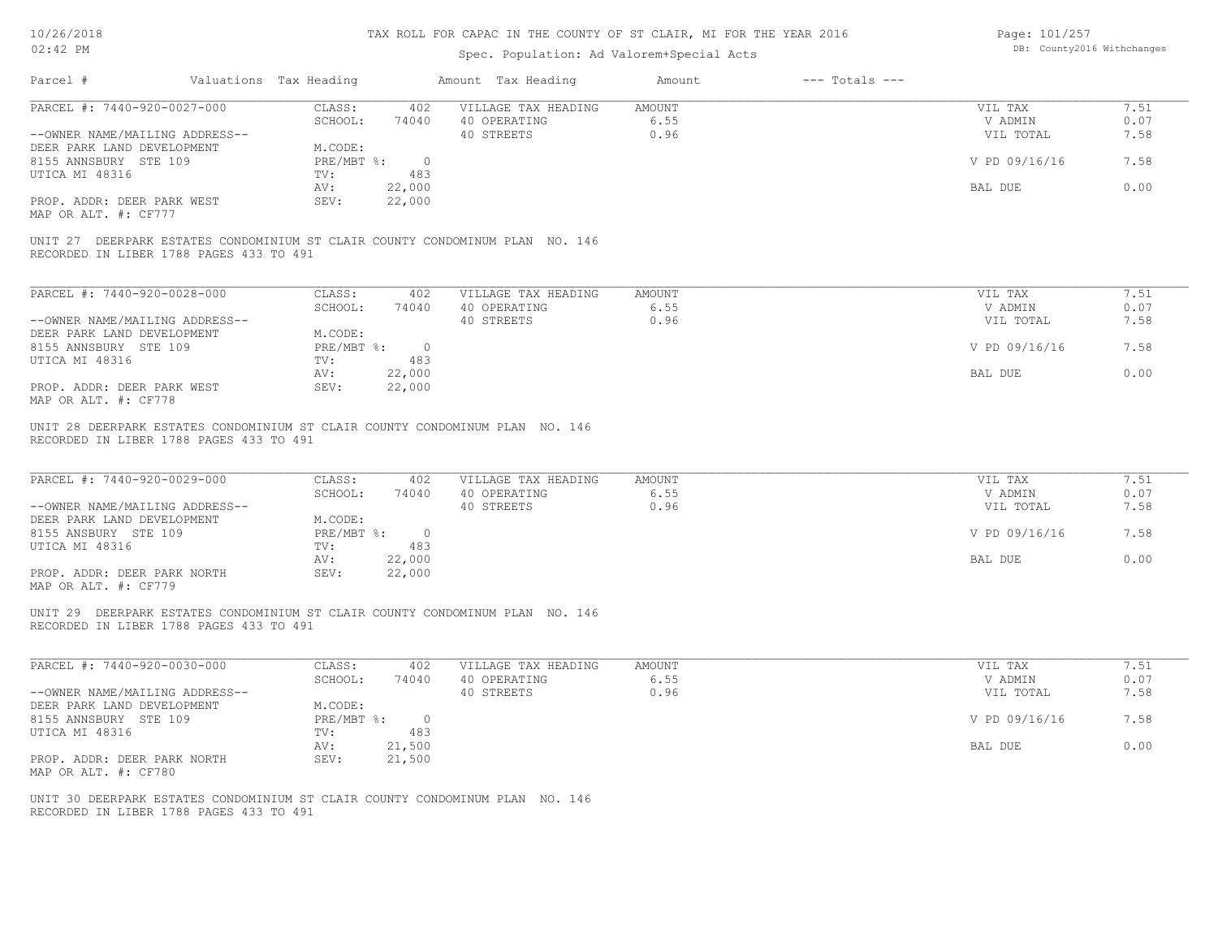## Spec. Population: Ad Valorem+Special Acts

Page: 101/257 DB: County2016 Withchanges

| Valuations Tax Heading<br>Parcel #                                                                                                              |                                   |                                     |                |                    |              |
|-------------------------------------------------------------------------------------------------------------------------------------------------|-----------------------------------|-------------------------------------|----------------|--------------------|--------------|
| PARCEL #: 7440-920-0027-000                                                                                                                     | CLASS:                            | 402 VILLAGE TAX HEADING             | AMOUNT         | VIL TAX            | 7.51         |
|                                                                                                                                                 | SCHOOL:                           | 74040 40 OPERATING                  | 6.55<br>0.96   | V ADMIN            | 0.07         |
| --OWNER NAME/MAILING ADDRESS--<br>DEER PARK LAND DEVELOPMENT                                                                                    | M.CODE:                           | 40 STREETS                          |                | VIL TOTAL          | 7.58         |
| 8155 ANNSBURY STE 109                                                                                                                           | PRE/MBT %: 0                      |                                     |                | V PD 09/16/16      | 7.58         |
| UTICA MI 48316                                                                                                                                  | TV:<br>483                        |                                     |                |                    |              |
|                                                                                                                                                 | 22,000<br>AV:                     |                                     |                | BAL DUE            | 0.00         |
| PROP. ADDR: DEER PARK WEST                                                                                                                      | SEV:<br>22,000                    |                                     |                |                    |              |
| MAP OR ALT. #: CF777                                                                                                                            |                                   |                                     |                |                    |              |
| UNIT 27 DEERPARK ESTATES CONDOMINIUM ST CLAIR COUNTY CONDOMINUM PLAN NO. 146<br>RECORDED IN LIBER 1788 PAGES 433 TO 491                         |                                   |                                     |                |                    |              |
|                                                                                                                                                 |                                   |                                     |                |                    |              |
| PARCEL #: 7440-920-0028-000                                                                                                                     | CLASS:<br>402                     | VILLAGE TAX HEADING                 | <b>AMOUNT</b>  | VIL TAX            | 7.51         |
|                                                                                                                                                 | SCHOOL:<br>74040                  | 40 OPERATING                        | 6.55           | V ADMIN            | 0.07         |
| --OWNER NAME/MAILING ADDRESS--                                                                                                                  | M.CODE:                           | 40 STREETS                          | 0.96           | VIL TOTAL          | 7.58         |
| DEER PARK LAND DEVELOPMENT<br>8155 ANNSBURY STE 109                                                                                             | PRE/MBT %: 0                      |                                     |                | V PD 09/16/16      | 7.58         |
| UTICA MI 48316                                                                                                                                  | TV:<br>483                        |                                     |                |                    |              |
|                                                                                                                                                 | 22,000<br>AV:                     |                                     |                | BAL DUE            | 0.00         |
| PROP. ADDR: DEER PARK WEST                                                                                                                      | SEV:<br>22,000                    |                                     |                |                    |              |
|                                                                                                                                                 |                                   |                                     |                |                    |              |
| MAP OR ALT. #: CF778<br>UNIT 28 DEERPARK ESTATES CONDOMINIUM ST CLAIR COUNTY CONDOMINUM PLAN NO. 146<br>RECORDED IN LIBER 1788 PAGES 433 TO 491 |                                   |                                     |                |                    |              |
| PARCEL #: 7440-920-0029-000                                                                                                                     | CLASS:<br>402<br>SCHOOL:<br>74040 | VILLAGE TAX HEADING<br>40 OPERATING | AMOUNT<br>6.55 | VIL TAX<br>V ADMIN | 7.51<br>0.07 |
| --OWNER NAME/MAILING ADDRESS--                                                                                                                  |                                   | 40 STREETS                          | 0.96           | VIL TOTAL          | 7.58         |
| DEER PARK LAND DEVELOPMENT                                                                                                                      | M.CODE:                           |                                     |                |                    |              |
| 8155 ANSBURY STE 109                                                                                                                            | PRE/MBT %: 0                      |                                     |                | V PD 09/16/16      | 7.58         |
| UTICA MI 48316                                                                                                                                  | TV:<br>483                        |                                     |                |                    |              |
| PROP. ADDR: DEER PARK NORTH<br>MAP OR ALT. #: CF779                                                                                             | 22,000<br>AV:<br>SEV:<br>22,000   |                                     |                | BAL DUE            | 0.00         |
| UNIT 29 DEERPARK ESTATES CONDOMINIUM ST CLAIR COUNTY CONDOMINUM PLAN NO. 146<br>RECORDED IN LIBER 1788 PAGES 433 TO 491                         |                                   |                                     |                |                    |              |
| PARCEL #: 7440-920-0030-000                                                                                                                     | CLASS:<br>402                     | VILLAGE TAX HEADING                 | AMOUNT         | VIL TAX            | 7.51         |
|                                                                                                                                                 | SCHOOL:<br>74040                  | 40 OPERATING                        | 6.55           | V ADMIN            | 0.07         |
| --OWNER NAME/MAILING ADDRESS--                                                                                                                  |                                   | 40 STREETS                          | 0.96           | VIL TOTAL          | 7.58         |
| DEER PARK LAND DEVELOPMENT                                                                                                                      | M.CODE:                           |                                     |                |                    |              |
| 8155 ANNSBURY STE 109                                                                                                                           | PRE/MBT %: 0                      |                                     |                | V PD 09/16/16      | 7.58         |
| UTICA MI 48316                                                                                                                                  | TV:<br>483                        |                                     |                |                    |              |
|                                                                                                                                                 | 21,500<br>AV:                     |                                     |                | BAL DUE            | 0.00         |
| PROP. ADDR: DEER PARK NORTH                                                                                                                     | SEV:<br>21,500                    |                                     |                |                    |              |
| MAP OR ALT. #: CF780                                                                                                                            |                                   |                                     |                |                    |              |
| UNIT 30 DEERPARK ESTATES CONDOMINIUM ST CLAIR COUNTY CONDOMINUM PLAN NO. 146                                                                    |                                   |                                     |                |                    |              |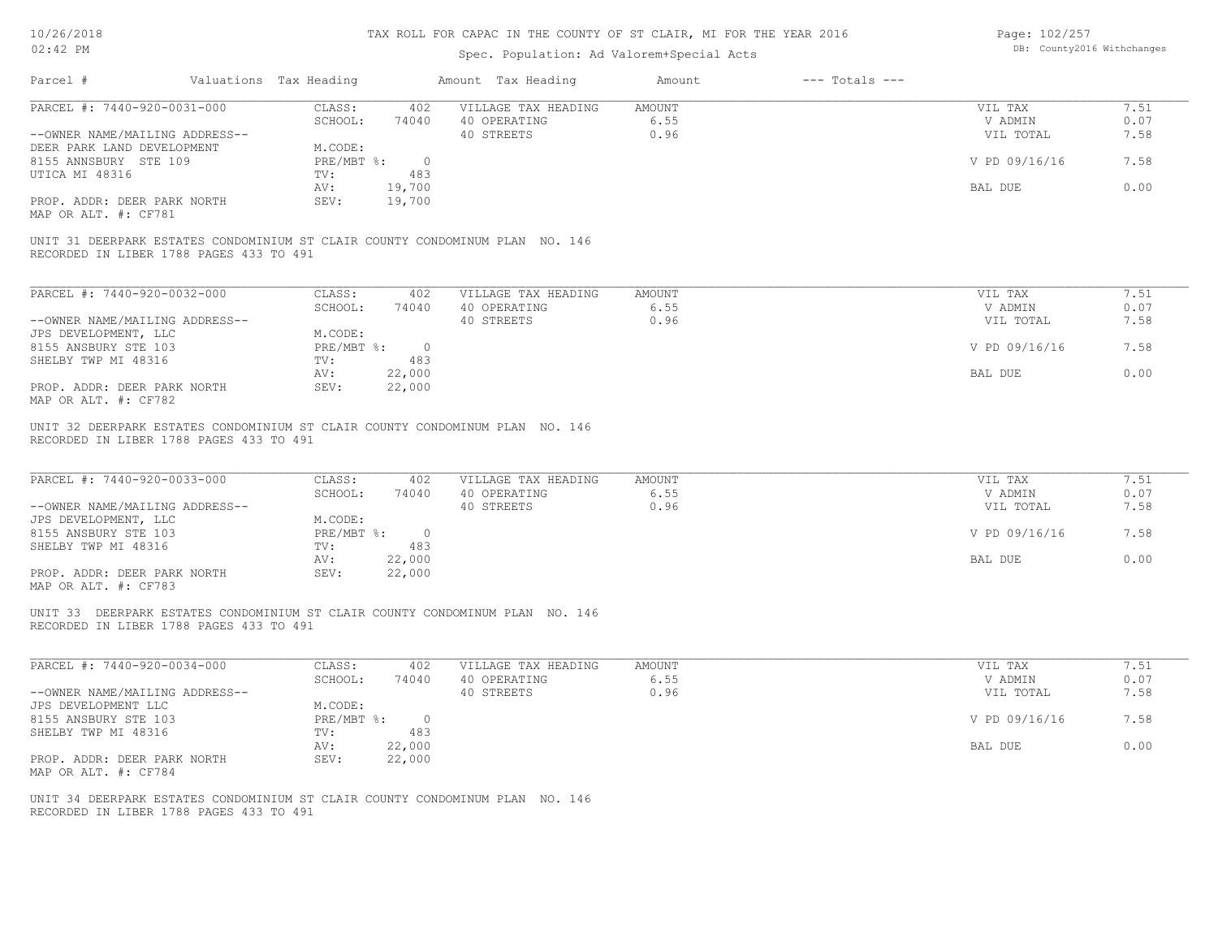## Spec. Population: Ad Valorem+Special Acts

Page: 102/257 DB: County2016 Withchanges

| Parcel #                                                                                                                | Valuations Tax Heading                       | Amount Tax Heading                                | Amount                 | $---$ Totals $---$ |                                 |                      |
|-------------------------------------------------------------------------------------------------------------------------|----------------------------------------------|---------------------------------------------------|------------------------|--------------------|---------------------------------|----------------------|
| PARCEL #: 7440-920-0031-000                                                                                             | CLASS:<br>402                                | VILLAGE TAX HEADING                               | AMOUNT                 |                    | VIL TAX                         | 7.51                 |
|                                                                                                                         | SCHOOL:<br>74040                             | 40 OPERATING                                      | 6.55                   |                    | V ADMIN                         | 0.07                 |
| --OWNER NAME/MAILING ADDRESS--                                                                                          |                                              | 40 STREETS                                        | 0.96                   |                    | VIL TOTAL                       | 7.58                 |
| DEER PARK LAND DEVELOPMENT                                                                                              | M.CODE:                                      |                                                   |                        |                    |                                 |                      |
| 8155 ANNSBURY STE 109                                                                                                   | $PRE/MBT$ $\frac{1}{6}$ : 0                  |                                                   |                        |                    | V PD 09/16/16                   | 7.58                 |
| UTICA MI 48316                                                                                                          | 483<br>TV:                                   |                                                   |                        |                    |                                 |                      |
|                                                                                                                         | AV:<br>19,700<br>SEV:                        |                                                   |                        |                    | BAL DUE                         | 0.00                 |
| PROP. ADDR: DEER PARK NORTH<br>MAP OR ALT. #: CF781                                                                     | 19,700                                       |                                                   |                        |                    |                                 |                      |
| UNIT 31 DEERPARK ESTATES CONDOMINIUM ST CLAIR COUNTY CONDOMINUM PLAN NO. 146                                            |                                              |                                                   |                        |                    |                                 |                      |
| RECORDED IN LIBER 1788 PAGES 433 TO 491                                                                                 |                                              |                                                   |                        |                    |                                 |                      |
| PARCEL #: 7440-920-0032-000                                                                                             | CLASS:<br>402                                | VILLAGE TAX HEADING                               | <b>AMOUNT</b>          |                    | VIL TAX                         | 7.51                 |
|                                                                                                                         | SCHOOL:<br>74040                             | 40 OPERATING                                      | 6.55                   |                    | V ADMIN                         | 0.07                 |
| --OWNER NAME/MAILING ADDRESS--                                                                                          |                                              | 40 STREETS                                        | 0.96                   |                    | VIL TOTAL                       | 7.58                 |
| JPS DEVELOPMENT, LLC                                                                                                    | M.CODE:                                      |                                                   |                        |                    |                                 |                      |
| 8155 ANSBURY STE 103                                                                                                    | PRE/MBT %: 0                                 |                                                   |                        |                    | V PD 09/16/16                   | 7.58                 |
| SHELBY TWP MI 48316                                                                                                     | 483<br>TV:                                   |                                                   |                        |                    |                                 |                      |
|                                                                                                                         | 22,000<br>AV:                                |                                                   |                        |                    | BAL DUE                         | 0.00                 |
| PROP. ADDR: DEER PARK NORTH                                                                                             | SEV:<br>22,000                               |                                                   |                        |                    |                                 |                      |
| MAP OR ALT. #: CF782                                                                                                    |                                              |                                                   |                        |                    |                                 |                      |
| PARCEL #: 7440-920-0033-000<br>--OWNER NAME/MAILING ADDRESS--<br>JPS DEVELOPMENT, LLC                                   | CLASS:<br>402<br>SCHOOL:<br>74040<br>M.CODE: | VILLAGE TAX HEADING<br>40 OPERATING<br>40 STREETS | AMOUNT<br>6.55<br>0.96 |                    | VIL TAX<br>V ADMIN<br>VIL TOTAL | 7.51<br>0.07<br>7.58 |
| 8155 ANSBURY STE 103                                                                                                    | $PRE/MBT$ $\frac{1}{6}$ : 0                  |                                                   |                        |                    | V PD 09/16/16                   | 7.58                 |
| SHELBY TWP MI 48316                                                                                                     | 483<br>TV:<br>22,000<br>AV:                  |                                                   |                        |                    | BAL DUE                         | 0.00                 |
| PROP. ADDR: DEER PARK NORTH                                                                                             | 22,000<br>SEV:                               |                                                   |                        |                    |                                 |                      |
| MAP OR ALT. #: CF783                                                                                                    |                                              |                                                   |                        |                    |                                 |                      |
| UNIT 33 DEERPARK ESTATES CONDOMINIUM ST CLAIR COUNTY CONDOMINUM PLAN NO. 146<br>RECORDED IN LIBER 1788 PAGES 433 TO 491 |                                              |                                                   |                        |                    |                                 |                      |
| PARCEL #: 7440-920-0034-000                                                                                             | CLASS:<br>402                                | VILLAGE TAX HEADING                               | AMOUNT                 |                    | VIL TAX                         | 7.51                 |
|                                                                                                                         | SCHOOL:<br>74040                             | 40 OPERATING                                      | 6.55                   |                    | V ADMIN                         | 0.07                 |
| --OWNER NAME/MAILING ADDRESS--                                                                                          |                                              | 40 STREETS                                        | 0.96                   |                    | VIL TOTAL                       | 7.58                 |
| JPS DEVELOPMENT LLC                                                                                                     | M.CODE:                                      |                                                   |                        |                    |                                 |                      |
| 8155 ANSBURY STE 103<br>SHELBY TWP MI 48316                                                                             | PRE/MBT %: 0<br>483                          |                                                   |                        |                    | V PD 09/16/16                   | 7.58                 |
|                                                                                                                         | TV:<br>22,000<br>AV:                         |                                                   |                        |                    | BAL DUE                         | 0.00                 |
| PROP. ADDR: DEER PARK NORTH                                                                                             | SEV:<br>22,000                               |                                                   |                        |                    |                                 |                      |
| MAP OR ALT. #: CF784                                                                                                    |                                              |                                                   |                        |                    |                                 |                      |
|                                                                                                                         |                                              |                                                   |                        |                    |                                 |                      |
| UNIT 34 DEERPARK ESTATES CONDOMINIUM ST CLAIR COUNTY CONDOMINUM PLAN NO. 146                                            |                                              |                                                   |                        |                    |                                 |                      |
| RECORDED IN LIBER 1788 PAGES 433 TO 491                                                                                 |                                              |                                                   |                        |                    |                                 |                      |
|                                                                                                                         |                                              |                                                   |                        |                    |                                 |                      |
|                                                                                                                         |                                              |                                                   |                        |                    |                                 |                      |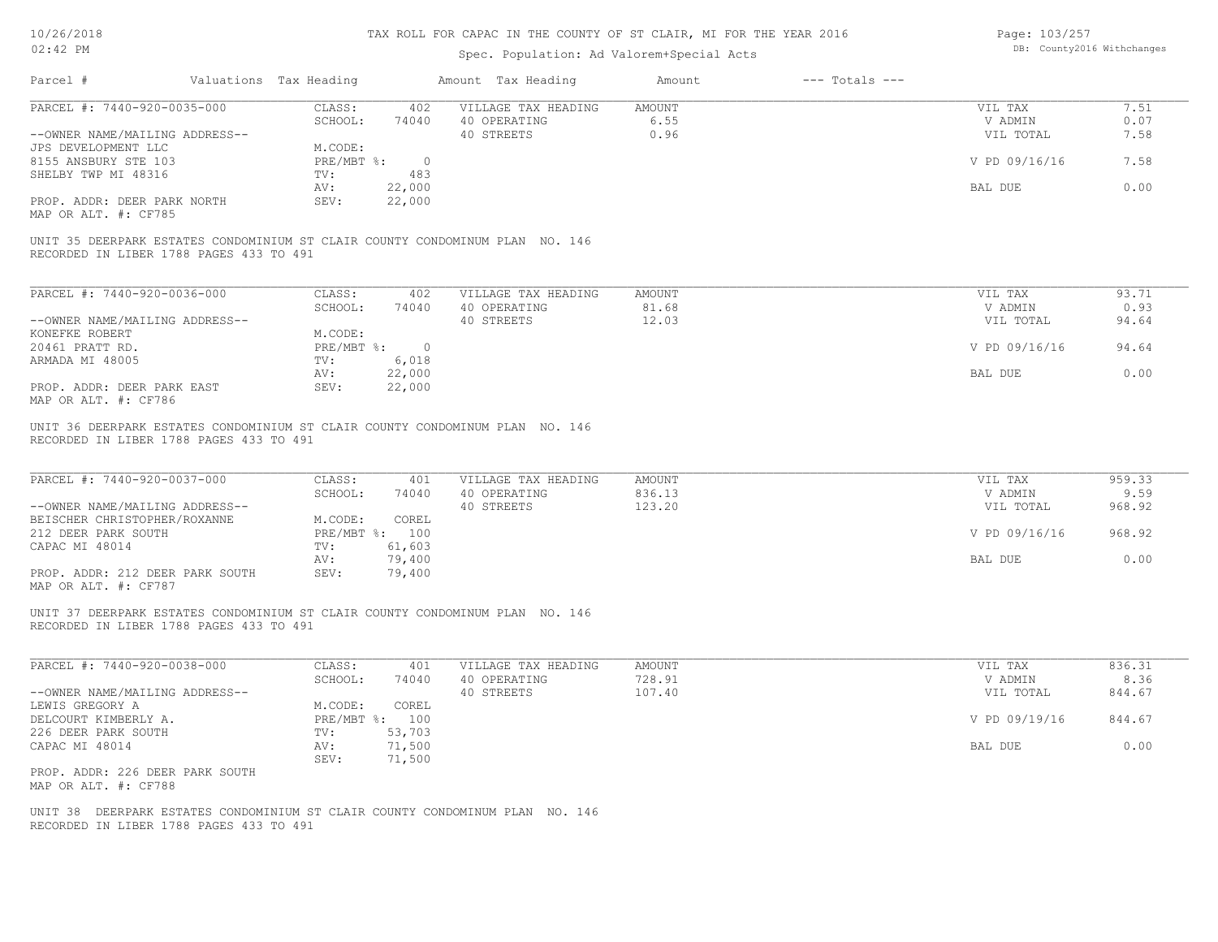## Spec. Population: Ad Valorem+Special Acts

Page: 103/257 DB: County2016 Withchanges

| PARCEL #: 7440-920-0035-000                                                                                                                                       | CLASS:<br>402                     | VILLAGE TAX HEADING                               | AMOUNT                     | VIL TAX                         | 7.51                     |
|-------------------------------------------------------------------------------------------------------------------------------------------------------------------|-----------------------------------|---------------------------------------------------|----------------------------|---------------------------------|--------------------------|
|                                                                                                                                                                   | SCHOOL:<br>74040                  | 40 OPERATING                                      | 6.55                       | V ADMIN                         | 0.07                     |
| --OWNER NAME/MAILING ADDRESS--<br>JPS DEVELOPMENT LLC                                                                                                             | M.CODE:                           | 40 STREETS                                        | 0.96                       | VIL TOTAL                       | 7.58                     |
| 8155 ANSBURY STE 103                                                                                                                                              | PRE/MBT %: 0                      |                                                   |                            | V PD 09/16/16                   | 7.58                     |
| SHELBY TWP MI 48316                                                                                                                                               | TV:<br>483                        |                                                   |                            |                                 |                          |
|                                                                                                                                                                   | 22,000<br>AV:                     |                                                   |                            | BAL DUE                         | 0.00                     |
| PROP. ADDR: DEER PARK NORTH<br>MAP OR ALT. #: CF785                                                                                                               | 22,000<br>SEV:                    |                                                   |                            |                                 |                          |
| UNIT 35 DEERPARK ESTATES CONDOMINIUM ST CLAIR COUNTY CONDOMINUM PLAN NO. 146<br>RECORDED IN LIBER 1788 PAGES 433 TO 491                                           |                                   |                                                   |                            |                                 |                          |
|                                                                                                                                                                   |                                   |                                                   |                            |                                 |                          |
| PARCEL #: 7440-920-0036-000                                                                                                                                       | CLASS:<br>402<br>SCHOOL:<br>74040 | VILLAGE TAX HEADING<br>40 OPERATING               | <b>AMOUNT</b><br>81.68     | VIL TAX<br>V ADMIN              | 93.71<br>0.93            |
| --OWNER NAME/MAILING ADDRESS--                                                                                                                                    |                                   | 40 STREETS                                        | 12.03                      | VIL TOTAL                       | 94.64                    |
| KONEFKE ROBERT                                                                                                                                                    | M.CODE:                           |                                                   |                            |                                 |                          |
| 20461 PRATT RD.                                                                                                                                                   | PRE/MBT %: 0                      |                                                   |                            | V PD 09/16/16                   | 94.64                    |
| ARMADA MI 48005                                                                                                                                                   | 6,018<br>TV:                      |                                                   |                            |                                 |                          |
| PROP. ADDR: DEER PARK EAST                                                                                                                                        | 22,000<br>AV:<br>SEV:<br>22,000   |                                                   |                            | BAL DUE                         | 0.00                     |
| MAP OR ALT. #: CF786                                                                                                                                              |                                   |                                                   |                            |                                 |                          |
| RECORDED IN LIBER 1788 PAGES 433 TO 491                                                                                                                           |                                   |                                                   |                            |                                 |                          |
| UNIT 36 DEERPARK ESTATES CONDOMINIUM ST CLAIR COUNTY CONDOMINUM PLAN NO. 146<br>PARCEL #: 7440-920-0037-000<br>--OWNER NAME/MAILING ADDRESS--                     | CLASS:<br>401<br>SCHOOL:<br>74040 | VILLAGE TAX HEADING<br>40 OPERATING<br>40 STREETS | AMOUNT<br>836.13<br>123.20 | VIL TAX<br>V ADMIN<br>VIL TOTAL | 959.33<br>9.59<br>968.92 |
|                                                                                                                                                                   | M.CODE:<br>COREL                  |                                                   |                            |                                 |                          |
| BEISCHER CHRISTOPHER/ROXANNE<br>212 DEER PARK SOUTH                                                                                                               | PRE/MBT %: 100                    |                                                   |                            | V PD 09/16/16                   | 968.92                   |
|                                                                                                                                                                   | 61,603<br>TV:                     |                                                   |                            |                                 |                          |
| PROP. ADDR: 212 DEER PARK SOUTH                                                                                                                                   | 79,400<br>AV:<br>79,400<br>SEV:   |                                                   |                            | BAL DUE                         | 0.00                     |
| CAPAC MI 48014<br>MAP OR ALT. #: CF787<br>UNIT 37 DEERPARK ESTATES CONDOMINIUM ST CLAIR COUNTY CONDOMINUM PLAN NO. 146<br>RECORDED IN LIBER 1788 PAGES 433 TO 491 |                                   |                                                   |                            |                                 |                          |
| PARCEL #: 7440-920-0038-000                                                                                                                                       | CLASS:<br>401                     | VILLAGE TAX HEADING                               | AMOUNT                     | VIL TAX                         | 836.31                   |
|                                                                                                                                                                   | SCHOOL:<br>74040                  | 40 OPERATING                                      | 728.91                     | V ADMIN                         | 8.36                     |
|                                                                                                                                                                   |                                   | 40 STREETS                                        | 107.40                     | VIL TOTAL                       | 844.67                   |
|                                                                                                                                                                   | M.CODE:<br>COREL                  |                                                   |                            |                                 |                          |
|                                                                                                                                                                   | PRE/MBT %: 100<br>53,703<br>TV:   |                                                   |                            | V PD 09/19/16                   | 844.67                   |
|                                                                                                                                                                   | 71,500<br>AV:                     |                                                   |                            | BAL DUE                         | 0.00                     |
| --OWNER NAME/MAILING ADDRESS--<br>DELCOURT KIMBERLY A.                                                                                                            | SEV:<br>71,500                    |                                                   |                            |                                 |                          |
| LEWIS GREGORY A<br>226 DEER PARK SOUTH<br>CAPAC MI 48014<br>PROP. ADDR: 226 DEER PARK SOUTH<br>MAP OR ALT. #: CF788                                               |                                   |                                                   |                            |                                 |                          |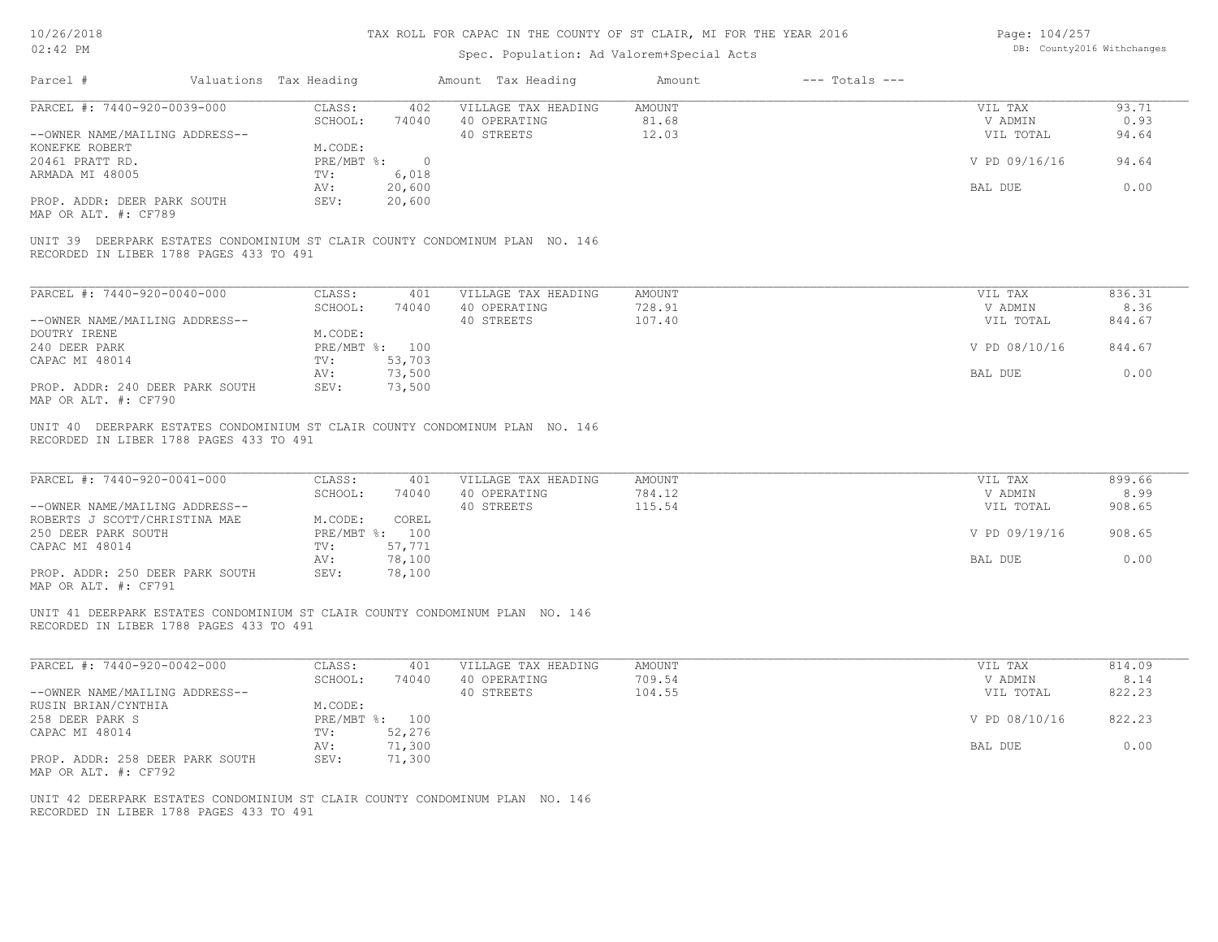10/26/2018 02:42 PM

## TAX ROLL FOR CAPAC IN THE COUNTY OF ST CLAIR, MI FOR THE YEAR 2016

## Spec. Population: Ad Valorem+Special Acts

Page: 104/257 DB: County2016 Withchanges

| PARCEL #: 7440-920-0039-000                                                                                             | CLASS:                       | 402                                     | VILLAGE TAX HEADING                               | AMOUNT                     | VIL TAX                                          | 93.71                              |
|-------------------------------------------------------------------------------------------------------------------------|------------------------------|-----------------------------------------|---------------------------------------------------|----------------------------|--------------------------------------------------|------------------------------------|
|                                                                                                                         | SCHOOL:                      | 74040                                   | 40 OPERATING                                      | 81.68                      | V ADMIN                                          | 0.93                               |
| --OWNER NAME/MAILING ADDRESS--                                                                                          |                              |                                         | 40 STREETS                                        | 12.03                      | VIL TOTAL                                        | 94.64                              |
| KONEFKE ROBERT                                                                                                          | M.CODE:                      |                                         |                                                   |                            |                                                  |                                    |
| 20461 PRATT RD.                                                                                                         | PRE/MBT %:                   | $\overline{0}$                          |                                                   |                            | V PD 09/16/16                                    | 94.64                              |
| ARMADA MI 48005                                                                                                         | TV:<br>AV:                   | 6,018<br>20,600                         |                                                   |                            | BAL DUE                                          | 0.00                               |
| PROP. ADDR: DEER PARK SOUTH                                                                                             | SEV:                         | 20,600                                  |                                                   |                            |                                                  |                                    |
| MAP OR ALT. #: CF789                                                                                                    |                              |                                         |                                                   |                            |                                                  |                                    |
| UNIT 39 DEERPARK ESTATES CONDOMINIUM ST CLAIR COUNTY CONDOMINUM PLAN NO. 146<br>RECORDED IN LIBER 1788 PAGES 433 TO 491 |                              |                                         |                                                   |                            |                                                  |                                    |
|                                                                                                                         |                              |                                         |                                                   |                            |                                                  |                                    |
| PARCEL #: 7440-920-0040-000                                                                                             | CLASS:                       | 401                                     | VILLAGE TAX HEADING                               | AMOUNT                     | VIL TAX                                          | 836.31                             |
|                                                                                                                         | SCHOOL:                      | 74040                                   | 40 OPERATING                                      | 728.91                     | V ADMIN                                          | 8.36                               |
| --OWNER NAME/MAILING ADDRESS--                                                                                          |                              |                                         | 40 STREETS                                        | 107.40                     | VIL TOTAL                                        | 844.67                             |
| DOUTRY IRENE                                                                                                            | M.CODE:                      |                                         |                                                   |                            |                                                  |                                    |
| 240 DEER PARK                                                                                                           |                              | PRE/MBT %: 100                          |                                                   |                            | V PD 08/10/16                                    | 844.67                             |
| CAPAC MI 48014                                                                                                          | TV:<br>AV:                   | 53,703<br>73,500                        |                                                   |                            | BAL DUE                                          | 0.00                               |
| PROP. ADDR: 240 DEER PARK SOUTH<br>MAP OR ALT. #: CF790                                                                 | SEV:                         | 73,500                                  |                                                   |                            |                                                  |                                    |
| PARCEL #: 7440-920-0041-000<br>--OWNER NAME/MAILING ADDRESS--<br>ROBERTS J SCOTT/CHRISTINA MAE<br>250 DEER PARK SOUTH   | CLASS:<br>SCHOOL:<br>M.CODE: | 401<br>74040<br>COREL<br>PRE/MBT %: 100 | VILLAGE TAX HEADING<br>40 OPERATING<br>40 STREETS | AMOUNT<br>784.12<br>115.54 | VIL TAX<br>V ADMIN<br>VIL TOTAL<br>V PD 09/19/16 | 899.66<br>8.99<br>908.65<br>908.65 |
| CAPAC MI 48014                                                                                                          | TV:                          | 57,771                                  |                                                   |                            |                                                  |                                    |
|                                                                                                                         | AV:                          | 78,100                                  |                                                   |                            | BAL DUE                                          | 0.00                               |
| PROP. ADDR: 250 DEER PARK SOUTH<br>MAP OR ALT. #: CF791                                                                 | SEV:                         | 78,100                                  |                                                   |                            |                                                  |                                    |
| UNIT 41 DEERPARK ESTATES CONDOMINIUM ST CLAIR COUNTY CONDOMINUM PLAN NO. 146<br>RECORDED IN LIBER 1788 PAGES 433 TO 491 |                              |                                         |                                                   |                            |                                                  |                                    |
| PARCEL #: 7440-920-0042-000                                                                                             | CLASS:                       | 401                                     | VILLAGE TAX HEADING                               | AMOUNT                     | VIL TAX                                          | 814.09                             |
|                                                                                                                         | SCHOOL:                      | 74040                                   | 40 OPERATING                                      | 709.54                     | V ADMIN                                          | 8.14                               |
| --OWNER NAME/MAILING ADDRESS--                                                                                          |                              |                                         | 40 STREETS                                        | 104.55                     | VIL TOTAL                                        | 822.23                             |
| RUSIN BRIAN/CYNTHIA                                                                                                     | M.CODE:                      |                                         |                                                   |                            |                                                  |                                    |
| 258 DEER PARK S                                                                                                         |                              | PRE/MBT %: 100                          |                                                   |                            | V PD 08/10/16                                    | 822.23                             |
| CAPAC MI 48014                                                                                                          | TV:                          | 52,276<br>71,300                        |                                                   |                            |                                                  | 0.00                               |
|                                                                                                                         | AV:<br>SEV:                  | 71,300                                  |                                                   |                            | BAL DUE                                          |                                    |
| PROP. ADDR: 258 DEER PARK SOUTH<br>MAP OR ALT. #: CF792                                                                 |                              |                                         |                                                   |                            |                                                  |                                    |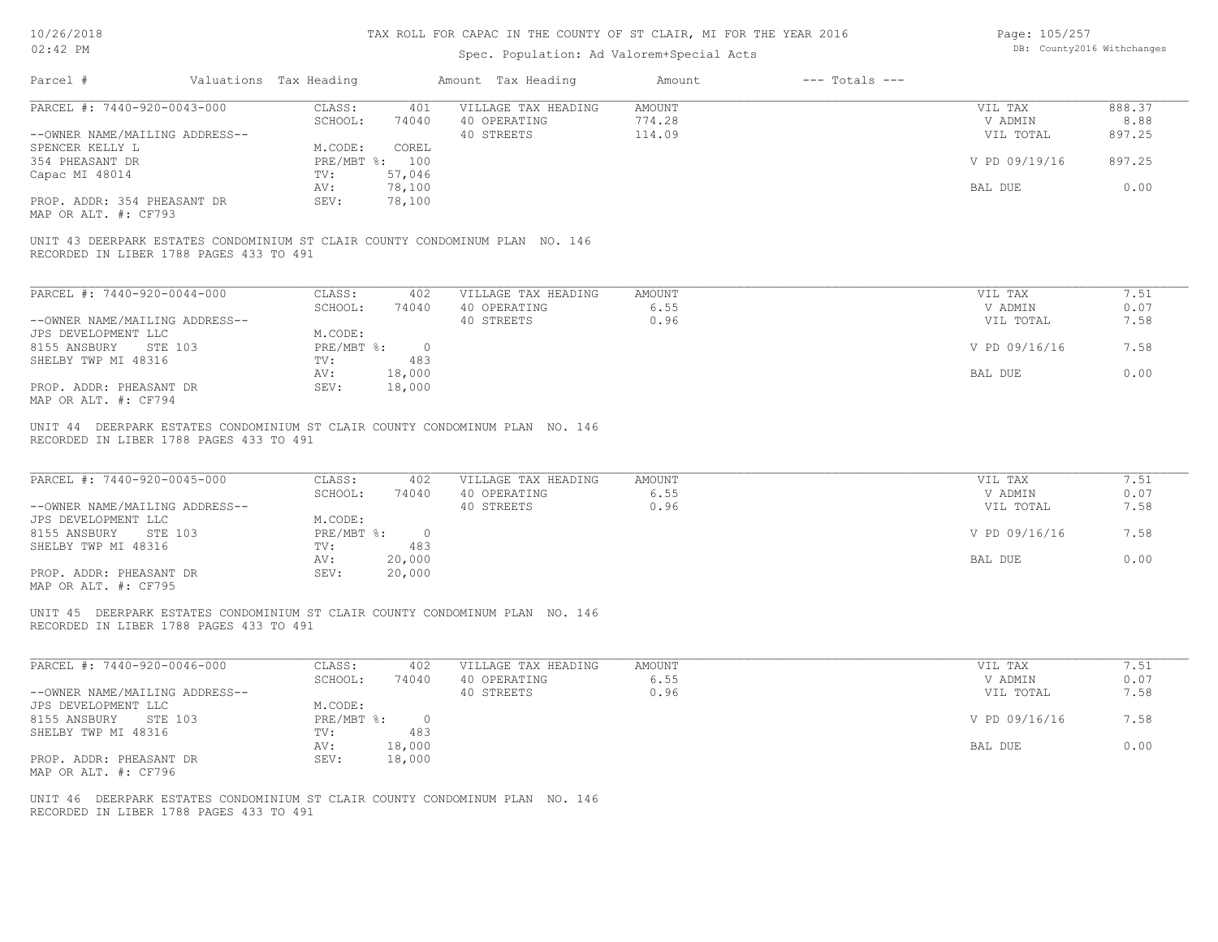| Page: 105/257 |                            |
|---------------|----------------------------|
|               | DB: County2016 Withchanges |

| Parcel #                                                                                                                | Valuations Tax Heading |                | Amount Tax Heading                  | Amount                | $---$ Totals $---$ |                    |              |
|-------------------------------------------------------------------------------------------------------------------------|------------------------|----------------|-------------------------------------|-----------------------|--------------------|--------------------|--------------|
| PARCEL #: 7440-920-0043-000                                                                                             | CLASS:                 |                | 401 VILLAGE TAX HEADING             | AMOUNT                |                    | VIL TAX            | 888.37       |
|                                                                                                                         | SCHOOL:                | 74040          | 40 OPERATING                        | 774.28                |                    | V ADMIN            | 8.88         |
| --OWNER NAME/MAILING ADDRESS--                                                                                          |                        |                | 40 STREETS                          | 114.09                |                    | VIL TOTAL          | 897.25       |
| SPENCER KELLY L                                                                                                         | M.CODE:                | COREL          |                                     |                       |                    |                    |              |
| 354 PHEASANT DR                                                                                                         |                        | PRE/MBT %: 100 |                                     |                       |                    | V PD 09/19/16      | 897.25       |
| Capac MI 48014                                                                                                          | TV:                    | 57,046         |                                     |                       |                    |                    |              |
|                                                                                                                         | AV:                    | 78,100         |                                     |                       |                    | BAL DUE            | 0.00         |
| PROP. ADDR: 354 PHEASANT DR                                                                                             | SEV:                   | 78,100         |                                     |                       |                    |                    |              |
| MAP OR ALT. #: CF793                                                                                                    |                        |                |                                     |                       |                    |                    |              |
| UNIT 43 DEERPARK ESTATES CONDOMINIUM ST CLAIR COUNTY CONDOMINUM PLAN NO. 146<br>RECORDED IN LIBER 1788 PAGES 433 TO 491 |                        |                |                                     |                       |                    |                    |              |
|                                                                                                                         |                        |                |                                     |                       |                    |                    |              |
| PARCEL #: 7440-920-0044-000                                                                                             | CLASS:                 | 402            | VILLAGE TAX HEADING                 | <b>AMOUNT</b>         |                    | VIL TAX            | 7.51         |
|                                                                                                                         | SCHOOL:                | 74040          | 40 OPERATING                        | 6.55                  |                    | V ADMIN            | 0.07         |
| --OWNER NAME/MAILING ADDRESS--                                                                                          |                        |                | 40 STREETS                          | 0.96                  |                    | VIL TOTAL          | 7.58         |
| JPS DEVELOPMENT LLC                                                                                                     | M.CODE:                |                |                                     |                       |                    |                    |              |
| 8155 ANSBURY<br>STE 103                                                                                                 |                        | PRE/MBT %: 0   |                                     |                       |                    | V PD 09/16/16      | 7.58         |
| SHELBY TWP MI 48316                                                                                                     | TV:                    | 483            |                                     |                       |                    |                    |              |
|                                                                                                                         | AV:                    | 18,000         |                                     |                       |                    | BAL DUE            | 0.00         |
| PROP. ADDR: PHEASANT DR<br>MAP OR ALT. #: CF794                                                                         | SEV:                   | 18,000         |                                     |                       |                    |                    |              |
| PARCEL #: 7440-920-0045-000                                                                                             | CLASS:<br>SCHOOL:      | 402<br>74040   | VILLAGE TAX HEADING<br>40 OPERATING | <b>AMOUNT</b><br>6.55 |                    | VIL TAX<br>V ADMIN | 7.51<br>0.07 |
| --OWNER NAME/MAILING ADDRESS--                                                                                          |                        |                | 40 STREETS                          | 0.96                  |                    | VIL TOTAL          | 7.58         |
| JPS DEVELOPMENT LLC                                                                                                     | M.CODE:                |                |                                     |                       |                    |                    |              |
| 8155 ANSBURY<br>STE 103                                                                                                 |                        | PRE/MBT %: 0   |                                     |                       |                    | V PD 09/16/16      | 7.58         |
| SHELBY TWP MI 48316                                                                                                     | TV:                    | 483            |                                     |                       |                    |                    |              |
|                                                                                                                         | AV:                    | 20,000         |                                     |                       |                    | BAL DUE            | 0.00         |
| PROP. ADDR: PHEASANT DR<br>MAP OR ALT. #: CF795                                                                         | SEV:                   | 20,000         |                                     |                       |                    |                    |              |
| UNIT 45 DEERPARK ESTATES CONDOMINIUM ST CLAIR COUNTY CONDOMINUM PLAN NO. 146<br>RECORDED IN LIBER 1788 PAGES 433 TO 491 |                        |                |                                     |                       |                    |                    |              |
|                                                                                                                         |                        |                |                                     |                       |                    |                    |              |
| PARCEL #: 7440-920-0046-000                                                                                             | CLASS:                 | 402            | VILLAGE TAX HEADING                 | AMOUNT                |                    | VIL TAX            | 7.51         |
|                                                                                                                         | SCHOOL:                | 74040          | 40 OPERATING                        | 6.55                  |                    | V ADMIN            | 0.07         |
| --OWNER NAME/MAILING ADDRESS--                                                                                          |                        |                | 40 STREETS                          | 0.96                  |                    | VIL TOTAL          | 7.58         |
| JPS DEVELOPMENT LLC                                                                                                     | M.CODE:                |                |                                     |                       |                    |                    |              |
| 8155 ANSBURY<br>STE 103                                                                                                 | $PRE/MBT$ %:           | $\overline{0}$ |                                     |                       |                    | V PD 09/16/16      | 7.58         |
| SHELBY TWP MI 48316                                                                                                     | TV:                    | 483            |                                     |                       |                    |                    |              |
|                                                                                                                         | AV:                    | 18,000         |                                     |                       |                    | BAL DUE            | 0.00         |
| PROP. ADDR: PHEASANT DR                                                                                                 | SEV:                   | 18,000         |                                     |                       |                    |                    |              |
| MAP OR ALT. #: CF796                                                                                                    |                        |                |                                     |                       |                    |                    |              |
|                                                                                                                         |                        |                |                                     |                       |                    |                    |              |
| UNIT 46 DEERPARK ESTATES CONDOMINIUM ST CLAIR COUNTY CONDOMINUM PLAN NO. 146                                            |                        |                |                                     |                       |                    |                    |              |
| RECORDED IN LIBER 1788 PAGES 433 TO 491                                                                                 |                        |                |                                     |                       |                    |                    |              |
|                                                                                                                         |                        |                |                                     |                       |                    |                    |              |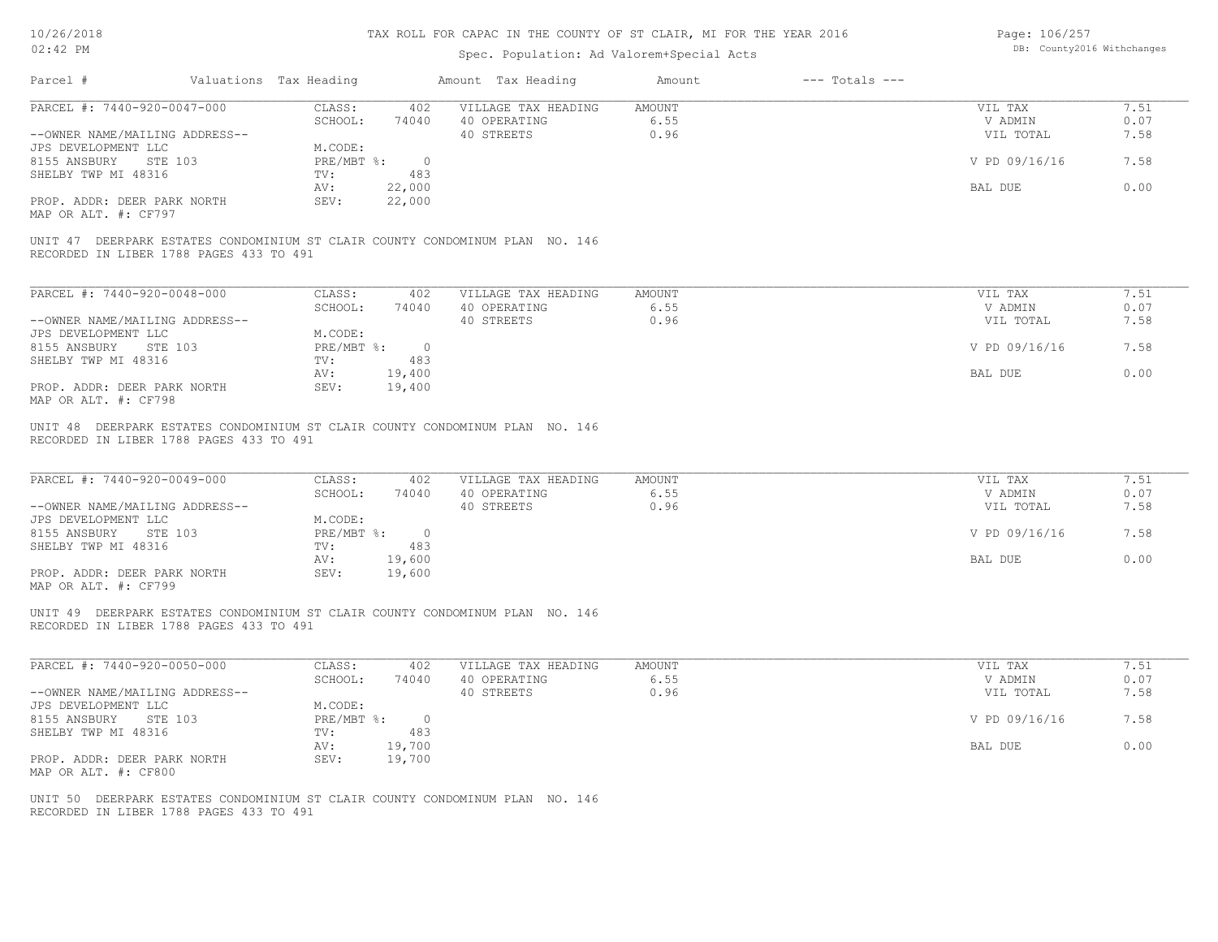| Page: 106/257 |                            |
|---------------|----------------------------|
|               | DB: County2016 Withchanges |

| PARCEL #: 7440-920-0047-000<br>CLASS:<br>402 VILLAGE TAX HEADING<br>AMOUNT<br>SCHOOL:<br>74040 40 OPERATING<br>6.55<br>40 STREETS<br>0.96<br>--OWNER NAME/MAILING ADDRESS--<br>M.CODE:<br>JPS DEVELOPMENT LLC<br>PRE/MBT %: 0<br>8155 ANSBURY STE 103<br>SHELBY TWP MI 48316<br>TV:<br>483 | 7.51<br>VIL TAX<br>V ADMIN<br>0.07<br>VIL TOTAL<br>7.58 |
|--------------------------------------------------------------------------------------------------------------------------------------------------------------------------------------------------------------------------------------------------------------------------------------------|---------------------------------------------------------|
|                                                                                                                                                                                                                                                                                            |                                                         |
|                                                                                                                                                                                                                                                                                            |                                                         |
|                                                                                                                                                                                                                                                                                            |                                                         |
|                                                                                                                                                                                                                                                                                            |                                                         |
|                                                                                                                                                                                                                                                                                            | V PD 09/16/16<br>7.58                                   |
|                                                                                                                                                                                                                                                                                            |                                                         |
| 22,000<br>AV:                                                                                                                                                                                                                                                                              | 0.00<br>BAL DUE                                         |
| PROP. ADDR: DEER PARK NORTH<br>SEV:<br>22,000                                                                                                                                                                                                                                              |                                                         |
| MAP OR ALT. #: CF797                                                                                                                                                                                                                                                                       |                                                         |
| UNIT 47 DEERPARK ESTATES CONDOMINIUM ST CLAIR COUNTY CONDOMINUM PLAN NO. 146<br>RECORDED IN LIBER 1788 PAGES 433 TO 491                                                                                                                                                                    |                                                         |
| PARCEL #: 7440-920-0048-000<br>CLASS:<br>402<br>VILLAGE TAX HEADING<br><b>AMOUNT</b>                                                                                                                                                                                                       | 7.51<br>VIL TAX                                         |
| SCHOOL:<br>40 OPERATING<br>6.55<br>74040                                                                                                                                                                                                                                                   | 0.07<br>V ADMIN                                         |
| 40 STREETS<br>0.96<br>--OWNER NAME/MAILING ADDRESS--                                                                                                                                                                                                                                       | 7.58<br>VIL TOTAL                                       |
| M.CODE:<br>JPS DEVELOPMENT LLC                                                                                                                                                                                                                                                             |                                                         |
| 8155 ANSBURY STE 103<br>PRE/MBT %: 0                                                                                                                                                                                                                                                       | V PD 09/16/16<br>7.58                                   |
| 483<br>SHELBY TWP MI 48316<br>TV:                                                                                                                                                                                                                                                          |                                                         |
| 19,400<br>AV:                                                                                                                                                                                                                                                                              | 0.00<br>BAL DUE                                         |
| SEV:<br>19,400<br>PROP. ADDR: DEER PARK NORTH<br>MAP OR ALT. #: CF798                                                                                                                                                                                                                      |                                                         |
| PARCEL #: 7440-920-0049-000<br>CLASS:<br>402<br>VILLAGE TAX HEADING<br>AMOUNT<br>SCHOOL:<br>40 OPERATING<br>6.55<br>74040                                                                                                                                                                  | 7.51<br>VIL TAX<br>V ADMIN<br>0.07                      |
| 0.96<br>--OWNER NAME/MAILING ADDRESS--<br>40 STREETS                                                                                                                                                                                                                                       | VIL TOTAL<br>7.58                                       |
| JPS DEVELOPMENT LLC<br>M.CODE:                                                                                                                                                                                                                                                             |                                                         |
| 8155 ANSBURY<br><b>STE 103</b><br>PRE/MBT %: 0<br>483<br>SHELBY TWP MI 48316<br>TV:                                                                                                                                                                                                        | V PD 09/16/16<br>7.58                                   |
| 19,600<br>AV:                                                                                                                                                                                                                                                                              | 0.00<br>BAL DUE                                         |
| PROP. ADDR: DEER PARK NORTH<br>SEV:<br>19,600<br>MAP OR ALT. #: CF799                                                                                                                                                                                                                      |                                                         |
| UNIT 49 DEERPARK ESTATES CONDOMINIUM ST CLAIR COUNTY CONDOMINUM PLAN NO. 146<br>RECORDED IN LIBER 1788 PAGES 433 TO 491                                                                                                                                                                    |                                                         |
| PARCEL #: 7440-920-0050-000<br>CLASS:<br>402<br>VILLAGE TAX HEADING<br>AMOUNT                                                                                                                                                                                                              | 7.51<br>VIL TAX                                         |
| SCHOOL:<br>40 OPERATING<br>6.55<br>74040                                                                                                                                                                                                                                                   | V ADMIN<br>0.07                                         |
|                                                                                                                                                                                                                                                                                            | 7.58<br>VIL TOTAL                                       |
| --OWNER NAME/MAILING ADDRESS--<br>0.96<br>40 STREETS                                                                                                                                                                                                                                       |                                                         |
| JPS DEVELOPMENT LLC<br>M.CODE:                                                                                                                                                                                                                                                             |                                                         |
| 8155 ANSBURY STE 103<br>PRE/MBT %: 0                                                                                                                                                                                                                                                       | V PD 09/16/16<br>7.58                                   |
| SHELBY TWP MI 48316<br>TV:<br>483                                                                                                                                                                                                                                                          |                                                         |
| 19,700<br>AV:                                                                                                                                                                                                                                                                              | 0.00<br>BAL DUE                                         |
| PROP. ADDR: DEER PARK NORTH<br>SEV:<br>19,700                                                                                                                                                                                                                                              |                                                         |
| MAP OR ALT. #: CF800                                                                                                                                                                                                                                                                       |                                                         |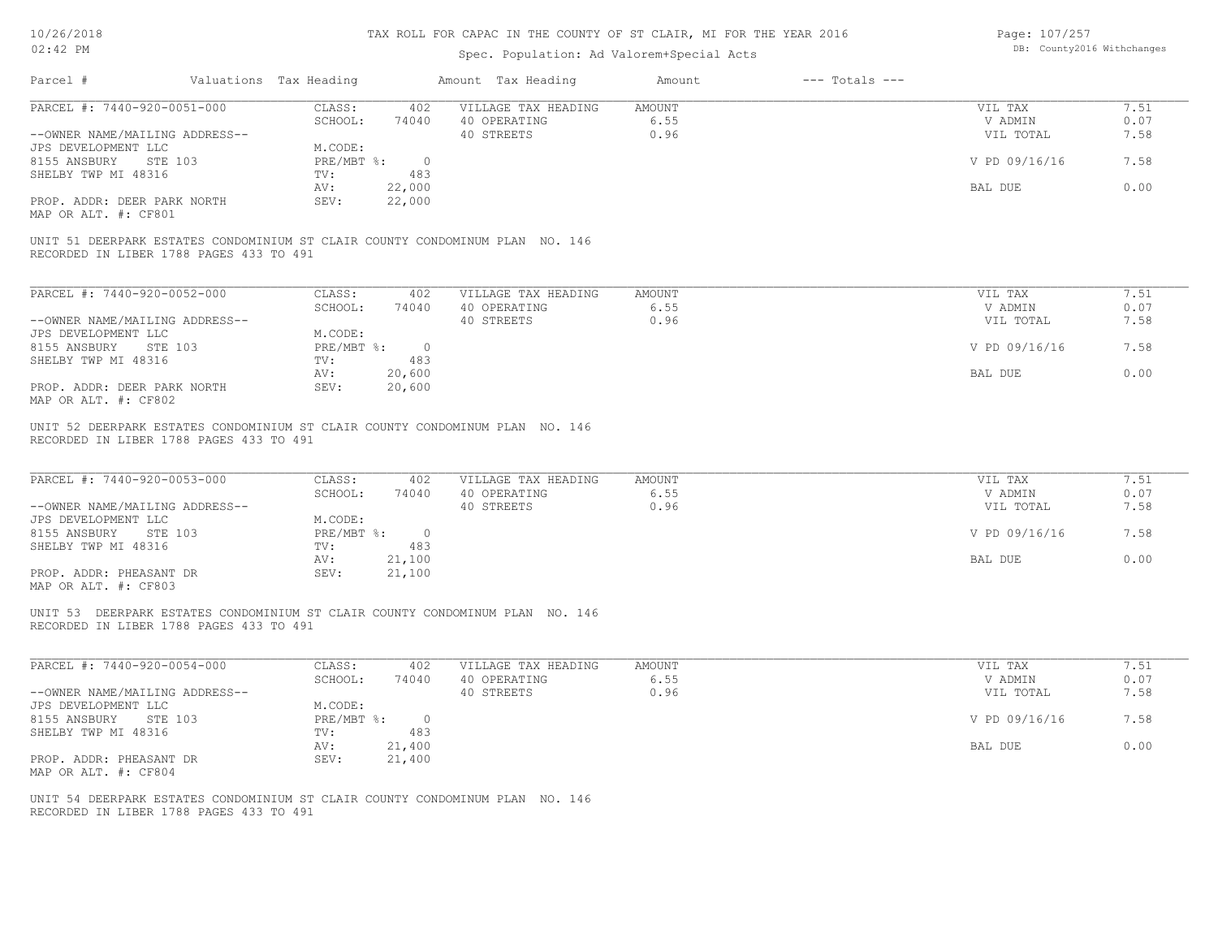## Spec. Population: Ad Valorem+Special Acts

Page: 107/257 DB: County2016 Withchanges

| Parcel #                                                                                                                            | Valuations Tax Heading                                                                      | Amount Tax Heading                                   | Amount                        | $---$ Totals $---$ |                                                             |                                      |
|-------------------------------------------------------------------------------------------------------------------------------------|---------------------------------------------------------------------------------------------|------------------------------------------------------|-------------------------------|--------------------|-------------------------------------------------------------|--------------------------------------|
| PARCEL #: 7440-920-0051-000                                                                                                         | CLASS:<br>SCHOOL:                                                                           | 402 VILLAGE TAX HEADING AMOUNT<br>74040 40 OPERATING | 6.55                          |                    | VIL TAX<br>V ADMIN                                          | 7.51<br>0.07                         |
| --OWNER NAME/MAILING ADDRESS--                                                                                                      |                                                                                             | 40 STREETS                                           | 0.96                          |                    | VIL TOTAL                                                   | 7.58                                 |
| JPS DEVELOPMENT LLC                                                                                                                 | M.CODE:                                                                                     |                                                      |                               |                    |                                                             |                                      |
| 8155 ANSBURY<br>STE 103                                                                                                             | PRE/MBT %: 0                                                                                |                                                      |                               |                    | V PD 09/16/16                                               | 7.58                                 |
| SHELBY TWP MI 48316                                                                                                                 | TV:<br>483<br>22,000<br>AV:                                                                 |                                                      |                               |                    | BAL DUE                                                     | 0.00                                 |
| PROP. ADDR: DEER PARK NORTH<br>MAP OR ALT. #: CF801                                                                                 | 22,000<br>SEV:                                                                              |                                                      |                               |                    |                                                             |                                      |
| UNIT 51 DEERPARK ESTATES CONDOMINIUM ST CLAIR COUNTY CONDOMINUM PLAN NO. 146<br>RECORDED IN LIBER 1788 PAGES 433 TO 491             |                                                                                             |                                                      |                               |                    |                                                             |                                      |
|                                                                                                                                     |                                                                                             |                                                      |                               |                    |                                                             |                                      |
| PARCEL #: 7440-920-0052-000                                                                                                         | CLASS: 402<br>SCHOOL:                                                                       | VILLAGE TAX HEADING                                  | <b>AMOUNT</b><br>6.55         |                    | VIL TAX                                                     | 7.51<br>0.07                         |
| --OWNER NAME/MAILING ADDRESS--                                                                                                      | 74040                                                                                       | 40 OPERATING<br>40 STREETS                           | 0.96                          |                    | V ADMIN<br>VIL TOTAL                                        | 7.58                                 |
| JPS DEVELOPMENT LLC                                                                                                                 | M.CODE:                                                                                     |                                                      |                               |                    |                                                             |                                      |
| 8155 ANSBURY STE 103                                                                                                                | PRE/MBT %: 0<br>TV:<br>483                                                                  |                                                      |                               |                    | V PD 09/16/16                                               | 7.58                                 |
| SHELBY TWP MI 48316                                                                                                                 | 20,600<br>AV:                                                                               |                                                      |                               |                    | BAL DUE                                                     | 0.00                                 |
| PROP. ADDR: DEER PARK NORTH<br>MAP OR ALT. #: CF802                                                                                 | SEV:<br>20,600                                                                              |                                                      |                               |                    |                                                             |                                      |
| UNIT 52 DEERPARK ESTATES CONDOMINIUM ST CLAIR COUNTY CONDOMINUM PLAN NO. 146<br>RECORDED IN LIBER 1788 PAGES 433 TO 491             |                                                                                             |                                                      |                               |                    |                                                             |                                      |
| PARCEL #: 7440-920-0053-000<br>--OWNER NAME/MAILING ADDRESS--<br>JPS DEVELOPMENT LLC<br>8155 ANSBURY STE 103<br>SHELBY TWP MI 48316 | CLASS:<br>402<br>SCHOOL:<br>74040<br>M.CODE:<br>PRE/MBT %: 0<br>TV:<br>483<br>21,100<br>AV: | VILLAGE TAX HEADING<br>40 OPERATING<br>40 STREETS    | <b>AMOUNT</b><br>6.55<br>0.96 |                    | VIL TAX<br>V ADMIN<br>VIL TOTAL<br>V PD 09/16/16<br>BAL DUE | 7.51<br>0.07<br>7.58<br>7.58<br>0.00 |
| PROP. ADDR: PHEASANT DR<br>MAP OR ALT. #: CF803                                                                                     | 21,100<br>SEV:                                                                              |                                                      |                               |                    |                                                             |                                      |
| UNIT 53 DEERPARK ESTATES CONDOMINIUM ST CLAIR COUNTY CONDOMINUM PLAN NO. 146<br>RECORDED IN LIBER 1788 PAGES 433 TO 491             |                                                                                             |                                                      |                               |                    |                                                             |                                      |
| PARCEL #: 7440-920-0054-000                                                                                                         | CLASS:<br>402                                                                               | VILLAGE TAX HEADING                                  | AMOUNT                        |                    | VIL TAX                                                     | 7.51                                 |
|                                                                                                                                     | SCHOOL:<br>74040                                                                            | 40 OPERATING                                         | 6.55                          |                    | V ADMIN                                                     | 0.07                                 |
| --OWNER NAME/MAILING ADDRESS--                                                                                                      |                                                                                             | 40 STREETS                                           | 0.96                          |                    | VIL TOTAL                                                   | 7.58                                 |
| JPS DEVELOPMENT LLC<br>8155 ANSBURY STE 103                                                                                         | M.CODE:<br>$PRE/MBT$ $\frac{1}{6}$ : 0                                                      |                                                      |                               |                    | V PD 09/16/16                                               | 7.58                                 |
| SHELBY TWP MI 48316                                                                                                                 | 483<br>TV:                                                                                  |                                                      |                               |                    |                                                             | 0.00                                 |
| PROP. ADDR: PHEASANT DR<br>MAP OR ALT. #: CF804                                                                                     | 21,400<br>AV:<br>SEV:<br>21,400                                                             |                                                      |                               |                    | BAL DUE                                                     |                                      |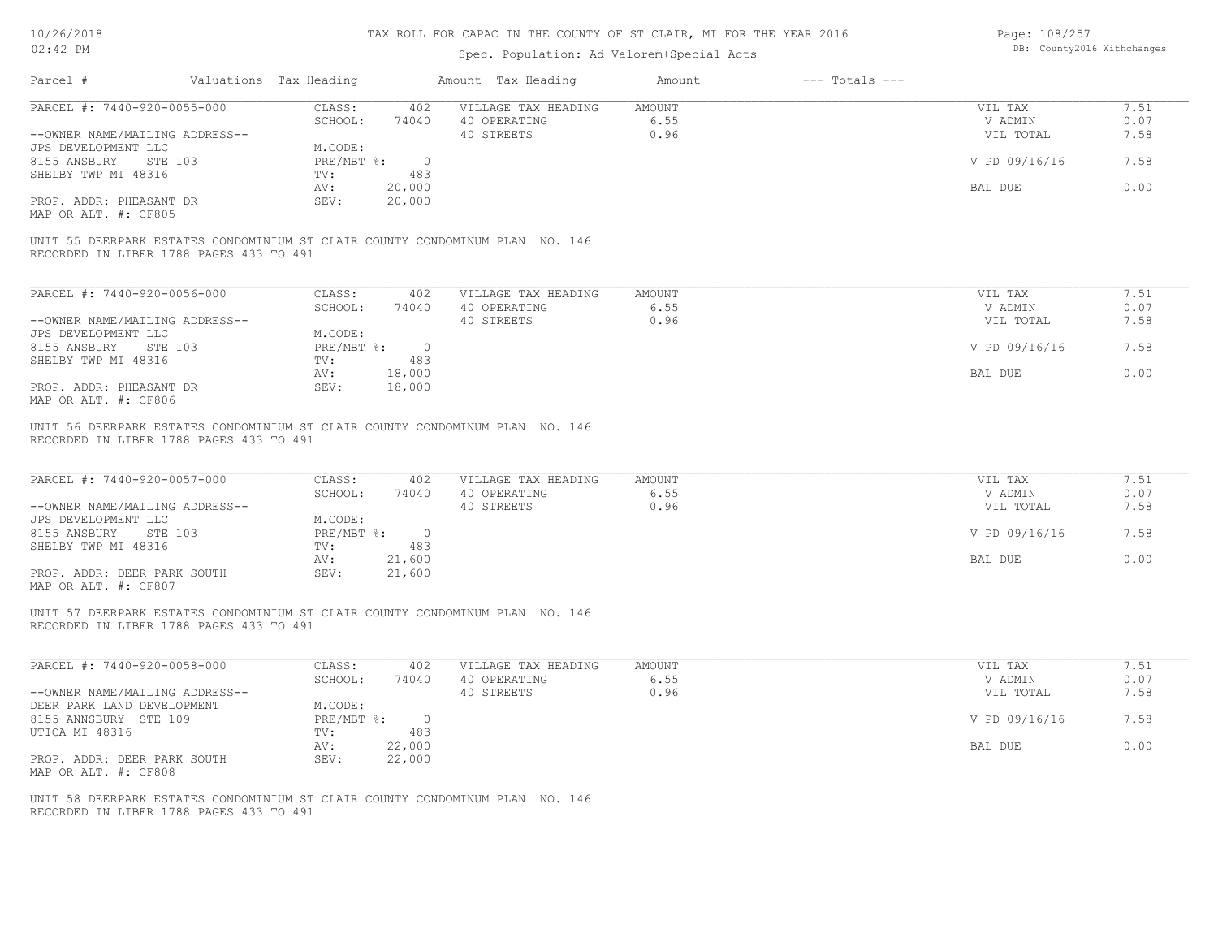# Spec. Population: Ad Valorem+Special Acts

Page: 108/257 DB: County2016 Withchanges

|                                                                                                                                     |                                                            |                               | Spec. Population: Ad Valorem+Special Acts         |                        |                    |                                                             |                                      |
|-------------------------------------------------------------------------------------------------------------------------------------|------------------------------------------------------------|-------------------------------|---------------------------------------------------|------------------------|--------------------|-------------------------------------------------------------|--------------------------------------|
| Parcel #                                                                                                                            | Valuations Tax Heading                                     |                               | Amount Tax Heading                                | Amount                 | $---$ Totals $---$ |                                                             |                                      |
| PARCEL #: 7440-920-0055-000                                                                                                         | CLASS:                                                     | 402                           | VILLAGE TAX HEADING                               | AMOUNT                 |                    | VIL TAX                                                     | 7.51                                 |
|                                                                                                                                     | SCHOOL:                                                    | 74040                         | 40 OPERATING                                      | 6.55                   |                    | V ADMIN                                                     | 0.07                                 |
| --OWNER NAME/MAILING ADDRESS--                                                                                                      |                                                            |                               | 40 STREETS                                        | 0.96                   |                    | VIL TOTAL                                                   | 7.58                                 |
| JPS DEVELOPMENT LLC                                                                                                                 | M.CODE:                                                    |                               |                                                   |                        |                    |                                                             |                                      |
| 8155 ANSBURY<br>STE 103                                                                                                             | PRE/MBT %:                                                 | $\overline{0}$                |                                                   |                        |                    | V PD 09/16/16                                               | 7.58                                 |
| SHELBY TWP MI 48316                                                                                                                 | TV:                                                        | 483                           |                                                   |                        |                    |                                                             | 0.00                                 |
| PROP. ADDR: PHEASANT DR                                                                                                             | AV:<br>SEV:                                                | 20,000                        |                                                   |                        |                    | BAL DUE                                                     |                                      |
| MAP OR ALT. #: CF805                                                                                                                |                                                            | 20,000                        |                                                   |                        |                    |                                                             |                                      |
|                                                                                                                                     |                                                            |                               |                                                   |                        |                    |                                                             |                                      |
| UNIT 55 DEERPARK ESTATES CONDOMINIUM ST CLAIR COUNTY CONDOMINUM PLAN NO. 146<br>RECORDED IN LIBER 1788 PAGES 433 TO 491             |                                                            |                               |                                                   |                        |                    |                                                             |                                      |
|                                                                                                                                     |                                                            |                               |                                                   |                        |                    |                                                             |                                      |
| PARCEL #: 7440-920-0056-000                                                                                                         | CLASS:                                                     | 402                           | VILLAGE TAX HEADING                               | <b>AMOUNT</b>          |                    | VIL TAX                                                     | 7.51                                 |
|                                                                                                                                     | SCHOOL:                                                    | 74040                         | 40 OPERATING                                      | 6.55                   |                    | V ADMIN                                                     | 0.07                                 |
| --OWNER NAME/MAILING ADDRESS--                                                                                                      |                                                            |                               | 40 STREETS                                        | 0.96                   |                    | VIL TOTAL                                                   | 7.58                                 |
| JPS DEVELOPMENT LLC                                                                                                                 | M.CODE:                                                    |                               |                                                   |                        |                    |                                                             |                                      |
| 8155 ANSBURY STE 103                                                                                                                | PRE/MBT %: 0                                               |                               |                                                   |                        |                    | V PD 09/16/16                                               | 7.58                                 |
| SHELBY TWP MI 48316                                                                                                                 | TV:                                                        | 483                           |                                                   |                        |                    |                                                             |                                      |
|                                                                                                                                     | AV:                                                        | 18,000                        |                                                   |                        |                    | BAL DUE                                                     | 0.00                                 |
| PROP. ADDR: PHEASANT DR<br>MAP OR ALT. #: CF806                                                                                     | SEV:                                                       | 18,000                        |                                                   |                        |                    |                                                             |                                      |
| PARCEL #: 7440-920-0057-000<br>--OWNER NAME/MAILING ADDRESS--<br>JPS DEVELOPMENT LLC<br>8155 ANSBURY STE 103<br>SHELBY TWP MI 48316 | CLASS:<br>SCHOOL:<br>M.CODE:<br>PRE/MBT %: 0<br>TV:<br>AV: | 402<br>74040<br>483<br>21,600 | VILLAGE TAX HEADING<br>40 OPERATING<br>40 STREETS | AMOUNT<br>6.55<br>0.96 |                    | VIL TAX<br>V ADMIN<br>VIL TOTAL<br>V PD 09/16/16<br>BAL DUE | 7.51<br>0.07<br>7.58<br>7.58<br>0.00 |
| PROP. ADDR: DEER PARK SOUTH<br>MAP OR ALT. #: CF807                                                                                 | SEV:                                                       | 21,600                        |                                                   |                        |                    |                                                             |                                      |
| UNIT 57 DEERPARK ESTATES CONDOMINIUM ST CLAIR COUNTY CONDOMINUM PLAN NO. 146<br>RECORDED IN LIBER 1788 PAGES 433 TO 491             |                                                            |                               |                                                   |                        |                    |                                                             |                                      |
| PARCEL #: 7440-920-0058-000                                                                                                         | CLASS:                                                     | 402                           | VILLAGE TAX HEADING                               | <b>AMOUNT</b>          |                    | VIL TAX                                                     | 7.51                                 |
|                                                                                                                                     | SCHOOL:                                                    | 74040                         | 40 OPERATING                                      | 6.55                   |                    | V ADMIN                                                     | 0.07                                 |
| --OWNER NAME/MAILING ADDRESS--                                                                                                      |                                                            |                               | 40 STREETS                                        | 0.96                   |                    | VIL TOTAL                                                   | 7.58                                 |
| DEER PARK LAND DEVELOPMENT                                                                                                          | M.CODE:                                                    |                               |                                                   |                        |                    |                                                             |                                      |
| 8155 ANNSBURY STE 109                                                                                                               | PRE/MBT %:                                                 | $\overline{0}$                |                                                   |                        |                    | V PD 09/16/16                                               | 7.58                                 |
| UTICA MI 48316                                                                                                                      | TV:                                                        | 483                           |                                                   |                        |                    |                                                             |                                      |
| PROP. ADDR: DEER PARK SOUTH                                                                                                         | AV:<br>SEV:                                                | 22,000<br>22,000              |                                                   |                        |                    | BAL DUE                                                     | 0.00                                 |
| MAP OR ALT. #: CF808                                                                                                                |                                                            |                               |                                                   |                        |                    |                                                             |                                      |
| UNIT 58 DEERPARK ESTATES CONDOMINIUM ST CLAIR COUNTY CONDOMINUM PLAN NO. 146<br>RECORDED IN LIBER 1788 PAGES 433 TO 491             |                                                            |                               |                                                   |                        |                    |                                                             |                                      |
|                                                                                                                                     |                                                            |                               |                                                   |                        |                    |                                                             |                                      |
|                                                                                                                                     |                                                            |                               |                                                   |                        |                    |                                                             |                                      |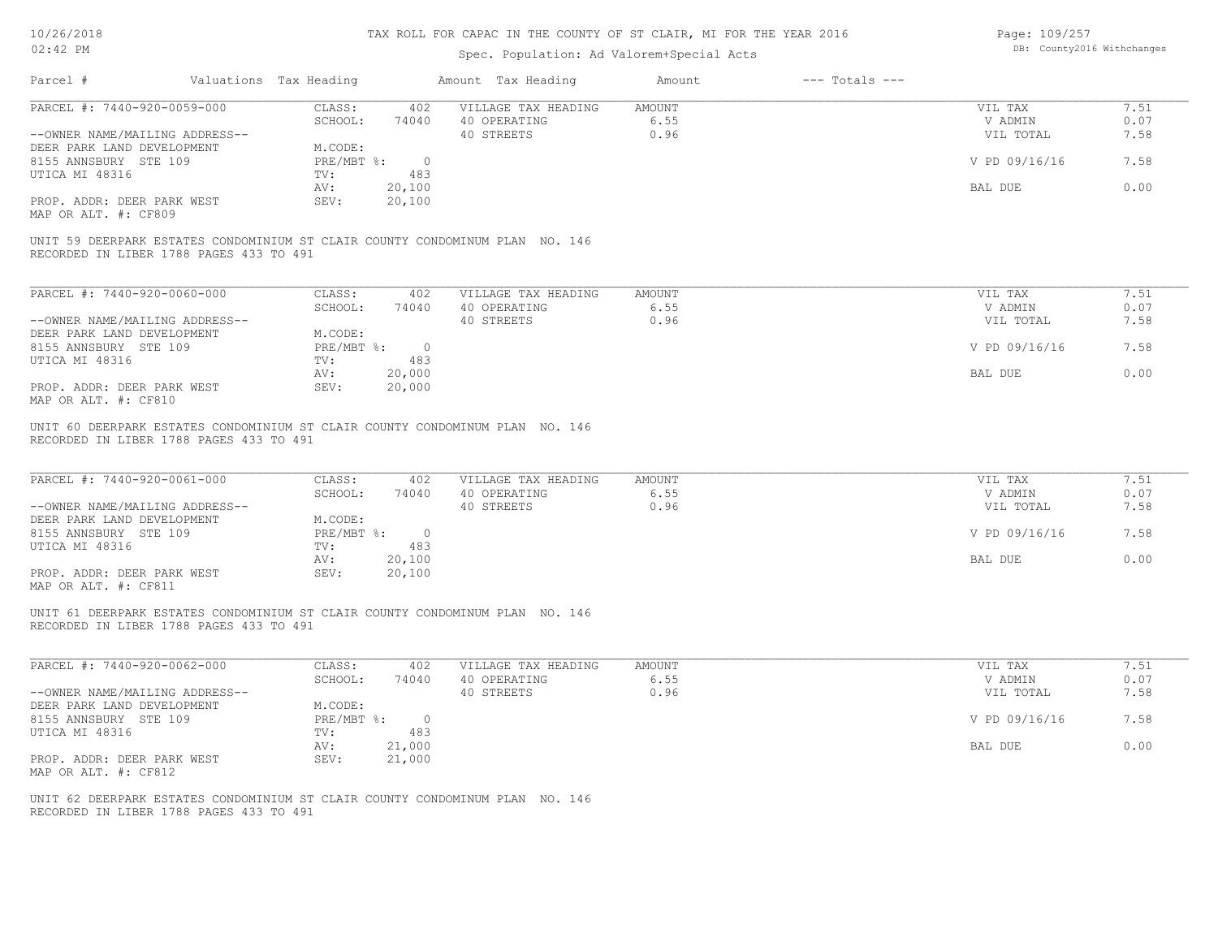## Spec. Population: Ad Valorem+Special Acts

| Page: 109/257 |                            |
|---------------|----------------------------|
|               | DB: County2016 Withchanges |

|                                                                                                                         |                                   | Amount Tax Heading                  |                |                    |              |
|-------------------------------------------------------------------------------------------------------------------------|-----------------------------------|-------------------------------------|----------------|--------------------|--------------|
| PARCEL #: 7440-920-0059-000                                                                                             | CLASS:<br>402                     | VILLAGE TAX HEADING                 | AMOUNT         | VIL TAX            | 7.51         |
|                                                                                                                         | SCHOOL:<br>74040                  | 40 OPERATING                        | 6.55           | V ADMIN            | 0.07         |
| --OWNER NAME/MAILING ADDRESS--                                                                                          |                                   | 40 STREETS                          | 0.96           | VIL TOTAL          | 7.58         |
| DEER PARK LAND DEVELOPMENT                                                                                              | M.CODE:                           |                                     |                |                    |              |
| 8155 ANNSBURY STE 109                                                                                                   | PRE/MBT %: 0                      |                                     |                | V PD 09/16/16      | 7.58         |
| UTICA MI 48316                                                                                                          | 483<br>TV:                        |                                     |                |                    |              |
|                                                                                                                         | 20,100<br>AV:                     |                                     |                | BAL DUE            | 0.00         |
| PROP. ADDR: DEER PARK WEST<br>MAP OR ALT. #: CF809                                                                      | 20,100<br>SEV:                    |                                     |                |                    |              |
| UNIT 59 DEERPARK ESTATES CONDOMINIUM ST CLAIR COUNTY CONDOMINUM PLAN NO. 146<br>RECORDED IN LIBER 1788 PAGES 433 TO 491 |                                   |                                     |                |                    |              |
|                                                                                                                         |                                   |                                     |                |                    |              |
| PARCEL #: 7440-920-0060-000                                                                                             | CLASS:<br>402                     | VILLAGE TAX HEADING                 | AMOUNT         | VIL TAX            | 7.51         |
|                                                                                                                         | SCHOOL:<br>74040                  | 40 OPERATING                        | 6.55           | V ADMIN            | 0.07         |
| --OWNER NAME/MAILING ADDRESS--                                                                                          |                                   | 40 STREETS                          | 0.96           | VIL TOTAL          | 7.58         |
| DEER PARK LAND DEVELOPMENT                                                                                              | M.CODE:                           |                                     |                |                    |              |
| 8155 ANNSBURY STE 109                                                                                                   | PRE/MBT %: 0                      |                                     |                | V PD 09/16/16      | 7.58         |
| UTICA MI 48316                                                                                                          | 483<br>TV:                        |                                     |                |                    |              |
|                                                                                                                         | 20,000<br>AV:                     |                                     |                | BAL DUE            | 0.00         |
| PROP. ADDR: DEER PARK WEST<br>MAP OR ALT. #: CF810                                                                      | SEV:<br>20,000                    |                                     |                |                    |              |
| UNIT 60 DEERPARK ESTATES CONDOMINIUM ST CLAIR COUNTY CONDOMINUM PLAN NO. 146<br>RECORDED IN LIBER 1788 PAGES 433 TO 491 |                                   |                                     |                |                    |              |
| PARCEL #: 7440-920-0061-000                                                                                             | CLASS:<br>402<br>SCHOOL:<br>74040 | VILLAGE TAX HEADING<br>40 OPERATING | AMOUNT<br>6.55 | VIL TAX<br>V ADMIN | 7.51<br>0.07 |
| --OWNER NAME/MAILING ADDRESS--                                                                                          |                                   | 40 STREETS                          | 0.96           | VIL TOTAL          | 7.58         |
| DEER PARK LAND DEVELOPMENT                                                                                              | M.CODE:                           |                                     |                |                    |              |
| 8155 ANNSBURY STE 109                                                                                                   | PRE/MBT %: 0                      |                                     |                | V PD 09/16/16      | 7.58         |
| UTICA MI 48316                                                                                                          | 483<br>TV:                        |                                     |                |                    |              |
|                                                                                                                         | AV:<br>20,100                     |                                     |                | BAL DUE            | 0.00         |
| PROP. ADDR: DEER PARK WEST<br>MAP OR ALT. #: CF811                                                                      | SEV:<br>20,100                    |                                     |                |                    |              |
| UNIT 61 DEERPARK ESTATES CONDOMINIUM ST CLAIR COUNTY CONDOMINUM PLAN NO. 146<br>RECORDED IN LIBER 1788 PAGES 433 TO 491 |                                   |                                     |                |                    |              |
| PARCEL #: 7440-920-0062-000                                                                                             | CLASS:<br>402                     | VILLAGE TAX HEADING                 | AMOUNT         | VIL TAX            | 7.51         |
|                                                                                                                         | SCHOOL:<br>74040                  | 40 OPERATING                        | 6.55           | V ADMIN            | 0.07         |
| --OWNER NAME/MAILING ADDRESS--                                                                                          |                                   | 40 STREETS                          | 0.96           | VIL TOTAL          | 7.58         |
| DEER PARK LAND DEVELOPMENT                                                                                              | M.CODE:                           |                                     |                |                    |              |
| 8155 ANNSBURY STE 109                                                                                                   | PRE/MBT %: 0                      |                                     |                | V PD 09/16/16      | 7.58         |
| UTICA MI 48316                                                                                                          | 483<br>TV:                        |                                     |                |                    |              |
|                                                                                                                         | AV:<br>21,000                     |                                     |                | BAL DUE            | 0.00         |
| PROP. ADDR: DEER PARK WEST<br>MAP OR ALT. #: CF812                                                                      | SEV:<br>21,000                    |                                     |                |                    |              |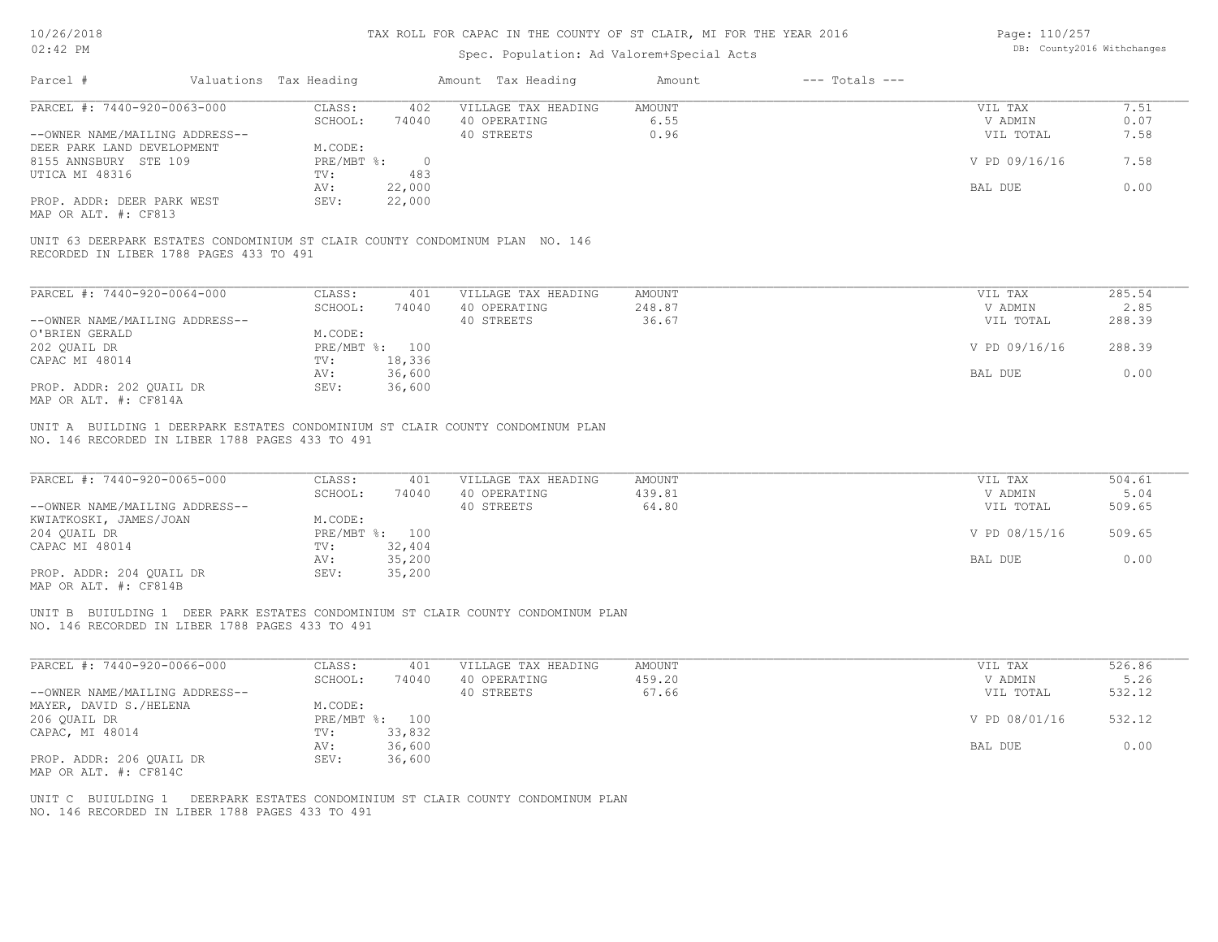# Spec. Population: Ad Valorem+Special Acts

Page: 110/257 DB: County2016 Withchanges

|                                                                                                                                                              |                                                                                                                    | Spec. Population: Ad Valorem+Special Acts         |                                  |                    |                                                             |                                            |
|--------------------------------------------------------------------------------------------------------------------------------------------------------------|--------------------------------------------------------------------------------------------------------------------|---------------------------------------------------|----------------------------------|--------------------|-------------------------------------------------------------|--------------------------------------------|
| Parcel #                                                                                                                                                     | Valuations Tax Heading                                                                                             | Amount Tax Heading                                | Amount                           | $---$ Totals $---$ |                                                             |                                            |
| PARCEL #: 7440-920-0063-000                                                                                                                                  | CLASS:<br>402                                                                                                      | VILLAGE TAX HEADING                               | <b>AMOUNT</b>                    |                    | VIL TAX                                                     | 7.51                                       |
|                                                                                                                                                              | SCHOOL:<br>74040                                                                                                   | 40 OPERATING                                      | 6.55                             |                    | V ADMIN                                                     | 0.07                                       |
| --OWNER NAME/MAILING ADDRESS--                                                                                                                               |                                                                                                                    | 40 STREETS                                        | 0.96                             |                    | VIL TOTAL                                                   | 7.58                                       |
| DEER PARK LAND DEVELOPMENT                                                                                                                                   | M.CODE:                                                                                                            |                                                   |                                  |                    |                                                             |                                            |
| 8155 ANNSBURY STE 109                                                                                                                                        | $PRE/MBT$ $\div$<br>$\overline{0}$                                                                                 |                                                   |                                  |                    | V PD 09/16/16                                               | 7.58                                       |
| UTICA MI 48316                                                                                                                                               | TV:<br>483                                                                                                         |                                                   |                                  |                    |                                                             |                                            |
|                                                                                                                                                              | 22,000<br>AV:                                                                                                      |                                                   |                                  |                    | BAL DUE                                                     | 0.00                                       |
| PROP. ADDR: DEER PARK WEST                                                                                                                                   | SEV:<br>22,000                                                                                                     |                                                   |                                  |                    |                                                             |                                            |
| MAP OR ALT. #: CF813                                                                                                                                         |                                                                                                                    |                                                   |                                  |                    |                                                             |                                            |
| UNIT 63 DEERPARK ESTATES CONDOMINIUM ST CLAIR COUNTY CONDOMINUM PLAN NO. 146<br>RECORDED IN LIBER 1788 PAGES 433 TO 491                                      |                                                                                                                    |                                                   |                                  |                    |                                                             |                                            |
| PARCEL #: 7440-920-0064-000                                                                                                                                  | CLASS:<br>401                                                                                                      | VILLAGE TAX HEADING                               | <b>AMOUNT</b>                    |                    | VIL TAX                                                     | 285.54                                     |
|                                                                                                                                                              | SCHOOL:<br>74040                                                                                                   | 40 OPERATING                                      | 248.87                           |                    | V ADMIN                                                     | 2.85                                       |
|                                                                                                                                                              |                                                                                                                    |                                                   |                                  |                    |                                                             |                                            |
| --OWNER NAME/MAILING ADDRESS--                                                                                                                               |                                                                                                                    | 40 STREETS                                        | 36.67                            |                    | VIL TOTAL                                                   | 288.39                                     |
| O'BRIEN GERALD                                                                                                                                               | M.CODE:                                                                                                            |                                                   |                                  |                    |                                                             |                                            |
| 202 QUAIL DR                                                                                                                                                 | PRE/MBT %: 100                                                                                                     |                                                   |                                  |                    | V PD 09/16/16                                               | 288.39                                     |
| CAPAC MI 48014                                                                                                                                               | 18,336<br>TV:                                                                                                      |                                                   |                                  |                    |                                                             |                                            |
|                                                                                                                                                              | 36,600<br>AV:                                                                                                      |                                                   |                                  |                    | BAL DUE                                                     | 0.00                                       |
| PROP. ADDR: 202 QUAIL DR<br>MAP OR ALT. #: CF814A                                                                                                            | 36,600<br>SEV:                                                                                                     |                                                   |                                  |                    |                                                             |                                            |
| PARCEL #: 7440-920-0065-000<br>--OWNER NAME/MAILING ADDRESS--<br>KWIATKOSKI, JAMES/JOAN<br>204 OUAIL DR<br>CAPAC MI 48014<br>PROP. ADDR: 204 QUAIL DR        | CLASS:<br>401<br>SCHOOL:<br>74040<br>M.CODE:<br>PRE/MBT %: 100<br>32,404<br>TV:<br>35,200<br>AV:<br>SEV:<br>35,200 | VILLAGE TAX HEADING<br>40 OPERATING<br>40 STREETS | <b>AMOUNT</b><br>439.81<br>64.80 |                    | VIL TAX<br>V ADMIN<br>VIL TOTAL<br>V PD 08/15/16<br>BAL DUE | 504.61<br>5.04<br>509.65<br>509.65<br>0.00 |
| MAP OR ALT. #: CF814B<br>UNIT B BUIULDING 1 DEER PARK ESTATES CONDOMINIUM ST CLAIR COUNTY CONDOMINUM PLAN<br>NO. 146 RECORDED IN LIBER 1788 PAGES 433 TO 491 |                                                                                                                    |                                                   |                                  |                    |                                                             |                                            |
| PARCEL #: 7440-920-0066-000                                                                                                                                  | CLASS:<br>401                                                                                                      | VILLAGE TAX HEADING                               | <b>AMOUNT</b>                    |                    | VIL TAX                                                     | 526.86                                     |
|                                                                                                                                                              | SCHOOL:<br>74040                                                                                                   | 40 OPERATING                                      | 459.20                           |                    | V ADMIN                                                     | 5.26                                       |
| --OWNER NAME/MAILING ADDRESS--                                                                                                                               |                                                                                                                    | 40 STREETS                                        | 67.66                            |                    | VIL TOTAL                                                   | 532.12                                     |
| MAYER, DAVID S./HELENA                                                                                                                                       | M.CODE:                                                                                                            |                                                   |                                  |                    |                                                             |                                            |
| 206 QUAIL DR                                                                                                                                                 | PRE/MBT %: 100                                                                                                     |                                                   |                                  |                    | V PD 08/01/16                                               | 532.12                                     |
| CAPAC, MI 48014                                                                                                                                              | 33,832<br>TV:                                                                                                      |                                                   |                                  |                    |                                                             |                                            |
|                                                                                                                                                              | 36,600<br>AV:                                                                                                      |                                                   |                                  |                    | BAL DUE                                                     | 0.00                                       |
| PROP. ADDR: 206 QUAIL DR<br>MAP OR ALT. #: CF814C                                                                                                            | 36,600<br>SEV:                                                                                                     |                                                   |                                  |                    |                                                             |                                            |
| UNIT C BUIULDING 1 DEERPARK ESTATES CONDOMINIUM ST CLAIR COUNTY CONDOMINUM PLAN<br>NO. 146 RECORDED IN LIBER 1788 PAGES 433 TO 491                           |                                                                                                                    |                                                   |                                  |                    |                                                             |                                            |
|                                                                                                                                                              |                                                                                                                    |                                                   |                                  |                    |                                                             |                                            |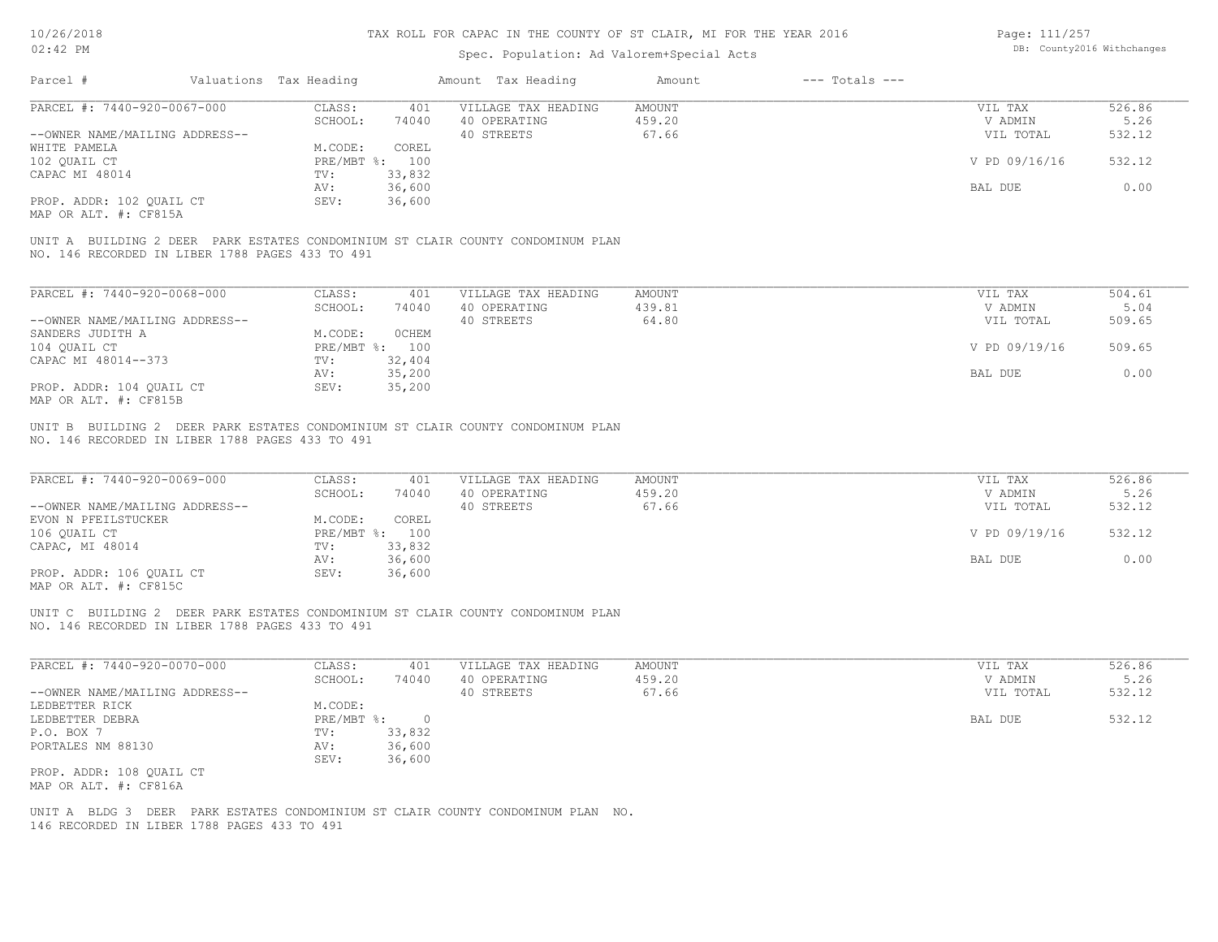| 10/26/2018                                        |                                                 |                        |                | TAX ROLL FOR CAPAC IN THE COUNTY OF ST CLAIR, MI FOR THE YEAR 2016              |                         |                    | Page: 111/257        |                            |
|---------------------------------------------------|-------------------------------------------------|------------------------|----------------|---------------------------------------------------------------------------------|-------------------------|--------------------|----------------------|----------------------------|
| $02:42$ PM                                        |                                                 |                        |                | Spec. Population: Ad Valorem+Special Acts                                       |                         |                    |                      | DB: County2016 Withchanges |
| Parcel #                                          |                                                 | Valuations Tax Heading |                | Amount Tax Heading                                                              | Amount                  | $---$ Totals $---$ |                      |                            |
| PARCEL #: 7440-920-0067-000                       |                                                 | CLASS:                 | 401            | VILLAGE TAX HEADING                                                             | <b>AMOUNT</b>           |                    | VIL TAX              | 526.86                     |
|                                                   |                                                 | SCHOOL:                | 74040          | 40 OPERATING                                                                    | 459.20                  |                    | V ADMIN              | 5.26                       |
| --OWNER NAME/MAILING ADDRESS--                    |                                                 |                        |                | 40 STREETS                                                                      | 67.66                   |                    | VIL TOTAL            | 532.12                     |
| WHITE PAMELA                                      |                                                 | M.CODE:                | COREL          |                                                                                 |                         |                    |                      |                            |
| 102 QUAIL CT                                      |                                                 | PRE/MBT %: 100         |                |                                                                                 |                         |                    | V PD 09/16/16        | 532.12                     |
| CAPAC MI 48014                                    |                                                 | TV:                    | 33,832         |                                                                                 |                         |                    |                      |                            |
|                                                   |                                                 | AV:                    | 36,600         |                                                                                 |                         |                    | BAL DUE              | 0.00                       |
| PROP. ADDR: 102 QUAIL CT<br>MAP OR ALT. #: CF815A |                                                 | SEV:                   | 36,600         |                                                                                 |                         |                    |                      |                            |
|                                                   | NO. 146 RECORDED IN LIBER 1788 PAGES 433 TO 491 |                        |                | UNIT A BUILDING 2 DEER PARK ESTATES CONDOMINIUM ST CLAIR COUNTY CONDOMINUM PLAN |                         |                    |                      |                            |
| PARCEL #: 7440-920-0068-000                       |                                                 | CLASS:                 | 401            | VILLAGE TAX HEADING                                                             | <b>AMOUNT</b>           |                    | VIL TAX              | 504.61                     |
|                                                   |                                                 | SCHOOL:                | 74040          | 40 OPERATING                                                                    | 439.81                  |                    | V ADMIN              | 5.04                       |
| --OWNER NAME/MAILING ADDRESS--                    |                                                 |                        |                | 40 STREETS                                                                      | 64.80                   |                    | VIL TOTAL            | 509.65                     |
| SANDERS JUDITH A                                  |                                                 | M.CODE:                | <b>OCHEM</b>   |                                                                                 |                         |                    |                      |                            |
| 104 QUAIL CT                                      |                                                 | PRE/MBT %: 100         |                |                                                                                 |                         |                    | V PD 09/19/16        | 509.65                     |
| CAPAC MI 48014--373                               |                                                 | TV:                    | 32,404         |                                                                                 |                         |                    |                      |                            |
|                                                   |                                                 | AV:                    | 35,200         |                                                                                 |                         |                    | BAL DUE              | 0.00                       |
| PROP. ADDR: 104 QUAIL CT                          |                                                 | SEV:                   | 35,200         |                                                                                 |                         |                    |                      |                            |
| MAP OR ALT. #: CF815B                             |                                                 |                        |                |                                                                                 |                         |                    |                      |                            |
| PARCEL #: 7440-920-0069-000                       | NO. 146 RECORDED IN LIBER 1788 PAGES 433 TO 491 | CLASS:                 | 401            | VILLAGE TAX HEADING                                                             | <b>AMOUNT</b><br>459.20 |                    | VIL TAX              | 526.86                     |
| --OWNER NAME/MAILING ADDRESS--                    |                                                 | SCHOOL:                | 74040          | 40 OPERATING<br>40 STREETS                                                      | 67.66                   |                    | V ADMIN<br>VIL TOTAL | 5.26<br>532.12             |
| EVON N PFEILSTUCKER                               |                                                 | M.CODE:                | COREL          |                                                                                 |                         |                    |                      |                            |
| 106 QUAIL CT                                      |                                                 | PRE/MBT %: 100         |                |                                                                                 |                         |                    | V PD 09/19/16        | 532.12                     |
| CAPAC, MI 48014                                   |                                                 | TV:                    | 33,832         |                                                                                 |                         |                    |                      |                            |
|                                                   |                                                 | AV:                    | 36,600         |                                                                                 |                         |                    | BAL DUE              | 0.00                       |
| PROP. ADDR: 106 QUAIL CT<br>MAP OR ALT. #: CF815C |                                                 | SEV:                   | 36,600         |                                                                                 |                         |                    |                      |                            |
|                                                   | NO. 146 RECORDED IN LIBER 1788 PAGES 433 TO 491 |                        |                | UNIT C BUILDING 2 DEER PARK ESTATES CONDOMINIUM ST CLAIR COUNTY CONDOMINUM PLAN |                         |                    |                      |                            |
|                                                   |                                                 |                        |                |                                                                                 |                         |                    |                      |                            |
| PARCEL #: 7440-920-0070-000                       |                                                 | CLASS:                 | 401            | VILLAGE TAX HEADING                                                             | <b>AMOUNT</b>           |                    | VIL TAX              | 526.86                     |
|                                                   |                                                 | SCHOOL:                | 74040          | 40 OPERATING                                                                    | 459.20                  |                    | V ADMIN              | 5.26                       |
| --OWNER NAME/MAILING ADDRESS--                    |                                                 |                        |                | 40 STREETS                                                                      | 67.66                   |                    | VIL TOTAL            | 532.12                     |
| LEDBETTER RICK                                    |                                                 | M.CODE:                |                |                                                                                 |                         |                    |                      |                            |
| LEDBETTER DEBRA                                   |                                                 | PRE/MBT %:             | $\overline{0}$ |                                                                                 |                         |                    | BAL DUE              | 532.12                     |
| P.O. BOX 7                                        |                                                 | TV:                    | 33,832         |                                                                                 |                         |                    |                      |                            |
| PORTALES NM 88130                                 |                                                 | AV:                    | 36,600         |                                                                                 |                         |                    |                      |                            |
|                                                   |                                                 | SEV:                   | 36,600         |                                                                                 |                         |                    |                      |                            |
| PROP. ADDR: 108 QUAIL CT                          |                                                 |                        |                |                                                                                 |                         |                    |                      |                            |

146 RECORDED IN LIBER 1788 PAGES 433 TO 491 UNIT A BLDG 3 DEER PARK ESTATES CONDOMINIUM ST CLAIR COUNTY CONDOMINUM PLAN NO.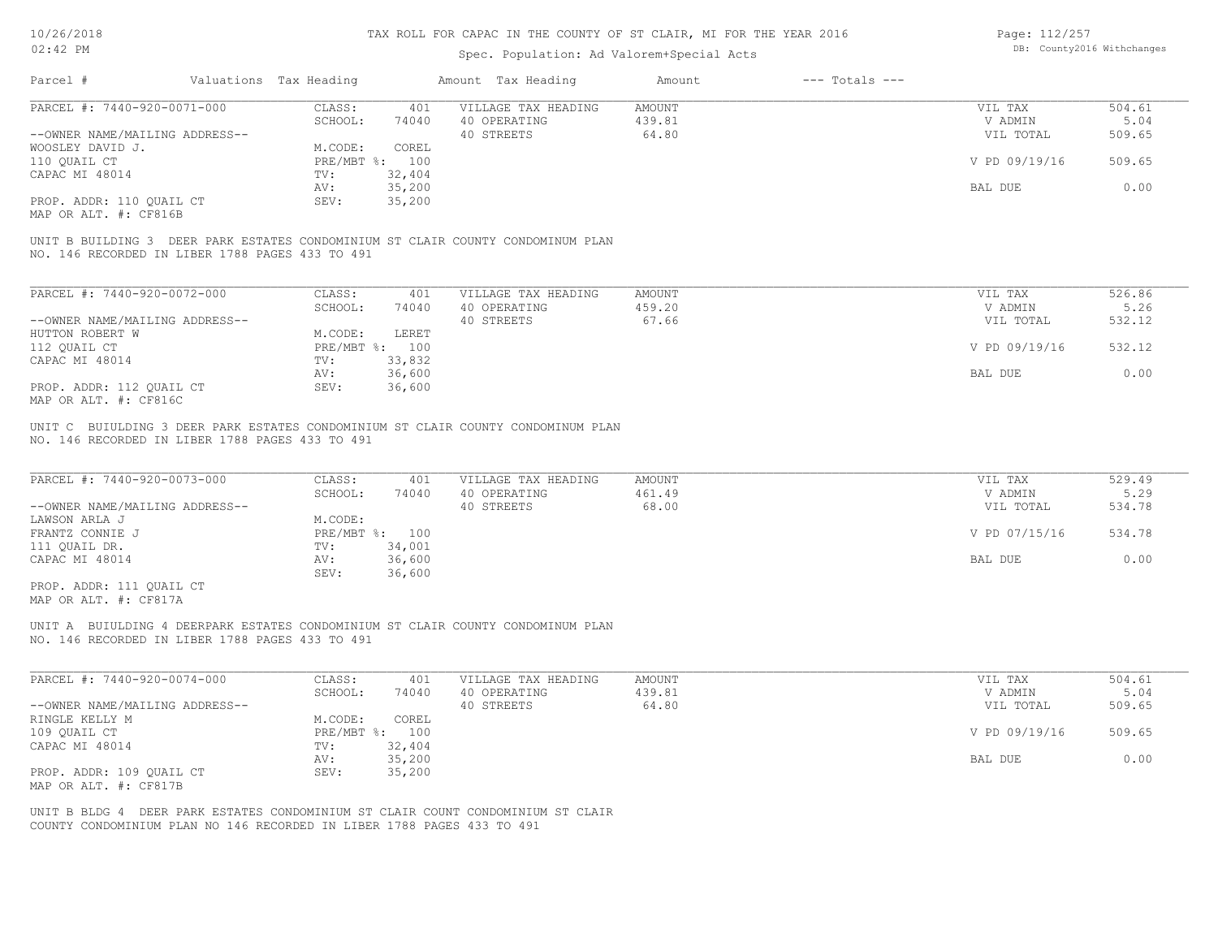Page: 112/257

| TAN 701 TAN                                                            |                        |                | IAA KULL FUK CAPAC IN INB CUUNII UF SI CLAIK, MI FUK INB IBAK 2010              |                  |                    | raye; IIZ/ZJ/      |                            |
|------------------------------------------------------------------------|------------------------|----------------|---------------------------------------------------------------------------------|------------------|--------------------|--------------------|----------------------------|
| 02:42 PM                                                               |                        |                | Spec. Population: Ad Valorem+Special Acts                                       |                  |                    |                    | DB: County2016 Withchanges |
| Parcel #                                                               | Valuations Tax Heading |                | Amount Tax Heading                                                              | Amount           | $---$ Totals $---$ |                    |                            |
|                                                                        |                        |                |                                                                                 |                  |                    |                    |                            |
| PARCEL #: 7440-920-0071-000                                            | CLASS:                 | 401            | VILLAGE TAX HEADING                                                             | <b>AMOUNT</b>    |                    | VIL TAX            | 504.61                     |
|                                                                        | SCHOOL:                | 74040          | 40 OPERATING                                                                    | 439.81           |                    | V ADMIN            | 5.04                       |
| --OWNER NAME/MAILING ADDRESS--                                         |                        |                | 40 STREETS                                                                      | 64.80            |                    | VIL TOTAL          | 509.65                     |
| WOOSLEY DAVID J.                                                       | M.CODE:                | COREL          |                                                                                 |                  |                    |                    |                            |
| 110 OUAIL CT                                                           |                        | PRE/MBT %: 100 |                                                                                 |                  |                    | V PD 09/19/16      | 509.65                     |
| CAPAC MI 48014                                                         | TV:                    | 32,404         |                                                                                 |                  |                    |                    |                            |
|                                                                        | AV:                    | 35,200         |                                                                                 |                  |                    | BAL DUE            | 0.00                       |
| PROP. ADDR: 110 QUAIL CT                                               | SEV:                   | 35,200         |                                                                                 |                  |                    |                    |                            |
| MAP OR ALT. #: CF816B                                                  |                        |                |                                                                                 |                  |                    |                    |                            |
| NO. 146 RECORDED IN LIBER 1788 PAGES 433 TO 491                        |                        |                | UNIT B BUILDING 3 DEER PARK ESTATES CONDOMINIUM ST CLAIR COUNTY CONDOMINUM PLAN |                  |                    |                    |                            |
|                                                                        |                        |                |                                                                                 |                  |                    |                    |                            |
| PARCEL #: 7440-920-0072-000                                            | CLASS:                 | 401            | VILLAGE TAX HEADING                                                             | <b>AMOUNT</b>    |                    | VIL TAX            | 526.86                     |
|                                                                        | SCHOOL:                | 74040          | 40 OPERATING                                                                    | 459.20           |                    | V ADMIN            | 5.26                       |
| --OWNER NAME/MAILING ADDRESS--                                         |                        |                | 40 STREETS                                                                      | 67.66            |                    | VIL TOTAL          | 532.12                     |
| HUTTON ROBERT W                                                        | M.CODE:                | <b>LERET</b>   |                                                                                 |                  |                    |                    |                            |
| 112 QUAIL CT                                                           |                        | PRE/MBT %: 100 |                                                                                 |                  |                    | V PD 09/19/16      | 532.12                     |
| CAPAC MI 48014                                                         | TV:                    | 33,832         |                                                                                 |                  |                    |                    |                            |
|                                                                        | AV:                    | 36,600         |                                                                                 |                  |                    | BAL DUE            | 0.00                       |
| PROP. ADDR: 112 QUAIL CT                                               | SEV:                   | 36,600         |                                                                                 |                  |                    |                    |                            |
| MAP OR ALT. #: CF816C                                                  |                        |                |                                                                                 |                  |                    |                    |                            |
|                                                                        |                        |                |                                                                                 |                  |                    |                    |                            |
| PARCEL #: 7440-920-0073-000                                            | CLASS:                 | 401            | VILLAGE TAX HEADING                                                             | AMOUNT<br>461.49 |                    | VIL TAX<br>V ADMIN | 529.49<br>5.29             |
|                                                                        | SCHOOL:                | 74040          | 40 OPERATING                                                                    |                  |                    |                    |                            |
| --OWNER NAME/MAILING ADDRESS--                                         |                        |                | 40 STREETS                                                                      | 68.00            |                    | VIL TOTAL          | 534.78                     |
| LAWSON ARLA J                                                          | M.CODE:                |                |                                                                                 |                  |                    |                    |                            |
| FRANTZ CONNIE J                                                        |                        | PRE/MBT %: 100 |                                                                                 |                  |                    | V PD 07/15/16      | 534.78                     |
| 111 QUAIL DR.                                                          | TV:                    | 34,001         |                                                                                 |                  |                    |                    |                            |
| CAPAC MI 48014                                                         | AV:                    | 36,600         |                                                                                 |                  |                    | BAL DUE            | 0.00                       |
|                                                                        | SEV:                   | 36,600         |                                                                                 |                  |                    |                    |                            |
| PROP. ADDR: 111 QUAIL CT<br>MAP OR ALT. #: CF817A                      |                        |                |                                                                                 |                  |                    |                    |                            |
|                                                                        |                        |                | UNIT A BUIULDING 4 DEERPARK ESTATES CONDOMINIUM ST CLAIR COUNTY CONDOMINUM PLAN |                  |                    |                    |                            |
| NO. 146 RECORDED IN LIBER 1788 PAGES 433 TO 491                        |                        |                |                                                                                 |                  |                    |                    |                            |
| PARCEL #: 7440-920-0074-000                                            | CLASS:                 | 401            | VILLAGE TAX HEADING                                                             | <b>AMOUNT</b>    |                    | VIL TAX            | 504.61                     |
|                                                                        | SCHOOL:                | 74040          | 40 OPERATING                                                                    | 439.81           |                    | V ADMIN            | 5.04                       |
|                                                                        |                        |                |                                                                                 |                  |                    |                    |                            |
| --OWNER NAME/MAILING ADDRESS--                                         |                        |                | 40 STREETS                                                                      | 64.80            |                    | VIL TOTAL          | 509.65                     |
| RINGLE KELLY M                                                         | M.CODE:                | COREL          |                                                                                 |                  |                    |                    |                            |
| 109 QUAIL CT                                                           |                        | PRE/MBT %: 100 |                                                                                 |                  |                    | V PD 09/19/16      | 509.65                     |
| CAPAC MI 48014                                                         | TV:                    | 32,404         |                                                                                 |                  |                    |                    |                            |
|                                                                        | AV:                    | 35,200         |                                                                                 |                  |                    | BAL DUE            | 0.00                       |
| PROP. ADDR: 109 QUAIL CT<br>MAP OR ALT. #: CF817B                      | SEV:                   | 35,200         |                                                                                 |                  |                    |                    |                            |
|                                                                        |                        |                | UNIT B BLDG 4 DEER PARK ESTATES CONDOMINIUM ST CLAIR COUNT CONDOMINIUM ST CLAIR |                  |                    |                    |                            |
| COUNTY CONDOMINIUM PLAN NO 146 RECORDED IN LIBER 1788 PAGES 433 TO 491 |                        |                |                                                                                 |                  |                    |                    |                            |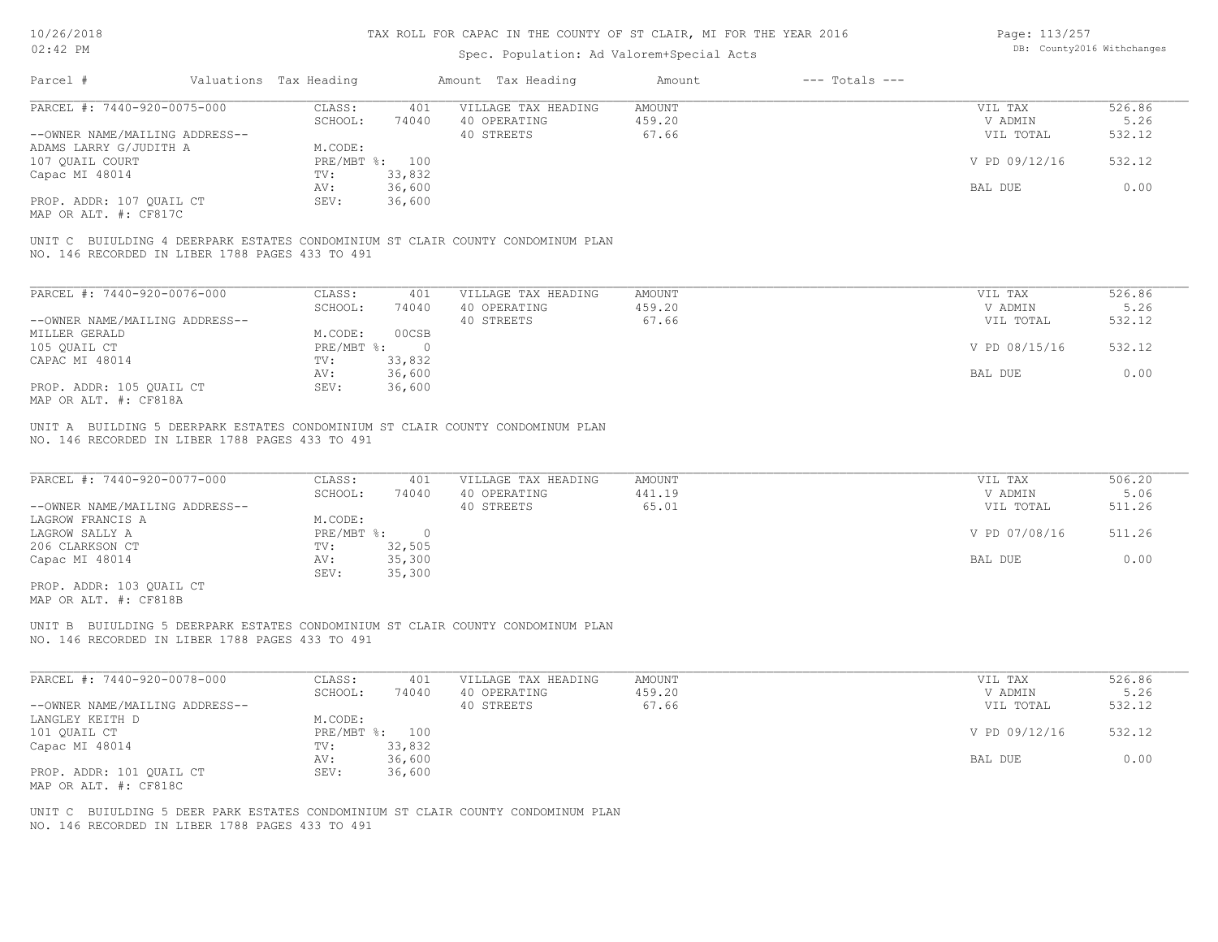Page: 113/257

| 02:42 PM                                                                                                                                                             |                        |                                                                        |                                                              | Spec. Population: Ad Valorem+Special Acts                                        |                           |                    |                                                             | DB: County2016 Withchanges                 |
|----------------------------------------------------------------------------------------------------------------------------------------------------------------------|------------------------|------------------------------------------------------------------------|--------------------------------------------------------------|----------------------------------------------------------------------------------|---------------------------|--------------------|-------------------------------------------------------------|--------------------------------------------|
| Parcel #                                                                                                                                                             | Valuations Tax Heading |                                                                        |                                                              | Amount Tax Heading                                                               | Amount                    | $---$ Totals $---$ |                                                             |                                            |
| PARCEL #: 7440-920-0075-000                                                                                                                                          |                        | CLASS:<br>SCHOOL:                                                      | 401                                                          | VILLAGE TAX HEADING<br>40 OPERATING                                              | AMOUNT<br>459.20          |                    | VIL TAX<br>V ADMIN                                          | 526.86<br>5.26                             |
| --OWNER NAME/MAILING ADDRESS--                                                                                                                                       |                        |                                                                        | 74040                                                        | 40 STREETS                                                                       | 67.66                     |                    | VIL TOTAL                                                   | 532.12                                     |
| ADAMS LARRY G/JUDITH A                                                                                                                                               |                        | M.CODE:                                                                |                                                              |                                                                                  |                           |                    |                                                             |                                            |
|                                                                                                                                                                      |                        |                                                                        |                                                              |                                                                                  |                           |                    |                                                             |                                            |
| 107 QUAIL COURT                                                                                                                                                      |                        |                                                                        | PRE/MBT %: 100                                               |                                                                                  |                           |                    | V PD 09/12/16                                               | 532.12                                     |
| Capac MI 48014                                                                                                                                                       |                        | TV:                                                                    | 33,832                                                       |                                                                                  |                           |                    |                                                             |                                            |
|                                                                                                                                                                      |                        | AV:                                                                    | 36,600                                                       |                                                                                  |                           |                    | BAL DUE                                                     | 0.00                                       |
| PROP. ADDR: 107 OUAIL CT<br>MAP OR ALT. #: CF817C                                                                                                                    |                        | SEV:                                                                   | 36,600                                                       |                                                                                  |                           |                    |                                                             |                                            |
| NO. 146 RECORDED IN LIBER 1788 PAGES 433 TO 491                                                                                                                      |                        |                                                                        |                                                              | UNIT C BUIULDING 4 DEERPARK ESTATES CONDOMINIUM ST CLAIR COUNTY CONDOMINUM PLAN  |                           |                    |                                                             |                                            |
| PARCEL #: 7440-920-0076-000                                                                                                                                          |                        | CLASS:                                                                 | 401                                                          | VILLAGE TAX HEADING                                                              | AMOUNT                    |                    | VIL TAX                                                     | 526.86                                     |
|                                                                                                                                                                      |                        | SCHOOL:                                                                | 74040                                                        | 40 OPERATING                                                                     | 459.20                    |                    | V ADMIN                                                     | 5.26                                       |
| --OWNER NAME/MAILING ADDRESS--                                                                                                                                       |                        |                                                                        |                                                              | 40 STREETS                                                                       | 67.66                     |                    | VIL TOTAL                                                   | 532.12                                     |
| MILLER GERALD                                                                                                                                                        |                        | M.CODE:                                                                | 00CSB                                                        |                                                                                  |                           |                    |                                                             |                                            |
| 105 QUAIL CT                                                                                                                                                         |                        | PRE/MBT %:                                                             | $\circ$                                                      |                                                                                  |                           |                    | V PD 08/15/16                                               | 532.12                                     |
|                                                                                                                                                                      |                        |                                                                        |                                                              |                                                                                  |                           |                    |                                                             |                                            |
| CAPAC MI 48014                                                                                                                                                       |                        | TV:                                                                    | 33,832                                                       |                                                                                  |                           |                    |                                                             |                                            |
| PROP. ADDR: 105 QUAIL CT<br>MAP OR ALT. #: CF818A                                                                                                                    |                        | AV:<br>SEV:                                                            | 36,600<br>36,600                                             |                                                                                  |                           |                    | BAL DUE                                                     | 0.00                                       |
| PARCEL #: 7440-920-0077-000<br>--OWNER NAME/MAILING ADDRESS--<br>LAGROW FRANCIS A<br>LAGROW SALLY A<br>206 CLARKSON CT<br>Capac MI 48014<br>PROP. ADDR: 103 QUAIL CT |                        | CLASS:<br>SCHOOL:<br>M.CODE:<br>$PRE/MBT$ $\div$<br>TV:<br>AV:<br>SEV: | 401<br>74040<br>$\overline{0}$<br>32,505<br>35,300<br>35,300 | VILLAGE TAX HEADING<br>40 OPERATING<br>40 STREETS                                | AMOUNT<br>441.19<br>65.01 |                    | VIL TAX<br>V ADMIN<br>VIL TOTAL<br>V PD 07/08/16<br>BAL DUE | 506.20<br>5.06<br>511.26<br>511.26<br>0.00 |
| MAP OR ALT. #: CF818B<br>NO. 146 RECORDED IN LIBER 1788 PAGES 433 TO 491                                                                                             |                        |                                                                        |                                                              | UNIT B BUIULDING 5 DEERPARK ESTATES CONDOMINIUM ST CLAIR COUNTY CONDOMINUM PLAN  |                           |                    |                                                             |                                            |
| PARCEL #: 7440-920-0078-000                                                                                                                                          |                        | CLASS:                                                                 | 401                                                          | VILLAGE TAX HEADING                                                              | AMOUNT                    |                    | VIL TAX                                                     | 526.86                                     |
|                                                                                                                                                                      |                        | SCHOOL:                                                                | 74040                                                        | 40 OPERATING                                                                     | 459.20                    |                    | V ADMIN                                                     | 5.26                                       |
| --OWNER NAME/MAILING ADDRESS--                                                                                                                                       |                        |                                                                        |                                                              | 40 STREETS                                                                       | 67.66                     |                    | VIL TOTAL                                                   | 532.12                                     |
| LANGLEY KEITH D                                                                                                                                                      |                        | M.CODE:                                                                |                                                              |                                                                                  |                           |                    |                                                             |                                            |
| 101 QUAIL CT                                                                                                                                                         |                        |                                                                        | PRE/MBT %: 100                                               |                                                                                  |                           |                    | V PD 09/12/16                                               | 532.12                                     |
| Capac MI 48014                                                                                                                                                       |                        | TV:                                                                    | 33,832                                                       |                                                                                  |                           |                    |                                                             |                                            |
|                                                                                                                                                                      |                        | AV:                                                                    | 36,600                                                       |                                                                                  |                           |                    | BAL DUE                                                     | 0.00                                       |
| PROP. ADDR: 101 QUAIL CT<br>MAP OR ALT. #: CF818C                                                                                                                    |                        | SEV:                                                                   | 36,600                                                       |                                                                                  |                           |                    |                                                             |                                            |
| NO. 146 RECORDED IN LIBER 1788 PAGES 433 TO 491                                                                                                                      |                        |                                                                        |                                                              | UNIT C BUIULDING 5 DEER PARK ESTATES CONDOMINIUM ST CLAIR COUNTY CONDOMINUM PLAN |                           |                    |                                                             |                                            |
|                                                                                                                                                                      |                        |                                                                        |                                                              |                                                                                  |                           |                    |                                                             |                                            |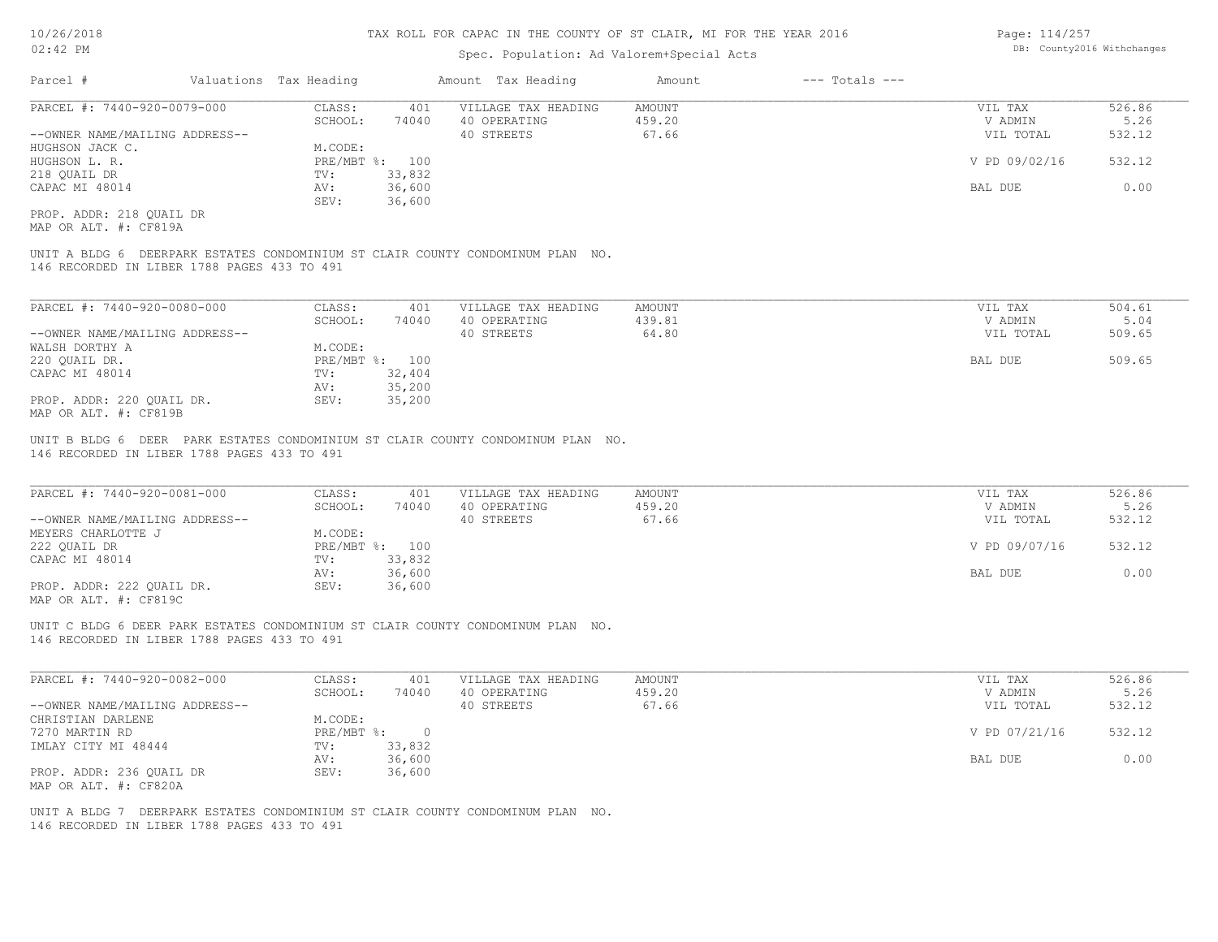## Spec. Population: Ad Valorem+Special Acts

| Page: 114/257 |                            |
|---------------|----------------------------|
|               | DB: County2016 Withchanges |

| Parcel #                       | Valuations Tax Heading |        | Amount Tax Heading  | Amount | $---$ Totals $---$ |               |        |
|--------------------------------|------------------------|--------|---------------------|--------|--------------------|---------------|--------|
| PARCEL #: 7440-920-0079-000    | CLASS:                 | 401    | VILLAGE TAX HEADING | AMOUNT |                    | VIL TAX       | 526.86 |
|                                | SCHOOL:                | 74040  | 40 OPERATING        | 459.20 |                    | V ADMIN       | 5.26   |
| --OWNER NAME/MAILING ADDRESS-- |                        |        | 40 STREETS          | 67.66  |                    | VIL TOTAL     | 532.12 |
| HUGHSON JACK C.                | M.CODE:                |        |                     |        |                    |               |        |
| HUGHSON L. R.                  | PRE/MBT %: 100         |        |                     |        |                    | V PD 09/02/16 | 532.12 |
| 218 QUAIL DR                   | TV:                    | 33,832 |                     |        |                    |               |        |
| CAPAC MI 48014                 | AV:                    | 36,600 |                     |        |                    | BAL DUE       | 0.00   |
|                                | SEV:                   | 36,600 |                     |        |                    |               |        |
| PROP. ADDR: 218 OUAIL DR       |                        |        |                     |        |                    |               |        |

MAP OR ALT. #: CF819A

146 RECORDED IN LIBER 1788 PAGES 433 TO 491 UNIT A BLDG 6 DEERPARK ESTATES CONDOMINIUM ST CLAIR COUNTY CONDOMINUM PLAN NO.

| PARCEL #: 7440-920-0080-000    | CLASS:       | 401    | VILLAGE TAX HEADING | AMOUNT | VIL TAX   | 504.61 |
|--------------------------------|--------------|--------|---------------------|--------|-----------|--------|
|                                | SCHOOL:      | 74040  | 40 OPERATING        | 439.81 | V ADMIN   | 5.04   |
| --OWNER NAME/MAILING ADDRESS-- |              |        | 40 STREETS          | 64.80  | VIL TOTAL | 509.65 |
| WALSH DORTHY A                 | M.CODE:      |        |                     |        |           |        |
| 220 QUAIL DR.                  | $PRE/MBT$ %: | 100    |                     |        | BAL DUE   | 509.65 |
| CAPAC MI 48014                 | TV:          | 32,404 |                     |        |           |        |
|                                | AV:          | 35,200 |                     |        |           |        |
| PROP. ADDR: 220 QUAIL DR.      | SEV:         | 35,200 |                     |        |           |        |
| MAP OR ALT. #: CF819B          |              |        |                     |        |           |        |

146 RECORDED IN LIBER 1788 PAGES 433 TO 491 UNIT B BLDG 6 DEER PARK ESTATES CONDOMINIUM ST CLAIR COUNTY CONDOMINUM PLAN NO.

| PARCEL #: 7440-920-0081-000    | CLASS:       | 401    | VILLAGE TAX HEADING | AMOUNT | VIL TAX       | 526.86 |  |
|--------------------------------|--------------|--------|---------------------|--------|---------------|--------|--|
|                                | SCHOOL:      | 74040  | 40 OPERATING        | 459.20 | V ADMIN       | 5.26   |  |
| --OWNER NAME/MAILING ADDRESS-- |              |        | 40 STREETS          | 67.66  | VIL TOTAL     | 532.12 |  |
| MEYERS CHARLOTTE J             | M.CODE:      |        |                     |        |               |        |  |
| 222 OUAIL DR                   | $PRE/MBT$ %: | 100    |                     |        | V PD 09/07/16 | 532.12 |  |
| CAPAC MI 48014                 | TV:          | 33,832 |                     |        |               |        |  |
|                                | AV:          | 36,600 |                     |        | BAL DUE       | 0.00   |  |
| PROP. ADDR: 222 OUAIL DR.      | SEV:         | 36,600 |                     |        |               |        |  |
| $\frac{1}{2}$                  |              |        |                     |        |               |        |  |

 $\mathcal{L}_\mathcal{L} = \mathcal{L}_\mathcal{L} = \mathcal{L}_\mathcal{L} = \mathcal{L}_\mathcal{L} = \mathcal{L}_\mathcal{L} = \mathcal{L}_\mathcal{L} = \mathcal{L}_\mathcal{L} = \mathcal{L}_\mathcal{L} = \mathcal{L}_\mathcal{L} = \mathcal{L}_\mathcal{L} = \mathcal{L}_\mathcal{L} = \mathcal{L}_\mathcal{L} = \mathcal{L}_\mathcal{L} = \mathcal{L}_\mathcal{L} = \mathcal{L}_\mathcal{L} = \mathcal{L}_\mathcal{L} = \mathcal{L}_\mathcal{L}$ 

MAP OR ALT. #: CF819C

146 RECORDED IN LIBER 1788 PAGES 433 TO 491 UNIT C BLDG 6 DEER PARK ESTATES CONDOMINIUM ST CLAIR COUNTY CONDOMINUM PLAN NO.

| PARCEL #: 7440-920-0082-000    | CLASS:     | 401    | VILLAGE TAX HEADING | AMOUNT | VIL TAX       | 526.86 |
|--------------------------------|------------|--------|---------------------|--------|---------------|--------|
|                                | SCHOOL:    | 74040  | 40 OPERATING        | 459.20 | V ADMIN       | 5.26   |
| --OWNER NAME/MAILING ADDRESS-- |            |        | 40 STREETS          | 67.66  | VIL TOTAL     | 532.12 |
| CHRISTIAN DARLENE              | M.CODE:    |        |                     |        |               |        |
| 7270 MARTIN RD                 | PRE/MBT %: |        |                     |        | V PD 07/21/16 | 532.12 |
| IMLAY CITY MI 48444            | TV:        | 33,832 |                     |        |               |        |
|                                | AV:        | 36,600 |                     |        | BAL DUE       | 0.00   |
| PROP. ADDR: 236 OUAIL DR       | SEV:       | 36,600 |                     |        |               |        |
| MAP OR ALT. #: CF820A          |            |        |                     |        |               |        |

146 RECORDED IN LIBER 1788 PAGES 433 TO 491 UNIT A BLDG 7 DEERPARK ESTATES CONDOMINIUM ST CLAIR COUNTY CONDOMINUM PLAN NO.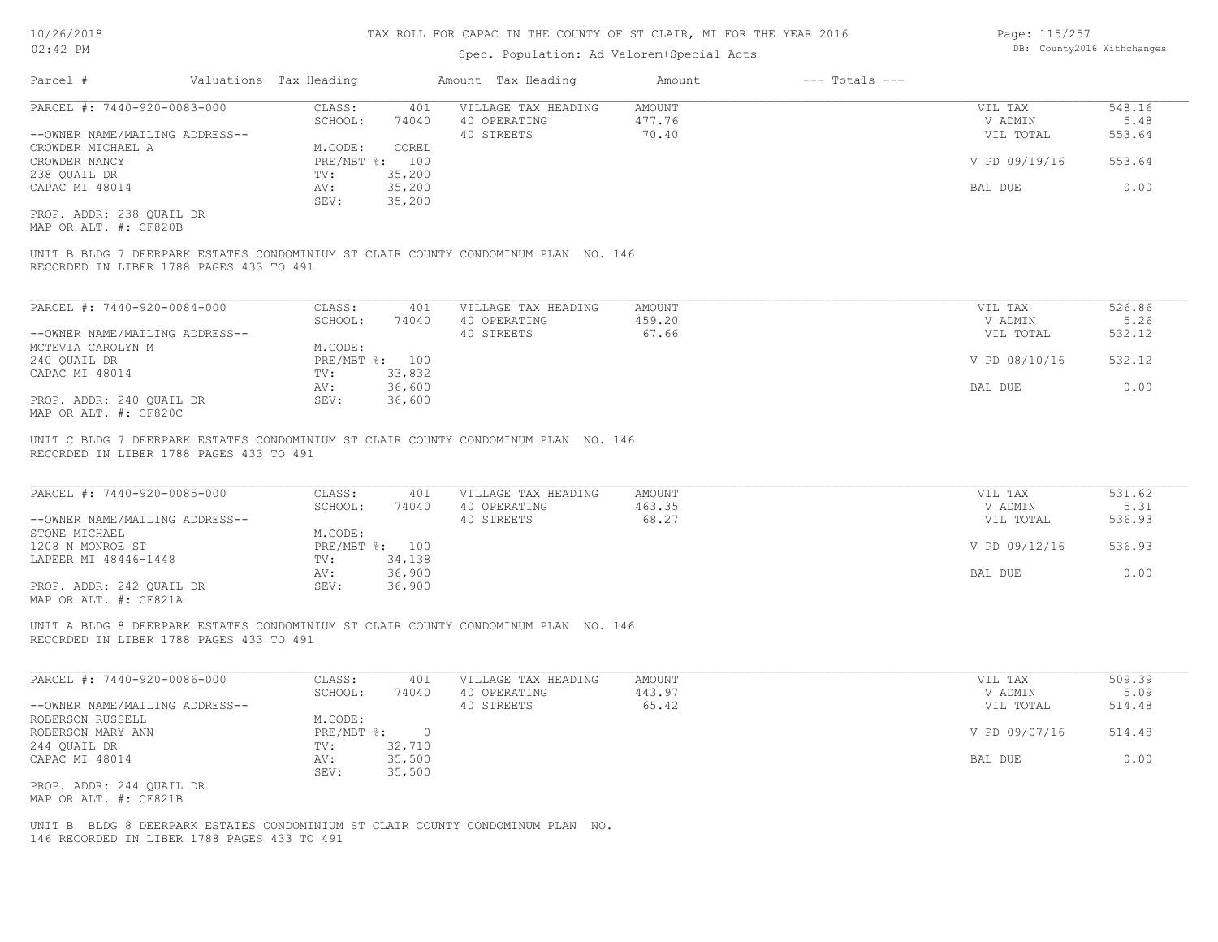## Spec. Population: Ad Valorem+Special Acts

| Page: 115/257 |                            |
|---------------|----------------------------|
|               | DB: County2016 Withchanges |

| Parcel #                       | Valuations Tax Heading |                | Amount Tax Heading  | Amount | $---$ Totals $---$ |               |        |
|--------------------------------|------------------------|----------------|---------------------|--------|--------------------|---------------|--------|
| PARCEL #: 7440-920-0083-000    | CLASS:                 | 401            | VILLAGE TAX HEADING | AMOUNT |                    | VIL TAX       | 548.16 |
|                                | SCHOOL:                | 74040          | 40 OPERATING        | 477.76 |                    | V ADMIN       | 5.48   |
| --OWNER NAME/MAILING ADDRESS-- |                        |                | 40 STREETS          | 70.40  |                    | VIL TOTAL     | 553.64 |
| CROWDER MICHAEL A              | M.CODE:                | COREL          |                     |        |                    |               |        |
| CROWDER NANCY                  |                        | PRE/MBT %: 100 |                     |        |                    | V PD 09/19/16 | 553.64 |
| 238 OUAIL DR                   | TV:                    | 35,200         |                     |        |                    |               |        |
| CAPAC MI 48014                 | AV:                    | 35,200         |                     |        |                    | BAL DUE       | 0.00   |
|                                | SEV:                   | 35,200         |                     |        |                    |               |        |
| PROP. ADDR: 238 QUAIL DR       |                        |                |                     |        |                    |               |        |
| MAP OR ALT. #: CF820B          |                        |                |                     |        |                    |               |        |

RECORDED IN LIBER 1788 PAGES 433 TO 491 UNIT B BLDG 7 DEERPARK ESTATES CONDOMINIUM ST CLAIR COUNTY CONDOMINUM PLAN NO. 146

| PARCEL #: 7440-920-0084-000    | CLASS:                    | 401    | VILLAGE TAX HEADING | AMOUNT | VIL TAX       | 526.86 |
|--------------------------------|---------------------------|--------|---------------------|--------|---------------|--------|
|                                | SCHOOL:                   | 74040  | 40 OPERATING        | 459.20 | V ADMIN       | 5.26   |
| --OWNER NAME/MAILING ADDRESS-- |                           |        | 40 STREETS          | 67.66  | VIL TOTAL     | 532.12 |
| MCTEVIA CAROLYN M              | M.CODE:                   |        |                     |        |               |        |
| 240 QUAIL DR                   | $PRE/MBT$ $\frac{6}{3}$ : | 100    |                     |        | V PD 08/10/16 | 532.12 |
| CAPAC MI 48014                 | TV:                       | 33,832 |                     |        |               |        |
|                                | AV:                       | 36,600 |                     |        | BAL DUE       | 0.00   |
| PROP. ADDR: 240 OUAIL DR       | SEV:                      | 36,600 |                     |        |               |        |
| MAP OR ALT. #: CF820C          |                           |        |                     |        |               |        |

 $\mathcal{L}_\mathcal{L} = \mathcal{L}_\mathcal{L} = \mathcal{L}_\mathcal{L} = \mathcal{L}_\mathcal{L} = \mathcal{L}_\mathcal{L} = \mathcal{L}_\mathcal{L} = \mathcal{L}_\mathcal{L} = \mathcal{L}_\mathcal{L} = \mathcal{L}_\mathcal{L} = \mathcal{L}_\mathcal{L} = \mathcal{L}_\mathcal{L} = \mathcal{L}_\mathcal{L} = \mathcal{L}_\mathcal{L} = \mathcal{L}_\mathcal{L} = \mathcal{L}_\mathcal{L} = \mathcal{L}_\mathcal{L} = \mathcal{L}_\mathcal{L}$ 

 $\mathcal{L}_\mathcal{L} = \mathcal{L}_\mathcal{L} = \mathcal{L}_\mathcal{L} = \mathcal{L}_\mathcal{L} = \mathcal{L}_\mathcal{L} = \mathcal{L}_\mathcal{L} = \mathcal{L}_\mathcal{L} = \mathcal{L}_\mathcal{L} = \mathcal{L}_\mathcal{L} = \mathcal{L}_\mathcal{L} = \mathcal{L}_\mathcal{L} = \mathcal{L}_\mathcal{L} = \mathcal{L}_\mathcal{L} = \mathcal{L}_\mathcal{L} = \mathcal{L}_\mathcal{L} = \mathcal{L}_\mathcal{L} = \mathcal{L}_\mathcal{L}$ 

RECORDED IN LIBER 1788 PAGES 433 TO 491 UNIT C BLDG 7 DEERPARK ESTATES CONDOMINIUM ST CLAIR COUNTY CONDOMINUM PLAN NO. 146

| PARCEL #: 7440-920-0085-000    | CLASS:     | 401    | VILLAGE TAX HEADING | AMOUNT | VIL TAX       | 531.62 |
|--------------------------------|------------|--------|---------------------|--------|---------------|--------|
|                                | SCHOOL:    | 74040  | 40 OPERATING        | 463.35 | V ADMIN       | 5.31   |
| --OWNER NAME/MAILING ADDRESS-- |            |        | 40 STREETS          | 68.27  | VIL TOTAL     | 536.93 |
| STONE MICHAEL                  | M.CODE:    |        |                     |        |               |        |
| 1208 N MONROE ST               | PRE/MBT %: | 100    |                     |        | V PD 09/12/16 | 536.93 |
| LAPEER MI 48446-1448           | TV:        | 34,138 |                     |        |               |        |
|                                | AV:        | 36,900 |                     |        | BAL DUE       | 0.00   |
| PROP. ADDR: 242 OUAIL DR       | SEV:       | 36,900 |                     |        |               |        |
| $\frac{1}{2}$                  |            |        |                     |        |               |        |

MAP OR ALT. #: CF821A

RECORDED IN LIBER 1788 PAGES 433 TO 491 UNIT A BLDG 8 DEERPARK ESTATES CONDOMINIUM ST CLAIR COUNTY CONDOMINUM PLAN NO. 146

| PARCEL #: 7440-920-0086-000    | CLASS:     | 401    | VILLAGE TAX HEADING | AMOUNT | VIL TAX       | 509.39 |
|--------------------------------|------------|--------|---------------------|--------|---------------|--------|
|                                | SCHOOL:    | 74040  | 40 OPERATING        | 443.97 | V ADMIN       | 5.09   |
| --OWNER NAME/MAILING ADDRESS-- |            |        | 40 STREETS          | 65.42  | VIL TOTAL     | 514.48 |
| ROBERSON RUSSELL               | M.CODE:    |        |                     |        |               |        |
| ROBERSON MARY ANN              | PRE/MBT %: |        |                     |        | V PD 09/07/16 | 514.48 |
| 244 QUAIL DR                   | TV:        | 32,710 |                     |        |               |        |
| CAPAC MI 48014                 | AV:        | 35,500 |                     |        | BAL DUE       | 0.00   |
|                                | SEV:       | 35,500 |                     |        |               |        |
| PROP. ADDR: 244 QUAIL DR       |            |        |                     |        |               |        |
| MAP OR ALT. #: CF821B          |            |        |                     |        |               |        |

146 RECORDED IN LIBER 1788 PAGES 433 TO 491 UNIT B BLDG 8 DEERPARK ESTATES CONDOMINIUM ST CLAIR COUNTY CONDOMINUM PLAN NO.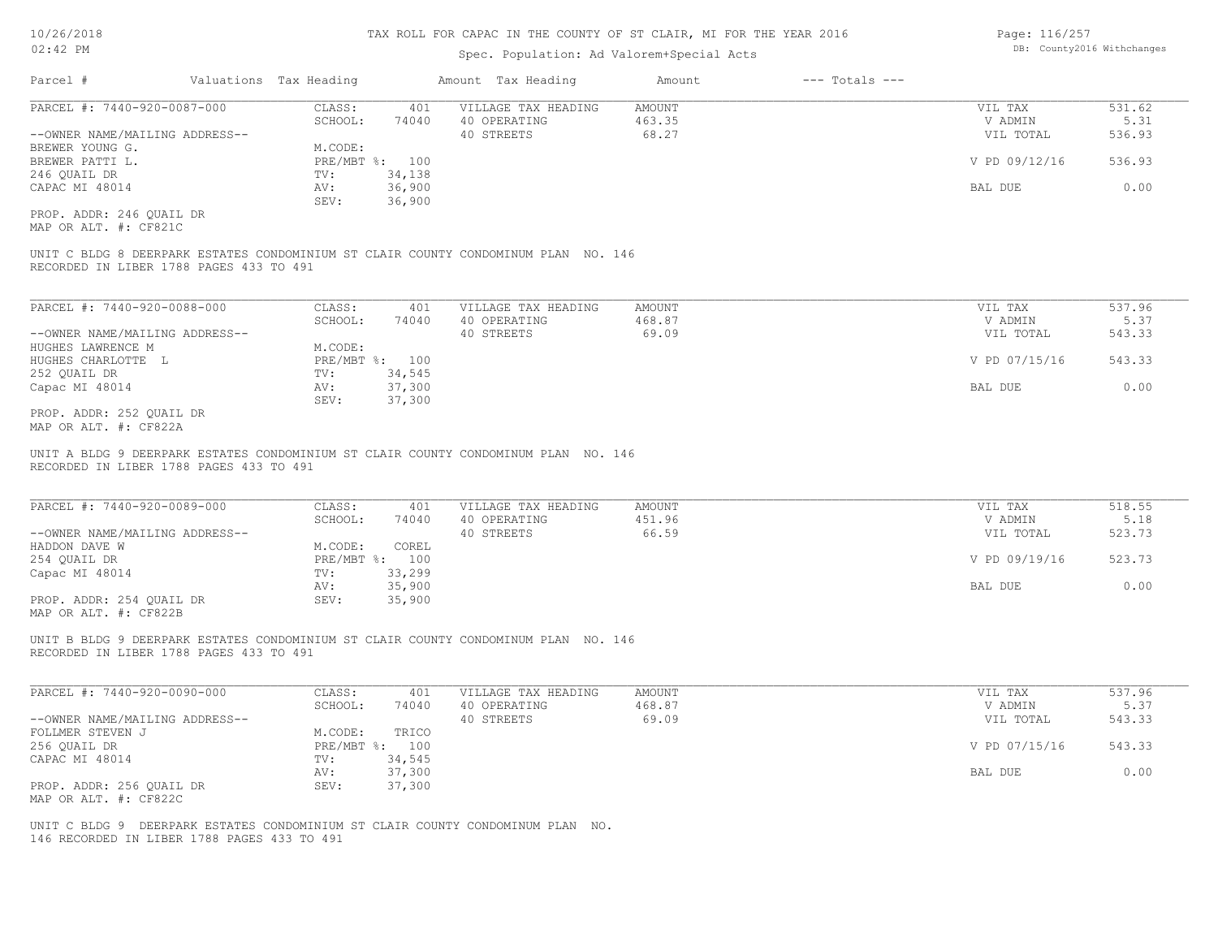| 10/26/2018                                                             |                        |                         |                                                                                                                           | TAX ROLL FOR CAPAC IN THE COUNTY OF ST CLAIR, MI FOR THE YEAR 2016 |                    | Page: 116/257      |                            |  |
|------------------------------------------------------------------------|------------------------|-------------------------|---------------------------------------------------------------------------------------------------------------------------|--------------------------------------------------------------------|--------------------|--------------------|----------------------------|--|
| $02:42$ PM                                                             |                        |                         |                                                                                                                           | Spec. Population: Ad Valorem+Special Acts                          |                    |                    | DB: County2016 Withchanges |  |
| Parcel #                                                               | Valuations Tax Heading |                         | Amount Tax Heading                                                                                                        | Amount                                                             | $---$ Totals $---$ |                    |                            |  |
| PARCEL #: 7440-920-0087-000                                            | CLASS:                 | 401                     | VILLAGE TAX HEADING                                                                                                       | <b>AMOUNT</b>                                                      |                    | VIL TAX            | 531.62                     |  |
|                                                                        | SCHOOL:                | 74040                   | 40 OPERATING                                                                                                              | 463.35                                                             |                    | V ADMIN            | 5.31                       |  |
| --OWNER NAME/MAILING ADDRESS--                                         |                        |                         | 40 STREETS                                                                                                                | 68.27                                                              |                    | VIL TOTAL          | 536.93                     |  |
| BREWER YOUNG G.                                                        | M.CODE:                |                         |                                                                                                                           |                                                                    |                    |                    |                            |  |
| BREWER PATTI L.                                                        |                        | PRE/MBT %: 100          |                                                                                                                           |                                                                    |                    | V PD 09/12/16      | 536.93                     |  |
| 246 QUAIL DR                                                           | TV:                    | 34,138                  |                                                                                                                           |                                                                    |                    |                    |                            |  |
| CAPAC MI 48014                                                         | AV:                    | 36,900                  |                                                                                                                           |                                                                    |                    | BAL DUE            | 0.00                       |  |
|                                                                        | SEV:                   | 36,900                  |                                                                                                                           |                                                                    |                    |                    |                            |  |
| PROP. ADDR: 246 QUAIL DR<br>MAP OR ALT. #: CF821C                      |                        |                         |                                                                                                                           |                                                                    |                    |                    |                            |  |
| RECORDED IN LIBER 1788 PAGES 433 TO 491                                |                        |                         | UNIT C BLDG 8 DEERPARK ESTATES CONDOMINIUM ST CLAIR COUNTY CONDOMINUM PLAN NO. 146                                        |                                                                    |                    |                    |                            |  |
| PARCEL #: 7440-920-0088-000                                            | CLASS:                 | 401                     | VILLAGE TAX HEADING                                                                                                       | <b>AMOUNT</b>                                                      |                    | VIL TAX            | 537.96                     |  |
|                                                                        | SCHOOL:                | 74040                   | 40 OPERATING                                                                                                              | 468.87                                                             |                    | V ADMIN            | 5.37                       |  |
| --OWNER NAME/MAILING ADDRESS--                                         |                        |                         | 40 STREETS                                                                                                                | 69.09                                                              |                    | VIL TOTAL          | 543.33                     |  |
| HUGHES LAWRENCE M                                                      | M.CODE:                |                         |                                                                                                                           |                                                                    |                    |                    |                            |  |
| HUGHES CHARLOTTE L                                                     |                        | PRE/MBT %: 100          |                                                                                                                           |                                                                    |                    | V PD 07/15/16      | 543.33                     |  |
| 252 QUAIL DR                                                           | TV:                    | 34,545                  |                                                                                                                           |                                                                    |                    |                    |                            |  |
| Capac MI 48014                                                         | AV:                    | 37,300                  |                                                                                                                           |                                                                    |                    | BAL DUE            | 0.00                       |  |
|                                                                        | SEV:                   | 37,300                  |                                                                                                                           |                                                                    |                    |                    |                            |  |
| PROP. ADDR: 252 QUAIL DR<br>MAP OR ALT. #: CF822A                      |                        |                         |                                                                                                                           |                                                                    |                    |                    |                            |  |
| RECORDED IN LIBER 1788 PAGES 433 TO 491<br>PARCEL #: 7440-920-0089-000 | CLASS:<br>SCHOOL:      | 401<br>74040            | UNIT A BLDG 9 DEERPARK ESTATES CONDOMINIUM ST CLAIR COUNTY CONDOMINUM PLAN NO. 146<br>VILLAGE TAX HEADING<br>40 OPERATING | <b>AMOUNT</b><br>451.96                                            |                    | VIL TAX<br>V ADMIN | 518.55<br>5.18             |  |
| --OWNER NAME/MAILING ADDRESS--                                         |                        |                         | 40 STREETS                                                                                                                | 66.59                                                              |                    | VIL TOTAL          | 523.73                     |  |
| HADDON DAVE W<br>254 QUAIL DR                                          | M.CODE:                | COREL<br>PRE/MBT %: 100 |                                                                                                                           |                                                                    |                    | V PD 09/19/16      | 523.73                     |  |
| Capac MI 48014                                                         | TV:                    | 33,299                  |                                                                                                                           |                                                                    |                    |                    |                            |  |
|                                                                        | AV:                    | 35,900                  |                                                                                                                           |                                                                    |                    | BAL DUE            | 0.00                       |  |
| PROP. ADDR: 254 OUAIL DR<br>MAP OR ALT. #: CF822B                      | SEV:                   | 35,900                  |                                                                                                                           |                                                                    |                    |                    |                            |  |
| RECORDED IN LIBER 1788 PAGES 433 TO 491                                |                        |                         | UNIT B BLDG 9 DEERPARK ESTATES CONDOMINIUM ST CLAIR COUNTY CONDOMINUM PLAN NO. 146                                        |                                                                    |                    |                    |                            |  |
| PARCEL #: 7440-920-0090-000                                            | CLASS:                 | 401                     | VILLAGE TAX HEADING                                                                                                       | <b>AMOUNT</b>                                                      |                    | VIL TAX            | 537.96                     |  |
|                                                                        | SCHOOL:                | 74040                   | 40 OPERATING                                                                                                              | 468.87                                                             |                    | V ADMIN            | 5.37                       |  |
| --OWNER NAME/MAILING ADDRESS--                                         |                        |                         | 40 STREETS                                                                                                                | 69.09                                                              |                    | VIL TOTAL          | 543.33                     |  |
| FOLLMER STEVEN J                                                       | M.CODE:                | TRICO                   |                                                                                                                           |                                                                    |                    |                    |                            |  |
| 256 OUAIL DR                                                           |                        | PRE/MBT %: 100          |                                                                                                                           |                                                                    |                    | V PD 07/15/16      | 543.33                     |  |
| CAPAC MI 48014                                                         | TV:                    | 34,545                  |                                                                                                                           |                                                                    |                    |                    |                            |  |
|                                                                        | AV:                    | 37,300                  |                                                                                                                           |                                                                    |                    | BAL DUE            | 0.00                       |  |
| PROP. ADDR: 256 QUAIL DR                                               | SEV:                   | 37,300                  |                                                                                                                           |                                                                    |                    |                    |                            |  |

MAP OR ALT. #: CF822C

146 RECORDED IN LIBER 1788 PAGES 433 TO 491 UNIT C BLDG 9 DEERPARK ESTATES CONDOMINIUM ST CLAIR COUNTY CONDOMINUM PLAN NO.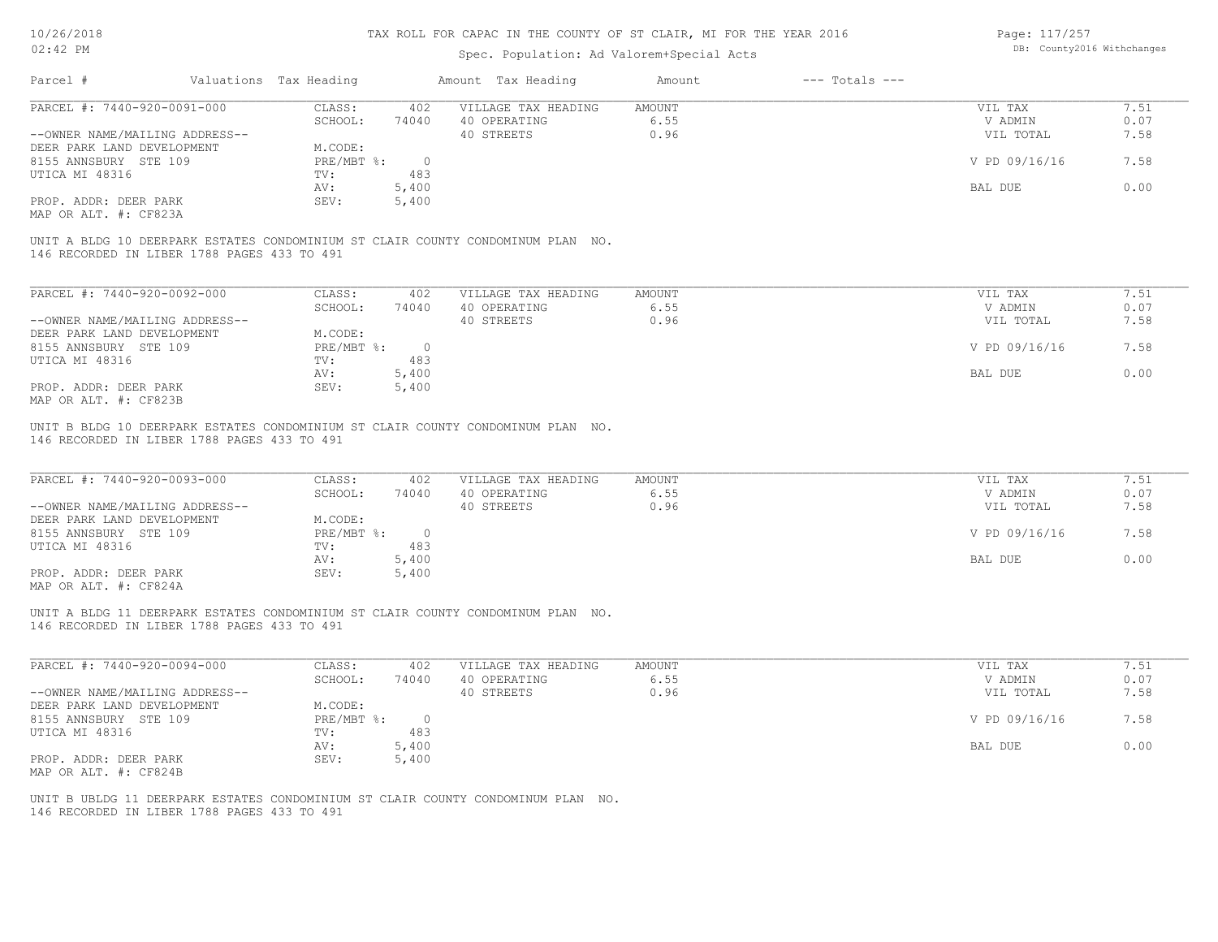## Spec. Population: Ad Valorem+Special Acts

Page: 117/257 DB: County2016 Withchanges

| Parcel #                                      | Valuations Tax Heading |       | Amount Tax Heading                                                              | Amount | $---$ Totals $---$ |                   |                 |
|-----------------------------------------------|------------------------|-------|---------------------------------------------------------------------------------|--------|--------------------|-------------------|-----------------|
| PARCEL #: 7440-920-0091-000                   | CLASS:                 | 402   | VILLAGE TAX HEADING                                                             | AMOUNT |                    | VIL TAX           | 7.51            |
|                                               | SCHOOL:                | 74040 | 40 OPERATING                                                                    | 6.55   |                    | V ADMIN           | 0.07            |
| --OWNER NAME/MAILING ADDRESS--                |                        |       | 40 STREETS                                                                      | 0.96   |                    | VIL TOTAL         | 7.58            |
| DEER PARK LAND DEVELOPMENT                    | M.CODE:                |       |                                                                                 |        |                    |                   |                 |
| 8155 ANNSBURY STE 109                         | PRE/MBT %:             |       |                                                                                 |        |                    | V PD 09/16/16     | 7.58            |
| UTICA MI 48316                                | TV:                    | 483   |                                                                                 |        |                    |                   |                 |
|                                               | AV:                    | 5,400 |                                                                                 |        |                    | BAL DUE           | 0.00            |
| PROP. ADDR: DEER PARK                         | SEV:                   | 5,400 |                                                                                 |        |                    |                   |                 |
| MAP OR ALT. #: CF823A                         |                        |       |                                                                                 |        |                    |                   |                 |
| 146 RECORDED IN LIBER 1788 PAGES 433 TO 491   |                        |       | UNIT A BLDG 10 DEERPARK ESTATES CONDOMINIUM ST CLAIR COUNTY CONDOMINUM PLAN NO. |        |                    |                   |                 |
| PARCEL #: 7440-920-0092-000                   | CLASS:                 | 402   | VILLAGE TAX HEADING                                                             | AMOUNT |                    | VIL TAX           | 7.51            |
|                                               | SCHOOL:                | 74040 | 40 OPERATING                                                                    | 6.55   |                    | V ADMIN           | 0.07            |
| $L = \bigcap$ MNED NAME (MATITNC ADDECC $L =$ |                        |       | AA CHDEEHC                                                                      | 0a6    |                    | <b>TITT TOTAT</b> | 7 <sub>50</sub> |

| --OWNER NAME/MAILING ADDRESS-- |            |       | 40 STREETS | 1.96 | VIL TOTAL             |  |
|--------------------------------|------------|-------|------------|------|-----------------------|--|
| DEER PARK LAND DEVELOPMENT     | M.CODE:    |       |            |      |                       |  |
| 8155 ANNSBURY STE 109          | PRE/MBT %: |       |            |      | V PD 09/16/16<br>7.58 |  |
| UTICA MI 48316                 | TV:        | 483   |            |      |                       |  |
|                                | AV:        | 5,400 |            |      | BAL DUE<br>0.00       |  |
| PROP. ADDR: DEER PARK          | SEV:       | 5,400 |            |      |                       |  |
| MAP OR ALT. #: CF823B          |            |       |            |      |                       |  |

146 RECORDED IN LIBER 1788 PAGES 433 TO 491 UNIT B BLDG 10 DEERPARK ESTATES CONDOMINIUM ST CLAIR COUNTY CONDOMINUM PLAN NO.

| PARCEL #: 7440-920-0093-000                           | CLASS:     | 402   | VILLAGE TAX HEADING | AMOUNT | VIL TAX       | 7.51 |
|-------------------------------------------------------|------------|-------|---------------------|--------|---------------|------|
|                                                       | SCHOOL:    | 74040 | 40 OPERATING        | 6.55   | V ADMIN       | 0.07 |
| --OWNER NAME/MAILING ADDRESS--                        |            |       | 40 STREETS          | 0.96   | VIL TOTAL     | 7.58 |
| DEER PARK LAND DEVELOPMENT                            | M.CODE:    |       |                     |        |               |      |
| 8155 ANNSBURY STE 109                                 | PRE/MBT %: |       |                     |        | V PD 09/16/16 | 7.58 |
| UTICA MI 48316                                        | TV:        | 483   |                     |        |               |      |
|                                                       | AV:        | 5,400 |                     |        | BAL DUE       | 0.00 |
| PROP. ADDR: DEER PARK                                 | SEV:       | 5,400 |                     |        |               |      |
| $\cdots$ $\cdots$ $\cdots$ $\cdots$ $\cdots$ $\cdots$ |            |       |                     |        |               |      |

MAP OR ALT. #: CF824A

146 RECORDED IN LIBER 1788 PAGES 433 TO 491 UNIT A BLDG 11 DEERPARK ESTATES CONDOMINIUM ST CLAIR COUNTY CONDOMINUM PLAN NO.

| PARCEL #: 7440-920-0094-000    | CLASS:     | 402   | VILLAGE TAX HEADING | AMOUNT | VIL TAX       | 7.51 |
|--------------------------------|------------|-------|---------------------|--------|---------------|------|
|                                | SCHOOL:    | 74040 | 40 OPERATING        | 6.55   | V ADMIN       | 0.07 |
| --OWNER NAME/MAILING ADDRESS-- |            |       | 40 STREETS          | 0.96   | VIL TOTAL     | 7.58 |
| DEER PARK LAND DEVELOPMENT     | M.CODE:    |       |                     |        |               |      |
| 8155 ANNSBURY STE 109          | PRE/MBT %: |       |                     |        | V PD 09/16/16 | 7.58 |
| UTICA MI 48316                 | TV:        | 483   |                     |        |               |      |
|                                | AV:        | 5,400 |                     |        | BAL DUE       | 0.00 |
| PROP. ADDR: DEER PARK          | SEV:       | 5,400 |                     |        |               |      |
| MAP OR ALT. #: CF824B          |            |       |                     |        |               |      |

 $\mathcal{L}_\mathcal{L} = \mathcal{L}_\mathcal{L} = \mathcal{L}_\mathcal{L} = \mathcal{L}_\mathcal{L} = \mathcal{L}_\mathcal{L} = \mathcal{L}_\mathcal{L} = \mathcal{L}_\mathcal{L} = \mathcal{L}_\mathcal{L} = \mathcal{L}_\mathcal{L} = \mathcal{L}_\mathcal{L} = \mathcal{L}_\mathcal{L} = \mathcal{L}_\mathcal{L} = \mathcal{L}_\mathcal{L} = \mathcal{L}_\mathcal{L} = \mathcal{L}_\mathcal{L} = \mathcal{L}_\mathcal{L} = \mathcal{L}_\mathcal{L}$ 

146 RECORDED IN LIBER 1788 PAGES 433 TO 491 UNIT B UBLDG 11 DEERPARK ESTATES CONDOMINIUM ST CLAIR COUNTY CONDOMINUM PLAN NO.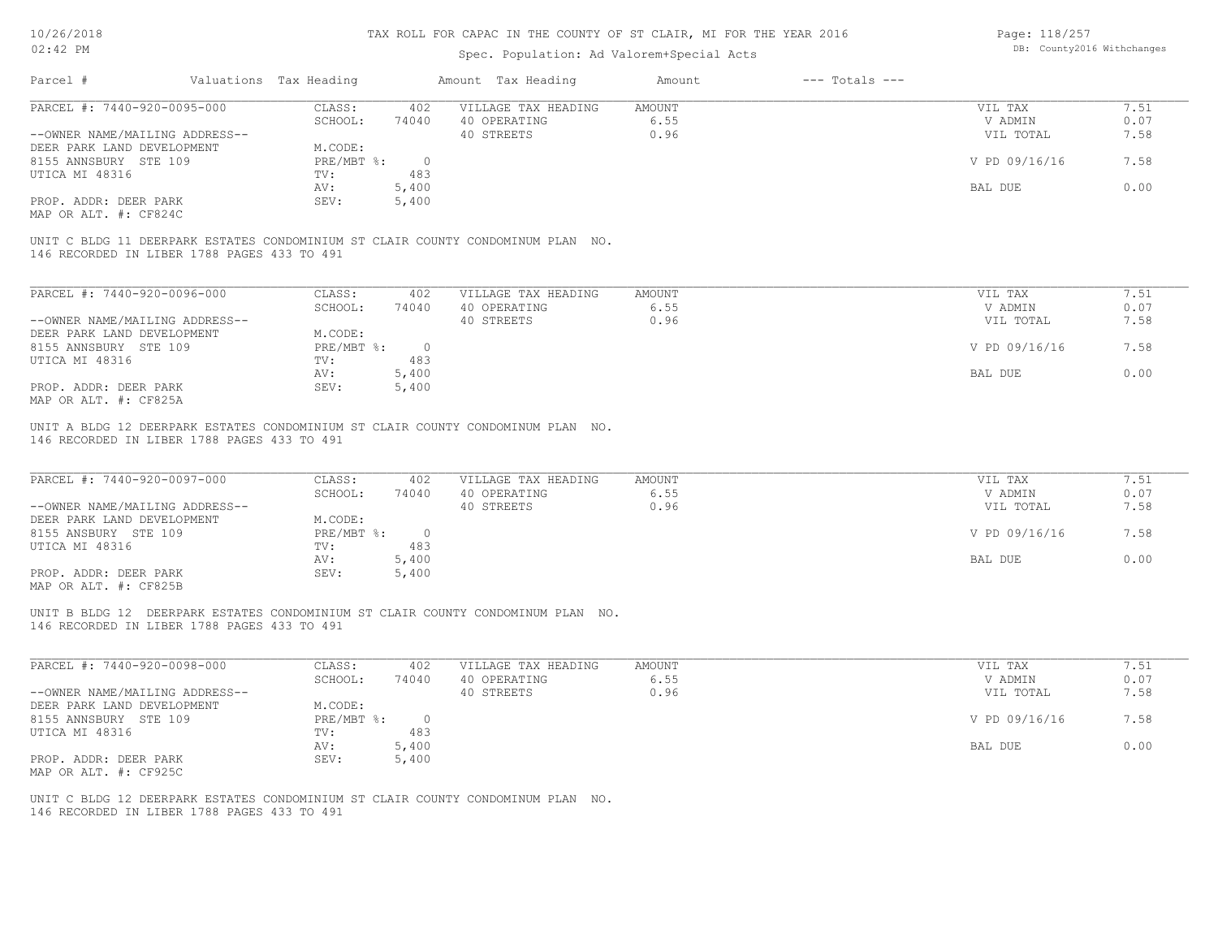| 10/26/2018<br>$02:42$ PM                                                                                                       |                        | TAX ROLL FOR CAPAC IN THE COUNTY OF ST CLAIR, MI FOR THE YEAR 2016 |                                           |                    | Page: 118/257<br>DB: County2016 Withchanges |              |
|--------------------------------------------------------------------------------------------------------------------------------|------------------------|--------------------------------------------------------------------|-------------------------------------------|--------------------|---------------------------------------------|--------------|
|                                                                                                                                |                        |                                                                    | Spec. Population: Ad Valorem+Special Acts |                    |                                             |              |
| Parcel #                                                                                                                       | Valuations Tax Heading | Amount Tax Heading                                                 | Amount                                    | $---$ Totals $---$ |                                             |              |
| PARCEL #: 7440-920-0095-000                                                                                                    | CLASS:                 | VILLAGE TAX HEADING<br>402                                         | <b>AMOUNT</b>                             |                    | VIL TAX                                     | 7.51         |
|                                                                                                                                | SCHOOL:                | 40 OPERATING<br>74040                                              | 6.55                                      |                    | V ADMIN                                     | 0.07         |
| --OWNER NAME/MAILING ADDRESS--                                                                                                 |                        | 40 STREETS                                                         | 0.96                                      |                    | VIL TOTAL                                   | 7.58         |
| DEER PARK LAND DEVELOPMENT                                                                                                     | M.CODE:                |                                                                    |                                           |                    |                                             |              |
| 8155 ANNSBURY STE 109                                                                                                          | PRE/MBT %:             | $\circ$                                                            |                                           |                    | V PD 09/16/16                               | 7.58         |
| UTICA MI 48316                                                                                                                 | TV:                    | 483                                                                |                                           |                    |                                             |              |
|                                                                                                                                | AV:                    | 5,400                                                              |                                           |                    | <b>BAL DUE</b>                              | 0.00         |
| PROP. ADDR: DEER PARK<br>MAP OR ALT. #: CF824C                                                                                 | SEV:                   | 5,400                                                              |                                           |                    |                                             |              |
| UNIT C BLDG 11 DEERPARK ESTATES CONDOMINIUM ST CLAIR COUNTY CONDOMINUM PLAN NO.<br>146 RECORDED IN LIBER 1788 PAGES 433 TO 491 |                        |                                                                    |                                           |                    |                                             |              |
|                                                                                                                                |                        |                                                                    |                                           |                    |                                             |              |
| PARCEL #: 7440-920-0096-000                                                                                                    | CLASS:                 | 402<br>VILLAGE TAX HEADING                                         | <b>AMOUNT</b>                             |                    | VIL TAX                                     | 7.51         |
|                                                                                                                                | SCHOOL:                | 74040<br>40 OPERATING                                              | 6.55                                      |                    | V ADMIN                                     | 0.07         |
| --OWNER NAME/MAILING ADDRESS--                                                                                                 |                        | 40 STREETS                                                         | 0.96                                      |                    | VIL TOTAL                                   | 7.58         |
| DEER PARK LAND DEVELOPMENT                                                                                                     | M.CODE:                |                                                                    |                                           |                    |                                             |              |
| 8155 ANNSBURY STE 109                                                                                                          | PRE/MBT %:             | $\circ$                                                            |                                           |                    | V PD 09/16/16                               | 7.58         |
| UTICA MI 48316                                                                                                                 | TV:                    | 483                                                                |                                           |                    |                                             |              |
|                                                                                                                                | AV:                    | 5,400                                                              |                                           |                    | <b>BAL DUE</b>                              | 0.00         |
| PROP. ADDR: DEER PARK<br>MAP OR ALT. #: CF825A                                                                                 | SEV:                   | 5,400                                                              |                                           |                    |                                             |              |
| UNIT A BLDG 12 DEERPARK ESTATES CONDOMINIUM ST CLAIR COUNTY CONDOMINUM PLAN NO.                                                |                        |                                                                    |                                           |                    |                                             |              |
| 146 RECORDED IN LIBER 1788 PAGES 433 TO 491                                                                                    |                        |                                                                    |                                           |                    |                                             |              |
|                                                                                                                                |                        |                                                                    | <b>AMOUNT</b>                             |                    |                                             |              |
| PARCEL #: 7440-920-0097-000                                                                                                    | CLASS:<br>SCHOOL:      | VILLAGE TAX HEADING<br>402<br>74040<br>40 OPERATING                | 6.55                                      |                    | VIL TAX<br>V ADMIN                          | 7.51<br>0.07 |
| --OWNER NAME/MAILING ADDRESS--                                                                                                 |                        | 40 STREETS                                                         | 0.96                                      |                    | VIL TOTAL                                   | 7.58         |
| DEER PARK LAND DEVELOPMENT                                                                                                     | M.CODE:                |                                                                    |                                           |                    |                                             |              |
| 8155 ANSBURY STE 109                                                                                                           | PRE/MBT %:             | $\overline{0}$                                                     |                                           |                    | V PD 09/16/16                               | 7.58         |
| UTICA MI 48316                                                                                                                 | TV:                    | 483                                                                |                                           |                    |                                             |              |
|                                                                                                                                | AV:                    | 5,400                                                              |                                           |                    | BAL DUE                                     | 0.00         |
| PROP. ADDR: DEER PARK                                                                                                          | SEV:                   | 5,400                                                              |                                           |                    |                                             |              |
| MAP OR ALT. #: CF825B                                                                                                          |                        |                                                                    |                                           |                    |                                             |              |
|                                                                                                                                |                        |                                                                    |                                           |                    |                                             |              |
| UNIT B BLDG 12 DEERPARK ESTATES CONDOMINIUM ST CLAIR COUNTY CONDOMINUM PLAN NO.<br>146 RECORDED IN LIBER 1788 PAGES 433 TO 491 |                        |                                                                    |                                           |                    |                                             |              |
|                                                                                                                                |                        |                                                                    |                                           |                    |                                             |              |
| PARCEL #: 7440-920-0098-000                                                                                                    | CLASS:                 | 402<br>VILLAGE TAX HEADING                                         | <b>AMOUNT</b>                             |                    | VIL TAX                                     | 7.51         |
|                                                                                                                                | SCHOOL:                | 40 OPERATING<br>74040                                              | 6.55                                      |                    | V ADMIN                                     | 0.07         |
| --OWNER NAME/MAILING ADDRESS--                                                                                                 |                        | 40 STREETS                                                         | 0.96                                      |                    | VIL TOTAL                                   | 7.58         |
| DEER PARK LAND DEVELOPMENT                                                                                                     | M.CODE:                |                                                                    |                                           |                    |                                             |              |
| 8155 ANNSBURY STE 109                                                                                                          | PRE/MBT %:             | $\circ$                                                            |                                           |                    | V PD 09/16/16                               | 7.58         |
| UTICA MI 48316                                                                                                                 | TV:                    | 483                                                                |                                           |                    |                                             |              |

AV: 5,400 BAL DUE 0.00

MAP OR ALT. #: CF925C PROP. ADDR: DEER PARK SEV: 5,400

146 RECORDED IN LIBER 1788 PAGES 433 TO 491 UNIT C BLDG 12 DEERPARK ESTATES CONDOMINIUM ST CLAIR COUNTY CONDOMINUM PLAN NO.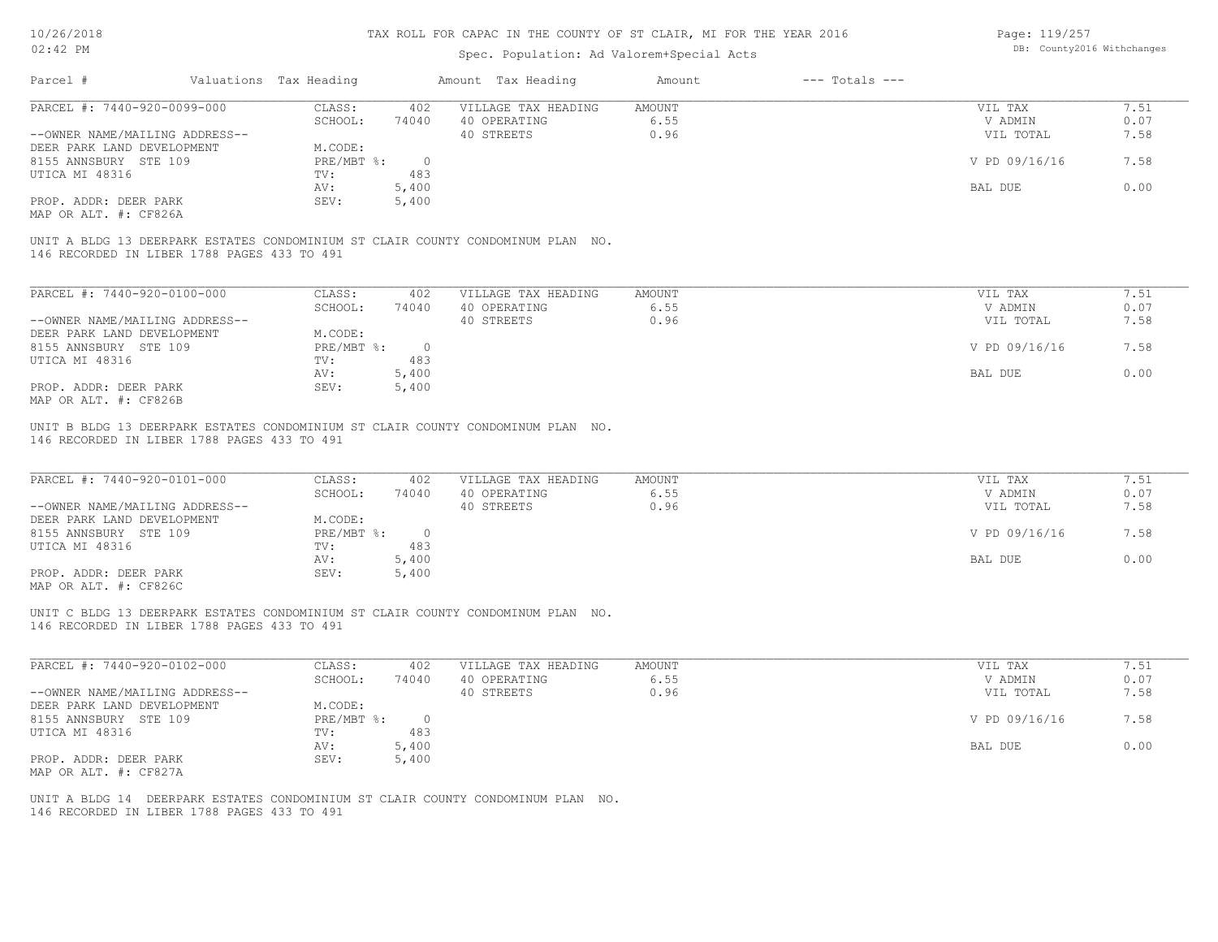## Spec. Population: Ad Valorem+Special Acts

Page: 119/257 DB: County2016 Withchanges

| Parcel #                                    | Valuations Tax Heading |            | Amount Tax Heading                                                              | Amount | $---$ Totals $---$ |               |      |
|---------------------------------------------|------------------------|------------|---------------------------------------------------------------------------------|--------|--------------------|---------------|------|
| PARCEL #: 7440-920-0099-000                 | CLASS:                 | 402        | VILLAGE TAX HEADING                                                             | AMOUNT |                    | VIL TAX       | 7.51 |
|                                             | SCHOOL:                | 74040      | 40 OPERATING                                                                    | 6.55   |                    | V ADMIN       | 0.07 |
| --OWNER NAME/MAILING ADDRESS--              |                        |            | 40 STREETS                                                                      | 0.96   |                    | VIL TOTAL     | 7.58 |
| DEER PARK LAND DEVELOPMENT                  | M.CODE:                |            |                                                                                 |        |                    |               |      |
| 8155 ANNSBURY STE 109                       | PRE/MBT %:             | $\bigcirc$ |                                                                                 |        |                    | V PD 09/16/16 | 7.58 |
| UTICA MI 48316                              | TV:                    | 483        |                                                                                 |        |                    |               |      |
|                                             | AV:                    | 5,400      |                                                                                 |        |                    | BAL DUE       | 0.00 |
| PROP. ADDR: DEER PARK                       | SEV:                   | 5,400      |                                                                                 |        |                    |               |      |
| MAP OR ALT. #: CF826A                       |                        |            |                                                                                 |        |                    |               |      |
| 146 RECORDED IN LIBER 1788 PAGES 433 TO 491 |                        |            | UNIT A BLDG 13 DEERPARK ESTATES CONDOMINIUM ST CLAIR COUNTY CONDOMINUM PLAN NO. |        |                    |               |      |
|                                             |                        |            |                                                                                 |        |                    |               |      |
| PARCEL #: 7440-920-0100-000                 | CLASS:                 | 402        | VILLAGE TAX HEADING                                                             | AMOUNT |                    | VIL TAX       | 7.51 |
|                                             | SCHOOL:                | 74040      | 40 OPERATING                                                                    | 6.55   |                    | V ADMIN       | 0.07 |

| --OWNER NAME/MAILING ADDRESS-- |              |       | 40 STREETS | .<br>0.96 | VIL TOTAL     | .<br>7.58 |
|--------------------------------|--------------|-------|------------|-----------|---------------|-----------|
| DEER PARK LAND DEVELOPMENT     | M.CODE:      |       |            |           |               |           |
| 8155 ANNSBURY STE 109          | $PRE/MBT$ %: |       |            |           | V PD 09/16/16 | 7.58      |
| UTICA MI 48316                 | TV:          | 483   |            |           |               |           |
|                                | AV:          | 5,400 |            |           | BAL DUE       | 0.00      |
| PROP. ADDR: DEER PARK          | SEV:         | 5,400 |            |           |               |           |
| MAP OR ALT. #: CF826B          |              |       |            |           |               |           |

146 RECORDED IN LIBER 1788 PAGES 433 TO 491 UNIT B BLDG 13 DEERPARK ESTATES CONDOMINIUM ST CLAIR COUNTY CONDOMINUM PLAN NO.

| PARCEL #: 7440-920-0101-000    | CLASS:     | 402   | VILLAGE TAX HEADING | AMOUNT | VIL TAX       | 7.51 |
|--------------------------------|------------|-------|---------------------|--------|---------------|------|
|                                | SCHOOL:    | 74040 | 40 OPERATING        | 6.55   | V ADMIN       | 0.07 |
| --OWNER NAME/MAILING ADDRESS-- |            |       | 40 STREETS          | 0.96   | VIL TOTAL     | 7.58 |
| DEER PARK LAND DEVELOPMENT     | M.CODE:    |       |                     |        |               |      |
| 8155 ANNSBURY STE 109          | PRE/MBT %: |       |                     |        | V PD 09/16/16 | 7.58 |
| UTICA MI 48316                 | TV:        | 483   |                     |        |               |      |
|                                | AV:        | 5,400 |                     |        | BAL DUE       | 0.00 |
| PROP. ADDR: DEER PARK          | SEV:       | 5,400 |                     |        |               |      |
| $MDD$ $CD$ $MDM$ $H$ , $CDQ$   |            |       |                     |        |               |      |

MAP OR ALT. #: CF826C

146 RECORDED IN LIBER 1788 PAGES 433 TO 491 UNIT C BLDG 13 DEERPARK ESTATES CONDOMINIUM ST CLAIR COUNTY CONDOMINUM PLAN NO.

| PARCEL #: 7440-920-0102-000    | CLASS:     | 402      | VILLAGE TAX HEADING | AMOUNT | 7.51<br>VIL TAX       |  |
|--------------------------------|------------|----------|---------------------|--------|-----------------------|--|
|                                | SCHOOL:    | 74040    | 40 OPERATING        | 6.55   | 0.07<br>V ADMIN       |  |
| --OWNER NAME/MAILING ADDRESS-- |            |          | 40 STREETS          | 0.96   | 7.58<br>VIL TOTAL     |  |
| DEER PARK LAND DEVELOPMENT     | M.CODE:    |          |                     |        |                       |  |
| 8155 ANNSBURY STE 109          | PRE/MBT %: | $\Omega$ |                     |        | V PD 09/16/16<br>7.58 |  |
| UTICA MI 48316                 | TV:        | 483      |                     |        |                       |  |
|                                | AV:        | 5,400    |                     |        | 0.00<br>BAL DUE       |  |
| PROP. ADDR: DEER PARK          | SEV:       | 5,400    |                     |        |                       |  |
| MAP OR ALT. #: CF827A          |            |          |                     |        |                       |  |

 $\mathcal{L}_\mathcal{L} = \mathcal{L}_\mathcal{L} = \mathcal{L}_\mathcal{L} = \mathcal{L}_\mathcal{L} = \mathcal{L}_\mathcal{L} = \mathcal{L}_\mathcal{L} = \mathcal{L}_\mathcal{L} = \mathcal{L}_\mathcal{L} = \mathcal{L}_\mathcal{L} = \mathcal{L}_\mathcal{L} = \mathcal{L}_\mathcal{L} = \mathcal{L}_\mathcal{L} = \mathcal{L}_\mathcal{L} = \mathcal{L}_\mathcal{L} = \mathcal{L}_\mathcal{L} = \mathcal{L}_\mathcal{L} = \mathcal{L}_\mathcal{L}$ 

146 RECORDED IN LIBER 1788 PAGES 433 TO 491 UNIT A BLDG 14 DEERPARK ESTATES CONDOMINIUM ST CLAIR COUNTY CONDOMINUM PLAN NO.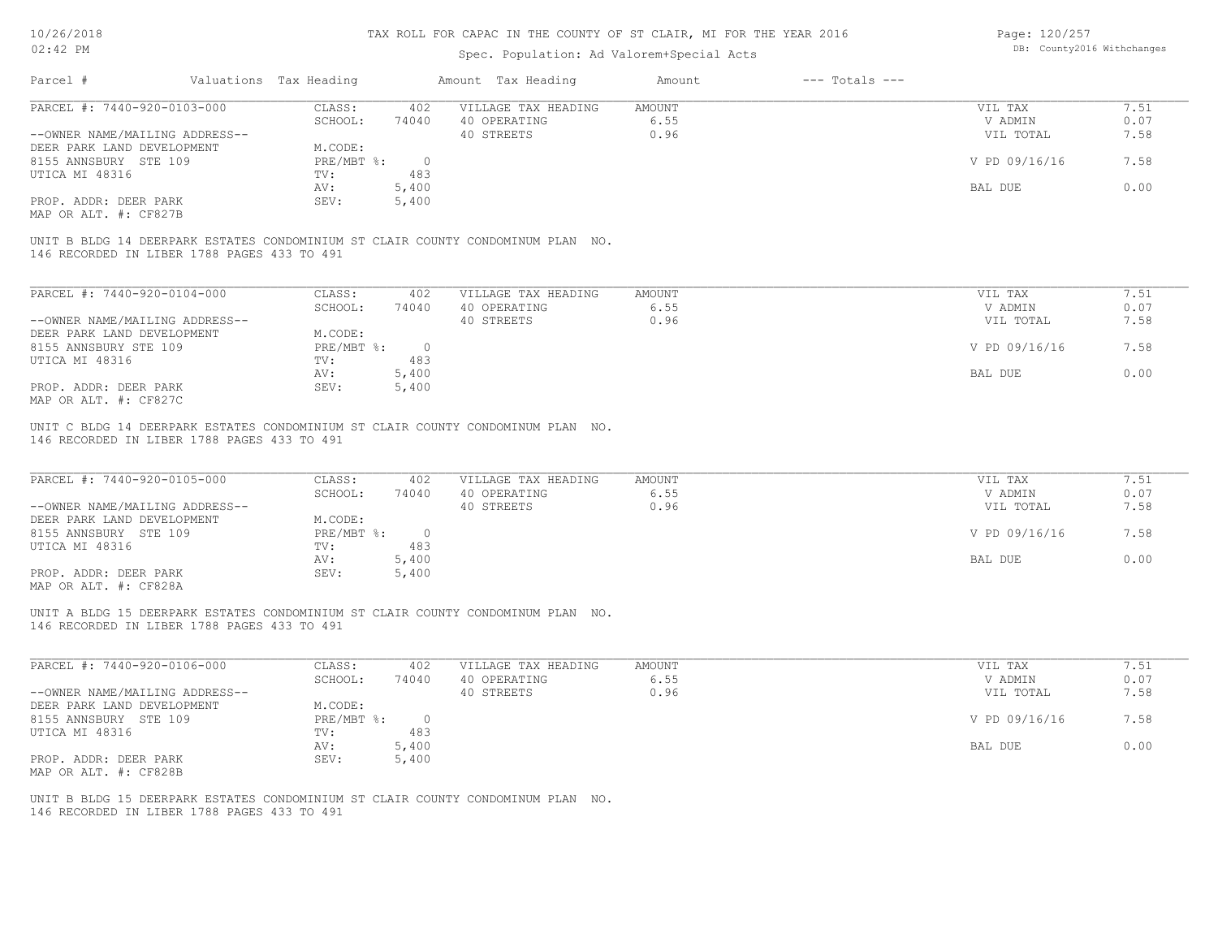## Spec. Population: Ad Valorem+Special Acts

Page: 120/257 DB: County2016 Withchanges

| Parcel #                    |                                             | Valuations Tax Heading |          | Amount Tax Heading                                                              | Amount | $---$ Totals $---$ |               |      |
|-----------------------------|---------------------------------------------|------------------------|----------|---------------------------------------------------------------------------------|--------|--------------------|---------------|------|
| PARCEL #: 7440-920-0103-000 |                                             | CLASS:                 | 402      | VILLAGE TAX HEADING                                                             | AMOUNT |                    | VIL TAX       | 7.51 |
|                             |                                             | SCHOOL:                | 74040    | 40 OPERATING                                                                    | 6.55   |                    | V ADMIN       | 0.07 |
|                             | --OWNER NAME/MAILING ADDRESS--              |                        |          | 40 STREETS                                                                      | 0.96   |                    | VIL TOTAL     | 7.58 |
| DEER PARK LAND DEVELOPMENT  |                                             | M.CODE:                |          |                                                                                 |        |                    |               |      |
| 8155 ANNSBURY STE 109       |                                             | $PRE/MBT$ %:           | $\Omega$ |                                                                                 |        |                    | V PD 09/16/16 | 7.58 |
| UTICA MI 48316              |                                             | TV:                    | 483      |                                                                                 |        |                    |               |      |
|                             |                                             | AV:                    | 5,400    |                                                                                 |        |                    | BAL DUE       | 0.00 |
| PROP. ADDR: DEER PARK       |                                             | SEV:                   | 5,400    |                                                                                 |        |                    |               |      |
| MAP OR ALT. #: CF827B       |                                             |                        |          |                                                                                 |        |                    |               |      |
|                             | 146 RECORDED IN LIBER 1788 PAGES 433 TO 491 |                        |          | UNIT B BLDG 14 DEERPARK ESTATES CONDOMINIUM ST CLAIR COUNTY CONDOMINUM PLAN NO. |        |                    |               |      |
|                             |                                             |                        |          |                                                                                 |        |                    |               |      |
| PARCEL #: 7440-920-0104-000 |                                             | CLASS:                 | 402      | VILLAGE TAX HEADING                                                             | AMOUNT |                    | VIL TAX       | 7.51 |

| PARCEL #: /440-920-0104-000    | JLASS :    | 4 U Z | VILLAGE TAX HEADING | AMOUNT. | VIL TAX       | 7. J L |
|--------------------------------|------------|-------|---------------------|---------|---------------|--------|
|                                | SCHOOL:    | 74040 | 40 OPERATING        | 6.55    | V ADMIN       | 0.07   |
| --OWNER NAME/MAILING ADDRESS-- |            |       | 40 STREETS          | 0.96    | VIL TOTAL     | 7.58   |
| DEER PARK LAND DEVELOPMENT     | M.CODE:    |       |                     |         |               |        |
| 8155 ANNSBURY STE 109          | PRE/MBT %: |       |                     |         | V PD 09/16/16 | 7.58   |
| UTICA MI 48316                 | TV:        | 483   |                     |         |               |        |
|                                | AV:        | 5,400 |                     |         | BAL DUE       | 0.00   |
| PROP. ADDR: DEER PARK          | SEV:       | 5,400 |                     |         |               |        |
| MAP OR ALT. #: CF827C          |            |       |                     |         |               |        |

146 RECORDED IN LIBER 1788 PAGES 433 TO 491 UNIT C BLDG 14 DEERPARK ESTATES CONDOMINIUM ST CLAIR COUNTY CONDOMINUM PLAN NO.

| PARCEL #: 7440-920-0105-000    | CLASS:     | 402   | VILLAGE TAX HEADING | AMOUNT | VIL TAX       | 1.51 |
|--------------------------------|------------|-------|---------------------|--------|---------------|------|
|                                | SCHOOL:    | 74040 | 40 OPERATING        | 6.55   | V ADMIN       | 0.07 |
| --OWNER NAME/MAILING ADDRESS-- |            |       | 40 STREETS          | 0.96   | VIL TOTAL     | 7.58 |
| DEER PARK LAND DEVELOPMENT     | M.CODE:    |       |                     |        |               |      |
| 8155 ANNSBURY STE 109          | PRE/MBT %: |       |                     |        | V PD 09/16/16 | 7.58 |
| UTICA MI 48316                 | TV:        | 483   |                     |        |               |      |
|                                | AV:        | 5,400 |                     |        | BAL DUE       | 0.00 |
| PROP. ADDR: DEER PARK          | SEV:       | 5,400 |                     |        |               |      |
| MAP OR ALT. #: CF828A          |            |       |                     |        |               |      |

146 RECORDED IN LIBER 1788 PAGES 433 TO 491 UNIT A BLDG 15 DEERPARK ESTATES CONDOMINIUM ST CLAIR COUNTY CONDOMINUM PLAN NO.

| PARCEL #: 7440-920-0106-000    | CLASS:       | 402   | VILLAGE TAX HEADING | AMOUNT | VIL TAX       | 1.51 |
|--------------------------------|--------------|-------|---------------------|--------|---------------|------|
|                                | SCHOOL:      | 74040 | 40 OPERATING        | 6.55   | V ADMIN       | 0.07 |
| --OWNER NAME/MAILING ADDRESS-- |              |       | 40 STREETS          | 0.96   | VIL TOTAL     | 7.58 |
| DEER PARK LAND DEVELOPMENT     | M.CODE:      |       |                     |        |               |      |
| 8155 ANNSBURY STE 109          | $PRE/MBT$ %: |       |                     |        | V PD 09/16/16 | 7.58 |
| UTICA MI 48316                 | TV:          | 483   |                     |        |               |      |
|                                | AV:          | 5,400 |                     |        | BAL DUE       | 0.00 |
| PROP. ADDR: DEER PARK          | SEV:         | 5,400 |                     |        |               |      |
| MAP OR ALT. #: CF828B          |              |       |                     |        |               |      |

146 RECORDED IN LIBER 1788 PAGES 433 TO 491 UNIT B BLDG 15 DEERPARK ESTATES CONDOMINIUM ST CLAIR COUNTY CONDOMINUM PLAN NO.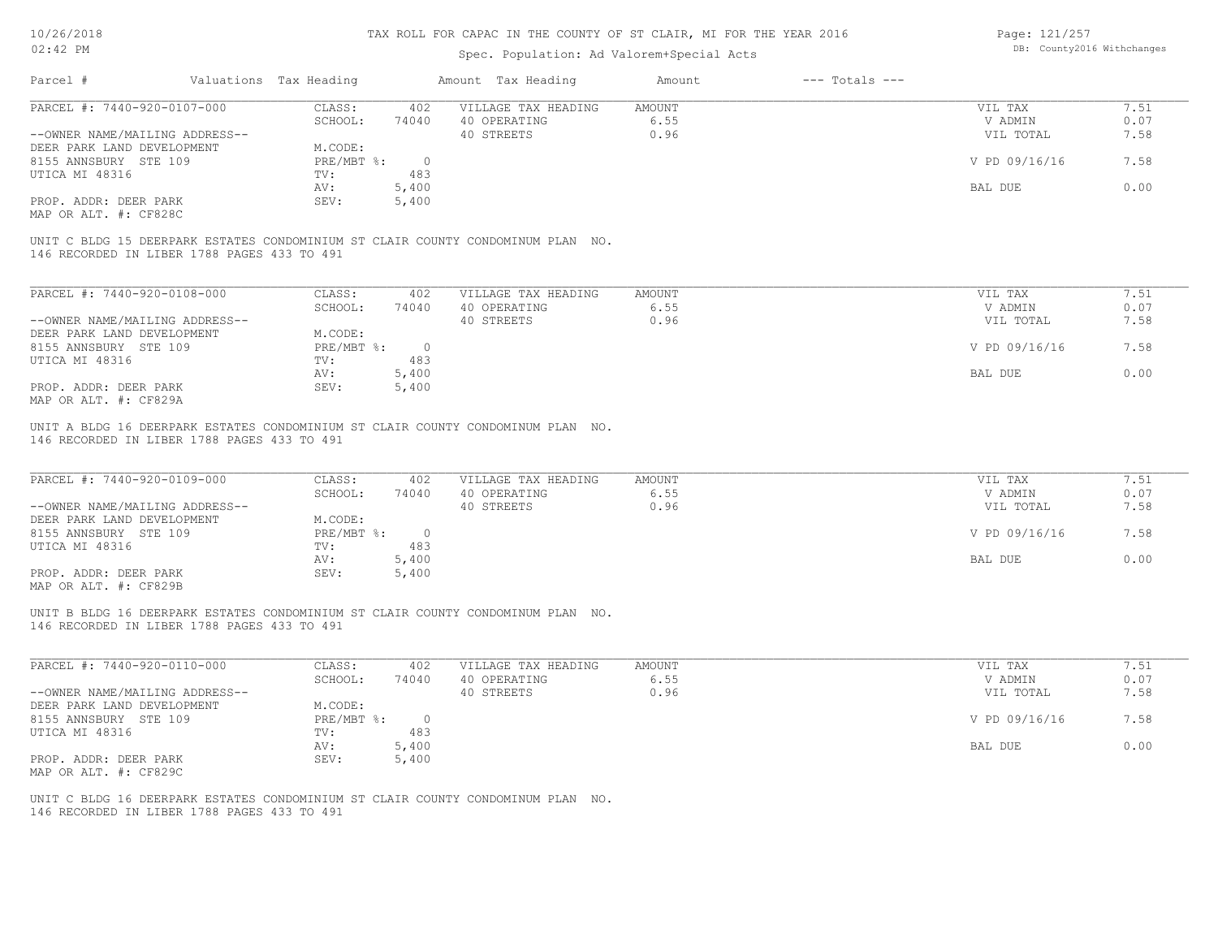## Spec. Population: Ad Valorem+Special Acts

Page: 121/257 DB: County2016 Withchanges

| Parcel #                                    | Valuations Tax Heading |          | Amount Tax Heading                                                              | Amount | $---$ Totals $---$ |               |      |
|---------------------------------------------|------------------------|----------|---------------------------------------------------------------------------------|--------|--------------------|---------------|------|
| PARCEL #: 7440-920-0107-000                 | CLASS:                 | 402      | VILLAGE TAX HEADING                                                             | AMOUNT |                    | VIL TAX       | 7.51 |
|                                             | SCHOOL:                | 74040    | 40 OPERATING                                                                    | 6.55   |                    | V ADMIN       | 0.07 |
| --OWNER NAME/MAILING ADDRESS--              |                        |          | 40 STREETS                                                                      | 0.96   |                    | VIL TOTAL     | 7.58 |
| DEER PARK LAND DEVELOPMENT                  | M.CODE:                |          |                                                                                 |        |                    |               |      |
| 8155 ANNSBURY STE 109                       | PRE/MBT %:             | $\Omega$ |                                                                                 |        |                    | V PD 09/16/16 | 7.58 |
| UTICA MI 48316                              | TV:                    | 483      |                                                                                 |        |                    |               |      |
|                                             | AV:                    | 5,400    |                                                                                 |        |                    | BAL DUE       | 0.00 |
| PROP. ADDR: DEER PARK                       | SEV:                   | 5,400    |                                                                                 |        |                    |               |      |
| MAP OR ALT. #: CF828C                       |                        |          |                                                                                 |        |                    |               |      |
| 146 RECORDED IN LIBER 1788 PAGES 433 TO 491 |                        |          | UNIT C BLDG 15 DEERPARK ESTATES CONDOMINIUM ST CLAIR COUNTY CONDOMINUM PLAN NO. |        |                    |               |      |

| PARCEL #: 7440-920-0108-000    | CLASS:     | 402   | VILLAGE TAX HEADING | AMOUNT | VIL TAX       | 7.51 |
|--------------------------------|------------|-------|---------------------|--------|---------------|------|
|                                | SCHOOL:    | 74040 | 40 OPERATING        | 6.55   | V ADMIN       | 0.07 |
| --OWNER NAME/MAILING ADDRESS-- |            |       | 40 STREETS          | 0.96   | VIL TOTAL     | 7.58 |
| DEER PARK LAND DEVELOPMENT     | M.CODE:    |       |                     |        |               |      |
| 8155 ANNSBURY STE 109          | PRE/MBT %: |       |                     |        | V PD 09/16/16 | 7.58 |
| UTICA MI 48316                 | TV:        | 483   |                     |        |               |      |
|                                | AV:        | 5,400 |                     |        | BAL DUE       | 0.00 |
| PROP. ADDR: DEER PARK          | SEV:       | 5,400 |                     |        |               |      |
| MAP OR ALT. #: CF829A          |            |       |                     |        |               |      |

146 RECORDED IN LIBER 1788 PAGES 433 TO 491 UNIT A BLDG 16 DEERPARK ESTATES CONDOMINIUM ST CLAIR COUNTY CONDOMINUM PLAN NO.

| PARCEL #: 7440-920-0109-000                           | CLASS:     | 402   | VILLAGE TAX HEADING | AMOUNT | VIL TAX       | 7.51 |
|-------------------------------------------------------|------------|-------|---------------------|--------|---------------|------|
|                                                       | SCHOOL:    | 74040 | 40 OPERATING        | 6.55   | V ADMIN       | 0.07 |
| --OWNER NAME/MAILING ADDRESS--                        |            |       | 40 STREETS          | 0.96   | VIL TOTAL     | 7.58 |
| DEER PARK LAND DEVELOPMENT                            | M.CODE:    |       |                     |        |               |      |
| 8155 ANNSBURY STE 109                                 | PRE/MBT %: |       |                     |        | V PD 09/16/16 | 7.58 |
| UTICA MI 48316                                        | TV:        | 483   |                     |        |               |      |
|                                                       | AV:        | 5,400 |                     |        | BAL DUE       | 0.00 |
| PROP. ADDR: DEER PARK                                 | SEV:       | 5,400 |                     |        |               |      |
| $\cdots$ $\cdots$ $\cdots$ $\cdots$ $\cdots$ $\cdots$ |            |       |                     |        |               |      |

MAP OR ALT. #: CF829B

146 RECORDED IN LIBER 1788 PAGES 433 TO 491 UNIT B BLDG 16 DEERPARK ESTATES CONDOMINIUM ST CLAIR COUNTY CONDOMINUM PLAN NO.

| PARCEL #: 7440-920-0110-000    | CLASS:     | 402      | VILLAGE TAX HEADING | AMOUNT | VIL TAX       | 7.51 |
|--------------------------------|------------|----------|---------------------|--------|---------------|------|
|                                | SCHOOL:    | 74040    | 40 OPERATING        | 6.55   | V ADMIN       | 0.07 |
| --OWNER NAME/MAILING ADDRESS-- |            |          | 40 STREETS          | 0.96   | VIL TOTAL     | 7.58 |
| DEER PARK LAND DEVELOPMENT     | M.CODE:    |          |                     |        |               |      |
| 8155 ANNSBURY STE 109          | PRE/MBT %: | $\Omega$ |                     |        | V PD 09/16/16 | 7.58 |
| UTICA MI 48316                 | TV:        | 483      |                     |        |               |      |
|                                | AV:        | 5,400    |                     |        | BAL DUE       | 0.00 |
| PROP. ADDR: DEER PARK          | SEV:       | 5,400    |                     |        |               |      |
| MAP OR ALT. #: CF829C          |            |          |                     |        |               |      |

 $\mathcal{L}_\mathcal{L} = \mathcal{L}_\mathcal{L} = \mathcal{L}_\mathcal{L} = \mathcal{L}_\mathcal{L} = \mathcal{L}_\mathcal{L} = \mathcal{L}_\mathcal{L} = \mathcal{L}_\mathcal{L} = \mathcal{L}_\mathcal{L} = \mathcal{L}_\mathcal{L} = \mathcal{L}_\mathcal{L} = \mathcal{L}_\mathcal{L} = \mathcal{L}_\mathcal{L} = \mathcal{L}_\mathcal{L} = \mathcal{L}_\mathcal{L} = \mathcal{L}_\mathcal{L} = \mathcal{L}_\mathcal{L} = \mathcal{L}_\mathcal{L}$ 

146 RECORDED IN LIBER 1788 PAGES 433 TO 491 UNIT C BLDG 16 DEERPARK ESTATES CONDOMINIUM ST CLAIR COUNTY CONDOMINUM PLAN NO.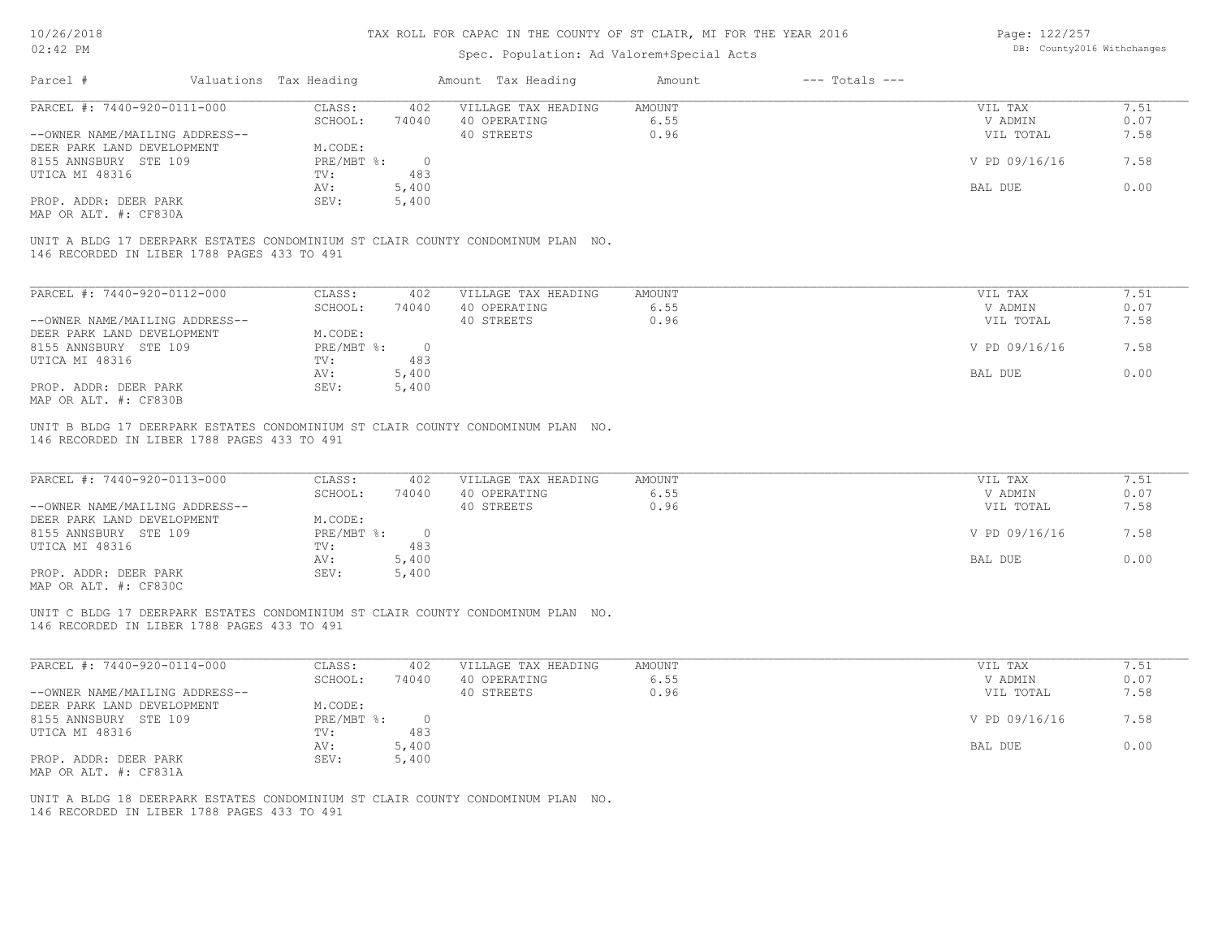## Spec. Population: Ad Valorem+Special Acts

Page: 122/257 DB: County2016 Withchanges

| Valuations Tax Heading<br>Parcel #          |                                          | Amount Tax Heading  | Amount | $---$ Totals $---$ |               |      |
|---------------------------------------------|------------------------------------------|---------------------|--------|--------------------|---------------|------|
| PARCEL #: 7440-920-0111-000                 | CLASS:<br>402                            | VILLAGE TAX HEADING | AMOUNT |                    | VIL TAX       | 7.51 |
|                                             | SCHOOL:<br>74040                         | 40 OPERATING        | 6.55   |                    | V ADMIN       | 0.07 |
| --OWNER NAME/MAILING ADDRESS--              |                                          | 40 STREETS          | 0.96   |                    | VIL TOTAL     | 7.58 |
| DEER PARK LAND DEVELOPMENT                  | M.CODE:                                  |                     |        |                    |               |      |
| 8155 ANNSBURY STE 109                       | $PRE/MBT$ %:<br>$\overline{\phantom{0}}$ |                     |        |                    | V PD 09/16/16 | 7.58 |
| UTICA MI 48316                              | 483<br>TV:                               |                     |        |                    |               |      |
|                                             | 5,400<br>AV:                             |                     |        |                    | BAL DUE       | 0.00 |
| PROP. ADDR: DEER PARK                       | 5,400<br>SEV:                            |                     |        |                    |               |      |
| MAP OR ALT. #: CF830A                       |                                          |                     |        |                    |               |      |
| 146 RECORDED IN LIBER 1788 PAGES 433 TO 491 |                                          |                     |        |                    |               |      |
| PARCEL #: 7440-920-0112-000                 | CLASS:<br>402                            | VILLAGE TAX HEADING | AMOUNT |                    | VIL TAX       | 7.51 |
|                                             | 74040<br>SCHOOL:                         | 40 OPERATING        | 6.55   |                    | V ADMIN       | 0.07 |
| --OWNER NAME/MAILING ADDRESS--              |                                          | 40 STREETS          | 0.96   |                    | VIL TOTAL     | 7.58 |
| DEER PARK LAND DEVELOPMENT                  | M.CODE:                                  |                     |        |                    |               |      |
| 8155 ANNSBURY STE 109                       | $PRE/MBT$ %:<br>$\overline{0}$           |                     |        |                    | V PD 09/16/16 | 7.58 |
| UTICA MI 48316                              | 483<br>TV:                               |                     |        |                    |               |      |
|                                             | 5,400<br>AV:                             |                     |        |                    | BAL DUE       | 0.00 |
| PROP. ADDR: DEER PARK                       | 5,400<br>SEV:                            |                     |        |                    |               |      |
| MAP OR ALT. #: CF830B                       |                                          |                     |        |                    |               |      |

146 RECORDED IN LIBER 1788 PAGES 433 TO 491 UNIT B BLDG 17 DEERPARK ESTATES CONDOMINIUM ST CLAIR COUNTY CONDOMINUM PLAN NO.

| PARCEL #: 7440-920-0113-000    | CLASS:     | 402   | VILLAGE TAX HEADING | AMOUNT | VIL TAX       | 1.51 |
|--------------------------------|------------|-------|---------------------|--------|---------------|------|
|                                | SCHOOL:    | 74040 | 40 OPERATING        | 6.55   | V ADMIN       | 0.07 |
| --OWNER NAME/MAILING ADDRESS-- |            |       | 40 STREETS          | 0.96   | VIL TOTAL     | 7.58 |
| DEER PARK LAND DEVELOPMENT     | M.CODE:    |       |                     |        |               |      |
| 8155 ANNSBURY STE 109          | PRE/MBT %: |       |                     |        | V PD 09/16/16 | 7.58 |
| UTICA MI 48316                 | TV:        | 483   |                     |        |               |      |
|                                | AV:        | 5,400 |                     |        | BAL DUE       | 0.00 |
| PROP. ADDR: DEER PARK          | SEV:       | 5,400 |                     |        |               |      |
| MAP OR ALT. #: CF830C          |            |       |                     |        |               |      |

146 RECORDED IN LIBER 1788 PAGES 433 TO 491 UNIT C BLDG 17 DEERPARK ESTATES CONDOMINIUM ST CLAIR COUNTY CONDOMINUM PLAN NO.

| PARCEL #: 7440-920-0114-000    | CLASS:       | 402   | VILLAGE TAX HEADING | AMOUNT | VIL TAX       | 7.51 |
|--------------------------------|--------------|-------|---------------------|--------|---------------|------|
|                                | SCHOOL:      | 74040 | 40 OPERATING        | 6.55   | V ADMIN       | 0.07 |
| --OWNER NAME/MAILING ADDRESS-- |              |       | 40 STREETS          | 0.96   | VIL TOTAL     | 7.58 |
| DEER PARK LAND DEVELOPMENT     | M.CODE:      |       |                     |        |               |      |
| 8155 ANNSBURY STE 109          | $PRE/MBT$ %: |       |                     |        | V PD 09/16/16 | 7.58 |
| UTICA MI 48316                 | TV:          | 483   |                     |        |               |      |
|                                | AV:          | 5,400 |                     |        | BAL DUE       | 0.00 |
| PROP. ADDR: DEER PARK          | SEV:         | 5,400 |                     |        |               |      |
| MAP OR ALT. #: CF831A          |              |       |                     |        |               |      |

146 RECORDED IN LIBER 1788 PAGES 433 TO 491 UNIT A BLDG 18 DEERPARK ESTATES CONDOMINIUM ST CLAIR COUNTY CONDOMINUM PLAN NO.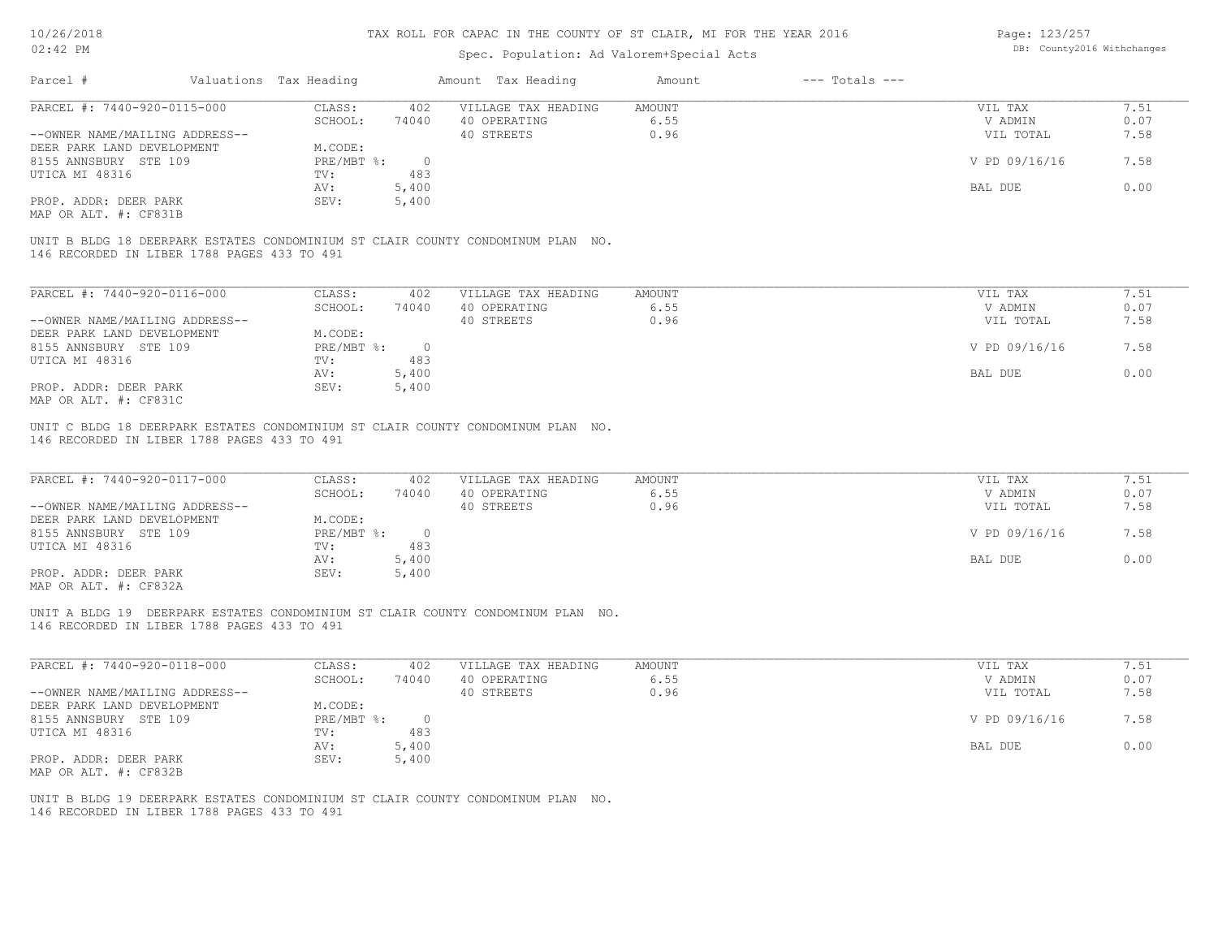| 10/26/2018                                                                                                                     |                        |                | TAX ROLL FOR CAPAC IN THE COUNTY OF ST CLAIR, MI FOR THE YEAR 2016 |               |                    | Page: 123/257              |      |
|--------------------------------------------------------------------------------------------------------------------------------|------------------------|----------------|--------------------------------------------------------------------|---------------|--------------------|----------------------------|------|
| $02:42$ PM                                                                                                                     |                        |                | Spec. Population: Ad Valorem+Special Acts                          |               |                    | DB: County2016 Withchanges |      |
| Parcel #                                                                                                                       | Valuations Tax Heading |                | Amount Tax Heading                                                 | Amount        | $---$ Totals $---$ |                            |      |
| PARCEL #: 7440-920-0115-000                                                                                                    | CLASS:                 | 402            | VILLAGE TAX HEADING                                                | <b>AMOUNT</b> |                    | VIL TAX                    | 7.51 |
|                                                                                                                                | SCHOOL:                | 74040          | 40 OPERATING                                                       | 6.55          |                    | V ADMIN                    | 0.07 |
| --OWNER NAME/MAILING ADDRESS--                                                                                                 |                        |                | 40 STREETS                                                         | 0.96          |                    | VIL TOTAL                  | 7.58 |
| DEER PARK LAND DEVELOPMENT                                                                                                     | M.CODE:                |                |                                                                    |               |                    |                            |      |
| 8155 ANNSBURY STE 109                                                                                                          | $PRE/MBT$ $\div$       | $\overline{0}$ |                                                                    |               |                    | V PD 09/16/16              | 7.58 |
| UTICA MI 48316                                                                                                                 | TV:                    | 483            |                                                                    |               |                    |                            |      |
|                                                                                                                                | AV:                    | 5,400          |                                                                    |               |                    | BAL DUE                    | 0.00 |
| PROP. ADDR: DEER PARK<br>MAP OR ALT. #: CF831B                                                                                 | SEV:                   | 5,400          |                                                                    |               |                    |                            |      |
| UNIT B BLDG 18 DEERPARK ESTATES CONDOMINIUM ST CLAIR COUNTY CONDOMINUM PLAN NO.<br>146 RECORDED IN LIBER 1788 PAGES 433 TO 491 |                        |                |                                                                    |               |                    |                            |      |
|                                                                                                                                |                        |                |                                                                    |               |                    |                            |      |
| PARCEL #: 7440-920-0116-000                                                                                                    | CLASS:                 | 402            | VILLAGE TAX HEADING                                                | <b>AMOUNT</b> |                    | VIL TAX                    | 7.51 |
|                                                                                                                                | SCHOOL:                | 74040          | 40 OPERATING                                                       | 6.55          |                    | V ADMIN                    | 0.07 |
| --OWNER NAME/MAILING ADDRESS--                                                                                                 |                        |                | 40 STREETS                                                         | 0.96          |                    | VIL TOTAL                  | 7.58 |
| DEER PARK LAND DEVELOPMENT                                                                                                     | M.CODE:                |                |                                                                    |               |                    |                            |      |
| 8155 ANNSBURY STE 109                                                                                                          | $PRE/MBT$ $\div$       | $\overline{0}$ |                                                                    |               |                    | V PD 09/16/16              | 7.58 |
| UTICA MI 48316                                                                                                                 | TV:                    | 483            |                                                                    |               |                    |                            |      |
|                                                                                                                                | AV:                    | 5,400          |                                                                    |               |                    | <b>BAL DUE</b>             | 0.00 |
| PROP. ADDR: DEER PARK                                                                                                          | SEV:                   | 5,400          |                                                                    |               |                    |                            |      |
| MAP OR ALT. #: CF831C                                                                                                          |                        |                |                                                                    |               |                    |                            |      |
| UNIT C BLDG 18 DEERPARK ESTATES CONDOMINIUM ST CLAIR COUNTY CONDOMINUM PLAN NO.<br>146 RECORDED IN LIBER 1788 PAGES 433 TO 491 |                        |                |                                                                    |               |                    |                            |      |
| PARCEL #: 7440-920-0117-000                                                                                                    | CLASS:                 | 402            | VILLAGE TAX HEADING                                                | <b>AMOUNT</b> |                    | VIL TAX                    | 7.51 |
|                                                                                                                                | SCHOOL:                | 74040          | 40 OPERATING                                                       | 6.55          |                    | V ADMIN                    | 0.07 |
| --OWNER NAME/MAILING ADDRESS--                                                                                                 |                        |                | 40 STREETS                                                         | 0.96          |                    | VIL TOTAL                  | 7.58 |
| DEER PARK LAND DEVELOPMENT                                                                                                     | M.CODE:                |                |                                                                    |               |                    |                            |      |
| 8155 ANNSBURY STE 109                                                                                                          | PRE/MBT %:             | $\overline{0}$ |                                                                    |               |                    | V PD 09/16/16              | 7.58 |
| UTICA MI 48316                                                                                                                 | TV:                    | 483            |                                                                    |               |                    |                            |      |
|                                                                                                                                | AV:                    | 5,400          |                                                                    |               |                    | BAL DUE                    | 0.00 |
| PROP. ADDR: DEER PARK                                                                                                          | SEV:                   | 5,400          |                                                                    |               |                    |                            |      |
| MAP OR ALT. #: CF832A                                                                                                          |                        |                |                                                                    |               |                    |                            |      |
| UNIT A BLDG 19 DEERPARK ESTATES CONDOMINIUM ST CLAIR COUNTY CONDOMINUM PLAN NO.<br>146 RECORDED IN LIBER 1788 PAGES 433 TO 491 |                        |                |                                                                    |               |                    |                            |      |
|                                                                                                                                |                        |                |                                                                    |               |                    |                            |      |
| PARCEL #: 7440-920-0118-000                                                                                                    | CLASS:                 | 402            | VILLAGE TAX HEADING                                                | <b>AMOUNT</b> |                    | VIL TAX                    | 7.51 |

|                                | SCHOOL:    | 74040 | 40 OPERATING | 6.55 | V ADMIN       | 0.07 |
|--------------------------------|------------|-------|--------------|------|---------------|------|
| --OWNER NAME/MAILING ADDRESS-- |            |       | 40 STREETS   | 0.96 | VIL TOTAL     | 7.58 |
| DEER PARK LAND DEVELOPMENT     | M.CODE:    |       |              |      |               |      |
| 8155 ANNSBURY STE 109          | PRE/MBT %: |       |              |      | V PD 09/16/16 | 7.58 |
| UTICA MI 48316                 | TV:        | 483   |              |      |               |      |
|                                | AV:        | 5,400 |              |      | BAL DUE       | 0.00 |
| PROP. ADDR: DEER PARK          | SEV:       | 5,400 |              |      |               |      |
| MAP OR ALT. #: CF832B          |            |       |              |      |               |      |

146 RECORDED IN LIBER 1788 PAGES 433 TO 491 UNIT B BLDG 19 DEERPARK ESTATES CONDOMINIUM ST CLAIR COUNTY CONDOMINUM PLAN NO.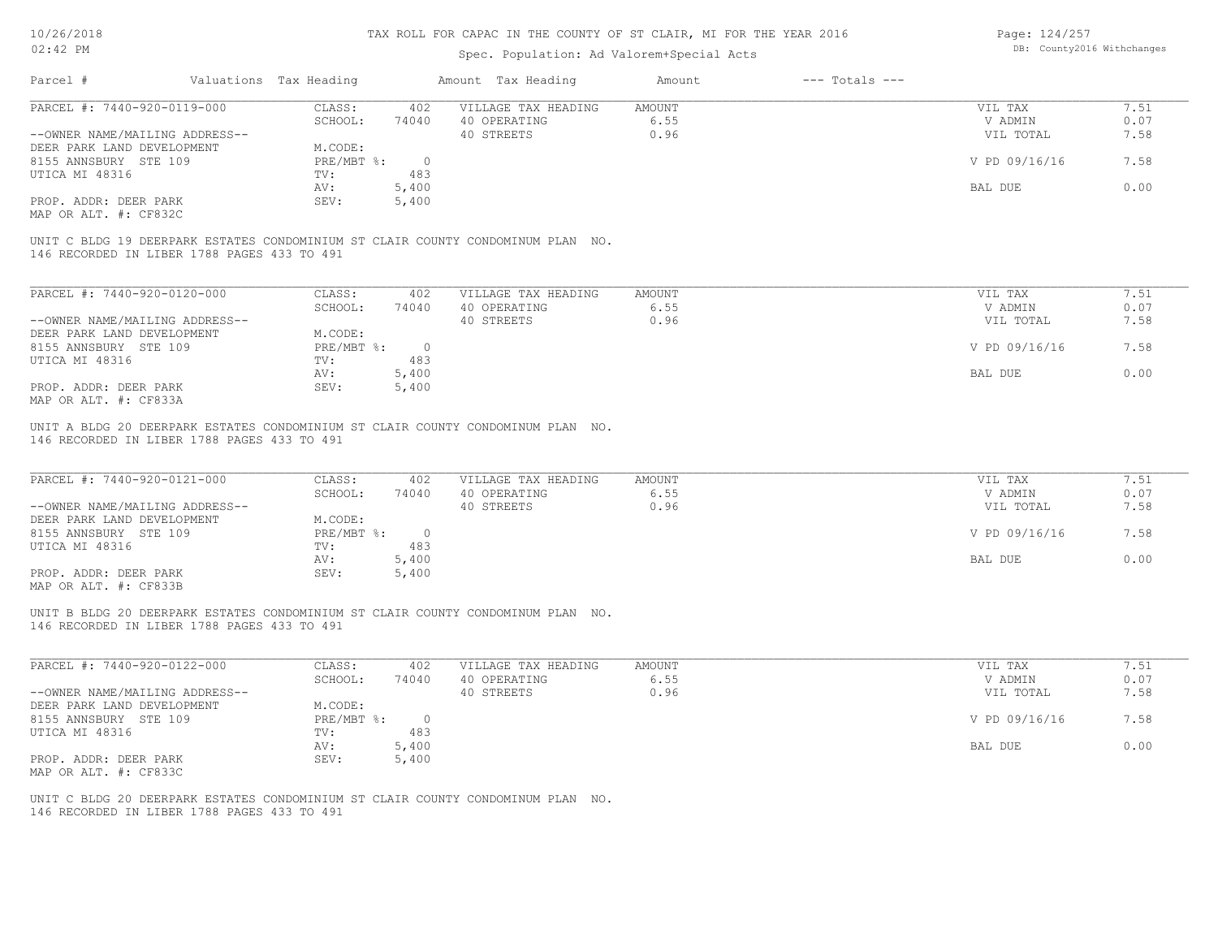## Spec. Population: Ad Valorem+Special Acts

Page: 124/257 DB: County2016 Withchanges

| Parcel #                                    | Valuations Tax Heading |          | Amount Tax Heading                                                              | Amount | $---$ Totals $---$ |               |      |
|---------------------------------------------|------------------------|----------|---------------------------------------------------------------------------------|--------|--------------------|---------------|------|
| PARCEL #: 7440-920-0119-000                 | CLASS:                 | 402      | VILLAGE TAX HEADING                                                             | AMOUNT |                    | VIL TAX       | 7.51 |
|                                             | SCHOOL:                | 74040    | 40 OPERATING                                                                    | 6.55   |                    | V ADMIN       | 0.07 |
| --OWNER NAME/MAILING ADDRESS--              |                        |          | 40 STREETS                                                                      | 0.96   |                    | VIL TOTAL     | 7.58 |
| DEER PARK LAND DEVELOPMENT                  | M.CODE:                |          |                                                                                 |        |                    |               |      |
| 8155 ANNSBURY STE 109                       | PRE/MBT %:             | $\Omega$ |                                                                                 |        |                    | V PD 09/16/16 | 7.58 |
| UTICA MI 48316                              | TV:                    | 483      |                                                                                 |        |                    |               |      |
|                                             | AV:                    | 5,400    |                                                                                 |        |                    | BAL DUE       | 0.00 |
| PROP. ADDR: DEER PARK                       | SEV:                   | 5,400    |                                                                                 |        |                    |               |      |
| MAP OR ALT. #: CF832C                       |                        |          |                                                                                 |        |                    |               |      |
| 146 RECORDED IN LIBER 1788 PAGES 433 TO 491 |                        |          | UNIT C BLDG 19 DEERPARK ESTATES CONDOMINIUM ST CLAIR COUNTY CONDOMINUM PLAN NO. |        |                    |               |      |
|                                             |                        |          |                                                                                 |        |                    |               |      |

| PARCEL #: 7440-920-0120-000    | CLASS:     | 402    | VILLAGE TAX HEADING | AMOUNT | VIL TAX       | 7.51 |
|--------------------------------|------------|--------|---------------------|--------|---------------|------|
|                                | SCHOOL:    | 74040  | 40 OPERATING        | 6.55   | V ADMIN       | 0.07 |
| --OWNER NAME/MAILING ADDRESS-- |            |        | 40 STREETS          | 0.96   | VIL TOTAL     | 7.58 |
| DEER PARK LAND DEVELOPMENT     | M.CODE:    |        |                     |        |               |      |
| 8155 ANNSBURY STE 109          | PRE/MBT %: | $\cap$ |                     |        | V PD 09/16/16 | 7.58 |
| UTICA MI 48316                 | TV:        | 483    |                     |        |               |      |
|                                | AV:        | 5,400  |                     |        | BAL DUE       | 0.00 |
| PROP. ADDR: DEER PARK          | SEV:       | 5,400  |                     |        |               |      |
| MAP OR ALT. #: CF833A          |            |        |                     |        |               |      |

146 RECORDED IN LIBER 1788 PAGES 433 TO 491 UNIT A BLDG 20 DEERPARK ESTATES CONDOMINIUM ST CLAIR COUNTY CONDOMINUM PLAN NO.

| PARCEL #: 7440-920-0121-000                           | CLASS:     | 402   | VILLAGE TAX HEADING | AMOUNT | VIL TAX       | 7.51 |
|-------------------------------------------------------|------------|-------|---------------------|--------|---------------|------|
|                                                       | SCHOOL:    | 74040 | 40 OPERATING        | 6.55   | V ADMIN       | 0.07 |
| --OWNER NAME/MAILING ADDRESS--                        |            |       | 40 STREETS          | 0.96   | VIL TOTAL     | 7.58 |
| DEER PARK LAND DEVELOPMENT                            | M.CODE:    |       |                     |        |               |      |
| 8155 ANNSBURY STE 109                                 | PRE/MBT %: |       |                     |        | V PD 09/16/16 | 7.58 |
| UTICA MI 48316                                        | TV:        | 483   |                     |        |               |      |
|                                                       | AV:        | 5,400 |                     |        | BAL DUE       | 0.00 |
| PROP. ADDR: DEER PARK                                 | SEV:       | 5,400 |                     |        |               |      |
| $\cdots$ $\cdots$ $\cdots$ $\cdots$ $\cdots$ $\cdots$ |            |       |                     |        |               |      |

MAP OR ALT. #: CF833B

146 RECORDED IN LIBER 1788 PAGES 433 TO 491 UNIT B BLDG 20 DEERPARK ESTATES CONDOMINIUM ST CLAIR COUNTY CONDOMINUM PLAN NO.

| PARCEL #: 7440-920-0122-000    | CLASS:     | 402   | VILLAGE TAX HEADING | AMOUNT | 7.51<br>VIL TAX       |
|--------------------------------|------------|-------|---------------------|--------|-----------------------|
|                                | SCHOOL:    | 74040 | 40 OPERATING        | 6.55   | 0.07<br>V ADMIN       |
| --OWNER NAME/MAILING ADDRESS-- |            |       | 40 STREETS          | 0.96   | 7.58<br>VIL TOTAL     |
| DEER PARK LAND DEVELOPMENT     | M.CODE:    |       |                     |        |                       |
| 8155 ANNSBURY STE 109          | PRE/MBT %: |       |                     |        | V PD 09/16/16<br>7.58 |
| UTICA MI 48316                 | TV:        | 483   |                     |        |                       |
|                                | AV:        | 5,400 |                     |        | 0.00<br>BAL DUE       |
| PROP. ADDR: DEER PARK          | SEV:       | 5,400 |                     |        |                       |
| MAP OR ALT. #: CF833C          |            |       |                     |        |                       |

 $\mathcal{L}_\mathcal{L} = \mathcal{L}_\mathcal{L} = \mathcal{L}_\mathcal{L} = \mathcal{L}_\mathcal{L} = \mathcal{L}_\mathcal{L} = \mathcal{L}_\mathcal{L} = \mathcal{L}_\mathcal{L} = \mathcal{L}_\mathcal{L} = \mathcal{L}_\mathcal{L} = \mathcal{L}_\mathcal{L} = \mathcal{L}_\mathcal{L} = \mathcal{L}_\mathcal{L} = \mathcal{L}_\mathcal{L} = \mathcal{L}_\mathcal{L} = \mathcal{L}_\mathcal{L} = \mathcal{L}_\mathcal{L} = \mathcal{L}_\mathcal{L}$ 

146 RECORDED IN LIBER 1788 PAGES 433 TO 491 UNIT C BLDG 20 DEERPARK ESTATES CONDOMINIUM ST CLAIR COUNTY CONDOMINUM PLAN NO.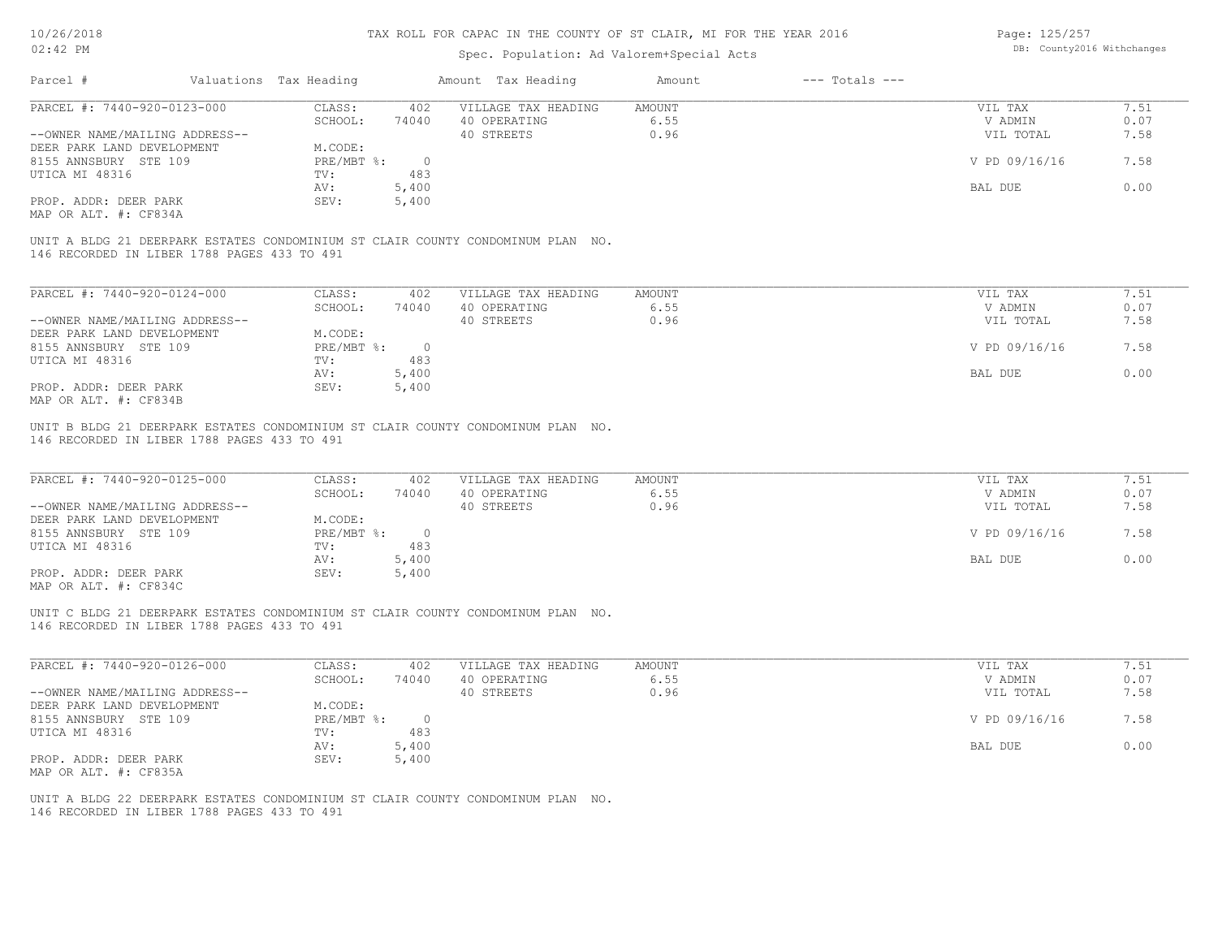## Spec. Population: Ad Valorem+Special Acts

Page: 125/257 DB: County2016 Withchanges

| Parcel #                                    | Valuations Tax Heading |         | Amount Tax Heading                                                              | Amount | $---$ Totals $---$ |               |      |
|---------------------------------------------|------------------------|---------|---------------------------------------------------------------------------------|--------|--------------------|---------------|------|
| PARCEL #: 7440-920-0123-000                 | CLASS:                 | 402     | VILLAGE TAX HEADING                                                             | AMOUNT |                    | VIL TAX       | 7.51 |
|                                             | SCHOOL:                | 74040   | 40 OPERATING                                                                    | 6.55   |                    | V ADMIN       | 0.07 |
| --OWNER NAME/MAILING ADDRESS--              |                        |         | 40 STREETS                                                                      | 0.96   |                    | VIL TOTAL     | 7.58 |
| DEER PARK LAND DEVELOPMENT                  | M.CODE:                |         |                                                                                 |        |                    |               |      |
| 8155 ANNSBURY STE 109                       | PRE/MBT %:             | $\circ$ |                                                                                 |        |                    | V PD 09/16/16 | 7.58 |
| UTICA MI 48316                              | TV:                    | 483     |                                                                                 |        |                    |               |      |
|                                             | AV:                    | 5,400   |                                                                                 |        |                    | BAL DUE       | 0.00 |
| PROP. ADDR: DEER PARK                       | SEV:                   | 5,400   |                                                                                 |        |                    |               |      |
| MAP OR ALT. #: CF834A                       |                        |         |                                                                                 |        |                    |               |      |
|                                             |                        |         |                                                                                 |        |                    |               |      |
| 146 RECORDED IN LIBER 1788 PAGES 433 TO 491 |                        |         | UNIT A BLDG 21 DEERPARK ESTATES CONDOMINIUM ST CLAIR COUNTY CONDOMINUM PLAN NO. |        |                    |               |      |
|                                             |                        |         |                                                                                 |        |                    |               |      |

| PARCEL #: 7440-920-0124-000    | CLASS:     | 402      | VILLAGE TAX HEADING | AMOUNT | 7.51<br>VIL TAX       |  |
|--------------------------------|------------|----------|---------------------|--------|-----------------------|--|
|                                | SCHOOL:    | 74040    | 40 OPERATING        | 6.55   | 0.07<br>V ADMIN       |  |
| --OWNER NAME/MAILING ADDRESS-- |            |          | 40 STREETS          | 0.96   | 7.58<br>VIL TOTAL     |  |
| DEER PARK LAND DEVELOPMENT     | M.CODE:    |          |                     |        |                       |  |
| 8155 ANNSBURY STE 109          | PRE/MBT %: | $\Omega$ |                     |        | V PD 09/16/16<br>7.58 |  |
| UTICA MI 48316                 | TV:        | 483      |                     |        |                       |  |
|                                | AV:        | 5,400    |                     |        | 0.00<br>BAL DUE       |  |
| PROP. ADDR: DEER PARK          | SEV:       | 5,400    |                     |        |                       |  |
| MAP OR ALT. #: CF834B          |            |          |                     |        |                       |  |

146 RECORDED IN LIBER 1788 PAGES 433 TO 491 UNIT B BLDG 21 DEERPARK ESTATES CONDOMINIUM ST CLAIR COUNTY CONDOMINUM PLAN NO.

| PARCEL #: 7440-920-0125-000                           | CLASS:     | 402   | VILLAGE TAX HEADING | AMOUNT | VIL TAX       | 7.51 |
|-------------------------------------------------------|------------|-------|---------------------|--------|---------------|------|
|                                                       | SCHOOL:    | 74040 | 40 OPERATING        | 6.55   | V ADMIN       | 0.07 |
| --OWNER NAME/MAILING ADDRESS--                        |            |       | 40 STREETS          | 0.96   | VIL TOTAL     | 7.58 |
| DEER PARK LAND DEVELOPMENT                            | M.CODE:    |       |                     |        |               |      |
| 8155 ANNSBURY STE 109                                 | PRE/MBT %: |       |                     |        | V PD 09/16/16 | 7.58 |
| UTICA MI 48316                                        | TV:        | 483   |                     |        |               |      |
|                                                       | AV:        | 5,400 |                     |        | BAL DUE       | 0.00 |
| PROP. ADDR: DEER PARK                                 | SEV:       | 5,400 |                     |        |               |      |
| $\cdots$ $\cdots$ $\cdots$ $\cdots$ $\cdots$ $\cdots$ |            |       |                     |        |               |      |

MAP OR ALT. #: CF834C

146 RECORDED IN LIBER 1788 PAGES 433 TO 491 UNIT C BLDG 21 DEERPARK ESTATES CONDOMINIUM ST CLAIR COUNTY CONDOMINUM PLAN NO.

| PARCEL #: 7440-920-0126-000    | CLASS:     | 402   | VILLAGE TAX HEADING | AMOUNT | VIL TAX       | 7.51 |
|--------------------------------|------------|-------|---------------------|--------|---------------|------|
|                                | SCHOOL:    | 74040 | 40 OPERATING        | 6.55   | V ADMIN       | 0.07 |
| --OWNER NAME/MAILING ADDRESS-- |            |       | 40 STREETS          | 0.96   | VIL TOTAL     | 7.58 |
| DEER PARK LAND DEVELOPMENT     | M.CODE:    |       |                     |        |               |      |
| 8155 ANNSBURY STE 109          | PRE/MBT %: |       |                     |        | V PD 09/16/16 | 7.58 |
| UTICA MI 48316                 | TV:        | 483   |                     |        |               |      |
|                                | AV:        | 5,400 |                     |        | BAL DUE       | 0.00 |
| PROP. ADDR: DEER PARK          | SEV:       | 5,400 |                     |        |               |      |
| MAP OR ALT. #: CF835A          |            |       |                     |        |               |      |

 $\mathcal{L}_\mathcal{L} = \mathcal{L}_\mathcal{L} = \mathcal{L}_\mathcal{L} = \mathcal{L}_\mathcal{L} = \mathcal{L}_\mathcal{L} = \mathcal{L}_\mathcal{L} = \mathcal{L}_\mathcal{L} = \mathcal{L}_\mathcal{L} = \mathcal{L}_\mathcal{L} = \mathcal{L}_\mathcal{L} = \mathcal{L}_\mathcal{L} = \mathcal{L}_\mathcal{L} = \mathcal{L}_\mathcal{L} = \mathcal{L}_\mathcal{L} = \mathcal{L}_\mathcal{L} = \mathcal{L}_\mathcal{L} = \mathcal{L}_\mathcal{L}$ 

146 RECORDED IN LIBER 1788 PAGES 433 TO 491 UNIT A BLDG 22 DEERPARK ESTATES CONDOMINIUM ST CLAIR COUNTY CONDOMINUM PLAN NO.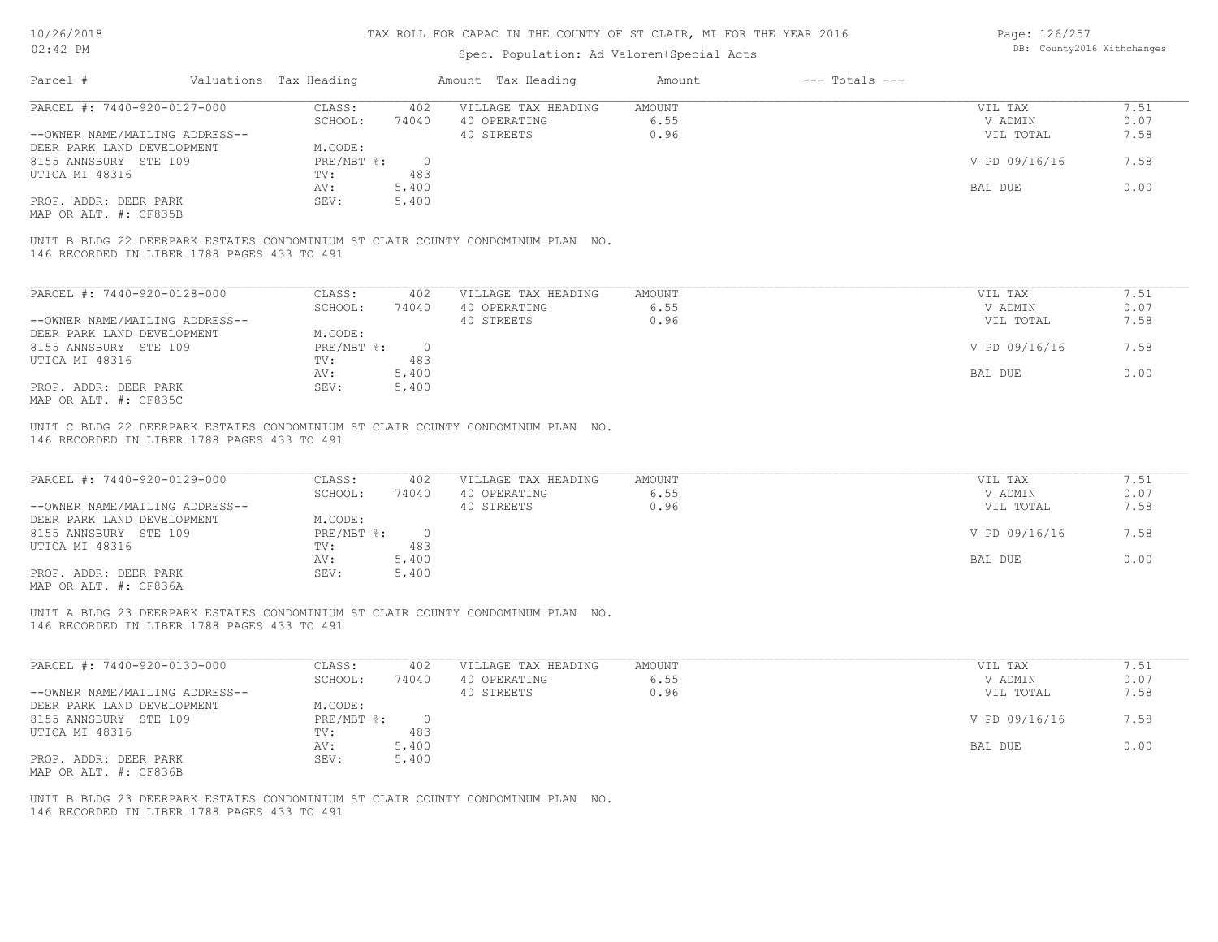## Spec. Population: Ad Valorem+Special Acts

Page: 126/257 DB: County2016 Withchanges

| Parcel #                                    | Valuations Tax Heading |       | Amount Tax Heading                                                              | Amount | $---$ Totals $---$ |               |      |
|---------------------------------------------|------------------------|-------|---------------------------------------------------------------------------------|--------|--------------------|---------------|------|
| PARCEL #: 7440-920-0127-000                 | CLASS:                 | 402   | VILLAGE TAX HEADING                                                             | AMOUNT |                    | VIL TAX       | 7.51 |
|                                             | SCHOOL:                | 74040 | 40 OPERATING                                                                    | 6.55   |                    | V ADMIN       | 0.07 |
| --OWNER NAME/MAILING ADDRESS--              |                        |       | 40 STREETS                                                                      | 0.96   |                    | VIL TOTAL     | 7.58 |
| DEER PARK LAND DEVELOPMENT                  | M.CODE:                |       |                                                                                 |        |                    |               |      |
| 8155 ANNSBURY STE 109                       | PRE/MBT %:             |       |                                                                                 |        |                    | V PD 09/16/16 | 7.58 |
| UTICA MI 48316                              | TV:                    | 483   |                                                                                 |        |                    |               |      |
|                                             | AV:                    | 5,400 |                                                                                 |        |                    | BAL DUE       | 0.00 |
| PROP. ADDR: DEER PARK                       | SEV:                   | 5,400 |                                                                                 |        |                    |               |      |
| MAP OR ALT. #: CF835B                       |                        |       |                                                                                 |        |                    |               |      |
|                                             |                        |       | UNIT B BLDG 22 DEERPARK ESTATES CONDOMINIUM ST CLAIR COUNTY CONDOMINUM PLAN NO. |        |                    |               |      |
| 146 RECORDED IN LIBER 1788 PAGES 433 TO 491 |                        |       |                                                                                 |        |                    |               |      |

| PARCEL #: 7440-920-0128-000    | CLASS:     | 402    | VILLAGE TAX HEADING | AMOUNT | VIL TAX       | 7.51 |
|--------------------------------|------------|--------|---------------------|--------|---------------|------|
|                                | SCHOOL:    | 74040  | 40 OPERATING        | 6.55   | V ADMIN       | 0.07 |
| --OWNER NAME/MAILING ADDRESS-- |            |        | 40 STREETS          | 0.96   | VIL TOTAL     | 7.58 |
| DEER PARK LAND DEVELOPMENT     | M.CODE:    |        |                     |        |               |      |
| 8155 ANNSBURY STE 109          | PRE/MBT %: | $\cap$ |                     |        | V PD 09/16/16 | 7.58 |
| UTICA MI 48316                 | TV:        | 483    |                     |        |               |      |
|                                | AV:        | 5,400  |                     |        | BAL DUE       | 0.00 |
| PROP. ADDR: DEER PARK          | SEV:       | 5,400  |                     |        |               |      |
| MAP OR ALT. #: CF835C          |            |        |                     |        |               |      |

146 RECORDED IN LIBER 1788 PAGES 433 TO 491 UNIT C BLDG 22 DEERPARK ESTATES CONDOMINIUM ST CLAIR COUNTY CONDOMINUM PLAN NO.

| PARCEL #: 7440-920-0129-000                  | CLASS:     | 402   | VILLAGE TAX HEADING | AMOUNT | VIL TAX       | 7.51 |
|----------------------------------------------|------------|-------|---------------------|--------|---------------|------|
|                                              | SCHOOL:    | 74040 | 40 OPERATING        | 6.55   | V ADMIN       | 0.07 |
| --OWNER NAME/MAILING ADDRESS--               |            |       | 40 STREETS          | 0.96   | VIL TOTAL     | 7.58 |
| DEER PARK LAND DEVELOPMENT                   | M.CODE:    |       |                     |        |               |      |
| 8155 ANNSBURY STE 109                        | PRE/MBT %: |       |                     |        | V PD 09/16/16 | 7.58 |
| UTICA MI 48316                               | TV:        | 483   |                     |        |               |      |
|                                              | AV:        | 5,400 |                     |        | BAL DUE       | 0.00 |
| PROP. ADDR: DEER PARK                        | SEV:       | 5,400 |                     |        |               |      |
| $\cdots$ $\cdots$ $\cdots$ $\cdots$ $\cdots$ |            |       |                     |        |               |      |

MAP OR ALT. #: CF836A

146 RECORDED IN LIBER 1788 PAGES 433 TO 491 UNIT A BLDG 23 DEERPARK ESTATES CONDOMINIUM ST CLAIR COUNTY CONDOMINUM PLAN NO.

| PARCEL #: 7440-920-0130-000    | CLASS:     | 402   | VILLAGE TAX HEADING | AMOUNT | VIL TAX       | 7.51 |
|--------------------------------|------------|-------|---------------------|--------|---------------|------|
|                                | SCHOOL:    | 74040 | 40 OPERATING        | 6.55   | V ADMIN       | 0.07 |
| --OWNER NAME/MAILING ADDRESS-- |            |       | 40 STREETS          | 0.96   | VIL TOTAL     | 7.58 |
| DEER PARK LAND DEVELOPMENT     | M.CODE:    |       |                     |        |               |      |
| 8155 ANNSBURY STE 109          | PRE/MBT %: |       |                     |        | V PD 09/16/16 | 7.58 |
| UTICA MI 48316                 | TV:        | 483   |                     |        |               |      |
|                                | AV:        | 5,400 |                     |        | BAL DUE       | 0.00 |
| PROP. ADDR: DEER PARK          | SEV:       | 5,400 |                     |        |               |      |
| MAP OR ALT. #: CF836B          |            |       |                     |        |               |      |

 $\mathcal{L}_\mathcal{L} = \mathcal{L}_\mathcal{L} = \mathcal{L}_\mathcal{L} = \mathcal{L}_\mathcal{L} = \mathcal{L}_\mathcal{L} = \mathcal{L}_\mathcal{L} = \mathcal{L}_\mathcal{L} = \mathcal{L}_\mathcal{L} = \mathcal{L}_\mathcal{L} = \mathcal{L}_\mathcal{L} = \mathcal{L}_\mathcal{L} = \mathcal{L}_\mathcal{L} = \mathcal{L}_\mathcal{L} = \mathcal{L}_\mathcal{L} = \mathcal{L}_\mathcal{L} = \mathcal{L}_\mathcal{L} = \mathcal{L}_\mathcal{L}$ 

146 RECORDED IN LIBER 1788 PAGES 433 TO 491 UNIT B BLDG 23 DEERPARK ESTATES CONDOMINIUM ST CLAIR COUNTY CONDOMINUM PLAN NO.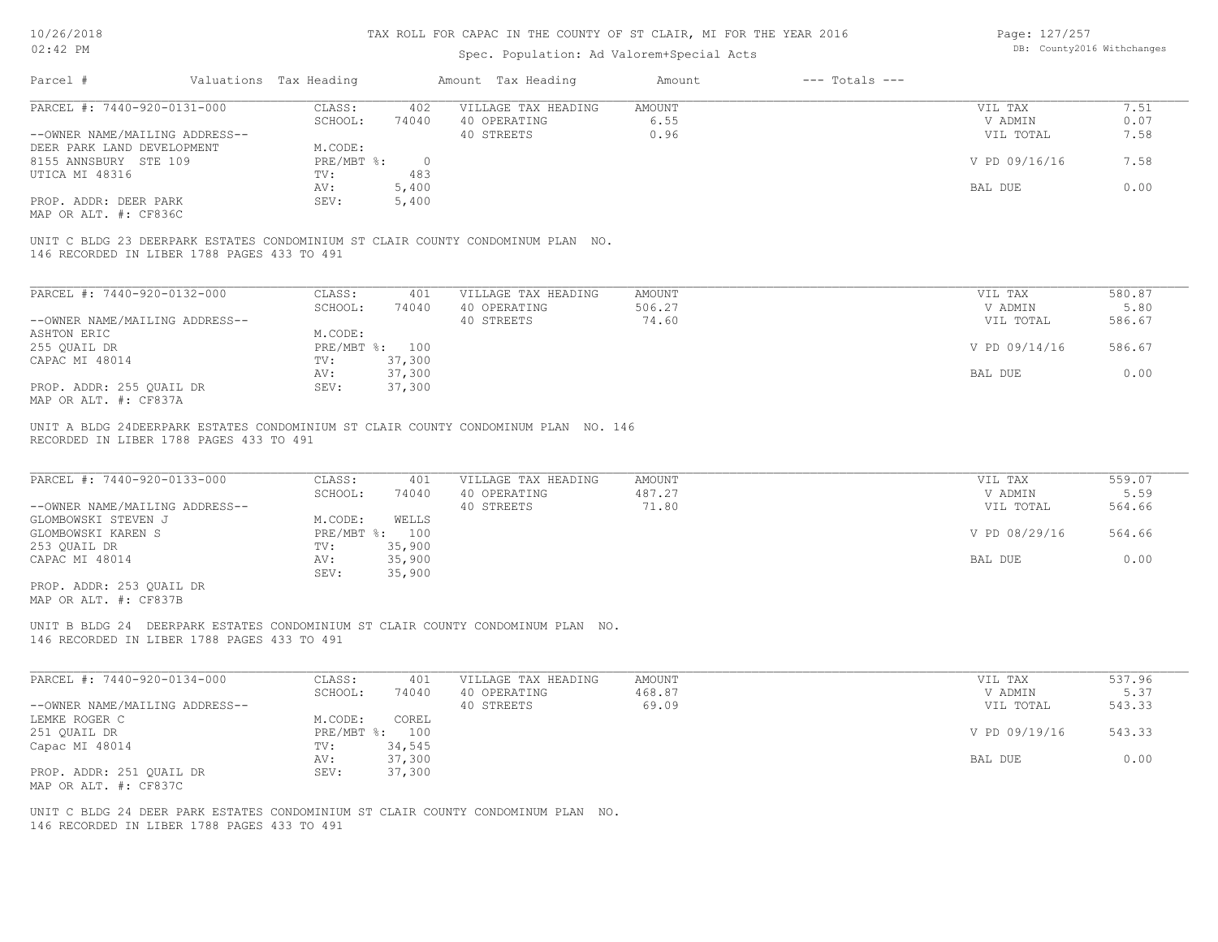| 10/26/2018                                                                                               |                        |                            | TAX ROLL FOR CAPAC IN THE COUNTY OF ST CLAIR, MI FOR THE YEAR 2016                                                                      |                                  |                    | Page: 127/257                   |                            |
|----------------------------------------------------------------------------------------------------------|------------------------|----------------------------|-----------------------------------------------------------------------------------------------------------------------------------------|----------------------------------|--------------------|---------------------------------|----------------------------|
| 02:42 PM                                                                                                 |                        |                            | Spec. Population: Ad Valorem+Special Acts                                                                                               |                                  |                    |                                 | DB: County2016 Withchanges |
| Parcel #                                                                                                 | Valuations Tax Heading |                            | Amount Tax Heading                                                                                                                      | Amount                           | $---$ Totals $---$ |                                 |                            |
| PARCEL #: 7440-920-0131-000                                                                              | CLASS:                 | 402                        | VILLAGE TAX HEADING                                                                                                                     | AMOUNT                           |                    | VIL TAX                         | 7.51                       |
|                                                                                                          | SCHOOL:                | 74040                      | 40 OPERATING                                                                                                                            | 6.55                             |                    | V ADMIN                         | 0.07                       |
| --OWNER NAME/MAILING ADDRESS--                                                                           |                        |                            | 40 STREETS                                                                                                                              | 0.96                             |                    | VIL TOTAL                       | 7.58                       |
| DEER PARK LAND DEVELOPMENT                                                                               | M.CODE:                |                            |                                                                                                                                         |                                  |                    |                                 |                            |
| 8155 ANNSBURY STE 109                                                                                    | PRE/MBT %:             | $\overline{0}$             |                                                                                                                                         |                                  |                    | V PD 09/16/16                   | 7.58                       |
| UTICA MI 48316                                                                                           | TV:                    | 483                        |                                                                                                                                         |                                  |                    |                                 |                            |
|                                                                                                          |                        |                            |                                                                                                                                         |                                  |                    | <b>BAL DUE</b>                  | 0.00                       |
| PROP. ADDR: DEER PARK<br>MAP OR ALT. #: CF836C                                                           | AV:<br>SEV:            | 5,400<br>5,400             |                                                                                                                                         |                                  |                    |                                 |                            |
| 146 RECORDED IN LIBER 1788 PAGES 433 TO 491                                                              |                        |                            | UNIT C BLDG 23 DEERPARK ESTATES CONDOMINIUM ST CLAIR COUNTY CONDOMINUM PLAN NO.                                                         |                                  |                    |                                 |                            |
|                                                                                                          |                        |                            |                                                                                                                                         |                                  |                    |                                 |                            |
| PARCEL #: 7440-920-0132-000                                                                              | CLASS:                 | 401                        | VILLAGE TAX HEADING                                                                                                                     | AMOUNT                           |                    | VIL TAX                         | 580.87                     |
|                                                                                                          | SCHOOL:                | 74040                      | 40 OPERATING                                                                                                                            | 506.27                           |                    | V ADMIN                         | 5.80                       |
| --OWNER NAME/MAILING ADDRESS--                                                                           |                        |                            | 40 STREETS                                                                                                                              | 74.60                            |                    | VIL TOTAL                       | 586.67                     |
| ASHTON ERIC                                                                                              | M.CODE:                |                            |                                                                                                                                         |                                  |                    |                                 |                            |
| 255 QUAIL DR                                                                                             |                        | PRE/MBT %: 100             |                                                                                                                                         |                                  |                    | V PD 09/14/16                   | 586.67                     |
| CAPAC MI 48014                                                                                           | TV:                    | 37,300                     |                                                                                                                                         |                                  |                    |                                 |                            |
|                                                                                                          | AV:                    | 37,300                     |                                                                                                                                         |                                  |                    | BAL DUE                         | 0.00                       |
| PROP. ADDR: 255 QUAIL DR<br>MAP OR ALT. #: CF837A                                                        | SEV:                   | 37,300                     |                                                                                                                                         |                                  |                    |                                 |                            |
| RECORDED IN LIBER 1788 PAGES 433 TO 491<br>PARCEL #: 7440-920-0133-000<br>--OWNER NAME/MAILING ADDRESS-- | CLASS:<br>SCHOOL:      | 401<br>74040               | UNIT A BLDG 24DEERPARK ESTATES CONDOMINIUM ST CLAIR COUNTY CONDOMINUM PLAN NO. 146<br>VILLAGE TAX HEADING<br>40 OPERATING<br>40 STREETS | <b>AMOUNT</b><br>487.27<br>71.80 |                    | VIL TAX<br>V ADMIN<br>VIL TOTAL | 559.07<br>5.59<br>564.66   |
| GLOMBOWSKI STEVEN J                                                                                      | M.CODE:                | WELLS                      |                                                                                                                                         |                                  |                    |                                 |                            |
| GLOMBOWSKI KAREN S                                                                                       |                        | PRE/MBT %: 100             |                                                                                                                                         |                                  |                    | V PD 08/29/16                   | 564.66                     |
| 253 QUAIL DR<br>CAPAC MI 48014                                                                           | TV:<br>AV:<br>SEV:     | 35,900<br>35,900<br>35,900 |                                                                                                                                         |                                  |                    | BAL DUE                         | 0.00                       |
| PROP. ADDR: 253 QUAIL DR<br>MAP OR ALT. #: CF837B                                                        |                        |                            |                                                                                                                                         |                                  |                    |                                 |                            |
| 146 RECORDED IN LIBER 1788 PAGES 433 TO 491                                                              |                        |                            | UNIT B BLDG 24 DEERPARK ESTATES CONDOMINIUM ST CLAIR COUNTY CONDOMINUM PLAN NO.                                                         |                                  |                    |                                 |                            |
| PARCEL #: 7440-920-0134-000                                                                              | CLASS:                 | 401                        | VILLAGE TAX HEADING                                                                                                                     | <b>AMOUNT</b>                    |                    | VIL TAX                         | 537.96                     |
|                                                                                                          | SCHOOL:                | 74040                      | 40 OPERATING                                                                                                                            | 468.87                           |                    | V ADMIN                         | 5.37                       |
| --OWNER NAME/MAILING ADDRESS--                                                                           |                        |                            | 40 STREETS                                                                                                                              | 69.09                            |                    | VIL TOTAL                       | 543.33                     |
| LEMKE ROGER C                                                                                            | M.CODE:                | COREL                      |                                                                                                                                         |                                  |                    |                                 |                            |
| 251 QUAIL DR                                                                                             |                        | PRE/MBT %: 100             |                                                                                                                                         |                                  |                    | V PD 09/19/16                   | 543.33                     |
| Capac MI 48014                                                                                           | TV:                    | 34,545                     |                                                                                                                                         |                                  |                    |                                 |                            |

AV: 37,300 BAL DUE 0.00

MAP OR ALT. #: CF837C PROP. ADDR: 251 QUAIL DR SEV: 37,300

146 RECORDED IN LIBER 1788 PAGES 433 TO 491 UNIT C BLDG 24 DEER PARK ESTATES CONDOMINIUM ST CLAIR COUNTY CONDOMINUM PLAN NO.

Capac MI 48014 TV: 34,545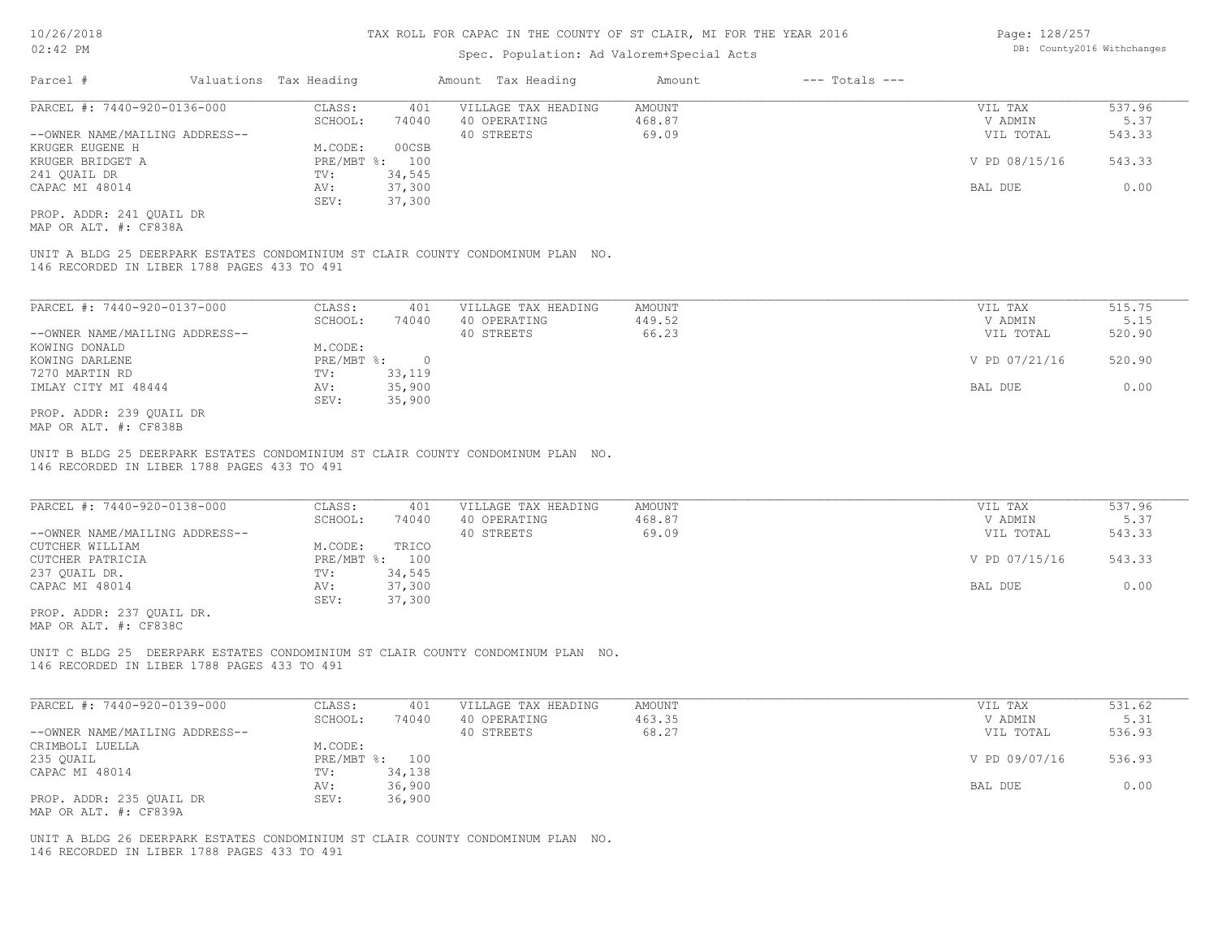## Spec. Population: Ad Valorem+Special Acts

| Page: 128/257 |                            |
|---------------|----------------------------|
|               | DB: County2016 Withchanges |

| Parcel #                       | Valuations Tax Heading |        | Amount Tax Heading  | Amount | $---$ Totals $---$ |               |        |
|--------------------------------|------------------------|--------|---------------------|--------|--------------------|---------------|--------|
| PARCEL #: 7440-920-0136-000    | CLASS:                 | 401    | VILLAGE TAX HEADING | AMOUNT |                    | VIL TAX       | 537.96 |
|                                | SCHOOL:                | 74040  | 40 OPERATING        | 468.87 |                    | V ADMIN       | 5.37   |
| --OWNER NAME/MAILING ADDRESS-- |                        |        | 40 STREETS          | 69.09  |                    | VIL TOTAL     | 543.33 |
| KRUGER EUGENE H                | M.CODE:                | 00CSB  |                     |        |                    |               |        |
| KRUGER BRIDGET A               | $PRE/MBT$ %:           | 100    |                     |        |                    | V PD 08/15/16 | 543.33 |
| 241 OUAIL DR                   | TV:                    | 34,545 |                     |        |                    |               |        |
| CAPAC MI 48014                 | AV:                    | 37,300 |                     |        |                    | BAL DUE       | 0.00   |
|                                | SEV:                   | 37,300 |                     |        |                    |               |        |
|                                |                        |        |                     |        |                    |               |        |

MAP OR ALT. #: CF838A PROP. ADDR: 241 QUAIL DR

146 RECORDED IN LIBER 1788 PAGES 433 TO 491 UNIT A BLDG 25 DEERPARK ESTATES CONDOMINIUM ST CLAIR COUNTY CONDOMINUM PLAN NO.

| PARCEL #: 7440-920-0137-000    | CLASS:       | 401    | VILLAGE TAX HEADING | AMOUNT | VIL TAX       | 515.75 |
|--------------------------------|--------------|--------|---------------------|--------|---------------|--------|
|                                | SCHOOL:      | 74040  | 40 OPERATING        | 449.52 | V ADMIN       | 5.15   |
| --OWNER NAME/MAILING ADDRESS-- |              |        | 40 STREETS          | 66.23  | VIL TOTAL     | 520.90 |
| KOWING DONALD                  | M.CODE:      |        |                     |        |               |        |
| KOWING DARLENE                 | $PRE/MBT$ %: |        |                     |        | V PD 07/21/16 | 520.90 |
| 7270 MARTIN RD                 | TV:          | 33,119 |                     |        |               |        |
| IMLAY CITY MI 48444            | AV:          | 35,900 |                     |        | BAL DUE       | 0.00   |
|                                | SEV:         | 35,900 |                     |        |               |        |
| PROP. ADDR: 239 OUAIL DR       |              |        |                     |        |               |        |

MAP OR ALT. #: CF838B

146 RECORDED IN LIBER 1788 PAGES 433 TO 491 UNIT B BLDG 25 DEERPARK ESTATES CONDOMINIUM ST CLAIR COUNTY CONDOMINUM PLAN NO.

| PARCEL #: 7440-920-0138-000    | CLASS:         | 401    | VILLAGE TAX HEADING | AMOUNT | VIL TAX       | 537.96 |
|--------------------------------|----------------|--------|---------------------|--------|---------------|--------|
|                                | SCHOOL:        | 74040  | 40 OPERATING        | 468.87 | V ADMIN       | 5.37   |
| --OWNER NAME/MAILING ADDRESS-- |                |        | 40 STREETS          | 69.09  | VIL TOTAL     | 543.33 |
| CUTCHER WILLIAM                | M.CODE:        | TRICO  |                     |        |               |        |
| CUTCHER PATRICIA               | PRE/MBT %: 100 |        |                     |        | V PD 07/15/16 | 543.33 |
| 237 OUAIL DR.                  | TV:            | 34,545 |                     |        |               |        |
| CAPAC MI 48014                 | AV:            | 37,300 |                     |        | BAL DUE       | 0.00   |
|                                | SEV:           | 37,300 |                     |        |               |        |

MAP OR ALT. #: CF838C PROP. ADDR: 237 QUAIL DR.

146 RECORDED IN LIBER 1788 PAGES 433 TO 491 UNIT C BLDG 25 DEERPARK ESTATES CONDOMINIUM ST CLAIR COUNTY CONDOMINUM PLAN NO.

| PARCEL #: 7440-920-0139-000    | CLASS:  | 401            | VILLAGE TAX HEADING | AMOUNT | VIL TAX       | 531.62 |
|--------------------------------|---------|----------------|---------------------|--------|---------------|--------|
|                                | SCHOOL: | 74040          | 40 OPERATING        | 463.35 | V ADMIN       | 5.31   |
| --OWNER NAME/MAILING ADDRESS-- |         |                | 40 STREETS          | 68.27  | VIL TOTAL     | 536.93 |
| CRIMBOLI LUELLA                | M.CODE: |                |                     |        |               |        |
| 235 QUAIL                      |         | PRE/MBT %: 100 |                     |        | V PD 09/07/16 | 536.93 |
| CAPAC MI 48014                 | TV:     | 34,138         |                     |        |               |        |
|                                | AV:     | 36,900         |                     |        | BAL DUE       | 0.00   |
| PROP. ADDR: 235 OUAIL DR       | SEV:    | 36,900         |                     |        |               |        |
| MAP OR ALT. #: CF839A          |         |                |                     |        |               |        |

146 RECORDED IN LIBER 1788 PAGES 433 TO 491 UNIT A BLDG 26 DEERPARK ESTATES CONDOMINIUM ST CLAIR COUNTY CONDOMINUM PLAN NO.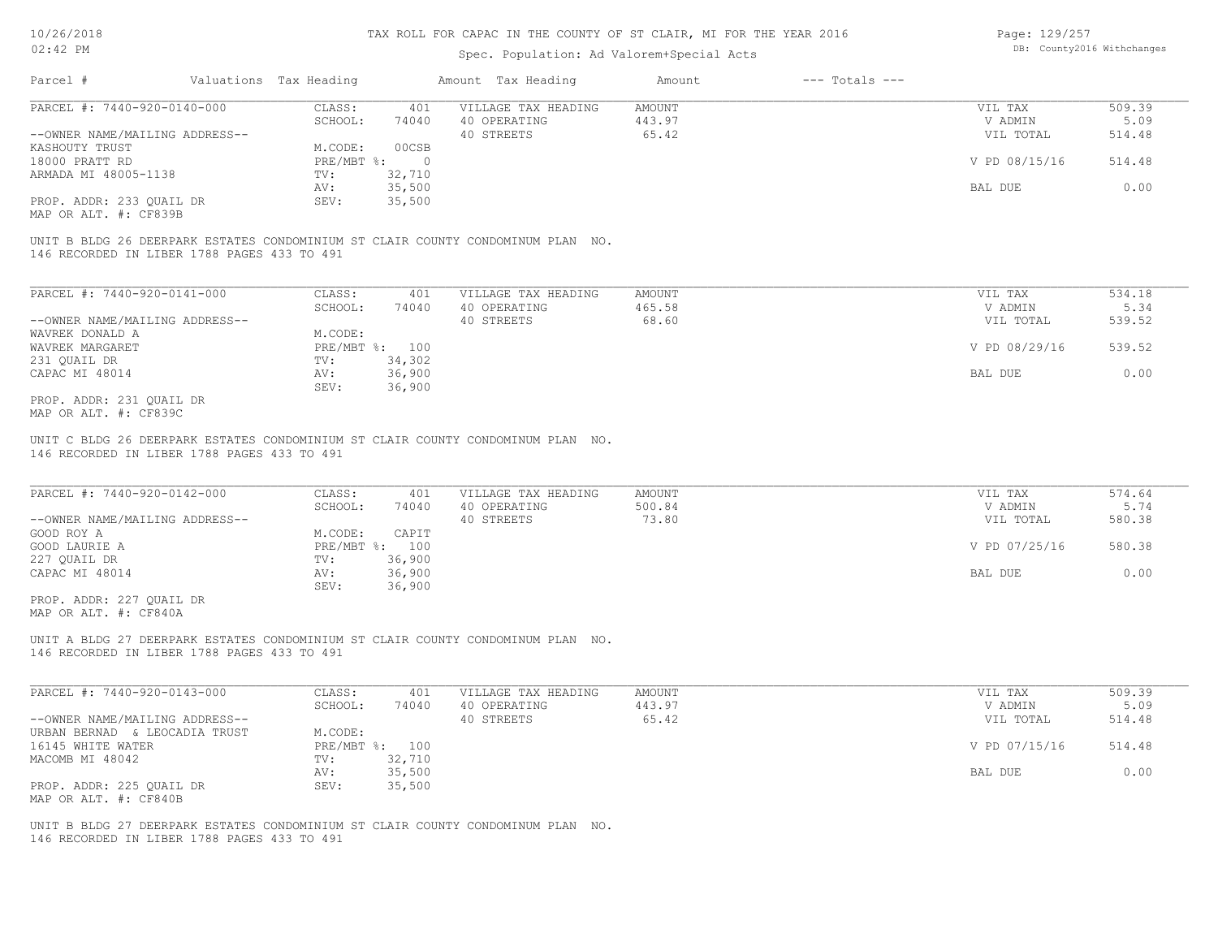## Spec. Population: Ad Valorem+Special Acts

Page: 129/257 DB: County2016 Withchanges

| Parcel #                       | Valuations Tax Heading |        | Amount Tax Heading  | Amount | $---$ Totals $---$ |               |        |
|--------------------------------|------------------------|--------|---------------------|--------|--------------------|---------------|--------|
| PARCEL #: 7440-920-0140-000    | CLASS:                 | 401    | VILLAGE TAX HEADING | AMOUNT |                    | VIL TAX       | 509.39 |
|                                | SCHOOL:                | 74040  | 40 OPERATING        | 443.97 |                    | V ADMIN       | 5.09   |
| --OWNER NAME/MAILING ADDRESS-- |                        |        | 40 STREETS          | 65.42  |                    | VIL TOTAL     | 514.48 |
| KASHOUTY TRUST                 | M.CODE:                | 00CSB  |                     |        |                    |               |        |
| 18000 PRATT RD                 | $PRE/MBT$ $\div$       |        |                     |        |                    | V PD 08/15/16 | 514.48 |
| ARMADA MI 48005-1138           | TV:                    | 32,710 |                     |        |                    |               |        |
|                                | AV:                    | 35,500 |                     |        |                    | BAL DUE       | 0.00   |
| PROP. ADDR: 233 QUAIL DR       | SEV:                   | 35,500 |                     |        |                    |               |        |
|                                |                        |        |                     |        |                    |               |        |

MAP OR ALT. #: CF839B

146 RECORDED IN LIBER 1788 PAGES 433 TO 491 UNIT B BLDG 26 DEERPARK ESTATES CONDOMINIUM ST CLAIR COUNTY CONDOMINUM PLAN NO.

| PARCEL #: 7440-920-0141-000    | CLASS:       | 401    | VILLAGE TAX HEADING | AMOUNT | VIL TAX       | 534.18 |
|--------------------------------|--------------|--------|---------------------|--------|---------------|--------|
|                                | SCHOOL:      | 74040  | 40 OPERATING        | 465.58 | V ADMIN       | 5.34   |
| --OWNER NAME/MAILING ADDRESS-- |              |        | 40 STREETS          | 68.60  | VIL TOTAL     | 539.52 |
| WAVREK DONALD A                | M.CODE:      |        |                     |        |               |        |
| WAVREK MARGARET                | $PRE/MBT$ %: | 100    |                     |        | V PD 08/29/16 | 539.52 |
| 231 OUAIL DR                   | TV:          | 34,302 |                     |        |               |        |
| CAPAC MI 48014                 | AV:          | 36,900 |                     |        | BAL DUE       | 0.00   |
|                                | SEV:         | 36,900 |                     |        |               |        |
| PROP. ADDR: 231 QUAIL DR       |              |        |                     |        |               |        |

MAP OR ALT. #: CF839C

146 RECORDED IN LIBER 1788 PAGES 433 TO 491 UNIT C BLDG 26 DEERPARK ESTATES CONDOMINIUM ST CLAIR COUNTY CONDOMINUM PLAN NO.

| PARCEL #: 7440-920-0142-000    | CLASS:  | 401            | VILLAGE TAX HEADING | AMOUNT | VIL TAX       | 574.64 |
|--------------------------------|---------|----------------|---------------------|--------|---------------|--------|
|                                | SCHOOL: | 74040          | 40 OPERATING        | 500.84 | V ADMIN       | 5.74   |
| --OWNER NAME/MAILING ADDRESS-- |         |                | 40 STREETS          | 73.80  | VIL TOTAL     | 580.38 |
| GOOD ROY A                     | M.CODE: | CAPIT          |                     |        |               |        |
| GOOD LAURIE A                  |         | PRE/MBT %: 100 |                     |        | V PD 07/25/16 | 580.38 |
| 227 QUAIL DR                   | TV:     | 36,900         |                     |        |               |        |
| CAPAC MI 48014                 | AV:     | 36,900         |                     |        | BAL DUE       | 0.00   |
|                                | SEV:    | 36,900         |                     |        |               |        |
| PROP. ADDR: 227 OUAIL DR       |         |                |                     |        |               |        |

MAP OR ALT. #: CF840A

146 RECORDED IN LIBER 1788 PAGES 433 TO 491 UNIT A BLDG 27 DEERPARK ESTATES CONDOMINIUM ST CLAIR COUNTY CONDOMINUM PLAN NO.

| PARCEL #: 7440-920-0143-000    | CLASS:  | 401            | VILLAGE TAX HEADING | AMOUNT | VIL TAX       | 509.39 |
|--------------------------------|---------|----------------|---------------------|--------|---------------|--------|
|                                | SCHOOL: | 74040          | 40 OPERATING        | 443.97 | V ADMIN       | 5.09   |
| --OWNER NAME/MAILING ADDRESS-- |         |                | 40 STREETS          | 65.42  | VIL TOTAL     | 514.48 |
| URBAN BERNAD & LEOCADIA TRUST  | M.CODE: |                |                     |        |               |        |
| 16145 WHITE WATER              |         | PRE/MBT %: 100 |                     |        | V PD 07/15/16 | 514.48 |
| MACOMB MI 48042                | TV:     | 32,710         |                     |        |               |        |
|                                | AV:     | 35,500         |                     |        | BAL DUE       | 0.00   |
| PROP. ADDR: 225 QUAIL DR       | SEV:    | 35,500         |                     |        |               |        |
| MAP OR ALT. #: CF840B          |         |                |                     |        |               |        |

146 RECORDED IN LIBER 1788 PAGES 433 TO 491 UNIT B BLDG 27 DEERPARK ESTATES CONDOMINIUM ST CLAIR COUNTY CONDOMINUM PLAN NO.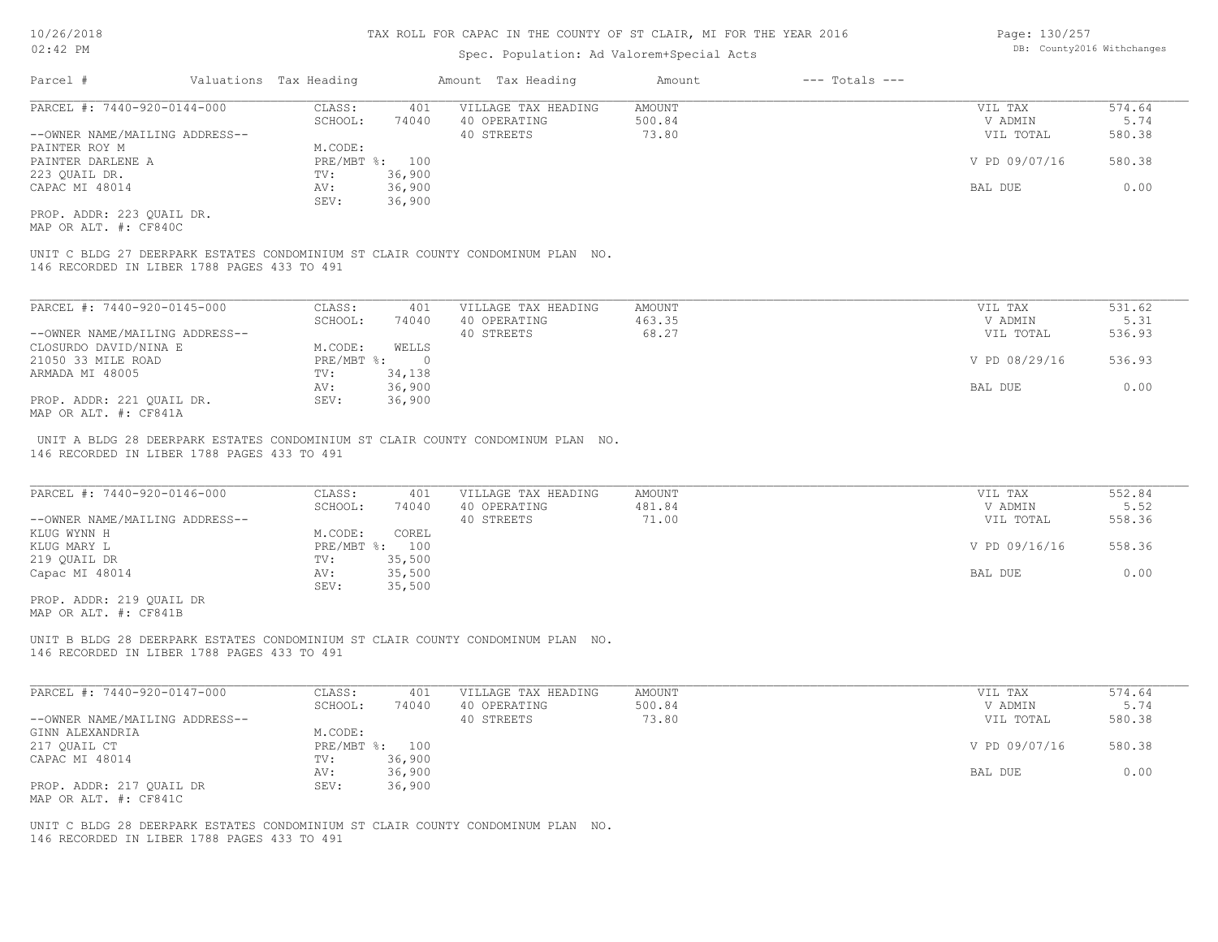## Spec. Population: Ad Valorem+Special Acts

| Page: 130/257 |                            |
|---------------|----------------------------|
|               | DB: County2016 Withchanges |

| Parcel #                       |  | Valuations Tax Heading | Amount Tax Heading |                     | Amount | $---$ Totals $---$ |               |        |  |
|--------------------------------|--|------------------------|--------------------|---------------------|--------|--------------------|---------------|--------|--|
| PARCEL #: 7440-920-0144-000    |  | CLASS:                 | 401                | VILLAGE TAX HEADING | AMOUNT |                    | VIL TAX       | 574.64 |  |
|                                |  | SCHOOL:                | 74040              | 40 OPERATING        | 500.84 |                    | V ADMIN       | 5.74   |  |
| --OWNER NAME/MAILING ADDRESS-- |  |                        |                    | 40 STREETS          | 73.80  |                    | VIL TOTAL     | 580.38 |  |
| PAINTER ROY M                  |  | M.CODE:                |                    |                     |        |                    |               |        |  |
| PAINTER DARLENE A              |  | PRE/MBT %: 100         |                    |                     |        |                    | V PD 09/07/16 | 580.38 |  |
| 223 QUAIL DR.                  |  | TV:                    | 36,900             |                     |        |                    |               |        |  |
| CAPAC MI 48014                 |  | AV:                    | 36,900             |                     |        |                    | BAL DUE       | 0.00   |  |
|                                |  | SEV:                   | 36,900             |                     |        |                    |               |        |  |
| ----- ---- 000 ----- --        |  |                        |                    |                     |        |                    |               |        |  |

MAP OR ALT. #: CF840C PROP. ADDR: 223 QUAIL DR.

146 RECORDED IN LIBER 1788 PAGES 433 TO 491 UNIT C BLDG 27 DEERPARK ESTATES CONDOMINIUM ST CLAIR COUNTY CONDOMINUM PLAN NO.

| PARCEL #: 7440-920-0145-000    | CLASS:     | 401    | VILLAGE TAX HEADING | AMOUNT | VIL TAX       | 531.62 |
|--------------------------------|------------|--------|---------------------|--------|---------------|--------|
|                                | SCHOOL:    | 74040  | 40 OPERATING        | 463.35 | V ADMIN       | 5.31   |
| --OWNER NAME/MAILING ADDRESS-- |            |        | 40 STREETS          | 68.27  | VIL TOTAL     | 536.93 |
| CLOSURDO DAVID/NINA E          | M.CODE:    | WELLS  |                     |        |               |        |
| 21050 33 MILE ROAD             | PRE/MBT %: |        |                     |        | V PD 08/29/16 | 536.93 |
| ARMADA MI 48005                | TV:        | 34,138 |                     |        |               |        |
|                                | AV:        | 36,900 |                     |        | BAL DUE       | 0.00   |
| PROP. ADDR: 221 OUAIL DR.      | SEV:       | 36,900 |                     |        |               |        |
| $\frac{1}{2}$                  |            |        |                     |        |               |        |

MAP OR ALT. #: CF841A

146 RECORDED IN LIBER 1788 PAGES 433 TO 491 UNIT A BLDG 28 DEERPARK ESTATES CONDOMINIUM ST CLAIR COUNTY CONDOMINUM PLAN NO.

| PARCEL #: 7440-920-0146-000    | CLASS:       | 401    | VILLAGE TAX HEADING | AMOUNT | VIL TAX       | 552.84 |
|--------------------------------|--------------|--------|---------------------|--------|---------------|--------|
|                                | SCHOOL:      | 74040  | 40 OPERATING        | 481.84 | V ADMIN       | 5.52   |
| --OWNER NAME/MAILING ADDRESS-- |              |        | 40 STREETS          | 71.00  | VIL TOTAL     | 558.36 |
| KLUG WYNN H                    | M.CODE:      | COREL  |                     |        |               |        |
| KLUG MARY L                    | $PRE/MBT$ %: | 100    |                     |        | V PD 09/16/16 | 558.36 |
| 219 QUAIL DR                   | TV:          | 35,500 |                     |        |               |        |
| Capac MI 48014                 | AV:          | 35,500 |                     |        | BAL DUE       | 0.00   |
|                                | SEV:         | 35,500 |                     |        |               |        |
| PROP. ADDR: 219 OUAIL DR       |              |        |                     |        |               |        |

MAP OR ALT. #: CF841B

146 RECORDED IN LIBER 1788 PAGES 433 TO 491 UNIT B BLDG 28 DEERPARK ESTATES CONDOMINIUM ST CLAIR COUNTY CONDOMINUM PLAN NO.

| PARCEL #: 7440-920-0147-000    | CLASS:         | 401    | VILLAGE TAX HEADING | AMOUNT | VIL TAX       | 574.64 |
|--------------------------------|----------------|--------|---------------------|--------|---------------|--------|
|                                | SCHOOL:        | 74040  | 40 OPERATING        | 500.84 | V ADMIN       | 5.74   |
| --OWNER NAME/MAILING ADDRESS-- |                |        | 40 STREETS          | 73.80  | VIL TOTAL     | 580.38 |
| GINN ALEXANDRIA                | M.CODE:        |        |                     |        |               |        |
| 217 QUAIL CT                   | PRE/MBT %: 100 |        |                     |        | V PD 09/07/16 | 580.38 |
| CAPAC MI 48014                 | TV:            | 36,900 |                     |        |               |        |
|                                | AV:            | 36,900 |                     |        | BAL DUE       | 0.00   |
| PROP. ADDR: 217 QUAIL DR       | SEV:           | 36,900 |                     |        |               |        |
| MAP OR ALT. #: CF841C          |                |        |                     |        |               |        |

146 RECORDED IN LIBER 1788 PAGES 433 TO 491 UNIT C BLDG 28 DEERPARK ESTATES CONDOMINIUM ST CLAIR COUNTY CONDOMINUM PLAN NO.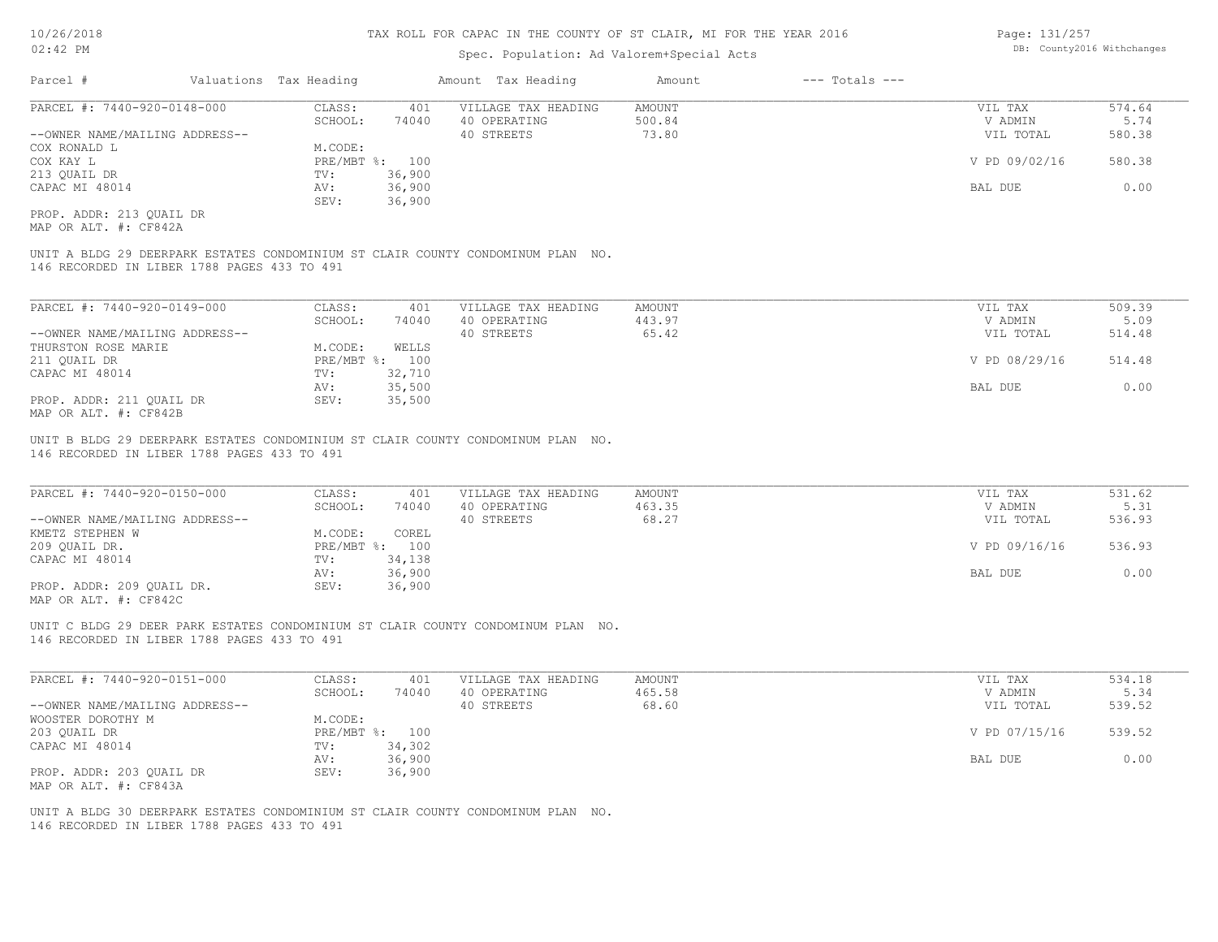## Spec. Population: Ad Valorem+Special Acts

| Page: 131/257 |                            |
|---------------|----------------------------|
|               | DB: County2016 Withchanges |

| Parcel #                       | Valuations Tax Heading |        | Amount Tax Heading  | Amount | $---$ Totals $---$ |               |        |
|--------------------------------|------------------------|--------|---------------------|--------|--------------------|---------------|--------|
| PARCEL #: 7440-920-0148-000    | CLASS:                 | 401    | VILLAGE TAX HEADING | AMOUNT |                    | VIL TAX       | 574.64 |
|                                | SCHOOL:                | 74040  | 40 OPERATING        | 500.84 |                    | V ADMIN       | 5.74   |
| --OWNER NAME/MAILING ADDRESS-- |                        |        | 40 STREETS          | 73.80  |                    | VIL TOTAL     | 580.38 |
| COX RONALD L                   | M.CODE:                |        |                     |        |                    |               |        |
| COX KAY L                      | PRE/MBT %: 100         |        |                     |        |                    | V PD 09/02/16 | 580.38 |
| 213 OUAIL DR                   | TV:                    | 36,900 |                     |        |                    |               |        |
| CAPAC MI 48014                 | AV:                    | 36,900 |                     |        |                    | BAL DUE       | 0.00   |
|                                | SEV:                   | 36,900 |                     |        |                    |               |        |
| PROP. ADDR: 213 OUAIL DR       |                        |        |                     |        |                    |               |        |

MAP OR ALT. #: CF842A

146 RECORDED IN LIBER 1788 PAGES 433 TO 491 UNIT A BLDG 29 DEERPARK ESTATES CONDOMINIUM ST CLAIR COUNTY CONDOMINUM PLAN NO.

| PARCEL #: 7440-920-0149-000    | CLASS:  | 401            | VILLAGE TAX HEADING | AMOUNT | VIL TAX       | 509.39 |
|--------------------------------|---------|----------------|---------------------|--------|---------------|--------|
|                                | SCHOOL: | 74040          | 40 OPERATING        | 443.97 | V ADMIN       | 5.09   |
| --OWNER NAME/MAILING ADDRESS-- |         |                | 40 STREETS          | 65.42  | VIL TOTAL     | 514.48 |
| THURSTON ROSE MARIE            | M.CODE: | WELLS          |                     |        |               |        |
| 211 QUAIL DR                   |         | PRE/MBT %: 100 |                     |        | V PD 08/29/16 | 514.48 |
| CAPAC MI 48014                 | TV:     | 32,710         |                     |        |               |        |
|                                | AV:     | 35,500         |                     |        | BAL DUE       | 0.00   |
| PROP. ADDR: 211 OUAIL DR       | SEV:    | 35,500         |                     |        |               |        |
| $\frac{1}{2}$                  |         |                |                     |        |               |        |

MAP OR ALT. #: CF842B

146 RECORDED IN LIBER 1788 PAGES 433 TO 491 UNIT B BLDG 29 DEERPARK ESTATES CONDOMINIUM ST CLAIR COUNTY CONDOMINUM PLAN NO.

| PARCEL #: 7440-920-0150-000                                                        | CLASS:     | 401    | VILLAGE TAX HEADING | AMOUNT | VIL TAX       | 531.62 |
|------------------------------------------------------------------------------------|------------|--------|---------------------|--------|---------------|--------|
|                                                                                    | SCHOOL:    | 74040  | 40 OPERATING        | 463.35 | V ADMIN       | 5.31   |
| --OWNER NAME/MAILING ADDRESS--                                                     |            |        | 40 STREETS          | 68.27  | VIL TOTAL     | 536.93 |
| KMETZ STEPHEN W                                                                    | M.CODE:    | COREL  |                     |        |               |        |
| 209 OUAIL DR.                                                                      | PRE/MBT %: | 100    |                     |        | V PD 09/16/16 | 536.93 |
| CAPAC MI 48014                                                                     | TV:        | 34,138 |                     |        |               |        |
|                                                                                    | AV:        | 36,900 |                     |        | BAL DUE       | 0.00   |
| PROP. ADDR: 209 OUAIL DR.<br>$\cdots$ $\cdots$ $\cdots$ $\cdots$ $\cdots$ $\cdots$ | SEV:       | 36,900 |                     |        |               |        |

 $\mathcal{L}_\mathcal{L} = \mathcal{L}_\mathcal{L} = \mathcal{L}_\mathcal{L} = \mathcal{L}_\mathcal{L} = \mathcal{L}_\mathcal{L} = \mathcal{L}_\mathcal{L} = \mathcal{L}_\mathcal{L} = \mathcal{L}_\mathcal{L} = \mathcal{L}_\mathcal{L} = \mathcal{L}_\mathcal{L} = \mathcal{L}_\mathcal{L} = \mathcal{L}_\mathcal{L} = \mathcal{L}_\mathcal{L} = \mathcal{L}_\mathcal{L} = \mathcal{L}_\mathcal{L} = \mathcal{L}_\mathcal{L} = \mathcal{L}_\mathcal{L}$ 

MAP OR ALT. #: CF842C

146 RECORDED IN LIBER 1788 PAGES 433 TO 491 UNIT C BLDG 29 DEER PARK ESTATES CONDOMINIUM ST CLAIR COUNTY CONDOMINUM PLAN NO.

| PARCEL #: 7440-920-0151-000    | CLASS:  | 401            | VILLAGE TAX HEADING | AMOUNT | VIL TAX       | 534.18 |
|--------------------------------|---------|----------------|---------------------|--------|---------------|--------|
|                                | SCHOOL: | 74040          | 40 OPERATING        | 465.58 | V ADMIN       | 5.34   |
| --OWNER NAME/MAILING ADDRESS-- |         |                | 40 STREETS          | 68.60  | VIL TOTAL     | 539.52 |
| WOOSTER DOROTHY M              | M.CODE: |                |                     |        |               |        |
| 203 QUAIL DR                   |         | PRE/MBT %: 100 |                     |        | V PD 07/15/16 | 539.52 |
| CAPAC MI 48014                 | TV:     | 34,302         |                     |        |               |        |
|                                | AV:     | 36,900         |                     |        | BAL DUE       | 0.00   |
| PROP. ADDR: 203 QUAIL DR       | SEV:    | 36,900         |                     |        |               |        |
| MAP OR ALT. #: CF843A          |         |                |                     |        |               |        |

146 RECORDED IN LIBER 1788 PAGES 433 TO 491 UNIT A BLDG 30 DEERPARK ESTATES CONDOMINIUM ST CLAIR COUNTY CONDOMINUM PLAN NO.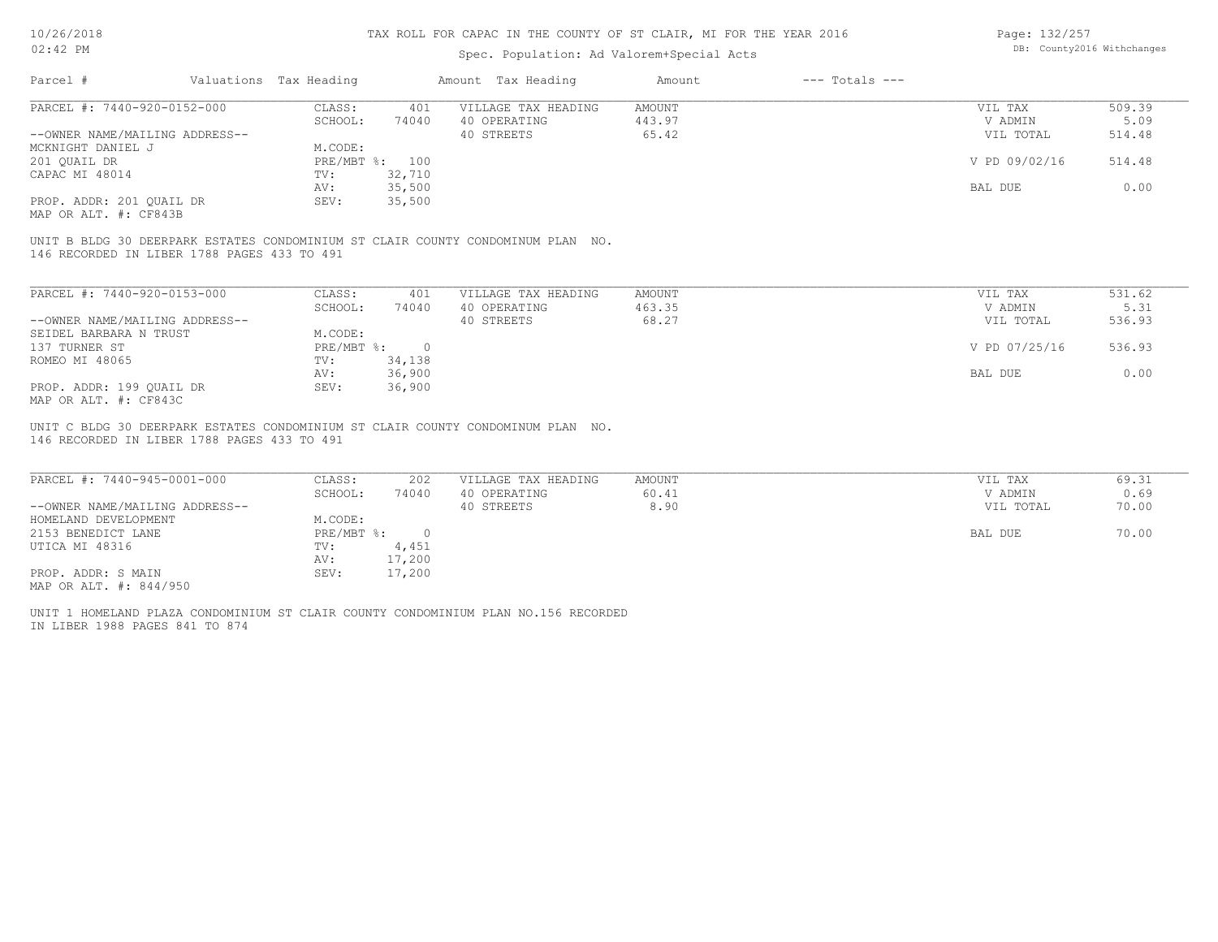## Spec. Population: Ad Valorem+Special Acts

Page: 132/257 DB: County2016 Withchanges

| Parcel #                       |  | Valuations Tax Heading | Amount Tax Heading |                     | Amount | $---$ Totals $---$ |               |        |  |
|--------------------------------|--|------------------------|--------------------|---------------------|--------|--------------------|---------------|--------|--|
| PARCEL #: 7440-920-0152-000    |  | CLASS:                 | 401                | VILLAGE TAX HEADING | AMOUNT |                    | VIL TAX       | 509.39 |  |
|                                |  | SCHOOL:                | 74040              | 40 OPERATING        | 443.97 |                    | V ADMIN       | 5.09   |  |
| --OWNER NAME/MAILING ADDRESS-- |  |                        |                    | 40 STREETS          | 65.42  |                    | VIL TOTAL     | 514.48 |  |
| MCKNIGHT DANIEL J              |  | M.CODE:                |                    |                     |        |                    |               |        |  |
| 201 OUAIL DR                   |  | PRE/MBT %: 100         |                    |                     |        |                    | V PD 09/02/16 | 514.48 |  |
| CAPAC MI 48014                 |  | TV:                    | 32,710             |                     |        |                    |               |        |  |
|                                |  | AV:                    | 35,500             |                     |        |                    | BAL DUE       | 0.00   |  |
| PROP. ADDR: 201 QUAIL DR       |  | SEV:                   | 35,500             |                     |        |                    |               |        |  |
|                                |  |                        |                    |                     |        |                    |               |        |  |

MAP OR ALT. #: CF843B

146 RECORDED IN LIBER 1788 PAGES 433 TO 491 UNIT B BLDG 30 DEERPARK ESTATES CONDOMINIUM ST CLAIR COUNTY CONDOMINUM PLAN NO.

| PARCEL #: 7440-920-0153-000    | CLASS:     | 401      | VILLAGE TAX HEADING | AMOUNT | VIL TAX       | 531.62 |
|--------------------------------|------------|----------|---------------------|--------|---------------|--------|
|                                | SCHOOL:    | 74040    | 40 OPERATING        | 463.35 | V ADMIN       | 5.31   |
| --OWNER NAME/MAILING ADDRESS-- |            |          | 40 STREETS          | 68.27  | VIL TOTAL     | 536.93 |
| SEIDEL BARBARA N TRUST         | M.CODE:    |          |                     |        |               |        |
| 137 TURNER ST                  | PRE/MBT %: | $\Omega$ |                     |        | V PD 07/25/16 | 536.93 |
| ROMEO MI 48065                 | TV:        | 34,138   |                     |        |               |        |
|                                | AV:        | 36,900   |                     |        | BAL DUE       | 0.00   |
| PROP. ADDR: 199 OUAIL DR       | SEV:       | 36,900   |                     |        |               |        |
| MAP OR ALT. #: CF843C          |            |          |                     |        |               |        |

146 RECORDED IN LIBER 1788 PAGES 433 TO 491 UNIT C BLDG 30 DEERPARK ESTATES CONDOMINIUM ST CLAIR COUNTY CONDOMINUM PLAN NO.

| PARCEL #: 7440-945-0001-000    | CLASS:       | 202    | VILLAGE TAX HEADING | AMOUNT | VIL TAX   | 69.31 |
|--------------------------------|--------------|--------|---------------------|--------|-----------|-------|
|                                | SCHOOL:      | 74040  | 40 OPERATING        | 60.41  | V ADMIN   | 0.69  |
| --OWNER NAME/MAILING ADDRESS-- |              |        | 40 STREETS          | 8.90   | VIL TOTAL | 70.00 |
| HOMELAND DEVELOPMENT           | M.CODE:      |        |                     |        |           |       |
| 2153 BENEDICT LANE             | $PRE/MBT$ %: |        |                     |        | BAL DUE   | 70.00 |
| UTICA MI 48316                 | TV:          | 4,451  |                     |        |           |       |
|                                | AV:          | 17,200 |                     |        |           |       |
| PROP. ADDR: S MAIN             | SEV:         | 17,200 |                     |        |           |       |
| MAP OR ALT. #: 844/950         |              |        |                     |        |           |       |

IN LIBER 1988 PAGES 841 TO 874 UNIT 1 HOMELAND PLAZA CONDOMINIUM ST CLAIR COUNTY CONDOMINIUM PLAN NO.156 RECORDED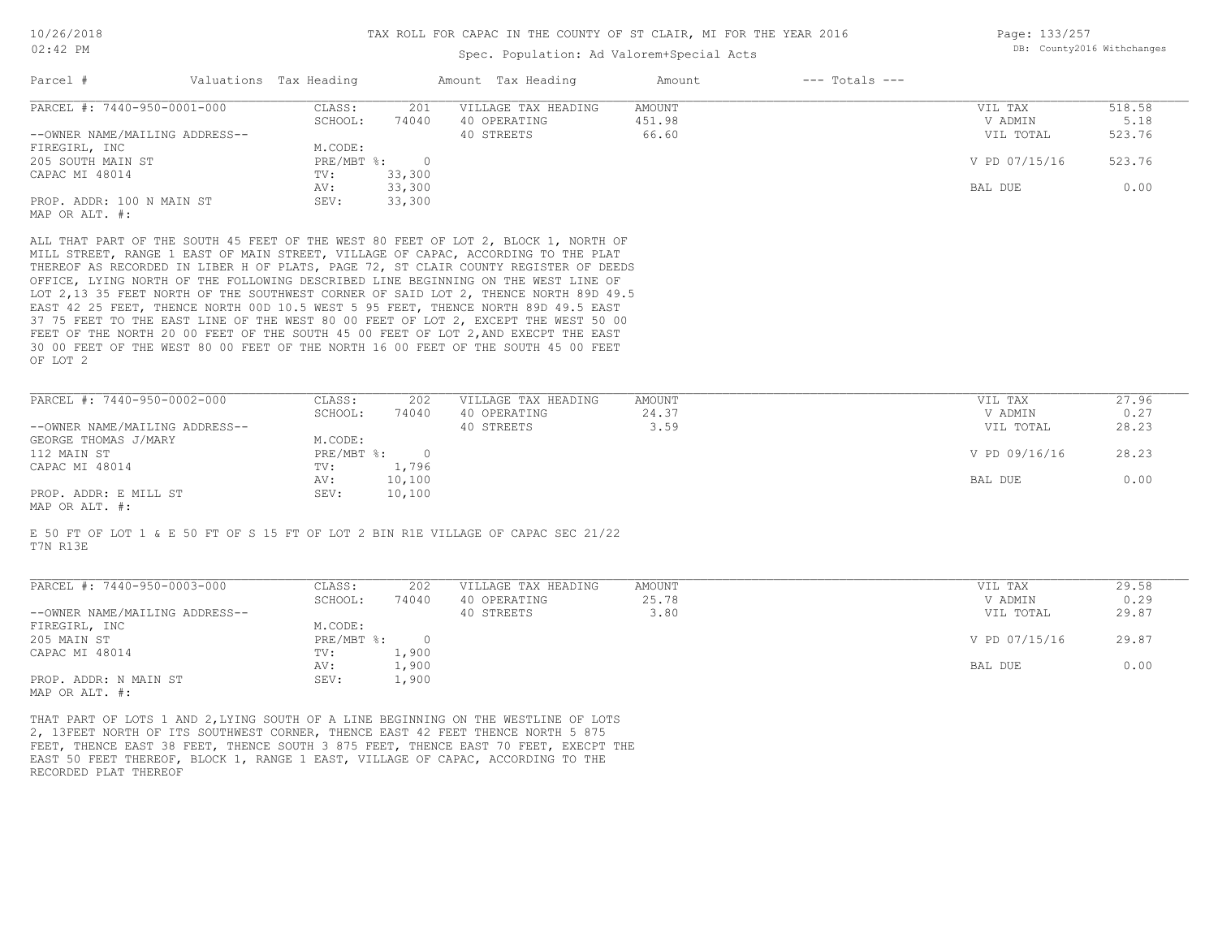## Spec. Population: Ad Valorem+Special Acts

| Page: 133/257 |                            |
|---------------|----------------------------|
|               | DB: County2016 Withchanges |

| Parcel #                       |  | Valuations Tax Heading |        | Amount Tax Heading                                                                  | Amount | $---$ Totals $---$ |               |        |
|--------------------------------|--|------------------------|--------|-------------------------------------------------------------------------------------|--------|--------------------|---------------|--------|
| PARCEL #: 7440-950-0001-000    |  | CLASS:                 | 201    | VILLAGE TAX HEADING                                                                 | AMOUNT |                    | VIL TAX       | 518.58 |
|                                |  | SCHOOL:                | 74040  | 40 OPERATING                                                                        | 451.98 |                    | V ADMIN       | 5.18   |
| --OWNER NAME/MAILING ADDRESS-- |  |                        |        | 40 STREETS                                                                          | 66.60  |                    | VIL TOTAL     | 523.76 |
| FIREGIRL, INC                  |  | M.CODE:                |        |                                                                                     |        |                    |               |        |
| 205 SOUTH MAIN ST              |  | PRE/MBT %:             |        |                                                                                     |        |                    | V PD 07/15/16 | 523.76 |
| CAPAC MI 48014                 |  | TV:                    | 33,300 |                                                                                     |        |                    |               |        |
|                                |  | AV:                    | 33,300 |                                                                                     |        |                    | BAL DUE       | 0.00   |
| PROP. ADDR: 100 N MAIN ST      |  | SEV:                   | 33,300 |                                                                                     |        |                    |               |        |
| MAP OR ALT. #:                 |  |                        |        |                                                                                     |        |                    |               |        |
|                                |  |                        |        | ALL THAT PART OF THE SOUTH 45 FEET OF THE WEST 80 FEET OF LOT 2, BLOCK 1, NORTH OF  |        |                    |               |        |
|                                |  |                        |        | MILL STREET, RANGE 1 EAST OF MAIN STREET, VILLAGE OF CAPAC, ACCORDING TO THE PLAT   |        |                    |               |        |
|                                |  |                        |        | THEREOF AS RECORDED IN LIBER H OF PLATS, PAGE 72, ST CLAIR COUNTY REGISTER OF DEEDS |        |                    |               |        |

OF LOT 2 30 00 FEET OF THE WEST 80 00 FEET OF THE NORTH 16 00 FEET OF THE SOUTH 45 00 FEET FEET OF THE NORTH 20 00 FEET OF THE SOUTH 45 00 FEET OF LOT 2, AND EXECPT THE EAST 37 75 FEET TO THE EAST LINE OF THE WEST 80 00 FEET OF LOT 2, EXCEPT THE WEST 50 00 EAST 42 25 FEET, THENCE NORTH 00D 10.5 WEST 5 95 FEET, THENCE NORTH 89D 49.5 EAST LOT 2,13 35 FEET NORTH OF THE SOUTHWEST CORNER OF SAID LOT 2, THENCE NORTH 89D 49.5 OFFICE, LYING NORTH OF THE FOLLOWING DESCRIBED LINE BEGINNING ON THE WEST LINE OF

| PARCEL #: 7440-950-0002-000    | CLASS:       | 202    | VILLAGE TAX HEADING | AMOUNT | VIL TAX       | 27.96 |
|--------------------------------|--------------|--------|---------------------|--------|---------------|-------|
|                                | SCHOOL:      | 74040  | 40 OPERATING        | 24.37  | V ADMIN       | 0.27  |
| --OWNER NAME/MAILING ADDRESS-- |              |        | 40 STREETS          | 3.59   | VIL TOTAL     | 28.23 |
| GEORGE THOMAS J/MARY           | M.CODE:      |        |                     |        |               |       |
| 112 MAIN ST                    | $PRE/MBT$ %: |        |                     |        | V PD 09/16/16 | 28.23 |
| CAPAC MI 48014                 | TV:          | 1,796  |                     |        |               |       |
|                                | AV:          | 10,100 |                     |        | BAL DUE       | 0.00  |
| PROP. ADDR: E MILL ST          | SEV:         | 10,100 |                     |        |               |       |
|                                |              |        |                     |        |               |       |

MAP OR ALT. #:

T7N R13E E 50 FT OF LOT 1 & E 50 FT OF S 15 FT OF LOT 2 BIN R1E VILLAGE OF CAPAC SEC 21/22

| PARCEL #: 7440-950-0003-000    | CLASS:     | 202   | VILLAGE TAX HEADING | AMOUNT | VIL TAX       | 29.58 |
|--------------------------------|------------|-------|---------------------|--------|---------------|-------|
|                                | SCHOOL:    | 74040 | 40 OPERATING        | 25.78  | V ADMIN       | 0.29  |
| --OWNER NAME/MAILING ADDRESS-- |            |       | 40 STREETS          | 3.80   | VIL TOTAL     | 29.87 |
| FIREGIRL, INC                  | M.CODE:    |       |                     |        |               |       |
| 205 MAIN ST                    | PRE/MBT %: |       |                     |        | V PD 07/15/16 | 29.87 |
| CAPAC MI 48014                 | TV:        | 1,900 |                     |        |               |       |
|                                | AV:        | 1,900 |                     |        | BAL DUE       | 0.00  |
| PROP. ADDR: N MAIN ST          | SEV:       | 1,900 |                     |        |               |       |
| MAP OR ALT. #:                 |            |       |                     |        |               |       |

 $\mathcal{L}_\mathcal{L} = \mathcal{L}_\mathcal{L} = \mathcal{L}_\mathcal{L} = \mathcal{L}_\mathcal{L} = \mathcal{L}_\mathcal{L} = \mathcal{L}_\mathcal{L} = \mathcal{L}_\mathcal{L} = \mathcal{L}_\mathcal{L} = \mathcal{L}_\mathcal{L} = \mathcal{L}_\mathcal{L} = \mathcal{L}_\mathcal{L} = \mathcal{L}_\mathcal{L} = \mathcal{L}_\mathcal{L} = \mathcal{L}_\mathcal{L} = \mathcal{L}_\mathcal{L} = \mathcal{L}_\mathcal{L} = \mathcal{L}_\mathcal{L}$ 

RECORDED PLAT THEREOF EAST 50 FEET THEREOF, BLOCK 1, RANGE 1 EAST, VILLAGE OF CAPAC, ACCORDING TO THE FEET, THENCE EAST 38 FEET, THENCE SOUTH 3 875 FEET, THENCE EAST 70 FEET, EXECPT THE 2, 13FEET NORTH OF ITS SOUTHWEST CORNER, THENCE EAST 42 FEET THENCE NORTH 5 875 THAT PART OF LOTS 1 AND 2,LYING SOUTH OF A LINE BEGINNING ON THE WESTLINE OF LOTS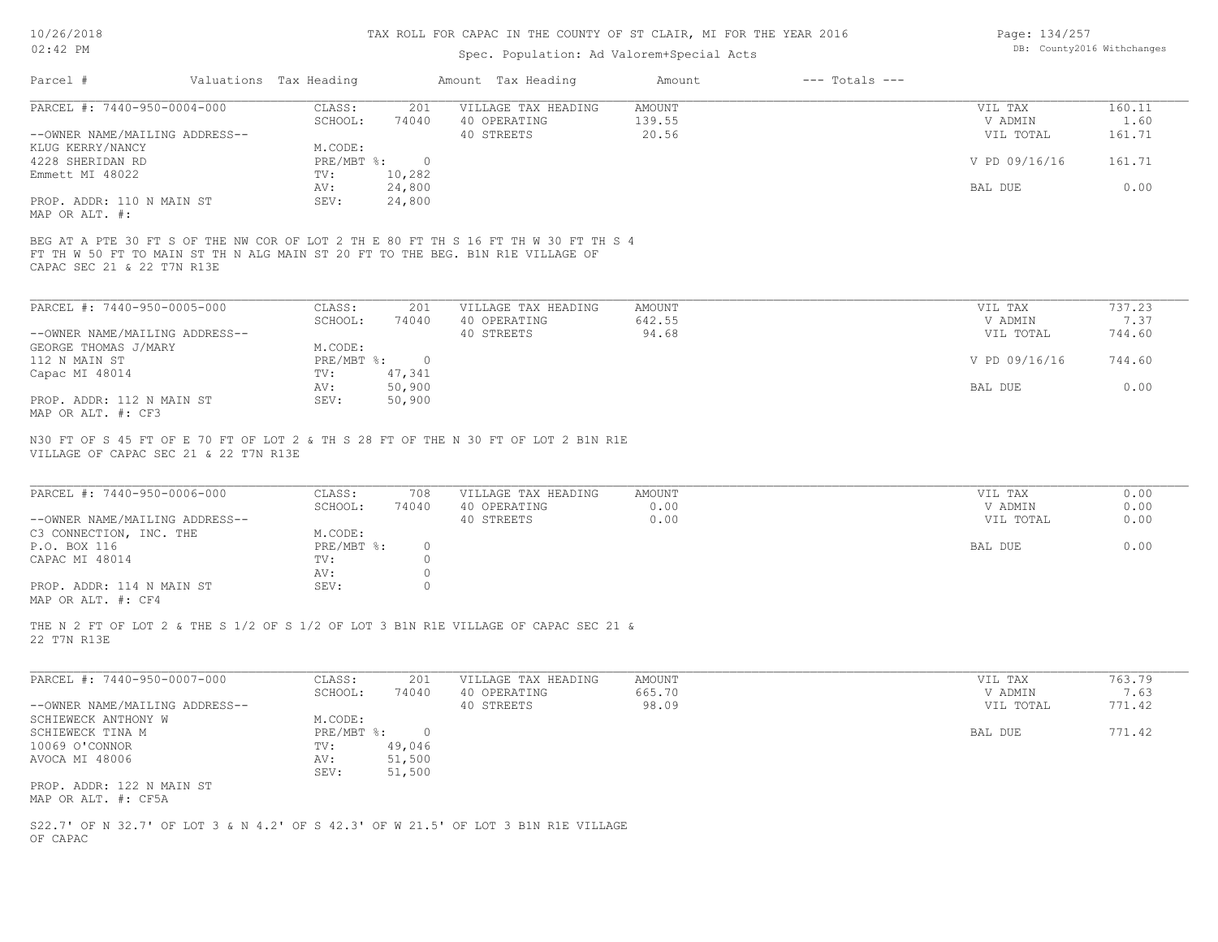## Spec. Population: Ad Valorem+Special Acts

| Page: 134/257 |                            |
|---------------|----------------------------|
|               | DB: County2016 Withchanges |

| Parcel #                       | Valuations Tax Heading |          | Amount Tax Heading  | Amount | $---$ Totals $---$ |               |        |
|--------------------------------|------------------------|----------|---------------------|--------|--------------------|---------------|--------|
| PARCEL #: 7440-950-0004-000    | CLASS:                 | 201      | VILLAGE TAX HEADING | AMOUNT |                    | VIL TAX       | 160.11 |
|                                | SCHOOL:                | 74040    | 40 OPERATING        | 139.55 |                    | V ADMIN       | 1.60   |
| --OWNER NAME/MAILING ADDRESS-- |                        |          | 40 STREETS          | 20.56  |                    | VIL TOTAL     | 161.71 |
| KLUG KERRY/NANCY               | M.CODE:                |          |                     |        |                    |               |        |
| 4228 SHERIDAN RD               | PRE/MBT %:             | $\Omega$ |                     |        |                    | V PD 09/16/16 | 161.71 |
| Emmett MI 48022                | TV:                    | 10,282   |                     |        |                    |               |        |
|                                | AV:                    | 24,800   |                     |        |                    | BAL DUE       | 0.00   |
| PROP. ADDR: 110 N MAIN ST      | SEV:                   | 24,800   |                     |        |                    |               |        |
| MAP OR ALT. #:                 |                        |          |                     |        |                    |               |        |
|                                |                        |          |                     |        |                    |               |        |

CAPAC SEC 21 & 22 T7N R13E FT TH W 50 FT TO MAIN ST TH N ALG MAIN ST 20 FT TO THE BEG. B1N R1E VILLAGE OF BEG AT A PTE 30 FT S OF THE NW COR OF LOT 2 TH E 80 FT TH S 16 FT TH W 30 FT TH S 4

| PARCEL #: 7440-950-0005-000    | CLASS:       | 201    | VILLAGE TAX HEADING | AMOUNT | VIL TAX       | 737.23 |
|--------------------------------|--------------|--------|---------------------|--------|---------------|--------|
|                                | SCHOOL:      | 74040  | 40 OPERATING        | 642.55 | V ADMIN       | 7.37   |
| --OWNER NAME/MAILING ADDRESS-- |              |        | 40 STREETS          | 94.68  | VIL TOTAL     | 744.60 |
| GEORGE THOMAS J/MARY           | M.CODE:      |        |                     |        |               |        |
| 112 N MAIN ST                  | $PRE/MBT$ %: |        |                     |        | V PD 09/16/16 | 744.60 |
| Capac MI 48014                 | TV:          | 47,341 |                     |        |               |        |
|                                | AV:          | 50,900 |                     |        | BAL DUE       | 0.00   |
| PROP. ADDR: 112 N MAIN ST      | SEV:         | 50,900 |                     |        |               |        |
| MAP OR ALT. #: CF3             |              |        |                     |        |               |        |

VILLAGE OF CAPAC SEC 21 & 22 T7N R13E N30 FT OF S 45 FT OF E 70 FT OF LOT 2 & TH S 28 FT OF THE N 30 FT OF LOT 2 B1N R1E

| PARCEL #: 7440-950-0006-000    | CLASS:     | 708   | VILLAGE TAX HEADING | AMOUNT | VIL TAX   | 0.00 |
|--------------------------------|------------|-------|---------------------|--------|-----------|------|
|                                | SCHOOL:    | 74040 | 40 OPERATING        | 0.00   | V ADMIN   | 0.00 |
| --OWNER NAME/MAILING ADDRESS-- |            |       | 40 STREETS          | 0.00   | VIL TOTAL | 0.00 |
| C3 CONNECTION, INC. THE        | M.CODE:    |       |                     |        |           |      |
| P.O. BOX 116                   | PRE/MBT %: |       |                     |        | BAL DUE   | 0.00 |
| CAPAC MI 48014                 | TV:        |       |                     |        |           |      |
|                                | AV:        |       |                     |        |           |      |
| PROP. ADDR: 114 N MAIN ST      | SEV:       |       |                     |        |           |      |
|                                |            |       |                     |        |           |      |

 $\mathcal{L}_\mathcal{L} = \mathcal{L}_\mathcal{L} = \mathcal{L}_\mathcal{L} = \mathcal{L}_\mathcal{L} = \mathcal{L}_\mathcal{L} = \mathcal{L}_\mathcal{L} = \mathcal{L}_\mathcal{L} = \mathcal{L}_\mathcal{L} = \mathcal{L}_\mathcal{L} = \mathcal{L}_\mathcal{L} = \mathcal{L}_\mathcal{L} = \mathcal{L}_\mathcal{L} = \mathcal{L}_\mathcal{L} = \mathcal{L}_\mathcal{L} = \mathcal{L}_\mathcal{L} = \mathcal{L}_\mathcal{L} = \mathcal{L}_\mathcal{L}$ 

MAP OR ALT. #: CF4

22 T7N R13E THE N 2 FT OF LOT 2 & THE S 1/2 OF S 1/2 OF LOT 3 B1N R1E VILLAGE OF CAPAC SEC 21 &

| PARCEL #: 7440-950-0007-000    | CLASS:       | 201    | VILLAGE TAX HEADING | AMOUNT | VIL TAX   | 763.79 |
|--------------------------------|--------------|--------|---------------------|--------|-----------|--------|
|                                | SCHOOL:      | 74040  | 40 OPERATING        | 665.70 | V ADMIN   | 7.63   |
| --OWNER NAME/MAILING ADDRESS-- |              |        | 40 STREETS          | 98.09  | VIL TOTAL | 771.42 |
| SCHIEWECK ANTHONY W            | M.CODE:      |        |                     |        |           |        |
| SCHIEWECK TINA M               | $PRE/MBT$ %: |        |                     |        | BAL DUE   | 771.42 |
| 10069 O'CONNOR                 | TV:          | 49,046 |                     |        |           |        |
| AVOCA MI 48006                 | AV:          | 51,500 |                     |        |           |        |
|                                | SEV:         | 51,500 |                     |        |           |        |
| PROP. ADDR: 122 N MAIN ST      |              |        |                     |        |           |        |
| MAP OR ALT. #: CF5A            |              |        |                     |        |           |        |

OF CAPAC S22.7' OF N 32.7' OF LOT 3 & N 4.2' OF S 42.3' OF W 21.5' OF LOT 3 B1N R1E VILLAGE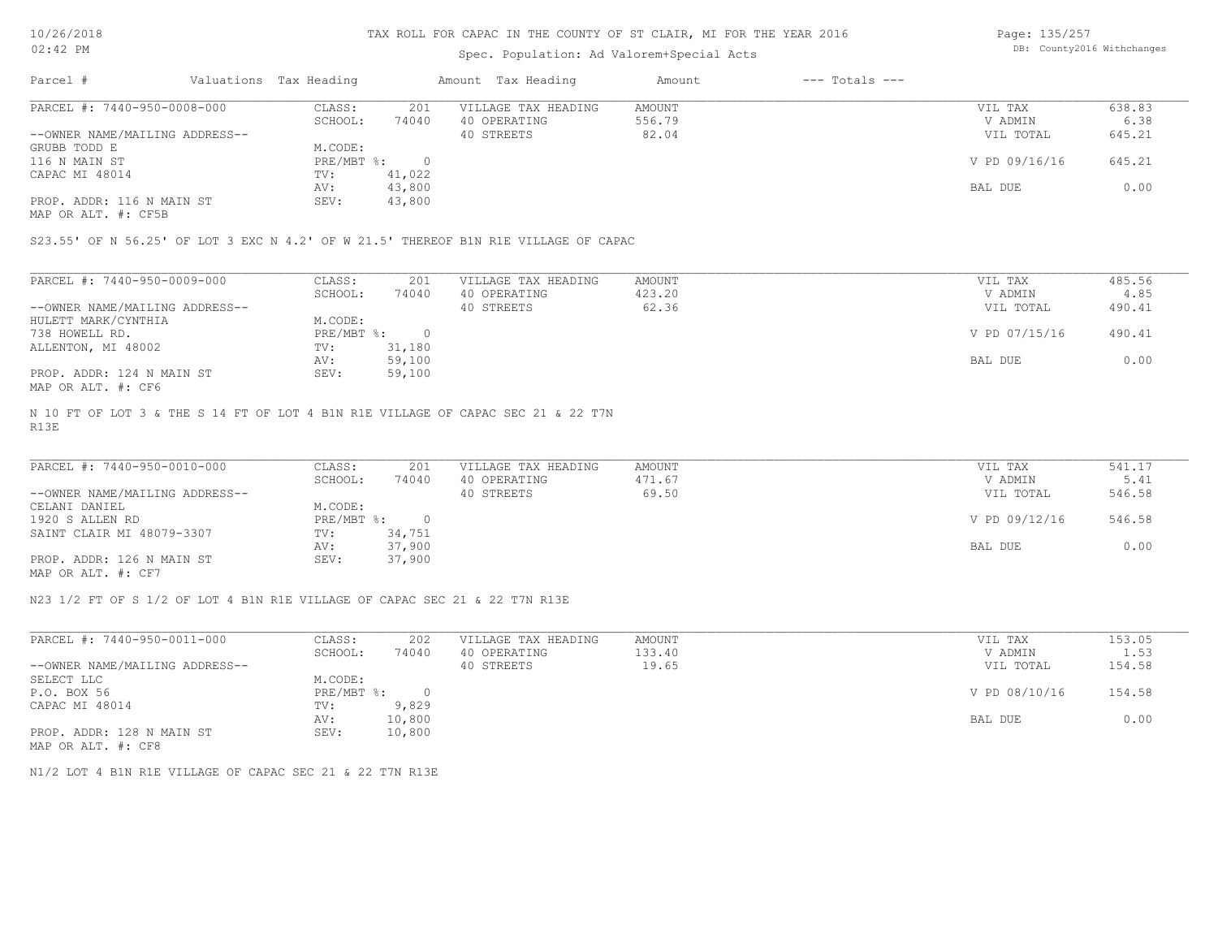## Spec. Population: Ad Valorem+Special Acts

Page: 135/257 DB: County2016 Withchanges

| Parcel #                       | Valuations Tax Heading |        | Amount Tax Heading  | Amount | $---$ Totals $---$ |               |        |
|--------------------------------|------------------------|--------|---------------------|--------|--------------------|---------------|--------|
| PARCEL #: 7440-950-0008-000    | CLASS:                 | 201    | VILLAGE TAX HEADING | AMOUNT |                    | VIL TAX       | 638.83 |
|                                | SCHOOL:                | 74040  | 40 OPERATING        | 556.79 |                    | V ADMIN       | 6.38   |
| --OWNER NAME/MAILING ADDRESS-- |                        |        | 40 STREETS          | 82.04  |                    | VIL TOTAL     | 645.21 |
| GRUBB TODD E                   | M.CODE:                |        |                     |        |                    |               |        |
| 116 N MAIN ST                  | PRE/MBT %:             |        |                     |        |                    | V PD 09/16/16 | 645.21 |
| CAPAC MI 48014                 | TV:                    | 41,022 |                     |        |                    |               |        |
|                                | AV:                    | 43,800 |                     |        |                    | BAL DUE       | 0.00   |
| PROP. ADDR: 116 N MAIN ST      | SEV:                   | 43,800 |                     |        |                    |               |        |
|                                |                        |        |                     |        |                    |               |        |

MAP OR ALT. #: CF5B

S23.55' OF N 56.25' OF LOT 3 EXC N 4.2' OF W 21.5' THEREOF B1N R1E VILLAGE OF CAPAC

| PARCEL #: 7440-950-0009-000    | CLASS:     | 201    | VILLAGE TAX HEADING | AMOUNT | VIL TAX       | 485.56 |
|--------------------------------|------------|--------|---------------------|--------|---------------|--------|
|                                | SCHOOL:    | 74040  | 40 OPERATING        | 423.20 | V ADMIN       | 4.85   |
| --OWNER NAME/MAILING ADDRESS-- |            |        | 40 STREETS          | 62.36  | VIL TOTAL     | 490.41 |
| HULETT MARK/CYNTHIA            | M.CODE:    |        |                     |        |               |        |
| 738 HOWELL RD.                 | PRE/MBT %: |        |                     |        | V PD 07/15/16 | 490.41 |
| ALLENTON, MI 48002             | TV:        | 31,180 |                     |        |               |        |
|                                | AV:        | 59,100 |                     |        | BAL DUE       | 0.00   |
| PROP. ADDR: 124 N MAIN ST      | SEV:       | 59,100 |                     |        |               |        |
| MAP OR ALT. #: CF6             |            |        |                     |        |               |        |

R13E N 10 FT OF LOT 3 & THE S 14 FT OF LOT 4 B1N R1E VILLAGE OF CAPAC SEC 21 & 22 T7N

| PARCEL #: 7440-950-0010-000    | CLASS:     | 201    | VILLAGE TAX HEADING | AMOUNT | VIL TAX       | 541.17 |
|--------------------------------|------------|--------|---------------------|--------|---------------|--------|
|                                | SCHOOL:    | 74040  | 40 OPERATING        | 471.67 | V ADMIN       | 5.41   |
| --OWNER NAME/MAILING ADDRESS-- |            |        | 40 STREETS          | 69.50  | VIL TOTAL     | 546.58 |
| CELANI DANIEL                  | M.CODE:    |        |                     |        |               |        |
| 1920 S ALLEN RD                | PRE/MBT %: |        |                     |        | V PD 09/12/16 | 546.58 |
| SAINT CLAIR MI 48079-3307      | TV:        | 34,751 |                     |        |               |        |
|                                | AV:        | 37,900 |                     |        | BAL DUE       | 0.00   |
| PROP. ADDR: 126 N MAIN ST      | SEV:       | 37,900 |                     |        |               |        |
| MAP OR ALT. #: CF7             |            |        |                     |        |               |        |

 $\mathcal{L}_\mathcal{L} = \mathcal{L}_\mathcal{L} = \mathcal{L}_\mathcal{L} = \mathcal{L}_\mathcal{L} = \mathcal{L}_\mathcal{L} = \mathcal{L}_\mathcal{L} = \mathcal{L}_\mathcal{L} = \mathcal{L}_\mathcal{L} = \mathcal{L}_\mathcal{L} = \mathcal{L}_\mathcal{L} = \mathcal{L}_\mathcal{L} = \mathcal{L}_\mathcal{L} = \mathcal{L}_\mathcal{L} = \mathcal{L}_\mathcal{L} = \mathcal{L}_\mathcal{L} = \mathcal{L}_\mathcal{L} = \mathcal{L}_\mathcal{L}$ 

N23 1/2 FT OF S 1/2 OF LOT 4 B1N R1E VILLAGE OF CAPAC SEC 21 & 22 T7N R13E

| PARCEL #: 7440-950-0011-000    | CLASS:       | 202    | VILLAGE TAX HEADING | AMOUNT | VIL TAX       | 153.05 |
|--------------------------------|--------------|--------|---------------------|--------|---------------|--------|
|                                | SCHOOL:      | 74040  | 40 OPERATING        | 133.40 | V ADMIN       | 1.53   |
| --OWNER NAME/MAILING ADDRESS-- |              |        | 40 STREETS          | 19.65  | VIL TOTAL     | 154.58 |
| SELECT LLC                     | M.CODE:      |        |                     |        |               |        |
| P.O. BOX 56                    | $PRE/MBT$ %: |        |                     |        | V PD 08/10/16 | 154.58 |
| CAPAC MI 48014                 | TV:          | 9,829  |                     |        |               |        |
|                                | AV:          | 10,800 |                     |        | BAL DUE       | 0.00   |
| PROP. ADDR: 128 N MAIN ST      | SEV:         | 10,800 |                     |        |               |        |
| MAP OR ALT. #: CF8             |              |        |                     |        |               |        |

N1/2 LOT 4 B1N R1E VILLAGE OF CAPAC SEC 21 & 22 T7N R13E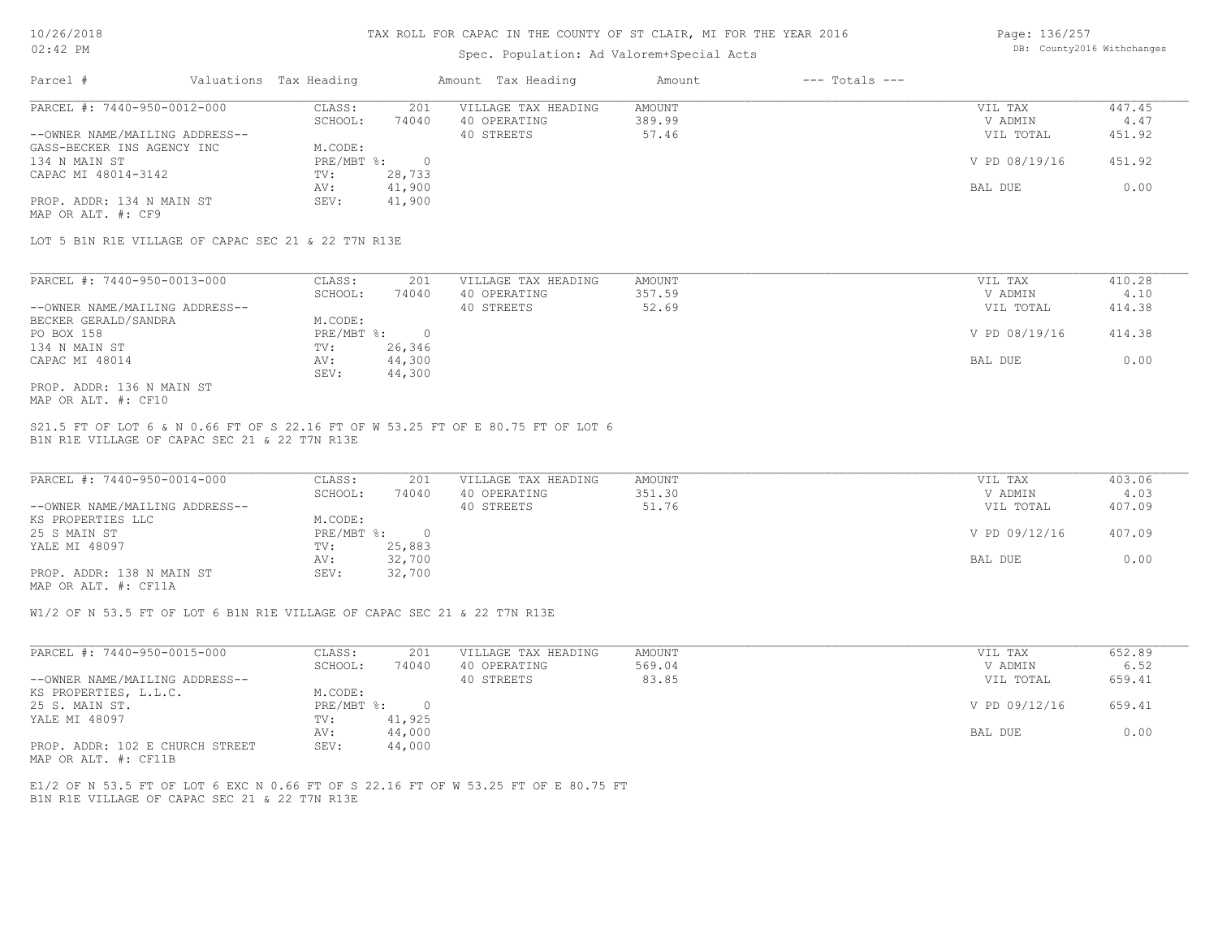## Spec. Population: Ad Valorem+Special Acts

Page: 136/257 DB: County2016 Withchanges

| Parcel #                       | Valuations Tax Heading |        | Amount Tax Heading  | Amount | $---$ Totals $---$ |               |        |
|--------------------------------|------------------------|--------|---------------------|--------|--------------------|---------------|--------|
| PARCEL #: 7440-950-0012-000    | CLASS:                 | 201    | VILLAGE TAX HEADING | AMOUNT |                    | VIL TAX       | 447.45 |
|                                | SCHOOL:                | 74040  | 40 OPERATING        | 389.99 |                    | V ADMIN       | 4.47   |
| --OWNER NAME/MAILING ADDRESS-- |                        |        | 40 STREETS          | 57.46  |                    | VIL TOTAL     | 451.92 |
| GASS-BECKER INS AGENCY INC     | M.CODE:                |        |                     |        |                    |               |        |
| 134 N MAIN ST                  | PRE/MBT %:             |        |                     |        |                    | V PD 08/19/16 | 451.92 |
| CAPAC MI 48014-3142            | TV:                    | 28,733 |                     |        |                    |               |        |
|                                | AV:                    | 41,900 |                     |        |                    | BAL DUE       | 0.00   |
| PROP. ADDR: 134 N MAIN ST      | SEV:                   | 41,900 |                     |        |                    |               |        |
| MAP OR ALT. #: CF9             |                        |        |                     |        |                    |               |        |

LOT 5 B1N R1E VILLAGE OF CAPAC SEC 21 & 22 T7N R13E

| PARCEL #: 7440-950-0013-000    | CLASS:     | 201    | VILLAGE TAX HEADING | AMOUNT | VIL TAX       | 410.28 |
|--------------------------------|------------|--------|---------------------|--------|---------------|--------|
|                                | SCHOOL:    | 74040  | 40 OPERATING        | 357.59 | V ADMIN       | 4.10   |
| --OWNER NAME/MAILING ADDRESS-- |            |        | 40 STREETS          | 52.69  | VIL TOTAL     | 414.38 |
| BECKER GERALD/SANDRA           | M.CODE:    |        |                     |        |               |        |
| PO BOX 158                     | PRE/MBT %: |        |                     |        | V PD 08/19/16 | 414.38 |
| 134 N MAIN ST                  | TV:        | 26,346 |                     |        |               |        |
| CAPAC MI 48014                 | AV:        | 44,300 |                     |        | BAL DUE       | 0.00   |
|                                | SEV:       | 44,300 |                     |        |               |        |
| PROP. ADDR: 136 N MAIN ST      |            |        |                     |        |               |        |

MAP OR ALT. #: CF10

B1N R1E VILLAGE OF CAPAC SEC 21 & 22 T7N R13E S21.5 FT OF LOT 6 & N 0.66 FT OF S 22.16 FT OF W 53.25 FT OF E 80.75 FT OF LOT 6

| PARCEL #: 7440-950-0014-000    | CLASS:     | 201    | VILLAGE TAX HEADING | AMOUNT | VIL TAX       | 403.06 |
|--------------------------------|------------|--------|---------------------|--------|---------------|--------|
|                                | SCHOOL:    | 74040  | 40 OPERATING        | 351.30 | V ADMIN       | 4.03   |
| --OWNER NAME/MAILING ADDRESS-- |            |        | 40 STREETS          | 51.76  | VIL TOTAL     | 407.09 |
| KS PROPERTIES LLC              | M.CODE:    |        |                     |        |               |        |
| 25 S MAIN ST                   | PRE/MBT %: |        |                     |        | V PD 09/12/16 | 407.09 |
| YALE MI 48097                  | TV:        | 25,883 |                     |        |               |        |
|                                | AV:        | 32,700 |                     |        | BAL DUE       | 0.00   |
| PROP. ADDR: 138 N MAIN ST      | SEV:       | 32,700 |                     |        |               |        |
|                                |            |        |                     |        |               |        |

MAP OR ALT. #: CF11A

W1/2 OF N 53.5 FT OF LOT 6 B1N R1E VILLAGE OF CAPAC SEC 21 & 22 T7N R13E

| PARCEL #: 7440-950-0015-000     | CLASS:     | 201    | VILLAGE TAX HEADING | AMOUNT | VIL TAX       | 652.89 |
|---------------------------------|------------|--------|---------------------|--------|---------------|--------|
|                                 | SCHOOL:    | 74040  | 40 OPERATING        | 569.04 | V ADMIN       | 6.52   |
| --OWNER NAME/MAILING ADDRESS--  |            |        | 40 STREETS          | 83.85  | VIL TOTAL     | 659.41 |
| KS PROPERTIES, L.L.C.           | M.CODE:    |        |                     |        |               |        |
| 25 S. MAIN ST.                  | PRE/MBT %: | $\cap$ |                     |        | V PD 09/12/16 | 659.41 |
| YALE MI 48097                   | TV:        | 41,925 |                     |        |               |        |
|                                 | AV:        | 44,000 |                     |        | BAL DUE       | 0.00   |
| PROP. ADDR: 102 E CHURCH STREET | SEV:       | 44,000 |                     |        |               |        |

MAP OR ALT. #: CF11B

B1N R1E VILLAGE OF CAPAC SEC 21 & 22 T7N R13E E1/2 OF N 53.5 FT OF LOT 6 EXC N 0.66 FT OF S 22.16 FT OF W 53.25 FT OF E 80.75 FT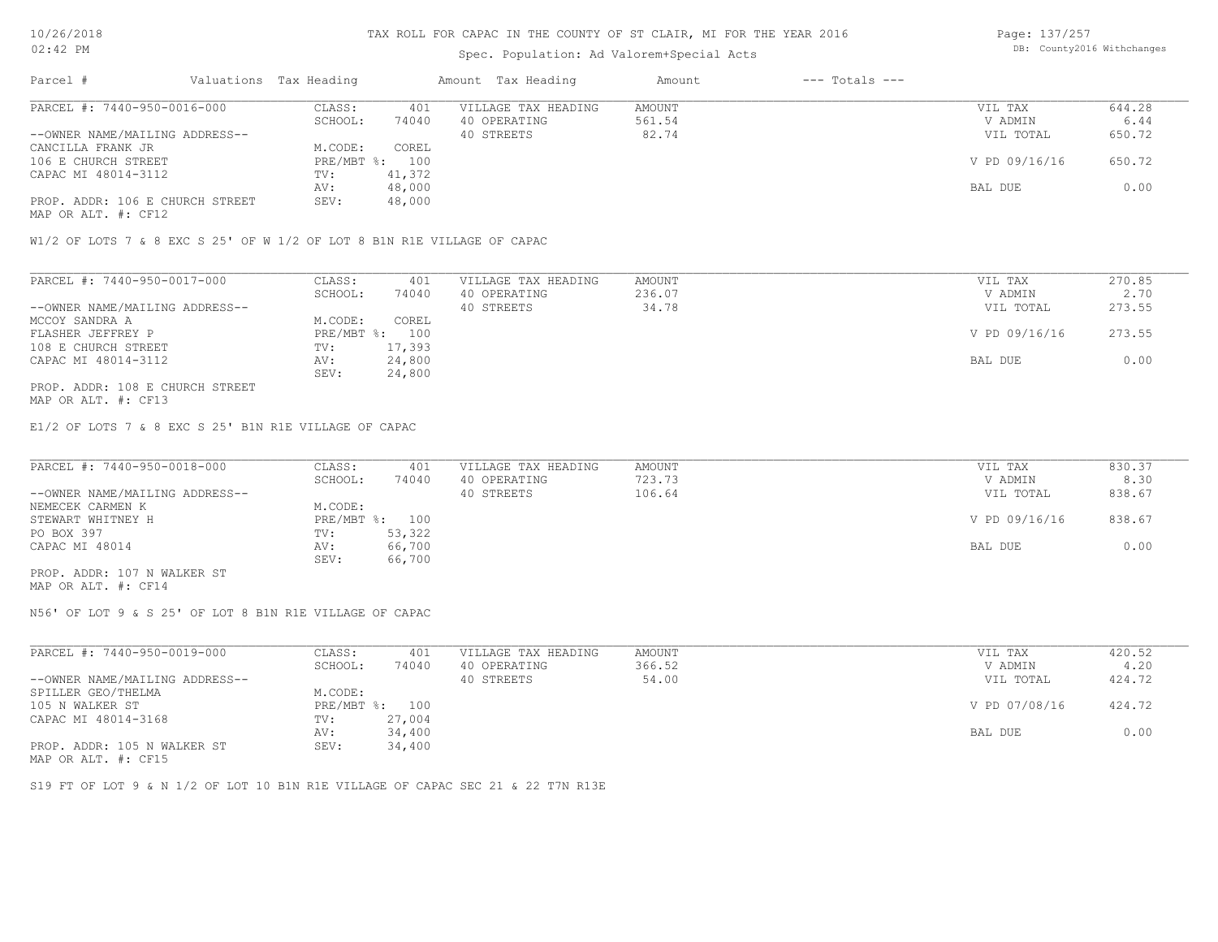## Spec. Population: Ad Valorem+Special Acts

Page: 137/257 DB: County2016 Withchanges

| Parcel #                        | Valuations Tax Heading |        | Amount Tax Heading  | Amount | $---$ Totals $---$ |               |        |
|---------------------------------|------------------------|--------|---------------------|--------|--------------------|---------------|--------|
| PARCEL #: 7440-950-0016-000     | CLASS:                 | 401    | VILLAGE TAX HEADING | AMOUNT |                    | VIL TAX       | 644.28 |
|                                 | SCHOOL:                | 74040  | 40 OPERATING        | 561.54 |                    | V ADMIN       | 6.44   |
| --OWNER NAME/MAILING ADDRESS--  |                        |        | 40 STREETS          | 82.74  |                    | VIL TOTAL     | 650.72 |
| CANCILLA FRANK JR               | M.CODE:                | COREL  |                     |        |                    |               |        |
| 106 E CHURCH STREET             | PRE/MBT %: 100         |        |                     |        |                    | V PD 09/16/16 | 650.72 |
| CAPAC MI 48014-3112             | TV:                    | 41,372 |                     |        |                    |               |        |
|                                 | AV:                    | 48,000 |                     |        |                    | BAL DUE       | 0.00   |
| PROP. ADDR: 106 E CHURCH STREET | SEV:                   | 48,000 |                     |        |                    |               |        |
|                                 |                        |        |                     |        |                    |               |        |

MAP OR ALT. #: CF12

W1/2 OF LOTS 7 & 8 EXC S 25' OF W 1/2 OF LOT 8 B1N R1E VILLAGE OF CAPAC

| PARCEL #: 7440-950-0017-000     | CLASS:  | 401            | VILLAGE TAX HEADING | AMOUNT | VIL TAX       | 270.85 |
|---------------------------------|---------|----------------|---------------------|--------|---------------|--------|
|                                 | SCHOOL: | 74040          | 40 OPERATING        | 236.07 | V ADMIN       | 2.70   |
| --OWNER NAME/MAILING ADDRESS--  |         |                | 40 STREETS          | 34.78  | VIL TOTAL     | 273.55 |
| MCCOY SANDRA A                  | M.CODE: | COREL          |                     |        |               |        |
| FLASHER JEFFREY P               |         | PRE/MBT %: 100 |                     |        | V PD 09/16/16 | 273.55 |
| 108 E CHURCH STREET             | TV:     | 17,393         |                     |        |               |        |
| CAPAC MI 48014-3112             | AV:     | 24,800         |                     |        | BAL DUE       | 0.00   |
|                                 | SEV:    | 24,800         |                     |        |               |        |
| PROP. ADDR: 108 E CHURCH STREET |         |                |                     |        |               |        |

MAP OR ALT. #: CF13

E1/2 OF LOTS 7 & 8 EXC S 25' B1N R1E VILLAGE OF CAPAC

| PARCEL #: 7440-950-0018-000    | CLASS:  | 401            | VILLAGE TAX HEADING | AMOUNT | VIL TAX       | 830.37 |
|--------------------------------|---------|----------------|---------------------|--------|---------------|--------|
|                                | SCHOOL: | 74040          | 40 OPERATING        | 723.73 | V ADMIN       | 8.30   |
| --OWNER NAME/MAILING ADDRESS-- |         |                | 40 STREETS          | 106.64 | VIL TOTAL     | 838.67 |
| NEMECEK CARMEN K               | M.CODE: |                |                     |        |               |        |
| STEWART WHITNEY H              |         | PRE/MBT %: 100 |                     |        | V PD 09/16/16 | 838.67 |
| PO BOX 397                     | TV:     | 53,322         |                     |        |               |        |
| CAPAC MI 48014                 | AV:     | 66,700         |                     |        | BAL DUE       | 0.00   |
|                                | SEV:    | 66,700         |                     |        |               |        |
| PROP. ADDR: 107 N WALKER ST    |         |                |                     |        |               |        |

MAP OR ALT. #: CF14

N56' OF LOT 9 & S 25' OF LOT 8 B1N R1E VILLAGE OF CAPAC

| PARCEL #: 7440-950-0019-000    | CLASS:       | 401    | VILLAGE TAX HEADING | AMOUNT | VIL TAX       | 420.52 |
|--------------------------------|--------------|--------|---------------------|--------|---------------|--------|
|                                | SCHOOL:      | 74040  | 40 OPERATING        | 366.52 | V ADMIN       | 4.20   |
| --OWNER NAME/MAILING ADDRESS-- |              |        | 40 STREETS          | 54.00  | VIL TOTAL     | 424.72 |
| SPILLER GEO/THELMA             | M.CODE:      |        |                     |        |               |        |
| 105 N WALKER ST                | $PRE/MBT$ %: | 100    |                     |        | V PD 07/08/16 | 424.72 |
| CAPAC MI 48014-3168            | TV:          | 27,004 |                     |        |               |        |
|                                | AV:          | 34,400 |                     |        | BAL DUE       | 0.00   |
| PROP. ADDR: 105 N WALKER ST    | SEV:         | 34,400 |                     |        |               |        |
|                                |              |        |                     |        |               |        |

MAP OR ALT. #: CF15

S19 FT OF LOT 9 & N 1/2 OF LOT 10 B1N R1E VILLAGE OF CAPAC SEC 21 & 22 T7N R13E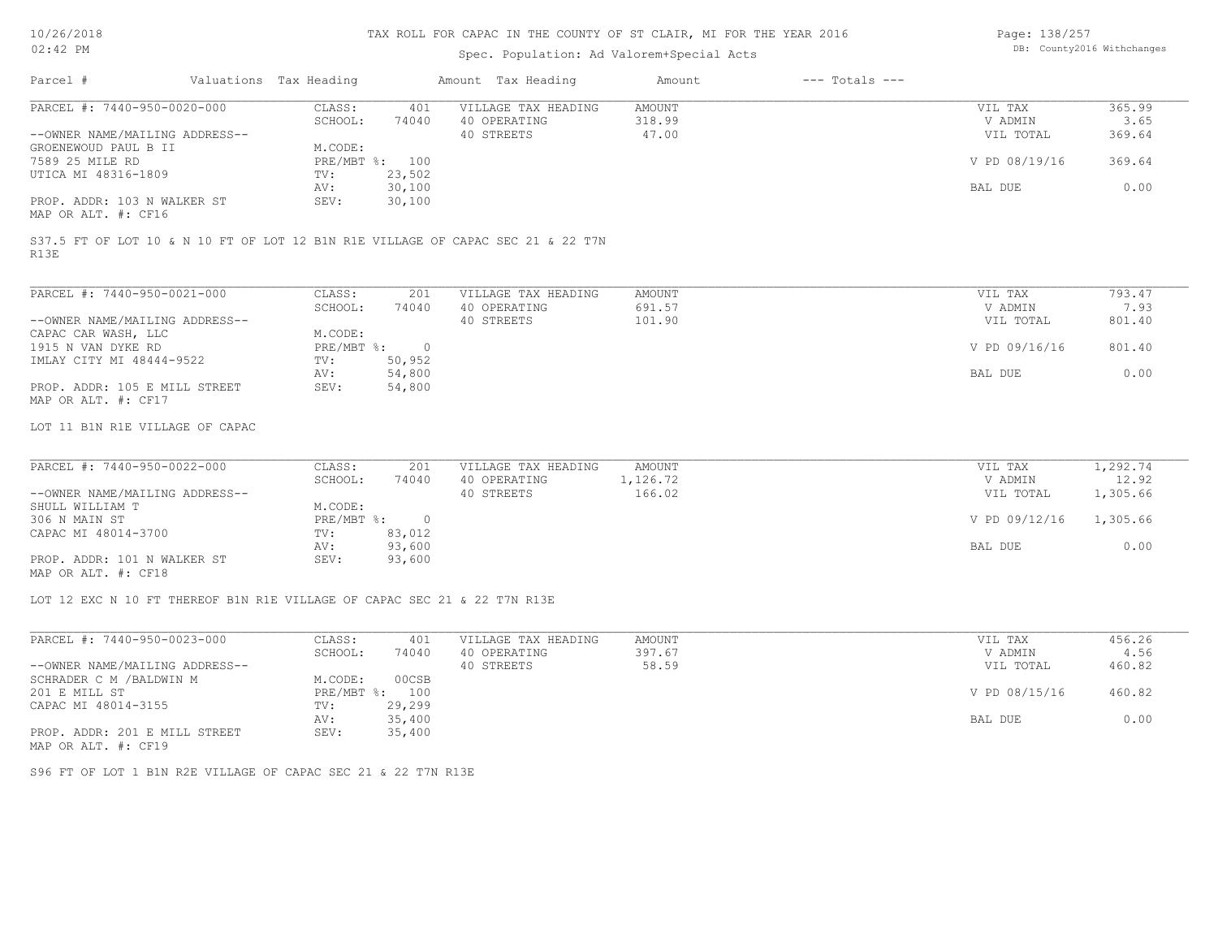Page: 138/257

| $02:42$ PM                                                               |                        |                          | Spec. Population: Ad Valorem+Special Acts                                       |                         |                    |                      | DB: County2016 Withchanges |
|--------------------------------------------------------------------------|------------------------|--------------------------|---------------------------------------------------------------------------------|-------------------------|--------------------|----------------------|----------------------------|
| Parcel #                                                                 | Valuations Tax Heading |                          | Amount Tax Heading                                                              | Amount                  | $---$ Totals $---$ |                      |                            |
| PARCEL #: 7440-950-0020-000                                              | CLASS:<br>SCHOOL:      | 401<br>74040             | VILLAGE TAX HEADING<br>40 OPERATING                                             | <b>AMOUNT</b><br>318.99 |                    | VIL TAX<br>V ADMIN   | 365.99<br>3.65             |
| --OWNER NAME/MAILING ADDRESS--<br>GROENEWOUD PAUL B II                   | M.CODE:                |                          | 40 STREETS                                                                      | 47.00                   |                    | VIL TOTAL            | 369.64                     |
| 7589 25 MILE RD<br>UTICA MI 48316-1809                                   | TV:                    | PRE/MBT %: 100<br>23,502 |                                                                                 |                         |                    | V PD 08/19/16        | 369.64                     |
| PROP. ADDR: 103 N WALKER ST                                              | AV:<br>SEV:            | 30,100                   |                                                                                 |                         |                    | BAL DUE              | 0.00                       |
| MAP OR ALT. #: CF16                                                      |                        | 30,100                   |                                                                                 |                         |                    |                      |                            |
| R13E                                                                     |                        |                          | S37.5 FT OF LOT 10 & N 10 FT OF LOT 12 B1N R1E VILLAGE OF CAPAC SEC 21 & 22 T7N |                         |                    |                      |                            |
| PARCEL #: 7440-950-0021-000                                              | CLASS:                 | 201                      | VILLAGE TAX HEADING                                                             | <b>AMOUNT</b>           |                    | VIL TAX              | 793.47                     |
|                                                                          | SCHOOL:                | 74040                    | 40 OPERATING                                                                    | 691.57                  |                    | V ADMIN              | 7.93                       |
| --OWNER NAME/MAILING ADDRESS--<br>CAPAC CAR WASH, LLC                    | M.CODE:                |                          | 40 STREETS                                                                      | 101.90                  |                    | VIL TOTAL            | 801.40                     |
| 1915 N VAN DYKE RD<br>IMLAY CITY MI 48444-9522                           | PRE/MBT %:<br>TV:      | $\overline{0}$<br>50,952 |                                                                                 |                         |                    | V PD 09/16/16        | 801.40                     |
|                                                                          | AV:                    | 54,800                   |                                                                                 |                         |                    | BAL DUE              | 0.00                       |
| PROP. ADDR: 105 E MILL STREET<br>MAP OR ALT. #: CF17                     | SEV:                   | 54,800                   |                                                                                 |                         |                    |                      |                            |
| LOT 11 B1N R1E VILLAGE OF CAPAC                                          |                        |                          |                                                                                 |                         |                    |                      |                            |
| PARCEL #: 7440-950-0022-000                                              | CLASS:                 | 201                      | VILLAGE TAX HEADING                                                             | <b>AMOUNT</b>           |                    | VIL TAX              | 1,292.74                   |
| --OWNER NAME/MAILING ADDRESS--                                           | SCHOOL:                | 74040                    | 40 OPERATING<br>40 STREETS                                                      | 1,126.72<br>166.02      |                    | V ADMIN<br>VIL TOTAL | 12.92<br>1,305.66          |
| SHULL WILLIAM T                                                          | M.CODE:                |                          |                                                                                 |                         |                    |                      |                            |
| 306 N MAIN ST<br>CAPAC MI 48014-3700                                     | PRE/MBT %:<br>TV:      | $\overline{0}$<br>83,012 |                                                                                 |                         |                    | V PD 09/12/16        | 1,305.66                   |
|                                                                          | AV:                    | 93,600                   |                                                                                 |                         |                    | BAL DUE              | 0.00                       |
| PROP. ADDR: 101 N WALKER ST<br>MAP OR ALT. #: CF18                       | SEV:                   | 93,600                   |                                                                                 |                         |                    |                      |                            |
| LOT 12 EXC N 10 FT THEREOF B1N R1E VILLAGE OF CAPAC SEC 21 & 22 T7N R13E |                        |                          |                                                                                 |                         |                    |                      |                            |
| PARCEL #: 7440-950-0023-000                                              | CLASS:                 | 401                      | VILLAGE TAX HEADING                                                             | <b>AMOUNT</b>           |                    | VIL TAX              | 456.26                     |
|                                                                          | SCHOOL:                | 74040                    | 40 OPERATING                                                                    | 397.67                  |                    | V ADMIN              | 4.56                       |
| --OWNER NAME/MAILING ADDRESS--<br>SCHRADER C M / BALDWIN M               | M.CODE:                | 00CSB                    | 40 STREETS                                                                      | 58.59                   |                    | VIL TOTAL            | 460.82                     |
| 201 E MILL ST                                                            |                        | PRE/MBT %: 100           |                                                                                 |                         |                    | V PD 08/15/16        | 460.82                     |
| CAPAC MI 48014-3155                                                      | TV:<br>AV:             | 29,299<br>35,400         |                                                                                 |                         |                    | BAL DUE              | 0.00                       |
| PROP. ADDR: 201 E MILL STREET<br>MAP OR ALT. #: CF19                     | SEV:                   | 35,400                   |                                                                                 |                         |                    |                      |                            |
| S96 FT OF LOT 1 B1N R2E VILLAGE OF CAPAC SEC 21 & 22 T7N R13E            |                        |                          |                                                                                 |                         |                    |                      |                            |
|                                                                          |                        |                          |                                                                                 |                         |                    |                      |                            |
|                                                                          |                        |                          |                                                                                 |                         |                    |                      |                            |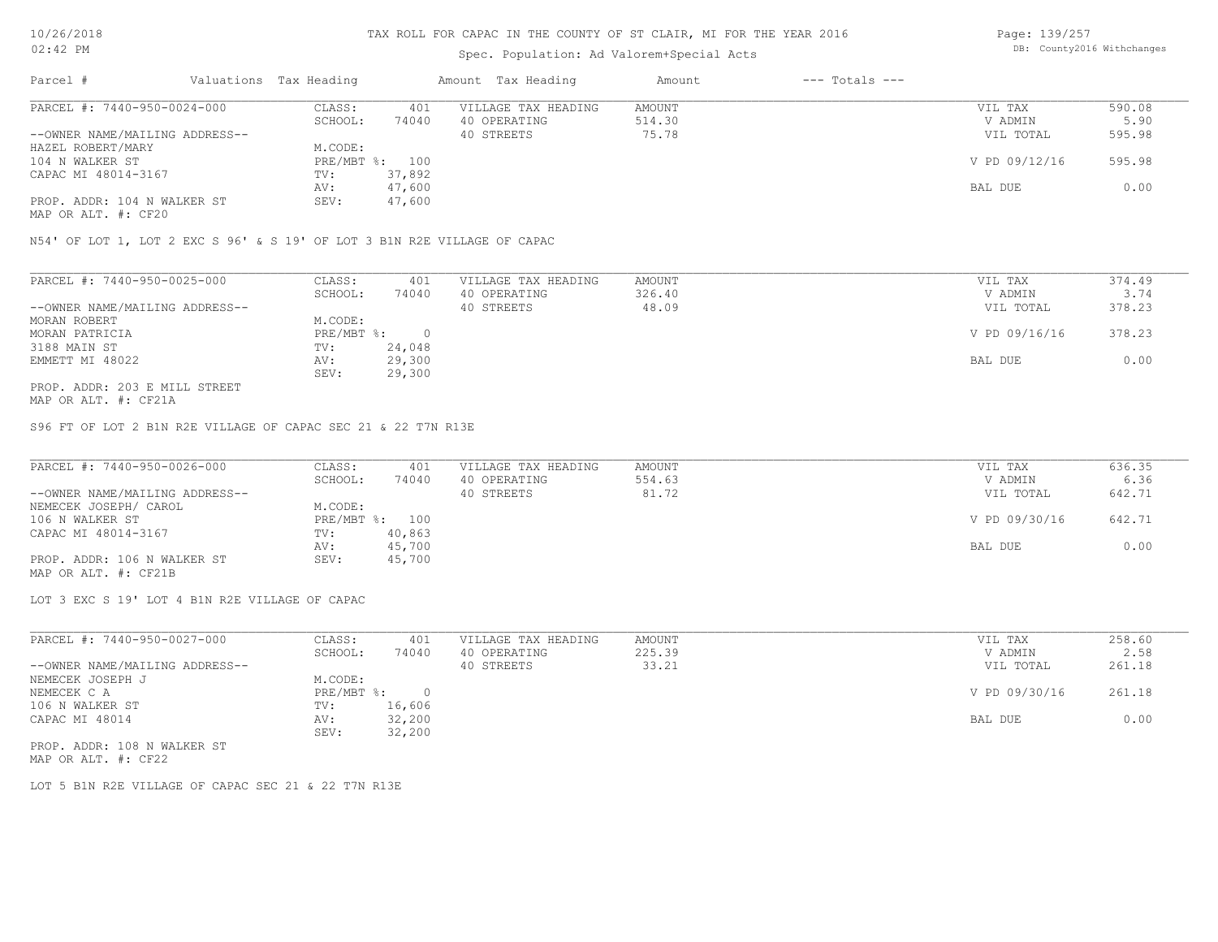## Spec. Population: Ad Valorem+Special Acts

Page: 139/257 DB: County2016 Withchanges

| PARCEL #: 7440-950-0024-000<br>401<br>VILLAGE TAX HEADING<br>CLASS:<br>AMOUNT<br>VIL TAX | 590.08                  |
|------------------------------------------------------------------------------------------|-------------------------|
| 74040<br>SCHOOL:<br>40 OPERATING<br>514.30                                               | V ADMIN<br>5.90         |
| 75.78<br>--OWNER NAME/MAILING ADDRESS--<br>40 STREETS                                    | 595.98<br>VIL TOTAL     |
| HAZEL ROBERT/MARY<br>M.CODE:                                                             |                         |
| PRE/MBT %: 100<br>104 N WALKER ST                                                        | V PD 09/12/16<br>595.98 |
| CAPAC MI 48014-3167<br>37,892<br>TV:                                                     |                         |
| 47,600<br>BAL DUE<br>AV:                                                                 | 0.00                    |
| PROP. ADDR: 104 N WALKER ST<br>47,600<br>SEV:                                            |                         |

MAP OR ALT. #: CF20

N54' OF LOT 1, LOT 2 EXC S 96' & S 19' OF LOT 3 B1N R2E VILLAGE OF CAPAC

| PARCEL #: 7440-950-0025-000    | CLASS:     | 401    | VILLAGE TAX HEADING | AMOUNT | VIL TAX       | 374.49 |
|--------------------------------|------------|--------|---------------------|--------|---------------|--------|
|                                | SCHOOL:    | 74040  | 40 OPERATING        | 326.40 | V ADMIN       | 3.74   |
| --OWNER NAME/MAILING ADDRESS-- |            |        | 40 STREETS          | 48.09  | VIL TOTAL     | 378.23 |
| MORAN ROBERT                   | M.CODE:    |        |                     |        |               |        |
| MORAN PATRICIA                 | PRE/MBT %: |        |                     |        | V PD 09/16/16 | 378.23 |
| 3188 MAIN ST                   | TV:        | 24,048 |                     |        |               |        |
| EMMETT MI 48022                | AV:        | 29,300 |                     |        | BAL DUE       | 0.00   |
|                                | SEV:       | 29,300 |                     |        |               |        |
| PROP. ADDR: 203 E MILL STREET  |            |        |                     |        |               |        |

MAP OR ALT. #: CF21A

S96 FT OF LOT 2 B1N R2E VILLAGE OF CAPAC SEC 21 & 22 T7N R13E

| PARCEL #: 7440-950-0026-000    | CLASS:  | 401            | VILLAGE TAX HEADING | AMOUNT | VIL TAX       | 636.35 |
|--------------------------------|---------|----------------|---------------------|--------|---------------|--------|
|                                | SCHOOL: | 74040          | 40 OPERATING        | 554.63 | V ADMIN       | 6.36   |
| --OWNER NAME/MAILING ADDRESS-- |         |                | 40 STREETS          | 81.72  | VIL TOTAL     | 642.71 |
| NEMECEK JOSEPH/ CAROL          | M.CODE: |                |                     |        |               |        |
| 106 N WALKER ST                |         | PRE/MBT %: 100 |                     |        | V PD 09/30/16 | 642.71 |
| CAPAC MI 48014-3167            | TV:     | 40,863         |                     |        |               |        |
|                                | AV:     | 45,700         |                     |        | BAL DUE       | 0.00   |
| PROP. ADDR: 106 N WALKER ST    | SEV:    | 45,700         |                     |        |               |        |
| MAP OR ALT. #: CF21B           |         |                |                     |        |               |        |

LOT 3 EXC S 19' LOT 4 B1N R2E VILLAGE OF CAPAC

SEV: 32,200 CAPAC MI 48014 AV: 32,200 BAL DUE 0.00 106 N WALKER ST TV: 16,606 NEMECEK C A PRE/MBT %: 0 O PRE/MBT %: 0 O PRE/MBT %: 0 O PRE/MBT %: 0 O PRE/MBT %: 0 O PRE/MBT %: 0 O PRE/MBT %: 0 O PRE/MBT %: 0 O PRE/MBT %: 0 O PRE/MBT %: 0 O PRE/MBT %: 0 O PRE/MBT %: 0 O PRE/MBT %: 0 O PRE/MBT %: 0 O NEMECEK JOSEPH J M.CODE: --OWNER NAME/MAILING ADDRESS-- 40 STREETS 33.21 VIL TOTAL 261.18 SCHOOL: 74040 40 OPERATING 225.39 V ADMIN 2.58 PARCEL #: 7440-950-0027-000 CLASS: 401 VILLAGE TAX HEADING AMOUNT AMOUNT VIL TAX 258.60<br>SCHOOL: 74040 40 OPERATING 225.39 VADMIN 2.58  $\mathcal{L}_\mathcal{L} = \mathcal{L}_\mathcal{L} = \mathcal{L}_\mathcal{L} = \mathcal{L}_\mathcal{L} = \mathcal{L}_\mathcal{L} = \mathcal{L}_\mathcal{L} = \mathcal{L}_\mathcal{L} = \mathcal{L}_\mathcal{L} = \mathcal{L}_\mathcal{L} = \mathcal{L}_\mathcal{L} = \mathcal{L}_\mathcal{L} = \mathcal{L}_\mathcal{L} = \mathcal{L}_\mathcal{L} = \mathcal{L}_\mathcal{L} = \mathcal{L}_\mathcal{L} = \mathcal{L}_\mathcal{L} = \mathcal{L}_\mathcal{L}$ 

MAP OR ALT. #: CF22 PROP. ADDR: 108 N WALKER ST

LOT 5 B1N R2E VILLAGE OF CAPAC SEC 21 & 22 T7N R13E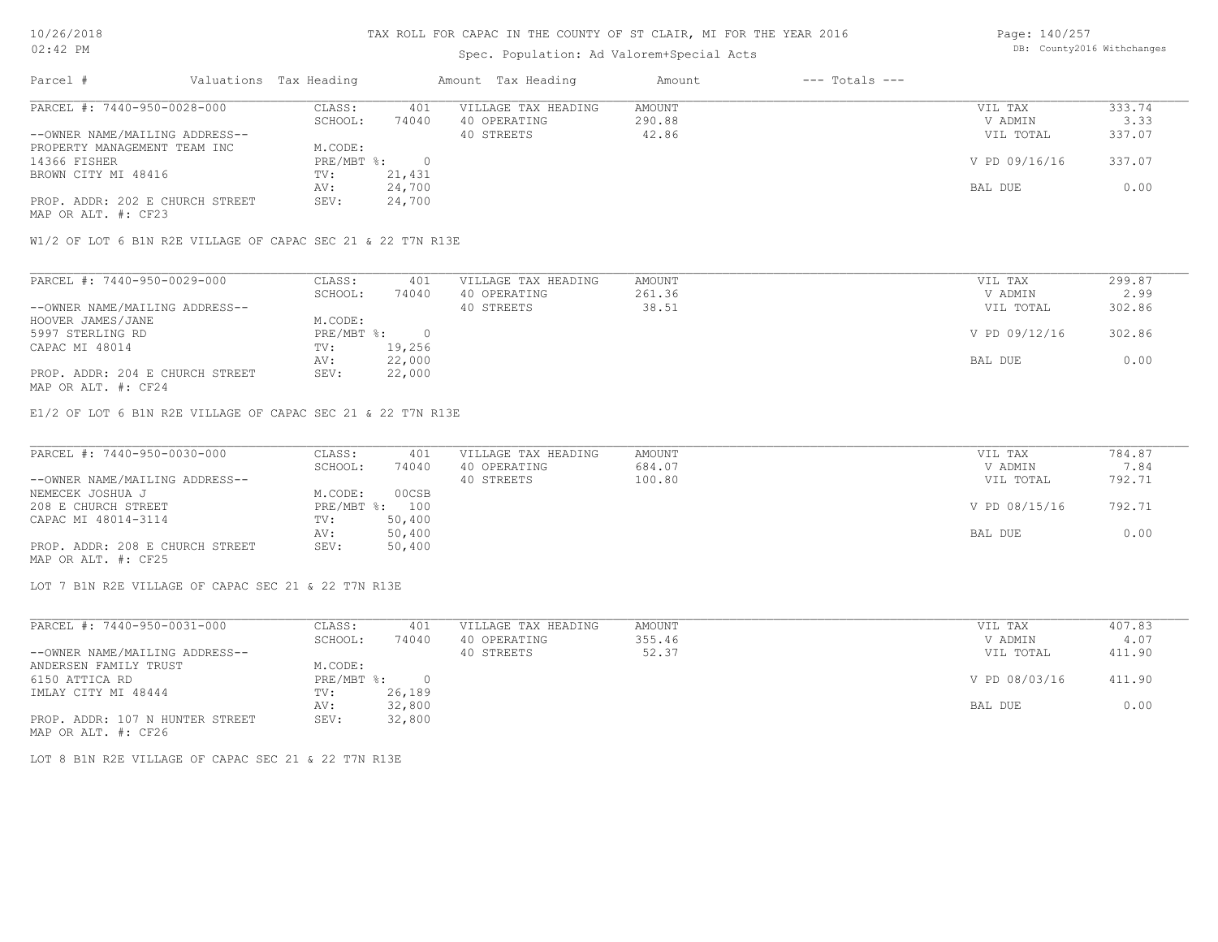## Spec. Population: Ad Valorem+Special Acts

Page: 140/257 DB: County2016 Withchanges

| Parcel #                        | Valuations Tax Heading |        | Amount Tax Heading  | Amount | $---$ Totals $---$ |               |        |
|---------------------------------|------------------------|--------|---------------------|--------|--------------------|---------------|--------|
| PARCEL #: 7440-950-0028-000     | CLASS:                 | 401    | VILLAGE TAX HEADING | AMOUNT |                    | VIL TAX       | 333.74 |
|                                 | SCHOOL:                | 74040  | 40 OPERATING        | 290.88 |                    | V ADMIN       | 3.33   |
| --OWNER NAME/MAILING ADDRESS--  |                        |        | 40 STREETS          | 42.86  |                    | VIL TOTAL     | 337.07 |
| PROPERTY MANAGEMENT TEAM INC    | M.CODE:                |        |                     |        |                    |               |        |
| 14366 FISHER                    | $PRE/MBT$ %:           |        |                     |        |                    | V PD 09/16/16 | 337.07 |
| BROWN CITY MI 48416             | TV:                    | 21,431 |                     |        |                    |               |        |
|                                 | AV:                    | 24,700 |                     |        |                    | BAL DUE       | 0.00   |
| PROP. ADDR: 202 E CHURCH STREET | SEV:                   | 24,700 |                     |        |                    |               |        |
|                                 |                        |        |                     |        |                    |               |        |

MAP OR ALT. #: CF23

W1/2 OF LOT 6 B1N R2E VILLAGE OF CAPAC SEC 21 & 22 T7N R13E

| PARCEL #: 7440-950-0029-000     | CLASS:     | 401    | VILLAGE TAX HEADING | AMOUNT | VIL TAX       | 299.87 |
|---------------------------------|------------|--------|---------------------|--------|---------------|--------|
|                                 | SCHOOL:    | 74040  | 40 OPERATING        | 261.36 | V ADMIN       | 2.99   |
| --OWNER NAME/MAILING ADDRESS--  |            |        | 40 STREETS          | 38.51  | VIL TOTAL     | 302.86 |
| HOOVER JAMES/JANE               | M.CODE:    |        |                     |        |               |        |
| 5997 STERLING RD                | PRE/MBT %: |        |                     |        | V PD 09/12/16 | 302.86 |
| CAPAC MI 48014                  | TV:        | 19,256 |                     |        |               |        |
|                                 | AV:        | 22,000 |                     |        | BAL DUE       | 0.00   |
| PROP. ADDR: 204 E CHURCH STREET | SEV:       | 22,000 |                     |        |               |        |
| MAP OR ALT. #: CF24             |            |        |                     |        |               |        |

E1/2 OF LOT 6 B1N R2E VILLAGE OF CAPAC SEC 21 & 22 T7N R13E

| PARCEL #: 7440-950-0030-000     | CLASS:  | 401            | VILLAGE TAX HEADING | AMOUNT | VIL TAX       | 784.87 |
|---------------------------------|---------|----------------|---------------------|--------|---------------|--------|
|                                 | SCHOOL: | 74040          | 40 OPERATING        | 684.07 | V ADMIN       | 7.84   |
| --OWNER NAME/MAILING ADDRESS--  |         |                | 40 STREETS          | 100.80 | VIL TOTAL     | 792.71 |
| NEMECEK JOSHUA J                | M.CODE: | 00CSB          |                     |        |               |        |
| 208 E CHURCH STREET             |         | PRE/MBT %: 100 |                     |        | V PD 08/15/16 | 792.71 |
| CAPAC MI 48014-3114             | TV:     | 50,400         |                     |        |               |        |
|                                 | AV:     | 50,400         |                     |        | BAL DUE       | 0.00   |
| PROP. ADDR: 208 E CHURCH STREET | SEV:    | 50,400         |                     |        |               |        |
| MAP OR ALT. #: CF25             |         |                |                     |        |               |        |

LOT 7 B1N R2E VILLAGE OF CAPAC SEC 21 & 22 T7N R13E

| PARCEL #: 7440-950-0031-000     | CLASS:     | 401    | VILLAGE TAX HEADING | AMOUNT | VIL TAX       | 407.83 |
|---------------------------------|------------|--------|---------------------|--------|---------------|--------|
|                                 | SCHOOL:    | 74040  | 40 OPERATING        | 355.46 | V ADMIN       | 4.07   |
| --OWNER NAME/MAILING ADDRESS--  |            |        | 40 STREETS          | 52.37  | VIL TOTAL     | 411.90 |
| ANDERSEN FAMILY TRUST           | M.CODE:    |        |                     |        |               |        |
| 6150 ATTICA RD                  | PRE/MBT %: |        |                     |        | V PD 08/03/16 | 411.90 |
| IMLAY CITY MI 48444             | TV:        | 26,189 |                     |        |               |        |
|                                 | AV:        | 32,800 |                     |        | BAL DUE       | 0.00   |
| PROP. ADDR: 107 N HUNTER STREET | SEV:       | 32,800 |                     |        |               |        |
| MAP OR ALT. #: CF26             |            |        |                     |        |               |        |

LOT 8 B1N R2E VILLAGE OF CAPAC SEC 21 & 22 T7N R13E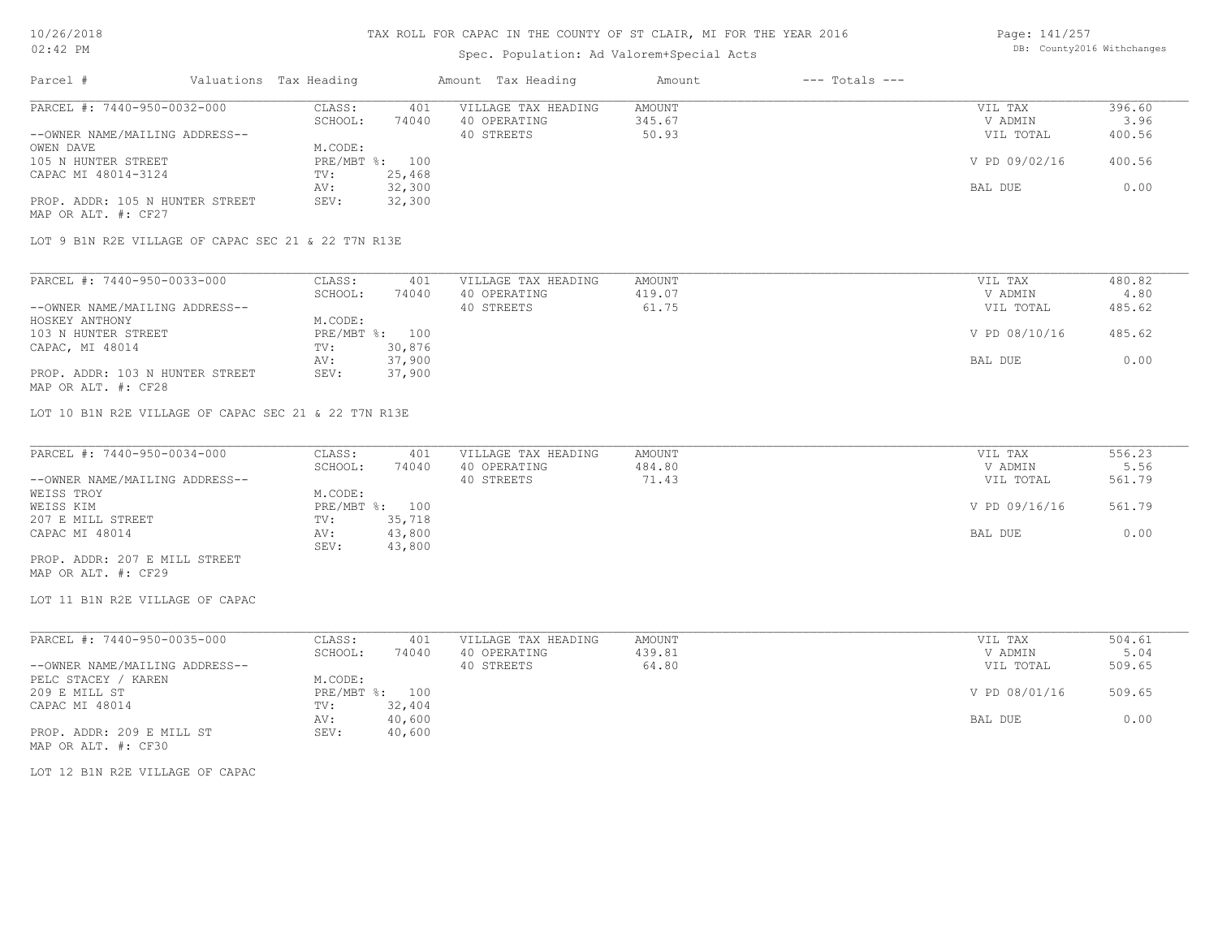Page: 141/257

| $02:42$ PM                                           |                  | Spec. Population: Ad Valorem+Special Acts | DB: County2016 Withchanges |                    |               |        |
|------------------------------------------------------|------------------|-------------------------------------------|----------------------------|--------------------|---------------|--------|
| Parcel #<br>Valuations Tax Heading                   |                  | Amount Tax Heading                        | Amount                     | $---$ Totals $---$ |               |        |
| PARCEL #: 7440-950-0032-000                          | CLASS:<br>401    | VILLAGE TAX HEADING                       | AMOUNT                     |                    | VIL TAX       | 396.60 |
|                                                      | SCHOOL:<br>74040 | 40 OPERATING                              | 345.67                     |                    | V ADMIN       | 3.96   |
| --OWNER NAME/MAILING ADDRESS--                       |                  | 40 STREETS                                | 50.93                      |                    | VIL TOTAL     | 400.56 |
| OWEN DAVE                                            | M.CODE:          |                                           |                            |                    |               |        |
| 105 N HUNTER STREET                                  | PRE/MBT %: 100   |                                           |                            |                    | V PD 09/02/16 | 400.56 |
| CAPAC MI 48014-3124                                  | 25,468<br>TV:    |                                           |                            |                    |               |        |
|                                                      | 32,300<br>AV:    |                                           |                            |                    | BAL DUE       | 0.00   |
| PROP. ADDR: 105 N HUNTER STREET                      | 32,300<br>SEV:   |                                           |                            |                    |               |        |
| MAP OR ALT. #: CF27                                  |                  |                                           |                            |                    |               |        |
| LOT 9 B1N R2E VILLAGE OF CAPAC SEC 21 & 22 T7N R13E  |                  |                                           |                            |                    |               |        |
| PARCEL #: 7440-950-0033-000                          | CLASS:<br>401    | VILLAGE TAX HEADING                       | AMOUNT                     |                    | VIL TAX       | 480.82 |
|                                                      | SCHOOL:<br>74040 | 40 OPERATING                              | 419.07                     |                    | V ADMIN       | 4.80   |
| --OWNER NAME/MAILING ADDRESS--                       |                  | 40 STREETS                                | 61.75                      |                    | VIL TOTAL     | 485.62 |
| HOSKEY ANTHONY                                       | M.CODE:          |                                           |                            |                    |               |        |
| 103 N HUNTER STREET                                  | PRE/MBT %: 100   |                                           |                            |                    | V PD 08/10/16 | 485.62 |
| CAPAC, MI 48014                                      | 30,876<br>TV:    |                                           |                            |                    |               |        |
|                                                      | 37,900<br>AV:    |                                           |                            |                    | BAL DUE       | 0.00   |
| PROP. ADDR: 103 N HUNTER STREET                      | 37,900<br>SEV:   |                                           |                            |                    |               |        |
| MAP OR ALT. #: CF28                                  |                  |                                           |                            |                    |               |        |
| LOT 10 B1N R2E VILLAGE OF CAPAC SEC 21 & 22 T7N R13E |                  |                                           |                            |                    |               |        |
| PARCEL #: 7440-950-0034-000                          | CLASS:<br>401    | VILLAGE TAX HEADING                       | AMOUNT                     |                    | VIL TAX       | 556.23 |
|                                                      | SCHOOL:<br>74040 | 40 OPERATING                              | 484.80                     |                    | V ADMIN       | 5.56   |
| --OWNER NAME/MAILING ADDRESS--                       |                  | 40 STREETS                                | 71.43                      |                    | VIL TOTAL     | 561.79 |
| WEISS TROY                                           | M.CODE:          |                                           |                            |                    |               |        |
| WEISS KIM                                            | PRE/MBT %: 100   |                                           |                            |                    | V PD 09/16/16 | 561.79 |
| 207 E MILL STREET                                    | TV:<br>35,718    |                                           |                            |                    |               |        |
| CAPAC MI 48014                                       | 43,800<br>AV:    |                                           |                            |                    | BAL DUE       | 0.00   |
|                                                      | 43,800<br>SEV:   |                                           |                            |                    |               |        |
| PROP. ADDR: 207 E MILL STREET<br>MAP OR ALT. #: CF29 |                  |                                           |                            |                    |               |        |
| LOT 11 B1N R2E VILLAGE OF CAPAC                      |                  |                                           |                            |                    |               |        |
|                                                      |                  |                                           |                            |                    |               |        |
| PARCEL #: 7440-950-0035-000                          | CLASS:<br>401    | VILLAGE TAX HEADING                       | AMOUNT                     |                    | VIL TAX       | 504.61 |
|                                                      | SCHOOL:<br>74040 | 40 OPERATING                              | 439.81                     |                    | V ADMIN       | 5.04   |
| --OWNER NAME/MAILING ADDRESS--                       |                  | 40 STREETS                                | 64.80                      |                    | VIL TOTAL     | 509.65 |
| PELC STACEY / KAREN                                  | M.CODE:          |                                           |                            |                    |               |        |
| 209 E MILL ST                                        | PRE/MBT %: 100   |                                           |                            |                    | V PD 08/01/16 | 509.65 |
| CAPAC MI 48014                                       | 32,404<br>TV:    |                                           |                            |                    |               |        |
|                                                      | 40,600<br>AV:    |                                           |                            |                    | BAL DUE       | 0.00   |
| PROP. ADDR: 209 E MILL ST<br>MAP OR ALT. #: CF30     | SEV: 40,600      |                                           |                            |                    |               |        |
| LOT 12 B1N R2E VILLAGE OF CAPAC                      |                  |                                           |                            |                    |               |        |
|                                                      |                  |                                           |                            |                    |               |        |
|                                                      |                  |                                           |                            |                    |               |        |
|                                                      |                  |                                           |                            |                    |               |        |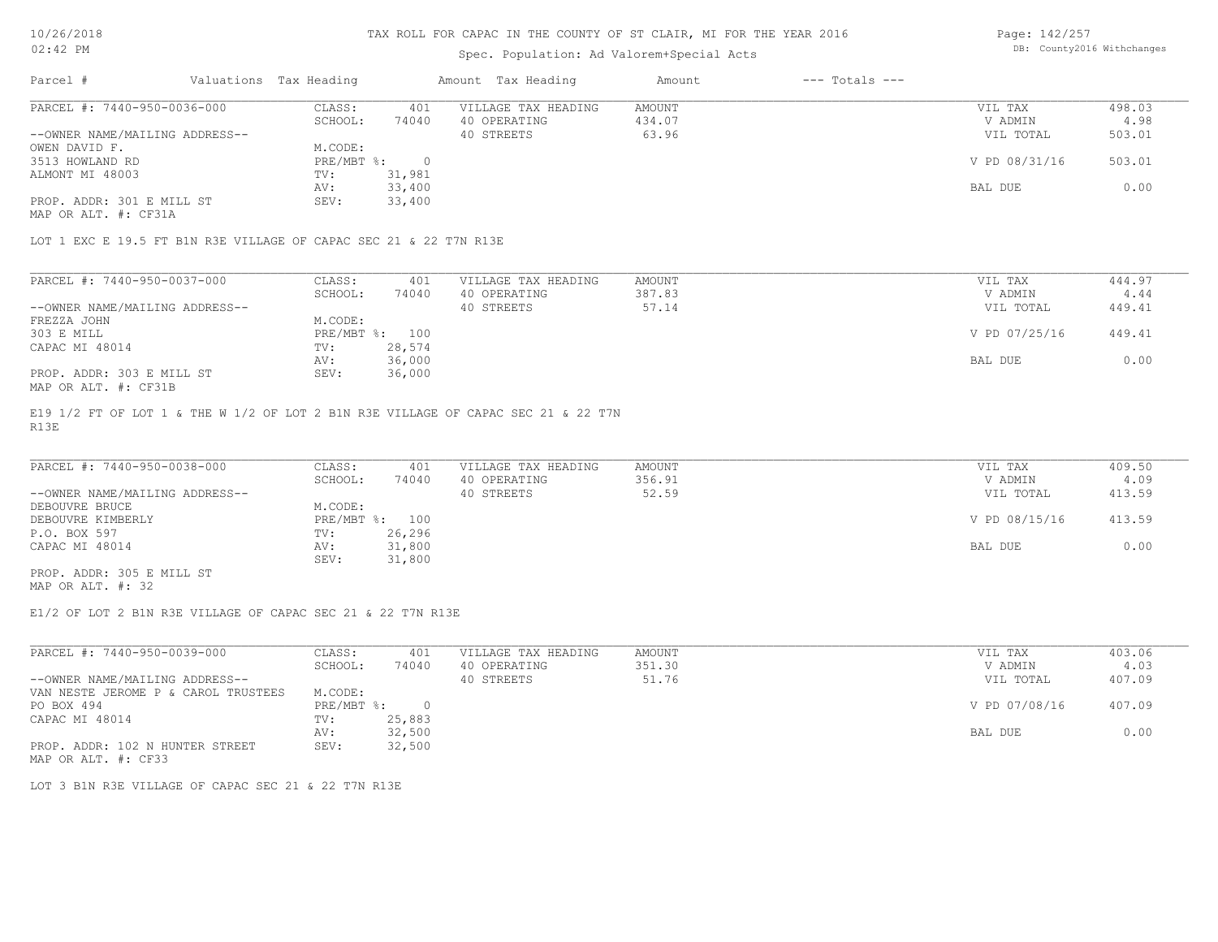## Spec. Population: Ad Valorem+Special Acts

Page: 142/257 DB: County2016 Withchanges

| Parcel #                       | Valuations Tax Heading |        | Amount Tax Heading  | Amount | $---$ Totals $---$ |               |        |
|--------------------------------|------------------------|--------|---------------------|--------|--------------------|---------------|--------|
| PARCEL #: 7440-950-0036-000    | CLASS:                 | 401    | VILLAGE TAX HEADING | AMOUNT |                    | VIL TAX       | 498.03 |
|                                | SCHOOL:                | 74040  | 40 OPERATING        | 434.07 |                    | V ADMIN       | 4.98   |
| --OWNER NAME/MAILING ADDRESS-- |                        |        | 40 STREETS          | 63.96  |                    | VIL TOTAL     | 503.01 |
| OWEN DAVID F.                  | M.CODE:                |        |                     |        |                    |               |        |
| 3513 HOWLAND RD                | $PRE/MBT$ %:           | $\Box$ |                     |        |                    | V PD 08/31/16 | 503.01 |
| ALMONT MI 48003                | TV:                    | 31,981 |                     |        |                    |               |        |
|                                | AV:                    | 33,400 |                     |        |                    | BAL DUE       | 0.00   |
| PROP. ADDR: 301 E MILL ST      | SEV:                   | 33,400 |                     |        |                    |               |        |
|                                |                        |        |                     |        |                    |               |        |

MAP OR ALT. #: CF31A

LOT 1 EXC E 19.5 FT B1N R3E VILLAGE OF CAPAC SEC 21 & 22 T7N R13E

| PARCEL #: 7440-950-0037-000    | CLASS:  | 401            | VILLAGE TAX HEADING | AMOUNT | VIL TAX       | 444.97 |
|--------------------------------|---------|----------------|---------------------|--------|---------------|--------|
|                                | SCHOOL: | 74040          | 40 OPERATING        | 387.83 | V ADMIN       | 4.44   |
| --OWNER NAME/MAILING ADDRESS-- |         |                | 40 STREETS          | 57.14  | VIL TOTAL     | 449.41 |
| FREZZA JOHN                    | M.CODE: |                |                     |        |               |        |
| 303 E MILL                     |         | PRE/MBT %: 100 |                     |        | V PD 07/25/16 | 449.41 |
| CAPAC MI 48014                 | TV:     | 28,574         |                     |        |               |        |
|                                | AV:     | 36,000         |                     |        | BAL DUE       | 0.00   |
| PROP. ADDR: 303 E MILL ST      | SEV:    | 36,000         |                     |        |               |        |
| MAP OR ALT. #: CF31B           |         |                |                     |        |               |        |

R13E E19 1/2 FT OF LOT 1 & THE W 1/2 OF LOT 2 B1N R3E VILLAGE OF CAPAC SEC 21 & 22 T7N

| PARCEL #: 7440-950-0038-000    | CLASS:  | 401            | VILLAGE TAX HEADING | AMOUNT | VIL TAX       | 409.50 |
|--------------------------------|---------|----------------|---------------------|--------|---------------|--------|
|                                | SCHOOL: | 74040          | 40 OPERATING        | 356.91 | V ADMIN       | 4.09   |
| --OWNER NAME/MAILING ADDRESS-- |         |                | 40 STREETS          | 52.59  | VIL TOTAL     | 413.59 |
| DEBOUVRE BRUCE                 | M.CODE: |                |                     |        |               |        |
| DEBOUVRE KIMBERLY              |         | PRE/MBT %: 100 |                     |        | V PD 08/15/16 | 413.59 |
| P.O. BOX 597                   | TV:     | 26,296         |                     |        |               |        |
| CAPAC MI 48014                 | AV:     | 31,800         |                     |        | BAL DUE       | 0.00   |
|                                | SEV:    | 31,800         |                     |        |               |        |
| PROP. ADDR: 305 E MILL ST      |         |                |                     |        |               |        |

MAP OR ALT. #: 32

E1/2 OF LOT 2 B1N R3E VILLAGE OF CAPAC SEC 21 & 22 T7N R13E

| PARCEL #: 7440-950-0039-000         | CLASS:     | 401    | VILLAGE TAX HEADING | AMOUNT | VIL TAX       | 403.06 |
|-------------------------------------|------------|--------|---------------------|--------|---------------|--------|
|                                     | SCHOOL:    | 74040  | 40 OPERATING        | 351.30 | V ADMIN       | 4.03   |
| --OWNER NAME/MAILING ADDRESS--      |            |        | 40 STREETS          | 51.76  | VIL TOTAL     | 407.09 |
| VAN NESTE JEROME P & CAROL TRUSTEES | M.CODE:    |        |                     |        |               |        |
| PO BOX 494                          | PRE/MBT %: |        |                     |        | V PD 07/08/16 | 407.09 |
| CAPAC MI 48014                      | TV:        | 25,883 |                     |        |               |        |
|                                     | AV:        | 32,500 |                     |        | BAL DUE       | 0.00   |
| PROP. ADDR: 102 N HUNTER STREET     | SEV:       | 32,500 |                     |        |               |        |
| MAP OR ALT. #: CF33                 |            |        |                     |        |               |        |

LOT 3 B1N R3E VILLAGE OF CAPAC SEC 21 & 22 T7N R13E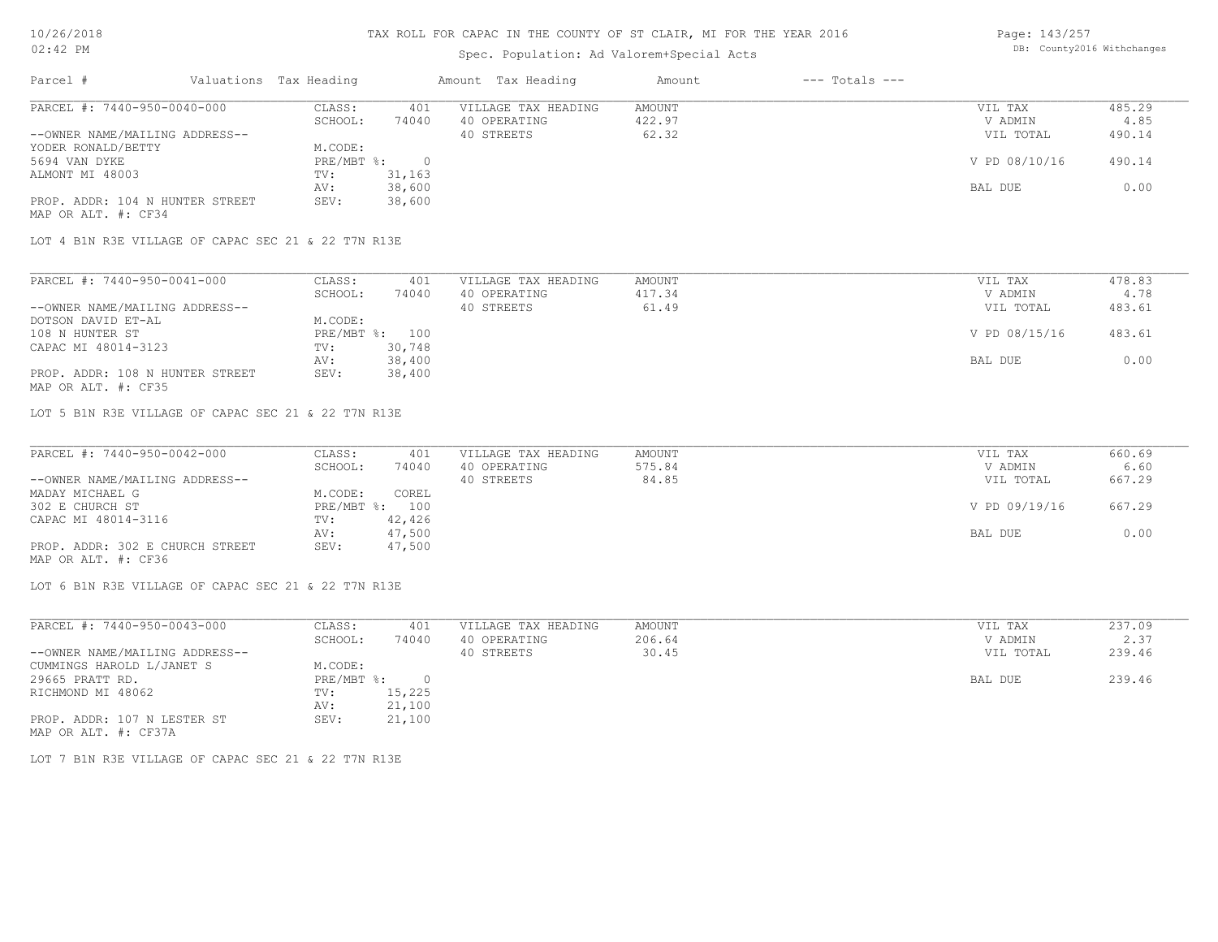## Spec. Population: Ad Valorem+Special Acts

Page: 143/257 DB: County2016 Withchanges

| Parcel #                        | Valuations Tax Heading |        | Amount Tax Heading  | Amount | $---$ Totals $---$ |               |        |
|---------------------------------|------------------------|--------|---------------------|--------|--------------------|---------------|--------|
| PARCEL #: 7440-950-0040-000     | CLASS:                 | 401    | VILLAGE TAX HEADING | AMOUNT |                    | VIL TAX       | 485.29 |
|                                 | SCHOOL:                | 74040  | 40 OPERATING        | 422.97 |                    | V ADMIN       | 4.85   |
| --OWNER NAME/MAILING ADDRESS--  |                        |        | 40 STREETS          | 62.32  |                    | VIL TOTAL     | 490.14 |
| YODER RONALD/BETTY              | M.CODE:                |        |                     |        |                    |               |        |
| 5694 VAN DYKE                   | PRE/MBT %:             |        |                     |        |                    | V PD 08/10/16 | 490.14 |
| ALMONT MI 48003                 | TV:                    | 31,163 |                     |        |                    |               |        |
|                                 | AV:                    | 38,600 |                     |        |                    | BAL DUE       | 0.00   |
| PROP. ADDR: 104 N HUNTER STREET | SEV:                   | 38,600 |                     |        |                    |               |        |
| MAP OR ALT. #: CF34             |                        |        |                     |        |                    |               |        |

LOT 4 B1N R3E VILLAGE OF CAPAC SEC 21 & 22 T7N R13E

| PARCEL #: 7440-950-0041-000     | CLASS:  | 401            | VILLAGE TAX HEADING | AMOUNT | VIL TAX       | 478.83 |
|---------------------------------|---------|----------------|---------------------|--------|---------------|--------|
|                                 | SCHOOL: | 74040          | 40 OPERATING        | 417.34 | V ADMIN       | 4.78   |
| --OWNER NAME/MAILING ADDRESS--  |         |                | 40 STREETS          | 61.49  | VIL TOTAL     | 483.61 |
| DOTSON DAVID ET-AL              | M.CODE: |                |                     |        |               |        |
| 108 N HUNTER ST                 |         | PRE/MBT %: 100 |                     |        | V PD 08/15/16 | 483.61 |
| CAPAC MI 48014-3123             | TV:     | 30,748         |                     |        |               |        |
|                                 | AV:     | 38,400         |                     |        | BAL DUE       | 0.00   |
| PROP. ADDR: 108 N HUNTER STREET | SEV:    | 38,400         |                     |        |               |        |
| MAP OR ALT. #: CF35             |         |                |                     |        |               |        |

LOT 5 B1N R3E VILLAGE OF CAPAC SEC 21 & 22 T7N R13E

| PARCEL #: 7440-950-0042-000     | CLASS:  | 401            | VILLAGE TAX HEADING | AMOUNT | VIL TAX       | 660.69 |
|---------------------------------|---------|----------------|---------------------|--------|---------------|--------|
|                                 | SCHOOL: | 74040          | 40 OPERATING        | 575.84 | V ADMIN       | 6.60   |
| --OWNER NAME/MAILING ADDRESS--  |         |                | 40 STREETS          | 84.85  | VIL TOTAL     | 667.29 |
| MADAY MICHAEL G                 | M.CODE: | COREL          |                     |        |               |        |
| 302 E CHURCH ST                 |         | PRE/MBT %: 100 |                     |        | V PD 09/19/16 | 667.29 |
| CAPAC MI 48014-3116             | TV:     | 42,426         |                     |        |               |        |
|                                 | AV:     | 47,500         |                     |        | BAL DUE       | 0.00   |
| PROP. ADDR: 302 E CHURCH STREET | SEV:    | 47,500         |                     |        |               |        |
| MAP OR ALT. #: CF36             |         |                |                     |        |               |        |

LOT 6 B1N R3E VILLAGE OF CAPAC SEC 21 & 22 T7N R13E

| PARCEL #: 7440-950-0043-000    | CLASS:     | 401    | VILLAGE TAX HEADING | AMOUNT | VIL TAX   | 237.09 |
|--------------------------------|------------|--------|---------------------|--------|-----------|--------|
|                                | SCHOOL:    | 74040  | 40 OPERATING        | 206.64 | V ADMIN   | 2.37   |
| --OWNER NAME/MAILING ADDRESS-- |            |        | 40 STREETS          | 30.45  | VIL TOTAL | 239.46 |
| CUMMINGS HAROLD L/JANET S      | M.CODE:    |        |                     |        |           |        |
| 29665 PRATT RD.                | PRE/MBT %: |        |                     |        | BAL DUE   | 239.46 |
| RICHMOND MI 48062              | TV:        | 15,225 |                     |        |           |        |
|                                | AV:        | 21,100 |                     |        |           |        |
| PROP. ADDR: 107 N LESTER ST    | SEV:       | 21,100 |                     |        |           |        |
| MAP OR ALT. #: CF37A           |            |        |                     |        |           |        |

LOT 7 B1N R3E VILLAGE OF CAPAC SEC 21 & 22 T7N R13E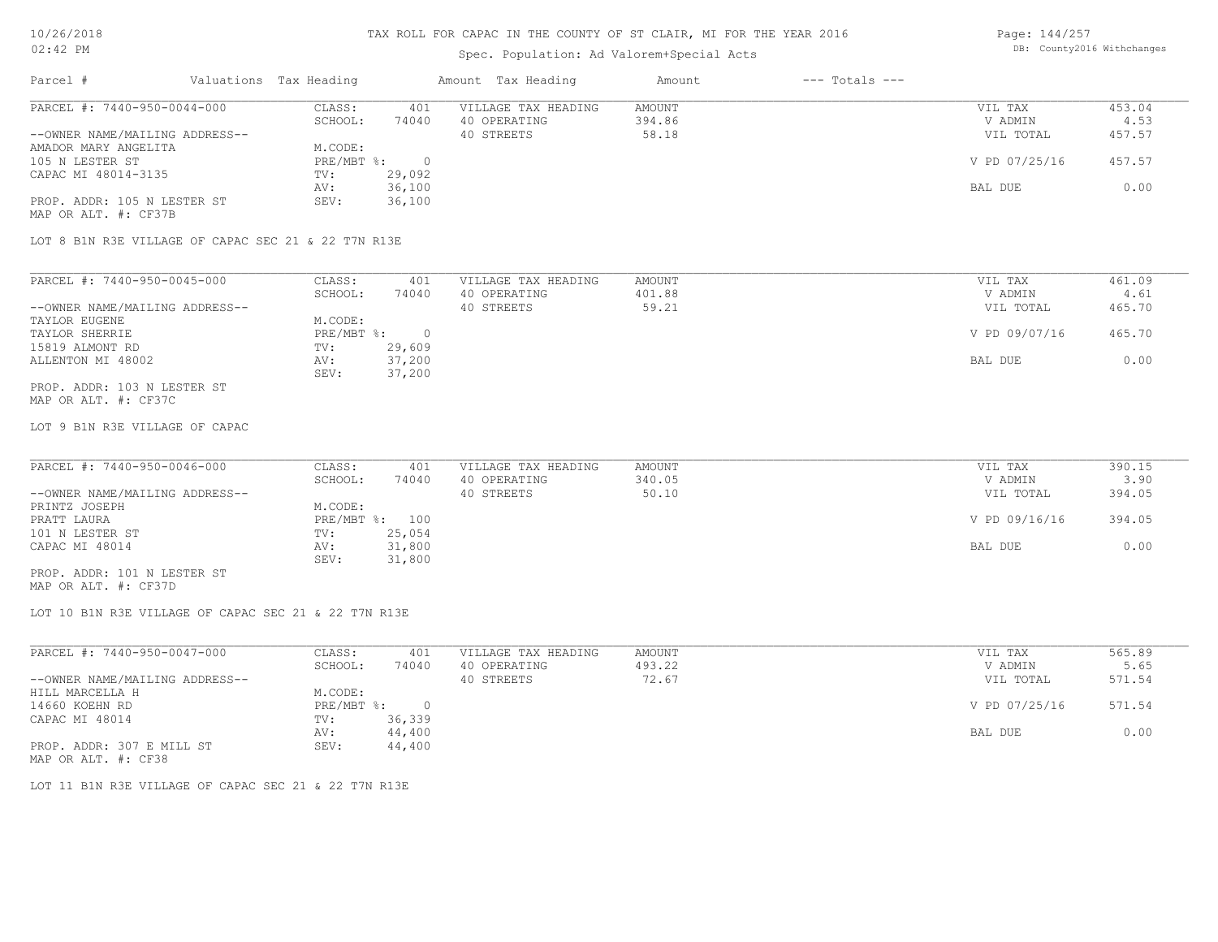## Spec. Population: Ad Valorem+Special Acts

Page: 144/257 DB: County2016 Withchanges

| Parcel #                       | Valuations Tax Heading |        | Amount Tax Heading  | Amount | $---$ Totals $---$ |               |        |
|--------------------------------|------------------------|--------|---------------------|--------|--------------------|---------------|--------|
| PARCEL #: 7440-950-0044-000    | CLASS:                 | 401    | VILLAGE TAX HEADING | AMOUNT |                    | VIL TAX       | 453.04 |
|                                | SCHOOL:                | 74040  | 40 OPERATING        | 394.86 |                    | V ADMIN       | 4.53   |
| --OWNER NAME/MAILING ADDRESS-- |                        |        | 40 STREETS          | 58.18  |                    | VIL TOTAL     | 457.57 |
| AMADOR MARY ANGELITA           | M.CODE:                |        |                     |        |                    |               |        |
| 105 N LESTER ST                | PRE/MBT %:             |        |                     |        |                    | V PD 07/25/16 | 457.57 |
| CAPAC MI 48014-3135            | TV:                    | 29,092 |                     |        |                    |               |        |
|                                | AV:                    | 36,100 |                     |        |                    | BAL DUE       | 0.00   |
| PROP. ADDR: 105 N LESTER ST    | SEV:                   | 36,100 |                     |        |                    |               |        |
| MAP OR ALT. #: CF37B           |                        |        |                     |        |                    |               |        |

LOT 8 B1N R3E VILLAGE OF CAPAC SEC 21 & 22 T7N R13E

| PARCEL #: 7440-950-0045-000    | CLASS:     | 401    | VILLAGE TAX HEADING | AMOUNT | VIL TAX       | 461.09 |
|--------------------------------|------------|--------|---------------------|--------|---------------|--------|
|                                | SCHOOL:    | 74040  | 40 OPERATING        | 401.88 | V ADMIN       | 4.61   |
| --OWNER NAME/MAILING ADDRESS-- |            |        | 40 STREETS          | 59.21  | VIL TOTAL     | 465.70 |
| TAYLOR EUGENE                  | M.CODE:    |        |                     |        |               |        |
| TAYLOR SHERRIE                 | PRE/MBT %: |        |                     |        | V PD 09/07/16 | 465.70 |
| 15819 ALMONT RD                | TV:        | 29,609 |                     |        |               |        |
| ALLENTON MI 48002              | AV:        | 37,200 |                     |        | BAL DUE       | 0.00   |
|                                | SEV:       | 37,200 |                     |        |               |        |
| PROP. ADDR: 103 N LESTER ST    |            |        |                     |        |               |        |

MAP OR ALT. #: CF37C

LOT 9 B1N R3E VILLAGE OF CAPAC

| PARCEL #: 7440-950-0046-000    | CLASS:  | 401            | VILLAGE TAX HEADING | AMOUNT | VIL TAX       | 390.15 |
|--------------------------------|---------|----------------|---------------------|--------|---------------|--------|
|                                | SCHOOL: | 74040          | 40 OPERATING        | 340.05 | V ADMIN       | 3.90   |
| --OWNER NAME/MAILING ADDRESS-- |         |                | 40 STREETS          | 50.10  | VIL TOTAL     | 394.05 |
| PRINTZ JOSEPH                  | M.CODE: |                |                     |        |               |        |
| PRATT LAURA                    |         | PRE/MBT %: 100 |                     |        | V PD 09/16/16 | 394.05 |
| 101 N LESTER ST                | TV:     | 25,054         |                     |        |               |        |
| CAPAC MI 48014                 | AV:     | 31,800         |                     |        | BAL DUE       | 0.00   |
|                                | SEV:    | 31,800         |                     |        |               |        |
| PROP. ADDR: 101 N LESTER ST    |         |                |                     |        |               |        |

MAP OR ALT. #: CF37D

LOT 10 B1N R3E VILLAGE OF CAPAC SEC 21 & 22 T7N R13E

| PARCEL #: 7440-950-0047-000    | CLASS:     | 401    | VILLAGE TAX HEADING | AMOUNT | VIL TAX       | 565.89 |
|--------------------------------|------------|--------|---------------------|--------|---------------|--------|
|                                | SCHOOL:    | 74040  | 40 OPERATING        | 493.22 | V ADMIN       | 5.65   |
| --OWNER NAME/MAILING ADDRESS-- |            |        | 40 STREETS          | 72.67  | VIL TOTAL     | 571.54 |
| HILL MARCELLA H                | M.CODE:    |        |                     |        |               |        |
| 14660 KOEHN RD                 | PRE/MBT %: |        |                     |        | V PD 07/25/16 | 571.54 |
| CAPAC MI 48014                 | TV:        | 36,339 |                     |        |               |        |
|                                | AV:        | 44,400 |                     |        | BAL DUE       | 0.00   |
| PROP. ADDR: 307 E MILL ST      | SEV:       | 44,400 |                     |        |               |        |
|                                |            |        |                     |        |               |        |

MAP OR ALT. #: CF38

LOT 11 B1N R3E VILLAGE OF CAPAC SEC 21 & 22 T7N R13E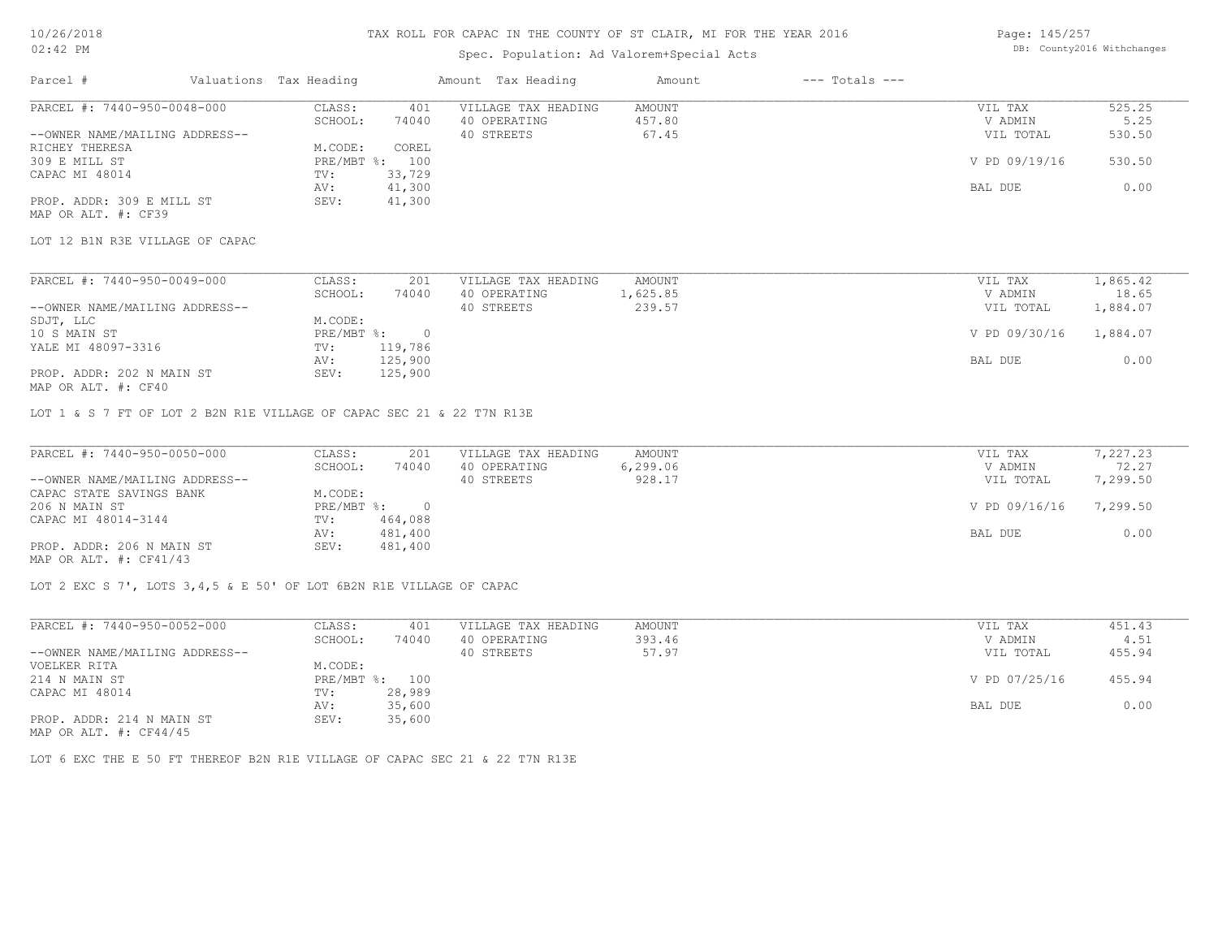### Spec. Population: Ad Valorem+Special Acts

Page: 145/257 DB: County2016 Withchanges

| Parcel #                       | Valuations Tax Heading |        | Amount Tax Heading  | Amount | $---$ Totals $---$ |               |        |
|--------------------------------|------------------------|--------|---------------------|--------|--------------------|---------------|--------|
| PARCEL #: 7440-950-0048-000    | CLASS:                 | 401    | VILLAGE TAX HEADING | AMOUNT |                    | VIL TAX       | 525.25 |
|                                | SCHOOL:                | 74040  | 40 OPERATING        | 457.80 |                    | V ADMIN       | 5.25   |
| --OWNER NAME/MAILING ADDRESS-- |                        |        | 40 STREETS          | 67.45  |                    | VIL TOTAL     | 530.50 |
| RICHEY THERESA                 | M.CODE:                | COREL  |                     |        |                    |               |        |
| 309 E MILL ST                  | PRE/MBT %: 100         |        |                     |        |                    | V PD 09/19/16 | 530.50 |
| CAPAC MI 48014                 | TV:                    | 33,729 |                     |        |                    |               |        |
|                                | AV:                    | 41,300 |                     |        |                    | BAL DUE       | 0.00   |
| PROP. ADDR: 309 E MILL ST      | SEV:                   | 41,300 |                     |        |                    |               |        |
| MAP OR ALT. #: CF39            |                        |        |                     |        |                    |               |        |

LOT 12 B1N R3E VILLAGE OF CAPAC

| PARCEL #: 7440-950-0049-000    | CLASS:     | 201     | VILLAGE TAX HEADING | AMOUNT   | VIL TAX       | 1,865.42 |
|--------------------------------|------------|---------|---------------------|----------|---------------|----------|
|                                | SCHOOL:    | 74040   | 40 OPERATING        | l,625.85 | V ADMIN       | 18.65    |
| --OWNER NAME/MAILING ADDRESS-- |            |         | 40 STREETS          | 239.57   | VIL TOTAL     | 1,884.07 |
| SDJT, LLC                      | M.CODE:    |         |                     |          |               |          |
| 10 S MAIN ST                   | PRE/MBT %: |         |                     |          | V PD 09/30/16 | 1,884.07 |
| YALE MI 48097-3316             | TV:        | 119,786 |                     |          |               |          |
|                                | AV:        | 125,900 |                     |          | BAL DUE       | 0.00     |
| PROP. ADDR: 202 N MAIN ST      | SEV:       | 125,900 |                     |          |               |          |
|                                |            |         |                     |          |               |          |

MAP OR ALT. #: CF40

LOT 1 & S 7 FT OF LOT 2 B2N R1E VILLAGE OF CAPAC SEC 21 & 22 T7N R13E

| PARCEL #: 7440-950-0050-000    | CLASS:       | 201     | VILLAGE TAX HEADING | AMOUNT   | VIL TAX       | 7,227.23 |
|--------------------------------|--------------|---------|---------------------|----------|---------------|----------|
|                                | SCHOOL:      | 74040   | 40 OPERATING        | 6,299.06 | V ADMIN       | 72.27    |
| --OWNER NAME/MAILING ADDRESS-- |              |         | 40 STREETS          | 928.17   | VIL TOTAL     | 7,299.50 |
| CAPAC STATE SAVINGS BANK       | M.CODE:      |         |                     |          |               |          |
| 206 N MAIN ST                  | $PRE/MBT$ %: |         |                     |          | V PD 09/16/16 | 7,299.50 |
| CAPAC MI 48014-3144            | TV:          | 464,088 |                     |          |               |          |
|                                | AV:          | 481,400 |                     |          | BAL DUE       | 0.00     |
| PROP. ADDR: 206 N MAIN ST      | SEV:         | 481,400 |                     |          |               |          |
| MAP OR ALT. $\#$ : CF41/43     |              |         |                     |          |               |          |

LOT 2 EXC S 7', LOTS 3,4,5 & E 50' OF LOT 6B2N R1E VILLAGE OF CAPAC

| PARCEL #: 7440-950-0052-000                | CLASS:  | 401            | VILLAGE TAX HEADING | AMOUNT | VIL TAX       | 451.43 |
|--------------------------------------------|---------|----------------|---------------------|--------|---------------|--------|
|                                            | SCHOOL: | 74040          | 40 OPERATING        | 393.46 | V ADMIN       | 4.51   |
| --OWNER NAME/MAILING ADDRESS--             |         |                | 40 STREETS          | 57.97  | VIL TOTAL     | 455.94 |
| VOELKER RITA                               | M.CODE: |                |                     |        |               |        |
| 214 N MAIN ST                              |         | PRE/MBT %: 100 |                     |        | V PD 07/25/16 | 455.94 |
| CAPAC MI 48014                             | TV:     | 28,989         |                     |        |               |        |
|                                            | AV:     | 35,600         |                     |        | BAL DUE       | 0.00   |
| PROP. ADDR: 214 N MAIN ST<br>$\frac{1}{2}$ | SEV:    | 35,600         |                     |        |               |        |

MAP OR ALT. #: CF44/45

LOT 6 EXC THE E 50 FT THEREOF B2N R1E VILLAGE OF CAPAC SEC 21 & 22 T7N R13E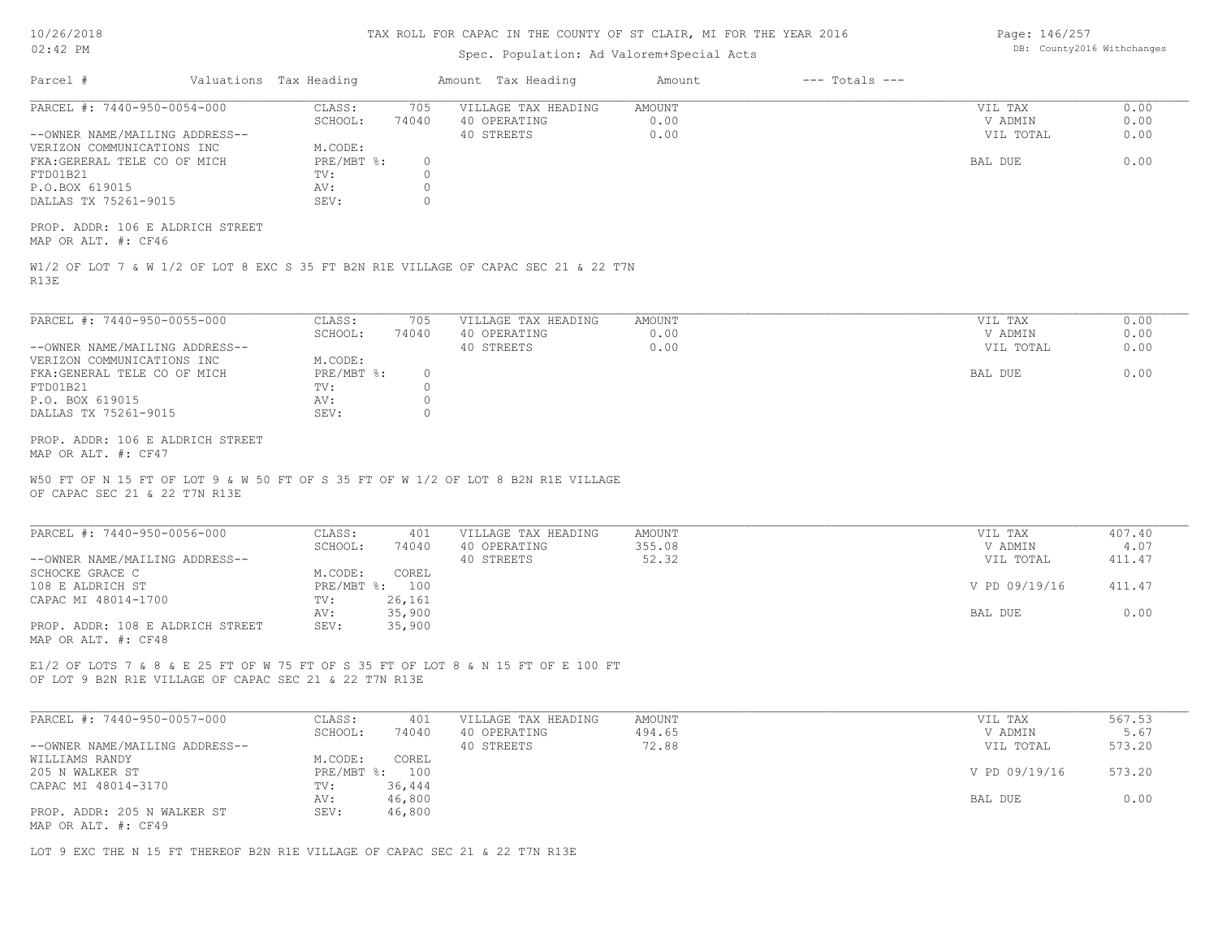| 10/26/2018 |  |
|------------|--|
| 02:42 PM   |  |

## Spec. Population: Ad Valorem+Special Acts

Page: 146/257 DB: County2016 Withchanges

| Parcel #                                                                                    | Valuations Tax Heading |                              |                                    | Amount Tax Heading                                                                  | Amount                 | $---$ Totals $---$ |                                 |                      |
|---------------------------------------------------------------------------------------------|------------------------|------------------------------|------------------------------------|-------------------------------------------------------------------------------------|------------------------|--------------------|---------------------------------|----------------------|
| PARCEL #: 7440-950-0054-000<br>--OWNER NAME/MAILING ADDRESS--<br>VERIZON COMMUNICATIONS INC |                        | CLASS:<br>SCHOOL:<br>M.CODE: | 705<br>74040                       | VILLAGE TAX HEADING<br>40 OPERATING<br>40 STREETS                                   | AMOUNT<br>0.00<br>0.00 |                    | VIL TAX<br>V ADMIN<br>VIL TOTAL | 0.00<br>0.00<br>0.00 |
| FKA: GERERAL TELE CO OF MICH<br>FTD01B21<br>P.O.BOX 619015                                  |                        | PRE/MBT %:<br>TV:<br>AV:     | $\circ$<br>$\Omega$<br>$\mathbb O$ |                                                                                     |                        |                    | BAL DUE                         | 0.00                 |
| DALLAS TX 75261-9015                                                                        |                        | SEV:                         | $\bigcap$                          |                                                                                     |                        |                    |                                 |                      |
| PROP. ADDR: 106 E ALDRICH STREET<br>MAP OR ALT. #: CF46                                     |                        |                              |                                    |                                                                                     |                        |                    |                                 |                      |
| R13E                                                                                        |                        |                              |                                    | W1/2 OF LOT 7 & W 1/2 OF LOT 8 EXC S 35 FT B2N R1E VILLAGE OF CAPAC SEC 21 & 22 T7N |                        |                    |                                 |                      |
| PARCEL #: 7440-950-0055-000                                                                 |                        | CLASS:<br>SCHOOL:            | 705<br>74040                       | VILLAGE TAX HEADING<br>40 OPERATING                                                 | AMOUNT<br>0.00         |                    | VIL TAX<br>V ADMIN              | 0.00<br>0.00         |
| --OWNER NAME/MAILING ADDRESS--                                                              |                        |                              |                                    | 40 STREETS                                                                          | 0.00                   |                    | VIL TOTAL                       | 0.00                 |
| VERIZON COMMUNICATIONS INC<br>FKA: GENERAL TELE CO OF MICH                                  |                        | M.CODE:<br>PRE/MBT %:        | $\circ$                            |                                                                                     |                        |                    | BAL DUE                         | 0.00                 |
| FTD01B21                                                                                    |                        | TV:                          | $\circ$                            |                                                                                     |                        |                    |                                 |                      |
| P.O. BOX 619015                                                                             |                        | AV:                          | $\circ$                            |                                                                                     |                        |                    |                                 |                      |
| DALLAS TX 75261-9015                                                                        |                        | SEV:                         | $\bigcap$                          |                                                                                     |                        |                    |                                 |                      |
| PROP. ADDR: 106 E ALDRICH STREET<br>MAP OR ALT. #: CF47                                     |                        |                              |                                    |                                                                                     |                        |                    |                                 |                      |
| OF CAPAC SEC 21 & 22 T7N R13E                                                               |                        |                              |                                    | W50 FT OF N 15 FT OF LOT 9 & W 50 FT OF S 35 FT OF W 1/2 OF LOT 8 B2N R1E VILLAGE   |                        |                    |                                 |                      |
| PARCEL #: 7440-950-0056-000                                                                 |                        | CLASS:<br>SCHOOL:            | 401<br>74040                       | VILLAGE TAX HEADING<br>40 OPERATING                                                 | AMOUNT<br>355.08       |                    | VIL TAX<br>V ADMIN              | 407.40<br>4.07       |
| --OWNER NAME/MAILING ADDRESS--                                                              |                        |                              |                                    | 40 STREETS                                                                          | 52.32                  |                    | VIL TOTAL                       | 411.47               |
| SCHOCKE GRACE C<br>108 E ALDRICH ST                                                         |                        | M.CODE:<br>PRE/MBT %: 100    | COREL                              |                                                                                     |                        |                    | V PD 09/19/16                   | 411.47               |
| CAPAC MI 48014-1700                                                                         |                        | TV:                          | 26, 161                            |                                                                                     |                        |                    |                                 |                      |
|                                                                                             |                        | AV:                          | 35,900                             |                                                                                     |                        |                    | BAL DUE                         | 0.00                 |
| PROP. ADDR: 108 E ALDRICH STREET<br>MAP OR ALT. #: CF48                                     |                        | SEV:                         | 35,900                             |                                                                                     |                        |                    |                                 |                      |
| OF LOT 9 B2N R1E VILLAGE OF CAPAC SEC 21 & 22 T7N R13E                                      |                        |                              |                                    | E1/2 OF LOTS 7 & 8 & E 25 FT OF W 75 FT OF S 35 FT OF LOT 8 & N 15 FT OF E 100 FT   |                        |                    |                                 |                      |
| PARCEL #: 7440-950-0057-000                                                                 |                        | CLASS:                       | 401                                | VILLAGE TAX HEADING                                                                 | AMOUNT                 |                    | VIL TAX                         | 567.53               |
| --OWNER NAME/MAILING ADDRESS--                                                              |                        | SCHOOL:                      | 74040                              | 40 OPERATING<br>40 STREETS                                                          | 494.65<br>72.88        |                    | V ADMIN<br>VIL TOTAL            | 5.67<br>573.20       |
| WILLIAMS RANDY                                                                              |                        | M.CODE:                      | COREL                              |                                                                                     |                        |                    |                                 |                      |
| 205 N WALKER ST                                                                             |                        |                              | PRE/MBT %: 100                     |                                                                                     |                        |                    | V PD 09/19/16                   | 573.20               |
| CAPAC MI 48014-3170                                                                         |                        | TV:<br>AV:                   | 36,444<br>46,800                   |                                                                                     |                        |                    | BAL DUE                         | 0.00                 |
| PROP. ADDR: 205 N WALKER ST                                                                 |                        | SEV:                         | 46,800                             |                                                                                     |                        |                    |                                 |                      |
| MAP OR ALT. #: CF49                                                                         |                        |                              |                                    |                                                                                     |                        |                    |                                 |                      |
| LOT 9 EXC THE N 15 FT THEREOF B2N R1E VILLAGE OF CAPAC SEC 21 & 22 T7N R13E                 |                        |                              |                                    |                                                                                     |                        |                    |                                 |                      |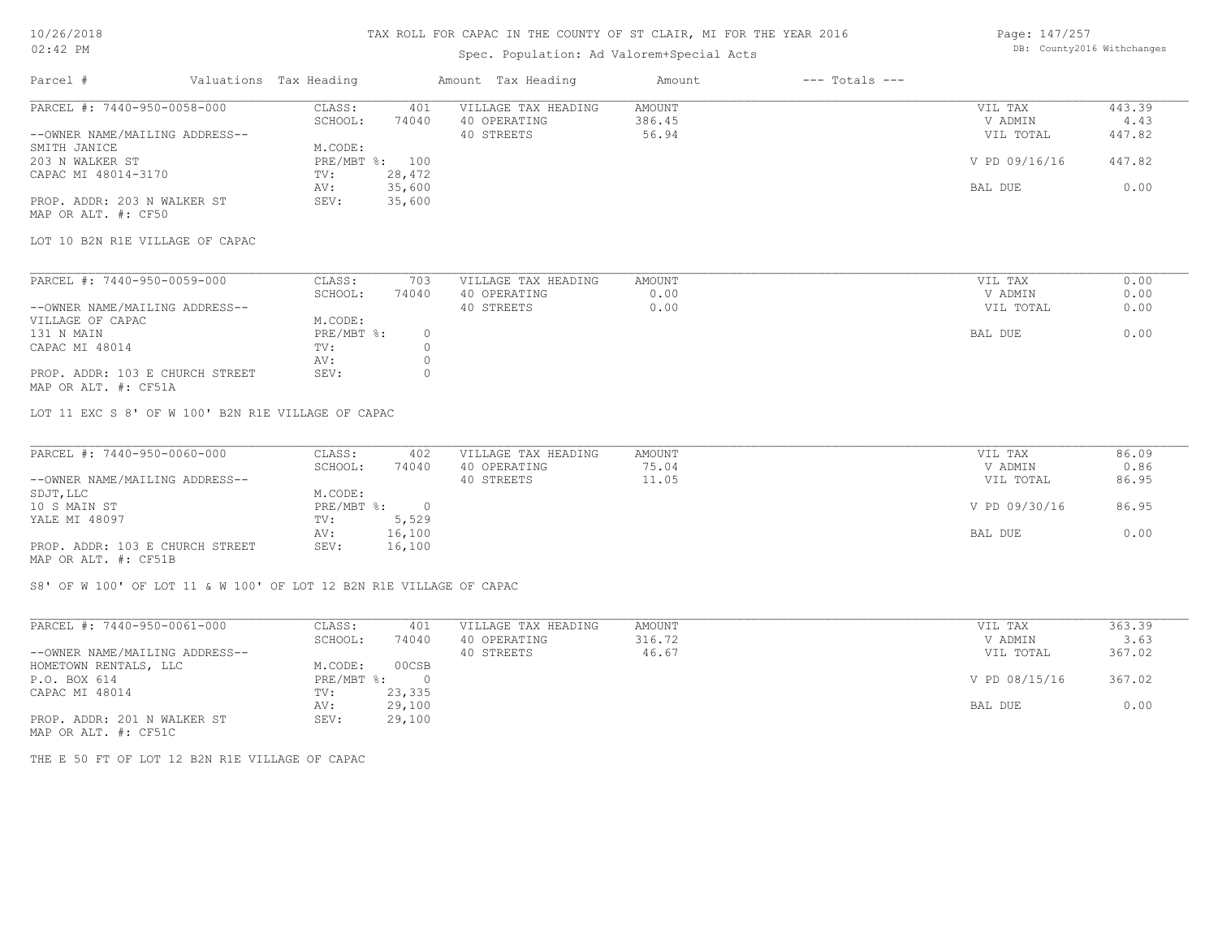### 10/26/2018 02:42 PM

### TAX ROLL FOR CAPAC IN THE COUNTY OF ST CLAIR, MI FOR THE YEAR 2016

## Spec. Population: Ad Valorem+Special Acts

| Page: 147/257 |                            |
|---------------|----------------------------|
|               | DB: County2016 Withchanges |

| Parcel #                        | Valuations Tax Heading |                | Amount Tax Heading  | Amount | $---$ Totals $---$ |               |        |
|---------------------------------|------------------------|----------------|---------------------|--------|--------------------|---------------|--------|
| PARCEL #: 7440-950-0058-000     | CLASS:                 | 401            | VILLAGE TAX HEADING | AMOUNT |                    | VIL TAX       | 443.39 |
|                                 | SCHOOL:                | 74040          | 40 OPERATING        | 386.45 |                    | V ADMIN       | 4.43   |
| --OWNER NAME/MAILING ADDRESS--  |                        |                | 40 STREETS          | 56.94  |                    | VIL TOTAL     | 447.82 |
| SMITH JANICE                    | M.CODE:                |                |                     |        |                    |               |        |
| 203 N WALKER ST                 |                        | PRE/MBT %: 100 |                     |        |                    | V PD 09/16/16 | 447.82 |
| CAPAC MI 48014-3170             | TV:                    | 28,472         |                     |        |                    |               |        |
|                                 | AV:                    | 35,600         |                     |        |                    | BAL DUE       | 0.00   |
| PROP. ADDR: 203 N WALKER ST     | SEV:                   | 35,600         |                     |        |                    |               |        |
| MAP OR ALT. #: CF50             |                        |                |                     |        |                    |               |        |
| LOT 10 B2N R1E VILLAGE OF CAPAC |                        |                |                     |        |                    |               |        |
| PARCEL #: 7440-950-0059-000     | CLASS:                 | 703            | VILLAGE TAX HEADING | AMOUNT |                    | VIL TAX       | 0.00   |
|                                 | SCHOOL:                | 74040          | 40 OPERATING        | 0.00   |                    | V ADMIN       | 0.00   |
| --OWNER NAME/MAILING ADDRESS--  |                        |                | 40 STREETS          | 0.00   |                    | VIL TOTAL     | 0.00   |
| VILLAGE OF CAPAC                | M.CODE:                |                |                     |        |                    |               |        |
| 131 N MAIN                      | PRE/MBT %:             | $\circ$        |                     |        |                    | BAL DUE       | 0.00   |
| CAPAC MI 48014                  | TV:                    |                |                     |        |                    |               |        |
|                                 |                        |                |                     |        |                    |               |        |
|                                 |                        |                |                     |        |                    |               |        |
| MAP OR ALT. #: CF51A            |                        |                |                     |        |                    |               |        |
| PROP. ADDR: 103 E CHURCH STREET | AV:<br>SEV:            |                |                     |        |                    |               |        |

LOT 11 EXC S 8' OF W 100' B2N R1E VILLAGE OF CAPAC

| PARCEL #: 7440-950-0060-000     | CLASS:     | 402    | VILLAGE TAX HEADING | AMOUNT | VIL TAX       | 86.09 |
|---------------------------------|------------|--------|---------------------|--------|---------------|-------|
|                                 | SCHOOL:    | 74040  | 40 OPERATING        | 75.04  | V ADMIN       | 0.86  |
| --OWNER NAME/MAILING ADDRESS--  |            |        | 40 STREETS          | 11.05  | VIL TOTAL     | 86.95 |
| SDJT, LLC                       | M.CODE:    |        |                     |        |               |       |
| 10 S MAIN ST                    | PRE/MBT %: |        |                     |        | V PD 09/30/16 | 86.95 |
| YALE MI 48097                   | TV:        | 5,529  |                     |        |               |       |
|                                 | AV:        | 16,100 |                     |        | BAL DUE       | 0.00  |
| PROP. ADDR: 103 E CHURCH STREET | SEV:       | 16,100 |                     |        |               |       |
| MAP OR ALT. #: CF51B            |            |        |                     |        |               |       |

S8' OF W 100' OF LOT 11 & W 100' OF LOT 12 B2N R1E VILLAGE OF CAPAC

| PARCEL #: 7440-950-0061-000    | CLASS:     | 401      | VILLAGE TAX HEADING | AMOUNT | VIL TAX       | 363.39 |
|--------------------------------|------------|----------|---------------------|--------|---------------|--------|
|                                | SCHOOL:    | 74040    | 40 OPERATING        | 316.72 | V ADMIN       | 3.63   |
| --OWNER NAME/MAILING ADDRESS-- |            |          | 40 STREETS          | 46.67  | VIL TOTAL     | 367.02 |
| HOMETOWN RENTALS, LLC          | M.CODE:    | 00CSB    |                     |        |               |        |
| P.O. BOX 614                   | PRE/MBT %: | $\Omega$ |                     |        | V PD 08/15/16 | 367.02 |
| CAPAC MI 48014                 | TV:        | 23,335   |                     |        |               |        |
|                                | AV:        | 29,100   |                     |        | BAL DUE       | 0.00   |
| PROP. ADDR: 201 N WALKER ST    | SEV:       | 29,100   |                     |        |               |        |
| MAP OR ALT. #: CF51C           |            |          |                     |        |               |        |

THE E 50 FT OF LOT 12 B2N R1E VILLAGE OF CAPAC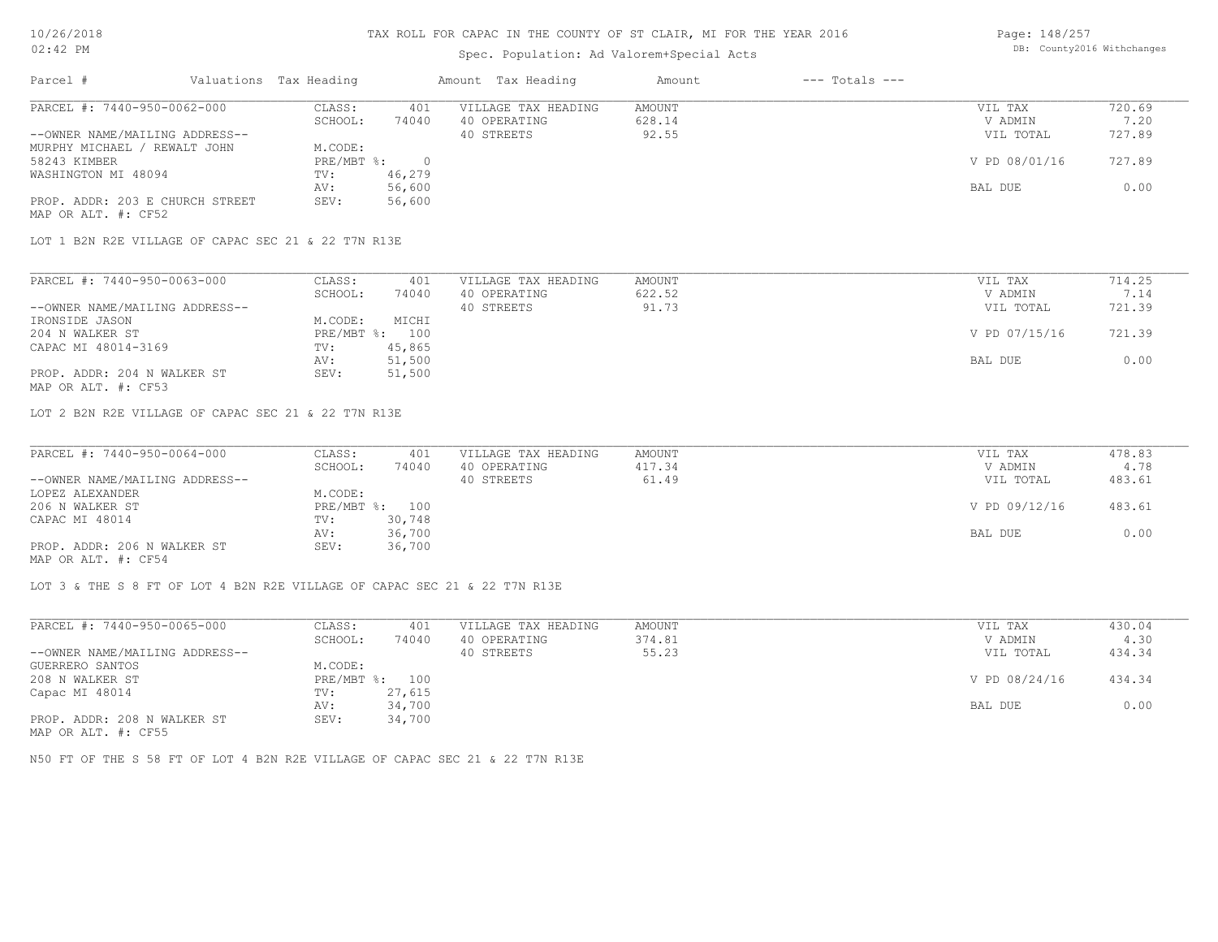### Spec. Population: Ad Valorem+Special Acts

| Page: 148/257 |                            |
|---------------|----------------------------|
|               | DB: County2016 Withchanges |

| Parcel #                        | Valuations Tax Heading |        | Amount Tax Heading  | Amount | $---$ Totals $---$ |               |        |
|---------------------------------|------------------------|--------|---------------------|--------|--------------------|---------------|--------|
| PARCEL #: 7440-950-0062-000     | CLASS:                 | 401    | VILLAGE TAX HEADING | AMOUNT |                    | VIL TAX       | 720.69 |
|                                 | SCHOOL:                | 74040  | 40 OPERATING        | 628.14 |                    | V ADMIN       | 7.20   |
| --OWNER NAME/MAILING ADDRESS--  |                        |        | 40 STREETS          | 92.55  |                    | VIL TOTAL     | 727.89 |
| MURPHY MICHAEL / REWALT JOHN    | M.CODE:                |        |                     |        |                    |               |        |
| 58243 KIMBER                    | $PRE/MBT$ %:           |        |                     |        |                    | V PD 08/01/16 | 727.89 |
| WASHINGTON MI 48094             | TV:                    | 46,279 |                     |        |                    |               |        |
|                                 | AV:                    | 56,600 |                     |        |                    | BAL DUE       | 0.00   |
| PROP. ADDR: 203 E CHURCH STREET | SEV:                   | 56,600 |                     |        |                    |               |        |
| MAP OR ALT. #: CF52             |                        |        |                     |        |                    |               |        |

LOT 1 B2N R2E VILLAGE OF CAPAC SEC 21 & 22 T7N R13E

| PARCEL #: 7440-950-0063-000    | CLASS:  | 401            | VILLAGE TAX HEADING | AMOUNT | VIL TAX       | 714.25 |
|--------------------------------|---------|----------------|---------------------|--------|---------------|--------|
|                                | SCHOOL: | 74040          | 40 OPERATING        | 622.52 | V ADMIN       |        |
| --OWNER NAME/MAILING ADDRESS-- |         |                | 40 STREETS          | 91.73  | VIL TOTAL     | 721.39 |
| IRONSIDE JASON                 | M.CODE: | MICHI          |                     |        |               |        |
| 204 N WALKER ST                |         | PRE/MBT %: 100 |                     |        | V PD 07/15/16 | 721.39 |
| CAPAC MI 48014-3169            | TV:     | 45,865         |                     |        |               |        |
|                                | AV:     | 51,500         |                     |        | BAL DUE       | 0.00   |
| PROP. ADDR: 204 N WALKER ST    | SEV:    | 51,500         |                     |        |               |        |
| MAP OR ALT. #: CF53            |         |                |                     |        |               |        |

LOT 2 B2N R2E VILLAGE OF CAPAC SEC 21 & 22 T7N R13E

| PARCEL #: 7440-950-0064-000    | CLASS:         | 401    | VILLAGE TAX HEADING | AMOUNT | VIL TAX       | 478.83 |
|--------------------------------|----------------|--------|---------------------|--------|---------------|--------|
|                                | SCHOOL:        | 74040  | 40 OPERATING        | 417.34 | V ADMIN       | 4.78   |
| --OWNER NAME/MAILING ADDRESS-- |                |        | 40 STREETS          | 61.49  | VIL TOTAL     | 483.61 |
| LOPEZ ALEXANDER                | M.CODE:        |        |                     |        |               |        |
| 206 N WALKER ST                | PRE/MBT %: 100 |        |                     |        | V PD 09/12/16 | 483.61 |
| CAPAC MI 48014                 | TV:            | 30,748 |                     |        |               |        |
|                                | AV:            | 36,700 |                     |        | BAL DUE       | 0.00   |
| PROP. ADDR: 206 N WALKER ST    | SEV:           | 36,700 |                     |        |               |        |
| $\frac{1}{2}$                  |                |        |                     |        |               |        |

MAP OR ALT. #: CF54

LOT 3 & THE S 8 FT OF LOT 4 B2N R2E VILLAGE OF CAPAC SEC 21 & 22 T7N R13E

| PARCEL #: 7440-950-0065-000    | CLASS:     | 401    | VILLAGE TAX HEADING | AMOUNT | VIL TAX       | 430.04 |
|--------------------------------|------------|--------|---------------------|--------|---------------|--------|
|                                | SCHOOL:    | 74040  | 40 OPERATING        | 374.81 | V ADMIN       | 4.30   |
| --OWNER NAME/MAILING ADDRESS-- |            |        | 40 STREETS          | 55.23  | VIL TOTAL     | 434.34 |
| GUERRERO SANTOS                | M.CODE:    |        |                     |        |               |        |
| 208 N WALKER ST                | PRE/MBT %: | 100    |                     |        | V PD 08/24/16 | 434.34 |
| Capac MI 48014                 | TV:        | 27,615 |                     |        |               |        |
|                                | AV:        | 34,700 |                     |        | BAL DUE       | 0.00   |
| PROP. ADDR: 208 N WALKER ST    | SEV:       | 34,700 |                     |        |               |        |
| $\frac{1}{2}$                  |            |        |                     |        |               |        |

MAP OR ALT. #: CF55

N50 FT OF THE S 58 FT OF LOT 4 B2N R2E VILLAGE OF CAPAC SEC 21 & 22 T7N R13E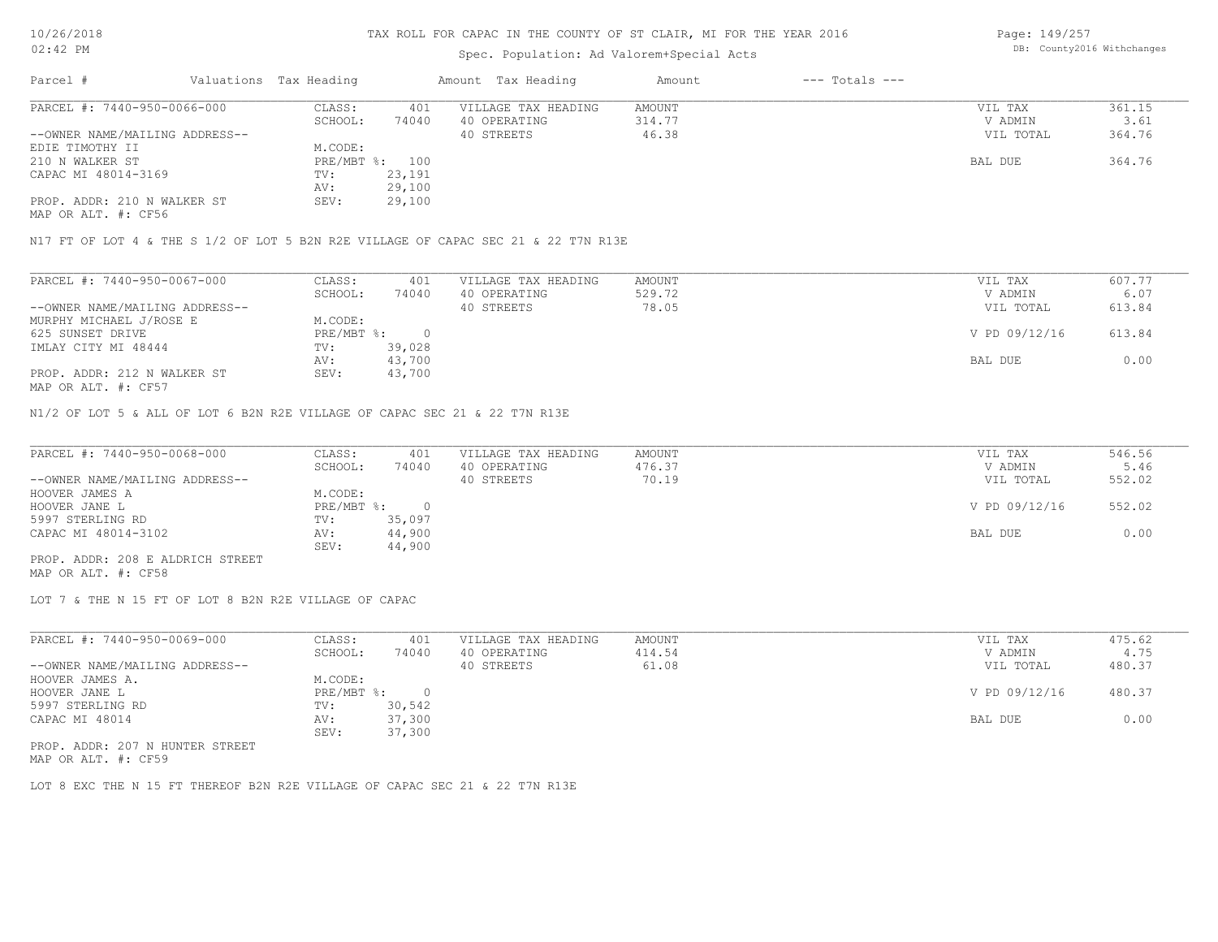## Spec. Population: Ad Valorem+Special Acts

Page: 149/257 DB: County2016 Withchanges

| Parcel #                       | Valuations Tax Heading |        | Amount Tax Heading  | Amount | $---$ Totals $---$ |           |        |
|--------------------------------|------------------------|--------|---------------------|--------|--------------------|-----------|--------|
| PARCEL #: 7440-950-0066-000    | CLASS:                 | 401    | VILLAGE TAX HEADING | AMOUNT |                    | VIL TAX   | 361.15 |
|                                | SCHOOL:                | 74040  | 40 OPERATING        | 314.77 |                    | V ADMIN   | 3.61   |
| --OWNER NAME/MAILING ADDRESS-- |                        |        | 40 STREETS          | 46.38  |                    | VIL TOTAL | 364.76 |
| EDIE TIMOTHY II                | M.CODE:                |        |                     |        |                    |           |        |
| 210 N WALKER ST                | PRE/MBT %: 100         |        |                     |        |                    | BAL DUE   | 364.76 |
| CAPAC MI 48014-3169            | TV:                    | 23,191 |                     |        |                    |           |        |
|                                | AV:                    | 29,100 |                     |        |                    |           |        |
| PROP. ADDR: 210 N WALKER ST    | SEV:                   | 29,100 |                     |        |                    |           |        |
|                                |                        |        |                     |        |                    |           |        |

MAP OR ALT. #: CF56

N17 FT OF LOT 4 & THE S 1/2 OF LOT 5 B2N R2E VILLAGE OF CAPAC SEC 21 & 22 T7N R13E

| PARCEL #: 7440-950-0067-000    | CLASS:     | 401    | VILLAGE TAX HEADING | AMOUNT | VIL TAX       | 607.77 |
|--------------------------------|------------|--------|---------------------|--------|---------------|--------|
|                                | SCHOOL:    | 74040  | 40 OPERATING        | 529.72 | V ADMIN       | 6.07   |
| --OWNER NAME/MAILING ADDRESS-- |            |        | 40 STREETS          | 78.05  | VIL TOTAL     | 613.84 |
| MURPHY MICHAEL J/ROSE E        | M.CODE:    |        |                     |        |               |        |
| 625 SUNSET DRIVE               | PRE/MBT %: |        |                     |        | V PD 09/12/16 | 613.84 |
| IMLAY CITY MI 48444            | TV:        | 39,028 |                     |        |               |        |
|                                | AV:        | 43,700 |                     |        | BAL DUE       | 0.00   |
| PROP. ADDR: 212 N WALKER ST    | SEV:       | 43,700 |                     |        |               |        |
| MAP OR ALT. #: CF57            |            |        |                     |        |               |        |

N1/2 OF LOT 5 & ALL OF LOT 6 B2N R2E VILLAGE OF CAPAC SEC 21 & 22 T7N R13E

| PARCEL #: 7440-950-0068-000      | CLASS:     | 401    | VILLAGE TAX HEADING | AMOUNT | VIL TAX       | 546.56 |
|----------------------------------|------------|--------|---------------------|--------|---------------|--------|
|                                  | SCHOOL:    | 74040  | 40 OPERATING        | 476.37 | V ADMIN       | 5.46   |
| --OWNER NAME/MAILING ADDRESS--   |            |        | 40 STREETS          | 70.19  | VIL TOTAL     | 552.02 |
| HOOVER JAMES A                   | M.CODE:    |        |                     |        |               |        |
| HOOVER JANE L                    | PRE/MBT %: |        |                     |        | V PD 09/12/16 | 552.02 |
| 5997 STERLING RD                 | TV:        | 35,097 |                     |        |               |        |
| CAPAC MI 48014-3102              | AV:        | 44,900 |                     |        | BAL DUE       | 0.00   |
|                                  | SEV:       | 44,900 |                     |        |               |        |
| PROP. ADDR: 208 E ALDRICH STREET |            |        |                     |        |               |        |

MAP OR ALT. #: CF58

LOT 7 & THE N 15 FT OF LOT 8 B2N R2E VILLAGE OF CAPAC

| PARCEL #: 7440-950-0069-000     | CLASS:     | 401    | VILLAGE TAX HEADING | AMOUNT | VIL TAX       | 475.62 |
|---------------------------------|------------|--------|---------------------|--------|---------------|--------|
|                                 | SCHOOL:    | 74040  | 40 OPERATING        | 414.54 | V ADMIN       | 4.75   |
| --OWNER NAME/MAILING ADDRESS--  |            |        | 40 STREETS          | 61.08  | VIL TOTAL     | 480.37 |
| HOOVER JAMES A.                 | M.CODE:    |        |                     |        |               |        |
| HOOVER JANE L                   | PRE/MBT %: |        |                     |        | V PD 09/12/16 | 480.37 |
| 5997 STERLING RD                | TV:        | 30,542 |                     |        |               |        |
| CAPAC MI 48014                  | AV:        | 37,300 |                     |        | BAL DUE       | 0.00   |
|                                 | SEV:       | 37,300 |                     |        |               |        |
| PROP. ADDR: 207 N HUNTER STREET |            |        |                     |        |               |        |

MAP OR ALT. #: CF59

LOT 8 EXC THE N 15 FT THEREOF B2N R2E VILLAGE OF CAPAC SEC 21 & 22 T7N R13E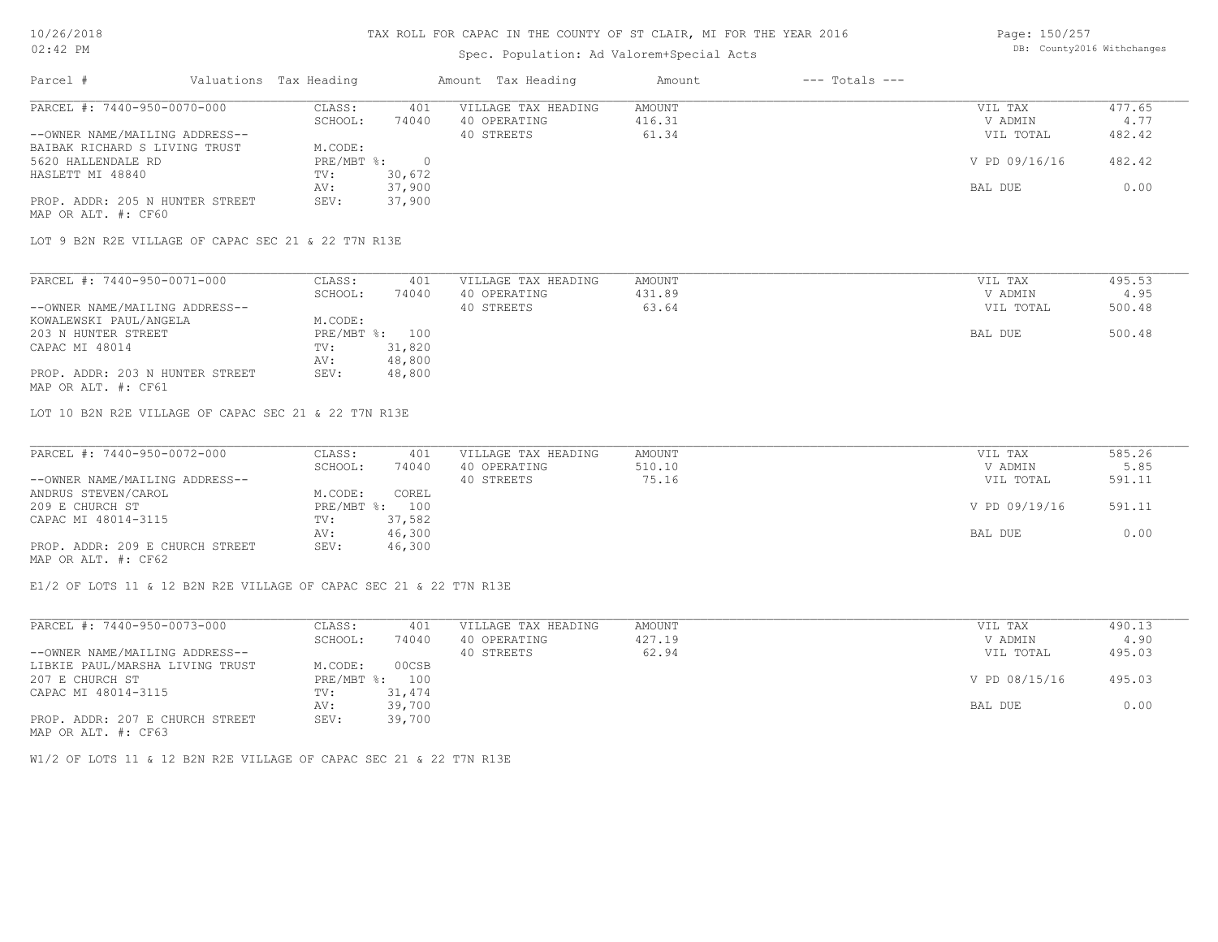### Spec. Population: Ad Valorem+Special Acts

| Page: 150/257 |                            |
|---------------|----------------------------|
|               | DB: County2016 Withchanges |

| Parcel #                        | Valuations Tax Heading |        | Amount Tax Heading  | Amount | $---$ Totals $---$ |               |        |
|---------------------------------|------------------------|--------|---------------------|--------|--------------------|---------------|--------|
| PARCEL #: 7440-950-0070-000     | CLASS:                 | 401    | VILLAGE TAX HEADING | AMOUNT |                    | VIL TAX       | 477.65 |
|                                 | SCHOOL:                | 74040  | 40 OPERATING        | 416.31 |                    | V ADMIN       | 4.77   |
| --OWNER NAME/MAILING ADDRESS--  |                        |        | 40 STREETS          | 61.34  |                    | VIL TOTAL     | 482.42 |
| BAIBAK RICHARD S LIVING TRUST   | M.CODE:                |        |                     |        |                    |               |        |
| 5620 HALLENDALE RD              | PRE/MBT %:             |        |                     |        |                    | V PD 09/16/16 | 482.42 |
| HASLETT MI 48840                | TV:                    | 30,672 |                     |        |                    |               |        |
|                                 | AV:                    | 37,900 |                     |        |                    | BAL DUE       | 0.00   |
| PROP. ADDR: 205 N HUNTER STREET | SEV:                   | 37,900 |                     |        |                    |               |        |
| MAP OR ALT. #: CF60             |                        |        |                     |        |                    |               |        |

LOT 9 B2N R2E VILLAGE OF CAPAC SEC 21 & 22 T7N R13E

| PARCEL #: 7440-950-0071-000     | CLASS:  | 401            | VILLAGE TAX HEADING | AMOUNT | VIL TAX   | 495.53 |
|---------------------------------|---------|----------------|---------------------|--------|-----------|--------|
|                                 | SCHOOL: | 74040          | 40 OPERATING        | 431.89 | V ADMIN   | 4.95   |
| --OWNER NAME/MAILING ADDRESS--  |         |                | 40 STREETS          | 63.64  | VIL TOTAL | 500.48 |
| KOWALEWSKI PAUL/ANGELA          | M.CODE: |                |                     |        |           |        |
| 203 N HUNTER STREET             |         | PRE/MBT %: 100 |                     |        | BAL DUE   | 500.48 |
| CAPAC MI 48014                  | TV:     | 31,820         |                     |        |           |        |
|                                 | AV:     | 48,800         |                     |        |           |        |
| PROP. ADDR: 203 N HUNTER STREET | SEV:    | 48,800         |                     |        |           |        |
| MAP OR ALT. #: CF61             |         |                |                     |        |           |        |

LOT 10 B2N R2E VILLAGE OF CAPAC SEC 21 & 22 T7N R13E

| PARCEL #: 7440-950-0072-000     | CLASS:     | 401    | VILLAGE TAX HEADING | AMOUNT | VIL TAX       | 585.26 |
|---------------------------------|------------|--------|---------------------|--------|---------------|--------|
|                                 | SCHOOL:    | 74040  | 40 OPERATING        | 510.10 | V ADMIN       | 5.85   |
| --OWNER NAME/MAILING ADDRESS--  |            |        | 40 STREETS          | 75.16  | VIL TOTAL     | 591.11 |
| ANDRUS STEVEN/CAROL             | M.CODE:    | COREL  |                     |        |               |        |
| 209 E CHURCH ST                 | PRE/MBT %: | 100    |                     |        | V PD 09/19/16 | 591.11 |
| CAPAC MI 48014-3115             | TV:        | 37,582 |                     |        |               |        |
|                                 | AV:        | 46,300 |                     |        | BAL DUE       | 0.00   |
| PROP. ADDR: 209 E CHURCH STREET | SEV:       | 46,300 |                     |        |               |        |
| MAP OR ALT. #: CF62             |            |        |                     |        |               |        |

 $\mathcal{L}_\mathcal{L} = \mathcal{L}_\mathcal{L} = \mathcal{L}_\mathcal{L} = \mathcal{L}_\mathcal{L} = \mathcal{L}_\mathcal{L} = \mathcal{L}_\mathcal{L} = \mathcal{L}_\mathcal{L} = \mathcal{L}_\mathcal{L} = \mathcal{L}_\mathcal{L} = \mathcal{L}_\mathcal{L} = \mathcal{L}_\mathcal{L} = \mathcal{L}_\mathcal{L} = \mathcal{L}_\mathcal{L} = \mathcal{L}_\mathcal{L} = \mathcal{L}_\mathcal{L} = \mathcal{L}_\mathcal{L} = \mathcal{L}_\mathcal{L}$ 

E1/2 OF LOTS 11 & 12 B2N R2E VILLAGE OF CAPAC SEC 21 & 22 T7N R13E

| PARCEL #: 7440-950-0073-000     | CLASS:       | 401    | VILLAGE TAX HEADING | AMOUNT | VIL TAX       | 490.13 |
|---------------------------------|--------------|--------|---------------------|--------|---------------|--------|
|                                 | SCHOOL:      | 74040  | 40 OPERATING        | 427.19 | V ADMIN       | 4.90   |
| --OWNER NAME/MAILING ADDRESS--  |              |        | 40 STREETS          | 62.94  | VIL TOTAL     | 495.03 |
| LIBKIE PAUL/MARSHA LIVING TRUST | M.CODE:      | 00CSB  |                     |        |               |        |
| 207 E CHURCH ST                 | $PRE/MBT$ %: | 100    |                     |        | V PD 08/15/16 | 495.03 |
| CAPAC MI 48014-3115             | TV:          | 31,474 |                     |        |               |        |
|                                 | AV:          | 39,700 |                     |        | BAL DUE       | 0.00   |
| PROP. ADDR: 207 E CHURCH STREET | SEV:         | 39,700 |                     |        |               |        |
| MAP OR ALT. #: CF63             |              |        |                     |        |               |        |

W1/2 OF LOTS 11 & 12 B2N R2E VILLAGE OF CAPAC SEC 21 & 22 T7N R13E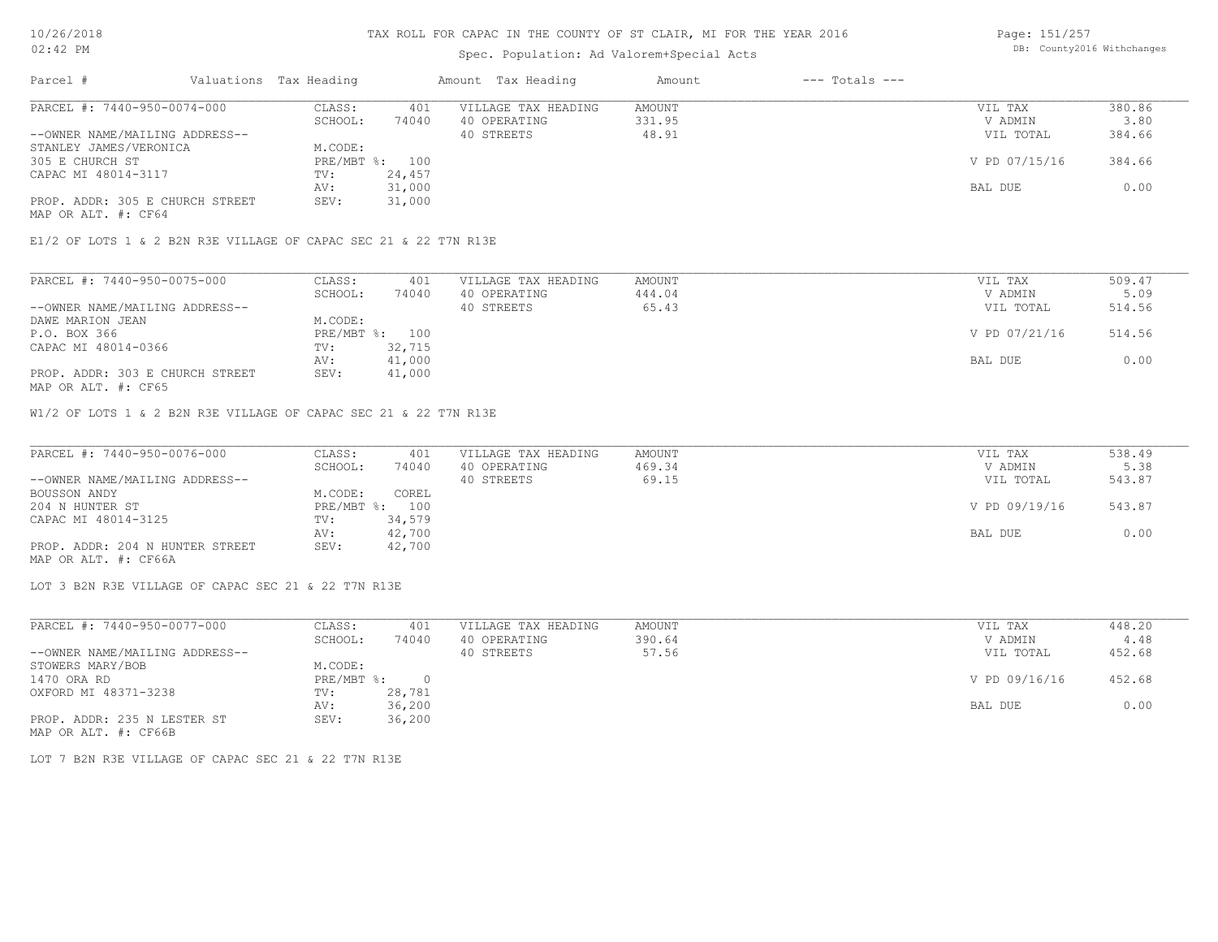### Spec. Population: Ad Valorem+Special Acts

Page: 151/257 DB: County2016 Withchanges

| Parcel #                        | Valuations Tax Heading |        | Amount Tax Heading  | Amount | $---$ Totals $---$ |               |        |
|---------------------------------|------------------------|--------|---------------------|--------|--------------------|---------------|--------|
| PARCEL #: 7440-950-0074-000     | CLASS:                 | 401    | VILLAGE TAX HEADING | AMOUNT |                    | VIL TAX       | 380.86 |
|                                 | SCHOOL:                | 74040  | 40 OPERATING        | 331.95 |                    | V ADMIN       | 3.80   |
| --OWNER NAME/MAILING ADDRESS--  |                        |        | 40 STREETS          | 48.91  |                    | VIL TOTAL     | 384.66 |
| STANLEY JAMES/VERONICA          | M.CODE:                |        |                     |        |                    |               |        |
| 305 E CHURCH ST                 | PRE/MBT %: 100         |        |                     |        |                    | V PD 07/15/16 | 384.66 |
| CAPAC MI 48014-3117             | TV:                    | 24,457 |                     |        |                    |               |        |
|                                 | AV:                    | 31,000 |                     |        |                    | BAL DUE       | 0.00   |
| PROP. ADDR: 305 E CHURCH STREET | SEV:                   | 31,000 |                     |        |                    |               |        |
| MAP OR ALT. #: CF64             |                        |        |                     |        |                    |               |        |

E1/2 OF LOTS 1 & 2 B2N R3E VILLAGE OF CAPAC SEC 21 & 22 T7N R13E

| PARCEL #: 7440-950-0075-000     | CLASS:  | 401            | VILLAGE TAX HEADING | AMOUNT | VIL TAX       | 509.47 |
|---------------------------------|---------|----------------|---------------------|--------|---------------|--------|
|                                 | SCHOOL: | 74040          | 40 OPERATING        | 444.04 | V ADMIN       | 5.09   |
| --OWNER NAME/MAILING ADDRESS--  |         |                | 40 STREETS          | 65.43  | VIL TOTAL     | 514.56 |
| DAWE MARION JEAN                | M.CODE: |                |                     |        |               |        |
| P.O. BOX 366                    |         | PRE/MBT %: 100 |                     |        | V PD 07/21/16 | 514.56 |
| CAPAC MI 48014-0366             | TV:     | 32,715         |                     |        |               |        |
|                                 | AV:     | 41,000         |                     |        | BAL DUE       | 0.00   |
| PROP. ADDR: 303 E CHURCH STREET | SEV:    | 41,000         |                     |        |               |        |
| MAP OR ALT. #: CF65             |         |                |                     |        |               |        |

W1/2 OF LOTS 1 & 2 B2N R3E VILLAGE OF CAPAC SEC 21 & 22 T7N R13E

| PARCEL #: 7440-950-0076-000     | CLASS:  | 401            | VILLAGE TAX HEADING | AMOUNT | VIL TAX       | 538.49 |
|---------------------------------|---------|----------------|---------------------|--------|---------------|--------|
|                                 | SCHOOL: | 74040          | 40 OPERATING        | 469.34 | V ADMIN       | 5.38   |
| --OWNER NAME/MAILING ADDRESS--  |         |                | 40 STREETS          | 69.15  | VIL TOTAL     | 543.87 |
| BOUSSON ANDY                    | M.CODE: | COREL          |                     |        |               |        |
| 204 N HUNTER ST                 |         | PRE/MBT %: 100 |                     |        | V PD 09/19/16 | 543.87 |
| CAPAC MI 48014-3125             | TV:     | 34,579         |                     |        |               |        |
|                                 | AV:     | 42,700         |                     |        | BAL DUE       | 0.00   |
| PROP. ADDR: 204 N HUNTER STREET | SEV:    | 42,700         |                     |        |               |        |
| MAP OR ALT. #: CF66A            |         |                |                     |        |               |        |

LOT 3 B2N R3E VILLAGE OF CAPAC SEC 21 & 22 T7N R13E

| PARCEL #: 7440-950-0077-000    | CLASS:     | 401    | VILLAGE TAX HEADING | AMOUNT | VIL TAX       | 448.20 |
|--------------------------------|------------|--------|---------------------|--------|---------------|--------|
|                                | SCHOOL:    | 74040  | 40 OPERATING        | 390.64 | V ADMIN       | 4.48   |
| --OWNER NAME/MAILING ADDRESS-- |            |        | 40 STREETS          | 57.56  | VIL TOTAL     | 452.68 |
| STOWERS MARY/BOB               | M.CODE:    |        |                     |        |               |        |
| 1470 ORA RD                    | PRE/MBT %: |        |                     |        | V PD 09/16/16 | 452.68 |
| OXFORD MI 48371-3238           | TV:        | 28,781 |                     |        |               |        |
|                                | AV:        | 36,200 |                     |        | BAL DUE       | 0.00   |
| PROP. ADDR: 235 N LESTER ST    | SEV:       | 36,200 |                     |        |               |        |
| MAP OR ALT. #: CF66B           |            |        |                     |        |               |        |

LOT 7 B2N R3E VILLAGE OF CAPAC SEC 21 & 22 T7N R13E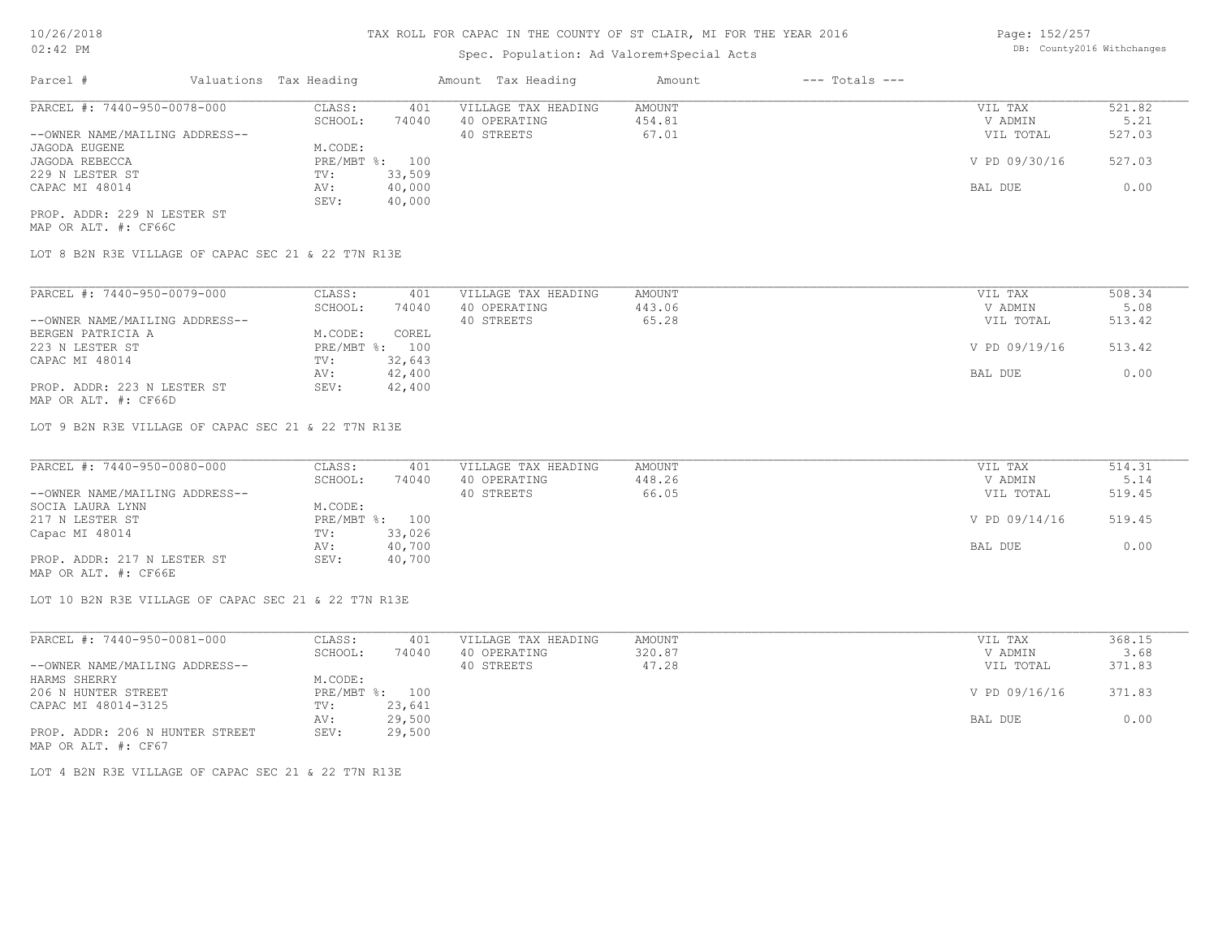## Spec. Population: Ad Valorem+Special Acts

| Page: 152/257 |                            |
|---------------|----------------------------|
|               | DB: County2016 Withchanges |

| Parcel #                       | Valuations Tax Heading |        | Amount Tax Heading  | Amount | $---$ Totals $---$ |               |        |
|--------------------------------|------------------------|--------|---------------------|--------|--------------------|---------------|--------|
| PARCEL #: 7440-950-0078-000    | CLASS:                 | 401    | VILLAGE TAX HEADING | AMOUNT |                    | VIL TAX       | 521.82 |
|                                | SCHOOL:                | 74040  | 40 OPERATING        | 454.81 |                    | V ADMIN       | 5.21   |
| --OWNER NAME/MAILING ADDRESS-- |                        |        | 40 STREETS          | 67.01  |                    | VIL TOTAL     | 527.03 |
| JAGODA EUGENE                  | M.CODE:                |        |                     |        |                    |               |        |
| JAGODA REBECCA                 | PRE/MBT %: 100         |        |                     |        |                    | V PD 09/30/16 | 527.03 |
| 229 N LESTER ST                | TV:                    | 33,509 |                     |        |                    |               |        |
| CAPAC MI 48014                 | AV:                    | 40,000 |                     |        |                    | BAL DUE       | 0.00   |
|                                | SEV:                   | 40,000 |                     |        |                    |               |        |
| PROP. ADDR: 229 N LESTER ST    |                        |        |                     |        |                    |               |        |

MAP OR ALT. #: CF66C

LOT 8 B2N R3E VILLAGE OF CAPAC SEC 21 & 22 T7N R13E

| PARCEL #: 7440-950-0079-000    | CLASS:         | 401    | VILLAGE TAX HEADING | AMOUNT | VIL TAX       | 508.34 |
|--------------------------------|----------------|--------|---------------------|--------|---------------|--------|
|                                | SCHOOL:        | 74040  | 40 OPERATING        | 443.06 | V ADMIN       | 5.08   |
| --OWNER NAME/MAILING ADDRESS-- |                |        | 40 STREETS          | 65.28  | VIL TOTAL     | 513.42 |
| BERGEN PATRICIA A              | M.CODE:        | COREL  |                     |        |               |        |
| 223 N LESTER ST                | PRE/MBT %: 100 |        |                     |        | V PD 09/19/16 | 513.42 |
| CAPAC MI 48014                 | TV:            | 32,643 |                     |        |               |        |
|                                | AV:            | 42,400 |                     |        | BAL DUE       | 0.00   |
| PROP. ADDR: 223 N LESTER ST    | SEV:           | 42,400 |                     |        |               |        |

MAP OR ALT. #: CF66D

LOT 9 B2N R3E VILLAGE OF CAPAC SEC 21 & 22 T7N R13E

| PARCEL #: 7440-950-0080-000    | CLASS:  | 401            | VILLAGE TAX HEADING | AMOUNT | VIL TAX       | 514.31 |
|--------------------------------|---------|----------------|---------------------|--------|---------------|--------|
|                                | SCHOOL: | 74040          | 40 OPERATING        | 448.26 | V ADMIN       | 5.14   |
| --OWNER NAME/MAILING ADDRESS-- |         |                | 40 STREETS          | 66.05  | VIL TOTAL     | 519.45 |
| SOCIA LAURA LYNN               | M.CODE: |                |                     |        |               |        |
| 217 N LESTER ST                |         | PRE/MBT %: 100 |                     |        | V PD 09/14/16 | 519.45 |
| Capac MI 48014                 | TV:     | 33,026         |                     |        |               |        |
|                                | AV:     | 40,700         |                     |        | BAL DUE       | 0.00   |
| PROP. ADDR: 217 N LESTER ST    | SEV:    | 40,700         |                     |        |               |        |
|                                |         |                |                     |        |               |        |

MAP OR ALT. #: CF66E

LOT 10 B2N R3E VILLAGE OF CAPAC SEC 21 & 22 T7N R13E

| PARCEL #: 7440-950-0081-000     | CLASS:  | 401            | VILLAGE TAX HEADING | AMOUNT | VIL TAX       | 368.15 |
|---------------------------------|---------|----------------|---------------------|--------|---------------|--------|
|                                 | SCHOOL: | 74040          | 40 OPERATING        | 320.87 | V ADMIN       | 3.68   |
| --OWNER NAME/MAILING ADDRESS--  |         |                | 40 STREETS          | 47.28  | VIL TOTAL     | 371.83 |
| HARMS SHERRY                    | M.CODE: |                |                     |        |               |        |
| 206 N HUNTER STREET             |         | PRE/MBT %: 100 |                     |        | V PD 09/16/16 | 371.83 |
| CAPAC MI 48014-3125             | TV:     | 23,641         |                     |        |               |        |
|                                 | AV:     | 29,500         |                     |        | BAL DUE       | 0.00   |
| PROP. ADDR: 206 N HUNTER STREET | SEV:    | 29,500         |                     |        |               |        |
| MAP OR ALT. #: CF67             |         |                |                     |        |               |        |

LOT 4 B2N R3E VILLAGE OF CAPAC SEC 21 & 22 T7N R13E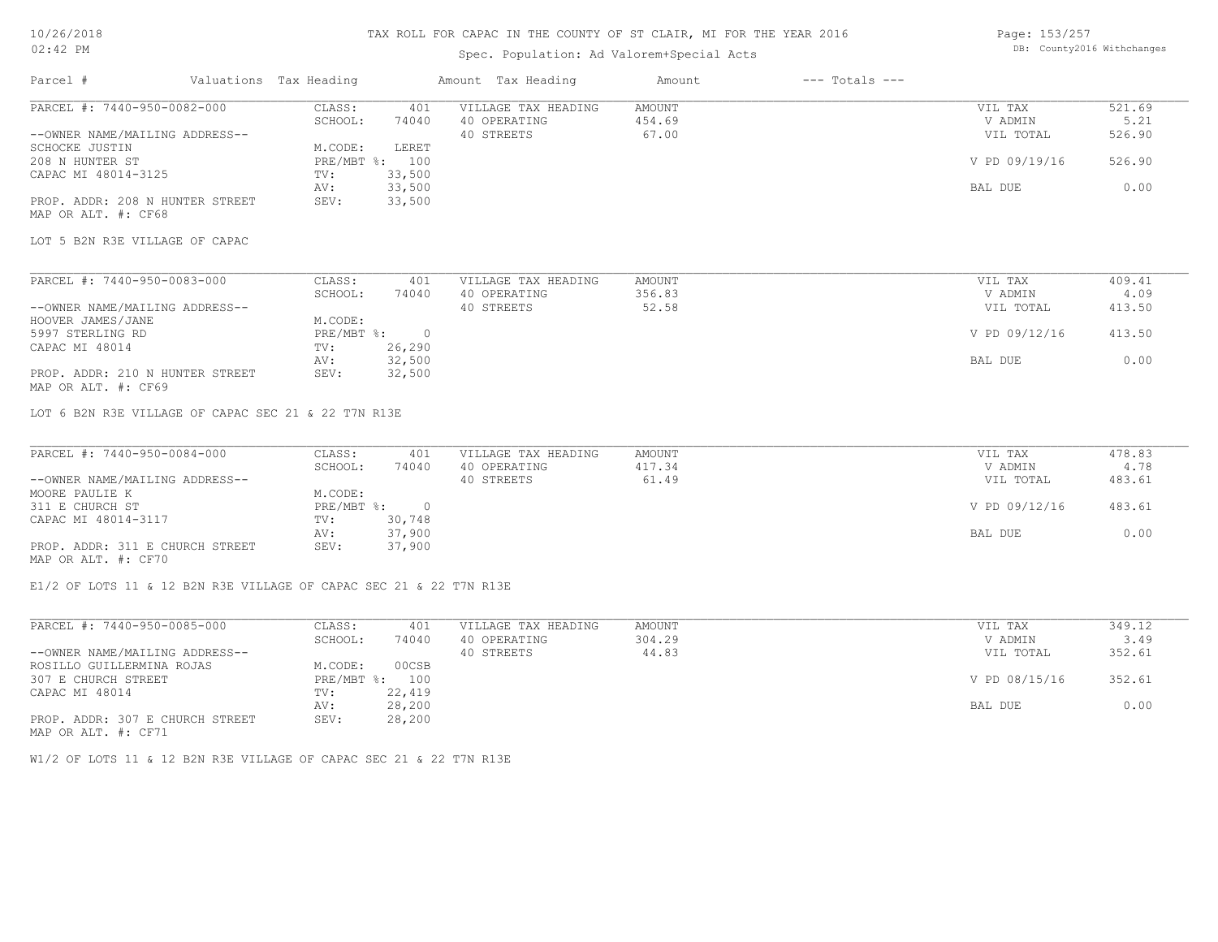### 10/26/2018 02:42 PM

## TAX ROLL FOR CAPAC IN THE COUNTY OF ST CLAIR, MI FOR THE YEAR 2016

## Spec. Population: Ad Valorem+Special Acts

Page: 153/257 DB: County2016 Withchanges

| PARCEL #: 7440-950-0082-000<br>CLASS:<br>VILLAGE TAX HEADING<br><b>AMOUNT</b><br>VIL TAX<br>401<br>74040<br>454.69<br>SCHOOL:<br>40 OPERATING<br>V ADMIN<br>40 STREETS<br>67.00<br>--OWNER NAME/MAILING ADDRESS--<br>VIL TOTAL<br>SCHOCKE JUSTIN<br>M.CODE:<br>LERET<br>208 N HUNTER ST<br>PRE/MBT %: 100<br>V PD 09/19/16<br>33,500<br>CAPAC MI 48014-3125<br>TV:<br>33,500<br>BAL DUE<br>AV:<br>PROP. ADDR: 208 N HUNTER STREET<br>SEV:<br>33,500<br>MAP OR ALT. #: CF68<br>LOT 5 B2N R3E VILLAGE OF CAPAC<br>PARCEL #: 7440-950-0083-000<br>VILLAGE TAX HEADING<br>CLASS:<br>401<br><b>AMOUNT</b><br>VIL TAX<br>SCHOOL:<br>V ADMIN<br>74040<br>40 OPERATING<br>356.83<br>52.58<br>--OWNER NAME/MAILING ADDRESS--<br>40 STREETS<br>VIL TOTAL<br>HOOVER JAMES/JANE<br>M.CODE:<br>$PRE/MBT$ %:<br>V PD 09/12/16<br>5997 STERLING RD<br>$\overline{0}$<br>26,290<br>CAPAC MI 48014<br>TV:<br>32,500<br>BAL DUE<br>AV:<br>32,500<br>PROP. ADDR: 210 N HUNTER STREET<br>SEV:<br>MAP OR ALT. #: CF69<br>LOT 6 B2N R3E VILLAGE OF CAPAC SEC 21 & 22 T7N R13E<br>PARCEL #: 7440-950-0084-000<br>CLASS:<br>401<br>VILLAGE TAX HEADING<br><b>AMOUNT</b><br>VIL TAX<br>SCHOOL:<br>40 OPERATING<br>V ADMIN<br>74040<br>417.34<br>--OWNER NAME/MAILING ADDRESS--<br>40 STREETS<br>61.49<br>VIL TOTAL<br>MOORE PAULIE K<br>M.CODE:<br>PRE/MBT %: 0<br>V PD 09/12/16<br>311 E CHURCH ST<br>CAPAC MI 48014-3117<br>30,748<br>TV: |        |         | $---$ Totals $---$ | Amount | Amount Tax Heading |        | Valuations Tax Heading | Parcel # |
|--------------------------------------------------------------------------------------------------------------------------------------------------------------------------------------------------------------------------------------------------------------------------------------------------------------------------------------------------------------------------------------------------------------------------------------------------------------------------------------------------------------------------------------------------------------------------------------------------------------------------------------------------------------------------------------------------------------------------------------------------------------------------------------------------------------------------------------------------------------------------------------------------------------------------------------------------------------------------------------------------------------------------------------------------------------------------------------------------------------------------------------------------------------------------------------------------------------------------------------------------------------------------------------------------------------------------------------------------------------------------------------------------------------------|--------|---------|--------------------|--------|--------------------|--------|------------------------|----------|
|                                                                                                                                                                                                                                                                                                                                                                                                                                                                                                                                                                                                                                                                                                                                                                                                                                                                                                                                                                                                                                                                                                                                                                                                                                                                                                                                                                                                                    | 521.69 |         |                    |        |                    |        |                        |          |
|                                                                                                                                                                                                                                                                                                                                                                                                                                                                                                                                                                                                                                                                                                                                                                                                                                                                                                                                                                                                                                                                                                                                                                                                                                                                                                                                                                                                                    | 5.21   |         |                    |        |                    |        |                        |          |
|                                                                                                                                                                                                                                                                                                                                                                                                                                                                                                                                                                                                                                                                                                                                                                                                                                                                                                                                                                                                                                                                                                                                                                                                                                                                                                                                                                                                                    | 526.90 |         |                    |        |                    |        |                        |          |
|                                                                                                                                                                                                                                                                                                                                                                                                                                                                                                                                                                                                                                                                                                                                                                                                                                                                                                                                                                                                                                                                                                                                                                                                                                                                                                                                                                                                                    |        |         |                    |        |                    |        |                        |          |
|                                                                                                                                                                                                                                                                                                                                                                                                                                                                                                                                                                                                                                                                                                                                                                                                                                                                                                                                                                                                                                                                                                                                                                                                                                                                                                                                                                                                                    | 526.90 |         |                    |        |                    |        |                        |          |
|                                                                                                                                                                                                                                                                                                                                                                                                                                                                                                                                                                                                                                                                                                                                                                                                                                                                                                                                                                                                                                                                                                                                                                                                                                                                                                                                                                                                                    |        |         |                    |        |                    |        |                        |          |
|                                                                                                                                                                                                                                                                                                                                                                                                                                                                                                                                                                                                                                                                                                                                                                                                                                                                                                                                                                                                                                                                                                                                                                                                                                                                                                                                                                                                                    | 0.00   |         |                    |        |                    |        |                        |          |
|                                                                                                                                                                                                                                                                                                                                                                                                                                                                                                                                                                                                                                                                                                                                                                                                                                                                                                                                                                                                                                                                                                                                                                                                                                                                                                                                                                                                                    |        |         |                    |        |                    |        |                        |          |
|                                                                                                                                                                                                                                                                                                                                                                                                                                                                                                                                                                                                                                                                                                                                                                                                                                                                                                                                                                                                                                                                                                                                                                                                                                                                                                                                                                                                                    |        |         |                    |        |                    |        |                        |          |
|                                                                                                                                                                                                                                                                                                                                                                                                                                                                                                                                                                                                                                                                                                                                                                                                                                                                                                                                                                                                                                                                                                                                                                                                                                                                                                                                                                                                                    |        |         |                    |        |                    |        |                        |          |
|                                                                                                                                                                                                                                                                                                                                                                                                                                                                                                                                                                                                                                                                                                                                                                                                                                                                                                                                                                                                                                                                                                                                                                                                                                                                                                                                                                                                                    | 409.41 |         |                    |        |                    |        |                        |          |
|                                                                                                                                                                                                                                                                                                                                                                                                                                                                                                                                                                                                                                                                                                                                                                                                                                                                                                                                                                                                                                                                                                                                                                                                                                                                                                                                                                                                                    | 4.09   |         |                    |        |                    |        |                        |          |
|                                                                                                                                                                                                                                                                                                                                                                                                                                                                                                                                                                                                                                                                                                                                                                                                                                                                                                                                                                                                                                                                                                                                                                                                                                                                                                                                                                                                                    | 413.50 |         |                    |        |                    |        |                        |          |
|                                                                                                                                                                                                                                                                                                                                                                                                                                                                                                                                                                                                                                                                                                                                                                                                                                                                                                                                                                                                                                                                                                                                                                                                                                                                                                                                                                                                                    |        |         |                    |        |                    |        |                        |          |
|                                                                                                                                                                                                                                                                                                                                                                                                                                                                                                                                                                                                                                                                                                                                                                                                                                                                                                                                                                                                                                                                                                                                                                                                                                                                                                                                                                                                                    | 413.50 |         |                    |        |                    |        |                        |          |
|                                                                                                                                                                                                                                                                                                                                                                                                                                                                                                                                                                                                                                                                                                                                                                                                                                                                                                                                                                                                                                                                                                                                                                                                                                                                                                                                                                                                                    |        |         |                    |        |                    |        |                        |          |
|                                                                                                                                                                                                                                                                                                                                                                                                                                                                                                                                                                                                                                                                                                                                                                                                                                                                                                                                                                                                                                                                                                                                                                                                                                                                                                                                                                                                                    | 0.00   |         |                    |        |                    |        |                        |          |
|                                                                                                                                                                                                                                                                                                                                                                                                                                                                                                                                                                                                                                                                                                                                                                                                                                                                                                                                                                                                                                                                                                                                                                                                                                                                                                                                                                                                                    |        |         |                    |        |                    |        |                        |          |
|                                                                                                                                                                                                                                                                                                                                                                                                                                                                                                                                                                                                                                                                                                                                                                                                                                                                                                                                                                                                                                                                                                                                                                                                                                                                                                                                                                                                                    |        |         |                    |        |                    |        |                        |          |
|                                                                                                                                                                                                                                                                                                                                                                                                                                                                                                                                                                                                                                                                                                                                                                                                                                                                                                                                                                                                                                                                                                                                                                                                                                                                                                                                                                                                                    |        |         |                    |        |                    |        |                        |          |
|                                                                                                                                                                                                                                                                                                                                                                                                                                                                                                                                                                                                                                                                                                                                                                                                                                                                                                                                                                                                                                                                                                                                                                                                                                                                                                                                                                                                                    | 478.83 |         |                    |        |                    |        |                        |          |
|                                                                                                                                                                                                                                                                                                                                                                                                                                                                                                                                                                                                                                                                                                                                                                                                                                                                                                                                                                                                                                                                                                                                                                                                                                                                                                                                                                                                                    | 4.78   |         |                    |        |                    |        |                        |          |
|                                                                                                                                                                                                                                                                                                                                                                                                                                                                                                                                                                                                                                                                                                                                                                                                                                                                                                                                                                                                                                                                                                                                                                                                                                                                                                                                                                                                                    | 483.61 |         |                    |        |                    |        |                        |          |
|                                                                                                                                                                                                                                                                                                                                                                                                                                                                                                                                                                                                                                                                                                                                                                                                                                                                                                                                                                                                                                                                                                                                                                                                                                                                                                                                                                                                                    |        |         |                    |        |                    |        |                        |          |
|                                                                                                                                                                                                                                                                                                                                                                                                                                                                                                                                                                                                                                                                                                                                                                                                                                                                                                                                                                                                                                                                                                                                                                                                                                                                                                                                                                                                                    | 483.61 |         |                    |        |                    |        |                        |          |
|                                                                                                                                                                                                                                                                                                                                                                                                                                                                                                                                                                                                                                                                                                                                                                                                                                                                                                                                                                                                                                                                                                                                                                                                                                                                                                                                                                                                                    |        |         |                    |        |                    |        |                        |          |
|                                                                                                                                                                                                                                                                                                                                                                                                                                                                                                                                                                                                                                                                                                                                                                                                                                                                                                                                                                                                                                                                                                                                                                                                                                                                                                                                                                                                                    | 0.00   | BAL DUE |                    |        |                    | 37,900 | AV:                    |          |
| PROP. ADDR: 311 E CHURCH STREET<br>37,900<br>SEV:<br>MAP OR ALT. #: CF70                                                                                                                                                                                                                                                                                                                                                                                                                                                                                                                                                                                                                                                                                                                                                                                                                                                                                                                                                                                                                                                                                                                                                                                                                                                                                                                                           |        |         |                    |        |                    |        |                        |          |

E1/2 OF LOTS 11 & 12 B2N R3E VILLAGE OF CAPAC SEC 21 & 22 T7N R13E

| PARCEL #: 7440-950-0085-000     | CLASS:       | 401    | VILLAGE TAX HEADING | AMOUNT | VIL TAX       | 349.12 |
|---------------------------------|--------------|--------|---------------------|--------|---------------|--------|
|                                 | SCHOOL:      | 74040  | 40 OPERATING        | 304.29 | V ADMIN       | 3.49   |
| --OWNER NAME/MAILING ADDRESS--  |              |        | 40 STREETS          | 44.83  | VIL TOTAL     | 352.61 |
| ROSILLO GUILLERMINA ROJAS       | M.CODE:      | 00CSB  |                     |        |               |        |
| 307 E CHURCH STREET             | $PRE/MBT$ %: | 100    |                     |        | V PD 08/15/16 | 352.61 |
| CAPAC MI 48014                  | TV:          | 22,419 |                     |        |               |        |
|                                 | AV:          | 28,200 |                     |        | BAL DUE       | 0.00   |
| PROP. ADDR: 307 E CHURCH STREET | SEV:         | 28,200 |                     |        |               |        |
| MAP OR ALT. #: CF71             |              |        |                     |        |               |        |

W1/2 OF LOTS 11 & 12 B2N R3E VILLAGE OF CAPAC SEC 21 & 22 T7N R13E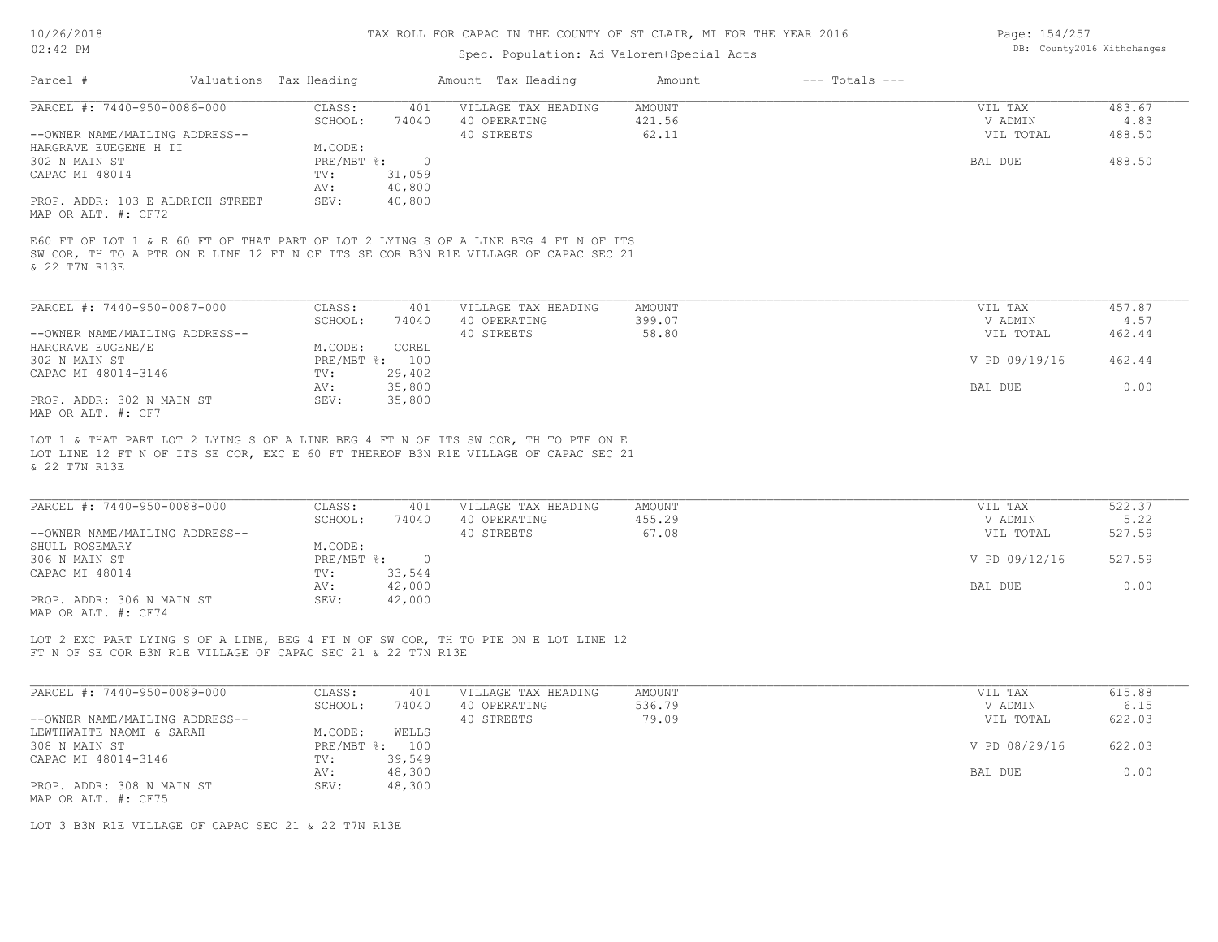## Spec. Population: Ad Valorem+Special Acts

| Page: 154/257 |                            |
|---------------|----------------------------|
|               | DB: County2016 Withchanges |

| Parcel #                                                |  | Valuations Tax Heading |                | Amount Tax Heading                                                                                                                                                         | Amount        | $---$ Totals $---$ |               |        |
|---------------------------------------------------------|--|------------------------|----------------|----------------------------------------------------------------------------------------------------------------------------------------------------------------------------|---------------|--------------------|---------------|--------|
| PARCEL #: 7440-950-0086-000                             |  | CLASS:                 | 401            | VILLAGE TAX HEADING                                                                                                                                                        | <b>AMOUNT</b> |                    | VIL TAX       | 483.67 |
|                                                         |  | SCHOOL:                | 74040          | 40 OPERATING                                                                                                                                                               | 421.56        |                    | V ADMIN       | 4.83   |
| --OWNER NAME/MAILING ADDRESS--                          |  |                        |                | 40 STREETS                                                                                                                                                                 | 62.11         |                    | VIL TOTAL     | 488.50 |
| HARGRAVE EUEGENE H II                                   |  | M.CODE:                |                |                                                                                                                                                                            |               |                    |               |        |
| 302 N MAIN ST                                           |  | $PRE/MBT$ %:           | $\overline{0}$ |                                                                                                                                                                            |               |                    | BAL DUE       | 488.50 |
| CAPAC MI 48014                                          |  | TV:                    | 31,059         |                                                                                                                                                                            |               |                    |               |        |
|                                                         |  | AV:                    | 40,800         |                                                                                                                                                                            |               |                    |               |        |
| PROP. ADDR: 103 E ALDRICH STREET<br>MAP OR ALT. #: CF72 |  | SEV:                   | 40,800         |                                                                                                                                                                            |               |                    |               |        |
| & 22 T7N R13E                                           |  |                        |                | E60 FT OF LOT 1 & E 60 FT OF THAT PART OF LOT 2 LYING S OF A LINE BEG 4 FT N OF ITS<br>SW COR, TH TO A PTE ON E LINE 12 FT N OF ITS SE COR B3N R1E VILLAGE OF CAPAC SEC 21 |               |                    |               |        |
| PARCEL #: 7440-950-0087-000                             |  | CLASS:                 | 401            | VILLAGE TAX HEADING                                                                                                                                                        | <b>AMOUNT</b> |                    | VIL TAX       | 457.87 |
|                                                         |  | SCHOOL:                | 74040          | 40 OPERATING                                                                                                                                                               | 399.07        |                    | V ADMIN       | 4.57   |
| --OWNER NAME/MAILING ADDRESS--                          |  |                        |                | 40 STREETS                                                                                                                                                                 | 58.80         |                    | VIL TOTAL     | 462.44 |
| HARGRAVE EUGENE/E                                       |  | M.CODE:                | COREL          |                                                                                                                                                                            |               |                    |               |        |
| 302 N MAIN ST                                           |  |                        | PRE/MBT %: 100 |                                                                                                                                                                            |               |                    | V PD 09/19/16 | 462.44 |
|                                                         |  |                        |                |                                                                                                                                                                            |               |                    |               |        |
| CAPAC MI 48014-3146                                     |  | TV:                    | 29,402         |                                                                                                                                                                            |               |                    |               |        |
|                                                         |  | AV:                    | 35,800         |                                                                                                                                                                            |               |                    | BAL DUE       | 0.00   |
| PROP. ADDR: 302 N MAIN ST                               |  | SEV:                   | 35,800         |                                                                                                                                                                            |               |                    |               |        |
| MAP OR ALT. #: CF7                                      |  |                        |                |                                                                                                                                                                            |               |                    |               |        |
| & 22 T7N R13E                                           |  |                        |                | LOT 1 & THAT PART LOT 2 LYING S OF A LINE BEG 4 FT N OF ITS SW COR, TH TO PTE ON E<br>LOT LINE 12 FT N OF ITS SE COR, EXC E 60 FT THEREOF B3N R1E VILLAGE OF CAPAC SEC 21  |               |                    |               |        |
| PARCEL #: 7440-950-0088-000                             |  | CLASS:                 | 401            | VILLAGE TAX HEADING                                                                                                                                                        | <b>AMOUNT</b> |                    | VIL TAX       | 522.37 |
|                                                         |  | SCHOOL:                | 74040          | 40 OPERATING                                                                                                                                                               | 455.29        |                    | V ADMIN       | 5.22   |
| --OWNER NAME/MAILING ADDRESS--                          |  |                        |                | 40 STREETS                                                                                                                                                                 | 67.08         |                    | VIL TOTAL     | 527.59 |
| SHULL ROSEMARY                                          |  | M.CODE:                |                |                                                                                                                                                                            |               |                    |               |        |
| 306 N MAIN ST                                           |  | $PRE/MBT$ %:           | $\overline{0}$ |                                                                                                                                                                            |               |                    | V PD 09/12/16 | 527.59 |
| CAPAC MI 48014                                          |  | TV:                    | 33,544         |                                                                                                                                                                            |               |                    |               |        |
|                                                         |  | AV:                    | 42,000         |                                                                                                                                                                            |               |                    | BAL DUE       | 0.00   |
| PROP. ADDR: 306 N MAIN ST                               |  | SEV:                   | 42,000         |                                                                                                                                                                            |               |                    |               |        |
|                                                         |  |                        |                |                                                                                                                                                                            |               |                    |               |        |
| MAP OR ALT. #: CF74                                     |  |                        |                |                                                                                                                                                                            |               |                    |               |        |

FT N OF SE COR B3N R1E VILLAGE OF CAPAC SEC 21 & 22 T7N R13E LOT 2 EXC PART LYING S OF A LINE, BEG 4 FT N OF SW COR, TH TO PTE ON E LOT LINE 12

| PARCEL #: 7440-950-0089-000    | CLASS:       | 401    | VILLAGE TAX HEADING | AMOUNT | VIL TAX       | 615.88 |
|--------------------------------|--------------|--------|---------------------|--------|---------------|--------|
|                                | SCHOOL:      | 74040  | 40 OPERATING        | 536.79 | V ADMIN       | 6.15   |
| --OWNER NAME/MAILING ADDRESS-- |              |        | 40 STREETS          | 79.09  | VIL TOTAL     | 622.03 |
| LEWTHWAITE NAOMI & SARAH       | M.CODE:      | WELLS  |                     |        |               |        |
| 308 N MAIN ST                  | $PRE/MBT$ %: | 100    |                     |        | V PD 08/29/16 | 622.03 |
| CAPAC MI 48014-3146            | TV:          | 39,549 |                     |        |               |        |
|                                | AV:          | 48,300 |                     |        | BAL DUE       | 0.00   |
| PROP. ADDR: 308 N MAIN ST      | SEV:         | 48,300 |                     |        |               |        |
| MAP OR ALT. #: CF75            |              |        |                     |        |               |        |

LOT 3 B3N R1E VILLAGE OF CAPAC SEC 21 & 22 T7N R13E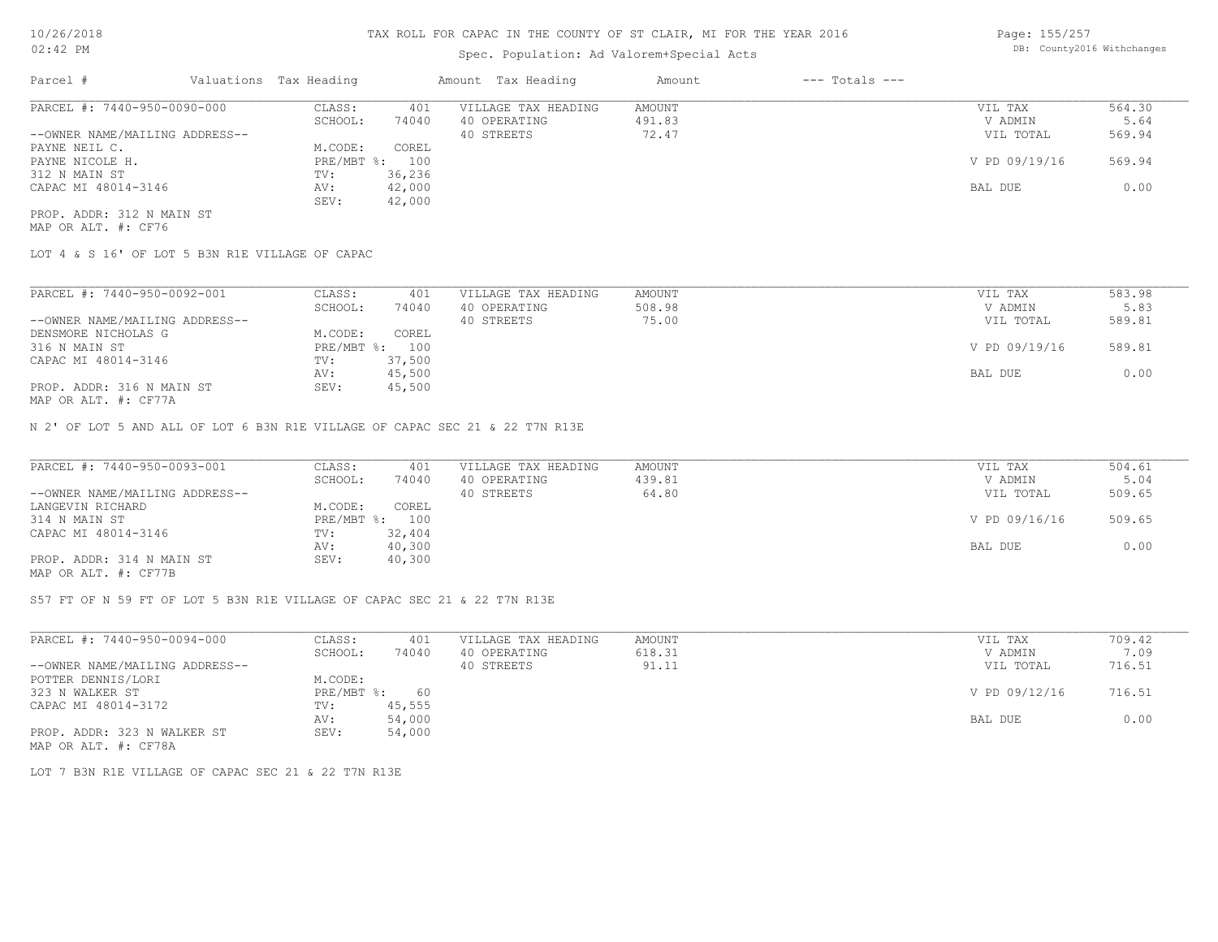## Spec. Population: Ad Valorem+Special Acts

Page: 155/257 DB: County2016 Withchanges

| PARCEL #: 7440-950-0090-000<br>AMOUNT<br>VIL TAX<br>CLASS:<br>401<br>VILLAGE TAX HEADING | 564.30 |
|------------------------------------------------------------------------------------------|--------|
| 74040<br>SCHOOL:<br>V ADMIN<br>40 OPERATING<br>491.83                                    | 5.64   |
| --OWNER NAME/MAILING ADDRESS--<br>72.47<br>VIL TOTAL<br>40 STREETS                       | 569.94 |
| PAYNE NEIL C.<br>COREL<br>M.CODE:                                                        |        |
| V PD 09/19/16<br>PRE/MBT %: 100<br>PAYNE NICOLE H.                                       | 569.94 |
| 312 N MAIN ST<br>36,236<br>TV:                                                           |        |
| CAPAC MI 48014-3146<br>42,000<br>BAL DUE<br>AV:                                          | 0.00   |
| 42,000<br>SEV:                                                                           |        |
| PROP. ADDR: 312 N MAIN ST                                                                |        |

MAP OR ALT. #: CF76

LOT 4 & S 16' OF LOT 5 B3N R1E VILLAGE OF CAPAC

| PARCEL #: 7440-950-0092-001                               | CLASS:     | 401    | VILLAGE TAX HEADING | AMOUNT | VIL TAX       | 583.98 |
|-----------------------------------------------------------|------------|--------|---------------------|--------|---------------|--------|
|                                                           | SCHOOL:    | 74040  | 40 OPERATING        | 508.98 | V ADMIN       | 5.83   |
| --OWNER NAME/MAILING ADDRESS--                            |            |        | 40 STREETS          | 75.00  | VIL TOTAL     | 589.81 |
| DENSMORE NICHOLAS G                                       | M.CODE:    | COREL  |                     |        |               |        |
| 316 N MAIN ST                                             | PRE/MBT %: | 100    |                     |        | V PD 09/19/16 | 589.81 |
| CAPAC MI 48014-3146                                       | TV:        | 37,500 |                     |        |               |        |
|                                                           | AV:        | 45,500 |                     |        | BAL DUE       | 0.00   |
| PROP. ADDR: 316 N MAIN ST<br>$MAD$ $CD$ $ATH$ $L$ $CDT72$ | SEV:       | 45,500 |                     |        |               |        |

MAP OR ALT. #: CF77A

N 2' OF LOT 5 AND ALL OF LOT 6 B3N R1E VILLAGE OF CAPAC SEC 21 & 22 T7N R13E

| PARCEL #: 7440-950-0093-001                           | CLASS:  | 401            | VILLAGE TAX HEADING | AMOUNT | VIL TAX       | 504.61 |
|-------------------------------------------------------|---------|----------------|---------------------|--------|---------------|--------|
|                                                       | SCHOOL: | 74040          | 40 OPERATING        | 439.81 | V ADMIN       | 5.04   |
| --OWNER NAME/MAILING ADDRESS--                        |         |                | 40 STREETS          | 64.80  | VIL TOTAL     | 509.65 |
| LANGEVIN RICHARD                                      | M.CODE: | COREL          |                     |        |               |        |
| 314 N MAIN ST                                         |         | PRE/MBT %: 100 |                     |        | V PD 09/16/16 | 509.65 |
| CAPAC MI 48014-3146                                   | TV:     | 32,404         |                     |        |               |        |
|                                                       | AV:     | 40,300         |                     |        | BAL DUE       | 0.00   |
| PROP. ADDR: 314 N MAIN ST                             | SEV:    | 40,300         |                     |        |               |        |
| $\cdots$ $\cdots$ $\cdots$ $\cdots$ $\cdots$ $\cdots$ |         |                |                     |        |               |        |

MAP OR ALT. #: CF77B

S57 FT OF N 59 FT OF LOT 5 B3N R1E VILLAGE OF CAPAC SEC 21 & 22 T7N R13E

| PARCEL #: 7440-950-0094-000    | CLASS:       | 401    | VILLAGE TAX HEADING | AMOUNT | VIL TAX       | 709.42 |
|--------------------------------|--------------|--------|---------------------|--------|---------------|--------|
|                                | SCHOOL:      | 74040  | 40 OPERATING        | 618.31 | V ADMIN       | 7.09   |
| --OWNER NAME/MAILING ADDRESS-- |              |        | 40 STREETS          | 91.11  | VIL TOTAL     | 716.51 |
| POTTER DENNIS/LORI             | M.CODE:      |        |                     |        |               |        |
| 323 N WALKER ST                | $PRE/MBT$ %: | 60     |                     |        | V PD 09/12/16 | 716.51 |
| CAPAC MI 48014-3172            | TV:          | 45,555 |                     |        |               |        |
|                                | AV:          | 54,000 |                     |        | BAL DUE       | 0.00   |
| PROP. ADDR: 323 N WALKER ST    | SEV:         | 54,000 |                     |        |               |        |
| MAP OR ALT. #: CF78A           |              |        |                     |        |               |        |

LOT 7 B3N R1E VILLAGE OF CAPAC SEC 21 & 22 T7N R13E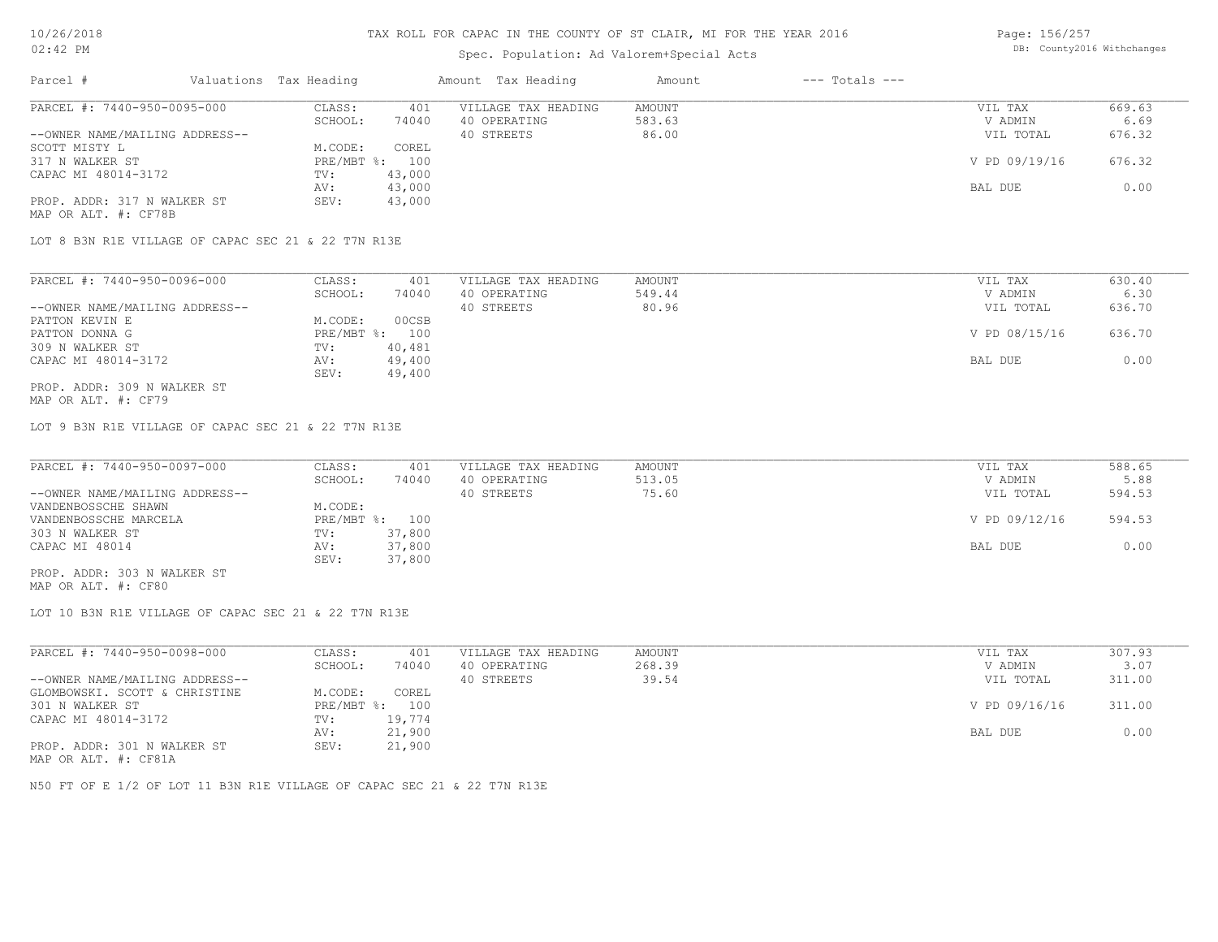### Spec. Population: Ad Valorem+Special Acts

| Page: 156/257 |                            |
|---------------|----------------------------|
|               | DB: County2016 Withchanges |

| Parcel #                       | Valuations Tax Heading |        | Amount Tax Heading  | Amount | $---$ Totals $---$ |               |        |
|--------------------------------|------------------------|--------|---------------------|--------|--------------------|---------------|--------|
| PARCEL #: 7440-950-0095-000    | CLASS:                 | 401    | VILLAGE TAX HEADING | AMOUNT |                    | VIL TAX       | 669.63 |
|                                | SCHOOL:                | 74040  | 40 OPERATING        | 583.63 |                    | V ADMIN       | 6.69   |
| --OWNER NAME/MAILING ADDRESS-- |                        |        | 40 STREETS          | 86.00  |                    | VIL TOTAL     | 676.32 |
| SCOTT MISTY L                  | M.CODE:                | COREL  |                     |        |                    |               |        |
| 317 N WALKER ST                | $PRE/MBT$ %:           | 100    |                     |        |                    | V PD 09/19/16 | 676.32 |
| CAPAC MI 48014-3172            | TV:                    | 43,000 |                     |        |                    |               |        |
|                                | AV:                    | 43,000 |                     |        |                    | BAL DUE       | 0.00   |
| PROP. ADDR: 317 N WALKER ST    | SEV:                   | 43,000 |                     |        |                    |               |        |
| MAP OR ALT. #: CF78B           |                        |        |                     |        |                    |               |        |

LOT 8 B3N R1E VILLAGE OF CAPAC SEC 21 & 22 T7N R13E

| PARCEL #: 7440-950-0096-000    | CLASS:  | 401            | VILLAGE TAX HEADING | AMOUNT | VIL TAX       | 630.40 |
|--------------------------------|---------|----------------|---------------------|--------|---------------|--------|
|                                | SCHOOL: | 74040          | 40 OPERATING        | 549.44 | V ADMIN       | 6.30   |
| --OWNER NAME/MAILING ADDRESS-- |         |                | 40 STREETS          | 80.96  | VIL TOTAL     | 636.70 |
| PATTON KEVIN E                 | M.CODE: | 00CSB          |                     |        |               |        |
| PATTON DONNA G                 |         | PRE/MBT %: 100 |                     |        | V PD 08/15/16 | 636.70 |
| 309 N WALKER ST                | TV:     | 40,481         |                     |        |               |        |
| CAPAC MI 48014-3172            | AV:     | 49,400         |                     |        | BAL DUE       | 0.00   |
|                                | SEV:    | 49,400         |                     |        |               |        |
| PROP. ADDR: 309 N WALKER ST    |         |                |                     |        |               |        |

MAP OR ALT. #: CF79

LOT 9 B3N R1E VILLAGE OF CAPAC SEC 21 & 22 T7N R13E

| PARCEL #: 7440-950-0097-000    | CLASS:  | 401            | VILLAGE TAX HEADING | AMOUNT | VIL TAX       | 588.65 |
|--------------------------------|---------|----------------|---------------------|--------|---------------|--------|
|                                | SCHOOL: | 74040          | 40 OPERATING        | 513.05 | V ADMIN       | 5.88   |
| --OWNER NAME/MAILING ADDRESS-- |         |                | 40 STREETS          | 75.60  | VIL TOTAL     | 594.53 |
| VANDENBOSSCHE SHAWN            | M.CODE: |                |                     |        |               |        |
| VANDENBOSSCHE MARCELA          |         | PRE/MBT %: 100 |                     |        | V PD 09/12/16 | 594.53 |
| 303 N WALKER ST                | TV:     | 37,800         |                     |        |               |        |
| CAPAC MI 48014                 | AV:     | 37,800         |                     |        | BAL DUE       | 0.00   |
|                                | SEV:    | 37,800         |                     |        |               |        |
| PROP. ADDR: 303 N WALKER ST    |         |                |                     |        |               |        |

MAP OR ALT. #: CF80

LOT 10 B3N R1E VILLAGE OF CAPAC SEC 21 & 22 T7N R13E

| PARCEL #: 7440-950-0098-000    | CLASS:       | 401    | VILLAGE TAX HEADING | AMOUNT | VIL TAX       | 307.93 |
|--------------------------------|--------------|--------|---------------------|--------|---------------|--------|
|                                | SCHOOL:      | 74040  | 40 OPERATING        | 268.39 | V ADMIN       | 3.07   |
| --OWNER NAME/MAILING ADDRESS-- |              |        | 40 STREETS          | 39.54  | VIL TOTAL     | 311.00 |
| GLOMBOWSKI. SCOTT & CHRISTINE  | M.CODE:      | COREL  |                     |        |               |        |
| 301 N WALKER ST                | $PRE/MBT$ %: | 100    |                     |        | V PD 09/16/16 | 311.00 |
| CAPAC MI 48014-3172            | TV:          | 19,774 |                     |        |               |        |
|                                | AV:          | 21,900 |                     |        | BAL DUE       | 0.00   |
| PROP. ADDR: 301 N WALKER ST    | SEV:         | 21,900 |                     |        |               |        |

MAP OR ALT. #: CF81A

N50 FT OF E 1/2 OF LOT 11 B3N R1E VILLAGE OF CAPAC SEC 21 & 22 T7N R13E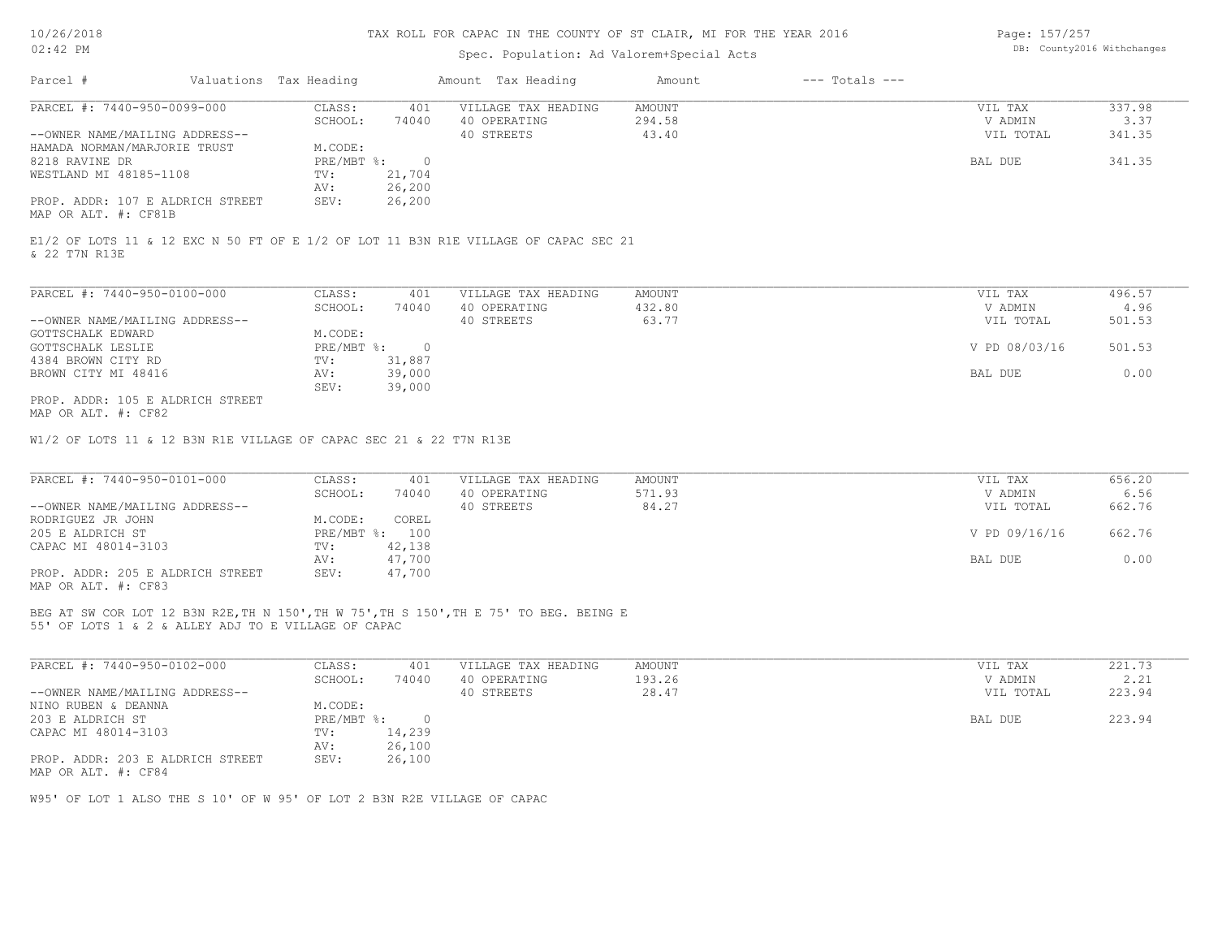### Spec. Population: Ad Valorem+Special Acts

Page: 157/257 DB: County2016 Withchanges

| Parcel #                                                 | Valuations Tax Heading |        | Amount Tax Heading  | Amount | $---$ Totals $---$ |           |        |
|----------------------------------------------------------|------------------------|--------|---------------------|--------|--------------------|-----------|--------|
| PARCEL #: 7440-950-0099-000                              | CLASS:                 | 401    | VILLAGE TAX HEADING | AMOUNT |                    | VIL TAX   | 337.98 |
|                                                          | SCHOOL:                | 74040  | 40 OPERATING        | 294.58 |                    | V ADMIN   | 3.37   |
| --OWNER NAME/MAILING ADDRESS--                           |                        |        | 40 STREETS          | 43.40  |                    | VIL TOTAL | 341.35 |
| HAMADA NORMAN/MARJORIE TRUST                             | M.CODE:                |        |                     |        |                    |           |        |
| 8218 RAVINE DR                                           | $PRE/MBT$ %:           |        |                     |        |                    | BAL DUE   | 341.35 |
| WESTLAND MI 48185-1108                                   | TV:                    | 21,704 |                     |        |                    |           |        |
|                                                          | AV:                    | 26,200 |                     |        |                    |           |        |
| PROP. ADDR: 107 E ALDRICH STREET<br>MAP OR ALT. #: CF81B | SEV:                   | 26,200 |                     |        |                    |           |        |

& 22 T7N R13E E1/2 OF LOTS 11 & 12 EXC N 50 FT OF E 1/2 OF LOT 11 B3N R1E VILLAGE OF CAPAC SEC 21

| PARCEL #: 7440-950-0100-000      | CLASS:     | 401    | VILLAGE TAX HEADING | AMOUNT | VIL TAX       | 496.57 |
|----------------------------------|------------|--------|---------------------|--------|---------------|--------|
|                                  | SCHOOL:    | 74040  | 40 OPERATING        | 432.80 | V ADMIN       | 4.96   |
| --OWNER NAME/MAILING ADDRESS--   |            |        | 40 STREETS          | 63.77  | VIL TOTAL     | 501.53 |
| GOTTSCHALK EDWARD                | M.CODE:    |        |                     |        |               |        |
| GOTTSCHALK LESLIE                | PRE/MBT %: |        |                     |        | V PD 08/03/16 | 501.53 |
| 4384 BROWN CITY RD               | TV:        | 31,887 |                     |        |               |        |
| BROWN CITY MI 48416              | AV:        | 39,000 |                     |        | BAL DUE       | 0.00   |
|                                  | SEV:       | 39,000 |                     |        |               |        |
| PROP. ADDR: 105 E ALDRICH STREET |            |        |                     |        |               |        |

MAP OR ALT. #: CF82

W1/2 OF LOTS 11 & 12 B3N R1E VILLAGE OF CAPAC SEC 21 & 22 T7N R13E

| PARCEL #: 7440-950-0101-000      | CLASS:  | 401            | VILLAGE TAX HEADING | AMOUNT | VIL TAX       | 656.20 |
|----------------------------------|---------|----------------|---------------------|--------|---------------|--------|
|                                  | SCHOOL: | 74040          | 40 OPERATING        | 571.93 | V ADMIN       | 6.56   |
| --OWNER NAME/MAILING ADDRESS--   |         |                | 40 STREETS          | 84.27  | VIL TOTAL     | 662.76 |
| RODRIGUEZ JR JOHN                | M.CODE: | COREL          |                     |        |               |        |
| 205 E ALDRICH ST                 |         | PRE/MBT %: 100 |                     |        | V PD 09/16/16 | 662.76 |
| CAPAC MI 48014-3103              | TV:     | 42,138         |                     |        |               |        |
|                                  | AV:     | 47,700         |                     |        | BAL DUE       | 0.00   |
| PROP. ADDR: 205 E ALDRICH STREET | SEV:    | 47,700         |                     |        |               |        |
|                                  |         |                |                     |        |               |        |

MAP OR ALT. #: CF83

55' OF LOTS 1 & 2 & ALLEY ADJ TO E VILLAGE OF CAPAC BEG AT SW COR LOT 12 B3N R2E,TH N 150',TH W 75',TH S 150',TH E 75' TO BEG. BEING E

| PARCEL #: 7440-950-0102-000      | CLASS:     | 401    | VILLAGE TAX HEADING | AMOUNT | VIL TAX   | 221.73 |
|----------------------------------|------------|--------|---------------------|--------|-----------|--------|
|                                  | SCHOOL:    | 74040  | 40 OPERATING        | 193.26 | V ADMIN   | 2.21   |
| --OWNER NAME/MAILING ADDRESS--   |            |        | 40 STREETS          | 28.47  | VIL TOTAL | 223.94 |
| NINO RUBEN & DEANNA              | M.CODE:    |        |                     |        |           |        |
| 203 E ALDRICH ST                 | PRE/MBT %: |        |                     |        | BAL DUE   | 223.94 |
| CAPAC MI 48014-3103              | TV:        | 14,239 |                     |        |           |        |
|                                  | AV:        | 26,100 |                     |        |           |        |
| PROP. ADDR: 203 E ALDRICH STREET | SEV:       | 26,100 |                     |        |           |        |
| MAP OR ALT. #: CF84              |            |        |                     |        |           |        |

W95' OF LOT 1 ALSO THE S 10' OF W 95' OF LOT 2 B3N R2E VILLAGE OF CAPAC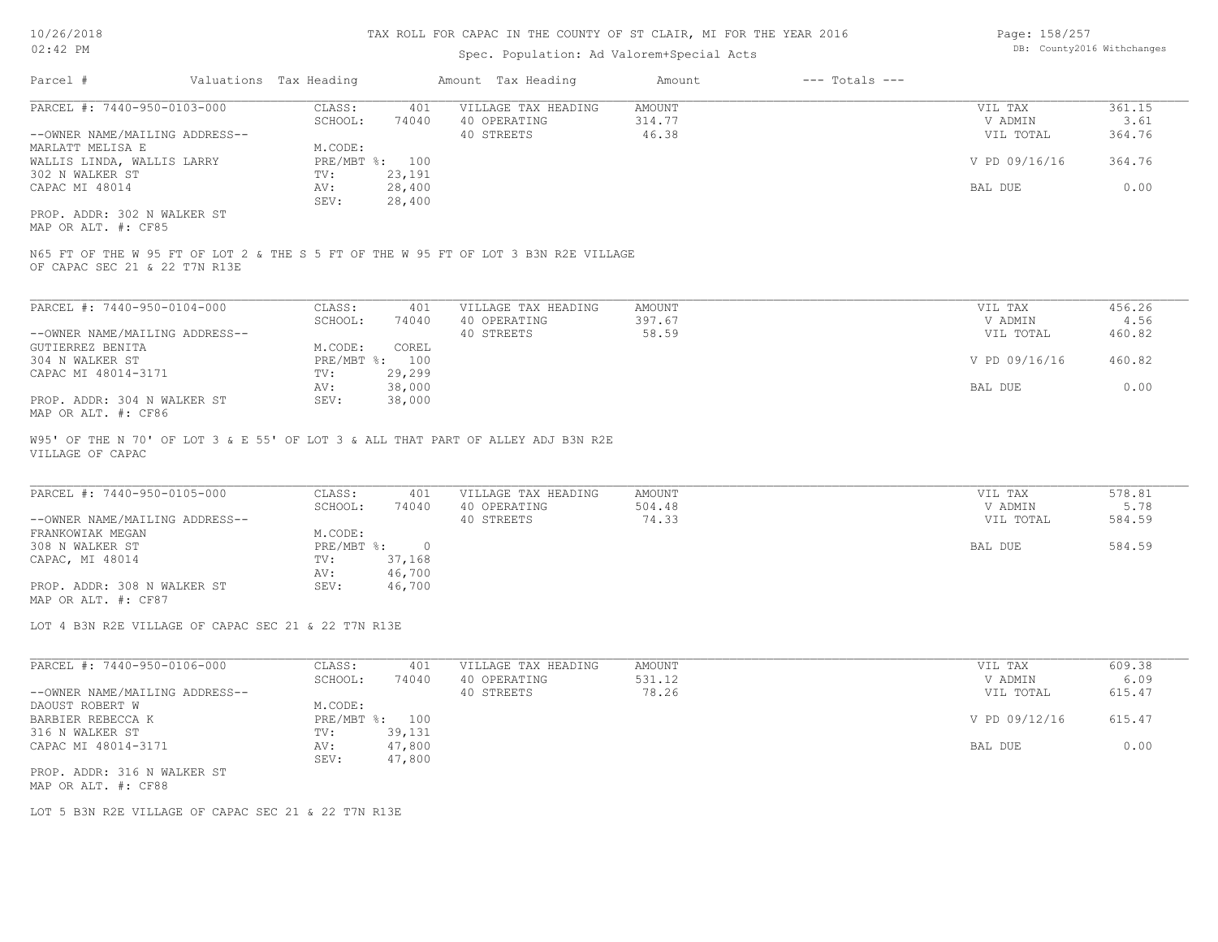## Spec. Population: Ad Valorem+Special Acts

| Page: 158/257 |                            |
|---------------|----------------------------|
|               | DB: County2016 Withchanges |

| Parcel #                       | Valuations Tax Heading |        | Amount Tax Heading  | Amount | $---$ Totals $---$ |               |        |  |
|--------------------------------|------------------------|--------|---------------------|--------|--------------------|---------------|--------|--|
| PARCEL #: 7440-950-0103-000    | CLASS:                 | 401    | VILLAGE TAX HEADING | AMOUNT |                    | VIL TAX       | 361.15 |  |
|                                | SCHOOL:                | 74040  | 40 OPERATING        | 314.77 |                    | V ADMIN       | 3.61   |  |
| --OWNER NAME/MAILING ADDRESS-- |                        |        | 40 STREETS          | 46.38  |                    | VIL TOTAL     | 364.76 |  |
| MARLATT MELISA E               | M.CODE:                |        |                     |        |                    |               |        |  |
| WALLIS LINDA, WALLIS LARRY     | PRE/MBT %: 100         |        |                     |        |                    | V PD 09/16/16 | 364.76 |  |
| 302 N WALKER ST                | TV:                    | 23,191 |                     |        |                    |               |        |  |
| CAPAC MI 48014                 | AV:                    | 28,400 |                     |        |                    | BAL DUE       | 0.00   |  |
|                                | SEV:                   | 28,400 |                     |        |                    |               |        |  |
| PROP. ADDR: 302 N WALKER ST    |                        |        |                     |        |                    |               |        |  |

MAP OR ALT. #: CF85

OF CAPAC SEC 21 & 22 T7N R13E N65 FT OF THE W 95 FT OF LOT 2 & THE S 5 FT OF THE W 95 FT OF LOT 3 B3N R2E VILLAGE

| PARCEL #: 7440-950-0104-000    | CLASS:         | 401    | VILLAGE TAX HEADING | AMOUNT | VIL TAX       | 456.26 |
|--------------------------------|----------------|--------|---------------------|--------|---------------|--------|
|                                | SCHOOL:        | 74040  | 40 OPERATING        | 397.67 | V ADMIN       | 4.56   |
| --OWNER NAME/MAILING ADDRESS-- |                |        | 40 STREETS          | 58.59  | VIL TOTAL     | 460.82 |
| GUTIERREZ BENITA               | M.CODE:        | COREL  |                     |        |               |        |
| 304 N WALKER ST                | PRE/MBT %: 100 |        |                     |        | V PD 09/16/16 | 460.82 |
| CAPAC MI 48014-3171            | TV:            | 29,299 |                     |        |               |        |
|                                | AV:            | 38,000 |                     |        | BAL DUE       | 0.00   |
| PROP. ADDR: 304 N WALKER ST    | SEV:           | 38,000 |                     |        |               |        |
| $\frac{1}{2}$                  |                |        |                     |        |               |        |

MAP OR ALT. #: CF86

VILLAGE OF CAPAC W95' OF THE N 70' OF LOT 3 & E 55' OF LOT 3 & ALL THAT PART OF ALLEY ADJ B3N R2E

| PARCEL #: 7440-950-0105-000    | CLASS:     | 401    | VILLAGE TAX HEADING | AMOUNT | VIL TAX   | 578.81 |
|--------------------------------|------------|--------|---------------------|--------|-----------|--------|
|                                | SCHOOL:    | 74040  | 40 OPERATING        | 504.48 | V ADMIN   | 5.78   |
| --OWNER NAME/MAILING ADDRESS-- |            |        | 40 STREETS          | 74.33  | VIL TOTAL | 584.59 |
| FRANKOWIAK MEGAN               | M.CODE:    |        |                     |        |           |        |
| 308 N WALKER ST                | PRE/MBT %: |        |                     |        | BAL DUE   | 584.59 |
| CAPAC, MI 48014                | TV:        | 37,168 |                     |        |           |        |
|                                | AV:        | 46,700 |                     |        |           |        |
| PROP. ADDR: 308 N WALKER ST    | SEV:       | 46,700 |                     |        |           |        |
| MAP OR ALT. #: CF87            |            |        |                     |        |           |        |

 $\mathcal{L}_\mathcal{L} = \mathcal{L}_\mathcal{L} = \mathcal{L}_\mathcal{L} = \mathcal{L}_\mathcal{L} = \mathcal{L}_\mathcal{L} = \mathcal{L}_\mathcal{L} = \mathcal{L}_\mathcal{L} = \mathcal{L}_\mathcal{L} = \mathcal{L}_\mathcal{L} = \mathcal{L}_\mathcal{L} = \mathcal{L}_\mathcal{L} = \mathcal{L}_\mathcal{L} = \mathcal{L}_\mathcal{L} = \mathcal{L}_\mathcal{L} = \mathcal{L}_\mathcal{L} = \mathcal{L}_\mathcal{L} = \mathcal{L}_\mathcal{L}$ 

LOT 4 B3N R2E VILLAGE OF CAPAC SEC 21 & 22 T7N R13E

| PARCEL #: 7440-950-0106-000    | CLASS:     | 401    | VILLAGE TAX HEADING | AMOUNT | VIL TAX       | 609.38 |
|--------------------------------|------------|--------|---------------------|--------|---------------|--------|
|                                | SCHOOL:    | 74040  | 40 OPERATING        | 531.12 | V ADMIN       | 6.09   |
| --OWNER NAME/MAILING ADDRESS-- |            |        | 40 STREETS          | 78.26  | VIL TOTAL     | 615.47 |
| DAOUST ROBERT W                | M.CODE:    |        |                     |        |               |        |
| BARBIER REBECCA K              | PRE/MBT %: | 100    |                     |        | V PD 09/12/16 | 615.47 |
| 316 N WALKER ST                | TV:        | 39,131 |                     |        |               |        |
| CAPAC MI 48014-3171            | AV:        | 47,800 |                     |        | BAL DUE       | 0.00   |
|                                | SEV:       | 47,800 |                     |        |               |        |
| PROP. ADDR: 316 N WALKER ST    |            |        |                     |        |               |        |

MAP OR ALT. #: CF88

LOT 5 B3N R2E VILLAGE OF CAPAC SEC 21 & 22 T7N R13E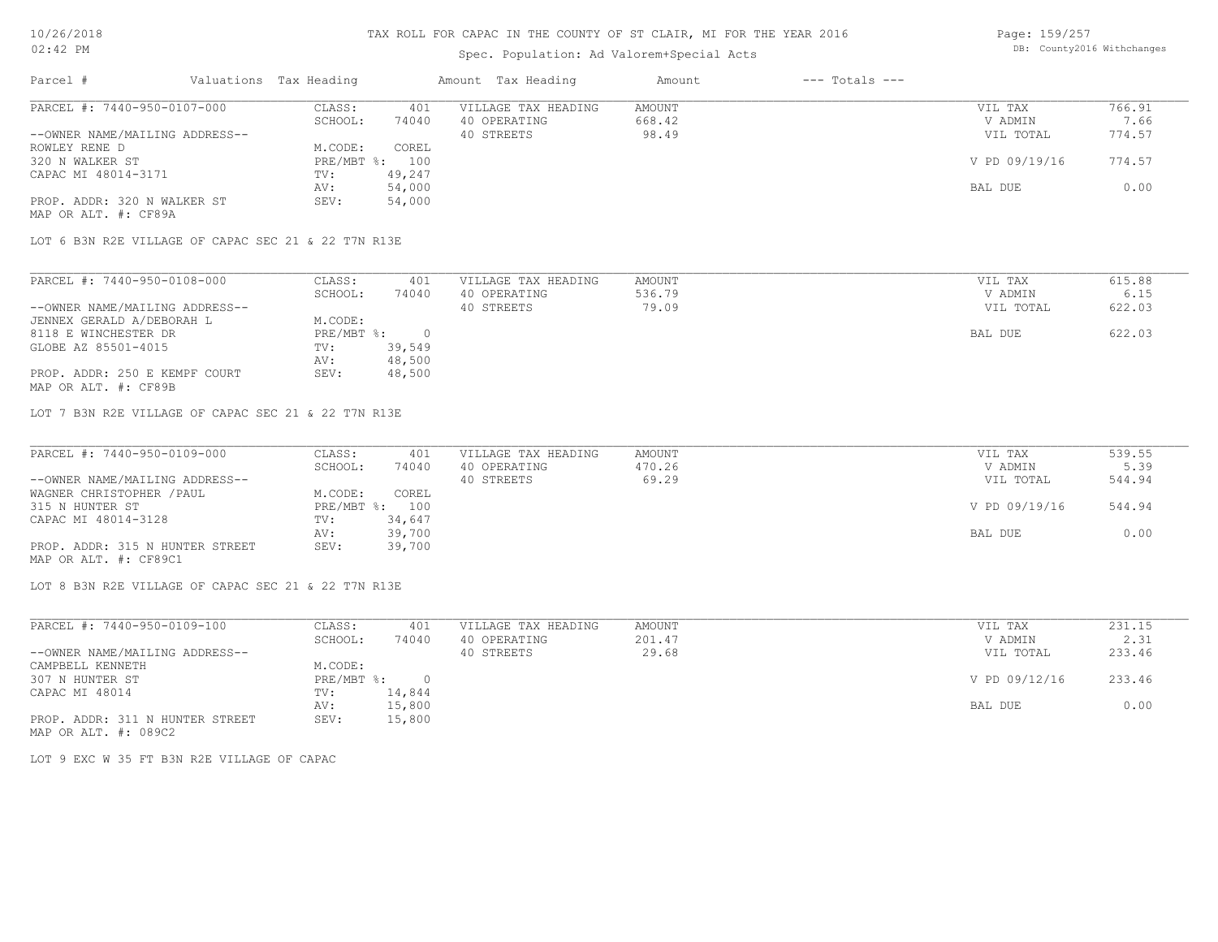## Spec. Population: Ad Valorem+Special Acts

Page: 159/257 DB: County2016 Withchanges

| Parcel #                       | Valuations Tax Heading |        | Amount Tax Heading  | Amount | $---$ Totals $---$ |               |        |
|--------------------------------|------------------------|--------|---------------------|--------|--------------------|---------------|--------|
| PARCEL #: 7440-950-0107-000    | CLASS:                 | 401    | VILLAGE TAX HEADING | AMOUNT |                    | VIL TAX       | 766.91 |
|                                | SCHOOL:                | 74040  | 40 OPERATING        | 668.42 |                    | V ADMIN       | 7.66   |
| --OWNER NAME/MAILING ADDRESS-- |                        |        | 40 STREETS          | 98.49  |                    | VIL TOTAL     | 774.57 |
| ROWLEY RENE D                  | M.CODE:                | COREL  |                     |        |                    |               |        |
| 320 N WALKER ST                | PRE/MBT %: 100         |        |                     |        |                    | V PD 09/19/16 | 774.57 |
| CAPAC MI 48014-3171            | TV:                    | 49,247 |                     |        |                    |               |        |
|                                | AV:                    | 54,000 |                     |        |                    | BAL DUE       | 0.00   |
| PROP. ADDR: 320 N WALKER ST    | SEV:                   | 54,000 |                     |        |                    |               |        |
| MAP OR ALT. #: CF89A           |                        |        |                     |        |                    |               |        |

LOT 6 B3N R2E VILLAGE OF CAPAC SEC 21 & 22 T7N R13E

| PARCEL #: 7440-950-0108-000    | CLASS:     | 401    | VILLAGE TAX HEADING | AMOUNT | VIL TAX   | 615.88 |
|--------------------------------|------------|--------|---------------------|--------|-----------|--------|
|                                | SCHOOL:    | 74040  | 40 OPERATING        | 536.79 | V ADMIN   | 6.15   |
| --OWNER NAME/MAILING ADDRESS-- |            |        | 40 STREETS          | 79.09  | VIL TOTAL | 622.03 |
| JENNEX GERALD A/DEBORAH L      | M.CODE:    |        |                     |        |           |        |
| 8118 E WINCHESTER DR           | PRE/MBT %: |        |                     |        | BAL DUE   | 622.03 |
| GLOBE AZ 85501-4015            | TV:        | 39,549 |                     |        |           |        |
|                                | AV:        | 48,500 |                     |        |           |        |
| PROP. ADDR: 250 E KEMPF COURT  | SEV:       | 48,500 |                     |        |           |        |
| MAP OR ALT. #: CF89B           |            |        |                     |        |           |        |

LOT 7 B3N R2E VILLAGE OF CAPAC SEC 21 & 22 T7N R13E

| PARCEL #: 7440-950-0109-000     | CLASS:     | 401    | VILLAGE TAX HEADING | AMOUNT | VIL TAX       | 539.55 |
|---------------------------------|------------|--------|---------------------|--------|---------------|--------|
|                                 | SCHOOL:    | 74040  | 40 OPERATING        | 470.26 | V ADMIN       | 5.39   |
| --OWNER NAME/MAILING ADDRESS--  |            |        | 40 STREETS          | 69.29  | VIL TOTAL     | 544.94 |
| WAGNER CHRISTOPHER / PAUL       | M.CODE:    | COREL  |                     |        |               |        |
| 315 N HUNTER ST                 | PRE/MBT %: | 100    |                     |        | V PD 09/19/16 | 544.94 |
| CAPAC MI 48014-3128             | TV:        | 34,647 |                     |        |               |        |
|                                 | AV:        | 39,700 |                     |        | BAL DUE       | 0.00   |
| PROP. ADDR: 315 N HUNTER STREET | SEV:       | 39,700 |                     |        |               |        |
| MAP OR ALT. #: CF89C1           |            |        |                     |        |               |        |

 $\mathcal{L}_\mathcal{L} = \mathcal{L}_\mathcal{L} = \mathcal{L}_\mathcal{L} = \mathcal{L}_\mathcal{L} = \mathcal{L}_\mathcal{L} = \mathcal{L}_\mathcal{L} = \mathcal{L}_\mathcal{L} = \mathcal{L}_\mathcal{L} = \mathcal{L}_\mathcal{L} = \mathcal{L}_\mathcal{L} = \mathcal{L}_\mathcal{L} = \mathcal{L}_\mathcal{L} = \mathcal{L}_\mathcal{L} = \mathcal{L}_\mathcal{L} = \mathcal{L}_\mathcal{L} = \mathcal{L}_\mathcal{L} = \mathcal{L}_\mathcal{L}$ 

LOT 8 B3N R2E VILLAGE OF CAPAC SEC 21 & 22 T7N R13E

| PARCEL #: 7440-950-0109-100     | CLASS:     | 401    | VILLAGE TAX HEADING | AMOUNT | VIL TAX       | 231.15 |  |
|---------------------------------|------------|--------|---------------------|--------|---------------|--------|--|
|                                 | SCHOOL:    | 74040  | 40 OPERATING        | 201.47 | V ADMIN       | 2.31   |  |
| --OWNER NAME/MAILING ADDRESS--  |            |        | 40 STREETS          | 29.68  | VIL TOTAL     | 233.46 |  |
| CAMPBELL KENNETH                | M.CODE:    |        |                     |        |               |        |  |
| 307 N HUNTER ST                 | PRE/MBT %: | $\cap$ |                     |        | V PD 09/12/16 | 233.46 |  |
| CAPAC MI 48014                  | TV:        | 14,844 |                     |        |               |        |  |
|                                 | AV:        | 15,800 |                     |        | BAL DUE       | 0.00   |  |
| PROP. ADDR: 311 N HUNTER STREET | SEV:       | 15,800 |                     |        |               |        |  |
| MAP OR ALT. #: 089C2            |            |        |                     |        |               |        |  |

LOT 9 EXC W 35 FT B3N R2E VILLAGE OF CAPAC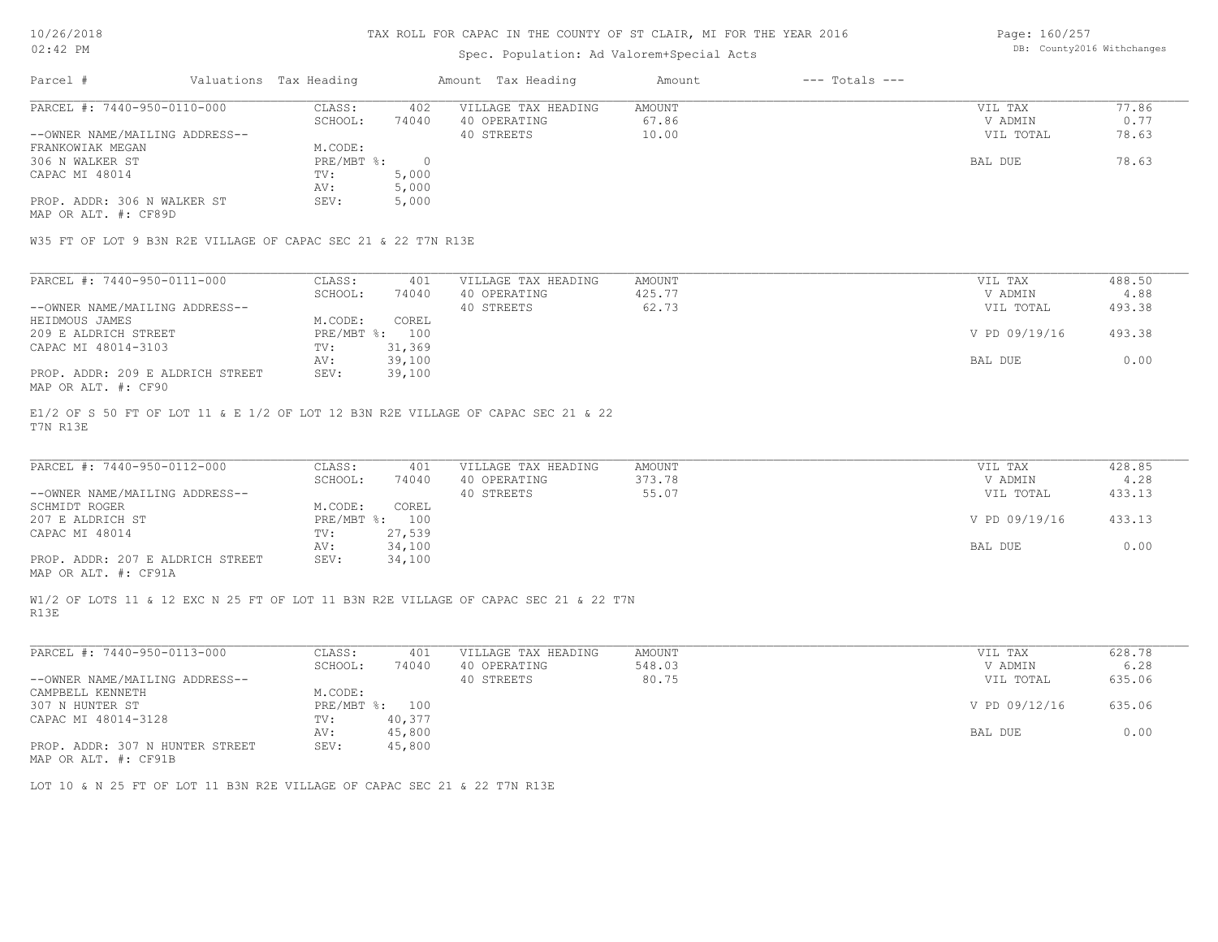### Spec. Population: Ad Valorem+Special Acts

Page: 160/257 DB: County2016 Withchanges

| Parcel #                                            | Valuations Tax Heading |        | Amount Tax Heading  | Amount | $---$ Totals $---$ |           |       |
|-----------------------------------------------------|------------------------|--------|---------------------|--------|--------------------|-----------|-------|
| PARCEL #: 7440-950-0110-000                         | CLASS:                 | 402    | VILLAGE TAX HEADING | AMOUNT |                    | VIL TAX   | 77.86 |
|                                                     | SCHOOL:                | 74040  | 40 OPERATING        | 67.86  |                    | V ADMIN   | 0.77  |
| --OWNER NAME/MAILING ADDRESS--                      |                        |        | 40 STREETS          | 10.00  |                    | VIL TOTAL | 78.63 |
| FRANKOWIAK MEGAN                                    | M.CODE:                |        |                     |        |                    |           |       |
| 306 N WALKER ST                                     | PRE/MBT %:             | $\Box$ |                     |        |                    | BAL DUE   | 78.63 |
| CAPAC MI 48014                                      | TV:                    | 5,000  |                     |        |                    |           |       |
|                                                     | AV:                    | 5,000  |                     |        |                    |           |       |
| PROP. ADDR: 306 N WALKER ST<br>MAP OR ALT. #: CF89D | SEV:                   | 5,000  |                     |        |                    |           |       |

W35 FT OF LOT 9 B3N R2E VILLAGE OF CAPAC SEC 21 & 22 T7N R13E

| PARCEL #: 7440-950-0111-000      | CLASS:       | 401    | VILLAGE TAX HEADING | AMOUNT | VIL TAX       | 488.50 |
|----------------------------------|--------------|--------|---------------------|--------|---------------|--------|
|                                  | SCHOOL:      | 74040  | 40 OPERATING        | 425.77 | V ADMIN       | 4.88   |
| --OWNER NAME/MAILING ADDRESS--   |              |        | 40 STREETS          | 62.73  | VIL TOTAL     | 493.38 |
| HEIDMOUS JAMES                   | M.CODE:      | COREL  |                     |        |               |        |
| 209 E ALDRICH STREET             | $PRE/MBT$ %: | 100    |                     |        | V PD 09/19/16 | 493.38 |
| CAPAC MI 48014-3103              | TV:          | 31,369 |                     |        |               |        |
|                                  | AV:          | 39,100 |                     |        | BAL DUE       | 0.00   |
| PROP. ADDR: 209 E ALDRICH STREET | SEV:         | 39,100 |                     |        |               |        |
| MAP OR ALT. #: CF90              |              |        |                     |        |               |        |

T7N R13E E1/2 OF S 50 FT OF LOT 11 & E 1/2 OF LOT 12 B3N R2E VILLAGE OF CAPAC SEC 21 & 22

| PARCEL #: 7440-950-0112-000                           | CLASS:       | 401    | VILLAGE TAX HEADING | AMOUNT | VIL TAX       | 428.85 |  |
|-------------------------------------------------------|--------------|--------|---------------------|--------|---------------|--------|--|
|                                                       | SCHOOL:      | 74040  | 40 OPERATING        | 373.78 | V ADMIN       | 4.28   |  |
| --OWNER NAME/MAILING ADDRESS--                        |              |        | 40 STREETS          | 55.07  | VIL TOTAL     | 433.13 |  |
| SCHMIDT ROGER                                         | M.CODE:      | COREL  |                     |        |               |        |  |
| 207 E ALDRICH ST                                      | $PRE/MBT$ %: | 100    |                     |        | V PD 09/19/16 | 433.13 |  |
| CAPAC MI 48014                                        | TV:          | 27,539 |                     |        |               |        |  |
|                                                       | AV:          | 34,100 |                     |        | BAL DUE       | 0.00   |  |
| PROP. ADDR: 207 E ALDRICH STREET                      | SEV:         | 34,100 |                     |        |               |        |  |
| $\cdots$ $\cdots$ $\cdots$ $\cdots$ $\cdots$ $\cdots$ |              |        |                     |        |               |        |  |

 $\mathcal{L}_\mathcal{L} = \mathcal{L}_\mathcal{L} = \mathcal{L}_\mathcal{L} = \mathcal{L}_\mathcal{L} = \mathcal{L}_\mathcal{L} = \mathcal{L}_\mathcal{L} = \mathcal{L}_\mathcal{L} = \mathcal{L}_\mathcal{L} = \mathcal{L}_\mathcal{L} = \mathcal{L}_\mathcal{L} = \mathcal{L}_\mathcal{L} = \mathcal{L}_\mathcal{L} = \mathcal{L}_\mathcal{L} = \mathcal{L}_\mathcal{L} = \mathcal{L}_\mathcal{L} = \mathcal{L}_\mathcal{L} = \mathcal{L}_\mathcal{L}$ 

MAP OR ALT. #: CF91A

R13E W1/2 OF LOTS 11 & 12 EXC N 25 FT OF LOT 11 B3N R2E VILLAGE OF CAPAC SEC 21 & 22 T7N

| PARCEL #: 7440-950-0113-000                      | CLASS:     | 401    | VILLAGE TAX HEADING | AMOUNT | VIL TAX       | 628.78 |
|--------------------------------------------------|------------|--------|---------------------|--------|---------------|--------|
|                                                  | SCHOOL:    | 74040  | 40 OPERATING        | 548.03 | V ADMIN       | 6.28   |
| --OWNER NAME/MAILING ADDRESS--                   |            |        | 40 STREETS          | 80.75  | VIL TOTAL     | 635.06 |
| CAMPBELL KENNETH                                 | M.CODE:    |        |                     |        |               |        |
| 307 N HUNTER ST                                  | PRE/MBT %: | 100    |                     |        | V PD 09/12/16 | 635.06 |
| CAPAC MI 48014-3128                              | TV:        | 40,377 |                     |        |               |        |
|                                                  | AV:        | 45,800 |                     |        | BAL DUE       | 0.00   |
| PROP. ADDR: 307 N HUNTER STREET<br>$\frac{1}{2}$ | SEV:       | 45,800 |                     |        |               |        |

MAP OR ALT. #: CF91B

LOT 10 & N 25 FT OF LOT 11 B3N R2E VILLAGE OF CAPAC SEC 21 & 22 T7N R13E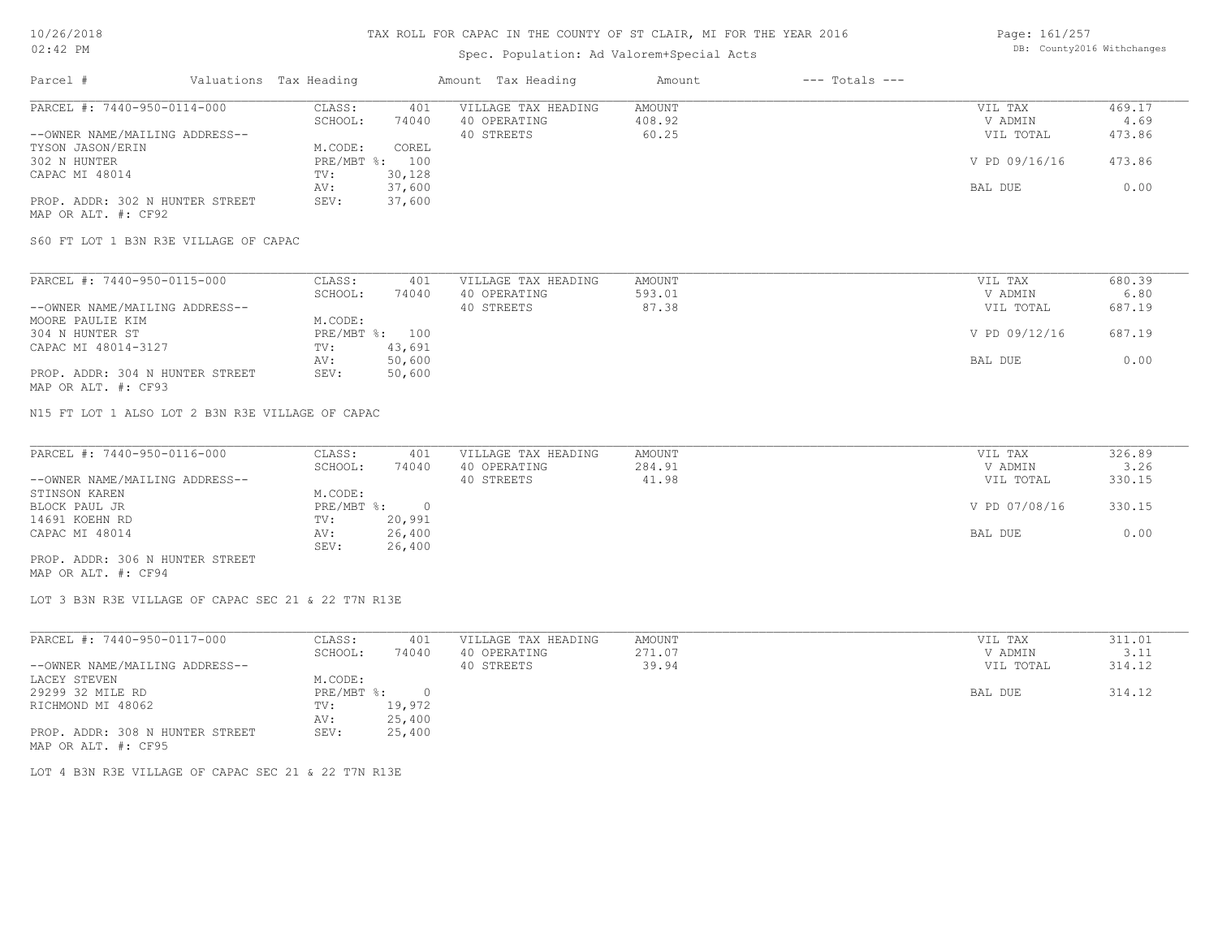## Spec. Population: Ad Valorem+Special Acts

Page: 161/257 DB: County2016 Withchanges

| Parcel #                        | Valuations Tax Heading |        | Amount Tax Heading  | Amount | $---$ Totals $---$ |               |        |
|---------------------------------|------------------------|--------|---------------------|--------|--------------------|---------------|--------|
| PARCEL #: 7440-950-0114-000     | CLASS:                 | 401    | VILLAGE TAX HEADING | AMOUNT |                    | VIL TAX       | 469.17 |
|                                 | SCHOOL:                | 74040  | 40 OPERATING        | 408.92 |                    | V ADMIN       | 4.69   |
| --OWNER NAME/MAILING ADDRESS--  |                        |        | 40 STREETS          | 60.25  |                    | VIL TOTAL     | 473.86 |
| TYSON JASON/ERIN                | M.CODE:                | COREL  |                     |        |                    |               |        |
| 302 N HUNTER                    | $PRE/MBT$ %:           | 100    |                     |        |                    | V PD 09/16/16 | 473.86 |
| CAPAC MI 48014                  | TV:                    | 30,128 |                     |        |                    |               |        |
|                                 | AV:                    | 37,600 |                     |        |                    | BAL DUE       | 0.00   |
| PROP. ADDR: 302 N HUNTER STREET | SEV:                   | 37,600 |                     |        |                    |               |        |
| MAP OR ALT. #: CF92             |                        |        |                     |        |                    |               |        |

S60 FT LOT 1 B3N R3E VILLAGE OF CAPAC

| PARCEL #: 7440-950-0115-000     | CLASS:  | 401            | VILLAGE TAX HEADING | AMOUNT | VIL TAX       | 680.39 |
|---------------------------------|---------|----------------|---------------------|--------|---------------|--------|
|                                 | SCHOOL: | 74040          | 40 OPERATING        | 593.01 | V ADMIN       | 6.80   |
| --OWNER NAME/MAILING ADDRESS--  |         |                | 40 STREETS          | 87.38  | VIL TOTAL     | 687.19 |
| MOORE PAULIE KIM                | M.CODE: |                |                     |        |               |        |
| 304 N HUNTER ST                 |         | PRE/MBT %: 100 |                     |        | V PD 09/12/16 | 687.19 |
| CAPAC MI 48014-3127             | TV:     | 43,691         |                     |        |               |        |
|                                 | AV:     | 50,600         |                     |        | BAL DUE       | 0.00   |
| PROP. ADDR: 304 N HUNTER STREET | SEV:    | 50,600         |                     |        |               |        |
| MAP OR ALT. #: CF93             |         |                |                     |        |               |        |

N15 FT LOT 1 ALSO LOT 2 B3N R3E VILLAGE OF CAPAC

| PARCEL #: 7440-950-0116-000     | CLASS:     | 401    | VILLAGE TAX HEADING | AMOUNT | VIL TAX       | 326.89 |
|---------------------------------|------------|--------|---------------------|--------|---------------|--------|
|                                 | SCHOOL:    | 74040  | 40 OPERATING        | 284.91 | V ADMIN       | 3.26   |
| --OWNER NAME/MAILING ADDRESS--  |            |        | 40 STREETS          | 41.98  | VIL TOTAL     | 330.15 |
| STINSON KAREN                   | M.CODE:    |        |                     |        |               |        |
| BLOCK PAUL JR                   | PRE/MBT %: |        |                     |        | V PD 07/08/16 | 330.15 |
| 14691 KOEHN RD                  | TV:        | 20,991 |                     |        |               |        |
| CAPAC MI 48014                  | AV:        | 26,400 |                     |        | BAL DUE       | 0.00   |
|                                 | SEV:       | 26,400 |                     |        |               |        |
| PROP. ADDR: 306 N HUNTER STREET |            |        |                     |        |               |        |

MAP OR ALT. #: CF94

LOT 3 B3N R3E VILLAGE OF CAPAC SEC 21 & 22 T7N R13E

| PARCEL #: 7440-950-0117-000     | CLASS:     | 401    | VILLAGE TAX HEADING | AMOUNT | VIL TAX   | 311.01 |
|---------------------------------|------------|--------|---------------------|--------|-----------|--------|
|                                 | SCHOOL:    | 74040  | 40 OPERATING        | 271.07 | V ADMIN   | 3.11   |
| --OWNER NAME/MAILING ADDRESS--  |            |        | 40 STREETS          | 39.94  | VIL TOTAL | 314.12 |
| LACEY STEVEN                    | M.CODE:    |        |                     |        |           |        |
| 29299 32 MILE RD                | PRE/MBT %: |        |                     |        | BAL DUE   | 314.12 |
| RICHMOND MI 48062               | TV:        | 19,972 |                     |        |           |        |
|                                 | AV:        | 25,400 |                     |        |           |        |
| PROP. ADDR: 308 N HUNTER STREET | SEV:       | 25,400 |                     |        |           |        |
| MAP OR ALT. #: CF95             |            |        |                     |        |           |        |

LOT 4 B3N R3E VILLAGE OF CAPAC SEC 21 & 22 T7N R13E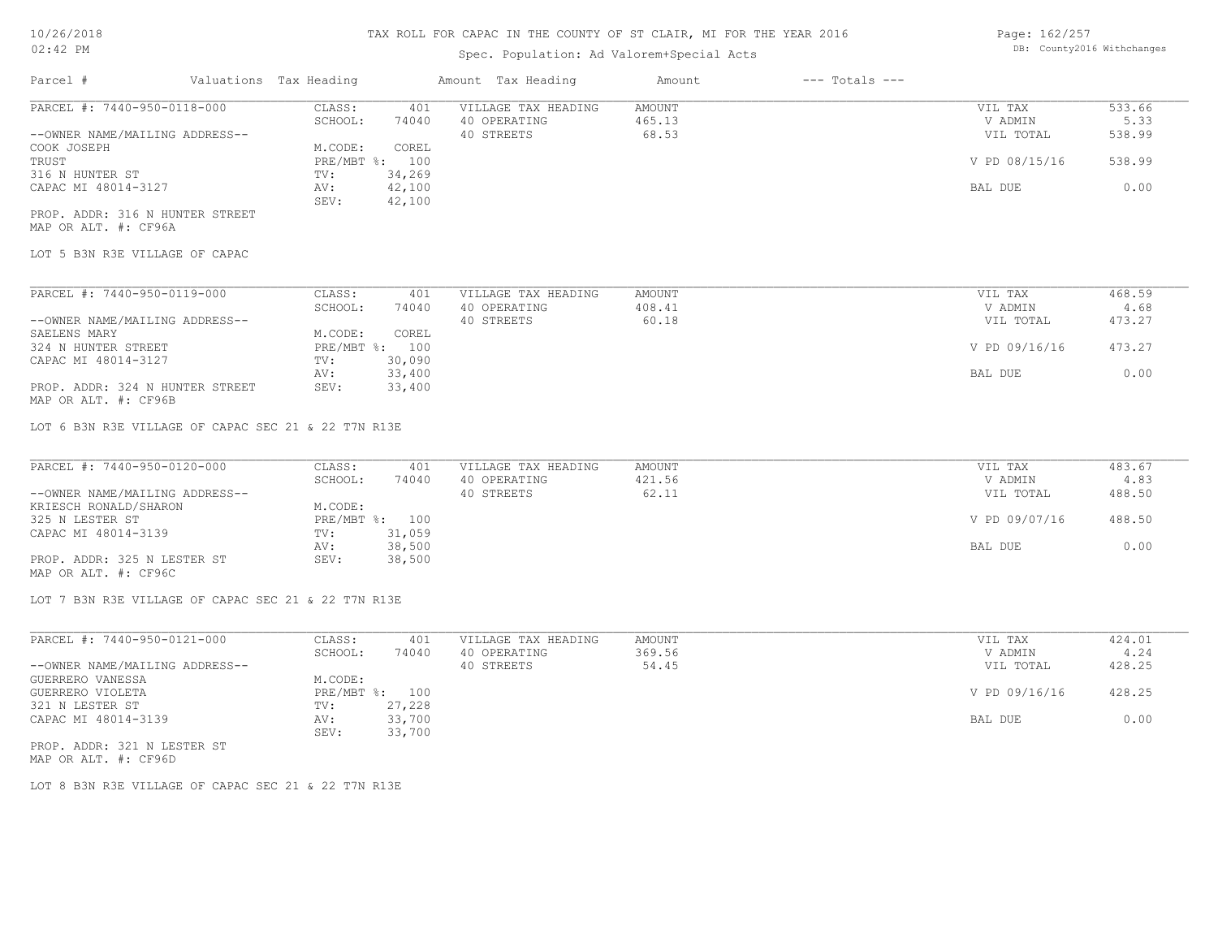## Spec. Population: Ad Valorem+Special Acts

| Page: 162/257 |                            |
|---------------|----------------------------|
|               | DB: County2016 Withchanges |

| Parcel #                        | Valuations Tax Heading |        | Amount Tax Heading  | Amount | $---$ Totals $---$ |               |        |
|---------------------------------|------------------------|--------|---------------------|--------|--------------------|---------------|--------|
| PARCEL #: 7440-950-0118-000     | CLASS:                 | 401    | VILLAGE TAX HEADING | AMOUNT |                    | VIL TAX       | 533.66 |
|                                 | SCHOOL:                | 74040  | 40 OPERATING        | 465.13 |                    | V ADMIN       | 5.33   |
| --OWNER NAME/MAILING ADDRESS--  |                        |        | 40 STREETS          | 68.53  |                    | VIL TOTAL     | 538.99 |
| COOK JOSEPH                     | M.CODE:                | COREL  |                     |        |                    |               |        |
| TRUST                           | PRE/MBT %: 100         |        |                     |        |                    | V PD 08/15/16 | 538.99 |
| 316 N HUNTER ST                 | TV:                    | 34,269 |                     |        |                    |               |        |
| CAPAC MI 48014-3127             | AV:                    | 42,100 |                     |        |                    | BAL DUE       | 0.00   |
|                                 | SEV:                   | 42,100 |                     |        |                    |               |        |
| PROP. ADDR: 316 N HUNTER STREET |                        |        |                     |        |                    |               |        |

MAP OR ALT. #: CF96A

LOT 5 B3N R3E VILLAGE OF CAPAC

| PARCEL #: 7440-950-0119-000     | CLASS:       | 401    | VILLAGE TAX HEADING | AMOUNT | VIL TAX       | 468.59 |  |
|---------------------------------|--------------|--------|---------------------|--------|---------------|--------|--|
|                                 | SCHOOL:      | 74040  | 40 OPERATING        | 408.41 | V ADMIN       | 4.68   |  |
| --OWNER NAME/MAILING ADDRESS--  |              |        | 40 STREETS          | 60.18  | VIL TOTAL     | 473.27 |  |
| SAELENS MARY                    | M.CODE:      | COREL  |                     |        |               |        |  |
| 324 N HUNTER STREET             | $PRE/MBT$ %: | 100    |                     |        | V PD 09/16/16 | 473.27 |  |
| CAPAC MI 48014-3127             | TV:          | 30,090 |                     |        |               |        |  |
|                                 | AV:          | 33,400 |                     |        | BAL DUE       | 0.00   |  |
| PROP. ADDR: 324 N HUNTER STREET | SEV:         | 33,400 |                     |        |               |        |  |

MAP OR ALT. #: CF96B

LOT 6 B3N R3E VILLAGE OF CAPAC SEC 21 & 22 T7N R13E

| PARCEL #: 7440-950-0120-000    | CLASS:  | 401            | VILLAGE TAX HEADING | AMOUNT | VIL TAX       | 483.67 |
|--------------------------------|---------|----------------|---------------------|--------|---------------|--------|
|                                | SCHOOL: | 74040          | 40 OPERATING        | 421.56 | V ADMIN       | 4.83   |
| --OWNER NAME/MAILING ADDRESS-- |         |                | 40 STREETS          | 62.11  | VIL TOTAL     | 488.50 |
| KRIESCH RONALD/SHARON          | M.CODE: |                |                     |        |               |        |
| 325 N LESTER ST                |         | PRE/MBT %: 100 |                     |        | V PD 09/07/16 | 488.50 |
| CAPAC MI 48014-3139            | TV:     | 31,059         |                     |        |               |        |
|                                | AV:     | 38,500         |                     |        | BAL DUE       | 0.00   |
| PROP. ADDR: 325 N LESTER ST    | SEV:    | 38,500         |                     |        |               |        |
| MAP OR ALT. #: CF96C           |         |                |                     |        |               |        |

LOT 7 B3N R3E VILLAGE OF CAPAC SEC 21 & 22 T7N R13E

| PARCEL #: 7440-950-0121-000    | CLASS:  | 401            | VILLAGE TAX HEADING | AMOUNT | VIL TAX       | 424.01 |
|--------------------------------|---------|----------------|---------------------|--------|---------------|--------|
|                                | SCHOOL: | 74040          | 40 OPERATING        | 369.56 | V ADMIN       | 4.24   |
| --OWNER NAME/MAILING ADDRESS-- |         |                | 40 STREETS          | 54.45  | VIL TOTAL     | 428.25 |
| GUERRERO VANESSA               | M.CODE: |                |                     |        |               |        |
| GUERRERO VIOLETA               |         | PRE/MBT %: 100 |                     |        | V PD 09/16/16 | 428.25 |
| 321 N LESTER ST                | TV:     | 27,228         |                     |        |               |        |
| CAPAC MI 48014-3139            | AV:     | 33,700         |                     |        | BAL DUE       | 0.00   |
|                                | SEV:    | 33,700         |                     |        |               |        |
| PROP. ADDR: 321 N LESTER ST    |         |                |                     |        |               |        |

MAP OR ALT. #: CF96D

LOT 8 B3N R3E VILLAGE OF CAPAC SEC 21 & 22 T7N R13E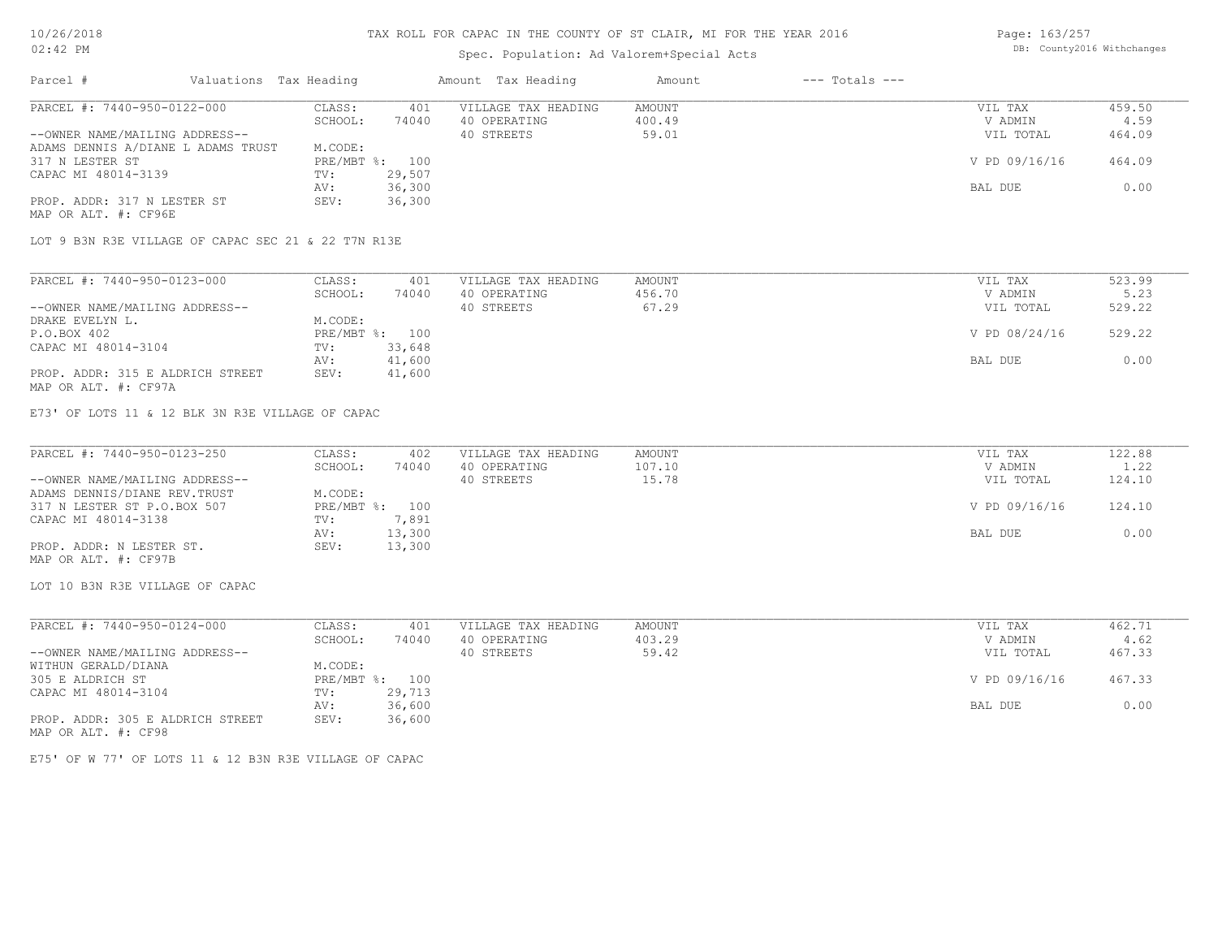## Spec. Population: Ad Valorem+Special Acts

Page: 163/257 DB: County2016 Withchanges

| Parcel #                           | Valuations Tax Heading |                | Amount Tax Heading  | Amount | $---$ Totals $---$ |               |        |
|------------------------------------|------------------------|----------------|---------------------|--------|--------------------|---------------|--------|
| PARCEL #: 7440-950-0122-000        | CLASS:                 | 401            | VILLAGE TAX HEADING | AMOUNT |                    | VIL TAX       | 459.50 |
|                                    | SCHOOL:                | 74040          | 40 OPERATING        | 400.49 |                    | V ADMIN       | 4.59   |
| --OWNER NAME/MAILING ADDRESS--     |                        |                | 40 STREETS          | 59.01  |                    | VIL TOTAL     | 464.09 |
| ADAMS DENNIS A/DIANE L ADAMS TRUST | M.CODE:                |                |                     |        |                    |               |        |
| 317 N LESTER ST                    |                        | PRE/MBT %: 100 |                     |        |                    | V PD 09/16/16 | 464.09 |
| CAPAC MI 48014-3139                | TV:                    | 29,507         |                     |        |                    |               |        |
|                                    | AV:                    | 36,300         |                     |        |                    | BAL DUE       | 0.00   |
| PROP. ADDR: 317 N LESTER ST        | SEV:                   | 36,300         |                     |        |                    |               |        |
| MAP OR ALT. #: CF96E               |                        |                |                     |        |                    |               |        |

LOT 9 B3N R3E VILLAGE OF CAPAC SEC 21 & 22 T7N R13E

| PARCEL #: 7440-950-0123-000      | CLASS:  | 401            | VILLAGE TAX HEADING | AMOUNT | VIL TAX       | 523.99 |
|----------------------------------|---------|----------------|---------------------|--------|---------------|--------|
|                                  | SCHOOL: | 74040          | 40 OPERATING        | 456.70 | V ADMIN       | 5.23   |
| --OWNER NAME/MAILING ADDRESS--   |         |                | 40 STREETS          | 67.29  | VIL TOTAL     | 529.22 |
| DRAKE EVELYN L.                  | M.CODE: |                |                     |        |               |        |
| P.O.BOX 402                      |         | PRE/MBT %: 100 |                     |        | V PD 08/24/16 | 529.22 |
| CAPAC MI 48014-3104              | TV:     | 33,648         |                     |        |               |        |
|                                  | AV:     | 41,600         |                     |        | BAL DUE       | 0.00   |
| PROP. ADDR: 315 E ALDRICH STREET | SEV:    | 41,600         |                     |        |               |        |
| MAP OR ALT. #: CF97A             |         |                |                     |        |               |        |

E73' OF LOTS 11 & 12 BLK 3N R3E VILLAGE OF CAPAC

| PARCEL #: 7440-950-0123-250    | CLASS:         | 402    | VILLAGE TAX HEADING | AMOUNT | VIL TAX       | 122.88 |
|--------------------------------|----------------|--------|---------------------|--------|---------------|--------|
|                                | SCHOOL:        | 74040  | 40 OPERATING        | 107.10 | V ADMIN       | 1.22   |
| --OWNER NAME/MAILING ADDRESS-- |                |        | 40 STREETS          | 15.78  | VIL TOTAL     | 124.10 |
| ADAMS DENNIS/DIANE REV. TRUST  | M.CODE:        |        |                     |        |               |        |
| 317 N LESTER ST P.O.BOX 507    | PRE/MBT %: 100 |        |                     |        | V PD 09/16/16 | 124.10 |
| CAPAC MI 48014-3138            | TV:            | 7,891  |                     |        |               |        |
|                                | AV:            | 13,300 |                     |        | BAL DUE       | 0.00   |
| PROP. ADDR: N LESTER ST.       | SEV:           | 13,300 |                     |        |               |        |
| MAP OR ALT. #: CF97B           |                |        |                     |        |               |        |

LOT 10 B3N R3E VILLAGE OF CAPAC

| PARCEL #: 7440-950-0124-000      | CLASS:       | 401    | VILLAGE TAX HEADING | AMOUNT | VIL TAX       | 462.71 |
|----------------------------------|--------------|--------|---------------------|--------|---------------|--------|
|                                  | SCHOOL:      | 74040  | 40 OPERATING        | 403.29 | V ADMIN       | 4.62   |
| --OWNER NAME/MAILING ADDRESS--   |              |        | 40 STREETS          | 59.42  | VIL TOTAL     | 467.33 |
| WITHUN GERALD/DIANA              | M.CODE:      |        |                     |        |               |        |
| 305 E ALDRICH ST                 | $PRE/MBT$ %: | 100    |                     |        | V PD 09/16/16 | 467.33 |
| CAPAC MI 48014-3104              | TV:          | 29,713 |                     |        |               |        |
|                                  | AV:          | 36,600 |                     |        | BAL DUE       | 0.00   |
| PROP. ADDR: 305 E ALDRICH STREET | SEV:         | 36,600 |                     |        |               |        |
| MAP OR ALT. #: CF98              |              |        |                     |        |               |        |

E75' OF W 77' OF LOTS 11 & 12 B3N R3E VILLAGE OF CAPAC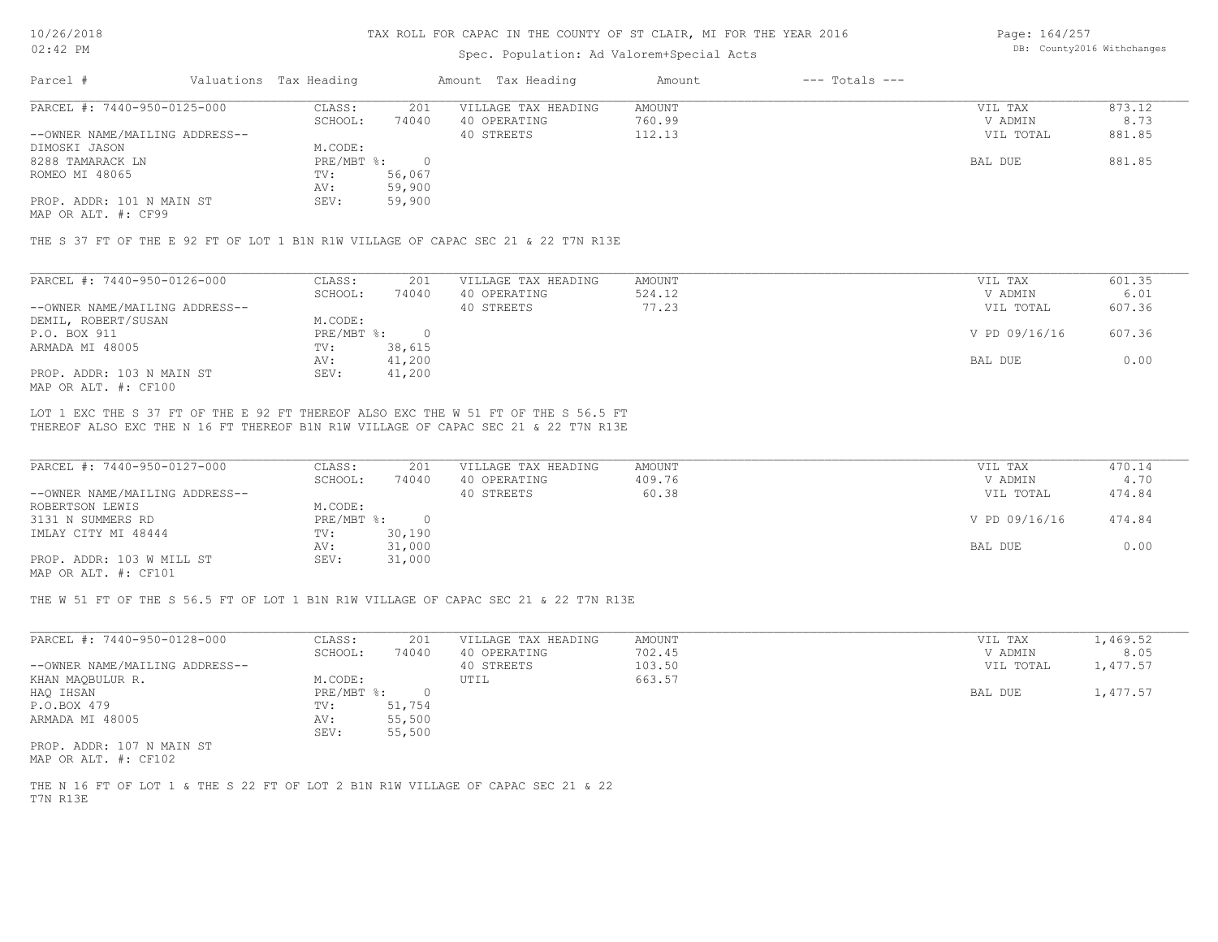### Spec. Population: Ad Valorem+Special Acts

Page: 164/257 DB: County2016 Withchanges

| Parcel #                       | Valuations Tax Heading |        | Amount Tax Heading  | Amount | $---$ Totals $---$ |           |        |
|--------------------------------|------------------------|--------|---------------------|--------|--------------------|-----------|--------|
| PARCEL #: 7440-950-0125-000    | CLASS:                 | 201    | VILLAGE TAX HEADING | AMOUNT |                    | VIL TAX   | 873.12 |
|                                | SCHOOL:                | 74040  | 40 OPERATING        | 760.99 |                    | V ADMIN   | 8.73   |
| --OWNER NAME/MAILING ADDRESS-- |                        |        | 40 STREETS          | 112.13 |                    | VIL TOTAL | 881.85 |
| DIMOSKI JASON                  | M.CODE:                |        |                     |        |                    |           |        |
| 8288 TAMARACK LN               | PRE/MBT %:             |        |                     |        |                    | BAL DUE   | 881.85 |
| ROMEO MI 48065                 | TV:                    | 56,067 |                     |        |                    |           |        |
|                                | AV:                    | 59,900 |                     |        |                    |           |        |
| PROP. ADDR: 101 N MAIN ST      | SEV:                   | 59,900 |                     |        |                    |           |        |

MAP OR ALT. #: CF99

THE S 37 FT OF THE E 92 FT OF LOT 1 B1N R1W VILLAGE OF CAPAC SEC 21 & 22 T7N R13E

| PARCEL #: 7440-950-0126-000    | CLASS:     | 201    | VILLAGE TAX HEADING | AMOUNT | VIL TAX       | 601.35 |
|--------------------------------|------------|--------|---------------------|--------|---------------|--------|
|                                | SCHOOL:    | 74040  | 40 OPERATING        | 524.12 | V ADMIN       | 6.01   |
| --OWNER NAME/MAILING ADDRESS-- |            |        | 40 STREETS          | 77.23  | VIL TOTAL     | 607.36 |
| DEMIL, ROBERT/SUSAN            | M.CODE:    |        |                     |        |               |        |
| P.O. BOX 911                   | PRE/MBT %: |        |                     |        | V PD 09/16/16 | 607.36 |
| ARMADA MI 48005                | TV:        | 38,615 |                     |        |               |        |
|                                | AV:        | 41,200 |                     |        | BAL DUE       | 0.00   |
| PROP. ADDR: 103 N MAIN ST      | SEV:       | 41,200 |                     |        |               |        |
| MAP OR ALT. #: CF100           |            |        |                     |        |               |        |

THEREOF ALSO EXC THE N 16 FT THEREOF B1N R1W VILLAGE OF CAPAC SEC 21 & 22 T7N R13E LOT 1 EXC THE S 37 FT OF THE E 92 FT THEREOF ALSO EXC THE W 51 FT OF THE S 56.5 FT

| PARCEL #: 7440-950-0127-000    | CLASS:     | 201    | VILLAGE TAX HEADING | AMOUNT | VIL TAX       | 470.14 |
|--------------------------------|------------|--------|---------------------|--------|---------------|--------|
|                                | SCHOOL:    | 74040  | 40 OPERATING        | 409.76 | V ADMIN       | 4.70   |
| --OWNER NAME/MAILING ADDRESS-- |            |        | 40 STREETS          | 60.38  | VIL TOTAL     | 474.84 |
| ROBERTSON LEWIS                | M.CODE:    |        |                     |        |               |        |
| 3131 N SUMMERS RD              | PRE/MBT %: |        |                     |        | V PD 09/16/16 | 474.84 |
| IMLAY CITY MI 48444            | TV:        | 30,190 |                     |        |               |        |
|                                | AV:        | 31,000 |                     |        | BAL DUE       | 0.00   |
| PROP. ADDR: 103 W MILL ST      | SEV:       | 31,000 |                     |        |               |        |
| $\frac{1}{2}$                  |            |        |                     |        |               |        |

MAP OR ALT. #: CF101

THE W 51 FT OF THE S 56.5 FT OF LOT 1 B1N R1W VILLAGE OF CAPAC SEC 21 & 22 T7N R13E

| PARCEL #: 7440-950-0128-000    | CLASS:     | 201    | VILLAGE TAX HEADING | AMOUNT | VIL TAX   | 1,469.52 |
|--------------------------------|------------|--------|---------------------|--------|-----------|----------|
|                                | SCHOOL:    | 74040  | 40 OPERATING        | 702.45 | V ADMIN   | 8.05     |
| --OWNER NAME/MAILING ADDRESS-- |            |        | 40 STREETS          | 103.50 | VIL TOTAL | 1,477.57 |
| KHAN MAQBULUR R.               | M.CODE:    |        | UTIL                | 663.57 |           |          |
| HAO IHSAN                      | PRE/MBT %: |        |                     |        | BAL DUE   | 1,477.57 |
| P.O.BOX 479                    | TV:        | 51,754 |                     |        |           |          |
| ARMADA MI 48005                | AV:        | 55,500 |                     |        |           |          |
|                                | SEV:       | 55,500 |                     |        |           |          |
| PROP. ADDR: 107 N MAIN ST      |            |        |                     |        |           |          |

MAP OR ALT. #: CF102

T7N R13E THE N 16 FT OF LOT 1 & THE S 22 FT OF LOT 2 B1N R1W VILLAGE OF CAPAC SEC 21 & 22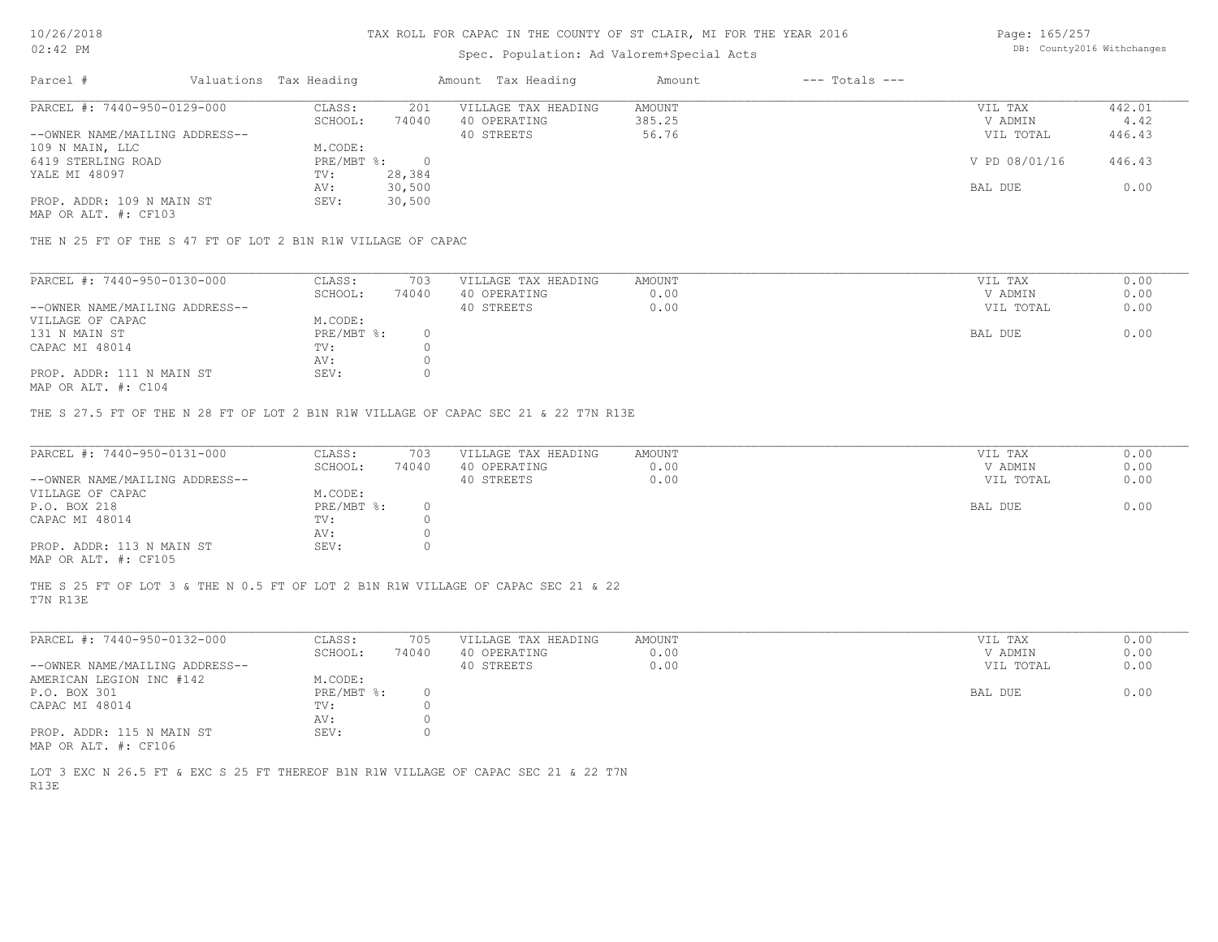## Spec. Population: Ad Valorem+Special Acts

Page: 165/257 DB: County2016 Withchanges

| Parcel #                       | Valuations Tax Heading |        | Amount Tax Heading  | Amount | $---$ Totals $---$ |               |        |
|--------------------------------|------------------------|--------|---------------------|--------|--------------------|---------------|--------|
| PARCEL #: 7440-950-0129-000    | CLASS:                 | 201    | VILLAGE TAX HEADING | AMOUNT |                    | VIL TAX       | 442.01 |
|                                | SCHOOL:                | 74040  | 40 OPERATING        | 385.25 |                    | V ADMIN       | 4.42   |
| --OWNER NAME/MAILING ADDRESS-- |                        |        | 40 STREETS          | 56.76  |                    | VIL TOTAL     | 446.43 |
| 109 N MAIN, LLC                | M.CODE:                |        |                     |        |                    |               |        |
| 6419 STERLING ROAD             | $PRE/MBT$ %:           |        |                     |        |                    | V PD 08/01/16 | 446.43 |
| YALE MI 48097                  | TV:                    | 28,384 |                     |        |                    |               |        |
|                                | AV:                    | 30,500 |                     |        |                    | BAL DUE       | 0.00   |
| PROP. ADDR: 109 N MAIN ST      | SEV:                   | 30,500 |                     |        |                    |               |        |
|                                |                        |        |                     |        |                    |               |        |

MAP OR ALT. #: CF103

THE N 25 FT OF THE S 47 FT OF LOT 2 B1N R1W VILLAGE OF CAPAC

| PARCEL #: 7440-950-0130-000    | CLASS:     | 703   | VILLAGE TAX HEADING | AMOUNT | VIL TAX   | 0.00 |
|--------------------------------|------------|-------|---------------------|--------|-----------|------|
|                                | SCHOOL:    | 74040 | 40 OPERATING        | 0.00   | V ADMIN   | 0.00 |
| --OWNER NAME/MAILING ADDRESS-- |            |       | 40 STREETS          | 0.00   | VIL TOTAL | 0.00 |
| VILLAGE OF CAPAC               | M.CODE:    |       |                     |        |           |      |
| 131 N MAIN ST                  | PRE/MBT %: |       |                     |        | BAL DUE   | 0.00 |
| CAPAC MI 48014                 | TV:        |       |                     |        |           |      |
|                                | AV:        |       |                     |        |           |      |
| PROP. ADDR: 111 N MAIN ST      | SEV:       |       |                     |        |           |      |
|                                |            |       |                     |        |           |      |

MAP OR ALT. #: C104

THE S 27.5 FT OF THE N 28 FT OF LOT 2 B1N R1W VILLAGE OF CAPAC SEC 21 & 22 T7N R13E

| PARCEL #: 7440-950-0131-000    | CLASS:       | 703   | VILLAGE TAX HEADING | AMOUNT | VIL TAX   | 0.00 |
|--------------------------------|--------------|-------|---------------------|--------|-----------|------|
|                                | SCHOOL:      | 74040 | 40 OPERATING        | 0.00   | V ADMIN   | 0.00 |
| --OWNER NAME/MAILING ADDRESS-- |              |       | 40 STREETS          | 0.00   | VIL TOTAL | 0.00 |
| VILLAGE OF CAPAC               | M.CODE:      |       |                     |        |           |      |
| P.O. BOX 218                   | $PRE/MBT$ %: |       |                     |        | BAL DUE   | 0.00 |
| CAPAC MI 48014                 | TV:          |       |                     |        |           |      |
|                                | AV:          |       |                     |        |           |      |
| PROP. ADDR: 113 N MAIN ST      | SEV:         |       |                     |        |           |      |
| MAP OR ALT. #: CF105           |              |       |                     |        |           |      |

T7N R13E THE S 25 FT OF LOT 3 & THE N 0.5 FT OF LOT 2 B1N R1W VILLAGE OF CAPAC SEC 21 & 22

| PARCEL #: 7440-950-0132-000    | CLASS:     | 705   | VILLAGE TAX HEADING | AMOUNT | VIL TAX   | 0.00 |
|--------------------------------|------------|-------|---------------------|--------|-----------|------|
|                                | SCHOOL:    | 74040 | 40 OPERATING        | 0.00   | V ADMIN   | 0.00 |
| --OWNER NAME/MAILING ADDRESS-- |            |       | 40 STREETS          | 0.00   | VIL TOTAL | 0.00 |
| AMERICAN LEGION INC #142       | M.CODE:    |       |                     |        |           |      |
| P.O. BOX 301                   | PRE/MBT %: |       |                     |        | BAL DUE   | 0.00 |
| CAPAC MI 48014                 | TV:        |       |                     |        |           |      |
|                                | AV:        |       |                     |        |           |      |
| PROP. ADDR: 115 N MAIN ST      | SEV:       |       |                     |        |           |      |
| MAP OR ALT. #: CF106           |            |       |                     |        |           |      |

R13E LOT 3 EXC N 26.5 FT & EXC S 25 FT THEREOF B1N R1W VILLAGE OF CAPAC SEC 21 & 22 T7N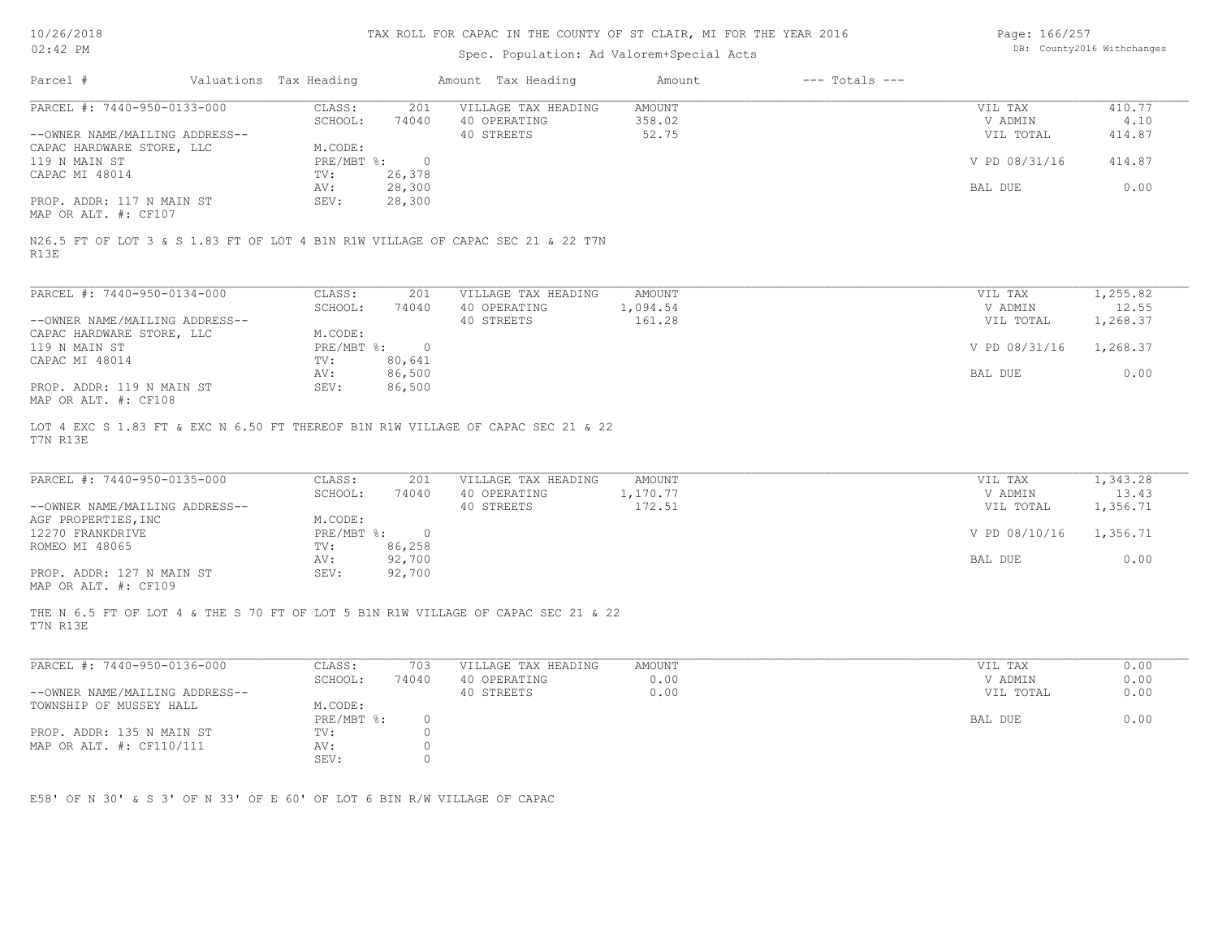## Spec. Population: Ad Valorem+Special Acts

Page: 166/257 DB: County2016 Withchanges

| Parcel #                                                                                                                                                                           | Valuations Tax Heading |                                                                  |                                                              | Amount Tax Heading                                                                                                                   | Amount                           | $---$ Totals $---$ |                                                             |                                            |
|------------------------------------------------------------------------------------------------------------------------------------------------------------------------------------|------------------------|------------------------------------------------------------------|--------------------------------------------------------------|--------------------------------------------------------------------------------------------------------------------------------------|----------------------------------|--------------------|-------------------------------------------------------------|--------------------------------------------|
| PARCEL #: 7440-950-0133-000<br>--OWNER NAME/MAILING ADDRESS--<br>CAPAC HARDWARE STORE, LLC<br>119 N MAIN ST<br>CAPAC MI 48014<br>PROP. ADDR: 117 N MAIN ST<br>MAP OR ALT. #: CF107 |                        | CLASS:<br>SCHOOL:<br>M.CODE:<br>PRE/MBT %:<br>TV:<br>AV:<br>SEV: | 201<br>74040<br>$\overline{0}$<br>26,378<br>28,300<br>28,300 | VILLAGE TAX HEADING<br>40 OPERATING<br>40 STREETS<br>N26.5 FT OF LOT 3 & S 1.83 FT OF LOT 4 B1N R1W VILLAGE OF CAPAC SEC 21 & 22 T7N | <b>AMOUNT</b><br>358.02<br>52.75 |                    | VIL TAX<br>V ADMIN<br>VIL TOTAL<br>V PD 08/31/16<br>BAL DUE | 410.77<br>4.10<br>414.87<br>414.87<br>0.00 |
| R13E                                                                                                                                                                               |                        |                                                                  |                                                              |                                                                                                                                      |                                  |                    |                                                             |                                            |
| PARCEL #: 7440-950-0134-000                                                                                                                                                        |                        | CLASS:<br>SCHOOL:                                                | 201<br>74040                                                 | VILLAGE TAX HEADING<br>40 OPERATING                                                                                                  | <b>AMOUNT</b><br>1,094.54        |                    | VIL TAX<br>V ADMIN                                          | 1,255.82<br>12.55                          |
| --OWNER NAME/MAILING ADDRESS--                                                                                                                                                     |                        |                                                                  |                                                              | 40 STREETS                                                                                                                           | 161.28                           |                    | VIL TOTAL                                                   | 1,268.37                                   |
| CAPAC HARDWARE STORE, LLC<br>119 N MAIN ST                                                                                                                                         |                        | M.CODE:<br>$PRE/MBT$ $\div$                                      | $\overline{0}$                                               |                                                                                                                                      |                                  |                    | V PD 08/31/16                                               | 1,268.37                                   |
| CAPAC MI 48014                                                                                                                                                                     |                        | TV:                                                              | 80,641                                                       |                                                                                                                                      |                                  |                    |                                                             | 0.00                                       |
| PROP. ADDR: 119 N MAIN ST<br>MAP OR ALT. #: CF108                                                                                                                                  |                        | AV:<br>SEV:                                                      | 86,500<br>86,500                                             |                                                                                                                                      |                                  |                    | BAL DUE                                                     |                                            |
| T7N R13E<br>PARCEL #: 7440-950-0135-000<br>--OWNER NAME/MAILING ADDRESS--                                                                                                          |                        | CLASS:<br>SCHOOL:                                                | 201<br>74040                                                 | VILLAGE TAX HEADING<br>40 OPERATING<br>40 STREETS                                                                                    | AMOUNT<br>1,170.77<br>172.51     |                    | VIL TAX<br>V ADMIN<br>VIL TOTAL                             | 1,343.28<br>13.43<br>1,356.71              |
| AGF PROPERTIES, INC<br>12270 FRANKDRIVE                                                                                                                                            |                        | M.CODE:<br>$PRE/MBT$ $\div$                                      | $\overline{0}$                                               |                                                                                                                                      |                                  |                    | V PD 08/10/16                                               | 1,356.71                                   |
| ROMEO MI 48065                                                                                                                                                                     |                        | TV:                                                              | 86,258                                                       |                                                                                                                                      |                                  |                    |                                                             |                                            |
| PROP. ADDR: 127 N MAIN ST<br>MAP OR ALT. #: CF109                                                                                                                                  |                        | AV:<br>SEV:                                                      | 92,700<br>92,700                                             |                                                                                                                                      |                                  |                    | BAL DUE                                                     | 0.00                                       |
| T7N R13E                                                                                                                                                                           |                        |                                                                  |                                                              | THE N 6.5 FT OF LOT 4 & THE S 70 FT OF LOT 5 B1N R1W VILLAGE OF CAPAC SEC 21 & 22                                                    |                                  |                    |                                                             |                                            |
| PARCEL #: 7440-950-0136-000                                                                                                                                                        |                        | CLASS:                                                           | 703                                                          | VILLAGE TAX HEADING                                                                                                                  | AMOUNT                           |                    | VIL TAX                                                     | 0.00                                       |
|                                                                                                                                                                                    |                        | SCHOOL:                                                          | 74040                                                        | 40 OPERATING<br>40 STREETS                                                                                                           | 0.00<br>0.00                     |                    | V ADMIN                                                     | 0.00<br>0.00                               |
| --OWNER NAME/MAILING ADDRESS--<br>TOWNSHIP OF MUSSEY HALL                                                                                                                          |                        | M.CODE:                                                          |                                                              |                                                                                                                                      |                                  |                    | VIL TOTAL                                                   |                                            |
| PROP. ADDR: 135 N MAIN ST                                                                                                                                                          |                        | PRE/MBT %:<br>TV:                                                | $\circ$<br>$\circ$                                           |                                                                                                                                      |                                  |                    | BAL DUE                                                     | 0.00                                       |
| MAP OR ALT. #: CF110/111                                                                                                                                                           |                        | AV:<br>SEV:                                                      | $\circ$<br>$\circ$                                           |                                                                                                                                      |                                  |                    |                                                             |                                            |
| E58' OF N 30' & S 3' OF N 33' OF E 60' OF LOT 6 BIN R/W VILLAGE OF CAPAC                                                                                                           |                        |                                                                  |                                                              |                                                                                                                                      |                                  |                    |                                                             |                                            |
|                                                                                                                                                                                    |                        |                                                                  |                                                              |                                                                                                                                      |                                  |                    |                                                             |                                            |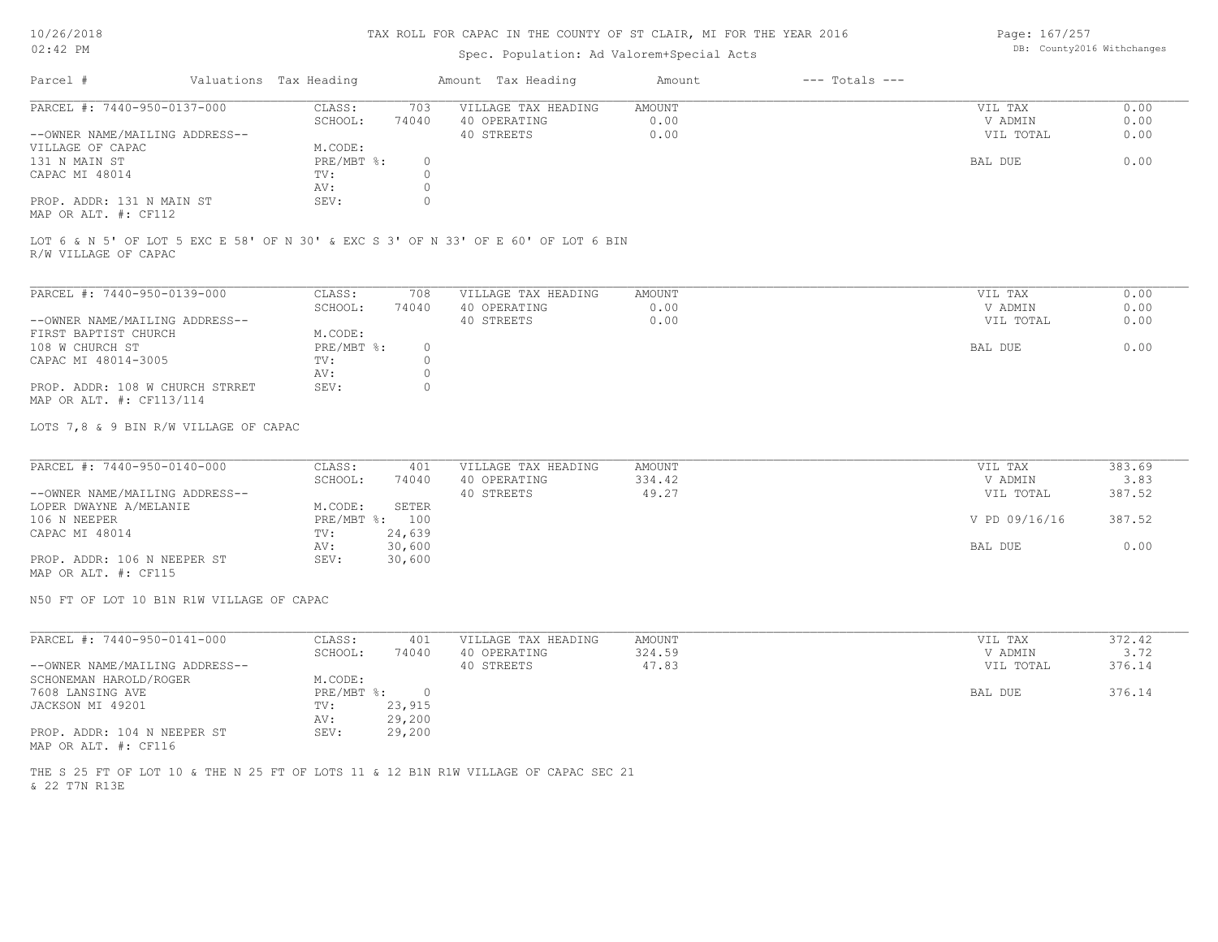## Spec. Population: Ad Valorem+Special Acts

Page: 167/257 DB: County2016 Withchanges

| Parcel #                       | Valuations Tax Heading |       | Amount Tax Heading  | Amount | $---$ Totals $---$ |           |      |
|--------------------------------|------------------------|-------|---------------------|--------|--------------------|-----------|------|
| PARCEL #: 7440-950-0137-000    | CLASS:                 | 703   | VILLAGE TAX HEADING | AMOUNT |                    | VIL TAX   | 0.00 |
|                                | SCHOOL:                | 74040 | 40 OPERATING        | 0.00   |                    | V ADMIN   | 0.00 |
| --OWNER NAME/MAILING ADDRESS-- |                        |       | 40 STREETS          | 0.00   |                    | VIL TOTAL | 0.00 |
| VILLAGE OF CAPAC               | M.CODE:                |       |                     |        |                    |           |      |
| 131 N MAIN ST                  | $PRE/MBT$ %:           |       |                     |        |                    | BAL DUE   | 0.00 |
| CAPAC MI 48014                 | TV:                    |       |                     |        |                    |           |      |
|                                | AV:                    |       |                     |        |                    |           |      |
| PROP. ADDR: 131 N MAIN ST      | SEV:                   |       |                     |        |                    |           |      |
| MAP OR ALT. #: CF112           |                        |       |                     |        |                    |           |      |

R/W VILLAGE OF CAPAC LOT 6 & N 5' OF LOT 5 EXC E 58' OF N 30' & EXC S 3' OF N 33' OF E 60' OF LOT 6 BIN

| PARCEL #: 7440-950-0139-000     | CLASS:     | 708      | VILLAGE TAX HEADING | AMOUNT | VIL TAX   | 0.00 |
|---------------------------------|------------|----------|---------------------|--------|-----------|------|
|                                 | SCHOOL:    | 74040    | 40 OPERATING        | 0.00   | V ADMIN   | 0.00 |
| --OWNER NAME/MAILING ADDRESS--  |            |          | 40 STREETS          | 0.00   | VIL TOTAL | 0.00 |
| FIRST BAPTIST CHURCH            | M.CODE:    |          |                     |        |           |      |
| 108 W CHURCH ST                 | PRE/MBT %: | $^{(1)}$ |                     |        | BAL DUE   | 0.00 |
| CAPAC MI 48014-3005             | TV:        |          |                     |        |           |      |
|                                 | AV:        |          |                     |        |           |      |
| PROP. ADDR: 108 W CHURCH STRRET | SEV:       |          |                     |        |           |      |
| MAP OR ALT. #: CF113/114        |            |          |                     |        |           |      |

LOTS 7,8 & 9 BIN R/W VILLAGE OF CAPAC

| PARCEL #: 7440-950-0140-000    | CLASS:  | 401            | VILLAGE TAX HEADING | AMOUNT | VIL TAX       | 383.69 |
|--------------------------------|---------|----------------|---------------------|--------|---------------|--------|
|                                | SCHOOL: | 74040          | 40 OPERATING        | 334.42 | V ADMIN       | 3.83   |
| --OWNER NAME/MAILING ADDRESS-- |         |                | 40 STREETS          | 49.27  | VIL TOTAL     | 387.52 |
| LOPER DWAYNE A/MELANIE         | M.CODE: | SETER          |                     |        |               |        |
| 106 N NEEPER                   |         | PRE/MBT %: 100 |                     |        | V PD 09/16/16 | 387.52 |
| CAPAC MI 48014                 | TV:     | 24,639         |                     |        |               |        |
|                                | AV:     | 30,600         |                     |        | BAL DUE       | 0.00   |
| PROP. ADDR: 106 N NEEPER ST    | SEV:    | 30,600         |                     |        |               |        |
| MAP OR ALT. #: CF115           |         |                |                     |        |               |        |

N50 FT OF LOT 10 B1N R1W VILLAGE OF CAPAC

| PARCEL #: 7440-950-0141-000    | CLASS:       | 401    | VILLAGE TAX HEADING | AMOUNT | VIL TAX   | 372.42 |
|--------------------------------|--------------|--------|---------------------|--------|-----------|--------|
|                                | SCHOOL:      | 74040  | 40 OPERATING        | 324.59 | V ADMIN   | 3.72   |
| --OWNER NAME/MAILING ADDRESS-- |              |        | 40 STREETS          | 47.83  | VIL TOTAL | 376.14 |
| SCHONEMAN HAROLD/ROGER         | M.CODE:      |        |                     |        |           |        |
| 7608 LANSING AVE               | $PRE/MBT$ %: |        |                     |        | BAL DUE   | 376.14 |
| JACKSON MI 49201               | TV:          | 23,915 |                     |        |           |        |
|                                | AV:          | 29,200 |                     |        |           |        |
| PROP. ADDR: 104 N NEEPER ST    | SEV:         | 29,200 |                     |        |           |        |
| MAP OR ALT. #: CF116           |              |        |                     |        |           |        |

& 22 T7N R13E THE S 25 FT OF LOT 10 & THE N 25 FT OF LOTS 11 & 12 B1N R1W VILLAGE OF CAPAC SEC 21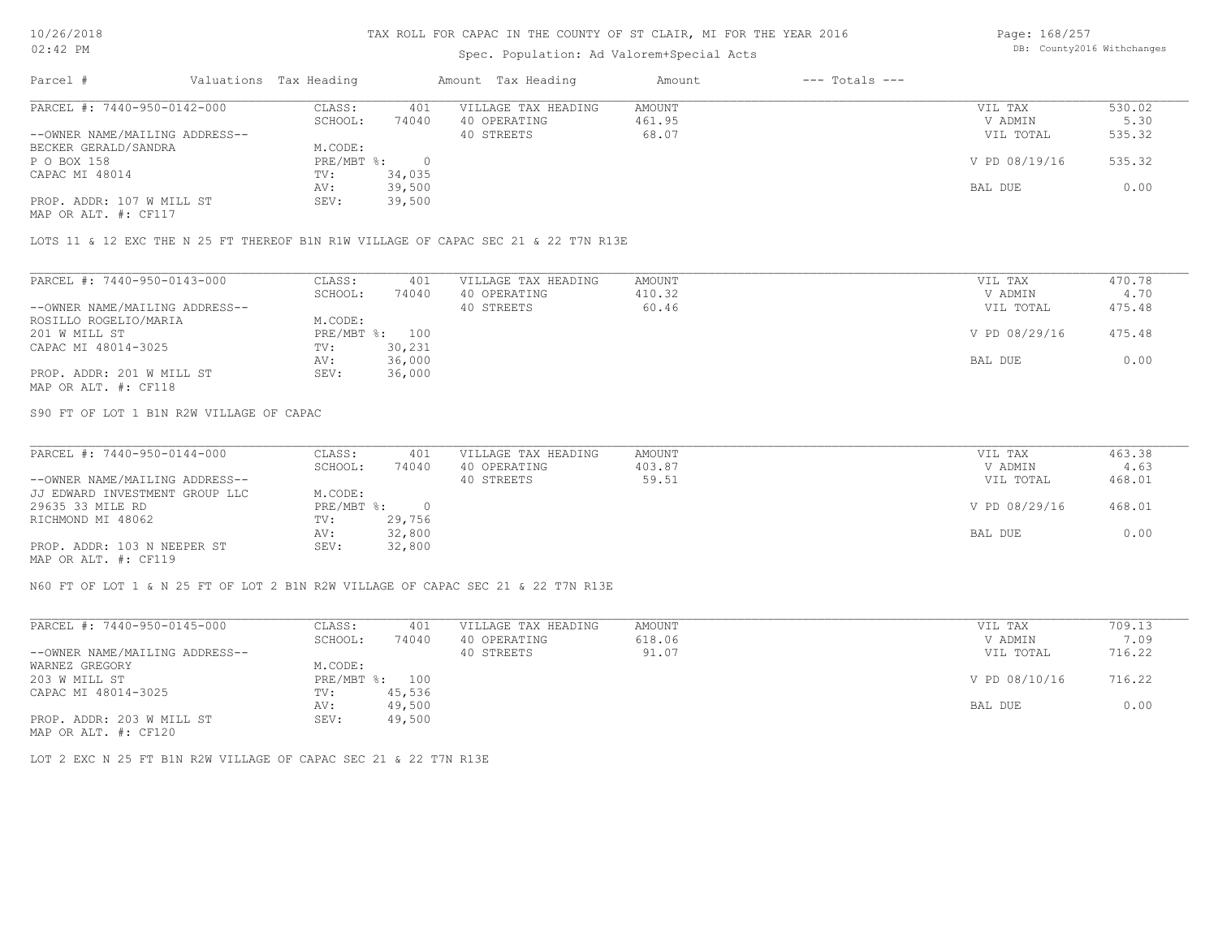## Spec. Population: Ad Valorem+Special Acts

Page: 168/257 DB: County2016 Withchanges

| Parcel #                       | Valuations Tax Heading |        | Amount Tax Heading  | Amount | $---$ Totals $---$ |               |        |
|--------------------------------|------------------------|--------|---------------------|--------|--------------------|---------------|--------|
| PARCEL #: 7440-950-0142-000    | CLASS:                 | 401    | VILLAGE TAX HEADING | AMOUNT |                    | VIL TAX       | 530.02 |
|                                | SCHOOL:                | 74040  | 40 OPERATING        | 461.95 |                    | V ADMIN       | 5.30   |
| --OWNER NAME/MAILING ADDRESS-- |                        |        | 40 STREETS          | 68.07  |                    | VIL TOTAL     | 535.32 |
| BECKER GERALD/SANDRA           | M.CODE:                |        |                     |        |                    |               |        |
| P O BOX 158                    | $PRE/MBT$ %:           |        |                     |        |                    | V PD 08/19/16 | 535.32 |
| CAPAC MI 48014                 | TV:                    | 34,035 |                     |        |                    |               |        |
|                                | AV:                    | 39,500 |                     |        |                    | BAL DUE       | 0.00   |
| PROP. ADDR: 107 W MILL ST      | SEV:                   | 39,500 |                     |        |                    |               |        |
| MAP OR ALT. #: CF117           |                        |        |                     |        |                    |               |        |

LOTS 11 & 12 EXC THE N 25 FT THEREOF B1N R1W VILLAGE OF CAPAC SEC 21 & 22 T7N R13E

| PARCEL #: 7440-950-0143-000    | CLASS:  | 401            | VILLAGE TAX HEADING | AMOUNT | VIL TAX       | 470.78 |
|--------------------------------|---------|----------------|---------------------|--------|---------------|--------|
|                                | SCHOOL: | 74040          | 40 OPERATING        | 410.32 | V ADMIN       | 4.70   |
| --OWNER NAME/MAILING ADDRESS-- |         |                | 40 STREETS          | 60.46  | VIL TOTAL     | 475.48 |
| ROSILLO ROGELIO/MARIA          | M.CODE: |                |                     |        |               |        |
| 201 W MILL ST                  |         | PRE/MBT %: 100 |                     |        | V PD 08/29/16 | 475.48 |
| CAPAC MI 48014-3025            | TV:     | 30,231         |                     |        |               |        |
|                                | AV:     | 36,000         |                     |        | BAL DUE       | 0.00   |
| PROP. ADDR: 201 W MILL ST      | SEV:    | 36,000         |                     |        |               |        |
| MAP OR ALT. #: CF118           |         |                |                     |        |               |        |

S90 FT OF LOT 1 B1N R2W VILLAGE OF CAPAC

| PARCEL #: 7440-950-0144-000    | CLASS:     | 401    | VILLAGE TAX HEADING | AMOUNT | VIL TAX       | 463.38 |
|--------------------------------|------------|--------|---------------------|--------|---------------|--------|
|                                | SCHOOL:    | 74040  | 40 OPERATING        | 403.87 | V ADMIN       | 4.63   |
| --OWNER NAME/MAILING ADDRESS-- |            |        | 40 STREETS          | 59.51  | VIL TOTAL     | 468.01 |
| JJ EDWARD INVESTMENT GROUP LLC | M.CODE:    |        |                     |        |               |        |
| 29635 33 MILE RD               | PRE/MBT %: |        |                     |        | V PD 08/29/16 | 468.01 |
| RICHMOND MI 48062              | TV:        | 29,756 |                     |        |               |        |
|                                | AV:        | 32,800 |                     |        | BAL DUE       | 0.00   |
| PROP. ADDR: 103 N NEEPER ST    | SEV:       | 32,800 |                     |        |               |        |
| $\frac{1}{2}$                  |            |        |                     |        |               |        |

MAP OR ALT. #: CF119

N60 FT OF LOT 1 & N 25 FT OF LOT 2 B1N R2W VILLAGE OF CAPAC SEC 21 & 22 T7N R13E

| PARCEL #: 7440-950-0145-000    | CLASS:  | 401            | VILLAGE TAX HEADING | AMOUNT | VIL TAX       | 709.13 |
|--------------------------------|---------|----------------|---------------------|--------|---------------|--------|
|                                | SCHOOL: | 74040          | 40 OPERATING        | 618.06 | V ADMIN       | 7.09   |
| --OWNER NAME/MAILING ADDRESS-- |         |                | 40 STREETS          | 91.07  | VIL TOTAL     | 716.22 |
| WARNEZ GREGORY                 | M.CODE: |                |                     |        |               |        |
| 203 W MILL ST                  |         | PRE/MBT %: 100 |                     |        | V PD 08/10/16 | 716.22 |
| CAPAC MI 48014-3025            | TV:     | 45,536         |                     |        |               |        |
|                                | AV:     | 49,500         |                     |        | BAL DUE       | 0.00   |
| PROP. ADDR: 203 W MILL ST      | SEV:    | 49,500         |                     |        |               |        |
| MAP OR ALT. #: CF120           |         |                |                     |        |               |        |

LOT 2 EXC N 25 FT B1N R2W VILLAGE OF CAPAC SEC 21 & 22 T7N R13E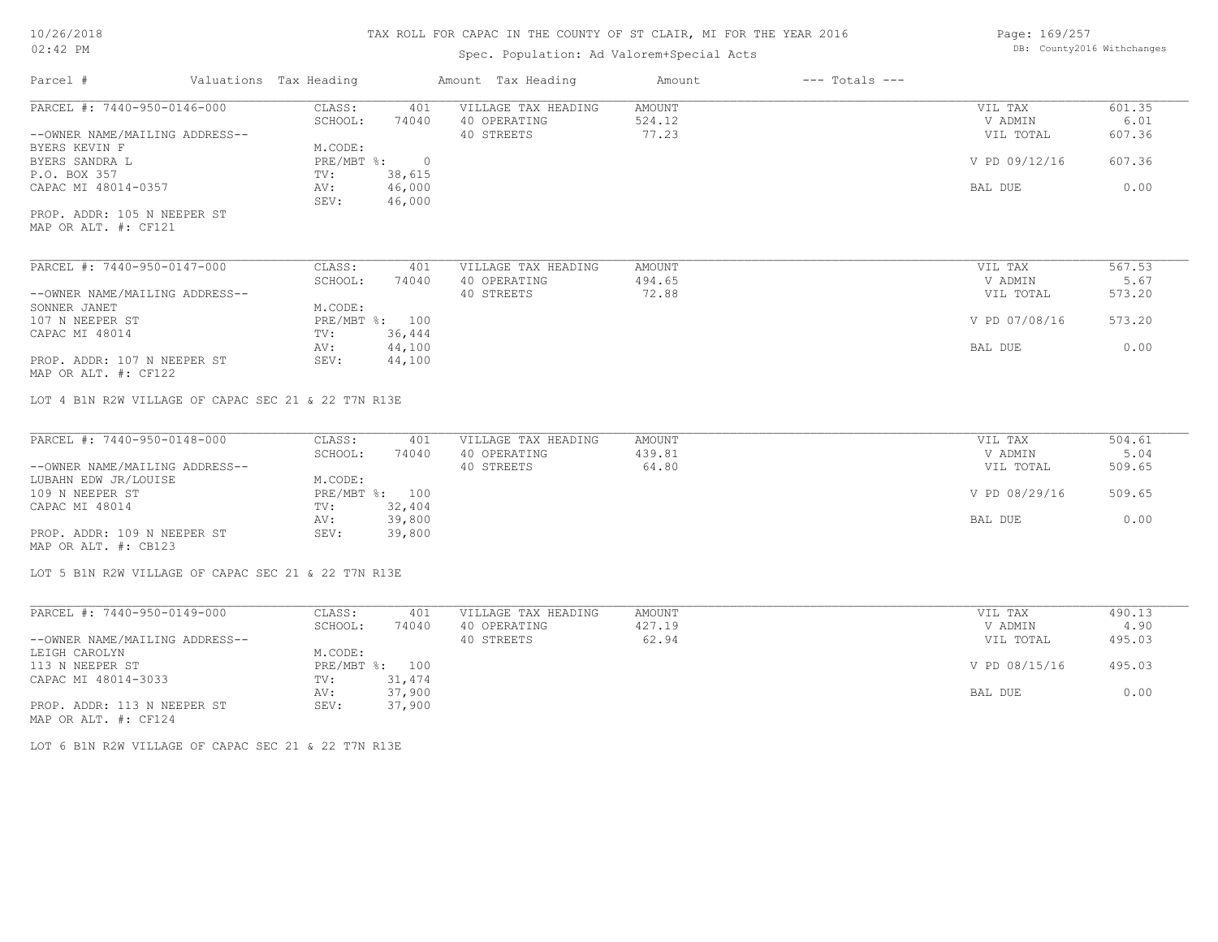## Spec. Population: Ad Valorem+Special Acts

Page: 169/257 DB: County2016 Withchanges

| Parcel #                                                      | Valuations Tax Heading |              | Amount Tax Heading                                | Amount                    | $---$ Totals $---$ |                    |                          |
|---------------------------------------------------------------|------------------------|--------------|---------------------------------------------------|---------------------------|--------------------|--------------------|--------------------------|
| PARCEL #: 7440-950-0146-000                                   | CLASS:                 | 401          | VILLAGE TAX HEADING                               | AMOUNT                    |                    | VIL TAX            | 601.35                   |
|                                                               | SCHOOL:                | 74040        | 40 OPERATING                                      | 524.12                    |                    | V ADMIN            | 6.01                     |
| --OWNER NAME/MAILING ADDRESS--                                |                        |              | 40 STREETS                                        | 77.23                     |                    | VIL TOTAL          | 607.36                   |
| BYERS KEVIN F                                                 | M.CODE:                |              |                                                   |                           |                    |                    |                          |
| BYERS SANDRA L                                                | PRE/MBT %: 0           |              |                                                   |                           |                    | V PD 09/12/16      | 607.36                   |
| P.O. BOX 357                                                  | TV:                    | 38,615       |                                                   |                           |                    |                    |                          |
| CAPAC MI 48014-0357                                           | AV:                    | 46,000       |                                                   |                           |                    | BAL DUE            | 0.00                     |
|                                                               | SEV:                   | 46,000       |                                                   |                           |                    |                    |                          |
| PROP. ADDR: 105 N NEEPER ST<br>MAP OR ALT. #: CF121           |                        |              |                                                   |                           |                    |                    |                          |
|                                                               |                        |              |                                                   |                           |                    |                    |                          |
| PARCEL #: 7440-950-0147-000                                   | CLASS:                 | 401          | VILLAGE TAX HEADING                               | AMOUNT                    |                    | VIL TAX            | 567.53                   |
|                                                               | SCHOOL:                | 74040        | 40 OPERATING                                      | 494.65                    |                    | V ADMIN            | 5.67                     |
| --OWNER NAME/MAILING ADDRESS--                                |                        |              | 40 STREETS                                        | 72.88                     |                    | VIL TOTAL          | 573.20                   |
| SONNER JANET                                                  | M.CODE:                |              |                                                   |                           |                    |                    |                          |
| 107 N NEEPER ST                                               | PRE/MBT %: 100         |              |                                                   |                           |                    | V PD 07/08/16      | 573.20                   |
| CAPAC MI 48014                                                | TV:                    | 36,444       |                                                   |                           |                    |                    |                          |
|                                                               | AV:                    | 44,100       |                                                   |                           |                    | BAL DUE            | 0.00                     |
| PROP. ADDR: 107 N NEEPER ST                                   | SEV:                   | 44,100       |                                                   |                           |                    |                    |                          |
| MAP OR ALT. #: CF122                                          |                        |              |                                                   |                           |                    |                    |                          |
| PARCEL #: 7440-950-0148-000<br>--OWNER NAME/MAILING ADDRESS-- | CLASS:<br>SCHOOL:      | 401<br>74040 | VILLAGE TAX HEADING<br>40 OPERATING<br>40 STREETS | AMOUNT<br>439.81<br>64.80 |                    | VIL TAX<br>V ADMIN | 504.61<br>5.04<br>509.65 |
| LUBAHN EDW JR/LOUISE                                          | M.CODE:                |              |                                                   |                           |                    | VIL TOTAL          |                          |
|                                                               | PRE/MBT %: 100         |              |                                                   |                           |                    |                    | 509.65                   |
| 109 N NEEPER ST<br>CAPAC MI 48014                             | TV:                    | 32,404       |                                                   |                           |                    | V PD 08/29/16      |                          |
|                                                               | AV:                    | 39,800       |                                                   |                           |                    | BAL DUE            | 0.00                     |
| PROP. ADDR: 109 N NEEPER ST                                   | SEV:                   | 39,800       |                                                   |                           |                    |                    |                          |
| MAP OR ALT. #: CB123                                          |                        |              |                                                   |                           |                    |                    |                          |
| LOT 5 B1N R2W VILLAGE OF CAPAC SEC 21 & 22 T7N R13E           |                        |              |                                                   |                           |                    |                    |                          |
|                                                               |                        |              |                                                   |                           |                    |                    |                          |
| PARCEL #: 7440-950-0149-000                                   | CLASS:                 | 401          | VILLAGE TAX HEADING                               | AMOUNT                    |                    | VIL TAX            | 490.13                   |
|                                                               | SCHOOL:                | 74040        | 40 OPERATING                                      | 427.19                    |                    | V ADMIN            | 4.90                     |
| --OWNER NAME/MAILING ADDRESS--                                |                        |              | 40 STREETS                                        | 62.94                     |                    | VIL TOTAL          | 495.03                   |
| LEIGH CAROLYN                                                 | M.CODE:                |              |                                                   |                           |                    |                    |                          |
| 113 N NEEPER ST                                               | PRE/MBT %: 100         |              |                                                   |                           |                    | V PD 08/15/16      | 495.03                   |
| CAPAC MI 48014-3033                                           | TV:                    | 31,474       |                                                   |                           |                    |                    |                          |
|                                                               | AV:                    | 37,900       |                                                   |                           |                    | BAL DUE            | 0.00                     |

AV: 37,900 BAL DUE 0.00

MAP OR ALT. #: CF124 PROP. ADDR: 113 N NEEPER ST SEV: 37,900

LOT 6 B1N R2W VILLAGE OF CAPAC SEC 21 & 22 T7N R13E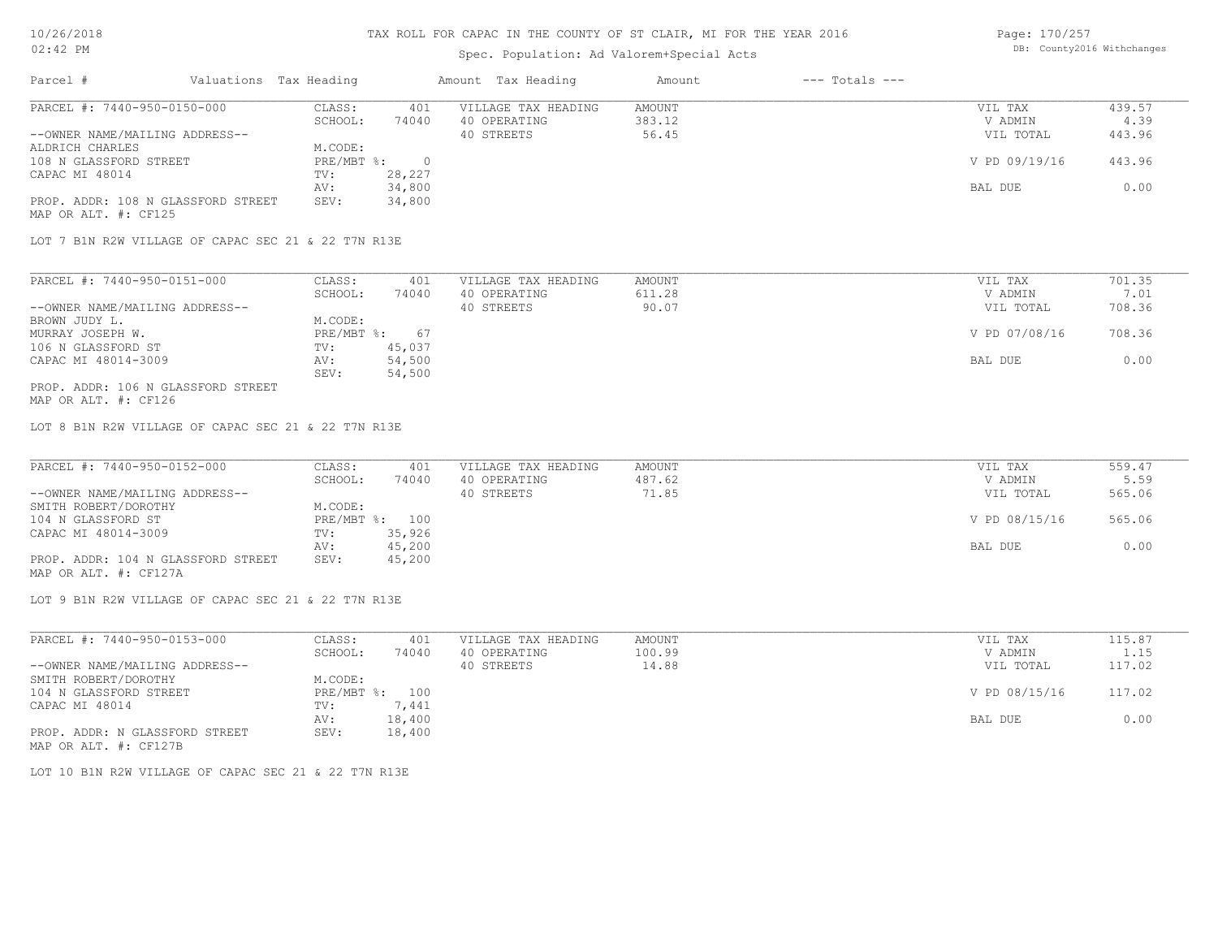### Spec. Population: Ad Valorem+Special Acts

Page: 170/257 DB: County2016 Withchanges

| Parcel #                           | Valuations Tax Heading |        | Amount Tax Heading  | Amount | $---$ Totals $---$ |               |        |
|------------------------------------|------------------------|--------|---------------------|--------|--------------------|---------------|--------|
| PARCEL #: 7440-950-0150-000        | CLASS:                 | 401    | VILLAGE TAX HEADING | AMOUNT |                    | VIL TAX       | 439.57 |
|                                    | SCHOOL:                | 74040  | 40 OPERATING        | 383.12 |                    | V ADMIN       | 4.39   |
| --OWNER NAME/MAILING ADDRESS--     |                        |        | 40 STREETS          | 56.45  |                    | VIL TOTAL     | 443.96 |
| ALDRICH CHARLES                    | M.CODE:                |        |                     |        |                    |               |        |
| 108 N GLASSFORD STREET             | PRE/MBT %:             |        |                     |        |                    | V PD 09/19/16 | 443.96 |
| CAPAC MI 48014                     | TV:                    | 28,227 |                     |        |                    |               |        |
|                                    | AV:                    | 34,800 |                     |        |                    | BAL DUE       | 0.00   |
| PROP. ADDR: 108 N GLASSFORD STREET | SEV:                   | 34,800 |                     |        |                    |               |        |
| MAP OR ALT. #: CF125               |                        |        |                     |        |                    |               |        |

LOT 7 B1N R2W VILLAGE OF CAPAC SEC 21 & 22 T7N R13E

| PARCEL #: 7440-950-0151-000        | CLASS:     | 401    | VILLAGE TAX HEADING | AMOUNT | VIL TAX       | 701.35 |
|------------------------------------|------------|--------|---------------------|--------|---------------|--------|
|                                    | SCHOOL:    | 74040  | 40 OPERATING        | 611.28 | V ADMIN       | 7.01   |
| --OWNER NAME/MAILING ADDRESS--     |            |        | 40 STREETS          | 90.07  | VIL TOTAL     | 708.36 |
| BROWN JUDY L.                      | M.CODE:    |        |                     |        |               |        |
| MURRAY JOSEPH W.                   | PRE/MBT %: | 67     |                     |        | V PD 07/08/16 | 708.36 |
| 106 N GLASSFORD ST                 | TV:        | 45,037 |                     |        |               |        |
| CAPAC MI 48014-3009                | AV:        | 54,500 |                     |        | BAL DUE       | 0.00   |
|                                    | SEV:       | 54,500 |                     |        |               |        |
| PROP. ADDR: 106 N GLASSFORD STREET |            |        |                     |        |               |        |

MAP OR ALT. #: CF126

LOT 8 B1N R2W VILLAGE OF CAPAC SEC 21 & 22 T7N R13E

| PARCEL #: 7440-950-0152-000        | CLASS:  | 401            | VILLAGE TAX HEADING | AMOUNT | VIL TAX       | 559.47 |
|------------------------------------|---------|----------------|---------------------|--------|---------------|--------|
|                                    | SCHOOL: | 74040          | 40 OPERATING        | 487.62 | V ADMIN       | 5.59   |
| --OWNER NAME/MAILING ADDRESS--     |         |                | 40 STREETS          | 71.85  | VIL TOTAL     | 565.06 |
| SMITH ROBERT/DOROTHY               | M.CODE: |                |                     |        |               |        |
| 104 N GLASSFORD ST                 |         | PRE/MBT %: 100 |                     |        | V PD 08/15/16 | 565.06 |
| CAPAC MI 48014-3009                | TV:     | 35,926         |                     |        |               |        |
|                                    | AV:     | 45,200         |                     |        | BAL DUE       | 0.00   |
| PROP. ADDR: 104 N GLASSFORD STREET | SEV:    | 45,200         |                     |        |               |        |
| MAP OR ALT. #: CF127A              |         |                |                     |        |               |        |

LOT 9 B1N R2W VILLAGE OF CAPAC SEC 21 & 22 T7N R13E

| PARCEL #: 7440-950-0153-000    | CLASS:  | 401            | VILLAGE TAX HEADING | AMOUNT | VIL TAX       | 115.87 |
|--------------------------------|---------|----------------|---------------------|--------|---------------|--------|
|                                | SCHOOL: | 74040          | 40 OPERATING        | 100.99 | V ADMIN       | 1.15   |
| --OWNER NAME/MAILING ADDRESS-- |         |                | 40 STREETS          | 14.88  | VIL TOTAL     | 117.02 |
| SMITH ROBERT/DOROTHY           | M.CODE: |                |                     |        |               |        |
| 104 N GLASSFORD STREET         |         | PRE/MBT %: 100 |                     |        | V PD 08/15/16 | 117.02 |
| CAPAC MI 48014                 | TV:     | 7.441          |                     |        |               |        |
|                                | AV:     | 18,400         |                     |        | BAL DUE       | 0.00   |
| PROP. ADDR: N GLASSFORD STREET | SEV:    | 18,400         |                     |        |               |        |
| MAP OR ALT. #: CF127B          |         |                |                     |        |               |        |

LOT 10 B1N R2W VILLAGE OF CAPAC SEC 21 & 22 T7N R13E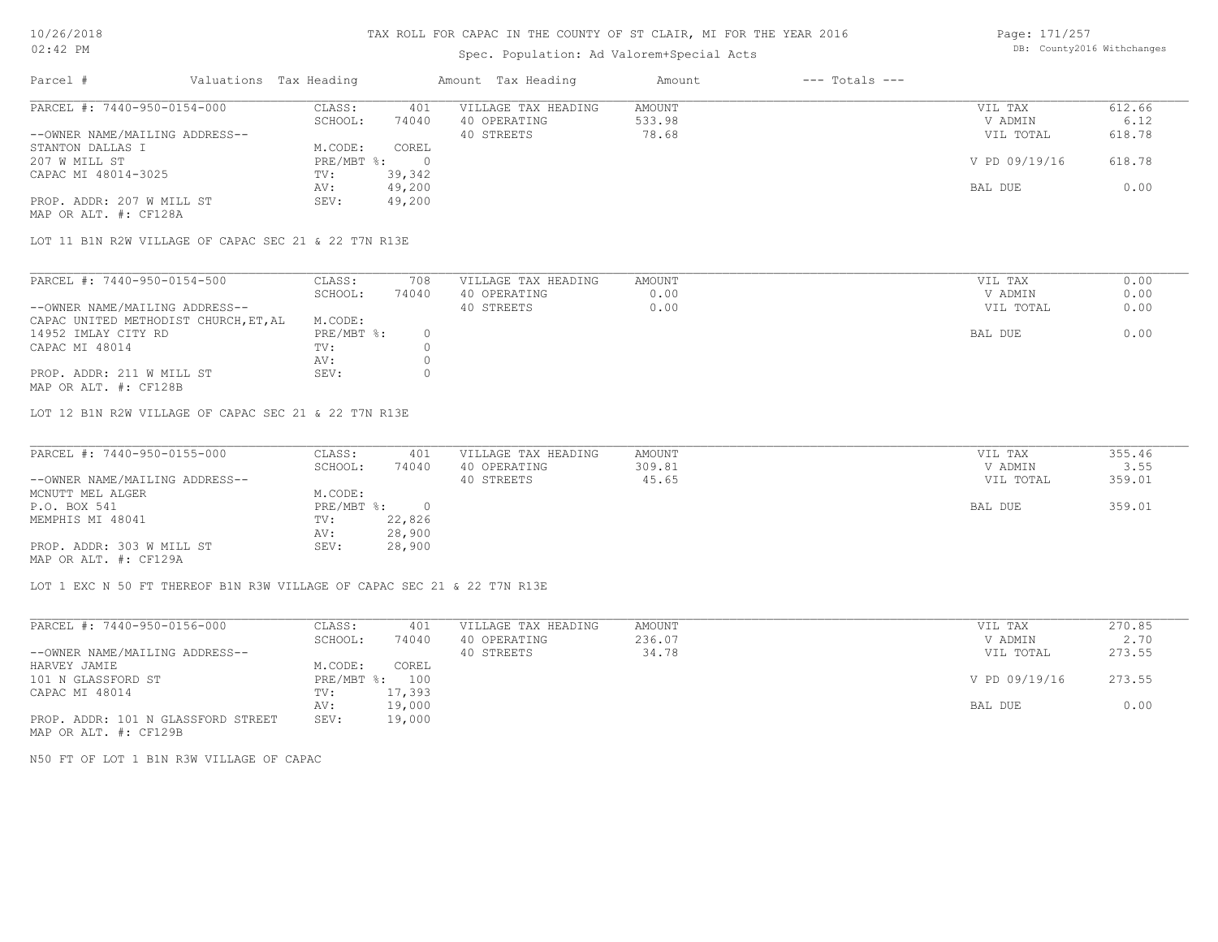## Spec. Population: Ad Valorem+Special Acts

Page: 171/257 DB: County2016 Withchanges

| Parcel #                       | Valuations Tax Heading |        | Amount Tax Heading  | Amount | $---$ Totals $---$ |               |        |
|--------------------------------|------------------------|--------|---------------------|--------|--------------------|---------------|--------|
| PARCEL #: 7440-950-0154-000    | CLASS:                 | 401    | VILLAGE TAX HEADING | AMOUNT |                    | VIL TAX       | 612.66 |
|                                | SCHOOL:                | 74040  | 40 OPERATING        | 533.98 |                    | V ADMIN       | 6.12   |
| --OWNER NAME/MAILING ADDRESS-- |                        |        | 40 STREETS          | 78.68  |                    | VIL TOTAL     | 618.78 |
| STANTON DALLAS I               | M.CODE:                | COREL  |                     |        |                    |               |        |
| 207 W MILL ST                  | $PRE/MBT$ %:           |        |                     |        |                    | V PD 09/19/16 | 618.78 |
| CAPAC MI 48014-3025            | TV:                    | 39,342 |                     |        |                    |               |        |
|                                | AV:                    | 49,200 |                     |        |                    | BAL DUE       | 0.00   |
| PROP. ADDR: 207 W MILL ST      | SEV:                   | 49,200 |                     |        |                    |               |        |
| MAP OR ALT. #: CF128A          |                        |        |                     |        |                    |               |        |

LOT 11 B1N R2W VILLAGE OF CAPAC SEC 21 & 22 T7N R13E

| SCHOOL:<br>74040<br>40 OPERATING<br>0.00<br>0.00<br>--OWNER NAME/MAILING ADDRESS--<br>40 STREETS | V ADMIN<br>VIL TOTAL | 0.00 |
|--------------------------------------------------------------------------------------------------|----------------------|------|
|                                                                                                  |                      |      |
|                                                                                                  |                      | 0.00 |
| CAPAC UNITED METHODIST CHURCH, ET, AL<br>M.CODE:                                                 |                      |      |
| PRE/MBT %:<br>14952 IMLAY CITY RD                                                                | BAL DUE              | 0.00 |
| CAPAC MI 48014<br>TV:                                                                            |                      |      |
| AV:                                                                                              |                      |      |
| PROP. ADDR: 211 W MILL ST<br>SEV:                                                                |                      |      |

MAP OR ALT. #: CF128B

LOT 12 B1N R2W VILLAGE OF CAPAC SEC 21 & 22 T7N R13E

| PARCEL #: 7440-950-0155-000    | CLASS:     | 401    | VILLAGE TAX HEADING | AMOUNT | VIL TAX   | 355.46 |
|--------------------------------|------------|--------|---------------------|--------|-----------|--------|
|                                | SCHOOL:    | 74040  | 40 OPERATING        | 309.81 | V ADMIN   | 3.55   |
| --OWNER NAME/MAILING ADDRESS-- |            |        | 40 STREETS          | 45.65  | VIL TOTAL | 359.01 |
| MCNUTT MEL ALGER               | M.CODE:    |        |                     |        |           |        |
| P.O. BOX 541                   | PRE/MBT %: |        |                     |        | BAL DUE   | 359.01 |
| MEMPHIS MI 48041               | TV:        | 22,826 |                     |        |           |        |
|                                | AV:        | 28,900 |                     |        |           |        |
| PROP. ADDR: 303 W MILL ST      | SEV:       | 28,900 |                     |        |           |        |
| MAP OR ALT. #: CF129A          |            |        |                     |        |           |        |

LOT 1 EXC N 50 FT THEREOF B1N R3W VILLAGE OF CAPAC SEC 21 & 22 T7N R13E

| PARCEL #: 7440-950-0156-000        | CLASS:       | 401    | VILLAGE TAX HEADING | AMOUNT | VIL TAX       | 270.85 |
|------------------------------------|--------------|--------|---------------------|--------|---------------|--------|
|                                    | SCHOOL:      | 74040  | 40 OPERATING        | 236.07 | V ADMIN       | 2.70   |
| --OWNER NAME/MAILING ADDRESS--     |              |        | 40 STREETS          | 34.78  | VIL TOTAL     | 273.55 |
| HARVEY JAMIE                       | M.CODE:      | COREL  |                     |        |               |        |
| 101 N GLASSFORD ST                 | $PRE/MBT$ %: | 100    |                     |        | V PD 09/19/16 | 273.55 |
| CAPAC MI 48014                     | TV:          | 17,393 |                     |        |               |        |
|                                    | AV:          | 19,000 |                     |        | BAL DUE       | 0.00   |
| PROP. ADDR: 101 N GLASSFORD STREET | SEV:         | 19,000 |                     |        |               |        |

MAP OR ALT. #: CF129B

N50 FT OF LOT 1 B1N R3W VILLAGE OF CAPAC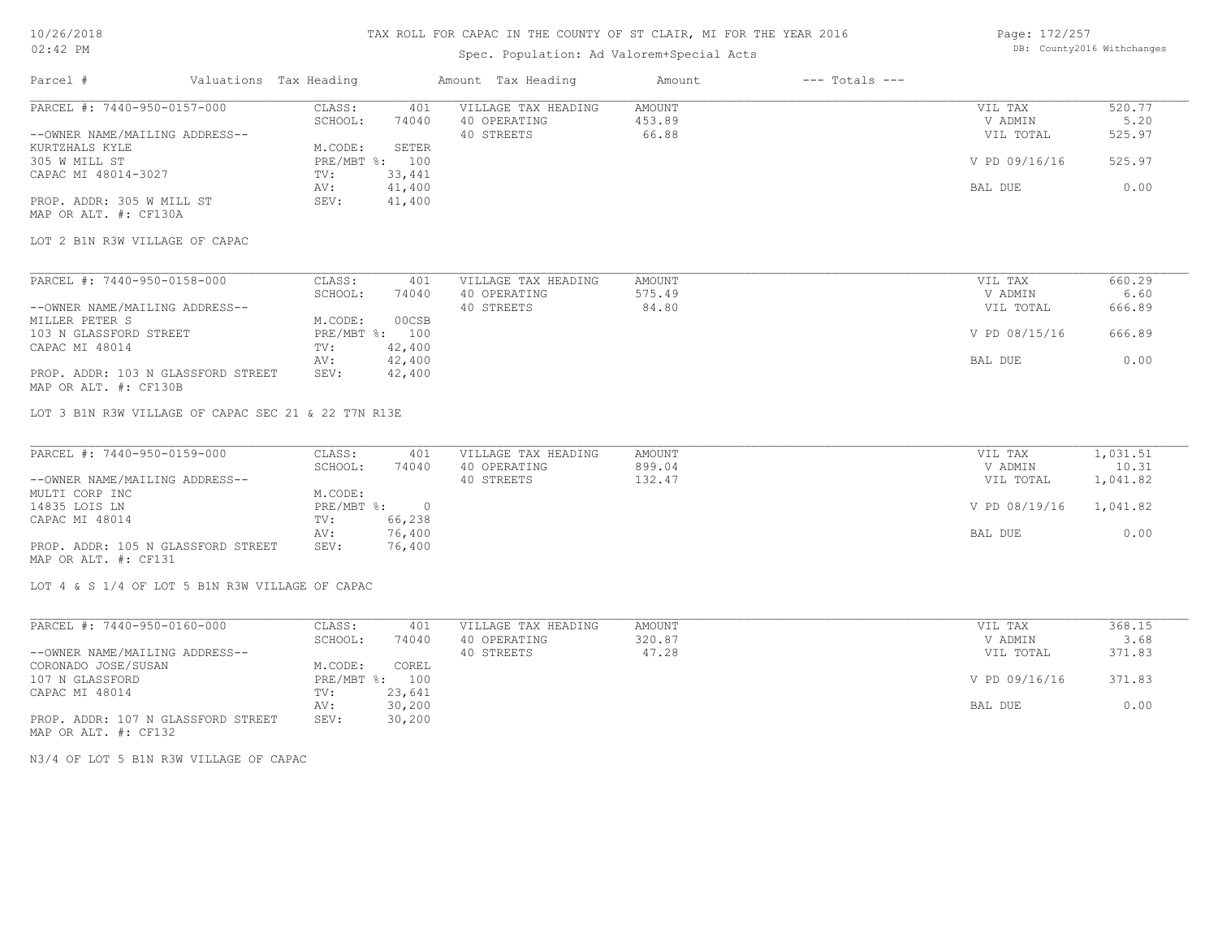## Spec. Population: Ad Valorem+Special Acts

Page: 172/257 DB: County2016 Withchanges

| Parcel #                                                    | Valuations Tax Heading |                |                  | Amount Tax Heading  | Amount | $---$ Totals $---$ |               |          |
|-------------------------------------------------------------|------------------------|----------------|------------------|---------------------|--------|--------------------|---------------|----------|
| PARCEL #: 7440-950-0157-000                                 |                        | CLASS:         | 401              | VILLAGE TAX HEADING | AMOUNT |                    | VIL TAX       | 520.77   |
|                                                             |                        | SCHOOL:        | 74040            | 40 OPERATING        | 453.89 |                    | V ADMIN       | 5.20     |
| --OWNER NAME/MAILING ADDRESS--                              |                        |                |                  | 40 STREETS          | 66.88  |                    | VIL TOTAL     | 525.97   |
| KURTZHALS KYLE                                              |                        | M.CODE:        | SETER            |                     |        |                    |               |          |
| 305 W MILL ST                                               |                        | PRE/MBT %: 100 |                  |                     |        |                    | V PD 09/16/16 | 525.97   |
| CAPAC MI 48014-3027                                         |                        | TV:<br>AV:     | 33,441<br>41,400 |                     |        |                    | BAL DUE       | 0.00     |
| PROP. ADDR: 305 W MILL ST                                   |                        | SEV:           | 41,400           |                     |        |                    |               |          |
| MAP OR ALT. #: CF130A                                       |                        |                |                  |                     |        |                    |               |          |
| LOT 2 B1N R3W VILLAGE OF CAPAC                              |                        |                |                  |                     |        |                    |               |          |
| PARCEL #: 7440-950-0158-000                                 |                        | CLASS:         | 401              | VILLAGE TAX HEADING | AMOUNT |                    | VIL TAX       | 660.29   |
|                                                             |                        | SCHOOL:        | 74040            | 40 OPERATING        | 575.49 |                    | V ADMIN       | 6.60     |
| --OWNER NAME/MAILING ADDRESS--                              |                        |                |                  | 40 STREETS          | 84.80  |                    | VIL TOTAL     | 666.89   |
| MILLER PETER S                                              |                        | M.CODE:        | 00CSB            |                     |        |                    |               |          |
| 103 N GLASSFORD STREET                                      |                        | PRE/MBT %: 100 |                  |                     |        |                    | V PD 08/15/16 | 666.89   |
| CAPAC MI 48014                                              |                        | TV:            | 42,400           |                     |        |                    |               |          |
|                                                             |                        |                |                  |                     |        |                    |               |          |
| PROP. ADDR: 103 N GLASSFORD STREET<br>MAP OR ALT. #: CF130B |                        | AV:<br>SEV:    | 42,400<br>42,400 |                     |        |                    | BAL DUE       | 0.00     |
| LOT 3 B1N R3W VILLAGE OF CAPAC SEC 21 & 22 T7N R13E         |                        |                |                  |                     |        |                    |               |          |
| PARCEL #: 7440-950-0159-000                                 |                        | CLASS:         | 401              | VILLAGE TAX HEADING | AMOUNT |                    | VIL TAX       | 1,031.51 |
|                                                             |                        | SCHOOL:        | 74040            | 40 OPERATING        | 899.04 |                    | V ADMIN       | 10.31    |
| --OWNER NAME/MAILING ADDRESS--                              |                        |                |                  | 40 STREETS          | 132.47 |                    | VIL TOTAL     | 1,041.82 |
| MULTI CORP INC                                              |                        | M.CODE:        |                  |                     |        |                    |               |          |
| 14835 LOIS LN                                               |                        | PRE/MBT %:     | $\overline{0}$   |                     |        |                    | V PD 08/19/16 | 1,041.82 |
| CAPAC MI 48014                                              |                        | TV:            | 66,238           |                     |        |                    |               |          |
|                                                             |                        | AV:            | 76,400           |                     |        |                    | BAL DUE       | 0.00     |
| PROP. ADDR: 105 N GLASSFORD STREET<br>MAP OR ALT. #: CF131  |                        | SEV:           | 76,400           |                     |        |                    |               |          |
| LOT 4 & S 1/4 OF LOT 5 B1N R3W VILLAGE OF CAPAC             |                        |                |                  |                     |        |                    |               |          |
| PARCEL #: 7440-950-0160-000                                 |                        | CLASS:         | 401              | VILLAGE TAX HEADING | AMOUNT |                    | VIL TAX       | 368.15   |
|                                                             |                        | SCHOOL:        | 74040            | 40 OPERATING        | 320.87 |                    | V ADMIN       | 3.68     |
| --OWNER NAME/MAILING ADDRESS--                              |                        |                |                  | 40 STREETS          | 47.28  |                    | VIL TOTAL     | 371.83   |
| CORONADO JOSE/SUSAN                                         |                        | M.CODE:        | COREL            |                     |        |                    |               |          |

MAP OR ALT. #: CF132 PROP. ADDR: 107 N GLASSFORD STREET SEV: 30,200 AV: 30,200 BAL DUE 0.00 CAPAC MI 48014 TV: 23,641<br>
AV: 30,200 107 N GLASSFORD PRE/MBT %: 100 V PD 09/16/16 371.83

N3/4 OF LOT 5 B1N R3W VILLAGE OF CAPAC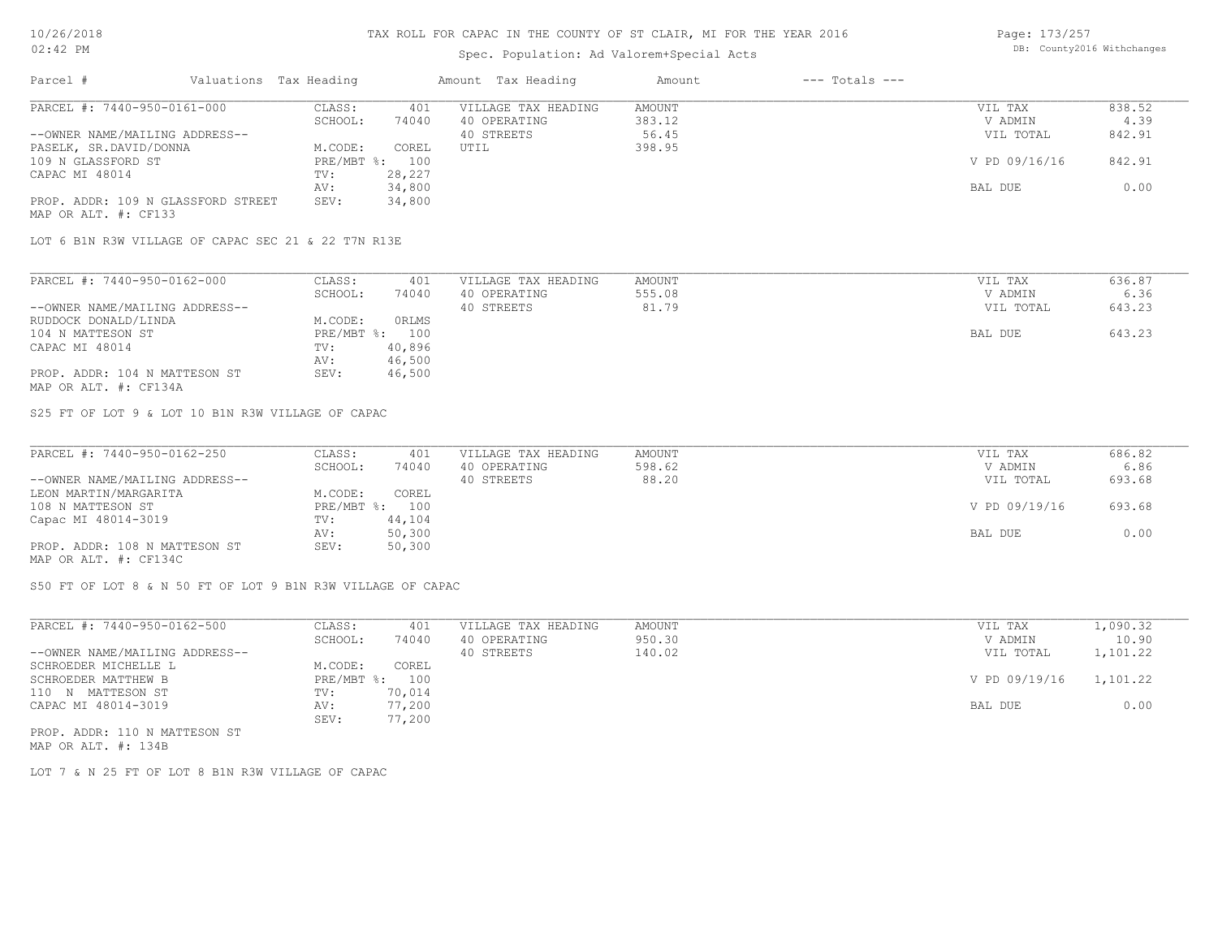## Spec. Population: Ad Valorem+Special Acts

| Page: 173/257 |                            |
|---------------|----------------------------|
|               | DB: County2016 Withchanges |

| Parcel #                           | Valuations Tax Heading |        | Amount Tax Heading  | Amount | $---$ Totals $---$ |               |        |
|------------------------------------|------------------------|--------|---------------------|--------|--------------------|---------------|--------|
| PARCEL #: 7440-950-0161-000        | CLASS:                 | 401    | VILLAGE TAX HEADING | AMOUNT |                    | VIL TAX       | 838.52 |
|                                    | SCHOOL:                | 74040  | 40 OPERATING        | 383.12 |                    | V ADMIN       | 4.39   |
| --OWNER NAME/MAILING ADDRESS--     |                        |        | 40 STREETS          | 56.45  |                    | VIL TOTAL     | 842.91 |
| PASELK, SR.DAVID/DONNA             | M.CODE:                | COREL  | UTIL                | 398.95 |                    |               |        |
| 109 N GLASSFORD ST                 | PRE/MBT %: 100         |        |                     |        |                    | V PD 09/16/16 | 842.91 |
| CAPAC MI 48014                     | TV:                    | 28,227 |                     |        |                    |               |        |
|                                    | AV:                    | 34,800 |                     |        |                    | BAL DUE       | 0.00   |
| PROP. ADDR: 109 N GLASSFORD STREET | SEV:                   | 34,800 |                     |        |                    |               |        |
| MAP OR ALT. #: CF133               |                        |        |                     |        |                    |               |        |

LOT 6 B1N R3W VILLAGE OF CAPAC SEC 21 & 22 T7N R13E

| PARCEL #: 7440-950-0162-000    | CLASS:     | 401    | VILLAGE TAX HEADING | AMOUNT | VIL TAX   | 636.87 |
|--------------------------------|------------|--------|---------------------|--------|-----------|--------|
|                                | SCHOOL:    | 74040  | 40 OPERATING        | 555.08 | V ADMIN   | 6.36   |
| --OWNER NAME/MAILING ADDRESS-- |            |        | 40 STREETS          | 81.79  | VIL TOTAL | 643.23 |
| RUDDOCK DONALD/LINDA           | M.CODE:    | ORLMS  |                     |        |           |        |
| 104 N MATTESON ST              | PRE/MBT %: | 100    |                     |        | BAL DUE   | 643.23 |
| CAPAC MI 48014                 | TV:        | 40,896 |                     |        |           |        |
|                                | AV:        | 46,500 |                     |        |           |        |
| PROP. ADDR: 104 N MATTESON ST  | SEV:       | 46,500 |                     |        |           |        |
| MAP OR ALT. #: CF134A          |            |        |                     |        |           |        |

S25 FT OF LOT 9 & LOT 10 B1N R3W VILLAGE OF CAPAC

| PARCEL #: 7440-950-0162-250    | CLASS:     | 401    | VILLAGE TAX HEADING | AMOUNT | VIL TAX       | 686.82 |
|--------------------------------|------------|--------|---------------------|--------|---------------|--------|
|                                | SCHOOL:    | 74040  | 40 OPERATING        | 598.62 | V ADMIN       | 6.86   |
| --OWNER NAME/MAILING ADDRESS-- |            |        | 40 STREETS          | 88.20  | VIL TOTAL     | 693.68 |
| LEON MARTIN/MARGARITA          | M.CODE:    | COREL  |                     |        |               |        |
| 108 N MATTESON ST              | PRE/MBT %: | 100    |                     |        | V PD 09/19/16 | 693.68 |
| Capac MI 48014-3019            | TV:        | 44,104 |                     |        |               |        |
|                                | AV:        | 50,300 |                     |        | BAL DUE       | 0.00   |
| PROP. ADDR: 108 N MATTESON ST  | SEV:       | 50,300 |                     |        |               |        |
| MAP OR ALT. #: CF134C          |            |        |                     |        |               |        |

 $\mathcal{L}_\mathcal{L} = \mathcal{L}_\mathcal{L} = \mathcal{L}_\mathcal{L} = \mathcal{L}_\mathcal{L} = \mathcal{L}_\mathcal{L} = \mathcal{L}_\mathcal{L} = \mathcal{L}_\mathcal{L} = \mathcal{L}_\mathcal{L} = \mathcal{L}_\mathcal{L} = \mathcal{L}_\mathcal{L} = \mathcal{L}_\mathcal{L} = \mathcal{L}_\mathcal{L} = \mathcal{L}_\mathcal{L} = \mathcal{L}_\mathcal{L} = \mathcal{L}_\mathcal{L} = \mathcal{L}_\mathcal{L} = \mathcal{L}_\mathcal{L}$ 

S50 FT OF LOT 8 & N 50 FT OF LOT 9 B1N R3W VILLAGE OF CAPAC

| PARCEL #: 7440-950-0162-500    | CLASS:       | 401    | VILLAGE TAX HEADING | AMOUNT | VIL TAX       | 1,090.32 |
|--------------------------------|--------------|--------|---------------------|--------|---------------|----------|
|                                | SCHOOL:      | 74040  | 40 OPERATING        | 950.30 | V ADMIN       | 10.90    |
| --OWNER NAME/MAILING ADDRESS-- |              |        | 40 STREETS          | 140.02 | VIL TOTAL     | 1,101.22 |
| SCHROEDER MICHELLE L           | M.CODE:      | COREL  |                     |        |               |          |
| SCHROEDER MATTHEW B            | $PRE/MBT$ %: | 100    |                     |        | V PD 09/19/16 | 1,101.22 |
| 110 N MATTESON ST              | TV:          | 70,014 |                     |        |               |          |
| CAPAC MI 48014-3019            | AV:          | 77,200 |                     |        | BAL DUE       | 0.00     |
|                                | SEV:         | 77,200 |                     |        |               |          |
| PROP. ADDR: 110 N MATTESON ST  |              |        |                     |        |               |          |

MAP OR ALT. #: 134B

LOT 7 & N 25 FT OF LOT 8 B1N R3W VILLAGE OF CAPAC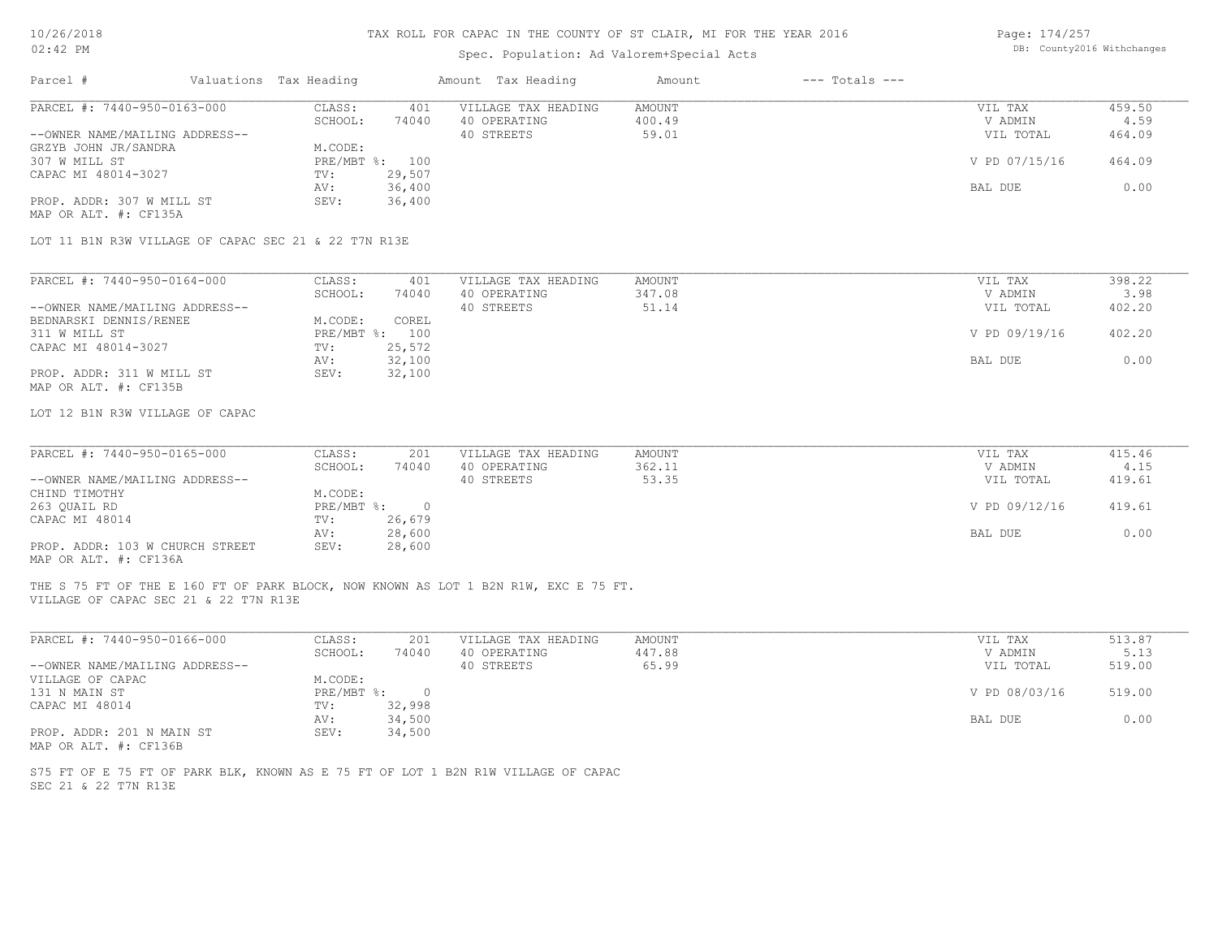# Spec. Population: Ad Valorem+Special Acts

| Page: 174/257 |                            |
|---------------|----------------------------|
|               | DB: County2016 Withchanges |

|                                                                                                                              |                              | Spec. Population: Ad Valorem+Special Acts |                              |               |        |
|------------------------------------------------------------------------------------------------------------------------------|------------------------------|-------------------------------------------|------------------------------|---------------|--------|
| Parcel #                                                                                                                     | Valuations Tax Heading       | Amount Tax Heading                        | Amount<br>$---$ Totals $---$ |               |        |
| PARCEL #: 7440-950-0163-000                                                                                                  | CLASS:<br>401                | VILLAGE TAX HEADING                       | <b>AMOUNT</b>                | VIL TAX       | 459.50 |
|                                                                                                                              | SCHOOL:<br>74040             | 40 OPERATING                              | 400.49                       | V ADMIN       | 4.59   |
| --OWNER NAME/MAILING ADDRESS--                                                                                               |                              | 40 STREETS                                | 59.01                        | VIL TOTAL     | 464.09 |
| GRZYB JOHN JR/SANDRA                                                                                                         | M.CODE:                      |                                           |                              |               |        |
| 307 W MILL ST                                                                                                                | PRE/MBT %: 100               |                                           |                              | V PD 07/15/16 | 464.09 |
| CAPAC MI 48014-3027                                                                                                          | 29,507<br>TV:                |                                           |                              |               |        |
|                                                                                                                              | 36,400<br>AV:                |                                           |                              | BAL DUE       | 0.00   |
| PROP. ADDR: 307 W MILL ST                                                                                                    | SEV:<br>36,400               |                                           |                              |               |        |
| MAP OR ALT. #: CF135A                                                                                                        |                              |                                           |                              |               |        |
| LOT 11 B1N R3W VILLAGE OF CAPAC SEC 21 & 22 T7N R13E                                                                         |                              |                                           |                              |               |        |
|                                                                                                                              |                              |                                           |                              |               |        |
| PARCEL #: 7440-950-0164-000                                                                                                  | CLASS:<br>401                | VILLAGE TAX HEADING                       | <b>AMOUNT</b>                | VIL TAX       | 398.22 |
|                                                                                                                              | SCHOOL:<br>74040             | 40 OPERATING                              | 347.08                       | V ADMIN       | 3.98   |
| --OWNER NAME/MAILING ADDRESS--                                                                                               |                              | 40 STREETS                                | 51.14                        | VIL TOTAL     | 402.20 |
| BEDNARSKI DENNIS/RENEE                                                                                                       | M.CODE:<br>COREL             |                                           |                              |               |        |
| 311 W MILL ST                                                                                                                | PRE/MBT %: 100               |                                           |                              | V PD 09/19/16 | 402.20 |
| CAPAC MI 48014-3027                                                                                                          | TV:<br>25,572                |                                           |                              |               |        |
|                                                                                                                              | 32,100<br>AV:                |                                           |                              | BAL DUE       | 0.00   |
| PROP. ADDR: 311 W MILL ST                                                                                                    | 32,100<br>SEV:               |                                           |                              |               |        |
| MAP OR ALT. #: CF135B                                                                                                        |                              |                                           |                              |               |        |
| LOT 12 B1N R3W VILLAGE OF CAPAC                                                                                              |                              |                                           |                              |               |        |
|                                                                                                                              |                              |                                           |                              |               |        |
| PARCEL #: 7440-950-0165-000                                                                                                  | CLASS:<br>201                | VILLAGE TAX HEADING                       | <b>AMOUNT</b>                | VIL TAX       | 415.46 |
|                                                                                                                              | SCHOOL:<br>74040             | 40 OPERATING                              | 362.11                       | V ADMIN       | 4.15   |
| --OWNER NAME/MAILING ADDRESS--                                                                                               |                              | 40 STREETS                                | 53.35                        | VIL TOTAL     | 419.61 |
| CHIND TIMOTHY                                                                                                                | M.CODE:                      |                                           |                              |               |        |
| 263 QUAIL RD                                                                                                                 | PRE/MBT %: 0                 |                                           |                              | V PD 09/12/16 | 419.61 |
| CAPAC MI 48014                                                                                                               | 26,679<br>TV:                |                                           |                              |               |        |
|                                                                                                                              | 28,600<br>AV:                |                                           |                              | BAL DUE       | 0.00   |
| PROP. ADDR: 103 W CHURCH STREET<br>MAP OR ALT. #: CF136A                                                                     | SEV:<br>28,600               |                                           |                              |               |        |
| THE S 75 FT OF THE E 160 FT OF PARK BLOCK, NOW KNOWN AS LOT 1 B2N R1W, EXC E 75 FT.<br>VILLAGE OF CAPAC SEC 21 & 22 T7N R13E |                              |                                           |                              |               |        |
|                                                                                                                              |                              |                                           |                              |               |        |
| PARCEL #: 7440-950-0166-000                                                                                                  | CLASS:<br>201                | VILLAGE TAX HEADING                       | <b>AMOUNT</b>                | VIL TAX       | 513.87 |
|                                                                                                                              | SCHOOL:<br>74040             | 40 OPERATING                              | 447.88                       | V ADMIN       | 5.13   |
| --OWNER NAME/MAILING ADDRESS--                                                                                               |                              | 40 STREETS                                | 65.99                        | VIL TOTAL     | 519.00 |
| VILLAGE OF CAPAC                                                                                                             | M.CODE:                      |                                           |                              |               |        |
| 131 N MAIN ST                                                                                                                | PRE/MBT %:<br>$\overline{0}$ |                                           |                              | V PD 08/03/16 | 519.00 |
|                                                                                                                              | TV:                          |                                           |                              |               |        |
| CAPAC MI 48014                                                                                                               | 32,998                       |                                           |                              |               |        |
|                                                                                                                              | 34,500<br>AV:                |                                           |                              | BAL DUE       | 0.00   |
| PROP. ADDR: 201 N MAIN ST                                                                                                    | SEV:<br>34,500               |                                           |                              |               |        |
| MAP OR ALT. #: CF136B                                                                                                        |                              |                                           |                              |               |        |
| S75 FT OF E 75 FT OF PARK BLK, KNOWN AS E 75 FT OF LOT 1 B2N R1W VILLAGE OF CAPAC                                            |                              |                                           |                              |               |        |
| SEC 21 & 22 T7N R13E                                                                                                         |                              |                                           |                              |               |        |
|                                                                                                                              |                              |                                           |                              |               |        |
|                                                                                                                              |                              |                                           |                              |               |        |
|                                                                                                                              |                              |                                           |                              |               |        |
|                                                                                                                              |                              |                                           |                              |               |        |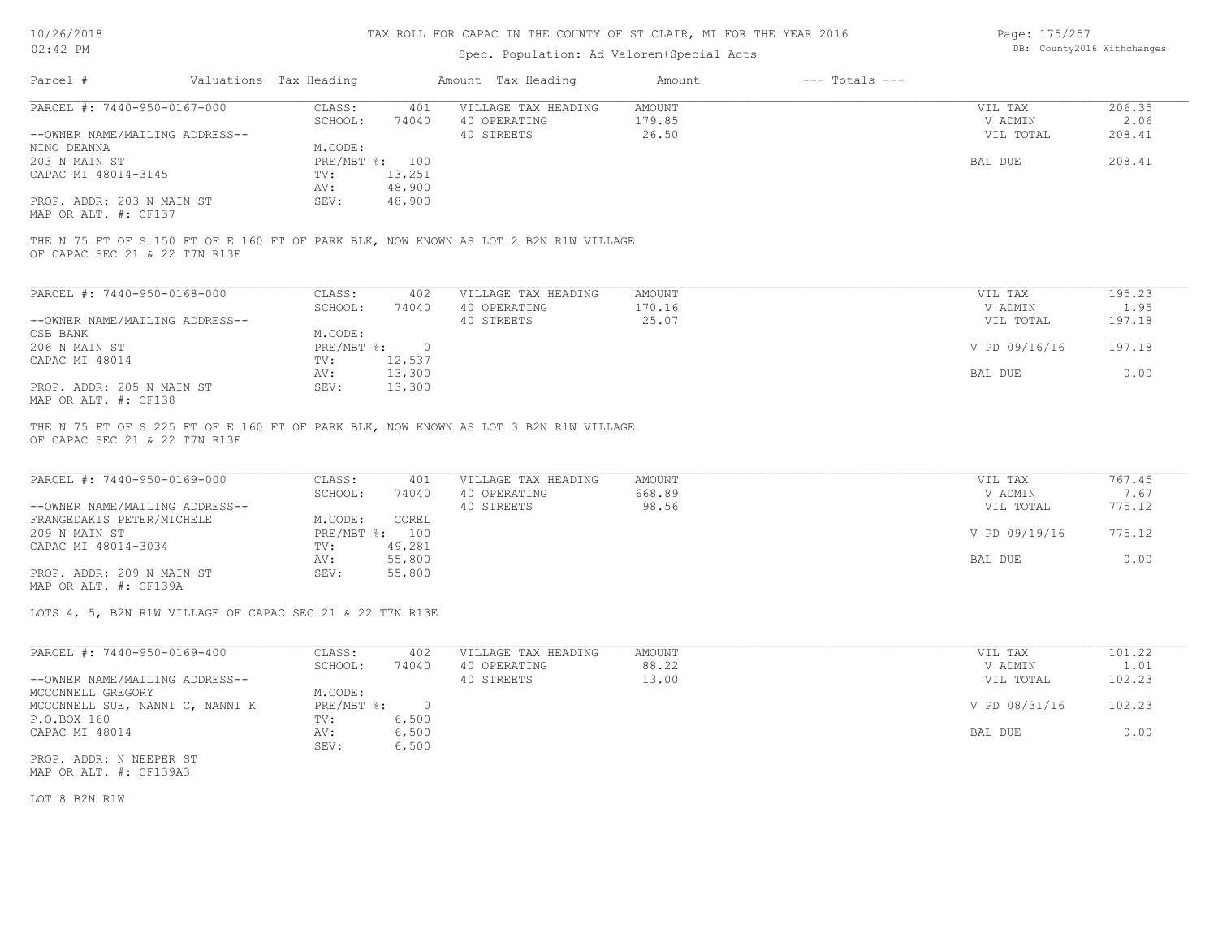### Spec. Population: Ad Valorem+Special Acts

Page: 175/257 DB: County2016 Withchanges

| Parcel #                       | Valuations Tax Heading    |         | Amount Tax Heading                                                                  | Amount | $---$ Totals $---$ |               |        |
|--------------------------------|---------------------------|---------|-------------------------------------------------------------------------------------|--------|--------------------|---------------|--------|
| PARCEL #: 7440-950-0167-000    | CLASS:                    | 401     | VILLAGE TAX HEADING                                                                 | AMOUNT |                    | VIL TAX       | 206.35 |
|                                | SCHOOL:                   | 74040   | 40 OPERATING                                                                        | 179.85 |                    | V ADMIN       | 2.06   |
| --OWNER NAME/MAILING ADDRESS-- |                           |         | 40 STREETS                                                                          | 26.50  |                    | VIL TOTAL     | 208.41 |
| NINO DEANNA                    | M.CODE:                   |         |                                                                                     |        |                    |               |        |
| 203 N MAIN ST                  | $PRE/MBT$ $\frac{1}{6}$ : | 100     |                                                                                     |        |                    | BAL DUE       | 208.41 |
| CAPAC MI 48014-3145            | TV:                       | 13,251  |                                                                                     |        |                    |               |        |
|                                | AV:                       | 48,900  |                                                                                     |        |                    |               |        |
| PROP. ADDR: 203 N MAIN ST      | SEV:                      | 48,900  |                                                                                     |        |                    |               |        |
| MAP OR ALT. #: CF137           |                           |         |                                                                                     |        |                    |               |        |
| OF CAPAC SEC 21 & 22 T7N R13E  |                           |         | THE N 75 FT OF S 150 FT OF E 160 FT OF PARK BLK, NOW KNOWN AS LOT 2 B2N R1W VILLAGE |        |                    |               |        |
|                                |                           |         |                                                                                     |        |                    |               |        |
| PARCEL #: 7440-950-0168-000    | CLASS:                    | 402     | VILLAGE TAX HEADING                                                                 | AMOUNT |                    | VIL TAX       | 195.23 |
|                                | SCHOOL:                   | 74040   | 40 OPERATING                                                                        | 170.16 |                    | V ADMIN       | 1.95   |
| --OWNER NAME/MAILING ADDRESS-- |                           |         | 40 STREETS                                                                          | 25.07  |                    | VIL TOTAL     | 197.18 |
| CSB BANK                       | M.CODE:                   |         |                                                                                     |        |                    |               |        |
| 206 N MAIN ST                  | PRE/MBT %:                | $\circ$ |                                                                                     |        |                    | V PD 09/16/16 | 197.18 |

MAP OR ALT. #: CF138 PROP. ADDR: 205 N MAIN ST SEV: 13,300 AV: 13,300 BAL DUE 0.00 CAPAC MI 48014 TV: 12,537<br>
AV: 13,300

OF CAPAC SEC 21 & 22 T7N R13E THE N 75 FT OF S 225 FT OF E 160 FT OF PARK BLK, NOW KNOWN AS LOT 3 B2N R1W VILLAGE

| PARCEL #: 7440-950-0169-000    | CLASS:         | 401    | VILLAGE TAX HEADING | AMOUNT | VIL TAX       | 767.45 |
|--------------------------------|----------------|--------|---------------------|--------|---------------|--------|
|                                | SCHOOL:        | 74040  | 40 OPERATING        | 668.89 | V ADMIN       | 7.67   |
| --OWNER NAME/MAILING ADDRESS-- |                |        | 40 STREETS          | 98.56  | VIL TOTAL     | 775.12 |
| FRANGEDAKIS PETER/MICHELE      | M.CODE:        | COREL  |                     |        |               |        |
| 209 N MAIN ST                  | PRE/MBT %: 100 |        |                     |        | V PD 09/19/16 | 775.12 |
| CAPAC MI 48014-3034            | TV:            | 49,281 |                     |        |               |        |
|                                | AV:            | 55,800 |                     |        | BAL DUE       | 0.00   |
| PROP. ADDR: 209 N MAIN ST      | SEV:           | 55,800 |                     |        |               |        |

MAP OR ALT. #: CF139A

LOTS 4, 5, B2N R1W VILLAGE OF CAPAC SEC 21 & 22 T7N R13E

| PARCEL #: 7440-950-0169-400     | CLASS:     | 402    | VILLAGE TAX HEADING | AMOUNT | 101.22<br>VIL TAX       |  |
|---------------------------------|------------|--------|---------------------|--------|-------------------------|--|
|                                 | SCHOOL:    | 74040  | 40 OPERATING        | 88.22  | 1.01<br>V ADMIN         |  |
| --OWNER NAME/MAILING ADDRESS--  |            |        | 40 STREETS          | 13.00  | 102.23<br>VIL TOTAL     |  |
| MCCONNELL GREGORY               | M.CODE:    |        |                     |        |                         |  |
| MCCONNELL SUE, NANNI C, NANNI K | PRE/MBT %: | $\cap$ |                     |        | V PD 08/31/16<br>102.23 |  |
| P.O.BOX 160                     | TV:        | 6,500  |                     |        |                         |  |
| CAPAC MI 48014                  | AV:        | 6,500  |                     |        | 0.00<br>BAL DUE         |  |
|                                 | SEV:       | 6,500  |                     |        |                         |  |
| PROP. ADDR: N NEEPER ST         |            |        |                     |        |                         |  |

MAP OR ALT. #: CF139A3

LOT 8 B2N R1W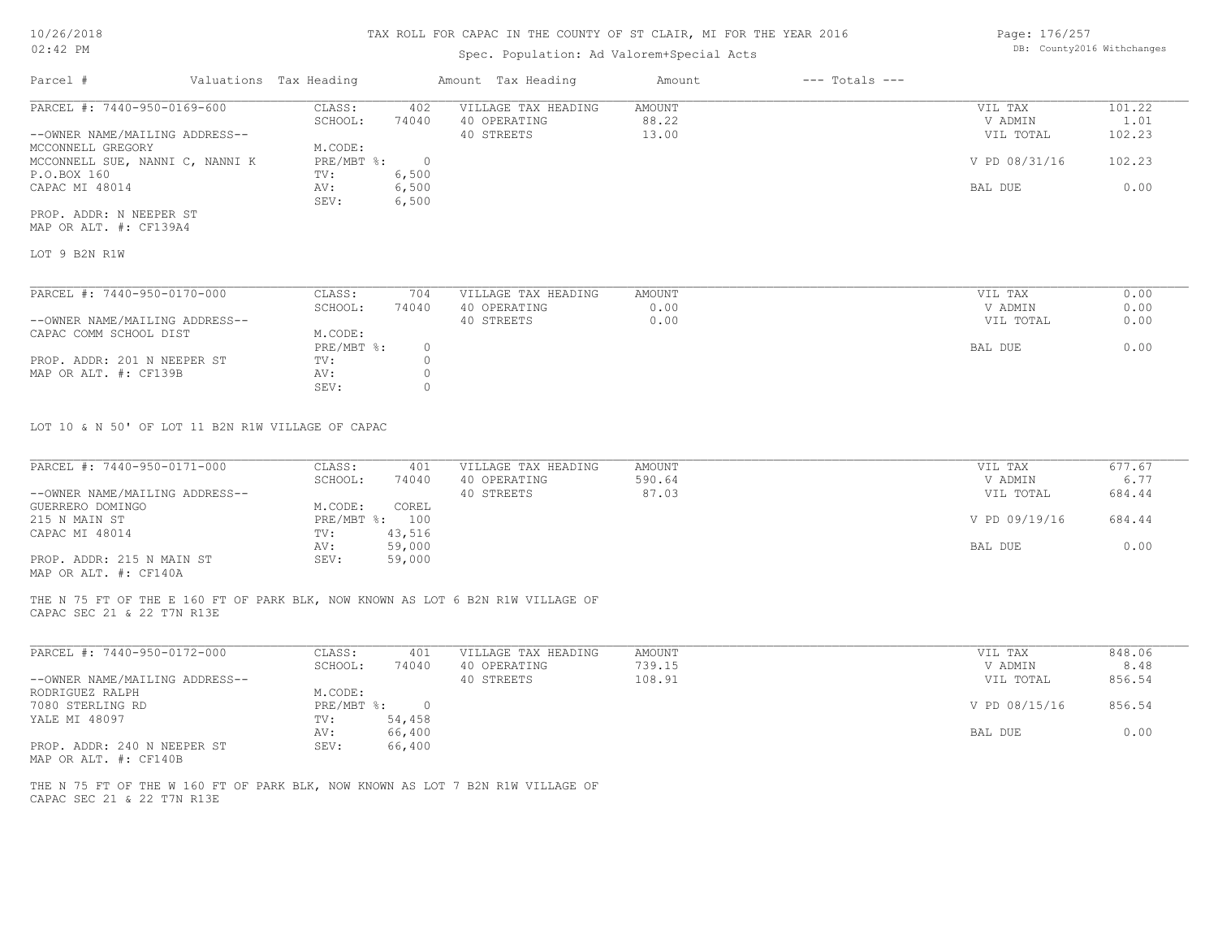## Spec. Population: Ad Valorem+Special Acts

Page: 176/257 DB: County2016 Withchanges

| Parcel #                        | Valuations Tax Heading |       | Amount Tax Heading  | Amount | $---$ Totals $---$ |               |        |
|---------------------------------|------------------------|-------|---------------------|--------|--------------------|---------------|--------|
| PARCEL #: 7440-950-0169-600     | CLASS:                 | 402   | VILLAGE TAX HEADING | AMOUNT |                    | VIL TAX       | 101.22 |
|                                 | SCHOOL:                | 74040 | 40 OPERATING        | 88.22  |                    | V ADMIN       | 1.01   |
| --OWNER NAME/MAILING ADDRESS--  |                        |       | 40 STREETS          | 13.00  |                    | VIL TOTAL     | 102.23 |
| MCCONNELL GREGORY               | M.CODE:                |       |                     |        |                    |               |        |
| MCCONNELL SUE, NANNI C, NANNI K | PRE/MBT %:             |       |                     |        |                    | V PD 08/31/16 | 102.23 |
| P.O.BOX 160                     | TV:                    | 6,500 |                     |        |                    |               |        |
| CAPAC MI 48014                  | AV:                    | 6,500 |                     |        |                    | BAL DUE       | 0.00   |
|                                 | SEV:                   | 6,500 |                     |        |                    |               |        |
| PROP. ADDR: N NEEPER ST         |                        |       |                     |        |                    |               |        |

MAP OR ALT. #: CF139A4

LOT 9 B2N R1W

| PARCEL #: 7440-950-0170-000    | CLASS:     | 704   | VILLAGE TAX HEADING | AMOUNT | VIL TAX   | 0.00 |
|--------------------------------|------------|-------|---------------------|--------|-----------|------|
|                                | SCHOOL:    | 74040 | 40 OPERATING        | 0.00   | V ADMIN   | 0.00 |
| --OWNER NAME/MAILING ADDRESS-- |            |       | 40 STREETS          | 0.00   | VIL TOTAL | 0.00 |
| CAPAC COMM SCHOOL DIST         | M.CODE:    |       |                     |        |           |      |
|                                | PRE/MBT %: |       |                     |        | BAL DUE   | 0.00 |
| PROP. ADDR: 201 N NEEPER ST    | TV:        |       |                     |        |           |      |
| MAP OR ALT. #: CF139B          | AV:        |       |                     |        |           |      |
|                                | SEV:       |       |                     |        |           |      |

LOT 10 & N 50' OF LOT 11 B2N R1W VILLAGE OF CAPAC

| PARCEL #: 7440-950-0171-000    | CLASS:     | 401    | VILLAGE TAX HEADING | AMOUNT | VIL TAX       | 677.67 |
|--------------------------------|------------|--------|---------------------|--------|---------------|--------|
|                                | SCHOOL:    | 74040  | 40 OPERATING        | 590.64 | V ADMIN       | 6.77   |
| --OWNER NAME/MAILING ADDRESS-- |            |        | 40 STREETS          | 87.03  | VIL TOTAL     | 684.44 |
| GUERRERO DOMINGO               | M.CODE:    | COREL  |                     |        |               |        |
| 215 N MAIN ST                  | PRE/MBT %: | 100    |                     |        | V PD 09/19/16 | 684.44 |
| CAPAC MI 48014                 | TV:        | 43,516 |                     |        |               |        |
|                                | AV:        | 59,000 |                     |        | BAL DUE       | 0.00   |
| PROP. ADDR: 215 N MAIN ST      | SEV:       | 59,000 |                     |        |               |        |
|                                |            |        |                     |        |               |        |

MAP OR ALT. #: CF140A

CAPAC SEC 21 & 22 T7N R13E THE N 75 FT OF THE E 160 FT OF PARK BLK, NOW KNOWN AS LOT 6 B2N R1W VILLAGE OF

| PARCEL #: 7440-950-0172-000    | CLASS:     | 401    | VILLAGE TAX HEADING | AMOUNT | VIL TAX       | 848.06 |
|--------------------------------|------------|--------|---------------------|--------|---------------|--------|
|                                | SCHOOL:    | 74040  | 40 OPERATING        | 739.15 | V ADMIN       | 8.48   |
| --OWNER NAME/MAILING ADDRESS-- |            |        | 40 STREETS          | 108.91 | VIL TOTAL     | 856.54 |
| RODRIGUEZ RALPH                | M.CODE:    |        |                     |        |               |        |
| 7080 STERLING RD               | PRE/MBT %: | 0.     |                     |        | V PD 08/15/16 | 856.54 |
| YALE MI 48097                  | TV:        | 54,458 |                     |        |               |        |
|                                | AV:        | 66,400 |                     |        | BAL DUE       | 0.00   |
| PROP. ADDR: 240 N NEEPER ST    | SEV:       | 66,400 |                     |        |               |        |

MAP OR ALT. #: CF140B

CAPAC SEC 21 & 22 T7N R13E THE N 75 FT OF THE W 160 FT OF PARK BLK, NOW KNOWN AS LOT 7 B2N R1W VILLAGE OF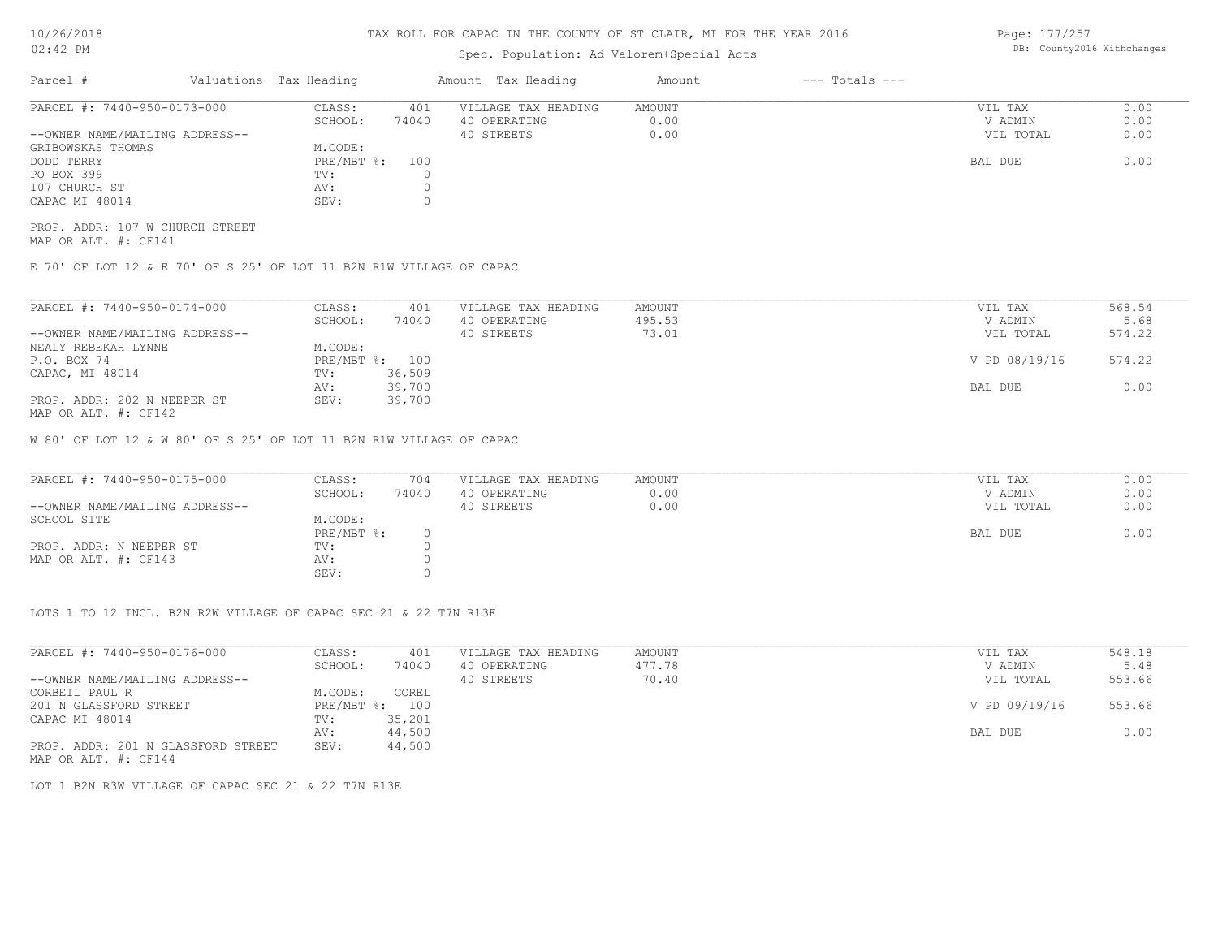## Spec. Population: Ad Valorem+Special Acts

Page: 177/257 DB: County2016 Withchanges

| Parcel #                       | Valuations Tax Heading |       | Amount Tax Heading  | Amount | $---$ Totals $---$ |           |      |
|--------------------------------|------------------------|-------|---------------------|--------|--------------------|-----------|------|
| PARCEL #: 7440-950-0173-000    | CLASS:                 | 401   | VILLAGE TAX HEADING | AMOUNT |                    | VIL TAX   | 0.00 |
|                                | SCHOOL:                | 74040 | 40 OPERATING        | 0.00   |                    | V ADMIN   | 0.00 |
| --OWNER NAME/MAILING ADDRESS-- |                        |       | 40 STREETS          | 0.00   |                    | VIL TOTAL | 0.00 |
| GRIBOWSKAS THOMAS              | M.CODE:                |       |                     |        |                    |           |      |
| DODD TERRY                     | $PRE/MBT$ %:           | 100   |                     |        |                    | BAL DUE   | 0.00 |
| PO BOX 399                     | TV:                    |       |                     |        |                    |           |      |
| 107 CHURCH ST                  | AV:                    |       |                     |        |                    |           |      |
| CAPAC MI 48014                 | SEV:                   |       |                     |        |                    |           |      |

MAP OR ALT. #: CF141 PROP. ADDR: 107 W CHURCH STREET

E 70' OF LOT 12 & E 70' OF S 25' OF LOT 11 B2N R1W VILLAGE OF CAPAC

| PARCEL #: 7440-950-0174-000    | CLASS:  | 401            | VILLAGE TAX HEADING | AMOUNT | VIL TAX       | 568.54 |
|--------------------------------|---------|----------------|---------------------|--------|---------------|--------|
|                                | SCHOOL: | 74040          | 40 OPERATING        | 495.53 | V ADMIN       | 5.68   |
| --OWNER NAME/MAILING ADDRESS-- |         |                | 40 STREETS          | 73.01  | VIL TOTAL     | 574.22 |
| NEALY REBEKAH LYNNE            | M.CODE: |                |                     |        |               |        |
| P.O. BOX 74                    |         | PRE/MBT %: 100 |                     |        | V PD 08/19/16 | 574.22 |
| CAPAC, MI 48014                | TV:     | 36,509         |                     |        |               |        |
|                                | AV:     | 39,700         |                     |        | BAL DUE       | 0.00   |
| PROP. ADDR: 202 N NEEPER ST    | SEV:    | 39,700         |                     |        |               |        |
| MAP OR ALT. #: CF142           |         |                |                     |        |               |        |

W 80' OF LOT 12 & W 80' OF S 25' OF LOT 11 B2N R1W VILLAGE OF CAPAC

| PARCEL #: 7440-950-0175-000    | CLASS:       | 704   | VILLAGE TAX HEADING | AMOUNT | VIL TAX   | 0.00 |
|--------------------------------|--------------|-------|---------------------|--------|-----------|------|
|                                | SCHOOL:      | 74040 | 40 OPERATING        | 0.00   | V ADMIN   | 0.00 |
| --OWNER NAME/MAILING ADDRESS-- |              |       | 40 STREETS          | 0.00   | VIL TOTAL | 0.00 |
| SCHOOL SITE                    | M.CODE:      |       |                     |        |           |      |
|                                | $PRE/MBT$ %: |       |                     |        | BAL DUE   | 0.00 |
| PROP. ADDR: N NEEPER ST        | TV:          |       |                     |        |           |      |
| MAP OR ALT. #: CF143           | AV:          |       |                     |        |           |      |
|                                | SEV:         |       |                     |        |           |      |

LOTS 1 TO 12 INCL. B2N R2W VILLAGE OF CAPAC SEC 21 & 22 T7N R13E

| PARCEL #: 7440-950-0176-000        | CLASS:       | 401    | VILLAGE TAX HEADING | AMOUNT | VIL TAX       | 548.18 |
|------------------------------------|--------------|--------|---------------------|--------|---------------|--------|
|                                    | SCHOOL:      | 74040  | 40 OPERATING        | 477.78 | V ADMIN       | 5.48   |
| --OWNER NAME/MAILING ADDRESS--     |              |        | 40 STREETS          | 70.40  | VIL TOTAL     | 553.66 |
| CORBEIL PAUL R                     | M.CODE:      | COREL  |                     |        |               |        |
| 201 N GLASSFORD STREET             | $PRE/MBT$ %: | 100    |                     |        | V PD 09/19/16 | 553.66 |
| CAPAC MI 48014                     | TV:          | 35,201 |                     |        |               |        |
|                                    | AV:          | 44,500 |                     |        | BAL DUE       | 0.00   |
| PROP. ADDR: 201 N GLASSFORD STREET | SEV:         | 44,500 |                     |        |               |        |
| MAP OR ALT. #: CF144               |              |        |                     |        |               |        |

LOT 1 B2N R3W VILLAGE OF CAPAC SEC 21 & 22 T7N R13E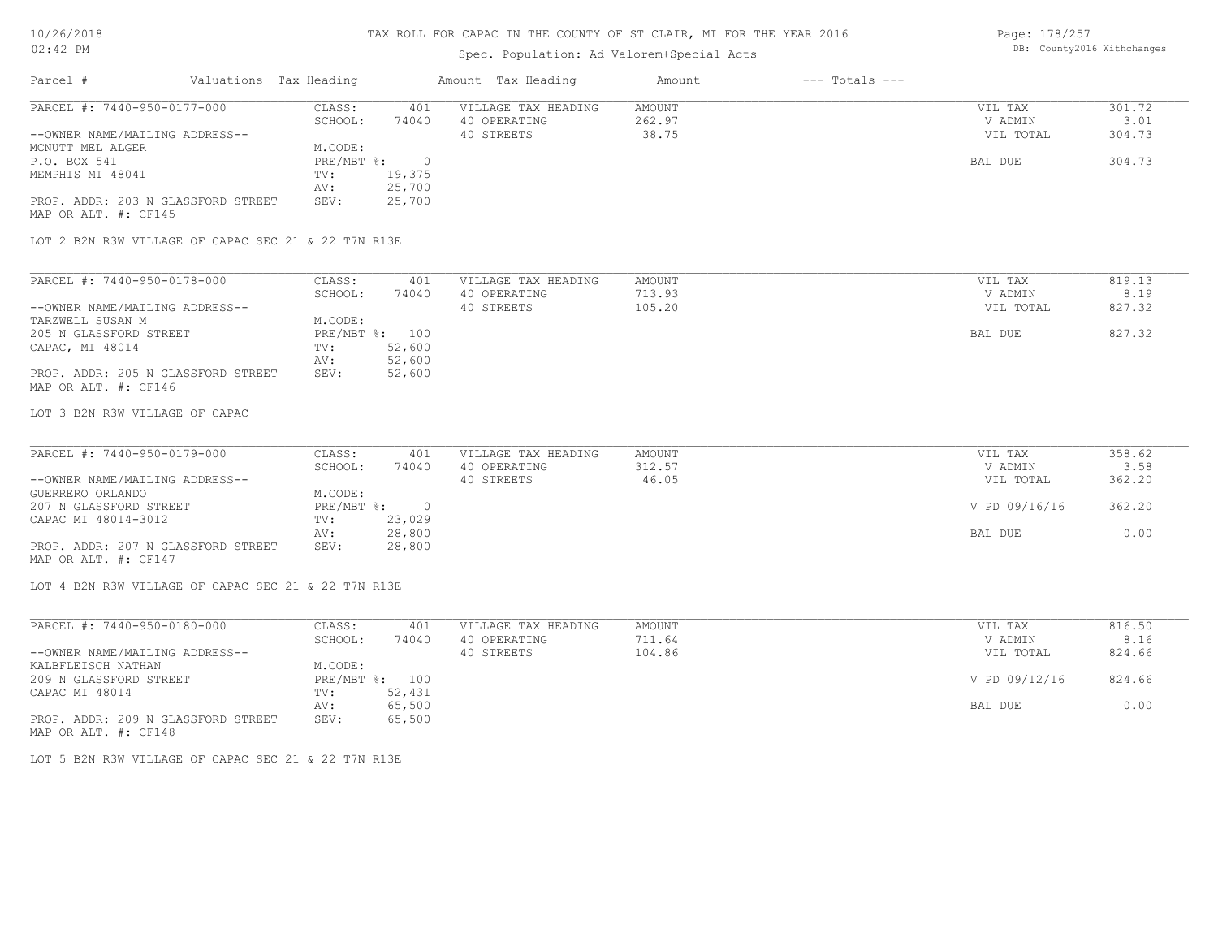Page: 178/257 DB: County2016 Withchanges

| $02:42$ PM                                                 |                                              | Spec. Population: Ad Valorem+Special Acts | DB: Countyzule Withchanges   |               |        |
|------------------------------------------------------------|----------------------------------------------|-------------------------------------------|------------------------------|---------------|--------|
| Parcel #                                                   | Valuations Tax Heading                       | Amount Tax Heading                        | $---$ Totals $---$<br>Amount |               |        |
| PARCEL #: 7440-950-0177-000                                | CLASS:<br>401                                | VILLAGE TAX HEADING                       | <b>AMOUNT</b>                | VIL TAX       | 301.72 |
|                                                            | SCHOOL:<br>74040                             | 40 OPERATING                              | 262.97                       | V ADMIN       | 3.01   |
| --OWNER NAME/MAILING ADDRESS--                             |                                              | 40 STREETS                                | 38.75                        | VIL TOTAL     | 304.73 |
| MCNUTT MEL ALGER                                           | M.CODE:                                      |                                           |                              |               |        |
| P.O. BOX 541                                               | PRE/MBT %:<br>$\circ$                        |                                           |                              | BAL DUE       | 304.73 |
| MEMPHIS MI 48041                                           | 19,375<br>TV:                                |                                           |                              |               |        |
|                                                            | 25,700<br>AV:                                |                                           |                              |               |        |
| PROP. ADDR: 203 N GLASSFORD STREET<br>MAP OR ALT. #: CF145 | 25,700<br>SEV:                               |                                           |                              |               |        |
| LOT 2 B2N R3W VILLAGE OF CAPAC SEC 21 & 22 T7N R13E        |                                              |                                           |                              |               |        |
| PARCEL #: 7440-950-0178-000                                | CLASS:<br>401                                | VILLAGE TAX HEADING                       | AMOUNT                       | VIL TAX       | 819.13 |
|                                                            | SCHOOL:<br>74040                             | 40 OPERATING                              | 713.93                       | V ADMIN       | 8.19   |
| --OWNER NAME/MAILING ADDRESS--                             |                                              | 40 STREETS                                | 105.20                       | VIL TOTAL     | 827.32 |
| TARZWELL SUSAN M                                           | M.CODE:                                      |                                           |                              |               |        |
| 205 N GLASSFORD STREET                                     | PRE/MBT %: 100                               |                                           |                              | BAL DUE       | 827.32 |
| CAPAC, MI 48014                                            | 52,600<br>TV:                                |                                           |                              |               |        |
|                                                            | 52,600<br>AV:                                |                                           |                              |               |        |
| PROP. ADDR: 205 N GLASSFORD STREET                         | 52,600<br>SEV:                               |                                           |                              |               |        |
| MAP OR ALT. #: CF146                                       |                                              |                                           |                              |               |        |
| LOT 3 B2N R3W VILLAGE OF CAPAC                             |                                              |                                           |                              |               |        |
|                                                            |                                              |                                           |                              |               |        |
| PARCEL #: 7440-950-0179-000                                | CLASS:<br>401                                | VILLAGE TAX HEADING                       | <b>AMOUNT</b>                | VIL TAX       | 358.62 |
|                                                            | SCHOOL:<br>74040                             | 40 OPERATING                              | 312.57                       | V ADMIN       | 3.58   |
| --OWNER NAME/MAILING ADDRESS--                             |                                              | 40 STREETS                                | 46.05                        | VIL TOTAL     | 362.20 |
| GUERRERO ORLANDO                                           | M.CODE:                                      |                                           |                              |               |        |
| 207 N GLASSFORD STREET                                     | $PRE/MBT$ $\div$<br>$\overline{\phantom{0}}$ |                                           |                              | V PD 09/16/16 | 362.20 |
| CAPAC MI 48014-3012                                        | 23,029<br>TV:                                |                                           |                              |               |        |
| PROP. ADDR: 207 N GLASSFORD STREET                         | 28,800<br>AV:<br>SEV:                        |                                           |                              | BAL DUE       | 0.00   |
| MAP OR ALT. #: CF147                                       | 28,800                                       |                                           |                              |               |        |
| LOT 4 B2N R3W VILLAGE OF CAPAC SEC 21 & 22 T7N R13E        |                                              |                                           |                              |               |        |
| PARCEL #: 7440-950-0180-000                                | CLASS:<br>401                                | VILLAGE TAX HEADING                       | <b>AMOUNT</b>                | VIL TAX       | 816.50 |
|                                                            | SCHOOL:<br>74040                             | 40 OPERATING                              | 711.64                       | V ADMIN       | 8.16   |
| --OWNER NAME/MAILING ADDRESS--                             |                                              | 40 STREETS                                | 104.86                       | VIL TOTAL     | 824.66 |
| KALBFLEISCH NATHAN                                         | M.CODE:                                      |                                           |                              |               |        |
| 209 N GLASSFORD STREET                                     | PRE/MBT %: 100                               |                                           |                              | V PD 09/12/16 | 824.66 |
| CAPAC MI 48014                                             | TV:<br>52,431                                |                                           |                              |               |        |
|                                                            | 65,500<br>AV:                                |                                           |                              | BAL DUE       | 0.00   |
| PROP. ADDR: 209 N GLASSFORD STREET<br>MAP OR ALT. #: CF148 | 65,500<br>SEV:                               |                                           |                              |               |        |
| LOT 5 B2N R3W VILLAGE OF CAPAC SEC 21 & 22 T7N R13E        |                                              |                                           |                              |               |        |
|                                                            |                                              |                                           |                              |               |        |
|                                                            |                                              |                                           |                              |               |        |
|                                                            |                                              |                                           |                              |               |        |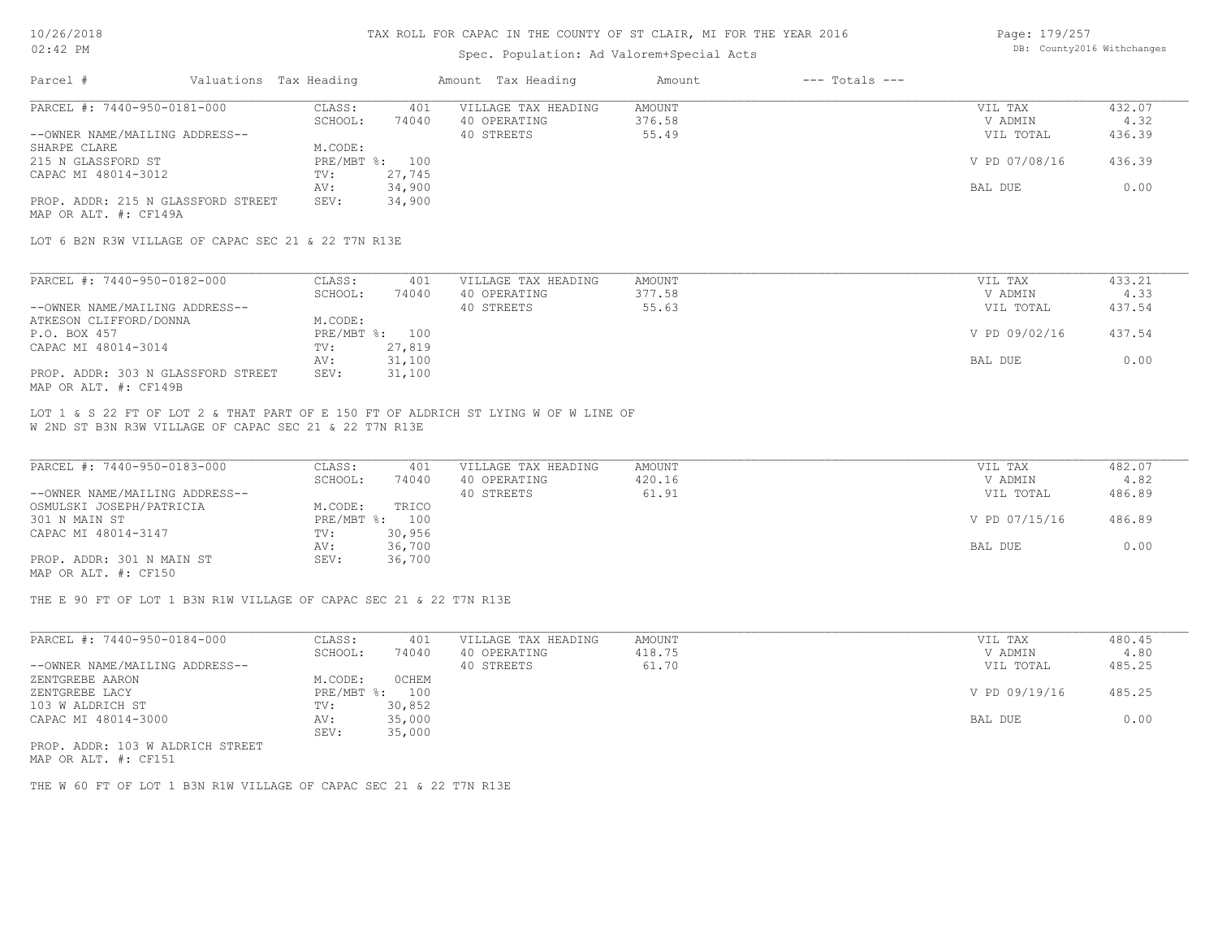### Spec. Population: Ad Valorem+Special Acts

| Page: 179/257 |                            |
|---------------|----------------------------|
|               | DB: County2016 Withchanges |

| Parcel #                           | Valuations Tax Heading |                | Amount Tax Heading  | Amount | $---$ Totals $---$ |               |        |
|------------------------------------|------------------------|----------------|---------------------|--------|--------------------|---------------|--------|
| PARCEL #: 7440-950-0181-000        | CLASS:                 | 401            | VILLAGE TAX HEADING | AMOUNT |                    | VIL TAX       | 432.07 |
|                                    | SCHOOL:                | 74040          | 40 OPERATING        | 376.58 |                    | V ADMIN       | 4.32   |
| --OWNER NAME/MAILING ADDRESS--     |                        |                | 40 STREETS          | 55.49  |                    | VIL TOTAL     | 436.39 |
| SHARPE CLARE                       | M.CODE:                |                |                     |        |                    |               |        |
| 215 N GLASSFORD ST                 |                        | PRE/MBT %: 100 |                     |        |                    | V PD 07/08/16 | 436.39 |
| CAPAC MI 48014-3012                | TV:                    | 27,745         |                     |        |                    |               |        |
|                                    | AV:                    | 34,900         |                     |        |                    | BAL DUE       | 0.00   |
| PROP. ADDR: 215 N GLASSFORD STREET | SEV:                   | 34,900         |                     |        |                    |               |        |
| MAP OR ALT. #: CF149A              |                        |                |                     |        |                    |               |        |

LOT 6 B2N R3W VILLAGE OF CAPAC SEC 21 & 22 T7N R13E

| PARCEL #: 7440-950-0182-000        | CLASS:  | 401            | VILLAGE TAX HEADING | AMOUNT | VIL TAX       | 433.21 |
|------------------------------------|---------|----------------|---------------------|--------|---------------|--------|
|                                    | SCHOOL: | 74040          | 40 OPERATING        | 377.58 | V ADMIN       | 4.33   |
| --OWNER NAME/MAILING ADDRESS--     |         |                | 40 STREETS          | 55.63  | VIL TOTAL     | 437.54 |
| ATKESON CLIFFORD/DONNA             | M.CODE: |                |                     |        |               |        |
| P.O. BOX 457                       |         | PRE/MBT %: 100 |                     |        | V PD 09/02/16 | 437.54 |
| CAPAC MI 48014-3014                | TV:     | 27,819         |                     |        |               |        |
|                                    | AV:     | 31,100         |                     |        | BAL DUE       | 0.00   |
| PROP. ADDR: 303 N GLASSFORD STREET | SEV:    | 31,100         |                     |        |               |        |
| MAP OR ALT. #: CF149B              |         |                |                     |        |               |        |

W 2ND ST B3N R3W VILLAGE OF CAPAC SEC 21 & 22 T7N R13E LOT 1 & S 22 FT OF LOT 2 & THAT PART OF E 150 FT OF ALDRICH ST LYING W OF W LINE OF

| PARCEL #: 7440-950-0183-000    | CLASS:  | 401            | VILLAGE TAX HEADING | AMOUNT | VIL TAX       | 482.07 |
|--------------------------------|---------|----------------|---------------------|--------|---------------|--------|
|                                | SCHOOL: | 74040          | 40 OPERATING        | 420.16 | V ADMIN       | 4.82   |
| --OWNER NAME/MAILING ADDRESS-- |         |                | 40 STREETS          | 61.91  | VIL TOTAL     | 486.89 |
| OSMULSKI JOSEPH/PATRICIA       | M.CODE: | TRICO          |                     |        |               |        |
| 301 N MAIN ST                  |         | PRE/MBT %: 100 |                     |        | V PD 07/15/16 | 486.89 |
| CAPAC MI 48014-3147            | TV:     | 30,956         |                     |        |               |        |
|                                | AV:     | 36,700         |                     |        | BAL DUE       | 0.00   |
| PROP. ADDR: 301 N MAIN ST      | SEV:    | 36,700         |                     |        |               |        |
| MAP OR ALT. #: CF150           |         |                |                     |        |               |        |

THE E 90 FT OF LOT 1 B3N R1W VILLAGE OF CAPAC SEC 21 & 22 T7N R13E

| 74040<br>418.75<br>40 OPERATING<br>SCHOOL:<br>40 STREETS<br>61.70 | V ADMIN       | 4.80   |
|-------------------------------------------------------------------|---------------|--------|
| --OWNER NAME/MAILING ADDRESS--                                    |               |        |
|                                                                   | VIL TOTAL     | 485.25 |
| OCHEM<br>M.CODE:<br>ZENTGREBE AARON                               |               |        |
| PRE/MBT %:<br>100<br>ZENTGREBE LACY                               | V PD 09/19/16 | 485.25 |
| 103 W ALDRICH ST<br>30,852<br>TV:                                 |               |        |
| 35,000<br>CAPAC MI 48014-3000<br>AV:                              | BAL DUE       | 0.00   |
| 35,000<br>SEV:                                                    |               |        |

MAP OR ALT. #: CF151 PROP. ADDR: 103 W ALDRICH STREET

THE W 60 FT OF LOT 1 B3N R1W VILLAGE OF CAPAC SEC 21 & 22 T7N R13E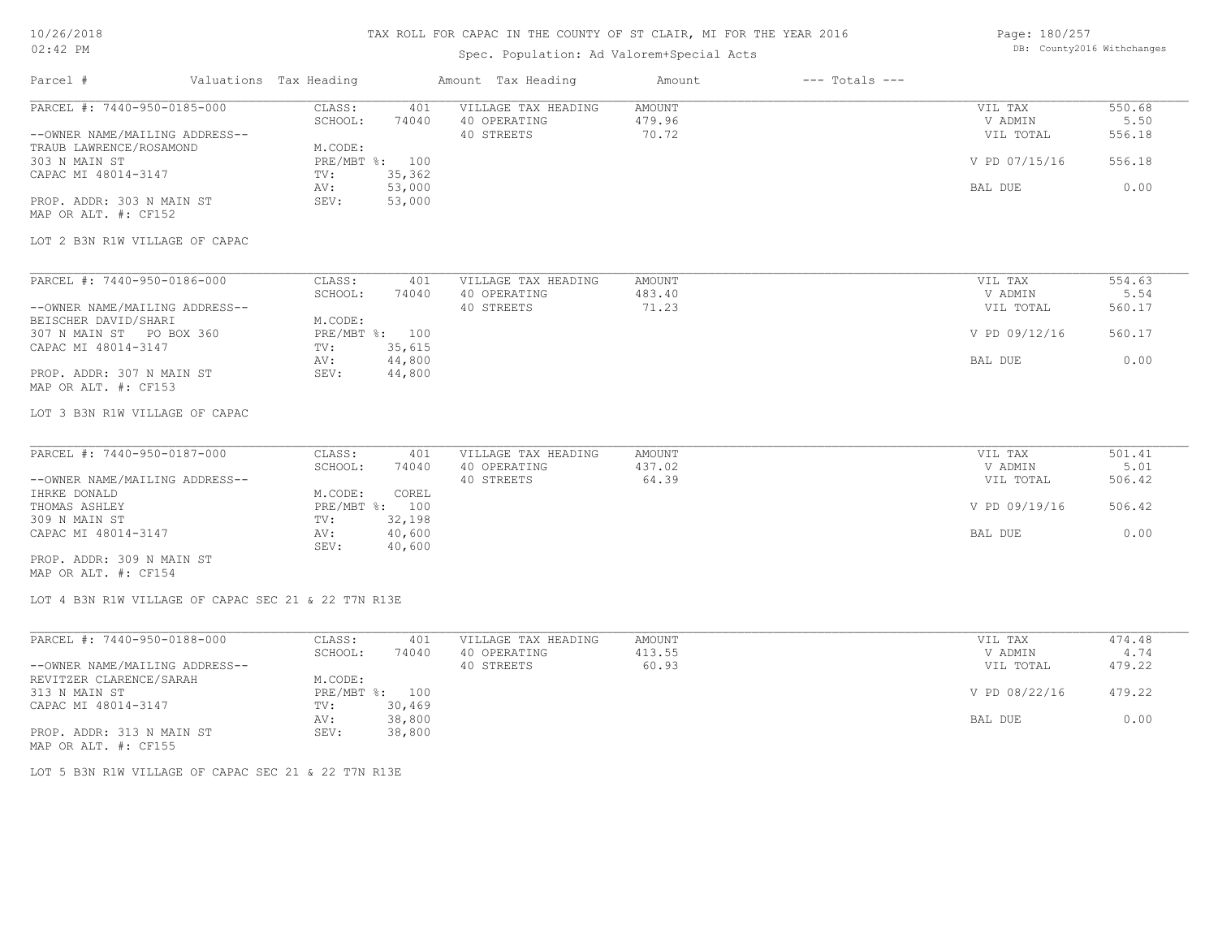### 10/26/2018 02:42 PM

## TAX ROLL FOR CAPAC IN THE COUNTY OF ST CLAIR, MI FOR THE YEAR 2016

## Spec. Population: Ad Valorem+Special Acts

Page: 180/257 DB: County2016 Withchanges

| Parcel #                                                                                                                                                                                                                | Valuations Tax Heading |                                                                      | Amount Tax Heading                                                                              | Amount                    | $---$ Totals $---$ |                                                             |                                            |
|-------------------------------------------------------------------------------------------------------------------------------------------------------------------------------------------------------------------------|------------------------|----------------------------------------------------------------------|-------------------------------------------------------------------------------------------------|---------------------------|--------------------|-------------------------------------------------------------|--------------------------------------------|
| PARCEL #: 7440-950-0185-000<br>--OWNER NAME/MAILING ADDRESS--<br>TRAUB LAWRENCE/ROSAMOND<br>303 N MAIN ST<br>CAPAC MI 48014-3147<br>PROP. ADDR: 303 N MAIN ST<br>MAP OR ALT. #: CF152<br>LOT 2 B3N R1W VILLAGE OF CAPAC |                        | CLASS:<br>SCHOOL:<br>M.CODE:<br>PRE/MBT %: 100<br>TV:<br>AV:<br>SEV: | VILLAGE TAX HEADING<br>401<br>40 OPERATING<br>74040<br>40 STREETS<br>35,362<br>53,000<br>53,000 | AMOUNT<br>479.96<br>70.72 |                    | VIL TAX<br>V ADMIN<br>VIL TOTAL<br>V PD 07/15/16<br>BAL DUE | 550.68<br>5.50<br>556.18<br>556.18<br>0.00 |
|                                                                                                                                                                                                                         |                        |                                                                      |                                                                                                 |                           |                    |                                                             |                                            |
| PARCEL #: 7440-950-0186-000<br>--OWNER NAME/MAILING ADDRESS--<br>BEISCHER DAVID/SHARI<br>307 N MAIN ST PO BOX 360                                                                                                       |                        | CLASS:<br>SCHOOL:<br>M.CODE:<br>PRE/MBT %: 100                       | VILLAGE TAX HEADING<br>401<br>74040<br>40 OPERATING<br>40 STREETS                               | AMOUNT<br>483.40<br>71.23 |                    | VIL TAX<br>V ADMIN<br>VIL TOTAL<br>V PD 09/12/16            | 554.63<br>5.54<br>560.17<br>560.17         |
| CAPAC MI 48014-3147<br>PROP. ADDR: 307 N MAIN ST<br>MAP OR ALT. #: CF153                                                                                                                                                |                        | TV:<br>AV:<br>SEV:                                                   | 35,615<br>44,800<br>44,800                                                                      |                           |                    | BAL DUE                                                     | 0.00                                       |
| LOT 3 B3N R1W VILLAGE OF CAPAC                                                                                                                                                                                          |                        |                                                                      |                                                                                                 |                           |                    |                                                             |                                            |
| PARCEL #: 7440-950-0187-000<br>--OWNER NAME/MAILING ADDRESS--<br>IHRKE DONALD                                                                                                                                           |                        | CLASS:<br>SCHOOL:<br>M.CODE:                                         | VILLAGE TAX HEADING<br>401<br>40 OPERATING<br>74040<br>40 STREETS<br>COREL                      | AMOUNT<br>437.02<br>64.39 |                    | VIL TAX<br>V ADMIN<br>VIL TOTAL                             | 501.41<br>5.01<br>506.42                   |
| THOMAS ASHLEY<br>309 N MAIN ST                                                                                                                                                                                          |                        | PRE/MBT %: 100<br>TV:                                                | 32,198                                                                                          |                           |                    | V PD 09/19/16                                               | 506.42                                     |
| CAPAC MI 48014-3147<br>PROP. ADDR: 309 N MAIN ST<br>MAP OR ALT. #: CF154                                                                                                                                                |                        | AV:<br>SEV:                                                          | 40,600<br>40,600                                                                                |                           |                    | BAL DUE                                                     | 0.00                                       |
| LOT 4 B3N R1W VILLAGE OF CAPAC SEC 21 & 22 T7N R13E                                                                                                                                                                     |                        |                                                                      |                                                                                                 |                           |                    |                                                             |                                            |
| PARCEL #: 7440-950-0188-000                                                                                                                                                                                             |                        | CLASS:<br>SCHOOL:                                                    | 401<br>VILLAGE TAX HEADING<br>74040<br>40 OPERATING                                             | AMOUNT<br>413.55          |                    | VIL TAX<br>V ADMIN                                          | 474.48<br>4.74                             |
| --OWNER NAME/MAILING ADDRESS--<br>REVITZER CLARENCE/SARAH<br>313 N MAIN ST                                                                                                                                              |                        | M.CODE:<br>PRE/MBT %: 100                                            | 40 STREETS                                                                                      | 60.93                     |                    | VIL TOTAL<br>V PD 08/22/16                                  | 479.22<br>479.22                           |
| CAPAC MI 48014-3147<br>PROP. ADDR: 313 N MAIN ST<br>MAP OR ALT. #: CF155                                                                                                                                                |                        | TV:<br>AV:<br>SEV:                                                   | 30,469<br>38,800<br>38,800                                                                      |                           |                    | BAL DUE                                                     | 0.00                                       |

LOT 5 B3N R1W VILLAGE OF CAPAC SEC 21 & 22 T7N R13E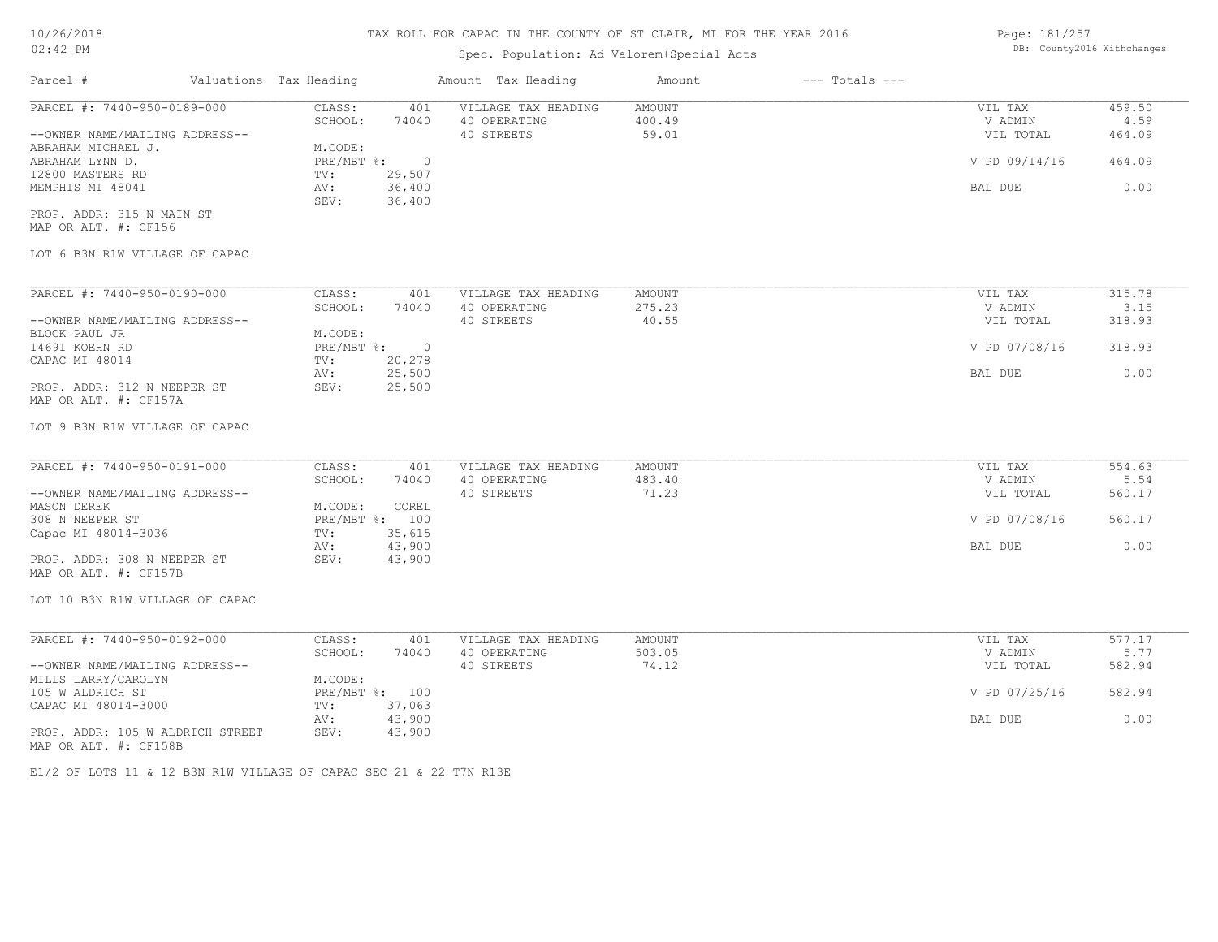# Spec. Population: Ad Valorem+Special Acts

Page: 181/257 DB: County2016 Withchanges

|                                                               |                                                        | Amount Tax Heading                                | Amount                    | $---$ Totals $---$ |                                 |                          |
|---------------------------------------------------------------|--------------------------------------------------------|---------------------------------------------------|---------------------------|--------------------|---------------------------------|--------------------------|
| PARCEL #: 7440-950-0189-000<br>--OWNER NAME/MAILING ADDRESS-- | CLASS:<br>401<br>SCHOOL:<br>74040                      | VILLAGE TAX HEADING<br>40 OPERATING<br>40 STREETS | AMOUNT<br>400.49<br>59.01 |                    | VIL TAX<br>V ADMIN<br>VIL TOTAL | 459.50<br>4.59<br>464.09 |
| ABRAHAM MICHAEL J.<br>ABRAHAM LYNN D.                         | M.CODE:<br>$PRE/MBT$ $\frac{1}{6}$ :<br>$\overline{0}$ |                                                   |                           |                    | V PD 09/14/16                   | 464.09                   |
| 12800 MASTERS RD<br>MEMPHIS MI 48041                          | 29,507<br>TV:<br>36,400<br>AV:<br>36,400<br>SEV:       |                                                   |                           |                    | BAL DUE                         | 0.00                     |
| PROP. ADDR: 315 N MAIN ST<br>MAP OR ALT. #: CF156             |                                                        |                                                   |                           |                    |                                 |                          |
| LOT 6 B3N R1W VILLAGE OF CAPAC                                |                                                        |                                                   |                           |                    |                                 |                          |
| PARCEL #: 7440-950-0190-000                                   | CLASS:<br>401                                          | VILLAGE TAX HEADING                               | AMOUNT                    |                    | VIL TAX                         | 315.78                   |
| --OWNER NAME/MAILING ADDRESS--                                | SCHOOL:<br>74040                                       | 40 OPERATING<br>40 STREETS                        | 275.23<br>40.55           |                    | V ADMIN<br>VIL TOTAL            | 3.15<br>318.93           |
| BLOCK PAUL JR                                                 | M.CODE:                                                |                                                   |                           |                    |                                 |                          |
| 14691 KOEHN RD                                                | $PRE/MBT$ $\frac{1}{6}$ : 0                            |                                                   |                           |                    | V PD 07/08/16                   | 318.93                   |
| CAPAC MI 48014                                                | 20,278<br>TV:<br>25,500<br>AV:                         |                                                   |                           |                    | BAL DUE                         | 0.00                     |
| PROP. ADDR: 312 N NEEPER ST<br>MAP OR ALT. #: CF157A          | SEV:<br>25,500                                         |                                                   |                           |                    |                                 |                          |
| LOT 9 B3N R1W VILLAGE OF CAPAC                                |                                                        |                                                   |                           |                    |                                 |                          |
| PARCEL #: 7440-950-0191-000                                   | CLASS:<br>401                                          | VILLAGE TAX HEADING                               | AMOUNT                    |                    | VIL TAX                         | 554.63                   |
|                                                               | SCHOOL:<br>74040                                       | 40 OPERATING                                      | 483.40                    |                    | V ADMIN                         | 5.54                     |
| --OWNER NAME/MAILING ADDRESS--<br>MASON DEREK                 | M.CODE:<br>COREL                                       | 40 STREETS                                        | 71.23                     |                    | VIL TOTAL                       | 560.17                   |
| 308 N NEEPER ST                                               | PRE/MBT %: 100                                         |                                                   |                           |                    | V PD 07/08/16                   | 560.17                   |
| Capac MI 48014-3036                                           | 35,615<br>TV:<br>43,900<br>AV:                         |                                                   |                           |                    | BAL DUE                         | 0.00                     |
| PROP. ADDR: 308 N NEEPER ST<br>MAP OR ALT. #: CF157B          | SEV:<br>43,900                                         |                                                   |                           |                    |                                 |                          |
| LOT 10 B3N R1W VILLAGE OF CAPAC                               |                                                        |                                                   |                           |                    |                                 |                          |
| PARCEL #: 7440-950-0192-000                                   | CLASS:<br>401                                          | VILLAGE TAX HEADING                               | AMOUNT                    |                    | VIL TAX                         | 577.17                   |
| --OWNER NAME/MAILING ADDRESS--                                | SCHOOL:<br>74040                                       | 40 OPERATING<br>40 STREETS                        | 503.05<br>74.12           |                    | V ADMIN<br>VIL TOTAL            | 5.77<br>582.94           |
| MILLS LARRY/CAROLYN                                           | M.CODE:                                                |                                                   |                           |                    |                                 |                          |
| 105 W ALDRICH ST<br>CAPAC MI 48014-3000                       | PRE/MBT %: 100<br>37,063<br>TV:                        |                                                   |                           |                    | V PD 07/25/16                   | 582.94                   |
|                                                               | 43,900<br>AV:                                          |                                                   |                           |                    | BAL DUE                         | 0.00                     |
| PROP. ADDR: 105 W ALDRICH STREET<br>MAP OR ALT. #: CF158B     | SEV:<br>43,900                                         |                                                   |                           |                    |                                 |                          |
|                                                               |                                                        |                                                   |                           |                    |                                 |                          |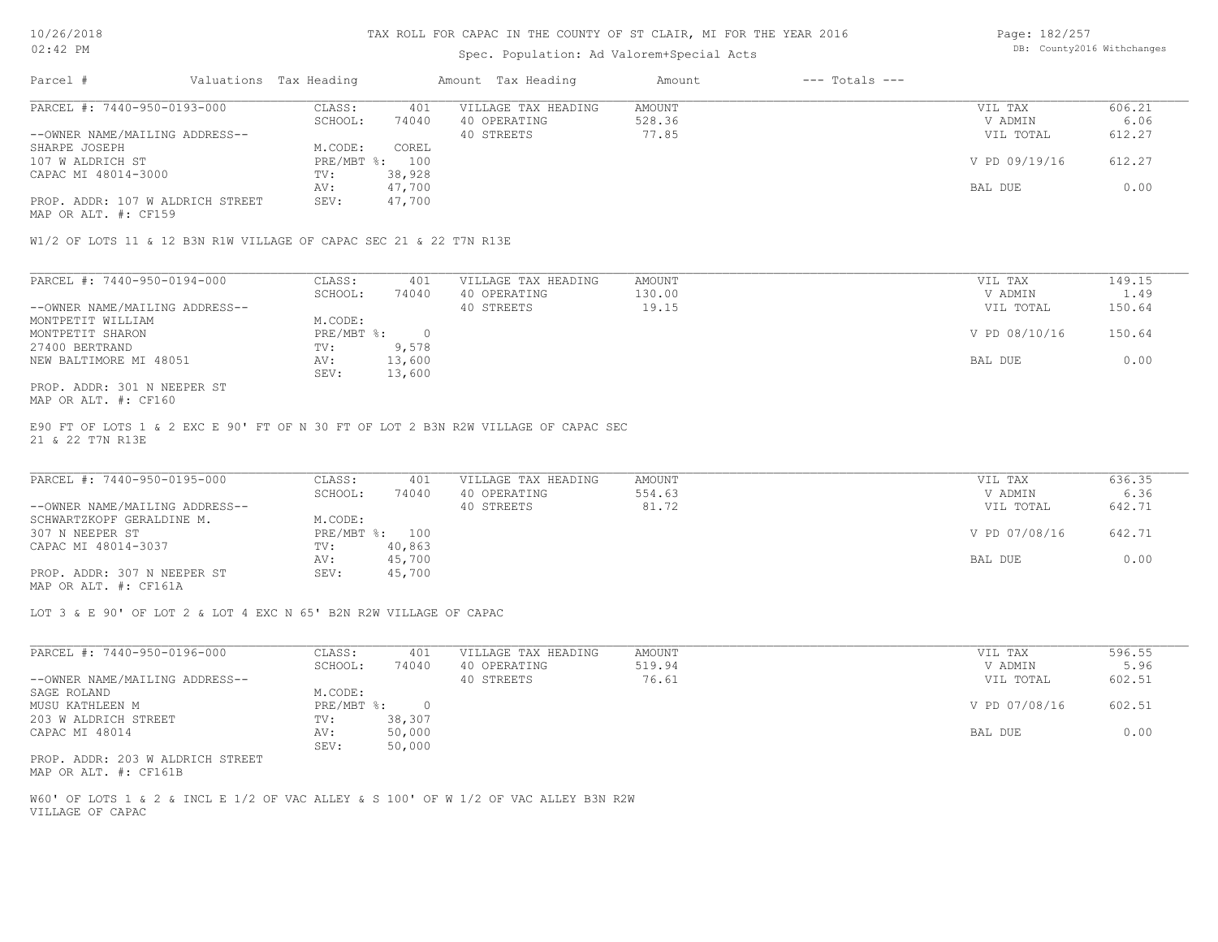#### Spec. Population: Ad Valorem+Special Acts

Page: 182/257 DB: County2016 Withchanges

| Parcel #                         | Valuations Tax Heading |        | Amount Tax Heading  | Amount | $---$ Totals $---$ |               |        |
|----------------------------------|------------------------|--------|---------------------|--------|--------------------|---------------|--------|
| PARCEL #: 7440-950-0193-000      | CLASS:                 | 401    | VILLAGE TAX HEADING | AMOUNT |                    | VIL TAX       | 606.21 |
|                                  | SCHOOL:                | 74040  | 40 OPERATING        | 528.36 |                    | V ADMIN       | 6.06   |
| --OWNER NAME/MAILING ADDRESS--   |                        |        | 40 STREETS          | 77.85  |                    | VIL TOTAL     | 612.27 |
| SHARPE JOSEPH                    | M.CODE:                | COREL  |                     |        |                    |               |        |
| 107 W ALDRICH ST                 | PRE/MBT %: 100         |        |                     |        |                    | V PD 09/19/16 | 612.27 |
| CAPAC MI 48014-3000              | TV:                    | 38,928 |                     |        |                    |               |        |
|                                  | AV:                    | 47,700 |                     |        |                    | BAL DUE       | 0.00   |
| PROP. ADDR: 107 W ALDRICH STREET | SEV:                   | 47,700 |                     |        |                    |               |        |
|                                  |                        |        |                     |        |                    |               |        |

MAP OR ALT. #: CF159

W1/2 OF LOTS 11 & 12 B3N R1W VILLAGE OF CAPAC SEC 21 & 22 T7N R13E

| PARCEL #: 7440-950-0194-000    | CLASS:     | 401    | VILLAGE TAX HEADING | AMOUNT | VIL TAX       | 149.15 |
|--------------------------------|------------|--------|---------------------|--------|---------------|--------|
|                                | SCHOOL:    | 74040  | 40 OPERATING        | 130.00 | V ADMIN       | 1.49   |
| --OWNER NAME/MAILING ADDRESS-- |            |        | 40 STREETS          | 19.15  | VIL TOTAL     | 150.64 |
| MONTPETIT WILLIAM              | M.CODE:    |        |                     |        |               |        |
| MONTPETIT SHARON               | PRE/MBT %: |        |                     |        | V PD 08/10/16 | 150.64 |
| 27400 BERTRAND                 | TV:        | 9,578  |                     |        |               |        |
| NEW BALTIMORE MI 48051         | AV:        | 13,600 |                     |        | BAL DUE       | 0.00   |
|                                | SEV:       | 13,600 |                     |        |               |        |
| PROP. ADDR: 301 N NEEPER ST    |            |        |                     |        |               |        |

MAP OR ALT. #: CF160

21 & 22 T7N R13E E90 FT OF LOTS 1 & 2 EXC E 90' FT OF N 30 FT OF LOT 2 B3N R2W VILLAGE OF CAPAC SEC

| PARCEL #: 7440-950-0195-000    | CLASS:  | 401            | VILLAGE TAX HEADING | AMOUNT | VIL TAX       | 636.35 |
|--------------------------------|---------|----------------|---------------------|--------|---------------|--------|
|                                | SCHOOL: | 74040          | 40 OPERATING        | 554.63 | V ADMIN       | 6.36   |
| --OWNER NAME/MAILING ADDRESS-- |         |                | 40 STREETS          | 81.72  | VIL TOTAL     | 642.71 |
| SCHWARTZKOPF GERALDINE M.      | M.CODE: |                |                     |        |               |        |
| 307 N NEEPER ST                |         | PRE/MBT %: 100 |                     |        | V PD 07/08/16 | 642.71 |
| CAPAC MI 48014-3037            | TV:     | 40,863         |                     |        |               |        |
|                                | AV:     | 45,700         |                     |        | BAL DUE       | 0.00   |
| PROP. ADDR: 307 N NEEPER ST    | SEV:    | 45,700         |                     |        |               |        |
|                                |         |                |                     |        |               |        |

MAP OR ALT. #: CF161A

LOT 3 & E 90' OF LOT 2 & LOT 4 EXC N 65' B2N R2W VILLAGE OF CAPAC

| PARCEL #: 7440-950-0196-000      | CLASS:     | 401    | VILLAGE TAX HEADING | AMOUNT | 596.55<br>VIL TAX       |
|----------------------------------|------------|--------|---------------------|--------|-------------------------|
|                                  | SCHOOL:    | 74040  | 40 OPERATING        | 519.94 | 5.96<br>V ADMIN         |
| --OWNER NAME/MAILING ADDRESS--   |            |        | 40 STREETS          | 76.61  | 602.51<br>VIL TOTAL     |
| SAGE ROLAND                      | M.CODE:    |        |                     |        |                         |
| MUSU KATHLEEN M                  | PRE/MBT %: |        |                     |        | 602.51<br>V PD 07/08/16 |
| 203 W ALDRICH STREET             | TV:        | 38,307 |                     |        |                         |
| CAPAC MI 48014                   | AV:        | 50,000 |                     |        | 0.00<br>BAL DUE         |
|                                  | SEV:       | 50,000 |                     |        |                         |
| PROP. ADDR: 203 W ALDRICH STREET |            |        |                     |        |                         |

MAP OR ALT. #: CF161B

VILLAGE OF CAPAC W60' OF LOTS 1 & 2 & INCL E 1/2 OF VAC ALLEY & S 100' OF W 1/2 OF VAC ALLEY B3N R2W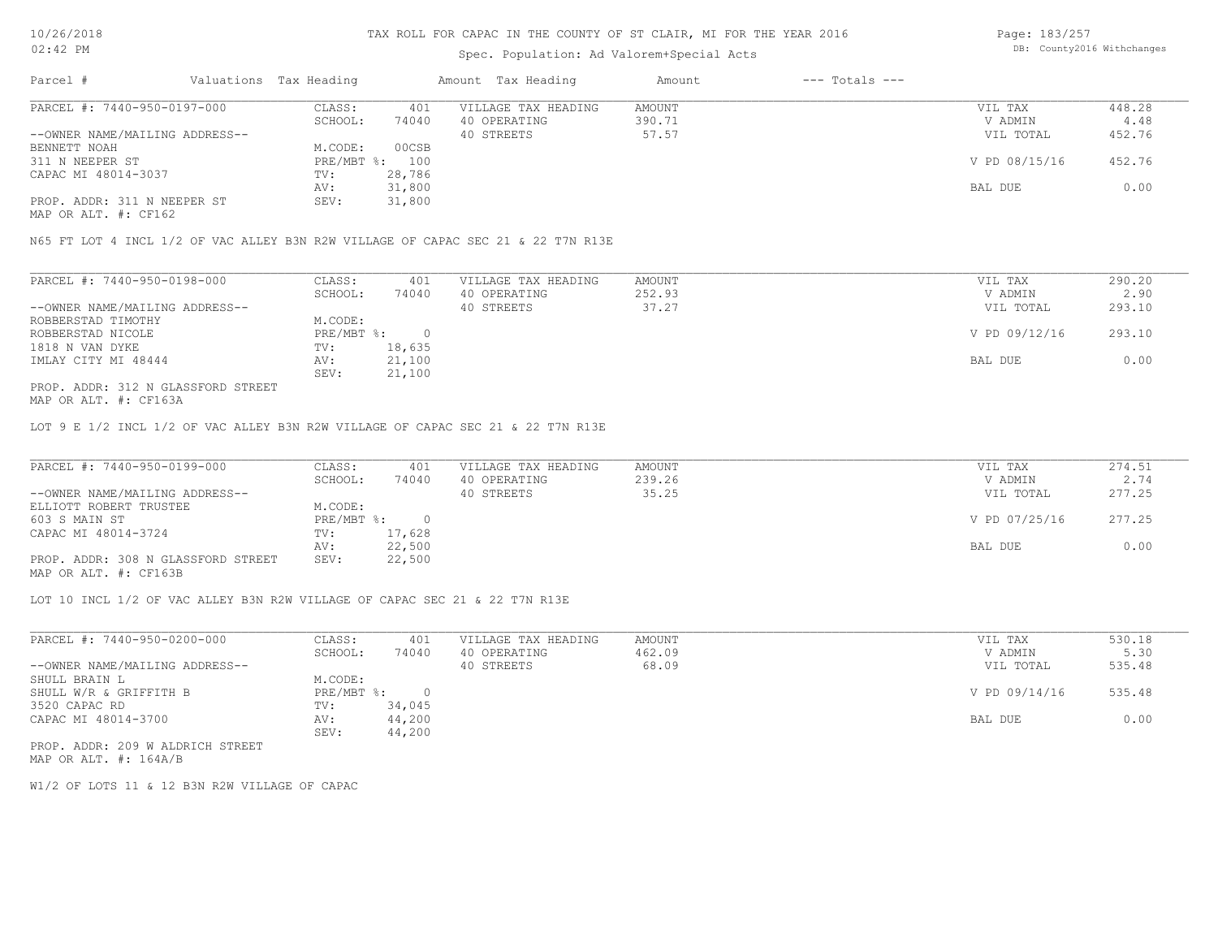# Spec. Population: Ad Valorem+Special Acts

Page: 183/257 DB: County2016 Withchanges

| Parcel #                       | Valuations Tax Heading |        | Amount Tax Heading  | Amount | $---$ Totals $---$ |               |        |
|--------------------------------|------------------------|--------|---------------------|--------|--------------------|---------------|--------|
| PARCEL #: 7440-950-0197-000    | CLASS:                 | 401    | VILLAGE TAX HEADING | AMOUNT |                    | VIL TAX       | 448.28 |
|                                | SCHOOL:                | 74040  | 40 OPERATING        | 390.71 |                    | V ADMIN       | 4.48   |
| --OWNER NAME/MAILING ADDRESS-- |                        |        | 40 STREETS          | 57.57  |                    | VIL TOTAL     | 452.76 |
| BENNETT NOAH                   | M.CODE:                | 00CSB  |                     |        |                    |               |        |
| 311 N NEEPER ST                | PRE/MBT %: 100         |        |                     |        |                    | V PD 08/15/16 | 452.76 |
| CAPAC MI 48014-3037            | TV:                    | 28,786 |                     |        |                    |               |        |
|                                | AV:                    | 31,800 |                     |        |                    | BAL DUE       | 0.00   |
| PROP. ADDR: 311 N NEEPER ST    | SEV:                   | 31,800 |                     |        |                    |               |        |
|                                |                        |        |                     |        |                    |               |        |

MAP OR ALT. #: CF162

N65 FT LOT 4 INCL 1/2 OF VAC ALLEY B3N R2W VILLAGE OF CAPAC SEC 21 & 22 T7N R13E

| PARCEL #: 7440-950-0198-000        | CLASS:     | 401    | VILLAGE TAX HEADING | AMOUNT | VIL TAX       | 290.20 |
|------------------------------------|------------|--------|---------------------|--------|---------------|--------|
|                                    | SCHOOL:    | 74040  | 40 OPERATING        | 252.93 | V ADMIN       | 2.90   |
| --OWNER NAME/MAILING ADDRESS--     |            |        | 40 STREETS          | 37.27  | VIL TOTAL     | 293.10 |
| ROBBERSTAD TIMOTHY                 | M.CODE:    |        |                     |        |               |        |
| ROBBERSTAD NICOLE                  | PRE/MBT %: |        |                     |        | V PD 09/12/16 | 293.10 |
| 1818 N VAN DYKE                    | TV:        | 18,635 |                     |        |               |        |
| IMLAY CITY MI 48444                | AV:        | 21,100 |                     |        | BAL DUE       | 0.00   |
|                                    | SEV:       | 21,100 |                     |        |               |        |
| PROP. ADDR: 312 N GLASSFORD STREET |            |        |                     |        |               |        |

MAP OR ALT. #: CF163A

LOT 9 E 1/2 INCL 1/2 OF VAC ALLEY B3N R2W VILLAGE OF CAPAC SEC 21 & 22 T7N R13E

| PARCEL #: 7440-950-0199-000        | CLASS:     | 401    | VILLAGE TAX HEADING | AMOUNT | VIL TAX       | 274.51 |
|------------------------------------|------------|--------|---------------------|--------|---------------|--------|
|                                    | SCHOOL:    | 74040  | 40 OPERATING        | 239.26 | V ADMIN       | 2.74   |
| --OWNER NAME/MAILING ADDRESS--     |            |        | 40 STREETS          | 35.25  | VIL TOTAL     | 277.25 |
| ELLIOTT ROBERT TRUSTEE             | M.CODE:    |        |                     |        |               |        |
| 603 S MAIN ST                      | PRE/MBT %: |        |                     |        | V PD 07/25/16 | 277.25 |
| CAPAC MI 48014-3724                | TV:        | 17,628 |                     |        |               |        |
|                                    | AV:        | 22,500 |                     |        | BAL DUE       | 0.00   |
| PROP. ADDR: 308 N GLASSFORD STREET | SEV:       | 22,500 |                     |        |               |        |
| MAP OR ALT. #: CF163B              |            |        |                     |        |               |        |

LOT 10 INCL 1/2 OF VAC ALLEY B3N R2W VILLAGE OF CAPAC SEC 21 & 22 T7N R13E

| PARCEL #: 7440-950-0200-000      | CLASS:     | 401    | VILLAGE TAX HEADING | AMOUNT | VIL TAX       | 530.18 |
|----------------------------------|------------|--------|---------------------|--------|---------------|--------|
|                                  | SCHOOL:    | 74040  | 40 OPERATING        | 462.09 | V ADMIN       | 5.30   |
| --OWNER NAME/MAILING ADDRESS--   |            |        | 40 STREETS          | 68.09  | VIL TOTAL     | 535.48 |
| SHULL BRAIN L                    | M.CODE:    |        |                     |        |               |        |
| SHULL W/R & GRIFFITH B           | PRE/MBT %: |        |                     |        | V PD 09/14/16 | 535.48 |
| 3520 CAPAC RD                    | TV:        | 34,045 |                     |        |               |        |
| CAPAC MI 48014-3700              | AV:        | 44,200 |                     |        | BAL DUE       | 0.00   |
|                                  | SEV:       | 44,200 |                     |        |               |        |
| PROP. ADDR: 209 W ALDRICH STREET |            |        |                     |        |               |        |

MAP OR ALT. #: 164A/B

W1/2 OF LOTS 11 & 12 B3N R2W VILLAGE OF CAPAC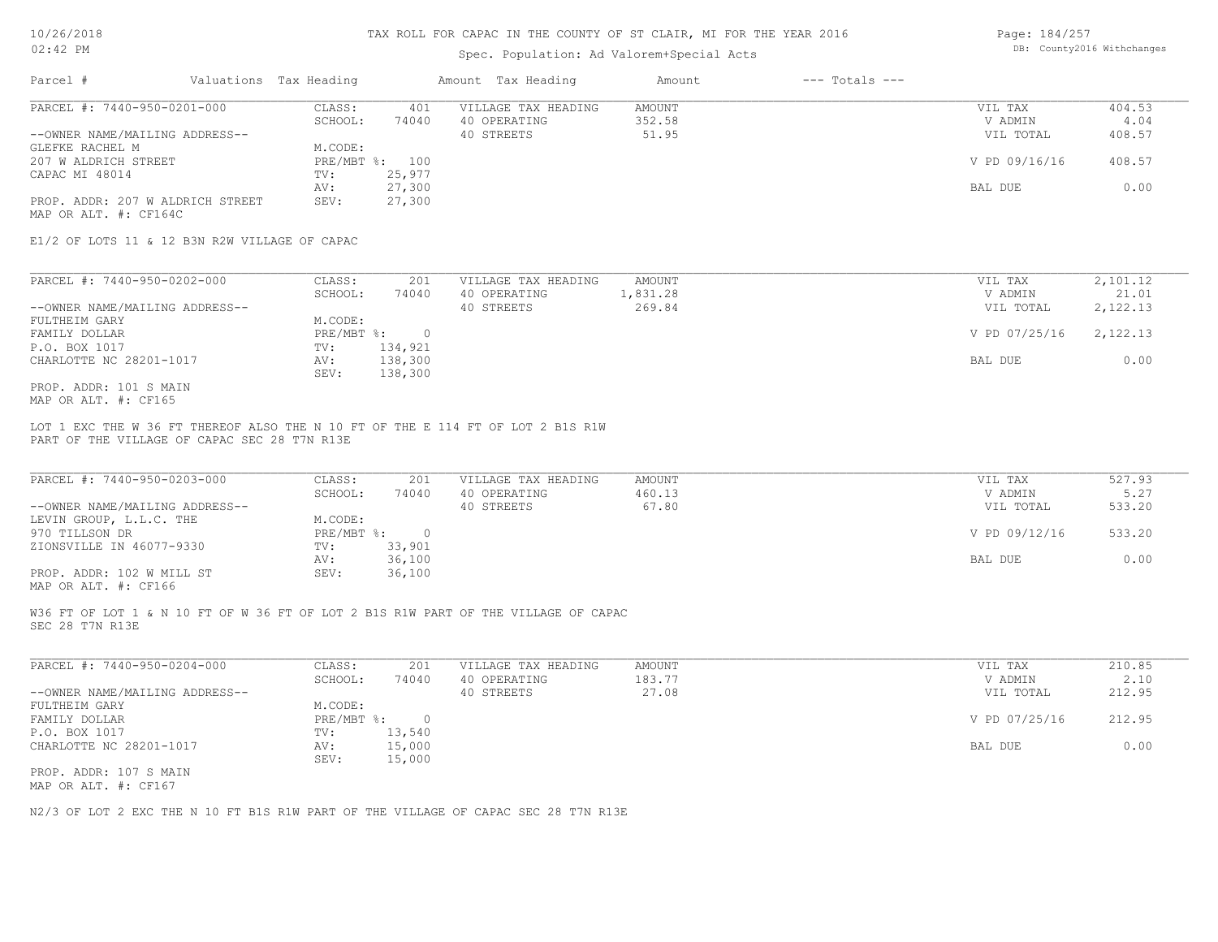#### Spec. Population: Ad Valorem+Special Acts

| Page: 184/257 |                            |
|---------------|----------------------------|
|               | DB: County2016 Withchanges |

| Parcel #                         | Valuations Tax Heading |        | Amount Tax Heading  | Amount | $---$ Totals $---$ |               |        |
|----------------------------------|------------------------|--------|---------------------|--------|--------------------|---------------|--------|
| PARCEL #: 7440-950-0201-000      | CLASS:                 | 401    | VILLAGE TAX HEADING | AMOUNT |                    | VIL TAX       | 404.53 |
|                                  | SCHOOL:                | 74040  | 40 OPERATING        | 352.58 |                    | V ADMIN       | 4.04   |
| --OWNER NAME/MAILING ADDRESS--   |                        |        | 40 STREETS          | 51.95  |                    | VIL TOTAL     | 408.57 |
| GLEFKE RACHEL M                  | M.CODE:                |        |                     |        |                    |               |        |
| 207 W ALDRICH STREET             | PRE/MBT %: 100         |        |                     |        |                    | V PD 09/16/16 | 408.57 |
| CAPAC MI 48014                   | TV:                    | 25,977 |                     |        |                    |               |        |
|                                  | AV:                    | 27,300 |                     |        |                    | BAL DUE       | 0.00   |
| PROP. ADDR: 207 W ALDRICH STREET | SEV:                   | 27,300 |                     |        |                    |               |        |
| MAP OR ALT. #: CF164C            |                        |        |                     |        |                    |               |        |

E1/2 OF LOTS 11 & 12 B3N R2W VILLAGE OF CAPAC

| PARCEL #: 7440-950-0202-000    | CLASS:     | 201     | VILLAGE TAX HEADING | AMOUNT   | VIL TAX       | 2,101.12 |
|--------------------------------|------------|---------|---------------------|----------|---------------|----------|
|                                | SCHOOL:    | 74040   | 40 OPERATING        | 1,831.28 | V ADMIN       | 21.01    |
| --OWNER NAME/MAILING ADDRESS-- |            |         | 40 STREETS          | 269.84   | VIL TOTAL     | 2,122.13 |
| FULTHEIM GARY                  | M.CODE:    |         |                     |          |               |          |
| FAMILY DOLLAR                  | PRE/MBT %: |         |                     |          | V PD 07/25/16 | 2,122.13 |
| P.O. BOX 1017                  | TV:        | 134,921 |                     |          |               |          |
| CHARLOTTE NC 28201-1017        | AV:        | 138,300 |                     |          | BAL DUE       | 0.00     |
|                                | SEV:       | 138,300 |                     |          |               |          |
| PROP. ADDR: 101 S MAIN         |            |         |                     |          |               |          |

MAP OR ALT. #: CF165

PART OF THE VILLAGE OF CAPAC SEC 28 T7N R13E LOT 1 EXC THE W 36 FT THEREOF ALSO THE N 10 FT OF THE E 114 FT OF LOT 2 B1S R1W

| PARCEL #: 7440-950-0203-000    | CLASS:     | 201    | VILLAGE TAX HEADING | AMOUNT | VIL TAX       | 527.93 |
|--------------------------------|------------|--------|---------------------|--------|---------------|--------|
|                                | SCHOOL:    | 74040  | 40 OPERATING        | 460.13 | V ADMIN       | 5.27   |
| --OWNER NAME/MAILING ADDRESS-- |            |        | 40 STREETS          | 67.80  | VIL TOTAL     | 533.20 |
| LEVIN GROUP, L.L.C. THE        | M.CODE:    |        |                     |        |               |        |
| 970 TILLSON DR                 | PRE/MBT %: |        |                     |        | V PD 09/12/16 | 533.20 |
| ZIONSVILLE IN 46077-9330       | TV:        | 33,901 |                     |        |               |        |
|                                | AV:        | 36,100 |                     |        | BAL DUE       | 0.00   |
| PROP. ADDR: 102 W MILL ST      | SEV:       | 36,100 |                     |        |               |        |
|                                |            |        |                     |        |               |        |

MAP OR ALT. #: CF166

SEC 28 T7N R13E W36 FT OF LOT 1 & N 10 FT OF W 36 FT OF LOT 2 B1S R1W PART OF THE VILLAGE OF CAPAC

| PARCEL #: 7440-950-0204-000    | CLASS:       | 201    | VILLAGE TAX HEADING | AMOUNT | VIL TAX       | 210.85 |
|--------------------------------|--------------|--------|---------------------|--------|---------------|--------|
|                                | SCHOOL:      | 74040  | 40 OPERATING        | 183.77 | V ADMIN       | 2.10   |
| --OWNER NAME/MAILING ADDRESS-- |              |        | 40 STREETS          | 27.08  | VIL TOTAL     | 212.95 |
| FULTHEIM GARY                  | M.CODE:      |        |                     |        |               |        |
| FAMILY DOLLAR                  | $PRE/MBT$ %: |        |                     |        | V PD 07/25/16 | 212.95 |
| P.O. BOX 1017                  | TV:          | 13,540 |                     |        |               |        |
| CHARLOTTE NC 28201-1017        | AV:          | 15,000 |                     |        | BAL DUE       | 0.00   |
|                                | SEV:         | 15,000 |                     |        |               |        |
| PROP. ADDR: 107 S MAIN         |              |        |                     |        |               |        |

MAP OR ALT. #: CF167

N2/3 OF LOT 2 EXC THE N 10 FT B1S R1W PART OF THE VILLAGE OF CAPAC SEC 28 T7N R13E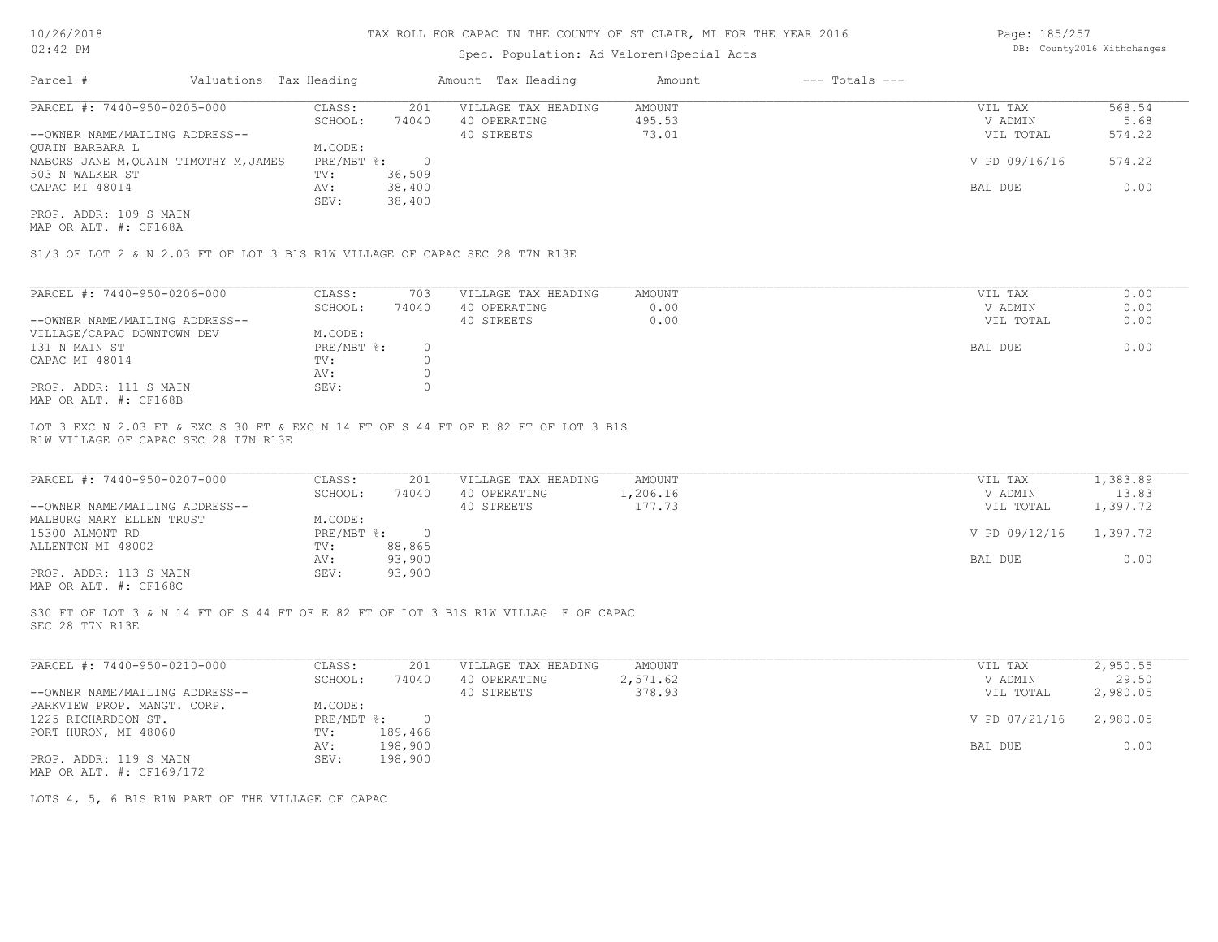# Spec. Population: Ad Valorem+Special Acts

Page: 185/257 DB: County2016 Withchanges

| Parcel #                              | Valuations Tax Heading |        | Amount Tax Heading  | Amount | $---$ Totals $---$ |               |        |
|---------------------------------------|------------------------|--------|---------------------|--------|--------------------|---------------|--------|
| PARCEL #: 7440-950-0205-000           | CLASS:                 | 201    | VILLAGE TAX HEADING | AMOUNT |                    | VIL TAX       | 568.54 |
|                                       | SCHOOL:                | 74040  | 40 OPERATING        | 495.53 |                    | V ADMIN       | 5.68   |
| --OWNER NAME/MAILING ADDRESS--        |                        |        | 40 STREETS          | 73.01  |                    | VIL TOTAL     | 574.22 |
| OUAIN BARBARA L                       | M.CODE:                |        |                     |        |                    |               |        |
| NABORS JANE M, QUAIN TIMOTHY M, JAMES | PRE/MBT %:             |        |                     |        |                    | V PD 09/16/16 | 574.22 |
| 503 N WALKER ST                       | TV:                    | 36,509 |                     |        |                    |               |        |
| CAPAC MI 48014                        | AV:                    | 38,400 |                     |        |                    | BAL DUE       | 0.00   |
|                                       | SEV:                   | 38,400 |                     |        |                    |               |        |
| PROP. ADDR: 109 S MAIN                |                        |        |                     |        |                    |               |        |

MAP OR ALT. #: CF168A

S1/3 OF LOT 2 & N 2.03 FT OF LOT 3 B1S R1W VILLAGE OF CAPAC SEC 28 T7N R13E

| PARCEL #: 7440-950-0206-000    | CLASS:     | 703   | VILLAGE TAX HEADING | AMOUNT | 0.00<br>VIL TAX   |
|--------------------------------|------------|-------|---------------------|--------|-------------------|
|                                | SCHOOL:    | 74040 | 40 OPERATING        | 0.00   | 0.00<br>V ADMIN   |
| --OWNER NAME/MAILING ADDRESS-- |            |       | 40 STREETS          | 0.00   | 0.00<br>VIL TOTAL |
| VILLAGE/CAPAC DOWNTOWN DEV     | M.CODE:    |       |                     |        |                   |
| 131 N MAIN ST                  | PRE/MBT %: |       |                     |        | 0.00<br>BAL DUE   |
| CAPAC MI 48014                 | TV:        |       |                     |        |                   |
|                                | AV:        |       |                     |        |                   |
| PROP. ADDR: 111 S MAIN         | SEV:       |       |                     |        |                   |
| MAP OR ALT. #: CF168B          |            |       |                     |        |                   |

R1W VILLAGE OF CAPAC SEC 28 T7N R13E LOT 3 EXC N 2.03 FT & EXC S 30 FT & EXC N 14 FT OF S 44 FT OF E 82 FT OF LOT 3 B1S

| PARCEL #: 7440-950-0207-000    | CLASS:       | 201    | VILLAGE TAX HEADING | AMOUNT   | VIL TAX       | 1,383.89 |
|--------------------------------|--------------|--------|---------------------|----------|---------------|----------|
|                                | SCHOOL:      | 74040  | 40 OPERATING        | 1,206.16 | V ADMIN       | 13.83    |
| --OWNER NAME/MAILING ADDRESS-- |              |        | 40 STREETS          | 177.73   | VIL TOTAL     | 1,397.72 |
| MALBURG MARY ELLEN TRUST       | M.CODE:      |        |                     |          |               |          |
| 15300 ALMONT RD                | $PRE/MBT$ %: |        |                     |          | V PD 09/12/16 | 1,397.72 |
| ALLENTON MI 48002              | TV:          | 88,865 |                     |          |               |          |
|                                | AV:          | 93,900 |                     |          | BAL DUE       | 0.00     |
| PROP. ADDR: 113 S MAIN         | SEV:         | 93,900 |                     |          |               |          |
|                                |              |        |                     |          |               |          |

MAP OR ALT. #: CF168C

SEC 28 T7N R13E S30 FT OF LOT 3 & N 14 FT OF S 44 FT OF E 82 FT OF LOT 3 B1S R1W VILLAG E OF CAPAC

| PARCEL #: 7440-950-0210-000    | CLASS:     | 201     | VILLAGE TAX HEADING | AMOUNT   | VIL TAX       | 2,950.55 |
|--------------------------------|------------|---------|---------------------|----------|---------------|----------|
|                                | SCHOOL:    | 74040   | 40 OPERATING        | 2,571.62 | V ADMIN       | 29.50    |
| --OWNER NAME/MAILING ADDRESS-- |            |         | 40 STREETS          | 378.93   | VIL TOTAL     | 2,980.05 |
| PARKVIEW PROP. MANGT. CORP.    | M.CODE:    |         |                     |          |               |          |
| 1225 RICHARDSON ST.            | PRE/MBT %: |         |                     |          | V PD 07/21/16 | 2,980.05 |
| PORT HURON, MI 48060           | TV:        | 189,466 |                     |          |               |          |
|                                | AV:        | 198,900 |                     |          | BAL DUE       | 0.00     |
| PROP. ADDR: 119 S MAIN         | SEV:       | 198,900 |                     |          |               |          |
| MAP OR ALT. #: CF169/172       |            |         |                     |          |               |          |

LOTS 4, 5, 6 B1S R1W PART OF THE VILLAGE OF CAPAC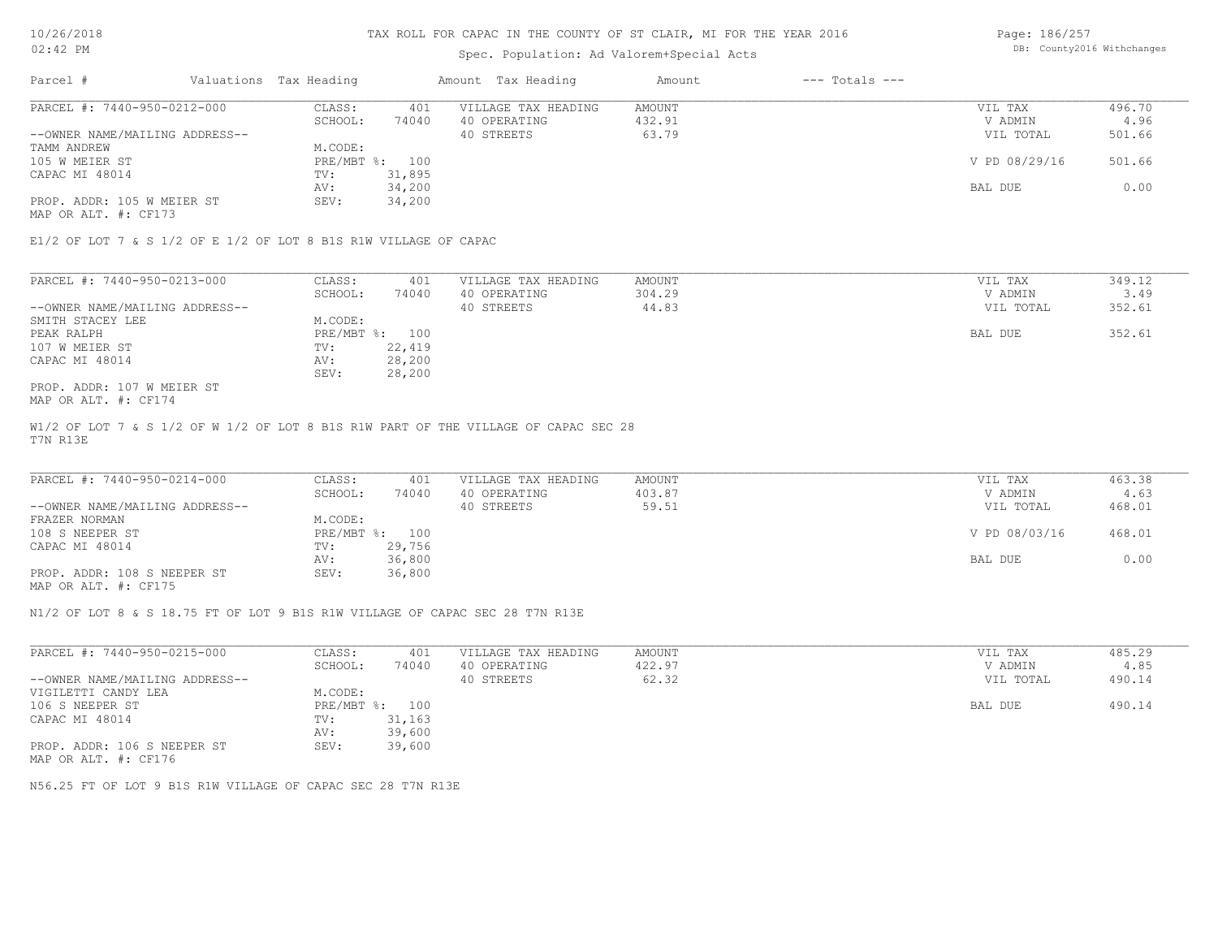# Spec. Population: Ad Valorem+Special Acts

Page: 186/257 DB: County2016 Withchanges

| Parcel #                       | Valuations Tax Heading |        | Amount Tax Heading  | Amount | $---$ Totals $---$ |               |        |
|--------------------------------|------------------------|--------|---------------------|--------|--------------------|---------------|--------|
| PARCEL #: 7440-950-0212-000    | CLASS:                 | 401    | VILLAGE TAX HEADING | AMOUNT |                    | VIL TAX       | 496.70 |
|                                | SCHOOL:                | 74040  | 40 OPERATING        | 432.91 |                    | V ADMIN       | 4.96   |
| --OWNER NAME/MAILING ADDRESS-- |                        |        | 40 STREETS          | 63.79  |                    | VIL TOTAL     | 501.66 |
| TAMM ANDREW                    | M.CODE:                |        |                     |        |                    |               |        |
| 105 W MEIER ST                 | PRE/MBT %: 100         |        |                     |        |                    | V PD 08/29/16 | 501.66 |
| CAPAC MI 48014                 | TV:                    | 31,895 |                     |        |                    |               |        |
|                                | AV:                    | 34,200 |                     |        |                    | BAL DUE       | 0.00   |
| PROP. ADDR: 105 W MEIER ST     | SEV:                   | 34,200 |                     |        |                    |               |        |
|                                |                        |        |                     |        |                    |               |        |

MAP OR ALT. #: CF173

E1/2 OF LOT 7 & S 1/2 OF E 1/2 OF LOT 8 B1S R1W VILLAGE OF CAPAC

| PARCEL #: 7440-950-0213-000    | CLASS:  | 401            | VILLAGE TAX HEADING | AMOUNT | VIL TAX   | 349.12 |
|--------------------------------|---------|----------------|---------------------|--------|-----------|--------|
|                                | SCHOOL: | 74040          | 40 OPERATING        | 304.29 | V ADMIN   | 3.49   |
| --OWNER NAME/MAILING ADDRESS-- |         |                | 40 STREETS          | 44.83  | VIL TOTAL | 352.61 |
| SMITH STACEY LEE               | M.CODE: |                |                     |        |           |        |
| PEAK RALPH                     |         | PRE/MBT %: 100 |                     |        | BAL DUE   | 352.61 |
| 107 W MEIER ST                 | TV:     | 22,419         |                     |        |           |        |
| CAPAC MI 48014                 | AV:     | 28,200         |                     |        |           |        |
|                                | SEV:    | 28,200         |                     |        |           |        |
| PROP. ADDR: 107 W MEIER ST     |         |                |                     |        |           |        |

MAP OR ALT. #: CF174

T7N R13E W1/2 OF LOT 7 & S 1/2 OF W 1/2 OF LOT 8 B1S R1W PART OF THE VILLAGE OF CAPAC SEC 28

| PARCEL #: 7440-950-0214-000    | CLASS:  | 401            | VILLAGE TAX HEADING | AMOUNT |         | VIL TAX       | 463.38 |
|--------------------------------|---------|----------------|---------------------|--------|---------|---------------|--------|
|                                | SCHOOL: | 74040          | 40 OPERATING        | 403.87 |         | V ADMIN       | 4.63   |
| --OWNER NAME/MAILING ADDRESS-- |         |                | 40 STREETS          | 59.51  |         | VIL TOTAL     | 468.01 |
| FRAZER NORMAN                  | M.CODE: |                |                     |        |         |               |        |
| 108 S NEEPER ST                |         | PRE/MBT %: 100 |                     |        |         | V PD 08/03/16 | 468.01 |
| CAPAC MI 48014                 | TV:     | 29,756         |                     |        |         |               |        |
|                                | AV:     | 36,800         |                     |        | BAL DUE |               | 0.00   |
| PROP. ADDR: 108 S NEEPER ST    | SEV:    | 36,800         |                     |        |         |               |        |
|                                |         |                |                     |        |         |               |        |

MAP OR ALT. #: CF175

N1/2 OF LOT 8 & S 18.75 FT OF LOT 9 B1S R1W VILLAGE OF CAPAC SEC 28 T7N R13E

| PARCEL #: 7440-950-0215-000                         | CLASS:       | 401    | VILLAGE TAX HEADING | AMOUNT | VIL TAX   | 485.29 |
|-----------------------------------------------------|--------------|--------|---------------------|--------|-----------|--------|
|                                                     | SCHOOL:      | 74040  | 40 OPERATING        | 422.97 | V ADMIN   | 4.85   |
| --OWNER NAME/MAILING ADDRESS--                      |              |        | 40 STREETS          | 62.32  | VIL TOTAL | 490.14 |
| VIGILETTI CANDY LEA                                 | M.CODE:      |        |                     |        |           |        |
| 106 S NEEPER ST                                     | $PRE/MBT$ %: | 100    |                     |        | BAL DUE   | 490.14 |
| CAPAC MI 48014                                      | TV:          | 31,163 |                     |        |           |        |
|                                                     | AV:          | 39,600 |                     |        |           |        |
| PROP. ADDR: 106 S NEEPER ST<br>MAP OR ALT. #: CF176 | SEV:         | 39,600 |                     |        |           |        |

N56.25 FT OF LOT 9 B1S R1W VILLAGE OF CAPAC SEC 28 T7N R13E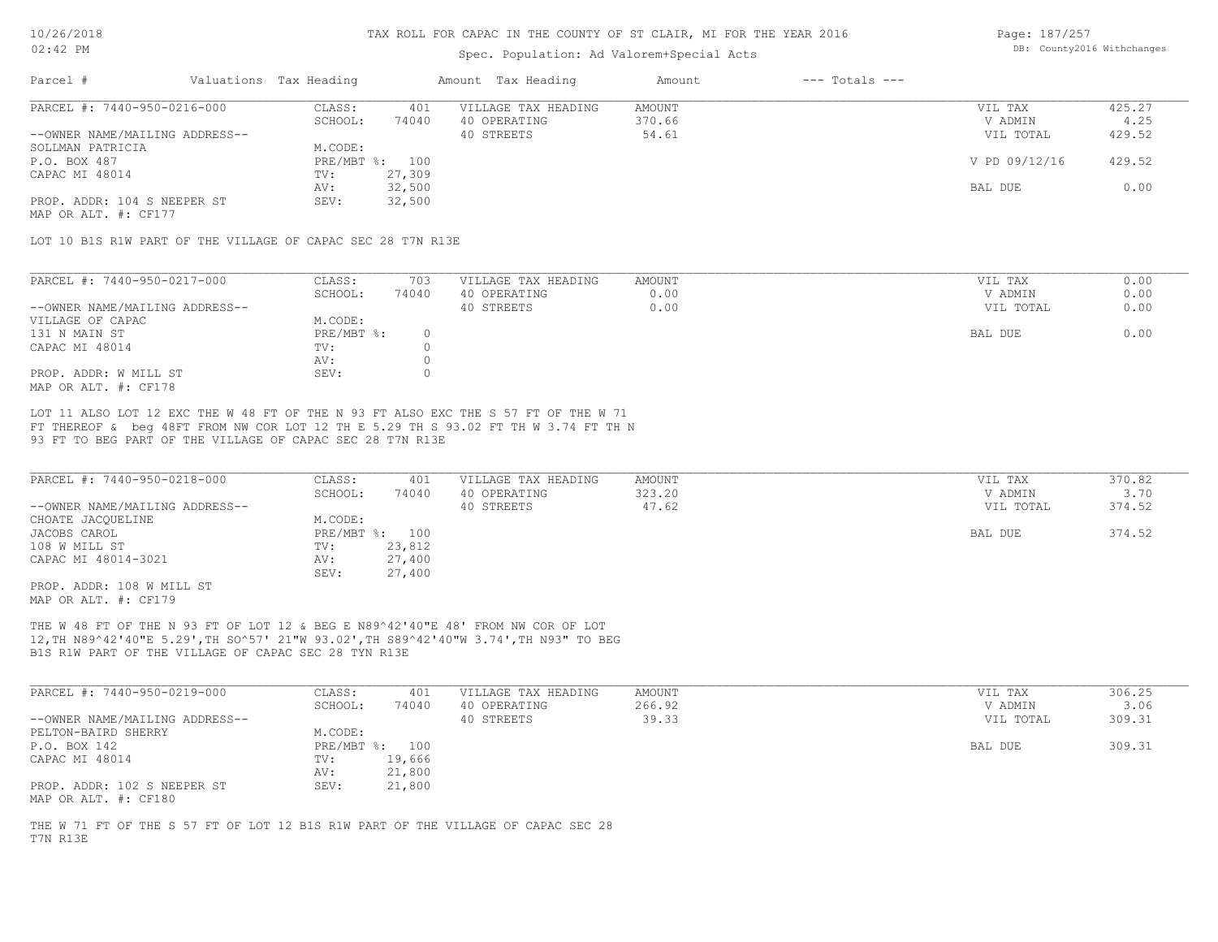#### Spec. Population: Ad Valorem+Special Acts

Page: 187/257 DB: County2016 Withchanges

| Parcel #                       | Valuations Tax Heading |        | Amount Tax Heading  | Amount | $---$ Totals $---$ |               |        |
|--------------------------------|------------------------|--------|---------------------|--------|--------------------|---------------|--------|
| PARCEL #: 7440-950-0216-000    | CLASS:                 | 401    | VILLAGE TAX HEADING | AMOUNT |                    | VIL TAX       | 425.27 |
|                                | SCHOOL:                | 74040  | 40 OPERATING        | 370.66 |                    | V ADMIN       | 4.25   |
| --OWNER NAME/MAILING ADDRESS-- |                        |        | 40 STREETS          | 54.61  |                    | VIL TOTAL     | 429.52 |
| SOLLMAN PATRICIA               | M.CODE:                |        |                     |        |                    |               |        |
| P.O. BOX 487                   | PRE/MBT %: 100         |        |                     |        |                    | V PD 09/12/16 | 429.52 |
| CAPAC MI 48014                 | TV:                    | 27,309 |                     |        |                    |               |        |
|                                | AV:                    | 32,500 |                     |        |                    | BAL DUE       | 0.00   |
| PROP. ADDR: 104 S NEEPER ST    | SEV:                   | 32,500 |                     |        |                    |               |        |
|                                |                        |        |                     |        |                    |               |        |

MAP OR ALT. #: CF177

LOT 10 B1S R1W PART OF THE VILLAGE OF CAPAC SEC 28 T7N R13E

| PARCEL #: 7440-950-0217-000    | CLASS:     | 703   | VILLAGE TAX HEADING | AMOUNT | VIL TAX   | 0.00 |
|--------------------------------|------------|-------|---------------------|--------|-----------|------|
|                                | SCHOOL:    | 74040 | 40 OPERATING        | 0.00   | V ADMIN   | 0.00 |
| --OWNER NAME/MAILING ADDRESS-- |            |       | 40 STREETS          | 0.00   | VIL TOTAL | 0.00 |
| VILLAGE OF CAPAC               | M.CODE:    |       |                     |        |           |      |
| 131 N MAIN ST                  | PRE/MBT %: |       |                     |        | BAL DUE   | 0.00 |
| CAPAC MI 48014                 | TV:        |       |                     |        |           |      |
|                                | AV:        |       |                     |        |           |      |
| PROP. ADDR: W MILL ST          | SEV:       |       |                     |        |           |      |
| MAP OR ALT. #: CF178           |            |       |                     |        |           |      |

93 FT TO BEG PART OF THE VILLAGE OF CAPAC SEC 28 T7N R13E FT THEREOF & beg 48FT FROM NW COR LOT 12 TH E 5.29 TH S 93.02 FT TH W 3.74 FT TH N LOT 11 ALSO LOT 12 EXC THE W 48 FT OF THE N 93 FT ALSO EXC THE S 57 FT OF THE W 71

| PARCEL #: 7440-950-0218-000    | CLASS:       | 401    | VILLAGE TAX HEADING | AMOUNT | VIL TAX   | 370.82 |
|--------------------------------|--------------|--------|---------------------|--------|-----------|--------|
|                                | SCHOOL:      | 74040  | 40 OPERATING        | 323.20 | V ADMIN   | 3.70   |
| --OWNER NAME/MAILING ADDRESS-- |              |        | 40 STREETS          | 47.62  | VIL TOTAL | 374.52 |
| CHOATE JACQUELINE              | M.CODE:      |        |                     |        |           |        |
| JACOBS CAROL                   | $PRE/MBT$ %: | 100    |                     |        | BAL DUE   | 374.52 |
| 108 W MILL ST                  | TV:          | 23,812 |                     |        |           |        |
| CAPAC MI 48014-3021            | AV:          | 27,400 |                     |        |           |        |
|                                | SEV:         | 27,400 |                     |        |           |        |
| PROP. ADDR: 108 W MILL ST      |              |        |                     |        |           |        |

MAP OR ALT. #: CF179

B1S R1W PART OF THE VILLAGE OF CAPAC SEC 28 TYN R13E 12,TH N89^42'40"E 5.29',TH SO^57' 21"W 93.02',TH S89^42'40"W 3.74',TH N93" TO BEG THE W 48 FT OF THE N 93 FT OF LOT 12 & BEG E N89^42'40"E 48' FROM NW COR OF LOT

| PARCEL #: 7440-950-0219-000                         | CLASS:  | 401            | VILLAGE TAX HEADING | AMOUNT | VIL TAX   | 306.25 |
|-----------------------------------------------------|---------|----------------|---------------------|--------|-----------|--------|
|                                                     | SCHOOL: | 74040          | 40 OPERATING        | 266.92 | V ADMIN   | 3.06   |
| --OWNER NAME/MAILING ADDRESS--                      |         |                | 40 STREETS          | 39.33  | VIL TOTAL | 309.31 |
| PELTON-BAIRD SHERRY                                 | M.CODE: |                |                     |        |           |        |
| P.O. BOX 142                                        |         | PRE/MBT %: 100 |                     |        | BAL DUE   | 309.31 |
| CAPAC MI 48014                                      | TV:     | 19,666         |                     |        |           |        |
|                                                     | AV:     | 21,800         |                     |        |           |        |
| PROP. ADDR: 102 S NEEPER ST<br>MAP OR ALT. #: CF180 | SEV:    | 21,800         |                     |        |           |        |

T7N R13E THE W 71 FT OF THE S 57 FT OF LOT 12 B1S R1W PART OF THE VILLAGE OF CAPAC SEC 28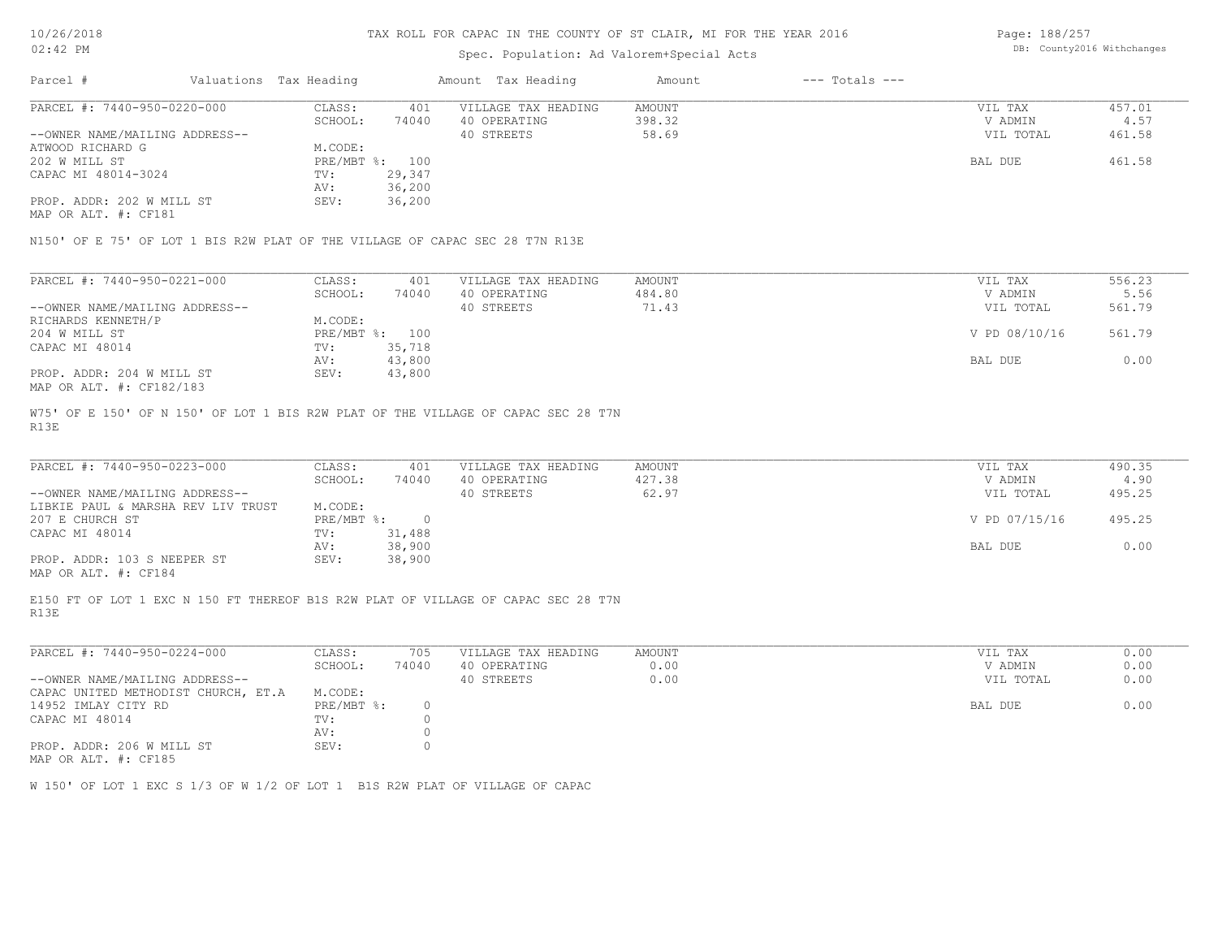#### Spec. Population: Ad Valorem+Special Acts

Page: 188/257 DB: County2016 Withchanges

| Parcel #                       | Valuations Tax Heading |                | Amount Tax Heading  | Amount | $---$ Totals $---$ |           |        |
|--------------------------------|------------------------|----------------|---------------------|--------|--------------------|-----------|--------|
| PARCEL #: 7440-950-0220-000    | CLASS:                 | 401            | VILLAGE TAX HEADING | AMOUNT |                    | VIL TAX   | 457.01 |
|                                | SCHOOL:                | 74040          | 40 OPERATING        | 398.32 |                    | V ADMIN   | 4.57   |
| --OWNER NAME/MAILING ADDRESS-- |                        |                | 40 STREETS          | 58.69  |                    | VIL TOTAL | 461.58 |
| ATWOOD RICHARD G               | M.CODE:                |                |                     |        |                    |           |        |
| 202 W MILL ST                  |                        | PRE/MBT %: 100 |                     |        |                    | BAL DUE   | 461.58 |
| CAPAC MI 48014-3024            | TV:                    | 29,347         |                     |        |                    |           |        |
|                                | AV:                    | 36,200         |                     |        |                    |           |        |
| PROP. ADDR: 202 W MILL ST      | SEV:                   | 36,200         |                     |        |                    |           |        |
| MAP OR ALT. #: CF181           |                        |                |                     |        |                    |           |        |

N150' OF E 75' OF LOT 1 BIS R2W PLAT OF THE VILLAGE OF CAPAC SEC 28 T7N R13E

| PARCEL #: 7440-950-0221-000    | CLASS:       | 401    | VILLAGE TAX HEADING | AMOUNT | VIL TAX       | 556.23 |
|--------------------------------|--------------|--------|---------------------|--------|---------------|--------|
|                                | SCHOOL:      | 74040  | 40 OPERATING        | 484.80 | V ADMIN       | 5.56   |
| --OWNER NAME/MAILING ADDRESS-- |              |        | 40 STREETS          | 71.43  | VIL TOTAL     | 561.79 |
| RICHARDS KENNETH/P             | M.CODE:      |        |                     |        |               |        |
| 204 W MILL ST                  | $PRE/MBT$ %: | 100    |                     |        | V PD 08/10/16 | 561.79 |
| CAPAC MI 48014                 | TV:          | 35,718 |                     |        |               |        |
|                                | AV:          | 43,800 |                     |        | BAL DUE       | 0.00   |
| PROP. ADDR: 204 W MILL ST      | SEV:         | 43,800 |                     |        |               |        |
| MAP OR ALT. #: CF182/183       |              |        |                     |        |               |        |

R13E W75' OF E 150' OF N 150' OF LOT 1 BIS R2W PLAT OF THE VILLAGE OF CAPAC SEC 28 T7N

| PARCEL #: 7440-950-0223-000        | CLASS:     | 401    | VILLAGE TAX HEADING | AMOUNT | VIL TAX       | 490.35 |
|------------------------------------|------------|--------|---------------------|--------|---------------|--------|
|                                    | SCHOOL:    | 74040  | 40 OPERATING        | 427.38 | V ADMIN       | 4.90   |
| --OWNER NAME/MAILING ADDRESS--     |            |        | 40 STREETS          | 62.97  | VIL TOTAL     | 495.25 |
| LIBKIE PAUL & MARSHA REV LIV TRUST | M.CODE:    |        |                     |        |               |        |
| 207 E CHURCH ST                    | PRE/MBT %: |        |                     |        | V PD 07/15/16 | 495.25 |
| CAPAC MI 48014                     | TV:        | 31,488 |                     |        |               |        |
|                                    | AV:        | 38,900 |                     |        | BAL DUE       | 0.00   |
| PROP. ADDR: 103 S NEEPER ST        | SEV:       | 38,900 |                     |        |               |        |
|                                    |            |        |                     |        |               |        |

MAP OR ALT. #: CF184

R13E E150 FT OF LOT 1 EXC N 150 FT THEREOF B1S R2W PLAT OF VILLAGE OF CAPAC SEC 28 T7N

| PARCEL #: 7440-950-0224-000                      | CLASS:     | 705   | VILLAGE TAX HEADING | AMOUNT | VIL TAX<br>0.00   |
|--------------------------------------------------|------------|-------|---------------------|--------|-------------------|
|                                                  | SCHOOL:    | 74040 | 40 OPERATING        | 0.00   | 0.00<br>V ADMIN   |
| --OWNER NAME/MAILING ADDRESS--                   |            |       | 40 STREETS          | 0.00   | 0.00<br>VIL TOTAL |
| CAPAC UNITED METHODIST CHURCH, ET.A              | M.CODE:    |       |                     |        |                   |
| 14952 IMLAY CITY RD                              | PRE/MBT %: |       |                     |        | 0.00<br>BAL DUE   |
| CAPAC MI 48014                                   | TV:        |       |                     |        |                   |
|                                                  | AV:        |       |                     |        |                   |
| PROP. ADDR: 206 W MILL ST<br>MAD OD ATM 4. OUIDE | SEV:       |       |                     |        |                   |

MAP OR ALT. #: CF185

W 150' OF LOT 1 EXC S 1/3 OF W 1/2 OF LOT 1 B1S R2W PLAT OF VILLAGE OF CAPAC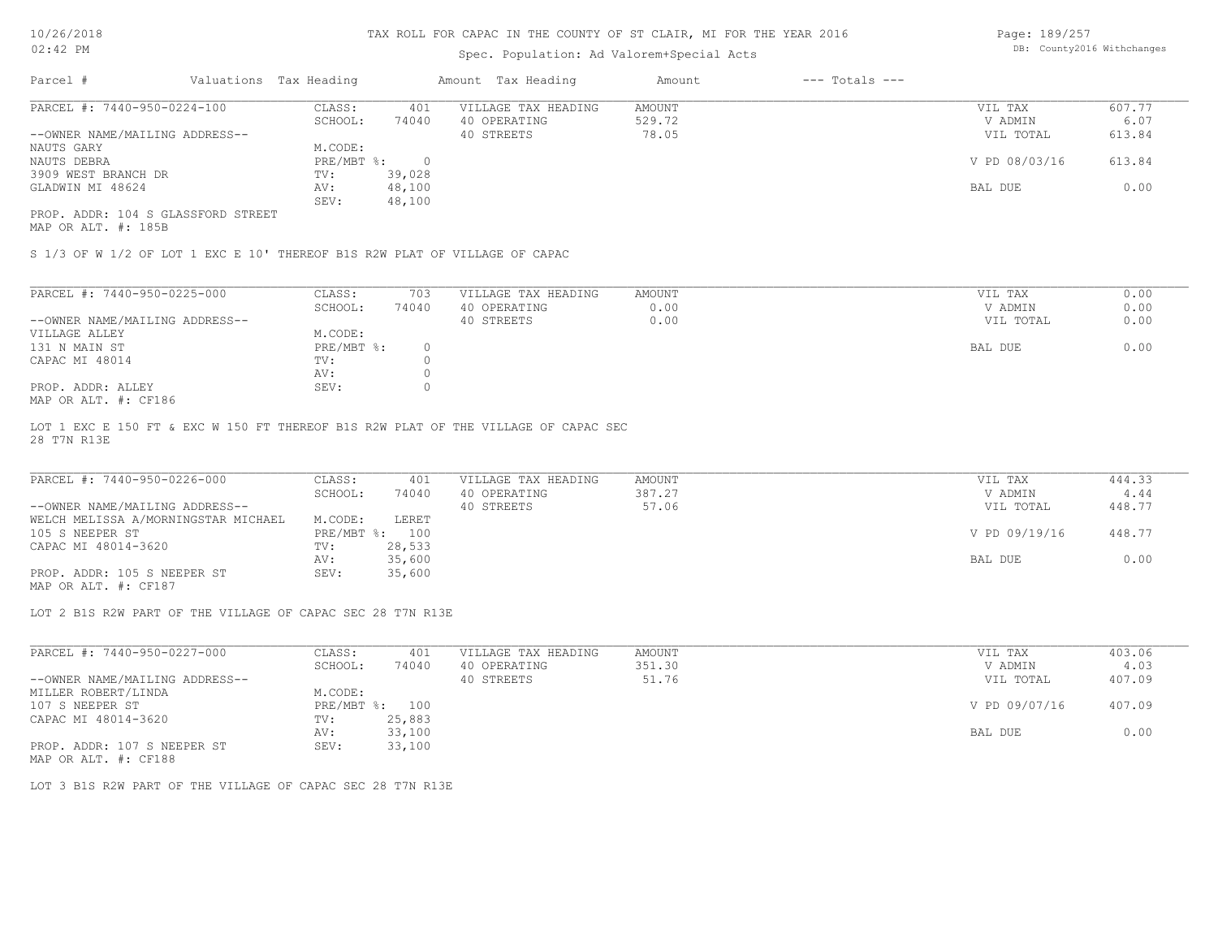## Spec. Population: Ad Valorem+Special Acts

Page: 189/257 DB: County2016 Withchanges

| Parcel #                           | Valuations Tax Heading |        | Amount Tax Heading  | Amount | $---$ Totals $---$ |               |        |
|------------------------------------|------------------------|--------|---------------------|--------|--------------------|---------------|--------|
| PARCEL #: 7440-950-0224-100        | CLASS:                 | 401    | VILLAGE TAX HEADING | AMOUNT |                    | VIL TAX       | 607.77 |
|                                    | SCHOOL:                | 74040  | 40 OPERATING        | 529.72 |                    | V ADMIN       | 6.07   |
| --OWNER NAME/MAILING ADDRESS--     |                        |        | 40 STREETS          | 78.05  |                    | VIL TOTAL     | 613.84 |
| NAUTS GARY                         | M.CODE:                |        |                     |        |                    |               |        |
| NAUTS DEBRA                        | PRE/MBT %:             |        |                     |        |                    | V PD 08/03/16 | 613.84 |
| 3909 WEST BRANCH DR                | TV:                    | 39,028 |                     |        |                    |               |        |
| GLADWIN MI 48624                   | AV:                    | 48,100 |                     |        |                    | BAL DUE       | 0.00   |
|                                    | SEV:                   | 48,100 |                     |        |                    |               |        |
| PROP. ADDR: 104 S GLASSFORD STREET |                        |        |                     |        |                    |               |        |

MAP OR ALT. #: 185B

S 1/3 OF W 1/2 OF LOT 1 EXC E 10' THEREOF B1S R2W PLAT OF VILLAGE OF CAPAC

| PARCEL #: 7440-950-0225-000                                                                                                                                                                                                                                                                                                                      | CLASS:     | 703   | VILLAGE TAX HEADING | AMOUNT | 0.00<br>VIL TAX   |
|--------------------------------------------------------------------------------------------------------------------------------------------------------------------------------------------------------------------------------------------------------------------------------------------------------------------------------------------------|------------|-------|---------------------|--------|-------------------|
|                                                                                                                                                                                                                                                                                                                                                  | SCHOOL:    | 74040 | 40 OPERATING        | 0.00   | 0.00<br>V ADMIN   |
| --OWNER NAME/MAILING ADDRESS--                                                                                                                                                                                                                                                                                                                   |            |       | 40 STREETS          | 0.00   | 0.00<br>VIL TOTAL |
| VILLAGE ALLEY                                                                                                                                                                                                                                                                                                                                    | M.CODE:    |       |                     |        |                   |
| 131 N MAIN ST                                                                                                                                                                                                                                                                                                                                    | PRE/MBT %: |       |                     |        | 0.00<br>BAL DUE   |
| CAPAC MI 48014                                                                                                                                                                                                                                                                                                                                   | TV:        |       |                     |        |                   |
|                                                                                                                                                                                                                                                                                                                                                  | AV:        |       |                     |        |                   |
| PROP. ADDR: ALLEY                                                                                                                                                                                                                                                                                                                                | SEV:       |       |                     |        |                   |
| $M \land D$ $\land T$ $\Box T$ $\Box T$ $\Box T$ $\Box T$ $\Box T$ $\Box T$ $\Box T$ $\Box T$ $\Box T$ $\Box T$ $\Box T$ $\Box T$ $\Box T$ $\Box T$ $\Box T$ $\Box T$ $\Box T$ $\Box T$ $\Box T$ $\Box T$ $\Box T$ $\Box T$ $\Box T$ $\Box T$ $\Box T$ $\Box T$ $\Box T$ $\Box T$ $\Box T$ $\Box T$ $\Box T$ $\Box T$ $\Box T$ $\Box T$ $\Box T$ |            |       |                     |        |                   |

MAP OR ALT. #: CF186

28 T7N R13E LOT 1 EXC E 150 FT & EXC W 150 FT THEREOF B1S R2W PLAT OF THE VILLAGE OF CAPAC SEC

| PARCEL #: 7440-950-0226-000         | CLASS:  | 401            | VILLAGE TAX HEADING | AMOUNT | VIL TAX       | 444.33 |
|-------------------------------------|---------|----------------|---------------------|--------|---------------|--------|
|                                     | SCHOOL: | 74040          | 40 OPERATING        | 387.27 | V ADMIN       | 4.44   |
| --OWNER NAME/MAILING ADDRESS--      |         |                | 40 STREETS          | 57.06  | VIL TOTAL     | 448.77 |
| WELCH MELISSA A/MORNINGSTAR MICHAEL | M.CODE: | LERET          |                     |        |               |        |
| 105 S NEEPER ST                     |         | PRE/MBT %: 100 |                     |        | V PD 09/19/16 | 448.77 |
| CAPAC MI 48014-3620                 | TV:     | 28,533         |                     |        |               |        |
|                                     | AV:     | 35,600         |                     |        | BAL DUE       | 0.00   |
| PROP. ADDR: 105 S NEEPER ST         | SEV:    | 35,600         |                     |        |               |        |

MAP OR ALT. #: CF187

LOT 2 B1S R2W PART OF THE VILLAGE OF CAPAC SEC 28 T7N R13E

| PARCEL #: 7440-950-0227-000                           | CLASS:                    | 401    | VILLAGE TAX HEADING | AMOUNT | VIL TAX       | 403.06 |
|-------------------------------------------------------|---------------------------|--------|---------------------|--------|---------------|--------|
|                                                       | SCHOOL:                   | 74040  | 40 OPERATING        | 351.30 | V ADMIN       | 4.03   |
| --OWNER NAME/MAILING ADDRESS--                        |                           |        | 40 STREETS          | 51.76  | VIL TOTAL     | 407.09 |
| MILLER ROBERT/LINDA                                   | M.CODE:                   |        |                     |        |               |        |
| 107 S NEEPER ST                                       | $PRE/MBT$ $\frac{1}{6}$ : | 100    |                     |        | V PD 09/07/16 | 407.09 |
| CAPAC MI 48014-3620                                   | TV:                       | 25,883 |                     |        |               |        |
|                                                       | AV:                       | 33,100 |                     |        | BAL DUE       | 0.00   |
| PROP. ADDR: 107 S NEEPER ST                           | SEV:                      | 33,100 |                     |        |               |        |
| $\cdots$ $\cdots$ $\cdots$ $\cdots$ $\cdots$ $\cdots$ |                           |        |                     |        |               |        |

MAP OR ALT. #: CF188

LOT 3 B1S R2W PART OF THE VILLAGE OF CAPAC SEC 28 T7N R13E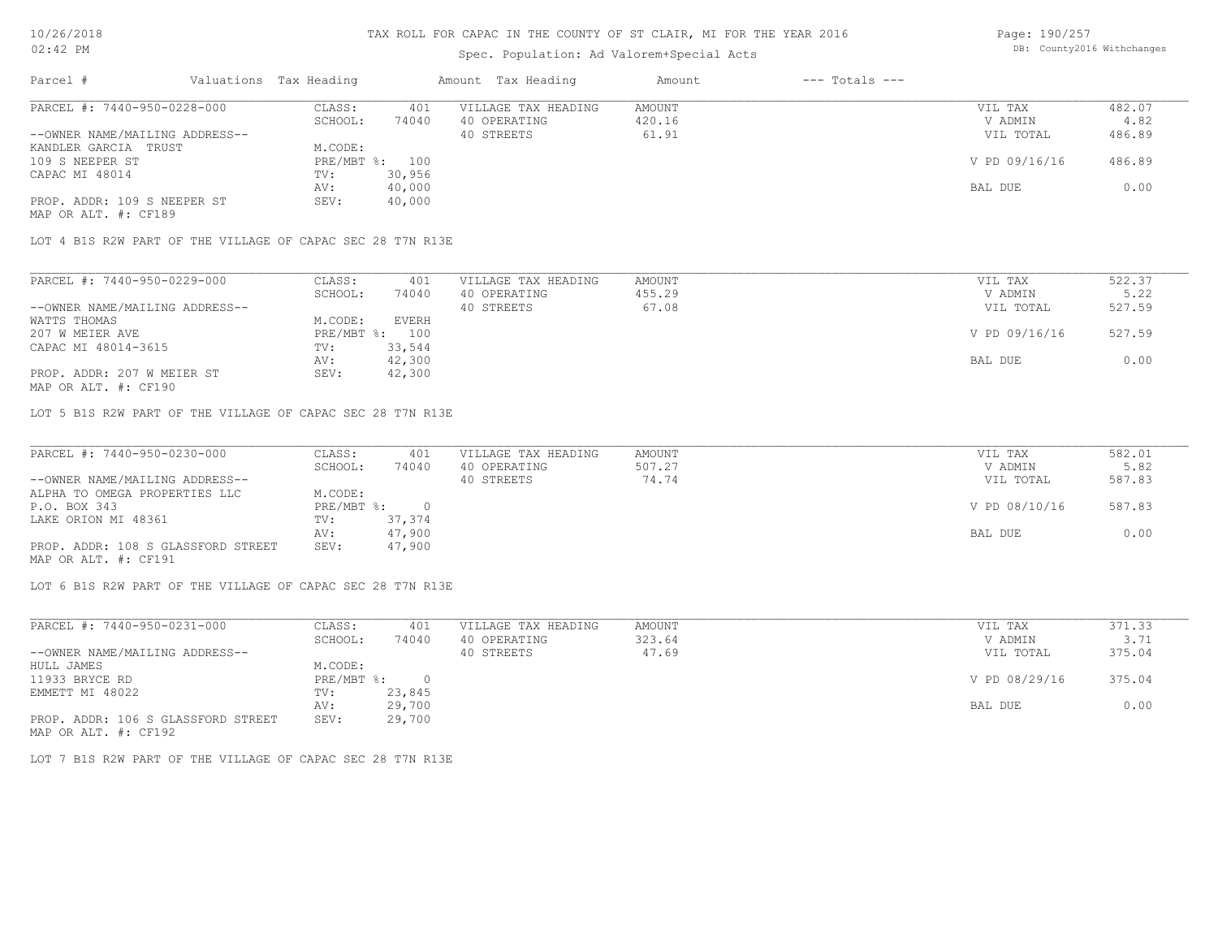# Spec. Population: Ad Valorem+Special Acts

Page: 190/257 DB: County2016 Withchanges

| Parcel #                       | Valuations Tax Heading |        | Amount Tax Heading  | Amount | $---$ Totals $---$ |               |        |
|--------------------------------|------------------------|--------|---------------------|--------|--------------------|---------------|--------|
| PARCEL #: 7440-950-0228-000    | CLASS:                 | 401    | VILLAGE TAX HEADING | AMOUNT |                    | VIL TAX       | 482.07 |
|                                | SCHOOL:                | 74040  | 40 OPERATING        | 420.16 |                    | V ADMIN       | 4.82   |
| --OWNER NAME/MAILING ADDRESS-- |                        |        | 40 STREETS          | 61.91  |                    | VIL TOTAL     | 486.89 |
| KANDLER GARCIA TRUST           | M.CODE:                |        |                     |        |                    |               |        |
| 109 S NEEPER ST                | PRE/MBT %: 100         |        |                     |        |                    | V PD 09/16/16 | 486.89 |
| CAPAC MI 48014                 | TV:                    | 30,956 |                     |        |                    |               |        |
|                                | AV:                    | 40,000 |                     |        |                    | BAL DUE       | 0.00   |
| PROP. ADDR: 109 S NEEPER ST    | SEV:                   | 40,000 |                     |        |                    |               |        |
| MAP OR ALT. #: CF189           |                        |        |                     |        |                    |               |        |

LOT 4 B1S R2W PART OF THE VILLAGE OF CAPAC SEC 28 T7N R13E

| V ADMIN       | 5.22   |
|---------------|--------|
|               |        |
| VIL TOTAL     | 527.59 |
|               |        |
| V PD 09/16/16 | 527.59 |
|               |        |
| BAL DUE       | 0.00   |
|               |        |
|               |        |

MAP OR ALT. #: CF190

LOT 5 B1S R2W PART OF THE VILLAGE OF CAPAC SEC 28 T7N R13E

| PARCEL #: 7440-950-0230-000        | CLASS:       | 401    | VILLAGE TAX HEADING | AMOUNT | VIL TAX       | 582.01 |
|------------------------------------|--------------|--------|---------------------|--------|---------------|--------|
|                                    | SCHOOL:      | 74040  | 40 OPERATING        | 507.27 | V ADMIN       | 5.82   |
| --OWNER NAME/MAILING ADDRESS--     |              |        | 40 STREETS          | 74.74  | VIL TOTAL     | 587.83 |
| ALPHA TO OMEGA PROPERTIES LLC      | M.CODE:      |        |                     |        |               |        |
| P.O. BOX 343                       | $PRE/MBT$ %: |        |                     |        | V PD 08/10/16 | 587.83 |
| LAKE ORION MI 48361                | TV:          | 37,374 |                     |        |               |        |
|                                    | AV:          | 47,900 |                     |        | BAL DUE       | 0.00   |
| PROP. ADDR: 108 S GLASSFORD STREET | SEV:         | 47,900 |                     |        |               |        |
| MAP OR ALT. #: CF191               |              |        |                     |        |               |        |

LOT 6 B1S R2W PART OF THE VILLAGE OF CAPAC SEC 28 T7N R13E

| PARCEL #: 7440-950-0231-000        | CLASS:     | 401    | VILLAGE TAX HEADING | AMOUNT | VIL TAX       | 371.33 |
|------------------------------------|------------|--------|---------------------|--------|---------------|--------|
|                                    | SCHOOL:    | 74040  | 40 OPERATING        | 323.64 | V ADMIN       | 3.71   |
| --OWNER NAME/MAILING ADDRESS--     |            |        | 40 STREETS          | 47.69  | VIL TOTAL     | 375.04 |
| HULL JAMES                         | M.CODE:    |        |                     |        |               |        |
| 11933 BRYCE RD                     | PRE/MBT %: |        |                     |        | V PD 08/29/16 | 375.04 |
| EMMETT MI 48022                    | TV:        | 23,845 |                     |        |               |        |
|                                    | AV:        | 29,700 |                     |        | BAL DUE       | 0.00   |
| PROP. ADDR: 106 S GLASSFORD STREET | SEV:       | 29,700 |                     |        |               |        |
| MAP OR ALT. #: CF192               |            |        |                     |        |               |        |

LOT 7 B1S R2W PART OF THE VILLAGE OF CAPAC SEC 28 T7N R13E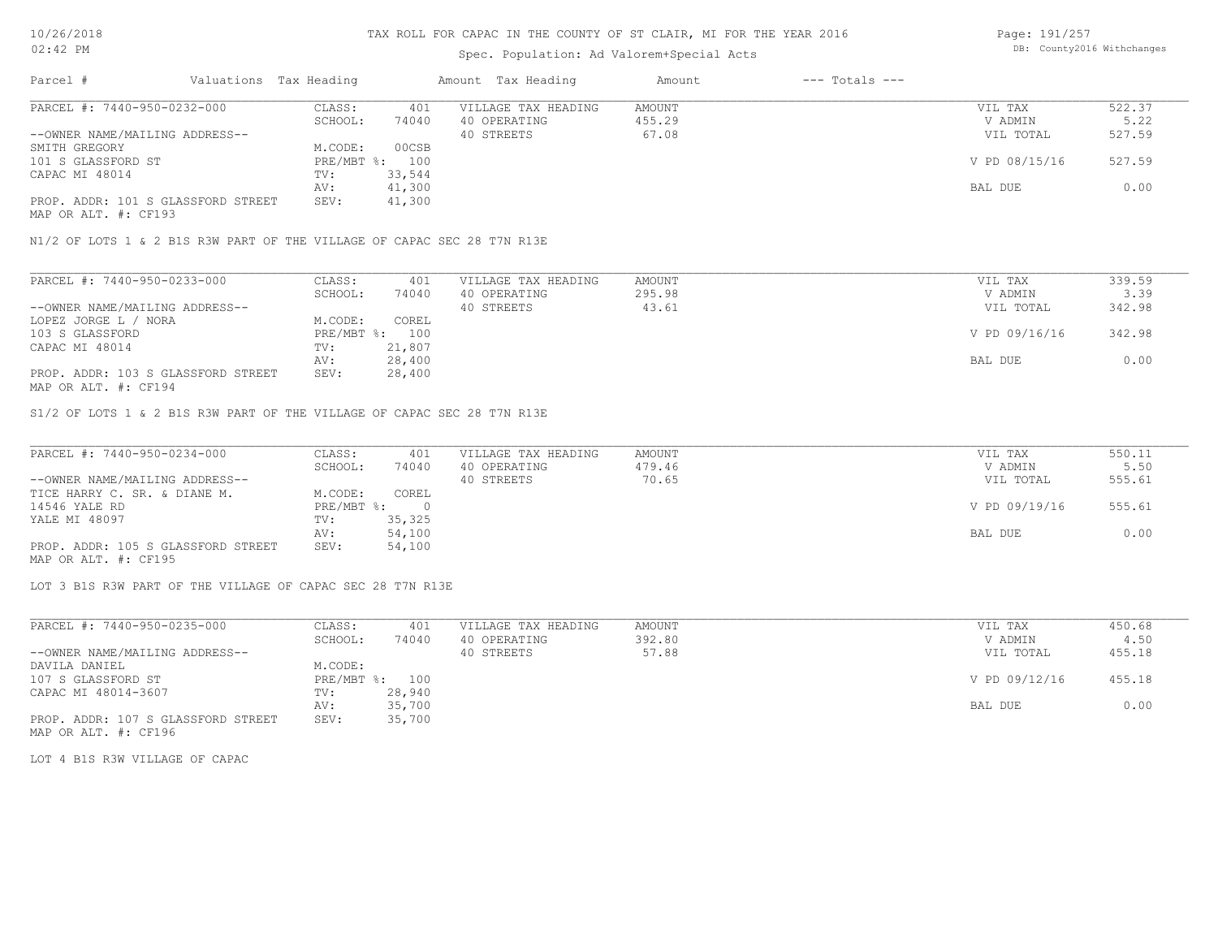# Spec. Population: Ad Valorem+Special Acts

Page: 191/257 DB: County2016 Withchanges

| Parcel #                           | Valuations Tax Heading |                | Amount Tax Heading  | Amount | $---$ Totals $---$ |               |        |
|------------------------------------|------------------------|----------------|---------------------|--------|--------------------|---------------|--------|
| PARCEL #: 7440-950-0232-000        | CLASS:                 | 401            | VILLAGE TAX HEADING | AMOUNT |                    | VIL TAX       | 522.37 |
|                                    | SCHOOL:                | 74040          | 40 OPERATING        | 455.29 |                    | V ADMIN       | 5.22   |
| --OWNER NAME/MAILING ADDRESS--     |                        |                | 40 STREETS          | 67.08  |                    | VIL TOTAL     | 527.59 |
| SMITH GREGORY                      | M.CODE:                | 00CSB          |                     |        |                    |               |        |
| 101 S GLASSFORD ST                 |                        | PRE/MBT %: 100 |                     |        |                    | V PD 08/15/16 | 527.59 |
| CAPAC MI 48014                     | TV:                    | 33,544         |                     |        |                    |               |        |
|                                    | AV:                    | 41,300         |                     |        |                    | BAL DUE       | 0.00   |
| PROP. ADDR: 101 S GLASSFORD STREET | SEV:                   | 41,300         |                     |        |                    |               |        |
| $\cdots$                           |                        |                |                     |        |                    |               |        |

MAP OR ALT. #: CF193

N1/2 OF LOTS 1 & 2 B1S R3W PART OF THE VILLAGE OF CAPAC SEC 28 T7N R13E

| PARCEL #: 7440-950-0233-000        | CLASS:       | 401    | VILLAGE TAX HEADING | AMOUNT | VIL TAX       | 339.59 |
|------------------------------------|--------------|--------|---------------------|--------|---------------|--------|
|                                    | SCHOOL:      | 74040  | 40 OPERATING        | 295.98 | V ADMIN       | 3.39   |
| --OWNER NAME/MAILING ADDRESS--     |              |        | 40 STREETS          | 43.61  | VIL TOTAL     | 342.98 |
| LOPEZ JORGE L / NORA               | M.CODE:      | COREL  |                     |        |               |        |
| 103 S GLASSFORD                    | $PRE/MBT$ %: | 100    |                     |        | V PD 09/16/16 | 342.98 |
| CAPAC MI 48014                     | TV:          | 21,807 |                     |        |               |        |
|                                    | AV:          | 28,400 |                     |        | BAL DUE       | 0.00   |
| PROP. ADDR: 103 S GLASSFORD STREET | SEV:         | 28,400 |                     |        |               |        |
| MAP OR ALT. #: CF194               |              |        |                     |        |               |        |

S1/2 OF LOTS 1 & 2 B1S R3W PART OF THE VILLAGE OF CAPAC SEC 28 T7N R13E

| PARCEL #: 7440-950-0234-000        | CLASS:     | 401    | VILLAGE TAX HEADING | AMOUNT | VIL TAX       | 550.11 |
|------------------------------------|------------|--------|---------------------|--------|---------------|--------|
|                                    | SCHOOL:    | 74040  | 40 OPERATING        | 479.46 | V ADMIN       | 5.50   |
| --OWNER NAME/MAILING ADDRESS--     |            |        | 40 STREETS          | 70.65  | VIL TOTAL     | 555.61 |
| TICE HARRY C. SR. & DIANE M.       | M.CODE:    | COREL  |                     |        |               |        |
| 14546 YALE RD                      | PRE/MBT %: |        |                     |        | V PD 09/19/16 | 555.61 |
| YALE MI 48097                      | TV:        | 35,325 |                     |        |               |        |
|                                    | AV:        | 54,100 |                     |        | BAL DUE       | 0.00   |
| PROP. ADDR: 105 S GLASSFORD STREET | SEV:       | 54,100 |                     |        |               |        |
| MAP OR ALT. #: CF195               |            |        |                     |        |               |        |

LOT 3 B1S R3W PART OF THE VILLAGE OF CAPAC SEC 28 T7N R13E

| PARCEL #: 7440-950-0235-000        | CLASS:     | 401    | VILLAGE TAX HEADING | AMOUNT | VIL TAX       | 450.68 |
|------------------------------------|------------|--------|---------------------|--------|---------------|--------|
|                                    | SCHOOL:    | 74040  | 40 OPERATING        | 392.80 | V ADMIN       | 4.50   |
| --OWNER NAME/MAILING ADDRESS--     |            |        | 40 STREETS          | 57.88  | VIL TOTAL     | 455.18 |
| DAVILA DANIEL                      | M.CODE:    |        |                     |        |               |        |
| 107 S GLASSFORD ST                 | PRE/MBT %: | 100    |                     |        | V PD 09/12/16 | 455.18 |
| CAPAC MI 48014-3607                | TV:        | 28,940 |                     |        |               |        |
|                                    | AV:        | 35,700 |                     |        | BAL DUE       | 0.00   |
| PROP. ADDR: 107 S GLASSFORD STREET | SEV:       | 35,700 |                     |        |               |        |

MAP OR ALT. #: CF196

LOT 4 B1S R3W VILLAGE OF CAPAC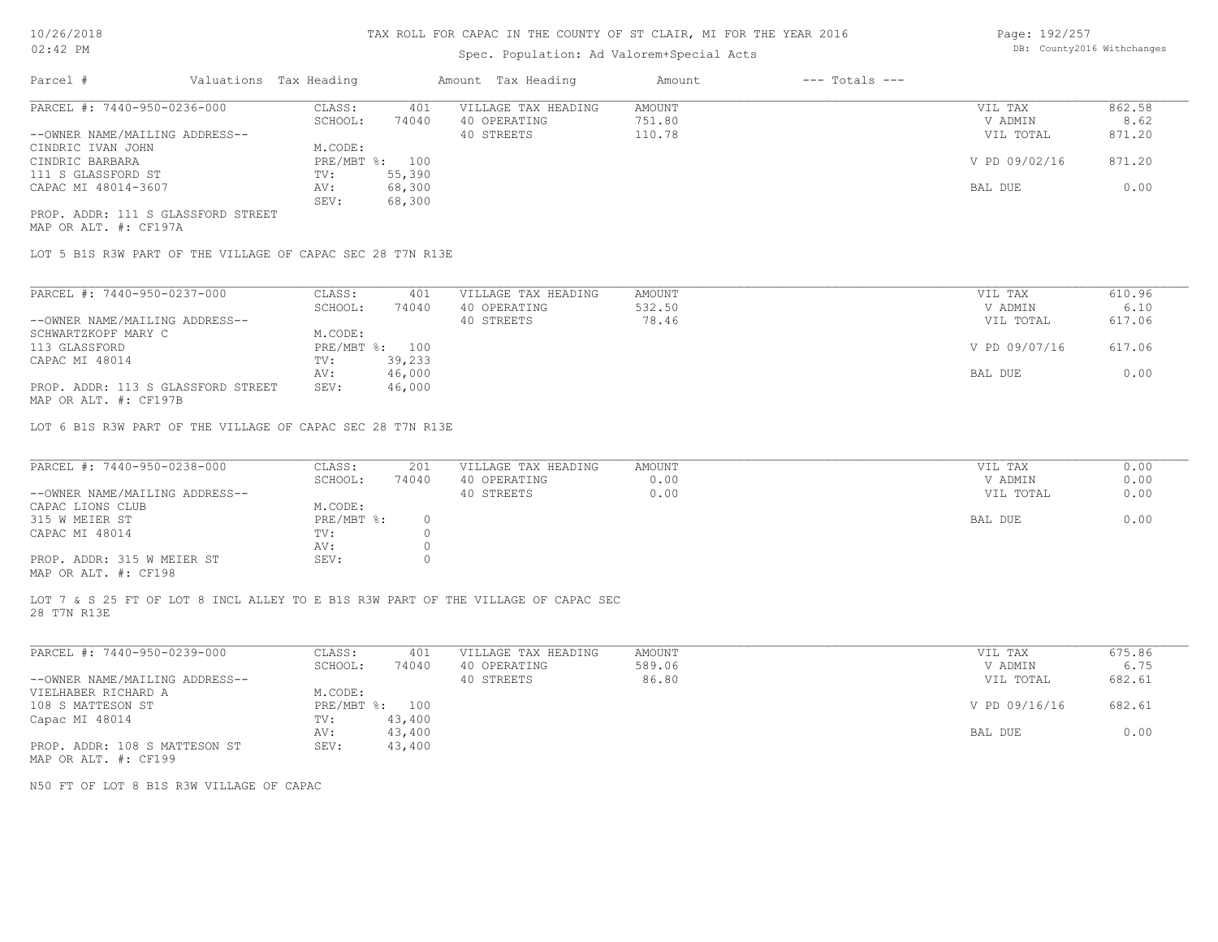# Spec. Population: Ad Valorem+Special Acts

Page: 192/257 DB: County2016 Withchanges

| Parcel #                           |  | Valuations Tax Heading | Amount Tax Heading |                     | Amount | $---$ Totals $---$ |               |        |
|------------------------------------|--|------------------------|--------------------|---------------------|--------|--------------------|---------------|--------|
| PARCEL #: 7440-950-0236-000        |  | CLASS:                 | 401                | VILLAGE TAX HEADING | AMOUNT |                    | VIL TAX       | 862.58 |
|                                    |  | SCHOOL:                | 74040              | 40 OPERATING        | 751.80 |                    | V ADMIN       | 8.62   |
| --OWNER NAME/MAILING ADDRESS--     |  |                        |                    | 40 STREETS          | 110.78 |                    | VIL TOTAL     | 871.20 |
| CINDRIC IVAN JOHN                  |  | M.CODE:                |                    |                     |        |                    |               |        |
| CINDRIC BARBARA                    |  | PRE/MBT %: 100         |                    |                     |        |                    | V PD 09/02/16 | 871.20 |
| 111 S GLASSFORD ST                 |  | TV:                    | 55,390             |                     |        |                    |               |        |
| CAPAC MI 48014-3607                |  | AV:                    | 68,300             |                     |        |                    | BAL DUE       | 0.00   |
|                                    |  | SEV:                   | 68,300             |                     |        |                    |               |        |
| PROP. ADDR: 111 S GLASSFORD STREET |  |                        |                    |                     |        |                    |               |        |

MAP OR ALT. #: CF197A

LOT 5 B1S R3W PART OF THE VILLAGE OF CAPAC SEC 28 T7N R13E

| PARCEL #: 7440-950-0237-000        | CLASS:     | 401    | VILLAGE TAX HEADING | AMOUNT | VIL TAX       | 610.96 |
|------------------------------------|------------|--------|---------------------|--------|---------------|--------|
|                                    | SCHOOL:    | 74040  | 40 OPERATING        | 532.50 | V ADMIN       | 6.10   |
| --OWNER NAME/MAILING ADDRESS--     |            |        | 40 STREETS          | 78.46  | VIL TOTAL     | 617.06 |
| SCHWARTZKOPF MARY C                | M.CODE:    |        |                     |        |               |        |
| 113 GLASSFORD                      | PRE/MBT %: | 100    |                     |        | V PD 09/07/16 | 617.06 |
| CAPAC MI 48014                     | TV:        | 39,233 |                     |        |               |        |
|                                    | AV:        | 46,000 |                     |        | BAL DUE       | 0.00   |
| PROP. ADDR: 113 S GLASSFORD STREET | SEV:       | 46,000 |                     |        |               |        |
|                                    |            |        |                     |        |               |        |

MAP OR ALT. #: CF197B

LOT 6 B1S R3W PART OF THE VILLAGE OF CAPAC SEC 28 T7N R13E

| PARCEL #: 7440-950-0238-000                           | CLASS:     | 201   | VILLAGE TAX HEADING | AMOUNT | VIL TAX   | 0.00 |
|-------------------------------------------------------|------------|-------|---------------------|--------|-----------|------|
|                                                       | SCHOOL:    | 74040 | 40 OPERATING        | 0.00   | V ADMIN   | 0.00 |
| --OWNER NAME/MAILING ADDRESS--                        |            |       | 40 STREETS          | 0.00   | VIL TOTAL | 0.00 |
| CAPAC LIONS CLUB                                      | M.CODE:    |       |                     |        |           |      |
| 315 W MEIER ST                                        | PRE/MBT %: |       |                     |        | BAL DUE   | 0.00 |
| CAPAC MI 48014                                        | TV:        |       |                     |        |           |      |
|                                                       | AV:        |       |                     |        |           |      |
| PROP. ADDR: 315 W MEIER ST                            | SEV:       |       |                     |        |           |      |
| $\cdots$ $\cdots$ $\cdots$ $\cdots$ $\cdots$ $\cdots$ |            |       |                     |        |           |      |

MAP OR ALT. #: CF198

28 T7N R13E LOT 7 & S 25 FT OF LOT 8 INCL ALLEY TO E B1S R3W PART OF THE VILLAGE OF CAPAC SEC

| PARCEL #: 7440-950-0239-000    | CLASS:       | 401    | VILLAGE TAX HEADING | AMOUNT | VIL TAX       | 675.86 |
|--------------------------------|--------------|--------|---------------------|--------|---------------|--------|
|                                | SCHOOL:      | 74040  | 40 OPERATING        | 589.06 | V ADMIN       | 6.75   |
| --OWNER NAME/MAILING ADDRESS-- |              |        | 40 STREETS          | 86.80  | VIL TOTAL     | 682.61 |
| VIELHABER RICHARD A            | M.CODE:      |        |                     |        |               |        |
| 108 S MATTESON ST              | $PRE/MBT$ %: | 100    |                     |        | V PD 09/16/16 | 682.61 |
| Capac MI 48014                 | TV:          | 43,400 |                     |        |               |        |
|                                | AV:          | 43,400 |                     |        | BAL DUE       | 0.00   |
| PROP. ADDR: 108 S MATTESON ST  | SEV:         | 43,400 |                     |        |               |        |
| MAP OR ALT. #: CF199           |              |        |                     |        |               |        |

N50 FT OF LOT 8 B1S R3W VILLAGE OF CAPAC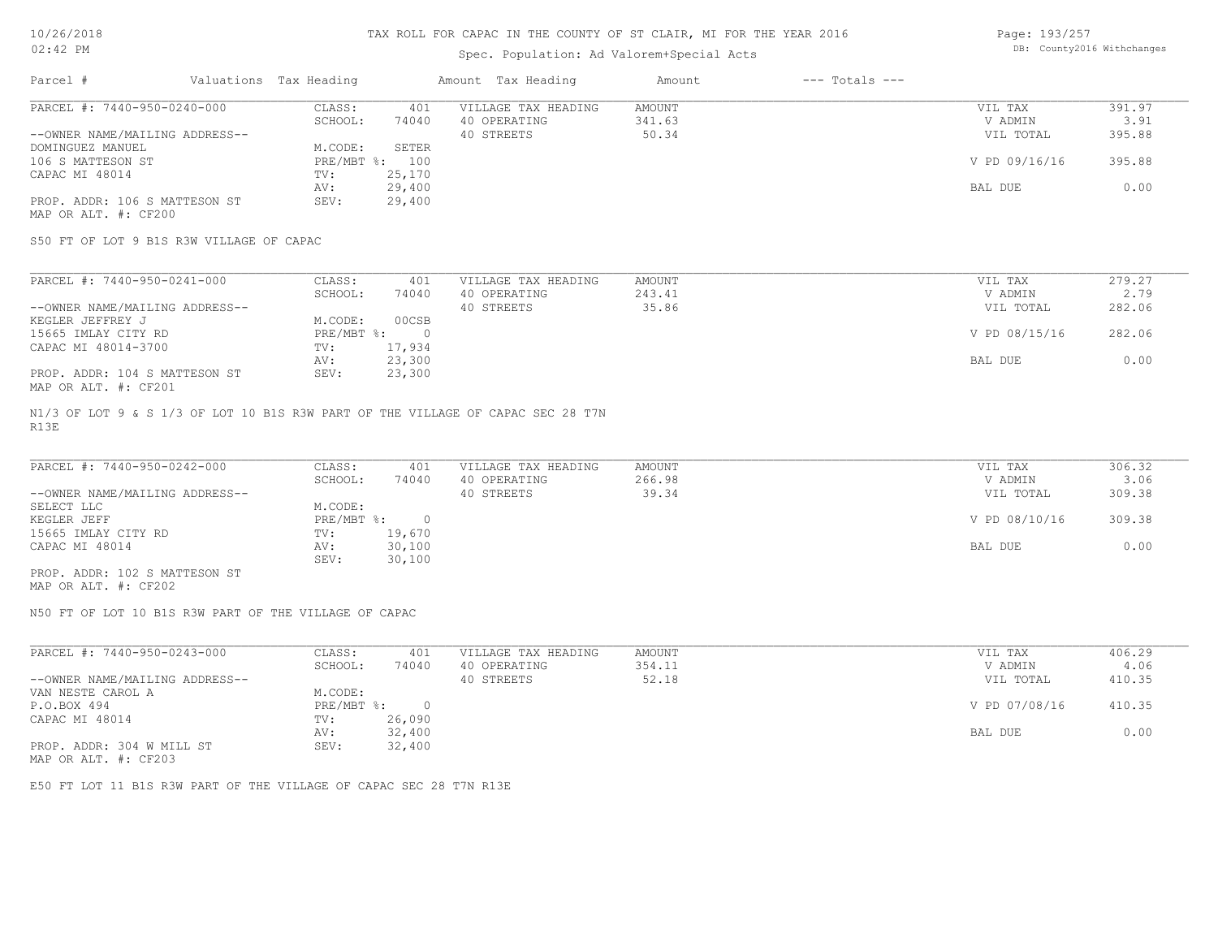# Spec. Population: Ad Valorem+Special Acts

Page: 193/257 DB: County2016 Withchanges

| Parcel #                       | Valuations Tax Heading |        | Amount Tax Heading  | Amount | $---$ Totals $---$ |               |        |
|--------------------------------|------------------------|--------|---------------------|--------|--------------------|---------------|--------|
| PARCEL #: 7440-950-0240-000    | CLASS:                 | 401    | VILLAGE TAX HEADING | AMOUNT |                    | VIL TAX       | 391.97 |
|                                | SCHOOL:                | 74040  | 40 OPERATING        | 341.63 |                    | V ADMIN       | 3.91   |
| --OWNER NAME/MAILING ADDRESS-- |                        |        | 40 STREETS          | 50.34  |                    | VIL TOTAL     | 395.88 |
| DOMINGUEZ MANUEL               | M.CODE:                | SETER  |                     |        |                    |               |        |
| 106 S MATTESON ST              | PRE/MBT %: 100         |        |                     |        |                    | V PD 09/16/16 | 395.88 |
| CAPAC MI 48014                 | TV:                    | 25,170 |                     |        |                    |               |        |
|                                | AV:                    | 29,400 |                     |        |                    | BAL DUE       | 0.00   |
| PROP. ADDR: 106 S MATTESON ST  | SEV:                   | 29,400 |                     |        |                    |               |        |
|                                |                        |        |                     |        |                    |               |        |

MAP OR ALT. #: CF200

S50 FT OF LOT 9 B1S R3W VILLAGE OF CAPAC

| PARCEL #: 7440-950-0241-000    | CLASS:     | 401    | VILLAGE TAX HEADING | AMOUNT | VIL TAX       | 279.27 |
|--------------------------------|------------|--------|---------------------|--------|---------------|--------|
|                                | SCHOOL:    | 74040  | 40 OPERATING        | 243.41 | V ADMIN       | 2.79   |
| --OWNER NAME/MAILING ADDRESS-- |            |        | 40 STREETS          | 35.86  | VIL TOTAL     | 282.06 |
| KEGLER JEFFREY J               | M.CODE:    | 00CSB  |                     |        |               |        |
| 15665 IMLAY CITY RD            | PRE/MBT %: |        |                     |        | V PD 08/15/16 | 282.06 |
| CAPAC MI 48014-3700            | TV:        | 17,934 |                     |        |               |        |
|                                | AV:        | 23,300 |                     |        | BAL DUE       | 0.00   |
| PROP. ADDR: 104 S MATTESON ST  | SEV:       | 23,300 |                     |        |               |        |
| MAP OR ALT. #: CF201           |            |        |                     |        |               |        |

R13E N1/3 OF LOT 9 & S 1/3 OF LOT 10 B1S R3W PART OF THE VILLAGE OF CAPAC SEC 28 T7N

| PARCEL #: 7440-950-0242-000    | CLASS:     | 401    | VILLAGE TAX HEADING | AMOUNT | VIL TAX       | 306.32 |
|--------------------------------|------------|--------|---------------------|--------|---------------|--------|
|                                | SCHOOL:    | 74040  | 40 OPERATING        | 266.98 | V ADMIN       | 3.06   |
| --OWNER NAME/MAILING ADDRESS-- |            |        | 40 STREETS          | 39.34  | VIL TOTAL     | 309.38 |
| SELECT LLC                     | M.CODE:    |        |                     |        |               |        |
| KEGLER JEFF                    | PRE/MBT %: |        |                     |        | V PD 08/10/16 | 309.38 |
| 15665 IMLAY CITY RD            | TV:        | 19,670 |                     |        |               |        |
| CAPAC MI 48014                 | AV:        | 30,100 |                     |        | BAL DUE       | 0.00   |
|                                | SEV:       | 30,100 |                     |        |               |        |
| PROP. ADDR: 102 S MATTESON ST  |            |        |                     |        |               |        |

MAP OR ALT. #: CF202

N50 FT OF LOT 10 B1S R3W PART OF THE VILLAGE OF CAPAC

| PARCEL #: 7440-950-0243-000    | CLASS:     | 401    | VILLAGE TAX HEADING | AMOUNT | VIL TAX       | 406.29 |  |
|--------------------------------|------------|--------|---------------------|--------|---------------|--------|--|
|                                | SCHOOL:    | 74040  | 40 OPERATING        | 354.11 | V ADMIN       | 4.06   |  |
| --OWNER NAME/MAILING ADDRESS-- |            |        | 40 STREETS          | 52.18  | VIL TOTAL     | 410.35 |  |
| VAN NESTE CAROL A              | M.CODE:    |        |                     |        |               |        |  |
| P.O.BOX 494                    | PRE/MBT %: |        |                     |        | V PD 07/08/16 | 410.35 |  |
| CAPAC MI 48014                 | TV:        | 26,090 |                     |        |               |        |  |
|                                | AV:        | 32,400 |                     |        | BAL DUE       | 0.00   |  |
| PROP. ADDR: 304 W MILL ST      | SEV:       | 32,400 |                     |        |               |        |  |
|                                |            |        |                     |        |               |        |  |

MAP OR ALT. #: CF203

E50 FT LOT 11 B1S R3W PART OF THE VILLAGE OF CAPAC SEC 28 T7N R13E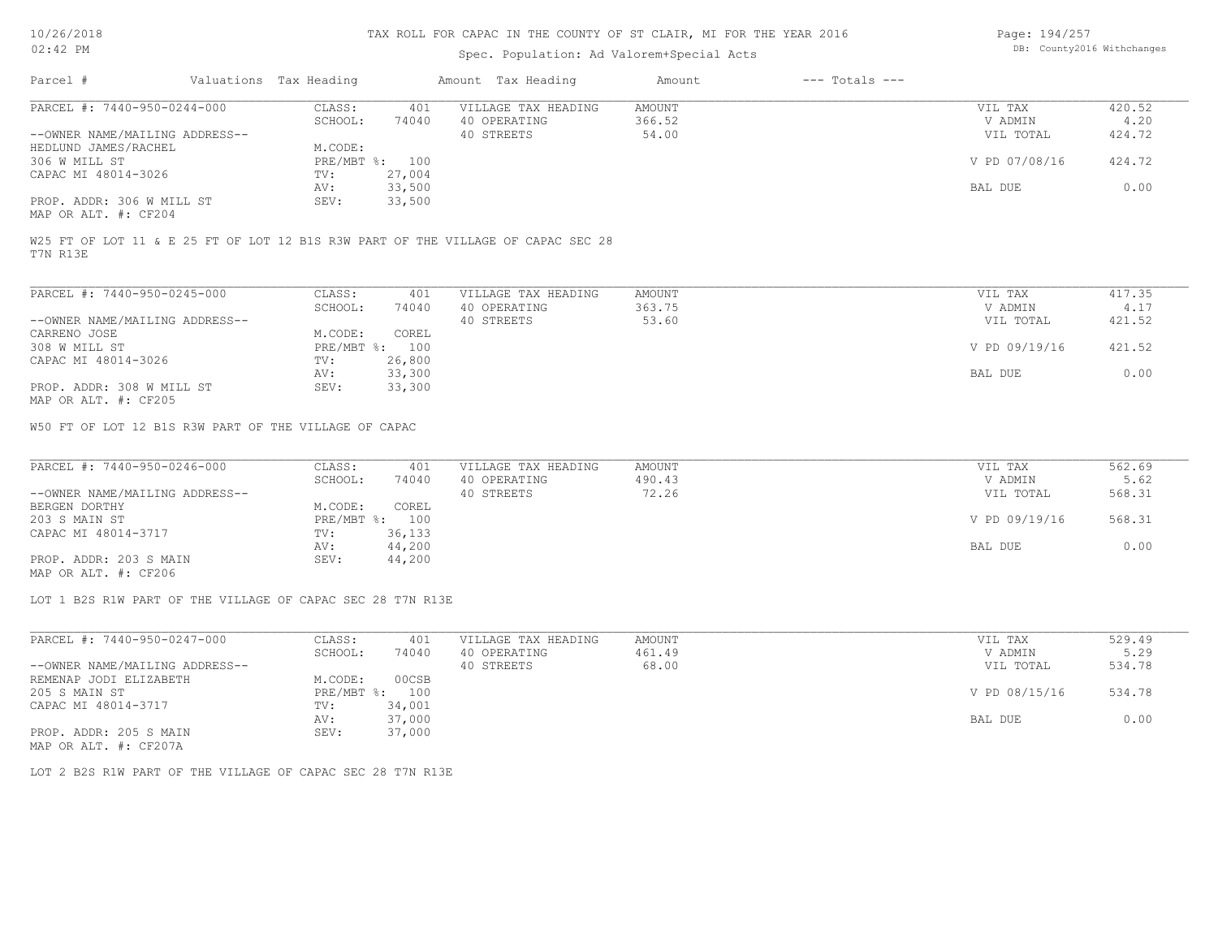## Spec. Population: Ad Valorem+Special Acts

Page: 194/257 DB: County2016 Withchanges

| Parcel #                       | Valuations Tax Heading |                | Amount Tax Heading                                                               | Amount | $---$ Totals $---$ |               |        |
|--------------------------------|------------------------|----------------|----------------------------------------------------------------------------------|--------|--------------------|---------------|--------|
| PARCEL #: 7440-950-0244-000    | CLASS:                 | 401            | VILLAGE TAX HEADING                                                              | AMOUNT |                    | VIL TAX       | 420.52 |
|                                | SCHOOL:                | 74040          | 40 OPERATING                                                                     | 366.52 |                    | V ADMIN       | 4.20   |
| --OWNER NAME/MAILING ADDRESS-- |                        |                | 40 STREETS                                                                       | 54.00  |                    | VIL TOTAL     | 424.72 |
| HEDLUND JAMES/RACHEL           | M.CODE:                |                |                                                                                  |        |                    |               |        |
| 306 W MILL ST                  |                        | PRE/MBT %: 100 |                                                                                  |        |                    | V PD 07/08/16 | 424.72 |
| CAPAC MI 48014-3026            | TV:                    | 27,004         |                                                                                  |        |                    |               |        |
|                                | AV:                    | 33,500         |                                                                                  |        |                    | BAL DUE       | 0.00   |
| PROP. ADDR: 306 W MILL ST      | SEV:                   | 33,500         |                                                                                  |        |                    |               |        |
| MAP OR ALT. #: CF204           |                        |                |                                                                                  |        |                    |               |        |
|                                |                        |                |                                                                                  |        |                    |               |        |
| T7N R13E                       |                        |                | W25 FT OF LOT 11 & E 25 FT OF LOT 12 B1S R3W PART OF THE VILLAGE OF CAPAC SEC 28 |        |                    |               |        |
|                                |                        |                |                                                                                  |        |                    |               |        |

| PARCEL #: 7440-950-0245-000    | CLASS:       | 401    | VILLAGE TAX HEADING | AMOUNT | VIL TAX       | 417.35 |
|--------------------------------|--------------|--------|---------------------|--------|---------------|--------|
|                                | SCHOOL:      | 74040  | 40 OPERATING        | 363.75 | V ADMIN       | 4.17   |
| --OWNER NAME/MAILING ADDRESS-- |              |        | 40 STREETS          | 53.60  | VIL TOTAL     | 421.52 |
| CARRENO JOSE                   | M.CODE:      | COREL  |                     |        |               |        |
| 308 W MILL ST                  | $PRE/MBT$ %: | 100    |                     |        | V PD 09/19/16 | 421.52 |
| CAPAC MI 48014-3026            | TV:          | 26,800 |                     |        |               |        |
|                                | AV:          | 33,300 |                     |        | BAL DUE       | 0.00   |
| PROP. ADDR: 308 W MILL ST      | SEV:         | 33,300 |                     |        |               |        |
| MAP OR ALT. #: CF205           |              |        |                     |        |               |        |

W50 FT OF LOT 12 B1S R3W PART OF THE VILLAGE OF CAPAC

| PARCEL #: 7440-950-0246-000                           | CLASS:     | 401    | VILLAGE TAX HEADING | AMOUNT | VIL TAX       | 562.69 |
|-------------------------------------------------------|------------|--------|---------------------|--------|---------------|--------|
|                                                       | SCHOOL:    | 74040  | 40 OPERATING        | 490.43 | V ADMIN       | 5.62   |
| --OWNER NAME/MAILING ADDRESS--                        |            |        | 40 STREETS          | 72.26  | VIL TOTAL     | 568.31 |
| BERGEN DORTHY                                         | M.CODE:    | COREL  |                     |        |               |        |
| 203 S MAIN ST                                         | PRE/MBT %: | 100    |                     |        | V PD 09/19/16 | 568.31 |
| CAPAC MI 48014-3717                                   | TV:        | 36,133 |                     |        |               |        |
|                                                       | AV:        | 44,200 |                     |        | BAL DUE       | 0.00   |
| PROP. ADDR: 203 S MAIN                                | SEV:       | 44,200 |                     |        |               |        |
| $\cdots$ $\cdots$ $\cdots$ $\cdots$ $\cdots$ $\cdots$ |            |        |                     |        |               |        |

MAP OR ALT. #: CF206

LOT 1 B2S R1W PART OF THE VILLAGE OF CAPAC SEC 28 T7N R13E

| PARCEL #: 7440-950-0247-000    | CLASS:     | 401    | VILLAGE TAX HEADING | AMOUNT | VIL TAX       | 529.49 |
|--------------------------------|------------|--------|---------------------|--------|---------------|--------|
|                                | SCHOOL:    | 74040  | 40 OPERATING        | 461.49 | V ADMIN       | 5.29   |
| --OWNER NAME/MAILING ADDRESS-- |            |        | 40 STREETS          | 68.00  | VIL TOTAL     | 534.78 |
| REMENAP JODI ELIZABETH         | M.CODE:    | 00CSB  |                     |        |               |        |
| 205 S MAIN ST                  | PRE/MBT %: | 100    |                     |        | V PD 08/15/16 | 534.78 |
| CAPAC MI 48014-3717            | TV:        | 34,001 |                     |        |               |        |
|                                | AV:        | 37,000 |                     |        | BAL DUE       | 0.00   |
| PROP. ADDR: 205 S MAIN         | SEV:       | 37,000 |                     |        |               |        |
| MAP OR ALT. #: CF207A          |            |        |                     |        |               |        |

LOT 2 B2S R1W PART OF THE VILLAGE OF CAPAC SEC 28 T7N R13E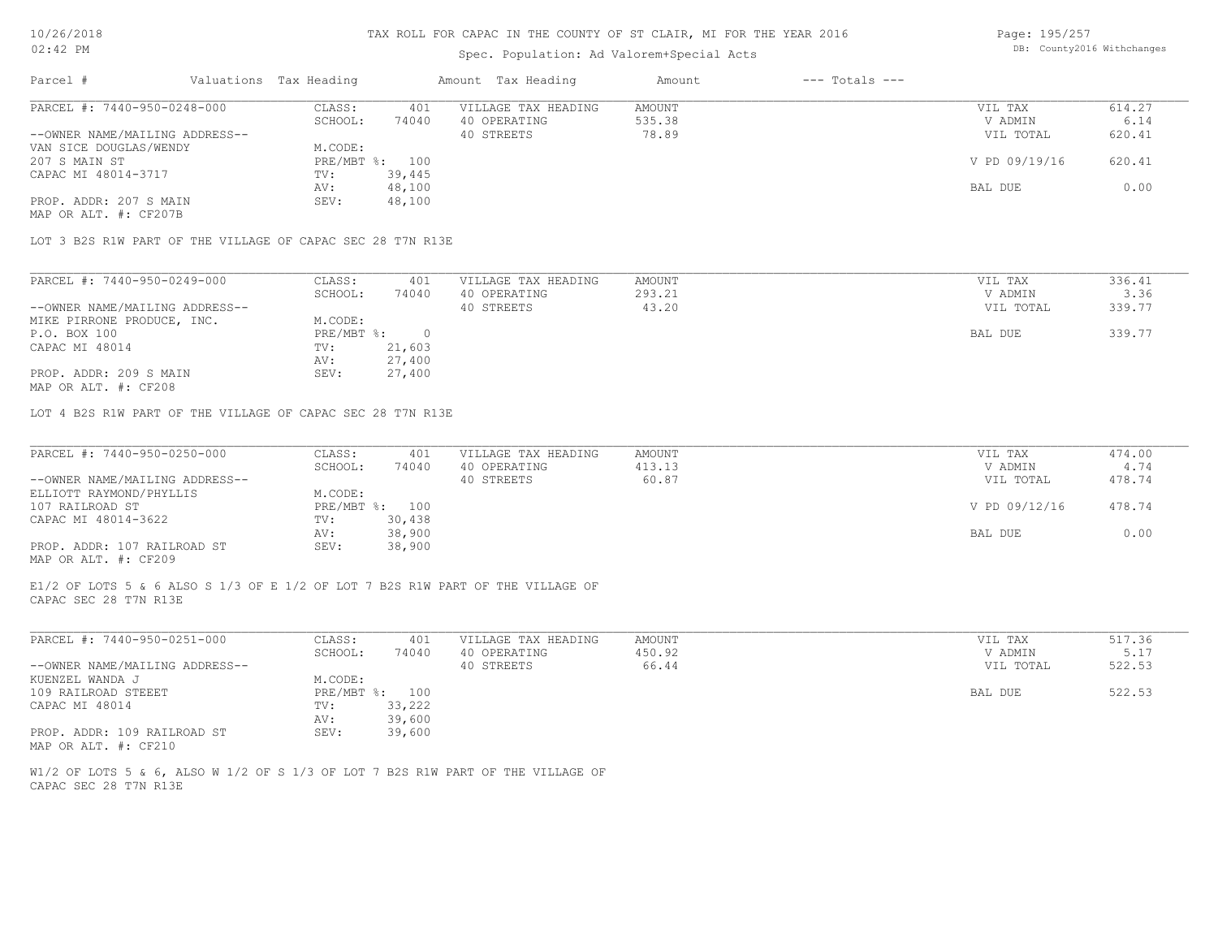# Spec. Population: Ad Valorem+Special Acts

Page: 195/257 DB: County2016 Withchanges

| Parcel #                       | Valuations Tax Heading |                | Amount Tax Heading  | Amount | $---$ Totals $---$ |               |        |
|--------------------------------|------------------------|----------------|---------------------|--------|--------------------|---------------|--------|
| PARCEL #: 7440-950-0248-000    | CLASS:                 | 401            | VILLAGE TAX HEADING | AMOUNT |                    | VIL TAX       | 614.27 |
|                                | SCHOOL:                | 74040          | 40 OPERATING        | 535.38 |                    | V ADMIN       | 6.14   |
| --OWNER NAME/MAILING ADDRESS-- |                        |                | 40 STREETS          | 78.89  |                    | VIL TOTAL     | 620.41 |
| VAN SICE DOUGLAS/WENDY         | M.CODE:                |                |                     |        |                    |               |        |
| 207 S MAIN ST                  |                        | PRE/MBT %: 100 |                     |        |                    | V PD 09/19/16 | 620.41 |
| CAPAC MI 48014-3717            | TV:                    | 39,445         |                     |        |                    |               |        |
|                                | AV:                    | 48,100         |                     |        |                    | BAL DUE       | 0.00   |
| PROP. ADDR: 207 S MAIN         | SEV:                   | 48,100         |                     |        |                    |               |        |
| MAP OR ALT. #: CF207B          |                        |                |                     |        |                    |               |        |

LOT 3 B2S R1W PART OF THE VILLAGE OF CAPAC SEC 28 T7N R13E

| PARCEL #: 7440-950-0249-000    | CLASS:     | 401    | VILLAGE TAX HEADING | AMOUNT | VIL TAX   | 336.41 |
|--------------------------------|------------|--------|---------------------|--------|-----------|--------|
|                                | SCHOOL:    | 74040  | 40 OPERATING        | 293.21 | V ADMIN   | 3.36   |
| --OWNER NAME/MAILING ADDRESS-- |            |        | 40 STREETS          | 43.20  | VIL TOTAL | 339.77 |
| MIKE PIRRONE PRODUCE, INC.     | M.CODE:    |        |                     |        |           |        |
| P.O. BOX 100                   | PRE/MBT %: |        |                     |        | BAL DUE   | 339.77 |
| CAPAC MI 48014                 | TV:        | 21,603 |                     |        |           |        |
|                                | AV:        | 27,400 |                     |        |           |        |
| PROP. ADDR: 209 S MAIN         | SEV:       | 27,400 |                     |        |           |        |
|                                |            |        |                     |        |           |        |

MAP OR ALT. #: CF208

LOT 4 B2S R1W PART OF THE VILLAGE OF CAPAC SEC 28 T7N R13E

| PARCEL #: 7440-950-0250-000    | CLASS:  | 401            | VILLAGE TAX HEADING | AMOUNT | VIL TAX       | 474.00 |
|--------------------------------|---------|----------------|---------------------|--------|---------------|--------|
|                                | SCHOOL: | 74040          | 40 OPERATING        | 413.13 | V ADMIN       | 4.74   |
| --OWNER NAME/MAILING ADDRESS-- |         |                | 40 STREETS          | 60.87  | VIL TOTAL     | 478.74 |
| ELLIOTT RAYMOND/PHYLLIS        | M.CODE: |                |                     |        |               |        |
| 107 RAILROAD ST                |         | PRE/MBT %: 100 |                     |        | V PD 09/12/16 | 478.74 |
| CAPAC MI 48014-3622            | TV:     | 30,438         |                     |        |               |        |
|                                | AV:     | 38,900         |                     |        | BAL DUE       | 0.00   |
| PROP. ADDR: 107 RAILROAD ST    | SEV:    | 38,900         |                     |        |               |        |
| MAP OR ALT. #: CF209           |         |                |                     |        |               |        |

CAPAC SEC 28 T7N R13E E1/2 OF LOTS 5 & 6 ALSO S 1/3 OF E 1/2 OF LOT 7 B2S R1W PART OF THE VILLAGE OF

| PARCEL #: 7440-950-0251-000    | CLASS:  | 401            | VILLAGE TAX HEADING | AMOUNT | VIL TAX   | 517.36 |
|--------------------------------|---------|----------------|---------------------|--------|-----------|--------|
|                                | SCHOOL: | 74040          | 40 OPERATING        | 450.92 | V ADMIN   | 5.17   |
| --OWNER NAME/MAILING ADDRESS-- |         |                | 40 STREETS          | 66.44  | VIL TOTAL | 522.53 |
| KUENZEL WANDA J                | M.CODE: |                |                     |        |           |        |
| 109 RAILROAD STEEET            |         | PRE/MBT %: 100 |                     |        | BAL DUE   | 522.53 |
| CAPAC MI 48014                 | TV:     | 33,222         |                     |        |           |        |
|                                | AV:     | 39,600         |                     |        |           |        |
| PROP. ADDR: 109 RAILROAD ST    | SEV:    | 39,600         |                     |        |           |        |
| MAP OR ALT. #: CF210           |         |                |                     |        |           |        |

CAPAC SEC 28 T7N R13E W1/2 OF LOTS 5 & 6, ALSO W 1/2 OF S 1/3 OF LOT 7 B2S R1W PART OF THE VILLAGE OF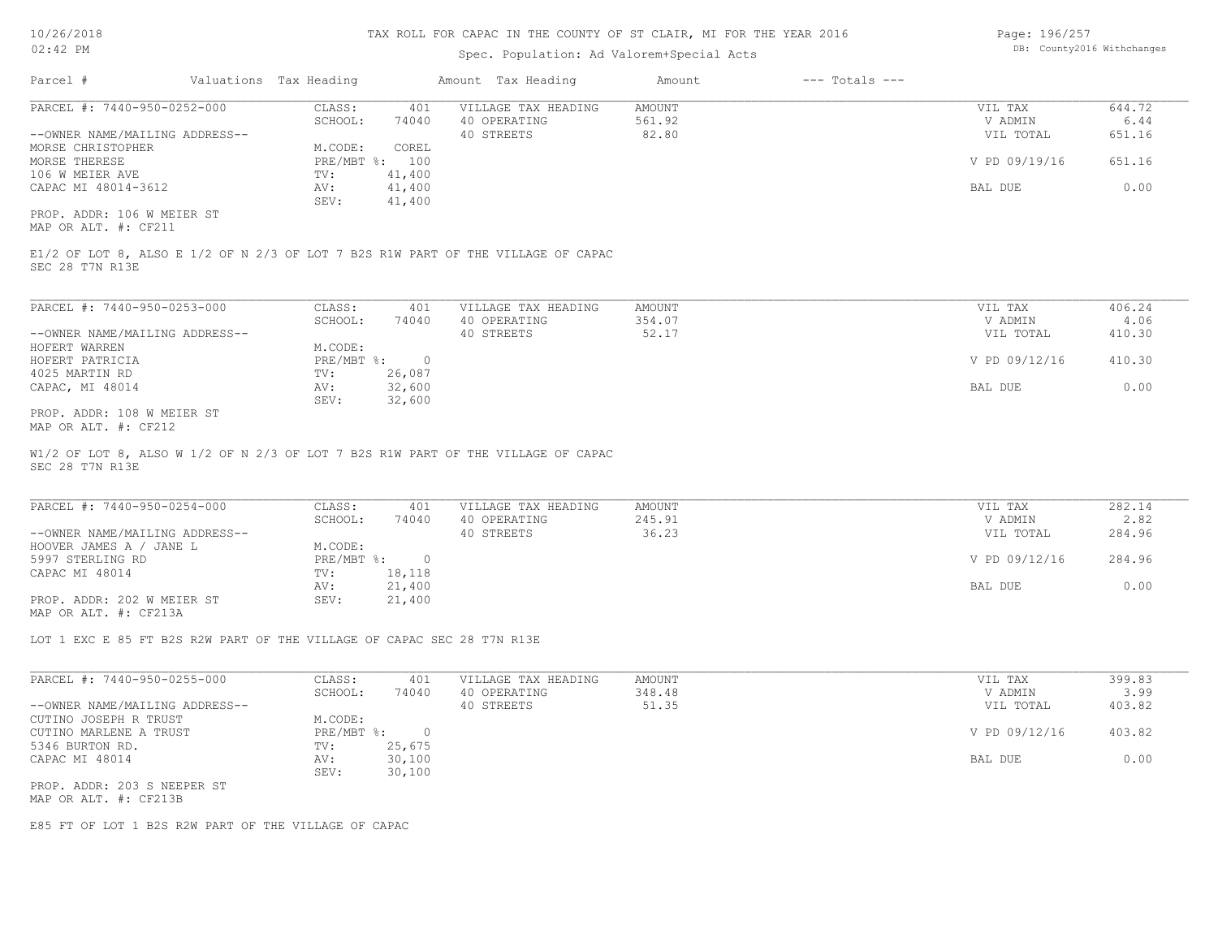#### Spec. Population: Ad Valorem+Special Acts

| Page: 196/257 |                            |
|---------------|----------------------------|
|               | DB: County2016 Withchanges |

| Parcel #                       | Valuations Tax Heading |        | Amount Tax Heading  | Amount | $---$ Totals $---$ |               |        |
|--------------------------------|------------------------|--------|---------------------|--------|--------------------|---------------|--------|
| PARCEL #: 7440-950-0252-000    | CLASS:                 | 401    | VILLAGE TAX HEADING | AMOUNT |                    | VIL TAX       | 644.72 |
|                                | SCHOOL:                | 74040  | 40 OPERATING        | 561.92 |                    | V ADMIN       | 6.44   |
| --OWNER NAME/MAILING ADDRESS-- |                        |        | 40 STREETS          | 82.80  |                    | VIL TOTAL     | 651.16 |
| MORSE CHRISTOPHER              | M.CODE:                | COREL  |                     |        |                    |               |        |
| MORSE THERESE                  | $PRE/MBT$ %:           | 100    |                     |        |                    | V PD 09/19/16 | 651.16 |
| 106 W MEIER AVE                | TV:                    | 41,400 |                     |        |                    |               |        |
| CAPAC MI 48014-3612            | AV:                    | 41,400 |                     |        |                    | BAL DUE       | 0.00   |
|                                | SEV:                   | 41,400 |                     |        |                    |               |        |
| PROP. ADDR: 106 W MEIER ST     |                        |        |                     |        |                    |               |        |

MAP OR ALT. #: CF211

SEC 28 T7N R13E E1/2 OF LOT 8, ALSO E 1/2 OF N 2/3 OF LOT 7 B2S R1W PART OF THE VILLAGE OF CAPAC

| PARCEL #: 7440-950-0253-000    | CLASS:       | 401    | VILLAGE TAX HEADING | AMOUNT | VIL TAX       | 406.24 |
|--------------------------------|--------------|--------|---------------------|--------|---------------|--------|
|                                | SCHOOL:      | 74040  | 40 OPERATING        | 354.07 | V ADMIN       | 4.06   |
| --OWNER NAME/MAILING ADDRESS-- |              |        | 40 STREETS          | 52.17  | VIL TOTAL     | 410.30 |
| HOFERT WARREN                  | M.CODE:      |        |                     |        |               |        |
| HOFERT PATRICIA                | $PRE/MBT$ %: |        |                     |        | V PD 09/12/16 | 410.30 |
| 4025 MARTIN RD                 | TV:          | 26,087 |                     |        |               |        |
| CAPAC, MI 48014                | AV:          | 32,600 |                     |        | BAL DUE       | 0.00   |
|                                | SEV:         | 32,600 |                     |        |               |        |
| PROP. ADDR: 108 W MEIER ST     |              |        |                     |        |               |        |

MAP OR ALT. #: CF212

SEC 28 T7N R13E W1/2 OF LOT 8, ALSO W 1/2 OF N 2/3 OF LOT 7 B2S R1W PART OF THE VILLAGE OF CAPAC

| PARCEL #: 7440-950-0254-000    | CLASS:       | 401    | VILLAGE TAX HEADING | AMOUNT | VIL TAX       | 282.14 |
|--------------------------------|--------------|--------|---------------------|--------|---------------|--------|
|                                | SCHOOL:      | 74040  | 40 OPERATING        | 245.91 | V ADMIN       | 2.82   |
| --OWNER NAME/MAILING ADDRESS-- |              |        | 40 STREETS          | 36.23  | VIL TOTAL     | 284.96 |
| HOOVER JAMES A / JANE L        | M.CODE:      |        |                     |        |               |        |
| 5997 STERLING RD               | $PRE/MBT$ %: |        |                     |        | V PD 09/12/16 | 284.96 |
| CAPAC MI 48014                 | TV:          | 18,118 |                     |        |               |        |
|                                | AV:          | 21,400 |                     |        | BAL DUE       | 0.00   |
| PROP. ADDR: 202 W MEIER ST     | SEV:         | 21,400 |                     |        |               |        |
| MAP OR ALT. #: CF213A          |              |        |                     |        |               |        |

LOT 1 EXC E 85 FT B2S R2W PART OF THE VILLAGE OF CAPAC SEC 28 T7N R13E

| PARCEL #: 7440-950-0255-000    | CLASS:       | 401    | VILLAGE TAX HEADING | AMOUNT | VIL TAX       | 399.83 |
|--------------------------------|--------------|--------|---------------------|--------|---------------|--------|
|                                | SCHOOL:      | 74040  | 40 OPERATING        | 348.48 | V ADMIN       | 3.99   |
| --OWNER NAME/MAILING ADDRESS-- |              |        | 40 STREETS          | 51.35  | VIL TOTAL     | 403.82 |
| CUTINO JOSEPH R TRUST          | M.CODE:      |        |                     |        |               |        |
| CUTINO MARLENE A TRUST         | $PRE/MBT$ %: |        |                     |        | V PD 09/12/16 | 403.82 |
| 5346 BURTON RD.                | TV:          | 25,675 |                     |        |               |        |
| CAPAC MI 48014                 | AV:          | 30,100 |                     |        | BAL DUE       | 0.00   |
|                                | SEV:         | 30,100 |                     |        |               |        |
| PROP. ADDR: 203 S NEEPER ST    |              |        |                     |        |               |        |
|                                |              |        |                     |        |               |        |

MAP OR ALT. #: CF213B

E85 FT OF LOT 1 B2S R2W PART OF THE VILLAGE OF CAPAC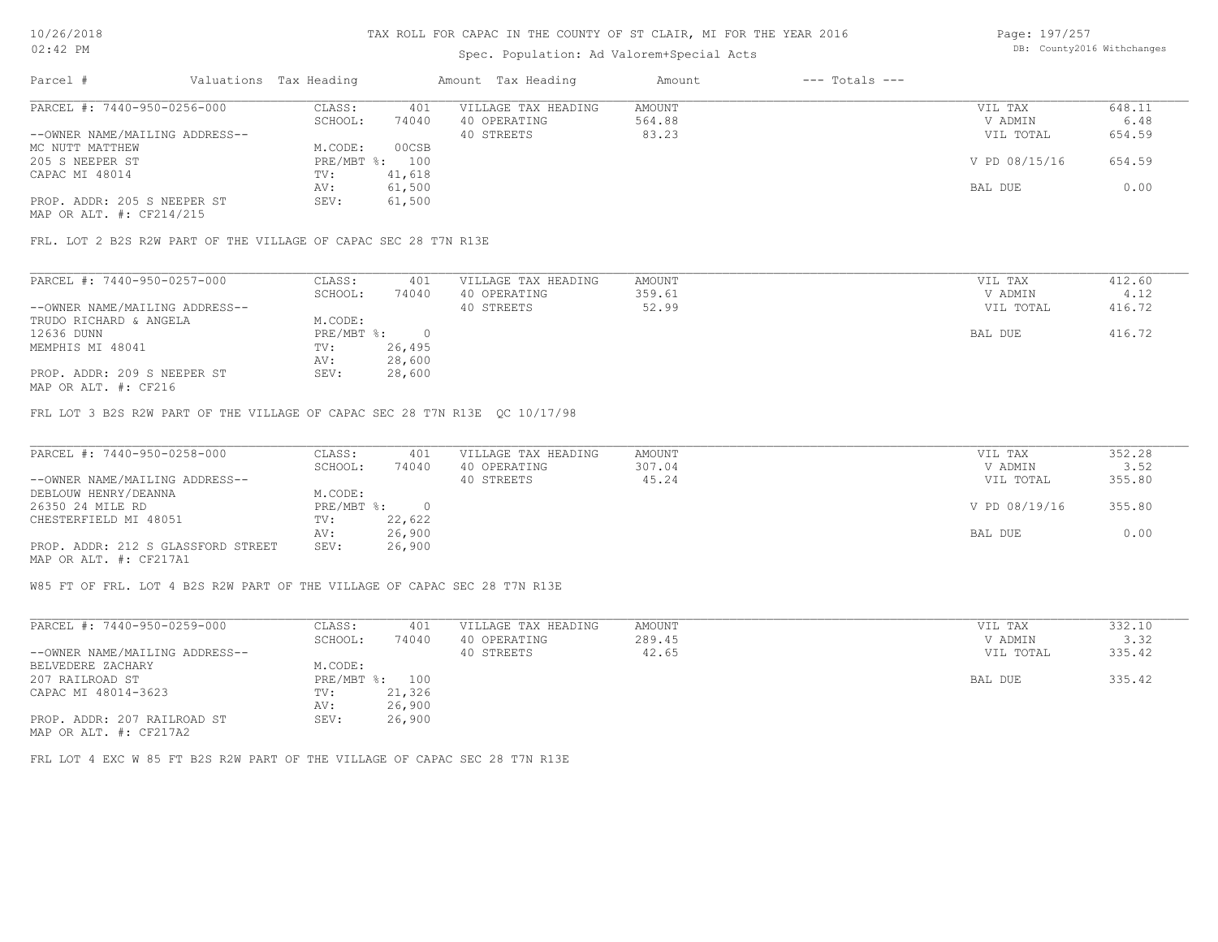# Spec. Population: Ad Valorem+Special Acts

Page: 197/257 DB: County2016 Withchanges

| Parcel #                       | Valuations Tax Heading |        | Amount Tax Heading  | Amount | $---$ Totals $---$ |               |        |
|--------------------------------|------------------------|--------|---------------------|--------|--------------------|---------------|--------|
| PARCEL #: 7440-950-0256-000    | CLASS:                 | 401    | VILLAGE TAX HEADING | AMOUNT |                    | VIL TAX       | 648.11 |
|                                | SCHOOL:                | 74040  | 40 OPERATING        | 564.88 |                    | V ADMIN       | 6.48   |
| --OWNER NAME/MAILING ADDRESS-- |                        |        | 40 STREETS          | 83.23  |                    | VIL TOTAL     | 654.59 |
| MC NUTT MATTHEW                | M.CODE:                | 00CSB  |                     |        |                    |               |        |
| 205 S NEEPER ST                | $PRE/MBT$ %:           | 100    |                     |        |                    | V PD 08/15/16 | 654.59 |
| CAPAC MI 48014                 | TV:                    | 41,618 |                     |        |                    |               |        |
|                                | AV:                    | 61,500 |                     |        |                    | BAL DUE       | 0.00   |
| PROP. ADDR: 205 S NEEPER ST    | SEV:                   | 61,500 |                     |        |                    |               |        |
| MAP OR ALT. #: CF214/215       |                        |        |                     |        |                    |               |        |

FRL. LOT 2 B2S R2W PART OF THE VILLAGE OF CAPAC SEC 28 T7N R13E

| PARCEL #: 7440-950-0257-000                                                                                     | CLASS:     | 401    | VILLAGE TAX HEADING | AMOUNT | VIL TAX   | 412.60 |
|-----------------------------------------------------------------------------------------------------------------|------------|--------|---------------------|--------|-----------|--------|
|                                                                                                                 | SCHOOL:    | 74040  | 40 OPERATING        | 359.61 | V ADMIN   | 4.12   |
| --OWNER NAME/MAILING ADDRESS--                                                                                  |            |        | 40 STREETS          | 52.99  | VIL TOTAL | 416.72 |
| TRUDO RICHARD & ANGELA                                                                                          | M.CODE:    |        |                     |        |           |        |
| 12636 DUNN                                                                                                      | PRE/MBT %: |        |                     |        | BAL DUE   | 416.72 |
| MEMPHIS MI 48041                                                                                                | TV:        | 26,495 |                     |        |           |        |
|                                                                                                                 | AV:        | 28,600 |                     |        |           |        |
| PROP. ADDR: 209 S NEEPER ST                                                                                     | SEV:       | 28,600 |                     |        |           |        |
| the contract of the contract of the contract of the contract of the contract of the contract of the contract of |            |        |                     |        |           |        |

MAP OR ALT. #: CF216

FRL LOT 3 B2S R2W PART OF THE VILLAGE OF CAPAC SEC 28 T7N R13E QC 10/17/98

| PARCEL #: 7440-950-0258-000        | CLASS:       | 401    | VILLAGE TAX HEADING | AMOUNT | VIL TAX       | 352.28 |
|------------------------------------|--------------|--------|---------------------|--------|---------------|--------|
|                                    | SCHOOL:      | 74040  | 40 OPERATING        | 307.04 | V ADMIN       | 3.52   |
| --OWNER NAME/MAILING ADDRESS--     |              |        | 40 STREETS          | 45.24  | VIL TOTAL     | 355.80 |
| DEBLOUW HENRY/DEANNA               | M.CODE:      |        |                     |        |               |        |
| 26350 24 MILE RD                   | $PRE/MBT$ %: |        |                     |        | V PD 08/19/16 | 355.80 |
| CHESTERFIELD MI 48051              | TV:          | 22,622 |                     |        |               |        |
|                                    | AV:          | 26,900 |                     |        | BAL DUE       | 0.00   |
| PROP. ADDR: 212 S GLASSFORD STREET | SEV:         | 26,900 |                     |        |               |        |
| MAP OR ALT. #: CF217A1             |              |        |                     |        |               |        |

W85 FT OF FRL. LOT 4 B2S R2W PART OF THE VILLAGE OF CAPAC SEC 28 T7N R13E

| PARCEL #: 7440-950-0259-000    | CLASS:     | 401    | VILLAGE TAX HEADING | AMOUNT | VIL TAX   | 332.10 |
|--------------------------------|------------|--------|---------------------|--------|-----------|--------|
|                                | SCHOOL:    | 74040  | 40 OPERATING        | 289.45 | V ADMIN   | 3.32   |
| --OWNER NAME/MAILING ADDRESS-- |            |        | 40 STREETS          | 42.65  | VIL TOTAL | 335.42 |
| BELVEDERE ZACHARY              | M.CODE:    |        |                     |        |           |        |
| 207 RAILROAD ST                | PRE/MBT %: | 100    |                     |        | BAL DUE   | 335.42 |
| CAPAC MI 48014-3623            | TV:        | 21,326 |                     |        |           |        |
|                                | AV:        | 26,900 |                     |        |           |        |
| PROP. ADDR: 207 RAILROAD ST    | SEV:       | 26,900 |                     |        |           |        |
| MAP OR ALT. #: CF217A2         |            |        |                     |        |           |        |

FRL LOT 4 EXC W 85 FT B2S R2W PART OF THE VILLAGE OF CAPAC SEC 28 T7N R13E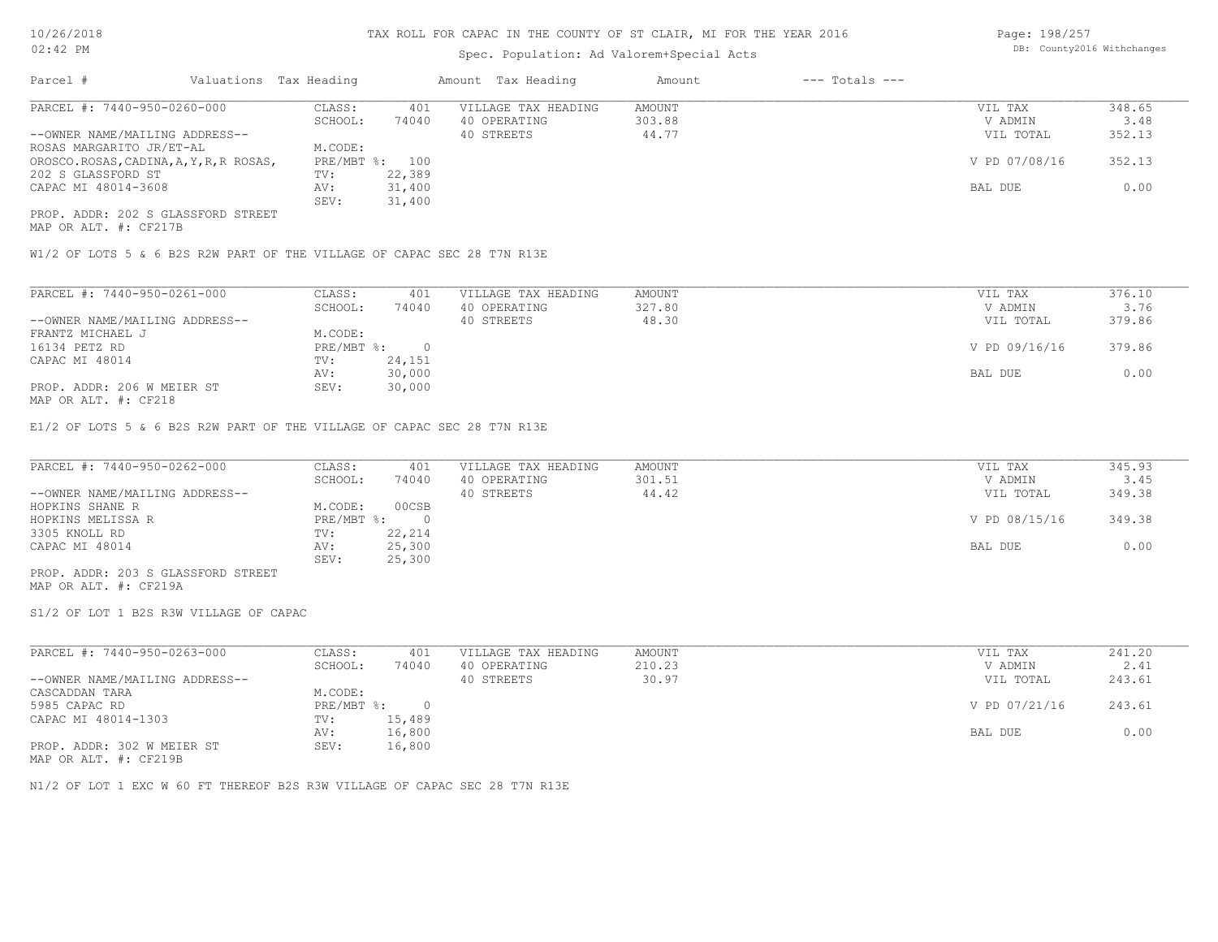# Spec. Population: Ad Valorem+Special Acts

Page: 198/257 DB: County2016 Withchanges

| Parcel #                                | Valuations Tax Heading |        | Amount Tax Heading  | Amount | $---$ Totals $---$ |               |        |
|-----------------------------------------|------------------------|--------|---------------------|--------|--------------------|---------------|--------|
| PARCEL #: 7440-950-0260-000             | CLASS:                 | 401    | VILLAGE TAX HEADING | AMOUNT |                    | VIL TAX       | 348.65 |
|                                         | SCHOOL:                | 74040  | 40 OPERATING        | 303.88 |                    | V ADMIN       | 3.48   |
| --OWNER NAME/MAILING ADDRESS--          |                        |        | 40 STREETS          | 44.77  |                    | VIL TOTAL     | 352.13 |
| ROSAS MARGARITO JR/ET-AL                | M.CODE:                |        |                     |        |                    |               |        |
| OROSCO.ROSAS, CADINA, A, Y, R, R ROSAS, | $PRE/MBT$ %:           | 100    |                     |        |                    | V PD 07/08/16 | 352.13 |
| 202 S GLASSFORD ST                      | TV:                    | 22,389 |                     |        |                    |               |        |
| CAPAC MI 48014-3608                     | AV:                    | 31,400 |                     |        |                    | BAL DUE       | 0.00   |
|                                         | SEV:                   | 31,400 |                     |        |                    |               |        |
| PROP. ADDR: 202 S GLASSFORD STREET      |                        |        |                     |        |                    |               |        |

MAP OR ALT. #: CF217B

W1/2 OF LOTS 5 & 6 B2S R2W PART OF THE VILLAGE OF CAPAC SEC 28 T7N R13E

| PARCEL #: 7440-950-0261-000    | CLASS:     | 401    | VILLAGE TAX HEADING | AMOUNT | VIL TAX       | 376.10 |  |
|--------------------------------|------------|--------|---------------------|--------|---------------|--------|--|
|                                | SCHOOL:    | 74040  | 40 OPERATING        | 327.80 | V ADMIN       | 3.76   |  |
| --OWNER NAME/MAILING ADDRESS-- |            |        | 40 STREETS          | 48.30  | VIL TOTAL     | 379.86 |  |
| FRANTZ MICHAEL J               | M.CODE:    |        |                     |        |               |        |  |
| 16134 PETZ RD                  | PRE/MBT %: | $\cap$ |                     |        | V PD 09/16/16 | 379.86 |  |
| CAPAC MI 48014                 | TV:        | 24,151 |                     |        |               |        |  |
|                                | AV:        | 30,000 |                     |        | BAL DUE       | 0.00   |  |
| PROP. ADDR: 206 W MEIER ST     | SEV:       | 30,000 |                     |        |               |        |  |
| 1470 מהיה <del>4.000 מתו</del> |            |        |                     |        |               |        |  |

MAP OR ALT. #: CF218

E1/2 OF LOTS 5 & 6 B2S R2W PART OF THE VILLAGE OF CAPAC SEC 28 T7N R13E

| PARCEL #: 7440-950-0262-000        | CLASS:       | 401    | VILLAGE TAX HEADING | AMOUNT | VIL TAX       | 345.93 |
|------------------------------------|--------------|--------|---------------------|--------|---------------|--------|
|                                    | SCHOOL:      | 74040  | 40 OPERATING        | 301.51 | V ADMIN       | 3.45   |
| --OWNER NAME/MAILING ADDRESS--     |              |        | 40 STREETS          | 44.42  | VIL TOTAL     | 349.38 |
| HOPKINS SHANE R                    | M.CODE:      | 00CSB  |                     |        |               |        |
| HOPKINS MELISSA R                  | $PRE/MBT$ %: |        |                     |        | V PD 08/15/16 | 349.38 |
| 3305 KNOLL RD                      | TV:          | 22,214 |                     |        |               |        |
| CAPAC MI 48014                     | AV:          | 25,300 |                     |        | BAL DUE       | 0.00   |
|                                    | SEV:         | 25,300 |                     |        |               |        |
| PROP. ADDR: 203 S GLASSFORD STREET |              |        |                     |        |               |        |

MAP OR ALT. #: CF219A

S1/2 OF LOT 1 B2S R3W VILLAGE OF CAPAC

| PARCEL #: 7440-950-0263-000    | CLASS:     | 401    | VILLAGE TAX HEADING | AMOUNT | VIL TAX       | 241.20 |
|--------------------------------|------------|--------|---------------------|--------|---------------|--------|
|                                | SCHOOL:    | 74040  | 40 OPERATING        | 210.23 | V ADMIN       | 2.41   |
| --OWNER NAME/MAILING ADDRESS-- |            |        | 40 STREETS          | 30.97  | VIL TOTAL     | 243.61 |
| CASCADDAN TARA                 | M.CODE:    |        |                     |        |               |        |
| 5985 CAPAC RD                  | PRE/MBT %: | $\cap$ |                     |        | V PD 07/21/16 | 243.61 |
| CAPAC MI 48014-1303            | TV:        | 15,489 |                     |        |               |        |
|                                | AV:        | 16,800 |                     |        | BAL DUE       | 0.00   |
| PROP. ADDR: 302 W MEIER ST     | SEV:       | 16,800 |                     |        |               |        |

MAP OR ALT. #: CF219B

N1/2 OF LOT 1 EXC W 60 FT THEREOF B2S R3W VILLAGE OF CAPAC SEC 28 T7N R13E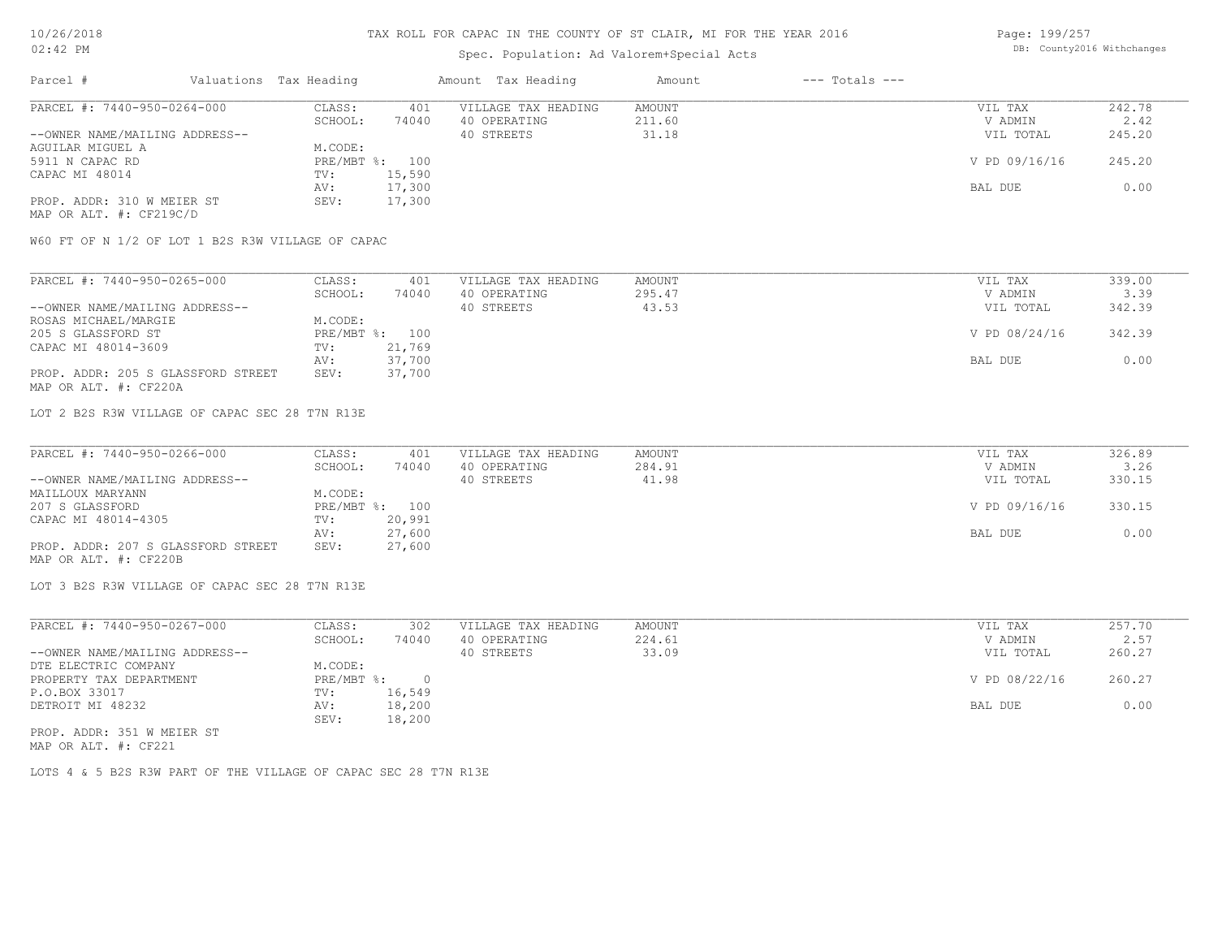# Spec. Population: Ad Valorem+Special Acts

Page: 199/257 DB: County2016 Withchanges

| Parcel #                       | Valuations Tax Heading |        | Amount Tax Heading  | Amount | $---$ Totals $---$ |               |        |
|--------------------------------|------------------------|--------|---------------------|--------|--------------------|---------------|--------|
| PARCEL #: 7440-950-0264-000    | CLASS:                 | 401    | VILLAGE TAX HEADING | AMOUNT |                    | VIL TAX       | 242.78 |
|                                | SCHOOL:                | 74040  | 40 OPERATING        | 211.60 |                    | V ADMIN       | 2.42   |
| --OWNER NAME/MAILING ADDRESS-- |                        |        | 40 STREETS          | 31.18  |                    | VIL TOTAL     | 245.20 |
| AGUILAR MIGUEL A               | M.CODE:                |        |                     |        |                    |               |        |
| 5911 N CAPAC RD                | PRE/MBT %: 100         |        |                     |        |                    | V PD 09/16/16 | 245.20 |
| CAPAC MI 48014                 | TV:                    | 15,590 |                     |        |                    |               |        |
|                                | AV:                    | 17,300 |                     |        |                    | BAL DUE       | 0.00   |
| PROP. ADDR: 310 W MEIER ST     | SEV:                   | 17,300 |                     |        |                    |               |        |
| MAP OR ALT. #: CF219C/D        |                        |        |                     |        |                    |               |        |

W60 FT OF N 1/2 OF LOT 1 B2S R3W VILLAGE OF CAPAC

| PARCEL #: 7440-950-0265-000        | CLASS:  | 401            | VILLAGE TAX HEADING | AMOUNT | VIL TAX       | 339.00 |
|------------------------------------|---------|----------------|---------------------|--------|---------------|--------|
|                                    | SCHOOL: | 74040          | 40 OPERATING        | 295.47 | V ADMIN       | 3.39   |
| --OWNER NAME/MAILING ADDRESS--     |         |                | 40 STREETS          | 43.53  | VIL TOTAL     | 342.39 |
| ROSAS MICHAEL/MARGIE               | M.CODE: |                |                     |        |               |        |
| 205 S GLASSFORD ST                 |         | PRE/MBT %: 100 |                     |        | V PD 08/24/16 | 342.39 |
| CAPAC MI 48014-3609                | TV:     | 21,769         |                     |        |               |        |
|                                    | AV:     | 37,700         |                     |        | BAL DUE       | 0.00   |
| PROP. ADDR: 205 S GLASSFORD STREET | SEV:    | 37,700         |                     |        |               |        |
| MAP OR ALT. #: CF220A              |         |                |                     |        |               |        |

LOT 2 B2S R3W VILLAGE OF CAPAC SEC 28 T7N R13E

| PARCEL #: 7440-950-0266-000        | CLASS:  | 401            | VILLAGE TAX HEADING | AMOUNT | VIL TAX       | 326.89 |
|------------------------------------|---------|----------------|---------------------|--------|---------------|--------|
|                                    | SCHOOL: | 74040          | 40 OPERATING        | 284.91 | V ADMIN       | 3.26   |
| --OWNER NAME/MAILING ADDRESS--     |         |                | 40 STREETS          | 41.98  | VIL TOTAL     | 330.15 |
| MAILLOUX MARYANN                   | M.CODE: |                |                     |        |               |        |
| 207 S GLASSFORD                    |         | PRE/MBT %: 100 |                     |        | V PD 09/16/16 | 330.15 |
| CAPAC MI 48014-4305                | TV:     | 20,991         |                     |        |               |        |
|                                    | AV:     | 27,600         |                     |        | BAL DUE       | 0.00   |
| PROP. ADDR: 207 S GLASSFORD STREET | SEV:    | 27,600         |                     |        |               |        |
| MAP OR ALT. #: CF220B              |         |                |                     |        |               |        |

LOT 3 B2S R3W VILLAGE OF CAPAC SEC 28 T7N R13E

| PARCEL #: 7440-950-0267-000    | CLASS:     | 302    | VILLAGE TAX HEADING | AMOUNT | VIL TAX       | 257.70 |
|--------------------------------|------------|--------|---------------------|--------|---------------|--------|
|                                | SCHOOL:    | 74040  | 40 OPERATING        | 224.61 | V ADMIN       | 2.57   |
| --OWNER NAME/MAILING ADDRESS-- |            |        | 40 STREETS          | 33.09  | VIL TOTAL     | 260.27 |
| DTE ELECTRIC COMPANY           | M.CODE:    |        |                     |        |               |        |
| PROPERTY TAX DEPARTMENT        | PRE/MBT %: |        |                     |        | V PD 08/22/16 | 260.27 |
| P.O.BOX 33017                  | TV:        | 16,549 |                     |        |               |        |
| DETROIT MI 48232               | AV:        | 18,200 |                     |        | BAL DUE       | 0.00   |
|                                | SEV:       | 18,200 |                     |        |               |        |
| PROP. ADDR: 351 W MEIER ST     |            |        |                     |        |               |        |

MAP OR ALT. #: CF221

LOTS 4 & 5 B2S R3W PART OF THE VILLAGE OF CAPAC SEC 28 T7N R13E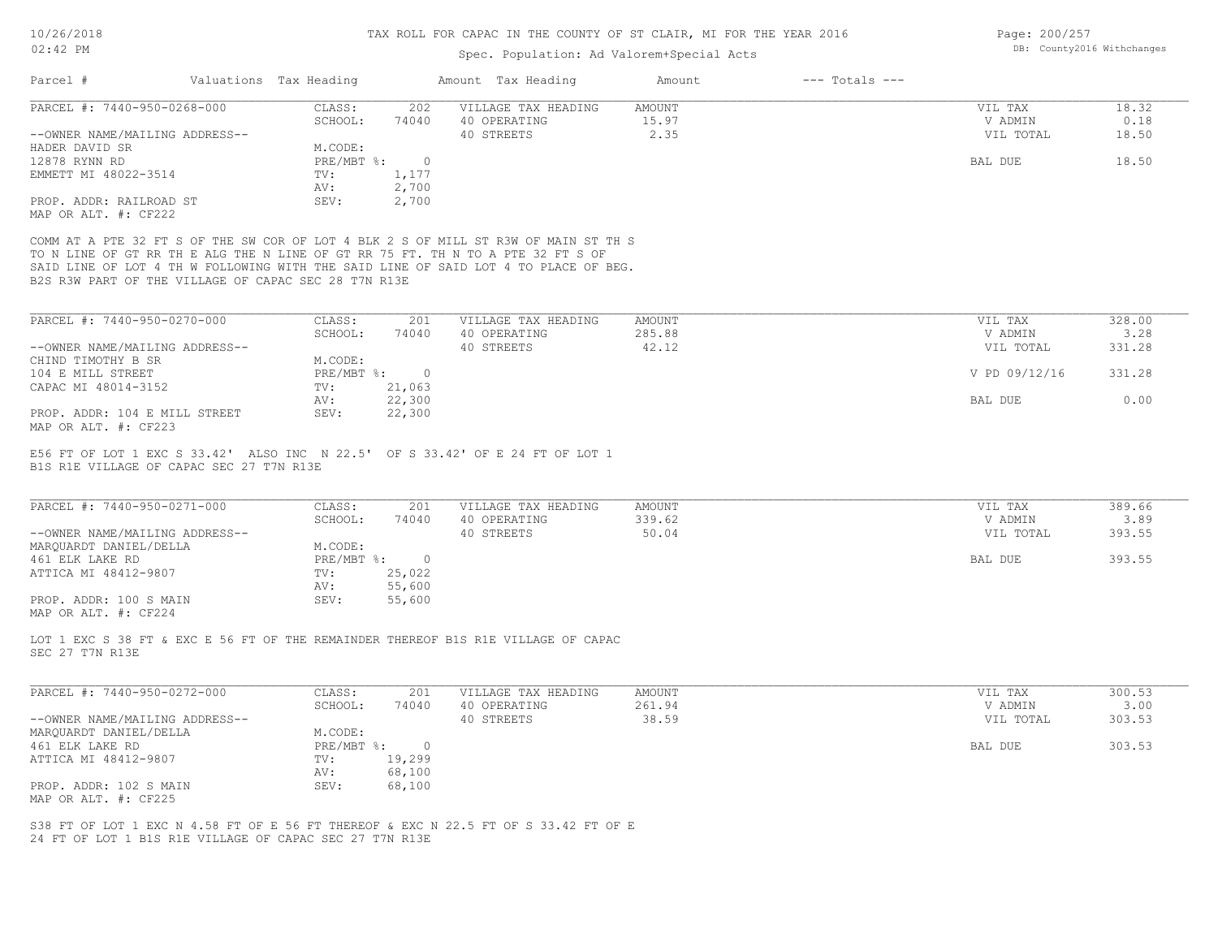# Spec. Population: Ad Valorem+Special Acts

| Parcel #                                                                                             | Valuations Tax Heading |                           |                          | Amount Tax Heading                  | Amount           | $---$ Totals $---$ |                      |                |
|------------------------------------------------------------------------------------------------------|------------------------|---------------------------|--------------------------|-------------------------------------|------------------|--------------------|----------------------|----------------|
| PARCEL #: 7440-950-0268-000                                                                          |                        | CLASS:                    | 202                      | VILLAGE TAX HEADING                 | <b>AMOUNT</b>    |                    | VIL TAX              | 18.32          |
|                                                                                                      |                        | SCHOOL:                   | 74040                    | 40 OPERATING                        | 15.97            |                    | V ADMIN              | 0.18           |
| --OWNER NAME/MAILING ADDRESS--                                                                       |                        |                           |                          | 40 STREETS                          | 2.35             |                    | VIL TOTAL            | 18.50          |
| HADER DAVID SR                                                                                       |                        | M.CODE:                   |                          |                                     |                  |                    |                      |                |
| 12878 RYNN RD                                                                                        |                        | $PRE/MBT$ $\frac{1}{6}$ : | $\circ$                  |                                     |                  |                    | BAL DUE              | 18.50          |
| EMMETT MI 48022-3514                                                                                 | TV:                    |                           | 1,177                    |                                     |                  |                    |                      |                |
|                                                                                                      | AV:                    |                           | 2,700                    |                                     |                  |                    |                      |                |
| PROP. ADDR: RAILROAD ST<br>MAP OR ALT. #: CF222                                                      |                        | SEV:                      | 2,700                    |                                     |                  |                    |                      |                |
| COMM AT A PTE 32 FT S OF THE SW COR OF LOT 4 BLK 2 S OF MILL ST R3W OF MAIN ST TH S                  |                        |                           |                          |                                     |                  |                    |                      |                |
| TO N LINE OF GT RR TH E ALG THE N LINE OF GT RR 75 FT. TH N TO A PTE 32 FT S OF                      |                        |                           |                          |                                     |                  |                    |                      |                |
| SAID LINE OF LOT 4 TH W FOLLOWING WITH THE SAID LINE OF SAID LOT 4 TO PLACE OF BEG.                  |                        |                           |                          |                                     |                  |                    |                      |                |
| B2S R3W PART OF THE VILLAGE OF CAPAC SEC 28 T7N R13E                                                 |                        |                           |                          |                                     |                  |                    |                      |                |
|                                                                                                      |                        |                           |                          |                                     |                  |                    |                      |                |
| PARCEL #: 7440-950-0270-000                                                                          |                        | CLASS:                    | 201                      | VILLAGE TAX HEADING                 | AMOUNT           |                    | VIL TAX              | 328.00         |
|                                                                                                      |                        | SCHOOL:                   | 74040                    | 40 OPERATING                        | 285.88           |                    | V ADMIN              | 3.28           |
| --OWNER NAME/MAILING ADDRESS--                                                                       |                        |                           |                          | 40 STREETS                          | 42.12            |                    | VIL TOTAL            | 331.28         |
| CHIND TIMOTHY B SR                                                                                   |                        | M.CODE:                   |                          |                                     |                  |                    |                      |                |
| 104 E MILL STREET<br>CAPAC MI 48014-3152                                                             | TV:                    | $PRE/MBT$ $\div$          | $\overline{0}$<br>21,063 |                                     |                  |                    | V PD 09/12/16        | 331.28         |
|                                                                                                      | AV:                    |                           | 22,300                   |                                     |                  |                    | BAL DUE              | 0.00           |
| PROP. ADDR: 104 E MILL STREET                                                                        |                        | SEV:                      | 22,300                   |                                     |                  |                    |                      |                |
| MAP OR ALT. #: CF223                                                                                 |                        |                           |                          |                                     |                  |                    |                      |                |
|                                                                                                      |                        |                           |                          |                                     |                  |                    |                      |                |
| PARCEL #: 7440-950-0271-000                                                                          |                        | CLASS:                    | 201                      | VILLAGE TAX HEADING                 | AMOUNT           |                    | VIL TAX              | 389.66         |
| --OWNER NAME/MAILING ADDRESS--                                                                       |                        | SCHOOL:                   | 74040                    | 40 OPERATING<br>40 STREETS          | 339.62<br>50.04  |                    | V ADMIN<br>VIL TOTAL | 3.89<br>393.55 |
| MARQUARDT DANIEL/DELLA                                                                               |                        | M.CODE:                   |                          |                                     |                  |                    |                      |                |
| 461 ELK LAKE RD                                                                                      |                        | PRE/MBT %:                | $\circ$                  |                                     |                  |                    | BAL DUE              | 393.55         |
| ATTICA MI 48412-9807                                                                                 | TV:                    |                           | 25,022                   |                                     |                  |                    |                      |                |
|                                                                                                      | AV:                    |                           | 55,600                   |                                     |                  |                    |                      |                |
| PROP. ADDR: 100 S MAIN                                                                               |                        | SEV:                      | 55,600                   |                                     |                  |                    |                      |                |
| MAP OR ALT. #: CF224                                                                                 |                        |                           |                          |                                     |                  |                    |                      |                |
|                                                                                                      |                        |                           |                          |                                     |                  |                    |                      |                |
| LOT 1 EXC S 38 FT & EXC E 56 FT OF THE REMAINDER THEREOF B1S R1E VILLAGE OF CAPAC<br>SEC 27 T7N R13E |                        |                           |                          |                                     |                  |                    |                      |                |
|                                                                                                      |                        |                           |                          |                                     |                  |                    |                      |                |
|                                                                                                      |                        |                           |                          |                                     |                  |                    |                      |                |
| PARCEL #: 7440-950-0272-000                                                                          |                        | CLASS:<br>SCHOOL:         | 201<br>74040             | VILLAGE TAX HEADING<br>40 OPERATING | AMOUNT<br>261.94 |                    | VIL TAX<br>V ADMIN   | 300.53<br>3.00 |
| --OWNER NAME/MAILING ADDRESS--                                                                       |                        |                           |                          | 40 STREETS                          | 38.59            |                    | VIL TOTAL            | 303.53         |
| MARQUARDT DANIEL/DELLA                                                                               |                        | M.CODE:                   |                          |                                     |                  |                    |                      |                |
| 461 ELK LAKE RD                                                                                      |                        | $PRE/MBT$ $\div$          | $\circ$                  |                                     |                  |                    | BAL DUE              | 303.53         |
| ATTICA MI 48412-9807                                                                                 | TV:                    |                           | 19,299                   |                                     |                  |                    |                      |                |
|                                                                                                      | AV:                    |                           | 68,100                   |                                     |                  |                    |                      |                |
| PROP. ADDR: 102 S MAIN                                                                               |                        | SEV:                      | 68,100                   |                                     |                  |                    |                      |                |
| MAP OR ALT. #: CF225                                                                                 |                        |                           |                          |                                     |                  |                    |                      |                |
|                                                                                                      |                        |                           |                          |                                     |                  |                    |                      |                |
| S38 FT OF LOT 1 EXC N 4.58 FT OF E 56 FT THEREOF & EXC N 22.5 FT OF S 33.42 FT OF E                  |                        |                           |                          |                                     |                  |                    |                      |                |
| 24 FT OF LOT 1 B1S R1E VILLAGE OF CAPAC SEC 27 T7N R13E                                              |                        |                           |                          |                                     |                  |                    |                      |                |

Page: 200/257 DB: County2016 Withchanges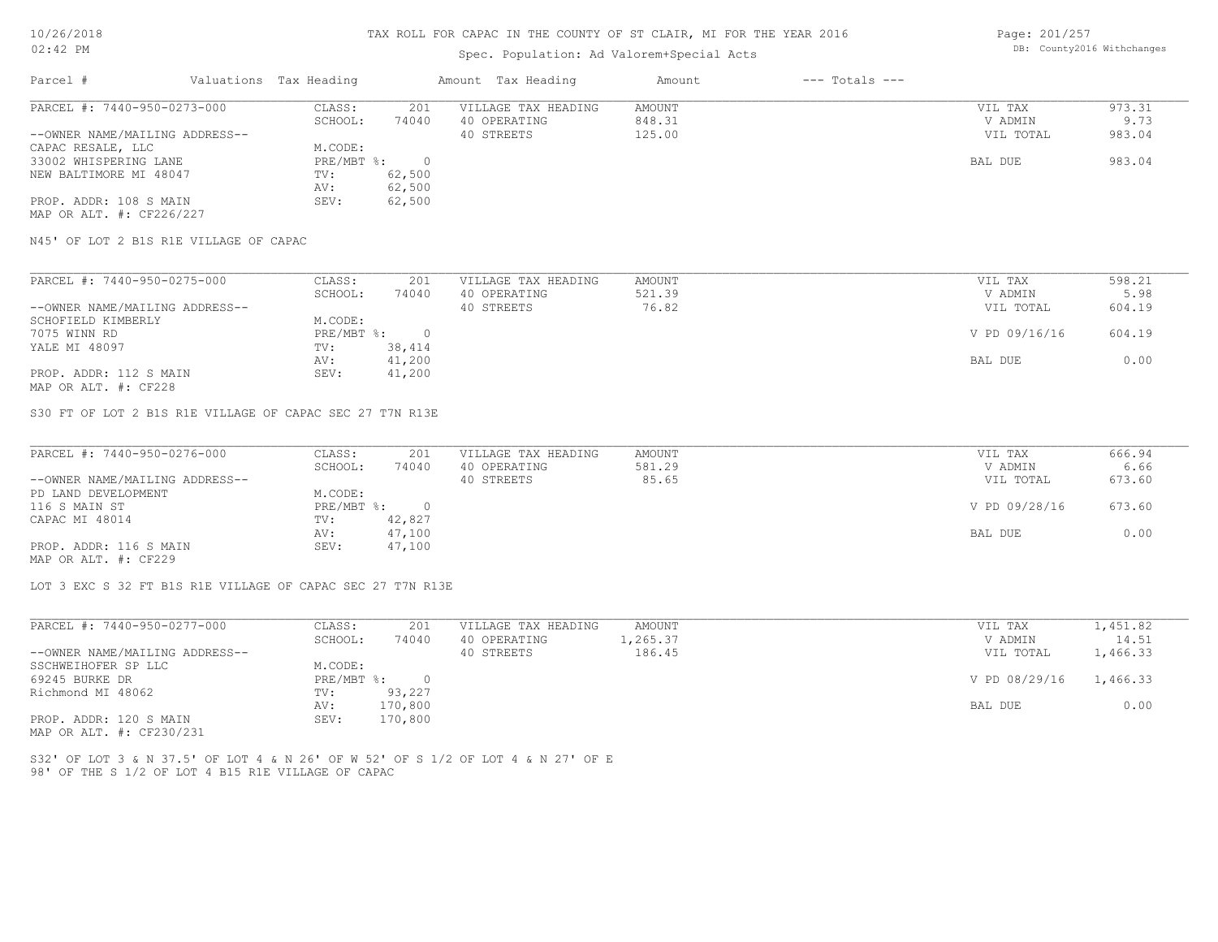# Spec. Population: Ad Valorem+Special Acts

Page: 201/257 DB: County2016 Withchanges

| Parcel #                       | Valuations Tax Heading |        | Amount Tax Heading  | Amount | $---$ Totals $---$ |           |        |
|--------------------------------|------------------------|--------|---------------------|--------|--------------------|-----------|--------|
| PARCEL #: 7440-950-0273-000    | CLASS:                 | 201    | VILLAGE TAX HEADING | AMOUNT |                    | VIL TAX   | 973.31 |
|                                | SCHOOL:                | 74040  | 40 OPERATING        | 848.31 |                    | V ADMIN   | 9.73   |
| --OWNER NAME/MAILING ADDRESS-- |                        |        | 40 STREETS          | 125.00 |                    | VIL TOTAL | 983.04 |
| CAPAC RESALE, LLC              | M.CODE:                |        |                     |        |                    |           |        |
| 33002 WHISPERING LANE          | PRE/MBT %:             |        |                     |        |                    | BAL DUE   | 983.04 |
| NEW BALTIMORE MI 48047         | TV:                    | 62,500 |                     |        |                    |           |        |
|                                | AV:                    | 62,500 |                     |        |                    |           |        |
| PROP. ADDR: 108 S MAIN         | SEV:                   | 62,500 |                     |        |                    |           |        |
| MAP OR ALT. #: CF226/227       |                        |        |                     |        |                    |           |        |

N45' OF LOT 2 B1S R1E VILLAGE OF CAPAC

| PARCEL #: 7440-950-0275-000                                                                                     | CLASS:     | 201    | VILLAGE TAX HEADING | AMOUNT | VIL TAX       | 598.21 |
|-----------------------------------------------------------------------------------------------------------------|------------|--------|---------------------|--------|---------------|--------|
|                                                                                                                 | SCHOOL:    | 74040  | 40 OPERATING        | 521.39 | V ADMIN       | 5.98   |
| --OWNER NAME/MAILING ADDRESS--                                                                                  |            |        | 40 STREETS          | 76.82  | VIL TOTAL     | 604.19 |
| SCHOFIELD KIMBERLY                                                                                              | M.CODE:    |        |                     |        |               |        |
| 7075 WINN RD                                                                                                    | PRE/MBT %: |        |                     |        | V PD 09/16/16 | 604.19 |
| YALE MI 48097                                                                                                   | TV:        | 38,414 |                     |        |               |        |
|                                                                                                                 | AV:        | 41,200 |                     |        | BAL DUE       | 0.00   |
| PROP. ADDR: 112 S MAIN                                                                                          | SEV:       | 41,200 |                     |        |               |        |
| the contract of the contract of the contract of the contract of the contract of the contract of the contract of |            |        |                     |        |               |        |

MAP OR ALT. #: CF228

S30 FT OF LOT 2 B1S R1E VILLAGE OF CAPAC SEC 27 T7N R13E

| PARCEL #: 7440-950-0276-000    | CLASS:     | 201    | VILLAGE TAX HEADING | AMOUNT | VIL TAX       | 666.94 |
|--------------------------------|------------|--------|---------------------|--------|---------------|--------|
|                                | SCHOOL:    | 74040  | 40 OPERATING        | 581.29 | V ADMIN       | 6.66   |
| --OWNER NAME/MAILING ADDRESS-- |            |        | 40 STREETS          | 85.65  | VIL TOTAL     | 673.60 |
| PD LAND DEVELOPMENT            | M.CODE:    |        |                     |        |               |        |
| 116 S MAIN ST                  | PRE/MBT %: |        |                     |        | V PD 09/28/16 | 673.60 |
| CAPAC MI 48014                 | TV:        | 42,827 |                     |        |               |        |
|                                | AV:        | 47,100 |                     |        | BAL DUE       | 0.00   |
| PROP. ADDR: 116 S MAIN         | SEV:       | 47,100 |                     |        |               |        |
| MAP OR ALT. #: CF229           |            |        |                     |        |               |        |

LOT 3 EXC S 32 FT B1S R1E VILLAGE OF CAPAC SEC 27 T7N R13E

| PARCEL #: 7440-950-0277-000    | CLASS:     | 201     | VILLAGE TAX HEADING | AMOUNT   | VIL TAX       | 1,451.82 |
|--------------------------------|------------|---------|---------------------|----------|---------------|----------|
|                                | SCHOOL:    | 74040   | 40 OPERATING        | 1,265.37 | V ADMIN       | 14.51    |
| --OWNER NAME/MAILING ADDRESS-- |            |         | 40 STREETS          | 186.45   | VIL TOTAL     | 1,466.33 |
| SSCHWEIHOFER SP LLC            | M.CODE:    |         |                     |          |               |          |
| 69245 BURKE DR                 | PRE/MBT %: |         |                     |          | V PD 08/29/16 | 1,466.33 |
| Richmond MI 48062              | TV:        | 93,227  |                     |          |               |          |
|                                | AV:        | 170,800 |                     |          | BAL DUE       | 0.00     |
| PROP. ADDR: 120 S MAIN         | SEV:       | 170,800 |                     |          |               |          |

MAP OR ALT. #: CF230/231

98' OF THE S 1/2 OF LOT 4 B15 R1E VILLAGE OF CAPAC S32' OF LOT 3 & N 37.5' OF LOT 4 & N 26' OF W 52' OF S 1/2 OF LOT 4 & N 27' OF E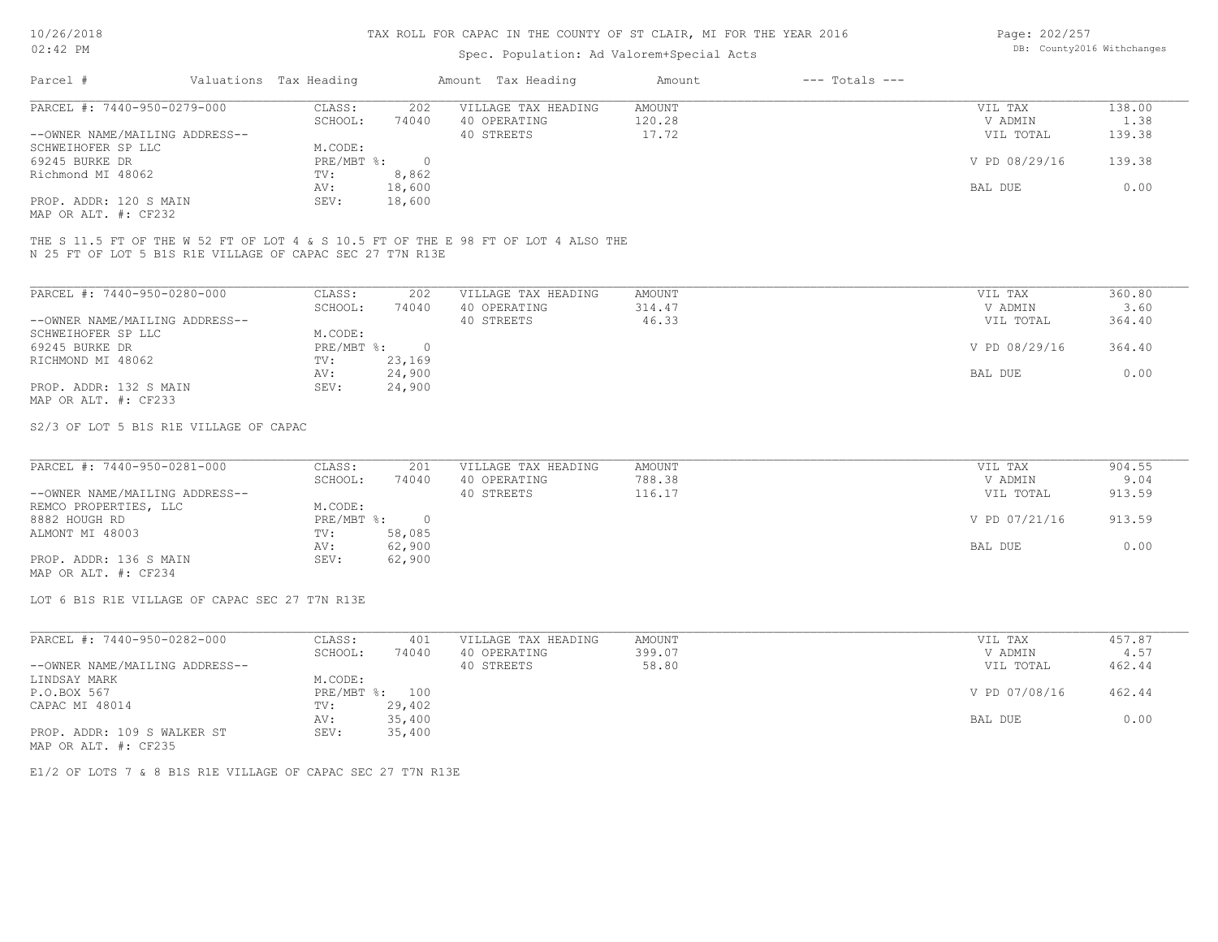# Spec. Population: Ad Valorem+Special Acts

Page: 202/257 DB: County2016 Withchanges

| Parcel #                       | Valuations Tax Heading |        | Amount Tax Heading  | Amount | $---$ Totals $---$ |               |        |
|--------------------------------|------------------------|--------|---------------------|--------|--------------------|---------------|--------|
| PARCEL #: 7440-950-0279-000    | CLASS:                 | 202    | VILLAGE TAX HEADING | AMOUNT |                    | VIL TAX       | 138.00 |
|                                | SCHOOL:                | 74040  | 40 OPERATING        | 120.28 |                    | V ADMIN       | 1.38   |
| --OWNER NAME/MAILING ADDRESS-- |                        |        | 40 STREETS          | 17.72  |                    | VIL TOTAL     | 139.38 |
| SCHWEIHOFER SP LLC             | M.CODE:                |        |                     |        |                    |               |        |
| 69245 BURKE DR                 | PRE/MBT %:             |        |                     |        |                    | V PD 08/29/16 | 139.38 |
| Richmond MI 48062              | TV:                    | 8,862  |                     |        |                    |               |        |
|                                | AV:                    | 18,600 |                     |        |                    | BAL DUE       | 0.00   |
| PROP. ADDR: 120 S MAIN         | SEV:                   | 18,600 |                     |        |                    |               |        |
|                                |                        |        |                     |        |                    |               |        |

MAP OR ALT. #: CF232

N 25 FT OF LOT 5 B1S R1E VILLAGE OF CAPAC SEC 27 T7N R13E THE S 11.5 FT OF THE W 52 FT OF LOT 4 & S 10.5 FT OF THE E 98 FT OF LOT 4 ALSO THE

| PARCEL #: 7440-950-0280-000    | CLASS:     | 202    | VILLAGE TAX HEADING | AMOUNT | 360.80<br>VIL TAX       |
|--------------------------------|------------|--------|---------------------|--------|-------------------------|
|                                | SCHOOL:    | 74040  | 40 OPERATING        | 314.47 | 3.60<br>V ADMIN         |
| --OWNER NAME/MAILING ADDRESS-- |            |        | 40 STREETS          | 46.33  | 364.40<br>VIL TOTAL     |
| SCHWEIHOFER SP LLC             | M.CODE:    |        |                     |        |                         |
| 69245 BURKE DR                 | PRE/MBT %: | $\cap$ |                     |        | V PD 08/29/16<br>364.40 |
| RICHMOND MI 48062              | TV:        | 23,169 |                     |        |                         |
|                                | AV:        | 24,900 |                     |        | 0.00<br>BAL DUE         |
| PROP. ADDR: 132 S MAIN         | SEV:       | 24,900 |                     |        |                         |
| MAP OR ALT. #: CF233           |            |        |                     |        |                         |

S2/3 OF LOT 5 B1S R1E VILLAGE OF CAPAC

| PARCEL #: 7440-950-0281-000    | CLASS:       | 201    | VILLAGE TAX HEADING | AMOUNT | VIL TAX       | 904.55 |
|--------------------------------|--------------|--------|---------------------|--------|---------------|--------|
|                                | SCHOOL:      | 74040  | 40 OPERATING        | 788.38 | V ADMIN       | 9.04   |
| --OWNER NAME/MAILING ADDRESS-- |              |        | 40 STREETS          | 116.17 | VIL TOTAL     | 913.59 |
| REMCO PROPERTIES, LLC          | M.CODE:      |        |                     |        |               |        |
| 8882 HOUGH RD                  | $PRE/MBT$ %: |        |                     |        | V PD 07/21/16 | 913.59 |
| ALMONT MI 48003                | TV:          | 58,085 |                     |        |               |        |
|                                | AV:          | 62,900 |                     |        | BAL DUE       | 0.00   |
| PROP. ADDR: 136 S MAIN         | SEV:         | 62,900 |                     |        |               |        |
| ---- -- --- " ----             |              |        |                     |        |               |        |

MAP OR ALT. #: CF234

LOT 6 B1S R1E VILLAGE OF CAPAC SEC 27 T7N R13E

| PARCEL #: 7440-950-0282-000    | CLASS:  | 401            | VILLAGE TAX HEADING | AMOUNT | VIL TAX       | 457.87 |
|--------------------------------|---------|----------------|---------------------|--------|---------------|--------|
|                                | SCHOOL: | 74040          | 40 OPERATING        | 399.07 | V ADMIN       | 4.57   |
| --OWNER NAME/MAILING ADDRESS-- |         |                | 40 STREETS          | 58.80  | VIL TOTAL     | 462.44 |
| LINDSAY MARK                   | M.CODE: |                |                     |        |               |        |
| P.O.BOX 567                    |         | PRE/MBT %: 100 |                     |        | V PD 07/08/16 | 462.44 |
| CAPAC MI 48014                 | TV:     | 29,402         |                     |        |               |        |
|                                | AV:     | 35,400         |                     |        | BAL DUE       | 0.00   |
| PROP. ADDR: 109 S WALKER ST    | SEV:    | 35,400         |                     |        |               |        |
| MAP OR ALT. #: CF235           |         |                |                     |        |               |        |

E1/2 OF LOTS 7 & 8 B1S R1E VILLAGE OF CAPAC SEC 27 T7N R13E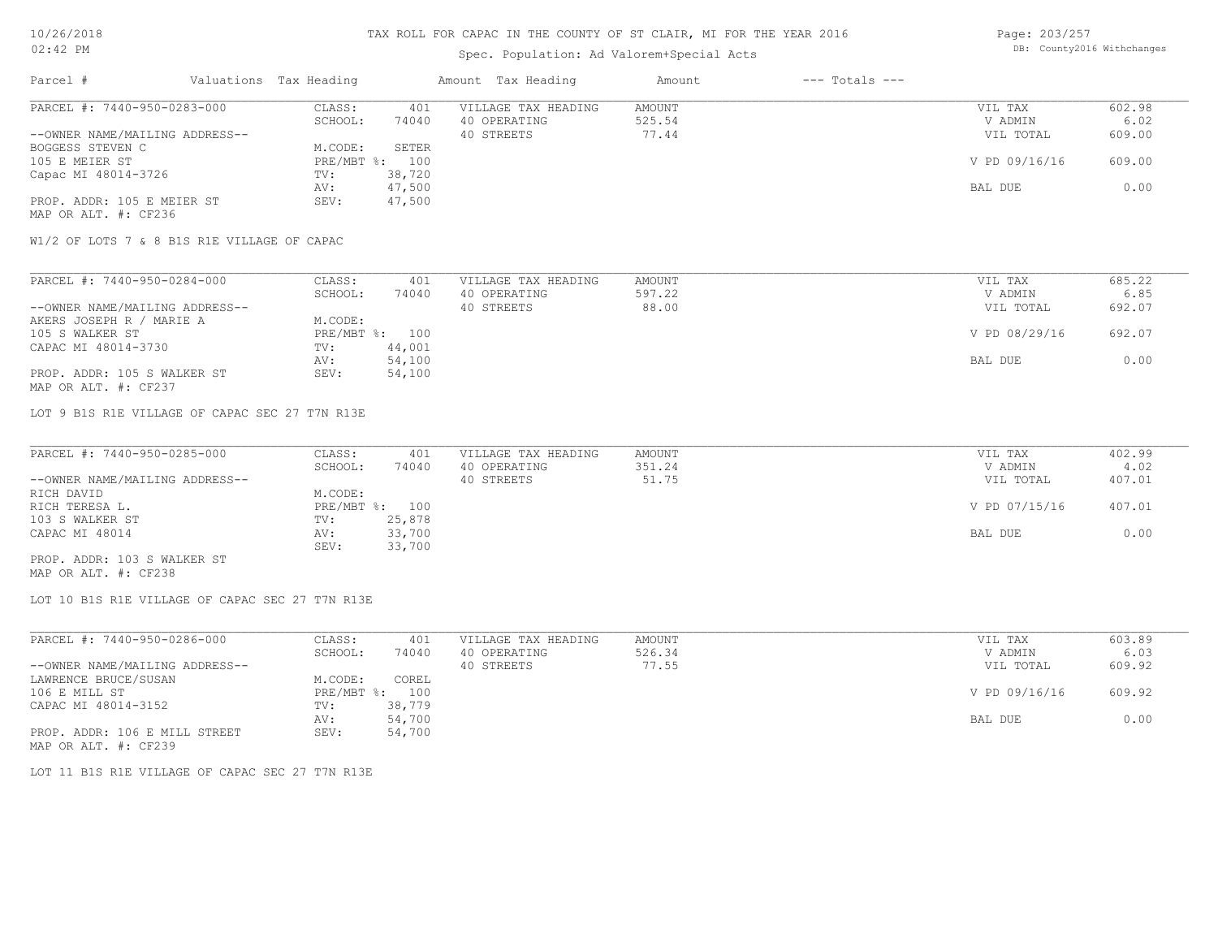# Spec. Population: Ad Valorem+Special Acts

| Page: 203/257 |                            |
|---------------|----------------------------|
|               | DB: County2016 Withchanges |

| Parcel #                       | Valuations Tax Heading |        | Amount Tax Heading  | Amount | $---$ Totals $---$ |               |        |
|--------------------------------|------------------------|--------|---------------------|--------|--------------------|---------------|--------|
| PARCEL #: 7440-950-0283-000    | CLASS:                 | 401    | VILLAGE TAX HEADING | AMOUNT |                    | VIL TAX       | 602.98 |
|                                | SCHOOL:                | 74040  | 40 OPERATING        | 525.54 |                    | V ADMIN       | 6.02   |
| --OWNER NAME/MAILING ADDRESS-- |                        |        | 40 STREETS          | 77.44  |                    | VIL TOTAL     | 609.00 |
| BOGGESS STEVEN C               | M.CODE:                | SETER  |                     |        |                    |               |        |
| 105 E MEIER ST                 | $PRE/MBT$ %:           | 100    |                     |        |                    | V PD 09/16/16 | 609.00 |
| Capac MI 48014-3726            | TV:                    | 38,720 |                     |        |                    |               |        |
|                                | AV:                    | 47,500 |                     |        |                    | BAL DUE       | 0.00   |
| PROP. ADDR: 105 E MEIER ST     | SEV:                   | 47,500 |                     |        |                    |               |        |
| MAP OR ALT. #: CF236           |                        |        |                     |        |                    |               |        |

W1/2 OF LOTS 7 & 8 B1S R1E VILLAGE OF CAPAC

| PARCEL #: 7440-950-0284-000    | CLASS:  | 401            | VILLAGE TAX HEADING | AMOUNT | VIL TAX       | 685.22 |
|--------------------------------|---------|----------------|---------------------|--------|---------------|--------|
|                                | SCHOOL: | 74040          | 40 OPERATING        | 597.22 | V ADMIN       | 6.85   |
| --OWNER NAME/MAILING ADDRESS-- |         |                | 40 STREETS          | 88.00  | VIL TOTAL     | 692.07 |
| AKERS JOSEPH R / MARIE A       | M.CODE: |                |                     |        |               |        |
| 105 S WALKER ST                |         | PRE/MBT %: 100 |                     |        | V PD 08/29/16 | 692.07 |
| CAPAC MI 48014-3730            | TV:     | 44,001         |                     |        |               |        |
|                                | AV:     | 54,100         |                     |        | BAL DUE       | 0.00   |
| PROP. ADDR: 105 S WALKER ST    | SEV:    | 54,100         |                     |        |               |        |
| MAP OR ALT. #: CF237           |         |                |                     |        |               |        |

LOT 9 B1S R1E VILLAGE OF CAPAC SEC 27 T7N R13E

| PARCEL #: 7440-950-0285-000    | CLASS:  | 401            | VILLAGE TAX HEADING | AMOUNT | VIL TAX       | 402.99 |
|--------------------------------|---------|----------------|---------------------|--------|---------------|--------|
|                                | SCHOOL: | 74040          | 40 OPERATING        | 351.24 | V ADMIN       | 4.02   |
| --OWNER NAME/MAILING ADDRESS-- |         |                | 40 STREETS          | 51.75  | VIL TOTAL     | 407.01 |
| RICH DAVID                     | M.CODE: |                |                     |        |               |        |
| RICH TERESA L.                 |         | PRE/MBT %: 100 |                     |        | V PD 07/15/16 | 407.01 |
| 103 S WALKER ST                | TV:     | 25,878         |                     |        |               |        |
| CAPAC MI 48014                 | AV:     | 33,700         |                     |        | BAL DUE       | 0.00   |
|                                | SEV:    | 33,700         |                     |        |               |        |
| PROP. ADDR: 103 S WALKER ST    |         |                |                     |        |               |        |

MAP OR ALT. #: CF238

LOT 10 B1S R1E VILLAGE OF CAPAC SEC 27 T7N R13E

| PARCEL #: 7440-950-0286-000    | CLASS:       | 401    | VILLAGE TAX HEADING | AMOUNT | VIL TAX       | 603.89 |
|--------------------------------|--------------|--------|---------------------|--------|---------------|--------|
|                                | SCHOOL:      | 74040  | 40 OPERATING        | 526.34 | V ADMIN       | 6.03   |
| --OWNER NAME/MAILING ADDRESS-- |              |        | 40 STREETS          | 77.55  | VIL TOTAL     | 609.92 |
| LAWRENCE BRUCE/SUSAN           | M.CODE:      | COREL  |                     |        |               |        |
| 106 E MILL ST                  | $PRE/MBT$ %: | 100    |                     |        | V PD 09/16/16 | 609.92 |
| CAPAC MI 48014-3152            | TV:          | 38,779 |                     |        |               |        |
|                                | AV:          | 54,700 |                     |        | BAL DUE       | 0.00   |
| PROP. ADDR: 106 E MILL STREET  | SEV:         | 54,700 |                     |        |               |        |
| MAP OR ALT. #: CF239           |              |        |                     |        |               |        |

LOT 11 B1S R1E VILLAGE OF CAPAC SEC 27 T7N R13E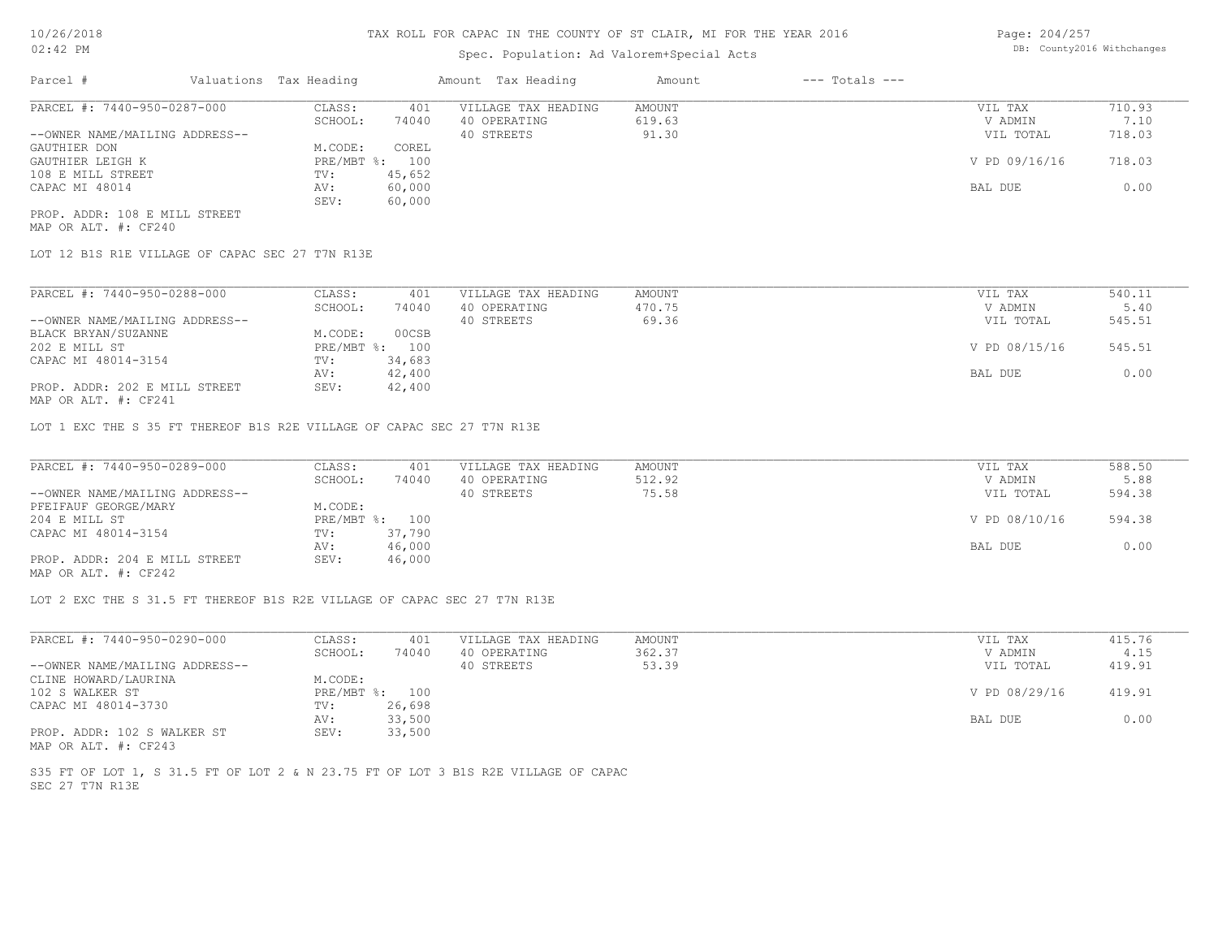#### Spec. Population: Ad Valorem+Special Acts

| Page: 204/257 |                            |
|---------------|----------------------------|
|               | DB: County2016 Withchanges |

| Parcel #                       | Valuations Tax Heading |        | Amount Tax Heading  | Amount | $---$ Totals $---$ |               |        |
|--------------------------------|------------------------|--------|---------------------|--------|--------------------|---------------|--------|
| PARCEL #: 7440-950-0287-000    | CLASS:                 | 401    | VILLAGE TAX HEADING | AMOUNT |                    | VIL TAX       | 710.93 |
|                                | SCHOOL:                | 74040  | 40 OPERATING        | 619.63 |                    | V ADMIN       | 7.10   |
| --OWNER NAME/MAILING ADDRESS-- |                        |        | 40 STREETS          | 91.30  |                    | VIL TOTAL     | 718.03 |
| GAUTHIER DON                   | M.CODE:                | COREL  |                     |        |                    |               |        |
| GAUTHIER LEIGH K               | PRE/MBT %: 100         |        |                     |        |                    | V PD 09/16/16 | 718.03 |
| 108 E MILL STREET              | TV:                    | 45,652 |                     |        |                    |               |        |
| CAPAC MI 48014                 | AV:                    | 60,000 |                     |        |                    | BAL DUE       | 0.00   |
|                                | SEV:                   | 60,000 |                     |        |                    |               |        |
| PROP. ADDR: 108 E MILL STREET  |                        |        |                     |        |                    |               |        |

MAP OR ALT. #: CF240

LOT 12 B1S R1E VILLAGE OF CAPAC SEC 27 T7N R13E

| PARCEL #: 7440-950-0288-000                    | CLASS:       | 401    | VILLAGE TAX HEADING | AMOUNT | VIL TAX       | 540.11 |
|------------------------------------------------|--------------|--------|---------------------|--------|---------------|--------|
|                                                | SCHOOL:      | 74040  | 40 OPERATING        | 470.75 | V ADMIN       | 5.40   |
| --OWNER NAME/MAILING ADDRESS--                 |              |        | 40 STREETS          | 69.36  | VIL TOTAL     | 545.51 |
| BLACK BRYAN/SUZANNE                            | M.CODE:      | 00CSB  |                     |        |               |        |
| 202 E MILL ST                                  | $PRE/MBT$ %: | 100    |                     |        | V PD 08/15/16 | 545.51 |
| CAPAC MI 48014-3154                            | TV:          | 34,683 |                     |        |               |        |
|                                                | AV:          | 42,400 |                     |        | BAL DUE       | 0.00   |
| PROP. ADDR: 202 E MILL STREET<br>$\frac{1}{2}$ | SEV:         | 42,400 |                     |        |               |        |

MAP OR ALT. #: CF241

LOT 1 EXC THE S 35 FT THEREOF B1S R2E VILLAGE OF CAPAC SEC 27 T7N R13E

| PARCEL #: 7440-950-0289-000                  | CLASS:         | 401    | VILLAGE TAX HEADING | AMOUNT | VIL TAX       | 588.50 |
|----------------------------------------------|----------------|--------|---------------------|--------|---------------|--------|
|                                              | SCHOOL:        | 74040  | 40 OPERATING        | 512.92 | V ADMIN       | 5.88   |
| --OWNER NAME/MAILING ADDRESS--               |                |        | 40 STREETS          | 75.58  | VIL TOTAL     | 594.38 |
| PFEIFAUF GEORGE/MARY                         | M.CODE:        |        |                     |        |               |        |
| 204 E MILL ST                                | PRE/MBT %: 100 |        |                     |        | V PD 08/10/16 | 594.38 |
| CAPAC MI 48014-3154                          | TV:            | 37,790 |                     |        |               |        |
|                                              | AV:            | 46,000 |                     |        | BAL DUE       | 0.00   |
| PROP. ADDR: 204 E MILL STREET                | SEV:           | 46,000 |                     |        |               |        |
| $\cdots$ $\cdots$ $\cdots$ $\cdots$ $\cdots$ |                |        |                     |        |               |        |

MAP OR ALT. #: CF242

LOT 2 EXC THE S 31.5 FT THEREOF B1S R2E VILLAGE OF CAPAC SEC 27 T7N R13E

| PARCEL #: 7440-950-0290-000    | CLASS:  | 401            | VILLAGE TAX HEADING | AMOUNT | VIL TAX       | 415.76 |
|--------------------------------|---------|----------------|---------------------|--------|---------------|--------|
|                                | SCHOOL: | 74040          | 40 OPERATING        | 362.37 | V ADMIN       | 4.15   |
| --OWNER NAME/MAILING ADDRESS-- |         |                | 40 STREETS          | 53.39  | VIL TOTAL     | 419.91 |
| CLINE HOWARD/LAURINA           | M.CODE: |                |                     |        |               |        |
| 102 S WALKER ST                |         | PRE/MBT %: 100 |                     |        | V PD 08/29/16 | 419.91 |
| CAPAC MI 48014-3730            | TV:     | 26,698         |                     |        |               |        |
|                                | AV:     | 33,500         |                     |        | BAL DUE       | 0.00   |
| PROP. ADDR: 102 S WALKER ST    | SEV:    | 33,500         |                     |        |               |        |
| MAP OR ALT. #: CF243           |         |                |                     |        |               |        |

SEC 27 T7N R13E S35 FT OF LOT 1, S 31.5 FT OF LOT 2 & N 23.75 FT OF LOT 3 B1S R2E VILLAGE OF CAPAC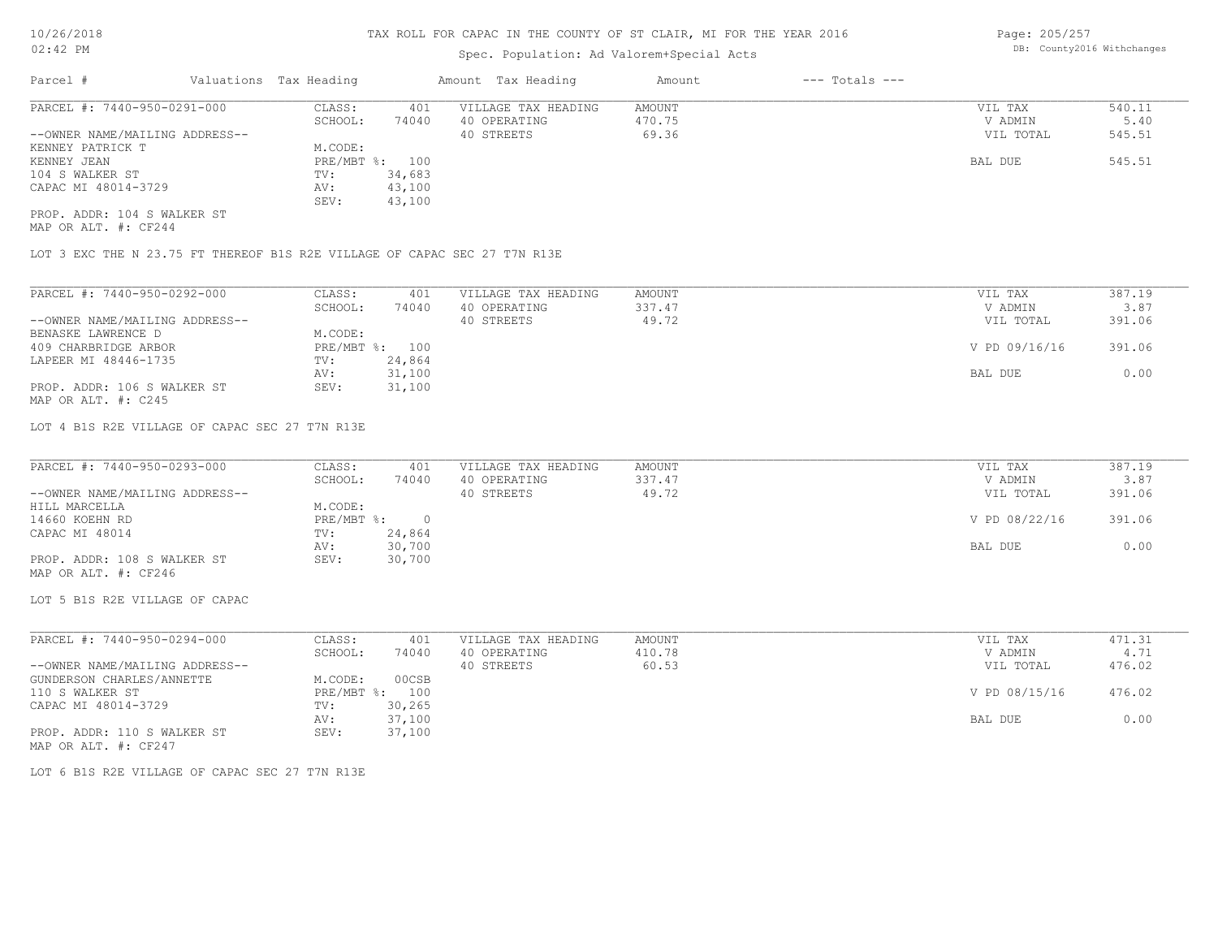### Spec. Population: Ad Valorem+Special Acts

Page: 205/257 DB: County2016 Withchanges

| Parcel #                       | Valuations Tax Heading |        | Amount Tax Heading  | Amount | $---$ Totals $---$ |           |        |
|--------------------------------|------------------------|--------|---------------------|--------|--------------------|-----------|--------|
| PARCEL #: 7440-950-0291-000    | CLASS:                 | 401    | VILLAGE TAX HEADING | AMOUNT |                    | VIL TAX   | 540.11 |
|                                | SCHOOL:                | 74040  | 40 OPERATING        | 470.75 |                    | V ADMIN   | 5.40   |
| --OWNER NAME/MAILING ADDRESS-- |                        |        | 40 STREETS          | 69.36  |                    | VIL TOTAL | 545.51 |
| KENNEY PATRICK T               | M.CODE:                |        |                     |        |                    |           |        |
| KENNEY JEAN                    | PRE/MBT %: 100         |        |                     |        |                    | BAL DUE   | 545.51 |
| 104 S WALKER ST                | TV:                    | 34,683 |                     |        |                    |           |        |
| CAPAC MI 48014-3729            | AV:                    | 43,100 |                     |        |                    |           |        |
|                                | SEV:                   | 43,100 |                     |        |                    |           |        |
| PROP. ADDR: 104 S WALKER ST    |                        |        |                     |        |                    |           |        |

MAP OR ALT. #: CF244

LOT 3 EXC THE N 23.75 FT THEREOF B1S R2E VILLAGE OF CAPAC SEC 27 T7N R13E

| PARCEL #: 7440-950-0292-000    | CLASS:  | 401            | VILLAGE TAX HEADING | AMOUNT | 387.19<br>VIL TAX       |
|--------------------------------|---------|----------------|---------------------|--------|-------------------------|
|                                | SCHOOL: | 74040          | 40 OPERATING        | 337.47 | 3.87<br>V ADMIN         |
| --OWNER NAME/MAILING ADDRESS-- |         |                | 40 STREETS          | 49.72  | 391.06<br>VIL TOTAL     |
| BENASKE LAWRENCE D             | M.CODE: |                |                     |        |                         |
| 409 CHARBRIDGE ARBOR           |         | PRE/MBT %: 100 |                     |        | V PD 09/16/16<br>391.06 |
| LAPEER MI 48446-1735           | TV:     | 24,864         |                     |        |                         |
|                                | AV:     | 31,100         |                     |        | 0.00<br>BAL DUE         |
| PROP. ADDR: 106 S WALKER ST    | SEV:    | 31,100         |                     |        |                         |
| MAP OR ALT. $\#$ : C245        |         |                |                     |        |                         |

LOT 4 B1S R2E VILLAGE OF CAPAC SEC 27 T7N R13E

| PARCEL #: 7440-950-0293-000    | CLASS:       | 401    | VILLAGE TAX HEADING | AMOUNT | VIL TAX       | 387.19 |
|--------------------------------|--------------|--------|---------------------|--------|---------------|--------|
|                                | SCHOOL:      | 74040  | 40 OPERATING        | 337.47 | V ADMIN       | 3.87   |
| --OWNER NAME/MAILING ADDRESS-- |              |        | 40 STREETS          | 49.72  | VIL TOTAL     | 391.06 |
| HILL MARCELLA                  | M.CODE:      |        |                     |        |               |        |
| 14660 KOEHN RD                 | $PRE/MBT$ %: |        |                     |        | V PD 08/22/16 | 391.06 |
| CAPAC MI 48014                 | TV:          | 24,864 |                     |        |               |        |
|                                | AV:          | 30,700 |                     |        | BAL DUE       | 0.00   |
| PROP. ADDR: 108 S WALKER ST    | SEV:         | 30,700 |                     |        |               |        |
|                                |              |        |                     |        |               |        |

MAP OR ALT. #: CF246

LOT 5 B1S R2E VILLAGE OF CAPAC

| PARCEL #: 7440-950-0294-000    | CLASS:     | 401    | VILLAGE TAX HEADING | AMOUNT | VIL TAX       | 471.31 |
|--------------------------------|------------|--------|---------------------|--------|---------------|--------|
|                                | SCHOOL:    | 74040  | 40 OPERATING        | 410.78 | V ADMIN       | 4.71   |
| --OWNER NAME/MAILING ADDRESS-- |            |        | 40 STREETS          | 60.53  | VIL TOTAL     | 476.02 |
| GUNDERSON CHARLES/ANNETTE      | M.CODE:    | 00CSB  |                     |        |               |        |
| 110 S WALKER ST                | PRE/MBT %: | 100    |                     |        | V PD 08/15/16 | 476.02 |
| CAPAC MI 48014-3729            | TV:        | 30,265 |                     |        |               |        |
|                                | AV:        | 37,100 |                     |        | BAL DUE       | 0.00   |
| PROP. ADDR: 110 S WALKER ST    | SEV:       | 37,100 |                     |        |               |        |
| MAP OR ALT. #: CF247           |            |        |                     |        |               |        |

LOT 6 B1S R2E VILLAGE OF CAPAC SEC 27 T7N R13E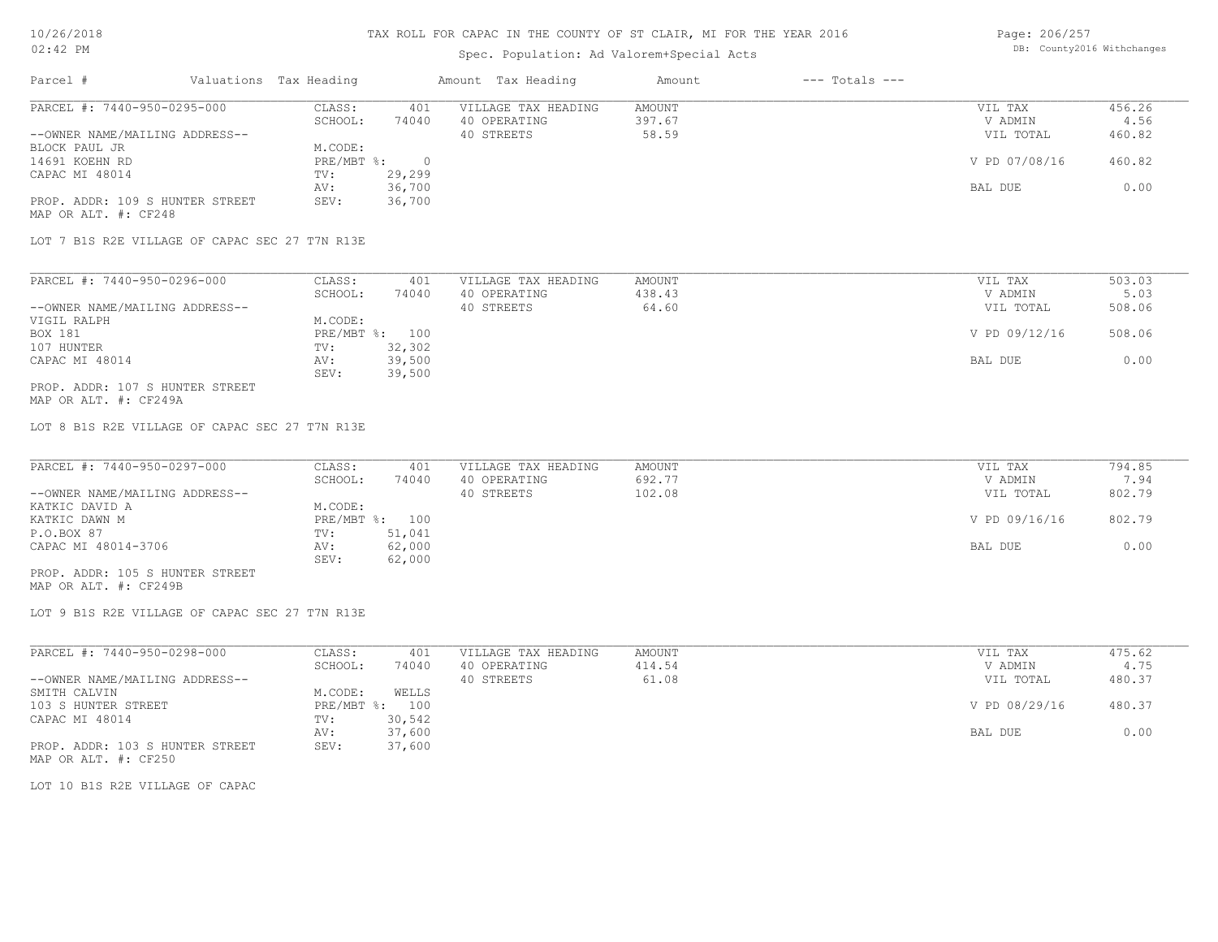### Spec. Population: Ad Valorem+Special Acts

Page: 206/257 DB: County2016 Withchanges

| Parcel #                        | Valuations Tax Heading |        | Amount Tax Heading  | Amount | $---$ Totals $---$ |               |        |
|---------------------------------|------------------------|--------|---------------------|--------|--------------------|---------------|--------|
| PARCEL #: 7440-950-0295-000     | CLASS:                 | 401    | VILLAGE TAX HEADING | AMOUNT |                    | VIL TAX       | 456.26 |
|                                 | SCHOOL:                | 74040  | 40 OPERATING        | 397.67 |                    | V ADMIN       | 4.56   |
| --OWNER NAME/MAILING ADDRESS--  |                        |        | 40 STREETS          | 58.59  |                    | VIL TOTAL     | 460.82 |
| BLOCK PAUL JR                   | M.CODE:                |        |                     |        |                    |               |        |
| 14691 KOEHN RD                  | $PRE/MBT$ %:           |        |                     |        |                    | V PD 07/08/16 | 460.82 |
| CAPAC MI 48014                  | TV:                    | 29,299 |                     |        |                    |               |        |
|                                 | AV:                    | 36,700 |                     |        |                    | BAL DUE       | 0.00   |
| PROP. ADDR: 109 S HUNTER STREET | SEV:                   | 36,700 |                     |        |                    |               |        |
| MAP OR ALT. #: CF248            |                        |        |                     |        |                    |               |        |

LOT 7 B1S R2E VILLAGE OF CAPAC SEC 27 T7N R13E

| PARCEL #: 7440-950-0296-000     | CLASS:     | 401    | VILLAGE TAX HEADING | AMOUNT | VIL TAX       | 503.03 |
|---------------------------------|------------|--------|---------------------|--------|---------------|--------|
|                                 | SCHOOL:    | 74040  | 40 OPERATING        | 438.43 | V ADMIN       | 5.03   |
| --OWNER NAME/MAILING ADDRESS--  |            |        | 40 STREETS          | 64.60  | VIL TOTAL     | 508.06 |
| VIGIL RALPH                     | M.CODE:    |        |                     |        |               |        |
| BOX 181                         | PRE/MBT %: | 100    |                     |        | V PD 09/12/16 | 508.06 |
| 107 HUNTER                      | TV:        | 32,302 |                     |        |               |        |
| CAPAC MI 48014                  | AV:        | 39,500 |                     |        | BAL DUE       | 0.00   |
|                                 | SEV:       | 39,500 |                     |        |               |        |
| PROP. ADDR: 107 S HUNTER STREET |            |        |                     |        |               |        |

MAP OR ALT. #: CF249A

LOT 8 B1S R2E VILLAGE OF CAPAC SEC 27 T7N R13E

| PARCEL #: 7440-950-0297-000      | CLASS:         | 401    | VILLAGE TAX HEADING | AMOUNT | VIL TAX       | 794.85 |
|----------------------------------|----------------|--------|---------------------|--------|---------------|--------|
|                                  | SCHOOL:        | 74040  | 40 OPERATING        | 692.77 | V ADMIN       | 7.94   |
| --OWNER NAME/MAILING ADDRESS--   |                |        | 40 STREETS          | 102.08 | VIL TOTAL     | 802.79 |
| KATKIC DAVID A                   | M.CODE:        |        |                     |        |               |        |
| KATKIC DAWN M                    | PRE/MBT %: 100 |        |                     |        | V PD 09/16/16 | 802.79 |
| P.O.BOX 87                       | TV:            | 51,041 |                     |        |               |        |
| CAPAC MI 48014-3706              | AV:            | 62,000 |                     |        | BAL DUE       | 0.00   |
|                                  | SEV:           | 62,000 |                     |        |               |        |
| _____ ____ ___ ___ _____________ |                |        |                     |        |               |        |

MAP OR ALT. #: CF249B PROP. ADDR: 105 S HUNTER STREET

LOT 9 B1S R2E VILLAGE OF CAPAC SEC 27 T7N R13E

| PARCEL #: 7440-950-0298-000     | CLASS:       | 401    | VILLAGE TAX HEADING | AMOUNT | VIL TAX       | 475.62 |
|---------------------------------|--------------|--------|---------------------|--------|---------------|--------|
|                                 | SCHOOL:      | 74040  | 40 OPERATING        | 414.54 | V ADMIN       | 4.75   |
| --OWNER NAME/MAILING ADDRESS--  |              |        | 40 STREETS          | 61.08  | VIL TOTAL     | 480.37 |
| SMITH CALVIN                    | M.CODE:      | WELLS  |                     |        |               |        |
| 103 S HUNTER STREET             | $PRE/MBT$ %: | 100    |                     |        | V PD 08/29/16 | 480.37 |
| CAPAC MI 48014                  | TV:          | 30,542 |                     |        |               |        |
|                                 | AV:          | 37,600 |                     |        | BAL DUE       | 0.00   |
| PROP. ADDR: 103 S HUNTER STREET | SEV:         | 37,600 |                     |        |               |        |
| MAP OR ALT. #: CF250            |              |        |                     |        |               |        |

LOT 10 B1S R2E VILLAGE OF CAPAC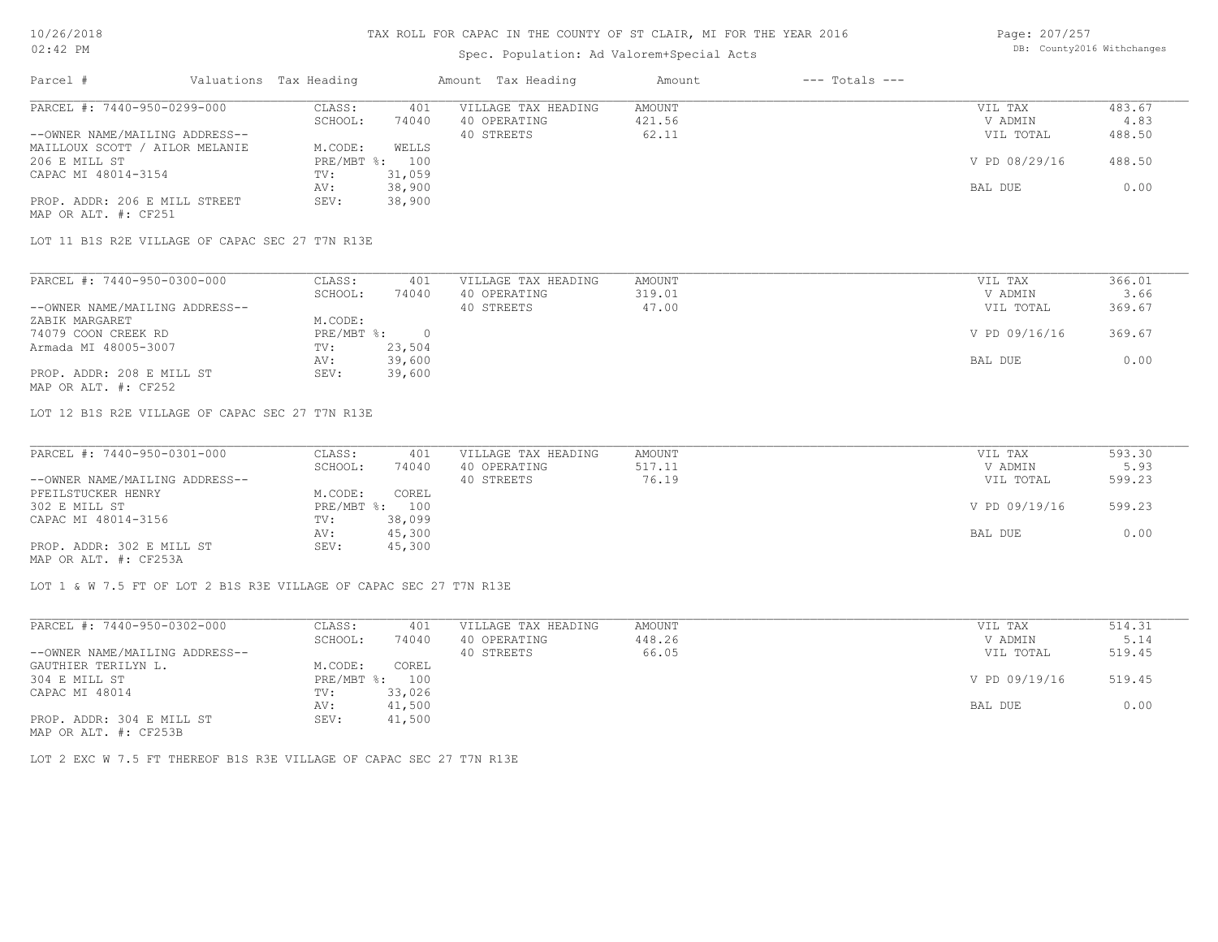# Spec. Population: Ad Valorem+Special Acts

Page: 207/257 DB: County2016 Withchanges

| Parcel #                       | Valuations Tax Heading |                | Amount Tax Heading  | Amount | $---$ Totals $---$ |               |        |
|--------------------------------|------------------------|----------------|---------------------|--------|--------------------|---------------|--------|
| PARCEL #: 7440-950-0299-000    | CLASS:                 | 401            | VILLAGE TAX HEADING | AMOUNT |                    | VIL TAX       | 483.67 |
|                                | SCHOOL:                | 74040          | 40 OPERATING        | 421.56 |                    | V ADMIN       | 4.83   |
| --OWNER NAME/MAILING ADDRESS-- |                        |                | 40 STREETS          | 62.11  |                    | VIL TOTAL     | 488.50 |
| MAILLOUX SCOTT / AILOR MELANIE | M.CODE:                | WELLS          |                     |        |                    |               |        |
| 206 E MILL ST                  |                        | PRE/MBT %: 100 |                     |        |                    | V PD 08/29/16 | 488.50 |
| CAPAC MI 48014-3154            | TV:                    | 31,059         |                     |        |                    |               |        |
|                                | AV:                    | 38,900         |                     |        |                    | BAL DUE       | 0.00   |
| PROP. ADDR: 206 E MILL STREET  | SEV:                   | 38,900         |                     |        |                    |               |        |
| MAP OR ALT. #: CF251           |                        |                |                     |        |                    |               |        |

LOT 11 B1S R2E VILLAGE OF CAPAC SEC 27 T7N R13E

| PARCEL #: 7440-950-0300-000    | CLASS:     | 401    | VILLAGE TAX HEADING | AMOUNT | VIL TAX       | 366.01 |
|--------------------------------|------------|--------|---------------------|--------|---------------|--------|
|                                | SCHOOL:    | 74040  | 40 OPERATING        | 319.01 | V ADMIN       | 3.66   |
| --OWNER NAME/MAILING ADDRESS-- |            |        | 40 STREETS          | 47.00  | VIL TOTAL     | 369.67 |
| ZABIK MARGARET                 | M.CODE:    |        |                     |        |               |        |
| 74079 COON CREEK RD            | PRE/MBT %: |        |                     |        | V PD 09/16/16 | 369.67 |
| Armada MI 48005-3007           | TV:        | 23,504 |                     |        |               |        |
|                                | AV:        | 39,600 |                     |        | BAL DUE       | 0.00   |
| PROP. ADDR: 208 E MILL ST      | SEV:       | 39,600 |                     |        |               |        |
| MAP OR ALT. #: CF252           |            |        |                     |        |               |        |

LOT 12 B1S R2E VILLAGE OF CAPAC SEC 27 T7N R13E

| PARCEL #: 7440-950-0301-000    | CLASS:  | 401            | VILLAGE TAX HEADING | AMOUNT | VIL TAX       | 593.30 |
|--------------------------------|---------|----------------|---------------------|--------|---------------|--------|
|                                | SCHOOL: | 74040          | 40 OPERATING        | 517.11 | V ADMIN       | 5.93   |
| --OWNER NAME/MAILING ADDRESS-- |         |                | 40 STREETS          | 76.19  | VIL TOTAL     | 599.23 |
| PFEILSTUCKER HENRY             | M.CODE: | COREL          |                     |        |               |        |
| 302 E MILL ST                  |         | PRE/MBT %: 100 |                     |        | V PD 09/19/16 | 599.23 |
| CAPAC MI 48014-3156            | TV:     | 38,099         |                     |        |               |        |
|                                | AV:     | 45,300         |                     |        | BAL DUE       | 0.00   |
| PROP. ADDR: 302 E MILL ST      | SEV:    | 45,300         |                     |        |               |        |
| MAP OR ALT. #: CF253A          |         |                |                     |        |               |        |

LOT 1 & W 7.5 FT OF LOT 2 B1S R3E VILLAGE OF CAPAC SEC 27 T7N R13E

| PARCEL #: 7440-950-0302-000                           | CLASS:     | 401    | VILLAGE TAX HEADING | AMOUNT | VIL TAX       | 514.31 |
|-------------------------------------------------------|------------|--------|---------------------|--------|---------------|--------|
|                                                       | SCHOOL:    | 74040  | 40 OPERATING        | 448.26 | V ADMIN       | 5.14   |
| --OWNER NAME/MAILING ADDRESS--                        |            |        | 40 STREETS          | 66.05  | VIL TOTAL     | 519.45 |
| GAUTHIER TERILYN L.                                   | M.CODE:    | COREL  |                     |        |               |        |
| 304 E MILL ST                                         | PRE/MBT %: | 100    |                     |        | V PD 09/19/16 | 519.45 |
| CAPAC MI 48014                                        | TV:        | 33,026 |                     |        |               |        |
|                                                       | AV:        | 41,500 |                     |        | BAL DUE       | 0.00   |
| PROP. ADDR: 304 E MILL ST                             | SEV:       | 41,500 |                     |        |               |        |
| $\cdots$ $\cdots$ $\cdots$ $\cdots$ $\cdots$ $\cdots$ |            |        |                     |        |               |        |

MAP OR ALT. #: CF253B

LOT 2 EXC W 7.5 FT THEREOF B1S R3E VILLAGE OF CAPAC SEC 27 T7N R13E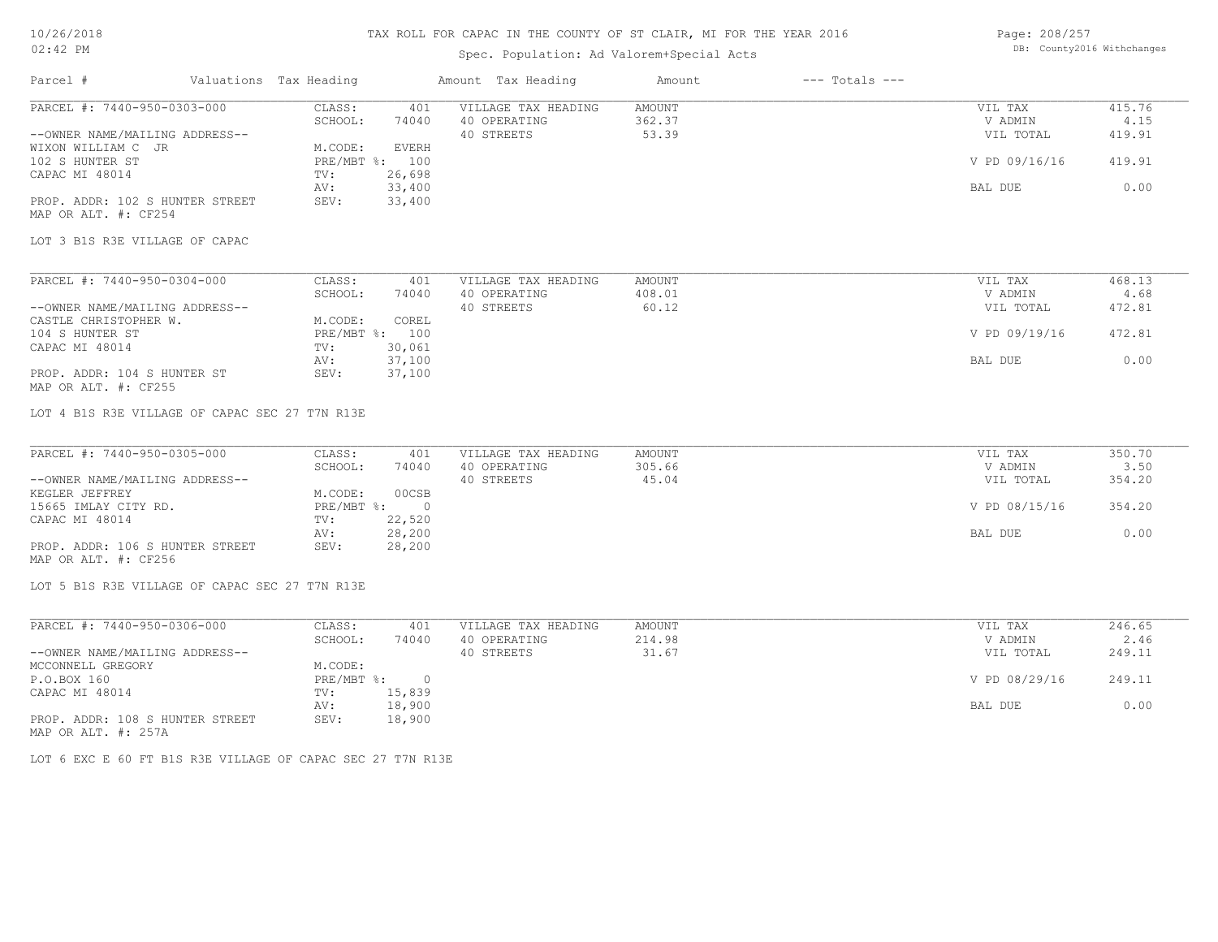# Spec. Population: Ad Valorem+Special Acts

| Page: 208/257 |                            |
|---------------|----------------------------|
|               | DB: County2016 Withchanges |

| Parcel #                                                                      | Valuations Tax Heading            | Amount Tax Heading                  | Amount           | $---$ Totals $---$ |                    |                |
|-------------------------------------------------------------------------------|-----------------------------------|-------------------------------------|------------------|--------------------|--------------------|----------------|
| PARCEL #: 7440-950-0303-000                                                   | CLASS:<br>401                     | VILLAGE TAX HEADING                 | AMOUNT           |                    | VIL TAX            | 415.76         |
|                                                                               | SCHOOL:<br>74040                  | 40 OPERATING                        | 362.37           |                    | V ADMIN            | 4.15           |
| --OWNER NAME/MAILING ADDRESS--                                                |                                   | 40 STREETS                          | 53.39            |                    | VIL TOTAL          | 419.91         |
| WIXON WILLIAM C JR                                                            | M.CODE:<br><b>EVERH</b>           |                                     |                  |                    |                    |                |
| 102 S HUNTER ST                                                               | PRE/MBT %: 100                    |                                     |                  |                    | V PD 09/16/16      | 419.91         |
| CAPAC MI 48014                                                                | 26,698<br>TV:                     |                                     |                  |                    |                    |                |
|                                                                               | 33,400<br>AV:                     |                                     |                  |                    | BAL DUE            | 0.00           |
| PROP. ADDR: 102 S HUNTER STREET<br>MAP OR ALT. #: CF254                       | 33,400<br>SEV:                    |                                     |                  |                    |                    |                |
| LOT 3 B1S R3E VILLAGE OF CAPAC                                                |                                   |                                     |                  |                    |                    |                |
|                                                                               |                                   |                                     |                  |                    |                    |                |
| PARCEL #: 7440-950-0304-000                                                   | CLASS:<br>401                     | VILLAGE TAX HEADING                 | AMOUNT           |                    | VIL TAX            | 468.13         |
|                                                                               | SCHOOL:<br>74040                  | 40 OPERATING                        | 408.01           |                    | V ADMIN            | 4.68           |
| --OWNER NAME/MAILING ADDRESS--                                                |                                   | 40 STREETS                          | 60.12            |                    | VIL TOTAL          | 472.81         |
| CASTLE CHRISTOPHER W.                                                         | M.CODE:<br>COREL                  |                                     |                  |                    |                    |                |
| 104 S HUNTER ST                                                               | PRE/MBT %: 100                    |                                     |                  |                    | V PD 09/19/16      | 472.81         |
| CAPAC MI 48014                                                                | 30,061<br>TV:                     |                                     |                  |                    |                    |                |
|                                                                               | 37,100<br>AV:                     |                                     |                  |                    | BAL DUE            | 0.00           |
| PROP. ADDR: 104 S HUNTER ST<br>MAP OR ALT. #: CF255                           | SEV:<br>37,100                    |                                     |                  |                    |                    |                |
| LOT 4 B1S R3E VILLAGE OF CAPAC SEC 27 T7N R13E<br>PARCEL #: 7440-950-0305-000 | CLASS:<br>401<br>SCHOOL:<br>74040 | VILLAGE TAX HEADING<br>40 OPERATING | AMOUNT<br>305.66 |                    | VIL TAX<br>V ADMIN | 350.70<br>3.50 |
| --OWNER NAME/MAILING ADDRESS--                                                |                                   | 40 STREETS                          | 45.04            |                    | VIL TOTAL          | 354.20         |
| KEGLER JEFFREY                                                                | M.CODE:<br>00CSB                  |                                     |                  |                    |                    |                |
| 15665 IMLAY CITY RD.                                                          | PRE/MBT %:<br>$\overline{0}$      |                                     |                  |                    | V PD 08/15/16      | 354.20         |
| CAPAC MI 48014                                                                | 22,520<br>TV:                     |                                     |                  |                    |                    |                |
|                                                                               | 28,200<br>AV:                     |                                     |                  |                    | BAL DUE            | 0.00           |
| PROP. ADDR: 106 S HUNTER STREET<br>MAP OR ALT. #: CF256                       | SEV:<br>28,200                    |                                     |                  |                    |                    |                |
| LOT 5 B1S R3E VILLAGE OF CAPAC SEC 27 T7N R13E                                |                                   |                                     |                  |                    |                    |                |
| PARCEL #: 7440-950-0306-000                                                   | CLASS:<br>401                     | VILLAGE TAX HEADING                 | AMOUNT           |                    | VIL TAX            | 246.65         |
|                                                                               | SCHOOL:<br>74040                  | 40 OPERATING                        | 214.98           |                    | V ADMIN            | 2.46           |
| --OWNER NAME/MAILING ADDRESS--                                                |                                   | 40 STREETS                          | 31.67            |                    | VIL TOTAL          | 249.11         |
| MCCONNELL GREGORY                                                             | M.CODE:                           |                                     |                  |                    |                    |                |
| P.O.BOX 160                                                                   | PRE/MBT %:<br>$\circ$             |                                     |                  |                    | V PD 08/29/16      | 249.11         |
| CAPAC MI 48014                                                                | 15,839<br>TV:                     |                                     |                  |                    |                    |                |
|                                                                               |                                   |                                     |                  |                    |                    |                |

MAP OR ALT. #: 257A PROP. ADDR: 108 S HUNTER STREET SEV: 18,900 AV: 18,900 BAL DUE 0.00

LOT 6 EXC E 60 FT B1S R3E VILLAGE OF CAPAC SEC 27 T7N R13E

CAPAC MI 48014 TV: 15,839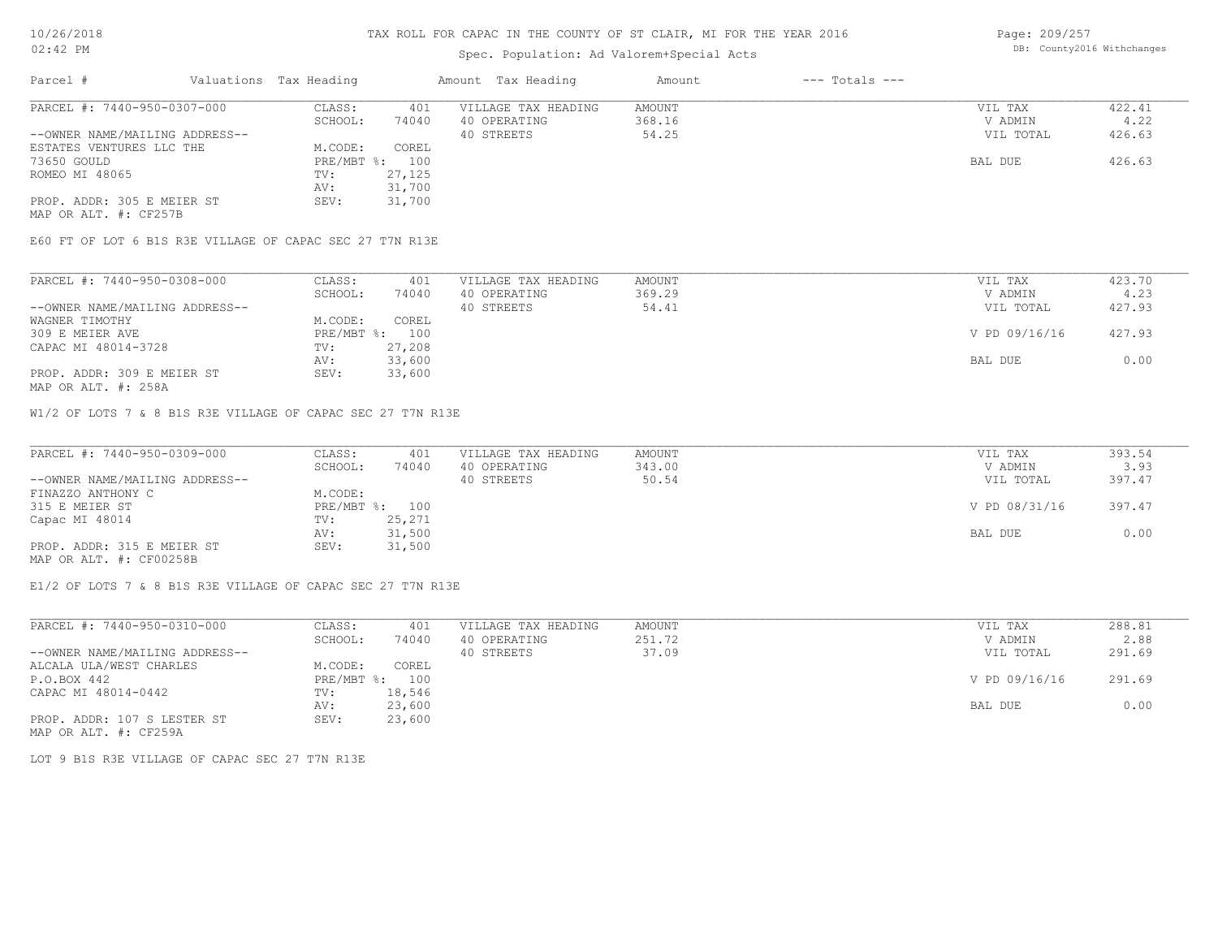# Spec. Population: Ad Valorem+Special Acts

Page: 209/257 DB: County2016 Withchanges

| Parcel #                       | Valuations Tax Heading |        | Amount Tax Heading  | Amount | $---$ Totals $---$ |           |        |
|--------------------------------|------------------------|--------|---------------------|--------|--------------------|-----------|--------|
| PARCEL #: 7440-950-0307-000    | CLASS:                 | 401    | VILLAGE TAX HEADING | AMOUNT |                    | VIL TAX   | 422.41 |
|                                | SCHOOL:                | 74040  | 40 OPERATING        | 368.16 |                    | V ADMIN   | 4.22   |
| --OWNER NAME/MAILING ADDRESS-- |                        |        | 40 STREETS          | 54.25  |                    | VIL TOTAL | 426.63 |
| ESTATES VENTURES LLC THE       | M.CODE:                | COREL  |                     |        |                    |           |        |
| 73650 GOULD                    | $PRE/MBT$ %:           | 100    |                     |        |                    | BAL DUE   | 426.63 |
| ROMEO MI 48065                 | TV:                    | 27,125 |                     |        |                    |           |        |
|                                | AV:                    | 31,700 |                     |        |                    |           |        |
| PROP. ADDR: 305 E MEIER ST     | SEV:                   | 31,700 |                     |        |                    |           |        |
| MAP OR ALT. #: CF257B          |                        |        |                     |        |                    |           |        |

E60 FT OF LOT 6 B1S R3E VILLAGE OF CAPAC SEC 27 T7N R13E

| PARCEL #: 7440-950-0308-000    | CLASS:     | 401    | VILLAGE TAX HEADING | AMOUNT | VIL TAX       | 423.70 |
|--------------------------------|------------|--------|---------------------|--------|---------------|--------|
|                                | SCHOOL:    | 74040  | 40 OPERATING        | 369.29 | V ADMIN       | 4.23   |
| --OWNER NAME/MAILING ADDRESS-- |            |        | 40 STREETS          | 54.41  | VIL TOTAL     | 427.93 |
| WAGNER TIMOTHY                 | M.CODE:    | COREL  |                     |        |               |        |
| 309 E MEIER AVE                | PRE/MBT %: | 100    |                     |        | V PD 09/16/16 | 427.93 |
| CAPAC MI 48014-3728            | TV:        | 27,208 |                     |        |               |        |
|                                | AV:        | 33,600 |                     |        | BAL DUE       | 0.00   |
| PROP. ADDR: 309 E MEIER ST     | SEV:       | 33,600 |                     |        |               |        |

MAP OR ALT. #: 258A

W1/2 OF LOTS 7 & 8 B1S R3E VILLAGE OF CAPAC SEC 27 T7N R13E

| PARCEL #: 7440-950-0309-000    | CLASS:     | 401    | VILLAGE TAX HEADING | AMOUNT | VIL TAX       | 393.54 |
|--------------------------------|------------|--------|---------------------|--------|---------------|--------|
|                                | SCHOOL:    | 74040  | 40 OPERATING        | 343.00 | V ADMIN       | 3.93   |
| --OWNER NAME/MAILING ADDRESS-- |            |        | 40 STREETS          | 50.54  | VIL TOTAL     | 397.47 |
| FINAZZO ANTHONY C              | M.CODE:    |        |                     |        |               |        |
| 315 E MEIER ST                 | PRE/MBT %: | 100    |                     |        | V PD 08/31/16 | 397.47 |
| Capac MI 48014                 | TV:        | 25,271 |                     |        |               |        |
|                                | AV:        | 31,500 |                     |        | BAL DUE       | 0.00   |
| PROP. ADDR: 315 E MEIER ST     | SEV:       | 31,500 |                     |        |               |        |
| MAP OR ALT. #: CF00258B        |            |        |                     |        |               |        |

 $\_$  , and the state of the state of the state of the state of the state of the state of the state of the state of the state of the state of the state of the state of the state of the state of the state of the state of the

E1/2 OF LOTS 7 & 8 B1S R3E VILLAGE OF CAPAC SEC 27 T7N R13E

| PARCEL #: 7440-950-0310-000    | CLASS:     | 401    | VILLAGE TAX HEADING | AMOUNT | VIL TAX       | 288.81 |
|--------------------------------|------------|--------|---------------------|--------|---------------|--------|
|                                | SCHOOL:    | 74040  | 40 OPERATING        | 251.72 | V ADMIN       | 2.88   |
| --OWNER NAME/MAILING ADDRESS-- |            |        | 40 STREETS          | 37.09  | VIL TOTAL     | 291.69 |
| ALCALA ULA/WEST CHARLES        | M.CODE:    | COREL  |                     |        |               |        |
| P.O.BOX 442                    | PRE/MBT %: | 100    |                     |        | V PD 09/16/16 | 291.69 |
| CAPAC MI 48014-0442            | TV:        | 18,546 |                     |        |               |        |
|                                | AV:        | 23,600 |                     |        | BAL DUE       | 0.00   |
| PROP. ADDR: 107 S LESTER ST    | SEV:       | 23,600 |                     |        |               |        |
| MAP OR ALT. #: CF259A          |            |        |                     |        |               |        |

LOT 9 B1S R3E VILLAGE OF CAPAC SEC 27 T7N R13E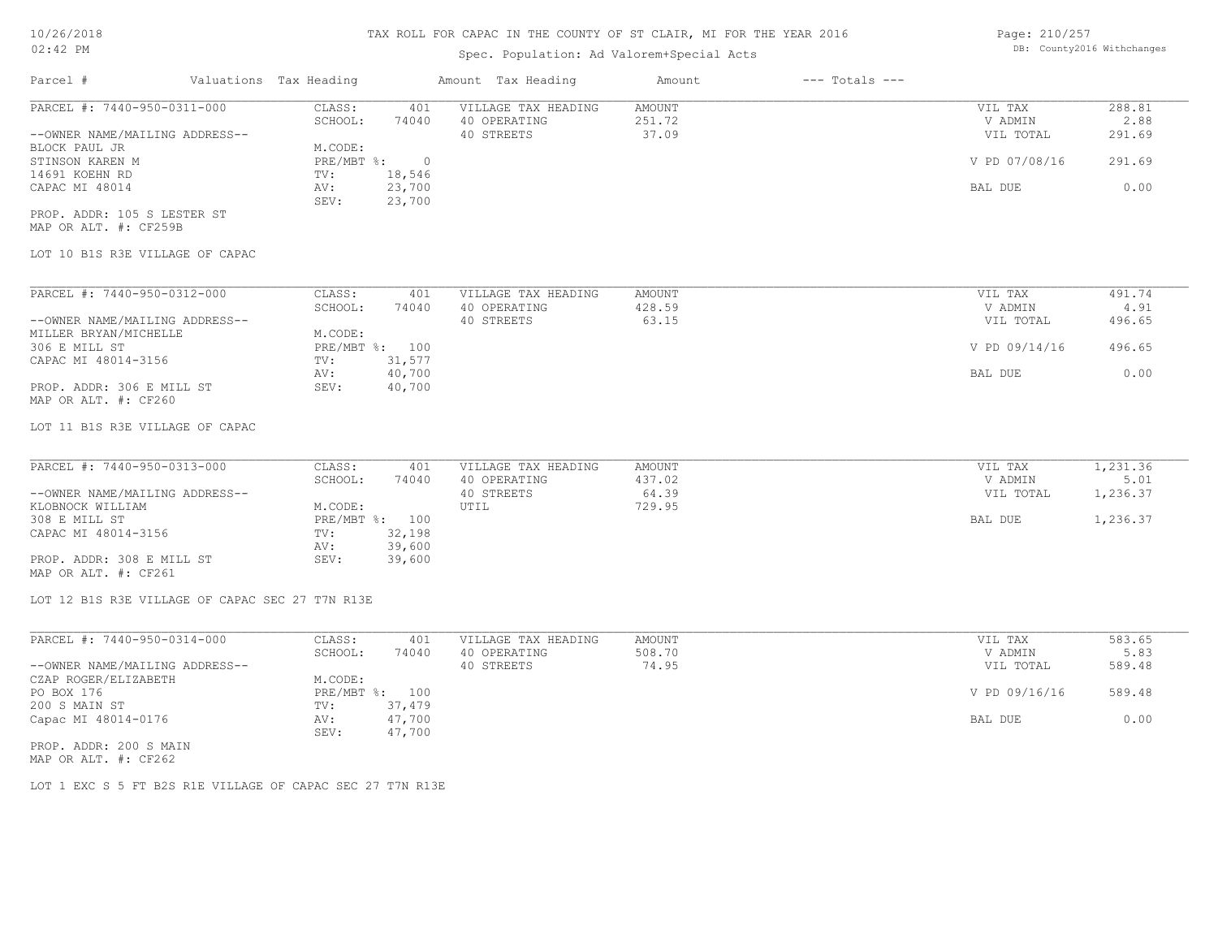# Spec. Population: Ad Valorem+Special Acts

| Page: 210/257 |                            |
|---------------|----------------------------|
|               | DB: County2016 Withchanges |

| Parcel #                       | Valuations Tax Heading |        | Amount Tax Heading  | Amount | $---$ Totals $---$ |               |        |
|--------------------------------|------------------------|--------|---------------------|--------|--------------------|---------------|--------|
| PARCEL #: 7440-950-0311-000    | CLASS:                 | 401    | VILLAGE TAX HEADING | AMOUNT |                    | VIL TAX       | 288.81 |
|                                | SCHOOL:                | 74040  | 40 OPERATING        | 251.72 |                    | V ADMIN       | 2.88   |
| --OWNER NAME/MAILING ADDRESS-- |                        |        | 40 STREETS          | 37.09  |                    | VIL TOTAL     | 291.69 |
| BLOCK PAUL JR                  | M.CODE:                |        |                     |        |                    |               |        |
| STINSON KAREN M                | $PRE/MBT$ %:           |        |                     |        |                    | V PD 07/08/16 | 291.69 |
| 14691 KOEHN RD                 | TV:                    | 18,546 |                     |        |                    |               |        |
| CAPAC MI 48014                 | AV:                    | 23,700 |                     |        |                    | BAL DUE       | 0.00   |
|                                | SEV:                   | 23,700 |                     |        |                    |               |        |
| PROP. ADDR: 105 S LESTER ST    |                        |        |                     |        |                    |               |        |
| MAP OR ALT. #: CF259B          |                        |        |                     |        |                    |               |        |

LOT 10 B1S R3E VILLAGE OF CAPAC

| PARCEL #: 7440-950-0312-000    | CLASS:       | 401    | VILLAGE TAX HEADING | AMOUNT | VIL TAX       | 491.74 |
|--------------------------------|--------------|--------|---------------------|--------|---------------|--------|
|                                | SCHOOL:      | 74040  | 40 OPERATING        | 428.59 | V ADMIN       | 4.91   |
| --OWNER NAME/MAILING ADDRESS-- |              |        | 40 STREETS          | 63.15  | VIL TOTAL     | 496.65 |
| MILLER BRYAN/MICHELLE          | M.CODE:      |        |                     |        |               |        |
| 306 E MILL ST                  | $PRE/MBT$ %: | 100    |                     |        | V PD 09/14/16 | 496.65 |
| CAPAC MI 48014-3156            | TV:          | 31,577 |                     |        |               |        |
|                                | AV:          | 40,700 |                     |        | BAL DUE       | 0.00   |
| PROP. ADDR: 306 E MILL ST      | SEV:         | 40,700 |                     |        |               |        |
| MAP OR ALT. #: CF260           |              |        |                     |        |               |        |

LOT 11 B1S R3E VILLAGE OF CAPAC

| PARCEL #: 7440-950-0313-000    | CLASS:  | 401            | VILLAGE TAX HEADING | AMOUNT | VIL TAX   | 1,231.36 |
|--------------------------------|---------|----------------|---------------------|--------|-----------|----------|
|                                | SCHOOL: | 74040          | 40 OPERATING        | 437.02 | V ADMIN   | 5.01     |
| --OWNER NAME/MAILING ADDRESS-- |         |                | 40 STREETS          | 64.39  | VIL TOTAL | 1,236.37 |
| KLOBNOCK WILLIAM               | M.CODE: |                | UTIL                | 729.95 |           |          |
| 308 E MILL ST                  |         | PRE/MBT %: 100 |                     |        | BAL DUE   | 1,236.37 |
| CAPAC MI 48014-3156            | TV:     | 32,198         |                     |        |           |          |
|                                | AV:     | 39,600         |                     |        |           |          |
| PROP. ADDR: 308 E MILL ST      | SEV:    | 39,600         |                     |        |           |          |
| MAP OR ALT. #: CF261           |         |                |                     |        |           |          |

LOT 12 B1S R3E VILLAGE OF CAPAC SEC 27 T7N R13E

| PARCEL #: 7440-950-0314-000    | CLASS:  | 401            | VILLAGE TAX HEADING | AMOUNT | VIL TAX       | 583.65 |
|--------------------------------|---------|----------------|---------------------|--------|---------------|--------|
|                                | SCHOOL: | 74040          | 40 OPERATING        | 508.70 | V ADMIN       | 5.83   |
| --OWNER NAME/MAILING ADDRESS-- |         |                | 40 STREETS          | 74.95  | VIL TOTAL     | 589.48 |
| CZAP ROGER/ELIZABETH           | M.CODE: |                |                     |        |               |        |
| PO BOX 176                     |         | PRE/MBT %: 100 |                     |        | V PD 09/16/16 | 589.48 |
| 200 S MAIN ST                  | TV:     | 37,479         |                     |        |               |        |
| Capac MI 48014-0176            | AV:     | 47,700         |                     |        | BAL DUE       | 0.00   |
|                                | SEV:    | 47,700         |                     |        |               |        |
| PROP. ADDR: 200 S MAIN         |         |                |                     |        |               |        |

MAP OR ALT. #: CF262

LOT 1 EXC S 5 FT B2S R1E VILLAGE OF CAPAC SEC 27 T7N R13E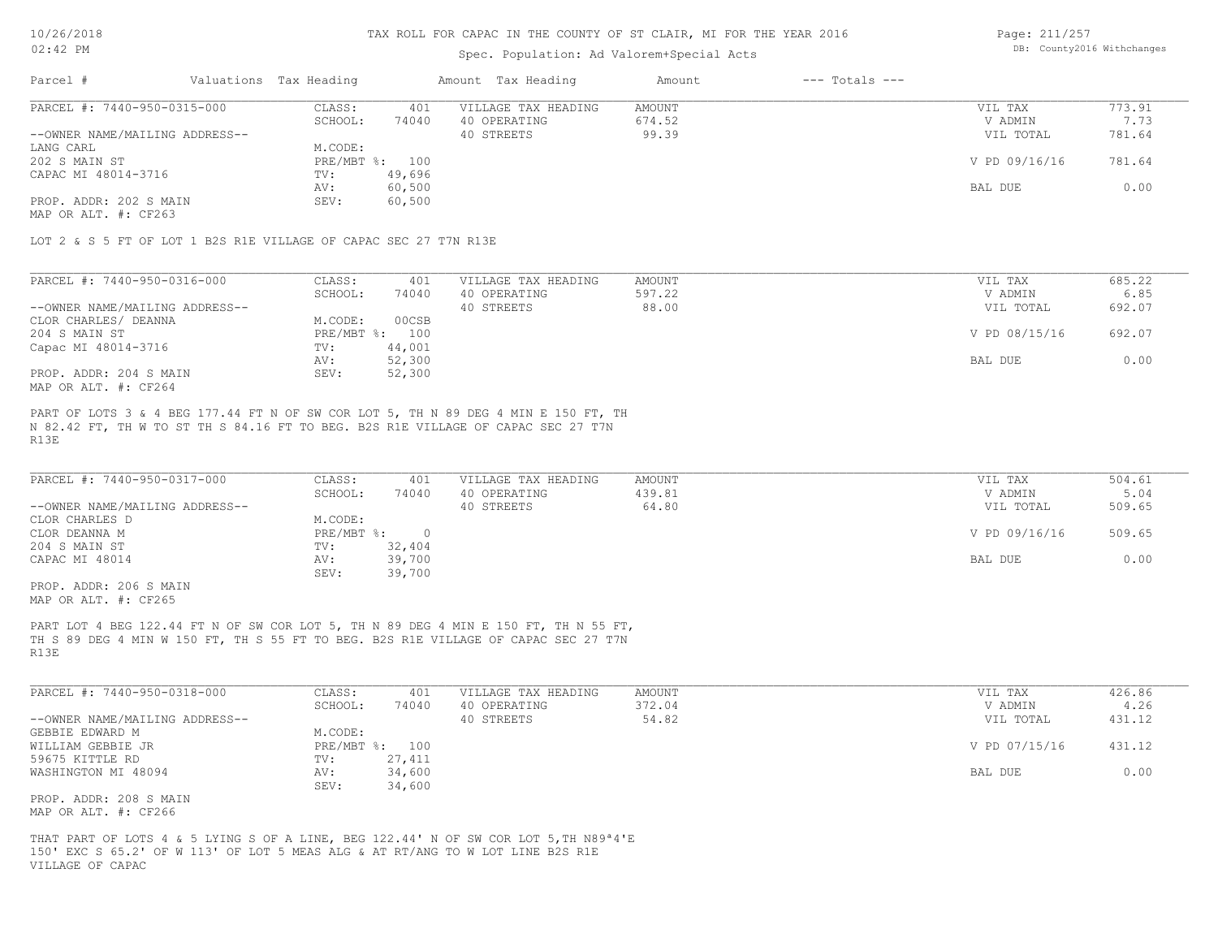#### Spec. Population: Ad Valorem+Special Acts

Page: 211/257 DB: County2016 Withchanges

| Parcel #                       | Valuations Tax Heading |        | Amount Tax Heading  | Amount | $---$ Totals $---$ |               |        |
|--------------------------------|------------------------|--------|---------------------|--------|--------------------|---------------|--------|
| PARCEL #: 7440-950-0315-000    | CLASS:                 | 401    | VILLAGE TAX HEADING | AMOUNT |                    | VIL TAX       | 773.91 |
|                                | SCHOOL:                | 74040  | 40 OPERATING        | 674.52 |                    | V ADMIN       | 7.73   |
| --OWNER NAME/MAILING ADDRESS-- |                        |        | 40 STREETS          | 99.39  |                    | VIL TOTAL     | 781.64 |
| LANG CARL                      | M.CODE:                |        |                     |        |                    |               |        |
| 202 S MAIN ST                  | PRE/MBT %: 100         |        |                     |        |                    | V PD 09/16/16 | 781.64 |
| CAPAC MI 48014-3716            | TV:                    | 49,696 |                     |        |                    |               |        |
|                                | AV:                    | 60,500 |                     |        |                    | BAL DUE       | 0.00   |
| PROP. ADDR: 202 S MAIN         | SEV:                   | 60,500 |                     |        |                    |               |        |
|                                |                        |        |                     |        |                    |               |        |

MAP OR ALT. #: CF263

LOT 2 & S 5 FT OF LOT 1 B2S R1E VILLAGE OF CAPAC SEC 27 T7N R13E

| PARCEL #: 7440-950-0316-000    | CLASS:     | 401    | VILLAGE TAX HEADING | AMOUNT | VIL TAX       | 685.22 |
|--------------------------------|------------|--------|---------------------|--------|---------------|--------|
|                                | SCHOOL:    | 74040  | 40 OPERATING        | 597.22 | V ADMIN       | 6.85   |
| --OWNER NAME/MAILING ADDRESS-- |            |        | 40 STREETS          | 88.00  | VIL TOTAL     | 692.07 |
| CLOR CHARLES/ DEANNA           | M.CODE:    | 00CSB  |                     |        |               |        |
| 204 S MAIN ST                  | PRE/MBT %: | 100    |                     |        | V PD 08/15/16 | 692.07 |
| Capac MI 48014-3716            | TV:        | 44,001 |                     |        |               |        |
|                                | AV:        | 52,300 |                     |        | BAL DUE       | 0.00   |
| PROP. ADDR: 204 S MAIN         | SEV:       | 52,300 |                     |        |               |        |
| MAP OR ALT. #: CF264           |            |        |                     |        |               |        |

R13E N 82.42 FT, TH W TO ST TH S 84.16 FT TO BEG. B2S R1E VILLAGE OF CAPAC SEC 27 T7N PART OF LOTS 3 & 4 BEG 177.44 FT N OF SW COR LOT 5, TH N 89 DEG 4 MIN E 150 FT, TH

| PARCEL #: 7440-950-0317-000    | CLASS:     | 401    | VILLAGE TAX HEADING | AMOUNT | VIL TAX       | 504.61 |
|--------------------------------|------------|--------|---------------------|--------|---------------|--------|
|                                | SCHOOL:    | 74040  | 40 OPERATING        | 439.81 | V ADMIN       | 5.04   |
| --OWNER NAME/MAILING ADDRESS-- |            |        | 40 STREETS          | 64.80  | VIL TOTAL     | 509.65 |
| CLOR CHARLES D                 | M.CODE:    |        |                     |        |               |        |
| CLOR DEANNA M                  | PRE/MBT %: |        |                     |        | V PD 09/16/16 | 509.65 |
| 204 S MAIN ST                  | TV:        | 32,404 |                     |        |               |        |
| CAPAC MI 48014                 | AV:        | 39,700 |                     |        | BAL DUE       | 0.00   |
|                                | SEV:       | 39,700 |                     |        |               |        |

MAP OR ALT. #: CF265 PROP. ADDR: 206 S MAIN

R13E TH S 89 DEG 4 MIN W 150 FT, TH S 55 FT TO BEG. B2S R1E VILLAGE OF CAPAC SEC 27 T7N PART LOT 4 BEG 122.44 FT N OF SW COR LOT 5, TH N 89 DEG 4 MIN E 150 FT, TH N 55 FT,

| PARCEL #: 7440-950-0318-000    | CLASS:       | 401    | VILLAGE TAX HEADING | AMOUNT | VIL TAX       | 426.86 |
|--------------------------------|--------------|--------|---------------------|--------|---------------|--------|
|                                | SCHOOL:      | 74040  | 40 OPERATING        | 372.04 | V ADMIN       | 4.26   |
| --OWNER NAME/MAILING ADDRESS-- |              |        | 40 STREETS          | 54.82  | VIL TOTAL     | 431.12 |
| GEBBIE EDWARD M                | M.CODE:      |        |                     |        |               |        |
| WILLIAM GEBBIE JR              | $PRE/MBT$ %: | 100    |                     |        | V PD 07/15/16 | 431.12 |
| 59675 KITTLE RD                | TV:          | 27,411 |                     |        |               |        |
| WASHINGTON MI 48094            | AV:          | 34,600 |                     |        | BAL DUE       | 0.00   |
|                                | SEV:         | 34,600 |                     |        |               |        |
| PROP. ADDR: 208 S MAIN         |              |        |                     |        |               |        |

MAP OR ALT. #: CF266

VILLAGE OF CAPAC 150' EXC S 65.2' OF W 113' OF LOT 5 MEAS ALG & AT RT/ANG TO W LOT LINE B2S R1E THAT PART OF LOTS 4 & 5 LYING S OF A LINE, BEG 122.44' N OF SW COR LOT 5,TH N89ª4'E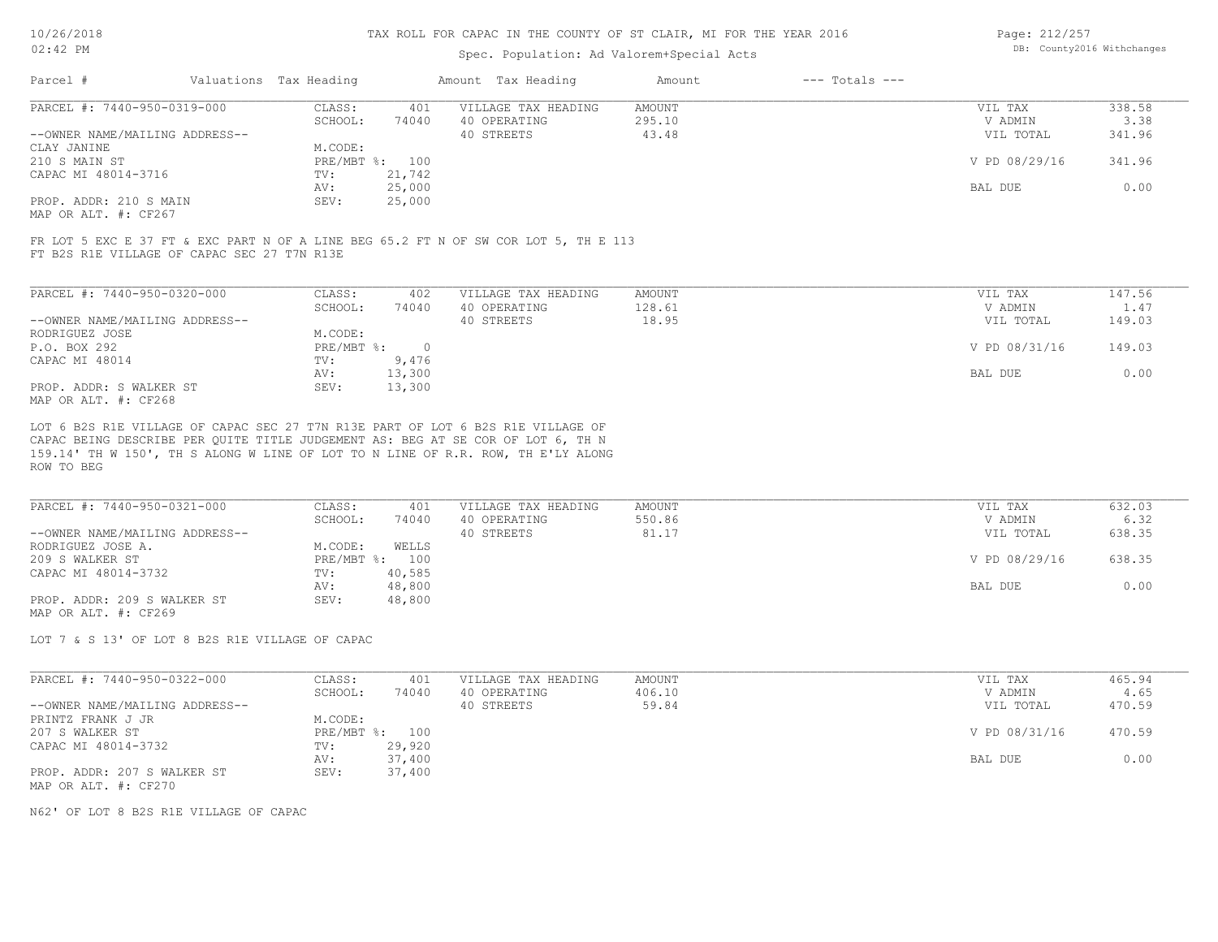#### Spec. Population: Ad Valorem+Special Acts

| Page: 212/257 |                            |
|---------------|----------------------------|
|               | DB: County2016 Withchanges |

| Parcel #                                     | Valuations Tax Heading |        | Amount Tax Heading  | Amount | $---$ Totals $---$ |               |        |
|----------------------------------------------|------------------------|--------|---------------------|--------|--------------------|---------------|--------|
| PARCEL #: 7440-950-0319-000                  | CLASS:                 | 401    | VILLAGE TAX HEADING | AMOUNT |                    | VIL TAX       | 338.58 |
|                                              | SCHOOL:                | 74040  | 40 OPERATING        | 295.10 |                    | V ADMIN       | 3.38   |
| --OWNER NAME/MAILING ADDRESS--               |                        |        | 40 STREETS          | 43.48  |                    | VIL TOTAL     | 341.96 |
| CLAY JANINE                                  | M.CODE:                |        |                     |        |                    |               |        |
| 210 S MAIN ST                                | PRE/MBT %: 100         |        |                     |        |                    | V PD 08/29/16 | 341.96 |
| CAPAC MI 48014-3716                          | TV:                    | 21,742 |                     |        |                    |               |        |
|                                              | AV:                    | 25,000 |                     |        |                    | BAL DUE       | 0.00   |
| PROP. ADDR: 210 S MAIN                       | SEV:                   | 25,000 |                     |        |                    |               |        |
| $\cdots$ $\cdots$ $\cdots$ $\cdots$ $\cdots$ |                        |        |                     |        |                    |               |        |

MAP OR ALT. #: CF267

FT B2S R1E VILLAGE OF CAPAC SEC 27 T7N R13E FR LOT 5 EXC E 37 FT & EXC PART N OF A LINE BEG 65.2 FT N OF SW COR LOT 5, TH E 113

| PARCEL #: 7440-950-0320-000    | CLASS:     | 402    | VILLAGE TAX HEADING | AMOUNT | 147.56<br>VIL TAX       |
|--------------------------------|------------|--------|---------------------|--------|-------------------------|
|                                | SCHOOL:    | 74040  | 40 OPERATING        | 128.61 | 1.47<br>V ADMIN         |
| --OWNER NAME/MAILING ADDRESS-- |            |        | 40 STREETS          | 18.95  | 149.03<br>VIL TOTAL     |
| RODRIGUEZ JOSE                 | M.CODE:    |        |                     |        |                         |
| P.O. BOX 292                   | PRE/MBT %: |        |                     |        | V PD 08/31/16<br>149.03 |
| CAPAC MI 48014                 | TV:        | 9,476  |                     |        |                         |
|                                | AV:        | 13,300 |                     |        | 0.00<br>BAL DUE         |
| PROP. ADDR: S WALKER ST        | SEV:       | 13,300 |                     |        |                         |
| MAP OR ALT. #: CF268           |            |        |                     |        |                         |

ROW TO BEG 159.14' TH W 150', TH S ALONG W LINE OF LOT TO N LINE OF R.R. ROW, TH E'LY ALONG CAPAC BEING DESCRIBE PER QUITE TITLE JUDGEMENT AS: BEG AT SE COR OF LOT 6, TH N LOT 6 B2S R1E VILLAGE OF CAPAC SEC 27 T7N R13E PART OF LOT 6 B2S R1E VILLAGE OF

| PARCEL #: 7440-950-0321-000    | CLASS:     | 401    | VILLAGE TAX HEADING | AMOUNT | VIL TAX       | 632.03 |
|--------------------------------|------------|--------|---------------------|--------|---------------|--------|
|                                | SCHOOL:    | 74040  | 40 OPERATING        | 550.86 | V ADMIN       | 6.32   |
| --OWNER NAME/MAILING ADDRESS-- |            |        | 40 STREETS          | 81.17  | VIL TOTAL     | 638.35 |
| RODRIGUEZ JOSE A.              | M.CODE:    | WELLS  |                     |        |               |        |
| 209 S WALKER ST                | PRE/MBT %: | 100    |                     |        | V PD 08/29/16 | 638.35 |
| CAPAC MI 48014-3732            | TV:        | 40,585 |                     |        |               |        |
|                                | AV:        | 48,800 |                     |        | BAL DUE       | 0.00   |
| PROP. ADDR: 209 S WALKER ST    | SEV:       | 48,800 |                     |        |               |        |
| MAP OR ALT. #: CF269           |            |        |                     |        |               |        |

LOT 7 & S 13' OF LOT 8 B2S R1E VILLAGE OF CAPAC

| PARCEL #: 7440-950-0322-000    | CLASS:  | 401            | VILLAGE TAX HEADING | AMOUNT | VIL TAX       | 465.94 |
|--------------------------------|---------|----------------|---------------------|--------|---------------|--------|
|                                | SCHOOL: | 74040          | 40 OPERATING        | 406.10 | V ADMIN       | 4.65   |
| --OWNER NAME/MAILING ADDRESS-- |         |                | 40 STREETS          | 59.84  | VIL TOTAL     | 470.59 |
| PRINTZ FRANK J JR              | M.CODE: |                |                     |        |               |        |
| 207 S WALKER ST                |         | PRE/MBT %: 100 |                     |        | V PD 08/31/16 | 470.59 |
| CAPAC MI 48014-3732            | TV:     | 29,920         |                     |        |               |        |
|                                | AV:     | 37,400         |                     |        | BAL DUE       | 0.00   |
| PROP. ADDR: 207 S WALKER ST    | SEV:    | 37,400         |                     |        |               |        |
| MAP OR ALT. #: CF270           |         |                |                     |        |               |        |

N62' OF LOT 8 B2S R1E VILLAGE OF CAPAC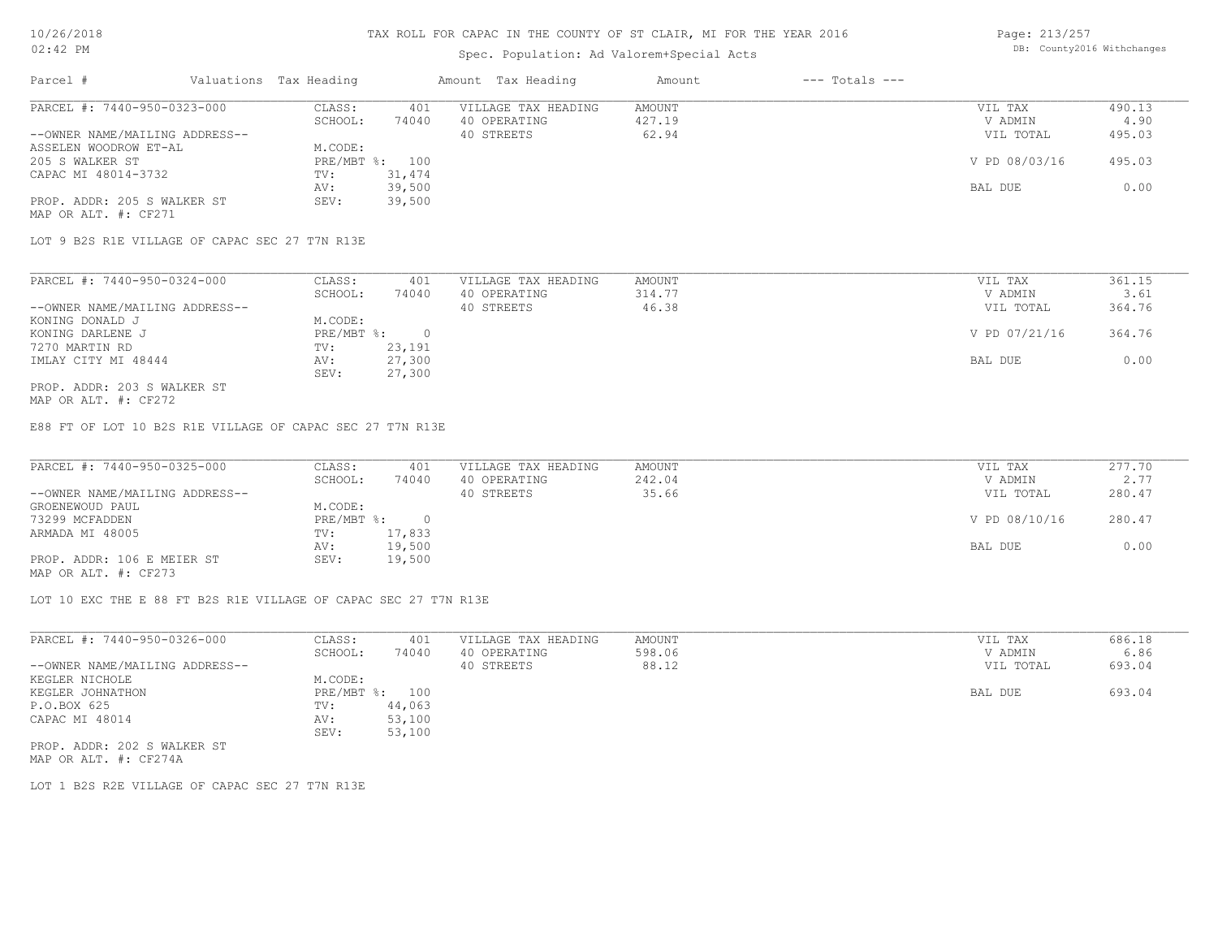# Spec. Population: Ad Valorem+Special Acts

| Page: 213/257 |                            |
|---------------|----------------------------|
|               | DB: County2016 Withchanges |

| Parcel #                       | Valuations Tax Heading |        | Amount Tax Heading  | Amount | $---$ Totals $---$ |               |        |
|--------------------------------|------------------------|--------|---------------------|--------|--------------------|---------------|--------|
| PARCEL #: 7440-950-0323-000    | CLASS:                 | 401    | VILLAGE TAX HEADING | AMOUNT |                    | VIL TAX       | 490.13 |
|                                | SCHOOL:                | 74040  | 40 OPERATING        | 427.19 |                    | V ADMIN       | 4.90   |
| --OWNER NAME/MAILING ADDRESS-- |                        |        | 40 STREETS          | 62.94  |                    | VIL TOTAL     | 495.03 |
| ASSELEN WOODROW ET-AL          | M.CODE:                |        |                     |        |                    |               |        |
| 205 S WALKER ST                | PRE/MBT %: 100         |        |                     |        |                    | V PD 08/03/16 | 495.03 |
| CAPAC MI 48014-3732            | TV:                    | 31,474 |                     |        |                    |               |        |
|                                | AV:                    | 39,500 |                     |        |                    | BAL DUE       | 0.00   |
| PROP. ADDR: 205 S WALKER ST    | SEV:                   | 39,500 |                     |        |                    |               |        |
| MAP OR ALT. #: CF271           |                        |        |                     |        |                    |               |        |

LOT 9 B2S R1E VILLAGE OF CAPAC SEC 27 T7N R13E

| PARCEL #: 7440-950-0324-000    | CLASS:     | 401    | VILLAGE TAX HEADING | AMOUNT | VIL TAX       | 361.15 |
|--------------------------------|------------|--------|---------------------|--------|---------------|--------|
|                                | SCHOOL:    | 74040  | 40 OPERATING        | 314.77 | V ADMIN       | 3.61   |
| --OWNER NAME/MAILING ADDRESS-- |            |        | 40 STREETS          | 46.38  | VIL TOTAL     | 364.76 |
| KONING DONALD J                | M.CODE:    |        |                     |        |               |        |
| KONING DARLENE J               | PRE/MBT %: |        |                     |        | V PD 07/21/16 | 364.76 |
| 7270 MARTIN RD                 | TV:        | 23,191 |                     |        |               |        |
| IMLAY CITY MI 48444            | AV:        | 27,300 |                     |        | BAL DUE       | 0.00   |
|                                | SEV:       | 27,300 |                     |        |               |        |
| PROP. ADDR: 203 S WALKER ST    |            |        |                     |        |               |        |

MAP OR ALT. #: CF272

E88 FT OF LOT 10 B2S R1E VILLAGE OF CAPAC SEC 27 T7N R13E

| PARCEL #: 7440-950-0325-000    | CLASS:       | 401    | VILLAGE TAX HEADING | AMOUNT | VIL TAX       | 277.70 |
|--------------------------------|--------------|--------|---------------------|--------|---------------|--------|
|                                | SCHOOL:      | 74040  | 40 OPERATING        | 242.04 | V ADMIN       | 2.77   |
| --OWNER NAME/MAILING ADDRESS-- |              |        | 40 STREETS          | 35.66  | VIL TOTAL     | 280.47 |
| GROENEWOUD PAUL                | M.CODE:      |        |                     |        |               |        |
| 73299 MCFADDEN                 | $PRE/MBT$ %: |        |                     |        | V PD 08/10/16 | 280.47 |
| ARMADA MI 48005                | TV:          | 17,833 |                     |        |               |        |
|                                | AV:          | 19,500 |                     |        | BAL DUE       | 0.00   |
| PROP. ADDR: 106 E MEIER ST     | SEV:         | 19,500 |                     |        |               |        |
| MAP OR ALT. #: CF273           |              |        |                     |        |               |        |

LOT 10 EXC THE E 88 FT B2S R1E VILLAGE OF CAPAC SEC 27 T7N R13E

| PARCEL #: 7440-950-0326-000    | CLASS:  | 401            | VILLAGE TAX HEADING | AMOUNT | VIL TAX   | 686.18 |
|--------------------------------|---------|----------------|---------------------|--------|-----------|--------|
|                                | SCHOOL: | 74040          | 40 OPERATING        | 598.06 | V ADMIN   | 6.86   |
| --OWNER NAME/MAILING ADDRESS-- |         |                | 40 STREETS          | 88.12  | VIL TOTAL | 693.04 |
| KEGLER NICHOLE                 | M.CODE: |                |                     |        |           |        |
| KEGLER JOHNATHON               |         | PRE/MBT %: 100 |                     |        | BAL DUE   | 693.04 |
| P.O.BOX 625                    | TV:     | 44,063         |                     |        |           |        |
| CAPAC MI 48014                 | AV:     | 53,100         |                     |        |           |        |
|                                | SEV:    | 53,100         |                     |        |           |        |
| PROP. ADDR: 202 S WALKER ST    |         |                |                     |        |           |        |

MAP OR ALT. #: CF274A

LOT 1 B2S R2E VILLAGE OF CAPAC SEC 27 T7N R13E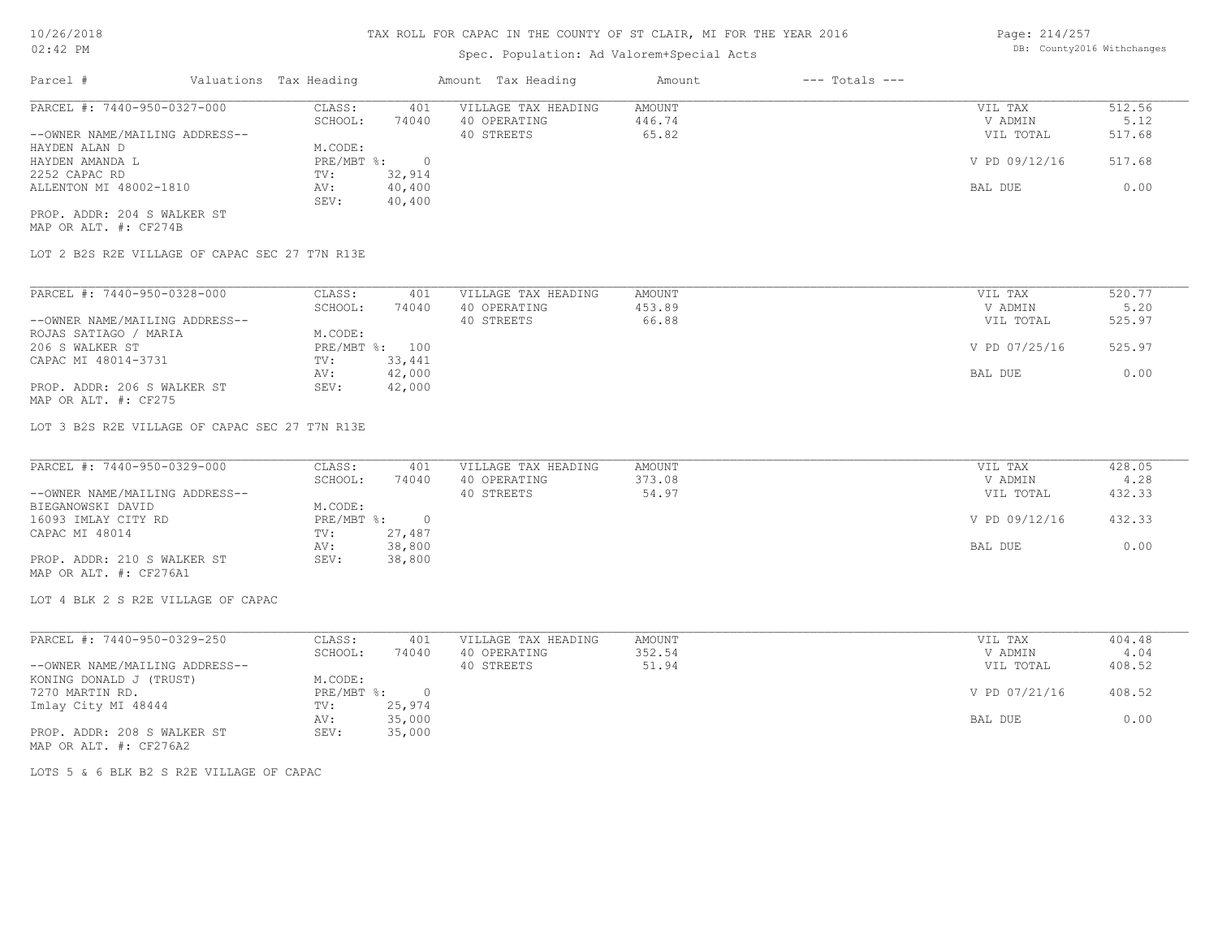# Spec. Population: Ad Valorem+Special Acts

Page: 214/257 DB: County2016 Withchanges

| Parcel #                       | Valuations Tax Heading |        | Amount Tax Heading  | Amount | $---$ Totals $---$ |               |        |
|--------------------------------|------------------------|--------|---------------------|--------|--------------------|---------------|--------|
| PARCEL #: 7440-950-0327-000    | CLASS:                 | 401    | VILLAGE TAX HEADING | AMOUNT |                    | VIL TAX       | 512.56 |
|                                | SCHOOL:                | 74040  | 40 OPERATING        | 446.74 |                    | V ADMIN       | 5.12   |
| --OWNER NAME/MAILING ADDRESS-- |                        |        | 40 STREETS          | 65.82  |                    | VIL TOTAL     | 517.68 |
| HAYDEN ALAN D                  | M.CODE:                |        |                     |        |                    |               |        |
| HAYDEN AMANDA L                | PRE/MBT %:             |        |                     |        |                    | V PD 09/12/16 | 517.68 |
| 2252 CAPAC RD                  | TV:                    | 32,914 |                     |        |                    |               |        |
| ALLENTON MI 48002-1810         | AV:                    | 40,400 |                     |        |                    | BAL DUE       | 0.00   |
|                                | SEV:                   | 40,400 |                     |        |                    |               |        |
| PROP. ADDR: 204 S WALKER ST    |                        |        |                     |        |                    |               |        |

MAP OR ALT. #: CF274B

LOT 2 B2S R2E VILLAGE OF CAPAC SEC 27 T7N R13E

| PARCEL #: 7440-950-0328-000    | CLASS:  | 401            | VILLAGE TAX HEADING | AMOUNT | VIL TAX       | 520.77 |
|--------------------------------|---------|----------------|---------------------|--------|---------------|--------|
|                                | SCHOOL: | 74040          | 40 OPERATING        | 453.89 | V ADMIN       | 5.20   |
| --OWNER NAME/MAILING ADDRESS-- |         |                | 40 STREETS          | 66.88  | VIL TOTAL     | 525.97 |
| ROJAS SATIAGO / MARIA          | M.CODE: |                |                     |        |               |        |
| 206 S WALKER ST                |         | PRE/MBT %: 100 |                     |        | V PD 07/25/16 | 525.97 |
| CAPAC MI 48014-3731            | TV:     | 33,441         |                     |        |               |        |
|                                | AV:     | 42,000         |                     |        | BAL DUE       | 0.00   |
| PROP. ADDR: 206 S WALKER ST    | SEV:    | 42,000         |                     |        |               |        |
| MAP OR ALT. #: CF275           |         |                |                     |        |               |        |

LOT 3 B2S R2E VILLAGE OF CAPAC SEC 27 T7N R13E

| PARCEL #: 7440-950-0329-000    | CLASS:     | 401    | VILLAGE TAX HEADING | AMOUNT | VIL TAX       | 428.05 |
|--------------------------------|------------|--------|---------------------|--------|---------------|--------|
|                                | SCHOOL:    | 74040  | 40 OPERATING        | 373.08 | V ADMIN       | 4.28   |
| --OWNER NAME/MAILING ADDRESS-- |            |        | 40 STREETS          | 54.97  | VIL TOTAL     | 432.33 |
| BIEGANOWSKI DAVID              | M.CODE:    |        |                     |        |               |        |
| 16093 IMLAY CITY RD            | PRE/MBT %: |        |                     |        | V PD 09/12/16 | 432.33 |
| CAPAC MI 48014                 | TV:        | 27,487 |                     |        |               |        |
|                                | AV:        | 38,800 |                     |        | BAL DUE       | 0.00   |
| PROP. ADDR: 210 S WALKER ST    | SEV:       | 38,800 |                     |        |               |        |
| MAP OR ALT. #: CF276A1         |            |        |                     |        |               |        |

LOT 4 BLK 2 S R2E VILLAGE OF CAPAC

| PARCEL #: 7440-950-0329-250    | CLASS:       | 401    | VILLAGE TAX HEADING | AMOUNT | VIL TAX       | 404.48 |
|--------------------------------|--------------|--------|---------------------|--------|---------------|--------|
|                                | SCHOOL:      | 74040  | 40 OPERATING        | 352.54 | V ADMIN       | 4.04   |
| --OWNER NAME/MAILING ADDRESS-- |              |        | 40 STREETS          | 51.94  | VIL TOTAL     | 408.52 |
| KONING DONALD J (TRUST)        | M.CODE:      |        |                     |        |               |        |
| 7270 MARTIN RD.                | $PRE/MBT$ %: |        |                     |        | V PD 07/21/16 | 408.52 |
| Imlay City MI 48444            | TV:          | 25,974 |                     |        |               |        |
|                                | AV:          | 35,000 |                     |        | BAL DUE       | 0.00   |
| PROP. ADDR: 208 S WALKER ST    | SEV:         | 35,000 |                     |        |               |        |
| MAP OR ALT. #: CF276A2         |              |        |                     |        |               |        |

LOTS 5 & 6 BLK B2 S R2E VILLAGE OF CAPAC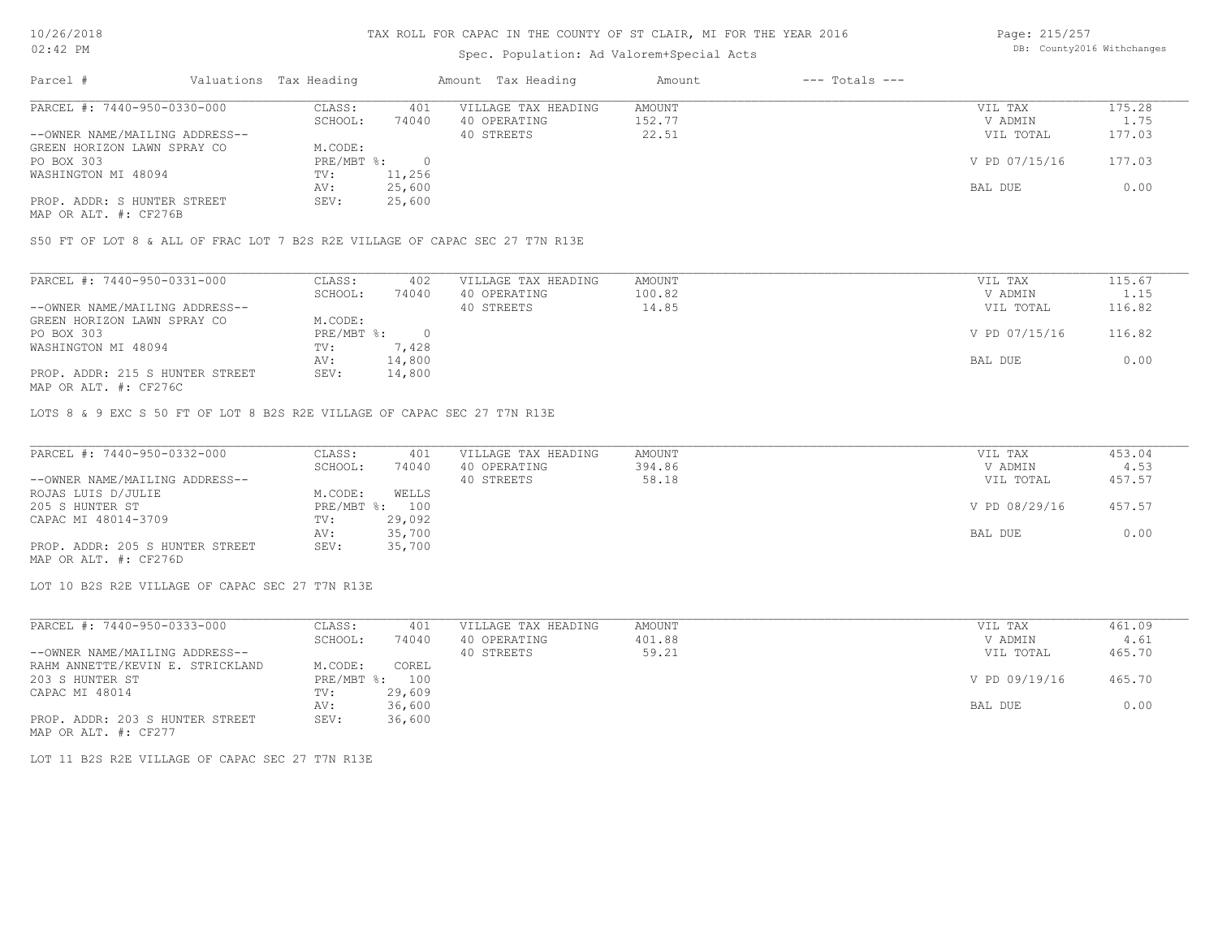# Spec. Population: Ad Valorem+Special Acts

Page: 215/257 DB: County2016 Withchanges

| Parcel #                       | Valuations Tax Heading |        | Amount Tax Heading  | Amount | $---$ Totals $---$ |               |        |
|--------------------------------|------------------------|--------|---------------------|--------|--------------------|---------------|--------|
| PARCEL #: 7440-950-0330-000    | CLASS:                 | 401    | VILLAGE TAX HEADING | AMOUNT |                    | VIL TAX       | 175.28 |
|                                | SCHOOL:                | 74040  | 40 OPERATING        | 152.77 |                    | V ADMIN       | 1.75   |
| --OWNER NAME/MAILING ADDRESS-- |                        |        | 40 STREETS          | 22.51  |                    | VIL TOTAL     | 177.03 |
| GREEN HORIZON LAWN SPRAY CO    | M.CODE:                |        |                     |        |                    |               |        |
| PO BOX 303                     | $PRE/MBT$ %:           |        |                     |        |                    | V PD 07/15/16 | 177.03 |
| WASHINGTON MI 48094            | TV:                    | 11,256 |                     |        |                    |               |        |
|                                | AV:                    | 25,600 |                     |        |                    | BAL DUE       | 0.00   |
| PROP. ADDR: S HUNTER STREET    | SEV:                   | 25,600 |                     |        |                    |               |        |
|                                |                        |        |                     |        |                    |               |        |

MAP OR ALT. #: CF276B

S50 FT OF LOT 8 & ALL OF FRAC LOT 7 B2S R2E VILLAGE OF CAPAC SEC 27 T7N R13E

| PARCEL #: 7440-950-0331-000     | CLASS:     | 402    | VILLAGE TAX HEADING | AMOUNT | VIL TAX       | 115.67 |
|---------------------------------|------------|--------|---------------------|--------|---------------|--------|
|                                 | SCHOOL:    | 74040  | 40 OPERATING        | 100.82 | V ADMIN       | 1.15   |
| --OWNER NAME/MAILING ADDRESS--  |            |        | 40 STREETS          | 14.85  | VIL TOTAL     | 116.82 |
| GREEN HORIZON LAWN SPRAY CO     | M.CODE:    |        |                     |        |               |        |
| PO BOX 303                      | PRE/MBT %: |        |                     |        | V PD 07/15/16 | 116.82 |
| WASHINGTON MI 48094             | TV:        | 7,428  |                     |        |               |        |
|                                 | AV:        | 14,800 |                     |        | BAL DUE       | 0.00   |
| PROP. ADDR: 215 S HUNTER STREET | SEV:       | 14,800 |                     |        |               |        |
| MAP OR ALT. #: CF276C           |            |        |                     |        |               |        |

LOTS 8 & 9 EXC S 50 FT OF LOT 8 B2S R2E VILLAGE OF CAPAC SEC 27 T7N R13E

| PARCEL #: 7440-950-0332-000     | CLASS:  | 401            | VILLAGE TAX HEADING | AMOUNT | VIL TAX       | 453.04 |
|---------------------------------|---------|----------------|---------------------|--------|---------------|--------|
|                                 | SCHOOL: | 74040          | 40 OPERATING        | 394.86 | V ADMIN       | 4.53   |
| --OWNER NAME/MAILING ADDRESS--  |         |                | 40 STREETS          | 58.18  | VIL TOTAL     | 457.57 |
| ROJAS LUIS D/JULIE              | M.CODE: | WELLS          |                     |        |               |        |
| 205 S HUNTER ST                 |         | PRE/MBT %: 100 |                     |        | V PD 08/29/16 | 457.57 |
| CAPAC MI 48014-3709             | TV:     | 29,092         |                     |        |               |        |
|                                 | AV:     | 35,700         |                     |        | BAL DUE       | 0.00   |
| PROP. ADDR: 205 S HUNTER STREET | SEV:    | 35,700         |                     |        |               |        |
| MAP OR ALT. #: CF276D           |         |                |                     |        |               |        |

LOT 10 B2S R2E VILLAGE OF CAPAC SEC 27 T7N R13E

| PARCEL #: 7440-950-0333-000      | CLASS:     | 401    | VILLAGE TAX HEADING | AMOUNT | VIL TAX       | 461.09 |
|----------------------------------|------------|--------|---------------------|--------|---------------|--------|
|                                  | SCHOOL:    | 74040  | 40 OPERATING        | 401.88 | V ADMIN       | 4.61   |
| --OWNER NAME/MAILING ADDRESS--   |            |        | 40 STREETS          | 59.21  | VIL TOTAL     | 465.70 |
| RAHM ANNETTE/KEVIN E. STRICKLAND | M.CODE:    | COREL  |                     |        |               |        |
| 203 S HUNTER ST                  | PRE/MBT %: | 100    |                     |        | V PD 09/19/16 | 465.70 |
| CAPAC MI 48014                   | TV:        | 29,609 |                     |        |               |        |
|                                  | AV:        | 36,600 |                     |        | BAL DUE       | 0.00   |
| PROP. ADDR: 203 S HUNTER STREET  | SEV:       | 36,600 |                     |        |               |        |

MAP OR ALT. #: CF277

LOT 11 B2S R2E VILLAGE OF CAPAC SEC 27 T7N R13E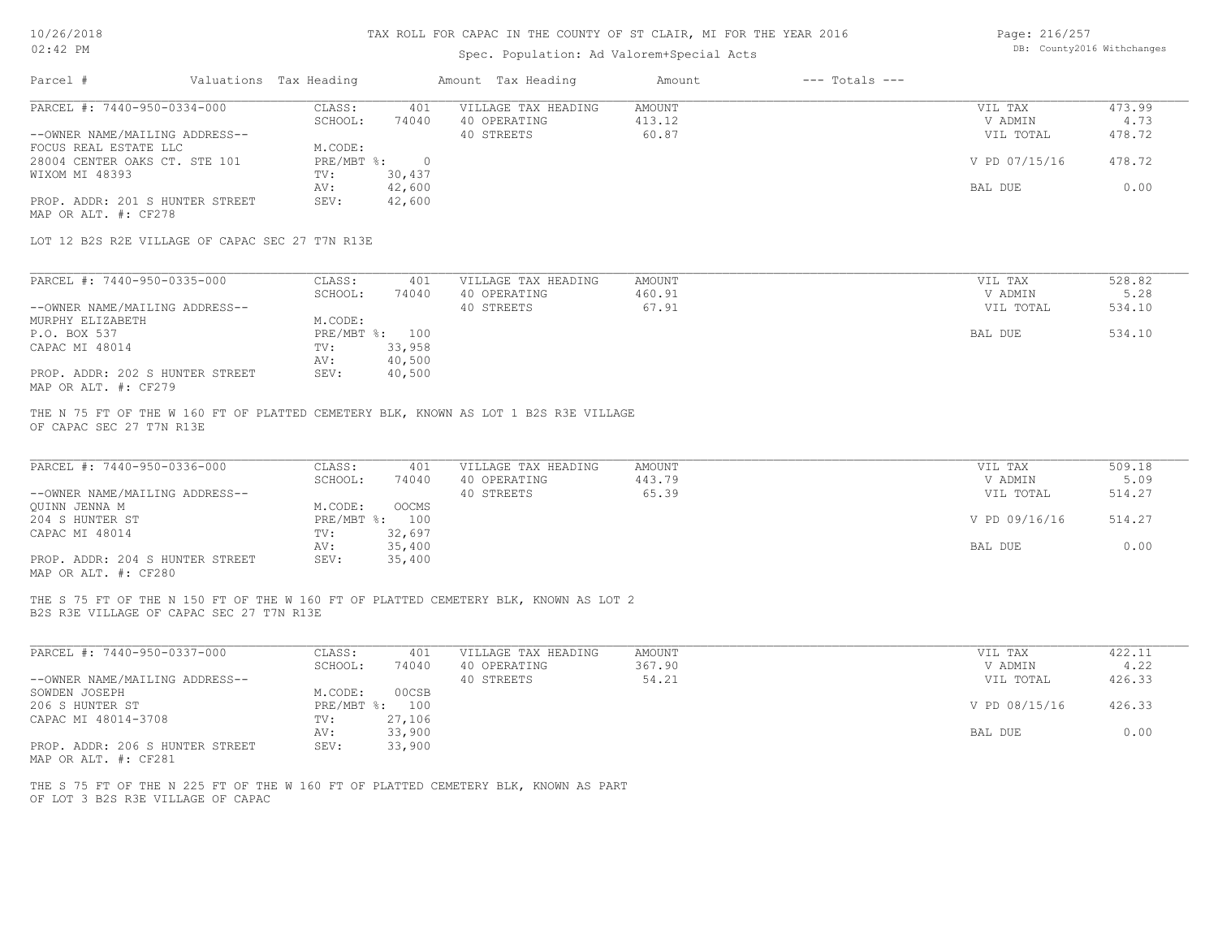# Spec. Population: Ad Valorem+Special Acts

| Page: 216/257 |                            |
|---------------|----------------------------|
|               | DB: County2016 Withchanges |

|                                                                                                                                 |                                   | Amount Tax Heading                  | $---$ Totals $---$<br>Amount |                    |                |
|---------------------------------------------------------------------------------------------------------------------------------|-----------------------------------|-------------------------------------|------------------------------|--------------------|----------------|
| PARCEL #: 7440-950-0334-000                                                                                                     | CLASS:<br>401<br>SCHOOL:<br>74040 | VILLAGE TAX HEADING<br>40 OPERATING | AMOUNT<br>413.12             | VIL TAX<br>V ADMIN | 473.99<br>4.73 |
| --OWNER NAME/MAILING ADDRESS--                                                                                                  |                                   | 40 STREETS                          | 60.87                        | VIL TOTAL          | 478.72         |
| FOCUS REAL ESTATE LLC<br>28004 CENTER OAKS CT. STE 101                                                                          | M.CODE:<br>PRE/MBT %: 0           |                                     |                              | V PD 07/15/16      | 478.72         |
| WIXOM MI 48393                                                                                                                  | 30,437<br>TV:<br>42,600<br>AV:    |                                     |                              | BAL DUE            | 0.00           |
| PROP. ADDR: 201 S HUNTER STREET<br>MAP OR ALT. #: CF278                                                                         | 42,600<br>SEV:                    |                                     |                              |                    |                |
| LOT 12 B2S R2E VILLAGE OF CAPAC SEC 27 T7N R13E                                                                                 |                                   |                                     |                              |                    |                |
| PARCEL #: 7440-950-0335-000                                                                                                     | CLASS:<br>401                     | VILLAGE TAX HEADING                 | AMOUNT                       | VIL TAX            | 528.82         |
|                                                                                                                                 | SCHOOL:<br>74040                  | 40 OPERATING                        | 460.91                       | V ADMIN            | 5.28           |
| --OWNER NAME/MAILING ADDRESS--                                                                                                  |                                   | 40 STREETS                          | 67.91                        | VIL TOTAL          | 534.10         |
| MURPHY ELIZABETH                                                                                                                | M.CODE:                           |                                     |                              |                    |                |
| P.O. BOX 537                                                                                                                    | PRE/MBT %: 100                    |                                     |                              | BAL DUE            | 534.10         |
| CAPAC MI 48014                                                                                                                  | 33,958<br>TV:                     |                                     |                              |                    |                |
|                                                                                                                                 | 40,500<br>AV:                     |                                     |                              |                    |                |
| PROP. ADDR: 202 S HUNTER STREET<br>MAP OR ALT. #: CF279                                                                         | SEV:<br>40,500                    |                                     |                              |                    |                |
| THE N 75 FT OF THE W 160 FT OF PLATTED CEMETERY BLK, KNOWN AS LOT 1 B2S R3E VILLAGE<br>OF CAPAC SEC 27 T7N R13E                 |                                   |                                     |                              |                    |                |
| PARCEL #: 7440-950-0336-000                                                                                                     | CLASS:<br>401                     | VILLAGE TAX HEADING                 | AMOUNT                       | VIL TAX            | 509.18         |
|                                                                                                                                 | SCHOOL:<br>74040                  | 40 OPERATING                        | 443.79                       | V ADMIN            | 5.09           |
| --OWNER NAME/MAILING ADDRESS--                                                                                                  |                                   | 40 STREETS                          | 65.39                        | VIL TOTAL          | 514.27         |
| QUINN JENNA M                                                                                                                   | M.CODE:<br>OOCMS                  |                                     |                              |                    |                |
| 204 S HUNTER ST                                                                                                                 | PRE/MBT %: 100                    |                                     |                              | V PD 09/16/16      | 514.27         |
|                                                                                                                                 |                                   |                                     |                              |                    |                |
| CAPAC MI 48014                                                                                                                  | 32,697<br>TV:                     |                                     |                              |                    |                |
|                                                                                                                                 | 35,400<br>AV:                     |                                     |                              | BAL DUE            | 0.00           |
| PROP. ADDR: 204 S HUNTER STREET<br>MAP OR ALT. #: CF280                                                                         | 35,400<br>SEV:                    |                                     |                              |                    |                |
| THE S 75 FT OF THE N 150 FT OF THE W 160 FT OF PLATTED CEMETERY BLK, KNOWN AS LOT 2<br>B2S R3E VILLAGE OF CAPAC SEC 27 T7N R13E |                                   |                                     |                              |                    |                |
| PARCEL #: 7440-950-0337-000                                                                                                     | CLASS:<br>401                     | VILLAGE TAX HEADING                 | AMOUNT                       | VIL TAX            | 422.11         |
|                                                                                                                                 | SCHOOL:<br>74040                  | 40 OPERATING                        | 367.90                       | V ADMIN            | 4.22           |
| --OWNER NAME/MAILING ADDRESS--                                                                                                  |                                   | 40 STREETS                          | 54.21                        | VIL TOTAL          | 426.33         |
| SOWDEN JOSEPH                                                                                                                   | M.CODE:<br>00CSB                  |                                     |                              |                    |                |
| 206 S HUNTER ST                                                                                                                 | PRE/MBT %: 100                    |                                     |                              | V PD 08/15/16      | 426.33         |
| CAPAC MI 48014-3708                                                                                                             | 27,106<br>TV:                     |                                     |                              |                    |                |
|                                                                                                                                 | 33,900<br>AV:                     |                                     |                              | BAL DUE            | 0.00           |
| PROP. ADDR: 206 S HUNTER STREET<br>MAP OR ALT. #: CF281                                                                         | 33,900<br>SEV:                    |                                     |                              |                    |                |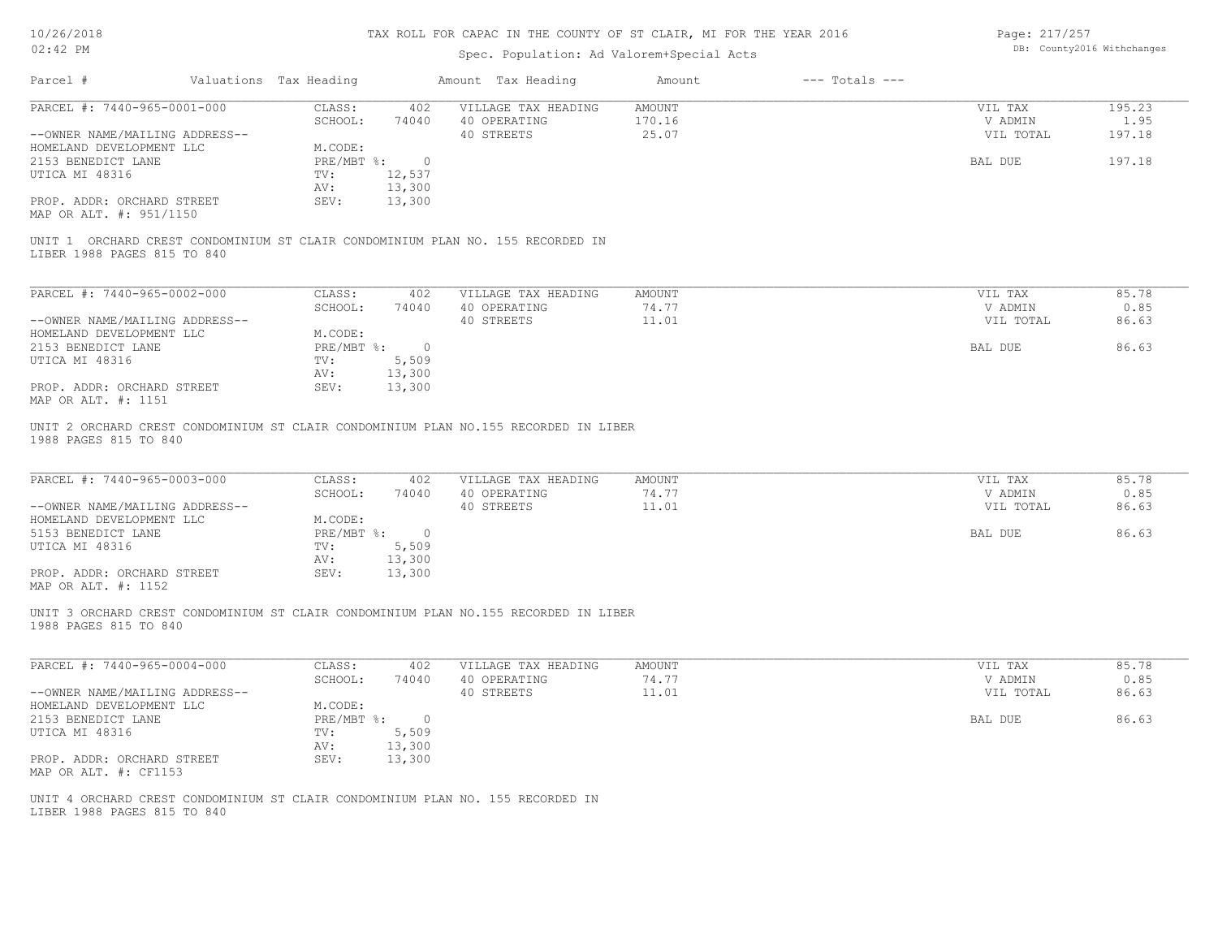## Spec. Population: Ad Valorem+Special Acts

Page: 217/257 DB: County2016 Withchanges

| Parcel #                                                      | Valuations Tax Heading |                    | Amount Tax Heading                                                                  | Amount                           | $---$ Totals $---$ |                                 |                          |
|---------------------------------------------------------------|------------------------|--------------------|-------------------------------------------------------------------------------------|----------------------------------|--------------------|---------------------------------|--------------------------|
| PARCEL #: 7440-965-0001-000<br>--OWNER NAME/MAILING ADDRESS-- | CLASS:<br>SCHOOL:      | 402<br>74040       | VILLAGE TAX HEADING<br>40 OPERATING<br>40 STREETS                                   | <b>AMOUNT</b><br>170.16<br>25.07 |                    | VIL TAX<br>V ADMIN<br>VIL TOTAL | 195.23<br>1.95<br>197.18 |
| HOMELAND DEVELOPMENT LLC                                      | M.CODE:                |                    |                                                                                     |                                  |                    |                                 |                          |
| 2153 BENEDICT LANE                                            | PRE/MBT %:             | $\circ$            |                                                                                     |                                  |                    | BAL DUE                         | 197.18                   |
| UTICA MI 48316                                                | TV:                    | 12,537             |                                                                                     |                                  |                    |                                 |                          |
| PROP. ADDR: ORCHARD STREET                                    | AV:<br>SEV:            | 13,300<br>13,300   |                                                                                     |                                  |                    |                                 |                          |
| MAP OR ALT. #: 951/1150                                       |                        |                    |                                                                                     |                                  |                    |                                 |                          |
| LIBER 1988 PAGES 815 TO 840                                   |                        |                    | UNIT 1 ORCHARD CREST CONDOMINIUM ST CLAIR CONDOMINIUM PLAN NO. 155 RECORDED IN      |                                  |                    |                                 |                          |
|                                                               |                        |                    |                                                                                     |                                  |                    |                                 |                          |
| PARCEL #: 7440-965-0002-000                                   | CLASS:<br>SCHOOL:      | 402<br>74040       | VILLAGE TAX HEADING<br>40 OPERATING                                                 | AMOUNT<br>74.77                  |                    | VIL TAX<br>V ADMIN              | 85.78<br>0.85            |
| --OWNER NAME/MAILING ADDRESS--                                |                        |                    | 40 STREETS                                                                          | 11.01                            |                    | VIL TOTAL                       | 86.63                    |
| HOMELAND DEVELOPMENT LLC                                      | M.CODE:                |                    |                                                                                     |                                  |                    |                                 |                          |
| 2153 BENEDICT LANE                                            |                        | $PRE/MBT$ $\div$ 0 |                                                                                     |                                  |                    | BAL DUE                         | 86.63                    |
| UTICA MI 48316                                                | TV:                    | 5,509              |                                                                                     |                                  |                    |                                 |                          |
|                                                               | AV:                    | 13,300             |                                                                                     |                                  |                    |                                 |                          |
| PROP. ADDR: ORCHARD STREET<br>MAP OR ALT. #: 1151             | SEV:                   | 13,300             |                                                                                     |                                  |                    |                                 |                          |
| 1988 PAGES 815 TO 840                                         |                        |                    | UNIT 2 ORCHARD CREST CONDOMINIUM ST CLAIR CONDOMINIUM PLAN NO.155 RECORDED IN LIBER |                                  |                    |                                 |                          |
| PARCEL #: 7440-965-0003-000                                   | CLASS:                 | 402                | VILLAGE TAX HEADING                                                                 | AMOUNT                           |                    | VIL TAX                         | 85.78                    |
|                                                               | SCHOOL:                | 74040              | 40 OPERATING                                                                        | 74.77                            |                    | V ADMIN                         | 0.85                     |
| --OWNER NAME/MAILING ADDRESS--<br>HOMELAND DEVELOPMENT LLC    | M.CODE:                |                    | 40 STREETS                                                                          | 11.01                            |                    | VIL TOTAL                       | 86.63                    |
| 5153 BENEDICT LANE                                            |                        | PRE/MBT %: 0       |                                                                                     |                                  |                    | BAL DUE                         | 86.63                    |
| UTICA MI 48316                                                | TV:                    | 5,509              |                                                                                     |                                  |                    |                                 |                          |
|                                                               | AV:                    | 13,300             |                                                                                     |                                  |                    |                                 |                          |
| PROP. ADDR: ORCHARD STREET<br>MAP OR ALT. #: 1152             | SEV:                   | 13,300             |                                                                                     |                                  |                    |                                 |                          |
| 1988 PAGES 815 TO 840                                         |                        |                    | UNIT 3 ORCHARD CREST CONDOMINIUM ST CLAIR CONDOMINIUM PLAN NO.155 RECORDED IN LIBER |                                  |                    |                                 |                          |
| PARCEL #: 7440-965-0004-000                                   | CLASS:                 | 402                | VILLAGE TAX HEADING                                                                 | <b>AMOUNT</b>                    |                    | VIL TAX                         | 85.78                    |
| --OWNER NAME/MAILING ADDRESS--                                | SCHOOL:                | 74040              | 40 OPERATING<br>40 STREETS                                                          | 74.77<br>11.01                   |                    | V ADMIN<br>VIL TOTAL            | 0.85<br>86.63            |
| HOMELAND DEVELOPMENT LLC                                      | M.CODE:                |                    |                                                                                     |                                  |                    |                                 |                          |
| 2153 BENEDICT LANE                                            |                        | PRE/MBT %: 0       |                                                                                     |                                  |                    | BAL DUE                         | 86.63                    |
| UTICA MI 48316                                                | TV:                    | 5,509              |                                                                                     |                                  |                    |                                 |                          |
|                                                               | AV:                    | 13,300             |                                                                                     |                                  |                    |                                 |                          |
| PROP. ADDR: ORCHARD STREET<br>MAP OR ALT. #: CF1153           | SEV:                   | 13,300             |                                                                                     |                                  |                    |                                 |                          |
| LIBER 1988 PAGES 815 TO 840                                   |                        |                    | UNIT 4 ORCHARD CREST CONDOMINIUM ST CLAIR CONDOMINIUM PLAN NO. 155 RECORDED IN      |                                  |                    |                                 |                          |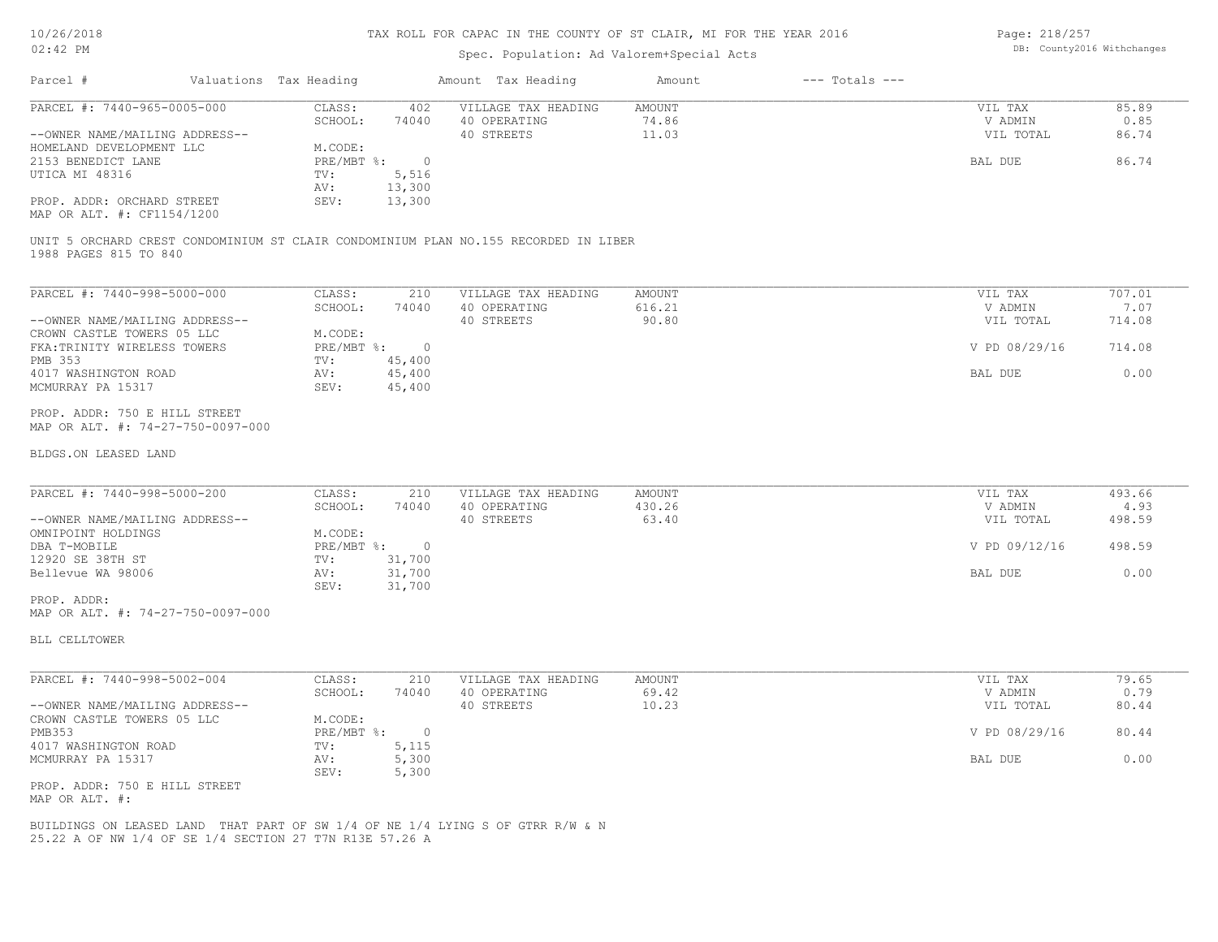#### Spec. Population: Ad Valorem+Special Acts

Page: 218/257 DB: County2016 Withchanges

| Parcel #                       | Valuations Tax Heading |        | Amount Tax Heading  | Amount | $---$ Totals $---$ |           |       |
|--------------------------------|------------------------|--------|---------------------|--------|--------------------|-----------|-------|
| PARCEL #: 7440-965-0005-000    | CLASS:                 | 402    | VILLAGE TAX HEADING | AMOUNT |                    | VIL TAX   | 85.89 |
|                                | SCHOOL:                | 74040  | 40 OPERATING        | 74.86  |                    | V ADMIN   | 0.85  |
| --OWNER NAME/MAILING ADDRESS-- |                        |        | 40 STREETS          | 11.03  |                    | VIL TOTAL | 86.74 |
| HOMELAND DEVELOPMENT LLC       | M.CODE:                |        |                     |        |                    |           |       |
| 2153 BENEDICT LANE             | $PRE/MBT$ %:           |        |                     |        |                    | BAL DUE   | 86.74 |
| UTICA MI 48316                 | TV:                    | 5,516  |                     |        |                    |           |       |
|                                | AV:                    | 13,300 |                     |        |                    |           |       |
| PROP. ADDR: ORCHARD STREET     | SEV:                   | 13,300 |                     |        |                    |           |       |

MAP OR ALT. #: CF1154/1200

1988 PAGES 815 TO 840 UNIT 5 ORCHARD CREST CONDOMINIUM ST CLAIR CONDOMINIUM PLAN NO.155 RECORDED IN LIBER

| PARCEL #: 7440-998-5000-000    | CLASS:     | 210    | VILLAGE TAX HEADING | AMOUNT | VIL TAX       | 707.01 |
|--------------------------------|------------|--------|---------------------|--------|---------------|--------|
|                                | SCHOOL:    | 74040  | 40 OPERATING        | 616.21 | V ADMIN       | 7.07   |
| --OWNER NAME/MAILING ADDRESS-- |            |        | 40 STREETS          | 90.80  | VIL TOTAL     | 714.08 |
| CROWN CASTLE TOWERS 05 LLC     | M.CODE:    |        |                     |        |               |        |
| FKA: TRINITY WIRELESS TOWERS   | PRE/MBT %: |        |                     |        | V PD 08/29/16 | 714.08 |
| PMB 353                        | TV:        | 45,400 |                     |        |               |        |
| 4017 WASHINGTON ROAD           | AV:        | 45,400 |                     |        | BAL DUE       | 0.00   |
| MCMURRAY PA 15317              | SEV:       | 45,400 |                     |        |               |        |

MAP OR ALT. #: 74-27-750-0097-000 PROP. ADDR: 750 E HILL STREET

#### BLDGS.ON LEASED LAND

| PARCEL #: 7440-998-5000-200    | CLASS:     | 210    | VILLAGE TAX HEADING | AMOUNT | VIL TAX       | 493.66 |
|--------------------------------|------------|--------|---------------------|--------|---------------|--------|
|                                | SCHOOL:    | 74040  | 40 OPERATING        | 430.26 | V ADMIN       | 4.93   |
| --OWNER NAME/MAILING ADDRESS-- |            |        | 40 STREETS          | 63.40  | VIL TOTAL     | 498.59 |
| OMNIPOINT HOLDINGS             | M.CODE:    |        |                     |        |               |        |
| DBA T-MOBILE                   | PRE/MBT %: |        |                     |        | V PD 09/12/16 | 498.59 |
| 12920 SE 38TH ST               | TV:        | 31,700 |                     |        |               |        |
| Bellevue WA 98006              | AV:        | 31,700 |                     |        | BAL DUE       | 0.00   |
|                                | SEV:       | 31,700 |                     |        |               |        |
| PROP. ADDR:                    |            |        |                     |        |               |        |

 $\mathcal{L}_\mathcal{L} = \mathcal{L}_\mathcal{L} = \mathcal{L}_\mathcal{L} = \mathcal{L}_\mathcal{L} = \mathcal{L}_\mathcal{L} = \mathcal{L}_\mathcal{L} = \mathcal{L}_\mathcal{L} = \mathcal{L}_\mathcal{L} = \mathcal{L}_\mathcal{L} = \mathcal{L}_\mathcal{L} = \mathcal{L}_\mathcal{L} = \mathcal{L}_\mathcal{L} = \mathcal{L}_\mathcal{L} = \mathcal{L}_\mathcal{L} = \mathcal{L}_\mathcal{L} = \mathcal{L}_\mathcal{L} = \mathcal{L}_\mathcal{L}$ 

MAP OR ALT. #: 74-27-750-0097-000

BLL CELLTOWER

| PARCEL #: 7440-998-5002-004    | CLASS:     | 210   | VILLAGE TAX HEADING | AMOUNT | VIL TAX       | 79.65 |
|--------------------------------|------------|-------|---------------------|--------|---------------|-------|
|                                | SCHOOL:    | 74040 | 40 OPERATING        | 69.42  | V ADMIN       | 0.79  |
| --OWNER NAME/MAILING ADDRESS-- |            |       | 40 STREETS          | 10.23  | VIL TOTAL     | 80.44 |
| CROWN CASTLE TOWERS 05 LLC     | M.CODE:    |       |                     |        |               |       |
| PMB353                         | PRE/MBT %: |       |                     |        | V PD 08/29/16 | 80.44 |
| 4017 WASHINGTON ROAD           | TV:        | 5,115 |                     |        |               |       |
| MCMURRAY PA 15317              | AV:        | 5,300 |                     |        | BAL DUE       | 0.00  |
|                                | SEV:       | 5,300 |                     |        |               |       |
| PROP. ADDR: 750 E HILL STREET  |            |       |                     |        |               |       |

MAP OR ALT. #:

25.22 A OF NW 1/4 OF SE 1/4 SECTION 27 T7N R13E 57.26 A BUILDINGS ON LEASED LAND THAT PART OF SW 1/4 OF NE 1/4 LYING S OF GTRR R/W & N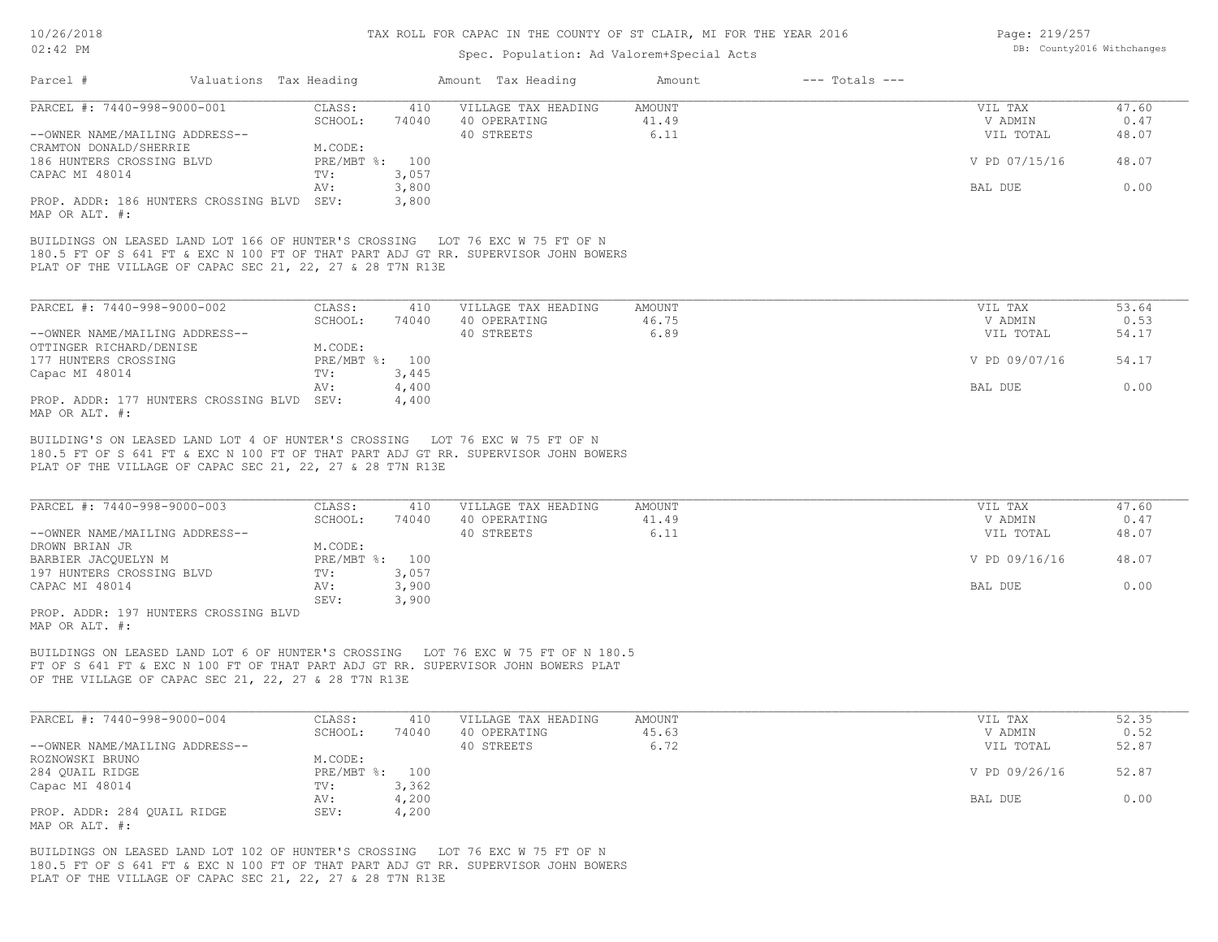#### Spec. Population: Ad Valorem+Special Acts

| Page: 219/257 |                            |
|---------------|----------------------------|
|               | DB: County2016 Withchanges |

| Parcel #                                                                                                                                                                                                                         | Valuations Tax Heading |                           |                | Amount Tax Heading                                | Amount                  | $---$ Totals $---$ |                                 |                        |
|----------------------------------------------------------------------------------------------------------------------------------------------------------------------------------------------------------------------------------|------------------------|---------------------------|----------------|---------------------------------------------------|-------------------------|--------------------|---------------------------------|------------------------|
| PARCEL #: 7440-998-9000-001<br>--OWNER NAME/MAILING ADDRESS--                                                                                                                                                                    |                        | CLASS:<br>SCHOOL:         | 410<br>74040   | VILLAGE TAX HEADING<br>40 OPERATING<br>40 STREETS | AMOUNT<br>41.49<br>6.11 |                    | VIL TAX<br>V ADMIN<br>VIL TOTAL | 47.60<br>0.47<br>48.07 |
| CRAMTON DONALD/SHERRIE<br>186 HUNTERS CROSSING BLVD<br>CAPAC MI 48014                                                                                                                                                            | TV:                    | M.CODE:<br>PRE/MBT %: 100 | 3,057          |                                                   |                         |                    | V PD 07/15/16                   | 48.07                  |
|                                                                                                                                                                                                                                  | AV:                    |                           | 3,800          |                                                   |                         |                    | BAL DUE                         | 0.00                   |
| PROP. ADDR: 186 HUNTERS CROSSING BLVD SEV:<br>MAP OR ALT. #:                                                                                                                                                                     |                        |                           | 3,800          |                                                   |                         |                    |                                 |                        |
| BUILDINGS ON LEASED LAND LOT 166 OF HUNTER'S CROSSING LOT 76 EXC W 75 FT OF N<br>180.5 FT OF S 641 FT & EXC N 100 FT OF THAT PART ADJ GT RR. SUPERVISOR JOHN BOWERS<br>PLAT OF THE VILLAGE OF CAPAC SEC 21, 22, 27 & 28 T7N R13E |                        |                           |                |                                                   |                         |                    |                                 |                        |
| PARCEL #: 7440-998-9000-002                                                                                                                                                                                                      |                        | CLASS:                    | 410            | VILLAGE TAX HEADING                               | AMOUNT                  |                    | VIL TAX                         | 53.64                  |
|                                                                                                                                                                                                                                  |                        | SCHOOL:                   | 74040          | 40 OPERATING                                      | 46.75                   |                    | V ADMIN                         | 0.53                   |
| --OWNER NAME/MAILING ADDRESS--                                                                                                                                                                                                   |                        |                           |                | 40 STREETS                                        | 6.89                    |                    | VIL TOTAL                       | 54.17                  |
| OTTINGER RICHARD/DENISE                                                                                                                                                                                                          |                        | M.CODE:                   |                |                                                   |                         |                    |                                 |                        |
| 177 HUNTERS CROSSING                                                                                                                                                                                                             |                        | PRE/MBT %: 100            |                |                                                   |                         |                    | V PD 09/07/16                   | 54.17                  |
| Capac MI 48014                                                                                                                                                                                                                   | TV:                    |                           | 3,445          |                                                   |                         |                    |                                 | 0.00                   |
| PROP. ADDR: 177 HUNTERS CROSSING BLVD SEV:<br>MAP OR ALT. #:                                                                                                                                                                     | AV:                    |                           | 4,400<br>4,400 |                                                   |                         |                    | BAL DUE                         |                        |
| BUILDING'S ON LEASED LAND LOT 4 OF HUNTER'S CROSSING LOT 76 EXC W 75 FT OF N<br>180.5 FT OF S 641 FT & EXC N 100 FT OF THAT PART ADJ GT RR. SUPERVISOR JOHN BOWERS<br>PLAT OF THE VILLAGE OF CAPAC SEC 21, 22, 27 & 28 T7N R13E  |                        |                           |                |                                                   |                         |                    |                                 |                        |
| PARCEL #: 7440-998-9000-003                                                                                                                                                                                                      |                        | CLASS:                    | 410            | VILLAGE TAX HEADING                               | AMOUNT                  |                    | VIL TAX                         | 47.60                  |
|                                                                                                                                                                                                                                  |                        | SCHOOL:                   | 74040          | 40 OPERATING                                      | 41.49                   |                    | V ADMIN                         | 0.47                   |
| --OWNER NAME/MAILING ADDRESS--                                                                                                                                                                                                   |                        |                           |                | 40 STREETS                                        | 6.11                    |                    | VIL TOTAL                       | 48.07                  |
| DROWN BRIAN JR                                                                                                                                                                                                                   |                        | M.CODE:                   |                |                                                   |                         |                    |                                 |                        |
| BARBIER JACOUELYN M                                                                                                                                                                                                              |                        | PRE/MBT %: 100            |                |                                                   |                         |                    | V PD 09/16/16                   | 48.07                  |
| 197 HUNTERS CROSSING BLVD                                                                                                                                                                                                        | TV:                    |                           | 3,057          |                                                   |                         |                    |                                 |                        |
| CAPAC MI 48014                                                                                                                                                                                                                   | AV:                    | SEV:                      | 3,900          |                                                   |                         |                    | BAL DUE                         | 0.00                   |
| PROP. ADDR: 197 HUNTERS CROSSING BLVD<br>MAP OR ALT. #:                                                                                                                                                                          |                        |                           | 3,900          |                                                   |                         |                    |                                 |                        |
| BUILDINGS ON LEASED LAND LOT 6 OF HUNTER'S CROSSING LLOT 76 EXC W 75 FT OF N 180.5                                                                                                                                               |                        |                           |                |                                                   |                         |                    |                                 |                        |

OF THE VILLAGE OF CAPAC SEC 21, 22, 27 & 28 T7N R13E FT OF S 641 FT & EXC N 100 FT OF THAT PART ADJ GT RR. SUPERVISOR JOHN BOWERS PLAT BUILDINGS ON LEASED LAND LOT 6 OF HUNTER'S CROSSING LOT 76 EXC W 75 FT OF N 180.5

| PARCEL #: 7440-998-9000-004    | CLASS:         | 410   | VILLAGE TAX HEADING | AMOUNT | VIL TAX       | 52.35 |
|--------------------------------|----------------|-------|---------------------|--------|---------------|-------|
|                                | SCHOOL:        | 74040 | 40 OPERATING        | 45.63  | V ADMIN       | 0.52  |
| --OWNER NAME/MAILING ADDRESS-- |                |       | 40 STREETS          | 6.72   | VIL TOTAL     | 52.87 |
| ROZNOWSKI BRUNO                | M.CODE:        |       |                     |        |               |       |
| 284 QUAIL RIDGE                | PRE/MBT %: 100 |       |                     |        | V PD 09/26/16 | 52.87 |
| Capac MI 48014                 | TV:            | 3,362 |                     |        |               |       |
|                                | AV:            | 4,200 |                     |        | BAL DUE       | 0.00  |
| PROP. ADDR: 284 QUAIL RIDGE    | SEV:           | 4,200 |                     |        |               |       |
| MAP OR ALT. #:                 |                |       |                     |        |               |       |

PLAT OF THE VILLAGE OF CAPAC SEC 21, 22, 27 & 28 T7N R13E 180.5 FT OF S 641 FT & EXC N 100 FT OF THAT PART ADJ GT RR. SUPERVISOR JOHN BOWERS BUILDINGS ON LEASED LAND LOT 102 OF HUNTER'S CROSSING LOT 76 EXC W 75 FT OF N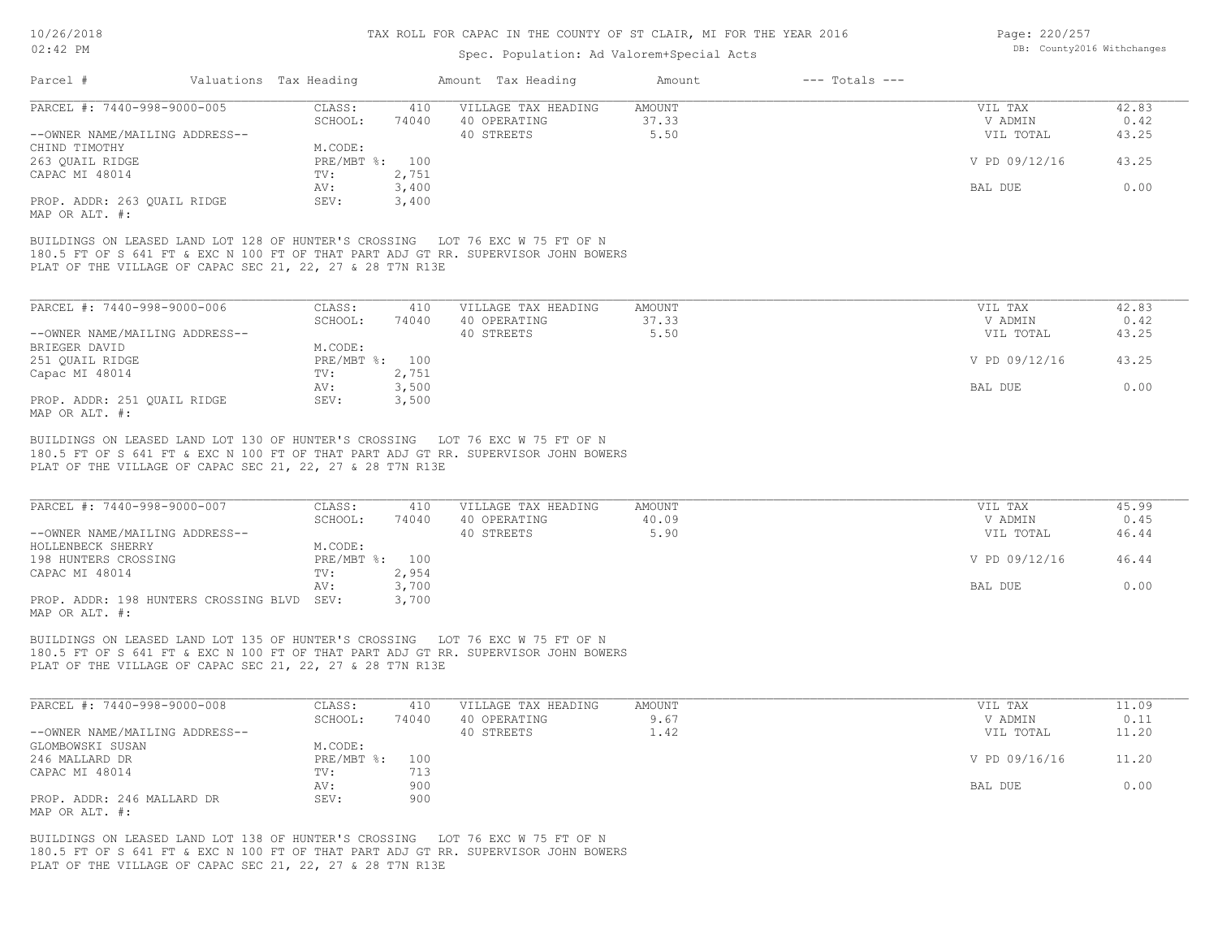#### Spec. Population: Ad Valorem+Special Acts

| Page: 220/257 |                            |
|---------------|----------------------------|
|               | DB: County2016 Withchanges |

| Parcel #                       | Valuations Tax Heading                                                             |                | Amount Tax Heading  | Amount | $---$ Totals $---$ |               |       |
|--------------------------------|------------------------------------------------------------------------------------|----------------|---------------------|--------|--------------------|---------------|-------|
| PARCEL #: 7440-998-9000-005    | CLASS:                                                                             | 410            | VILLAGE TAX HEADING | AMOUNT |                    | VIL TAX       | 42.83 |
|                                | SCHOOL:                                                                            | 74040          | 40 OPERATING        | 37.33  |                    | V ADMIN       | 0.42  |
| --OWNER NAME/MAILING ADDRESS-- |                                                                                    |                | 40 STREETS          | 5.50   |                    | VIL TOTAL     | 43.25 |
| CHIND TIMOTHY                  | M.CODE:                                                                            |                |                     |        |                    |               |       |
| 263 OUAIL RIDGE                |                                                                                    | PRE/MBT %: 100 |                     |        |                    | V PD 09/12/16 | 43.25 |
| CAPAC MI 48014                 | $TV$ :                                                                             | 2,751          |                     |        |                    |               |       |
|                                | AV:                                                                                | 3,400          |                     |        |                    | BAL DUE       | 0.00  |
| PROP. ADDR: 263 OUAIL RIDGE    | SEV:                                                                               | 3,400          |                     |        |                    |               |       |
| MAP OR ALT. #:                 |                                                                                    |                |                     |        |                    |               |       |
|                                |                                                                                    |                |                     |        |                    |               |       |
|                                | BUILDINGS ON LEASED LAND LOT 128 OF HUNTER'S CROSSING LOT 76 EXC W 75 FT OF N      |                |                     |        |                    |               |       |
|                                | 180.5 FT OF S 641 FT & EXC N 100 FT OF THAT PART ADJ GT RR. SUPERVISOR JOHN BOWERS |                |                     |        |                    |               |       |
|                                | PLAT OF THE VILLAGE OF CAPAC SEC 21, 22, 27 & 28 T7N R13E                          |                |                     |        |                    |               |       |
|                                |                                                                                    |                |                     |        |                    |               |       |
|                                |                                                                                    |                |                     |        |                    |               |       |
| PARCEL #: 7440-998-9000-006    | CLASS:                                                                             | 410            | VILLAGE TAX HEADING | AMOUNT |                    | VIL TAX       | 42.83 |
|                                | SCHOOL:                                                                            | 74040          | 40 OPERATING        | 37.33  |                    | V ADMIN       | 0.42  |
| --OWNER NAME/MAILING ADDRESS-- |                                                                                    |                | 40 STREETS          | 5.50   |                    | VIL TOTAL     |       |
|                                |                                                                                    |                |                     |        |                    |               | 43.25 |
| BRIEGER DAVID                  | M.CODE:                                                                            |                |                     |        |                    |               |       |
| 251 OUAIL RIDGE                |                                                                                    | PRE/MBT %: 100 |                     |        |                    | V PD 09/12/16 | 43.25 |
| Capac MI 48014                 | TV:                                                                                | 2,751          |                     |        |                    |               |       |
|                                | AV:                                                                                | 3,500          |                     |        |                    | BAL DUE       | 0.00  |
| PROP. ADDR: 251 OUAIL RIDGE    | SEV:                                                                               | 3,500          |                     |        |                    |               |       |
| MAP OR ALT. #:                 |                                                                                    |                |                     |        |                    |               |       |
|                                |                                                                                    |                |                     |        |                    |               |       |
|                                | BUILDINGS ON LEASED LAND LOT 130 OF HUNTER'S CROSSING LOT 76 EXC W 75 FT OF N      |                |                     |        |                    |               |       |
|                                | 180.5 FT OF S 641 FT & EXC N 100 FT OF THAT PART ADJ GT RR. SUPERVISOR JOHN BOWERS |                |                     |        |                    |               |       |
|                                | PLAT OF THE VILLAGE OF CAPAC SEC 21, 22, 27 & 28 T7N R13E                          |                |                     |        |                    |               |       |
|                                |                                                                                    |                |                     |        |                    |               |       |
|                                |                                                                                    |                |                     |        |                    |               |       |
| PARCEL #: 7440-998-9000-007    | CLASS:                                                                             | 410            | VILLAGE TAX HEADING | AMOUNT |                    | VIL TAX       | 45.99 |
|                                | SCHOOL:                                                                            | 74040          | 40 OPERATING        | 40.09  |                    | V ADMIN       | 0.45  |
| --OWNER NAME/MAILING ADDRESS-- |                                                                                    |                | 40 STREETS          | 5.90   |                    | VIL TOTAL     | 46.44 |
| HOLLENBECK SHERRY              | M.CODE:                                                                            |                |                     |        |                    |               |       |
| 198 HUNTERS CROSSING           |                                                                                    | PRE/MBT %: 100 |                     |        |                    | V PD 09/12/16 | 46.44 |
| CAPAC MI 48014                 | TV:                                                                                | 2,954          |                     |        |                    |               |       |
|                                | AV:                                                                                | 3,700          |                     |        |                    | BAL DUE       | 0.00  |
|                                |                                                                                    |                |                     |        |                    |               |       |

MAP OR ALT. #: PROP. ADDR: 198 HUNTERS CROSSING BLVD SEV: 3,700

PLAT OF THE VILLAGE OF CAPAC SEC 21, 22, 27 & 28 T7N R13E 180.5 FT OF S 641 FT & EXC N 100 FT OF THAT PART ADJ GT RR. SUPERVISOR JOHN BOWERS BUILDINGS ON LEASED LAND LOT 135 OF HUNTER'S CROSSING LOT 76 EXC W 75 FT OF N

| PARCEL #: 7440-998-9000-008    | CLASS:         | 410   | VILLAGE TAX HEADING | AMOUNT | VIL TAX       | 11.09 |
|--------------------------------|----------------|-------|---------------------|--------|---------------|-------|
|                                | SCHOOL:        | 74040 | 40 OPERATING        | 9.67   | V ADMIN       | 0.11  |
| --OWNER NAME/MAILING ADDRESS-- |                |       | 40 STREETS          | 1.42   | VIL TOTAL     | 11.20 |
| GLOMBOWSKI SUSAN               | M.CODE:        |       |                     |        |               |       |
| 246 MALLARD DR                 | PRE/MBT %: 100 |       |                     |        | V PD 09/16/16 | 11.20 |
| CAPAC MI 48014                 | TV:            | 713   |                     |        |               |       |
|                                | AV:            | 900   |                     |        | BAL DUE       | 0.00  |
| PROP. ADDR: 246 MALLARD DR     | SEV:           | 900   |                     |        |               |       |
| MAP OR ALT. #:                 |                |       |                     |        |               |       |

PLAT OF THE VILLAGE OF CAPAC SEC 21, 22, 27 & 28 T7N R13E 180.5 FT OF S 641 FT & EXC N 100 FT OF THAT PART ADJ GT RR. SUPERVISOR JOHN BOWERS BUILDINGS ON LEASED LAND LOT 138 OF HUNTER'S CROSSING LOT 76 EXC W 75 FT OF N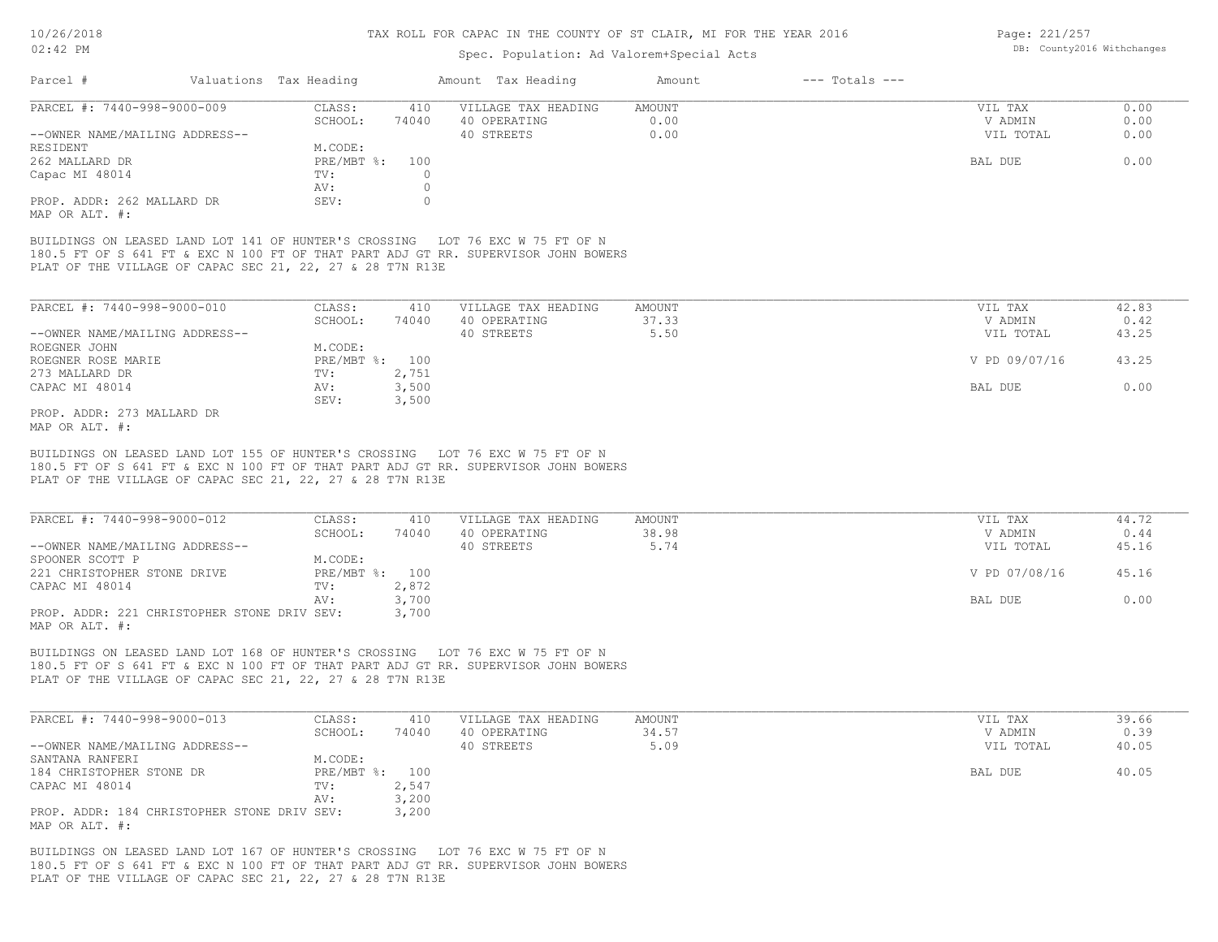#### Spec. Population: Ad Valorem+Special Acts

Page: 221/257 DB: County2016 Withchanges

| Parcel #                                     | Valuations Tax Heading |       | Amount Tax Heading  | Amount | $---$ Totals $---$ |           |      |
|----------------------------------------------|------------------------|-------|---------------------|--------|--------------------|-----------|------|
| PARCEL #: 7440-998-9000-009                  | CLASS:                 | 410   | VILLAGE TAX HEADING | AMOUNT |                    | VIL TAX   | 0.00 |
|                                              | SCHOOL:                | 74040 | 40 OPERATING        | 0.00   |                    | V ADMIN   | 0.00 |
| --OWNER NAME/MAILING ADDRESS--               |                        |       | 40 STREETS          | 0.00   |                    | VIL TOTAL | 0.00 |
| RESIDENT                                     | M.CODE:                |       |                     |        |                    |           |      |
| 262 MALLARD DR                               | PRE/MBT %: 100         |       |                     |        |                    | BAL DUE   | 0.00 |
| Capac MI 48014                               | TV:                    |       |                     |        |                    |           |      |
|                                              | AV:                    |       |                     |        |                    |           |      |
| PROP. ADDR: 262 MALLARD DR<br>MAP OR ALT. #: | SEV:                   |       |                     |        |                    |           |      |

PLAT OF THE VILLAGE OF CAPAC SEC 21, 22, 27 & 28 T7N R13E 180.5 FT OF S 641 FT & EXC N 100 FT OF THAT PART ADJ GT RR. SUPERVISOR JOHN BOWERS BUILDINGS ON LEASED LAND LOT 141 OF HUNTER'S CROSSING LOT 76 EXC W 75 FT OF N

| PARCEL #: 7440-998-9000-010    | CLASS:  | 410            | VILLAGE TAX HEADING | AMOUNT | VIL TAX       | 42.83 |
|--------------------------------|---------|----------------|---------------------|--------|---------------|-------|
|                                | SCHOOL: | 74040          | 40 OPERATING        | 37.33  | V ADMIN       | 0.42  |
| --OWNER NAME/MAILING ADDRESS-- |         |                | 40 STREETS          | 5.50   | VIL TOTAL     | 43.25 |
| ROEGNER JOHN                   | M.CODE: |                |                     |        |               |       |
| ROEGNER ROSE MARIE             |         | PRE/MBT %: 100 |                     |        | V PD 09/07/16 | 43.25 |
| 273 MALLARD DR                 | TV:     | 2,751          |                     |        |               |       |
| CAPAC MI 48014                 | AV:     | 3,500          |                     |        | BAL DUE       | 0.00  |
|                                | SEV:    | 3,500          |                     |        |               |       |
| PROP. ADDR: 273 MALLARD DR     |         |                |                     |        |               |       |

MAP OR ALT. #:

PLAT OF THE VILLAGE OF CAPAC SEC 21, 22, 27 & 28 T7N R13E 180.5 FT OF S 641 FT & EXC N 100 FT OF THAT PART ADJ GT RR. SUPERVISOR JOHN BOWERS BUILDINGS ON LEASED LAND LOT 155 OF HUNTER'S CROSSING LOT 76 EXC W 75 FT OF N

| PARCEL #: 7440-998-9000-012                 | CLASS:         | 410   | VILLAGE TAX HEADING | AMOUNT | VIL TAX       | 44.72 |
|---------------------------------------------|----------------|-------|---------------------|--------|---------------|-------|
|                                             | SCHOOL:        | 74040 | 40 OPERATING        | 38.98  | V ADMIN       | 0.44  |
| --OWNER NAME/MAILING ADDRESS--              |                |       | 40 STREETS          | 5.74   | VIL TOTAL     | 45.16 |
| SPOONER SCOTT P                             | M.CODE:        |       |                     |        |               |       |
| 221 CHRISTOPHER STONE DRIVE                 | PRE/MBT %: 100 |       |                     |        | V PD 07/08/16 | 45.16 |
| CAPAC MI 48014                              | TV:            | 2,872 |                     |        |               |       |
|                                             | AV:            | 3,700 |                     |        | BAL DUE       | 0.00  |
| PROP. ADDR: 221 CHRISTOPHER STONE DRIV SEV: |                | 3,700 |                     |        |               |       |
| MAP OR ALT. #:                              |                |       |                     |        |               |       |

PLAT OF THE VILLAGE OF CAPAC SEC 21, 22, 27 & 28 T7N R13E 180.5 FT OF S 641 FT & EXC N 100 FT OF THAT PART ADJ GT RR. SUPERVISOR JOHN BOWERS BUILDINGS ON LEASED LAND LOT 168 OF HUNTER'S CROSSING LOT 76 EXC W 75 FT OF N

| PARCEL #: 7440-998-9000-013                 | CLASS:         | 410   | VILLAGE TAX HEADING | AMOUNT | VIL TAX   | 39.66 |
|---------------------------------------------|----------------|-------|---------------------|--------|-----------|-------|
|                                             | SCHOOL:        | 74040 | 40 OPERATING        | 34.57  | V ADMIN   | 0.39  |
| --OWNER NAME/MAILING ADDRESS--              |                |       | 40 STREETS          | 5.09   | VIL TOTAL | 40.05 |
| SANTANA RANFERI                             | M.CODE:        |       |                     |        |           |       |
| 184 CHRISTOPHER STONE DR                    | PRE/MBT %: 100 |       |                     |        | BAL DUE   | 40.05 |
| CAPAC MI 48014                              | TV:            | 2,547 |                     |        |           |       |
|                                             | AV:            | 3,200 |                     |        |           |       |
| PROP. ADDR: 184 CHRISTOPHER STONE DRIV SEV: |                | 3,200 |                     |        |           |       |
| MAP OR ALT. #:                              |                |       |                     |        |           |       |

PLAT OF THE VILLAGE OF CAPAC SEC 21, 22, 27 & 28 T7N R13E 180.5 FT OF S 641 FT & EXC N 100 FT OF THAT PART ADJ GT RR. SUPERVISOR JOHN BOWERS BUILDINGS ON LEASED LAND LOT 167 OF HUNTER'S CROSSING LOT 76 EXC W 75 FT OF N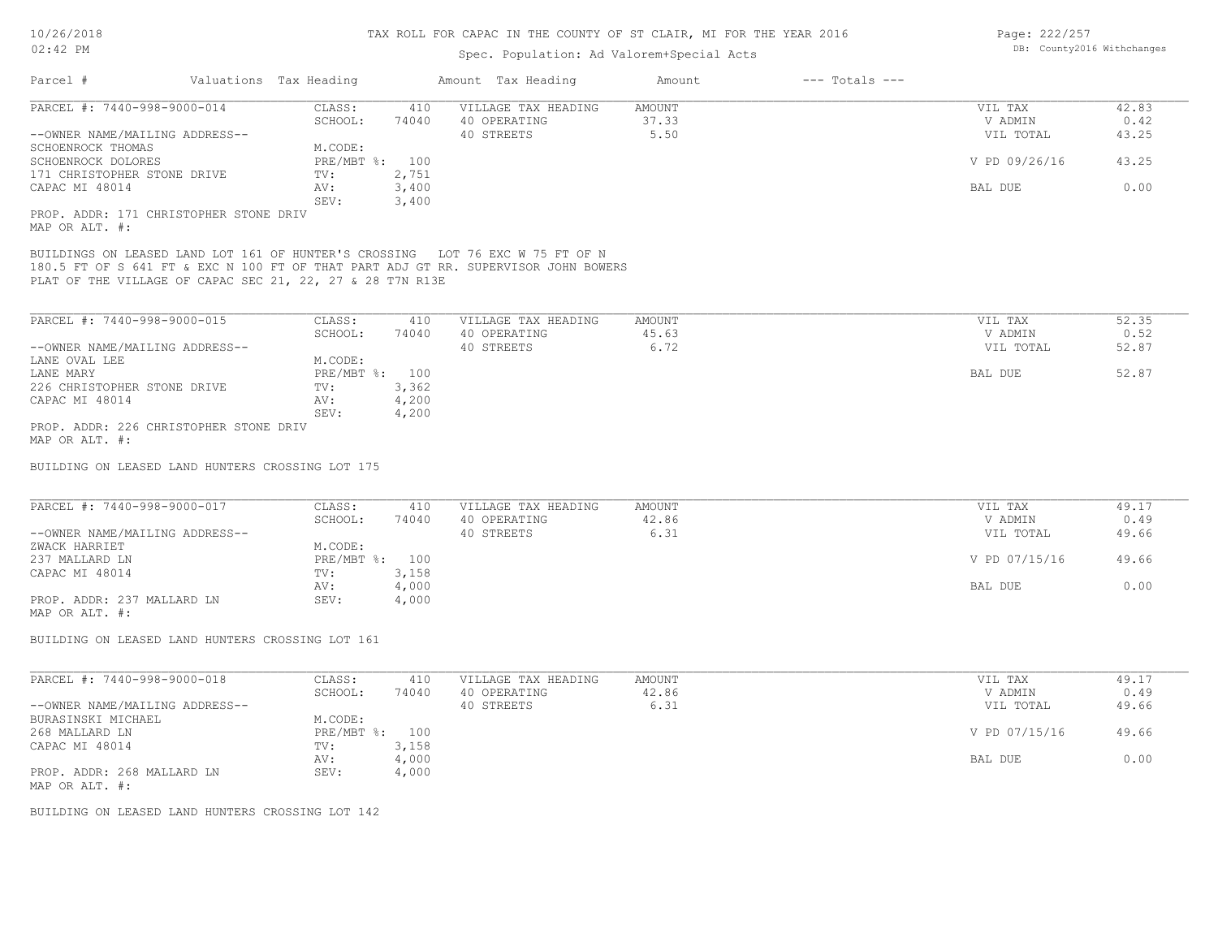## Spec. Population: Ad Valorem+Special Acts

| Page: 222/257 |                            |
|---------------|----------------------------|
|               | DB: County2016 Withchanges |

| Parcel #                                                                                                                                   | Valuations Tax Heading |                | Amount Tax Heading                                                                 | Amount          | $---$ Totals $---$ |                    |               |
|--------------------------------------------------------------------------------------------------------------------------------------------|------------------------|----------------|------------------------------------------------------------------------------------|-----------------|--------------------|--------------------|---------------|
| PARCEL #: 7440-998-9000-014                                                                                                                | CLASS:<br>SCHOOL:      | 410<br>74040   | VILLAGE TAX HEADING<br>40 OPERATING                                                | AMOUNT<br>37.33 |                    | VIL TAX<br>V ADMIN | 42.83<br>0.42 |
| --OWNER NAME/MAILING ADDRESS--<br>SCHOENROCK THOMAS                                                                                        | M.CODE:                |                | 40 STREETS                                                                         | 5.50            |                    | VIL TOTAL          | 43.25         |
| SCHOENROCK DOLORES<br>171 CHRISTOPHER STONE DRIVE                                                                                          | PRE/MBT %: 100<br>TV:  | 2,751          |                                                                                    |                 |                    | V PD 09/26/16      | 43.25         |
| CAPAC MI 48014                                                                                                                             | AV:<br>SEV:            | 3,400<br>3,400 |                                                                                    |                 |                    | BAL DUE            | 0.00          |
| PROP. ADDR: 171 CHRISTOPHER STONE DRIV<br>MAP OR ALT. #:                                                                                   |                        |                |                                                                                    |                 |                    |                    |               |
| BUILDINGS ON LEASED LAND LOT 161 OF HUNTER'S CROSSING LOT 76 EXC W 75 FT OF N<br>PLAT OF THE VILLAGE OF CAPAC SEC 21, 22, 27 & 28 T7N R13E |                        |                | 180.5 FT OF S 641 FT & EXC N 100 FT OF THAT PART ADJ GT RR. SUPERVISOR JOHN BOWERS |                 |                    |                    |               |
| PARCEL #: 7440-998-9000-015                                                                                                                | CLASS:                 | 410            | VILLAGE TAX HEADING                                                                | AMOUNT          |                    | VIL TAX            | 52.35         |
|                                                                                                                                            | SCHOOL:                | 74040          | 40 OPERATING                                                                       | 45.63           |                    | V ADMIN            | 0.52          |
| --OWNER NAME/MAILING ADDRESS--                                                                                                             |                        |                | 40 STREETS                                                                         | 6.72            |                    | VIL TOTAL          | 52.87         |
| LANE OVAL LEE                                                                                                                              | M.CODE:                |                |                                                                                    |                 |                    |                    |               |
| LANE MARY                                                                                                                                  | PRE/MBT %: 100         |                |                                                                                    |                 |                    | BAL DUE            | 52.87         |
| 226 CHRISTOPHER STONE DRIVE                                                                                                                | TV:                    | 3,362          |                                                                                    |                 |                    |                    |               |
| CAPAC MI 48014                                                                                                                             | AV:<br>SEV:            | 4,200<br>4,200 |                                                                                    |                 |                    |                    |               |
| PROP. ADDR: 226 CHRISTOPHER STONE DRIV<br>MAP OR ALT. #:                                                                                   |                        |                |                                                                                    |                 |                    |                    |               |
| BUILDING ON LEASED LAND HUNTERS CROSSING LOT 175                                                                                           |                        |                |                                                                                    |                 |                    |                    |               |
| PARCEL #: 7440-998-9000-017                                                                                                                | CLASS:                 | 410            | VILLAGE TAX HEADING                                                                | AMOUNT          |                    | VIL TAX            | 49.17         |
|                                                                                                                                            | SCHOOL:                | 74040          | 40 OPERATING                                                                       | 42.86           |                    | V ADMIN            | 0.49          |
| --OWNER NAME/MAILING ADDRESS--                                                                                                             |                        |                | 40 STREETS                                                                         | 6.31            |                    | VIL TOTAL          | 49.66         |
| ZWACK HARRIET                                                                                                                              | M.CODE:                |                |                                                                                    |                 |                    |                    |               |
| 237 MALLARD LN                                                                                                                             | PRE/MBT %: 100         |                |                                                                                    |                 |                    | V PD 07/15/16      | 49.66         |
| CAPAC MI 48014                                                                                                                             | TV:                    | 3,158          |                                                                                    |                 |                    |                    |               |
|                                                                                                                                            | AV:                    | 4,000          |                                                                                    |                 |                    | BAL DUE            | 0.00          |
| PROP. ADDR: 237 MALLARD LN<br>MAP OR ALT. #:                                                                                               | SEV:                   | 4,000          |                                                                                    |                 |                    |                    |               |
| BUILDING ON LEASED LAND HUNTERS CROSSING LOT 161                                                                                           |                        |                |                                                                                    |                 |                    |                    |               |
| PARCEL #: 7440-998-9000-018                                                                                                                | CLASS:                 | 410            | VILLAGE TAX HEADING                                                                | AMOUNT          |                    | VIL TAX            | 49.17         |
|                                                                                                                                            | SCHOOL:                | 74040          | 40 OPERATING                                                                       | 42.86           |                    | V ADMIN            | 0.49          |
| --OWNER NAME/MAILING ADDRESS--                                                                                                             |                        |                | 40 STREETS                                                                         | 6.31            |                    | VIL TOTAL          | 49.66         |
| BURASINSKI MICHAEL                                                                                                                         | M.CODE:                |                |                                                                                    |                 |                    |                    |               |
| 268 MALLARD LN                                                                                                                             | PRE/MBT %: 100         |                |                                                                                    |                 |                    | V PD 07/15/16      | 49.66         |
| CAPAC MI 48014                                                                                                                             | TV:                    | 3,158          |                                                                                    |                 |                    |                    |               |
|                                                                                                                                            | AV:                    | 4,000          |                                                                                    |                 |                    | BAL DUE            | 0.00          |
| PROP. ADDR: 268 MALLARD LN<br>MAP OR ALT. #:                                                                                               | SEV:                   | 4,000          |                                                                                    |                 |                    |                    |               |

BUILDING ON LEASED LAND HUNTERS CROSSING LOT 142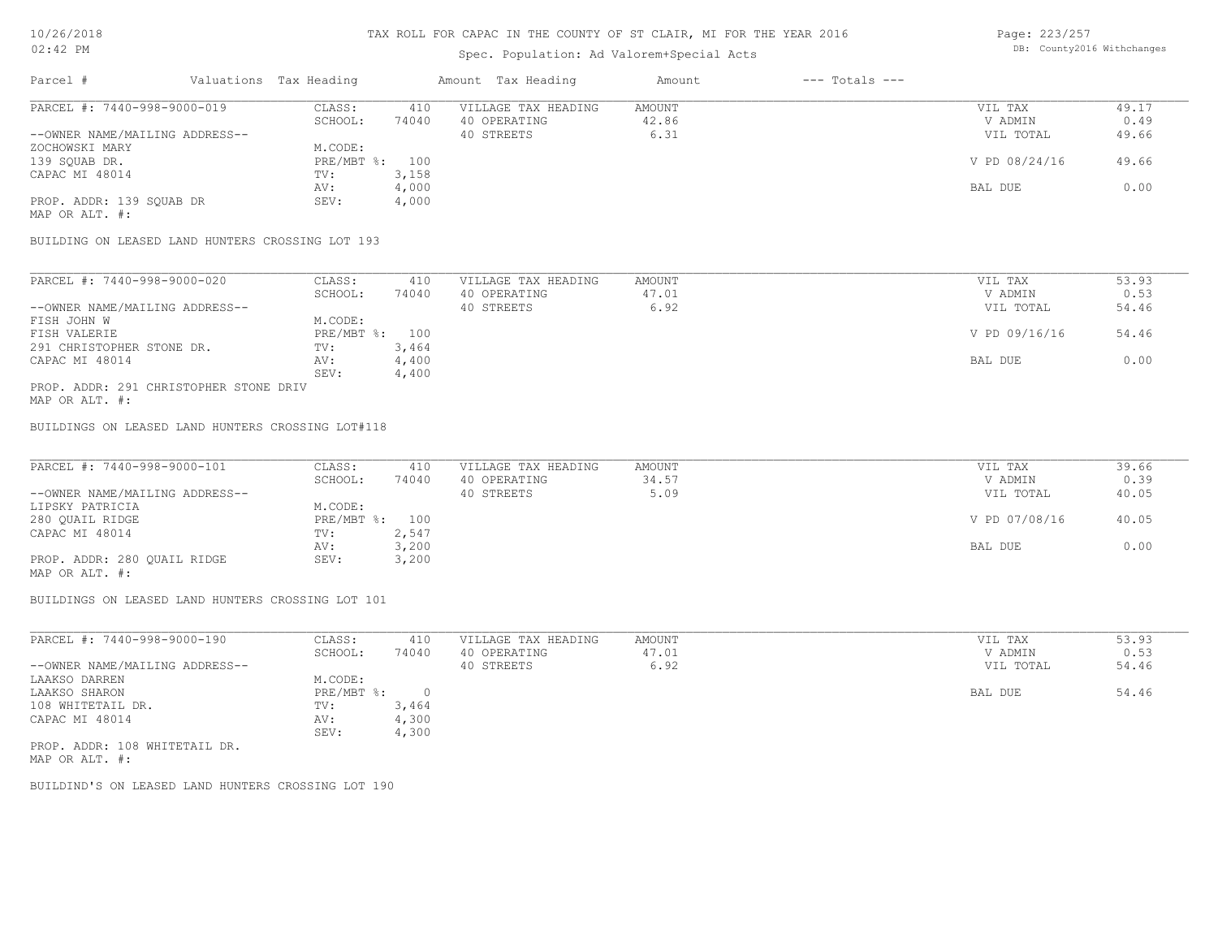## Spec. Population: Ad Valorem+Special Acts

Page: 223/257 DB: County2016 Withchanges

| Parcel #                       | Valuations Tax Heading |       | Amount Tax Heading  | Amount | $---$ Totals $---$ |               |       |
|--------------------------------|------------------------|-------|---------------------|--------|--------------------|---------------|-------|
| PARCEL #: 7440-998-9000-019    | CLASS:                 | 410   | VILLAGE TAX HEADING | AMOUNT |                    | VIL TAX       | 49.17 |
|                                | SCHOOL:                | 74040 | 40 OPERATING        | 42.86  |                    | V ADMIN       | 0.49  |
| --OWNER NAME/MAILING ADDRESS-- |                        |       | 40 STREETS          | 6.31   |                    | VIL TOTAL     | 49.66 |
| ZOCHOWSKI MARY                 | M.CODE:                |       |                     |        |                    |               |       |
| 139 SQUAB DR.                  | PRE/MBT %: 100         |       |                     |        |                    | V PD 08/24/16 | 49.66 |
| CAPAC MI 48014                 | TV:                    | 3,158 |                     |        |                    |               |       |
|                                | AV:                    | 4,000 |                     |        |                    | BAL DUE       | 0.00  |
| PROP. ADDR: 139 SQUAB DR       | SEV:                   | 4,000 |                     |        |                    |               |       |
| MAP OR ALT. #:                 |                        |       |                     |        |                    |               |       |

BUILDING ON LEASED LAND HUNTERS CROSSING LOT 193

| PARCEL #: 7440-998-9000-020            | CLASS:       | 410   | VILLAGE TAX HEADING | AMOUNT | VIL TAX       | 53.93 |
|----------------------------------------|--------------|-------|---------------------|--------|---------------|-------|
|                                        | SCHOOL:      | 74040 | 40 OPERATING        | 47.01  | V ADMIN       | 0.53  |
| --OWNER NAME/MAILING ADDRESS--         |              |       | 40 STREETS          | 6.92   | VIL TOTAL     | 54.46 |
| FISH JOHN W                            | M.CODE:      |       |                     |        |               |       |
| FISH VALERIE                           | $PRE/MBT$ %: | 100   |                     |        | V PD 09/16/16 | 54.46 |
| 291 CHRISTOPHER STONE DR.              | TV:          | 3,464 |                     |        |               |       |
| CAPAC MI 48014                         | AV:          | 4,400 |                     |        | BAL DUE       | 0.00  |
|                                        | SEV:         | 4,400 |                     |        |               |       |
| PROP. ADDR: 291 CHRISTOPHER STONE DRIV |              |       |                     |        |               |       |

MAP OR ALT. #:

BUILDINGS ON LEASED LAND HUNTERS CROSSING LOT#118

| PARCEL #: 7440-998-9000-101    | CLASS:         | 410   | VILLAGE TAX HEADING | AMOUNT | VIL TAX       | 39.66 |
|--------------------------------|----------------|-------|---------------------|--------|---------------|-------|
|                                | SCHOOL:        | 74040 | 40 OPERATING        | 34.57  | V ADMIN       | 0.39  |
| --OWNER NAME/MAILING ADDRESS-- |                |       | 40 STREETS          | 5.09   | VIL TOTAL     | 40.05 |
| LIPSKY PATRICIA                | M.CODE:        |       |                     |        |               |       |
| 280 QUAIL RIDGE                | PRE/MBT %: 100 |       |                     |        | V PD 07/08/16 | 40.05 |
| CAPAC MI 48014                 | TV:            | 2,547 |                     |        |               |       |
|                                | AV:            | 3,200 |                     |        | BAL DUE       | 0.00  |
| PROP. ADDR: 280 QUAIL RIDGE    | SEV:           | 3,200 |                     |        |               |       |
|                                |                |       |                     |        |               |       |

MAP OR ALT. #:

BUILDINGS ON LEASED LAND HUNTERS CROSSING LOT 101

| PARCEL #: 7440-998-9000-190    | CLASS:     | 410   | VILLAGE TAX HEADING | AMOUNT | VIL TAX   | 53.93 |
|--------------------------------|------------|-------|---------------------|--------|-----------|-------|
|                                | SCHOOL:    | 74040 | 40 OPERATING        | 47.01  | V ADMIN   | 0.53  |
| --OWNER NAME/MAILING ADDRESS-- |            |       | 40 STREETS          | 6.92   | VIL TOTAL | 54.46 |
| LAAKSO DARREN                  | M.CODE:    |       |                     |        |           |       |
| LAAKSO SHARON                  | PRE/MBT %: |       |                     |        | BAL DUE   | 54.46 |
| 108 WHITETAIL DR.              | TV:        | 3,464 |                     |        |           |       |
| CAPAC MI 48014                 | AV:        | 4,300 |                     |        |           |       |
|                                | SEV:       | 4,300 |                     |        |           |       |
| PROP. ADDR: 108 WHITETAIL DR.  |            |       |                     |        |           |       |

MAP OR ALT. #:

BUILDIND'S ON LEASED LAND HUNTERS CROSSING LOT 190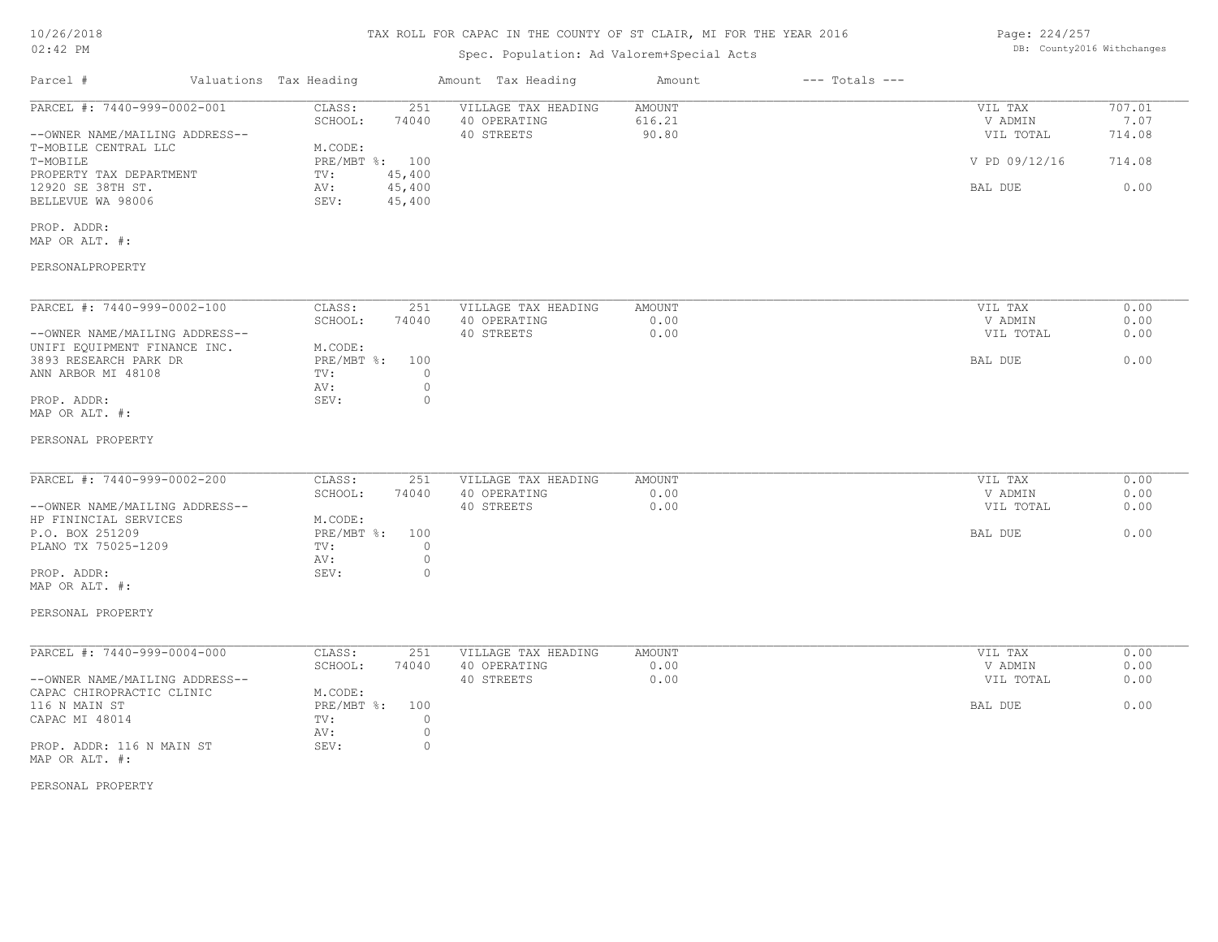# 10/26/2018

#### TAX ROLL FOR CAPAC IN THE COUNTY OF ST CLAIR, MI FOR THE YEAR 2016

| Page: 224/257 |                            |
|---------------|----------------------------|
|               | DB: County2016 Withchanges |

| Parcel #<br>Valuations Tax Heading<br>Amount Tax Heading<br>Amount<br>$---$ Totals $---$<br>PARCEL #: 7440-999-0002-001<br>CLASS:<br>VILLAGE TAX HEADING<br>VIL TAX<br>251<br>AMOUNT<br>616.21<br>V ADMIN<br>SCHOOL:<br>74040<br>40 OPERATING<br>--OWNER NAME/MAILING ADDRESS--<br>40 STREETS<br>90.80<br>VIL TOTAL<br>T-MOBILE CENTRAL LLC<br>M.CODE:<br>T-MOBILE<br>PRE/MBT %: 100<br>V PD 09/12/16<br>45,400<br>PROPERTY TAX DEPARTMENT<br>TV:<br>45,400<br>12920 SE 38TH ST.<br>AV:<br>BAL DUE<br>45,400<br>BELLEVUE WA 98006<br>SEV:<br>PROP. ADDR:<br>MAP OR ALT. #:<br>PERSONALPROPERTY<br>PARCEL #: 7440-999-0002-100<br>CLASS:<br>251<br>VILLAGE TAX HEADING<br><b>AMOUNT</b><br>VIL TAX<br>40 OPERATING<br>SCHOOL:<br>74040<br>0.00<br>V ADMIN<br>0.00<br>0.00<br>--OWNER NAME/MAILING ADDRESS--<br>40 STREETS<br>VIL TOTAL<br>UNIFI EQUIPMENT FINANCE INC.<br>M.CODE:<br>3893 RESEARCH PARK DR<br>$PRE/MBT$ $\div$<br>BAL DUE<br>100<br>ANN ARBOR MI 48108<br>TV:<br>$\circ$<br>$\circ$<br>AV:<br>$\circ$<br>PROP. ADDR:<br>SEV:<br>MAP OR ALT. #:<br>PERSONAL PROPERTY<br>PARCEL #: 7440-999-0002-200<br>CLASS:<br>VILLAGE TAX HEADING<br><b>AMOUNT</b><br>VIL TAX<br>251<br>SCHOOL:<br>0.00<br>0.00<br>74040<br>40 OPERATING<br>V ADMIN<br>--OWNER NAME/MAILING ADDRESS--<br>40 STREETS<br>0.00<br>VIL TOTAL<br>HP FININCIAL SERVICES<br>M.CODE:<br>P.O. BOX 251209<br>PRE/MBT %:<br>100<br>BAL DUE<br>$\circ$<br>PLANO TX 75025-1209<br>TV:<br>$\circ$<br>AV:<br>$\circ$<br>PROP. ADDR:<br>SEV:<br>MAP OR ALT. #:<br>PERSONAL PROPERTY<br>PARCEL #: 7440-999-0004-000<br>VILLAGE TAX HEADING<br>CLASS:<br>251<br>AMOUNT<br>VIL TAX<br>0.00<br>0.00<br>SCHOOL:<br>74040<br>40 OPERATING<br>V ADMIN<br>40 STREETS<br>0.00<br>--OWNER NAME/MAILING ADDRESS--<br>VIL TOTAL<br>CAPAC CHIROPRACTIC CLINIC<br>M.CODE:<br>$PRE/MBT$ $\div$<br>116 N MAIN ST<br>100<br>BAL DUE<br>$\circ$<br>CAPAC MI 48014<br>TV:<br>$\circledcirc$<br>AV:<br>$\circ$<br>SEV:<br>PROP. ADDR: 116 N MAIN ST<br>MAP OR ALT. #:<br>PERSONAL PROPERTY | $02:42$ PM | Spec. Population: Ad Valorem+Special Acts |  | DB: County2016 Withchanges |
|-----------------------------------------------------------------------------------------------------------------------------------------------------------------------------------------------------------------------------------------------------------------------------------------------------------------------------------------------------------------------------------------------------------------------------------------------------------------------------------------------------------------------------------------------------------------------------------------------------------------------------------------------------------------------------------------------------------------------------------------------------------------------------------------------------------------------------------------------------------------------------------------------------------------------------------------------------------------------------------------------------------------------------------------------------------------------------------------------------------------------------------------------------------------------------------------------------------------------------------------------------------------------------------------------------------------------------------------------------------------------------------------------------------------------------------------------------------------------------------------------------------------------------------------------------------------------------------------------------------------------------------------------------------------------------------------------------------------------------------------------------------------------------------------------------------------------------------------------------------------------------------------------------------------------------------------------------------------------------------------------------------------------------------------|------------|-------------------------------------------|--|----------------------------|
|                                                                                                                                                                                                                                                                                                                                                                                                                                                                                                                                                                                                                                                                                                                                                                                                                                                                                                                                                                                                                                                                                                                                                                                                                                                                                                                                                                                                                                                                                                                                                                                                                                                                                                                                                                                                                                                                                                                                                                                                                                         |            |                                           |  |                            |
|                                                                                                                                                                                                                                                                                                                                                                                                                                                                                                                                                                                                                                                                                                                                                                                                                                                                                                                                                                                                                                                                                                                                                                                                                                                                                                                                                                                                                                                                                                                                                                                                                                                                                                                                                                                                                                                                                                                                                                                                                                         |            |                                           |  | 707.01<br>7.07<br>714.08   |
|                                                                                                                                                                                                                                                                                                                                                                                                                                                                                                                                                                                                                                                                                                                                                                                                                                                                                                                                                                                                                                                                                                                                                                                                                                                                                                                                                                                                                                                                                                                                                                                                                                                                                                                                                                                                                                                                                                                                                                                                                                         |            |                                           |  | 714.08                     |
|                                                                                                                                                                                                                                                                                                                                                                                                                                                                                                                                                                                                                                                                                                                                                                                                                                                                                                                                                                                                                                                                                                                                                                                                                                                                                                                                                                                                                                                                                                                                                                                                                                                                                                                                                                                                                                                                                                                                                                                                                                         |            |                                           |  | 0.00                       |
|                                                                                                                                                                                                                                                                                                                                                                                                                                                                                                                                                                                                                                                                                                                                                                                                                                                                                                                                                                                                                                                                                                                                                                                                                                                                                                                                                                                                                                                                                                                                                                                                                                                                                                                                                                                                                                                                                                                                                                                                                                         |            |                                           |  |                            |
|                                                                                                                                                                                                                                                                                                                                                                                                                                                                                                                                                                                                                                                                                                                                                                                                                                                                                                                                                                                                                                                                                                                                                                                                                                                                                                                                                                                                                                                                                                                                                                                                                                                                                                                                                                                                                                                                                                                                                                                                                                         |            |                                           |  |                            |
|                                                                                                                                                                                                                                                                                                                                                                                                                                                                                                                                                                                                                                                                                                                                                                                                                                                                                                                                                                                                                                                                                                                                                                                                                                                                                                                                                                                                                                                                                                                                                                                                                                                                                                                                                                                                                                                                                                                                                                                                                                         |            |                                           |  | 0.00                       |
|                                                                                                                                                                                                                                                                                                                                                                                                                                                                                                                                                                                                                                                                                                                                                                                                                                                                                                                                                                                                                                                                                                                                                                                                                                                                                                                                                                                                                                                                                                                                                                                                                                                                                                                                                                                                                                                                                                                                                                                                                                         |            |                                           |  | 0.00                       |
|                                                                                                                                                                                                                                                                                                                                                                                                                                                                                                                                                                                                                                                                                                                                                                                                                                                                                                                                                                                                                                                                                                                                                                                                                                                                                                                                                                                                                                                                                                                                                                                                                                                                                                                                                                                                                                                                                                                                                                                                                                         |            |                                           |  | 0.00                       |
|                                                                                                                                                                                                                                                                                                                                                                                                                                                                                                                                                                                                                                                                                                                                                                                                                                                                                                                                                                                                                                                                                                                                                                                                                                                                                                                                                                                                                                                                                                                                                                                                                                                                                                                                                                                                                                                                                                                                                                                                                                         |            |                                           |  |                            |
|                                                                                                                                                                                                                                                                                                                                                                                                                                                                                                                                                                                                                                                                                                                                                                                                                                                                                                                                                                                                                                                                                                                                                                                                                                                                                                                                                                                                                                                                                                                                                                                                                                                                                                                                                                                                                                                                                                                                                                                                                                         |            |                                           |  |                            |
|                                                                                                                                                                                                                                                                                                                                                                                                                                                                                                                                                                                                                                                                                                                                                                                                                                                                                                                                                                                                                                                                                                                                                                                                                                                                                                                                                                                                                                                                                                                                                                                                                                                                                                                                                                                                                                                                                                                                                                                                                                         |            |                                           |  | 0.00                       |
|                                                                                                                                                                                                                                                                                                                                                                                                                                                                                                                                                                                                                                                                                                                                                                                                                                                                                                                                                                                                                                                                                                                                                                                                                                                                                                                                                                                                                                                                                                                                                                                                                                                                                                                                                                                                                                                                                                                                                                                                                                         |            |                                           |  | 0.00                       |
|                                                                                                                                                                                                                                                                                                                                                                                                                                                                                                                                                                                                                                                                                                                                                                                                                                                                                                                                                                                                                                                                                                                                                                                                                                                                                                                                                                                                                                                                                                                                                                                                                                                                                                                                                                                                                                                                                                                                                                                                                                         |            |                                           |  | 0.00                       |
|                                                                                                                                                                                                                                                                                                                                                                                                                                                                                                                                                                                                                                                                                                                                                                                                                                                                                                                                                                                                                                                                                                                                                                                                                                                                                                                                                                                                                                                                                                                                                                                                                                                                                                                                                                                                                                                                                                                                                                                                                                         |            |                                           |  |                            |
|                                                                                                                                                                                                                                                                                                                                                                                                                                                                                                                                                                                                                                                                                                                                                                                                                                                                                                                                                                                                                                                                                                                                                                                                                                                                                                                                                                                                                                                                                                                                                                                                                                                                                                                                                                                                                                                                                                                                                                                                                                         |            |                                           |  |                            |
|                                                                                                                                                                                                                                                                                                                                                                                                                                                                                                                                                                                                                                                                                                                                                                                                                                                                                                                                                                                                                                                                                                                                                                                                                                                                                                                                                                                                                                                                                                                                                                                                                                                                                                                                                                                                                                                                                                                                                                                                                                         |            |                                           |  | 0.00                       |
|                                                                                                                                                                                                                                                                                                                                                                                                                                                                                                                                                                                                                                                                                                                                                                                                                                                                                                                                                                                                                                                                                                                                                                                                                                                                                                                                                                                                                                                                                                                                                                                                                                                                                                                                                                                                                                                                                                                                                                                                                                         |            |                                           |  | 0.00                       |
|                                                                                                                                                                                                                                                                                                                                                                                                                                                                                                                                                                                                                                                                                                                                                                                                                                                                                                                                                                                                                                                                                                                                                                                                                                                                                                                                                                                                                                                                                                                                                                                                                                                                                                                                                                                                                                                                                                                                                                                                                                         |            |                                           |  | 0.00                       |
|                                                                                                                                                                                                                                                                                                                                                                                                                                                                                                                                                                                                                                                                                                                                                                                                                                                                                                                                                                                                                                                                                                                                                                                                                                                                                                                                                                                                                                                                                                                                                                                                                                                                                                                                                                                                                                                                                                                                                                                                                                         |            |                                           |  |                            |
|                                                                                                                                                                                                                                                                                                                                                                                                                                                                                                                                                                                                                                                                                                                                                                                                                                                                                                                                                                                                                                                                                                                                                                                                                                                                                                                                                                                                                                                                                                                                                                                                                                                                                                                                                                                                                                                                                                                                                                                                                                         |            |                                           |  |                            |
|                                                                                                                                                                                                                                                                                                                                                                                                                                                                                                                                                                                                                                                                                                                                                                                                                                                                                                                                                                                                                                                                                                                                                                                                                                                                                                                                                                                                                                                                                                                                                                                                                                                                                                                                                                                                                                                                                                                                                                                                                                         |            |                                           |  |                            |
|                                                                                                                                                                                                                                                                                                                                                                                                                                                                                                                                                                                                                                                                                                                                                                                                                                                                                                                                                                                                                                                                                                                                                                                                                                                                                                                                                                                                                                                                                                                                                                                                                                                                                                                                                                                                                                                                                                                                                                                                                                         |            |                                           |  |                            |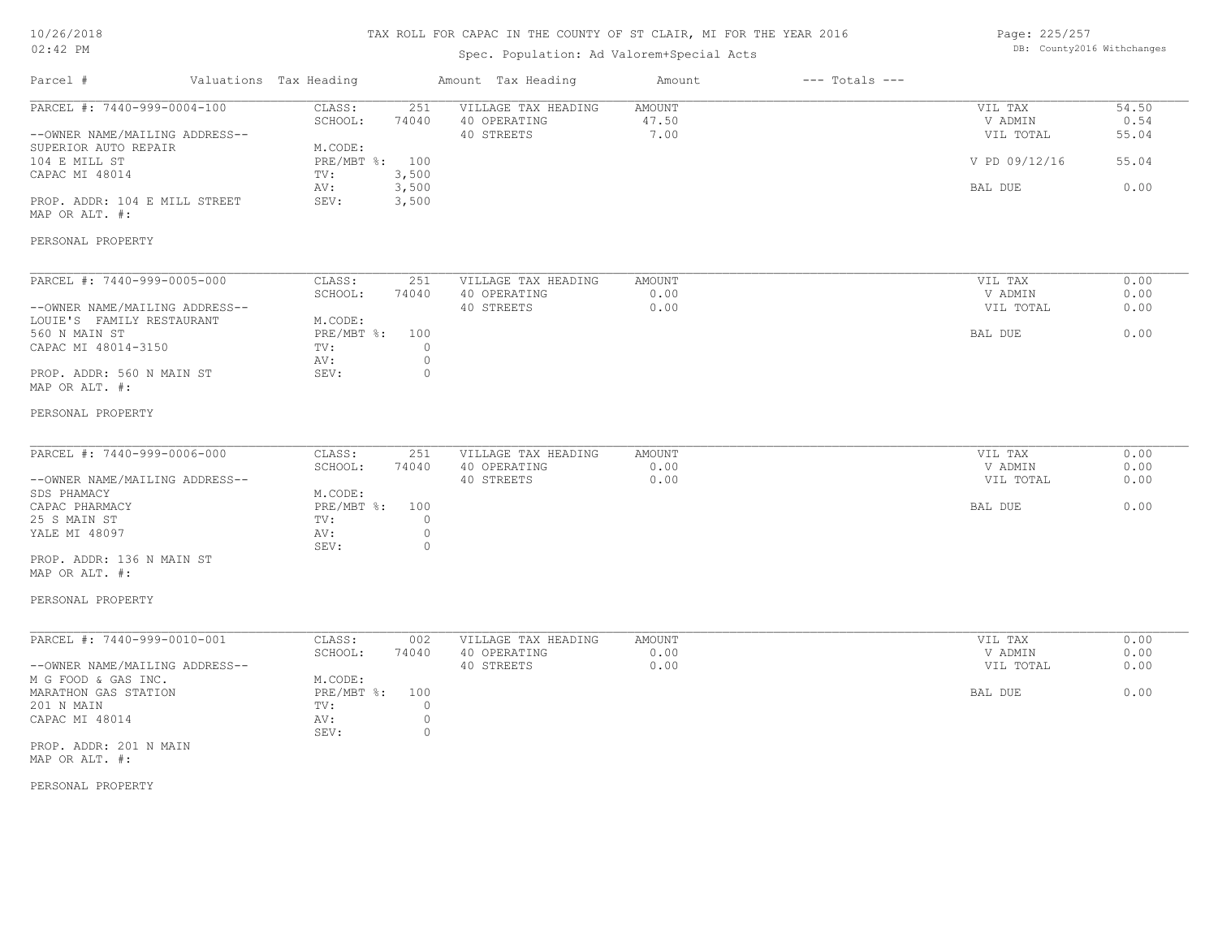## TAX ROLL FOR CAPAC IN THE COUNTY OF ST CLAIR, MI FOR THE YEAR 2016

# Spec. Population: Ad Valorem+Special Acts

Page: 225/257 DB: County2016 Withchanges

| Parcel #                                                                                                                                                                                               | Valuations Tax Heading                                                                                          | Amount Tax Heading                                                                 | Amount                         | $---$ Totals $---$ |                                                             |                                         |
|--------------------------------------------------------------------------------------------------------------------------------------------------------------------------------------------------------|-----------------------------------------------------------------------------------------------------------------|------------------------------------------------------------------------------------|--------------------------------|--------------------|-------------------------------------------------------------|-----------------------------------------|
| PARCEL #: 7440-999-0004-100<br>--OWNER NAME/MAILING ADDRESS--<br>SUPERIOR AUTO REPAIR<br>104 E MILL ST<br>CAPAC MI 48014<br>PROP. ADDR: 104 E MILL STREET<br>MAP OR ALT. #:<br>PERSONAL PROPERTY       | CLASS:<br>251<br>SCHOOL:<br>74040<br>M.CODE:<br>PRE/MBT %: 100<br>3,500<br>TV:<br>AV:<br>3,500<br>SEV:<br>3,500 | VILLAGE TAX HEADING<br>40 OPERATING<br>40 STREETS                                  | <b>AMOUNT</b><br>47.50<br>7.00 |                    | VIL TAX<br>V ADMIN<br>VIL TOTAL<br>V PD 09/12/16<br>BAL DUE | 54.50<br>0.54<br>55.04<br>55.04<br>0.00 |
| PARCEL #: 7440-999-0005-000<br>--OWNER NAME/MAILING ADDRESS--<br>LOUIE'S FAMILY RESTAURANT<br>560 N MAIN ST<br>CAPAC MI 48014-3150<br>PROP. ADDR: 560 N MAIN ST<br>MAP OR ALT. #:<br>PERSONAL PROPERTY | CLASS:<br>251<br>SCHOOL:<br>74040<br>M.CODE:<br>PRE/MBT %:<br>100<br>TV:<br>AV:<br>SEV:                         | VILLAGE TAX HEADING<br>40 OPERATING<br>40 STREETS<br>$\circ$<br>$\circ$<br>$\circ$ | <b>AMOUNT</b><br>0.00<br>0.00  |                    | VIL TAX<br>V ADMIN<br>VIL TOTAL<br>BAL DUE                  | 0.00<br>0.00<br>0.00<br>0.00            |
| PARCEL #: 7440-999-0006-000<br>--OWNER NAME/MAILING ADDRESS--<br>SDS PHAMACY<br>CAPAC PHARMACY<br>25 S MAIN ST<br>YALE MI 48097<br>PROP. ADDR: 136 N MAIN ST<br>MAP OR ALT. #:<br>PERSONAL PROPERTY    | CLASS:<br>251<br>SCHOOL:<br>74040<br>M.CODE:<br>$PRE/MBT$ $\div$<br>100<br>TV:<br>AV:<br>SEV:                   | VILLAGE TAX HEADING<br>40 OPERATING<br>40 STREETS<br>$\circ$<br>$\circ$<br>$\circ$ | AMOUNT<br>0.00<br>0.00         |                    | VIL TAX<br>V ADMIN<br>VIL TOTAL<br>BAL DUE                  | 0.00<br>0.00<br>0.00<br>0.00            |
| PARCEL #: 7440-999-0010-001<br>--OWNER NAME/MAILING ADDRESS--<br>M G FOOD & GAS INC.<br>MARATHON GAS STATION<br>201 N MAIN<br>CAPAC MI 48014<br>PROP. ADDR: 201 N MAIN<br>MAP OR ALT. #:               | CLASS:<br>002<br>SCHOOL:<br>74040<br>M.CODE:<br>$PRE/MBT$ $\div$<br>100<br>TV:<br>AV:<br>SEV:                   | VILLAGE TAX HEADING<br>40 OPERATING<br>40 STREETS<br>$\circ$<br>$\circ$<br>$\circ$ | AMOUNT<br>0.00<br>0.00         |                    | VIL TAX<br>V ADMIN<br>VIL TOTAL<br>BAL DUE                  | 0.00<br>0.00<br>0.00<br>0.00            |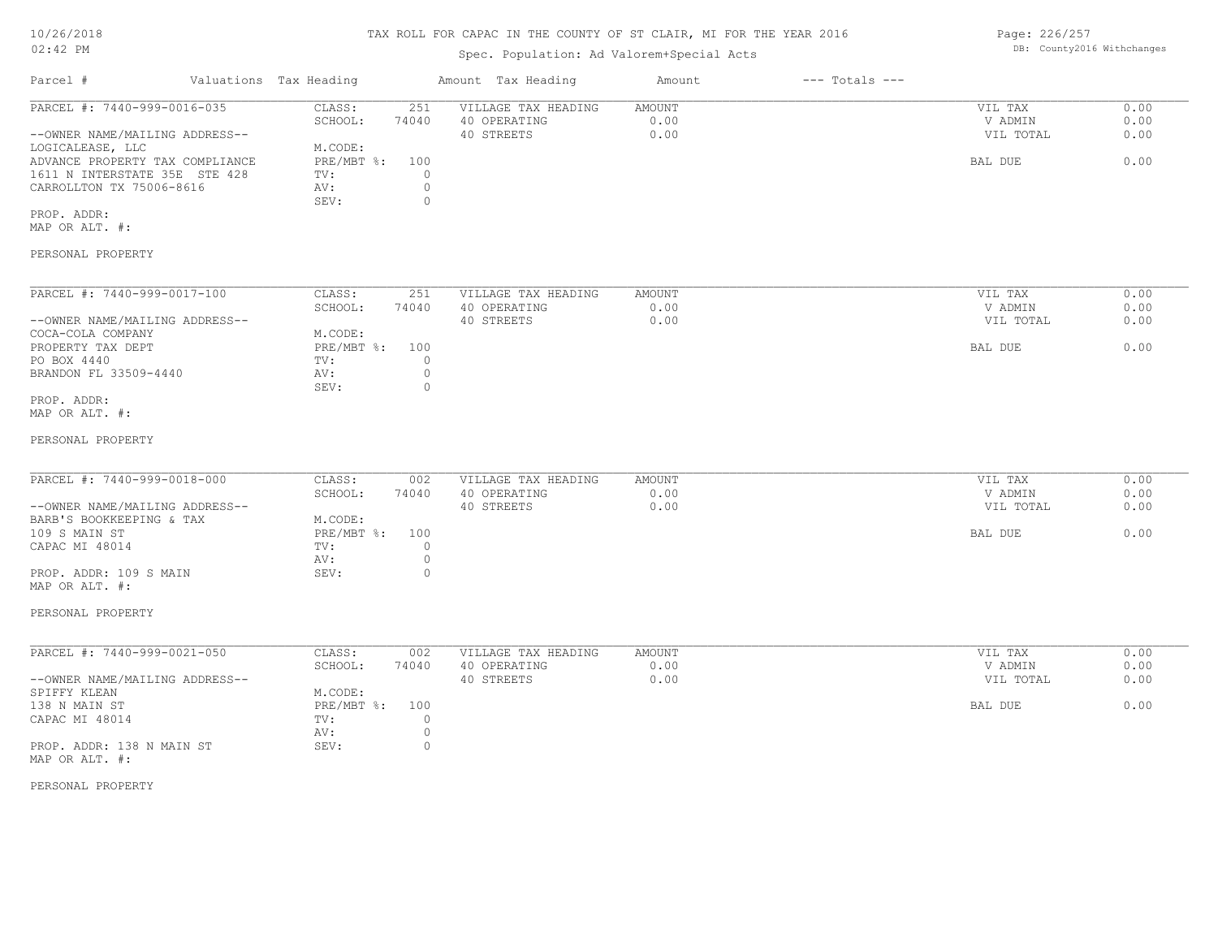## TAX ROLL FOR CAPAC IN THE COUNTY OF ST CLAIR, MI FOR THE YEAR 2016

# Spec. Population: Ad Valorem+Special Acts

| Parcel #                        | Valuations Tax Heading | Amount Tax Heading |                     | Amount | $---$ Totals $---$ |           |      |  |
|---------------------------------|------------------------|--------------------|---------------------|--------|--------------------|-----------|------|--|
| PARCEL #: 7440-999-0016-035     | CLASS:                 | 251                | VILLAGE TAX HEADING | AMOUNT |                    | VIL TAX   | 0.00 |  |
|                                 | SCHOOL:                | 74040              | 40 OPERATING        | 0.00   |                    | V ADMIN   | 0.00 |  |
| --OWNER NAME/MAILING ADDRESS--  |                        |                    | 40 STREETS          | 0.00   |                    | VIL TOTAL | 0.00 |  |
| LOGICALEASE, LLC                | M.CODE:                |                    |                     |        |                    |           |      |  |
| ADVANCE PROPERTY TAX COMPLIANCE | PRE/MBT %: 100         |                    |                     |        |                    | BAL DUE   | 0.00 |  |
| 1611 N INTERSTATE 35E STE 428   | TV:                    |                    |                     |        |                    |           |      |  |
| CARROLLTON TX 75006-8616        | AV:                    |                    |                     |        |                    |           |      |  |
|                                 | SEV:                   |                    |                     |        |                    |           |      |  |
| PROP. ADDR:                     |                        |                    |                     |        |                    |           |      |  |

MAP OR ALT. #:

PERSONAL PROPERTY

| PARCEL #: 7440-999-0017-100    | CLASS:     | 251   | VILLAGE TAX HEADING | AMOUNT | VIL TAX   | 0.00 |
|--------------------------------|------------|-------|---------------------|--------|-----------|------|
|                                | SCHOOL:    | 74040 | 40 OPERATING        | 0.00   | V ADMIN   | 0.00 |
| --OWNER NAME/MAILING ADDRESS-- |            |       | 40 STREETS          | 0.00   | VIL TOTAL | 0.00 |
| COCA-COLA COMPANY              | M.CODE:    |       |                     |        |           |      |
| PROPERTY TAX DEPT              | PRE/MBT %: | 100   |                     |        | BAL DUE   | 0.00 |
| PO BOX 4440                    | TV:        |       |                     |        |           |      |
| BRANDON FL 33509-4440          | AV:        |       |                     |        |           |      |
|                                | SEV:       |       |                     |        |           |      |
| PROP. ADDR:                    |            |       |                     |        |           |      |

MAP OR ALT. #:

#### PERSONAL PROPERTY

| PARCEL #: 7440-999-0018-000    | CLASS:         | 002   | VILLAGE TAX HEADING | AMOUNT | VIL TAX   | 0.00 |
|--------------------------------|----------------|-------|---------------------|--------|-----------|------|
|                                | SCHOOL:        | 74040 | 40 OPERATING        | 0.00   | V ADMIN   | 0.00 |
| --OWNER NAME/MAILING ADDRESS-- |                |       | 40 STREETS          | 0.00   | VIL TOTAL | 0.00 |
| BARB'S BOOKKEEPING & TAX       | M.CODE:        |       |                     |        |           |      |
| 109 S MAIN ST                  | PRE/MBT %: 100 |       |                     |        | BAL DUE   | 0.00 |
| CAPAC MI 48014                 | TV:            |       |                     |        |           |      |
|                                | AV:            |       |                     |        |           |      |
| PROP. ADDR: 109 S MAIN         | SEV:           |       |                     |        |           |      |
| MAP OR ALT. #:                 |                |       |                     |        |           |      |

#### PERSONAL PROPERTY

| PARCEL #: 7440-999-0021-050    | CLASS:     | 002   | VILLAGE TAX HEADING | AMOUNT | VIL TAX   | 0.00 |
|--------------------------------|------------|-------|---------------------|--------|-----------|------|
|                                | SCHOOL:    | 74040 | 40 OPERATING        | 0.00   | V ADMIN   | 0.00 |
| --OWNER NAME/MAILING ADDRESS-- |            |       | 40 STREETS          | 0.00   | VIL TOTAL | 0.00 |
| SPIFFY KLEAN                   | M.CODE:    |       |                     |        |           |      |
| 138 N MAIN ST                  | PRE/MBT %: | 100   |                     |        | BAL DUE   | 0.00 |
| CAPAC MI 48014                 | TV:        |       |                     |        |           |      |
|                                | AV:        |       |                     |        |           |      |
| PROP. ADDR: 138 N MAIN ST      | SEV:       |       |                     |        |           |      |
| MAP OR ALT. #:                 |            |       |                     |        |           |      |

PERSONAL PROPERTY

Page: 226/257 DB: County2016 Withchanges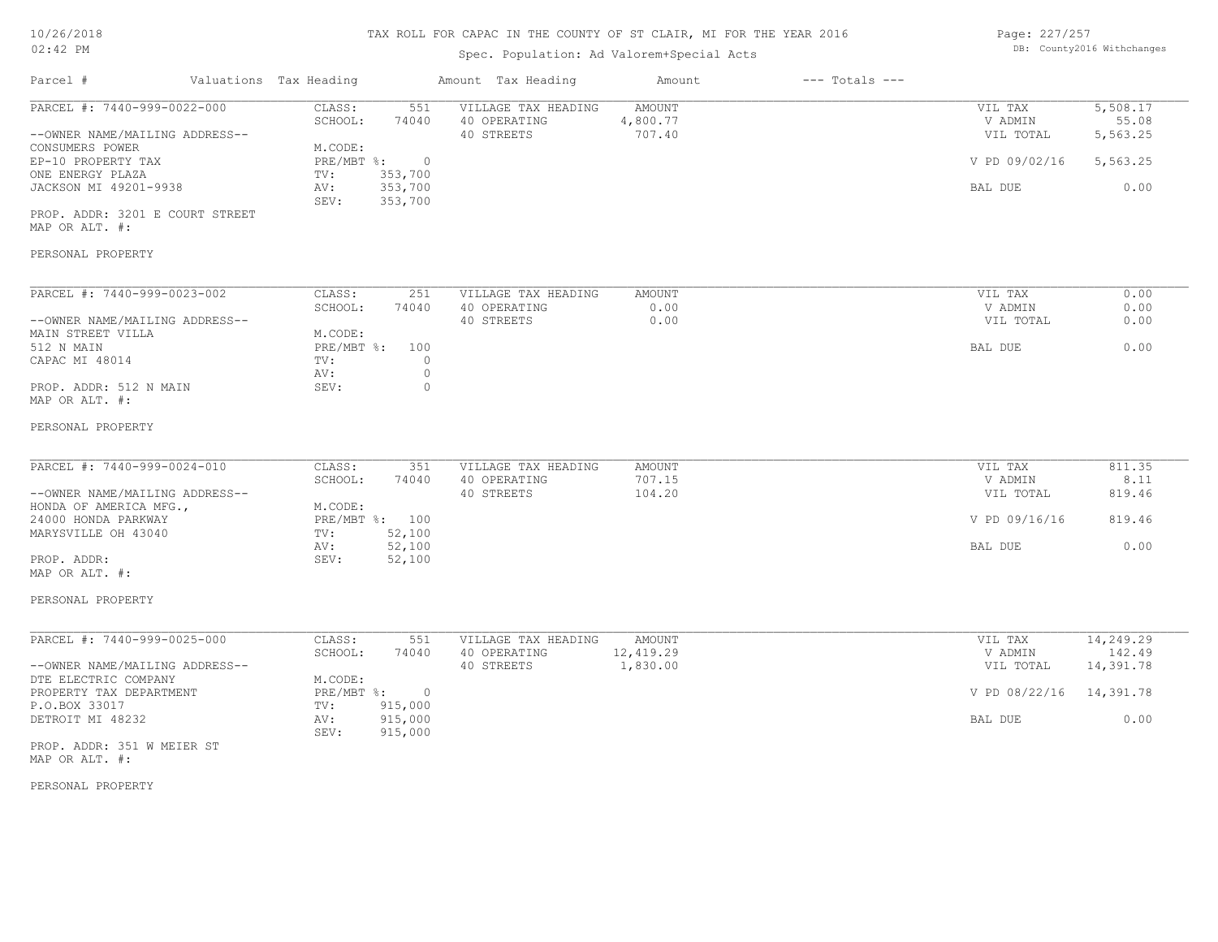# Spec. Population: Ad Valorem+Special Acts

| Page: 227/257 |                            |
|---------------|----------------------------|
|               | DB: County2016 Withchanges |

| Parcel #                                                      | Valuations Tax Heading                              | Amount Tax Heading                                | Amount                       | $---$ Totals $---$ |                                 |                               |
|---------------------------------------------------------------|-----------------------------------------------------|---------------------------------------------------|------------------------------|--------------------|---------------------------------|-------------------------------|
| PARCEL #: 7440-999-0022-000<br>--OWNER NAME/MAILING ADDRESS-- | CLASS:<br>551<br>SCHOOL:<br>74040                   | VILLAGE TAX HEADING<br>40 OPERATING<br>40 STREETS | AMOUNT<br>4,800.77<br>707.40 |                    | VIL TAX<br>V ADMIN<br>VIL TOTAL | 5,508.17<br>55.08<br>5,563.25 |
| CONSUMERS POWER<br>EP-10 PROPERTY TAX                         | M.CODE:<br>PRE/MBT %: 0                             |                                                   |                              |                    | V PD 09/02/16                   | 5,563.25                      |
| ONE ENERGY PLAZA<br>JACKSON MI 49201-9938                     | 353,700<br>TV:<br>353,700<br>AV:<br>SEV:<br>353,700 |                                                   |                              |                    | BAL DUE                         | 0.00                          |
| PROP. ADDR: 3201 E COURT STREET<br>MAP OR ALT. #:             |                                                     |                                                   |                              |                    |                                 |                               |
| PERSONAL PROPERTY                                             |                                                     |                                                   |                              |                    |                                 |                               |
| PARCEL #: 7440-999-0023-002                                   | CLASS:<br>251                                       | VILLAGE TAX HEADING                               | AMOUNT                       |                    | VIL TAX                         | 0.00                          |
| --OWNER NAME/MAILING ADDRESS--                                | SCHOOL:<br>74040                                    | 40 OPERATING<br>40 STREETS                        | 0.00<br>0.00                 |                    | V ADMIN<br>VIL TOTAL            | 0.00<br>0.00                  |
| MAIN STREET VILLA                                             | M.CODE:                                             |                                                   |                              |                    |                                 |                               |
| 512 N MAIN                                                    | PRE/MBT %: 100                                      |                                                   |                              |                    | BAL DUE                         | 0.00                          |
| CAPAC MI 48014                                                | $\circ$<br>TV:<br>$\circ$<br>AV:                    |                                                   |                              |                    |                                 |                               |
| PROP. ADDR: 512 N MAIN<br>MAP OR ALT. #:                      | $\circ$<br>SEV:                                     |                                                   |                              |                    |                                 |                               |
| PERSONAL PROPERTY                                             |                                                     |                                                   |                              |                    |                                 |                               |
| PARCEL #: 7440-999-0024-010                                   | CLASS:<br>351                                       | VILLAGE TAX HEADING                               | AMOUNT                       |                    | VIL TAX                         | 811.35                        |
| --OWNER NAME/MAILING ADDRESS--                                | SCHOOL:<br>74040                                    | 40 OPERATING<br>40 STREETS                        | 707.15<br>104.20             |                    | V ADMIN<br>VIL TOTAL            | 8.11<br>819.46                |
| HONDA OF AMERICA MFG.,                                        | M.CODE:                                             |                                                   |                              |                    |                                 |                               |
| 24000 HONDA PARKWAY                                           | PRE/MBT %: 100                                      |                                                   |                              |                    | V PD 09/16/16                   | 819.46                        |
| MARYSVILLE OH 43040                                           | TV:<br>52,100<br>AV:                                |                                                   |                              |                    | BAL DUE                         | 0.00                          |
| PROP. ADDR:                                                   | 52,100<br>52,100<br>SEV:                            |                                                   |                              |                    |                                 |                               |
| MAP OR ALT. #:                                                |                                                     |                                                   |                              |                    |                                 |                               |
| PERSONAL PROPERTY                                             |                                                     |                                                   |                              |                    |                                 |                               |
| PARCEL #: 7440-999-0025-000                                   | CLASS:<br>551                                       | VILLAGE TAX HEADING                               | AMOUNT                       |                    | VIL TAX                         | 14, 249.29                    |
|                                                               | SCHOOL:<br>74040                                    | 40 OPERATING                                      | 12,419.29                    |                    | V ADMIN                         | 142.49                        |
| --OWNER NAME/MAILING ADDRESS--<br>DTE ELECTRIC COMPANY        | M.CODE:                                             | 40 STREETS                                        | 1,830.00                     |                    | VIL TOTAL                       | 14,391.78                     |
| PROPERTY TAX DEPARTMENT                                       | PRE/MBT %: 0                                        |                                                   |                              |                    | V PD 08/22/16 14,391.78         |                               |
| P.O.BOX 33017                                                 | 915,000<br>TV:                                      |                                                   |                              |                    |                                 |                               |
| DETROIT MI 48232                                              | 915,000<br>AV:<br>SEV:<br>915,000                   |                                                   |                              |                    | BAL DUE                         | 0.00                          |
| PROP. ADDR: 351 W MEIER ST<br>MAP OR ALT. #:                  |                                                     |                                                   |                              |                    |                                 |                               |
| PERSONAL PROPERTY                                             |                                                     |                                                   |                              |                    |                                 |                               |
|                                                               |                                                     |                                                   |                              |                    |                                 |                               |
|                                                               |                                                     |                                                   |                              |                    |                                 |                               |
|                                                               |                                                     |                                                   |                              |                    |                                 |                               |
|                                                               |                                                     |                                                   |                              |                    |                                 |                               |
|                                                               |                                                     |                                                   |                              |                    |                                 |                               |
|                                                               |                                                     |                                                   |                              |                    |                                 |                               |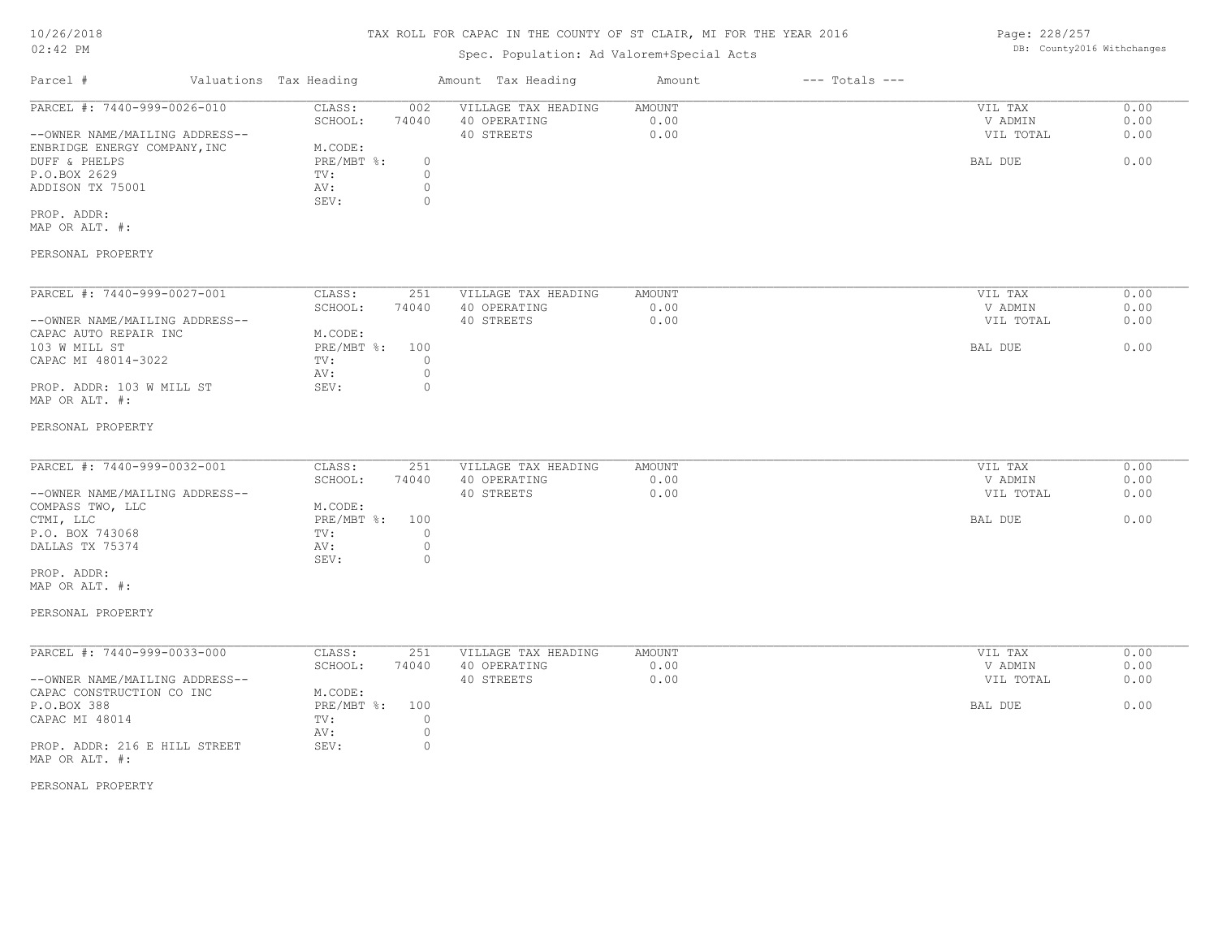Page: 228/257

| 02:42 PM                       |  |                        |             | Spec. Population: Ad Valorem+Special Acts | DB: County2016 Withchanges |                    |           |      |
|--------------------------------|--|------------------------|-------------|-------------------------------------------|----------------------------|--------------------|-----------|------|
| Parcel #                       |  | Valuations Tax Heading |             | Amount Tax Heading                        | Amount                     | $---$ Totals $---$ |           |      |
| PARCEL #: 7440-999-0026-010    |  | CLASS:                 | 002         | VILLAGE TAX HEADING                       | <b>AMOUNT</b>              |                    | VIL TAX   | 0.00 |
|                                |  | SCHOOL:                | 74040       | 40 OPERATING                              | 0.00                       |                    | V ADMIN   | 0.00 |
| --OWNER NAME/MAILING ADDRESS-- |  |                        |             | 40 STREETS                                | 0.00                       |                    | VIL TOTAL | 0.00 |
| ENBRIDGE ENERGY COMPANY, INC   |  | M.CODE:                |             |                                           |                            |                    |           |      |
| DUFF & PHELPS                  |  | PRE/MBT %:             | $\circ$     |                                           |                            |                    | BAL DUE   | 0.00 |
| P.O.BOX 2629                   |  | TV:                    | $\mathbb O$ |                                           |                            |                    |           |      |
| ADDISON TX 75001               |  | AV:                    | $\circ$     |                                           |                            |                    |           |      |
|                                |  | SEV:                   | $\circ$     |                                           |                            |                    |           |      |
| PROP. ADDR:                    |  |                        |             |                                           |                            |                    |           |      |
| MAP OR ALT. #:                 |  |                        |             |                                           |                            |                    |           |      |
| PERSONAL PROPERTY              |  |                        |             |                                           |                            |                    |           |      |
|                                |  |                        |             |                                           |                            |                    |           |      |
|                                |  |                        |             |                                           |                            |                    |           |      |
| PARCEL #: 7440-999-0027-001    |  | CLASS:                 | 251         | VILLAGE TAX HEADING                       | <b>AMOUNT</b>              |                    | VIL TAX   | 0.00 |
|                                |  | SCHOOL:                | 74040       | 40 OPERATING                              | 0.00                       |                    | V ADMIN   | 0.00 |
| --OWNER NAME/MAILING ADDRESS-- |  |                        |             | 40 STREETS                                | 0.00                       |                    | VIL TOTAL | 0.00 |
| CAPAC AUTO REPAIR INC          |  | M.CODE:                |             |                                           |                            |                    |           |      |
| 103 W MILL ST                  |  | PRE/MBT %:             | 100         |                                           |                            |                    | BAL DUE   | 0.00 |
| CAPAC MI 48014-3022            |  | TV:                    | $\circ$     |                                           |                            |                    |           |      |
|                                |  | AV:                    | $\circ$     |                                           |                            |                    |           |      |
| PROP. ADDR: 103 W MILL ST      |  | SEV:                   | $\circ$     |                                           |                            |                    |           |      |
| MAP OR ALT. #:                 |  |                        |             |                                           |                            |                    |           |      |
| PERSONAL PROPERTY              |  |                        |             |                                           |                            |                    |           |      |
|                                |  |                        |             |                                           |                            |                    |           |      |
|                                |  |                        |             |                                           |                            |                    |           |      |
| PARCEL #: 7440-999-0032-001    |  | CLASS:                 | 251         | VILLAGE TAX HEADING                       | <b>AMOUNT</b>              |                    | VIL TAX   | 0.00 |
|                                |  | SCHOOL:                | 74040       | 40 OPERATING                              | 0.00                       |                    | V ADMIN   | 0.00 |
| --OWNER NAME/MAILING ADDRESS-- |  |                        |             | 40 STREETS                                | 0.00                       |                    | VIL TOTAL | 0.00 |
| COMPASS TWO, LLC               |  | M.CODE:                |             |                                           |                            |                    |           |      |
| CTMI, LLC                      |  | PRE/MBT %:             | 100         |                                           |                            |                    | BAL DUE   | 0.00 |
| P.O. BOX 743068                |  | TV:                    | $\circ$     |                                           |                            |                    |           |      |
| DALLAS TX 75374                |  | AV:                    | $\circ$     |                                           |                            |                    |           |      |
|                                |  | SEV:                   | $\circ$     |                                           |                            |                    |           |      |

MAP OR ALT. #: PROP. ADDR:

PERSONAL PROPERTY

| PARCEL #: 7440-999-0033-000    | CLASS:     | 251   | VILLAGE TAX HEADING | AMOUNT | 0.00<br>VIL TAX   |
|--------------------------------|------------|-------|---------------------|--------|-------------------|
|                                | SCHOOL:    | 74040 | 40 OPERATING        | 0.00   | 0.00<br>V ADMIN   |
| --OWNER NAME/MAILING ADDRESS-- |            |       | 40 STREETS          | 0.00   | 0.00<br>VIL TOTAL |
| CAPAC CONSTRUCTION CO INC      | M.CODE:    |       |                     |        |                   |
| P.O.BOX 388                    | PRE/MBT %: | 100   |                     |        | 0.00<br>BAL DUE   |
| CAPAC MI 48014                 | TV:        |       |                     |        |                   |
|                                | AV:        |       |                     |        |                   |
| PROP. ADDR: 216 E HILL STREET  | SEV:       |       |                     |        |                   |
| MAP OR ALT. #:                 |            |       |                     |        |                   |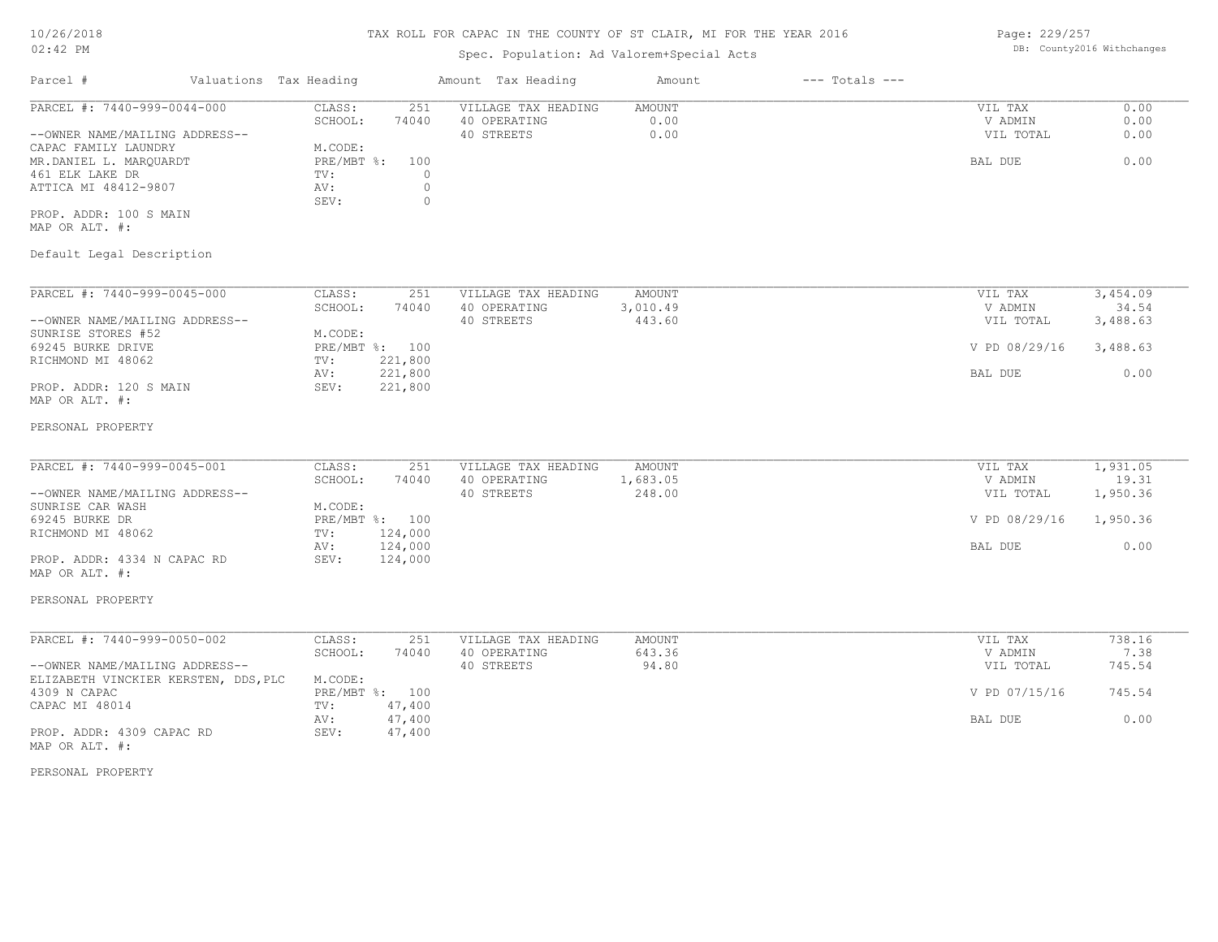#### Spec. Population: Ad Valorem+Special Acts

Page: 229/257 DB: County2016 Withchanges

| Parcel #                       |        | Valuations Tax Heading | Amount Tax Heading  |              | Amount | $---$ Totals $---$ |           |      |
|--------------------------------|--------|------------------------|---------------------|--------------|--------|--------------------|-----------|------|
| PARCEL #: 7440-999-0044-000    | CLASS: | 251                    | VILLAGE TAX HEADING | AMOUNT       |        | VIL TAX            | 0.00      |      |
|                                |        | SCHOOL:                | 74040               | 40 OPERATING | 0.00   |                    | V ADMIN   | 0.00 |
| --OWNER NAME/MAILING ADDRESS-- |        |                        |                     | 40 STREETS   | 0.00   |                    | VIL TOTAL | 0.00 |
| CAPAC FAMILY LAUNDRY           |        | M.CODE:                |                     |              |        |                    |           |      |
| MR.DANIEL L. MAROUARDT         |        | PRE/MBT %:             | 100                 |              |        |                    | BAL DUE   | 0.00 |
| 461 ELK LAKE DR                |        | TV:                    |                     |              |        |                    |           |      |
| ATTICA MI 48412-9807           |        | AV:                    |                     |              |        |                    |           |      |
|                                |        | SEV:                   |                     |              |        |                    |           |      |
| PROP. ADDR: 100 S MAIN         |        |                        |                     |              |        |                    |           |      |

MAP OR ALT. #:

#### Default Legal Description

| PARCEL #: 7440-999-0045-000    | CLASS:     | 251     | VILLAGE TAX HEADING | AMOUNT   | VIL TAX       | 3,454.09 |
|--------------------------------|------------|---------|---------------------|----------|---------------|----------|
|                                | SCHOOL:    | 74040   | 40 OPERATING        | 3,010.49 | V ADMIN       | 34.54    |
| --OWNER NAME/MAILING ADDRESS-- |            |         | 40 STREETS          | 443.60   | VIL TOTAL     | 3,488.63 |
| SUNRISE STORES #52             | M.CODE:    |         |                     |          |               |          |
| 69245 BURKE DRIVE              | PRE/MBT %: | 100     |                     |          | V PD 08/29/16 | 3,488.63 |
| RICHMOND MI 48062              | TV:        | 221,800 |                     |          |               |          |
|                                | AV:        | 221,800 |                     |          | BAL DUE       | 0.00     |
| PROP. ADDR: 120 S MAIN         | SEV:       | 221,800 |                     |          |               |          |
| MAP OR ALT. #:                 |            |         |                     |          |               |          |

#### PERSONAL PROPERTY

| PARCEL #: 7440-999-0045-001    | CLASS:  | 251            | VILLAGE TAX HEADING | AMOUNT   | VIL TAX       | 1,931.05 |
|--------------------------------|---------|----------------|---------------------|----------|---------------|----------|
|                                | SCHOOL: | 74040          | 40 OPERATING        | 1,683.05 | V ADMIN       | 19.31    |
| --OWNER NAME/MAILING ADDRESS-- |         |                | 40 STREETS          | 248.00   | VIL TOTAL     | 1,950.36 |
| SUNRISE CAR WASH               | M.CODE: |                |                     |          |               |          |
| 69245 BURKE DR                 |         | PRE/MBT %: 100 |                     |          | V PD 08/29/16 | 1,950.36 |
| RICHMOND MI 48062              | TV:     | 124,000        |                     |          |               |          |
|                                | AV:     | 124,000        |                     |          | BAL DUE       | 0.00     |
| PROP. ADDR: 4334 N CAPAC RD    | SEV:    | 124,000        |                     |          |               |          |
| MAP OR ALT. #:                 |         |                |                     |          |               |          |

# PERSONAL PROPERTY

#### MAP OR ALT. #: PROP. ADDR: 4309 CAPAC RD SEV: 47,400 AV: 47,400 and  $\sim$  0.00 and  $\sim$  0.00 and  $\sim$  0.00 and  $\sim$  0.00 and  $\sim$  0.00 and  $\sim$  0.00 and  $\sim$  0.00 and  $\sim$ CAPAC MI 48014 TV: 47,400<br>
AV: 47,400 4309 N CAPAC PRE/MBT %: 100 V PD 07/15/16 745.54 ELIZABETH VINCKIER KERSTEN, DDS,PLC M.CODE: --OWNER NAME/MAILING ADDRESS-- 40 STREETS 94.80 VIL TOTAL 745.54 SCHOOL: 74040 40 OPERATING 643.36 643.36 V ADMIN 7.38 PARCEL #: 7440-999-0050-002 CLASS: 251 VILLAGE TAX HEADING AMOUNT AMOUNT VIL TAX 738.16<br>SCHOOL: 74040 40 OPERATING 643.36 VADMIN 7.38  $\mathcal{L}_\mathcal{L} = \mathcal{L}_\mathcal{L} = \mathcal{L}_\mathcal{L} = \mathcal{L}_\mathcal{L} = \mathcal{L}_\mathcal{L} = \mathcal{L}_\mathcal{L} = \mathcal{L}_\mathcal{L} = \mathcal{L}_\mathcal{L} = \mathcal{L}_\mathcal{L} = \mathcal{L}_\mathcal{L} = \mathcal{L}_\mathcal{L} = \mathcal{L}_\mathcal{L} = \mathcal{L}_\mathcal{L} = \mathcal{L}_\mathcal{L} = \mathcal{L}_\mathcal{L} = \mathcal{L}_\mathcal{L} = \mathcal{L}_\mathcal{L}$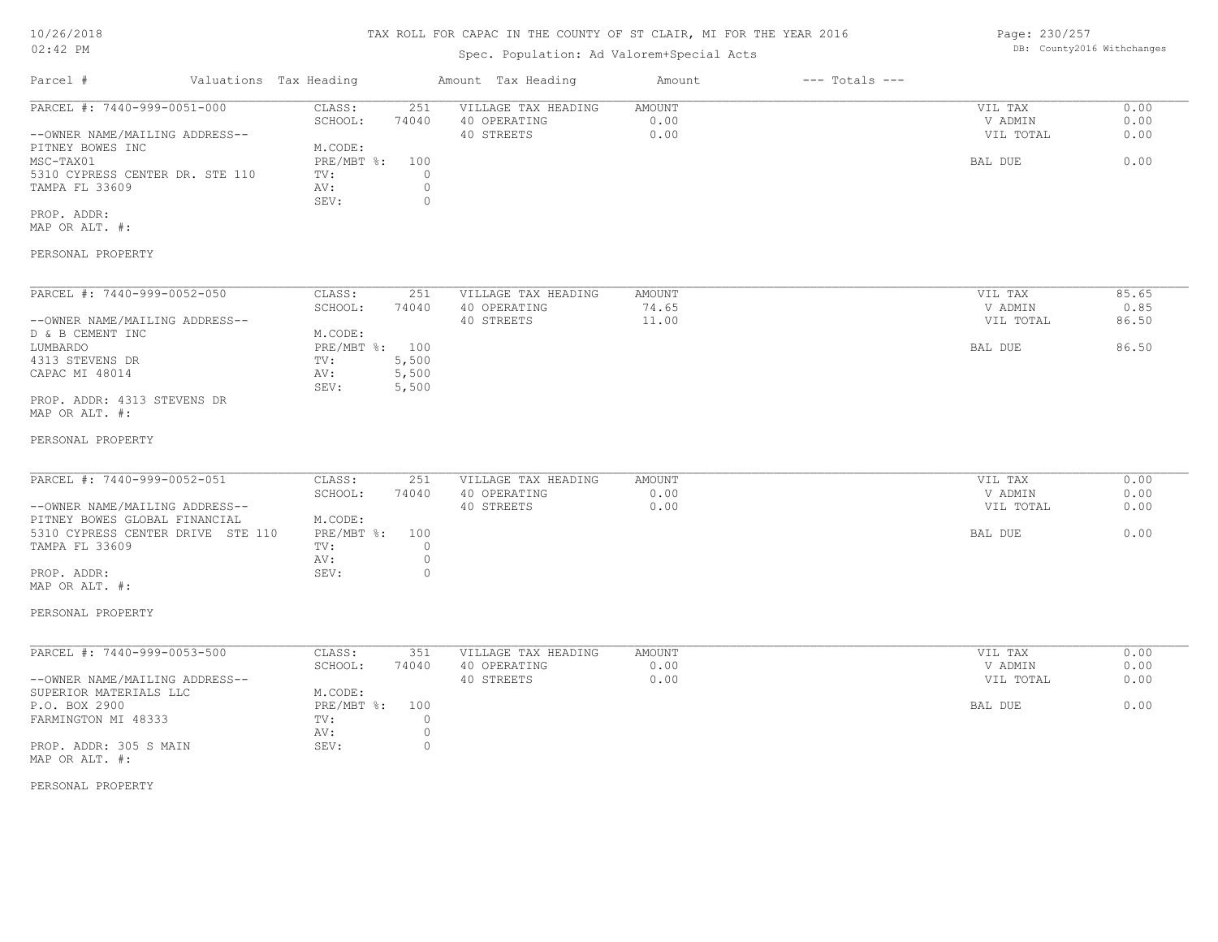## TAX ROLL FOR CAPAC IN THE COUNTY OF ST CLAIR, MI FOR THE YEAR 2016

# Spec. Population: Ad Valorem+Special Acts

| Parcel #                        |         | Valuations Tax Heading |              | Amount Tax Heading  | Amount | $---$ Totals $---$ |           |      |
|---------------------------------|---------|------------------------|--------------|---------------------|--------|--------------------|-----------|------|
| PARCEL #: 7440-999-0051-000     |         | CLASS:                 | 251          | VILLAGE TAX HEADING | AMOUNT |                    | VIL TAX   | 0.00 |
|                                 | SCHOOL: | 74040                  | 40 OPERATING | 0.00                |        | V ADMIN            | 0.00      |      |
| --OWNER NAME/MAILING ADDRESS--  |         |                        |              | 40 STREETS          | 0.00   |                    | VIL TOTAL | 0.00 |
| PITNEY BOWES INC                |         | M.CODE:                |              |                     |        |                    |           |      |
| MSC-TAX01                       |         | PRE/MBT %:             | 100          |                     |        |                    | BAL DUE   | 0.00 |
| 5310 CYPRESS CENTER DR. STE 110 |         | TV:                    |              |                     |        |                    |           |      |
| TAMPA FL 33609                  |         | AV:                    |              |                     |        |                    |           |      |
|                                 |         | SEV:                   |              |                     |        |                    |           |      |
| PROP. ADDR:                     |         |                        |              |                     |        |                    |           |      |

MAP OR ALT. #:

#### PERSONAL PROPERTY

| PARCEL #: 7440-999-0052-050    | CLASS:     | 251   | VILLAGE TAX HEADING | AMOUNT | VIL TAX   | 85.65 |
|--------------------------------|------------|-------|---------------------|--------|-----------|-------|
|                                | SCHOOL:    | 74040 | 40 OPERATING        | 74.65  | V ADMIN   | 0.85  |
| --OWNER NAME/MAILING ADDRESS-- |            |       | 40 STREETS          | 11.00  | VIL TOTAL | 86.50 |
| D & B CEMENT INC               | M.CODE:    |       |                     |        |           |       |
| LUMBARDO                       | PRE/MBT %: | 100   |                     |        | BAL DUE   | 86.50 |
| 4313 STEVENS DR                | TV:        | 5,500 |                     |        |           |       |
| CAPAC MI 48014                 | AV:        | 5,500 |                     |        |           |       |
|                                | SEV:       | 5,500 |                     |        |           |       |
| PROP. ADDR: 4313 STEVENS DR    |            |       |                     |        |           |       |

MAP OR ALT. #:

#### PERSONAL PROPERTY

| PARCEL #: 7440-999-0052-051       | CLASS:         | 251   | VILLAGE TAX HEADING | AMOUNT | VIL TAX   | 0.00 |
|-----------------------------------|----------------|-------|---------------------|--------|-----------|------|
|                                   | SCHOOL:        | 74040 | 40 OPERATING        | 0.00   | V ADMIN   | 0.00 |
| --OWNER NAME/MAILING ADDRESS--    |                |       | 40 STREETS          | 0.00   | VIL TOTAL | 0.00 |
| PITNEY BOWES GLOBAL FINANCIAL     | M.CODE:        |       |                     |        |           |      |
| 5310 CYPRESS CENTER DRIVE STE 110 | PRE/MBT %: 100 |       |                     |        | BAL DUE   | 0.00 |
| TAMPA FL 33609                    | TV:            |       |                     |        |           |      |
|                                   | AV:            |       |                     |        |           |      |
| PROP. ADDR:                       | SEV:           |       |                     |        |           |      |

#### PERSONAL PROPERTY

MAP OR ALT. #:

| PARCEL #: 7440-999-0053-500    | CLASS:     | 351   | VILLAGE TAX HEADING | AMOUNT | VIL TAX   | 0.00 |
|--------------------------------|------------|-------|---------------------|--------|-----------|------|
|                                | SCHOOL:    | 74040 | 40 OPERATING        | 0.00   | V ADMIN   | 0.00 |
| --OWNER NAME/MAILING ADDRESS-- |            |       | 40 STREETS          | 0.00   | VIL TOTAL | 0.00 |
| SUPERIOR MATERIALS LLC         | M.CODE:    |       |                     |        |           |      |
| P.O. BOX 2900                  | PRE/MBT %: | 100   |                     |        | BAL DUE   | 0.00 |
| FARMINGTON MI 48333            | TV:        |       |                     |        |           |      |
|                                | AV:        |       |                     |        |           |      |
| PROP. ADDR: 305 S MAIN         | SEV:       |       |                     |        |           |      |
| MAP OR ALT. #:                 |            |       |                     |        |           |      |

PERSONAL PROPERTY

Page: 230/257 DB: County2016 Withchanges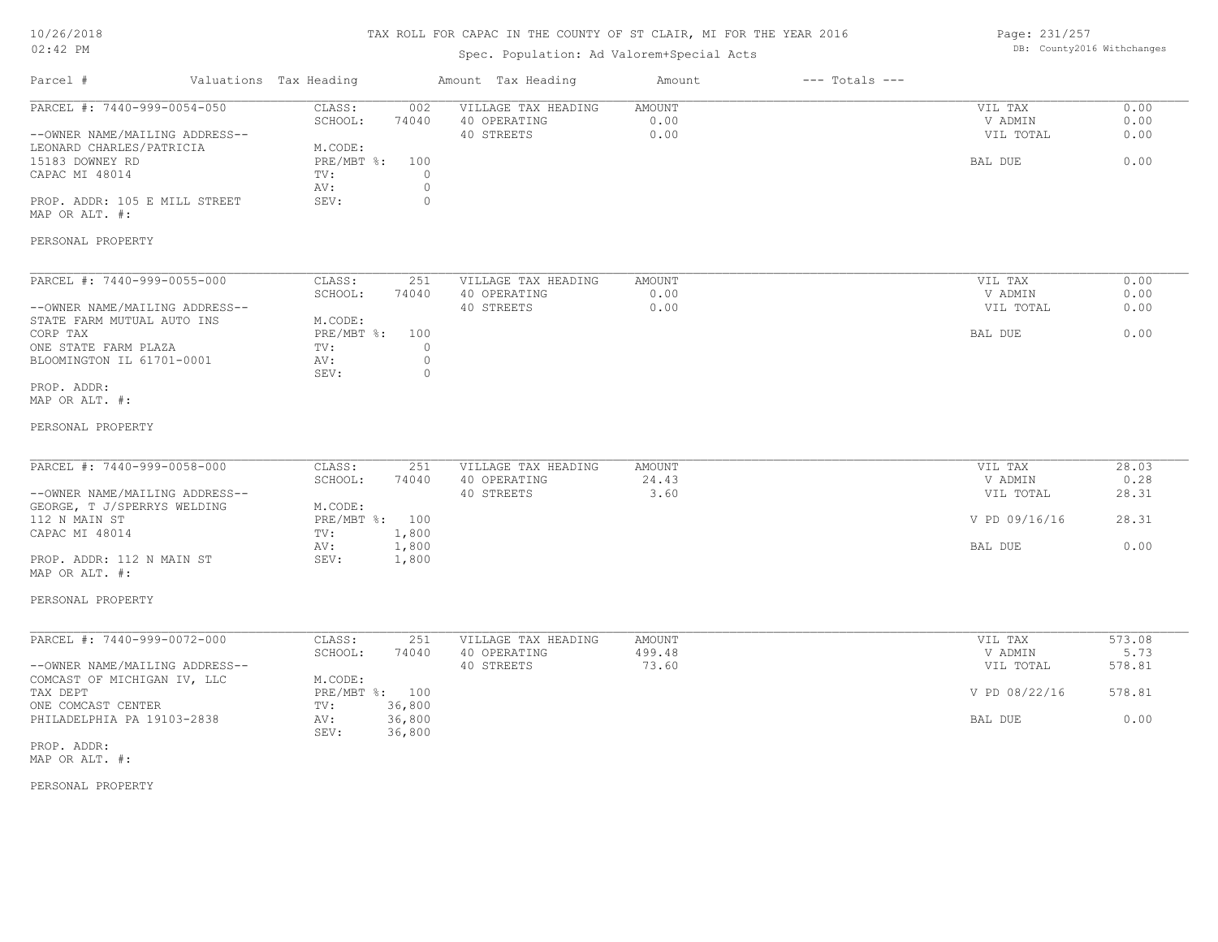## TAX ROLL FOR CAPAC IN THE COUNTY OF ST CLAIR, MI FOR THE YEAR 2016

# Spec. Population: Ad Valorem+Special Acts

Page: 231/257 DB: County2016 Withchanges

| Parcel #                                                                                                                                                        | Valuations Tax Heading |                                                                      |                                                | Amount Tax Heading                                | Amount                  | $---$ Totals $---$ |                                            |                              |
|-----------------------------------------------------------------------------------------------------------------------------------------------------------------|------------------------|----------------------------------------------------------------------|------------------------------------------------|---------------------------------------------------|-------------------------|--------------------|--------------------------------------------|------------------------------|
| PARCEL #: 7440-999-0054-050<br>--OWNER NAME/MAILING ADDRESS--<br>LEONARD CHARLES/PATRICIA<br>15183 DOWNEY RD<br>CAPAC MI 48014<br>PROP. ADDR: 105 E MILL STREET |                        | CLASS:<br>SCHOOL:<br>M.CODE:<br>PRE/MBT %: 100<br>TV:<br>AV:<br>SEV: | 002<br>74040<br>$\circ$<br>$\circ$<br>$\Omega$ | VILLAGE TAX HEADING<br>40 OPERATING<br>40 STREETS | AMOUNT<br>0.00<br>0.00  |                    | VIL TAX<br>V ADMIN<br>VIL TOTAL<br>BAL DUE | 0.00<br>0.00<br>0.00<br>0.00 |
| MAP OR ALT. #:                                                                                                                                                  |                        |                                                                      |                                                |                                                   |                         |                    |                                            |                              |
| PERSONAL PROPERTY                                                                                                                                               |                        |                                                                      |                                                |                                                   |                         |                    |                                            |                              |
| PARCEL #: 7440-999-0055-000<br>--OWNER NAME/MAILING ADDRESS--                                                                                                   |                        | CLASS:<br>SCHOOL:                                                    | 251<br>74040                                   | VILLAGE TAX HEADING<br>40 OPERATING<br>40 STREETS | AMOUNT<br>0.00<br>0.00  |                    | VIL TAX<br>V ADMIN<br>VIL TOTAL            | 0.00<br>0.00<br>0.00         |
| STATE FARM MUTUAL AUTO INS<br>CORP TAX<br>ONE STATE FARM PLAZA<br>BLOOMINGTON IL 61701-0001                                                                     |                        | M.CODE:<br>PRE/MBT %: 100<br>TV:<br>AV:                              | $\circ$<br>$\mathbb O$                         |                                                   |                         |                    | BAL DUE                                    | 0.00                         |
| PROP. ADDR:<br>MAP OR ALT. #:                                                                                                                                   |                        | SEV:                                                                 | $\circ$                                        |                                                   |                         |                    |                                            |                              |
| PERSONAL PROPERTY                                                                                                                                               |                        |                                                                      |                                                |                                                   |                         |                    |                                            |                              |
| PARCEL #: 7440-999-0058-000<br>--OWNER NAME/MAILING ADDRESS--                                                                                                   |                        | CLASS:<br>SCHOOL:                                                    | 251<br>74040                                   | VILLAGE TAX HEADING<br>40 OPERATING<br>40 STREETS | AMOUNT<br>24.43<br>3.60 |                    | VIL TAX<br>V ADMIN<br>VIL TOTAL            | 28.03<br>0.28<br>28.31       |
| GEORGE, T J/SPERRYS WELDING<br>112 N MAIN ST                                                                                                                    |                        | M.CODE:<br>PRE/MBT %: 100                                            |                                                |                                                   |                         |                    | V PD 09/16/16                              | 28.31                        |
| CAPAC MI 48014                                                                                                                                                  |                        | TV:<br>AV:                                                           | 1,800<br>1,800                                 |                                                   |                         |                    | BAL DUE                                    | 0.00                         |
| PROP. ADDR: 112 N MAIN ST<br>MAP OR ALT. #:                                                                                                                     |                        | SEV:                                                                 | 1,800                                          |                                                   |                         |                    |                                            |                              |
| PERSONAL PROPERTY                                                                                                                                               |                        |                                                                      |                                                |                                                   |                         |                    |                                            |                              |
| PARCEL #: 7440-999-0072-000                                                                                                                                     |                        | CLASS:<br>SCHOOL:                                                    | 251<br>74040                                   | VILLAGE TAX HEADING<br>40 OPERATING               | <b>AMOUNT</b><br>499.48 |                    | VIL TAX<br>V ADMIN                         | 573.08<br>5.73               |
| --OWNER NAME/MAILING ADDRESS--                                                                                                                                  |                        |                                                                      |                                                | 40 STREETS                                        | 73.60                   |                    | VIL TOTAL                                  | 578.81                       |
| COMCAST OF MICHIGAN IV, LLC<br>TAX DEPT<br>ONE COMCAST CENTER                                                                                                   |                        | M.CODE:<br>PRE/MBT %: 100<br>TV:                                     | 36,800                                         |                                                   |                         |                    | V PD 08/22/16                              | 578.81                       |
| PHILADELPHIA PA 19103-2838                                                                                                                                      |                        | AV:<br>SEV:                                                          | 36,800<br>36,800                               |                                                   |                         |                    | BAL DUE                                    | 0.00                         |
| PROP. ADDR:<br>MAP OR ALT. #:                                                                                                                                   |                        |                                                                      |                                                |                                                   |                         |                    |                                            |                              |
| PERSONAL PROPERTY                                                                                                                                               |                        |                                                                      |                                                |                                                   |                         |                    |                                            |                              |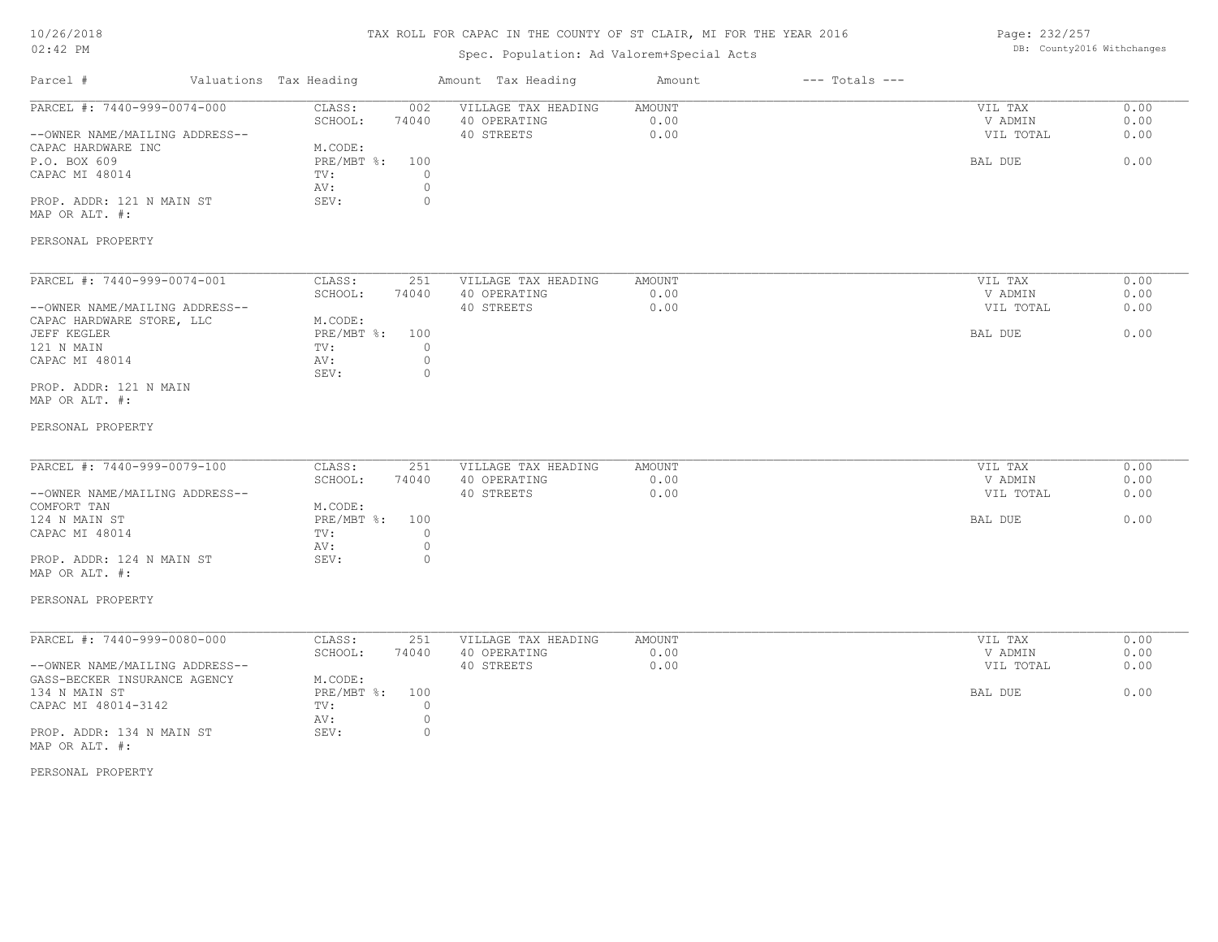## TAX ROLL FOR CAPAC IN THE COUNTY OF ST CLAIR, MI FOR THE YEAR 2016

# Spec. Population: Ad Valorem+Special Acts

Page: 232/257 DB: County2016 Withchanges

| Parcel #                                                                                                                                                                                  | Valuations Tax Heading                                                                                                   | Amount Tax Heading                                | Amount                 | $---$ Totals $---$ |                                            |                              |
|-------------------------------------------------------------------------------------------------------------------------------------------------------------------------------------------|--------------------------------------------------------------------------------------------------------------------------|---------------------------------------------------|------------------------|--------------------|--------------------------------------------|------------------------------|
| PARCEL #: 7440-999-0074-000<br>--OWNER NAME/MAILING ADDRESS--<br>CAPAC HARDWARE INC<br>P.O. BOX 609<br>CAPAC MI 48014<br>PROP. ADDR: 121 N MAIN ST<br>MAP OR ALT. #:<br>PERSONAL PROPERTY | CLASS:<br>002<br>SCHOOL:<br>74040<br>M.CODE:<br>PRE/MBT %:<br>100<br>$\circ$<br>TV:<br>$\circ$<br>AV:<br>$\circ$<br>SEV: | VILLAGE TAX HEADING<br>40 OPERATING<br>40 STREETS | AMOUNT<br>0.00<br>0.00 |                    | VIL TAX<br>V ADMIN<br>VIL TOTAL<br>BAL DUE | 0.00<br>0.00<br>0.00<br>0.00 |
|                                                                                                                                                                                           |                                                                                                                          |                                                   |                        |                    |                                            |                              |
| PARCEL #: 7440-999-0074-001<br>--OWNER NAME/MAILING ADDRESS--                                                                                                                             | CLASS:<br>251<br>74040<br>SCHOOL:                                                                                        | VILLAGE TAX HEADING<br>40 OPERATING<br>40 STREETS | AMOUNT<br>0.00<br>0.00 |                    | VIL TAX<br>V ADMIN<br>VIL TOTAL            | 0.00<br>0.00<br>0.00         |
| CAPAC HARDWARE STORE, LLC<br>JEFF KEGLER                                                                                                                                                  | M.CODE:<br>PRE/MBT %:<br>100                                                                                             |                                                   |                        |                    | BAL DUE                                    | 0.00                         |
| 121 N MAIN<br>CAPAC MI 48014                                                                                                                                                              | TV:<br>$\circ$<br>$\circ$<br>AV:                                                                                         |                                                   |                        |                    |                                            |                              |
| PROP. ADDR: 121 N MAIN<br>MAP OR ALT. #:                                                                                                                                                  | SEV:<br>$\circ$                                                                                                          |                                                   |                        |                    |                                            |                              |
| PERSONAL PROPERTY                                                                                                                                                                         |                                                                                                                          |                                                   |                        |                    |                                            |                              |
| PARCEL #: 7440-999-0079-100                                                                                                                                                               | CLASS:<br>251<br>SCHOOL:<br>74040                                                                                        | VILLAGE TAX HEADING<br>40 OPERATING               | AMOUNT<br>0.00         |                    | VIL TAX<br>V ADMIN                         | 0.00<br>0.00                 |
| --OWNER NAME/MAILING ADDRESS--<br>COMFORT TAN                                                                                                                                             | M.CODE:                                                                                                                  | 40 STREETS                                        | 0.00                   |                    | VIL TOTAL                                  | 0.00                         |
| 124 N MAIN ST<br>CAPAC MI 48014                                                                                                                                                           | PRE/MBT %:<br>100<br>0<br>TV:<br>$\circ$<br>AV:                                                                          |                                                   |                        |                    | BAL DUE                                    | 0.00                         |
| PROP. ADDR: 124 N MAIN ST<br>MAP OR ALT. #:                                                                                                                                               | SEV:<br>$\circ$                                                                                                          |                                                   |                        |                    |                                            |                              |
| PERSONAL PROPERTY                                                                                                                                                                         |                                                                                                                          |                                                   |                        |                    |                                            |                              |
| PARCEL #: 7440-999-0080-000                                                                                                                                                               | CLASS:<br>251                                                                                                            | VILLAGE TAX HEADING                               | AMOUNT                 |                    | VIL TAX                                    | 0.00                         |
| --OWNER NAME/MAILING ADDRESS--<br>GASS-BECKER INSURANCE AGENCY                                                                                                                            | SCHOOL:<br>74040<br>M.CODE:                                                                                              | 40 OPERATING<br>40 STREETS                        | 0.00<br>0.00           |                    | V ADMIN<br>VIL TOTAL                       | 0.00<br>0.00                 |
| 134 N MAIN ST<br>CAPAC MI 48014-3142                                                                                                                                                      | $PRE/MBT$ %:<br>100<br>TV:<br>$\circ$                                                                                    |                                                   |                        |                    | BAL DUE                                    | 0.00                         |
| PROP. ADDR: 134 N MAIN ST<br>MAP OR ALT. #:                                                                                                                                               | $\circ$<br>AV:<br>SEV:<br>0                                                                                              |                                                   |                        |                    |                                            |                              |
| PERSONAL PROPERTY                                                                                                                                                                         |                                                                                                                          |                                                   |                        |                    |                                            |                              |
|                                                                                                                                                                                           |                                                                                                                          |                                                   |                        |                    |                                            |                              |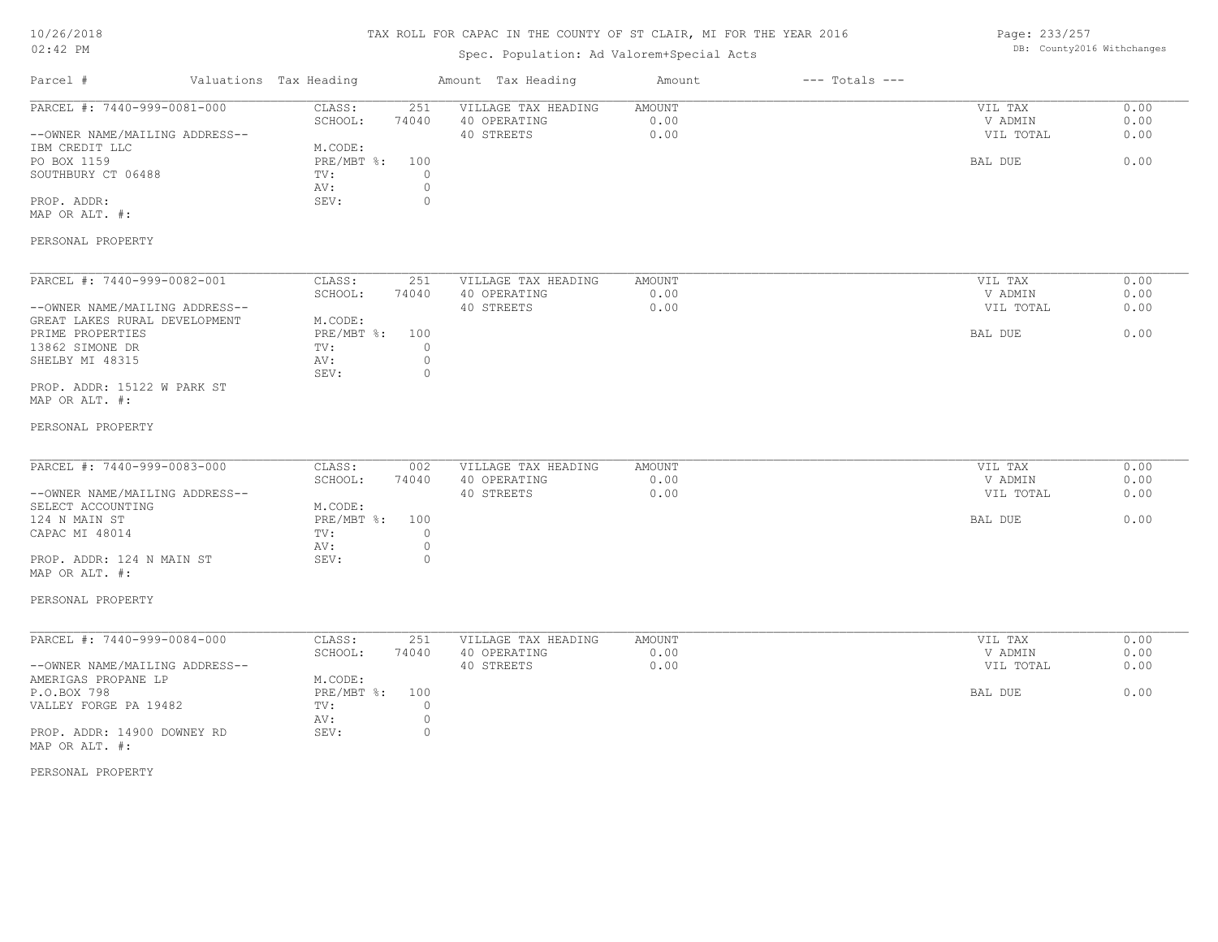## TAX ROLL FOR CAPAC IN THE COUNTY OF ST CLAIR, MI FOR THE YEAR 2016

# Spec. Population: Ad Valorem+Special Acts

Page: 233/257 DB: County2016 Withchanges

| Parcel #                                                                                                                                                                                                       | Valuations Tax Heading                                                                                                   | Amount Tax Heading                                | Amount                 | $---$ Totals $---$ |                                            |                              |
|----------------------------------------------------------------------------------------------------------------------------------------------------------------------------------------------------------------|--------------------------------------------------------------------------------------------------------------------------|---------------------------------------------------|------------------------|--------------------|--------------------------------------------|------------------------------|
| PARCEL #: 7440-999-0081-000<br>--OWNER NAME/MAILING ADDRESS--<br>IBM CREDIT LLC<br>PO BOX 1159<br>SOUTHBURY CT 06488<br>PROP. ADDR:<br>MAP OR ALT. #:<br>PERSONAL PROPERTY                                     | CLASS:<br>251<br>SCHOOL:<br>74040<br>M.CODE:<br>PRE/MBT %:<br>100<br>$\circ$<br>TV:<br>$\circ$<br>AV:<br>SEV:<br>$\circ$ | VILLAGE TAX HEADING<br>40 OPERATING<br>40 STREETS | AMOUNT<br>0.00<br>0.00 |                    | VIL TAX<br>V ADMIN<br>VIL TOTAL<br>BAL DUE | 0.00<br>0.00<br>0.00<br>0.00 |
| PARCEL #: 7440-999-0082-001<br>--OWNER NAME/MAILING ADDRESS--<br>GREAT LAKES RURAL DEVELOPMENT<br>PRIME PROPERTIES<br>13862 SIMONE DR<br>SHELBY MI 48315<br>PROP. ADDR: 15122 W PARK ST<br>MAP OR ALT. #:      | CLASS:<br>251<br>SCHOOL:<br>74040<br>M.CODE:<br>PRE/MBT %:<br>100<br>0<br>TV:<br>$\circ$<br>AV:<br>SEV:<br>$\circ$       | VILLAGE TAX HEADING<br>40 OPERATING<br>40 STREETS | AMOUNT<br>0.00<br>0.00 |                    | VIL TAX<br>V ADMIN<br>VIL TOTAL<br>BAL DUE | 0.00<br>0.00<br>0.00<br>0.00 |
| PERSONAL PROPERTY<br>PARCEL #: 7440-999-0083-000<br>--OWNER NAME/MAILING ADDRESS--<br>SELECT ACCOUNTING<br>124 N MAIN ST<br>CAPAC MI 48014<br>PROP. ADDR: 124 N MAIN ST<br>MAP OR ALT. #:<br>PERSONAL PROPERTY | CLASS:<br>002<br>SCHOOL:<br>74040<br>M.CODE:<br>PRE/MBT %:<br>100<br>$\circ$<br>TV:<br>$\circ$<br>AV:<br>SEV:<br>$\circ$ | VILLAGE TAX HEADING<br>40 OPERATING<br>40 STREETS | AMOUNT<br>0.00<br>0.00 |                    | VIL TAX<br>V ADMIN<br>VIL TOTAL<br>BAL DUE | 0.00<br>0.00<br>0.00<br>0.00 |
| PARCEL #: 7440-999-0084-000<br>--OWNER NAME/MAILING ADDRESS--<br>AMERIGAS PROPANE LP<br>P.O.BOX 798<br>VALLEY FORGE PA 19482<br>PROP. ADDR: 14900 DOWNEY RD<br>MAP OR ALT. #:<br>PERSONAL PROPERTY             | 251<br>CLASS:<br>SCHOOL:<br>74040<br>M.CODE:<br>PRE/MBT %:<br>100<br>TV:<br>0<br>$\circ$<br>AV:<br>$\circ$<br>SEV:       | VILLAGE TAX HEADING<br>40 OPERATING<br>40 STREETS | AMOUNT<br>0.00<br>0.00 |                    | VIL TAX<br>V ADMIN<br>VIL TOTAL<br>BAL DUE | 0.00<br>0.00<br>0.00<br>0.00 |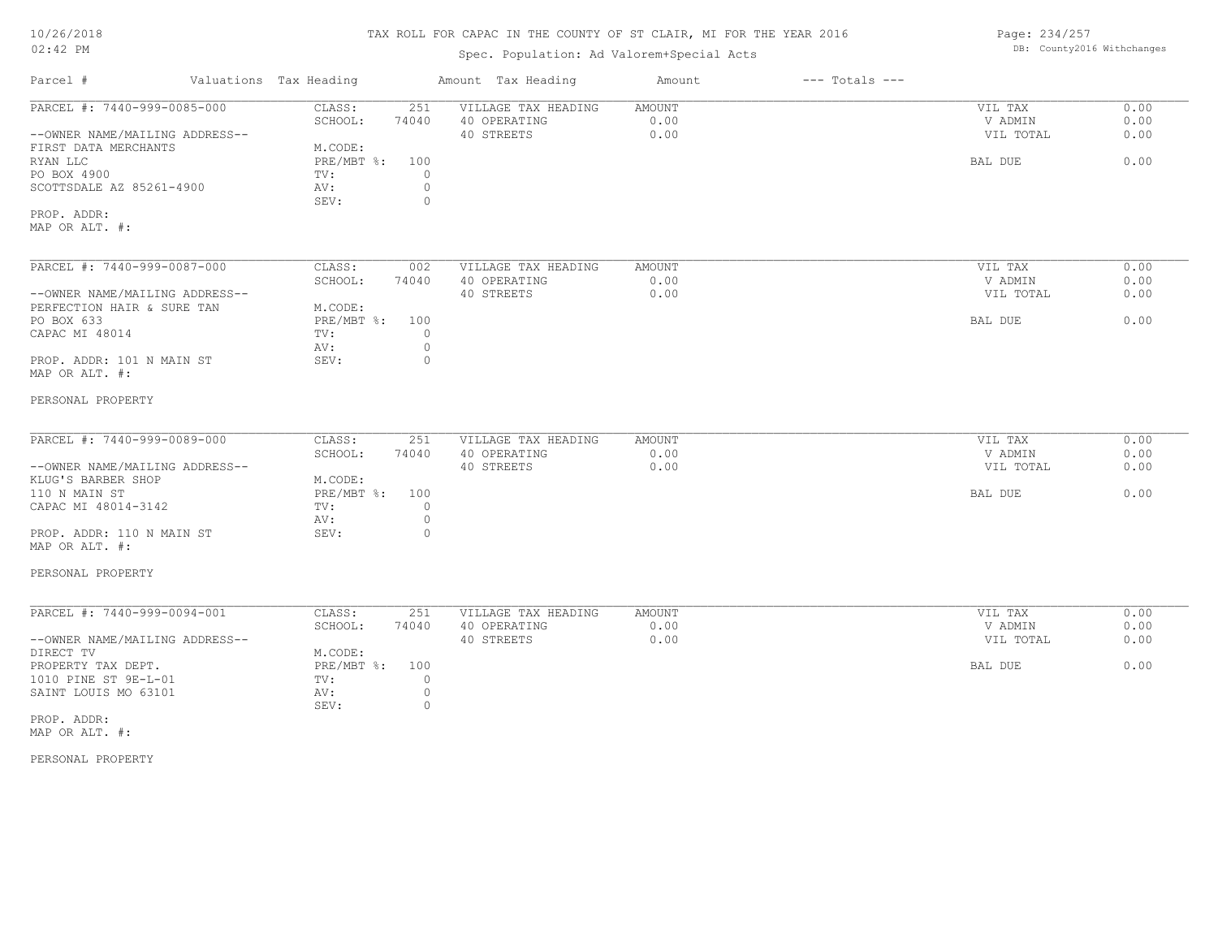#### TAX ROLL FOR CAPAC IN THE COUNTY OF ST CLAIR, MI FOR THE YEAR 2016

## Spec. Population: Ad Valorem+Special Acts

Parcel # Valuations Tax Heading Amount Tax Heading Amount --- Totals ---MAP OR ALT. #: PROP. ADDR: SEV: 0 SCOTTSDALE AZ 85261-4900 AV: 0 PO BOX 4900 TV: 0 RYAN LLC PRE/MBT %: 100 BAL DUE 0.00 FIRST DATA MERCHANTS MODE: MACODE: RYAN LLC PRE/MBT %: --OWNER NAME/MAILING ADDRESS-- 40 STREETS 0.00 VIL TOTAL 0.00 SCHOOL: 74040 40 OPERATING 0.00 V ADMIN 0.00 PARCEL #: 7440-999-0085-000 CLASS: 251 VILLAGE TAX HEADING AMOUNT AMOUNT VIL TAX 0.00<br>SCHOOL: 74040 40 OPERATING 0.00 0.00 VADMIN 0.00  $\mathcal{L}_\mathcal{L} = \mathcal{L}_\mathcal{L} = \mathcal{L}_\mathcal{L} = \mathcal{L}_\mathcal{L} = \mathcal{L}_\mathcal{L} = \mathcal{L}_\mathcal{L} = \mathcal{L}_\mathcal{L} = \mathcal{L}_\mathcal{L} = \mathcal{L}_\mathcal{L} = \mathcal{L}_\mathcal{L} = \mathcal{L}_\mathcal{L} = \mathcal{L}_\mathcal{L} = \mathcal{L}_\mathcal{L} = \mathcal{L}_\mathcal{L} = \mathcal{L}_\mathcal{L} = \mathcal{L}_\mathcal{L} = \mathcal{L}_\mathcal{L}$ PERSONAL PROPERTY MAP OR ALT. #: PROP. ADDR: 101 N MAIN ST SEV: 0 AV: 0 CAPAC MI 48014  $TV:$  0<br>av: 0 PO BOX 633 PRE/MBT %: 100 BAL DUE 0.00 PERFECTION HAIR & SURE TAN M.CODE:<br>PO BOX 633 PRE/MBT %: --OWNER NAME/MAILING ADDRESS-- 40 STREETS 0.00 VIL TOTAL 0.00 SCHOOL: 74040 40 OPERATING 0.00 V ADMIN 0.00 PARCEL #: 7440-999-0087-000 CLASS: 002 VILLAGE TAX HEADING AMOUNT 0.00 VIL TAX 0.00 00 PERSONAL PROPERTY MAP OR ALT. #: PROP. ADDR: 110 N MAIN ST SEV: 0 AV: 0 CAPAC MI 48014-3142 TV: 0<br>AV: 0 110 N MAIN ST PRE/MBT %: 100 BAL DUE 0.00 KLUG'S BARBER SHOP M.CODE:<br>110 N MAIN ST RE/MBT %: --OWNER NAME/MAILING ADDRESS-- 40 STREETS 0.00 VIL TOTAL 0.00 SCHOOL: 74040 40 OPERATING 0.00 V ADMIN 0.00 PARCEL #: 7440-999-0089-000 CLASS: 251 VILLAGE TAX HEADING AMOUNT AMOUNT VIL TAX 0.00<br>SCHOOL: 74040 40 OPERATING 0.00 0.00 VADMIN 0.00  $\mathcal{L}_\mathcal{L} = \mathcal{L}_\mathcal{L} = \mathcal{L}_\mathcal{L} = \mathcal{L}_\mathcal{L} = \mathcal{L}_\mathcal{L} = \mathcal{L}_\mathcal{L} = \mathcal{L}_\mathcal{L} = \mathcal{L}_\mathcal{L} = \mathcal{L}_\mathcal{L} = \mathcal{L}_\mathcal{L} = \mathcal{L}_\mathcal{L} = \mathcal{L}_\mathcal{L} = \mathcal{L}_\mathcal{L} = \mathcal{L}_\mathcal{L} = \mathcal{L}_\mathcal{L} = \mathcal{L}_\mathcal{L} = \mathcal{L}_\mathcal{L}$ PERSONAL PROPERTY MAP OR ALT. #: PROP. ADDR: SEV: 0 SAINT LOUIS MO 63101 AV: 0<br>
SEV: 0 1010 PINE ST 9E-L-01 TV: 0 PROPERTY TAX DEPT. PRESMBT %: 100 BAL DUE 0.00 DIRECT TV M.CODE: --OWNER NAME/MAILING ADDRESS-- 40 STREETS 0.00 VIL TOTAL 0.00 SCHOOL: 74040 40 OPERATING 0.00 V ADMIN 0.00 PARCEL #: 7440-999-0094-001 CLASS: 251 VILLAGE TAX HEADING AMOUNT (2008) PARCEL #: 7440-999-0094-001 CLASS: 251 VILLAGE TAX HEADING AMOUNT (2008) PARTING (2009) PADMIN  $\mathcal{L}_\mathcal{L} = \mathcal{L}_\mathcal{L} = \mathcal{L}_\mathcal{L} = \mathcal{L}_\mathcal{L} = \mathcal{L}_\mathcal{L} = \mathcal{L}_\mathcal{L} = \mathcal{L}_\mathcal{L} = \mathcal{L}_\mathcal{L} = \mathcal{L}_\mathcal{L} = \mathcal{L}_\mathcal{L} = \mathcal{L}_\mathcal{L} = \mathcal{L}_\mathcal{L} = \mathcal{L}_\mathcal{L} = \mathcal{L}_\mathcal{L} = \mathcal{L}_\mathcal{L} = \mathcal{L}_\mathcal{L} = \mathcal{L}_\mathcal{L}$ 

Page: 234/257 DB: County2016 Withchanges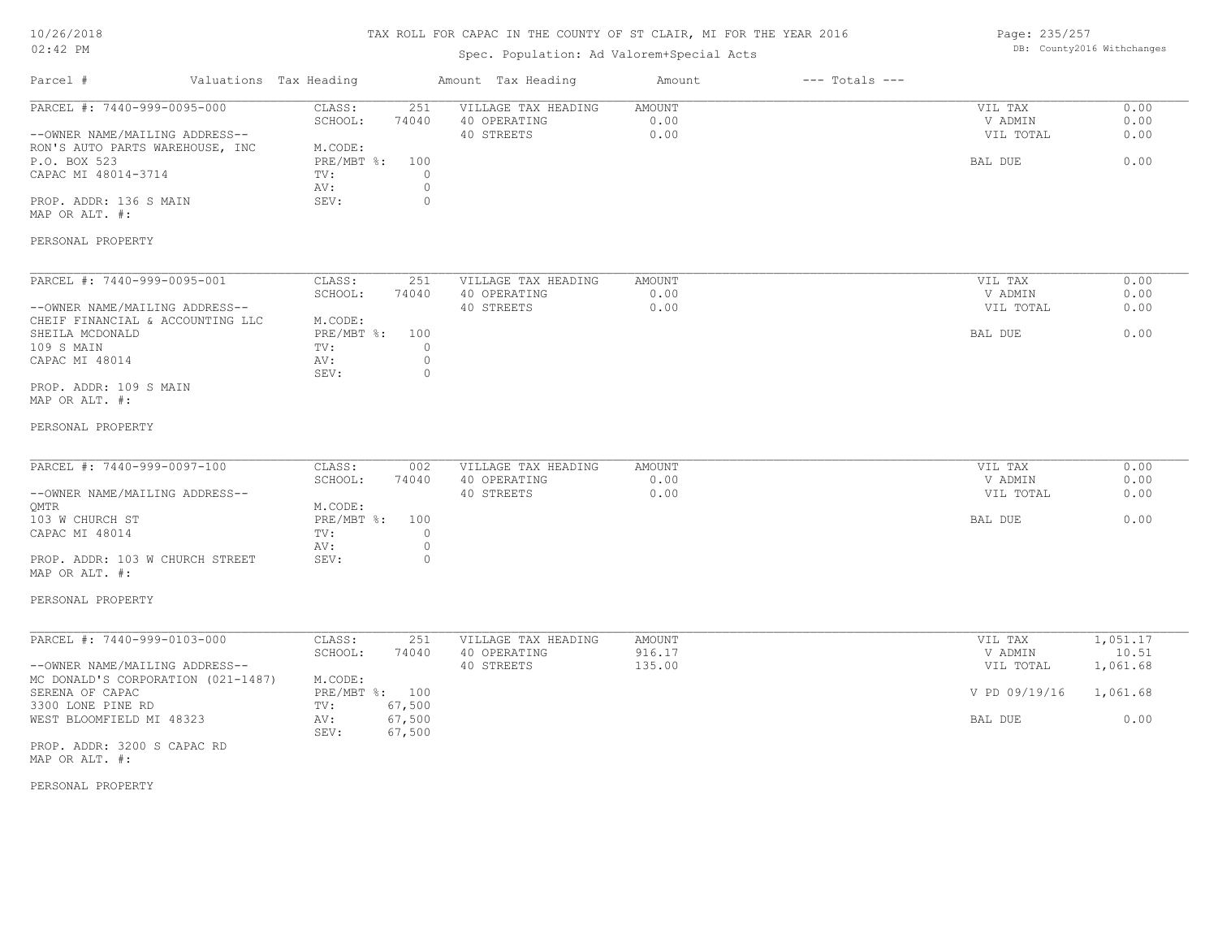## TAX ROLL FOR CAPAC IN THE COUNTY OF ST CLAIR, MI FOR THE YEAR 2016

# Spec. Population: Ad Valorem+Special Acts

Page: 235/257 DB: County2016 Withchanges

| Parcel #                                                                                                                                                                                                                                      | Valuations Tax Heading                                                                                                          | Amount Tax Heading                                | Amount                     | $---$ Totals $---$ |                                                             |                                                   |
|-----------------------------------------------------------------------------------------------------------------------------------------------------------------------------------------------------------------------------------------------|---------------------------------------------------------------------------------------------------------------------------------|---------------------------------------------------|----------------------------|--------------------|-------------------------------------------------------------|---------------------------------------------------|
| PARCEL #: 7440-999-0095-000<br>--OWNER NAME/MAILING ADDRESS--<br>RON'S AUTO PARTS WAREHOUSE, INC<br>P.O. BOX 523<br>CAPAC MI 48014-3714<br>PROP. ADDR: 136 S MAIN<br>MAP OR ALT. #:<br>PERSONAL PROPERTY                                      | CLASS:<br>251<br>74040<br>SCHOOL:<br>M.CODE:<br>$PRE/MBT$ %:<br>100<br>$\mathbb O$<br>TV:<br>$\circ$<br>AV:<br>SEV:<br>$\circ$  | VILLAGE TAX HEADING<br>40 OPERATING<br>40 STREETS | AMOUNT<br>0.00<br>0.00     |                    | VIL TAX<br>V ADMIN<br>VIL TOTAL<br>BAL DUE                  | 0.00<br>0.00<br>0.00<br>0.00                      |
| PARCEL #: 7440-999-0095-001<br>--OWNER NAME/MAILING ADDRESS--<br>CHEIF FINANCIAL & ACCOUNTING LLC<br>SHEILA MCDONALD<br>109 S MAIN<br>CAPAC MI 48014<br>PROP. ADDR: 109 S MAIN<br>MAP OR ALT. #:                                              | CLASS:<br>251<br>SCHOOL:<br>74040<br>M.CODE:<br>PRE/MBT %:<br>100<br>TV:<br>$\circ$<br>$\mathbb O$<br>AV:<br>SEV:<br>$\circ$    | VILLAGE TAX HEADING<br>40 OPERATING<br>40 STREETS | AMOUNT<br>0.00<br>0.00     |                    | VIL TAX<br>V ADMIN<br>VIL TOTAL<br>BAL DUE                  | 0.00<br>0.00<br>0.00<br>0.00                      |
| PERSONAL PROPERTY<br>PARCEL #: 7440-999-0097-100<br>--OWNER NAME/MAILING ADDRESS--<br>QMTR<br>103 W CHURCH ST<br>CAPAC MI 48014<br>PROP. ADDR: 103 W CHURCH STREET<br>MAP OR ALT. #:<br>PERSONAL PROPERTY                                     | CLASS:<br>002<br>SCHOOL:<br>74040<br>M.CODE:<br>$PRE/MBT$ %:<br>100<br>TV:<br>$\circ$<br>$\mathbb O$<br>AV:<br>$\Omega$<br>SEV: | VILLAGE TAX HEADING<br>40 OPERATING<br>40 STREETS | AMOUNT<br>0.00<br>0.00     |                    | VIL TAX<br>V ADMIN<br>VIL TOTAL<br>BAL DUE                  | 0.00<br>0.00<br>0.00<br>0.00                      |
| PARCEL #: 7440-999-0103-000<br>--OWNER NAME/MAILING ADDRESS--<br>MC DONALD'S CORPORATION (021-1487)<br>SERENA OF CAPAC<br>3300 LONE PINE RD<br>WEST BLOOMFIELD MI 48323<br>PROP. ADDR: 3200 S CAPAC RD<br>MAP OR ALT. #:<br>PERSONAL PROPERTY | CLASS:<br>251<br>SCHOOL:<br>74040<br>M.CODE:<br>PRE/MBT %: 100<br>67,500<br>TV:<br>67,500<br>AV:<br>67,500<br>SEV:              | VILLAGE TAX HEADING<br>40 OPERATING<br>40 STREETS | AMOUNT<br>916.17<br>135.00 |                    | VIL TAX<br>V ADMIN<br>VIL TOTAL<br>V PD 09/19/16<br>BAL DUE | 1,051.17<br>10.51<br>1,061.68<br>1,061.68<br>0.00 |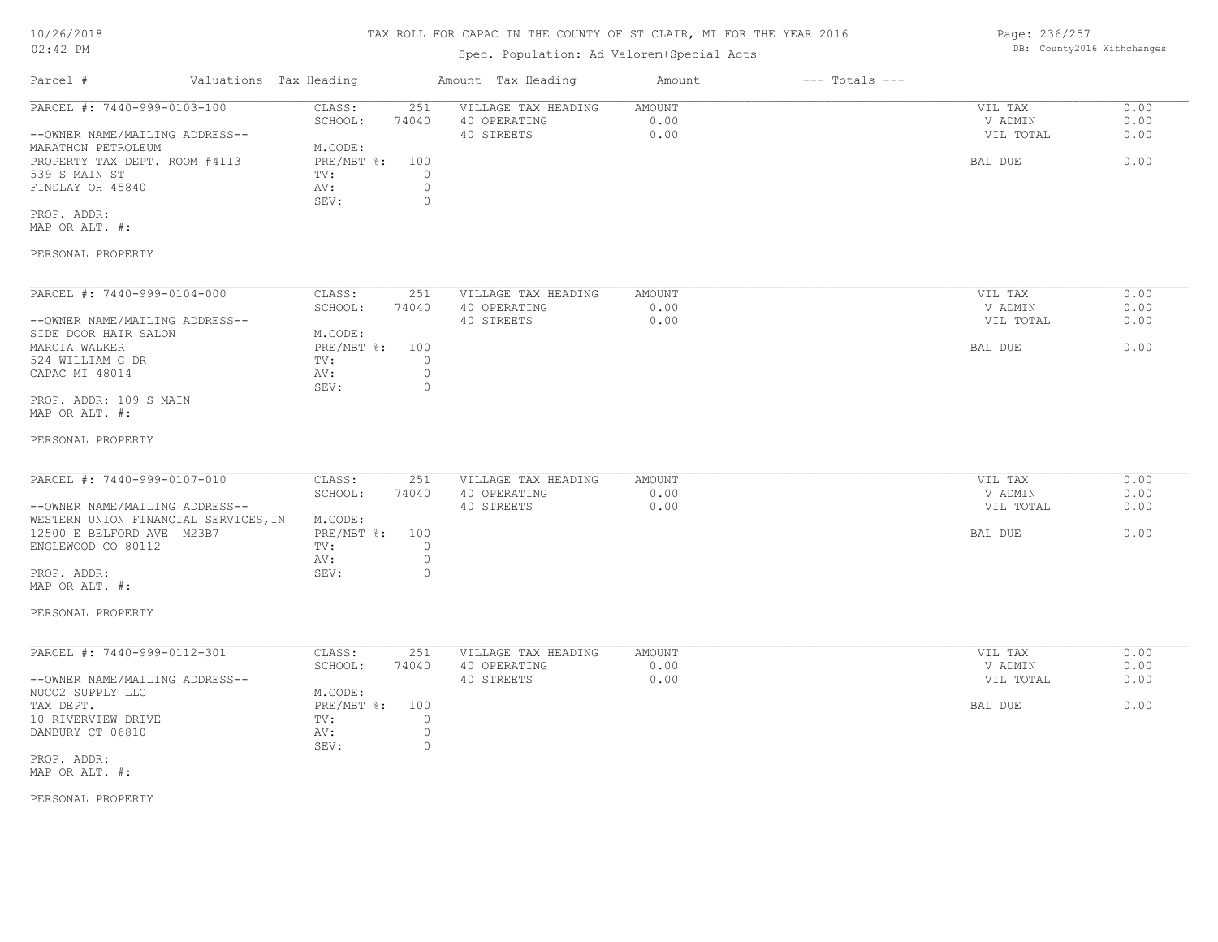#### TAX ROLL FOR CAPAC IN THE COUNTY OF ST CLAIR, MI FOR THE YEAR 2016

#### Spec. Population: Ad Valorem+Special Acts

Parcel # Valuations Tax Heading Amount Tax Heading Amount --- Totals ---PROP. ADDR: SEV: 0 FINDLAY OH 45840  $\qquad \qquad \text{AV:} \qquad \qquad 0$ <br>SEV: 0 539 S MAIN ST TV: 0 PROPERTY TAX DEPT. ROOM #4113 PRE/MBT %: 100 BAL DUE 6.00 MARATHON PETROLEUM MODE: --OWNER NAME/MAILING ADDRESS-- 40 STREETS 0.00 VIL TOTAL 0.00 SCHOOL: 74040 40 OPERATING 0.00 V ADMIN 0.00 PARCEL #: 7440-999-0103-100 CLASS: 251 VILLAGE TAX HEADING AMOUNT AUGUST 20.00 VIL TAX 0.00<br>SCHOOL: 74040 40 OPERATING 0.00 0.00 VADMIN 0.00  $\mathcal{L}_\mathcal{L} = \mathcal{L}_\mathcal{L} = \mathcal{L}_\mathcal{L} = \mathcal{L}_\mathcal{L} = \mathcal{L}_\mathcal{L} = \mathcal{L}_\mathcal{L} = \mathcal{L}_\mathcal{L} = \mathcal{L}_\mathcal{L} = \mathcal{L}_\mathcal{L} = \mathcal{L}_\mathcal{L} = \mathcal{L}_\mathcal{L} = \mathcal{L}_\mathcal{L} = \mathcal{L}_\mathcal{L} = \mathcal{L}_\mathcal{L} = \mathcal{L}_\mathcal{L} = \mathcal{L}_\mathcal{L} = \mathcal{L}_\mathcal{L}$ 

MAP OR ALT. #:

PERSONAL PROPERTY

| PARCEL #: 7440-999-0104-000    | CLASS:     | 251   | VILLAGE TAX HEADING | AMOUNT | 0.00<br>VIL TAX   |
|--------------------------------|------------|-------|---------------------|--------|-------------------|
|                                | SCHOOL:    | 74040 | 40 OPERATING        | 0.00   | 0.00<br>V ADMIN   |
| --OWNER NAME/MAILING ADDRESS-- |            |       | 40 STREETS          | 0.00   | 0.00<br>VIL TOTAL |
| SIDE DOOR HAIR SALON           | M.CODE:    |       |                     |        |                   |
| MARCIA WALKER                  | PRE/MBT %: | 100   |                     |        | 0.00<br>BAL DUE   |
| 524 WILLIAM G DR               | TV:        |       |                     |        |                   |
| CAPAC MI 48014                 | AV:        |       |                     |        |                   |
|                                | SEV:       |       |                     |        |                   |
| PROP. ADDR: 109 S MAIN         |            |       |                     |        |                   |

MAP OR ALT. #:

#### PERSONAL PROPERTY

| PARCEL #: 7440-999-0107-010          | CLASS:         | 251   | VILLAGE TAX HEADING | AMOUNT | VIL TAX   | 0.00 |
|--------------------------------------|----------------|-------|---------------------|--------|-----------|------|
|                                      | SCHOOL:        | 74040 | 40 OPERATING        | 0.00   | V ADMIN   | 0.00 |
| --OWNER NAME/MAILING ADDRESS--       |                |       | 40 STREETS          | 0.00   | VIL TOTAL | 0.00 |
| WESTERN UNION FINANCIAL SERVICES, IN | M.CODE:        |       |                     |        |           |      |
| 12500 E BELFORD AVE M23B7            | PRE/MBT %: 100 |       |                     |        | BAL DUE   | 0.00 |
| ENGLEWOOD CO 80112                   | TV:            |       |                     |        |           |      |
|                                      | AV:            |       |                     |        |           |      |
| PROP. ADDR:                          | SEV:           |       |                     |        |           |      |

MAP OR ALT. #:

PERSONAL PROPERTY

| PARCEL #: 7440-999-0112-301    | CLASS:     | 251   | VILLAGE TAX HEADING | AMOUNT | VIL TAX   | 0.00 |
|--------------------------------|------------|-------|---------------------|--------|-----------|------|
|                                | SCHOOL:    | 74040 | 40 OPERATING        | 0.00   | V ADMIN   | 0.00 |
| --OWNER NAME/MAILING ADDRESS-- |            |       | 40 STREETS          | 0.00   | VIL TOTAL | 0.00 |
| NUCO2 SUPPLY LLC               | M.CODE:    |       |                     |        |           |      |
| TAX DEPT.                      | PRE/MBT %: | 100   |                     |        | BAL DUE   | 0.00 |
| 10 RIVERVIEW DRIVE             | TV:        |       |                     |        |           |      |
| DANBURY CT 06810               | AV:        |       |                     |        |           |      |
|                                | SEV:       |       |                     |        |           |      |
| PROP. ADDR:                    |            |       |                     |        |           |      |

MAP OR ALT. #:

PERSONAL PROPERTY

Page: 236/257 DB: County2016 Withchanges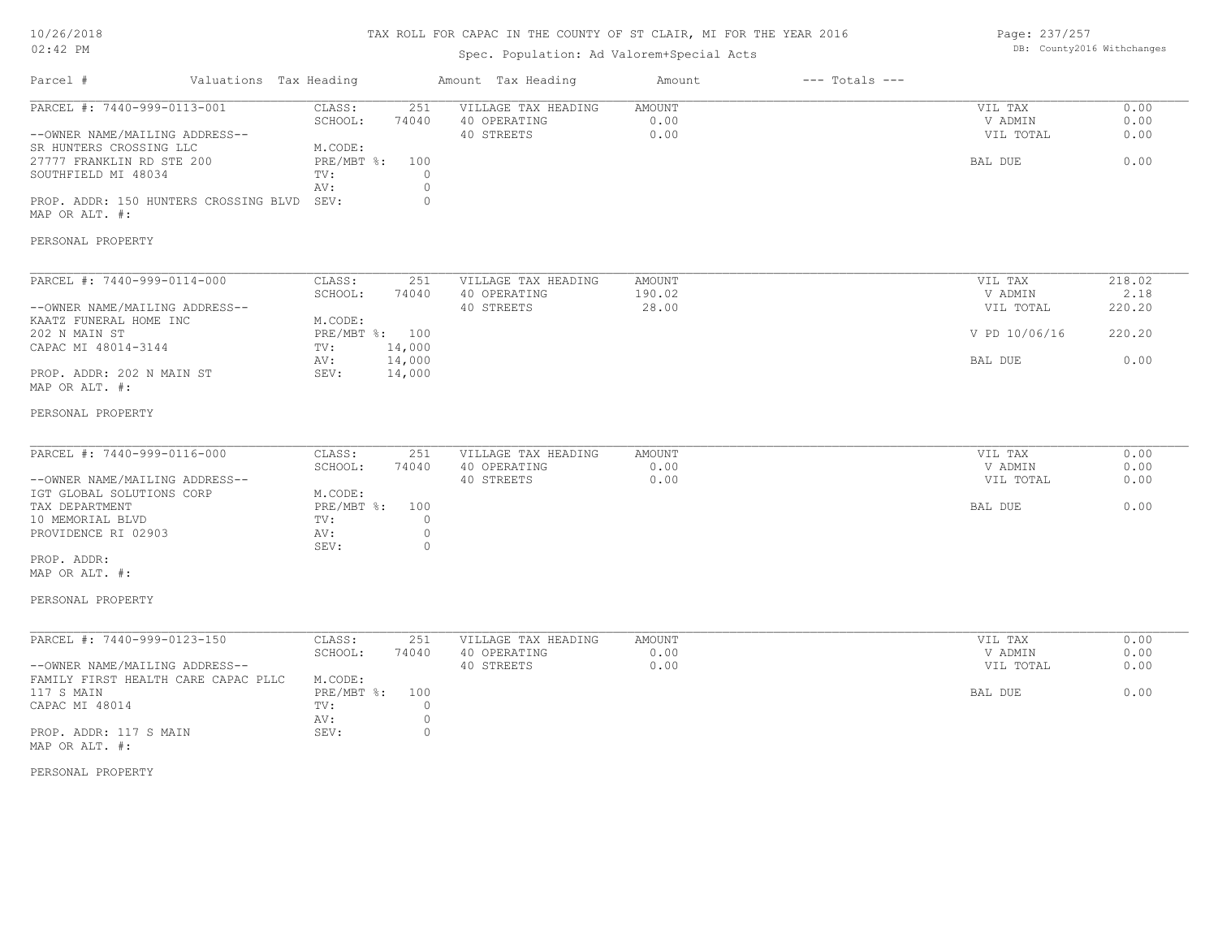## TAX ROLL FOR CAPAC IN THE COUNTY OF ST CLAIR, MI FOR THE YEAR 2016

## Spec. Population: Ad Valorem+Special Acts

Page: 237/257 DB: County2016 Withchanges

| Parcel #<br>Valuations Tax Heading                                                                                                                                                                           |                                                                                                                    | Amount Tax Heading                                | Amount                           | $---$ Totals $---$ |                                                             |                                            |
|--------------------------------------------------------------------------------------------------------------------------------------------------------------------------------------------------------------|--------------------------------------------------------------------------------------------------------------------|---------------------------------------------------|----------------------------------|--------------------|-------------------------------------------------------------|--------------------------------------------|
| PARCEL #: 7440-999-0113-001<br>--OWNER NAME/MAILING ADDRESS--<br>SR HUNTERS CROSSING LLC<br>27777 FRANKLIN RD STE 200<br>SOUTHFIELD MI 48034<br>PROP. ADDR: 150 HUNTERS CROSSING BLVD SEV:<br>MAP OR ALT. #: | CLASS:<br>251<br>SCHOOL:<br>74040<br>M.CODE:<br>PRE/MBT %: 100<br>TV:<br>$\circ$<br>$\circ$<br>AV:<br>$\circ$      | VILLAGE TAX HEADING<br>40 OPERATING<br>40 STREETS | AMOUNT<br>0.00<br>0.00           |                    | VIL TAX<br>V ADMIN<br>VIL TOTAL<br>BAL DUE                  | 0.00<br>0.00<br>0.00<br>0.00               |
| PERSONAL PROPERTY                                                                                                                                                                                            |                                                                                                                    |                                                   |                                  |                    |                                                             |                                            |
| PARCEL #: 7440-999-0114-000<br>--OWNER NAME/MAILING ADDRESS--<br>KAATZ FUNERAL HOME INC<br>202 N MAIN ST<br>CAPAC MI 48014-3144<br>PROP. ADDR: 202 N MAIN ST<br>MAP OR ALT. #:                               | CLASS:<br>251<br>SCHOOL:<br>74040<br>M.CODE:<br>PRE/MBT %: 100<br>14,000<br>TV:<br>14,000<br>AV:<br>14,000<br>SEV: | VILLAGE TAX HEADING<br>40 OPERATING<br>40 STREETS | <b>AMOUNT</b><br>190.02<br>28.00 |                    | VIL TAX<br>V ADMIN<br>VIL TOTAL<br>V PD 10/06/16<br>BAL DUE | 218.02<br>2.18<br>220.20<br>220.20<br>0.00 |
| PERSONAL PROPERTY<br>PARCEL #: 7440-999-0116-000<br>--OWNER NAME/MAILING ADDRESS--<br>IGT GLOBAL SOLUTIONS CORP                                                                                              | CLASS:<br>251<br>SCHOOL:<br>74040<br>M.CODE:                                                                       | VILLAGE TAX HEADING<br>40 OPERATING<br>40 STREETS | <b>AMOUNT</b><br>0.00<br>0.00    |                    | VIL TAX<br>V ADMIN<br>VIL TOTAL                             | 0.00<br>0.00<br>0.00                       |
| TAX DEPARTMENT<br>10 MEMORIAL BLVD<br>PROVIDENCE RI 02903<br>PROP. ADDR:<br>MAP OR ALT. #:<br>PERSONAL PROPERTY                                                                                              | PRE/MBT %: 100<br>$\circ$<br>TV:<br>$\circ$<br>AV:<br>SEV:<br>$\circ$                                              |                                                   |                                  |                    | BAL DUE                                                     | 0.00                                       |
| PARCEL #: 7440-999-0123-150<br>--OWNER NAME/MAILING ADDRESS--                                                                                                                                                | CLASS:<br>251<br>SCHOOL:<br>74040                                                                                  | VILLAGE TAX HEADING<br>40 OPERATING<br>40 STREETS | <b>AMOUNT</b><br>0.00<br>0.00    |                    | VIL TAX<br>V ADMIN<br>VIL TOTAL                             | 0.00<br>0.00<br>0.00                       |
| FAMILY FIRST HEALTH CARE CAPAC PLLC<br>117 S MAIN<br>CAPAC MI 48014<br>PROP. ADDR: 117 S MAIN<br>MAP OR ALT. #:                                                                                              | M.CODE:<br>PRE/MBT %: 100<br>$\circ$<br>TV:<br>$\circ$<br>AV:<br>$\circ$<br>SEV:                                   |                                                   |                                  |                    | BAL DUE                                                     | 0.00                                       |
| PERSONAL PROPERTY                                                                                                                                                                                            |                                                                                                                    |                                                   |                                  |                    |                                                             |                                            |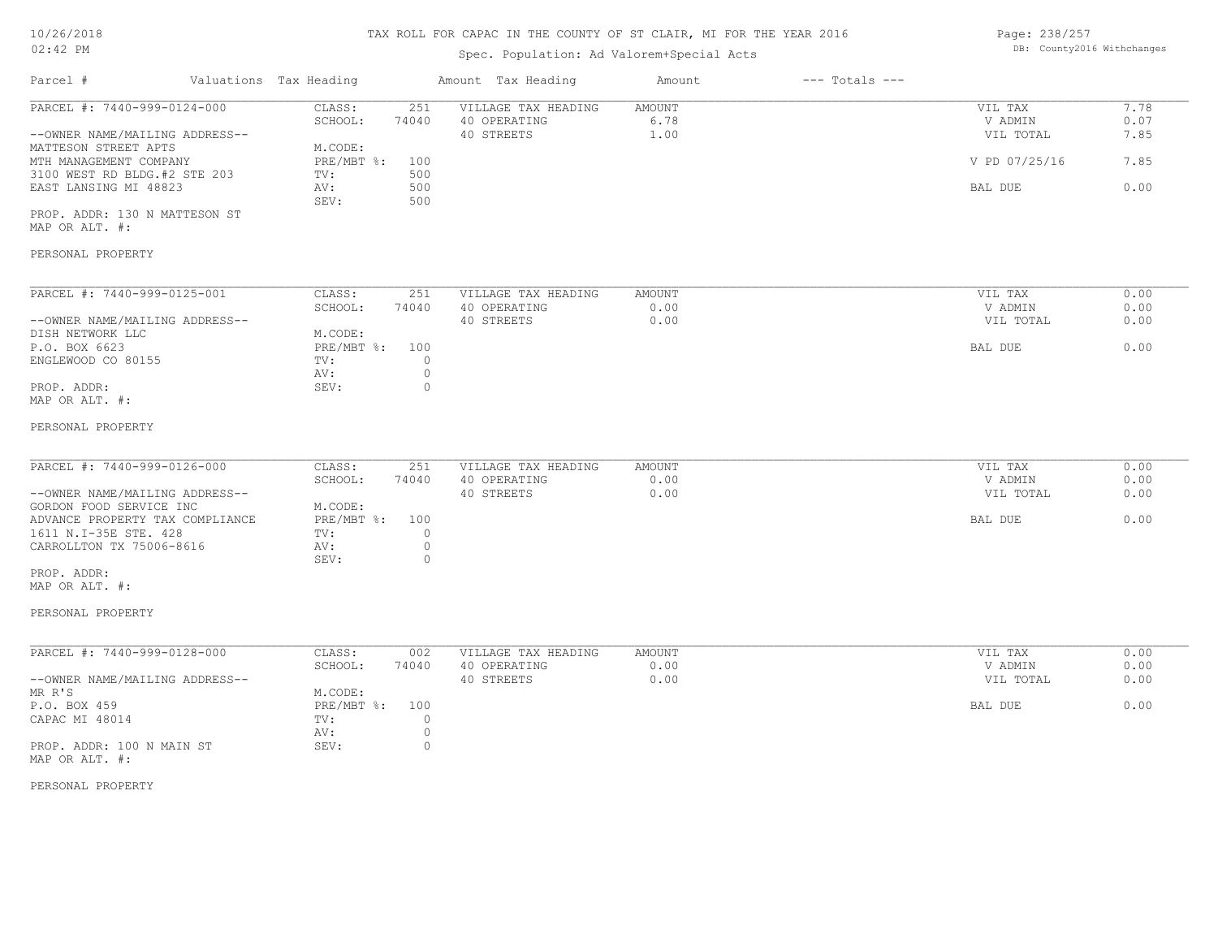# Spec. Population: Ad Valorem+Special Acts

Page: 238/257 DB: County2016 Withchanges

| Parcel #                                                                                                                                                                                                  | Valuations Tax Heading |                                                                                                                    | Amount Tax Heading                                | Amount                        | $---$ Totals $---$ |                                                             |                                      |
|-----------------------------------------------------------------------------------------------------------------------------------------------------------------------------------------------------------|------------------------|--------------------------------------------------------------------------------------------------------------------|---------------------------------------------------|-------------------------------|--------------------|-------------------------------------------------------------|--------------------------------------|
| PARCEL #: 7440-999-0124-000<br>--OWNER NAME/MAILING ADDRESS--<br>MATTESON STREET APTS<br>MTH MANAGEMENT COMPANY<br>3100 WEST RD BLDG.#2 STE 203<br>EAST LANSING MI 48823<br>PROP. ADDR: 130 N MATTESON ST |                        | CLASS:<br>251<br>SCHOOL:<br>74040<br>M.CODE:<br>$PRE/MBT$ $\div$<br>100<br>500<br>TV:<br>500<br>AV:<br>SEV:<br>500 | VILLAGE TAX HEADING<br>40 OPERATING<br>40 STREETS | AMOUNT<br>6.78<br>1.00        |                    | VIL TAX<br>V ADMIN<br>VIL TOTAL<br>V PD 07/25/16<br>BAL DUE | 7.78<br>0.07<br>7.85<br>7.85<br>0.00 |
| MAP OR ALT. #:<br>PERSONAL PROPERTY                                                                                                                                                                       |                        |                                                                                                                    |                                                   |                               |                    |                                                             |                                      |
| PARCEL #: 7440-999-0125-001<br>--OWNER NAME/MAILING ADDRESS--<br>DISH NETWORK LLC                                                                                                                         |                        | CLASS:<br>251<br>SCHOOL:<br>74040<br>M.CODE:                                                                       | VILLAGE TAX HEADING<br>40 OPERATING<br>40 STREETS | AMOUNT<br>0.00<br>0.00        |                    | VIL TAX<br>V ADMIN<br>VIL TOTAL                             | 0.00<br>0.00<br>0.00                 |
| P.O. BOX 6623<br>ENGLEWOOD CO 80155<br>PROP. ADDR:<br>MAP OR ALT. #:                                                                                                                                      |                        | $PRE/MBT$ %:<br>100<br>$\circ$<br>TV:<br>$\circ$<br>AV:<br>$\circ$<br>SEV:                                         |                                                   |                               |                    | BAL DUE                                                     | 0.00                                 |
| PERSONAL PROPERTY                                                                                                                                                                                         |                        |                                                                                                                    |                                                   |                               |                    |                                                             |                                      |
| PARCEL #: 7440-999-0126-000<br>--OWNER NAME/MAILING ADDRESS--<br>GORDON FOOD SERVICE INC                                                                                                                  |                        | CLASS:<br>251<br>SCHOOL:<br>74040<br>M.CODE:                                                                       | VILLAGE TAX HEADING<br>40 OPERATING<br>40 STREETS | <b>AMOUNT</b><br>0.00<br>0.00 |                    | VIL TAX<br>V ADMIN<br>VIL TOTAL                             | 0.00<br>0.00<br>0.00                 |
| ADVANCE PROPERTY TAX COMPLIANCE<br>1611 N.I-35E STE. 428<br>CARROLLTON TX 75006-8616<br>PROP. ADDR:                                                                                                       |                        | PRE/MBT %:<br>100<br>$\circ$<br>TV:<br>$\circ$<br>AV:<br>SEV:<br>$\circ$                                           |                                                   |                               |                    | BAL DUE                                                     | 0.00                                 |
| MAP OR ALT. #:<br>PERSONAL PROPERTY                                                                                                                                                                       |                        |                                                                                                                    |                                                   |                               |                    |                                                             |                                      |
| PARCEL #: 7440-999-0128-000<br>--OWNER NAME/MAILING ADDRESS--                                                                                                                                             |                        | CLASS:<br>002<br>SCHOOL:<br>74040                                                                                  | VILLAGE TAX HEADING<br>40 OPERATING<br>40 STREETS | AMOUNT<br>0.00<br>0.00        |                    | VIL TAX<br>V ADMIN<br>VIL TOTAL                             | 0.00<br>0.00<br>0.00                 |
| MR R'S<br>P.O. BOX 459<br>CAPAC MI 48014<br>PROP. ADDR: 100 N MAIN ST<br>MAP OR ALT. #:                                                                                                                   |                        | M.CODE:<br>$PRE/MBT$ $\div$<br>100<br>$\overline{0}$<br>TV:<br>$\circ$<br>AV:<br>SEV:<br>$\circ$                   |                                                   |                               |                    | BAL DUE                                                     | 0.00                                 |
| PERSONAL PROPERTY                                                                                                                                                                                         |                        |                                                                                                                    |                                                   |                               |                    |                                                             |                                      |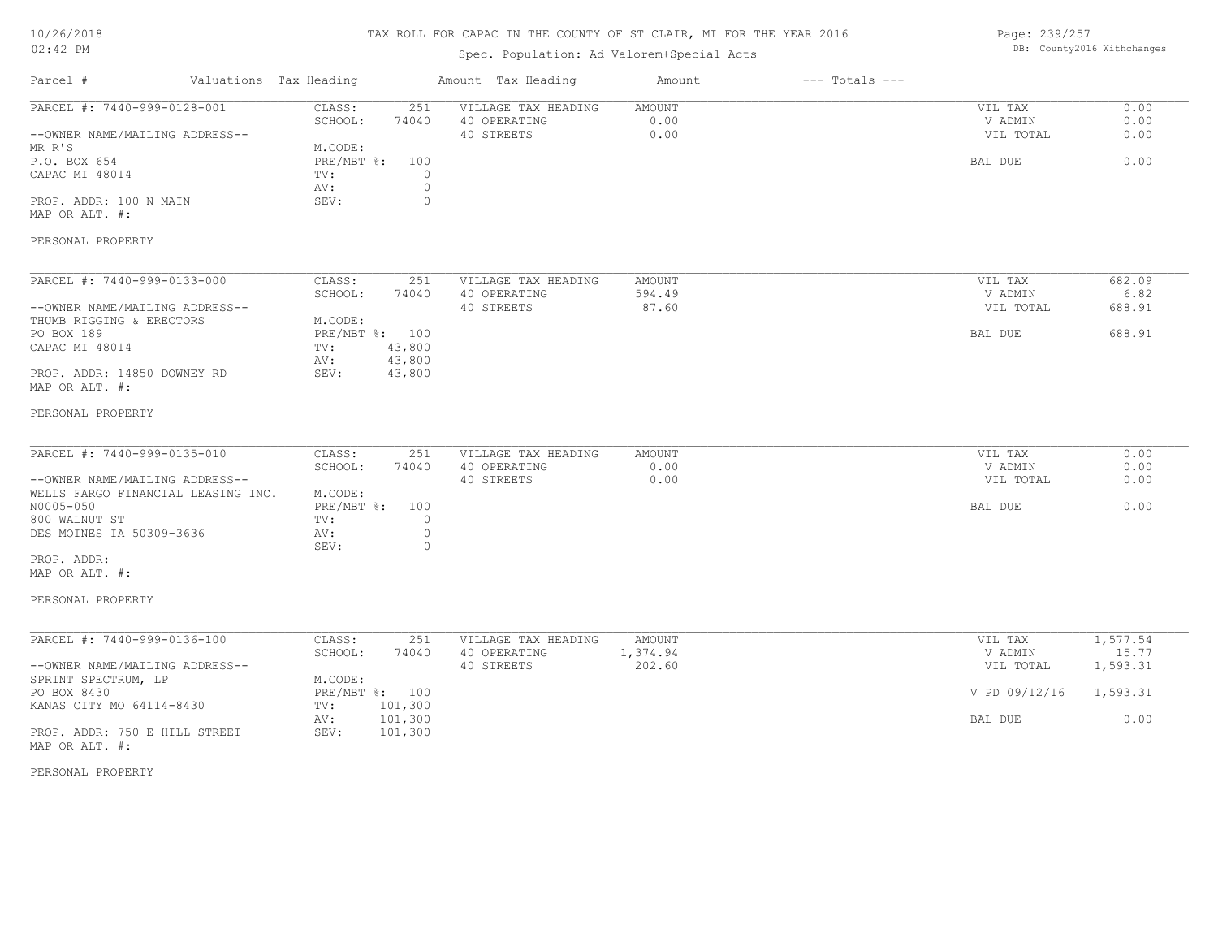## TAX ROLL FOR CAPAC IN THE COUNTY OF ST CLAIR, MI FOR THE YEAR 2016

# Spec. Population: Ad Valorem+Special Acts

Page: 239/257 DB: County2016 Withchanges

| Parcel #<br>Valuations Tax Heading                                      |                                                             | Amount Tax Heading                                | Amount                 | $---$ Totals $---$ |                                 |                      |
|-------------------------------------------------------------------------|-------------------------------------------------------------|---------------------------------------------------|------------------------|--------------------|---------------------------------|----------------------|
| PARCEL #: 7440-999-0128-001<br>--OWNER NAME/MAILING ADDRESS--<br>MR R'S | CLASS:<br>251<br>SCHOOL:<br>74040<br>M.CODE:                | VILLAGE TAX HEADING<br>40 OPERATING<br>40 STREETS | AMOUNT<br>0.00<br>0.00 |                    | VIL TAX<br>V ADMIN<br>VIL TOTAL | 0.00<br>0.00<br>0.00 |
| P.O. BOX 654<br>CAPAC MI 48014                                          | $PRE/MBT$ $\div$<br>100<br>$\circ$<br>TV:<br>$\circ$<br>AV: |                                                   |                        |                    | BAL DUE                         | 0.00                 |
| PROP. ADDR: 100 N MAIN<br>MAP OR ALT. #:                                | $\circ$<br>SEV:                                             |                                                   |                        |                    |                                 |                      |
| PERSONAL PROPERTY                                                       |                                                             |                                                   |                        |                    |                                 |                      |
| PARCEL #: 7440-999-0133-000                                             | CLASS:<br>251                                               | VILLAGE TAX HEADING                               | <b>AMOUNT</b>          |                    | VIL TAX                         | 682.09               |
| --OWNER NAME/MAILING ADDRESS--                                          | SCHOOL:<br>74040                                            | 40 OPERATING<br>40 STREETS                        | 594.49<br>87.60        |                    | V ADMIN<br>VIL TOTAL            | 6.82<br>688.91       |
| THUMB RIGGING & ERECTORS<br>PO BOX 189                                  | M.CODE:<br>PRE/MBT %: 100                                   |                                                   |                        |                    | BAL DUE                         | 688.91               |
| CAPAC MI 48014                                                          | TV:<br>43,800<br>43,800<br>AV:                              |                                                   |                        |                    |                                 |                      |
| PROP. ADDR: 14850 DOWNEY RD<br>MAP OR ALT. #:                           | 43,800<br>SEV:                                              |                                                   |                        |                    |                                 |                      |
| PERSONAL PROPERTY                                                       |                                                             |                                                   |                        |                    |                                 |                      |
| PARCEL #: 7440-999-0135-010                                             | 251<br>CLASS:                                               | VILLAGE TAX HEADING                               | AMOUNT                 |                    | VIL TAX                         | 0.00                 |
| --OWNER NAME/MAILING ADDRESS--                                          | SCHOOL:<br>74040                                            | 40 OPERATING<br>40 STREETS                        | 0.00<br>0.00           |                    | V ADMIN<br>VIL TOTAL            | 0.00<br>0.00         |
| WELLS FARGO FINANCIAL LEASING INC.<br>N0005-050                         | M.CODE:<br>$PRE/MBT$ $\div$<br>100                          |                                                   |                        |                    | BAL DUE                         | 0.00                 |
| 800 WALNUT ST<br>DES MOINES IA 50309-3636                               | $\circ$<br>TV:<br>$\circ$<br>AV:                            |                                                   |                        |                    |                                 |                      |
| PROP. ADDR:<br>MAP OR ALT. #:                                           | SEV:<br>0                                                   |                                                   |                        |                    |                                 |                      |
| PERSONAL PROPERTY                                                       |                                                             |                                                   |                        |                    |                                 |                      |
| PARCEL #: 7440-999-0136-100                                             | CLASS:<br>251                                               | VILLAGE TAX HEADING                               | AMOUNT                 |                    | VIL TAX                         | 1,577.54             |
| --OWNER NAME/MAILING ADDRESS--                                          | SCHOOL:<br>74040                                            | 40 OPERATING<br>40 STREETS                        | 1,374.94<br>202.60     |                    | V ADMIN<br>VIL TOTAL            | 15.77<br>1,593.31    |
| SPRINT SPECTRUM, LP<br>PO BOX 8430                                      | M.CODE:<br>PRE/MBT %: 100                                   |                                                   |                        |                    | V PD 09/12/16                   | 1,593.31             |
| KANAS CITY MO 64114-8430                                                | 101,300<br>TV:<br>101,300<br>AV:                            |                                                   |                        |                    | BAL DUE                         | 0.00                 |
| PROP. ADDR: 750 E HILL STREET<br>MAP OR ALT. #:                         | SEV:<br>101,300                                             |                                                   |                        |                    |                                 |                      |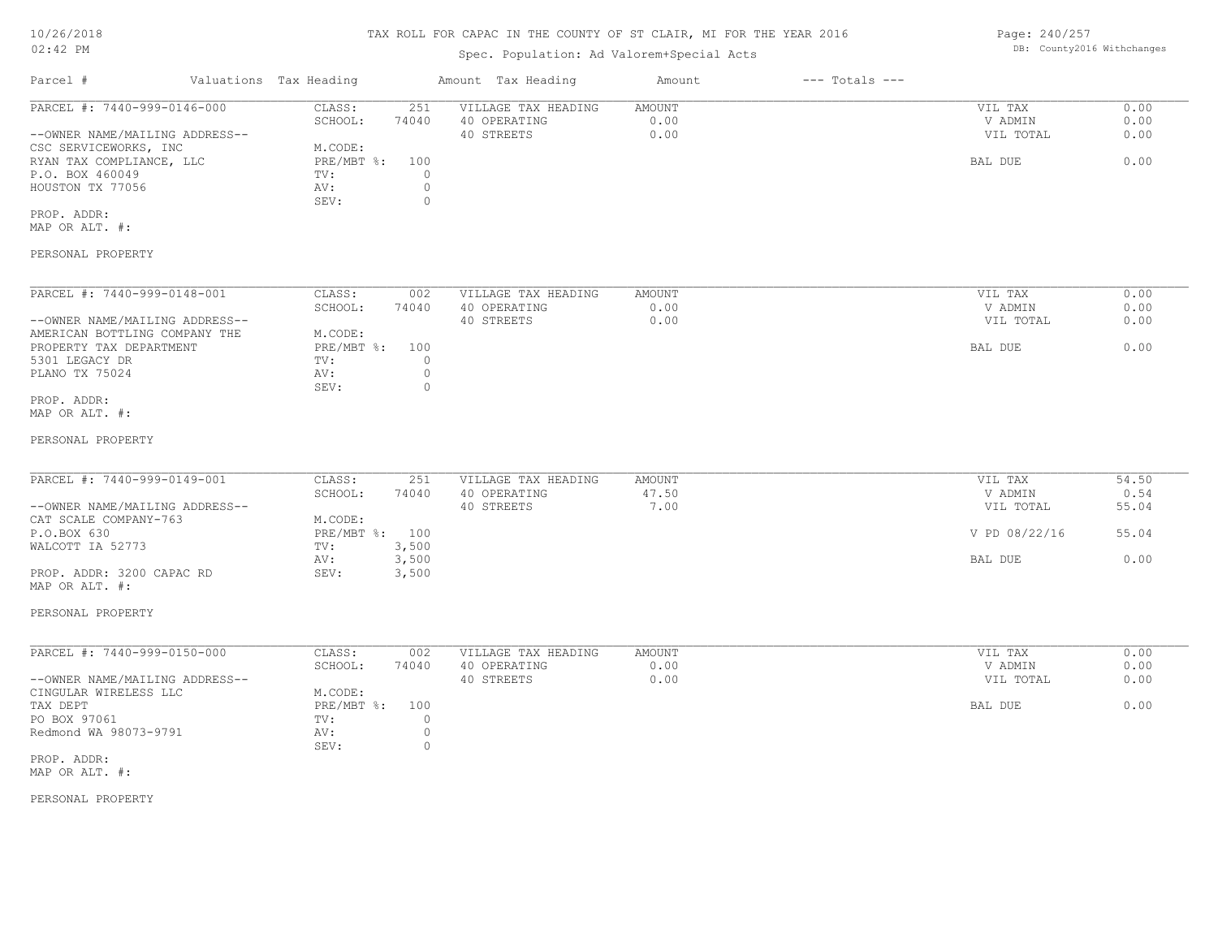## TAX ROLL FOR CAPAC IN THE COUNTY OF ST CLAIR, MI FOR THE YEAR 2016

# Spec. Population: Ad Valorem+Special Acts

| Parcel #                       |  | Valuations Tax Heading | Amount Tax Heading |                     | Amount | $---$ Totals $---$ |           |      |  |
|--------------------------------|--|------------------------|--------------------|---------------------|--------|--------------------|-----------|------|--|
| PARCEL #: 7440-999-0146-000    |  | CLASS:                 | 251                | VILLAGE TAX HEADING | AMOUNT |                    | VIL TAX   | 0.00 |  |
|                                |  | SCHOOL:                | 74040              | 40 OPERATING        | 0.00   |                    | V ADMIN   | 0.00 |  |
| --OWNER NAME/MAILING ADDRESS-- |  |                        |                    | 40 STREETS          | 0.00   |                    | VIL TOTAL | 0.00 |  |
| CSC SERVICEWORKS, INC          |  | M.CODE:                |                    |                     |        |                    |           |      |  |
| RYAN TAX COMPLIANCE, LLC       |  | PRE/MBT %: 100         |                    |                     |        |                    | BAL DUE   | 0.00 |  |
| P.O. BOX 460049                |  | TV:                    |                    |                     |        |                    |           |      |  |
| HOUSTON TX 77056               |  | AV:                    |                    |                     |        |                    |           |      |  |
|                                |  | SEV:                   |                    |                     |        |                    |           |      |  |
| PROP. ADDR:                    |  |                        |                    |                     |        |                    |           |      |  |

MAP OR ALT. #:

#### PERSONAL PROPERTY

| PARCEL #: 7440-999-0148-001    | CLASS:       | 002   | VILLAGE TAX HEADING | AMOUNT | 0.00<br>VIL TAX   |  |
|--------------------------------|--------------|-------|---------------------|--------|-------------------|--|
|                                | SCHOOL:      | 74040 | 40 OPERATING        | 0.00   | 0.00<br>V ADMIN   |  |
| --OWNER NAME/MAILING ADDRESS-- |              |       | 40 STREETS          | 0.00   | 0.00<br>VIL TOTAL |  |
| AMERICAN BOTTLING COMPANY THE  | M.CODE:      |       |                     |        |                   |  |
| PROPERTY TAX DEPARTMENT        | $PRE/MBT$ %: | 100   |                     |        | 0.00<br>BAL DUE   |  |
| 5301 LEGACY DR                 | TV:          |       |                     |        |                   |  |
| PLANO TX 75024                 | AV:          |       |                     |        |                   |  |
|                                | SEV:         |       |                     |        |                   |  |
| PROP. ADDR:                    |              |       |                     |        |                   |  |

MAP OR ALT. #:

#### PERSONAL PROPERTY

| PARCEL #: 7440-999-0149-001    | CLASS:         | 251   |                     | AMOUNT | VIL TAX       |       |
|--------------------------------|----------------|-------|---------------------|--------|---------------|-------|
|                                |                |       | VILLAGE TAX HEADING |        |               | 54.50 |
|                                | SCHOOL:        | 74040 | 40 OPERATING        | 47.50  | V ADMIN       | 0.54  |
| --OWNER NAME/MAILING ADDRESS-- |                |       | 40 STREETS          | 7.00   | VIL TOTAL     | 55.04 |
| CAT SCALE COMPANY-763          | M.CODE:        |       |                     |        |               |       |
| P.O.BOX 630                    | PRE/MBT %: 100 |       |                     |        | V PD 08/22/16 | 55.04 |
| WALCOTT IA 52773               | TV:            | 3,500 |                     |        |               |       |
|                                | AV:            | 3,500 |                     |        | BAL DUE       | 0.00  |
| PROP. ADDR: 3200 CAPAC RD      | SEV:           | 3,500 |                     |        |               |       |

PERSONAL PROPERTY

MAP OR ALT. #:

| PARCEL #: 7440-999-0150-000    | CLASS:     | 002   | VILLAGE TAX HEADING | AMOUNT | VIL TAX   | 0.00 |
|--------------------------------|------------|-------|---------------------|--------|-----------|------|
|                                | SCHOOL:    | 74040 | 40 OPERATING        | 0.00   | V ADMIN   | 0.00 |
| --OWNER NAME/MAILING ADDRESS-- |            |       | 40 STREETS          | 0.00   | VIL TOTAL | 0.00 |
| CINGULAR WIRELESS LLC          | M.CODE:    |       |                     |        |           |      |
| TAX DEPT                       | PRE/MBT %: | 100   |                     |        | BAL DUE   | 0.00 |
| PO BOX 97061                   | TV:        |       |                     |        |           |      |
| Redmond WA 98073-9791          | AV:        |       |                     |        |           |      |
|                                | SEV:       |       |                     |        |           |      |
| PROP. ADDR:                    |            |       |                     |        |           |      |

MAP OR ALT. #:

PERSONAL PROPERTY

Page: 240/257 DB: County2016 Withchanges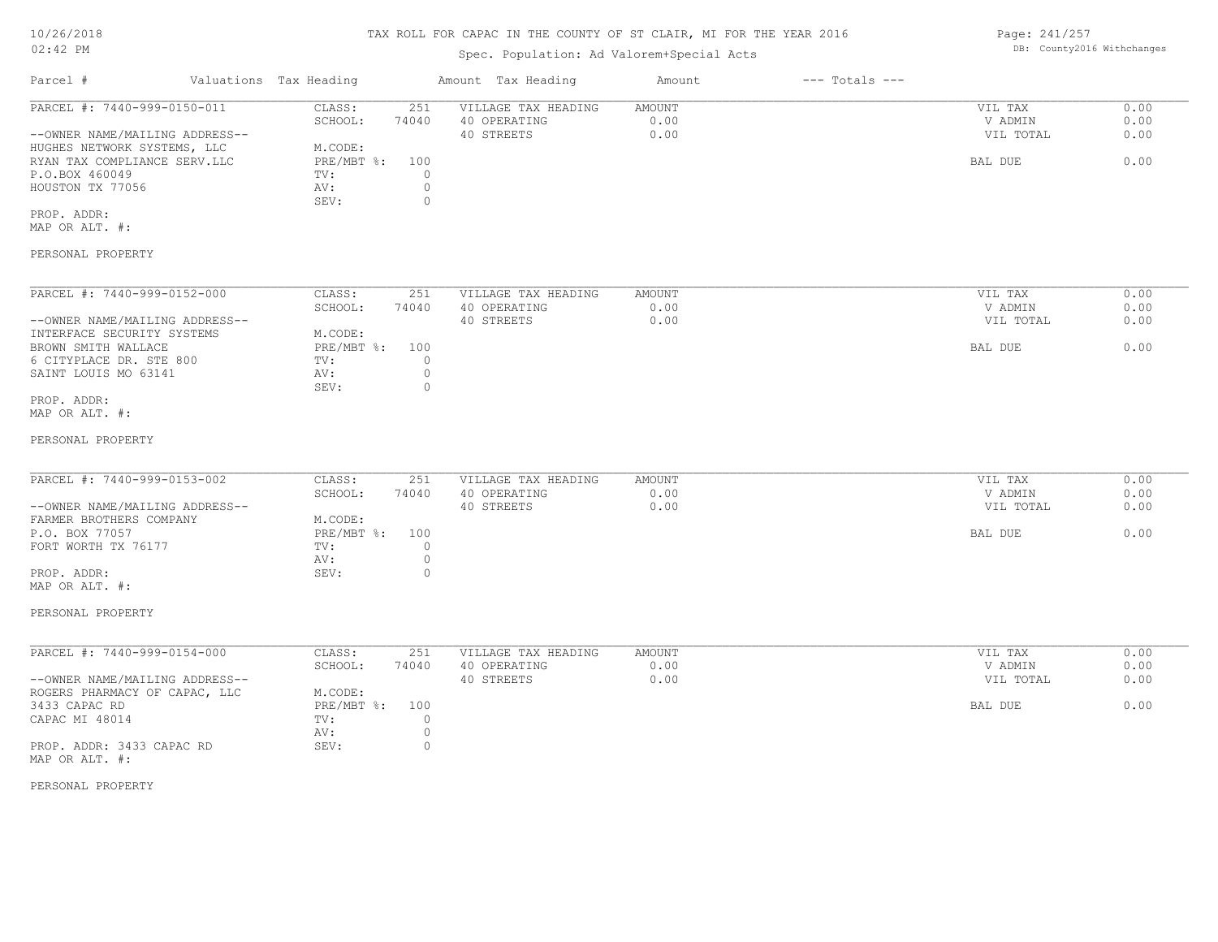## Spec. Population: Ad Valorem+Special Acts

Page: 241/257 DB: County2016 Withchanges

| Parcel #                       | Valuations Tax Heading |       | Amount Tax Heading  | Amount | $---$ Totals $---$ |           |      |
|--------------------------------|------------------------|-------|---------------------|--------|--------------------|-----------|------|
| PARCEL #: 7440-999-0150-011    | CLASS:                 | 251   | VILLAGE TAX HEADING | AMOUNT |                    | VIL TAX   | 0.00 |
|                                | SCHOOL:                | 74040 | 40 OPERATING        | 0.00   |                    | V ADMIN   | 0.00 |
| --OWNER NAME/MAILING ADDRESS-- |                        |       | 40 STREETS          | 0.00   |                    | VIL TOTAL | 0.00 |
| HUGHES NETWORK SYSTEMS, LLC    | M.CODE:                |       |                     |        |                    |           |      |
| RYAN TAX COMPLIANCE SERV.LLC   | $PRE/MBT$ %:           | 100   |                     |        |                    | BAL DUE   | 0.00 |
| P.O.BOX 460049                 | TV:                    |       |                     |        |                    |           |      |
| HOUSTON TX 77056               | AV:                    |       |                     |        |                    |           |      |
|                                | SEV:                   |       |                     |        |                    |           |      |
| PROP. ADDR:                    |                        |       |                     |        |                    |           |      |
| MAP OR ALT. #:                 |                        |       |                     |        |                    |           |      |

PERSONAL PROPERTY

| PARCEL #: 7440-999-0152-000    | CLASS:     | 251   | VILLAGE TAX HEADING | AMOUNT | 0.00<br>VIL TAX   |
|--------------------------------|------------|-------|---------------------|--------|-------------------|
|                                | SCHOOL:    | 74040 | 40 OPERATING        | 0.00   | 0.00<br>V ADMIN   |
| --OWNER NAME/MAILING ADDRESS-- |            |       | 40 STREETS          | 0.00   | 0.00<br>VIL TOTAL |
| INTERFACE SECURITY SYSTEMS     | M.CODE:    |       |                     |        |                   |
| BROWN SMITH WALLACE            | PRE/MBT %: | 100   |                     |        | 0.00<br>BAL DUE   |
| 6 CITYPLACE DR. STE 800        | TV:        |       |                     |        |                   |
| SAINT LOUIS MO 63141           | AV:        |       |                     |        |                   |
|                                | SEV:       |       |                     |        |                   |
| PROP. ADDR:                    |            |       |                     |        |                   |

MAP OR ALT. #:

#### PERSONAL PROPERTY

| PARCEL #: 7440-999-0153-002    | CLASS:         | 251   | VILLAGE TAX HEADING | AMOUNT | VIL TAX   | 0.00 |
|--------------------------------|----------------|-------|---------------------|--------|-----------|------|
|                                | SCHOOL:        | 74040 | 40 OPERATING        | 0.00   | V ADMIN   | 0.00 |
| --OWNER NAME/MAILING ADDRESS-- |                |       | 40 STREETS          | 0.00   | VIL TOTAL | 0.00 |
| FARMER BROTHERS COMPANY        | M.CODE:        |       |                     |        |           |      |
| P.O. BOX 77057                 | PRE/MBT %: 100 |       |                     |        | BAL DUE   | 0.00 |
| FORT WORTH TX 76177            | TV:            |       |                     |        |           |      |
|                                | AV:            |       |                     |        |           |      |
| PROP. ADDR:                    | SEV:           |       |                     |        |           |      |
| MAP OR ALT. #:                 |                |       |                     |        |           |      |

PERSONAL PROPERTY

| PARCEL #: 7440-999-0154-000    | CLASS:       | 251   | VILLAGE TAX HEADING | AMOUNT | VIL TAX   | 0.00 |
|--------------------------------|--------------|-------|---------------------|--------|-----------|------|
|                                | SCHOOL:      | 74040 | 40 OPERATING        | 0.00   | V ADMIN   | 0.00 |
| --OWNER NAME/MAILING ADDRESS-- |              |       | 40 STREETS          | 0.00   | VIL TOTAL | 0.00 |
| ROGERS PHARMACY OF CAPAC, LLC  | M.CODE:      |       |                     |        |           |      |
| 3433 CAPAC RD                  | $PRE/MBT$ %: | 100   |                     |        | BAL DUE   | 0.00 |
| CAPAC MI 48014                 | TV:          |       |                     |        |           |      |
|                                | AV:          |       |                     |        |           |      |
| PROP. ADDR: 3433 CAPAC RD      | SEV:         |       |                     |        |           |      |
| MAP OR ALT. #:                 |              |       |                     |        |           |      |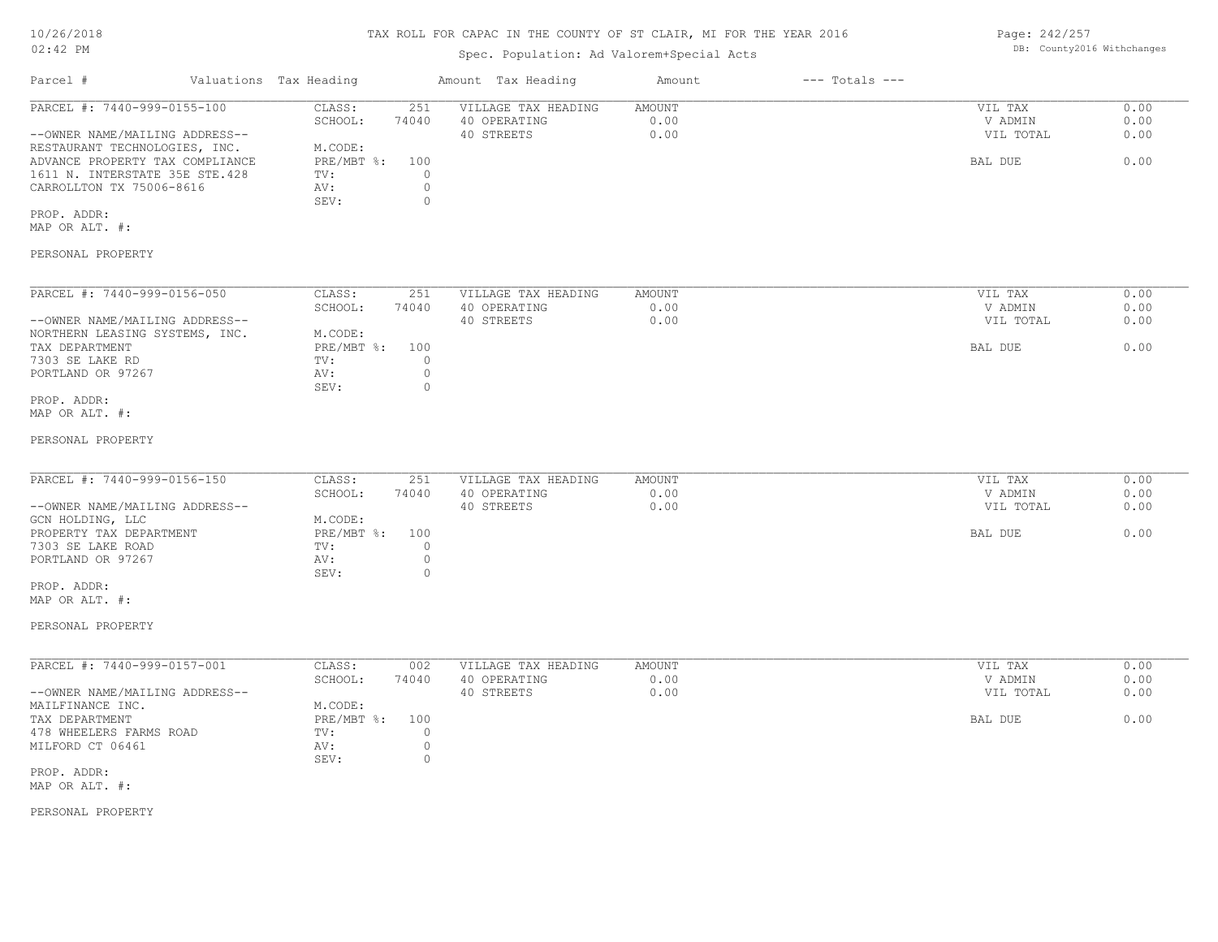## TAX ROLL FOR CAPAC IN THE COUNTY OF ST CLAIR, MI FOR THE YEAR 2016

# Spec. Population: Ad Valorem+Special Acts

| Parcel #                        | Valuations Tax Heading |       | Amount Tax Heading  | Amount | $---$ Totals $---$ |           |      |
|---------------------------------|------------------------|-------|---------------------|--------|--------------------|-----------|------|
| PARCEL #: 7440-999-0155-100     | CLASS:                 | 251   | VILLAGE TAX HEADING | AMOUNT |                    | VIL TAX   | 0.00 |
|                                 | SCHOOL:                | 74040 | 40 OPERATING        | 0.00   |                    | V ADMIN   | 0.00 |
| --OWNER NAME/MAILING ADDRESS--  |                        |       | 40 STREETS          | 0.00   |                    | VIL TOTAL | 0.00 |
| RESTAURANT TECHNOLOGIES, INC.   | M.CODE:                |       |                     |        |                    |           |      |
| ADVANCE PROPERTY TAX COMPLIANCE | $PRE/MBT$ %:           | 100   |                     |        |                    | BAL DUE   | 0.00 |
| 1611 N. INTERSTATE 35E STE.428  | TV:                    |       |                     |        |                    |           |      |
| CARROLLTON TX 75006-8616        | AV:                    |       |                     |        |                    |           |      |
|                                 | SEV:                   |       |                     |        |                    |           |      |
|                                 |                        |       |                     |        |                    |           |      |

PROP. ADDR:

MAP OR ALT. #:

#### PERSONAL PROPERTY

| PARCEL #: 7440-999-0156-050    | CLASS:     | 251   | VILLAGE TAX HEADING | AMOUNT | 0.00<br>VIL TAX   |
|--------------------------------|------------|-------|---------------------|--------|-------------------|
|                                | SCHOOL:    | 74040 | 40 OPERATING        | 0.00   | 0.00<br>V ADMIN   |
| --OWNER NAME/MAILING ADDRESS-- |            |       | 40 STREETS          | 0.00   | VIL TOTAL<br>0.00 |
| NORTHERN LEASING SYSTEMS, INC. | M.CODE:    |       |                     |        |                   |
| TAX DEPARTMENT                 | PRE/MBT %: | 100   |                     |        | 0.00<br>BAL DUE   |
| 7303 SE LAKE RD                | TV:        |       |                     |        |                   |
| PORTLAND OR 97267              | AV:        |       |                     |        |                   |
|                                | SEV:       |       |                     |        |                   |
| PROP. ADDR:                    |            |       |                     |        |                   |

MAP OR ALT. #:

#### PERSONAL PROPERTY

| PARCEL #: 7440-999-0156-150    | CLASS:     | 251   | VILLAGE TAX HEADING | AMOUNT | VIL TAX   | 0.00 |
|--------------------------------|------------|-------|---------------------|--------|-----------|------|
|                                | SCHOOL:    | 74040 | 40 OPERATING        | 0.00   | V ADMIN   | 0.00 |
| --OWNER NAME/MAILING ADDRESS-- |            |       | 40 STREETS          | 0.00   | VIL TOTAL | 0.00 |
| GCN HOLDING, LLC               | M.CODE:    |       |                     |        |           |      |
| PROPERTY TAX DEPARTMENT        | PRE/MBT %: | 100   |                     |        | BAL DUE   | 0.00 |
| 7303 SE LAKE ROAD              | TV:        |       |                     |        |           |      |
| PORTLAND OR 97267              | AV:        |       |                     |        |           |      |
|                                | SEV:       |       |                     |        |           |      |

MAP OR ALT. #: PROP. ADDR:

PERSONAL PROPERTY

| PARCEL #: 7440-999-0157-001                                                                                     | CLASS:       | 002   | VILLAGE TAX HEADING | AMOUNT | VIL TAX   | 0.00 |
|-----------------------------------------------------------------------------------------------------------------|--------------|-------|---------------------|--------|-----------|------|
|                                                                                                                 | SCHOOL:      | 74040 | 40 OPERATING        | 0.00   | V ADMIN   | 0.00 |
| --OWNER NAME/MAILING ADDRESS--                                                                                  |              |       | 40 STREETS          | 0.00   | VIL TOTAL | 0.00 |
| MAILFINANCE INC.                                                                                                | M.CODE:      |       |                     |        |           |      |
| TAX DEPARTMENT                                                                                                  | $PRE/MBT$ %: | 100   |                     |        | BAL DUE   | 0.00 |
| 478 WHEELERS FARMS ROAD                                                                                         | TV:          |       |                     |        |           |      |
| MILFORD CT 06461                                                                                                | AV:          |       |                     |        |           |      |
|                                                                                                                 | SEV:         |       |                     |        |           |      |
| the contract of the contract of the contract of the contract of the contract of the contract of the contract of |              |       |                     |        |           |      |

MAP OR ALT. #: PROP. ADDR:

PERSONAL PROPERTY

Page: 242/257 DB: County2016 Withchanges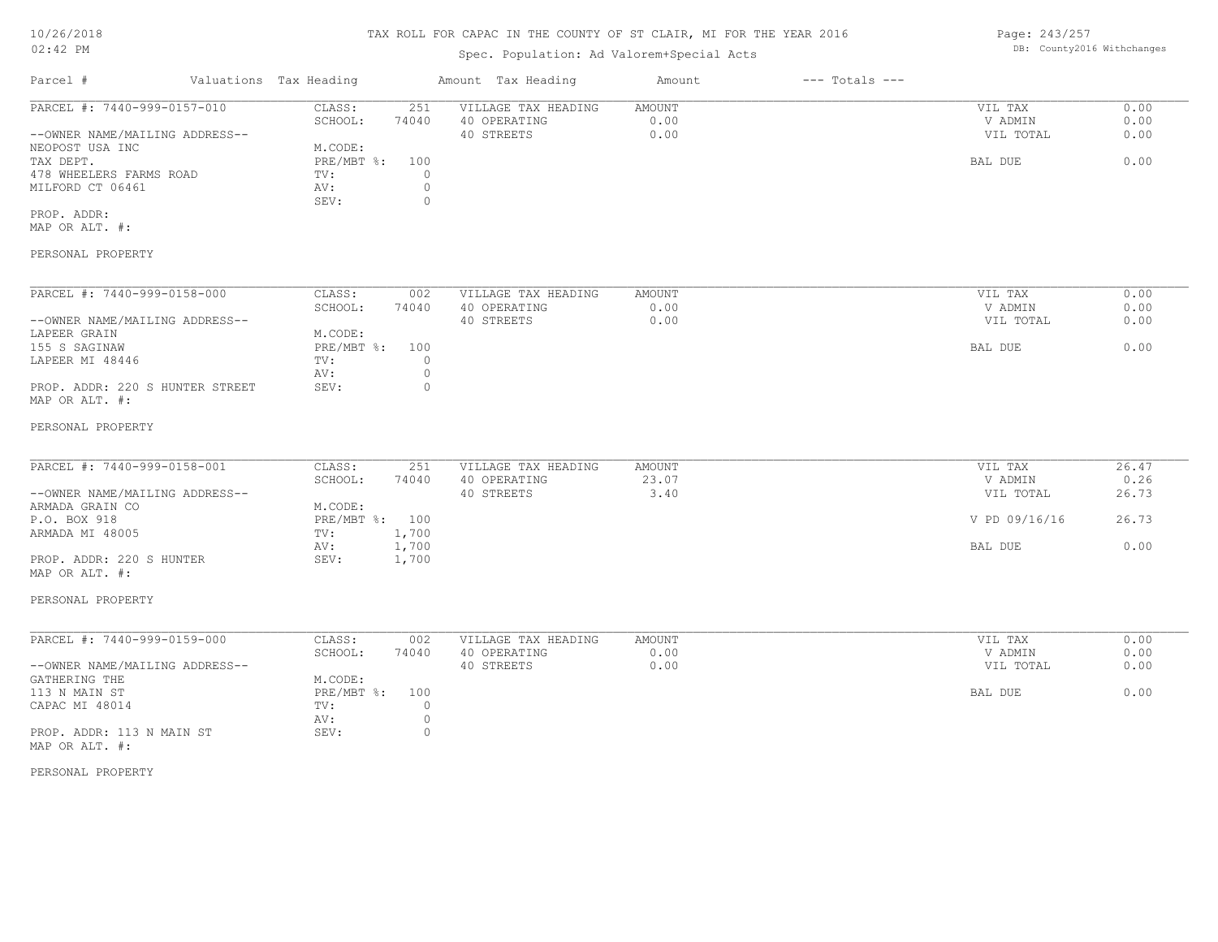## TAX ROLL FOR CAPAC IN THE COUNTY OF ST CLAIR, MI FOR THE YEAR 2016

# Spec. Population: Ad Valorem+Special Acts

| Parcel #                       | Valuations Tax Heading |       | Amount Tax Heading  | Amount | $---$ Totals $---$ |           |      |
|--------------------------------|------------------------|-------|---------------------|--------|--------------------|-----------|------|
| PARCEL #: 7440-999-0157-010    | CLASS:                 | 251   | VILLAGE TAX HEADING | AMOUNT |                    | VIL TAX   | 0.00 |
|                                | SCHOOL:                | 74040 | 40 OPERATING        | 0.00   |                    | V ADMIN   | 0.00 |
| --OWNER NAME/MAILING ADDRESS-- |                        |       | 40 STREETS          | 0.00   |                    | VIL TOTAL | 0.00 |
| NEOPOST USA INC                | M.CODE:                |       |                     |        |                    |           |      |
| TAX DEPT.                      | PRE/MBT %: 100         |       |                     |        |                    | BAL DUE   | 0.00 |
| 478 WHEELERS FARMS ROAD        | TV:                    |       |                     |        |                    |           |      |
| MILFORD CT 06461               | AV:                    |       |                     |        |                    |           |      |
|                                | SEV:                   |       |                     |        |                    |           |      |
| PROP. ADDR:                    |                        |       |                     |        |                    |           |      |

MAP OR ALT. #:

#### PERSONAL PROPERTY

| PARCEL #: 7440-999-0158-000     | CLASS:     | 002   | VILLAGE TAX HEADING | AMOUNT | VIL TAX   | 0.00 |
|---------------------------------|------------|-------|---------------------|--------|-----------|------|
|                                 | SCHOOL:    | 74040 | 40 OPERATING        | 0.00   | V ADMIN   | 0.00 |
| --OWNER NAME/MAILING ADDRESS--  |            |       | 40 STREETS          | 0.00   | VIL TOTAL | 0.00 |
| LAPEER GRAIN                    | M.CODE:    |       |                     |        |           |      |
| 155 S SAGINAW                   | PRE/MBT %: | 100   |                     |        | BAL DUE   | 0.00 |
| LAPEER MI 48446                 | TV:        |       |                     |        |           |      |
|                                 | AV:        |       |                     |        |           |      |
| PROP. ADDR: 220 S HUNTER STREET | SEV:       |       |                     |        |           |      |
| MAP OR ALT. #:                  |            |       |                     |        |           |      |

#### PERSONAL PROPERTY

| PARCEL #: 7440-999-0158-001    | CLASS:         | 251   | VILLAGE TAX HEADING | AMOUNT | VIL TAX       | 26.47 |
|--------------------------------|----------------|-------|---------------------|--------|---------------|-------|
|                                | SCHOOL:        | 74040 | 40 OPERATING        | 23.07  | V ADMIN       | 0.26  |
| --OWNER NAME/MAILING ADDRESS-- |                |       | 40 STREETS          | 3.40   | VIL TOTAL     | 26.73 |
| ARMADA GRAIN CO                | M.CODE:        |       |                     |        |               |       |
| P.O. BOX 918                   | PRE/MBT %: 100 |       |                     |        | V PD 09/16/16 | 26.73 |
| ARMADA MI 48005                | TV:            | 1,700 |                     |        |               |       |
|                                | AV:            | 1,700 |                     |        | BAL DUE       | 0.00  |
| PROP. ADDR: 220 S HUNTER       | SEV:           | 1,700 |                     |        |               |       |
| MAP OR ALT. #:                 |                |       |                     |        |               |       |

#### PERSONAL PROPERTY

| PARCEL #: 7440-999-0159-000    | CLASS:         | 002   | VILLAGE TAX HEADING | AMOUNT | VIL TAX   | 0.00 |
|--------------------------------|----------------|-------|---------------------|--------|-----------|------|
|                                | SCHOOL:        | 74040 | 40 OPERATING        | 0.00   | V ADMIN   | 0.00 |
| --OWNER NAME/MAILING ADDRESS-- |                |       | 40 STREETS          | 0.00   | VIL TOTAL | 0.00 |
| GATHERING THE                  | M.CODE:        |       |                     |        |           |      |
| 113 N MAIN ST                  | PRE/MBT %: 100 |       |                     |        | BAL DUE   | 0.00 |
| CAPAC MI 48014                 | TV:            |       |                     |        |           |      |
|                                | AV:            |       |                     |        |           |      |
| PROP. ADDR: 113 N MAIN ST      | SEV:           |       |                     |        |           |      |
| MAP OR ALT. #:                 |                |       |                     |        |           |      |

#### PERSONAL PROPERTY

Page: 243/257 DB: County2016 Withchanges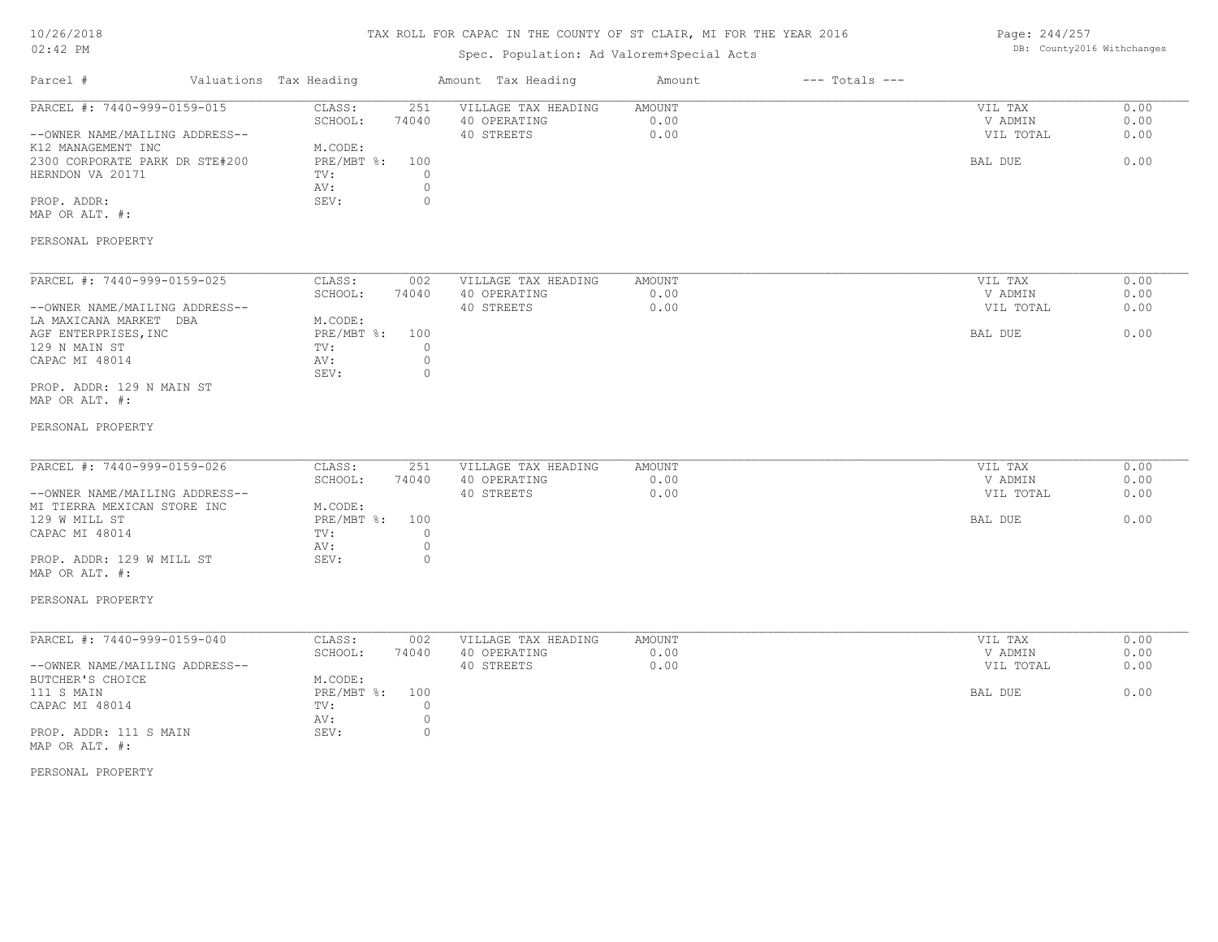## TAX ROLL FOR CAPAC IN THE COUNTY OF ST CLAIR, MI FOR THE YEAR 2016

# Spec. Population: Ad Valorem+Special Acts

Page: 244/257 DB: County2016 Withchanges

| PARCEL #: 7440-999-0159-015<br>CLASS:<br>251<br>VILLAGE TAX HEADING<br>AMOUNT<br>VIL TAX<br>0.00<br>74040<br>0.00<br>0.00<br>SCHOOL:<br>40 OPERATING<br>V ADMIN<br>40 STREETS<br>0.00<br>0.00<br>--OWNER NAME/MAILING ADDRESS--<br>VIL TOTAL<br>K12 MANAGEMENT INC<br>M.CODE:<br>0.00<br>2300 CORPORATE PARK DR STE#200<br>PRE/MBT %:<br>100<br>BAL DUE<br>$\circ$<br>HERNDON VA 20171<br>TV:<br>$\mathbb O$<br>AV:<br>$\circ$<br>PROP. ADDR:<br>SEV:<br>MAP OR ALT. #:<br>PERSONAL PROPERTY<br>PARCEL #: 7440-999-0159-025<br>CLASS:<br>0.00<br>002<br>VILLAGE TAX HEADING<br>AMOUNT<br>VIL TAX<br>0.00<br>40 OPERATING<br>0.00<br>SCHOOL:<br>74040<br>V ADMIN<br>--OWNER NAME/MAILING ADDRESS--<br>40 STREETS<br>0.00<br>VIL TOTAL<br>0.00<br>M.CODE:<br>LA MAXICANA MARKET DBA<br>0.00<br>PRE/MBT %:<br>AGF ENTERPRISES, INC<br>100<br>BAL DUE<br>129 N MAIN ST<br>TV:<br>$\circ$<br>$\circ$<br>CAPAC MI 48014<br>AV:<br>$\circ$<br>SEV:<br>PROP. ADDR: 129 N MAIN ST<br>MAP OR ALT. #:<br>PERSONAL PROPERTY<br>PARCEL #: 7440-999-0159-026<br>CLASS:<br>251<br>0.00<br>VILLAGE TAX HEADING<br>AMOUNT<br>VIL TAX<br>74040<br>0.00<br>0.00<br>SCHOOL:<br>40 OPERATING<br>V ADMIN<br>40 STREETS<br>0.00<br>0.00<br>--OWNER NAME/MAILING ADDRESS--<br>VIL TOTAL<br>MI TIERRA MEXICAN STORE INC<br>M.CODE:<br>0.00<br>129 W MILL ST<br>PRE/MBT %:<br>100<br>BAL DUE<br>CAPAC MI 48014<br>TV:<br>$\circ$<br>$\mathbb O$<br>AV:<br>$\circ$<br>PROP. ADDR: 129 W MILL ST<br>SEV:<br>MAP OR ALT. #:<br>PERSONAL PROPERTY<br>PARCEL #: 7440-999-0159-040<br>CLASS:<br>0.00<br>VILLAGE TAX HEADING<br>AMOUNT<br>VIL TAX<br>002<br>SCHOOL:<br>74040<br>40 OPERATING<br>0.00<br>V ADMIN<br>0.00<br>--OWNER NAME/MAILING ADDRESS--<br>40 STREETS<br>0.00<br>VIL TOTAL<br>0.00<br>BUTCHER'S CHOICE<br>M.CODE:<br>0.00<br>111 S MAIN<br>PRE/MBT %:<br>100<br>BAL DUE<br>$\circ$<br>CAPAC MI 48014<br>TV:<br>$\circ$<br>AV:<br>SEV:<br>$\circ$<br>PROP. ADDR: 111 S MAIN<br>MAP OR ALT. #:<br>PERSONAL PROPERTY | Parcel # | Valuations Tax Heading | Amount Tax Heading | Amount | $---$ Totals $---$ |  |
|----------------------------------------------------------------------------------------------------------------------------------------------------------------------------------------------------------------------------------------------------------------------------------------------------------------------------------------------------------------------------------------------------------------------------------------------------------------------------------------------------------------------------------------------------------------------------------------------------------------------------------------------------------------------------------------------------------------------------------------------------------------------------------------------------------------------------------------------------------------------------------------------------------------------------------------------------------------------------------------------------------------------------------------------------------------------------------------------------------------------------------------------------------------------------------------------------------------------------------------------------------------------------------------------------------------------------------------------------------------------------------------------------------------------------------------------------------------------------------------------------------------------------------------------------------------------------------------------------------------------------------------------------------------------------------------------------------------------------------------------------------------------------------------------------------------------------------------------------------------------------------------------------------------------------------------------------------------------------------------------------|----------|------------------------|--------------------|--------|--------------------|--|
|                                                                                                                                                                                                                                                                                                                                                                                                                                                                                                                                                                                                                                                                                                                                                                                                                                                                                                                                                                                                                                                                                                                                                                                                                                                                                                                                                                                                                                                                                                                                                                                                                                                                                                                                                                                                                                                                                                                                                                                                    |          |                        |                    |        |                    |  |
|                                                                                                                                                                                                                                                                                                                                                                                                                                                                                                                                                                                                                                                                                                                                                                                                                                                                                                                                                                                                                                                                                                                                                                                                                                                                                                                                                                                                                                                                                                                                                                                                                                                                                                                                                                                                                                                                                                                                                                                                    |          |                        |                    |        |                    |  |
|                                                                                                                                                                                                                                                                                                                                                                                                                                                                                                                                                                                                                                                                                                                                                                                                                                                                                                                                                                                                                                                                                                                                                                                                                                                                                                                                                                                                                                                                                                                                                                                                                                                                                                                                                                                                                                                                                                                                                                                                    |          |                        |                    |        |                    |  |
|                                                                                                                                                                                                                                                                                                                                                                                                                                                                                                                                                                                                                                                                                                                                                                                                                                                                                                                                                                                                                                                                                                                                                                                                                                                                                                                                                                                                                                                                                                                                                                                                                                                                                                                                                                                                                                                                                                                                                                                                    |          |                        |                    |        |                    |  |
|                                                                                                                                                                                                                                                                                                                                                                                                                                                                                                                                                                                                                                                                                                                                                                                                                                                                                                                                                                                                                                                                                                                                                                                                                                                                                                                                                                                                                                                                                                                                                                                                                                                                                                                                                                                                                                                                                                                                                                                                    |          |                        |                    |        |                    |  |
|                                                                                                                                                                                                                                                                                                                                                                                                                                                                                                                                                                                                                                                                                                                                                                                                                                                                                                                                                                                                                                                                                                                                                                                                                                                                                                                                                                                                                                                                                                                                                                                                                                                                                                                                                                                                                                                                                                                                                                                                    |          |                        |                    |        |                    |  |
|                                                                                                                                                                                                                                                                                                                                                                                                                                                                                                                                                                                                                                                                                                                                                                                                                                                                                                                                                                                                                                                                                                                                                                                                                                                                                                                                                                                                                                                                                                                                                                                                                                                                                                                                                                                                                                                                                                                                                                                                    |          |                        |                    |        |                    |  |
|                                                                                                                                                                                                                                                                                                                                                                                                                                                                                                                                                                                                                                                                                                                                                                                                                                                                                                                                                                                                                                                                                                                                                                                                                                                                                                                                                                                                                                                                                                                                                                                                                                                                                                                                                                                                                                                                                                                                                                                                    |          |                        |                    |        |                    |  |
|                                                                                                                                                                                                                                                                                                                                                                                                                                                                                                                                                                                                                                                                                                                                                                                                                                                                                                                                                                                                                                                                                                                                                                                                                                                                                                                                                                                                                                                                                                                                                                                                                                                                                                                                                                                                                                                                                                                                                                                                    |          |                        |                    |        |                    |  |
|                                                                                                                                                                                                                                                                                                                                                                                                                                                                                                                                                                                                                                                                                                                                                                                                                                                                                                                                                                                                                                                                                                                                                                                                                                                                                                                                                                                                                                                                                                                                                                                                                                                                                                                                                                                                                                                                                                                                                                                                    |          |                        |                    |        |                    |  |
|                                                                                                                                                                                                                                                                                                                                                                                                                                                                                                                                                                                                                                                                                                                                                                                                                                                                                                                                                                                                                                                                                                                                                                                                                                                                                                                                                                                                                                                                                                                                                                                                                                                                                                                                                                                                                                                                                                                                                                                                    |          |                        |                    |        |                    |  |
|                                                                                                                                                                                                                                                                                                                                                                                                                                                                                                                                                                                                                                                                                                                                                                                                                                                                                                                                                                                                                                                                                                                                                                                                                                                                                                                                                                                                                                                                                                                                                                                                                                                                                                                                                                                                                                                                                                                                                                                                    |          |                        |                    |        |                    |  |
|                                                                                                                                                                                                                                                                                                                                                                                                                                                                                                                                                                                                                                                                                                                                                                                                                                                                                                                                                                                                                                                                                                                                                                                                                                                                                                                                                                                                                                                                                                                                                                                                                                                                                                                                                                                                                                                                                                                                                                                                    |          |                        |                    |        |                    |  |
|                                                                                                                                                                                                                                                                                                                                                                                                                                                                                                                                                                                                                                                                                                                                                                                                                                                                                                                                                                                                                                                                                                                                                                                                                                                                                                                                                                                                                                                                                                                                                                                                                                                                                                                                                                                                                                                                                                                                                                                                    |          |                        |                    |        |                    |  |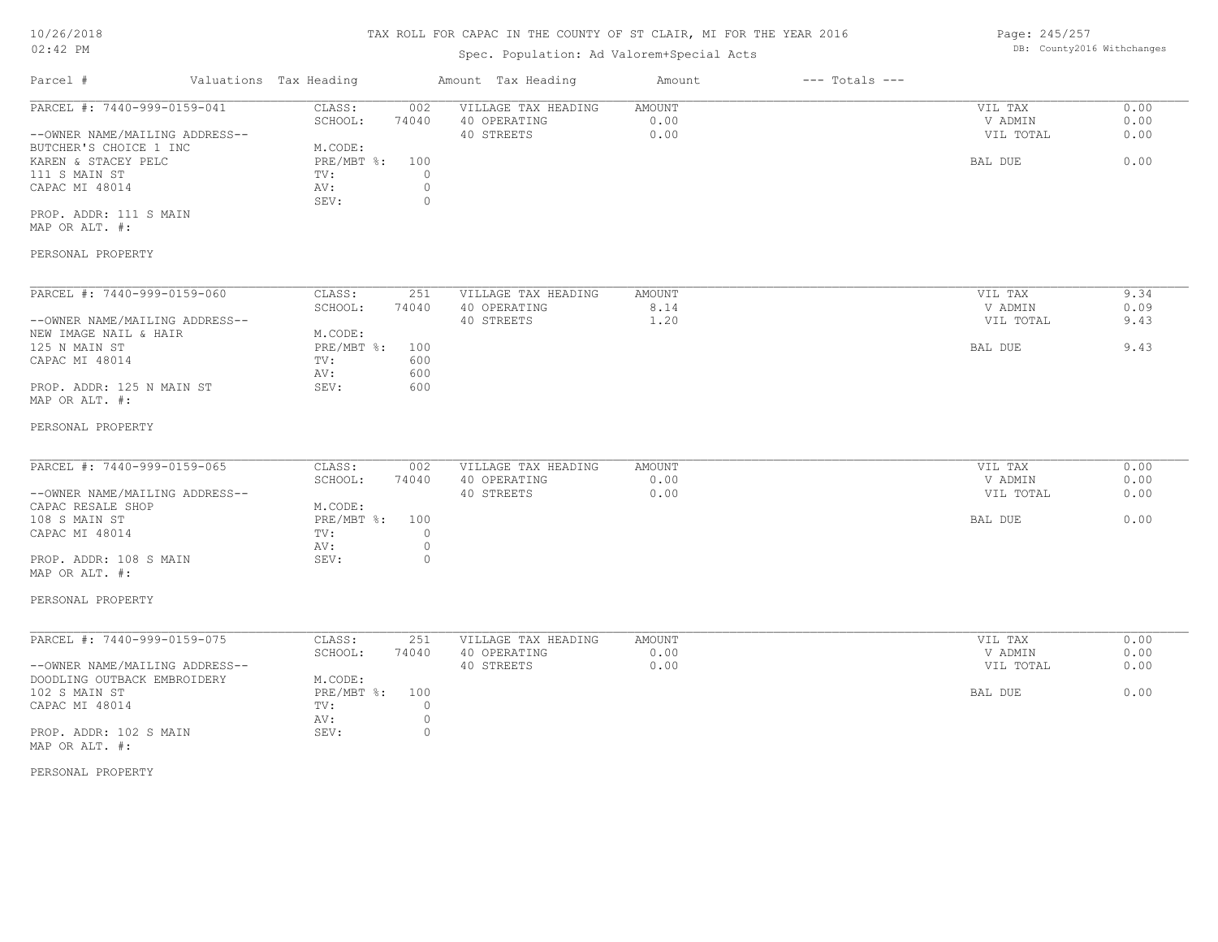## Spec. Population: Ad Valorem+Special Acts

Page: 245/257 DB: County2016 Withchanges

| Parcel #                       | Valuations Tax Heading |       | Amount Tax Heading  | Amount | $---$ Totals $---$ |           |      |
|--------------------------------|------------------------|-------|---------------------|--------|--------------------|-----------|------|
| PARCEL #: 7440-999-0159-041    | CLASS:                 | 002   | VILLAGE TAX HEADING | AMOUNT |                    | VIL TAX   | 0.00 |
|                                | SCHOOL:                | 74040 | 40 OPERATING        | 0.00   |                    | V ADMIN   | 0.00 |
| --OWNER NAME/MAILING ADDRESS-- |                        |       | 40 STREETS          | 0.00   |                    | VIL TOTAL | 0.00 |
| BUTCHER'S CHOICE 1 INC         | M.CODE:                |       |                     |        |                    |           |      |
| KAREN & STACEY PELC            | PRE/MBT %: 100         |       |                     |        |                    | BAL DUE   | 0.00 |
| 111 S MAIN ST                  | TV:                    |       |                     |        |                    |           |      |
| CAPAC MI 48014                 | AV:                    |       |                     |        |                    |           |      |
|                                | SEV:                   |       |                     |        |                    |           |      |
| PROP. ADDR: 111 S MAIN         |                        |       |                     |        |                    |           |      |
| MAP OR ALT. #:                 |                        |       |                     |        |                    |           |      |

#### PERSONAL PROPERTY

| PARCEL #: 7440-999-0159-060    | CLASS:     | 251   | VILLAGE TAX HEADING | AMOUNT | VIL TAX   | 9.34 |
|--------------------------------|------------|-------|---------------------|--------|-----------|------|
|                                | SCHOOL:    | 74040 | 40 OPERATING        | 8.14   | V ADMIN   | 0.09 |
| --OWNER NAME/MAILING ADDRESS-- |            |       | 40 STREETS          | 1.20   | VIL TOTAL | 9.43 |
| NEW IMAGE NAIL & HAIR          | M.CODE:    |       |                     |        |           |      |
| 125 N MAIN ST                  | PRE/MBT %: | 100   |                     |        | BAL DUE   | 9.43 |
| CAPAC MI 48014                 | TV:        | 600   |                     |        |           |      |
|                                | AV:        | 600   |                     |        |           |      |
| PROP. ADDR: 125 N MAIN ST      | SEV:       | 600   |                     |        |           |      |
| MAP OR ALT. #:                 |            |       |                     |        |           |      |

#### PERSONAL PROPERTY

| PARCEL #: 7440-999-0159-065    | CLASS:       | 002   | VILLAGE TAX HEADING | AMOUNT | VIL TAX   | 0.00 |
|--------------------------------|--------------|-------|---------------------|--------|-----------|------|
|                                | SCHOOL:      | 74040 | 40 OPERATING        | 0.00   | V ADMIN   | 0.00 |
| --OWNER NAME/MAILING ADDRESS-- |              |       | 40 STREETS          | 0.00   | VIL TOTAL | 0.00 |
| CAPAC RESALE SHOP              | M.CODE:      |       |                     |        |           |      |
| 108 S MAIN ST                  | $PRE/MBT$ %: | 100   |                     |        | BAL DUE   | 0.00 |
| CAPAC MI 48014                 | TV:          |       |                     |        |           |      |
|                                | AV:          |       |                     |        |           |      |
| PROP. ADDR: 108 S MAIN         | SEV:         |       |                     |        |           |      |
|                                |              |       |                     |        |           |      |

#### MAP OR ALT. #:

#### PERSONAL PROPERTY

| PARCEL #: 7440-999-0159-075    | CLASS:         | 251   | VILLAGE TAX HEADING | AMOUNT | VIL TAX   | 0.00 |
|--------------------------------|----------------|-------|---------------------|--------|-----------|------|
|                                | SCHOOL:        | 74040 | 40 OPERATING        | 0.00   | V ADMIN   | 0.00 |
| --OWNER NAME/MAILING ADDRESS-- |                |       | 40 STREETS          | 0.00   | VIL TOTAL | 0.00 |
| DOODLING OUTBACK EMBROIDERY    | M.CODE:        |       |                     |        |           |      |
| 102 S MAIN ST                  | PRE/MBT %: 100 |       |                     |        | BAL DUE   | 0.00 |
| CAPAC MI 48014                 | TV:            |       |                     |        |           |      |
|                                | AV:            |       |                     |        |           |      |
| PROP. ADDR: 102 S MAIN         | SEV:           |       |                     |        |           |      |
| MAP OR ALT. #:                 |                |       |                     |        |           |      |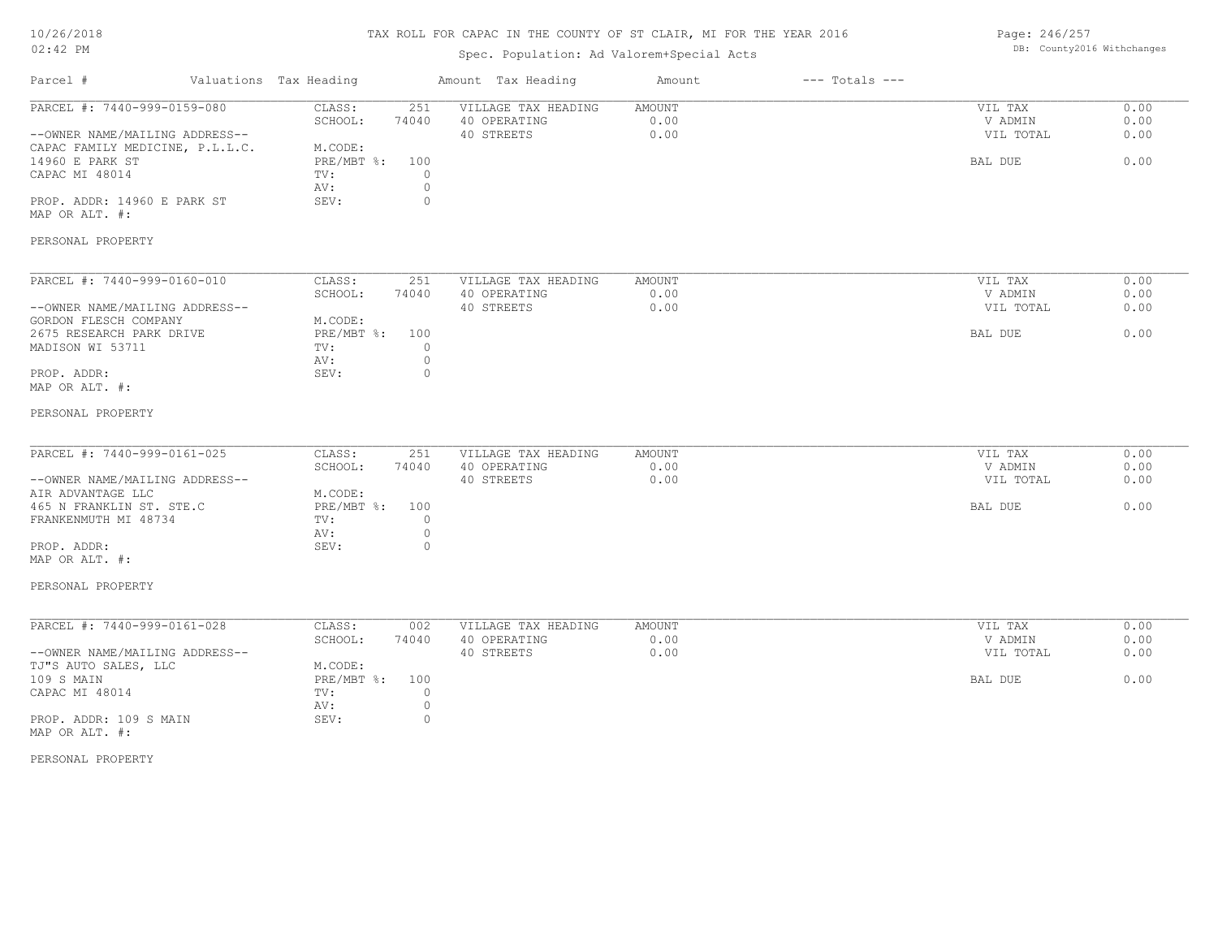## TAX ROLL FOR CAPAC IN THE COUNTY OF ST CLAIR, MI FOR THE YEAR 2016

# Spec. Population: Ad Valorem+Special Acts

Page: 246/257 DB: County2016 Withchanges

| Parcel #                                                                                                                                                                                     | Valuations Tax Heading                                                                                                         | Amount Tax Heading                                | Amount                        | $---$ Totals $---$ |                                            |                              |
|----------------------------------------------------------------------------------------------------------------------------------------------------------------------------------------------|--------------------------------------------------------------------------------------------------------------------------------|---------------------------------------------------|-------------------------------|--------------------|--------------------------------------------|------------------------------|
| PARCEL #: 7440-999-0159-080<br>--OWNER NAME/MAILING ADDRESS--<br>CAPAC FAMILY MEDICINE, P.L.L.C.<br>14960 E PARK ST<br>CAPAC MI 48014<br>PROP. ADDR: 14960 E PARK ST<br>MAP OR ALT. #:       | CLASS:<br>251<br>SCHOOL:<br>74040<br>M.CODE:<br>PRE/MBT %:<br>100<br>TV:<br>$\circ$<br>$\circ$<br>AV:<br>SEV:<br>$\circ$       | VILLAGE TAX HEADING<br>40 OPERATING<br>40 STREETS | AMOUNT<br>0.00<br>0.00        |                    | VIL TAX<br>V ADMIN<br>VIL TOTAL<br>BAL DUE | 0.00<br>0.00<br>0.00<br>0.00 |
| PERSONAL PROPERTY                                                                                                                                                                            |                                                                                                                                |                                                   |                               |                    |                                            |                              |
| PARCEL #: 7440-999-0160-010<br>--OWNER NAME/MAILING ADDRESS--<br>GORDON FLESCH COMPANY<br>2675 RESEARCH PARK DRIVE<br>MADISON WI 53711<br>PROP. ADDR:<br>MAP OR ALT. #:                      | CLASS:<br>251<br>SCHOOL:<br>74040<br>M.CODE:<br>$PRE/MBT$ $\div$<br>100<br>$\circ$<br>TV:<br>$\circ$<br>AV:<br>SEV:<br>$\circ$ | VILLAGE TAX HEADING<br>40 OPERATING<br>40 STREETS | AMOUNT<br>0.00<br>0.00        |                    | VIL TAX<br>V ADMIN<br>VIL TOTAL<br>BAL DUE | 0.00<br>0.00<br>0.00<br>0.00 |
| PERSONAL PROPERTY                                                                                                                                                                            |                                                                                                                                |                                                   |                               |                    |                                            |                              |
| PARCEL #: 7440-999-0161-025<br>--OWNER NAME/MAILING ADDRESS--<br>AIR ADVANTAGE LLC<br>465 N FRANKLIN ST. STE.C<br>FRANKENMUTH MI 48734<br>PROP. ADDR:<br>MAP OR ALT. #:<br>PERSONAL PROPERTY | CLASS:<br>251<br>SCHOOL:<br>74040<br>M.CODE:<br>$PRE/MBT$ $\div$<br>100<br>$\circ$<br>TV:<br>$\circ$<br>AV:<br>SEV:<br>$\circ$ | VILLAGE TAX HEADING<br>40 OPERATING<br>40 STREETS | <b>AMOUNT</b><br>0.00<br>0.00 |                    | VIL TAX<br>V ADMIN<br>VIL TOTAL<br>BAL DUE | 0.00<br>0.00<br>0.00<br>0.00 |
| PARCEL #: 7440-999-0161-028<br>--OWNER NAME/MAILING ADDRESS--<br>TJ"S AUTO SALES, LLC<br>109 S MAIN<br>CAPAC MI 48014<br>PROP. ADDR: 109 S MAIN<br>MAP OR ALT. #:                            | CLASS:<br>002<br>SCHOOL:<br>74040<br>M.CODE:<br>$PRE/MBT$ $\div$<br>100<br>TV:<br>$\circ$<br>$\circ$<br>AV:<br>SEV:<br>$\circ$ | VILLAGE TAX HEADING<br>40 OPERATING<br>40 STREETS | AMOUNT<br>0.00<br>0.00        |                    | VIL TAX<br>V ADMIN<br>VIL TOTAL<br>BAL DUE | 0.00<br>0.00<br>0.00<br>0.00 |
| PERSONAL PROPERTY                                                                                                                                                                            |                                                                                                                                |                                                   |                               |                    |                                            |                              |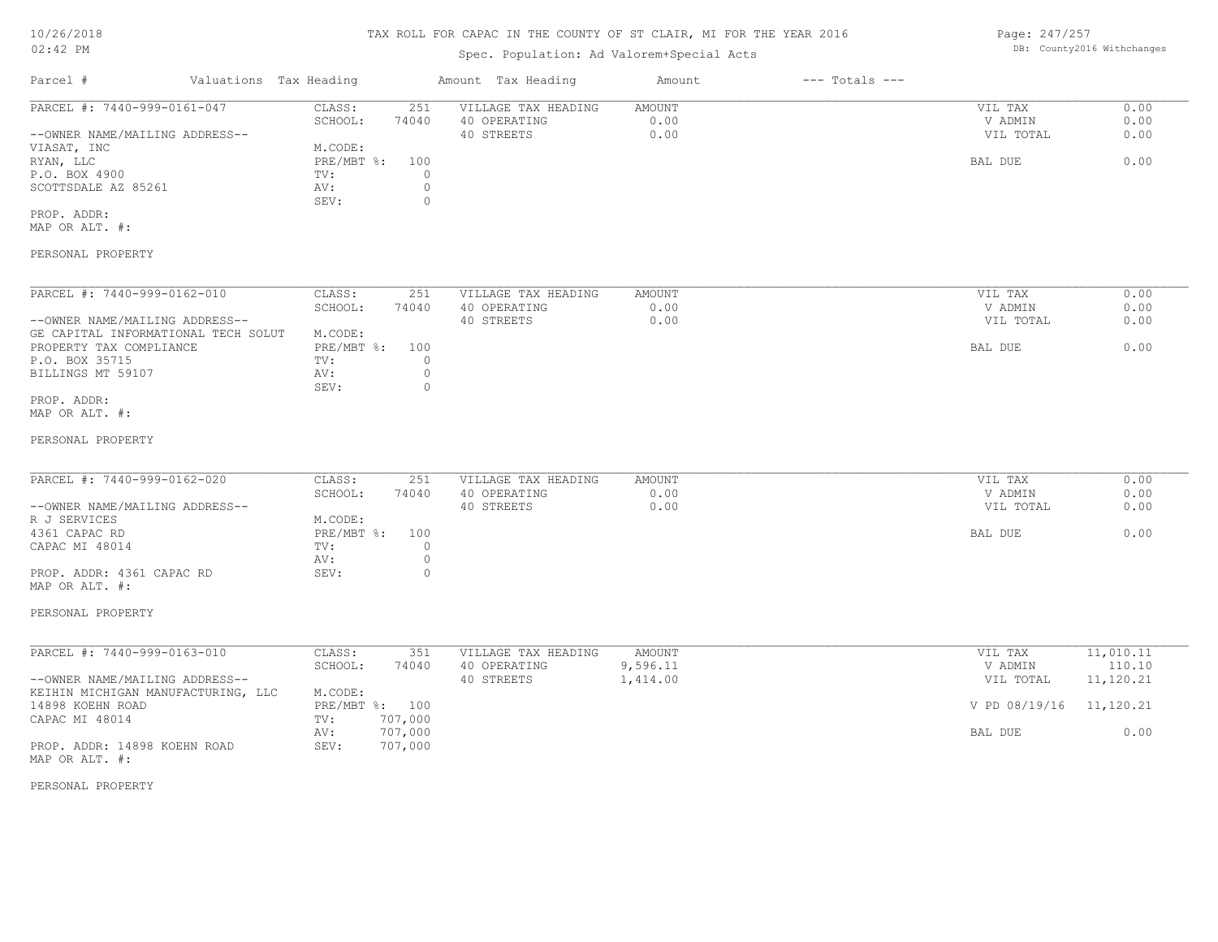## Spec. Population: Ad Valorem+Special Acts

Page: 247/257 DB: County2016 Withchanges

| Parcel #                       | Valuations Tax Heading |       | Amount Tax Heading  | Amount | $---$ Totals $---$ |           |      |
|--------------------------------|------------------------|-------|---------------------|--------|--------------------|-----------|------|
| PARCEL #: 7440-999-0161-047    | CLASS:                 | 251   | VILLAGE TAX HEADING | AMOUNT |                    | VIL TAX   | 0.00 |
|                                | SCHOOL:                | 74040 | 40 OPERATING        | 0.00   |                    | V ADMIN   | 0.00 |
| --OWNER NAME/MAILING ADDRESS-- |                        |       | 40 STREETS          | 0.00   |                    | VIL TOTAL | 0.00 |
| VIASAT, INC                    | M.CODE:                |       |                     |        |                    |           |      |
| RYAN, LLC                      | PRE/MBT %:             | 100   |                     |        |                    | BAL DUE   | 0.00 |
| P.O. BOX 4900                  | TV:                    |       |                     |        |                    |           |      |
| SCOTTSDALE AZ 85261            | AV:                    |       |                     |        |                    |           |      |
|                                | SEV:                   |       |                     |        |                    |           |      |
| PROP. ADDR:                    |                        |       |                     |        |                    |           |      |

MAP OR ALT. #:

#### PERSONAL PROPERTY

| PARCEL #: 7440-999-0162-010         | CLASS:     | 251   | VILLAGE TAX HEADING | AMOUNT | VIL TAX   | 0.00 |
|-------------------------------------|------------|-------|---------------------|--------|-----------|------|
|                                     | SCHOOL:    | 74040 | 40 OPERATING        | 0.00   | V ADMIN   | 0.00 |
| --OWNER NAME/MAILING ADDRESS--      |            |       | 40 STREETS          | 0.00   | VIL TOTAL | 0.00 |
| GE CAPITAL INFORMATIONAL TECH SOLUT | M.CODE:    |       |                     |        |           |      |
| PROPERTY TAX COMPLIANCE             | PRE/MBT %: | 100   |                     |        | BAL DUE   | 0.00 |
| P.O. BOX 35715                      | TV:        |       |                     |        |           |      |
| BILLINGS MT 59107                   | AV:        |       |                     |        |           |      |
|                                     | SEV:       |       |                     |        |           |      |
| PROP. ADDR:                         |            |       |                     |        |           |      |

MAP OR ALT. #:

#### PERSONAL PROPERTY

| PARCEL #: 7440-999-0162-020    | CLASS:         | 251   | VILLAGE TAX HEADING | AMOUNT | VIL TAX   | 0.00 |
|--------------------------------|----------------|-------|---------------------|--------|-----------|------|
|                                | SCHOOL:        | 74040 | 40 OPERATING        | 0.00   | V ADMIN   | 0.00 |
|                                |                |       |                     |        |           |      |
| --OWNER NAME/MAILING ADDRESS-- |                |       | 40 STREETS          | 0.00   | VIL TOTAL | 0.00 |
| R J SERVICES                   | M.CODE:        |       |                     |        |           |      |
| 4361 CAPAC RD                  | PRE/MBT %: 100 |       |                     |        | BAL DUE   | 0.00 |
| CAPAC MI 48014                 | TV:            |       |                     |        |           |      |
|                                | AV:            |       |                     |        |           |      |
| PROP. ADDR: 4361 CAPAC RD      | SEV:           |       |                     |        |           |      |

#### PERSONAL PROPERTY

MAP OR ALT. #:

| PARCEL #: 7440-999-0163-010        | CLASS:       | 351     | VILLAGE TAX HEADING | AMOUNT   | VIL TAX                 | 11,010.11 |
|------------------------------------|--------------|---------|---------------------|----------|-------------------------|-----------|
|                                    | SCHOOL:      | 74040   | 40 OPERATING        | 9,596.11 | V ADMIN                 | 110.10    |
| --OWNER NAME/MAILING ADDRESS--     |              |         | 40 STREETS          | 1,414.00 | VIL TOTAL               | 11,120.21 |
| KEIHIN MICHIGAN MANUFACTURING, LLC | M.CODE:      |         |                     |          |                         |           |
| 14898 KOEHN ROAD                   | $PRE/MBT$ %: | 100     |                     |          | V PD 08/19/16 11,120.21 |           |
| CAPAC MI 48014                     | TV:          | 707,000 |                     |          |                         |           |
|                                    | AV:          | 707,000 |                     |          | BAL DUE                 | 0.00      |
| PROP. ADDR: 14898 KOEHN ROAD       | SEV:         | 707,000 |                     |          |                         |           |
| MAP OR ALT. #:                     |              |         |                     |          |                         |           |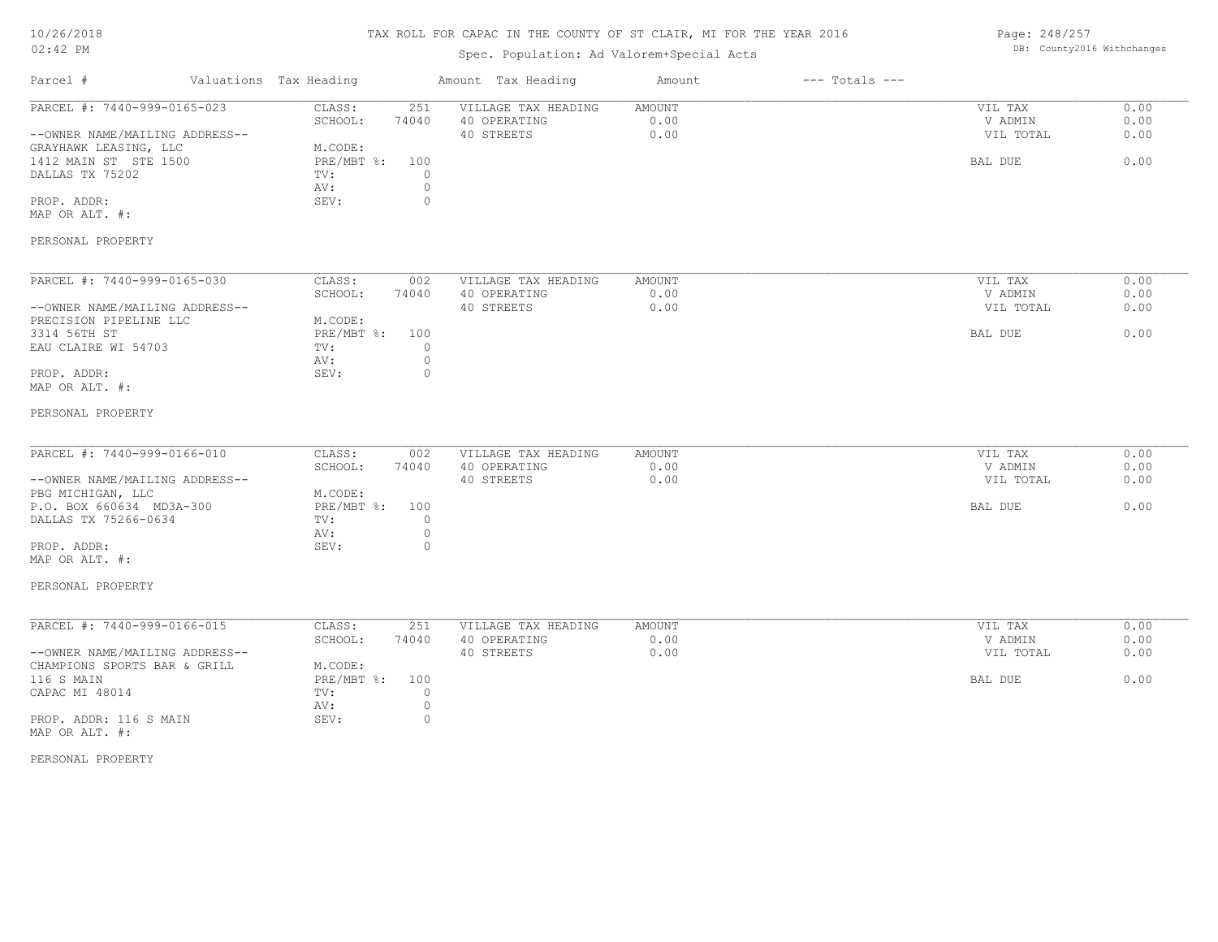## TAX ROLL FOR CAPAC IN THE COUNTY OF ST CLAIR, MI FOR THE YEAR 2016

# Spec. Population: Ad Valorem+Special Acts

Page: 248/257 DB: County2016 Withchanges

| Parcel #                                                                                                                                                            | Valuations Tax Heading                                           | Amount Tax Heading                                                                                            | Amount                 | $---$ Totals $---$ |                                            |                              |
|---------------------------------------------------------------------------------------------------------------------------------------------------------------------|------------------------------------------------------------------|---------------------------------------------------------------------------------------------------------------|------------------------|--------------------|--------------------------------------------|------------------------------|
| PARCEL #: 7440-999-0165-023<br>--OWNER NAME/MAILING ADDRESS--<br>GRAYHAWK LEASING, LLC<br>1412 MAIN ST STE 1500<br>DALLAS TX 75202<br>PROP. ADDR:<br>MAP OR ALT. #: | CLASS:<br>SCHOOL:<br>M.CODE:<br>PRE/MBT %:<br>TV:<br>AV:<br>SEV: | 251<br>VILLAGE TAX HEADING<br>74040<br>40 OPERATING<br>40 STREETS<br>100<br>$\circ$<br>$\circ$<br>$\mathbb O$ | AMOUNT<br>0.00<br>0.00 |                    | VIL TAX<br>V ADMIN<br>VIL TOTAL<br>BAL DUE | 0.00<br>0.00<br>0.00<br>0.00 |
| PERSONAL PROPERTY                                                                                                                                                   |                                                                  |                                                                                                               |                        |                    |                                            |                              |
| PARCEL #: 7440-999-0165-030<br>--OWNER NAME/MAILING ADDRESS--<br>PRECISION PIPELINE LLC<br>3314 56TH ST<br>EAU CLAIRE WI 54703<br>PROP. ADDR:<br>MAP OR ALT. #:     | CLASS:<br>SCHOOL:<br>M.CODE:<br>PRE/MBT %:<br>TV:<br>AV:<br>SEV: | 002<br>VILLAGE TAX HEADING<br>74040<br>40 OPERATING<br>40 STREETS<br>100<br>$\circ$<br>$\mathbb O$<br>$\circ$ | AMOUNT<br>0.00<br>0.00 |                    | VIL TAX<br>V ADMIN<br>VIL TOTAL<br>BAL DUE | 0.00<br>0.00<br>0.00<br>0.00 |
| PERSONAL PROPERTY                                                                                                                                                   |                                                                  |                                                                                                               |                        |                    |                                            |                              |
| PARCEL #: 7440-999-0166-010<br>--OWNER NAME/MAILING ADDRESS--<br>PBG MICHIGAN, LLC<br>P.O. BOX 660634 MD3A-300<br>DALLAS TX 75266-0634                              | CLASS:<br>SCHOOL:<br>M.CODE:<br>PRE/MBT %:<br>TV:<br>AV:         | 002<br>VILLAGE TAX HEADING<br>74040<br>40 OPERATING<br>40 STREETS<br>100<br>$\circ$<br>$\mathbb O$            | AMOUNT<br>0.00<br>0.00 |                    | VIL TAX<br>V ADMIN<br>VIL TOTAL<br>BAL DUE | 0.00<br>0.00<br>0.00<br>0.00 |
| PROP. ADDR:<br>MAP OR ALT. #:<br>PERSONAL PROPERTY                                                                                                                  | SEV:                                                             | $\circ$                                                                                                       |                        |                    |                                            |                              |
| PARCEL #: 7440-999-0166-015<br>--OWNER NAME/MAILING ADDRESS--                                                                                                       | CLASS:<br>SCHOOL:                                                | 251<br>VILLAGE TAX HEADING<br>74040<br>40 OPERATING<br>40 STREETS                                             | AMOUNT<br>0.00<br>0.00 |                    | VIL TAX<br>V ADMIN<br>VIL TOTAL            | 0.00<br>0.00<br>0.00         |
| CHAMPIONS SPORTS BAR & GRILL<br>116 S MAIN<br>CAPAC MI 48014<br>PROP. ADDR: 116 S MAIN<br>MAP OR ALT. #:                                                            | M.CODE:<br>PRE/MBT %:<br>TV:<br>AV:<br>SEV:                      | 100<br>$\circ$<br>$\circ$<br>$\circ$                                                                          |                        |                    | BAL DUE                                    | 0.00                         |
| PERSONAL PROPERTY                                                                                                                                                   |                                                                  |                                                                                                               |                        |                    |                                            |                              |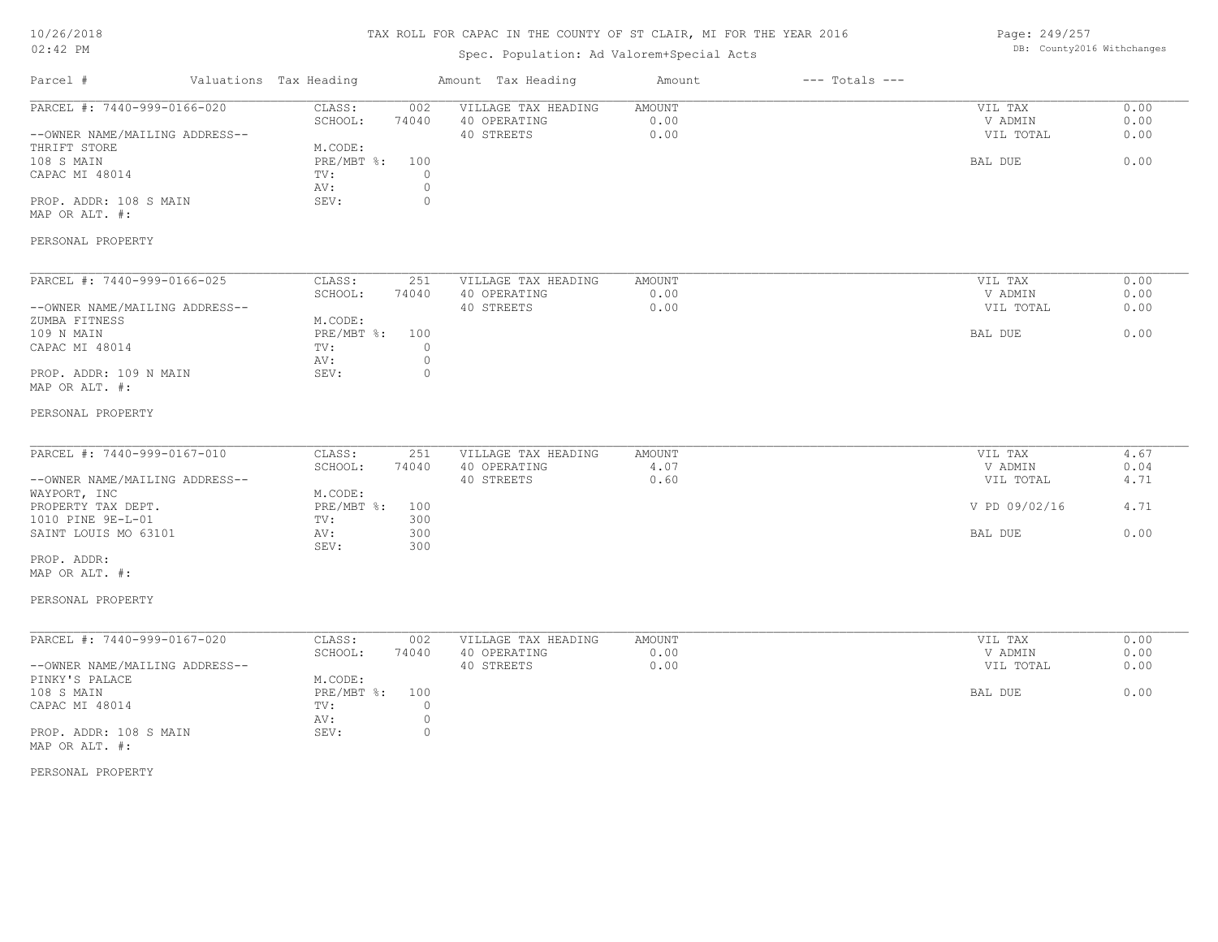## TAX ROLL FOR CAPAC IN THE COUNTY OF ST CLAIR, MI FOR THE YEAR 2016

# Spec. Population: Ad Valorem+Special Acts

Page: 249/257 DB: County2016 Withchanges

| Parcel #                                                                                                                                                                                               | Valuations Tax Heading                                                 |                                                          | Amount Tax Heading                                | Amount                        | $---$ Totals $---$ |                                                             |                                      |
|--------------------------------------------------------------------------------------------------------------------------------------------------------------------------------------------------------|------------------------------------------------------------------------|----------------------------------------------------------|---------------------------------------------------|-------------------------------|--------------------|-------------------------------------------------------------|--------------------------------------|
| PARCEL #: 7440-999-0166-020<br>--OWNER NAME/MAILING ADDRESS--<br>THRIFT STORE<br>108 S MAIN<br>CAPAC MI 48014<br>PROP. ADDR: 108 S MAIN<br>MAP OR ALT. #:                                              | CLASS:<br>SCHOOL:<br>M.CODE:<br>$PRE/MBT$ $\div$<br>TV:<br>AV:<br>SEV: | 002<br>74040<br>100<br>$\circ$<br>$\circ$<br>$\circ$     | VILLAGE TAX HEADING<br>40 OPERATING<br>40 STREETS | AMOUNT<br>0.00<br>0.00        |                    | VIL TAX<br>V ADMIN<br>VIL TOTAL<br>BAL DUE                  | 0.00<br>0.00<br>0.00<br>0.00         |
| PERSONAL PROPERTY                                                                                                                                                                                      |                                                                        |                                                          |                                                   |                               |                    |                                                             |                                      |
| PARCEL #: 7440-999-0166-025<br>--OWNER NAME/MAILING ADDRESS--<br>ZUMBA FITNESS<br>109 N MAIN<br>CAPAC MI 48014<br>PROP. ADDR: 109 N MAIN<br>MAP OR ALT. #:                                             | CLASS:<br>SCHOOL:<br>M.CODE:<br>PRE/MBT %:<br>TV:<br>AV:<br>SEV:       | 251<br>74040<br>100<br>$\circ$<br>$\mathbb O$<br>$\circ$ | VILLAGE TAX HEADING<br>40 OPERATING<br>40 STREETS | AMOUNT<br>0.00<br>0.00        |                    | VIL TAX<br>V ADMIN<br>VIL TOTAL<br>BAL DUE                  | 0.00<br>0.00<br>0.00<br>0.00         |
| PERSONAL PROPERTY                                                                                                                                                                                      |                                                                        |                                                          |                                                   |                               |                    |                                                             |                                      |
| PARCEL #: 7440-999-0167-010<br>--OWNER NAME/MAILING ADDRESS--<br>WAYPORT, INC<br>PROPERTY TAX DEPT.<br>1010 PINE 9E-L-01<br>SAINT LOUIS MO 63101<br>PROP. ADDR:<br>MAP OR ALT. #:<br>PERSONAL PROPERTY | CLASS:<br>SCHOOL:<br>M.CODE:<br>PRE/MBT %:<br>TV:<br>AV:<br>SEV:       | 251<br>74040<br>100<br>300<br>300<br>300                 | VILLAGE TAX HEADING<br>40 OPERATING<br>40 STREETS | <b>AMOUNT</b><br>4.07<br>0.60 |                    | VIL TAX<br>V ADMIN<br>VIL TOTAL<br>V PD 09/02/16<br>BAL DUE | 4.67<br>0.04<br>4.71<br>4.71<br>0.00 |
| PARCEL #: 7440-999-0167-020<br>--OWNER NAME/MAILING ADDRESS--<br>PINKY'S PALACE<br>108 S MAIN<br>CAPAC MI 48014<br>PROP. ADDR: 108 S MAIN<br>MAP OR ALT. #:<br>PERSONAL PROPERTY                       | CLASS:<br>SCHOOL:<br>M.CODE:<br>PRE/MBT %:<br>TV:<br>AV:<br>SEV:       | 002<br>74040<br>100<br>$\circ$<br>$\circ$<br>$\circ$     | VILLAGE TAX HEADING<br>40 OPERATING<br>40 STREETS | <b>AMOUNT</b><br>0.00<br>0.00 |                    | VIL TAX<br>V ADMIN<br>VIL TOTAL<br>BAL DUE                  | 0.00<br>0.00<br>0.00<br>0.00         |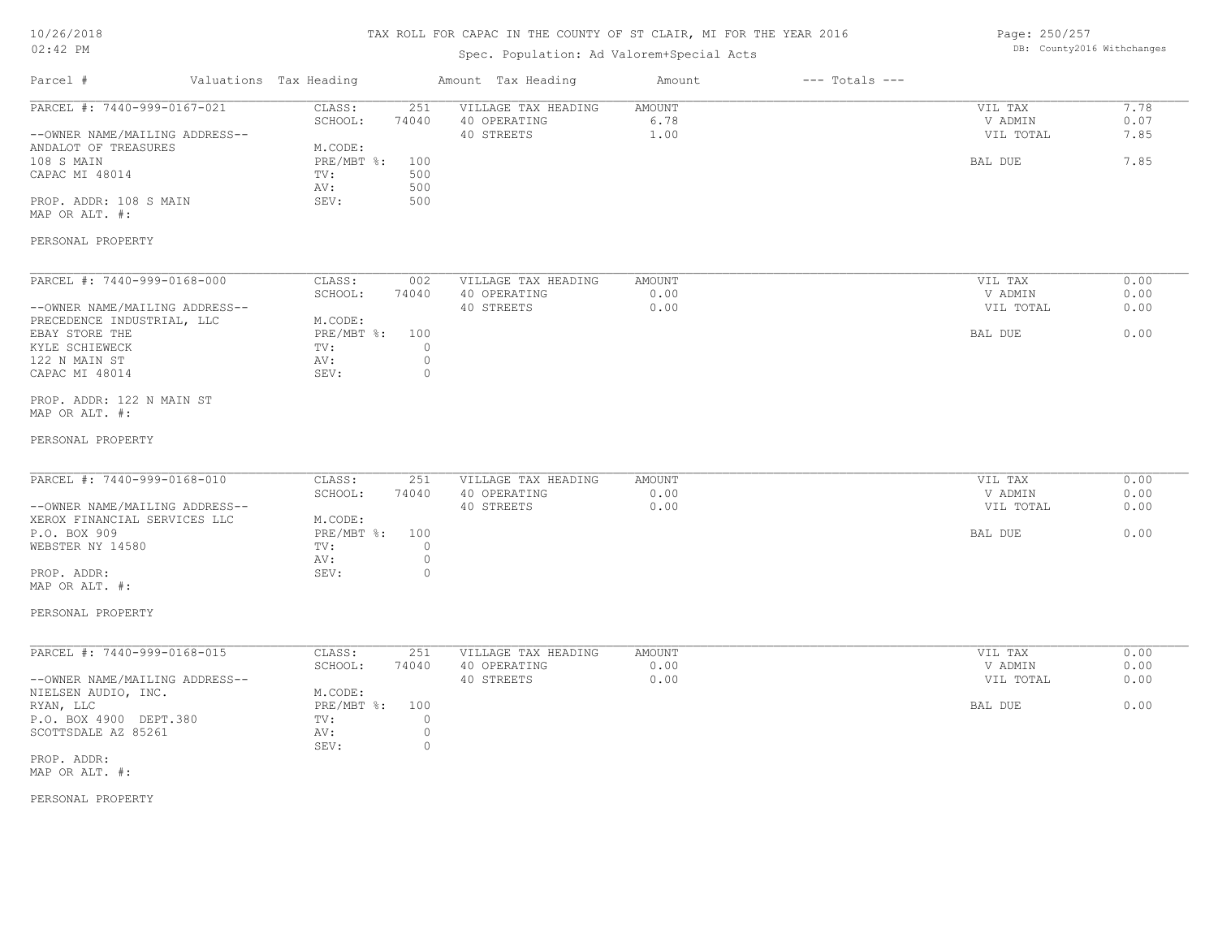| 10/26/2018 |  |
|------------|--|
| $02:42$ PM |  |

## Spec. Population: Ad Valorem+Special Acts

Page: 250/257 DB: County2016 Withchanges

| Parcel #                                                                                                                                                                                                          | Valuations Tax Heading                                                                                                         | Amount Tax Heading                                | Amount                 | $---$ Totals $---$ |                                            |                              |
|-------------------------------------------------------------------------------------------------------------------------------------------------------------------------------------------------------------------|--------------------------------------------------------------------------------------------------------------------------------|---------------------------------------------------|------------------------|--------------------|--------------------------------------------|------------------------------|
| PARCEL #: 7440-999-0167-021<br>--OWNER NAME/MAILING ADDRESS--<br>ANDALOT OF TREASURES<br>108 S MAIN<br>CAPAC MI 48014<br>PROP. ADDR: 108 S MAIN<br>MAP OR ALT. #:<br>PERSONAL PROPERTY                            | CLASS:<br>251<br>74040<br>SCHOOL:<br>M.CODE:<br>PRE/MBT %:<br>100<br>TV:<br>500<br>500<br>AV:<br>SEV:<br>500                   | VILLAGE TAX HEADING<br>40 OPERATING<br>40 STREETS | AMOUNT<br>6.78<br>1.00 |                    | VIL TAX<br>V ADMIN<br>VIL TOTAL<br>BAL DUE | 7.78<br>0.07<br>7.85<br>7.85 |
| PARCEL #: 7440-999-0168-000<br>--OWNER NAME/MAILING ADDRESS--<br>PRECEDENCE INDUSTRIAL, LLC<br>EBAY STORE THE<br>KYLE SCHIEWECK<br>122 N MAIN ST<br>CAPAC MI 48014<br>PROP. ADDR: 122 N MAIN ST<br>MAP OR ALT. #: | CLASS:<br>002<br>SCHOOL:<br>74040<br>M.CODE:<br>$PRE/MBT$ $\div$<br>100<br>TV:<br>$\circ$<br>$\circ$<br>AV:<br>SEV:<br>$\circ$ | VILLAGE TAX HEADING<br>40 OPERATING<br>40 STREETS | AMOUNT<br>0.00<br>0.00 |                    | VIL TAX<br>V ADMIN<br>VIL TOTAL<br>BAL DUE | 0.00<br>0.00<br>0.00<br>0.00 |
| PERSONAL PROPERTY<br>PARCEL #: 7440-999-0168-010<br>--OWNER NAME/MAILING ADDRESS--<br>XEROX FINANCIAL SERVICES LLC<br>P.O. BOX 909<br>WEBSTER NY 14580<br>PROP. ADDR:<br>MAP OR ALT. #:<br>PERSONAL PROPERTY      | CLASS:<br>251<br>SCHOOL:<br>74040<br>M.CODE:<br>PRE/MBT %:<br>100<br>$\circ$<br>TV:<br>$\circ$<br>AV:<br>SEV:<br>$\circ$       | VILLAGE TAX HEADING<br>40 OPERATING<br>40 STREETS | AMOUNT<br>0.00<br>0.00 |                    | VIL TAX<br>V ADMIN<br>VIL TOTAL<br>BAL DUE | 0.00<br>0.00<br>0.00<br>0.00 |
| PARCEL #: 7440-999-0168-015<br>--OWNER NAME/MAILING ADDRESS--<br>NIELSEN AUDIO, INC.<br>RYAN, LLC<br>P.O. BOX 4900 DEPT.380<br>SCOTTSDALE AZ 85261<br>PROP. ADDR:<br>MAP OR ALT. #:<br>PERSONAL PROPERTY          | CLASS:<br>251<br>SCHOOL:<br>74040<br>M.CODE:<br>PRE/MBT %:<br>100<br>$\circ$<br>TV:<br>$\circ$<br>AV:<br>$\circ$<br>SEV:       | VILLAGE TAX HEADING<br>40 OPERATING<br>40 STREETS | AMOUNT<br>0.00<br>0.00 |                    | VIL TAX<br>V ADMIN<br>VIL TOTAL<br>BAL DUE | 0.00<br>0.00<br>0.00<br>0.00 |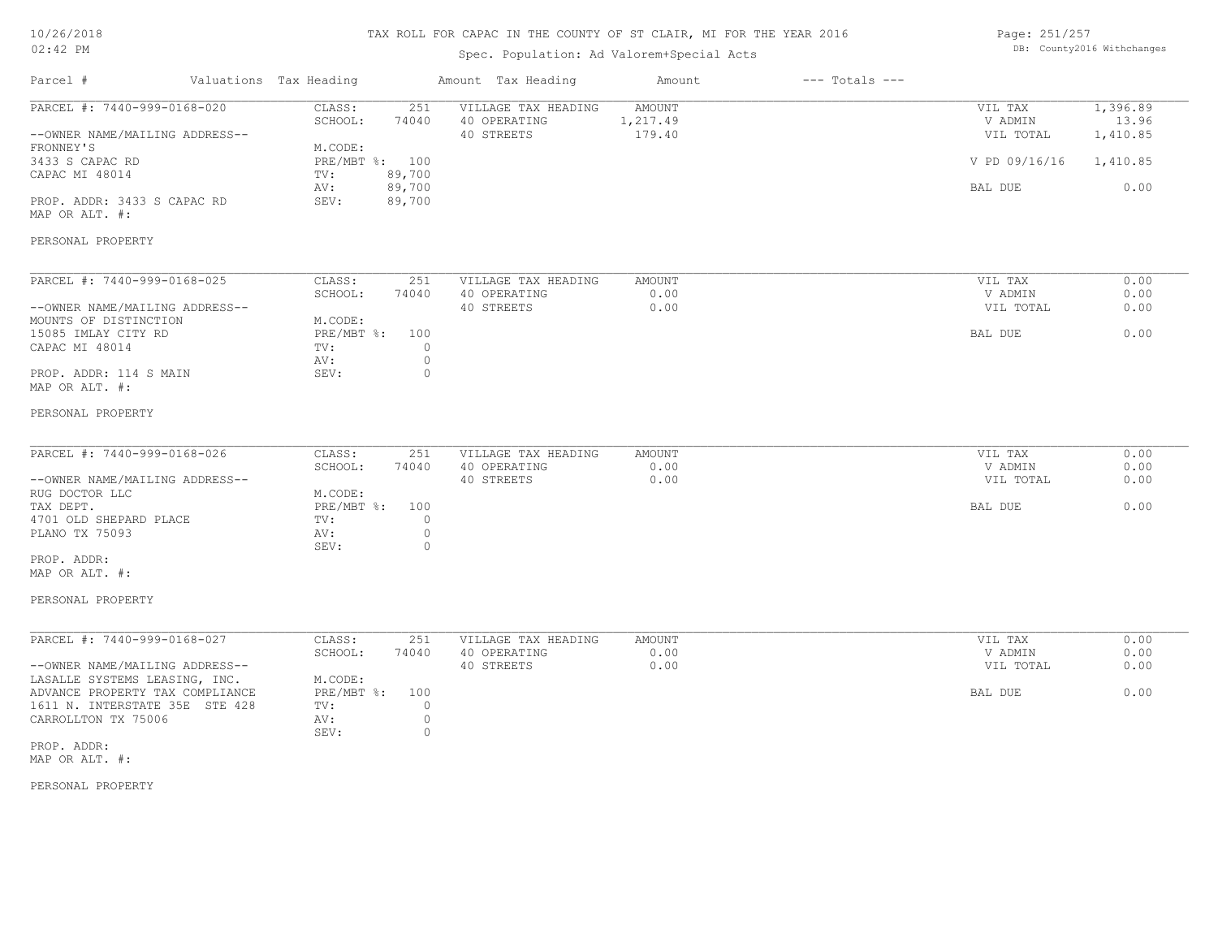## TAX ROLL FOR CAPAC IN THE COUNTY OF ST CLAIR, MI FOR THE YEAR 2016

# Spec. Population: Ad Valorem+Special Acts

Page: 251/257 DB: County2016 Withchanges

| Parcel #                                                                                                                                                                              | Valuations Tax Heading                                               |                                            | Amount Tax Heading                                | Amount                       | $---$ Totals $---$ |                                                             |                                                   |
|---------------------------------------------------------------------------------------------------------------------------------------------------------------------------------------|----------------------------------------------------------------------|--------------------------------------------|---------------------------------------------------|------------------------------|--------------------|-------------------------------------------------------------|---------------------------------------------------|
| PARCEL #: 7440-999-0168-020<br>--OWNER NAME/MAILING ADDRESS--<br>FRONNEY'S<br>3433 S CAPAC RD<br>CAPAC MI 48014<br>PROP. ADDR: 3433 S CAPAC RD<br>MAP OR ALT. #:<br>PERSONAL PROPERTY | CLASS:<br>SCHOOL:<br>M.CODE:<br>PRE/MBT %: 100<br>TV:<br>AV:<br>SEV: | 251<br>74040<br>89,700<br>89,700<br>89,700 | VILLAGE TAX HEADING<br>40 OPERATING<br>40 STREETS | AMOUNT<br>1,217.49<br>179.40 |                    | VIL TAX<br>V ADMIN<br>VIL TOTAL<br>V PD 09/16/16<br>BAL DUE | 1,396.89<br>13.96<br>1,410.85<br>1,410.85<br>0.00 |
| PARCEL #: 7440-999-0168-025                                                                                                                                                           | CLASS:                                                               | 251                                        | VILLAGE TAX HEADING                               | <b>AMOUNT</b>                |                    | VIL TAX                                                     | 0.00                                              |
| --OWNER NAME/MAILING ADDRESS--                                                                                                                                                        | SCHOOL:                                                              | 74040                                      | 40 OPERATING<br>40 STREETS                        | 0.00<br>0.00                 |                    | V ADMIN<br>VIL TOTAL                                        | 0.00<br>0.00                                      |
| MOUNTS OF DISTINCTION<br>15085 IMLAY CITY RD<br>CAPAC MI 48014                                                                                                                        | M.CODE:<br>PRE/MBT %:<br>TV:<br>AV:                                  | 100<br>$\circ$<br>$\circ$                  |                                                   |                              |                    | BAL DUE                                                     | 0.00                                              |
| PROP. ADDR: 114 S MAIN<br>MAP OR ALT. #:                                                                                                                                              | SEV:                                                                 | $\circ$                                    |                                                   |                              |                    |                                                             |                                                   |
| PERSONAL PROPERTY                                                                                                                                                                     |                                                                      |                                            |                                                   |                              |                    |                                                             |                                                   |
| PARCEL #: 7440-999-0168-026                                                                                                                                                           | CLASS:                                                               | 251                                        | VILLAGE TAX HEADING                               | AMOUNT                       |                    | VIL TAX                                                     | 0.00                                              |
| --OWNER NAME/MAILING ADDRESS--<br>RUG DOCTOR LLC                                                                                                                                      | SCHOOL:<br>M.CODE:                                                   | 74040                                      | 40 OPERATING<br>40 STREETS                        | 0.00<br>0.00                 |                    | V ADMIN<br>VIL TOTAL                                        | 0.00<br>0.00                                      |
| TAX DEPT.<br>4701 OLD SHEPARD PLACE<br>PLANO TX 75093                                                                                                                                 | PRE/MBT %:<br>TV:<br>AV:                                             | 100<br>$\circ$<br>$\circ$<br>$\circ$       |                                                   |                              |                    | BAL DUE                                                     | 0.00                                              |
| PROP. ADDR:<br>MAP OR ALT. #:                                                                                                                                                         | SEV:                                                                 |                                            |                                                   |                              |                    |                                                             |                                                   |
| PERSONAL PROPERTY                                                                                                                                                                     |                                                                      |                                            |                                                   |                              |                    |                                                             |                                                   |
| PARCEL #: 7440-999-0168-027                                                                                                                                                           | CLASS:<br>SCHOOL:                                                    | 251<br>74040                               | VILLAGE TAX HEADING<br>40 OPERATING               | AMOUNT<br>0.00               |                    | VIL TAX<br>V ADMIN                                          | 0.00<br>0.00                                      |
| --OWNER NAME/MAILING ADDRESS--<br>LASALLE SYSTEMS LEASING, INC.                                                                                                                       | M.CODE:                                                              |                                            | 40 STREETS                                        | 0.00                         |                    | VIL TOTAL                                                   | 0.00                                              |
| ADVANCE PROPERTY TAX COMPLIANCE<br>1611 N. INTERSTATE 35E STE 428<br>CARROLLTON TX 75006                                                                                              | PRE/MBT %:<br>TV:<br>AV:<br>SEV:                                     | 100<br>$\circ$<br>$\circ$<br>$\circ$       |                                                   |                              |                    | BAL DUE                                                     | 0.00                                              |
| PROP. ADDR:<br>MAP OR ALT. #:                                                                                                                                                         |                                                                      |                                            |                                                   |                              |                    |                                                             |                                                   |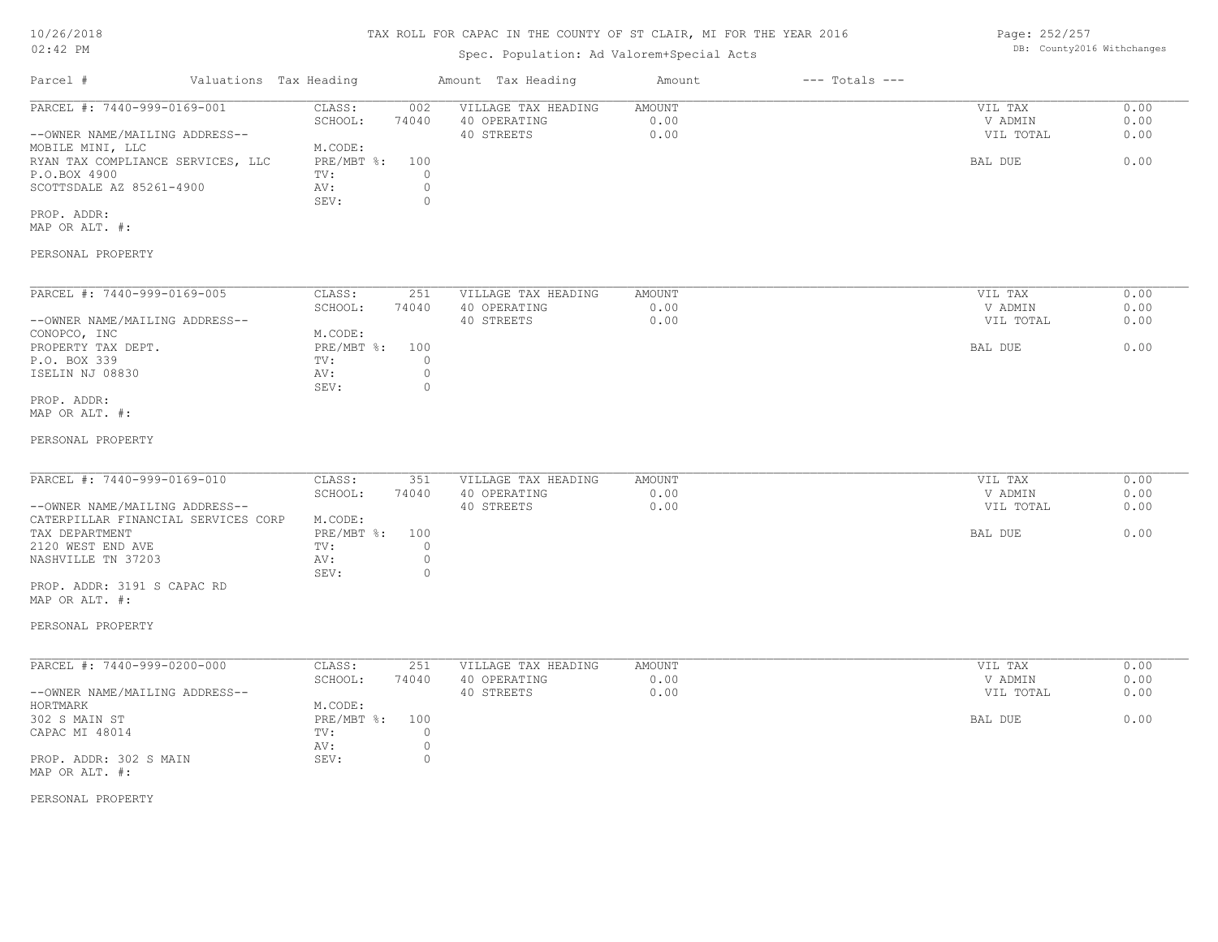## TAX ROLL FOR CAPAC IN THE COUNTY OF ST CLAIR, MI FOR THE YEAR 2016

# Spec. Population: Ad Valorem+Special Acts

| Parcel #                          | Valuations Tax Heading |       | Amount Tax Heading  | Amount | $---$ Totals $---$ |           |      |
|-----------------------------------|------------------------|-------|---------------------|--------|--------------------|-----------|------|
| PARCEL #: 7440-999-0169-001       | CLASS:                 | 002   | VILLAGE TAX HEADING | AMOUNT |                    | VIL TAX   | 0.00 |
|                                   | SCHOOL:                | 74040 | 40 OPERATING        | 0.00   |                    | V ADMIN   | 0.00 |
| --OWNER NAME/MAILING ADDRESS--    |                        |       | 40 STREETS          | 0.00   |                    | VIL TOTAL | 0.00 |
| MOBILE MINI, LLC                  | M.CODE:                |       |                     |        |                    |           |      |
| RYAN TAX COMPLIANCE SERVICES, LLC | PRE/MBT %:             | 100   |                     |        |                    | BAL DUE   | 0.00 |
| P.O.BOX 4900                      | TV:                    |       |                     |        |                    |           |      |
| SCOTTSDALE AZ 85261-4900          | AV:                    |       |                     |        |                    |           |      |
|                                   | SEV:                   |       |                     |        |                    |           |      |
| PROP. ADDR:                       |                        |       |                     |        |                    |           |      |

MAP OR ALT. #:

#### PERSONAL PROPERTY

| PARCEL #: 7440-999-0169-005    | CLASS:       | 251   | VILLAGE TAX HEADING | AMOUNT | VIL TAX   | 0.00 |
|--------------------------------|--------------|-------|---------------------|--------|-----------|------|
|                                | SCHOOL:      | 74040 | 40 OPERATING        | 0.00   | V ADMIN   | 0.00 |
| --OWNER NAME/MAILING ADDRESS-- |              |       | 40 STREETS          | 0.00   | VIL TOTAL | 0.00 |
| CONOPCO, INC                   | M.CODE:      |       |                     |        |           |      |
| PROPERTY TAX DEPT.             | $PRE/MBT$ %: | 100   |                     |        | BAL DUE   | 0.00 |
| P.O. BOX 339                   | TV:          |       |                     |        |           |      |
| ISELIN NJ 08830                | AV:          |       |                     |        |           |      |
|                                | SEV:         | 0.    |                     |        |           |      |
| PROP. ADDR:                    |              |       |                     |        |           |      |

MAP OR ALT. #:

#### PERSONAL PROPERTY

| PARCEL #: 7440-999-0169-010         | CLASS:       | 351   | VILLAGE TAX HEADING | AMOUNT | VIL TAX   | 0.00 |
|-------------------------------------|--------------|-------|---------------------|--------|-----------|------|
|                                     | SCHOOL:      | 74040 | 40 OPERATING        | 0.00   | V ADMIN   | 0.00 |
| --OWNER NAME/MAILING ADDRESS--      |              |       | 40 STREETS          | 0.00   | VIL TOTAL | 0.00 |
| CATERPILLAR FINANCIAL SERVICES CORP | M.CODE:      |       |                     |        |           |      |
| TAX DEPARTMENT                      | $PRE/MBT$ %: | 100   |                     |        | BAL DUE   | 0.00 |
| 2120 WEST END AVE                   | TV:          |       |                     |        |           |      |
| NASHVILLE TN 37203                  | AV:          |       |                     |        |           |      |
|                                     | SEV:         |       |                     |        |           |      |

MAP OR ALT. #: PROP. ADDR: 3191 S CAPAC RD

#### PERSONAL PROPERTY

| PARCEL #: 7440-999-0200-000    | CLASS:       | 251   | VILLAGE TAX HEADING | AMOUNT | VIL TAX   | 0.00 |
|--------------------------------|--------------|-------|---------------------|--------|-----------|------|
|                                | SCHOOL:      | 74040 | 40 OPERATING        | 0.00   | V ADMIN   | 0.00 |
| --OWNER NAME/MAILING ADDRESS-- |              |       | 40 STREETS          | 0.00   | VIL TOTAL | 0.00 |
| HORTMARK                       | M.CODE:      |       |                     |        |           |      |
| 302 S MAIN ST                  | $PRE/MBT$ %: | 100   |                     |        | BAL DUE   | 0.00 |
| CAPAC MI 48014                 | TV:          |       |                     |        |           |      |
|                                | AV:          |       |                     |        |           |      |
| PROP. ADDR: 302 S MAIN         | SEV:         |       |                     |        |           |      |
| MAP OR ALT. #:                 |              |       |                     |        |           |      |

#### PERSONAL PROPERTY

Page: 252/257 DB: County2016 Withchanges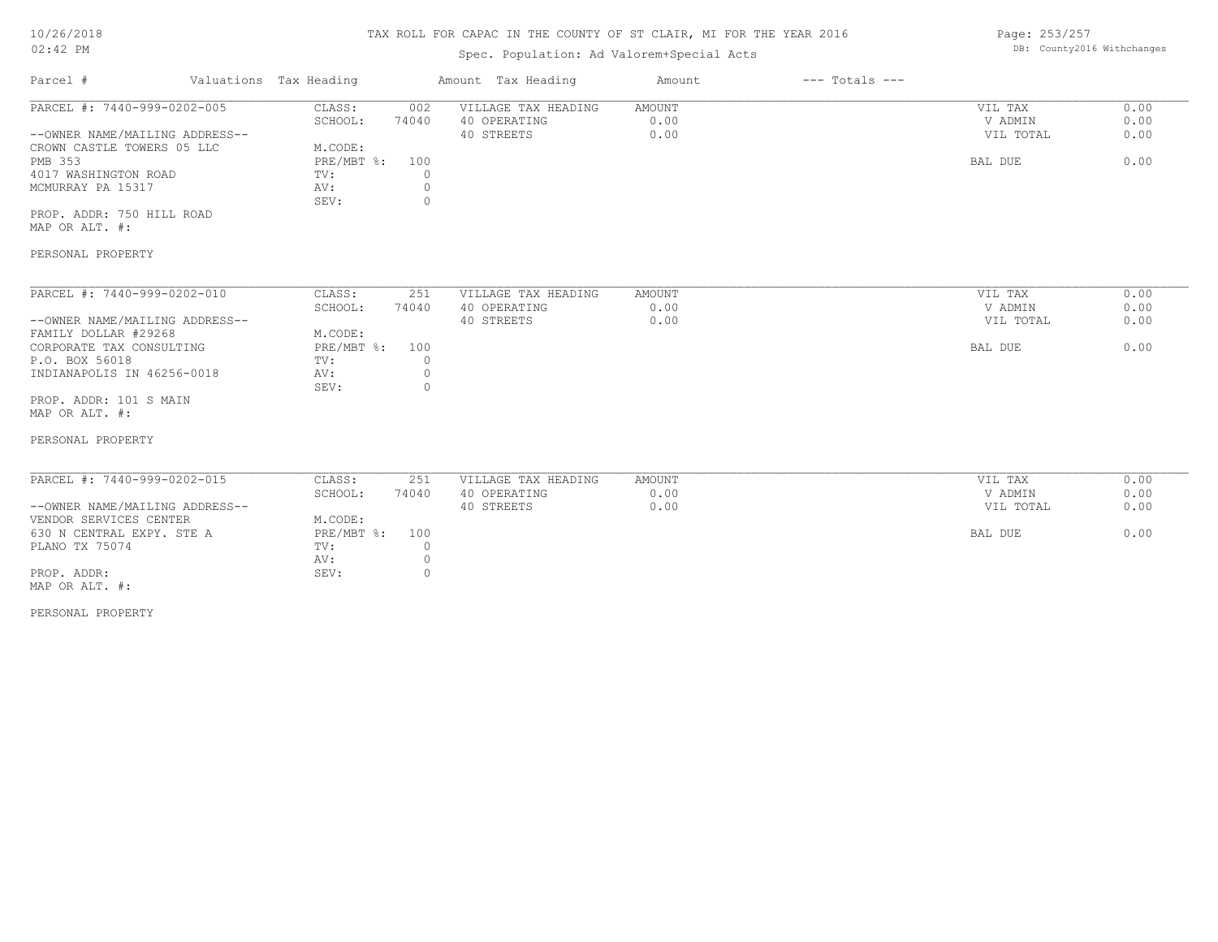# TAX ROLL FOR CAPAC IN THE COUNTY OF ST CLAIR, MI FOR THE YEAR 2016

# Spec. Population: Ad Valorem+Special Acts

Page: 253/257 DB: County2016 Withchanges

| Parcel #                       | Valuations Tax Heading |       | Amount Tax Heading  | Amount | $---$ Totals $---$ |           |      |
|--------------------------------|------------------------|-------|---------------------|--------|--------------------|-----------|------|
| PARCEL #: 7440-999-0202-005    | CLASS:                 | 002   | VILLAGE TAX HEADING | AMOUNT |                    | VIL TAX   | 0.00 |
|                                | SCHOOL:                | 74040 | 40 OPERATING        | 0.00   |                    | V ADMIN   | 0.00 |
| --OWNER NAME/MAILING ADDRESS-- |                        |       | 40 STREETS          | 0.00   |                    | VIL TOTAL | 0.00 |
| CROWN CASTLE TOWERS 05 LLC     | M.CODE:                |       |                     |        |                    |           |      |
| PMB 353                        | $PRE/MBT$ %:           | 100   |                     |        |                    | BAL DUE   | 0.00 |
| 4017 WASHINGTON ROAD           | TV:                    |       |                     |        |                    |           |      |
| MCMURRAY PA 15317              | AV:                    |       |                     |        |                    |           |      |
|                                | SEV:                   |       |                     |        |                    |           |      |
| PROP. ADDR: 750 HILL ROAD      |                        |       |                     |        |                    |           |      |

MAP OR ALT. #:

#### PERSONAL PROPERTY

| PARCEL #: 7440-999-0202-010    | CLASS:     | 251   | VILLAGE TAX HEADING | AMOUNT | VIL TAX   | 0.00 |
|--------------------------------|------------|-------|---------------------|--------|-----------|------|
|                                | SCHOOL:    | 74040 | 40 OPERATING        | 0.00   | V ADMIN   | 0.00 |
| --OWNER NAME/MAILING ADDRESS-- |            |       | 40 STREETS          | 0.00   | VIL TOTAL | 0.00 |
| FAMILY DOLLAR #29268           | M.CODE:    |       |                     |        |           |      |
| CORPORATE TAX CONSULTING       | PRE/MBT %: | 100   |                     |        | BAL DUE   | 0.00 |
| P.O. BOX 56018                 | TV:        |       |                     |        |           |      |
| INDIANAPOLIS IN 46256-0018     | AV:        |       |                     |        |           |      |
|                                | SEV:       |       |                     |        |           |      |
| PROP. ADDR: 101 S MAIN         |            |       |                     |        |           |      |

MAP OR ALT. #:

#### PERSONAL PROPERTY

| PARCEL #: 7440-999-0202-015    | CLASS:         | 251   | VILLAGE TAX HEADING | AMOUNT | VIL TAX   | 0.00 |
|--------------------------------|----------------|-------|---------------------|--------|-----------|------|
|                                | SCHOOL:        | 74040 | 40 OPERATING        | 0.00   | V ADMIN   | 0.00 |
| --OWNER NAME/MAILING ADDRESS-- |                |       | 40 STREETS          | 0.00   | VIL TOTAL | 0.00 |
| VENDOR SERVICES CENTER         | M.CODE:        |       |                     |        |           |      |
| 630 N CENTRAL EXPY. STE A      | PRE/MBT %: 100 |       |                     |        | BAL DUE   | 0.00 |
| PLANO TX 75074                 | TV:            |       |                     |        |           |      |
|                                | AV:            |       |                     |        |           |      |
| PROP. ADDR:                    | SEV:           |       |                     |        |           |      |
| MAP OR ALT. #:                 |                |       |                     |        |           |      |

PERSONAL PROPERTY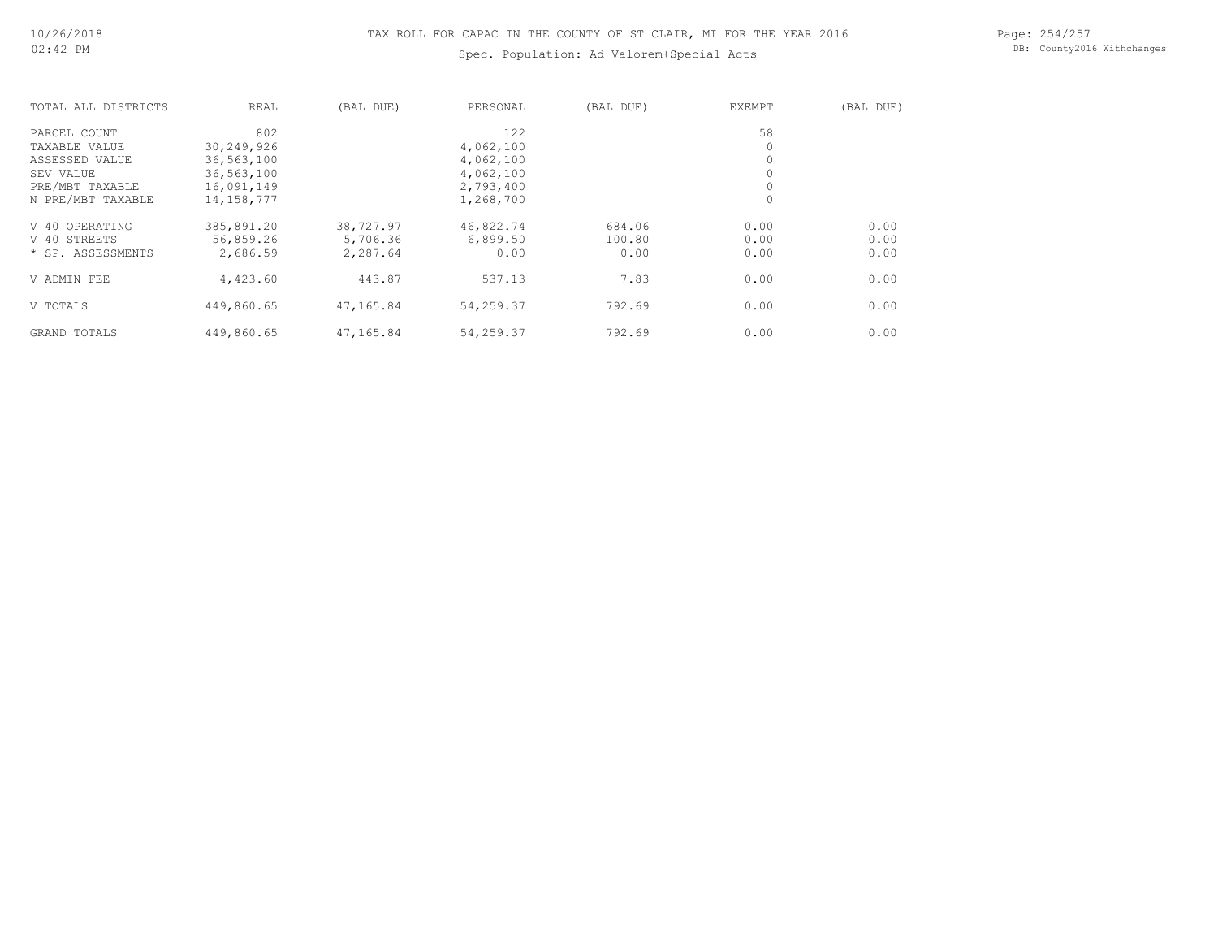# TAX ROLL FOR CAPAC IN THE COUNTY OF ST CLAIR, MI FOR THE YEAR 2016

# Spec. Population: Ad Valorem+Special Acts

Page: 254/257 DB: County2016 Withchanges

| TOTAL ALL DISTRICTS | REAL         | (BAL DUE) | PERSONAL  | (BAL DUE) | <b>EXEMPT</b> | (BAL DUE) |
|---------------------|--------------|-----------|-----------|-----------|---------------|-----------|
| PARCEL COUNT        | 802          |           | 122       |           | 58            |           |
| TAXABLE VALUE       | 30,249,926   |           | 4,062,100 |           |               |           |
| ASSESSED VALUE      | 36,563,100   |           | 4,062,100 |           |               |           |
| SEV VALUE           | 36,563,100   |           | 4,062,100 |           |               |           |
| PRE/MBT TAXABLE     | 16,091,149   |           | 2,793,400 |           |               |           |
| N PRE/MBT TAXABLE   | 14, 158, 777 |           | 1,268,700 |           | $\circ$       |           |
| V 40 OPERATING      | 385,891.20   | 38,727.97 | 46,822.74 | 684.06    | 0.00          | 0.00      |
| V 40 STREETS        | 56,859.26    | 5,706.36  | 6,899.50  | 100.80    | 0.00          | 0.00      |
| * SP. ASSESSMENTS   | 2,686.59     | 2,287.64  | 0.00      | 0.00      | 0.00          | 0.00      |
| V ADMIN FEE         | 4,423.60     | 443.87    | 537.13    | 7.83      | 0.00          | 0.00      |
| V TOTALS            | 449,860.65   | 47,165.84 | 54,259.37 | 792.69    | 0.00          | 0.00      |
| GRAND TOTALS        | 449,860.65   | 47,165.84 | 54,259.37 | 792.69    | 0.00          | 0.00      |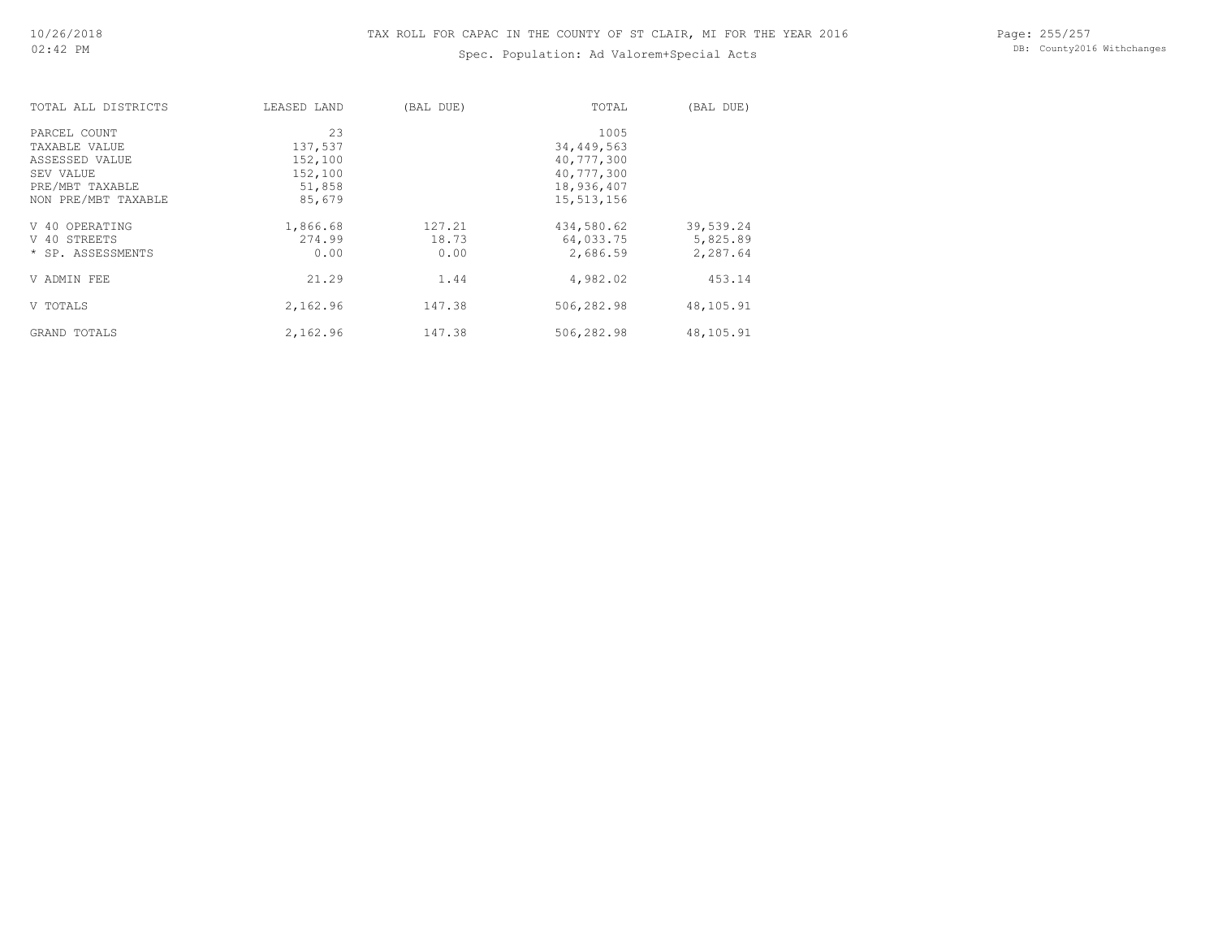# Spec. Population: Ad Valorem+Special Acts

Page: 255/257 DB: County2016 Withchanges

| TOTAL ALL DISTRICTS | LEASED LAND | (BAL DUE) | TOTAL      | (BAL DUE) |
|---------------------|-------------|-----------|------------|-----------|
| PARCEL COUNT        | 23          |           | 1005       |           |
| TAXABLE VALUE       | 137,537     |           | 34,449,563 |           |
| ASSESSED VALUE      | 152,100     |           | 40,777,300 |           |
| SEV VALUE           | 152,100     |           | 40,777,300 |           |
| PRE/MBT TAXABLE     | 51,858      |           | 18,936,407 |           |
| NON PRE/MBT TAXABLE | 85,679      |           | 15,513,156 |           |
| V 40 OPERATING      | 1,866.68    | 127.21    | 434,580.62 | 39,539.24 |
| V 40 STREETS        | 274.99      | 18.73     | 64,033.75  | 5,825.89  |
| * SP. ASSESSMENTS   | 0.00        | 0.00      | 2,686.59   | 2,287.64  |
| V ADMIN FEE         | 21.29       | 1.44      | 4,982.02   | 453.14    |
| V TOTALS            | 2,162.96    | 147.38    | 506,282.98 | 48,105.91 |
| GRAND TOTALS        | 2,162.96    | 147.38    | 506,282.98 | 48,105.91 |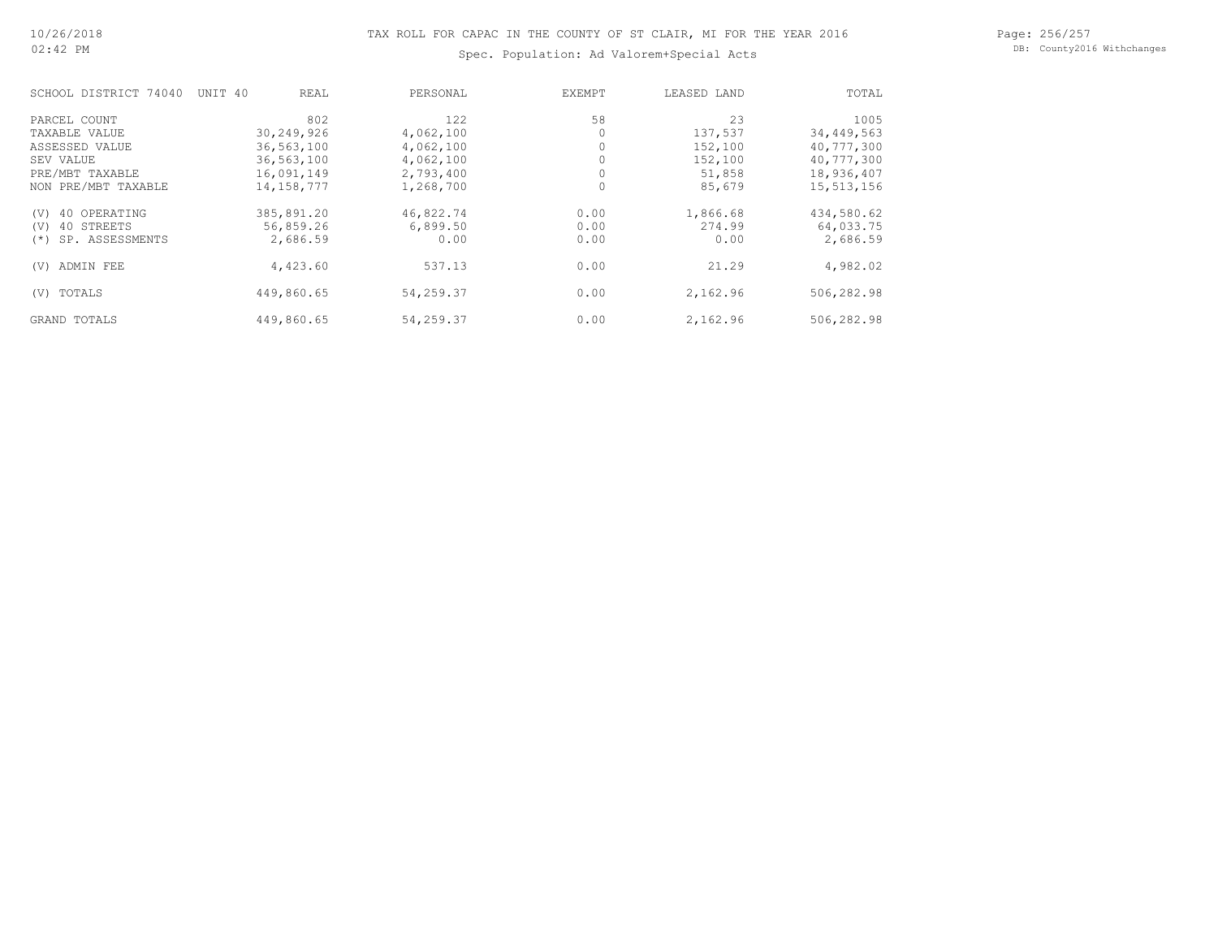#### Page: 256/257 DB: County2016 Withchanges

Spec. Population: Ad Valorem+Special Acts

| SCHOOL DISTRICT 74040       | UNIT 40<br>REAL | PERSONAL  | <b>EXEMPT</b> | LEASED LAND | TOTAL      |
|-----------------------------|-----------------|-----------|---------------|-------------|------------|
| PARCEL COUNT                | 802             | 122       | 58            | 23          | 1005       |
| TAXABLE VALUE               | 30,249,926      | 4,062,100 |               | 137,537     | 34,449,563 |
| ASSESSED VALUE              | 36,563,100      | 4,062,100 |               | 152,100     | 40,777,300 |
| SEV VALUE                   | 36,563,100      | 4,062,100 |               | 152,100     | 40,777,300 |
| PRE/MBT TAXABLE             | 16,091,149      | 2,793,400 |               | 51,858      | 18,936,407 |
| NON PRE/MBT TAXABLE         | 14, 158, 777    | 1,268,700 | $\Omega$      | 85,679      | 15,513,156 |
| 40 OPERATING<br>(V)         | 385,891.20      | 46,822.74 | 0.00          | 1,866.68    | 434,580.62 |
| 40 STREETS<br>(V)           | 56,859.26       | 6,899.50  | 0.00          | 274.99      | 64,033.75  |
| SP. ASSESSMENTS<br>$^{(*)}$ | 2,686.59        | 0.00      | 0.00          | 0.00        | 2,686.59   |
| ADMIN FEE<br>(V)            | 4,423.60        | 537.13    | 0.00          | 21.29       | 4,982.02   |
| TOTALS<br>(V)               | 449,860.65      | 54,259.37 | 0.00          | 2,162.96    | 506,282.98 |
| GRAND TOTALS                | 449,860.65      | 54,259.37 | 0.00          | 2,162.96    | 506,282.98 |